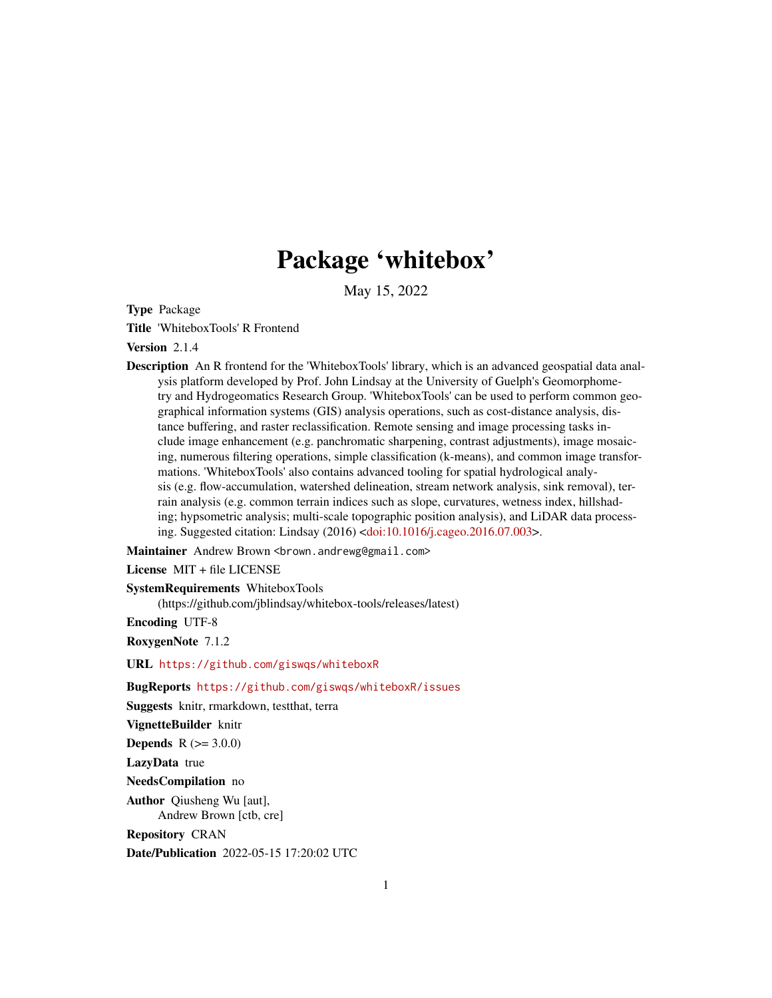# Package 'whitebox'

May 15, 2022

Type Package

Title 'WhiteboxTools' R Frontend

Version 2.1.4

Description An R frontend for the 'WhiteboxTools' library, which is an advanced geospatial data analysis platform developed by Prof. John Lindsay at the University of Guelph's Geomorphometry and Hydrogeomatics Research Group. 'WhiteboxTools' can be used to perform common geographical information systems (GIS) analysis operations, such as cost-distance analysis, distance buffering, and raster reclassification. Remote sensing and image processing tasks include image enhancement (e.g. panchromatic sharpening, contrast adjustments), image mosaicing, numerous filtering operations, simple classification (k-means), and common image transformations. 'WhiteboxTools' also contains advanced tooling for spatial hydrological analysis (e.g. flow-accumulation, watershed delineation, stream network analysis, sink removal), terrain analysis (e.g. common terrain indices such as slope, curvatures, wetness index, hillshading; hypsometric analysis; multi-scale topographic position analysis), and LiDAR data processing. Suggested citation: Lindsay (2016) [<doi:10.1016/j.cageo.2016.07.003>](https://doi.org/10.1016/j.cageo.2016.07.003).

Maintainer Andrew Brown <br />brown.andrewg@gmail.com>

License MIT + file LICENSE

SystemRequirements WhiteboxTools

(https://github.com/jblindsay/whitebox-tools/releases/latest)

Encoding UTF-8

RoxygenNote 7.1.2

URL <https://github.com/giswqs/whiteboxR>

BugReports <https://github.com/giswqs/whiteboxR/issues>

Suggests knitr, rmarkdown, testthat, terra

```
VignetteBuilder knitr
```
**Depends**  $R (= 3.0.0)$ 

LazyData true

NeedsCompilation no

Author Qiusheng Wu [aut], Andrew Brown [ctb, cre]

Repository CRAN

Date/Publication 2022-05-15 17:20:02 UTC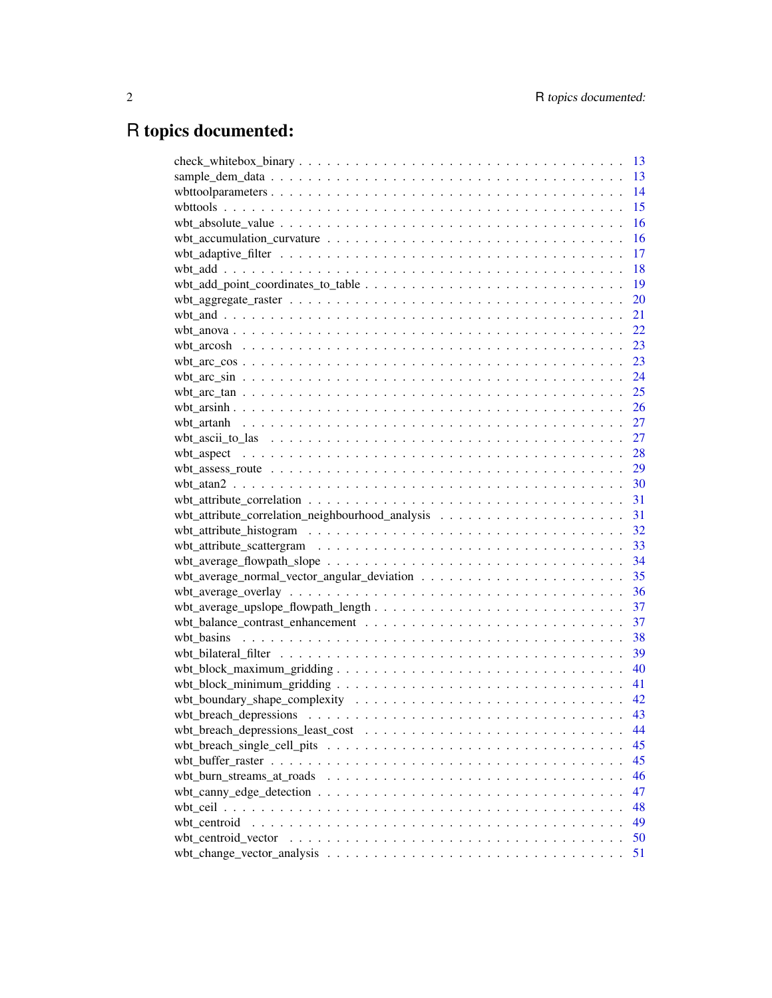# R topics documented:

|                                                                                                                       | 13 |
|-----------------------------------------------------------------------------------------------------------------------|----|
|                                                                                                                       | 13 |
|                                                                                                                       | 14 |
|                                                                                                                       | 15 |
|                                                                                                                       | 16 |
| $wbt_accumulation_curvature \dots \dots \dots \dots \dots \dots \dots \dots \dots \dots \dots \dots \dots$            | 16 |
|                                                                                                                       | 17 |
|                                                                                                                       | 18 |
| $wbt\_add\_point\_coordinates\_to\_table \dots \dots \dots \dots \dots \dots \dots \dots \dots \dots$                 | 19 |
|                                                                                                                       | 20 |
|                                                                                                                       | 21 |
|                                                                                                                       | 22 |
|                                                                                                                       | 23 |
|                                                                                                                       | 23 |
|                                                                                                                       | 24 |
|                                                                                                                       | 25 |
|                                                                                                                       | 26 |
|                                                                                                                       | 27 |
|                                                                                                                       | 27 |
|                                                                                                                       | 28 |
|                                                                                                                       | 29 |
|                                                                                                                       | 30 |
|                                                                                                                       |    |
|                                                                                                                       | 31 |
|                                                                                                                       |    |
|                                                                                                                       | 33 |
|                                                                                                                       | 34 |
|                                                                                                                       | 35 |
|                                                                                                                       | 36 |
|                                                                                                                       | 37 |
|                                                                                                                       | 37 |
|                                                                                                                       | 38 |
|                                                                                                                       | 39 |
|                                                                                                                       | 40 |
|                                                                                                                       | 41 |
|                                                                                                                       | 42 |
|                                                                                                                       | 43 |
|                                                                                                                       | 44 |
| wbt_breach_single_cell_pits $\dots \dots \dots \dots \dots \dots \dots \dots \dots \dots \dots \dots \dots \dots$     | 45 |
|                                                                                                                       | 45 |
|                                                                                                                       | 46 |
|                                                                                                                       | 47 |
|                                                                                                                       | 48 |
| wbt centroid                                                                                                          | 49 |
| wbt_centroid_vector $\dots \dots \dots \dots \dots \dots \dots \dots \dots \dots \dots \dots \dots \dots \dots \dots$ | 50 |
|                                                                                                                       | 51 |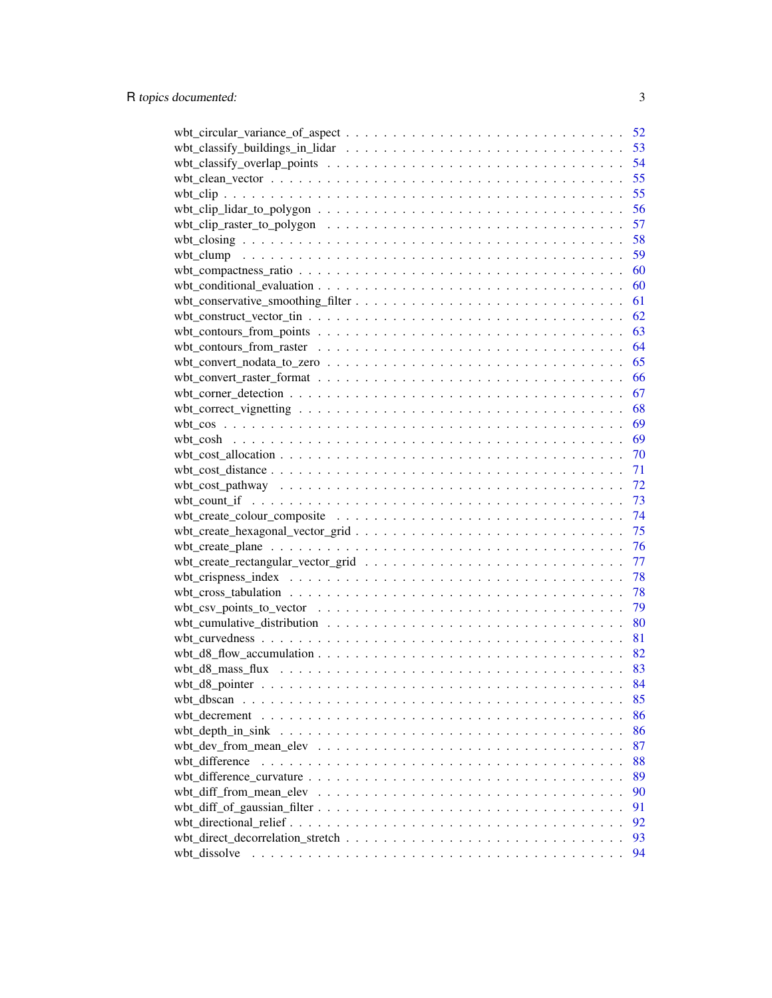|                | 52 |
|----------------|----|
|                | 53 |
|                | 54 |
|                | 55 |
|                | 55 |
|                | 56 |
|                | 57 |
|                | 58 |
|                | 59 |
|                | 60 |
|                | 60 |
|                | 61 |
|                | 62 |
|                | 63 |
|                | 64 |
|                | 65 |
|                | 66 |
|                | 67 |
|                | 68 |
|                | 69 |
|                | 69 |
|                | 70 |
|                | 71 |
|                | 72 |
|                | 73 |
|                | 74 |
|                | 75 |
|                | 76 |
|                | 77 |
|                | 78 |
|                | 78 |
|                | 79 |
|                | 80 |
|                | 81 |
|                | 82 |
|                | 83 |
|                | 84 |
| wbt dbscan     | 85 |
|                | 86 |
|                | 86 |
|                | 87 |
| wbt difference | 88 |
|                | 89 |
|                | 90 |
|                | 91 |
|                | 92 |
|                | 93 |
| wbt dissolve   | 94 |
|                |    |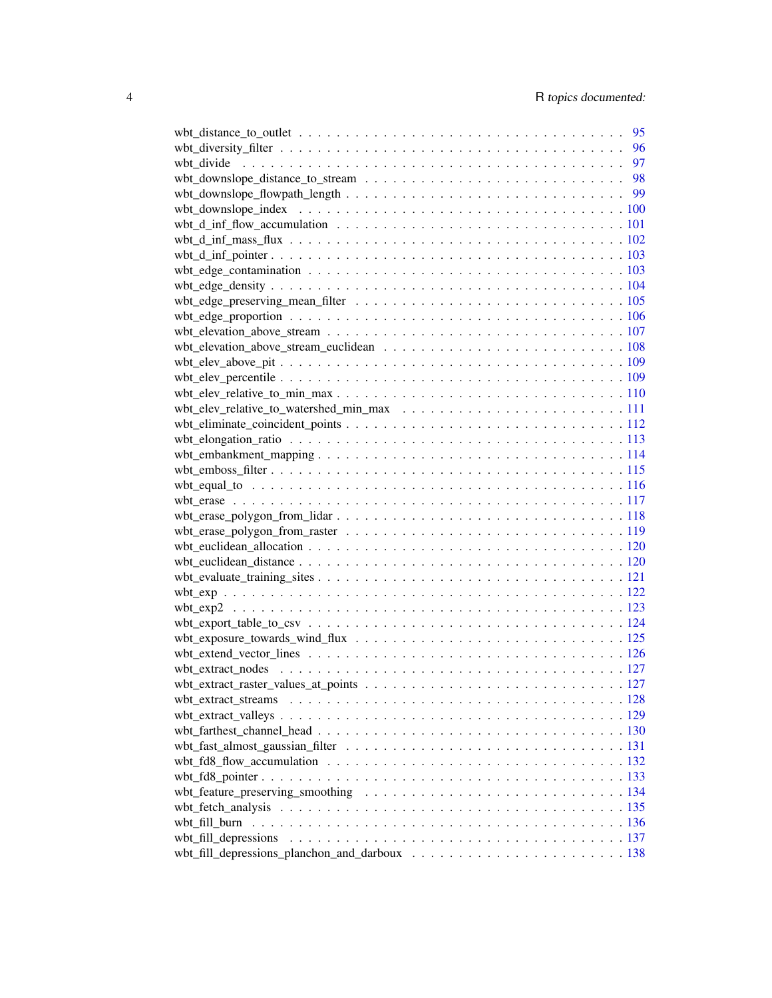|                                                                                                                              | 95 |
|------------------------------------------------------------------------------------------------------------------------------|----|
|                                                                                                                              | 96 |
|                                                                                                                              |    |
|                                                                                                                              |    |
|                                                                                                                              |    |
|                                                                                                                              |    |
| wbt_d_inf_flow_accumulation $\ldots \ldots \ldots \ldots \ldots \ldots \ldots \ldots \ldots \ldots \ldots \ldots \ldots 101$ |    |
|                                                                                                                              |    |
|                                                                                                                              |    |
|                                                                                                                              |    |
|                                                                                                                              |    |
|                                                                                                                              |    |
|                                                                                                                              |    |
|                                                                                                                              |    |
|                                                                                                                              |    |
|                                                                                                                              |    |
|                                                                                                                              |    |
|                                                                                                                              |    |
|                                                                                                                              |    |
|                                                                                                                              |    |
|                                                                                                                              |    |
|                                                                                                                              |    |
|                                                                                                                              |    |
|                                                                                                                              |    |
|                                                                                                                              |    |
|                                                                                                                              |    |
|                                                                                                                              |    |
|                                                                                                                              |    |
|                                                                                                                              |    |
|                                                                                                                              |    |
|                                                                                                                              |    |
|                                                                                                                              |    |
|                                                                                                                              |    |
|                                                                                                                              |    |
|                                                                                                                              |    |
|                                                                                                                              |    |
|                                                                                                                              |    |
|                                                                                                                              |    |
|                                                                                                                              |    |
|                                                                                                                              |    |
|                                                                                                                              |    |
| wbt_fd8_flow_accumulation $\ldots \ldots \ldots \ldots \ldots \ldots \ldots \ldots \ldots \ldots \ldots \ldots \ldots 132$   |    |
|                                                                                                                              |    |
|                                                                                                                              |    |
|                                                                                                                              |    |
|                                                                                                                              |    |
|                                                                                                                              |    |
|                                                                                                                              |    |
|                                                                                                                              |    |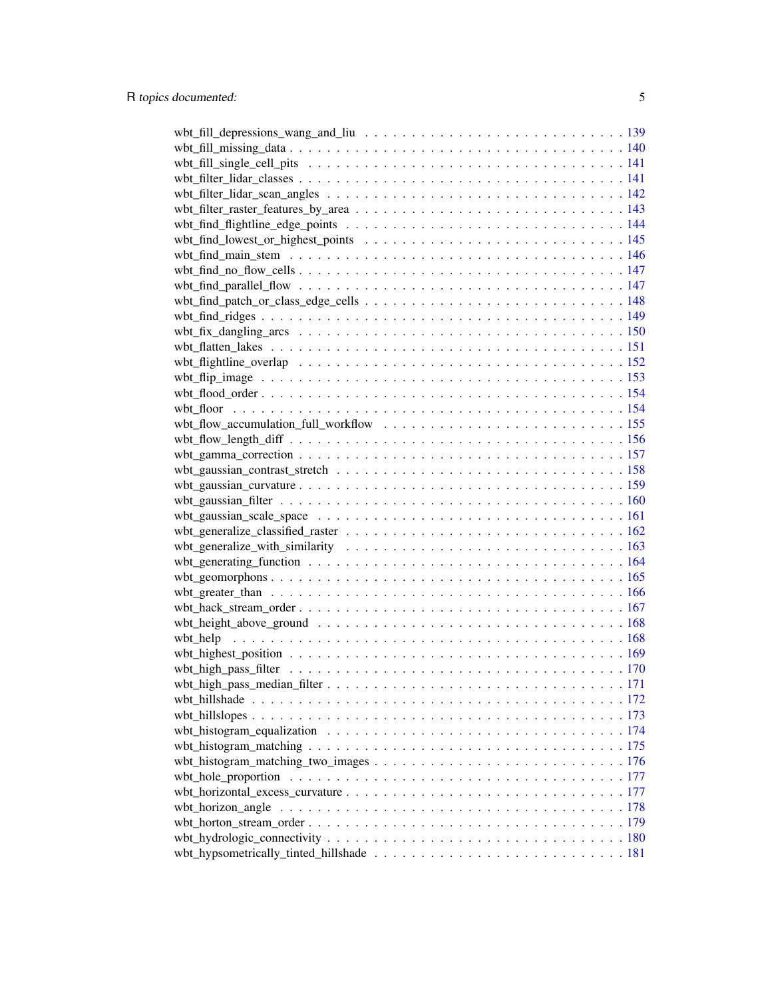| wbt_horizon_angle |  |
|-------------------|--|
|                   |  |
|                   |  |
|                   |  |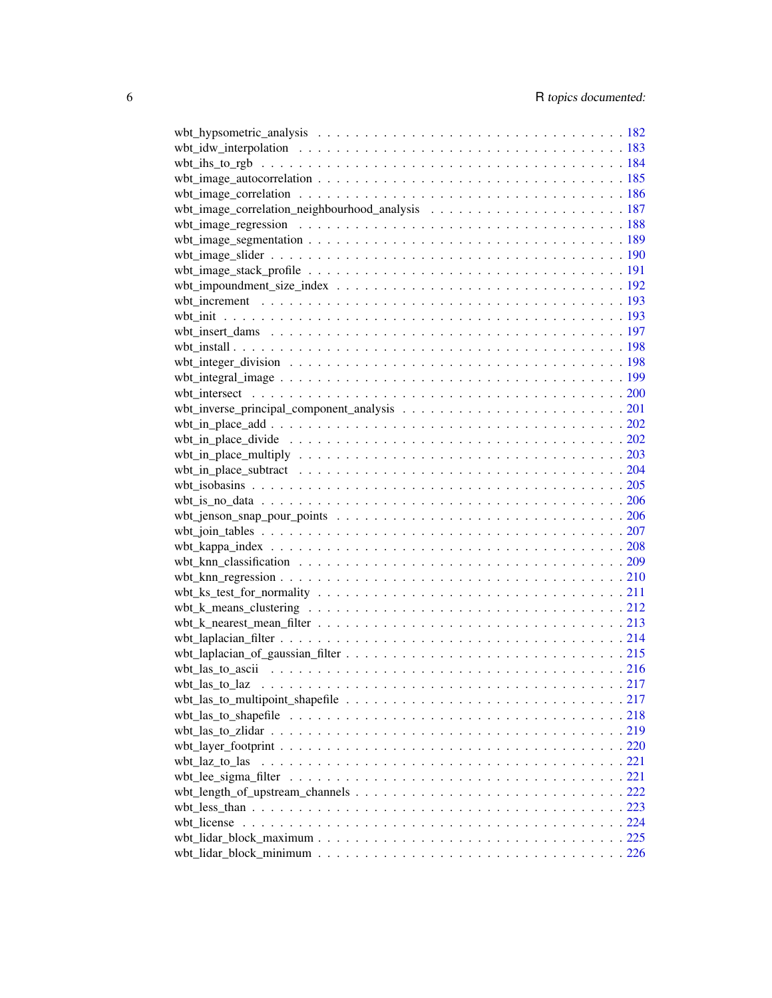| wbt image correlation $\ldots \ldots \ldots \ldots \ldots \ldots \ldots \ldots \ldots \ldots \ldots \ldots \ldots$    |  |
|-----------------------------------------------------------------------------------------------------------------------|--|
|                                                                                                                       |  |
| wbt_image_regression $\ldots \ldots \ldots \ldots \ldots \ldots \ldots \ldots \ldots \ldots \ldots \ldots \ldots 188$ |  |
|                                                                                                                       |  |
|                                                                                                                       |  |
|                                                                                                                       |  |
|                                                                                                                       |  |
|                                                                                                                       |  |
|                                                                                                                       |  |
|                                                                                                                       |  |
|                                                                                                                       |  |
|                                                                                                                       |  |
|                                                                                                                       |  |
|                                                                                                                       |  |
|                                                                                                                       |  |
|                                                                                                                       |  |
|                                                                                                                       |  |
|                                                                                                                       |  |
|                                                                                                                       |  |
|                                                                                                                       |  |
|                                                                                                                       |  |
|                                                                                                                       |  |
|                                                                                                                       |  |
|                                                                                                                       |  |
|                                                                                                                       |  |
|                                                                                                                       |  |
|                                                                                                                       |  |
|                                                                                                                       |  |
| wbt_k_means_clustering $\ldots \ldots \ldots \ldots \ldots \ldots \ldots \ldots \ldots \ldots \ldots \ldots 212$      |  |
|                                                                                                                       |  |
|                                                                                                                       |  |
|                                                                                                                       |  |
|                                                                                                                       |  |
|                                                                                                                       |  |
|                                                                                                                       |  |
|                                                                                                                       |  |
|                                                                                                                       |  |
|                                                                                                                       |  |
| wbt_laz_to_las                                                                                                        |  |
|                                                                                                                       |  |
|                                                                                                                       |  |
|                                                                                                                       |  |
|                                                                                                                       |  |
|                                                                                                                       |  |
|                                                                                                                       |  |
|                                                                                                                       |  |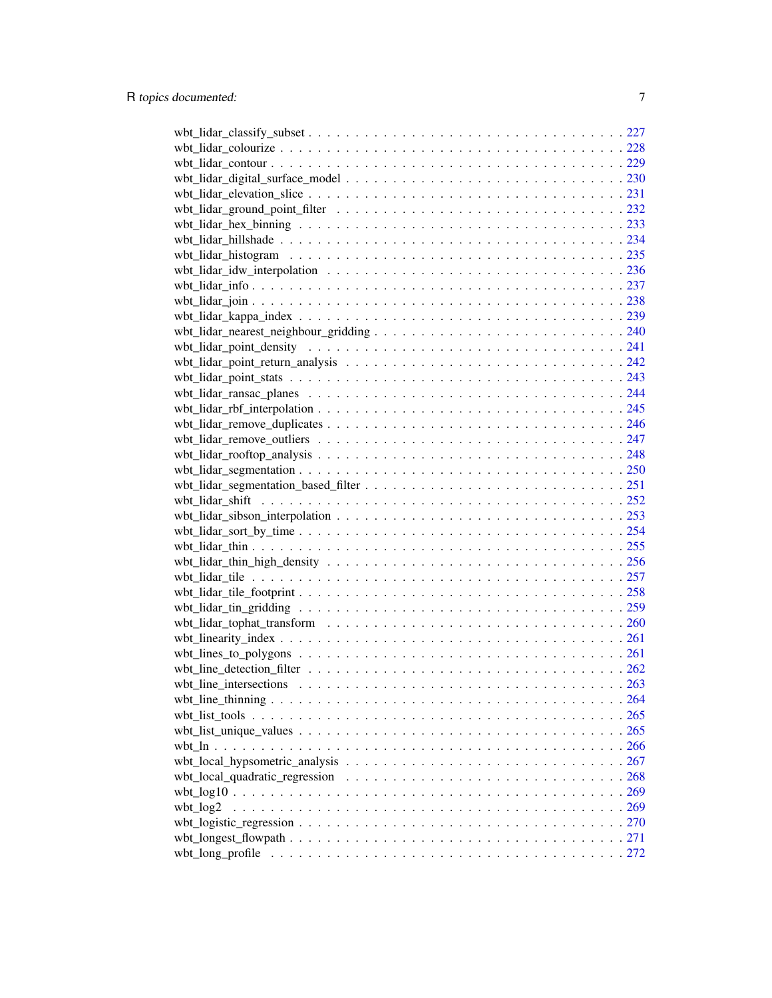| wbt_log2 |  |
|----------|--|
|          |  |
|          |  |
|          |  |
|          |  |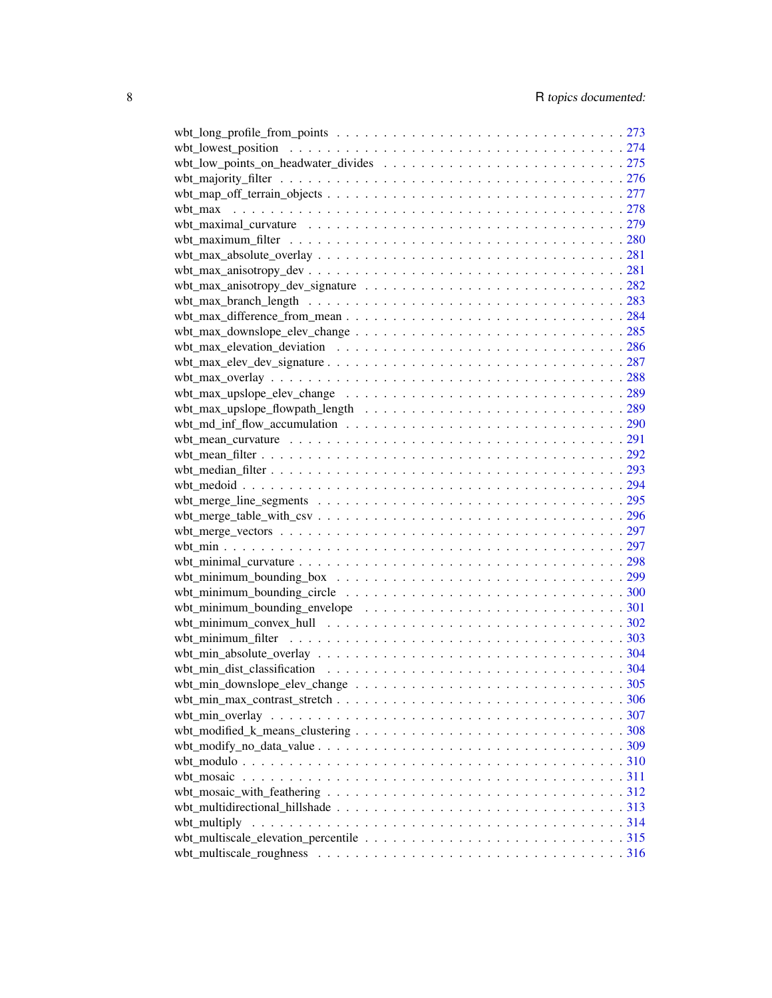| wbt maximal curvature $\ldots \ldots \ldots \ldots \ldots \ldots \ldots \ldots \ldots \ldots \ldots \ldots \ldots$    |  |
|-----------------------------------------------------------------------------------------------------------------------|--|
|                                                                                                                       |  |
|                                                                                                                       |  |
|                                                                                                                       |  |
|                                                                                                                       |  |
|                                                                                                                       |  |
|                                                                                                                       |  |
|                                                                                                                       |  |
|                                                                                                                       |  |
|                                                                                                                       |  |
|                                                                                                                       |  |
|                                                                                                                       |  |
|                                                                                                                       |  |
|                                                                                                                       |  |
|                                                                                                                       |  |
|                                                                                                                       |  |
|                                                                                                                       |  |
|                                                                                                                       |  |
|                                                                                                                       |  |
|                                                                                                                       |  |
|                                                                                                                       |  |
|                                                                                                                       |  |
|                                                                                                                       |  |
|                                                                                                                       |  |
|                                                                                                                       |  |
| wbt_minimum_bounding_circle $\dots \dots \dots \dots \dots \dots \dots \dots \dots \dots \dots \dots \dots \dots 300$ |  |
| wbt_minimum_bounding_envelope $\dots \dots \dots \dots \dots \dots \dots \dots \dots \dots \dots \dots \dots 301$     |  |
| wbt_minimum_convex_hull $\ldots \ldots \ldots \ldots \ldots \ldots \ldots \ldots \ldots \ldots \ldots \ldots 302$     |  |
|                                                                                                                       |  |
|                                                                                                                       |  |
|                                                                                                                       |  |
|                                                                                                                       |  |
|                                                                                                                       |  |
|                                                                                                                       |  |
|                                                                                                                       |  |
|                                                                                                                       |  |
|                                                                                                                       |  |
|                                                                                                                       |  |
|                                                                                                                       |  |
|                                                                                                                       |  |
|                                                                                                                       |  |
|                                                                                                                       |  |
|                                                                                                                       |  |
|                                                                                                                       |  |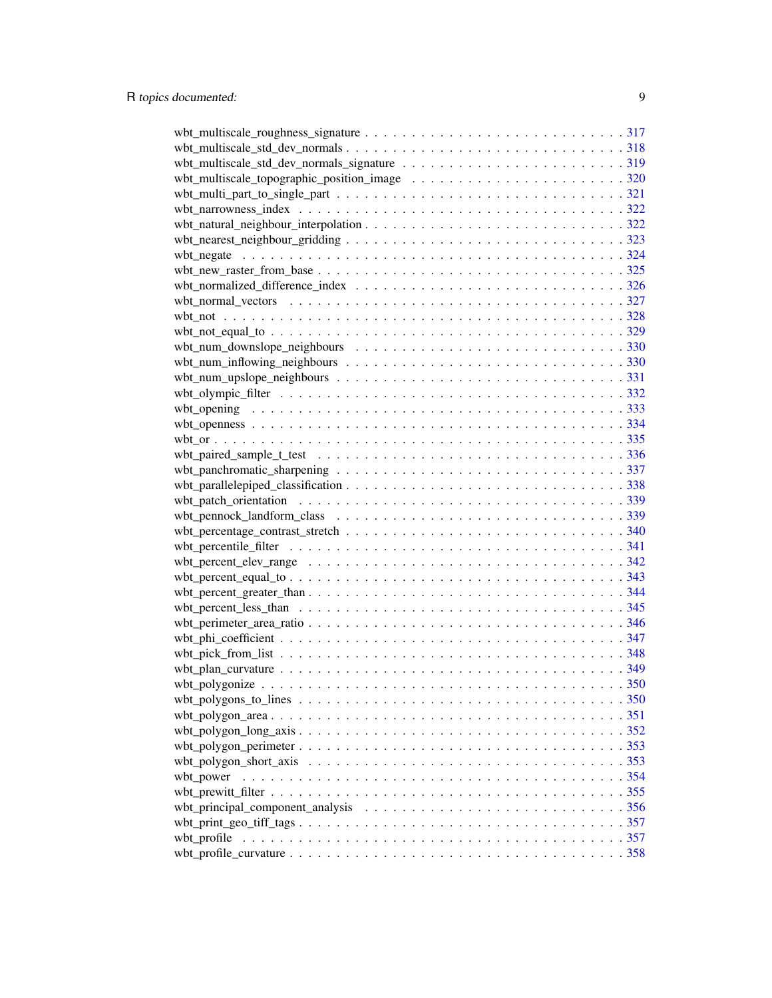| wbt_pennock_landform_class $\ldots \ldots \ldots \ldots \ldots \ldots \ldots \ldots \ldots \ldots \ldots \ldots \ldots 339$ |  |
|-----------------------------------------------------------------------------------------------------------------------------|--|
|                                                                                                                             |  |
|                                                                                                                             |  |
|                                                                                                                             |  |
|                                                                                                                             |  |
|                                                                                                                             |  |
|                                                                                                                             |  |
|                                                                                                                             |  |
|                                                                                                                             |  |
|                                                                                                                             |  |
|                                                                                                                             |  |
|                                                                                                                             |  |
|                                                                                                                             |  |
|                                                                                                                             |  |
|                                                                                                                             |  |
|                                                                                                                             |  |
|                                                                                                                             |  |
|                                                                                                                             |  |
| wbt_power                                                                                                                   |  |
|                                                                                                                             |  |
|                                                                                                                             |  |
|                                                                                                                             |  |
|                                                                                                                             |  |
|                                                                                                                             |  |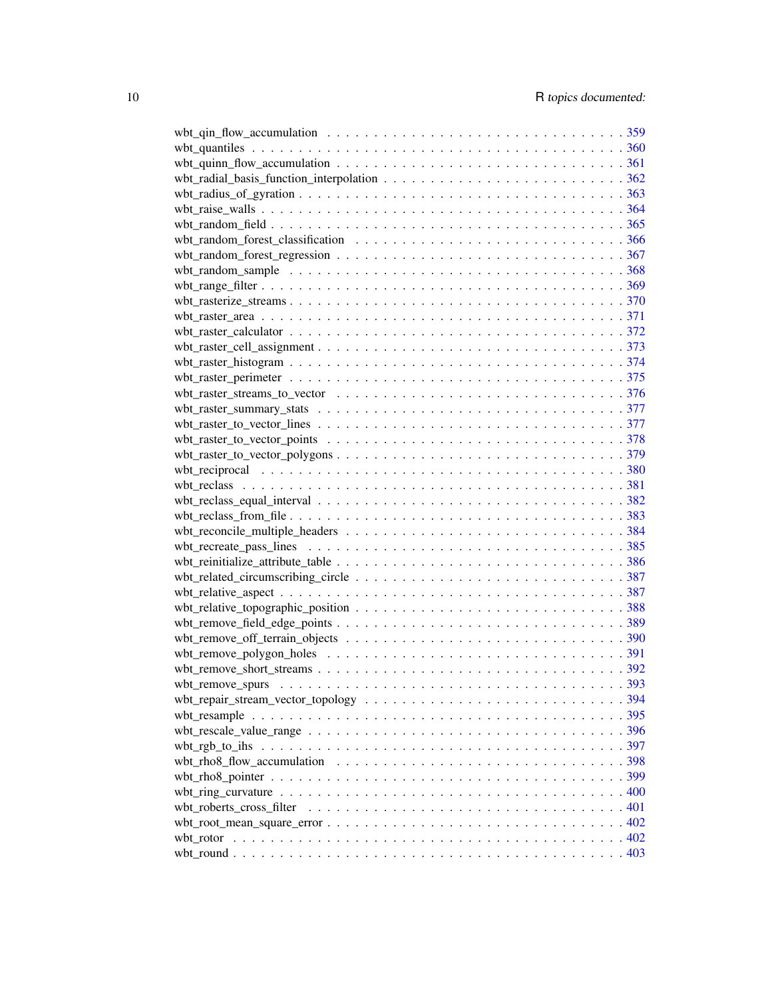| wbt_random_sample $\dots \dots \dots \dots \dots \dots \dots \dots \dots \dots \dots \dots \dots \dots \dots \dots$ 368       |  |
|-------------------------------------------------------------------------------------------------------------------------------|--|
|                                                                                                                               |  |
|                                                                                                                               |  |
|                                                                                                                               |  |
|                                                                                                                               |  |
|                                                                                                                               |  |
|                                                                                                                               |  |
|                                                                                                                               |  |
|                                                                                                                               |  |
| wbt_raster_streams_to_vector $\dots \dots \dots \dots \dots \dots \dots \dots \dots \dots \dots \dots \dots \dots \dots 376$  |  |
|                                                                                                                               |  |
|                                                                                                                               |  |
|                                                                                                                               |  |
|                                                                                                                               |  |
|                                                                                                                               |  |
|                                                                                                                               |  |
| wbt_reclass_equal_interval $\ldots \ldots \ldots \ldots \ldots \ldots \ldots \ldots \ldots \ldots \ldots \ldots \ldots 382$   |  |
|                                                                                                                               |  |
|                                                                                                                               |  |
|                                                                                                                               |  |
|                                                                                                                               |  |
|                                                                                                                               |  |
|                                                                                                                               |  |
|                                                                                                                               |  |
|                                                                                                                               |  |
|                                                                                                                               |  |
|                                                                                                                               |  |
|                                                                                                                               |  |
|                                                                                                                               |  |
|                                                                                                                               |  |
|                                                                                                                               |  |
| wbt_rescale_value_range $\dots \dots \dots \dots \dots \dots \dots \dots \dots \dots \dots \dots \dots \dots \dots \dots$ 396 |  |
|                                                                                                                               |  |
| wbt_rho8_flow_accumulation $\ldots \ldots \ldots \ldots \ldots \ldots \ldots \ldots \ldots \ldots \ldots \ldots 398$          |  |
|                                                                                                                               |  |
|                                                                                                                               |  |
|                                                                                                                               |  |
|                                                                                                                               |  |
|                                                                                                                               |  |
|                                                                                                                               |  |
|                                                                                                                               |  |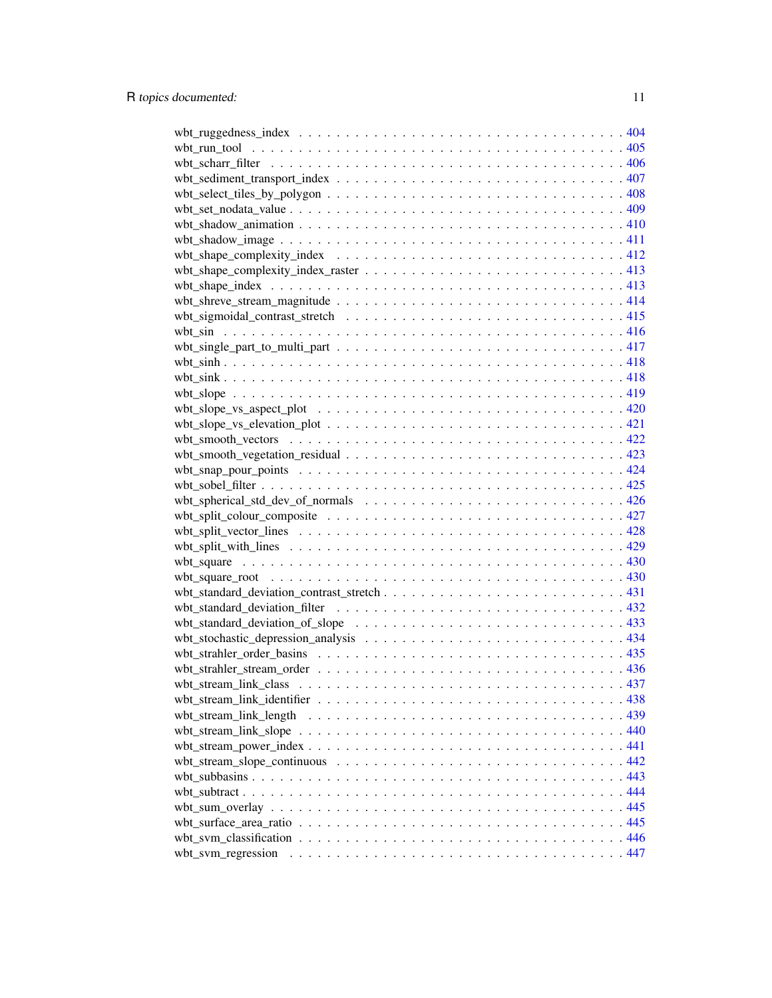| $wbt_slope_vs_e elevation_plot \dots \dots \dots \dots \dots \dots \dots \dots \dots \dots \dots \dots \dots 421$ |  |
|-------------------------------------------------------------------------------------------------------------------|--|
|                                                                                                                   |  |
|                                                                                                                   |  |
|                                                                                                                   |  |
|                                                                                                                   |  |
|                                                                                                                   |  |
|                                                                                                                   |  |
|                                                                                                                   |  |
|                                                                                                                   |  |
|                                                                                                                   |  |
|                                                                                                                   |  |
|                                                                                                                   |  |
|                                                                                                                   |  |
|                                                                                                                   |  |
| wbt_standard_deviation_of_slope $\ldots \ldots \ldots \ldots \ldots \ldots \ldots \ldots \ldots \ldots \ldots$ .  |  |
|                                                                                                                   |  |
|                                                                                                                   |  |
|                                                                                                                   |  |
|                                                                                                                   |  |
|                                                                                                                   |  |
|                                                                                                                   |  |
|                                                                                                                   |  |
|                                                                                                                   |  |
|                                                                                                                   |  |
|                                                                                                                   |  |
|                                                                                                                   |  |
|                                                                                                                   |  |
|                                                                                                                   |  |
|                                                                                                                   |  |
| wbt_svm_regression                                                                                                |  |
|                                                                                                                   |  |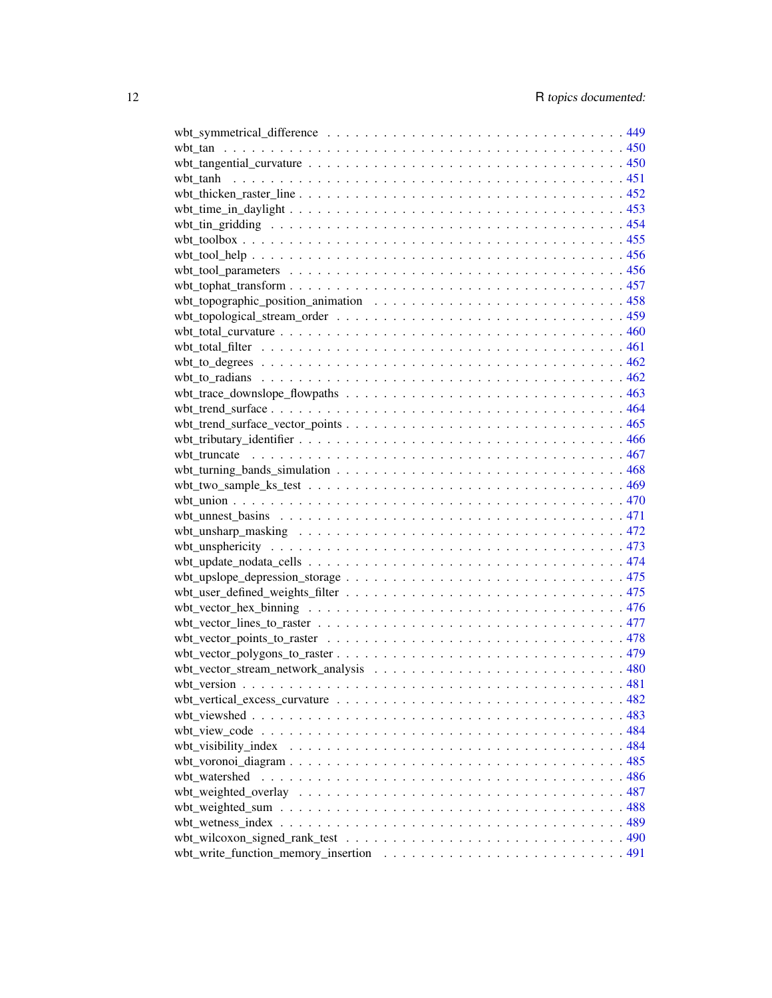| wbt_topographic_position_animation $\ldots \ldots \ldots \ldots \ldots \ldots \ldots \ldots \ldots \ldots$                      |  |
|---------------------------------------------------------------------------------------------------------------------------------|--|
|                                                                                                                                 |  |
|                                                                                                                                 |  |
|                                                                                                                                 |  |
|                                                                                                                                 |  |
|                                                                                                                                 |  |
|                                                                                                                                 |  |
|                                                                                                                                 |  |
|                                                                                                                                 |  |
|                                                                                                                                 |  |
|                                                                                                                                 |  |
|                                                                                                                                 |  |
|                                                                                                                                 |  |
|                                                                                                                                 |  |
|                                                                                                                                 |  |
|                                                                                                                                 |  |
|                                                                                                                                 |  |
|                                                                                                                                 |  |
|                                                                                                                                 |  |
|                                                                                                                                 |  |
|                                                                                                                                 |  |
|                                                                                                                                 |  |
|                                                                                                                                 |  |
|                                                                                                                                 |  |
|                                                                                                                                 |  |
|                                                                                                                                 |  |
|                                                                                                                                 |  |
|                                                                                                                                 |  |
|                                                                                                                                 |  |
|                                                                                                                                 |  |
|                                                                                                                                 |  |
|                                                                                                                                 |  |
|                                                                                                                                 |  |
|                                                                                                                                 |  |
|                                                                                                                                 |  |
|                                                                                                                                 |  |
|                                                                                                                                 |  |
| wbt_wilcoxon_signed_rank_test $\dots \dots \dots \dots \dots \dots \dots \dots \dots \dots \dots \dots \dots \dots \dots \dots$ |  |
|                                                                                                                                 |  |
|                                                                                                                                 |  |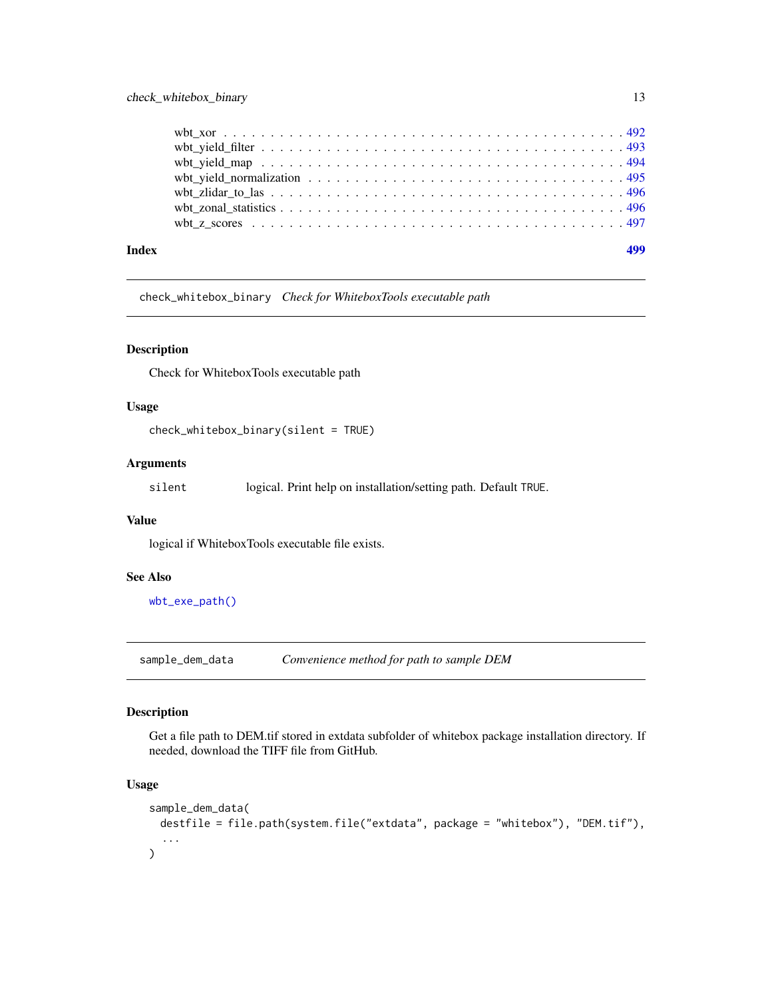#### <span id="page-12-0"></span>check\_whitebox\_binary 13

| Index |  |
|-------|--|
|       |  |
|       |  |
|       |  |
|       |  |
|       |  |
|       |  |
|       |  |

check\_whitebox\_binary *Check for WhiteboxTools executable path*

#### Description

Check for WhiteboxTools executable path

#### Usage

```
check_whitebox_binary(silent = TRUE)
```
#### Arguments

silent logical. Print help on installation/setting path. Default TRUE.

#### Value

logical if WhiteboxTools executable file exists.

#### See Also

[wbt\\_exe\\_path\(\)](#page-192-1)

sample\_dem\_data *Convenience method for path to sample DEM*

#### Description

Get a file path to DEM.tif stored in extdata subfolder of whitebox package installation directory. If needed, download the TIFF file from GitHub.

```
sample_dem_data(
  destfile = file.path(system.file("extdata", package = "whitebox"), "DEM.tif"),
  ...
\mathcal{L}
```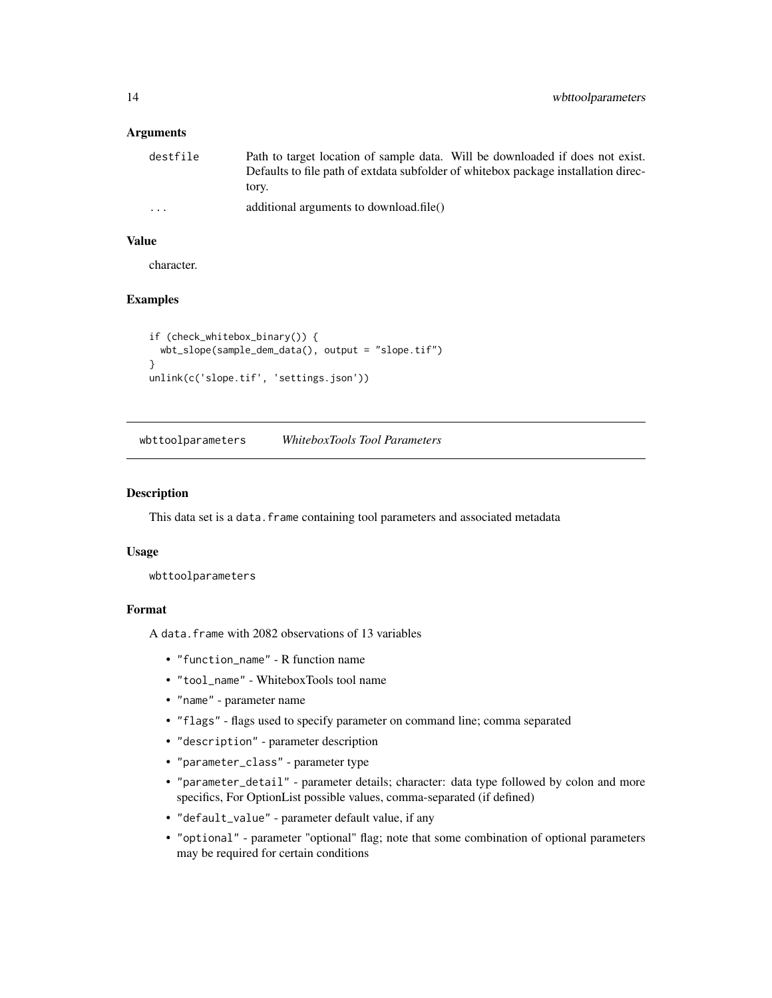<span id="page-13-0"></span>

| destfile | Path to target location of sample data. Will be downloaded if does not exist.      |
|----------|------------------------------------------------------------------------------------|
|          | Defaults to file path of extdata subfolder of whitebox package installation direc- |
|          | tory.                                                                              |
| $\cdots$ | additional arguments to download.file()                                            |

#### Value

character.

#### Examples

```
if (check_whitebox_binary()) {
 wbt_slope(sample_dem_data(), output = "slope.tif")
}
unlink(c('slope.tif', 'settings.json'))
```
<span id="page-13-1"></span>wbttoolparameters *WhiteboxTools Tool Parameters*

#### Description

This data set is a data. frame containing tool parameters and associated metadata

#### Usage

wbttoolparameters

#### Format

A data.frame with 2082 observations of 13 variables

- "function\_name" R function name
- "tool\_name" WhiteboxTools tool name
- "name" parameter name
- "flags" flags used to specify parameter on command line; comma separated
- "description" parameter description
- "parameter\_class" parameter type
- "parameter\_detail" parameter details; character: data type followed by colon and more specifics, For OptionList possible values, comma-separated (if defined)
- "default\_value" parameter default value, if any
- "optional" parameter "optional" flag; note that some combination of optional parameters may be required for certain conditions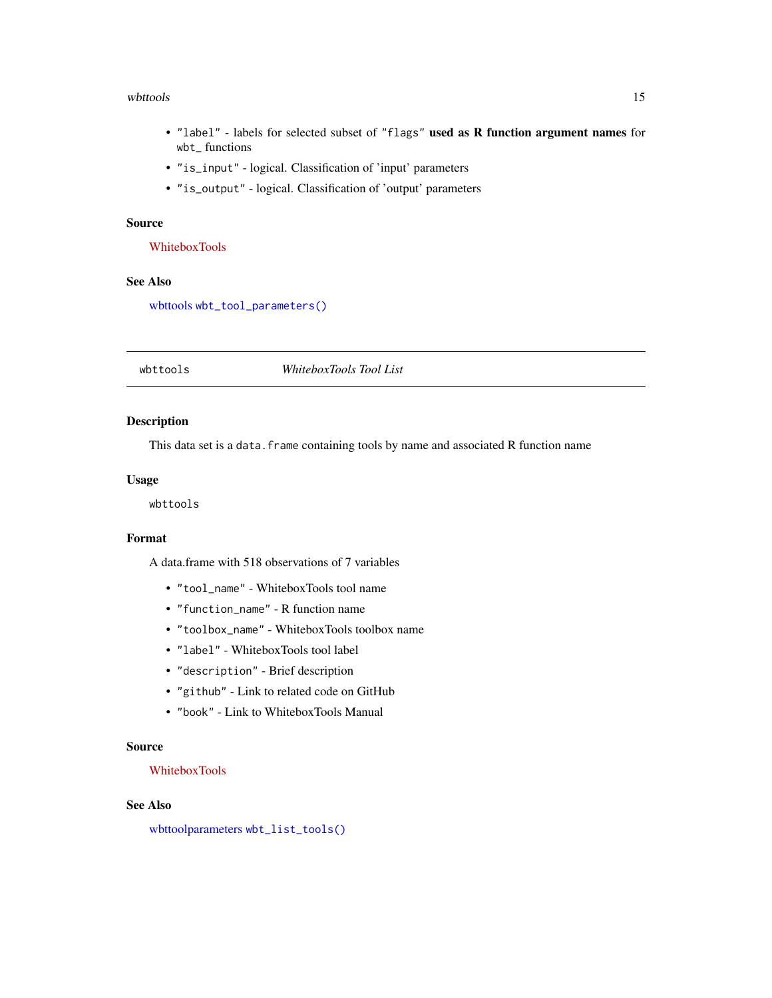#### <span id="page-14-0"></span>wbttools and the contract of the contract of the contract of the contract of the contract of the contract of the contract of the contract of the contract of the contract of the contract of the contract of the contract of t

- "label" labels for selected subset of "flags" used as R function argument names for wbt\_ functions
- "is\_input" logical. Classification of 'input' parameters
- "is\_output" logical. Classification of 'output' parameters

#### Source

[WhiteboxTools](https://github.com/jblindsay/whitebox-tools/releases/)

#### See Also

[wbttools](#page-14-1) [wbt\\_tool\\_parameters\(\)](#page-455-1)

<span id="page-14-1"></span>

#### wbttools *WhiteboxTools Tool List*

#### Description

This data set is a data. frame containing tools by name and associated R function name

#### Usage

wbttools

#### Format

A data.frame with 518 observations of 7 variables

- "tool\_name" WhiteboxTools tool name
- "function\_name" R function name
- "toolbox\_name" WhiteboxTools toolbox name
- "label" WhiteboxTools tool label
- "description" Brief description
- "github" Link to related code on GitHub
- "book" Link to WhiteboxTools Manual

#### Source

#### [WhiteboxTools](https://github.com/jblindsay/whitebox-tools/releases/)

#### See Also

[wbttoolparameters](#page-13-1) [wbt\\_list\\_tools\(\)](#page-264-1)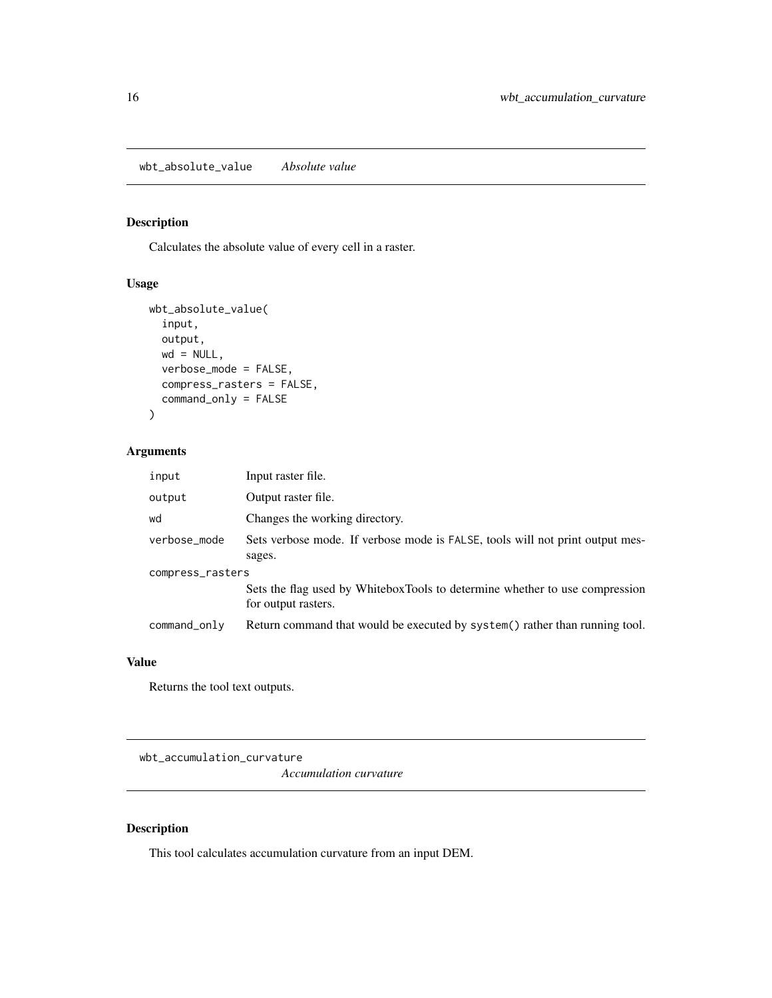<span id="page-15-0"></span>wbt\_absolute\_value *Absolute value*

#### Description

Calculates the absolute value of every cell in a raster.

# Usage

```
wbt_absolute_value(
  input,
 output,
 wd = NULL,verbose_mode = FALSE,
  compress_rasters = FALSE,
  command_only = FALSE
)
```
#### Arguments

| input            | Input raster file.                                                                                 |  |
|------------------|----------------------------------------------------------------------------------------------------|--|
| output           | Output raster file.                                                                                |  |
| wd               | Changes the working directory.                                                                     |  |
| verbose_mode     | Sets verbose mode. If verbose mode is FALSE, tools will not print output mes-                      |  |
|                  | sages.                                                                                             |  |
| compress_rasters |                                                                                                    |  |
|                  | Sets the flag used by WhiteboxTools to determine whether to use compression<br>for output rasters. |  |
| command_only     | Return command that would be executed by system() rather than running tool.                        |  |

#### Value

Returns the tool text outputs.

wbt\_accumulation\_curvature

*Accumulation curvature*

#### Description

This tool calculates accumulation curvature from an input DEM.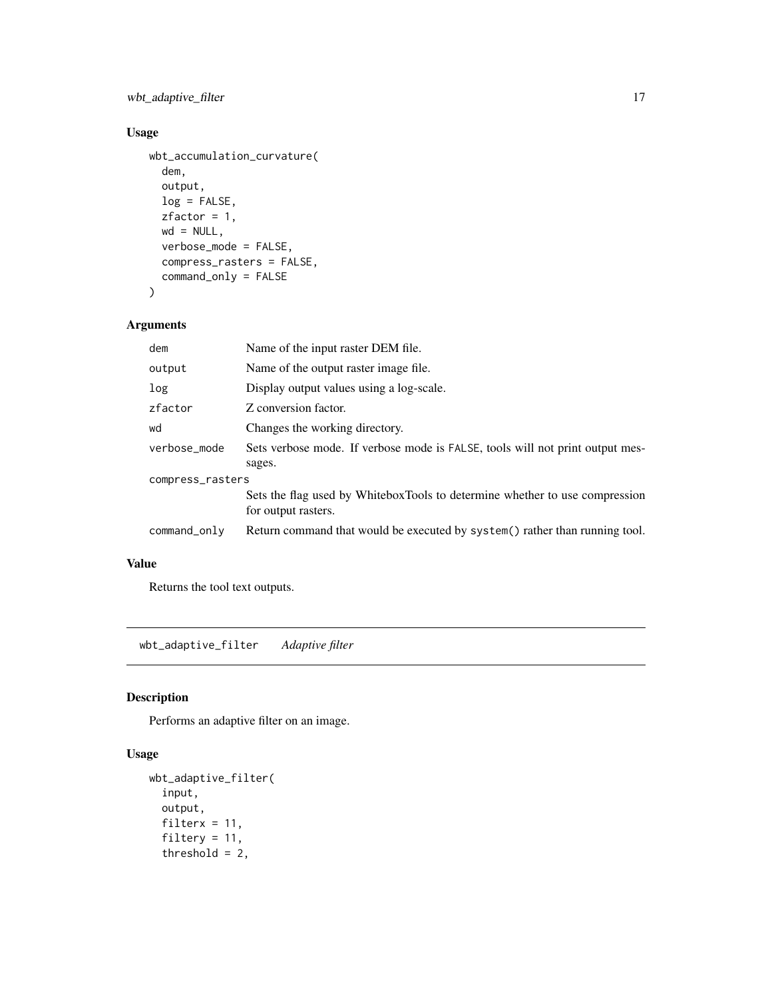<span id="page-16-0"></span>wbt\_adaptive\_filter 17

# Usage

```
wbt_accumulation_curvature(
 dem,
 output,
 log = FALSE,
 zfactor = 1,
 wd = NULL,verbose_mode = FALSE,
 compress_rasters = FALSE,
 command_only = FALSE
```

```
\mathcal{L}
```
#### Arguments

| dem              | Name of the input raster DEM file.                                                                 |  |
|------------------|----------------------------------------------------------------------------------------------------|--|
| output           | Name of the output raster image file.                                                              |  |
| log              | Display output values using a log-scale.                                                           |  |
| zfactor          | Z conversion factor.                                                                               |  |
| wd               | Changes the working directory.                                                                     |  |
| verbose_mode     | Sets verbose mode. If verbose mode is FALSE, tools will not print output mes-<br>sages.            |  |
| compress_rasters |                                                                                                    |  |
|                  | Sets the flag used by WhiteboxTools to determine whether to use compression<br>for output rasters. |  |
| command_only     | Return command that would be executed by system() rather than running tool.                        |  |

## Value

Returns the tool text outputs.

wbt\_adaptive\_filter *Adaptive filter*

#### Description

Performs an adaptive filter on an image.

```
wbt_adaptive_filter(
  input,
 output,
 filterx = 11,
  filtery = 11,
  threshold = 2,
```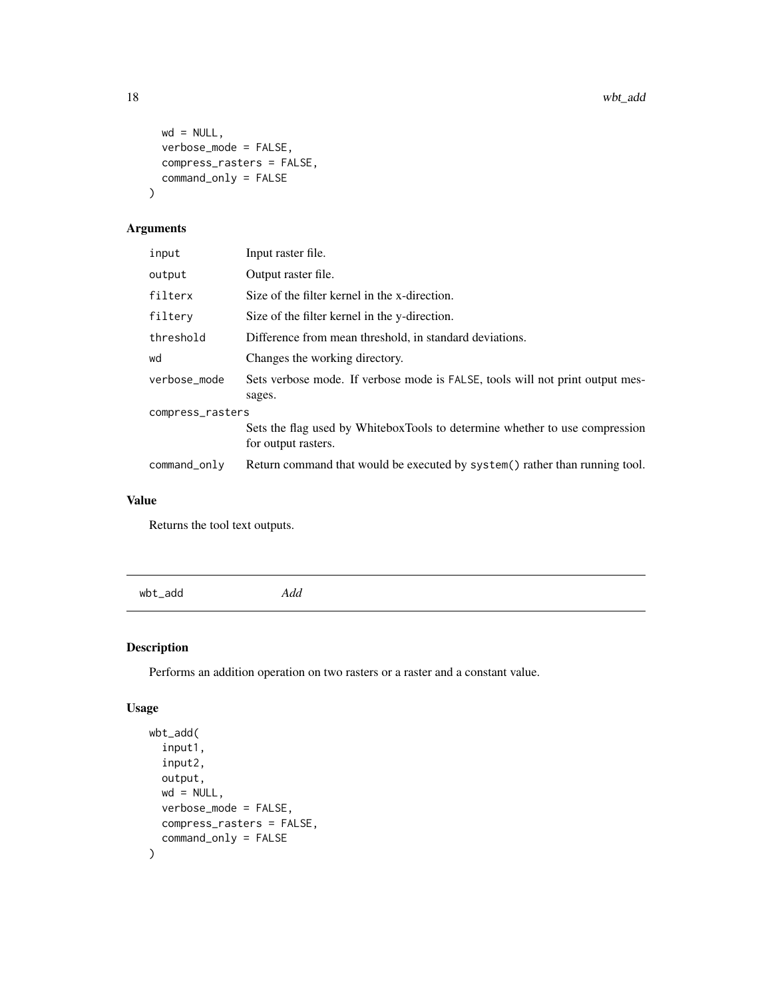```
wd = NULL,verbose_mode = FALSE,
 compress_rasters = FALSE,
 command_only = FALSE
)
```

| Output raster file.<br>output<br>filterx<br>Size of the filter kernel in the x-direction.<br>filterv<br>Size of the filter kernel in the y-direction.<br>threshold<br>Difference from mean threshold, in standard deviations.<br>Changes the working directory.<br>wd<br>verbose_mode<br>sages.<br>compress_rasters<br>for output rasters.<br>command_only | input | Input raster file.                                                            |  |
|------------------------------------------------------------------------------------------------------------------------------------------------------------------------------------------------------------------------------------------------------------------------------------------------------------------------------------------------------------|-------|-------------------------------------------------------------------------------|--|
|                                                                                                                                                                                                                                                                                                                                                            |       |                                                                               |  |
|                                                                                                                                                                                                                                                                                                                                                            |       |                                                                               |  |
|                                                                                                                                                                                                                                                                                                                                                            |       |                                                                               |  |
|                                                                                                                                                                                                                                                                                                                                                            |       |                                                                               |  |
|                                                                                                                                                                                                                                                                                                                                                            |       |                                                                               |  |
|                                                                                                                                                                                                                                                                                                                                                            |       | Sets verbose mode. If verbose mode is FALSE, tools will not print output mes- |  |
|                                                                                                                                                                                                                                                                                                                                                            |       |                                                                               |  |
|                                                                                                                                                                                                                                                                                                                                                            |       | Sets the flag used by WhiteboxTools to determine whether to use compression   |  |
|                                                                                                                                                                                                                                                                                                                                                            |       | Return command that would be executed by system() rather than running tool.   |  |

#### Value

Returns the tool text outputs.

wbt\_add *Add*

# Description

Performs an addition operation on two rasters or a raster and a constant value.

```
wbt_add(
  input1,
  input2,
  output,
  wd = NULL,verbose_mode = FALSE,
  compress_rasters = FALSE,
  command_only = FALSE
\mathcal{L}
```
<span id="page-17-0"></span>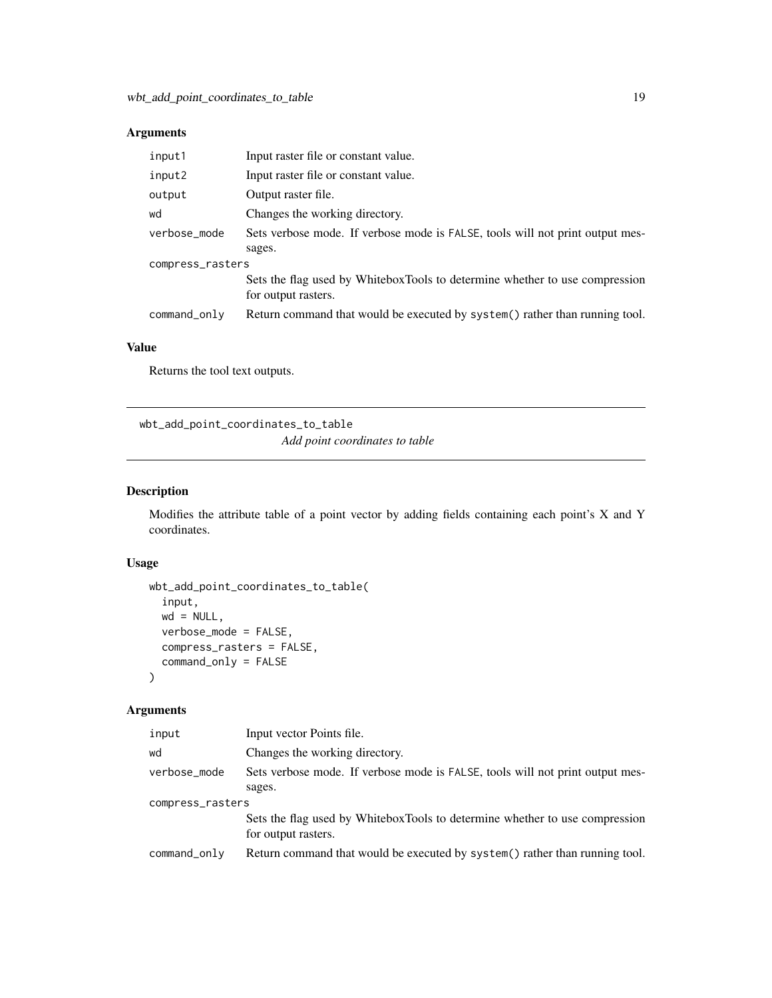<span id="page-18-0"></span>

| input1           | Input raster file or constant value.                                                               |  |
|------------------|----------------------------------------------------------------------------------------------------|--|
| input2           | Input raster file or constant value.                                                               |  |
| output           | Output raster file.                                                                                |  |
| wd               | Changes the working directory.                                                                     |  |
| verbose_mode     | Sets verbose mode. If verbose mode is FALSE, tools will not print output mes-                      |  |
|                  | sages.                                                                                             |  |
| compress_rasters |                                                                                                    |  |
|                  | Sets the flag used by WhiteboxTools to determine whether to use compression<br>for output rasters. |  |
| command_only     | Return command that would be executed by system() rather than running tool.                        |  |

# Value

Returns the tool text outputs.

wbt\_add\_point\_coordinates\_to\_table *Add point coordinates to table*

#### Description

Modifies the attribute table of a point vector by adding fields containing each point's X and Y coordinates.

#### Usage

```
wbt_add_point_coordinates_to_table(
  input,
 wd = NULL,verbose_mode = FALSE,
 compress_rasters = FALSE,
 command_only = FALSE
)
```
#### Arguments

| input            | Input vector Points file.                                                                          |  |
|------------------|----------------------------------------------------------------------------------------------------|--|
| wd               | Changes the working directory.                                                                     |  |
| verbose_mode     | Sets verbose mode. If verbose mode is FALSE, tools will not print output mes-                      |  |
|                  | sages.                                                                                             |  |
| compress_rasters |                                                                                                    |  |
|                  | Sets the flag used by WhiteboxTools to determine whether to use compression<br>for output rasters. |  |
| command_only     | Return command that would be executed by system() rather than running tool.                        |  |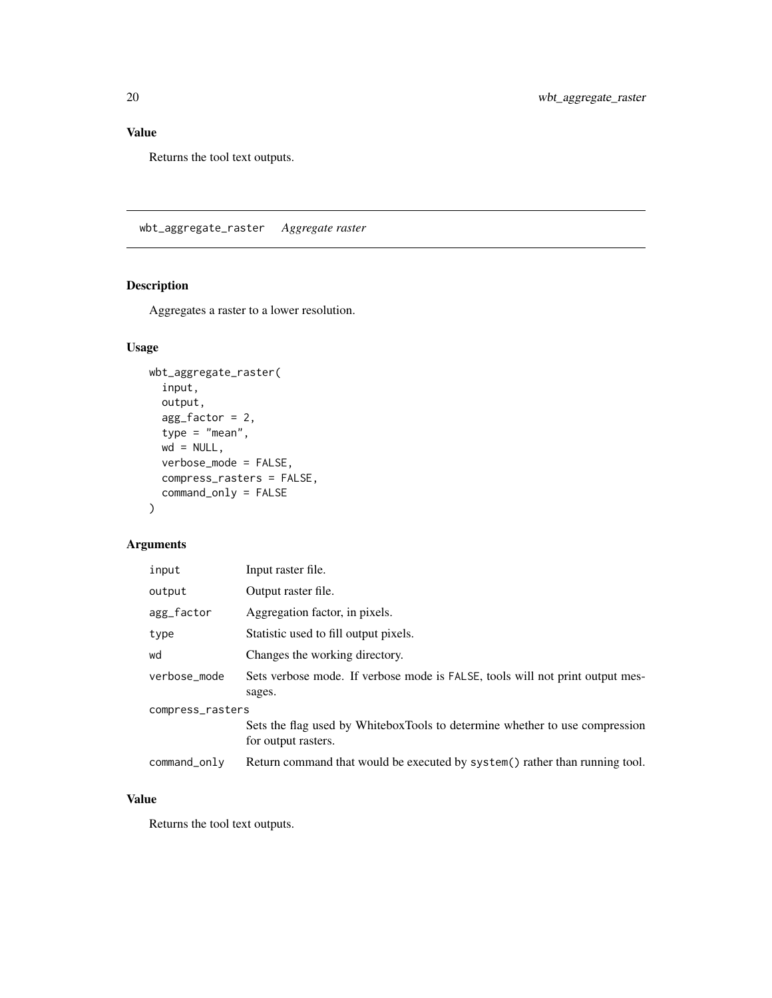## <span id="page-19-0"></span>Value

Returns the tool text outputs.

wbt\_aggregate\_raster *Aggregate raster*

# Description

Aggregates a raster to a lower resolution.

#### Usage

```
wbt_aggregate_raster(
  input,
 output,
 agg_factor = 2,
  type = "mean",
 wd = NULL,verbose_mode = FALSE,
 compress_rasters = FALSE,
 command_only = FALSE
\mathcal{L}
```
# Arguments

| input            | Input raster file.                                                                                 |  |
|------------------|----------------------------------------------------------------------------------------------------|--|
| output           | Output raster file.                                                                                |  |
| agg_factor       | Aggregation factor, in pixels.                                                                     |  |
| type             | Statistic used to fill output pixels.                                                              |  |
| wd               | Changes the working directory.                                                                     |  |
| verbose_mode     | Sets verbose mode. If verbose mode is FALSE, tools will not print output mes-<br>sages.            |  |
| compress_rasters |                                                                                                    |  |
|                  | Sets the flag used by WhiteboxTools to determine whether to use compression<br>for output rasters. |  |
| $command\_only$  | Return command that would be executed by system() rather than running tool.                        |  |

#### Value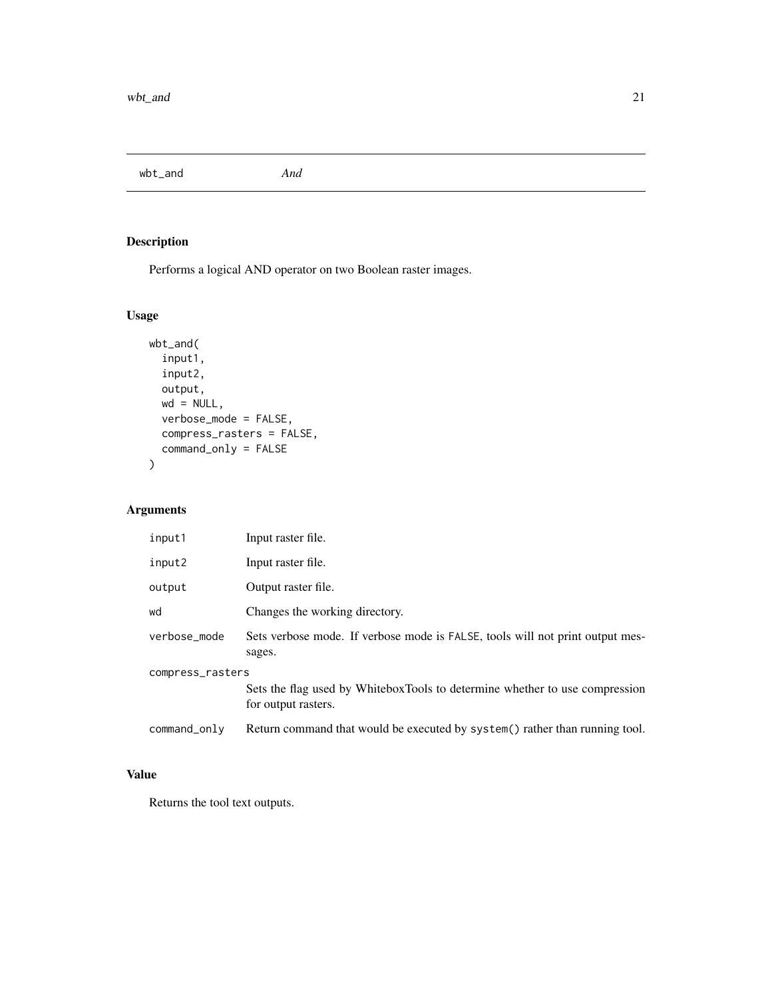<span id="page-20-0"></span>wbt\_and *And*

# Description

Performs a logical AND operator on two Boolean raster images.

# Usage

```
wbt_and(
  input1,
  input2,
 output,
 wd = NULL,verbose_mode = FALSE,
 compress_rasters = FALSE,
 command_only = FALSE
)
```
### Arguments

| input1           | Input raster file.                                                                                 |  |
|------------------|----------------------------------------------------------------------------------------------------|--|
| input2           | Input raster file.                                                                                 |  |
| output           | Output raster file.                                                                                |  |
| wd               | Changes the working directory.                                                                     |  |
| verbose mode     | Sets verbose mode. If verbose mode is FALSE, tools will not print output mes-<br>sages.            |  |
| compress_rasters |                                                                                                    |  |
|                  | Sets the flag used by WhiteboxTools to determine whether to use compression<br>for output rasters. |  |
| command_only     | Return command that would be executed by system() rather than running tool.                        |  |

### Value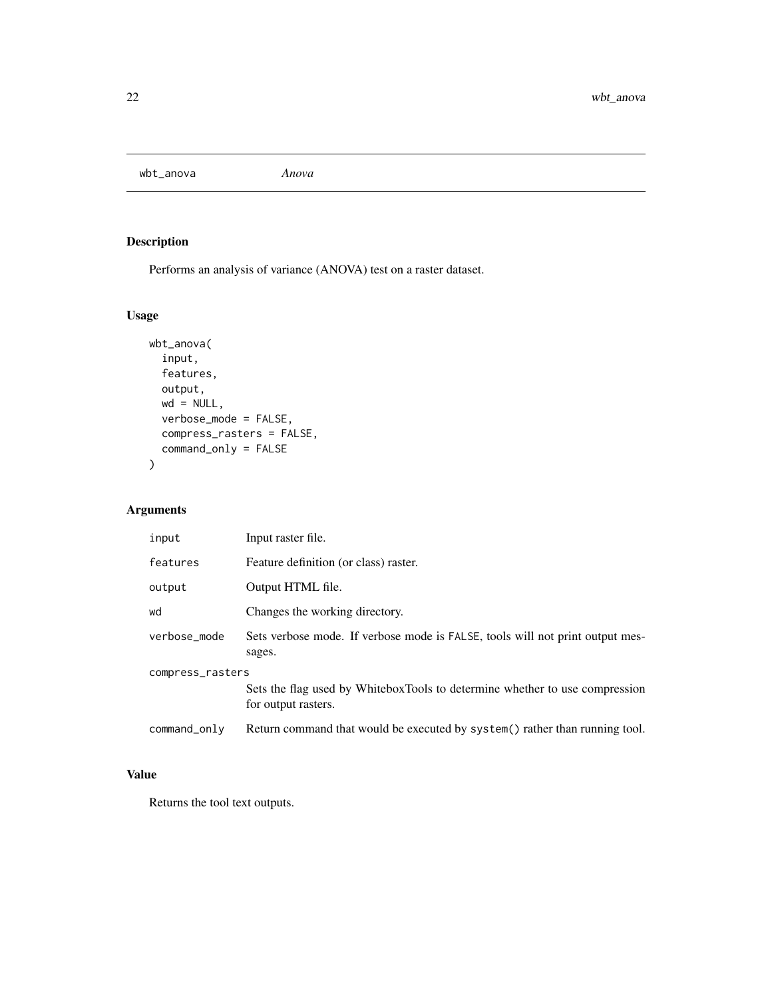<span id="page-21-0"></span>wbt\_anova *Anova*

# Description

Performs an analysis of variance (ANOVA) test on a raster dataset.

# Usage

```
wbt_anova(
  input,
  features,
 output,
 wd = NULL,verbose_mode = FALSE,
 compress_rasters = FALSE,
 command_only = FALSE
)
```
#### Arguments

| input            | Input raster file.                                                                                 |  |
|------------------|----------------------------------------------------------------------------------------------------|--|
| features         | Feature definition (or class) raster.                                                              |  |
| output           | Output HTML file.                                                                                  |  |
| wd               | Changes the working directory.                                                                     |  |
| verbose_mode     | Sets verbose mode. If verbose mode is FALSE, tools will not print output mes-<br>sages.            |  |
| compress_rasters |                                                                                                    |  |
|                  | Sets the flag used by WhiteboxTools to determine whether to use compression<br>for output rasters. |  |
| command_only     | Return command that would be executed by system() rather than running tool.                        |  |

### Value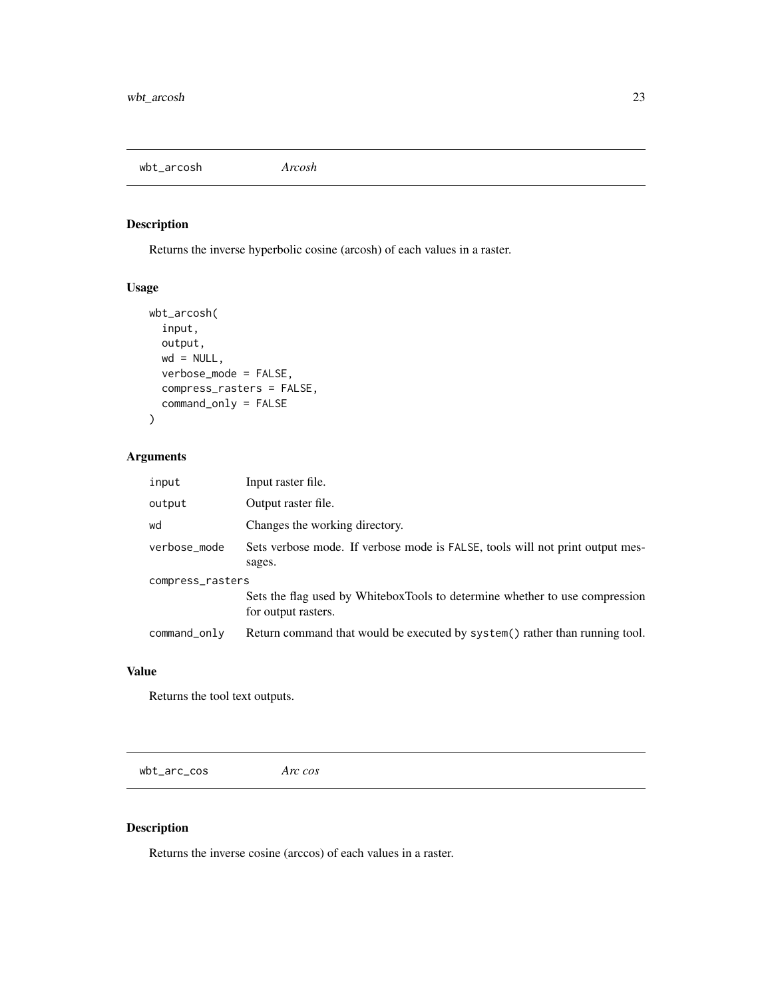<span id="page-22-0"></span>wbt\_arcosh *Arcosh*

# Description

Returns the inverse hyperbolic cosine (arcosh) of each values in a raster.

#### Usage

```
wbt_arcosh(
  input,
  output,
  wd = NULL,verbose_mode = FALSE,
  compress_rasters = FALSE,
  command_only = FALSE
\mathcal{L}
```
#### Arguments

| input            | Input raster file.                                                                                 |  |
|------------------|----------------------------------------------------------------------------------------------------|--|
| output           | Output raster file.                                                                                |  |
| wd               | Changes the working directory.                                                                     |  |
| verbose_mode     | Sets verbose mode. If verbose mode is FALSE, tools will not print output mes-<br>sages.            |  |
| compress_rasters |                                                                                                    |  |
|                  | Sets the flag used by WhiteboxTools to determine whether to use compression<br>for output rasters. |  |
| command_only     | Return command that would be executed by system() rather than running tool.                        |  |

#### Value

Returns the tool text outputs.

wbt\_arc\_cos *Arc cos*

#### Description

Returns the inverse cosine (arccos) of each values in a raster.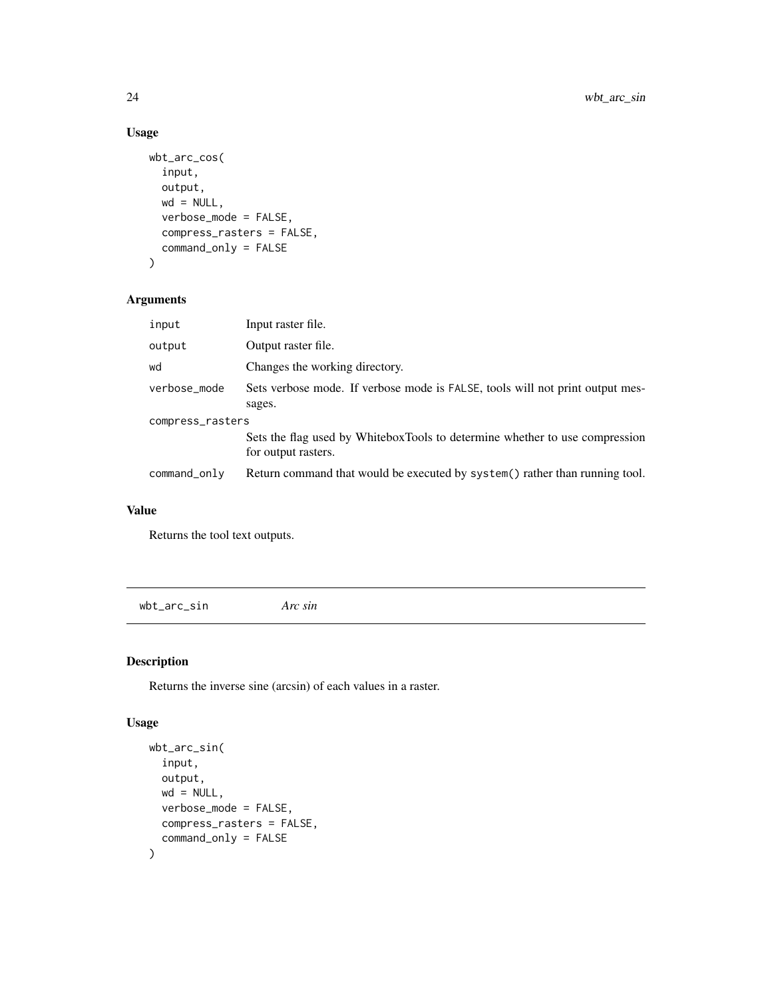# Usage

```
wbt_arc_cos(
  input,
 output,
 wd = NULL,verbose_mode = FALSE,
 compress_rasters = FALSE,
 command_only = FALSE
)
```
#### Arguments

| input            | Input raster file.                                                                                 |  |
|------------------|----------------------------------------------------------------------------------------------------|--|
| output           | Output raster file.                                                                                |  |
| wd               | Changes the working directory.                                                                     |  |
| verbose_mode     | Sets verbose mode. If verbose mode is FALSE, tools will not print output mes-<br>sages.            |  |
| compress_rasters |                                                                                                    |  |
|                  | Sets the flag used by WhiteboxTools to determine whether to use compression<br>for output rasters. |  |
| command_only     | Return command that would be executed by system() rather than running tool.                        |  |

#### Value

Returns the tool text outputs.

wbt\_arc\_sin *Arc sin*

# Description

Returns the inverse sine (arcsin) of each values in a raster.

```
wbt_arc_sin(
  input,
  output,
  wd = NULL,verbose_mode = FALSE,
  compress_rasters = FALSE,
  command_only = FALSE
\mathcal{L}
```
<span id="page-23-0"></span>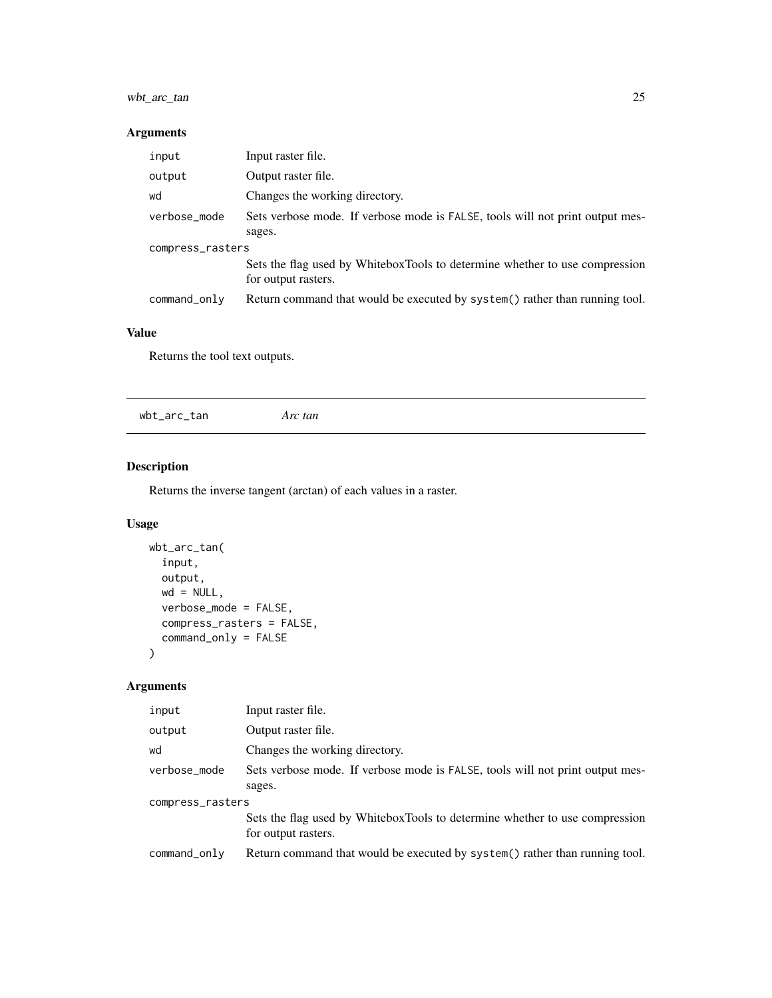# <span id="page-24-0"></span>wbt\_arc\_tan 25

#### Arguments

| input            | Input raster file.                                                                                 |  |
|------------------|----------------------------------------------------------------------------------------------------|--|
| output           | Output raster file.                                                                                |  |
| wd               | Changes the working directory.                                                                     |  |
| verbose_mode     | Sets verbose mode. If verbose mode is FALSE, tools will not print output mes-                      |  |
|                  | sages.                                                                                             |  |
| compress_rasters |                                                                                                    |  |
|                  | Sets the flag used by WhiteboxTools to determine whether to use compression<br>for output rasters. |  |
| command_only     | Return command that would be executed by system() rather than running tool.                        |  |

### Value

Returns the tool text outputs.

wbt\_arc\_tan *Arc tan*

# Description

Returns the inverse tangent (arctan) of each values in a raster.

#### Usage

```
wbt_arc_tan(
  input,
  output,
  wd = NULL,verbose_mode = FALSE,
  compress_rasters = FALSE,
  command_only = FALSE
\mathcal{L}
```
# Arguments

| input            | Input raster file.                                                                                 |  |
|------------------|----------------------------------------------------------------------------------------------------|--|
| output           | Output raster file.                                                                                |  |
| wd               | Changes the working directory.                                                                     |  |
| verbose_mode     | Sets verbose mode. If verbose mode is FALSE, tools will not print output mes-<br>sages.            |  |
| compress_rasters |                                                                                                    |  |
|                  | Sets the flag used by WhiteboxTools to determine whether to use compression<br>for output rasters. |  |
| command_only     | Return command that would be executed by system() rather than running tool.                        |  |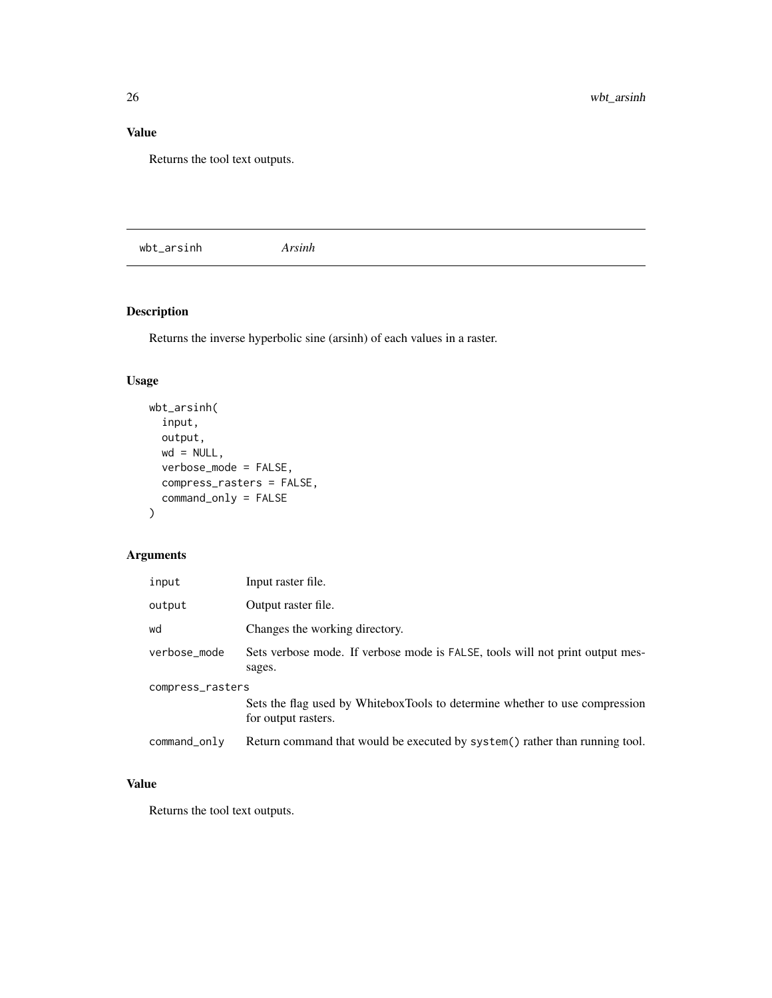### <span id="page-25-0"></span>Value

Returns the tool text outputs.

wbt\_arsinh *Arsinh*

# Description

Returns the inverse hyperbolic sine (arsinh) of each values in a raster.

#### Usage

```
wbt_arsinh(
  input,
 output,
 wd = NULL,verbose_mode = FALSE,
 compress_rasters = FALSE,
  command_only = FALSE
)
```
# Arguments

| input            | Input raster file.                                                                                 |  |
|------------------|----------------------------------------------------------------------------------------------------|--|
| output           | Output raster file.                                                                                |  |
| wd               | Changes the working directory.                                                                     |  |
| verbose_mode     | Sets verbose mode. If verbose mode is FALSE, tools will not print output mes-<br>sages.            |  |
| compress_rasters |                                                                                                    |  |
|                  | Sets the flag used by WhiteboxTools to determine whether to use compression<br>for output rasters. |  |
| command_only     | Return command that would be executed by system () rather than running tool.                       |  |

# Value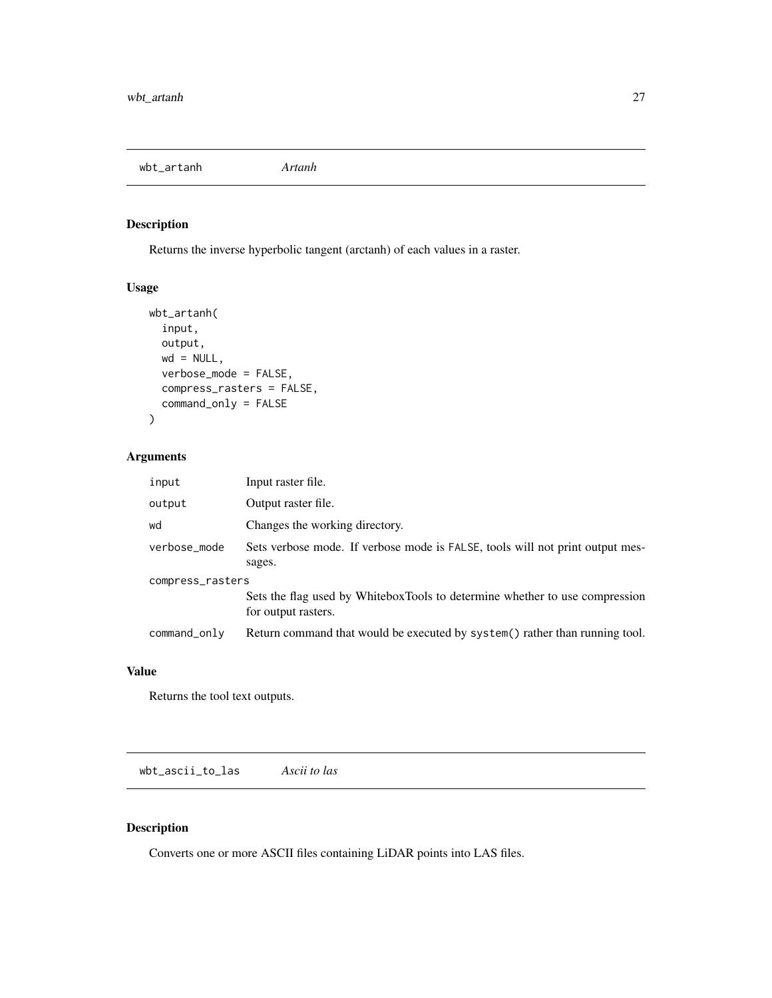<span id="page-26-0"></span>wbt\_artanh *Artanh*

# Description

Returns the inverse hyperbolic tangent (arctanh) of each values in a raster.

#### Usage

```
wbt_artanh(
  input,
  output,
  wd = NULL,verbose_mode = FALSE,
  compress_rasters = FALSE,
  command_only = FALSE
\mathcal{L}
```
#### Arguments

| input            | Input raster file.                                                                                 |  |
|------------------|----------------------------------------------------------------------------------------------------|--|
| output           | Output raster file.                                                                                |  |
| wd               | Changes the working directory.                                                                     |  |
| verbose_mode     | Sets verbose mode. If verbose mode is FALSE, tools will not print output mes-<br>sages.            |  |
| compress_rasters |                                                                                                    |  |
|                  | Sets the flag used by WhiteboxTools to determine whether to use compression<br>for output rasters. |  |
| command_only     | Return command that would be executed by system() rather than running tool.                        |  |

#### Value

Returns the tool text outputs.

wbt\_ascii\_to\_las *Ascii to las*

#### Description

Converts one or more ASCII files containing LiDAR points into LAS files.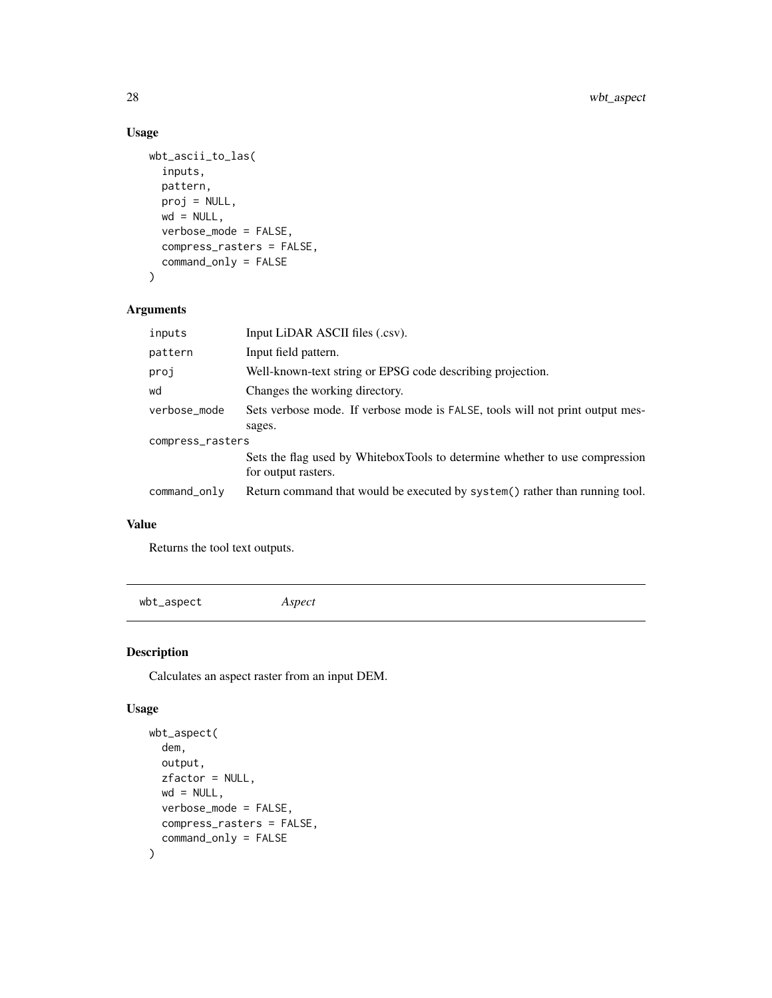## Usage

```
wbt_ascii_to_las(
  inputs,
 pattern,
 proj = NULL,
 wd = NULL,verbose_mode = FALSE,
  compress_rasters = FALSE,
  command_only = FALSE
)
```
## Arguments

| inputs           | Input LiDAR ASCII files (.csv).                                                                    |  |
|------------------|----------------------------------------------------------------------------------------------------|--|
| pattern          | Input field pattern.                                                                               |  |
| proj             | Well-known-text string or EPSG code describing projection.                                         |  |
| wd               | Changes the working directory.                                                                     |  |
| verbose_mode     | Sets verbose mode. If verbose mode is FALSE, tools will not print output mes-                      |  |
|                  | sages.                                                                                             |  |
| compress_rasters |                                                                                                    |  |
|                  | Sets the flag used by WhiteboxTools to determine whether to use compression<br>for output rasters. |  |
| command_only     | Return command that would be executed by system() rather than running tool.                        |  |

### Value

Returns the tool text outputs.

wbt\_aspect *Aspect*

## Description

Calculates an aspect raster from an input DEM.

```
wbt_aspect(
  dem,
 output,
 zfactor = NULL,
 wd = NULL,verbose_mode = FALSE,
 compress_rasters = FALSE,
  command_only = FALSE
\mathcal{L}
```
<span id="page-27-0"></span>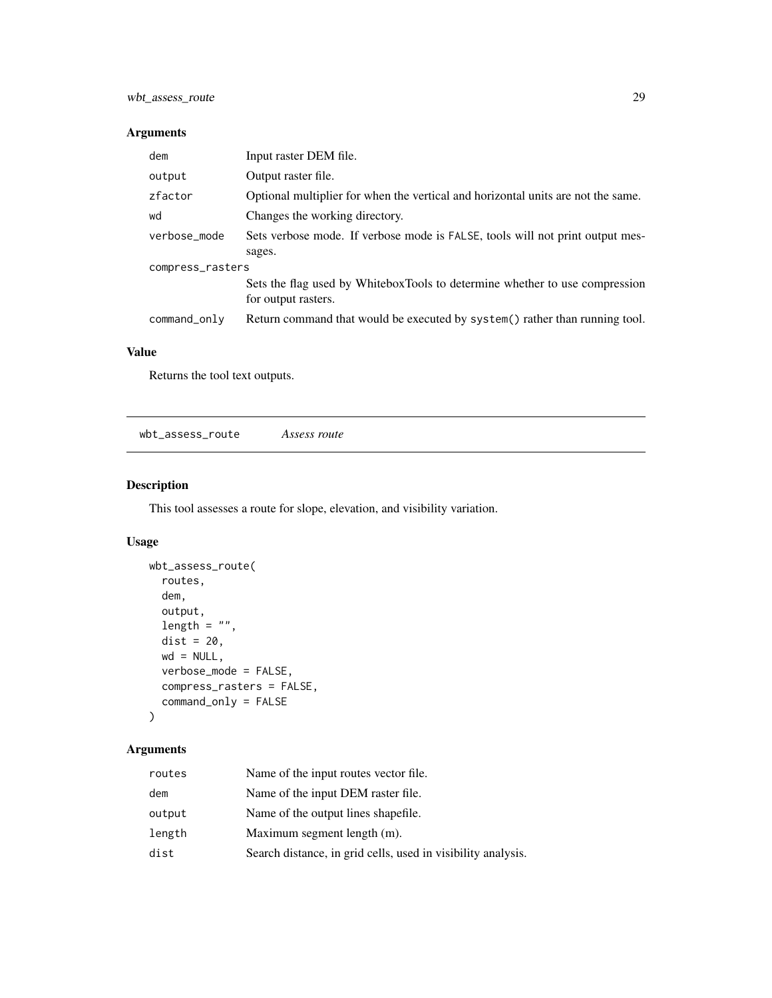<span id="page-28-0"></span>

| dem              | Input raster DEM file.                                                                             |  |
|------------------|----------------------------------------------------------------------------------------------------|--|
| output           | Output raster file.                                                                                |  |
| zfactor          | Optional multiplier for when the vertical and horizontal units are not the same.                   |  |
| wd               | Changes the working directory.                                                                     |  |
| verbose_mode     | Sets verbose mode. If verbose mode is FALSE, tools will not print output mes-                      |  |
|                  | sages.                                                                                             |  |
| compress_rasters |                                                                                                    |  |
|                  | Sets the flag used by WhiteboxTools to determine whether to use compression<br>for output rasters. |  |
| command_only     | Return command that would be executed by system () rather than running tool.                       |  |
|                  |                                                                                                    |  |

#### Value

Returns the tool text outputs.

wbt\_assess\_route *Assess route*

# Description

This tool assesses a route for slope, elevation, and visibility variation.

# Usage

```
wbt_assess_route(
  routes,
  dem,
  output,
  length = "",dist = 20,
  wd = NULL,verbose_mode = FALSE,
  compress_rasters = FALSE,
  command_only = FALSE
\mathcal{L}
```
# Arguments

| routes | Name of the input routes vector file.                        |
|--------|--------------------------------------------------------------|
| dem    | Name of the input DEM raster file.                           |
| output | Name of the output lines shapefile.                          |
| length | Maximum segment length (m).                                  |
| dist   | Search distance, in grid cells, used in visibility analysis. |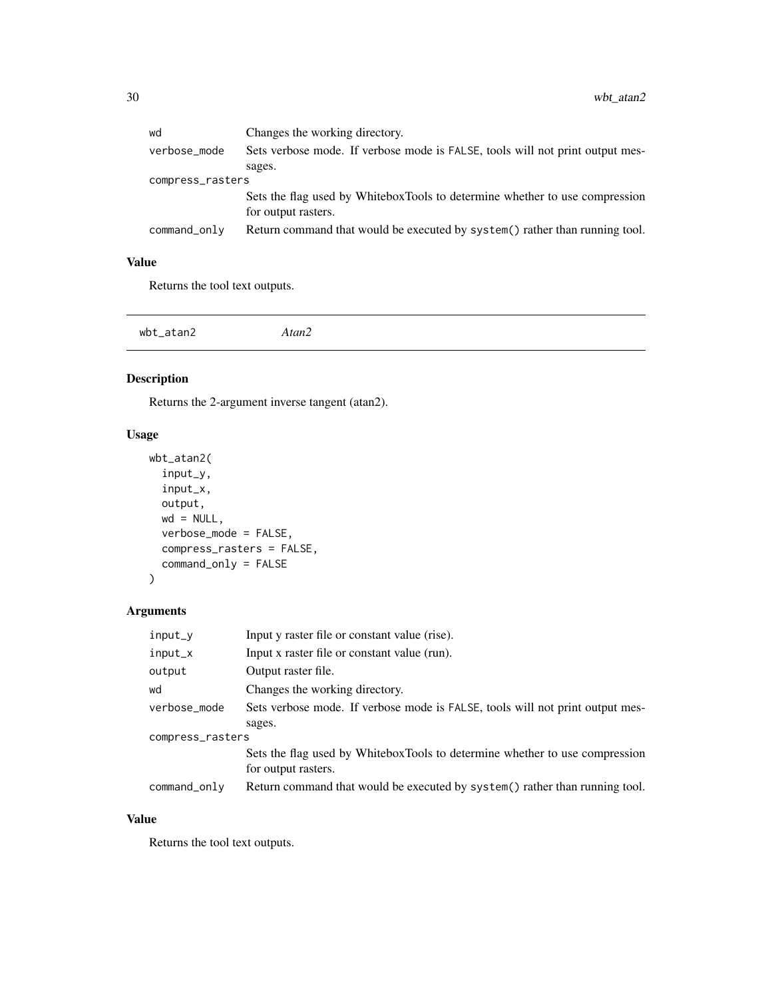<span id="page-29-0"></span>

| wd               | Changes the working directory.                                                |  |
|------------------|-------------------------------------------------------------------------------|--|
| verbose_mode     | Sets verbose mode. If verbose mode is FALSE, tools will not print output mes- |  |
|                  | sages.                                                                        |  |
| compress_rasters |                                                                               |  |
|                  | Sets the flag used by WhiteboxTools to determine whether to use compression   |  |
|                  | for output rasters.                                                           |  |
| command_only     | Return command that would be executed by system() rather than running tool.   |  |
|                  |                                                                               |  |

#### Value

Returns the tool text outputs.

```
wbt_atan2 Atan2
```
# Description

Returns the 2-argument inverse tangent (atan2).

#### Usage

```
wbt_atan2(
 input_y,
 input_x,
 output,
 wd = NULL,verbose_mode = FALSE,
 compress_rasters = FALSE,
 command_only = FALSE
)
```
# Arguments

| input_y          | Input y raster file or constant value (rise).                                 |  |
|------------------|-------------------------------------------------------------------------------|--|
| input_x          | Input x raster file or constant value (run).                                  |  |
| output           | Output raster file.                                                           |  |
| wd               | Changes the working directory.                                                |  |
| verbose_mode     | Sets verbose mode. If verbose mode is FALSE, tools will not print output mes- |  |
|                  | sages.                                                                        |  |
| compress_rasters |                                                                               |  |
|                  | Sets the flag used by WhiteboxTools to determine whether to use compression   |  |
|                  | for output rasters.                                                           |  |
| command_only     | Return command that would be executed by system() rather than running tool.   |  |

# Value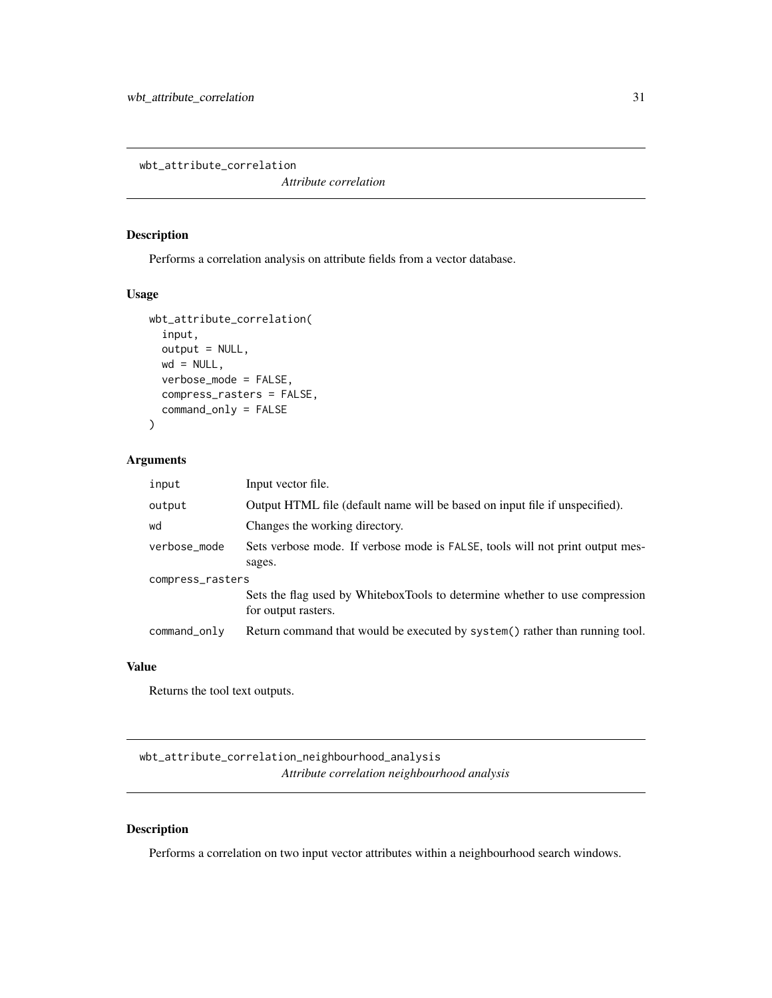<span id="page-30-0"></span>wbt\_attribute\_correlation

*Attribute correlation*

#### Description

Performs a correlation analysis on attribute fields from a vector database.

#### Usage

```
wbt_attribute_correlation(
  input,
 output = NULL,
 wd = NULL,verbose_mode = FALSE,
  compress_rasters = FALSE,
  command_only = FALSE
\mathcal{L}
```
#### Arguments

| input            | Input vector file.                                                                                 |  |
|------------------|----------------------------------------------------------------------------------------------------|--|
| output           | Output HTML file (default name will be based on input file if unspecified).                        |  |
| wd               | Changes the working directory.                                                                     |  |
| verbose_mode     | Sets verbose mode. If verbose mode is FALSE, tools will not print output mes-                      |  |
|                  | sages.                                                                                             |  |
| compress_rasters |                                                                                                    |  |
|                  | Sets the flag used by WhiteboxTools to determine whether to use compression<br>for output rasters. |  |
| command_only     | Return command that would be executed by system () rather than running tool.                       |  |

#### Value

Returns the tool text outputs.

wbt\_attribute\_correlation\_neighbourhood\_analysis *Attribute correlation neighbourhood analysis*

#### Description

Performs a correlation on two input vector attributes within a neighbourhood search windows.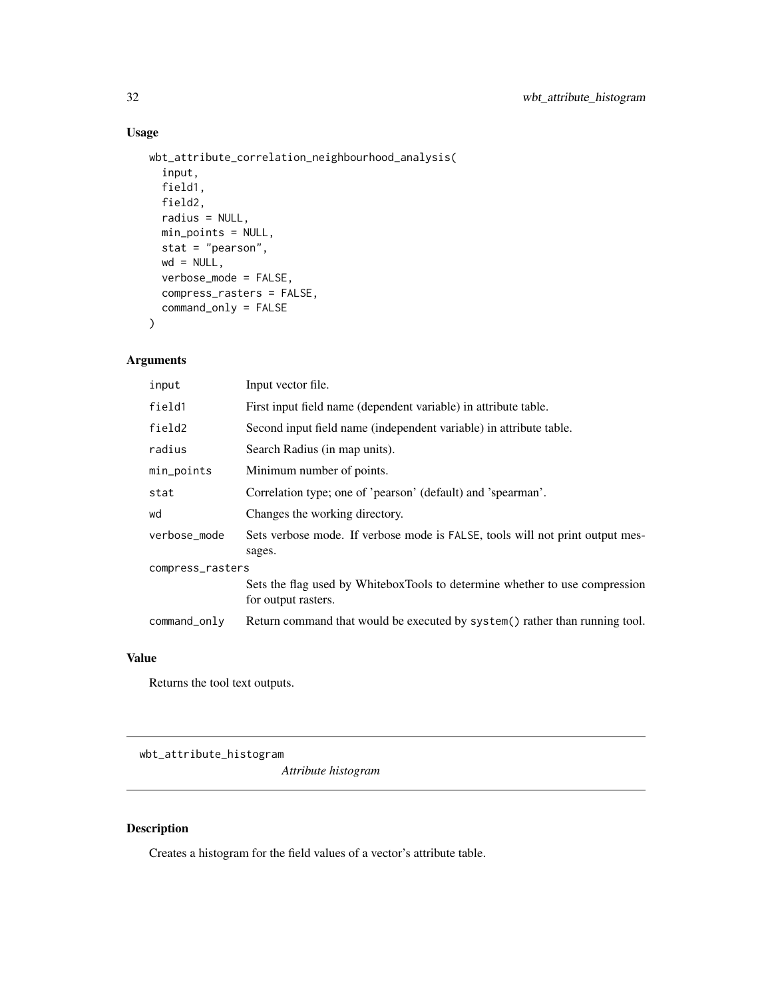# Usage

```
wbt_attribute_correlation_neighbourhood_analysis(
  input,
 field1,
 field2,
 radius = NULL,
 min_points = NULL,
 stat = "pearson",
 wd = NULL,verbose_mode = FALSE,
 compress_rasters = FALSE,
 command_only = FALSE
)
```
#### Arguments

| input            | Input vector file.                                                                                 |  |
|------------------|----------------------------------------------------------------------------------------------------|--|
| field1           | First input field name (dependent variable) in attribute table.                                    |  |
| field2           | Second input field name (independent variable) in attribute table.                                 |  |
| radius           | Search Radius (in map units).                                                                      |  |
| min_points       | Minimum number of points.                                                                          |  |
| stat             | Correlation type; one of 'pearson' (default) and 'spearman'.                                       |  |
| wd               | Changes the working directory.                                                                     |  |
| verbose_mode     | Sets verbose mode. If verbose mode is FALSE, tools will not print output mes-<br>sages.            |  |
| compress_rasters |                                                                                                    |  |
|                  | Sets the flag used by WhiteboxTools to determine whether to use compression<br>for output rasters. |  |
| command_only     | Return command that would be executed by system() rather than running tool.                        |  |

#### Value

Returns the tool text outputs.

wbt\_attribute\_histogram

*Attribute histogram*

#### Description

Creates a histogram for the field values of a vector's attribute table.

<span id="page-31-0"></span>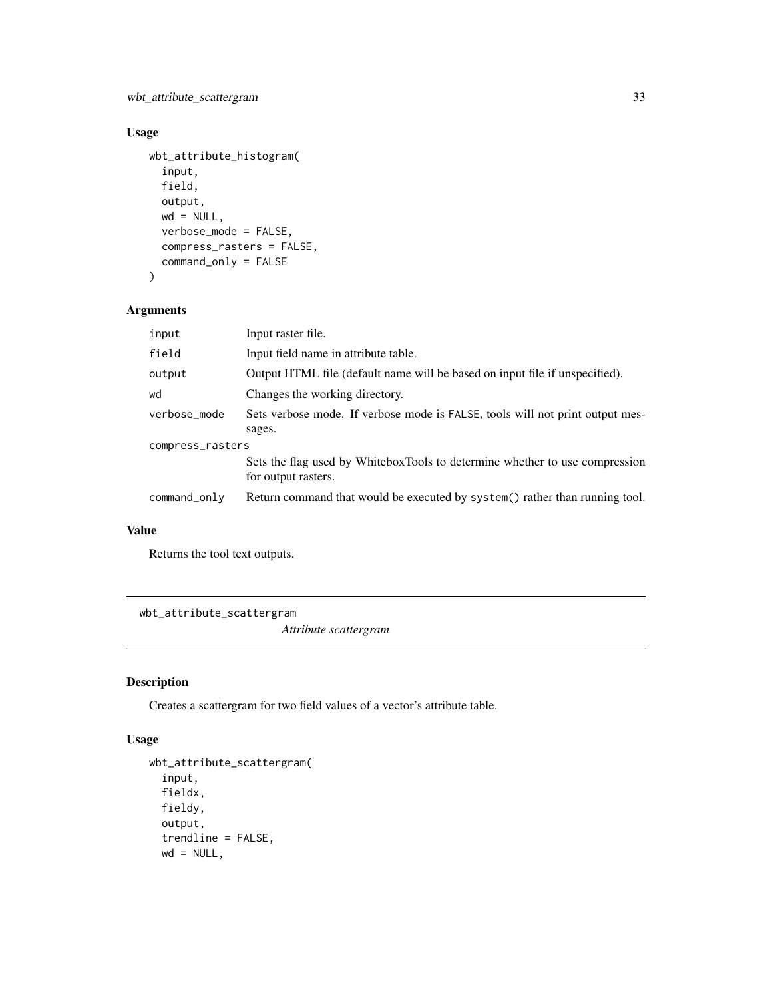# <span id="page-32-0"></span>Usage

```
wbt_attribute_histogram(
  input,
  field,
 output,
 wd = NULL,verbose_mode = FALSE,
  compress_rasters = FALSE,
  command_only = FALSE
\mathcal{L}
```
#### Arguments

| input            | Input raster file.                                                                                 |  |
|------------------|----------------------------------------------------------------------------------------------------|--|
| field            | Input field name in attribute table.                                                               |  |
| output           | Output HTML file (default name will be based on input file if unspecified).                        |  |
| wd               | Changes the working directory.                                                                     |  |
| verbose_mode     | Sets verbose mode. If verbose mode is FALSE, tools will not print output mes-                      |  |
|                  | sages.                                                                                             |  |
| compress_rasters |                                                                                                    |  |
|                  | Sets the flag used by WhiteboxTools to determine whether to use compression<br>for output rasters. |  |
| command_only     | Return command that would be executed by system() rather than running tool.                        |  |

## Value

Returns the tool text outputs.

wbt\_attribute\_scattergram

*Attribute scattergram*

#### Description

Creates a scattergram for two field values of a vector's attribute table.

```
wbt_attribute_scattergram(
  input,
 fieldx,
  fieldy,
  output,
  trendline = FALSE,
 wd = NULL,
```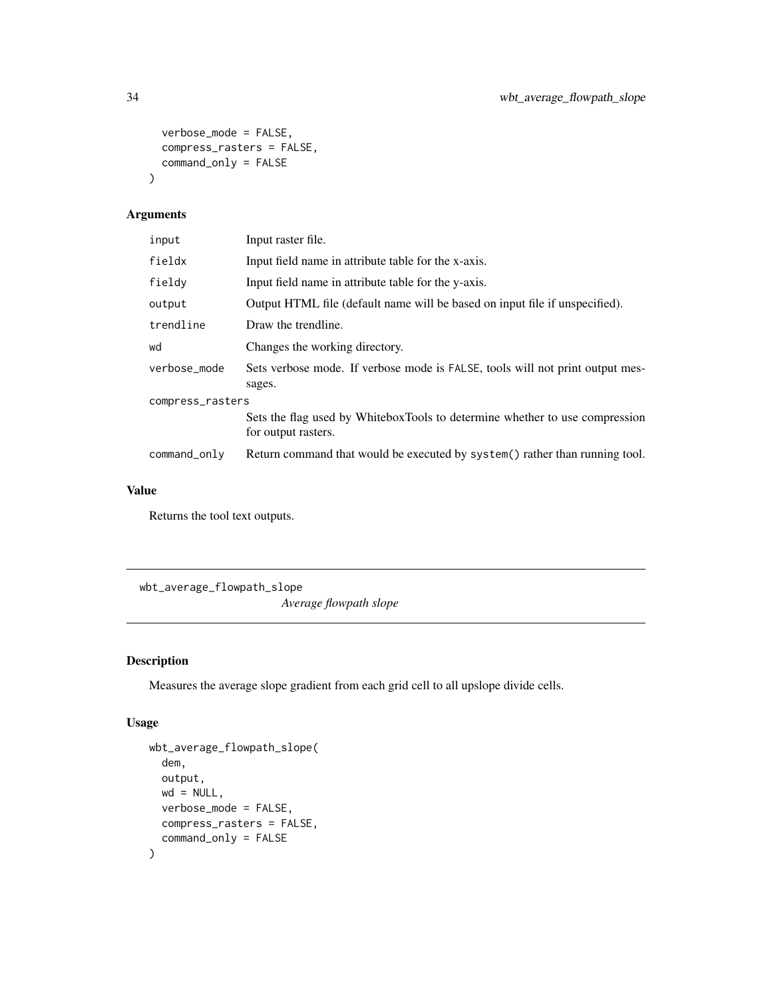```
verbose_mode = FALSE,
 compress_rasters = FALSE,
  command_only = FALSE
\mathcal{L}
```

| input            | Input raster file.                                                                                 |  |
|------------------|----------------------------------------------------------------------------------------------------|--|
| fieldx           | Input field name in attribute table for the x-axis.                                                |  |
| fieldy           | Input field name in attribute table for the y-axis.                                                |  |
| output           | Output HTML file (default name will be based on input file if unspecified).                        |  |
| trendline        | Draw the trendline.                                                                                |  |
| wd               | Changes the working directory.                                                                     |  |
| verbose_mode     | Sets verbose mode. If verbose mode is FALSE, tools will not print output mes-<br>sages.            |  |
| compress_rasters |                                                                                                    |  |
|                  | Sets the flag used by WhiteboxTools to determine whether to use compression<br>for output rasters. |  |
| command_only     | Return command that would be executed by system() rather than running tool.                        |  |

#### Value

Returns the tool text outputs.

wbt\_average\_flowpath\_slope

*Average flowpath slope*

# Description

Measures the average slope gradient from each grid cell to all upslope divide cells.

```
wbt_average_flowpath_slope(
  dem,
  output,
 wd = NULL,verbose_mode = FALSE,
 compress_rasters = FALSE,
  command_only = FALSE
\mathcal{L}
```
<span id="page-33-0"></span>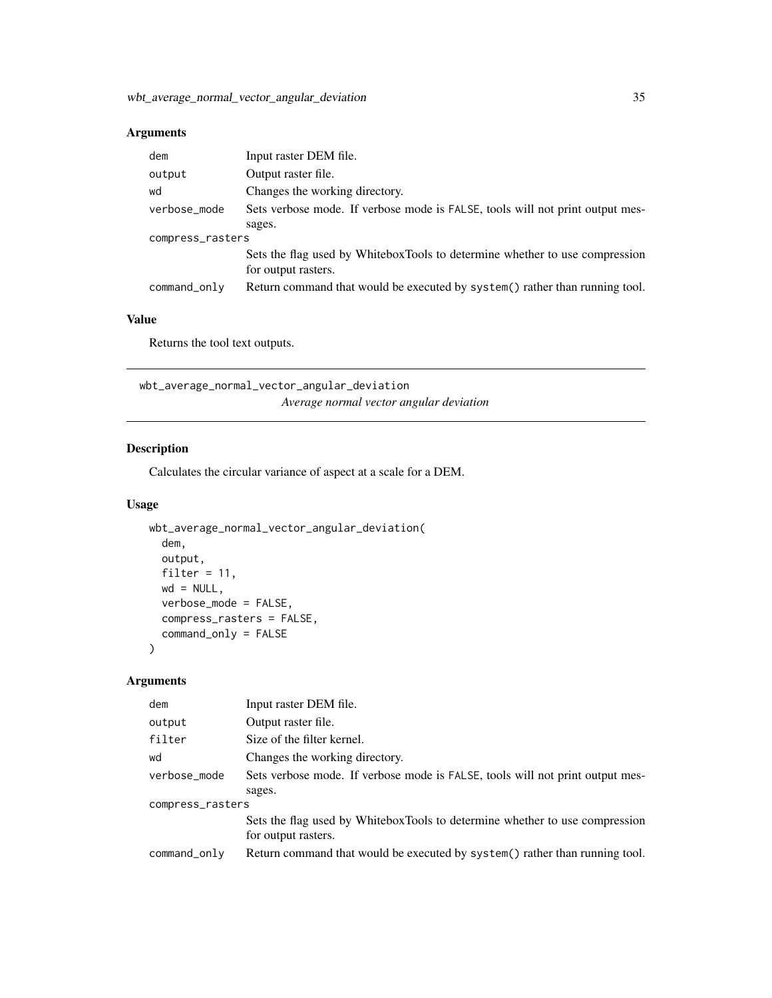<span id="page-34-0"></span>

| dem              | Input raster DEM file.                                                                             |  |
|------------------|----------------------------------------------------------------------------------------------------|--|
| output           | Output raster file.                                                                                |  |
| wd               | Changes the working directory.                                                                     |  |
| verbose_mode     | Sets verbose mode. If verbose mode is FALSE, tools will not print output mes-                      |  |
|                  | sages.                                                                                             |  |
| compress_rasters |                                                                                                    |  |
|                  | Sets the flag used by WhiteboxTools to determine whether to use compression<br>for output rasters. |  |
| command_only     | Return command that would be executed by system() rather than running tool.                        |  |

#### Value

Returns the tool text outputs.

wbt\_average\_normal\_vector\_angular\_deviation *Average normal vector angular deviation*

#### Description

Calculates the circular variance of aspect at a scale for a DEM.

#### Usage

```
wbt_average_normal_vector_angular_deviation(
 dem,
 output,
 filter = 11,
 wd = NULL,verbose_mode = FALSE,
 compress_rasters = FALSE,
 command_only = FALSE
)
```
#### Arguments

| dem              | Input raster DEM file.                                                                             |  |
|------------------|----------------------------------------------------------------------------------------------------|--|
| output           | Output raster file.                                                                                |  |
| filter           | Size of the filter kernel.                                                                         |  |
| wd               | Changes the working directory.                                                                     |  |
| verbose_mode     | Sets verbose mode. If verbose mode is FALSE, tools will not print output mes-                      |  |
|                  | sages.                                                                                             |  |
| compress_rasters |                                                                                                    |  |
|                  | Sets the flag used by WhiteboxTools to determine whether to use compression<br>for output rasters. |  |
| command_only     | Return command that would be executed by system () rather than running tool.                       |  |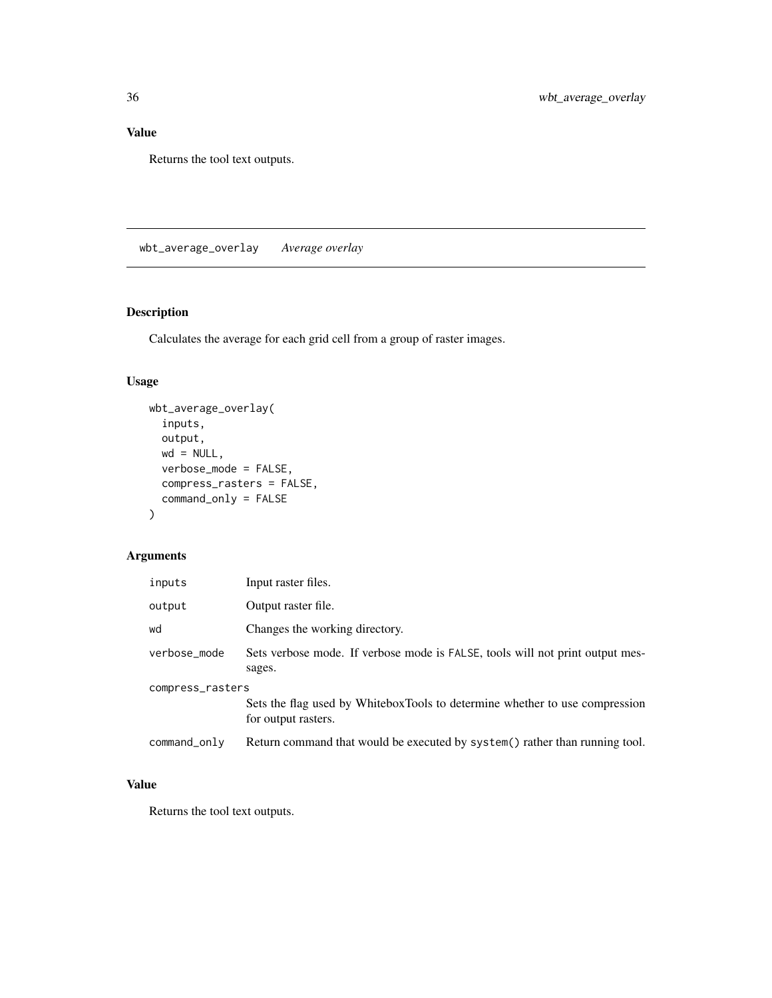## <span id="page-35-0"></span>Value

Returns the tool text outputs.

wbt\_average\_overlay *Average overlay*

# Description

Calculates the average for each grid cell from a group of raster images.

# Usage

```
wbt_average_overlay(
  inputs,
 output,
 wd = NULL,verbose_mode = FALSE,
 compress_rasters = FALSE,
 command_only = FALSE
)
```
# Arguments

| inputs           | Input raster files.                                                                                |  |
|------------------|----------------------------------------------------------------------------------------------------|--|
| output           | Output raster file.                                                                                |  |
| wd               | Changes the working directory.                                                                     |  |
| verbose_mode     | Sets verbose mode. If verbose mode is FALSE, tools will not print output mes-<br>sages.            |  |
| compress_rasters |                                                                                                    |  |
|                  | Sets the flag used by WhiteboxTools to determine whether to use compression<br>for output rasters. |  |
| command_only     | Return command that would be executed by system() rather than running tool.                        |  |

# Value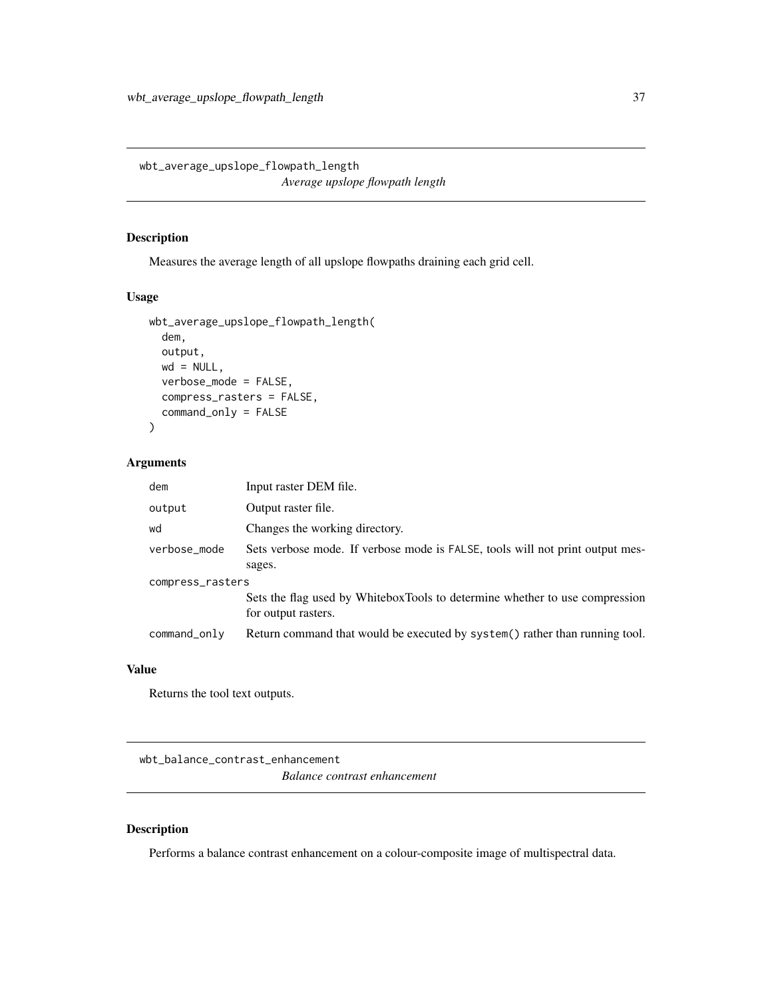wbt\_average\_upslope\_flowpath\_length *Average upslope flowpath length*

#### Description

Measures the average length of all upslope flowpaths draining each grid cell.

## Usage

```
wbt_average_upslope_flowpath_length(
 dem,
 output,
 wd = NULL,verbose_mode = FALSE,
 compress_rasters = FALSE,
 command_only = FALSE
)
```
#### Arguments

| dem              | Input raster DEM file.                                                                             |  |
|------------------|----------------------------------------------------------------------------------------------------|--|
| output           | Output raster file.                                                                                |  |
| wd               | Changes the working directory.                                                                     |  |
| verbose_mode     | Sets verbose mode. If verbose mode is FALSE, tools will not print output mes-                      |  |
|                  | sages.                                                                                             |  |
| compress_rasters |                                                                                                    |  |
|                  | Sets the flag used by WhiteboxTools to determine whether to use compression<br>for output rasters. |  |
| command_only     | Return command that would be executed by system() rather than running tool.                        |  |

#### Value

Returns the tool text outputs.

wbt\_balance\_contrast\_enhancement *Balance contrast enhancement*

## Description

Performs a balance contrast enhancement on a colour-composite image of multispectral data.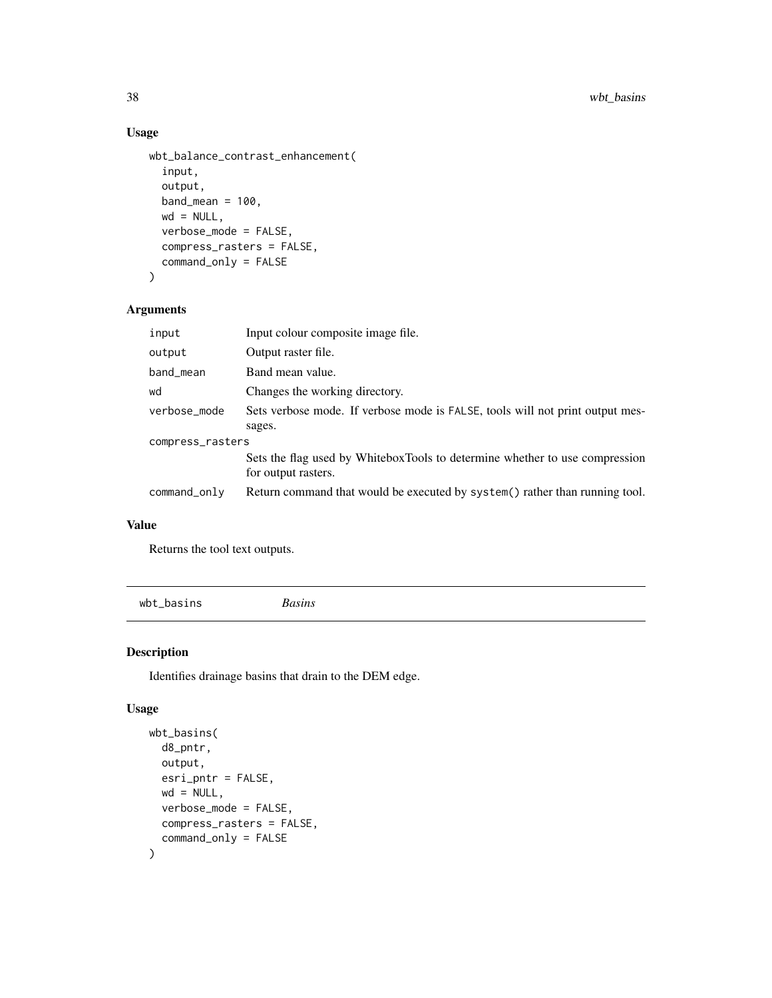```
wbt_balance_contrast_enhancement(
  input,
  output,
 band_mean = 100,
 wd = NULL,verbose_mode = FALSE,
  compress_rasters = FALSE,
  command_only = FALSE
)
```
## Arguments

| input            | Input colour composite image file.                                                                 |  |
|------------------|----------------------------------------------------------------------------------------------------|--|
| output           | Output raster file.                                                                                |  |
| band_mean        | Band mean value.                                                                                   |  |
| wd               | Changes the working directory.                                                                     |  |
| verbose_mode     | Sets verbose mode. If verbose mode is FALSE, tools will not print output mes-                      |  |
|                  | sages.                                                                                             |  |
| compress_rasters |                                                                                                    |  |
|                  | Sets the flag used by WhiteboxTools to determine whether to use compression<br>for output rasters. |  |
| command_only     | Return command that would be executed by system () rather than running tool.                       |  |

## Value

Returns the tool text outputs.

wbt\_basins *Basins*

# Description

Identifies drainage basins that drain to the DEM edge.

#### Usage

```
wbt_basins(
 d8_pntr,
 output,
 esri_pntr = FALSE,
 wd = NULL,verbose_mode = FALSE,
 compress_rasters = FALSE,
  command_only = FALSE
)
```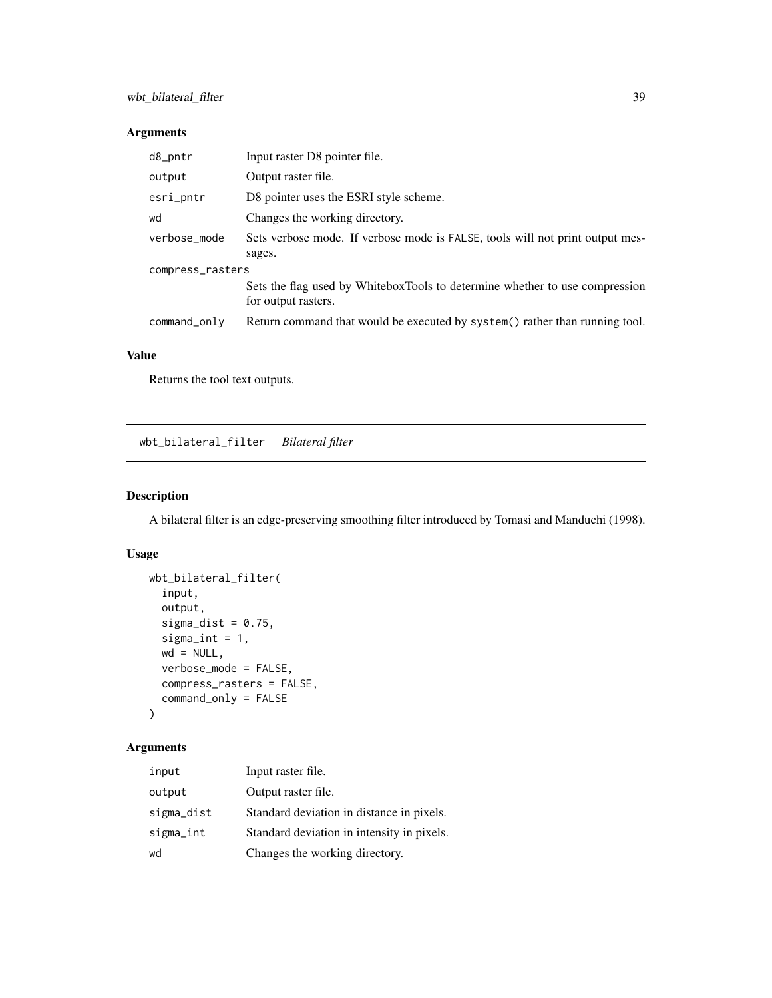# Arguments

| d8_pntr          | Input raster D8 pointer file.                                                                      |  |
|------------------|----------------------------------------------------------------------------------------------------|--|
| output           | Output raster file.                                                                                |  |
| esri_pntr        | D8 pointer uses the ESRI style scheme.                                                             |  |
| wd               | Changes the working directory.                                                                     |  |
| verbose_mode     | Sets verbose mode. If verbose mode is FALSE, tools will not print output mes-                      |  |
|                  | sages.                                                                                             |  |
| compress_rasters |                                                                                                    |  |
|                  | Sets the flag used by WhiteboxTools to determine whether to use compression<br>for output rasters. |  |
| command_only     | Return command that would be executed by system() rather than running tool.                        |  |

# Value

Returns the tool text outputs.

wbt\_bilateral\_filter *Bilateral filter*

## Description

A bilateral filter is an edge-preserving smoothing filter introduced by Tomasi and Manduchi (1998).

## Usage

```
wbt_bilateral_filter(
  input,
 output,
  sigma_dist = 0.75,
  signa\_int = 1,
 wd = NULL,verbose_mode = FALSE,
 compress_rasters = FALSE,
  command_only = FALSE
)
```

| input      | Input raster file.                         |
|------------|--------------------------------------------|
| output     | Output raster file.                        |
| sigma_dist | Standard deviation in distance in pixels.  |
| sigma_int  | Standard deviation in intensity in pixels. |
| wd         | Changes the working directory.             |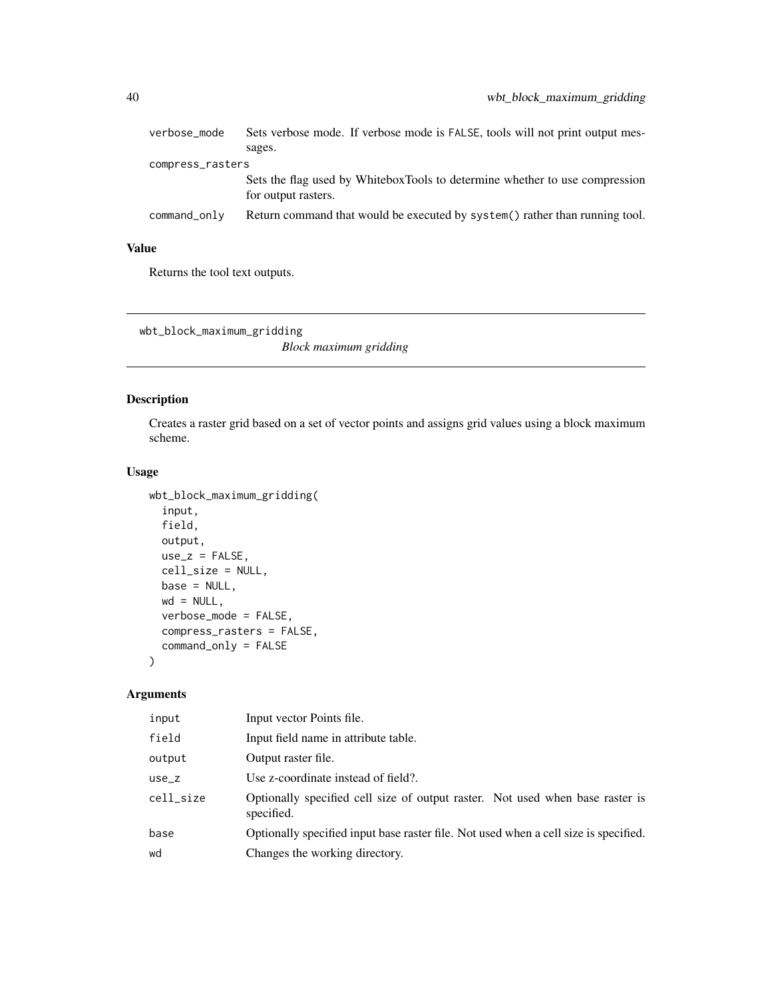| verbose_mode     | Sets verbose mode. If verbose mode is FALSE, tools will not print output mes-                      |  |
|------------------|----------------------------------------------------------------------------------------------------|--|
|                  | sages.                                                                                             |  |
| compress_rasters |                                                                                                    |  |
|                  | Sets the flag used by WhiteboxTools to determine whether to use compression<br>for output rasters. |  |
| command_only     | Return command that would be executed by system() rather than running tool.                        |  |

Returns the tool text outputs.

wbt\_block\_maximum\_gridding

*Block maximum gridding*

## Description

Creates a raster grid based on a set of vector points and assigns grid values using a block maximum scheme.

#### Usage

```
wbt_block_maximum_gridding(
 input,
 field,
 output,
 use_z = FALSE,cell_size = NULL,
 base = NULL,wd = NULL,verbose_mode = FALSE,
 compress_rasters = FALSE,
 command_only = FALSE
)
```

| input     | Input vector Points file.                                                                   |
|-----------|---------------------------------------------------------------------------------------------|
| field     | Input field name in attribute table.                                                        |
| output    | Output raster file.                                                                         |
| $use_z$   | Use z-coordinate instead of field?.                                                         |
| cell_size | Optionally specified cell size of output raster. Not used when base raster is<br>specified. |
| base      | Optionally specified input base raster file. Not used when a cell size is specified.        |
| wd        | Changes the working directory.                                                              |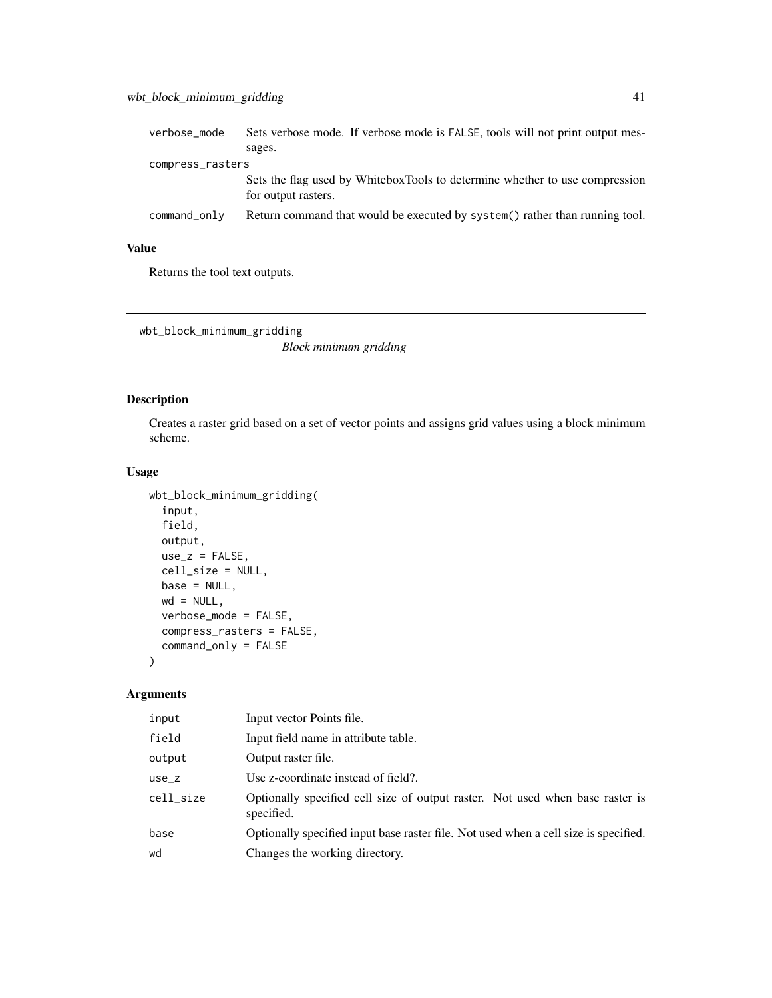| verbose_mode     | Sets verbose mode. If verbose mode is FALSE, tools will not print output mes-                      |
|------------------|----------------------------------------------------------------------------------------------------|
|                  | sages.                                                                                             |
| compress_rasters |                                                                                                    |
|                  | Sets the flag used by WhiteboxTools to determine whether to use compression<br>for output rasters. |
| command_only     | Return command that would be executed by system() rather than running tool.                        |

Returns the tool text outputs.

wbt\_block\_minimum\_gridding

*Block minimum gridding*

## Description

Creates a raster grid based on a set of vector points and assigns grid values using a block minimum scheme.

#### Usage

```
wbt_block_minimum_gridding(
  input,
 field,
 output,
 use_z = FALSE,cell_size = NULL,
 base = NULL,
 wd = NULL,verbose_mode = FALSE,
 compress_rasters = FALSE,
 command_only = FALSE
)
```

| input     | Input vector Points file.                                                                   |
|-----------|---------------------------------------------------------------------------------------------|
| field     | Input field name in attribute table.                                                        |
| output    | Output raster file.                                                                         |
| $use_z$   | Use z-coordinate instead of field?.                                                         |
| cell_size | Optionally specified cell size of output raster. Not used when base raster is<br>specified. |
| base      | Optionally specified input base raster file. Not used when a cell size is specified.        |
| wd        | Changes the working directory.                                                              |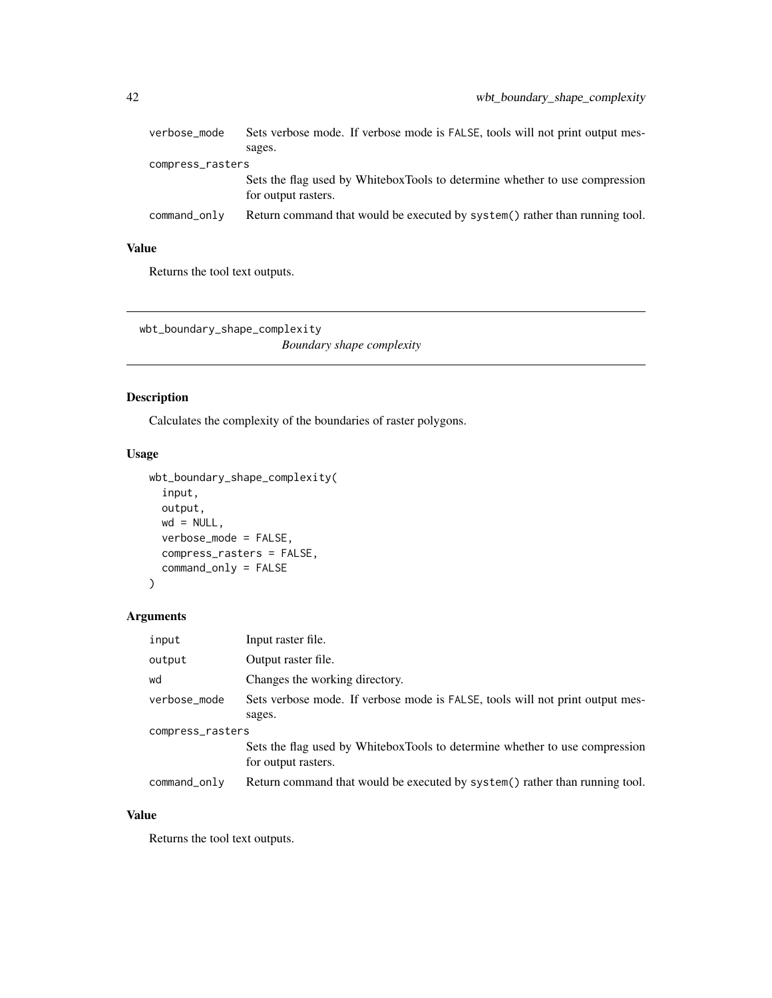| verbose_mode     | Sets verbose mode. If verbose mode is FALSE, tools will not print output mes-<br>sages.            |  |
|------------------|----------------------------------------------------------------------------------------------------|--|
| compress_rasters |                                                                                                    |  |
|                  | Sets the flag used by WhiteboxTools to determine whether to use compression<br>for output rasters. |  |
| command_only     | Return command that would be executed by system() rather than running tool.                        |  |

Returns the tool text outputs.

wbt\_boundary\_shape\_complexity *Boundary shape complexity*

#### Description

Calculates the complexity of the boundaries of raster polygons.

#### Usage

```
wbt_boundary_shape_complexity(
  input,
 output,
 wd = NULL,verbose_mode = FALSE,
 compress_rasters = FALSE,
 command_only = FALSE
\mathcal{L}
```
## Arguments

| input            | Input raster file.                                                                                 |  |
|------------------|----------------------------------------------------------------------------------------------------|--|
| output           | Output raster file.                                                                                |  |
| wd               | Changes the working directory.                                                                     |  |
| verbose_mode     | Sets verbose mode. If verbose mode is FALSE, tools will not print output mes-                      |  |
|                  | sages.                                                                                             |  |
| compress_rasters |                                                                                                    |  |
|                  | Sets the flag used by WhiteboxTools to determine whether to use compression<br>for output rasters. |  |
| command_only     | Return command that would be executed by system() rather than running tool.                        |  |

## Value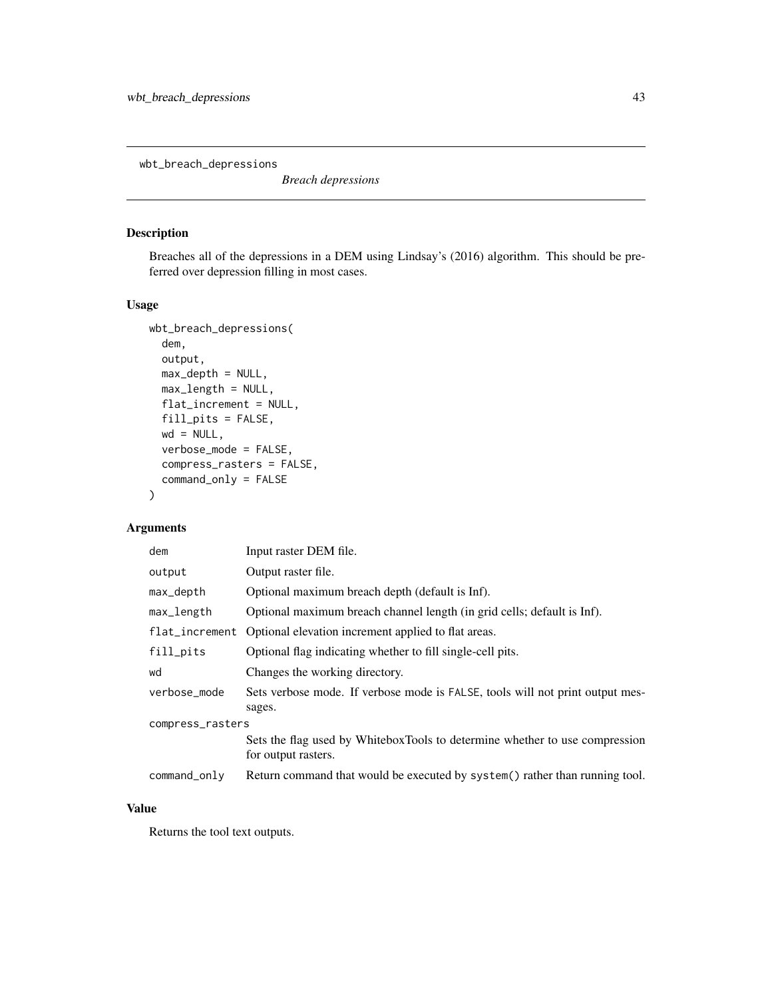wbt\_breach\_depressions

*Breach depressions*

## Description

Breaches all of the depressions in a DEM using Lindsay's (2016) algorithm. This should be preferred over depression filling in most cases.

## Usage

```
wbt_breach_depressions(
  dem,
  output,
 max_depth = NULL,
 max_length = NULL,
  flat_increment = NULL,
  fill_pits = FALSE,
 wd = NULL,verbose_mode = FALSE,
  compress_rasters = FALSE,
  command_only = FALSE
)
```
## Arguments

| dem              | Input raster DEM file.                                                                             |  |
|------------------|----------------------------------------------------------------------------------------------------|--|
| output           | Output raster file.                                                                                |  |
| max_depth        | Optional maximum breach depth (default is Inf).                                                    |  |
| max_length       | Optional maximum breach channel length (in grid cells; default is Inf).                            |  |
| flat_increment   | Optional elevation increment applied to flat areas.                                                |  |
| fill_pits        | Optional flag indicating whether to fill single-cell pits.                                         |  |
| wd               | Changes the working directory.                                                                     |  |
| verbose_mode     | Sets verbose mode. If verbose mode is FALSE, tools will not print output mes-<br>sages.            |  |
| compress_rasters |                                                                                                    |  |
|                  | Sets the flag used by WhiteboxTools to determine whether to use compression<br>for output rasters. |  |
| command_only     | Return command that would be executed by system () rather than running tool.                       |  |

#### Value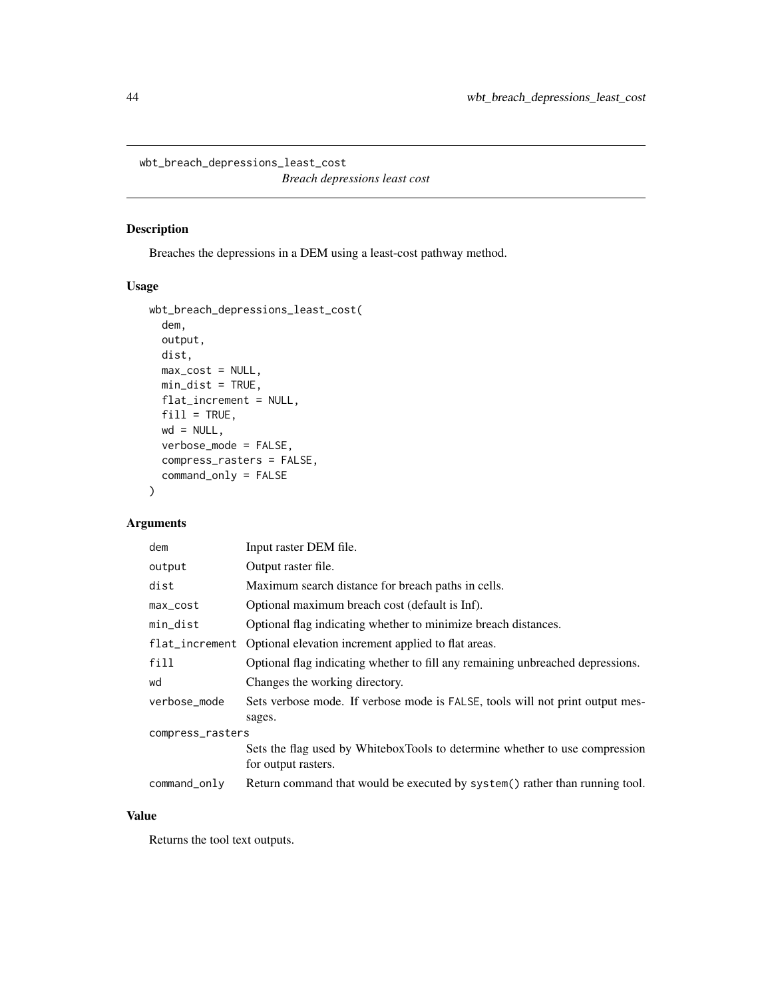wbt\_breach\_depressions\_least\_cost *Breach depressions least cost*

## Description

Breaches the depressions in a DEM using a least-cost pathway method.

#### Usage

```
wbt_breach_depressions_least_cost(
 dem,
 output,
 dist,
 max\_cost = NULL,min_dist = TRUE,
 flat_increment = NULL,
 fill = TRUE,wd = NULL,verbose_mode = FALSE,
 compress_rasters = FALSE,
  command_only = FALSE
)
```
## Arguments

| dem              | Input raster DEM file.                                                                             |  |
|------------------|----------------------------------------------------------------------------------------------------|--|
| output           | Output raster file.                                                                                |  |
| dist             | Maximum search distance for breach paths in cells.                                                 |  |
| max_cost         | Optional maximum breach cost (default is Inf).                                                     |  |
| min_dist         | Optional flag indicating whether to minimize breach distances.                                     |  |
| flat_increment   | Optional elevation increment applied to flat areas.                                                |  |
| fill             | Optional flag indicating whether to fill any remaining unbreached depressions.                     |  |
| wd               | Changes the working directory.                                                                     |  |
| verbose_mode     | Sets verbose mode. If verbose mode is FALSE, tools will not print output mes-<br>sages.            |  |
| compress_rasters |                                                                                                    |  |
|                  | Sets the flag used by WhiteboxTools to determine whether to use compression<br>for output rasters. |  |
| command_only     | Return command that would be executed by system() rather than running tool.                        |  |

## Value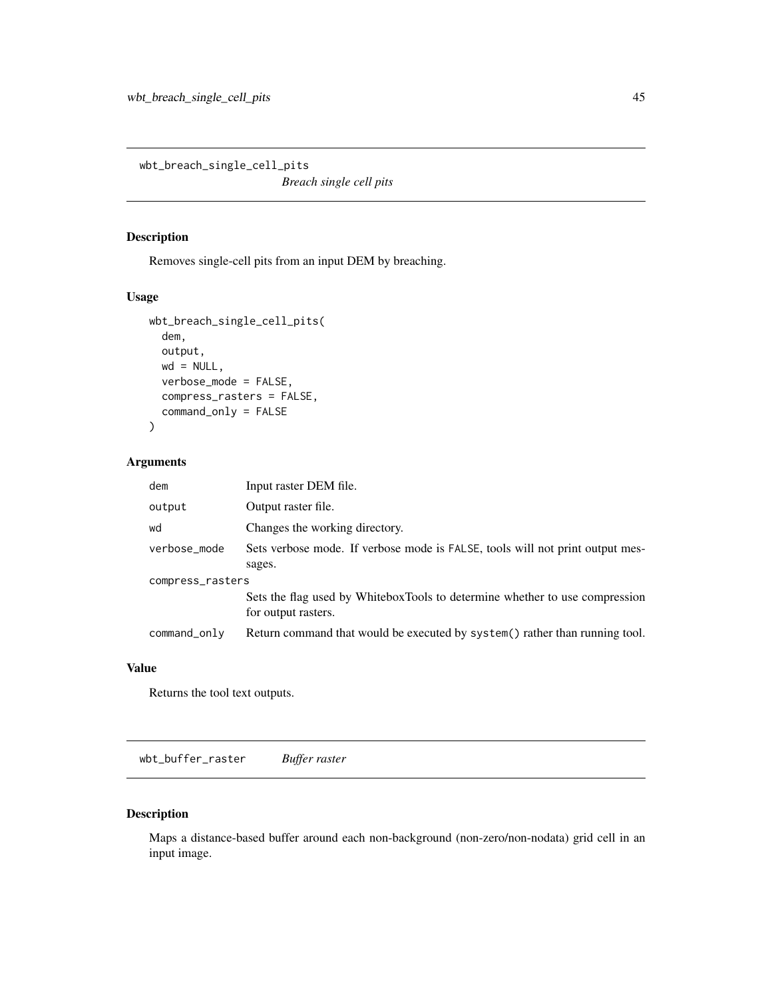wbt\_breach\_single\_cell\_pits

*Breach single cell pits*

#### Description

Removes single-cell pits from an input DEM by breaching.

#### Usage

```
wbt_breach_single_cell_pits(
  dem,
  output,
 wd = NULL,verbose_mode = FALSE,
 compress_rasters = FALSE,
  command_only = FALSE
)
```
#### Arguments

| dem              | Input raster DEM file.                                                                             |  |
|------------------|----------------------------------------------------------------------------------------------------|--|
| output           | Output raster file.                                                                                |  |
| wd               | Changes the working directory.                                                                     |  |
| verbose_mode     | Sets verbose mode. If verbose mode is FALSE, tools will not print output mes-<br>sages.            |  |
| compress_rasters |                                                                                                    |  |
|                  | Sets the flag used by WhiteboxTools to determine whether to use compression<br>for output rasters. |  |
| command_only     | Return command that would be executed by system() rather than running tool.                        |  |

#### Value

Returns the tool text outputs.

wbt\_buffer\_raster *Buffer raster*

#### Description

Maps a distance-based buffer around each non-background (non-zero/non-nodata) grid cell in an input image.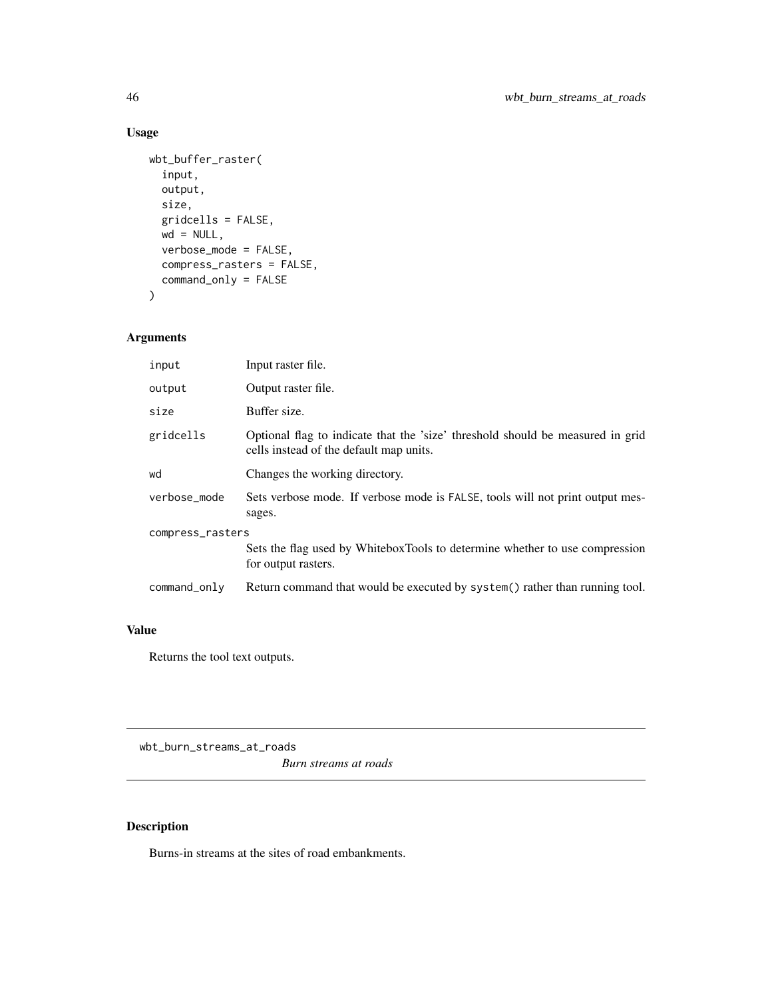```
wbt_buffer_raster(
  input,
 output,
 size,
 gridcells = FALSE,
 wd = NULL,verbose_mode = FALSE,
 compress_rasters = FALSE,
  command_only = FALSE
)
```
## Arguments

| input            | Input raster file.                                                                                                        |  |
|------------------|---------------------------------------------------------------------------------------------------------------------------|--|
| output           | Output raster file.                                                                                                       |  |
| size             | Buffer size.                                                                                                              |  |
| gridcells        | Optional flag to indicate that the 'size' threshold should be measured in grid<br>cells instead of the default map units. |  |
| wd               | Changes the working directory.                                                                                            |  |
| verbose_mode     | Sets verbose mode. If verbose mode is FALSE, tools will not print output mes-<br>sages.                                   |  |
| compress_rasters |                                                                                                                           |  |
|                  | Sets the flag used by WhiteboxTools to determine whether to use compression<br>for output rasters.                        |  |
| command_only     | Return command that would be executed by system() rather than running tool.                                               |  |

#### Value

Returns the tool text outputs.

wbt\_burn\_streams\_at\_roads *Burn streams at roads*

# Description

Burns-in streams at the sites of road embankments.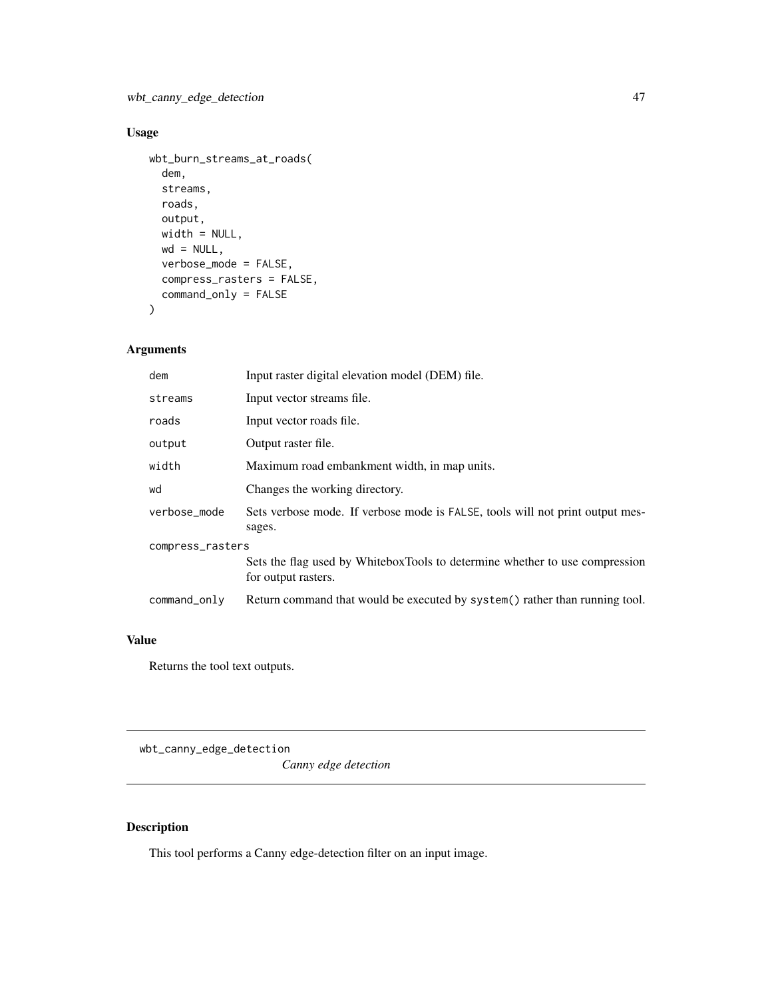```
wbt_burn_streams_at_roads(
  dem,
  streams,
 roads,
  output,
 width = NULL,
 wd = NULL,verbose_mode = FALSE,
  compress_rasters = FALSE,
  command_only = FALSE
)
```
## Arguments

| dem              | Input raster digital elevation model (DEM) file.                                                   |  |
|------------------|----------------------------------------------------------------------------------------------------|--|
| streams          | Input vector streams file.                                                                         |  |
| roads            | Input vector roads file.                                                                           |  |
| output           | Output raster file.                                                                                |  |
| width            | Maximum road embankment width, in map units.                                                       |  |
| wd               | Changes the working directory.                                                                     |  |
| verbose mode     | Sets verbose mode. If verbose mode is FALSE, tools will not print output mes-<br>sages.            |  |
| compress_rasters |                                                                                                    |  |
|                  | Sets the flag used by WhiteboxTools to determine whether to use compression<br>for output rasters. |  |
| command_only     | Return command that would be executed by system() rather than running tool.                        |  |

#### Value

Returns the tool text outputs.

wbt\_canny\_edge\_detection

*Canny edge detection*

# Description

This tool performs a Canny edge-detection filter on an input image.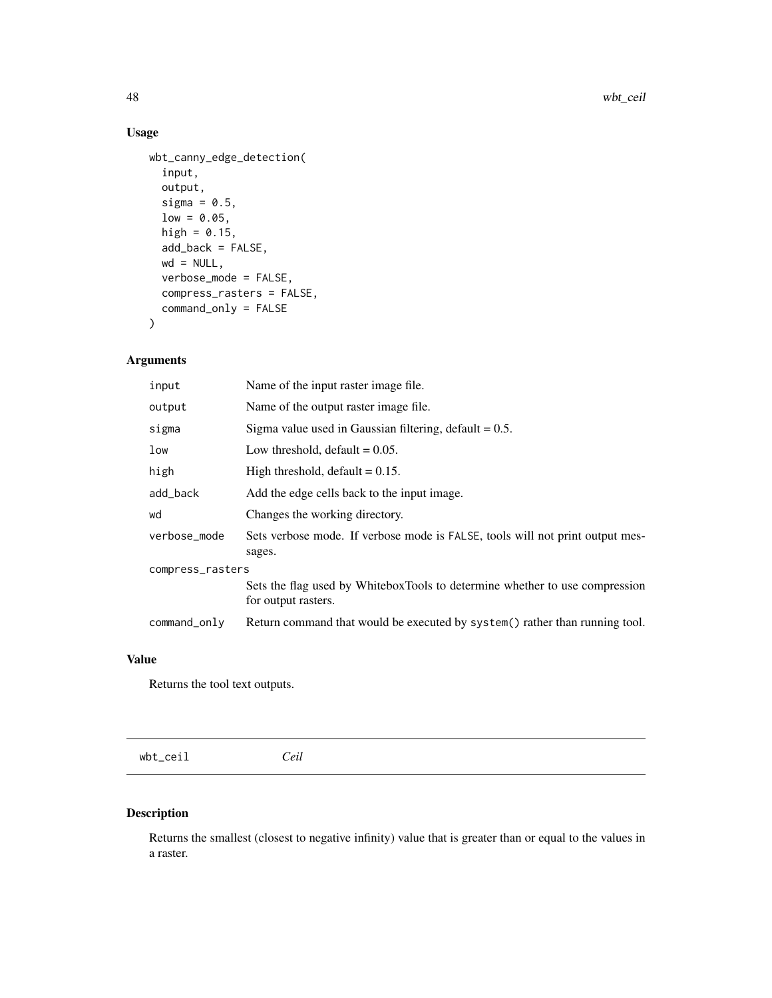```
wbt_canny_edge_detection(
  input,
 output,
 sigma = 0.5,
 low = 0.05,high = 0.15,
 add_back = FALSE,
 wd = NULL,verbose_mode = FALSE,
 compress_rasters = FALSE,
 command_only = FALSE
)
```
# Arguments

| input            | Name of the input raster image file.                                                               |  |
|------------------|----------------------------------------------------------------------------------------------------|--|
| output           | Name of the output raster image file.                                                              |  |
| sigma            | Sigma value used in Gaussian filtering, default $= 0.5$ .                                          |  |
| low              | Low threshold, $default = 0.05$ .                                                                  |  |
| high             | High threshold, default $= 0.15$ .                                                                 |  |
| add_back         | Add the edge cells back to the input image.                                                        |  |
| wd               | Changes the working directory.                                                                     |  |
| verbose_mode     | Sets verbose mode. If verbose mode is FALSE, tools will not print output mes-<br>sages.            |  |
| compress_rasters |                                                                                                    |  |
|                  | Sets the flag used by WhiteboxTools to determine whether to use compression<br>for output rasters. |  |
| command_only     | Return command that would be executed by system() rather than running tool.                        |  |

# Value

Returns the tool text outputs.

| $\mathsf{C} \mathsf{D}^+$<br>wbt_ceil | 'eil |  |  |
|---------------------------------------|------|--|--|
|                                       |      |  |  |

# Description

Returns the smallest (closest to negative infinity) value that is greater than or equal to the values in a raster.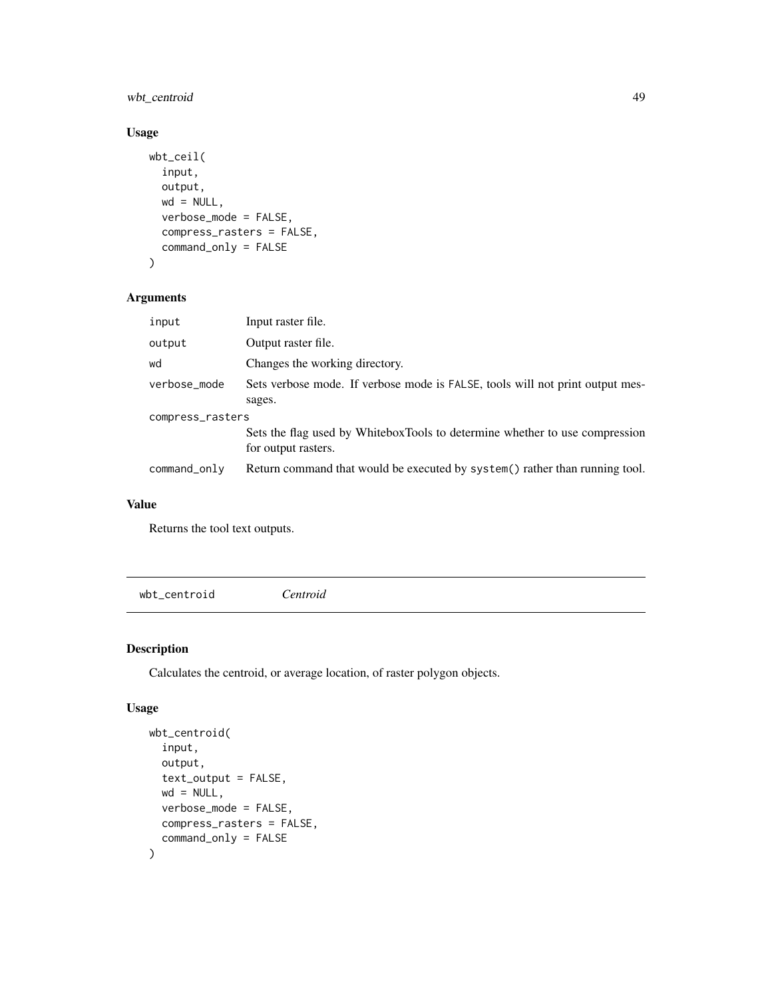# wbt\_centroid 49

#### Usage

```
wbt_ceil(
  input,
  output,
  wd = NULL,verbose_mode = FALSE,
  compress_rasters = FALSE,
  command_only = FALSE
)
```
## Arguments

| input            | Input raster file.                                                                                 |  |
|------------------|----------------------------------------------------------------------------------------------------|--|
| output           | Output raster file.                                                                                |  |
| wd               | Changes the working directory.                                                                     |  |
| verbose_mode     | Sets verbose mode. If verbose mode is FALSE, tools will not print output mes-                      |  |
|                  | sages.                                                                                             |  |
| compress_rasters |                                                                                                    |  |
|                  | Sets the flag used by WhiteboxTools to determine whether to use compression<br>for output rasters. |  |
| command_only     | Return command that would be executed by system() rather than running tool.                        |  |

#### Value

Returns the tool text outputs.

wbt\_centroid *Centroid*

## Description

Calculates the centroid, or average location, of raster polygon objects.

## Usage

```
wbt_centroid(
  input,
 output,
  text_output = FALSE,
 wd = NULL,verbose_mode = FALSE,
 compress_rasters = FALSE,
  command_only = FALSE
)
```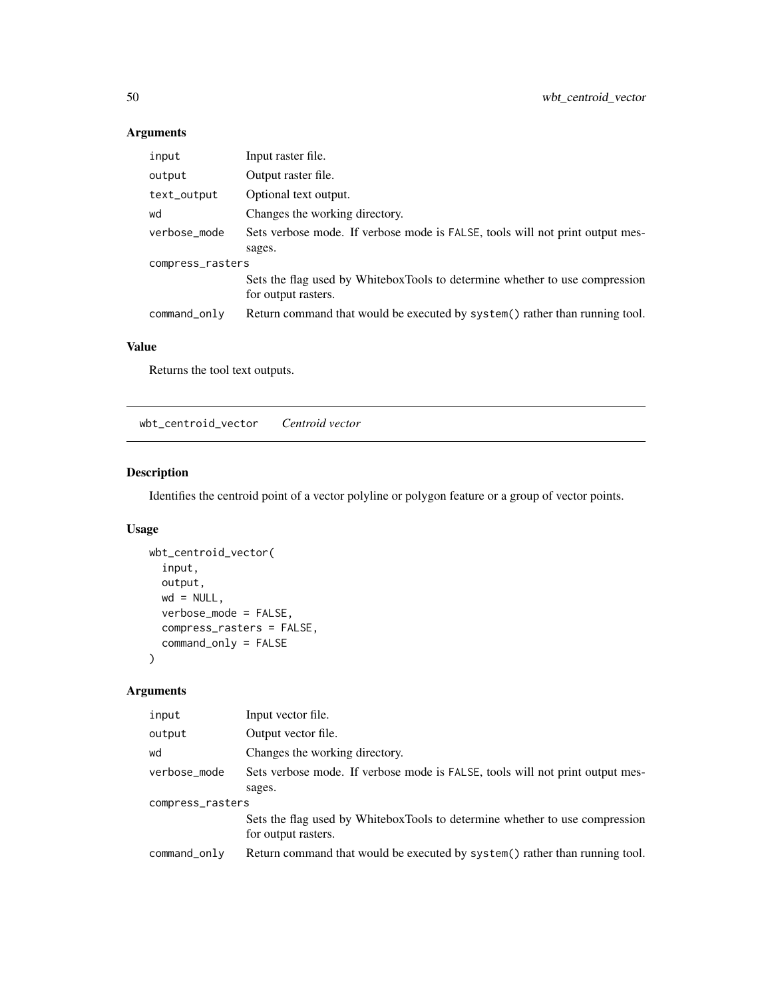# Arguments

| input            | Input raster file.                                                                                 |  |
|------------------|----------------------------------------------------------------------------------------------------|--|
| output           | Output raster file.                                                                                |  |
| text_output      | Optional text output.                                                                              |  |
| wd               | Changes the working directory.                                                                     |  |
| verbose_mode     | Sets verbose mode. If verbose mode is FALSE, tools will not print output mes-                      |  |
|                  | sages.                                                                                             |  |
| compress_rasters |                                                                                                    |  |
|                  | Sets the flag used by WhiteboxTools to determine whether to use compression<br>for output rasters. |  |
| command_only     | Return command that would be executed by system() rather than running tool.                        |  |

## Value

Returns the tool text outputs.

wbt\_centroid\_vector *Centroid vector*

## Description

Identifies the centroid point of a vector polyline or polygon feature or a group of vector points.

## Usage

```
wbt_centroid_vector(
  input,
 output,
 wd = NULL,verbose_mode = FALSE,
 compress_rasters = FALSE,
  command_only = FALSE
)
```

| input            | Input vector file.                                                                                 |  |
|------------------|----------------------------------------------------------------------------------------------------|--|
| output           | Output vector file.                                                                                |  |
| wd               | Changes the working directory.                                                                     |  |
| verbose_mode     | Sets verbose mode. If verbose mode is FALSE, tools will not print output mes-                      |  |
|                  | sages.                                                                                             |  |
| compress_rasters |                                                                                                    |  |
|                  | Sets the flag used by WhiteboxTools to determine whether to use compression<br>for output rasters. |  |
| command_only     | Return command that would be executed by system() rather than running tool.                        |  |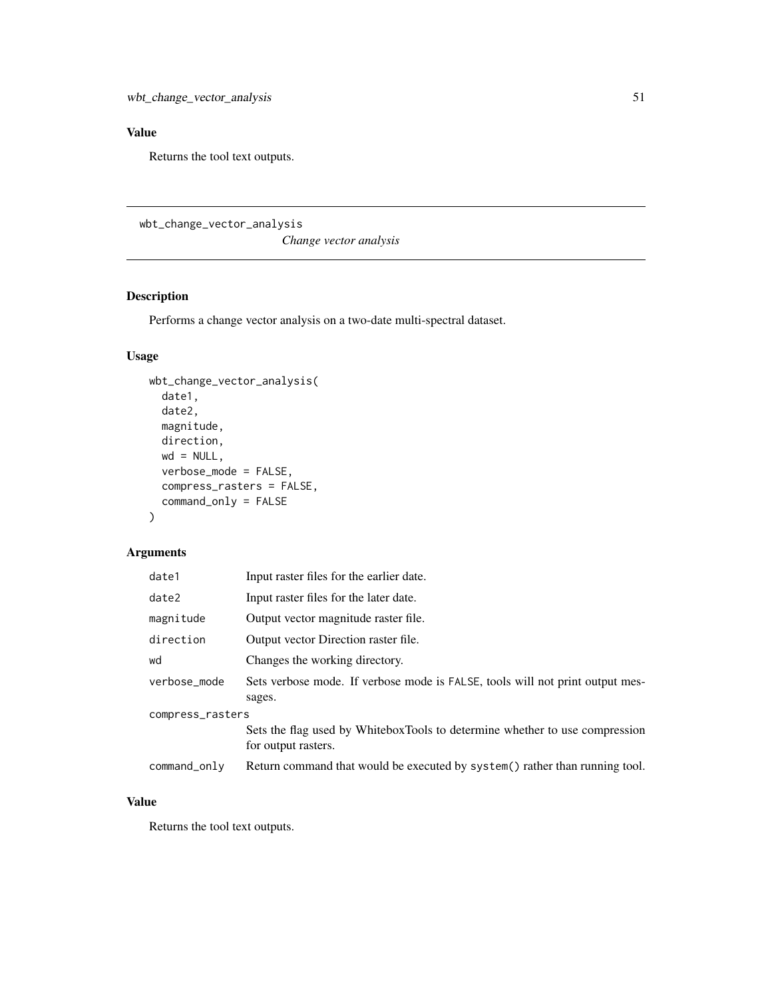Returns the tool text outputs.

wbt\_change\_vector\_analysis

*Change vector analysis*

# Description

Performs a change vector analysis on a two-date multi-spectral dataset.

## Usage

```
wbt_change_vector_analysis(
 date1,
 date2,
 magnitude,
 direction,
 wd = NULL,verbose_mode = FALSE,
 compress_rasters = FALSE,
 command_only = FALSE
)
```
## Arguments

| date1            | Input raster files for the earlier date.                                                           |  |
|------------------|----------------------------------------------------------------------------------------------------|--|
| date2            | Input raster files for the later date.                                                             |  |
| magnitude        | Output vector magnitude raster file.                                                               |  |
| direction        | Output vector Direction raster file.                                                               |  |
| wd               | Changes the working directory.                                                                     |  |
| verbose_mode     | Sets verbose mode. If verbose mode is FALSE, tools will not print output mes-<br>sages.            |  |
| compress_rasters |                                                                                                    |  |
|                  | Sets the flag used by WhiteboxTools to determine whether to use compression<br>for output rasters. |  |
| command_only     | Return command that would be executed by system() rather than running tool.                        |  |

## Value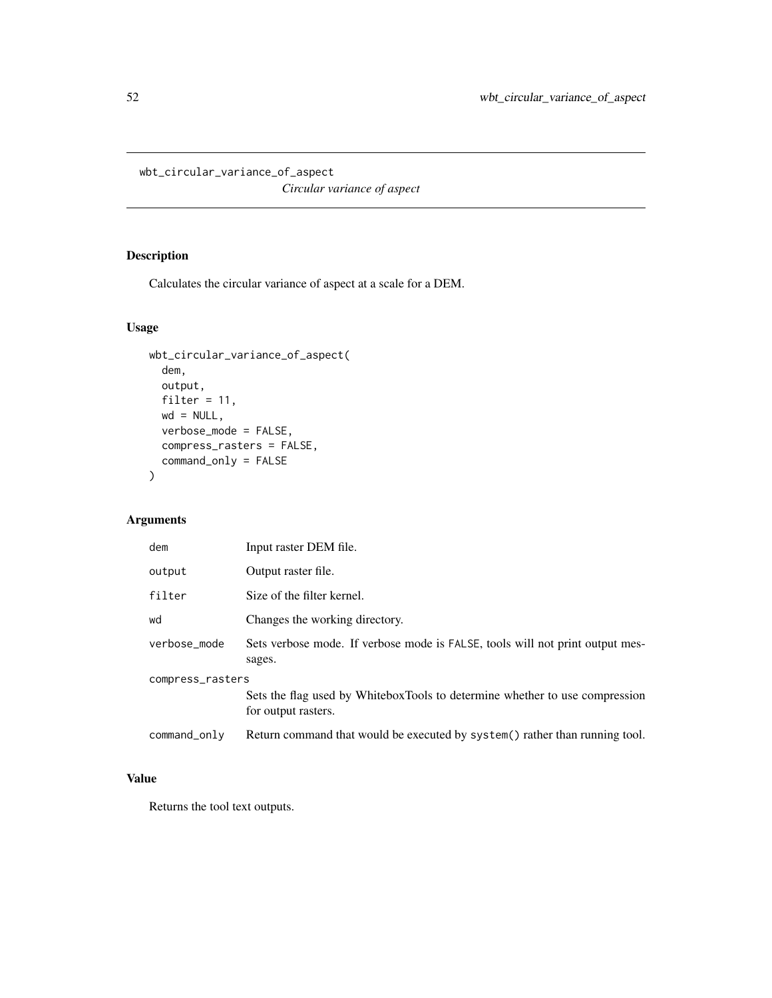wbt\_circular\_variance\_of\_aspect

*Circular variance of aspect*

# Description

Calculates the circular variance of aspect at a scale for a DEM.

# Usage

```
wbt_circular_variance_of_aspect(
 dem,
 output,
 filter = 11,
 wd = NULL,verbose_mode = FALSE,
 compress_rasters = FALSE,
 command_only = FALSE
)
```
# Arguments

| dem              | Input raster DEM file.                                                                             |  |
|------------------|----------------------------------------------------------------------------------------------------|--|
| output           | Output raster file.                                                                                |  |
| filter           | Size of the filter kernel.                                                                         |  |
| wd               | Changes the working directory.                                                                     |  |
| verbose mode     | Sets verbose mode. If verbose mode is FALSE, tools will not print output mes-<br>sages.            |  |
| compress_rasters |                                                                                                    |  |
|                  | Sets the flag used by WhiteboxTools to determine whether to use compression<br>for output rasters. |  |
| command_only     | Return command that would be executed by system() rather than running tool.                        |  |

# Value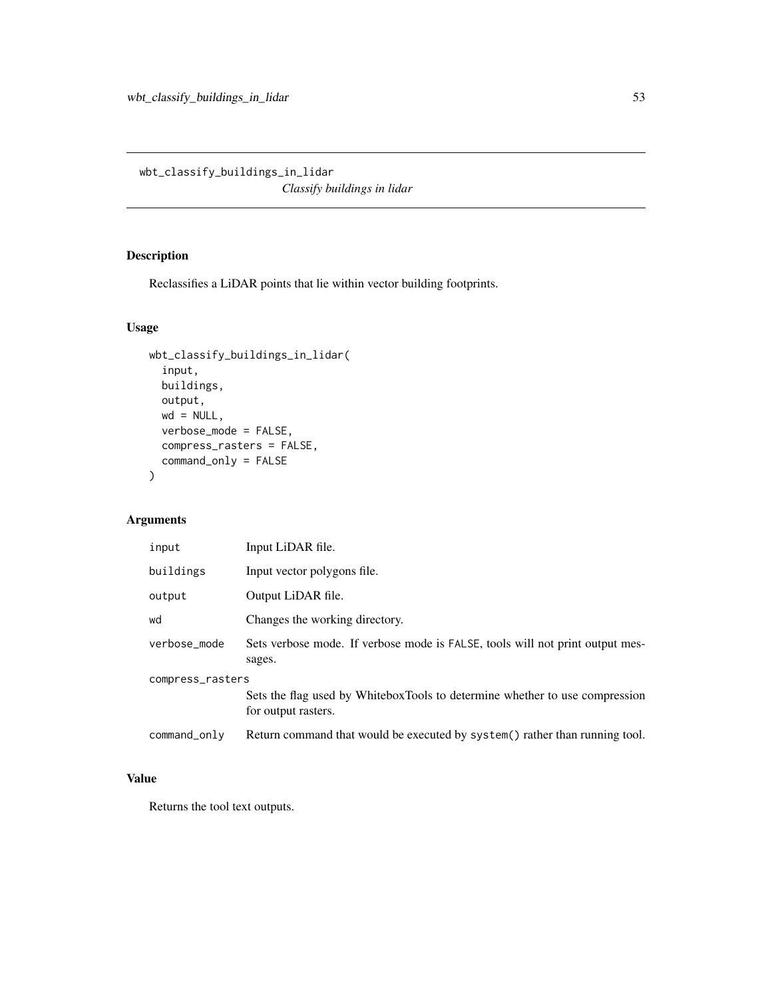wbt\_classify\_buildings\_in\_lidar *Classify buildings in lidar*

## Description

Reclassifies a LiDAR points that lie within vector building footprints.

# Usage

```
wbt_classify_buildings_in_lidar(
  input,
 buildings,
 output,
 wd = NULL,verbose_mode = FALSE,
 compress_rasters = FALSE,
 command_only = FALSE
)
```
## Arguments

| input            | Input LiDAR file.                                                                                  |  |
|------------------|----------------------------------------------------------------------------------------------------|--|
| buildings        | Input vector polygons file.                                                                        |  |
| output           | Output LiDAR file.                                                                                 |  |
| wd               | Changes the working directory.                                                                     |  |
| verbose_mode     | Sets verbose mode. If verbose mode is FALSE, tools will not print output mes-<br>sages.            |  |
| compress_rasters |                                                                                                    |  |
|                  | Sets the flag used by WhiteboxTools to determine whether to use compression<br>for output rasters. |  |
| command_only     | Return command that would be executed by system() rather than running tool.                        |  |

# Value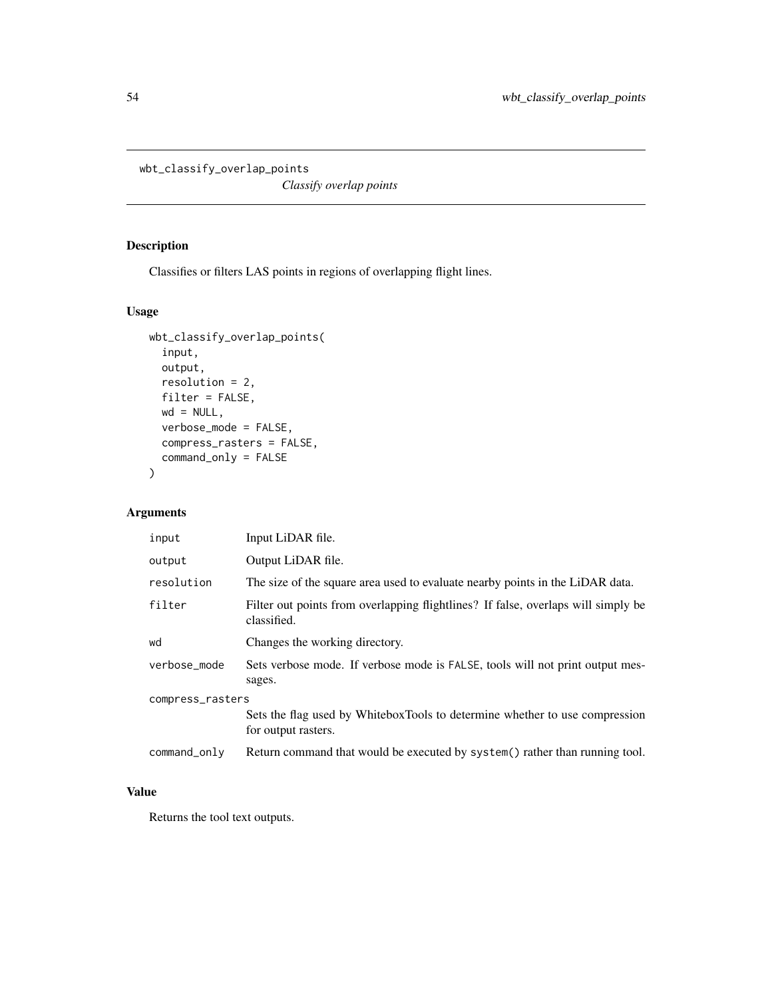```
wbt_classify_overlap_points
```
*Classify overlap points*

# Description

Classifies or filters LAS points in regions of overlapping flight lines.

# Usage

```
wbt_classify_overlap_points(
  input,
 output,
 resolution = 2,
 filter = FALSE,
 wd = NULL,verbose_mode = FALSE,
 compress_rasters = FALSE,
  command_only = FALSE
\mathcal{L}
```
## Arguments

| input            | Input LiDAR file.                                                                                  |  |
|------------------|----------------------------------------------------------------------------------------------------|--|
| output           | Output LiDAR file.                                                                                 |  |
| resolution       | The size of the square area used to evaluate nearby points in the LiDAR data.                      |  |
| filter           | Filter out points from overlapping flightlines? If false, overlaps will simply be<br>classified.   |  |
| wd               | Changes the working directory.                                                                     |  |
| verbose_mode     | Sets verbose mode. If verbose mode is FALSE, tools will not print output mes-<br>sages.            |  |
| compress_rasters |                                                                                                    |  |
|                  | Sets the flag used by WhiteboxTools to determine whether to use compression<br>for output rasters. |  |
| command_only     | Return command that would be executed by system() rather than running tool.                        |  |

## Value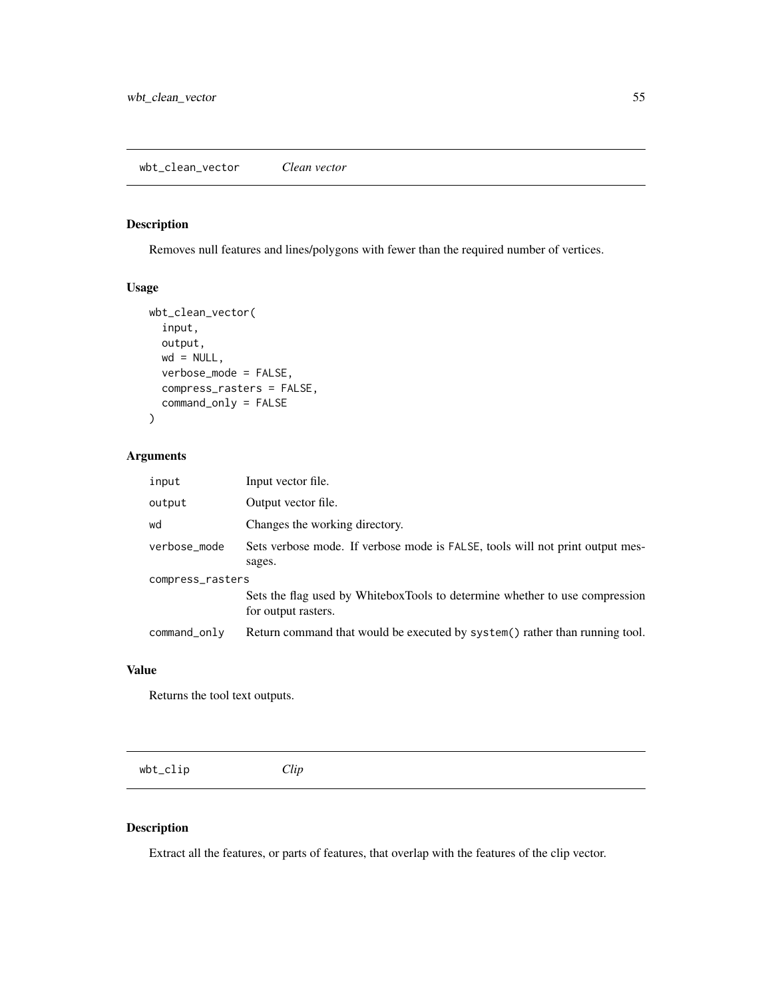## Description

Removes null features and lines/polygons with fewer than the required number of vertices.

#### Usage

```
wbt_clean_vector(
  input,
 output,
 wd = NULL,verbose_mode = FALSE,
 compress_rasters = FALSE,
  command_only = FALSE
)
```
## Arguments

| input            | Input vector file.                                                                                 |  |
|------------------|----------------------------------------------------------------------------------------------------|--|
| output           | Output vector file.                                                                                |  |
| wd               | Changes the working directory.                                                                     |  |
| verbose_mode     | Sets verbose mode. If verbose mode is FALSE, tools will not print output mes-<br>sages.            |  |
| compress_rasters |                                                                                                    |  |
|                  | Sets the flag used by WhiteboxTools to determine whether to use compression<br>for output rasters. |  |
| command_only     | Return command that would be executed by system() rather than running tool.                        |  |

#### Value

Returns the tool text outputs.

| wbt_clip | Clip |  |  |
|----------|------|--|--|
|          |      |  |  |

## Description

Extract all the features, or parts of features, that overlap with the features of the clip vector.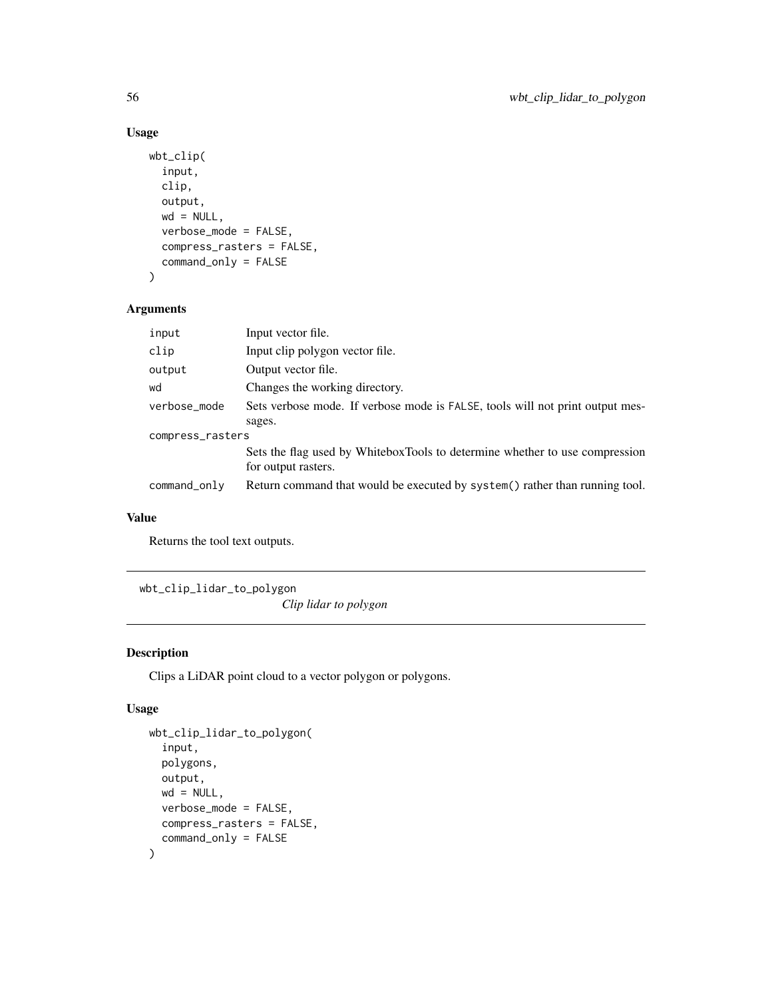```
wbt_clip(
  input,
  clip,
 output,
 wd = NULL,verbose_mode = FALSE,
  compress_rasters = FALSE,
  command_only = FALSE
)
```
## Arguments

| Input vector file.                                                                                 |
|----------------------------------------------------------------------------------------------------|
| Input clip polygon vector file.                                                                    |
| Output vector file.                                                                                |
| Changes the working directory.                                                                     |
| Sets verbose mode. If verbose mode is FALSE, tools will not print output mes-                      |
| sages.                                                                                             |
| compress_rasters                                                                                   |
| Sets the flag used by WhiteboxTools to determine whether to use compression<br>for output rasters. |
| Return command that would be executed by system() rather than running tool.                        |
|                                                                                                    |

# Value

Returns the tool text outputs.

wbt\_clip\_lidar\_to\_polygon

*Clip lidar to polygon*

# Description

Clips a LiDAR point cloud to a vector polygon or polygons.

## Usage

```
wbt_clip_lidar_to_polygon(
  input,
 polygons,
 output,
 wd = NULL,verbose_mode = FALSE,
 compress_rasters = FALSE,
  command_only = FALSE
\mathcal{E}
```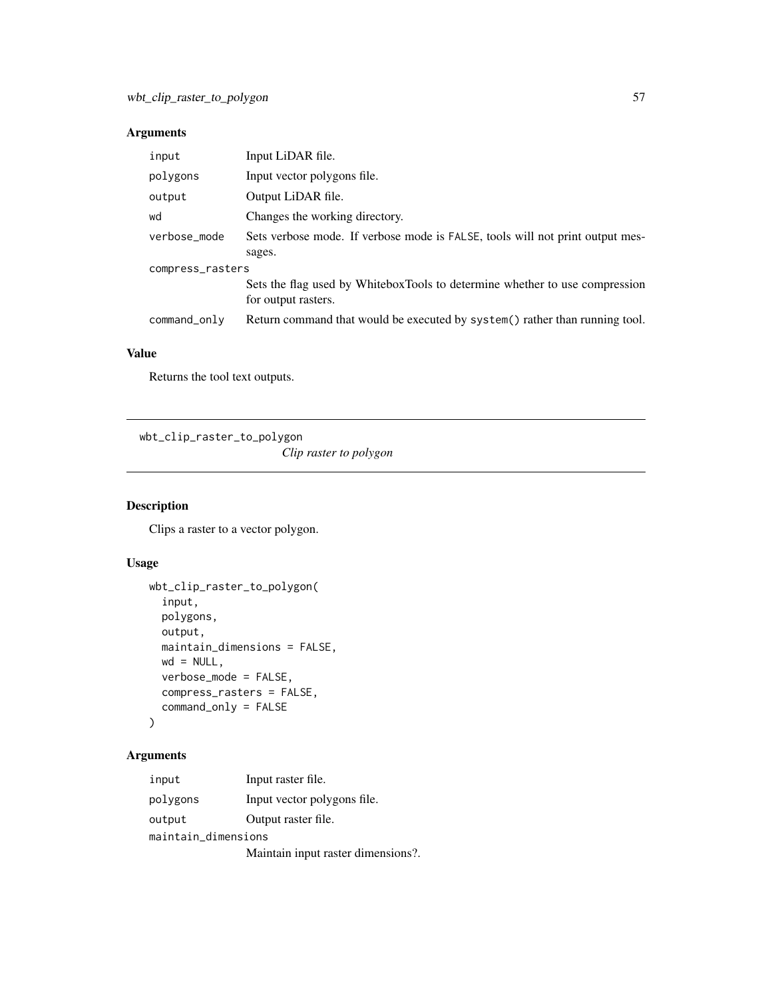# Arguments

| input            | Input LiDAR file.                                                                                  |  |  |
|------------------|----------------------------------------------------------------------------------------------------|--|--|
| polygons         | Input vector polygons file.                                                                        |  |  |
| output           | Output LiDAR file.                                                                                 |  |  |
| wd               | Changes the working directory.                                                                     |  |  |
| verbose_mode     | Sets verbose mode. If verbose mode is FALSE, tools will not print output mes-                      |  |  |
|                  | sages.                                                                                             |  |  |
| compress_rasters |                                                                                                    |  |  |
|                  | Sets the flag used by WhiteboxTools to determine whether to use compression<br>for output rasters. |  |  |
| command_only     | Return command that would be executed by system() rather than running tool.                        |  |  |

# Value

Returns the tool text outputs.

wbt\_clip\_raster\_to\_polygon *Clip raster to polygon*

## Description

Clips a raster to a vector polygon.

# Usage

```
wbt_clip_raster_to_polygon(
  input,
  polygons,
  output,
  maintain_dimensions = FALSE,
  wd = NULL,verbose_mode = FALSE,
  compress_rasters = FALSE,
  command_only = FALSE
\mathcal{L}
```

| input               | Input raster file.                 |  |
|---------------------|------------------------------------|--|
| polygons            | Input vector polygons file.        |  |
| output              | Output raster file.                |  |
| maintain_dimensions |                                    |  |
|                     | Maintain input raster dimensions?. |  |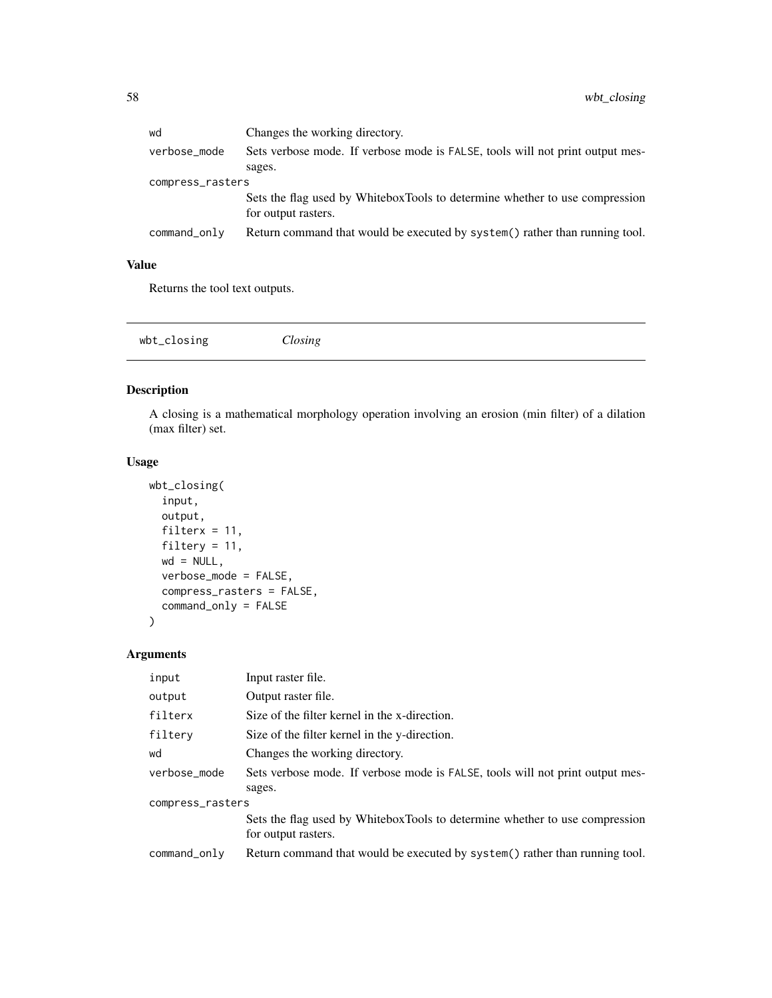| wd               | Changes the working directory.                                                                     |
|------------------|----------------------------------------------------------------------------------------------------|
| verbose_mode     | Sets verbose mode. If verbose mode is FALSE, tools will not print output mes-                      |
|                  | sages.                                                                                             |
| compress_rasters |                                                                                                    |
|                  | Sets the flag used by WhiteboxTools to determine whether to use compression<br>for output rasters. |
| command_only     | Return command that would be executed by system() rather than running tool.                        |
|                  |                                                                                                    |

Returns the tool text outputs.

# Description

A closing is a mathematical morphology operation involving an erosion (min filter) of a dilation (max filter) set.

## Usage

```
wbt_closing(
  input,
 output,
 filterx = 11,
 filtery = 11,
 wd = NULL,verbose_mode = FALSE,
 compress_rasters = FALSE,
 command_only = FALSE
)
```

| input            | Input raster file.                                                            |  |
|------------------|-------------------------------------------------------------------------------|--|
| output           | Output raster file.                                                           |  |
| filterx          | Size of the filter kernel in the x-direction.                                 |  |
| filtery          | Size of the filter kernel in the y-direction.                                 |  |
| wd               | Changes the working directory.                                                |  |
| verbose mode     | Sets verbose mode. If verbose mode is FALSE, tools will not print output mes- |  |
|                  | sages.                                                                        |  |
| compress_rasters |                                                                               |  |
|                  | Sets the flag used by WhiteboxTools to determine whether to use compression   |  |
|                  | for output rasters.                                                           |  |
| command_only     | Return command that would be executed by system() rather than running tool.   |  |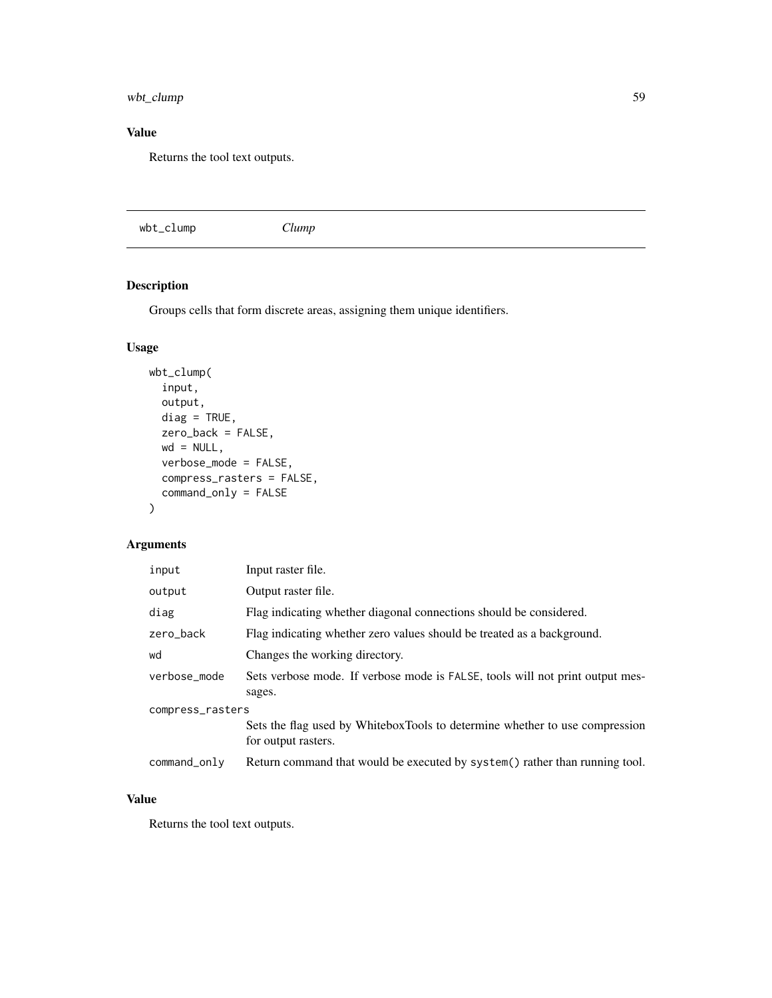wbt\_clump 59

## Value

Returns the tool text outputs.

wbt\_clump *Clump*

# Description

Groups cells that form discrete areas, assigning them unique identifiers.

# Usage

```
wbt_clump(
 input,
 output,
 diag = TRUE,zero_back = FALSE,
 wd = NULL,verbose_mode = FALSE,
 compress_rasters = FALSE,
 command_only = FALSE
)
```
## Arguments

| input            | Input raster file.                                                                                 |  |
|------------------|----------------------------------------------------------------------------------------------------|--|
| output           | Output raster file.                                                                                |  |
| diag             | Flag indicating whether diagonal connections should be considered.                                 |  |
| zero_back        | Flag indicating whether zero values should be treated as a background.                             |  |
| wd               | Changes the working directory.                                                                     |  |
| verbose_mode     | Sets verbose mode. If verbose mode is FALSE, tools will not print output mes-<br>sages.            |  |
| compress_rasters |                                                                                                    |  |
|                  | Sets the flag used by WhiteboxTools to determine whether to use compression<br>for output rasters. |  |
| command_only     | Return command that would be executed by system() rather than running tool.                        |  |

## Value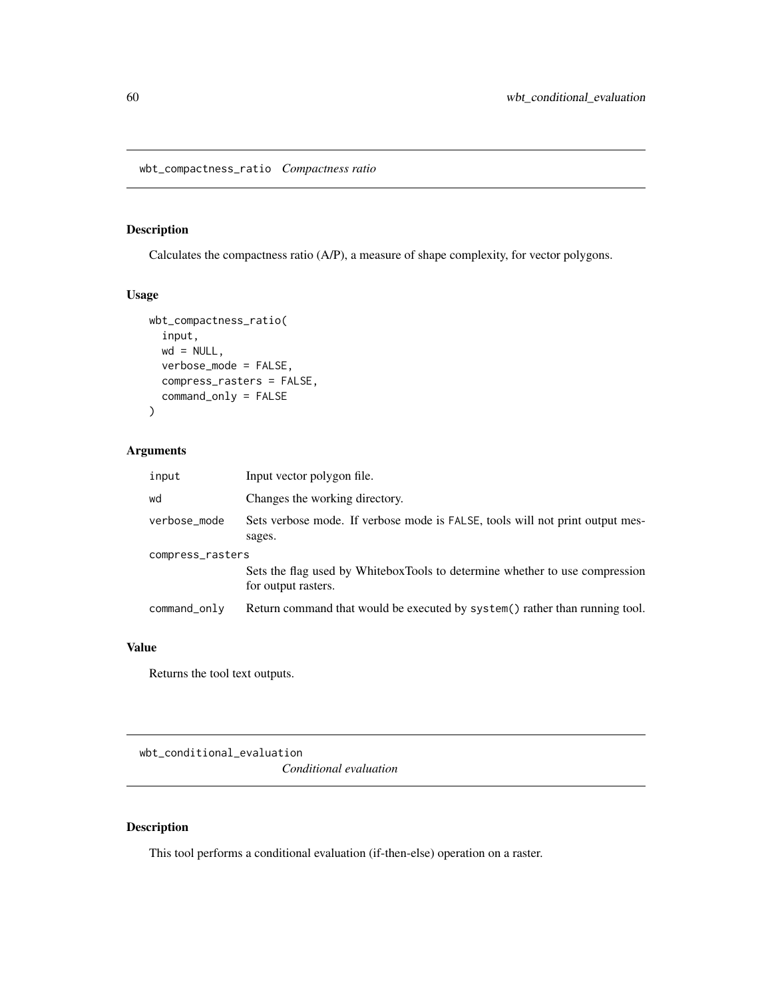## Description

Calculates the compactness ratio (A/P), a measure of shape complexity, for vector polygons.

#### Usage

```
wbt_compactness_ratio(
  input,
  wd = NULL,verbose_mode = FALSE,
  compress_rasters = FALSE,
  command_only = FALSE
\mathcal{E}
```
# Arguments

| input            | Input vector polygon file.                                                                         |  |
|------------------|----------------------------------------------------------------------------------------------------|--|
| wd               | Changes the working directory.                                                                     |  |
| verbose_mode     | Sets verbose mode. If verbose mode is FALSE, tools will not print output mes-<br>sages.            |  |
| compress_rasters |                                                                                                    |  |
|                  | Sets the flag used by WhiteboxTools to determine whether to use compression<br>for output rasters. |  |
| command_only     | Return command that would be executed by system() rather than running tool.                        |  |

## Value

Returns the tool text outputs.

wbt\_conditional\_evaluation

*Conditional evaluation*

## Description

This tool performs a conditional evaluation (if-then-else) operation on a raster.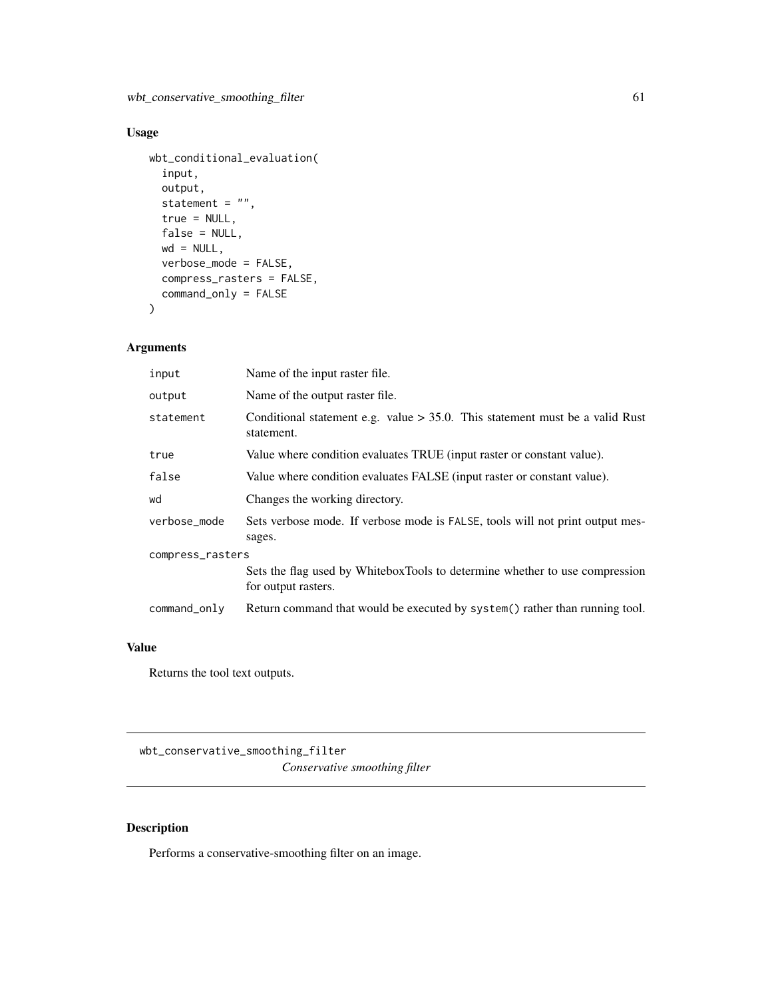wbt\_conservative\_smoothing\_filter 61

# Usage

```
wbt_conditional_evaluation(
  input,
 output,
 statement = ",
  true = NULL,
 false = NULL,
 wd = NULL,verbose_mode = FALSE,
 compress_rasters = FALSE,
 command_only = FALSE
```
)

# Arguments

| input            | Name of the input raster file.                                                                     |  |
|------------------|----------------------------------------------------------------------------------------------------|--|
| output           | Name of the output raster file.                                                                    |  |
| statement        | Conditional statement e.g. value $> 35.0$ . This statement must be a valid Rust<br>statement.      |  |
| true             | Value where condition evaluates TRUE (input raster or constant value).                             |  |
| false            | Value where condition evaluates FALSE (input raster or constant value).                            |  |
| wd               | Changes the working directory.                                                                     |  |
| verbose_mode     | Sets verbose mode. If verbose mode is FALSE, tools will not print output mes-<br>sages.            |  |
| compress_rasters |                                                                                                    |  |
|                  | Sets the flag used by WhiteboxTools to determine whether to use compression<br>for output rasters. |  |
| command_only     | Return command that would be executed by system() rather than running tool.                        |  |

## Value

Returns the tool text outputs.

wbt\_conservative\_smoothing\_filter *Conservative smoothing filter*

## Description

Performs a conservative-smoothing filter on an image.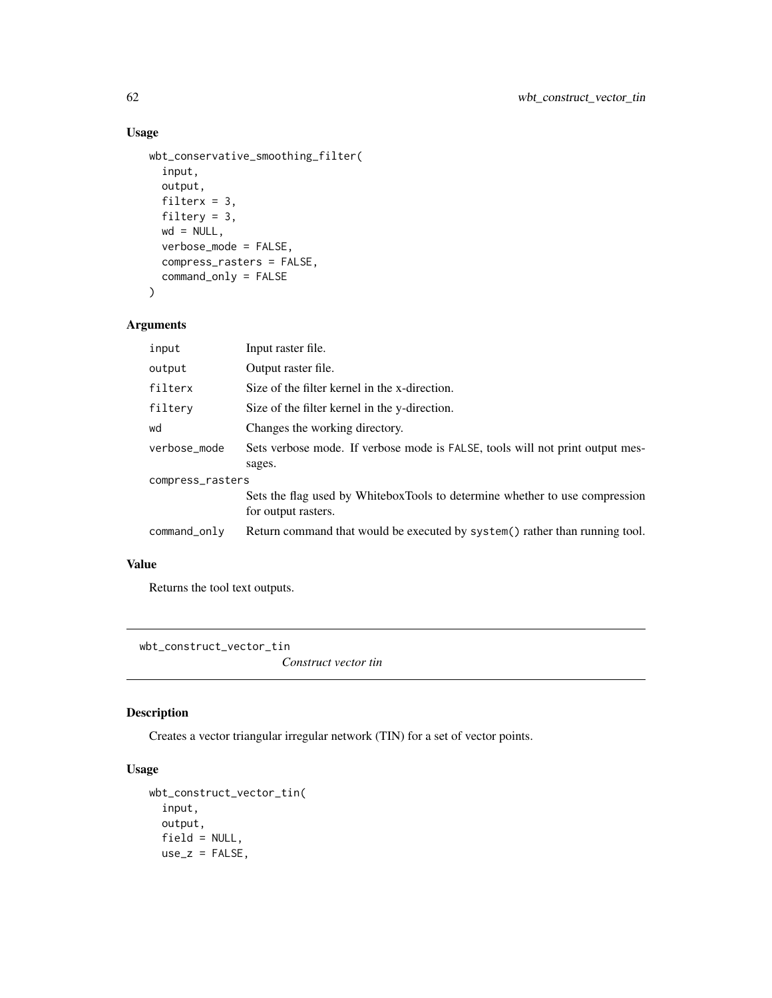```
wbt_conservative_smoothing_filter(
  input,
  output,
 filterx = 3,
  filtery = 3,
 wd = NULL,verbose_mode = FALSE,
  compress_rasters = FALSE,
  command_only = FALSE
\mathcal{E}
```
## Arguments

| input            | Input raster file.                                                                                 |
|------------------|----------------------------------------------------------------------------------------------------|
| output           | Output raster file.                                                                                |
| filterx          | Size of the filter kernel in the x-direction.                                                      |
| filtery          | Size of the filter kernel in the y-direction.                                                      |
| wd               | Changes the working directory.                                                                     |
| verbose_mode     | Sets verbose mode. If verbose mode is FALSE, tools will not print output mes-<br>sages.            |
| compress_rasters |                                                                                                    |
|                  | Sets the flag used by WhiteboxTools to determine whether to use compression<br>for output rasters. |
| command_only     | Return command that would be executed by system() rather than running tool.                        |

# Value

Returns the tool text outputs.

wbt\_construct\_vector\_tin

*Construct vector tin*

## Description

Creates a vector triangular irregular network (TIN) for a set of vector points.

## Usage

```
wbt_construct_vector_tin(
  input,
 output,
 field = NULL,
 use_z = FALSE,
```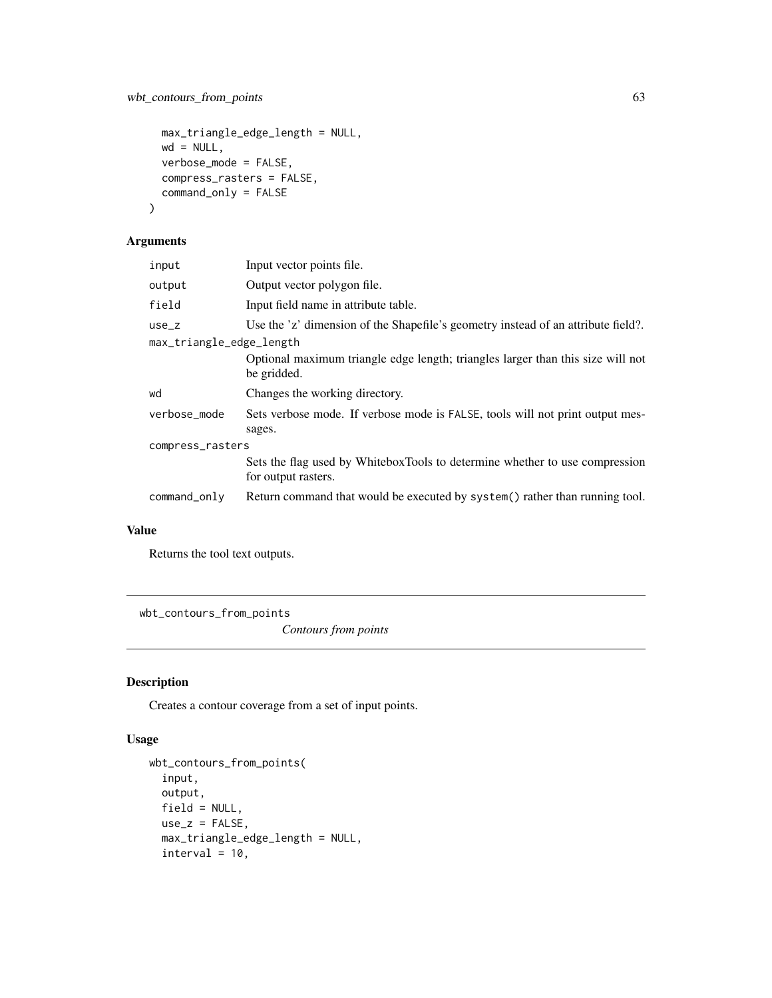```
max_triangle_edge_length = NULL,
 wd = NULL,verbose_mode = FALSE,
 compress_rasters = FALSE,
 command_only = FALSE
\mathcal{E}
```
## Arguments

| input                    | Input vector points file.                                                                          |  |
|--------------------------|----------------------------------------------------------------------------------------------------|--|
| output                   | Output vector polygon file.                                                                        |  |
| field                    | Input field name in attribute table.                                                               |  |
| $use_z$                  | Use the 'z' dimension of the Shapefile's geometry instead of an attribute field?.                  |  |
| max_triangle_edge_length |                                                                                                    |  |
|                          | Optional maximum triangle edge length; triangles larger than this size will not<br>be gridded.     |  |
| wd                       | Changes the working directory.                                                                     |  |
| verbose_mode             | Sets verbose mode. If verbose mode is FALSE, tools will not print output mes-<br>sages.            |  |
| compress_rasters         |                                                                                                    |  |
|                          | Sets the flag used by WhiteboxTools to determine whether to use compression<br>for output rasters. |  |
| command_only             | Return command that would be executed by system() rather than running tool.                        |  |

## Value

Returns the tool text outputs.

wbt\_contours\_from\_points

*Contours from points*

## Description

Creates a contour coverage from a set of input points.

#### Usage

```
wbt_contours_from_points(
  input,
 output,
 field = NULL,
 use_z = FALSE,max_triangle_edge_length = NULL,
 interval = 10,
```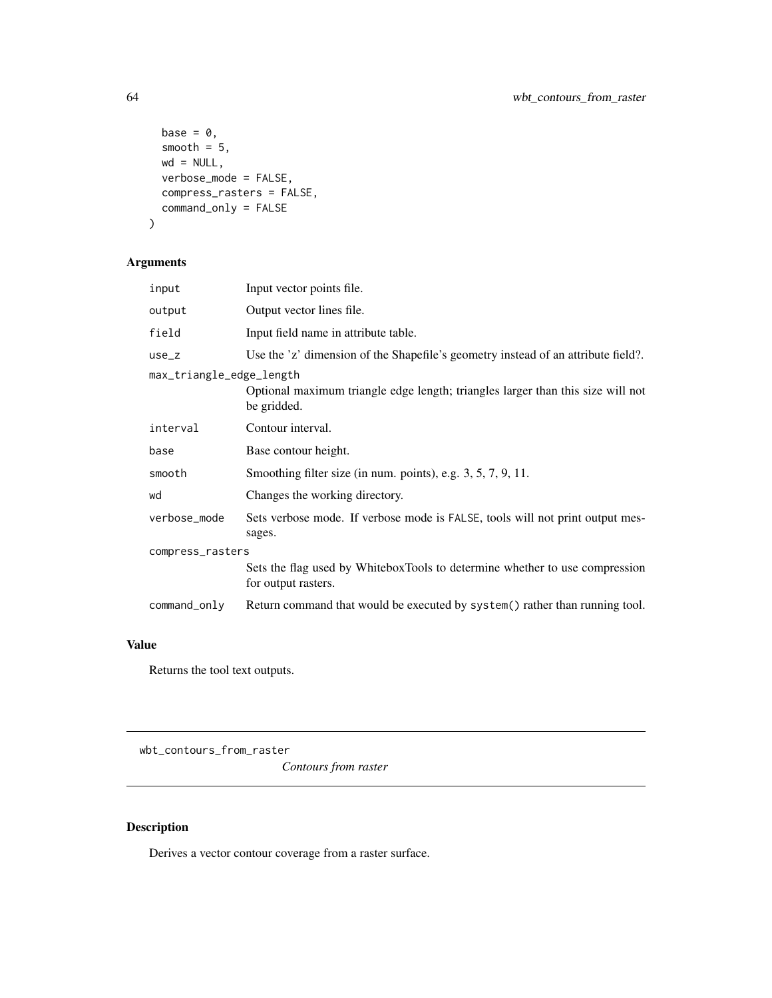```
base = \theta,
 smooth = 5,
 wd = NULL,verbose_mode = FALSE,
  compress_rasters = FALSE,
  command_only = FALSE
\mathcal{E}
```
# Arguments

| input                    | Input vector points file.                                                                          |  |
|--------------------------|----------------------------------------------------------------------------------------------------|--|
| output                   | Output vector lines file.                                                                          |  |
| field                    | Input field name in attribute table.                                                               |  |
| use_z                    | Use the 'z' dimension of the Shapefile's geometry instead of an attribute field?.                  |  |
| max_triangle_edge_length | Optional maximum triangle edge length; triangles larger than this size will not<br>be gridded.     |  |
| interval                 | Contour interval.                                                                                  |  |
| base                     | Base contour height.                                                                               |  |
| smooth                   | Smoothing filter size (in num. points), e.g. 3, 5, 7, 9, 11.                                       |  |
| wd                       | Changes the working directory.                                                                     |  |
| verbose_mode             | Sets verbose mode. If verbose mode is FALSE, tools will not print output mes-<br>sages.            |  |
| compress_rasters         |                                                                                                    |  |
|                          | Sets the flag used by WhiteboxTools to determine whether to use compression<br>for output rasters. |  |
| command_only             | Return command that would be executed by system() rather than running tool.                        |  |

# Value

Returns the tool text outputs.

wbt\_contours\_from\_raster

*Contours from raster*

# Description

Derives a vector contour coverage from a raster surface.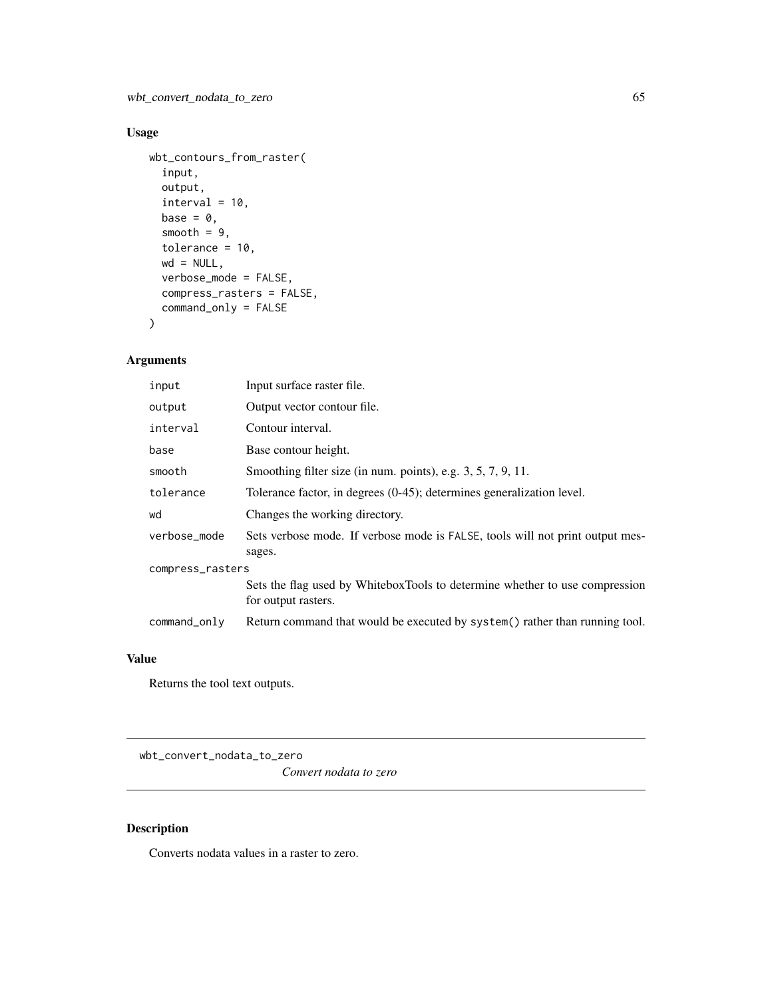```
wbt_contours_from_raster(
  input,
 output,
 interval = 10,
 base = 0,
 smooth = 9,
 tolerance = 10,
 wd = NULL,verbose_mode = FALSE,
 compress_rasters = FALSE,
 command_only = FALSE
)
```
## Arguments

| input            | Input surface raster file.                                                                         |  |
|------------------|----------------------------------------------------------------------------------------------------|--|
| output           | Output vector contour file.                                                                        |  |
| interval         | Contour interval.                                                                                  |  |
| base             | Base contour height.                                                                               |  |
| smooth           | Smoothing filter size (in num. points), e.g. $3, 5, 7, 9, 11$ .                                    |  |
| tolerance        | Tolerance factor, in degrees (0-45); determines generalization level.                              |  |
| wd               | Changes the working directory.                                                                     |  |
| verbose_mode     | Sets verbose mode. If verbose mode is FALSE, tools will not print output mes-<br>sages.            |  |
| compress_rasters |                                                                                                    |  |
|                  | Sets the flag used by WhiteboxTools to determine whether to use compression<br>for output rasters. |  |
| command_only     | Return command that would be executed by system() rather than running tool.                        |  |

## Value

Returns the tool text outputs.

wbt\_convert\_nodata\_to\_zero

*Convert nodata to zero*

## Description

Converts nodata values in a raster to zero.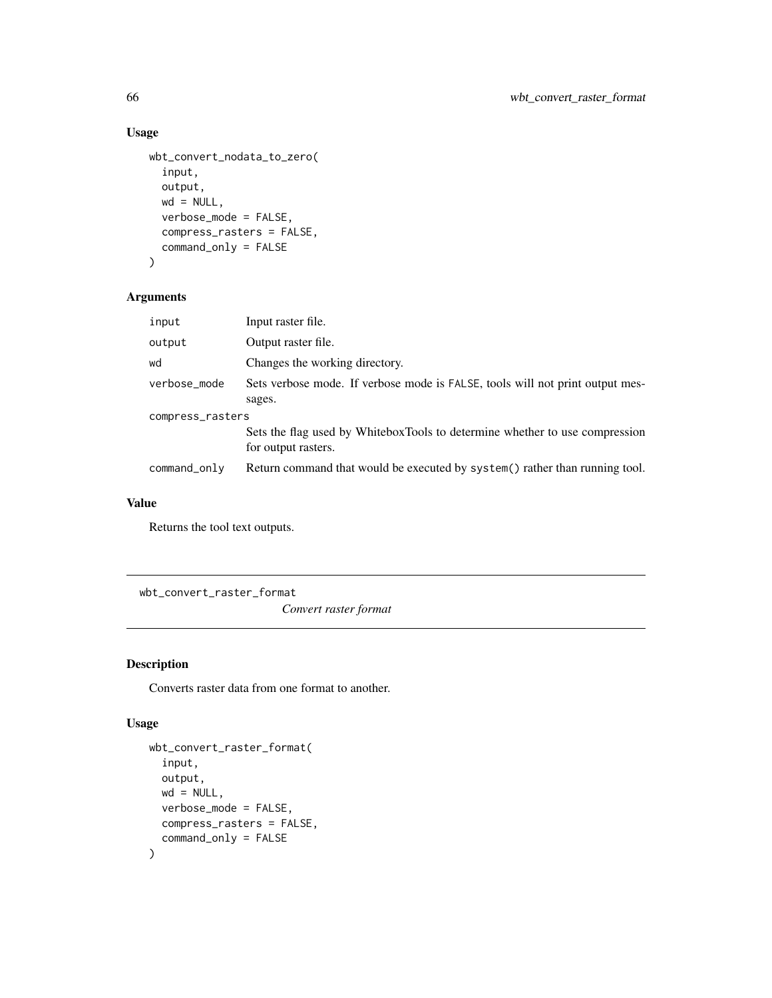```
wbt_convert_nodata_to_zero(
  input,
 output,
 wd = NULL,verbose_mode = FALSE,
 compress_rasters = FALSE,
 command_only = FALSE
)
```
## Arguments

| input            | Input raster file.                                                                                 |  |
|------------------|----------------------------------------------------------------------------------------------------|--|
| output           | Output raster file.                                                                                |  |
| wd               | Changes the working directory.                                                                     |  |
| verbose_mode     | Sets verbose mode. If verbose mode is FALSE, tools will not print output mes-<br>sages.            |  |
| compress_rasters |                                                                                                    |  |
|                  | Sets the flag used by WhiteboxTools to determine whether to use compression<br>for output rasters. |  |
| command_only     | Return command that would be executed by system() rather than running tool.                        |  |
|                  |                                                                                                    |  |

## Value

Returns the tool text outputs.

wbt\_convert\_raster\_format

*Convert raster format*

## Description

Converts raster data from one format to another.

## Usage

```
wbt_convert_raster_format(
  input,
 output,
 wd = NULL,verbose_mode = FALSE,
 compress_rasters = FALSE,
  command_only = FALSE
\mathcal{E}
```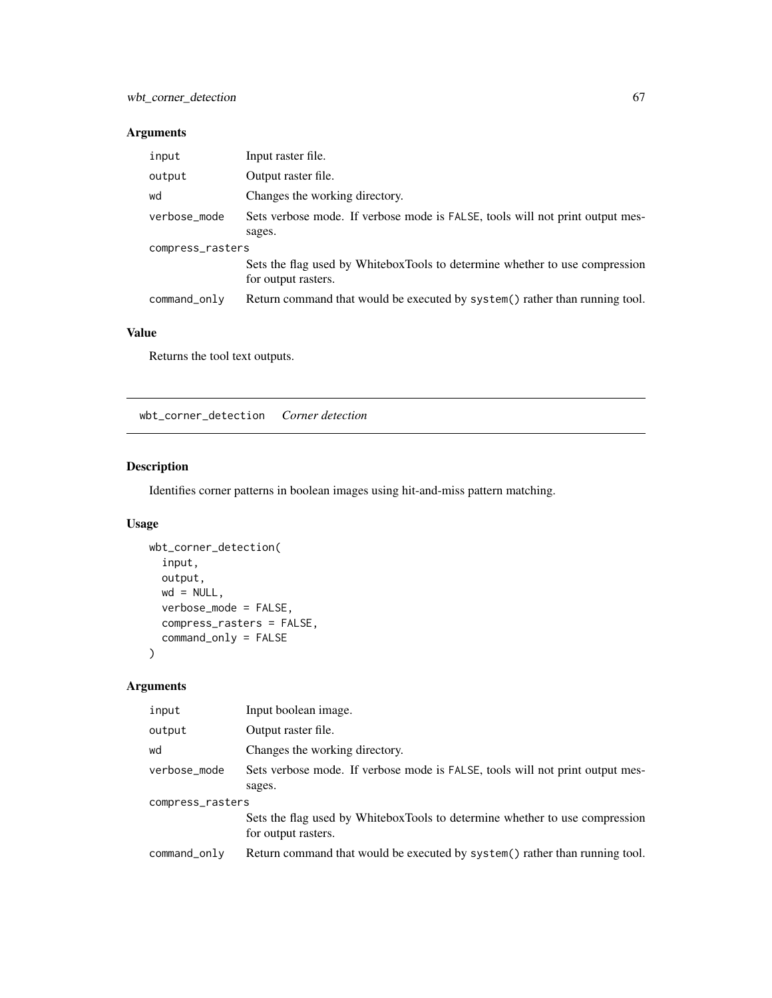## Arguments

| input            | Input raster file.                                                                                 |  |
|------------------|----------------------------------------------------------------------------------------------------|--|
| output           | Output raster file.                                                                                |  |
| wd               | Changes the working directory.                                                                     |  |
| verbose_mode     | Sets verbose mode. If verbose mode is FALSE, tools will not print output mes-                      |  |
|                  | sages.                                                                                             |  |
| compress_rasters |                                                                                                    |  |
|                  | Sets the flag used by WhiteboxTools to determine whether to use compression<br>for output rasters. |  |
| command_only     | Return command that would be executed by system() rather than running tool.                        |  |

# Value

Returns the tool text outputs.

wbt\_corner\_detection *Corner detection*

# Description

Identifies corner patterns in boolean images using hit-and-miss pattern matching.

## Usage

```
wbt_corner_detection(
 input,
 output,
 wd = NULL,verbose_mode = FALSE,
 compress_rasters = FALSE,
  command_only = FALSE
\mathcal{L}
```

| input            | Input boolean image.                                                                               |  |
|------------------|----------------------------------------------------------------------------------------------------|--|
| output           | Output raster file.                                                                                |  |
| wd               | Changes the working directory.                                                                     |  |
| verbose_mode     | Sets verbose mode. If verbose mode is FALSE, tools will not print output mes-<br>sages.            |  |
| compress_rasters |                                                                                                    |  |
|                  | Sets the flag used by WhiteboxTools to determine whether to use compression<br>for output rasters. |  |
| command_only     | Return command that would be executed by system() rather than running tool.                        |  |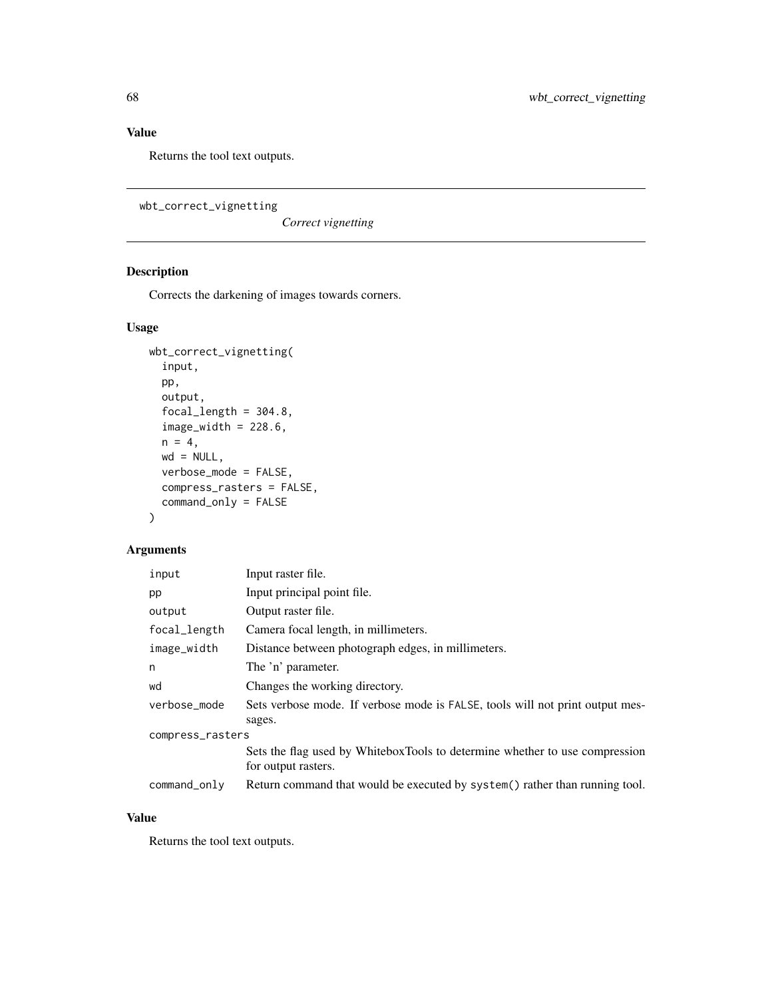Returns the tool text outputs.

wbt\_correct\_vignetting

*Correct vignetting*

# Description

Corrects the darkening of images towards corners.

## Usage

```
wbt_correct_vignetting(
  input,
 pp,
 output,
  focal_length = 304.8,image\_width = 228.6,
 n = 4,
 wd = NULL,verbose_mode = FALSE,
  compress_rasters = FALSE,
  command_only = FALSE
)
```
## Arguments

| input            | Input raster file.                                                                                 |  |
|------------------|----------------------------------------------------------------------------------------------------|--|
| pp               | Input principal point file.                                                                        |  |
| output           | Output raster file.                                                                                |  |
| focal_length     | Camera focal length, in millimeters.                                                               |  |
| image_width      | Distance between photograph edges, in millimeters.                                                 |  |
| n                | The 'n' parameter.                                                                                 |  |
| wd               | Changes the working directory.                                                                     |  |
| verbose_mode     | Sets verbose mode. If verbose mode is FALSE, tools will not print output mes-                      |  |
|                  | sages.                                                                                             |  |
| compress_rasters |                                                                                                    |  |
|                  | Sets the flag used by WhiteboxTools to determine whether to use compression<br>for output rasters. |  |
| command_only     | Return command that would be executed by system() rather than running tool.                        |  |

## Value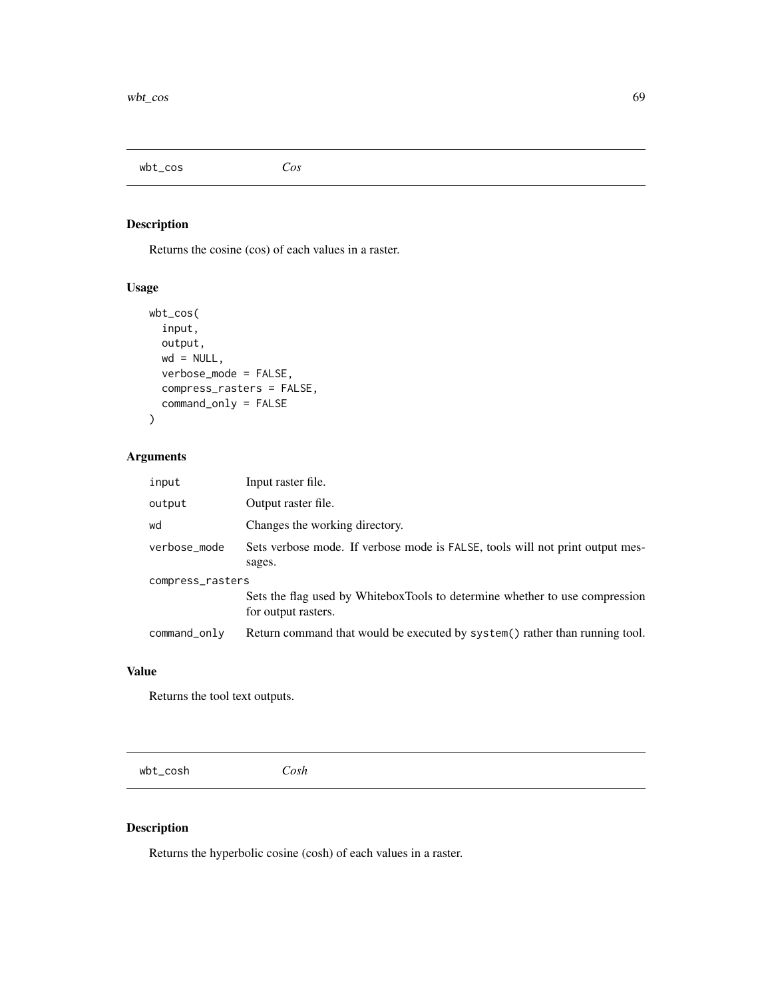wbt\_cos *Cos*

# Description

Returns the cosine (cos) of each values in a raster.

## Usage

```
wbt_cos(
  input,
  output,
  wd = NULL,verbose_mode = FALSE,
  compress_rasters = FALSE,
  command_only = FALSE
)
```
# Arguments

| input            | Input raster file.                                                                                 |  |
|------------------|----------------------------------------------------------------------------------------------------|--|
| output           | Output raster file.                                                                                |  |
| wd               | Changes the working directory.                                                                     |  |
| verbose_mode     | Sets verbose mode. If verbose mode is FALSE, tools will not print output mes-<br>sages.            |  |
| compress_rasters |                                                                                                    |  |
|                  | Sets the flag used by WhiteboxTools to determine whether to use compression<br>for output rasters. |  |
| command_only     | Return command that would be executed by system() rather than running tool.                        |  |

#### Value

Returns the tool text outputs.

wbt\_cosh *Cosh*

## Description

Returns the hyperbolic cosine (cosh) of each values in a raster.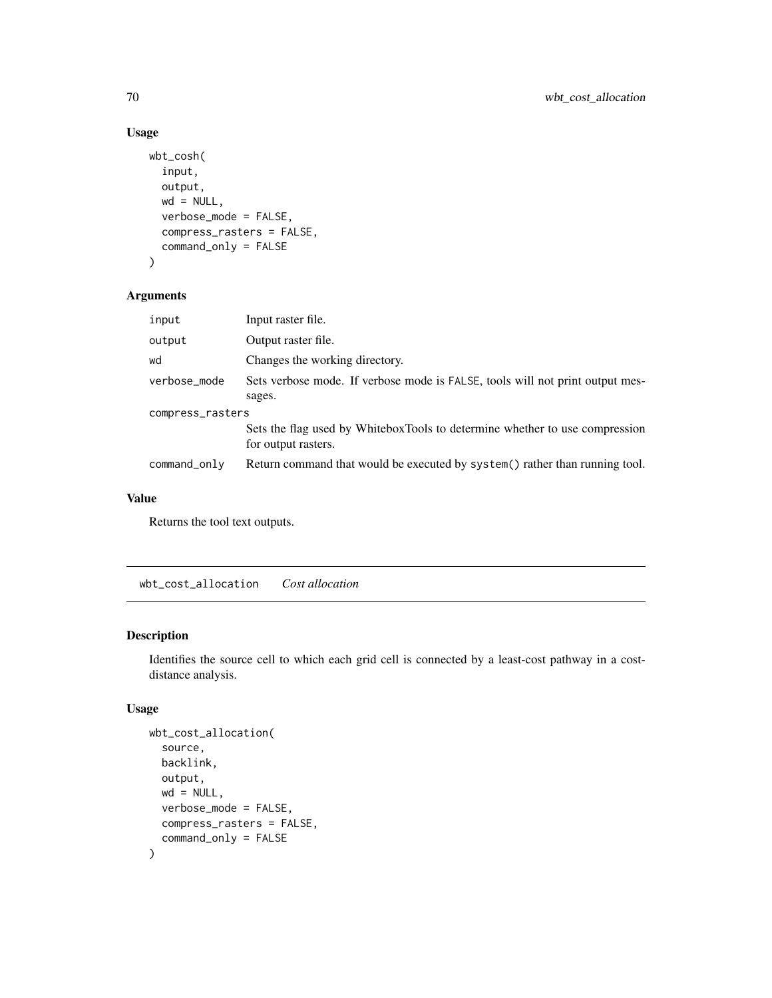```
wbt_cosh(
  input,
  output,
 wd = NULL,verbose_mode = FALSE,
  compress_rasters = FALSE,
  command_only = FALSE
)
```
#### Arguments

| input            | Input raster file.                                                                                 |  |
|------------------|----------------------------------------------------------------------------------------------------|--|
| output           | Output raster file.                                                                                |  |
| wd               | Changes the working directory.                                                                     |  |
| verbose_mode     | Sets verbose mode. If verbose mode is FALSE, tools will not print output mes-<br>sages.            |  |
| compress_rasters |                                                                                                    |  |
|                  | Sets the flag used by WhiteboxTools to determine whether to use compression<br>for output rasters. |  |
| command_only     | Return command that would be executed by system() rather than running tool.                        |  |
|                  |                                                                                                    |  |

#### Value

Returns the tool text outputs.

wbt\_cost\_allocation *Cost allocation*

## Description

Identifies the source cell to which each grid cell is connected by a least-cost pathway in a costdistance analysis.

## Usage

```
wbt_cost_allocation(
  source,
 backlink,
  output,
 wd = NULL,verbose_mode = FALSE,
  compress_rasters = FALSE,
  command_only = FALSE
\mathcal{E}
```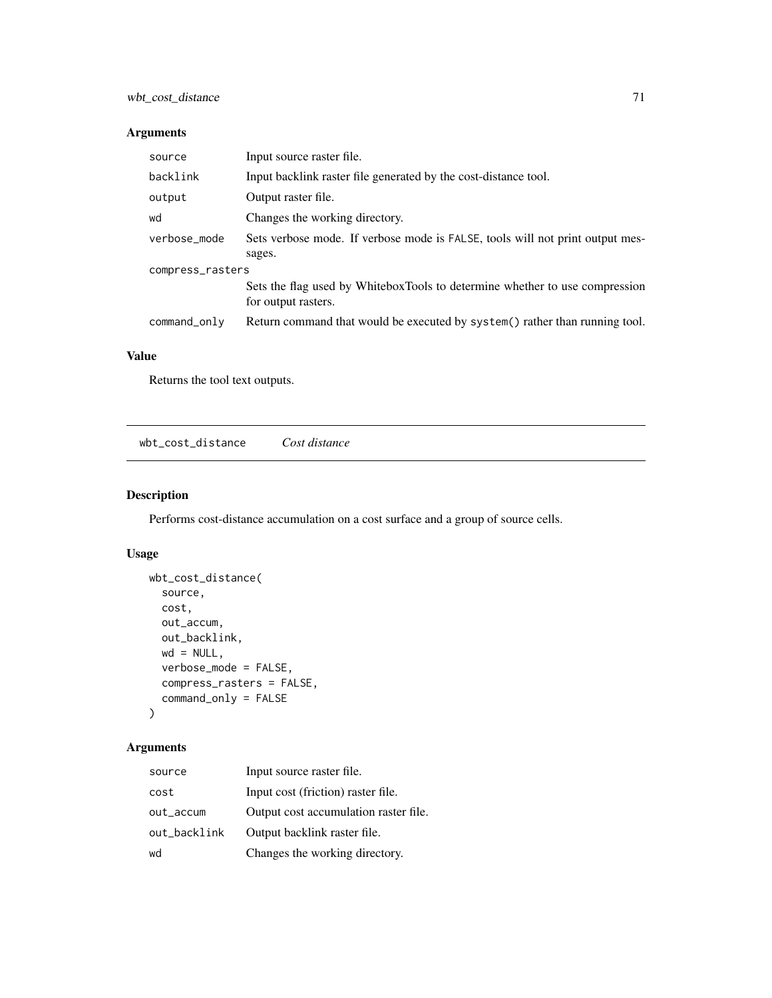## Arguments

| source           | Input source raster file.                                                                          |  |
|------------------|----------------------------------------------------------------------------------------------------|--|
| backlink         | Input backlink raster file generated by the cost-distance tool.                                    |  |
| output           | Output raster file.                                                                                |  |
| wd               | Changes the working directory.                                                                     |  |
| verbose_mode     | Sets verbose mode. If verbose mode is FALSE, tools will not print output mes-<br>sages.            |  |
| compress_rasters |                                                                                                    |  |
|                  | Sets the flag used by WhiteboxTools to determine whether to use compression<br>for output rasters. |  |
| command_only     | Return command that would be executed by system() rather than running tool.                        |  |

# Value

Returns the tool text outputs.

wbt\_cost\_distance *Cost distance*

# Description

Performs cost-distance accumulation on a cost surface and a group of source cells.

## Usage

```
wbt_cost_distance(
  source,
 cost,
 out_accum,
 out_backlink,
 wd = NULL,verbose_mode = FALSE,
 compress_rasters = FALSE,
  command_only = FALSE
)
```

| source       | Input source raster file.             |
|--------------|---------------------------------------|
| cost         | Input cost (friction) raster file.    |
| out_accum    | Output cost accumulation raster file. |
| out_backlink | Output backlink raster file.          |
| wd           | Changes the working directory.        |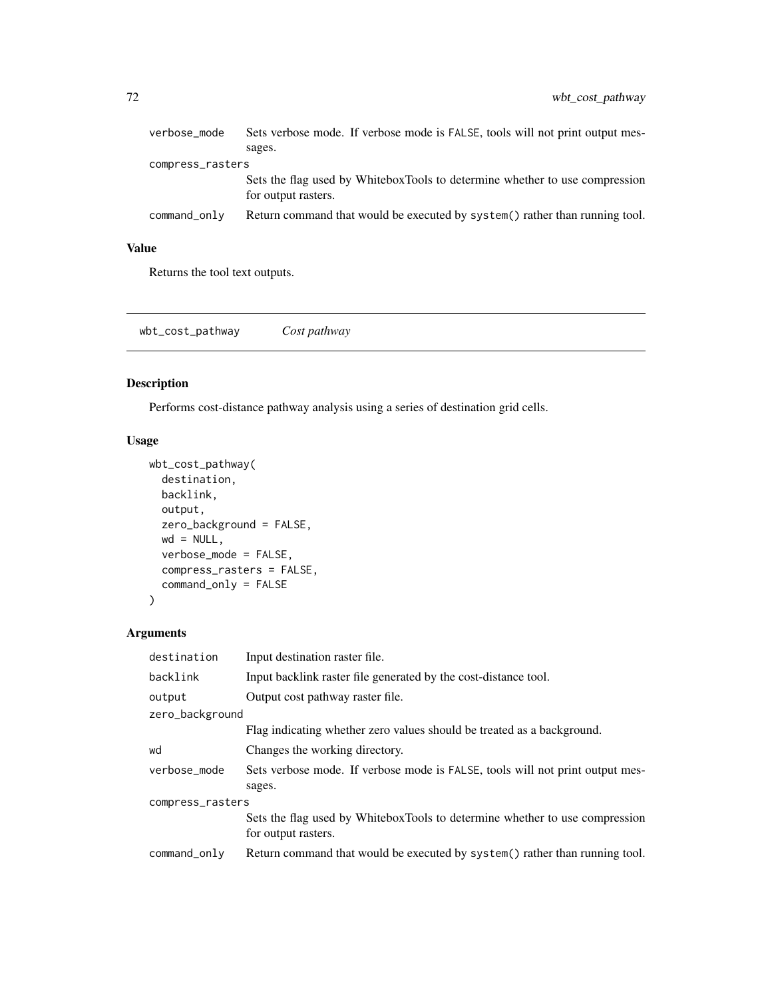| verbose_mode     | Sets verbose mode. If verbose mode is FALSE, tools will not print output mes-                      |
|------------------|----------------------------------------------------------------------------------------------------|
|                  | sages.                                                                                             |
| compress_rasters |                                                                                                    |
|                  | Sets the flag used by WhiteboxTools to determine whether to use compression<br>for output rasters. |
| command_only     | Return command that would be executed by system() rather than running tool.                        |

Returns the tool text outputs.

wbt\_cost\_pathway *Cost pathway*

# Description

Performs cost-distance pathway analysis using a series of destination grid cells.

## Usage

```
wbt_cost_pathway(
 destination,
 backlink,
 output,
 zero_background = FALSE,
 wd = NULL,verbose_mode = FALSE,
 compress_rasters = FALSE,
 command_only = FALSE
)
```

| destination      | Input destination raster file.                                                                     |
|------------------|----------------------------------------------------------------------------------------------------|
| backlink         | Input backlink raster file generated by the cost-distance tool.                                    |
| output           | Output cost pathway raster file.                                                                   |
| zero_background  |                                                                                                    |
|                  | Flag indicating whether zero values should be treated as a background.                             |
| wd               | Changes the working directory.                                                                     |
| verbose mode     | Sets verbose mode. If verbose mode is FALSE, tools will not print output mes-                      |
|                  | sages.                                                                                             |
| compress_rasters |                                                                                                    |
|                  | Sets the flag used by WhiteboxTools to determine whether to use compression<br>for output rasters. |
| command_only     | Return command that would be executed by system() rather than running tool.                        |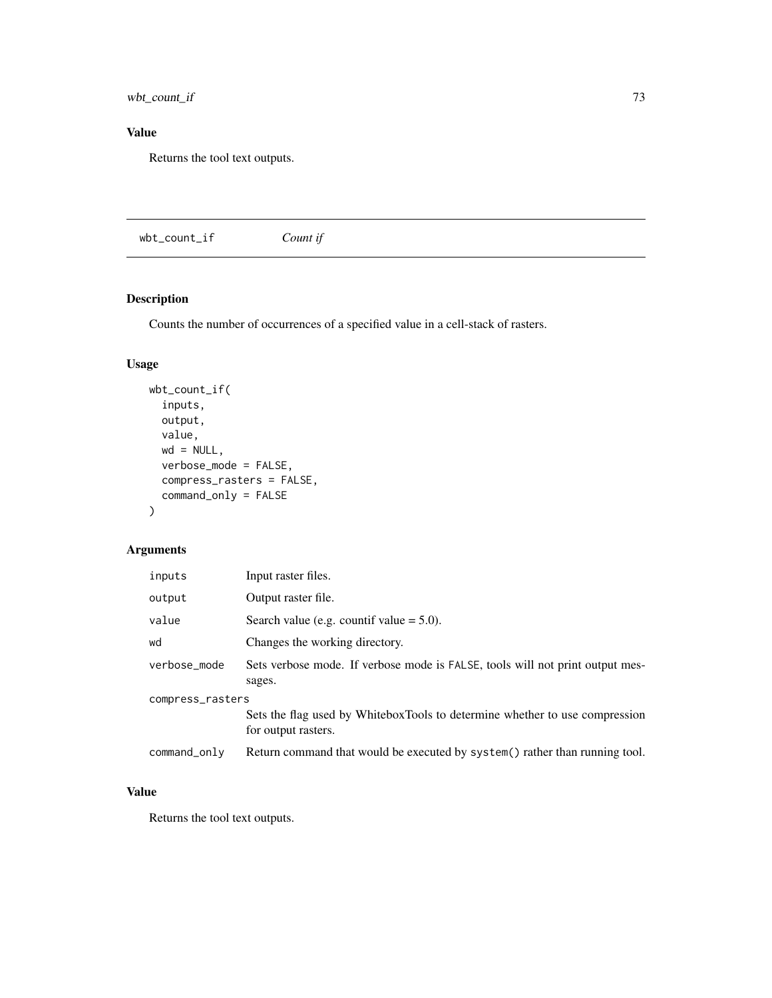wbt\_count\_if 73

# Value

Returns the tool text outputs.

wbt\_count\_if *Count if*

## Description

Counts the number of occurrences of a specified value in a cell-stack of rasters.

#### Usage

```
wbt_count_if(
  inputs,
 output,
 value,
 wd = NULL,verbose_mode = FALSE,
 compress_rasters = FALSE,
 command_only = FALSE
)
```
## Arguments

| inputs           | Input raster files.                                                                                |
|------------------|----------------------------------------------------------------------------------------------------|
| output           | Output raster file.                                                                                |
| value            | Search value (e.g. countif value $= 5.0$ ).                                                        |
| wd               | Changes the working directory.                                                                     |
| verbose_mode     | Sets verbose mode. If verbose mode is FALSE, tools will not print output mes-<br>sages.            |
| compress_rasters |                                                                                                    |
|                  | Sets the flag used by WhiteboxTools to determine whether to use compression<br>for output rasters. |
| command_only     | Return command that would be executed by system() rather than running tool.                        |

#### Value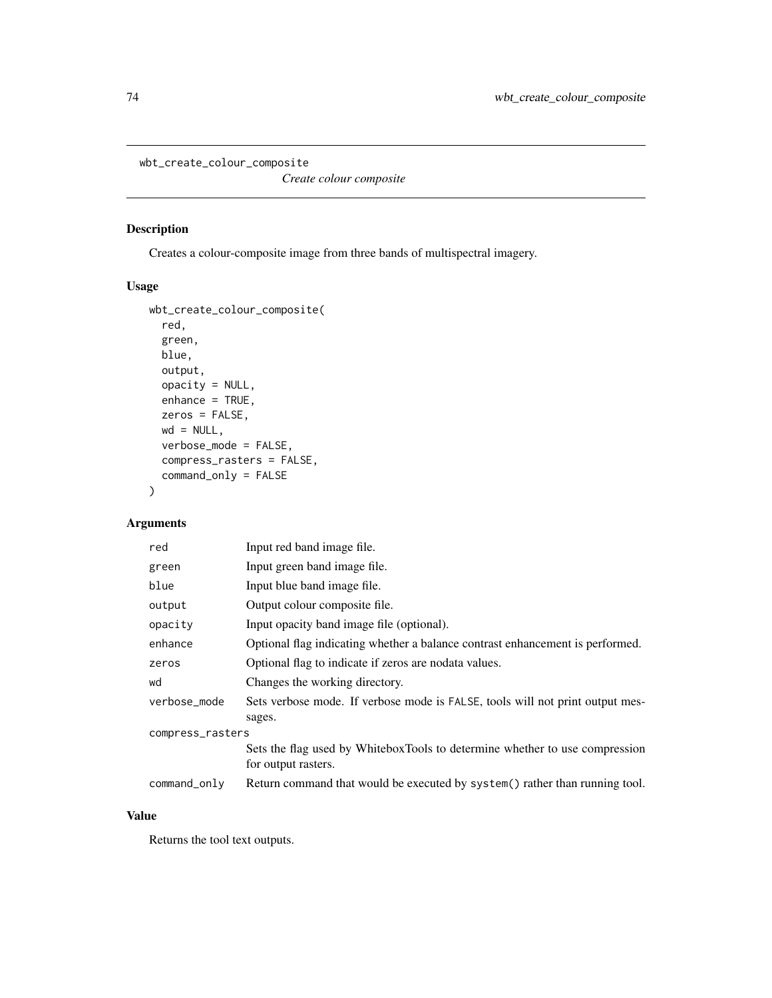wbt\_create\_colour\_composite

*Create colour composite*

## Description

Creates a colour-composite image from three bands of multispectral imagery.

#### Usage

```
wbt_create_colour_composite(
 red,
 green,
 blue,
 output,
 opacity = NULL,
 enhance = TRUE,
 zeros = FALSE,
 wd = NULL,verbose_mode = FALSE,
 compress_rasters = FALSE,
 command_only = FALSE
)
```
## Arguments

| red              | Input red band image file.                                                                         |  |
|------------------|----------------------------------------------------------------------------------------------------|--|
| green            | Input green band image file.                                                                       |  |
| blue             | Input blue band image file.                                                                        |  |
| output           | Output colour composite file.                                                                      |  |
| opacity          | Input opacity band image file (optional).                                                          |  |
| enhance          | Optional flag indicating whether a balance contrast enhancement is performed.                      |  |
| zeros            | Optional flag to indicate if zeros are nodata values.                                              |  |
| wd               | Changes the working directory.                                                                     |  |
| verbose_mode     | Sets verbose mode. If verbose mode is FALSE, tools will not print output mes-<br>sages.            |  |
| compress_rasters |                                                                                                    |  |
|                  | Sets the flag used by WhiteboxTools to determine whether to use compression<br>for output rasters. |  |
| command_only     | Return command that would be executed by system() rather than running tool.                        |  |

#### Value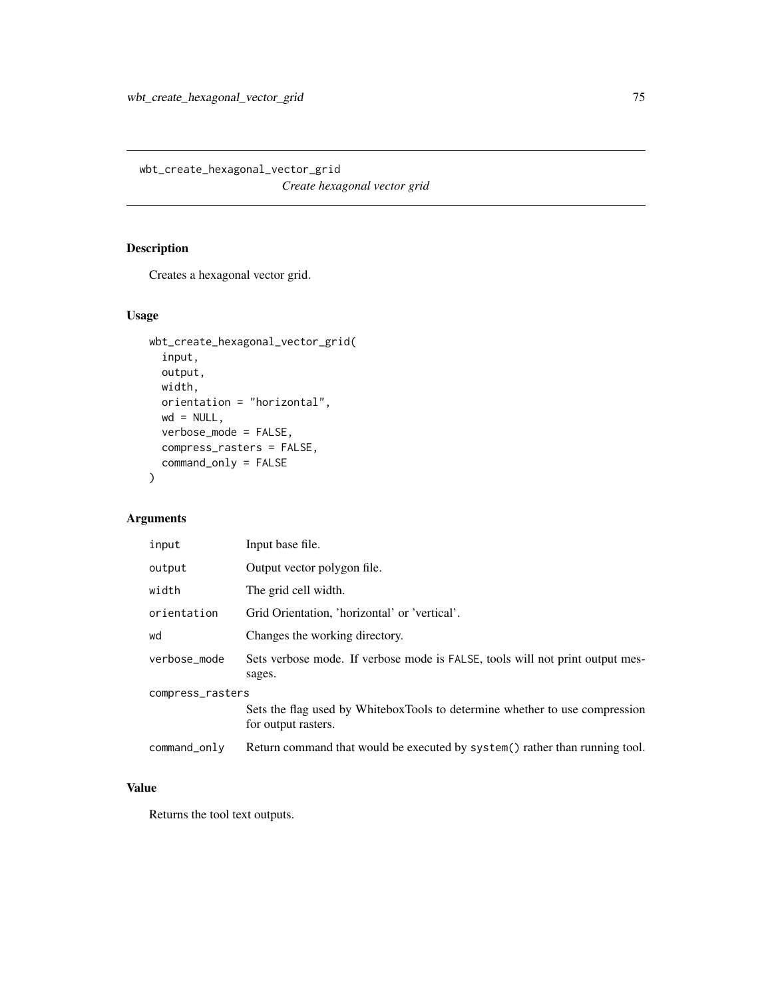wbt\_create\_hexagonal\_vector\_grid *Create hexagonal vector grid*

## Description

Creates a hexagonal vector grid.

#### Usage

```
wbt_create_hexagonal_vector_grid(
  input,
 output,
 width,
 orientation = "horizontal",
 wd = NULL,verbose_mode = FALSE,
 compress_rasters = FALSE,
 command_only = FALSE
)
```
## Arguments

| input            | Input base file.                                                                                   |  |
|------------------|----------------------------------------------------------------------------------------------------|--|
| output           | Output vector polygon file.                                                                        |  |
| width            | The grid cell width.                                                                               |  |
| orientation      | Grid Orientation, 'horizontal' or 'vertical'.                                                      |  |
| wd               | Changes the working directory.                                                                     |  |
| verbose_mode     | Sets verbose mode. If verbose mode is FALSE, tools will not print output mes-<br>sages.            |  |
| compress_rasters |                                                                                                    |  |
|                  | Sets the flag used by WhiteboxTools to determine whether to use compression<br>for output rasters. |  |
| command_only     | Return command that would be executed by system() rather than running tool.                        |  |

#### Value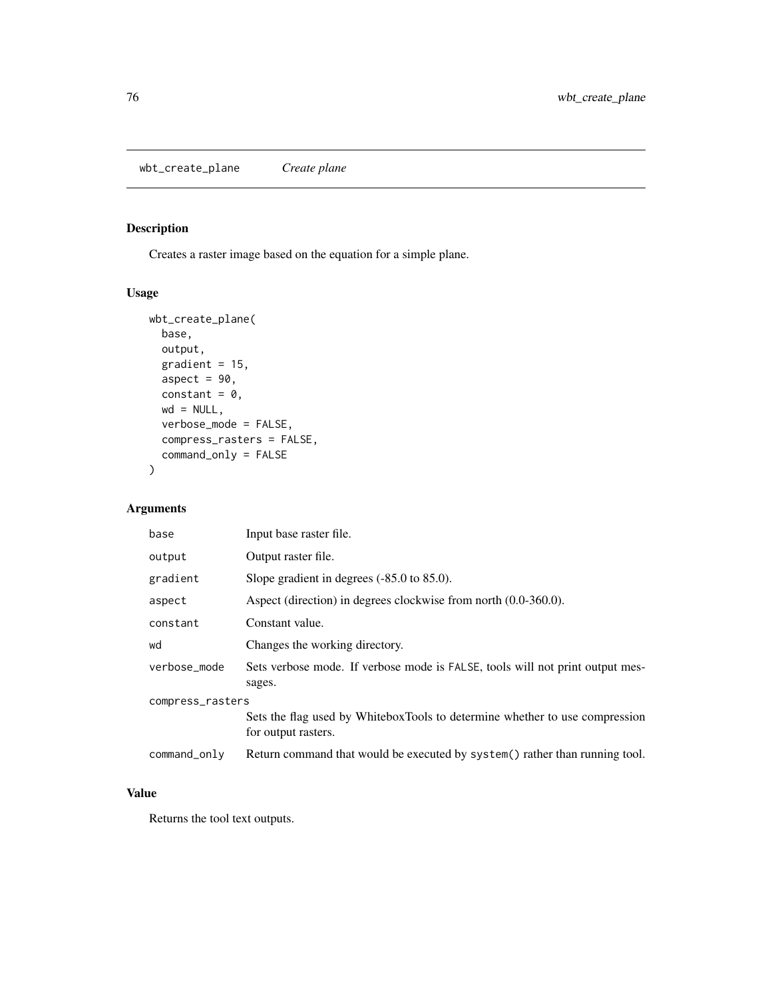wbt\_create\_plane *Create plane*

# Description

Creates a raster image based on the equation for a simple plane.

#### Usage

```
wbt_create_plane(
 base,
 output,
 gradient = 15,
 aspect = 90,
 constant = 0,
 wd = NULL,verbose_mode = FALSE,
  compress_rasters = FALSE,
  command_only = FALSE
)
```
#### Arguments

| base             | Input base raster file.                                                                            |  |
|------------------|----------------------------------------------------------------------------------------------------|--|
| output           | Output raster file.                                                                                |  |
| gradient         | Slope gradient in degrees $(-85.0 \text{ to } 85.0)$ .                                             |  |
| aspect           | Aspect (direction) in degrees clockwise from north (0.0-360.0).                                    |  |
| constant         | Constant value.                                                                                    |  |
| wd               | Changes the working directory.                                                                     |  |
| verbose_mode     | Sets verbose mode. If verbose mode is FALSE, tools will not print output mes-<br>sages.            |  |
| compress_rasters |                                                                                                    |  |
|                  | Sets the flag used by WhiteboxTools to determine whether to use compression<br>for output rasters. |  |
| command_only     | Return command that would be executed by system() rather than running tool.                        |  |

#### Value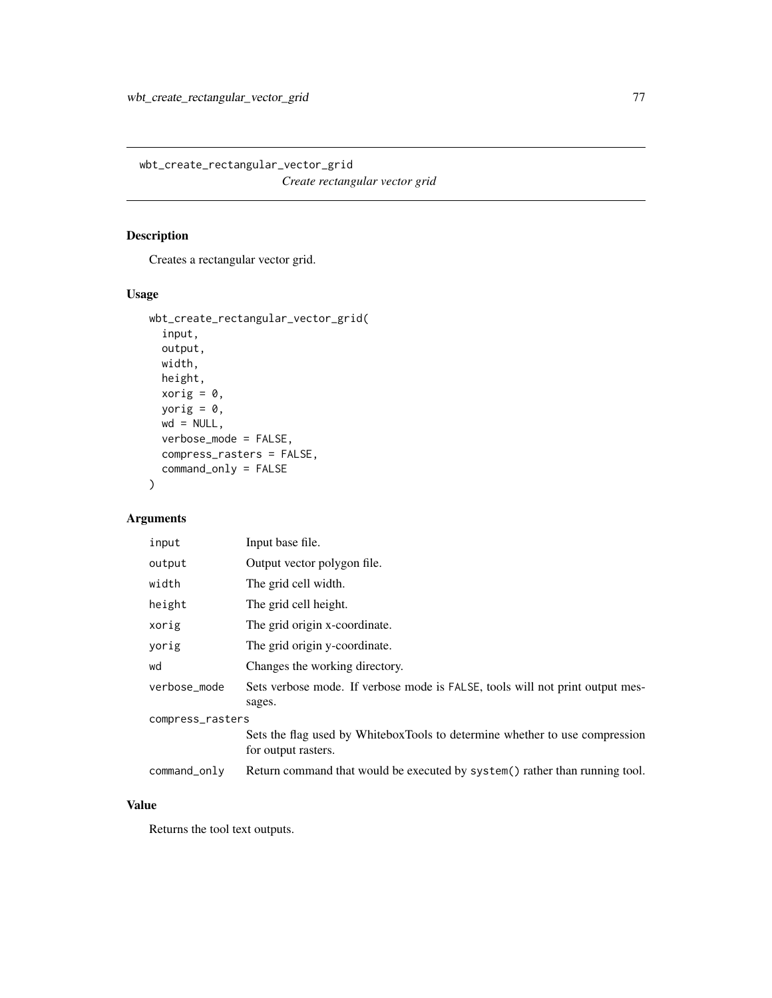wbt\_create\_rectangular\_vector\_grid *Create rectangular vector grid*

## Description

Creates a rectangular vector grid.

#### Usage

```
wbt_create_rectangular_vector_grid(
  input,
 output,
 width,
 height,
 xorig = 0,
 yorig = 0,
 wd = NULL,verbose_mode = FALSE,
 compress_rasters = FALSE,
 command_only = FALSE
)
```
## Arguments

| input            | Input base file.                                                                                   |  |
|------------------|----------------------------------------------------------------------------------------------------|--|
| output           | Output vector polygon file.                                                                        |  |
| width            | The grid cell width.                                                                               |  |
| height           | The grid cell height.                                                                              |  |
| xorig            | The grid origin x-coordinate.                                                                      |  |
| yorig            | The grid origin y-coordinate.                                                                      |  |
| wd               | Changes the working directory.                                                                     |  |
| verbose_mode     | Sets verbose mode. If verbose mode is FALSE, tools will not print output mes-<br>sages.            |  |
| compress_rasters |                                                                                                    |  |
|                  | Sets the flag used by WhiteboxTools to determine whether to use compression<br>for output rasters. |  |
| command_only     | Return command that would be executed by system() rather than running tool.                        |  |

## Value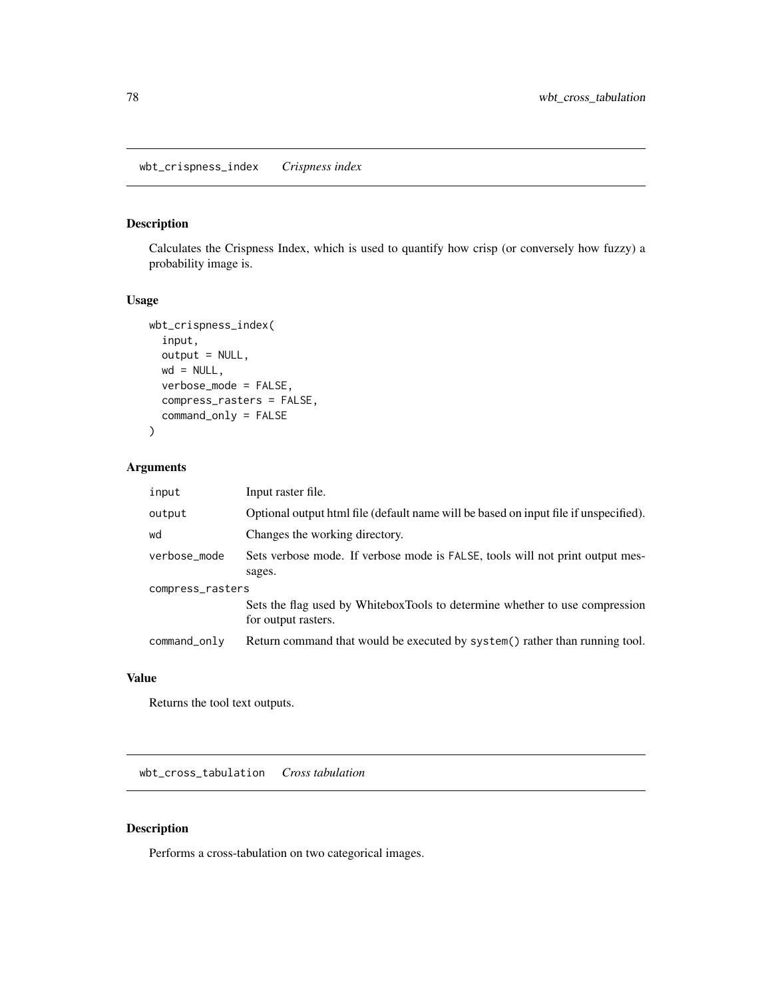#### Description

Calculates the Crispness Index, which is used to quantify how crisp (or conversely how fuzzy) a probability image is.

#### Usage

```
wbt_crispness_index(
  input,
 output = NULL,wd = NULL,verbose_mode = FALSE,
 compress_rasters = FALSE,
 command_only = FALSE
)
```
#### Arguments

| input            | Input raster file.                                                                                 |  |
|------------------|----------------------------------------------------------------------------------------------------|--|
| output           | Optional output html file (default name will be based on input file if unspecified).               |  |
| wd               | Changes the working directory.                                                                     |  |
| verbose_mode     | Sets verbose mode. If verbose mode is FALSE, tools will not print output mes-                      |  |
|                  | sages.                                                                                             |  |
| compress_rasters |                                                                                                    |  |
|                  | Sets the flag used by WhiteboxTools to determine whether to use compression<br>for output rasters. |  |
| command_only     | Return command that would be executed by system() rather than running tool.                        |  |

#### Value

Returns the tool text outputs.

wbt\_cross\_tabulation *Cross tabulation*

## Description

Performs a cross-tabulation on two categorical images.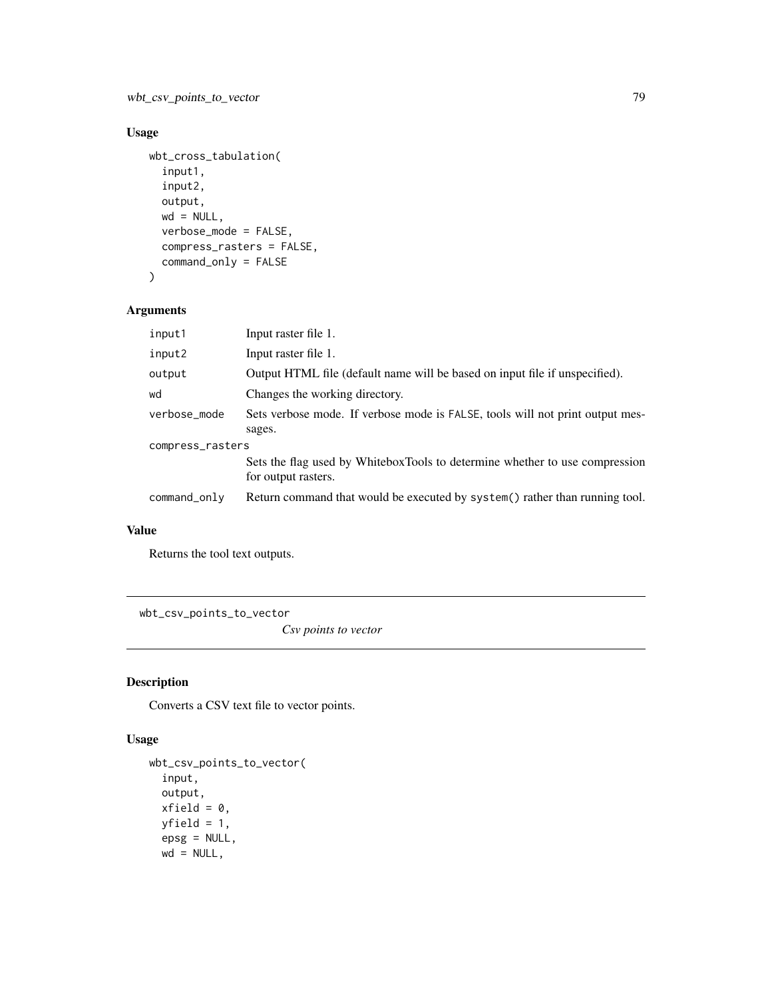## Usage

```
wbt_cross_tabulation(
  input1,
  input2,
 output,
 wd = NULL,verbose_mode = FALSE,
  compress_rasters = FALSE,
  command_only = FALSE
\mathcal{L}
```
#### Arguments

| input1           | Input raster file 1.                                                                               |  |
|------------------|----------------------------------------------------------------------------------------------------|--|
| input2           | Input raster file 1.                                                                               |  |
| output           | Output HTML file (default name will be based on input file if unspecified).                        |  |
| wd               | Changes the working directory.                                                                     |  |
| verbose_mode     | Sets verbose mode. If verbose mode is FALSE, tools will not print output mes-                      |  |
|                  | sages.                                                                                             |  |
| compress_rasters |                                                                                                    |  |
|                  | Sets the flag used by WhiteboxTools to determine whether to use compression<br>for output rasters. |  |
| command_only     | Return command that would be executed by system() rather than running tool.                        |  |

## Value

Returns the tool text outputs.

wbt\_csv\_points\_to\_vector

*Csv points to vector*

#### Description

Converts a CSV text file to vector points.

#### Usage

```
wbt_csv_points_to_vector(
  input,
 output,
 xfield = 0,
 yfield = 1,epsg = NULL,
 wd = NULL,
```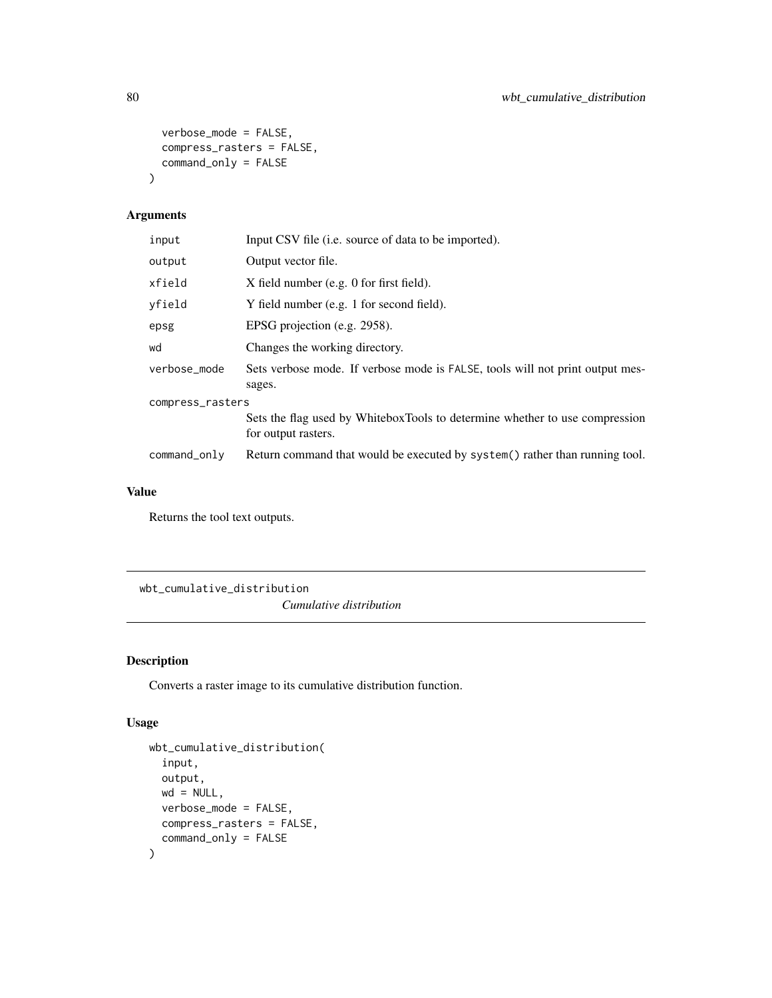```
verbose_mode = FALSE,
  compress_rasters = FALSE,
  command_only = FALSE
\mathcal{L}
```
## Arguments

| input            | Input CSV file ( <i>i.e.</i> source of data to be imported).                                       |  |
|------------------|----------------------------------------------------------------------------------------------------|--|
| output           | Output vector file.                                                                                |  |
| xfield           | X field number (e.g. 0 for first field).                                                           |  |
| yfield           | Y field number (e.g. 1 for second field).                                                          |  |
| epsg             | EPSG projection (e.g. 2958).                                                                       |  |
| wd               | Changes the working directory.                                                                     |  |
| verbose_mode     | Sets verbose mode. If verbose mode is FALSE, tools will not print output mes-<br>sages.            |  |
| compress_rasters |                                                                                                    |  |
|                  | Sets the flag used by WhiteboxTools to determine whether to use compression<br>for output rasters. |  |
| command_only     | Return command that would be executed by system() rather than running tool.                        |  |
|                  |                                                                                                    |  |

## Value

Returns the tool text outputs.

wbt\_cumulative\_distribution *Cumulative distribution*

## Description

Converts a raster image to its cumulative distribution function.

#### Usage

```
wbt_cumulative_distribution(
  input,
 output,
 wd = NULL,verbose_mode = FALSE,
 compress_rasters = FALSE,
  command_only = FALSE
\mathcal{L}
```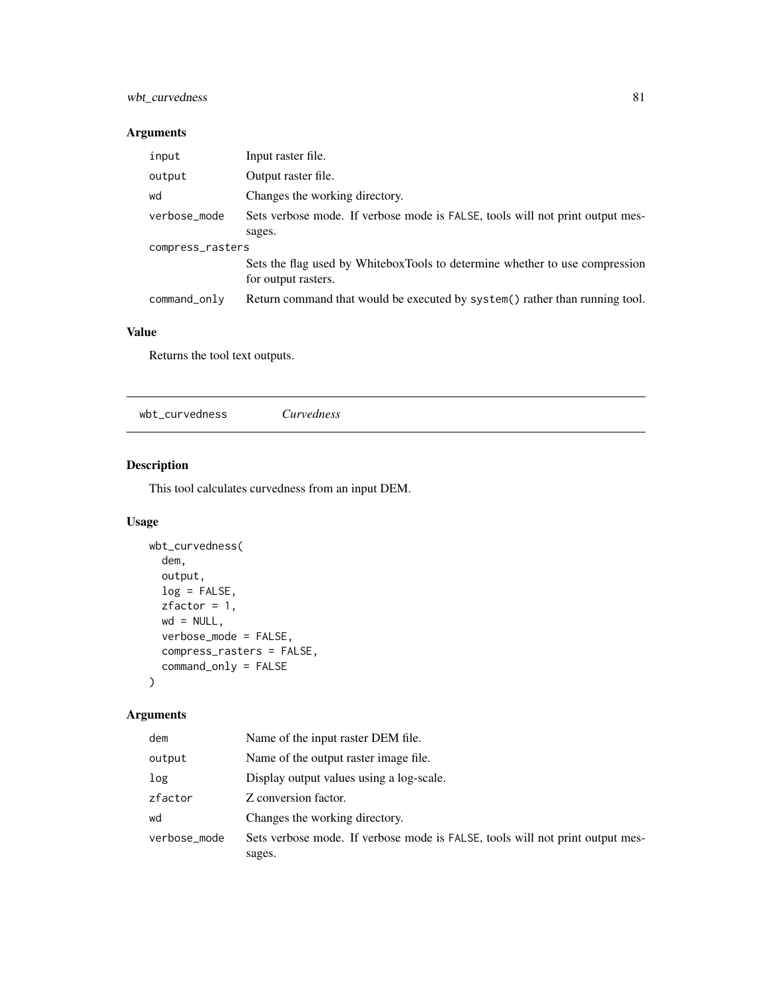## wbt\_curvedness 81

#### Arguments

| input            | Input raster file.                                                                                 |  |
|------------------|----------------------------------------------------------------------------------------------------|--|
| output           | Output raster file.                                                                                |  |
| wd               | Changes the working directory.                                                                     |  |
| verbose_mode     | Sets verbose mode. If verbose mode is FALSE, tools will not print output mes-                      |  |
|                  | sages.                                                                                             |  |
| compress_rasters |                                                                                                    |  |
|                  | Sets the flag used by WhiteboxTools to determine whether to use compression<br>for output rasters. |  |
| command_only     | Return command that would be executed by system() rather than running tool.                        |  |

## Value

Returns the tool text outputs.

wbt\_curvedness *Curvedness*

## Description

This tool calculates curvedness from an input DEM.

#### Usage

```
wbt_curvedness(
  dem,
  output,
  log = FALSE,
  zfactor = 1,
  wd = NULL,verbose_mode = FALSE,
  compress_rasters = FALSE,
  command_only = FALSE
\mathcal{L}
```

| dem          | Name of the input raster DEM file.                                            |
|--------------|-------------------------------------------------------------------------------|
| output       | Name of the output raster image file.                                         |
| log          | Display output values using a log-scale.                                      |
| zfactor      | Z conversion factor.                                                          |
| wd           | Changes the working directory.                                                |
| verbose_mode | Sets verbose mode. If verbose mode is FALSE, tools will not print output mes- |
|              | sages.                                                                        |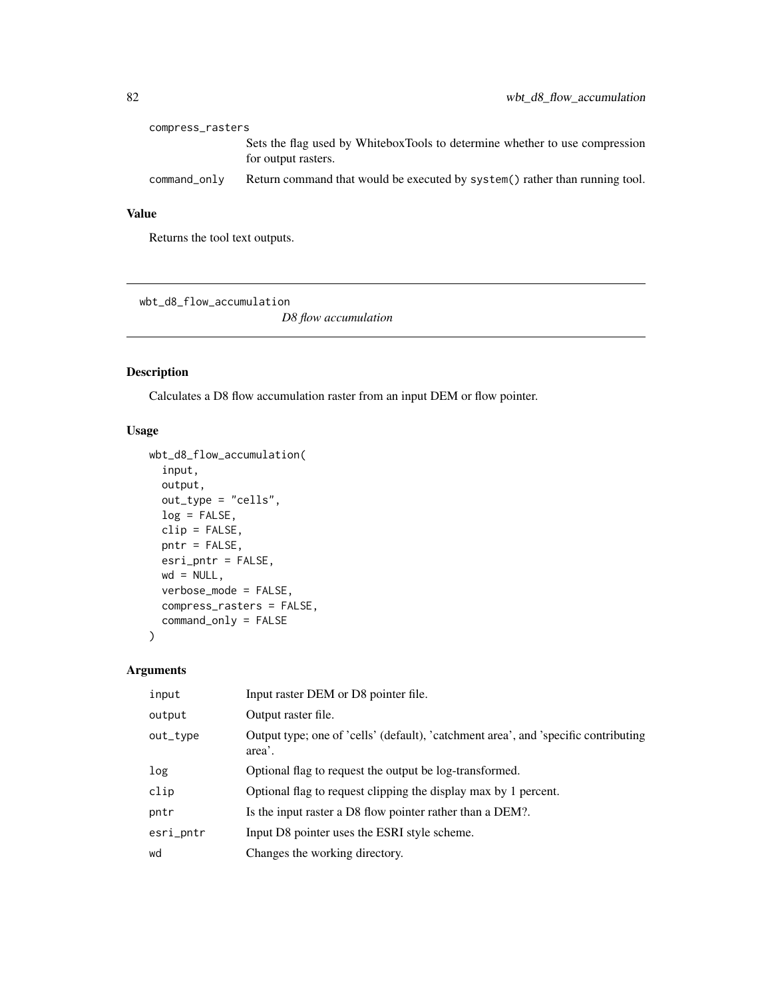| compress_rasters |                                                                                                    |
|------------------|----------------------------------------------------------------------------------------------------|
|                  | Sets the flag used by WhiteboxTools to determine whether to use compression<br>for output rasters. |
| command_only     | Return command that would be executed by system () rather than running tool.                       |

Returns the tool text outputs.

wbt\_d8\_flow\_accumulation

*D8 flow accumulation*

#### Description

Calculates a D8 flow accumulation raster from an input DEM or flow pointer.

#### Usage

```
wbt_d8_flow_accumulation(
  input,
 output,
 out_type = "cells",
 log = FALSE,
 clip = FALSE,
 pntr = FALSE,
 esri_pntr = FALSE,
 wd = NULL,verbose_mode = FALSE,
 compress_rasters = FALSE,
 command_only = FALSE
)
```

| input     | Input raster DEM or D8 pointer file.                                                          |
|-----------|-----------------------------------------------------------------------------------------------|
| output    | Output raster file.                                                                           |
| out_type  | Output type; one of 'cells' (default), 'catchment area', and 'specific contributing<br>area'. |
| log       | Optional flag to request the output be log-transformed.                                       |
| clip      | Optional flag to request clipping the display max by 1 percent.                               |
| pntr      | Is the input raster a D8 flow pointer rather than a DEM?.                                     |
| esri_pntr | Input D8 pointer uses the ESRI style scheme.                                                  |
| wd        | Changes the working directory.                                                                |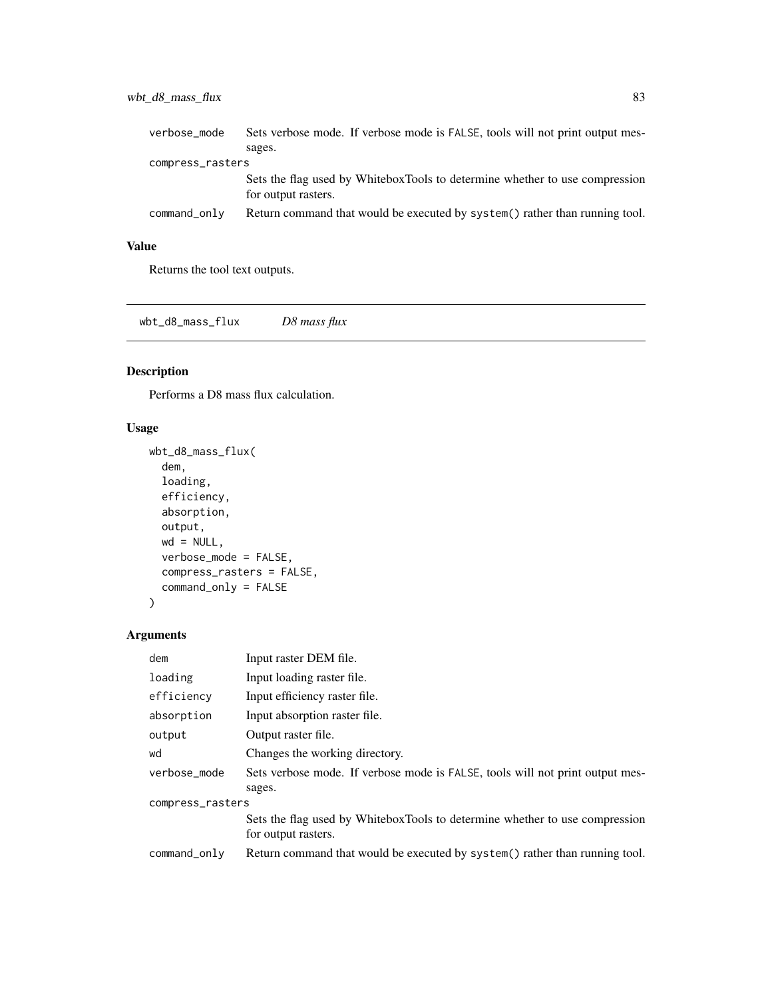| verbose_mode     | Sets verbose mode. If verbose mode is FALSE, tools will not print output mes-                      |
|------------------|----------------------------------------------------------------------------------------------------|
|                  | sages.                                                                                             |
| compress_rasters |                                                                                                    |
|                  | Sets the flag used by WhiteboxTools to determine whether to use compression<br>for output rasters. |
| command_only     | Return command that would be executed by system() rather than running tool.                        |

Returns the tool text outputs.

wbt\_d8\_mass\_flux *D8 mass flux*

## Description

Performs a D8 mass flux calculation.

#### Usage

```
wbt_d8_mass_flux(
  dem,
  loading,
 efficiency,
  absorption,
 output,
 wd = NULL,verbose_mode = FALSE,
  compress_rasters = FALSE,
  command_only = FALSE
)
```

| Input raster DEM file.                                                        |  |  |
|-------------------------------------------------------------------------------|--|--|
| Input loading raster file.                                                    |  |  |
| Input efficiency raster file.                                                 |  |  |
| Input absorption raster file.                                                 |  |  |
| Output raster file.                                                           |  |  |
| Changes the working directory.                                                |  |  |
| Sets verbose mode. If verbose mode is FALSE, tools will not print output mes- |  |  |
| sages.                                                                        |  |  |
| compress_rasters                                                              |  |  |
| Sets the flag used by WhiteboxTools to determine whether to use compression   |  |  |
| for output rasters.                                                           |  |  |
| Return command that would be executed by system() rather than running tool.   |  |  |
|                                                                               |  |  |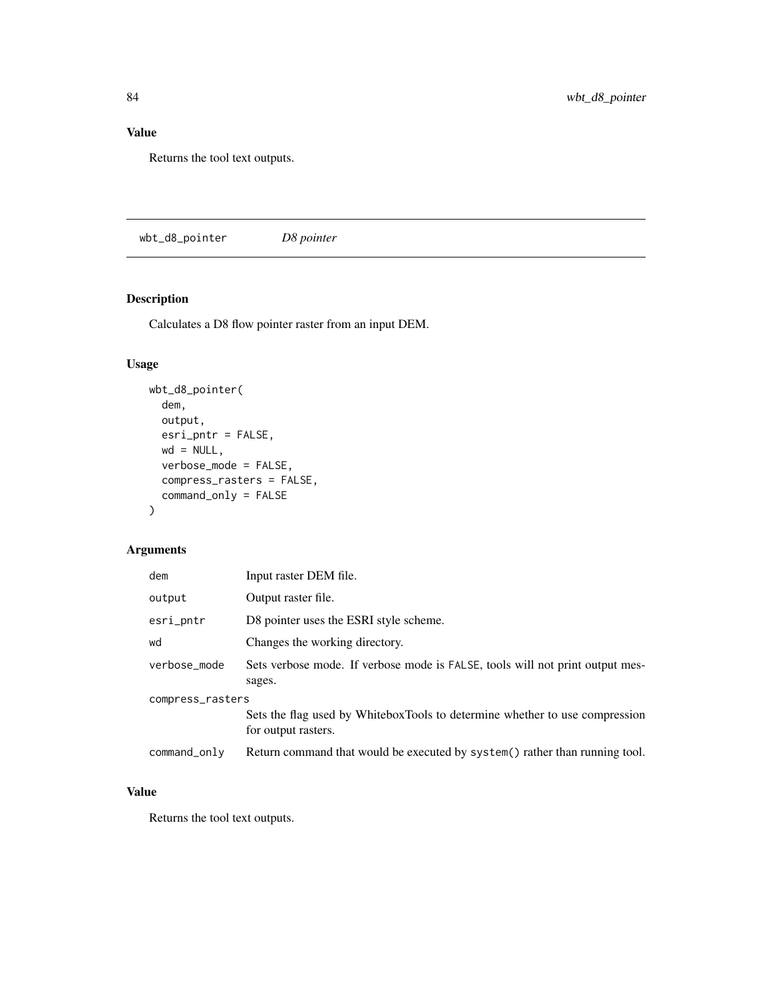Returns the tool text outputs.

wbt\_d8\_pointer *D8 pointer*

## Description

Calculates a D8 flow pointer raster from an input DEM.

#### Usage

```
wbt_d8_pointer(
 dem,
 output,
 esri_pntr = FALSE,
 wd = NULL,verbose_mode = FALSE,
 compress_rasters = FALSE,
 command_only = FALSE
)
```
## Arguments

| dem              | Input raster DEM file.                                                                             |  |
|------------------|----------------------------------------------------------------------------------------------------|--|
| output           | Output raster file.                                                                                |  |
| esri_pntr        | D8 pointer uses the ESRI style scheme.                                                             |  |
| wd               | Changes the working directory.                                                                     |  |
| verbose mode     | Sets verbose mode. If verbose mode is FALSE, tools will not print output mes-<br>sages.            |  |
| compress_rasters |                                                                                                    |  |
|                  | Sets the flag used by WhiteboxTools to determine whether to use compression<br>for output rasters. |  |
| command_only     | Return command that would be executed by system() rather than running tool.                        |  |

#### Value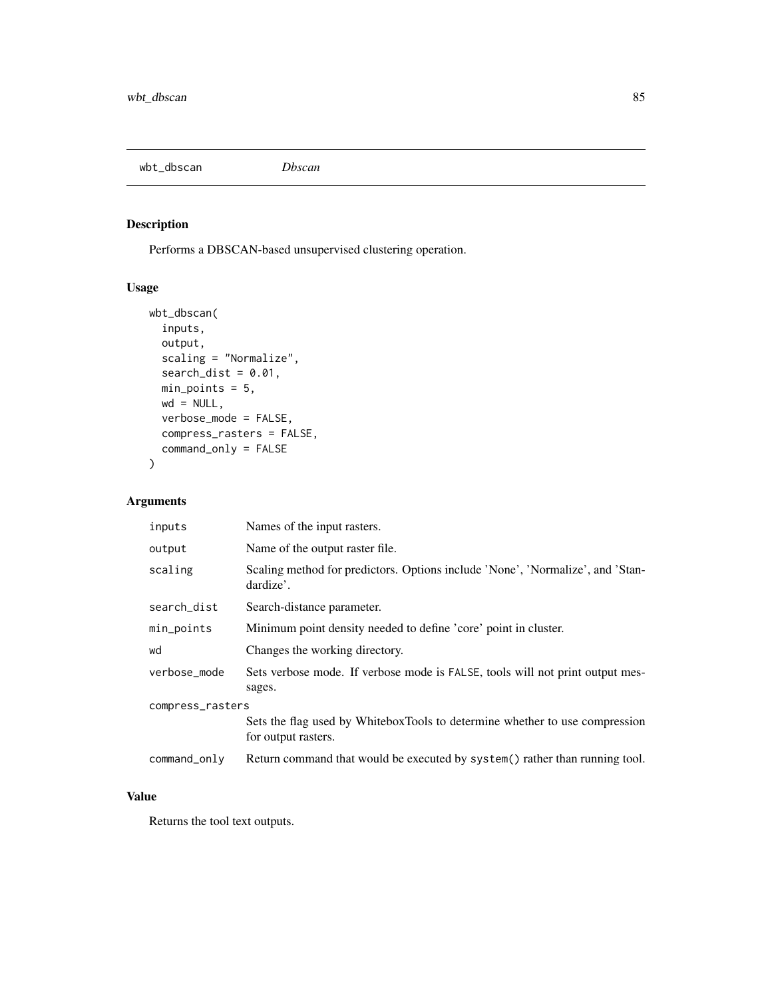wbt\_dbscan *Dbscan*

## Description

Performs a DBSCAN-based unsupervised clustering operation.

#### Usage

```
wbt_dbscan(
  inputs,
 output,
  scaling = "Normalize",
  search\_dist = 0.01,
 min_points = 5,
 wd = NULL,verbose_mode = FALSE,
  compress_rasters = FALSE,
  command_only = FALSE
)
```
## Arguments

| inputs           | Names of the input rasters.                                                                        |  |
|------------------|----------------------------------------------------------------------------------------------------|--|
| output           | Name of the output raster file.                                                                    |  |
| scaling          | Scaling method for predictors. Options include 'None', 'Normalize', and 'Stan-<br>dardize'.        |  |
| search_dist      | Search-distance parameter.                                                                         |  |
| min_points       | Minimum point density needed to define 'core' point in cluster.                                    |  |
| wd               | Changes the working directory.                                                                     |  |
| verbose_mode     | Sets verbose mode. If verbose mode is FALSE, tools will not print output mes-<br>sages.            |  |
| compress_rasters |                                                                                                    |  |
|                  | Sets the flag used by WhiteboxTools to determine whether to use compression<br>for output rasters. |  |
| command_only     | Return command that would be executed by system() rather than running tool.                        |  |

## Value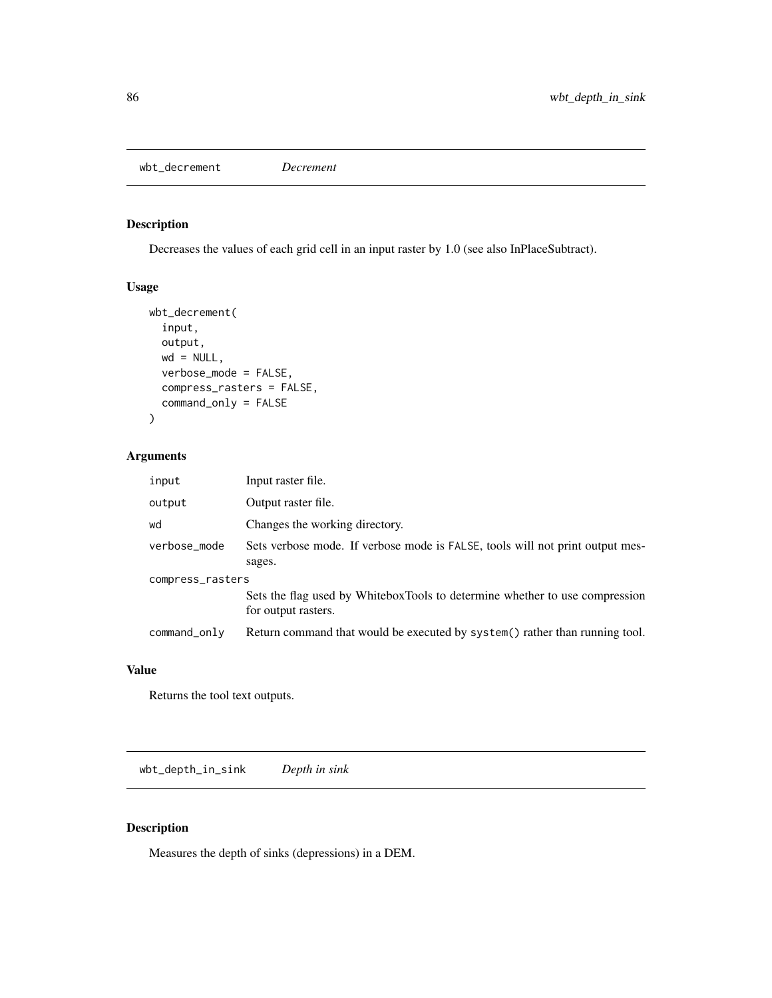wbt\_decrement *Decrement*

## Description

Decreases the values of each grid cell in an input raster by 1.0 (see also InPlaceSubtract).

#### Usage

```
wbt_decrement(
  input,
  output,
  wd = NULL,verbose_mode = FALSE,
  compress_rasters = FALSE,
  command_only = FALSE
\overline{\phantom{a}}
```
#### Arguments

| input            | Input raster file.                                                                                 |  |
|------------------|----------------------------------------------------------------------------------------------------|--|
| output           | Output raster file.                                                                                |  |
| wd               | Changes the working directory.                                                                     |  |
| verbose_mode     | Sets verbose mode. If verbose mode is FALSE, tools will not print output mes-<br>sages.            |  |
| compress_rasters |                                                                                                    |  |
|                  | Sets the flag used by WhiteboxTools to determine whether to use compression<br>for output rasters. |  |
| command_only     | Return command that would be executed by system() rather than running tool.                        |  |

#### Value

Returns the tool text outputs.

wbt\_depth\_in\_sink *Depth in sink*

#### Description

Measures the depth of sinks (depressions) in a DEM.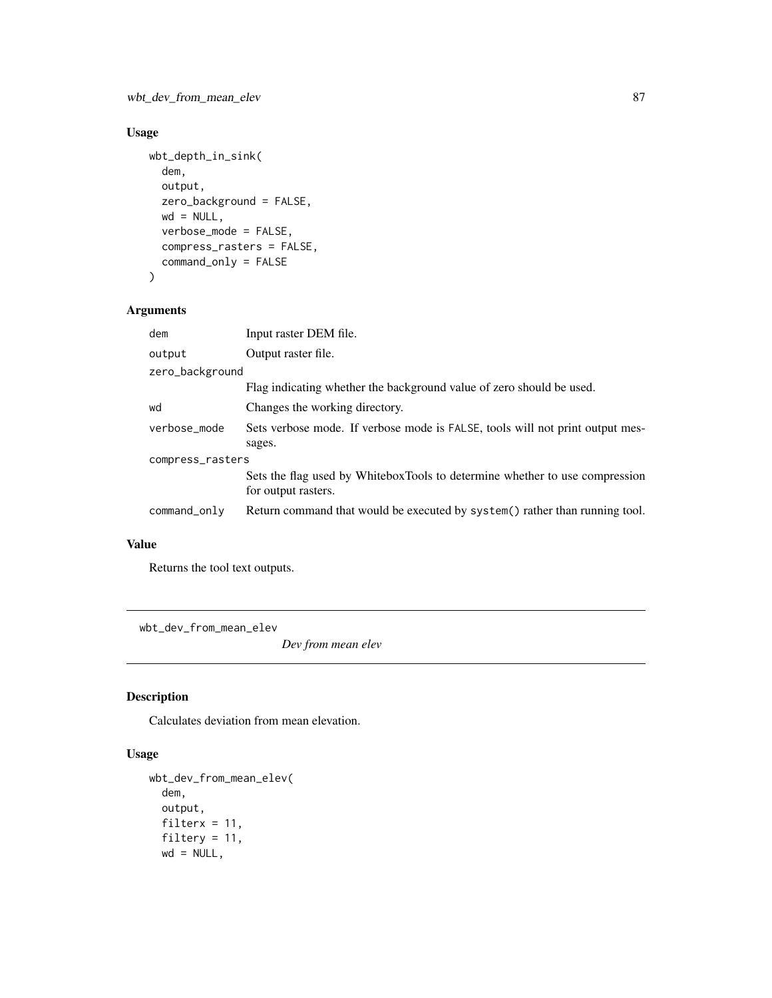# Usage

```
wbt_depth_in_sink(
 dem,
 output,
 zero_background = FALSE,
 wd = NULL,verbose_mode = FALSE,
 compress_rasters = FALSE,
 command_only = FALSE
)
```
#### Arguments

| dem              | Input raster DEM file.                                                                             |  |
|------------------|----------------------------------------------------------------------------------------------------|--|
| output           | Output raster file.                                                                                |  |
| zero_background  |                                                                                                    |  |
|                  | Flag indicating whether the background value of zero should be used.                               |  |
| wd               | Changes the working directory.                                                                     |  |
| verbose_mode     | Sets verbose mode. If verbose mode is FALSE, tools will not print output mes-                      |  |
|                  | sages.                                                                                             |  |
| compress_rasters |                                                                                                    |  |
|                  | Sets the flag used by WhiteboxTools to determine whether to use compression<br>for output rasters. |  |
| command_only     | Return command that would be executed by system() rather than running tool.                        |  |
|                  |                                                                                                    |  |

## Value

Returns the tool text outputs.

wbt\_dev\_from\_mean\_elev

*Dev from mean elev*

## Description

Calculates deviation from mean elevation.

## Usage

```
wbt_dev_from_mean_elev(
 dem,
 output,
 filterx = 11,
 filtery = 11,
 wd = NULL,
```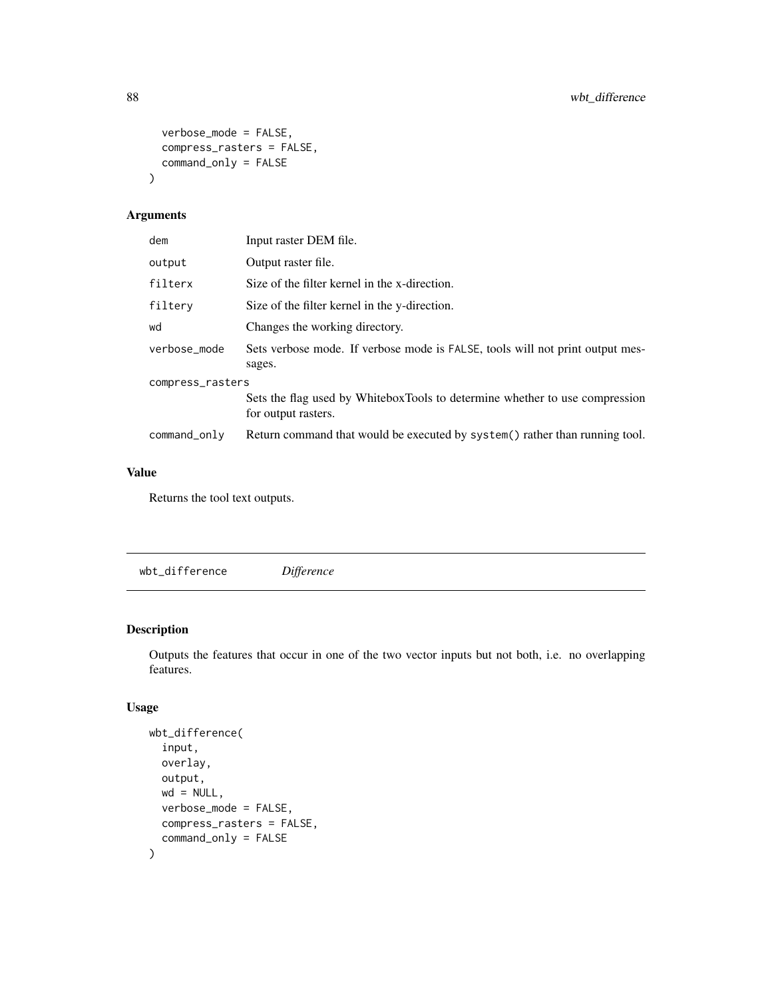```
verbose_mode = FALSE,
  compress_rasters = FALSE,
  command_only = FALSE
\mathcal{L}
```
## Arguments

| dem              | Input raster DEM file.                                                                             |  |
|------------------|----------------------------------------------------------------------------------------------------|--|
| output           | Output raster file.                                                                                |  |
| filterx          | Size of the filter kernel in the x-direction.                                                      |  |
| filtery          | Size of the filter kernel in the y-direction.                                                      |  |
| wd               | Changes the working directory.                                                                     |  |
| verbose_mode     | Sets verbose mode. If verbose mode is FALSE, tools will not print output mes-<br>sages.            |  |
| compress_rasters |                                                                                                    |  |
|                  | Sets the flag used by WhiteboxTools to determine whether to use compression<br>for output rasters. |  |
| command_only     | Return command that would be executed by system() rather than running tool.                        |  |

## Value

Returns the tool text outputs.

wbt\_difference *Difference*

#### Description

Outputs the features that occur in one of the two vector inputs but not both, i.e. no overlapping features.

## Usage

```
wbt_difference(
  input,
 overlay,
 output,
 wd = NULL,verbose_mode = FALSE,
 compress_rasters = FALSE,
  command_only = FALSE
\mathcal{L}
```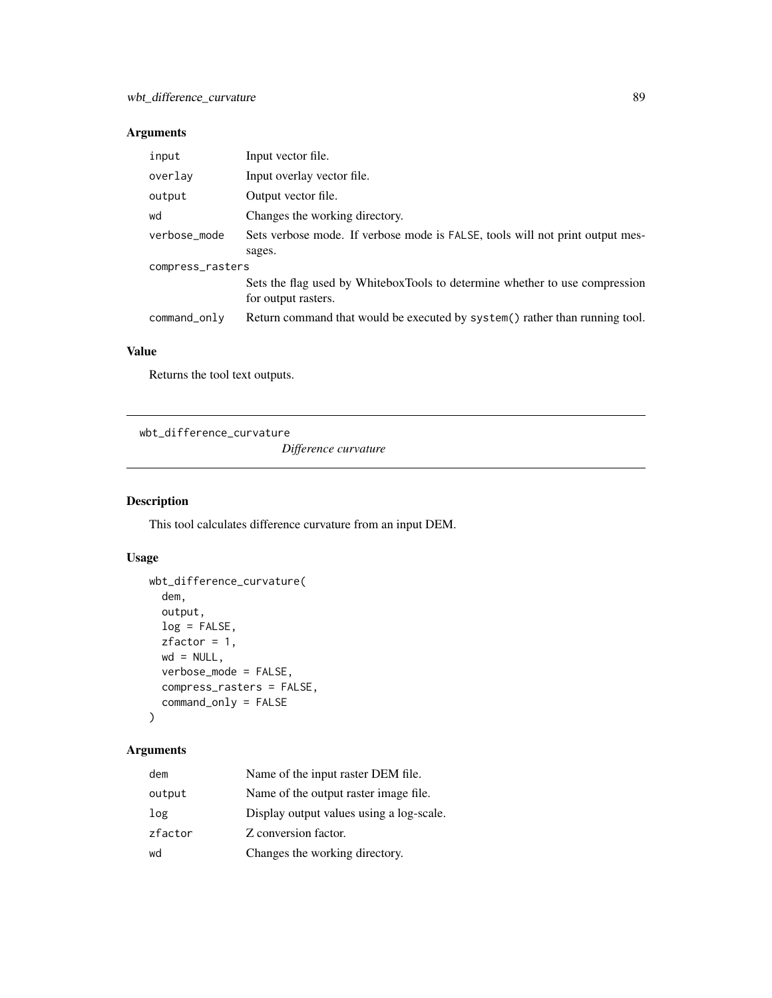## Arguments

| input            | Input vector file.                                                                                 |  |
|------------------|----------------------------------------------------------------------------------------------------|--|
| overlay          | Input overlay vector file.                                                                         |  |
| output           | Output vector file.                                                                                |  |
| wd               | Changes the working directory.                                                                     |  |
| verbose_mode     | Sets verbose mode. If verbose mode is FALSE, tools will not print output mes-                      |  |
|                  | sages.                                                                                             |  |
| compress_rasters |                                                                                                    |  |
|                  | Sets the flag used by WhiteboxTools to determine whether to use compression<br>for output rasters. |  |
| command_only     | Return command that would be executed by system() rather than running tool.                        |  |

#### Value

Returns the tool text outputs.

wbt\_difference\_curvature

*Difference curvature*

## Description

This tool calculates difference curvature from an input DEM.

## Usage

```
wbt_difference_curvature(
 dem,
 output,
 log = FALSE,
 zfactor = 1,
 wd = NULL,verbose_mode = FALSE,
 compress_rasters = FALSE,
 command_only = FALSE
)
```

| dem     | Name of the input raster DEM file.       |
|---------|------------------------------------------|
| output  | Name of the output raster image file.    |
| log     | Display output values using a log-scale. |
| zfactor | Z conversion factor.                     |
| wd      | Changes the working directory.           |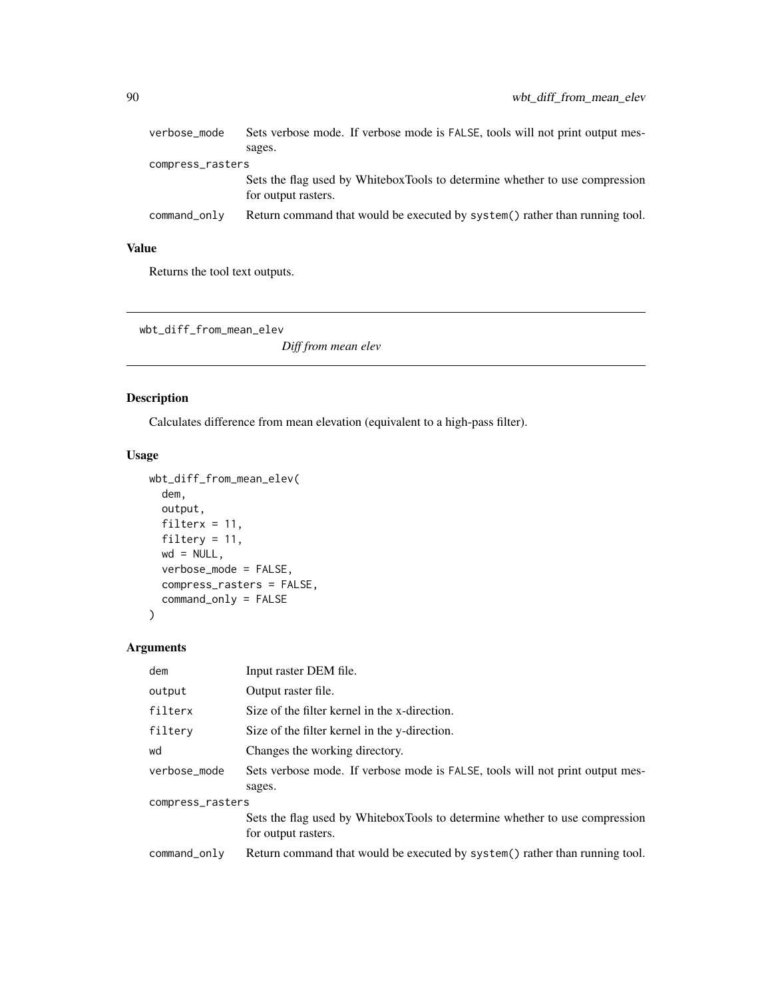| verbose_mode     | Sets verbose mode. If verbose mode is FALSE, tools will not print output mes-                      |  |
|------------------|----------------------------------------------------------------------------------------------------|--|
|                  | sages.                                                                                             |  |
| compress_rasters |                                                                                                    |  |
|                  | Sets the flag used by WhiteboxTools to determine whether to use compression<br>for output rasters. |  |
| command_only     | Return command that would be executed by system() rather than running tool.                        |  |

Returns the tool text outputs.

wbt\_diff\_from\_mean\_elev

*Diff from mean elev*

#### Description

Calculates difference from mean elevation (equivalent to a high-pass filter).

#### Usage

```
wbt_diff_from_mean_elev(
  dem,
  output,
  filterx = 11,
  filtery = 11,
  wd = NULL,verbose_mode = FALSE,
  compress_rasters = FALSE,
  command_only = FALSE
\mathcal{L}
```

| dem              | Input raster DEM file.                                                        |  |
|------------------|-------------------------------------------------------------------------------|--|
| output           | Output raster file.                                                           |  |
| filterx          | Size of the filter kernel in the x-direction.                                 |  |
| filtery          | Size of the filter kernel in the y-direction.                                 |  |
| wd               | Changes the working directory.                                                |  |
| verbose mode     | Sets verbose mode. If verbose mode is FALSE, tools will not print output mes- |  |
|                  | sages.                                                                        |  |
| compress_rasters |                                                                               |  |
|                  | Sets the flag used by WhiteboxTools to determine whether to use compression   |  |
|                  | for output rasters.                                                           |  |
| command_only     | Return command that would be executed by system() rather than running tool.   |  |
|                  |                                                                               |  |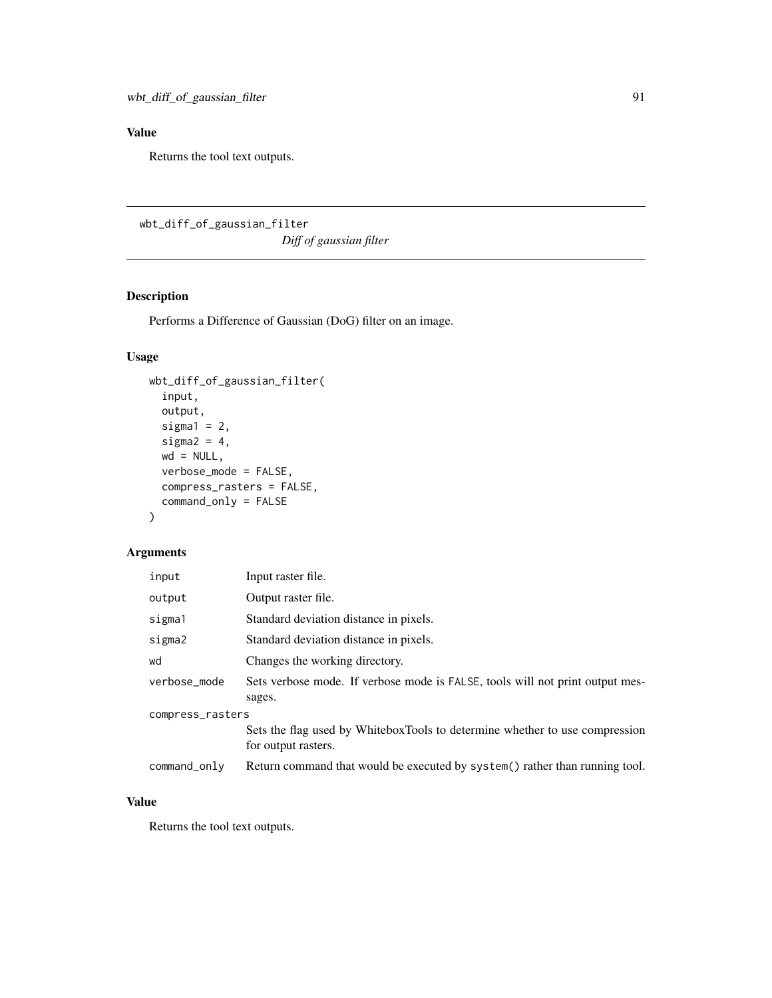Returns the tool text outputs.

wbt\_diff\_of\_gaussian\_filter

*Diff of gaussian filter*

## Description

Performs a Difference of Gaussian (DoG) filter on an image.

## Usage

```
wbt_diff_of_gaussian_filter(
  input,
 output,
  sigmal = 2,
  sigma2 = 4,
 wd = NULL,verbose_mode = FALSE,
  compress_rasters = FALSE,
  command_only = FALSE
\mathcal{L}
```
#### Arguments

| input            | Input raster file.                                                                                 |  |
|------------------|----------------------------------------------------------------------------------------------------|--|
| output           | Output raster file.                                                                                |  |
| sigma1           | Standard deviation distance in pixels.                                                             |  |
| sigma2           | Standard deviation distance in pixels.                                                             |  |
| wd               | Changes the working directory.                                                                     |  |
| verbose_mode     | Sets verbose mode. If verbose mode is FALSE, tools will not print output mes-<br>sages.            |  |
| compress_rasters |                                                                                                    |  |
|                  | Sets the flag used by WhiteboxTools to determine whether to use compression<br>for output rasters. |  |
| command_only     | Return command that would be executed by system() rather than running tool.                        |  |

#### Value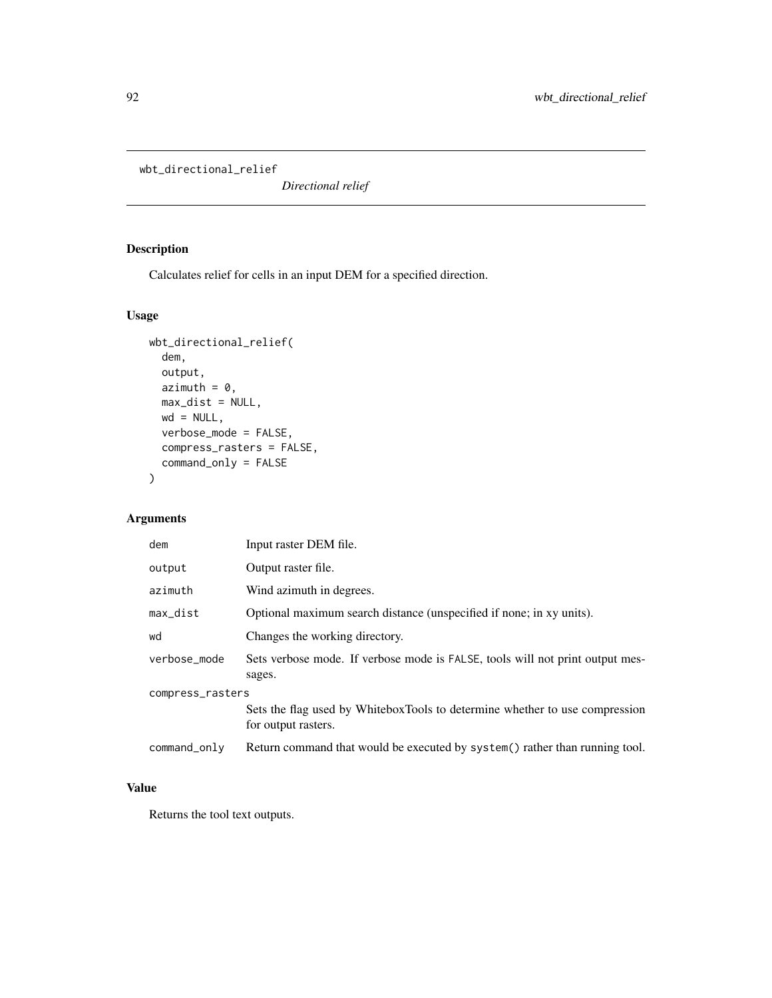wbt\_directional\_relief

*Directional relief*

## Description

Calculates relief for cells in an input DEM for a specified direction.

#### Usage

```
wbt_directional_relief(
 dem,
 output,
 azimuth = 0,
 max\_dist = NULL,wd = NULL,verbose_mode = FALSE,
 compress_rasters = FALSE,
 command_only = FALSE
)
```
#### Arguments

| dem              | Input raster DEM file.                                                                             |  |
|------------------|----------------------------------------------------------------------------------------------------|--|
| output           | Output raster file.                                                                                |  |
| azimuth          | Wind azimuth in degrees.                                                                           |  |
| max_dist         | Optional maximum search distance (unspecified if none; in xy units).                               |  |
| wd               | Changes the working directory.                                                                     |  |
| verbose_mode     | Sets verbose mode. If verbose mode is FALSE, tools will not print output mes-<br>sages.            |  |
| compress_rasters |                                                                                                    |  |
|                  | Sets the flag used by WhiteboxTools to determine whether to use compression<br>for output rasters. |  |
| command_only     | Return command that would be executed by system() rather than running tool.                        |  |

#### Value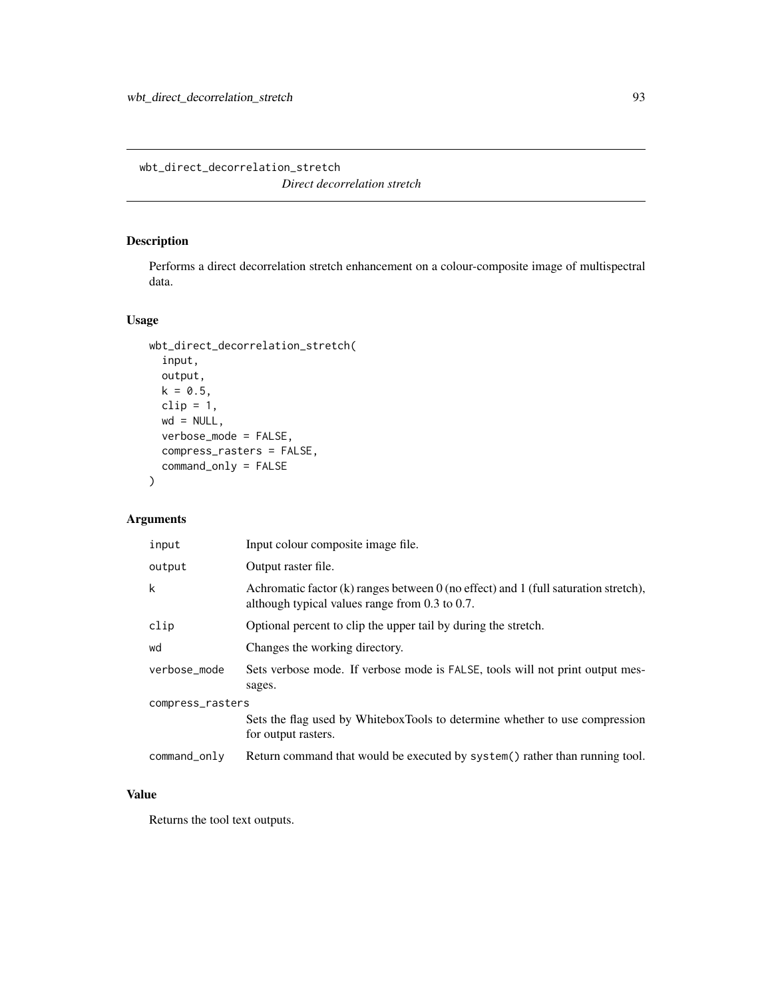wbt\_direct\_decorrelation\_stretch

*Direct decorrelation stretch*

#### Description

Performs a direct decorrelation stretch enhancement on a colour-composite image of multispectral data.

#### Usage

```
wbt_direct_decorrelation_stretch(
  input,
 output,
 k = 0.5,
 clip = 1,
 wd = NULL,verbose_mode = FALSE,
 compress_rasters = FALSE,
 command_only = FALSE
)
```
## Arguments

| input            | Input colour composite image file.                                                                                                           |  |
|------------------|----------------------------------------------------------------------------------------------------------------------------------------------|--|
| output           | Output raster file.                                                                                                                          |  |
| k                | Achromatic factor $(k)$ ranges between 0 (no effect) and 1 (full saturation stretch),<br>although typical values range from $0.3$ to $0.7$ . |  |
| clip             | Optional percent to clip the upper tail by during the stretch.                                                                               |  |
| wd               | Changes the working directory.                                                                                                               |  |
| verbose_mode     | Sets verbose mode. If verbose mode is FALSE, tools will not print output mes-<br>sages.                                                      |  |
| compress_rasters |                                                                                                                                              |  |
|                  | Sets the flag used by WhiteboxTools to determine whether to use compression<br>for output rasters.                                           |  |
| command_only     | Return command that would be executed by system() rather than running tool.                                                                  |  |

#### Value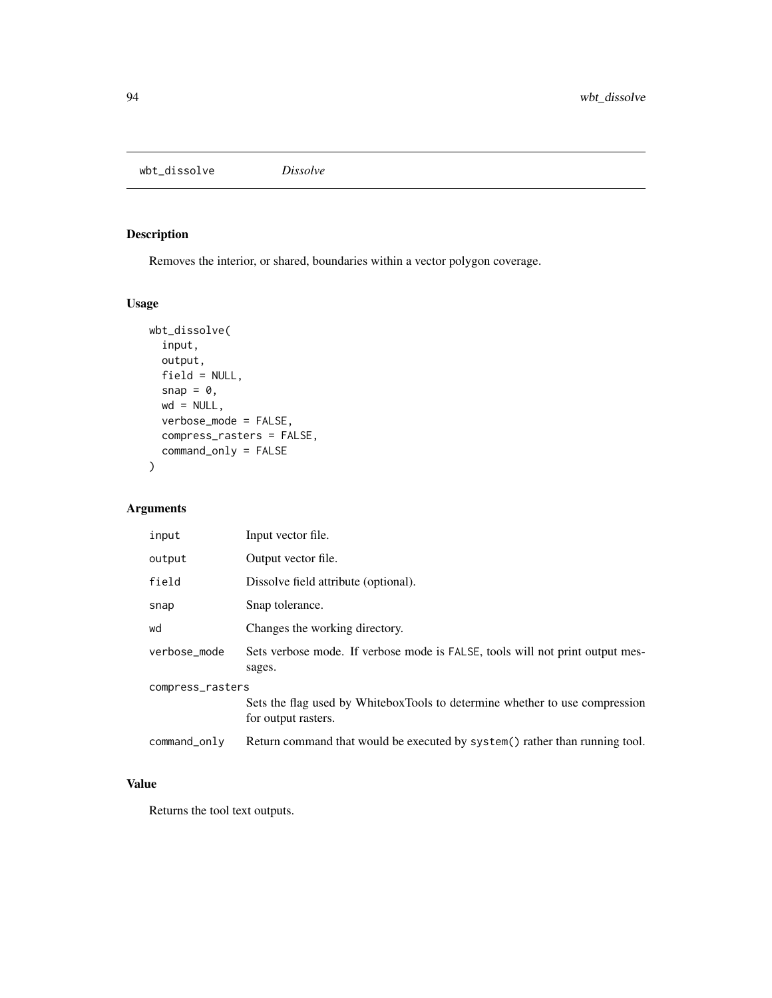wbt\_dissolve *Dissolve*

#### Description

Removes the interior, or shared, boundaries within a vector polygon coverage.

#### Usage

```
wbt_dissolve(
  input,
 output,
 field = NULL,
 snap = \theta,
 wd = NULL,verbose_mode = FALSE,
 compress_rasters = FALSE,
  command_only = FALSE
)
```
## Arguments

| input            | Input vector file.                                                                                 |  |
|------------------|----------------------------------------------------------------------------------------------------|--|
| output           | Output vector file.                                                                                |  |
| field            | Dissolve field attribute (optional).                                                               |  |
| snap             | Snap tolerance.                                                                                    |  |
| wd               | Changes the working directory.                                                                     |  |
| verbose_mode     | Sets verbose mode. If verbose mode is FALSE, tools will not print output mes-<br>sages.            |  |
| compress_rasters |                                                                                                    |  |
|                  | Sets the flag used by WhiteboxTools to determine whether to use compression<br>for output rasters. |  |
| command_only     | Return command that would be executed by system() rather than running tool.                        |  |

## Value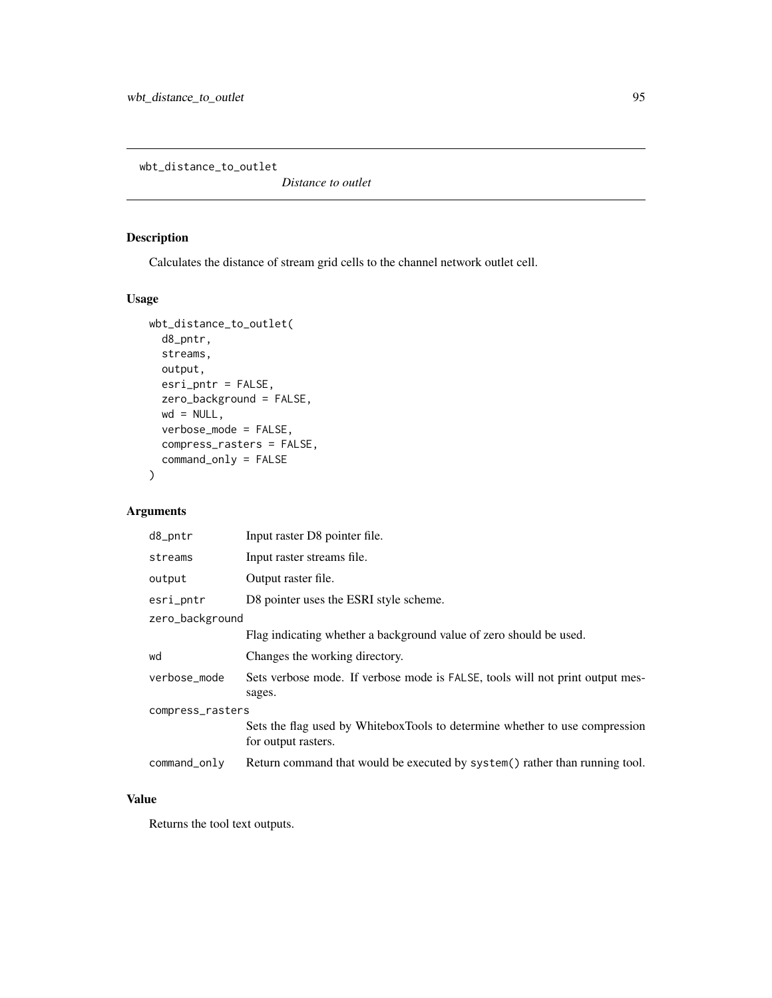wbt\_distance\_to\_outlet

*Distance to outlet*

#### Description

Calculates the distance of stream grid cells to the channel network outlet cell.

#### Usage

```
wbt_distance_to_outlet(
 d8_pntr,
 streams,
 output,
 esri_pntr = FALSE,
 zero_background = FALSE,
 wd = NULL,verbose_mode = FALSE,
 compress_rasters = FALSE,
 command_only = FALSE
)
```
#### Arguments

| d8_pntr          | Input raster D8 pointer file.                                                                      |  |
|------------------|----------------------------------------------------------------------------------------------------|--|
| streams          | Input raster streams file.                                                                         |  |
| output           | Output raster file.                                                                                |  |
| esri_pntr        | D8 pointer uses the ESRI style scheme.                                                             |  |
| zero_background  |                                                                                                    |  |
|                  | Flag indicating whether a background value of zero should be used.                                 |  |
| wd               | Changes the working directory.                                                                     |  |
| verbose_mode     | Sets verbose mode. If verbose mode is FALSE, tools will not print output mes-<br>sages.            |  |
| compress_rasters |                                                                                                    |  |
|                  | Sets the flag used by WhiteboxTools to determine whether to use compression<br>for output rasters. |  |
| command_only     | Return command that would be executed by system() rather than running tool.                        |  |

#### Value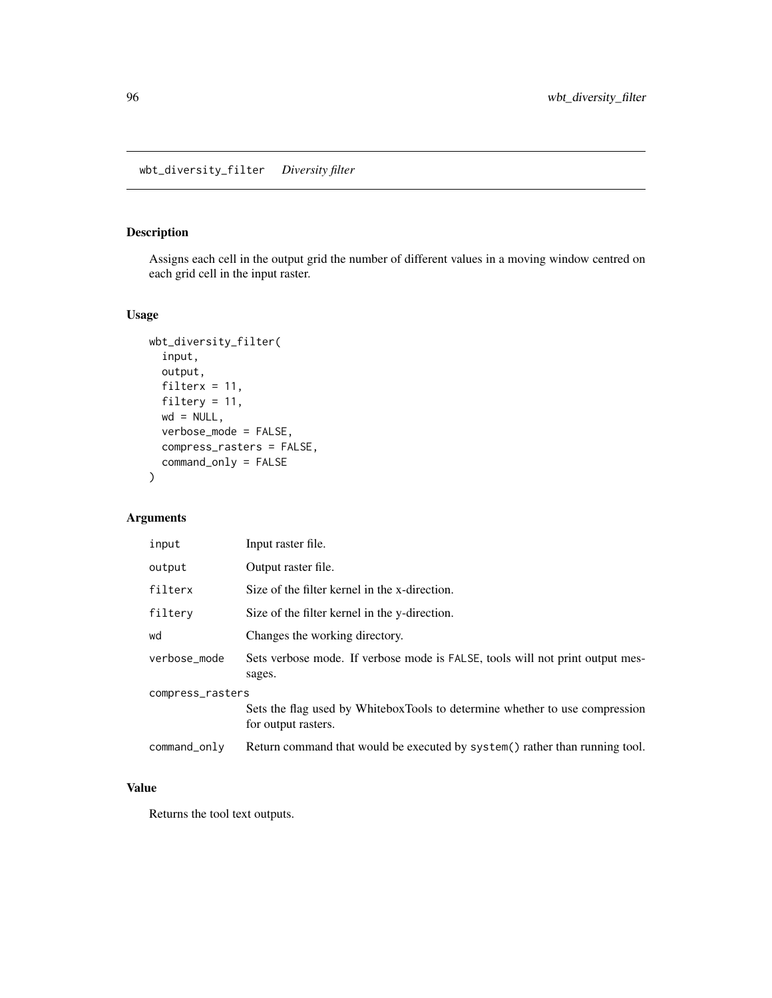#### Description

Assigns each cell in the output grid the number of different values in a moving window centred on each grid cell in the input raster.

#### Usage

```
wbt_diversity_filter(
  input,
 output,
 filterx = 11,
 filtery = 11,
 wd = NULL,verbose_mode = FALSE,
 compress_rasters = FALSE,
 command_only = FALSE
)
```
## Arguments

| input            | Input raster file.                                                                                 |  |
|------------------|----------------------------------------------------------------------------------------------------|--|
| output           | Output raster file.                                                                                |  |
| filterx          | Size of the filter kernel in the x-direction.                                                      |  |
| filtery          | Size of the filter kernel in the y-direction.                                                      |  |
| wd               | Changes the working directory.                                                                     |  |
| verbose_mode     | Sets verbose mode. If verbose mode is FALSE, tools will not print output mes-<br>sages.            |  |
| compress_rasters |                                                                                                    |  |
|                  | Sets the flag used by WhiteboxTools to determine whether to use compression<br>for output rasters. |  |
| command_only     | Return command that would be executed by system() rather than running tool.                        |  |

#### Value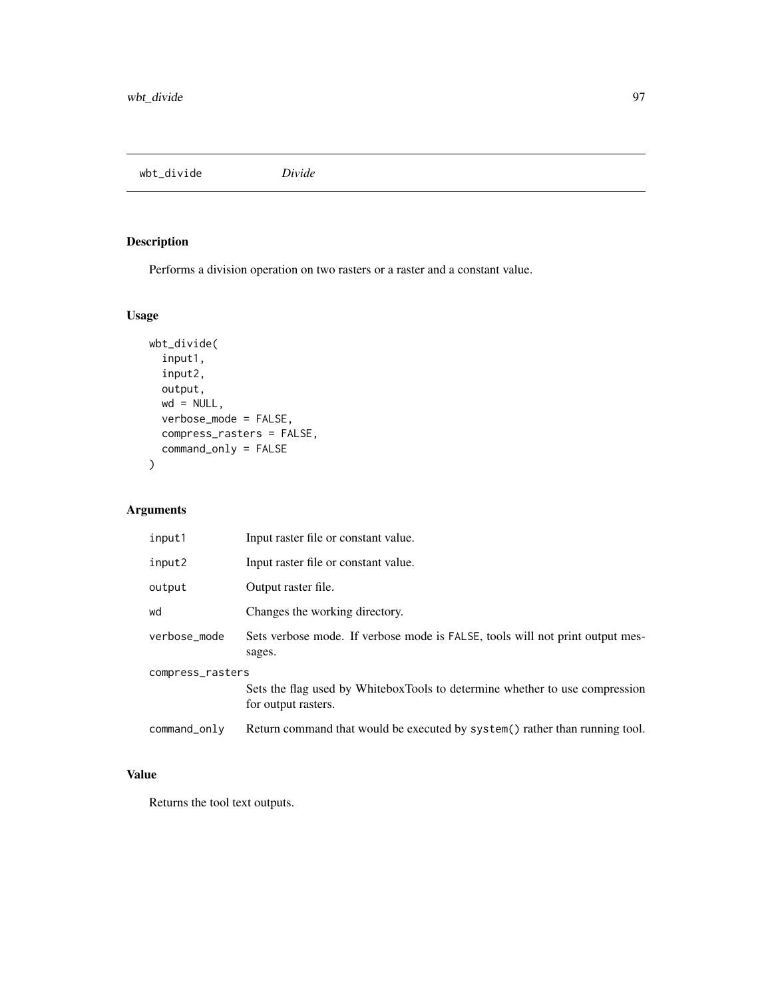wbt\_divide *Divide*

# Description

Performs a division operation on two rasters or a raster and a constant value.

## Usage

```
wbt_divide(
  input1,
  input2,
 output,
 wd = NULL,verbose_mode = FALSE,
 compress_rasters = FALSE,
 command_only = FALSE
)
```
## Arguments

| input1           | Input raster file or constant value.                                                               |
|------------------|----------------------------------------------------------------------------------------------------|
| input2           | Input raster file or constant value.                                                               |
| output           | Output raster file.                                                                                |
| wd               | Changes the working directory.                                                                     |
| verbose mode     | Sets verbose mode. If verbose mode is FALSE, tools will not print output mes-<br>sages.            |
| compress_rasters | Sets the flag used by WhiteboxTools to determine whether to use compression<br>for output rasters. |
| command_only     | Return command that would be executed by system() rather than running tool.                        |

## Value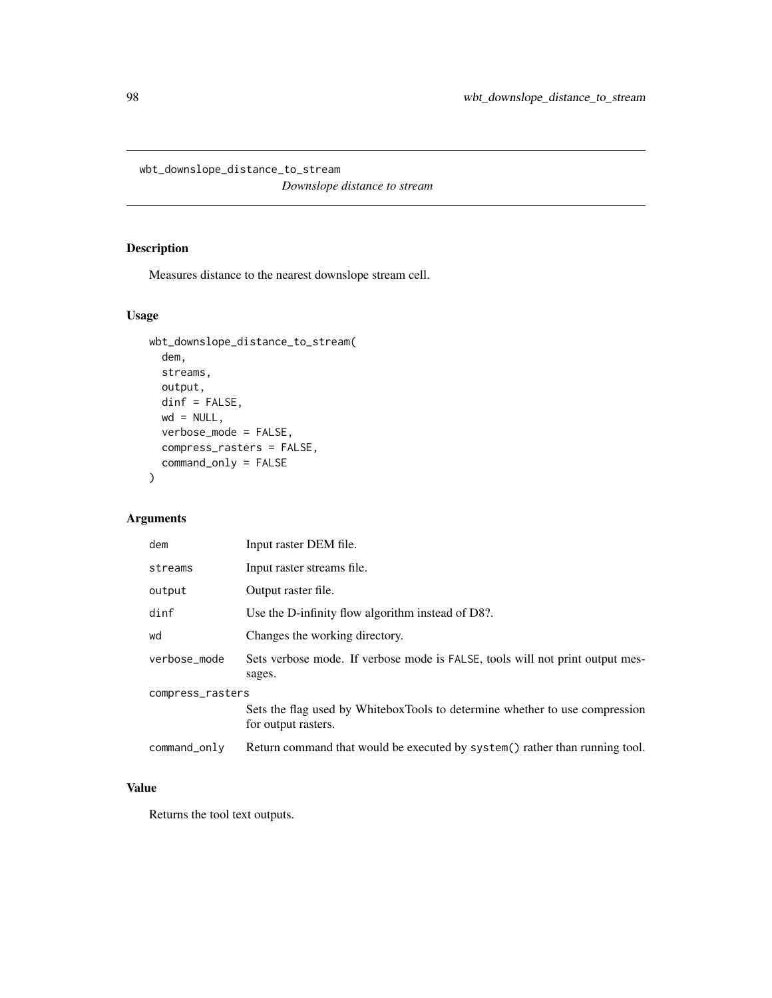wbt\_downslope\_distance\_to\_stream

*Downslope distance to stream*

## Description

Measures distance to the nearest downslope stream cell.

#### Usage

```
wbt_downslope_distance_to_stream(
 dem,
 streams,
 output,
 dinf = FALSE,
 wd = NULL,verbose_mode = FALSE,
 compress_rasters = FALSE,
 command_only = FALSE
)
```
#### Arguments

| dem              | Input raster DEM file.                                                                             |  |
|------------------|----------------------------------------------------------------------------------------------------|--|
| streams          | Input raster streams file.                                                                         |  |
| output           | Output raster file.                                                                                |  |
| dinf             | Use the D-infinity flow algorithm instead of D8?.                                                  |  |
| wd               | Changes the working directory.                                                                     |  |
| verbose_mode     | Sets verbose mode. If verbose mode is FALSE, tools will not print output mes-<br>sages.            |  |
| compress_rasters |                                                                                                    |  |
|                  | Sets the flag used by WhiteboxTools to determine whether to use compression<br>for output rasters. |  |
| command_only     | Return command that would be executed by system() rather than running tool.                        |  |

#### Value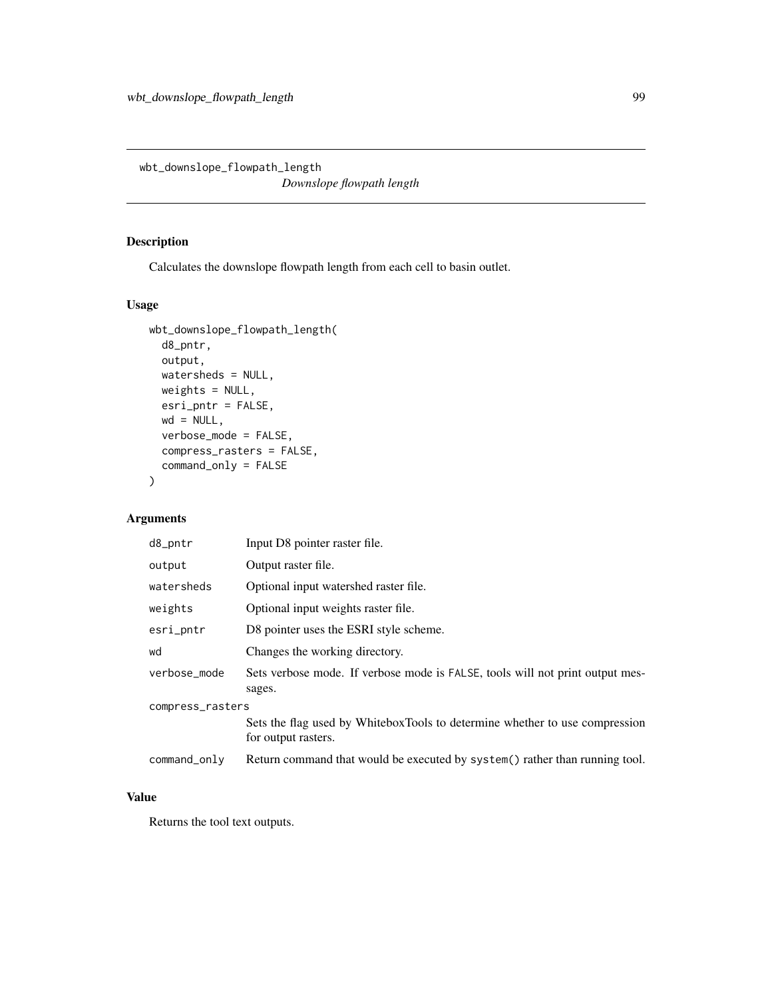wbt\_downslope\_flowpath\_length

*Downslope flowpath length*

#### Description

Calculates the downslope flowpath length from each cell to basin outlet.

## Usage

```
wbt_downslope_flowpath_length(
  d8_pntr,
 output,
 watersheds = NULL,
 weights = NULL,
 esri_pntr = FALSE,
 wd = NULL,verbose_mode = FALSE,
 compress_rasters = FALSE,
  command_only = FALSE
)
```
## Arguments

| d8_pntr          | Input D8 pointer raster file.                                                                      |  |
|------------------|----------------------------------------------------------------------------------------------------|--|
| output           | Output raster file.                                                                                |  |
| watersheds       | Optional input watershed raster file.                                                              |  |
| weights          | Optional input weights raster file.                                                                |  |
| esri_pntr        | D8 pointer uses the ESRI style scheme.                                                             |  |
| wd               | Changes the working directory.                                                                     |  |
| verbose_mode     | Sets verbose mode. If verbose mode is FALSE, tools will not print output mes-<br>sages.            |  |
| compress_rasters |                                                                                                    |  |
|                  | Sets the flag used by WhiteboxTools to determine whether to use compression<br>for output rasters. |  |
| command_only     | Return command that would be executed by system() rather than running tool.                        |  |

## Value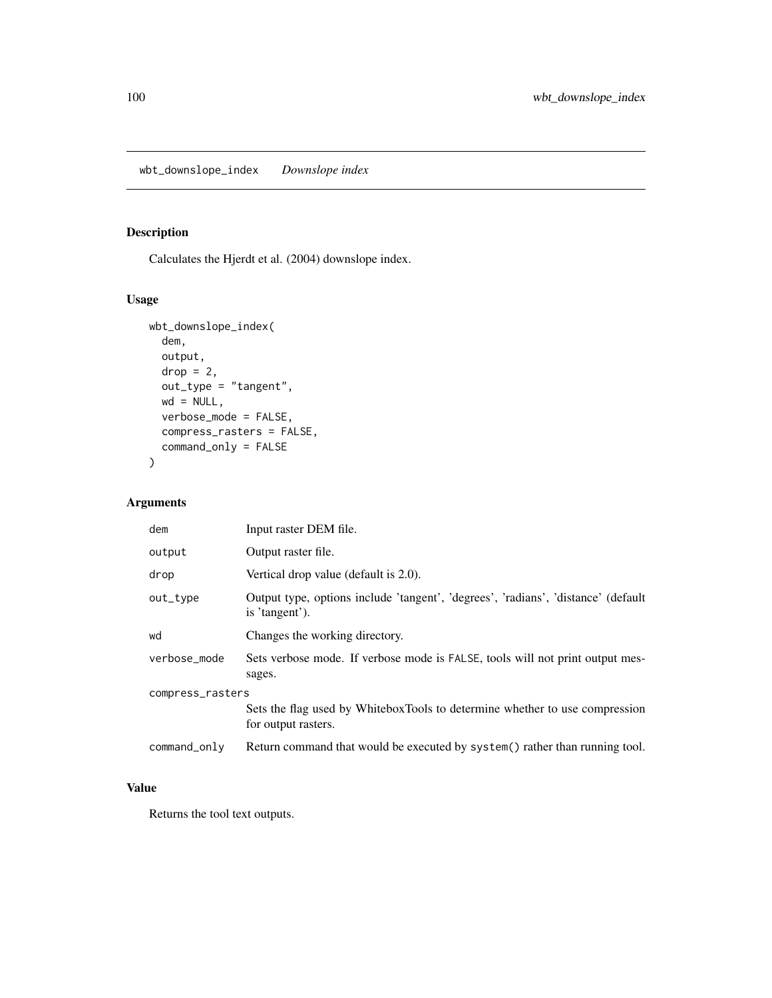## Description

Calculates the Hjerdt et al. (2004) downslope index.

#### Usage

```
wbt_downslope_index(
  dem,
 output,
 drop = 2,out_type = "tangent",
 wd = NULL,verbose_mode = FALSE,
 compress_rasters = FALSE,
 command_only = FALSE
)
```
#### Arguments

| dem              | Input raster DEM file.                                                                              |  |
|------------------|-----------------------------------------------------------------------------------------------------|--|
| output           | Output raster file.                                                                                 |  |
| drop             | Vertical drop value (default is 2.0).                                                               |  |
| out_type         | Output type, options include 'tangent', 'degrees', 'radians', 'distance' (default<br>is 'tangent'). |  |
| wd               | Changes the working directory.                                                                      |  |
| verbose_mode     | Sets verbose mode. If verbose mode is FALSE, tools will not print output mes-<br>sages.             |  |
| compress_rasters |                                                                                                     |  |
|                  | Sets the flag used by WhiteboxTools to determine whether to use compression<br>for output rasters.  |  |
| command_only     | Return command that would be executed by system() rather than running tool.                         |  |

## Value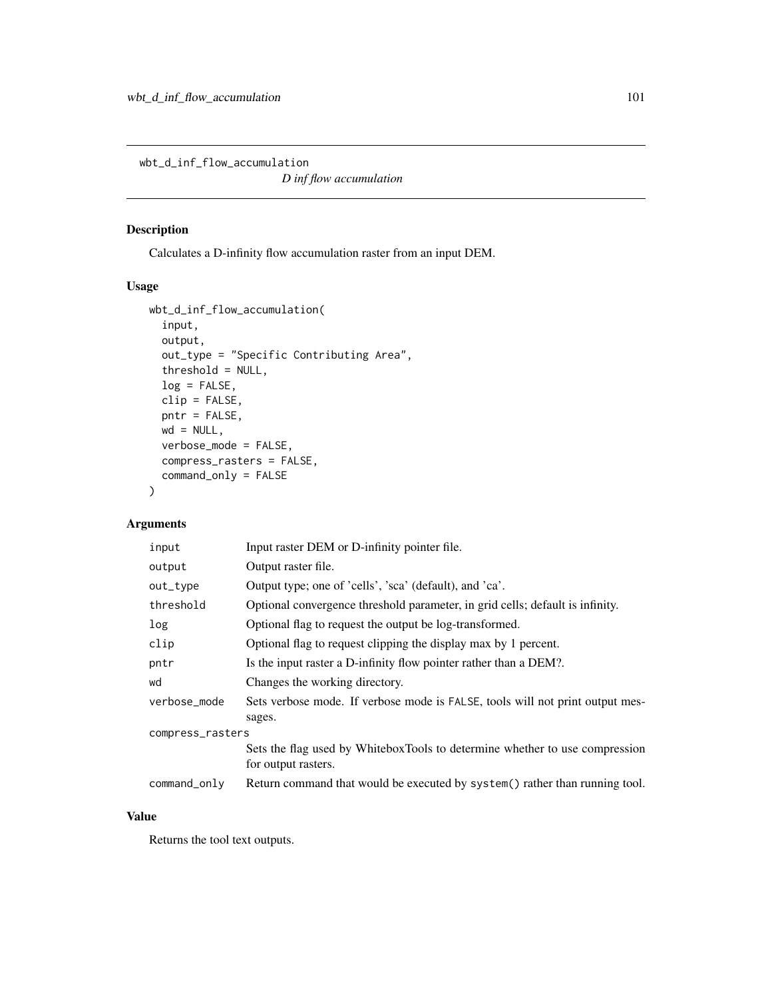wbt\_d\_inf\_flow\_accumulation

*D inf flow accumulation*

## Description

Calculates a D-infinity flow accumulation raster from an input DEM.

#### Usage

```
wbt_d_inf_flow_accumulation(
  input,
  output,
  out_type = "Specific Contributing Area",
  threshold = NULL,
  log = FALSE,
  clip = FALSE,
 pntr = FALSE,
 wd = NULL,verbose_mode = FALSE,
  compress_rasters = FALSE,
  command_only = FALSE
)
```
#### Arguments

| input            | Input raster DEM or D-infinity pointer file.                                                       |  |
|------------------|----------------------------------------------------------------------------------------------------|--|
| output           | Output raster file.                                                                                |  |
| out_type         | Output type; one of 'cells', 'sca' (default), and 'ca'.                                            |  |
| threshold        | Optional convergence threshold parameter, in grid cells; default is infinity.                      |  |
| log              | Optional flag to request the output be log-transformed.                                            |  |
| clip             | Optional flag to request clipping the display max by 1 percent.                                    |  |
| pntr             | Is the input raster a D-infinity flow pointer rather than a DEM?.                                  |  |
| wd               | Changes the working directory.                                                                     |  |
| verbose_mode     | Sets verbose mode. If verbose mode is FALSE, tools will not print output mes-<br>sages.            |  |
| compress_rasters |                                                                                                    |  |
|                  | Sets the flag used by WhiteboxTools to determine whether to use compression<br>for output rasters. |  |
| command_only     | Return command that would be executed by system() rather than running tool.                        |  |

## Value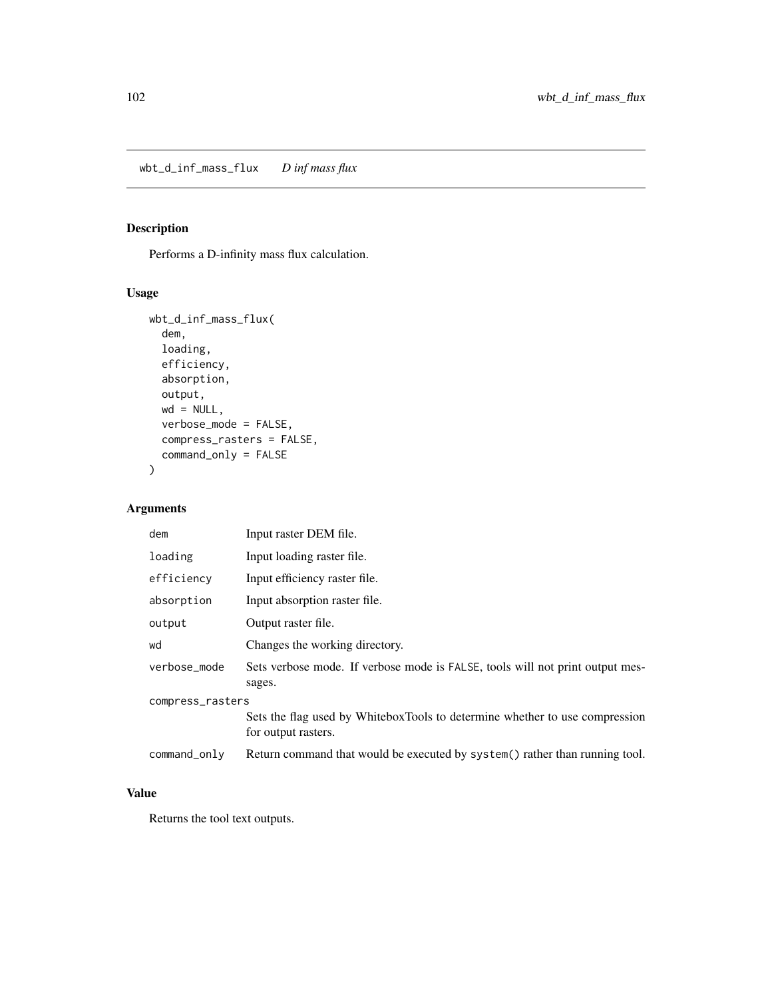## Description

Performs a D-infinity mass flux calculation.

#### Usage

```
wbt_d_inf_mass_flux(
  dem,
  loading,
 efficiency,
  absorption,
 output,
 wd = NULL,verbose_mode = FALSE,
  compress_rasters = FALSE,
  command_only = FALSE
)
```
#### Arguments

| dem              | Input raster DEM file.                                                                             |  |
|------------------|----------------------------------------------------------------------------------------------------|--|
| loading          | Input loading raster file.                                                                         |  |
| efficiency       | Input efficiency raster file.                                                                      |  |
| absorption       | Input absorption raster file.                                                                      |  |
| output           | Output raster file.                                                                                |  |
| wd               | Changes the working directory.                                                                     |  |
| verbose mode     | Sets verbose mode. If verbose mode is FALSE, tools will not print output mes-<br>sages.            |  |
| compress_rasters |                                                                                                    |  |
|                  | Sets the flag used by WhiteboxTools to determine whether to use compression<br>for output rasters. |  |
| command_only     | Return command that would be executed by system() rather than running tool.                        |  |

#### Value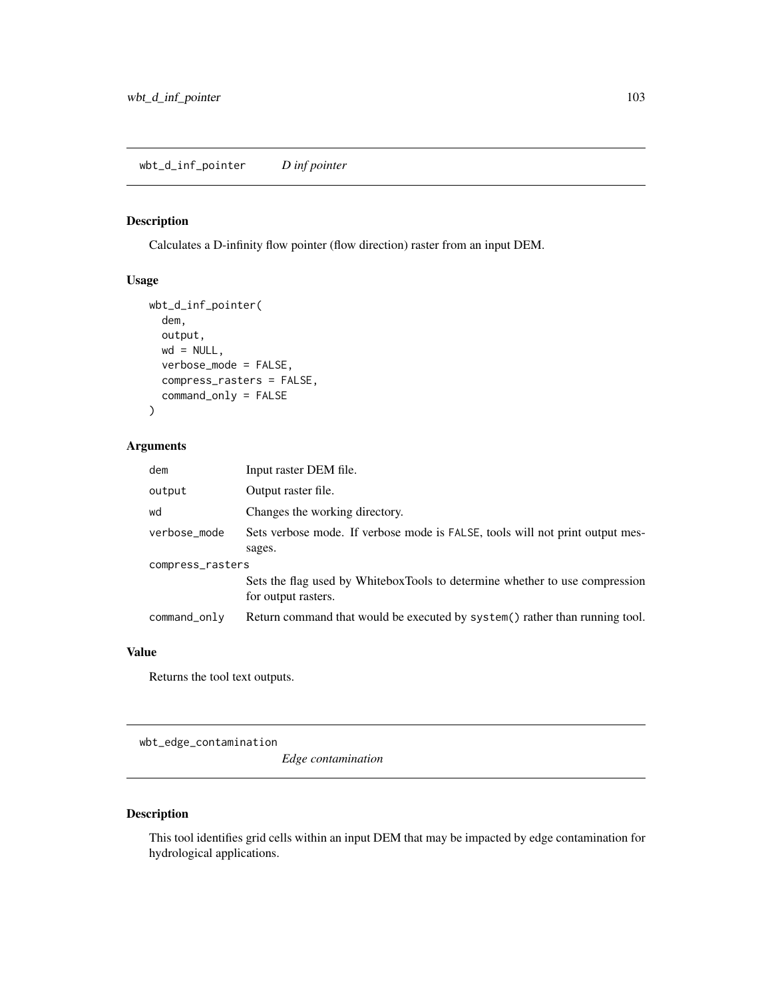#### Description

Calculates a D-infinity flow pointer (flow direction) raster from an input DEM.

#### Usage

```
wbt_d_inf_pointer(
  dem,
  output,
  wd = NULL,verbose_mode = FALSE,
  compress_rasters = FALSE,
  command_only = FALSE
\mathcal{L}
```
#### Arguments

| dem              | Input raster DEM file.                                                                             |  |
|------------------|----------------------------------------------------------------------------------------------------|--|
| output           | Output raster file.                                                                                |  |
| wd               | Changes the working directory.                                                                     |  |
| verbose_mode     | Sets verbose mode. If verbose mode is FALSE, tools will not print output mes-                      |  |
|                  | sages.                                                                                             |  |
| compress_rasters |                                                                                                    |  |
|                  | Sets the flag used by WhiteboxTools to determine whether to use compression<br>for output rasters. |  |
| command_only     | Return command that would be executed by system() rather than running tool.                        |  |

#### Value

Returns the tool text outputs.

wbt\_edge\_contamination

*Edge contamination*

#### Description

This tool identifies grid cells within an input DEM that may be impacted by edge contamination for hydrological applications.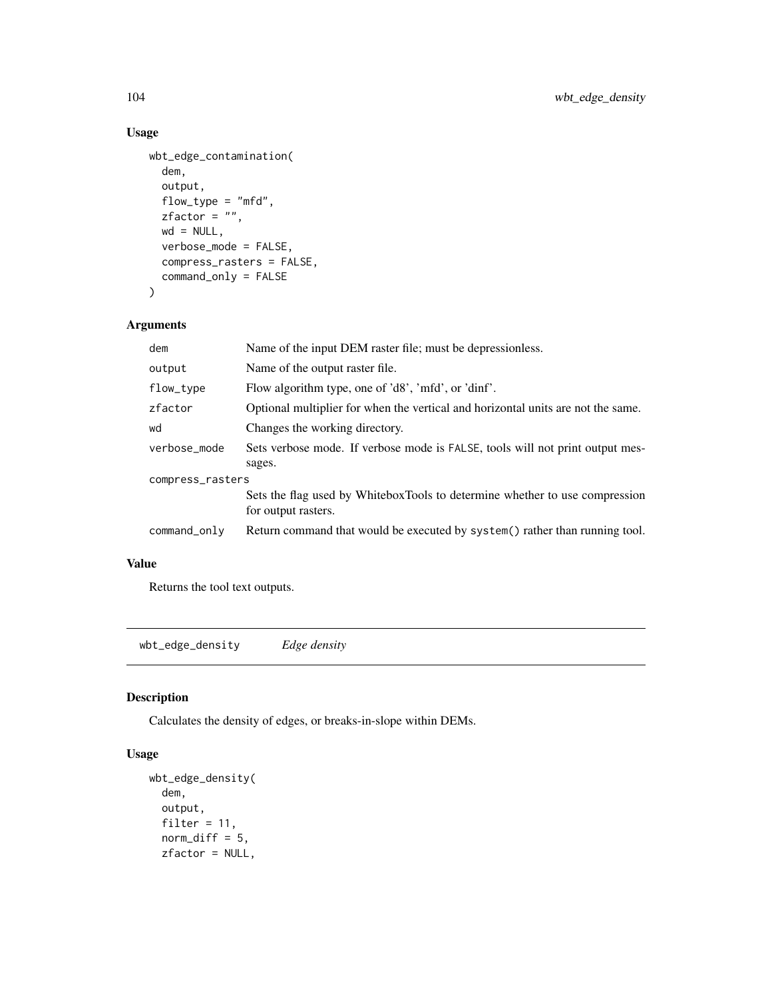## Usage

```
wbt_edge_contamination(
 dem,
 output,
 flow_type = "mfd",
 zfactor = ",
 wd = NULL,verbose_mode = FALSE,
 compress_rasters = FALSE,
 command_only = FALSE
)
```
#### Arguments

| dem              | Name of the input DEM raster file; must be depressionless.                                         |  |
|------------------|----------------------------------------------------------------------------------------------------|--|
| output           | Name of the output raster file.                                                                    |  |
| flow_type        | Flow algorithm type, one of 'd8', 'mfd', or 'dinf'.                                                |  |
| zfactor          | Optional multiplier for when the vertical and horizontal units are not the same.                   |  |
| wd               | Changes the working directory.                                                                     |  |
| verbose_mode     | Sets verbose mode. If verbose mode is FALSE, tools will not print output mes-                      |  |
|                  | sages.                                                                                             |  |
| compress_rasters |                                                                                                    |  |
|                  | Sets the flag used by WhiteboxTools to determine whether to use compression<br>for output rasters. |  |
| command_only     | Return command that would be executed by system() rather than running tool.                        |  |
|                  |                                                                                                    |  |

## Value

Returns the tool text outputs.

wbt\_edge\_density *Edge density*

#### Description

Calculates the density of edges, or breaks-in-slope within DEMs.

## Usage

```
wbt_edge_density(
  dem,
  output,
 filter = 11,
  norm\_diff = 5,
 zfactor = NULL,
```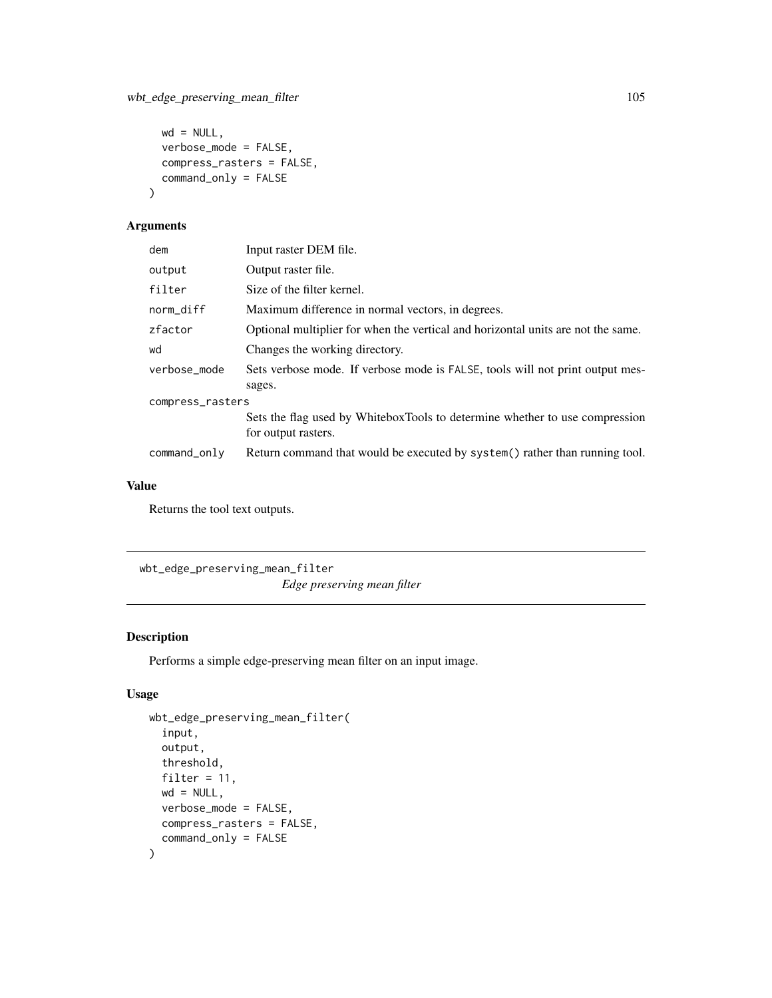```
wd = NULL,verbose_mode = FALSE,
 compress_rasters = FALSE,
 command_only = FALSE
)
```
#### Arguments

| Input raster DEM file.                                                                             |  |
|----------------------------------------------------------------------------------------------------|--|
| Output raster file.                                                                                |  |
| Size of the filter kernel.                                                                         |  |
| Maximum difference in normal vectors, in degrees.                                                  |  |
| Optional multiplier for when the vertical and horizontal units are not the same.                   |  |
| Changes the working directory.                                                                     |  |
| Sets verbose mode. If verbose mode is FALSE, tools will not print output mes-<br>sages.            |  |
| compress_rasters                                                                                   |  |
| Sets the flag used by WhiteboxTools to determine whether to use compression<br>for output rasters. |  |
| Return command that would be executed by system() rather than running tool.                        |  |
|                                                                                                    |  |

## Value

Returns the tool text outputs.

wbt\_edge\_preserving\_mean\_filter *Edge preserving mean filter*

#### Description

Performs a simple edge-preserving mean filter on an input image.

#### Usage

```
wbt_edge_preserving_mean_filter(
  input,
 output,
 threshold,
 filter = 11,
 wd = NULL,verbose_mode = FALSE,
 compress_rasters = FALSE,
  command_only = FALSE
)
```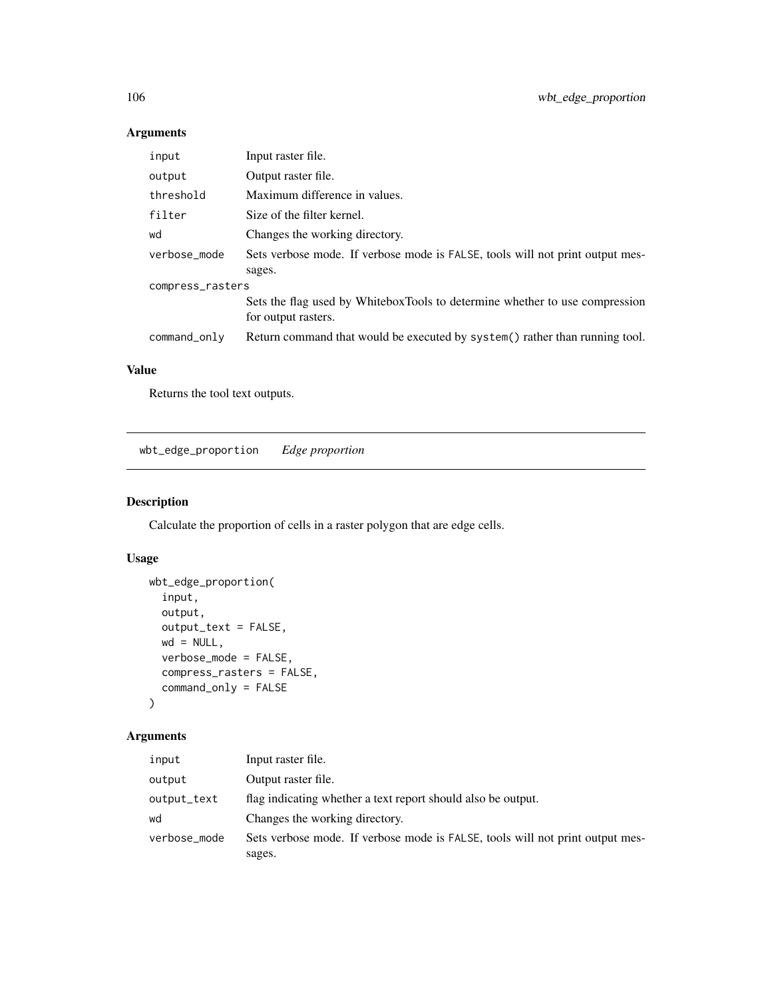## Arguments

| input            | Input raster file.                                                                                 |  |
|------------------|----------------------------------------------------------------------------------------------------|--|
| output           | Output raster file.                                                                                |  |
| threshold        | Maximum difference in values.                                                                      |  |
| filter           | Size of the filter kernel.                                                                         |  |
| wd               | Changes the working directory.                                                                     |  |
| verbose_mode     | Sets verbose mode. If verbose mode is FALSE, tools will not print output mes-<br>sages.            |  |
| compress_rasters |                                                                                                    |  |
|                  | Sets the flag used by WhiteboxTools to determine whether to use compression<br>for output rasters. |  |
| command_only     | Return command that would be executed by system() rather than running tool.                        |  |

## Value

Returns the tool text outputs.

wbt\_edge\_proportion *Edge proportion*

## Description

Calculate the proportion of cells in a raster polygon that are edge cells.

## Usage

```
wbt_edge_proportion(
  input,
 output,
 output_text = FALSE,
 wd = NULL,verbose_mode = FALSE,
 compress_rasters = FALSE,
 command_only = FALSE
)
```

| input        | Input raster file.                                                            |
|--------------|-------------------------------------------------------------------------------|
| output       | Output raster file.                                                           |
| output_text  | flag indicating whether a text report should also be output.                  |
| wd           | Changes the working directory.                                                |
| verbose_mode | Sets verbose mode. If verbose mode is FALSE, tools will not print output mes- |
|              | sages.                                                                        |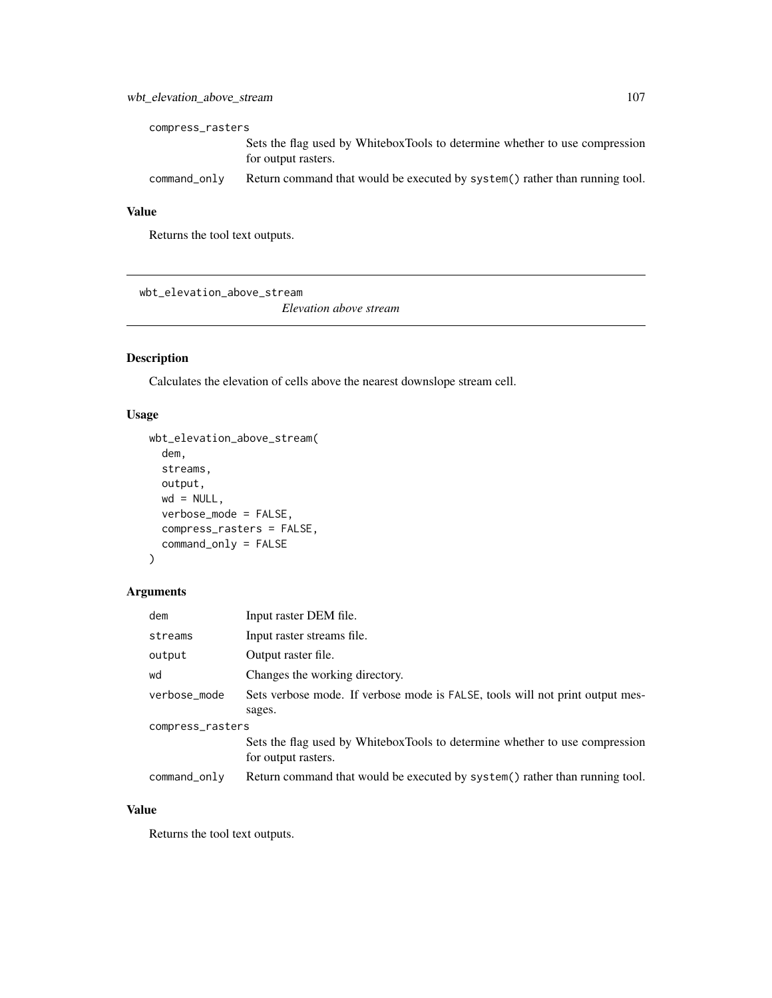## wbt\_elevation\_above\_stream 107

| compress_rasters |                                                                                                    |  |
|------------------|----------------------------------------------------------------------------------------------------|--|
|                  | Sets the flag used by WhiteboxTools to determine whether to use compression<br>for output rasters. |  |
| command_only     | Return command that would be executed by system () rather than running tool.                       |  |

## Value

Returns the tool text outputs.

wbt\_elevation\_above\_stream

*Elevation above stream*

## Description

Calculates the elevation of cells above the nearest downslope stream cell.

#### Usage

```
wbt_elevation_above_stream(
 dem,
  streams,
 output,
 wd = NULL,verbose_mode = FALSE,
  compress_rasters = FALSE,
  command_only = FALSE
)
```
#### Arguments

| dem              | Input raster DEM file.                                                                             |
|------------------|----------------------------------------------------------------------------------------------------|
| streams          | Input raster streams file.                                                                         |
| output           | Output raster file.                                                                                |
| wd               | Changes the working directory.                                                                     |
| verbose_mode     | Sets verbose mode. If verbose mode is FALSE, tools will not print output mes-                      |
|                  | sages.                                                                                             |
| compress_rasters |                                                                                                    |
|                  | Sets the flag used by WhiteboxTools to determine whether to use compression<br>for output rasters. |
|                  |                                                                                                    |
| command_only     | Return command that would be executed by system () rather than running tool.                       |

## Value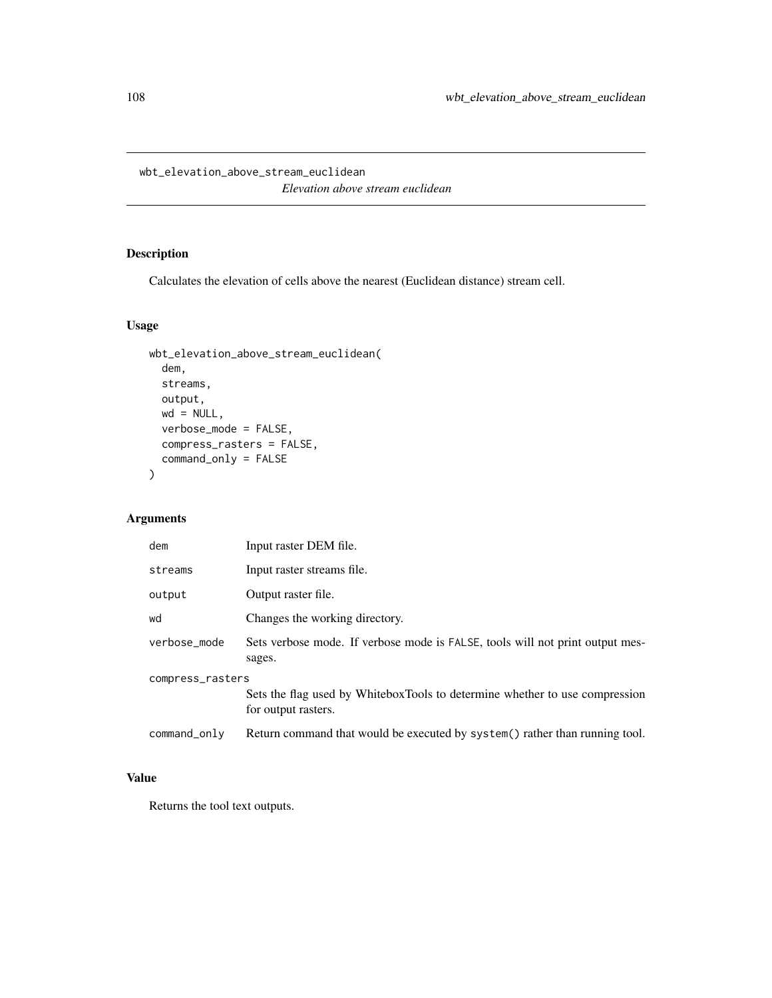wbt\_elevation\_above\_stream\_euclidean

*Elevation above stream euclidean*

#### Description

Calculates the elevation of cells above the nearest (Euclidean distance) stream cell.

#### Usage

```
wbt_elevation_above_stream_euclidean(
 dem,
 streams,
 output,
 wd = NULL,verbose_mode = FALSE,
 compress_rasters = FALSE,
 command_only = FALSE
)
```
## Arguments

| dem              | Input raster DEM file.                                                                             |  |
|------------------|----------------------------------------------------------------------------------------------------|--|
| streams          | Input raster streams file.                                                                         |  |
| output           | Output raster file.                                                                                |  |
| wd               | Changes the working directory.                                                                     |  |
| verbose mode     | Sets verbose mode. If verbose mode is FALSE, tools will not print output mes-<br>sages.            |  |
| compress_rasters |                                                                                                    |  |
|                  | Sets the flag used by WhiteboxTools to determine whether to use compression<br>for output rasters. |  |
| command_only     | Return command that would be executed by system() rather than running tool.                        |  |

## Value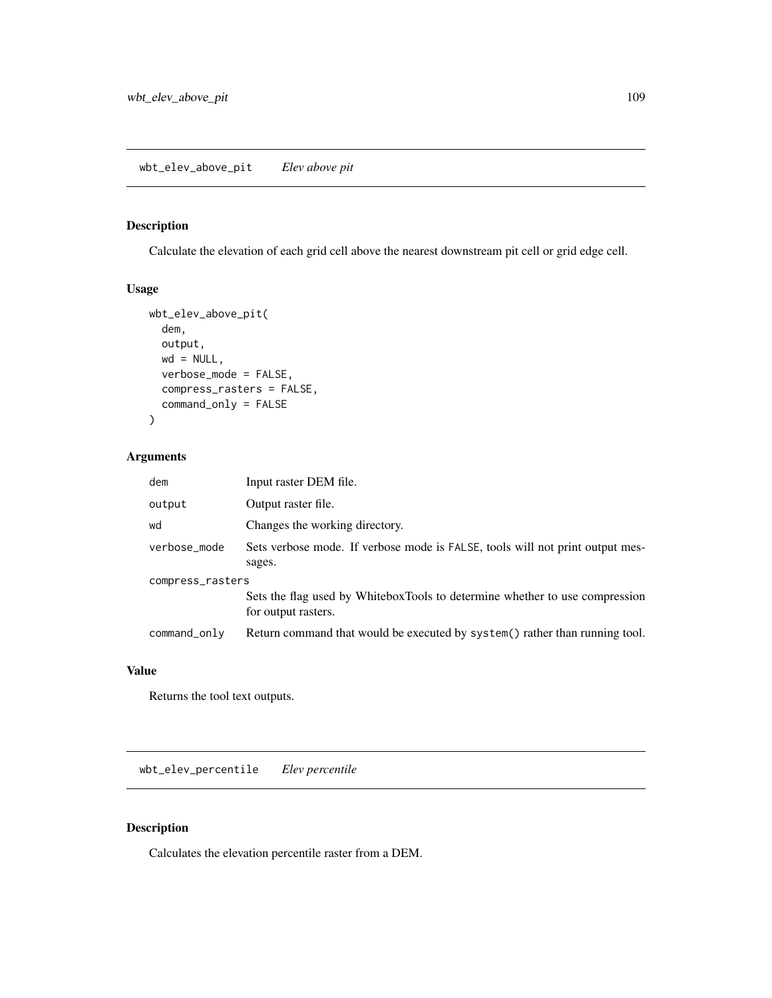## Description

Calculate the elevation of each grid cell above the nearest downstream pit cell or grid edge cell.

#### Usage

```
wbt_elev_above_pit(
 dem,
 output,
 wd = NULL,verbose_mode = FALSE,
  compress_rasters = FALSE,
  command_only = FALSE
)
```
wbt\_elev\_above\_pit *Elev above pit*

## Arguments

| dem              | Input raster DEM file.                                                                             |  |
|------------------|----------------------------------------------------------------------------------------------------|--|
| output           | Output raster file.                                                                                |  |
| wd               | Changes the working directory.                                                                     |  |
| verbose_mode     | Sets verbose mode. If verbose mode is FALSE, tools will not print output mes-<br>sages.            |  |
| compress_rasters |                                                                                                    |  |
|                  | Sets the flag used by WhiteboxTools to determine whether to use compression<br>for output rasters. |  |
| command_only     | Return command that would be executed by system() rather than running tool.                        |  |

#### Value

Returns the tool text outputs.

wbt\_elev\_percentile *Elev percentile*

#### Description

Calculates the elevation percentile raster from a DEM.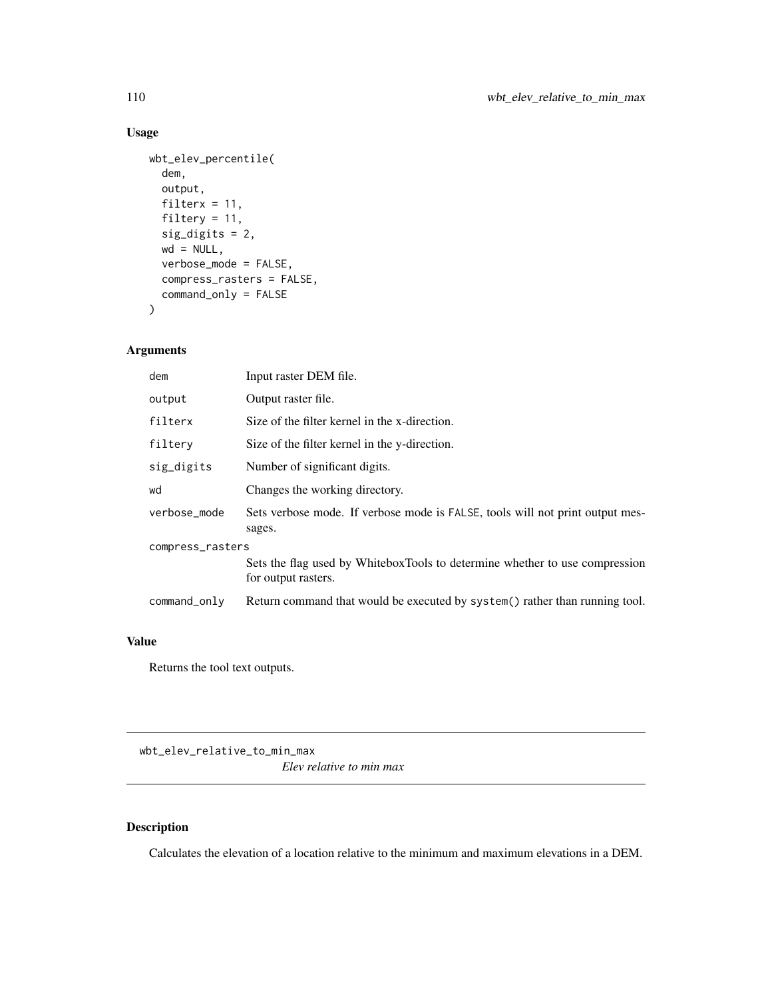# Usage

```
wbt_elev_percentile(
  dem,
  output,
 filterx = 11,
 filtery = 11,
  sig_digits = 2,
 wd = NULL,verbose_mode = FALSE,
  compress_rasters = FALSE,
  command_only = FALSE
)
```
## Arguments

| dem              | Input raster DEM file.                                                                             |  |
|------------------|----------------------------------------------------------------------------------------------------|--|
| output           | Output raster file.                                                                                |  |
| filterx          | Size of the filter kernel in the x-direction.                                                      |  |
| filtery          | Size of the filter kernel in the y-direction.                                                      |  |
| sig_digits       | Number of significant digits.                                                                      |  |
| wd               | Changes the working directory.                                                                     |  |
| verbose_mode     | Sets verbose mode. If verbose mode is FALSE, tools will not print output mes-<br>sages.            |  |
| compress_rasters |                                                                                                    |  |
|                  | Sets the flag used by WhiteboxTools to determine whether to use compression<br>for output rasters. |  |
| command_only     | Return command that would be executed by system() rather than running tool.                        |  |

#### Value

Returns the tool text outputs.

wbt\_elev\_relative\_to\_min\_max

*Elev relative to min max*

## Description

Calculates the elevation of a location relative to the minimum and maximum elevations in a DEM.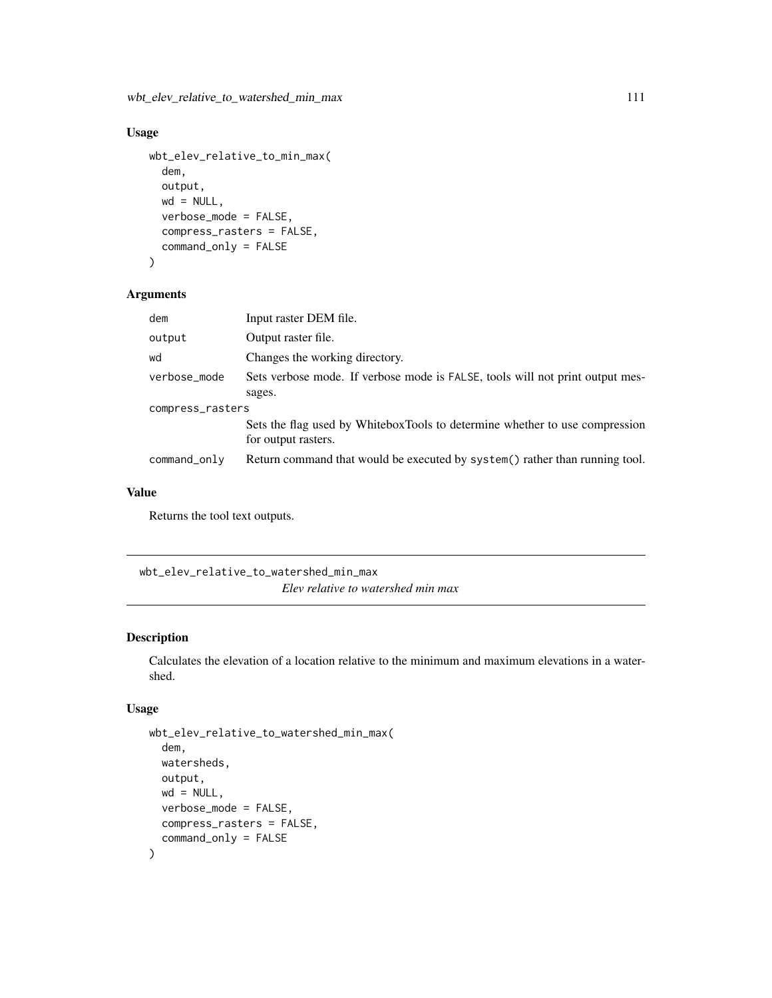wbt\_elev\_relative\_to\_watershed\_min\_max 111

#### Usage

```
wbt_elev_relative_to_min_max(
  dem,
  output,
 wd = NULL,verbose_mode = FALSE,
  compress_rasters = FALSE,
  command_only = FALSE
)
```
#### Arguments

| dem              | Input raster DEM file.                                                                             |  |
|------------------|----------------------------------------------------------------------------------------------------|--|
| output           | Output raster file.                                                                                |  |
| wd               | Changes the working directory.                                                                     |  |
| verbose_mode     | Sets verbose mode. If verbose mode is FALSE, tools will not print output mes-                      |  |
|                  | sages.                                                                                             |  |
| compress_rasters |                                                                                                    |  |
|                  | Sets the flag used by WhiteboxTools to determine whether to use compression<br>for output rasters. |  |
| command_only     | Return command that would be executed by system() rather than running tool.                        |  |

### Value

Returns the tool text outputs.

wbt\_elev\_relative\_to\_watershed\_min\_max *Elev relative to watershed min max*

### Description

Calculates the elevation of a location relative to the minimum and maximum elevations in a watershed.

```
wbt_elev_relative_to_watershed_min_max(
  dem,
 watersheds,
 output,
 wd = NULL,verbose_mode = FALSE,
 compress_rasters = FALSE,
  command_only = FALSE
\mathcal{L}
```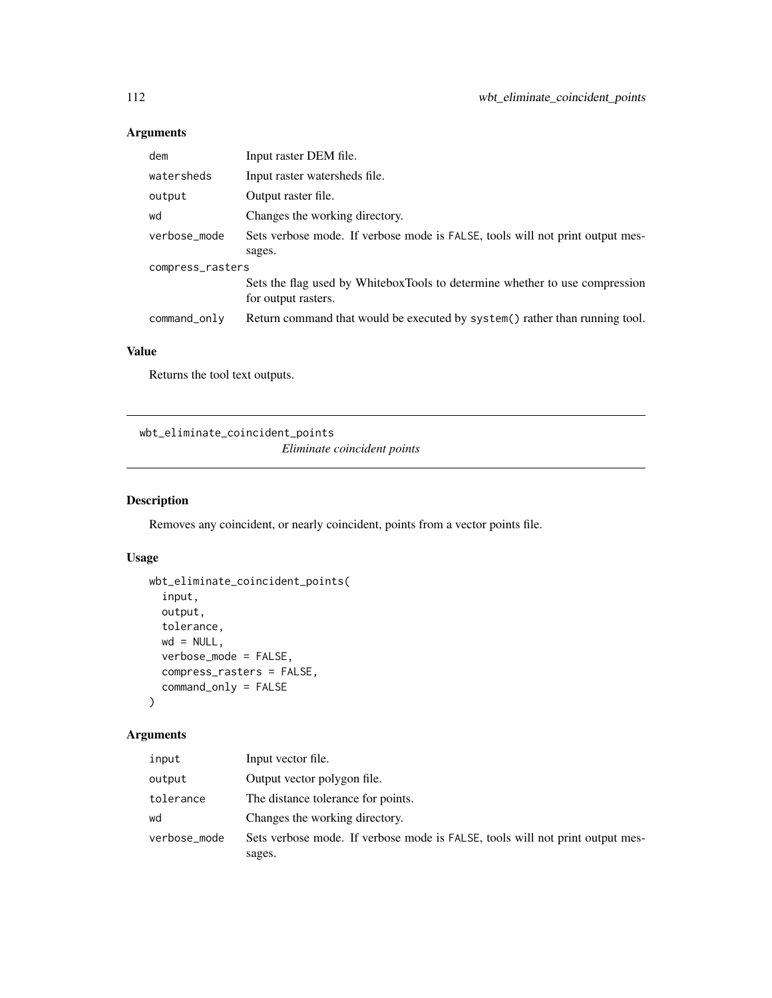| dem              | Input raster DEM file.                                                                             |  |
|------------------|----------------------------------------------------------------------------------------------------|--|
| watersheds       | Input raster watersheds file.                                                                      |  |
| output           | Output raster file.                                                                                |  |
| wd               | Changes the working directory.                                                                     |  |
| verbose_mode     | Sets verbose mode. If verbose mode is FALSE, tools will not print output mes-                      |  |
|                  | sages.                                                                                             |  |
| compress_rasters |                                                                                                    |  |
|                  | Sets the flag used by WhiteboxTools to determine whether to use compression<br>for output rasters. |  |
| command_only     | Return command that would be executed by system() rather than running tool.                        |  |

#### Value

Returns the tool text outputs.

wbt\_eliminate\_coincident\_points

*Eliminate coincident points*

## Description

Removes any coincident, or nearly coincident, points from a vector points file.

## Usage

```
wbt_eliminate_coincident_points(
  input,
 output,
 tolerance,
 wd = NULL,verbose_mode = FALSE,
 compress_rasters = FALSE,
  command_only = FALSE
```

```
)
```
## Arguments

| input        | Input vector file.                                                            |
|--------------|-------------------------------------------------------------------------------|
| output       | Output vector polygon file.                                                   |
| tolerance    | The distance tolerance for points.                                            |
| wd           | Changes the working directory.                                                |
| verbose_mode | Sets verbose mode. If verbose mode is FALSE, tools will not print output mes- |
|              | sages.                                                                        |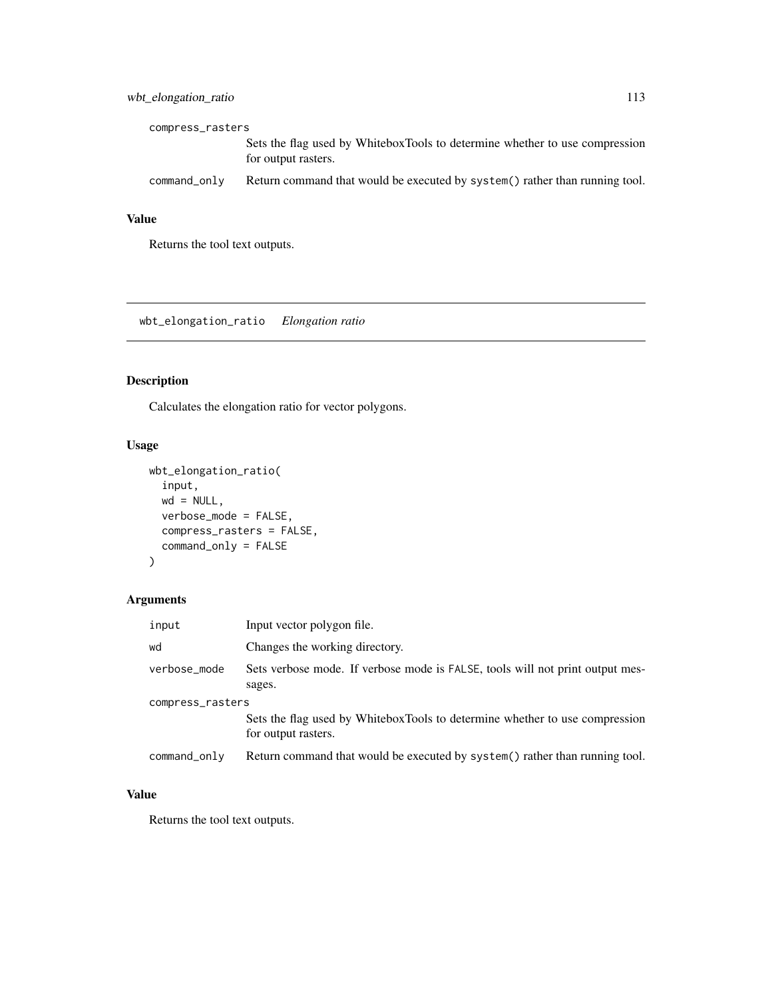#### wbt\_elongation\_ratio 113

| compress_rasters |                                                                                                    |
|------------------|----------------------------------------------------------------------------------------------------|
|                  | Sets the flag used by WhiteboxTools to determine whether to use compression<br>for output rasters. |
| command_only     | Return command that would be executed by system () rather than running tool.                       |

## Value

Returns the tool text outputs.

wbt\_elongation\_ratio *Elongation ratio*

# Description

Calculates the elongation ratio for vector polygons.

## Usage

```
wbt_elongation_ratio(
  input,
 wd = NULL,verbose_mode = FALSE,
 compress_rasters = FALSE,
 command_only = FALSE
)
```
## Arguments

| input            | Input vector polygon file.                                                                         |  |
|------------------|----------------------------------------------------------------------------------------------------|--|
| wd               | Changes the working directory.                                                                     |  |
| verbose_mode     | Sets verbose mode. If verbose mode is FALSE, tools will not print output mes-<br>sages.            |  |
| compress_rasters |                                                                                                    |  |
|                  | Sets the flag used by WhiteboxTools to determine whether to use compression<br>for output rasters. |  |
| command_only     | Return command that would be executed by system() rather than running tool.                        |  |

#### Value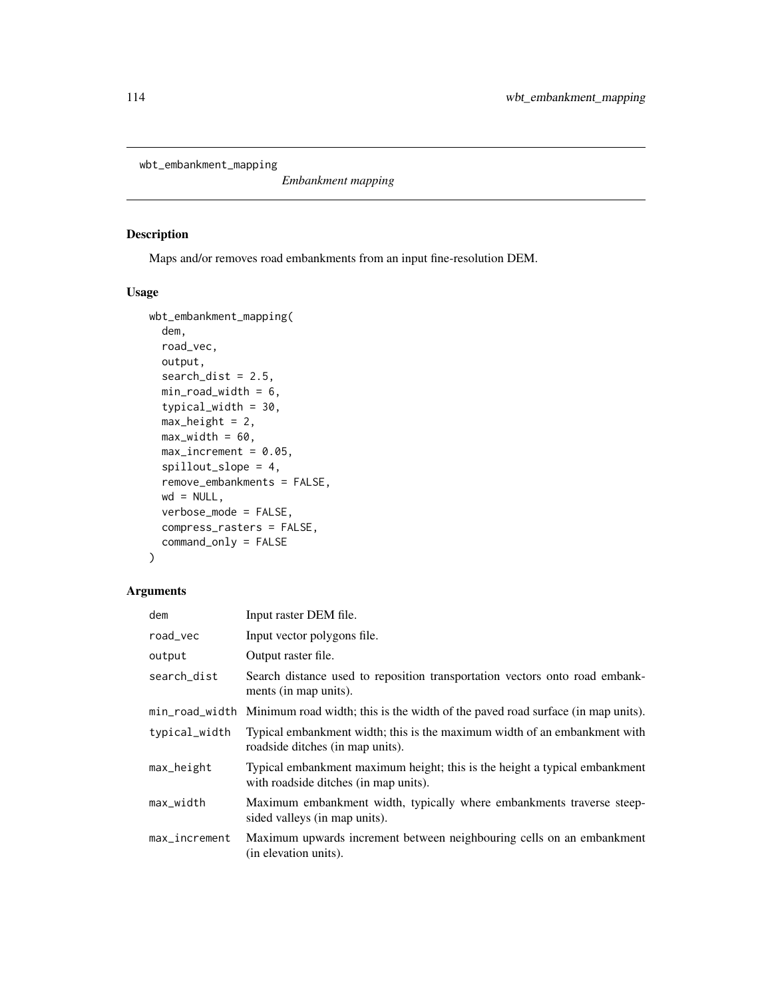wbt\_embankment\_mapping

*Embankment mapping*

#### Description

Maps and/or removes road embankments from an input fine-resolution DEM.

#### Usage

```
wbt_embankment_mapping(
  dem,
  road_vec,
 output,
  search\_dist = 2.5,
 min\_road\_width = 6,
  typical_width = 30,
 max\_height = 2,
 max\_width = 60,max\_increment = 0.05,
  spillout_slope = 4,
  remove_embankments = FALSE,
  wd = NULL,verbose_mode = FALSE,
  compress_rasters = FALSE,
  command_only = FALSE
\mathcal{L}
```
#### Arguments

| dem           | Input raster DEM file.                                                                                              |
|---------------|---------------------------------------------------------------------------------------------------------------------|
| road_vec      | Input vector polygons file.                                                                                         |
| output        | Output raster file.                                                                                                 |
| search_dist   | Search distance used to reposition transportation vectors onto road embank-<br>ments (in map units).                |
|               | min_road_width Minimum road width; this is the width of the paved road surface (in map units).                      |
| typical_width | Typical embankment width; this is the maximum width of an embankment with<br>roadside ditches (in map units).       |
| $max$ -height | Typical embankment maximum height; this is the height a typical embankment<br>with roadside ditches (in map units). |
| max_width     | Maximum embankment width, typically where embankments traverse steep-<br>sided valleys (in map units).              |
| max_increment | Maximum upwards increment between neighbouring cells on an embankment<br>(in elevation units).                      |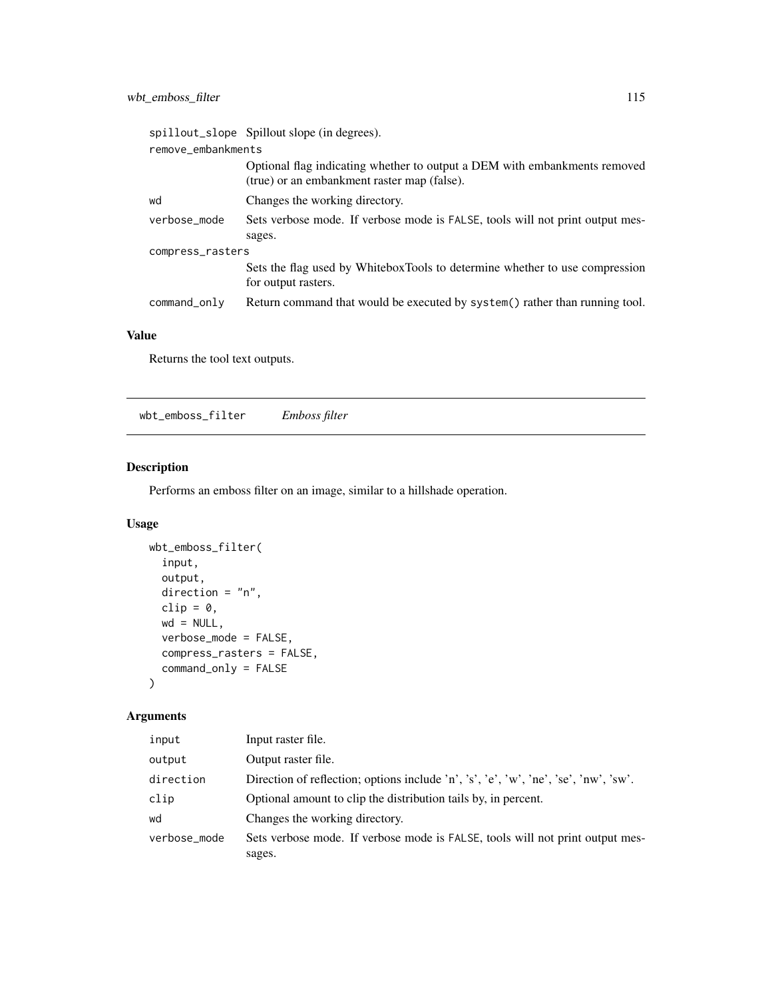|                    | spillout_slope Spillout slope (in degrees).                                                                              |  |
|--------------------|--------------------------------------------------------------------------------------------------------------------------|--|
| remove_embankments |                                                                                                                          |  |
|                    | Optional flag indicating whether to output a DEM with embankments removed<br>(true) or an embankment raster map (false). |  |
| wd                 | Changes the working directory.                                                                                           |  |
| verbose mode       | Sets verbose mode. If verbose mode is FALSE, tools will not print output mes-                                            |  |
|                    | sages.                                                                                                                   |  |
| compress_rasters   |                                                                                                                          |  |
|                    | Sets the flag used by WhiteboxTools to determine whether to use compression<br>for output rasters.                       |  |
| command_only       | Return command that would be executed by system() rather than running tool.                                              |  |

#### Value

Returns the tool text outputs.

wbt\_emboss\_filter *Emboss filter*

## Description

Performs an emboss filter on an image, similar to a hillshade operation.

#### Usage

```
wbt_emboss_filter(
  input,
 output,
 direction = "n",clip = \theta,
 wd = NULL,verbose_mode = FALSE,
 compress_rasters = FALSE,
 command_only = FALSE
\mathcal{L}
```
## Arguments

| input        | Input raster file.                                                                   |
|--------------|--------------------------------------------------------------------------------------|
| output       | Output raster file.                                                                  |
| direction    | Direction of reflection; options include 'n', 's', 'e', 'w', 'ne', 'se', 'nw', 'sw'. |
| clip         | Optional amount to clip the distribution tails by, in percent.                       |
| wd           | Changes the working directory.                                                       |
| verbose_mode | Sets verbose mode. If verbose mode is FALSE, tools will not print output mes-        |
|              | sages.                                                                               |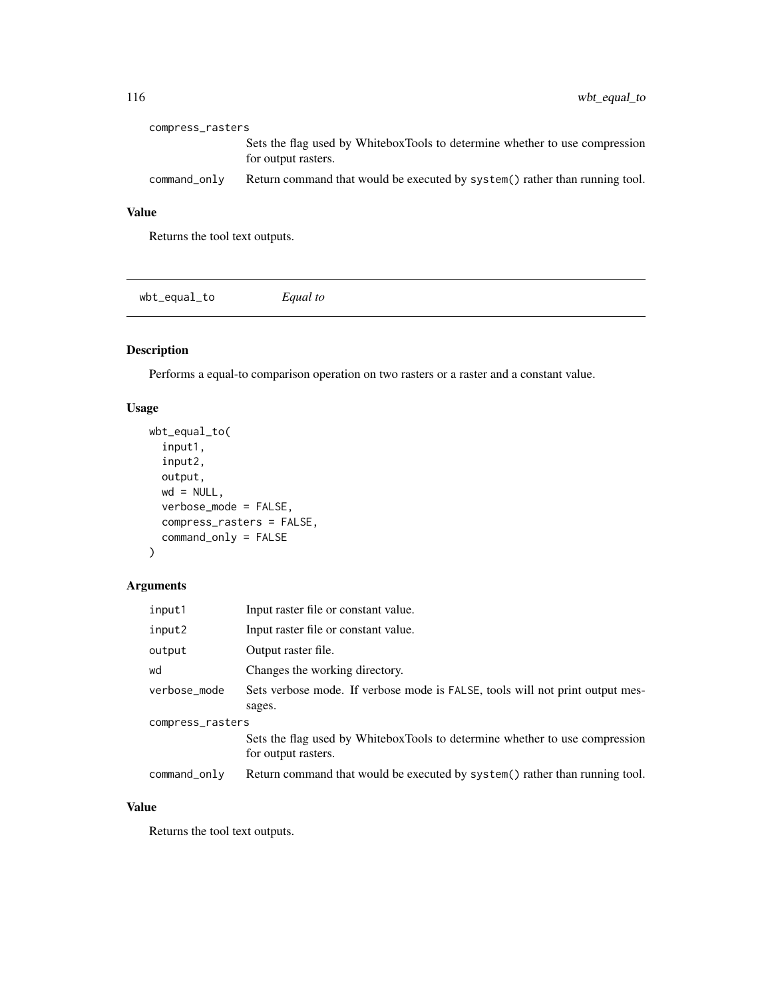| compress_rasters |                                                                                                    |
|------------------|----------------------------------------------------------------------------------------------------|
|                  | Sets the flag used by WhiteboxTools to determine whether to use compression<br>for output rasters. |
| command_only     | Return command that would be executed by system() rather than running tool.                        |

# Value

Returns the tool text outputs.

wbt\_equal\_to *Equal to*

### Description

Performs a equal-to comparison operation on two rasters or a raster and a constant value.

#### Usage

```
wbt_equal_to(
  input1,
  input2,
 output,
 wd = NULL,verbose_mode = FALSE,
 compress_rasters = FALSE,
 command_only = FALSE
\mathcal{L}
```
#### Arguments

| input1           | Input raster file or constant value.                                                               |  |
|------------------|----------------------------------------------------------------------------------------------------|--|
| input2           | Input raster file or constant value.                                                               |  |
| output           | Output raster file.                                                                                |  |
| wd               | Changes the working directory.                                                                     |  |
| verbose_mode     | Sets verbose mode. If verbose mode is FALSE, tools will not print output mes-                      |  |
|                  | sages.                                                                                             |  |
| compress_rasters |                                                                                                    |  |
|                  | Sets the flag used by WhiteboxTools to determine whether to use compression<br>for output rasters. |  |
| command_only     | Return command that would be executed by system() rather than running tool.                        |  |

# Value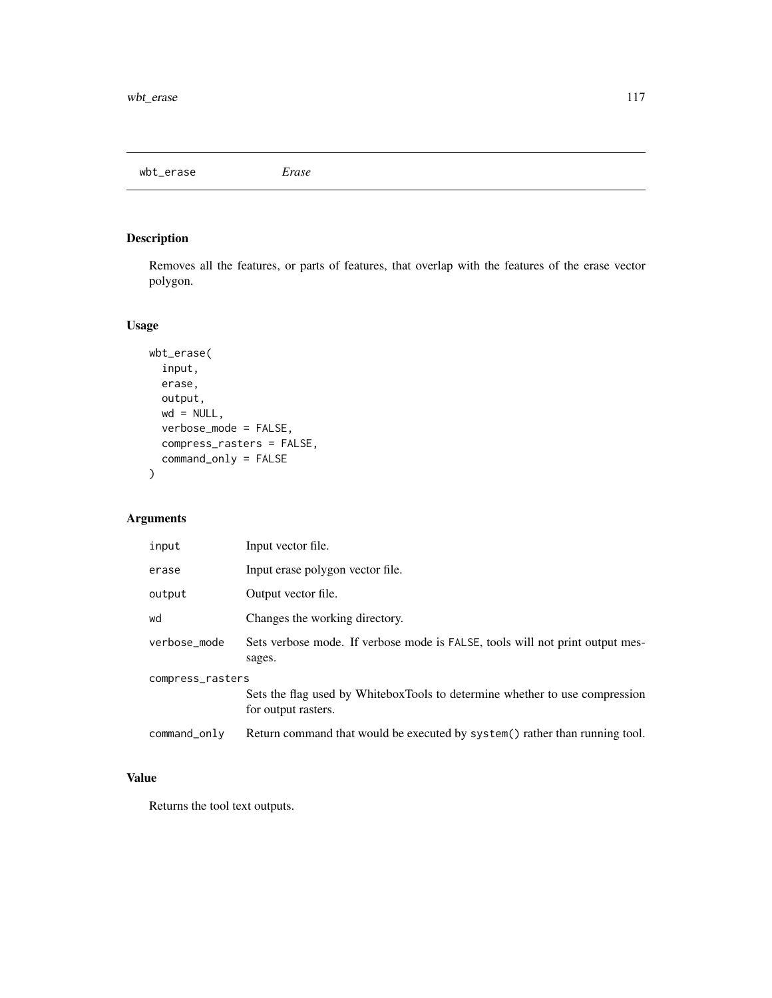wbt\_erase *Erase*

## Description

Removes all the features, or parts of features, that overlap with the features of the erase vector polygon.

## Usage

```
wbt_erase(
  input,
 erase,
 output,
 wd = NULL,verbose_mode = FALSE,
 compress_rasters = FALSE,
 command_only = FALSE
)
```
# Arguments

| input            | Input vector file.                                                                                 |  |
|------------------|----------------------------------------------------------------------------------------------------|--|
| erase            | Input erase polygon vector file.                                                                   |  |
| output           | Output vector file.                                                                                |  |
| wd               | Changes the working directory.                                                                     |  |
| verbose mode     | Sets verbose mode. If verbose mode is FALSE, tools will not print output mes-<br>sages.            |  |
| compress_rasters |                                                                                                    |  |
|                  | Sets the flag used by WhiteboxTools to determine whether to use compression<br>for output rasters. |  |
| command_only     | Return command that would be executed by system() rather than running tool.                        |  |

### Value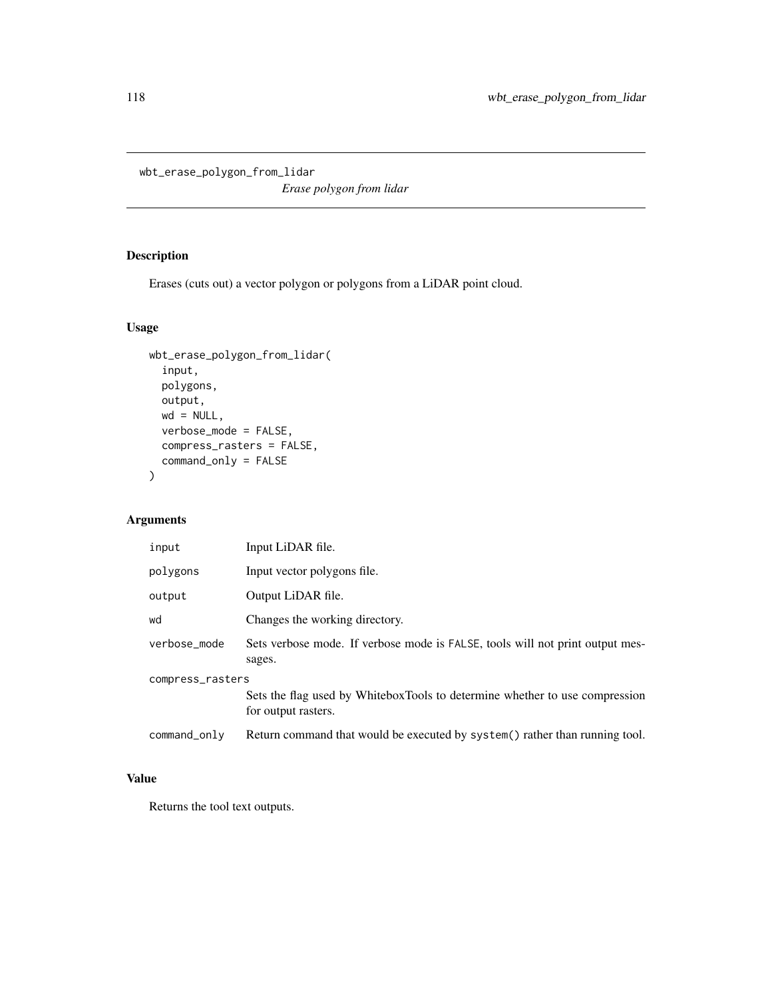wbt\_erase\_polygon\_from\_lidar

*Erase polygon from lidar*

## Description

Erases (cuts out) a vector polygon or polygons from a LiDAR point cloud.

## Usage

```
wbt_erase_polygon_from_lidar(
  input,
 polygons,
 output,
 wd = NULL,verbose_mode = FALSE,
 compress_rasters = FALSE,
 command_only = FALSE
)
```
## Arguments

| input            | Input LiDAR file.                                                                                  |
|------------------|----------------------------------------------------------------------------------------------------|
| polygons         | Input vector polygons file.                                                                        |
| output           | Output LiDAR file.                                                                                 |
| wd               | Changes the working directory.                                                                     |
| verbose_mode     | Sets verbose mode. If verbose mode is FALSE, tools will not print output mes-<br>sages.            |
| compress_rasters | Sets the flag used by WhiteboxTools to determine whether to use compression<br>for output rasters. |
| command_only     | Return command that would be executed by system() rather than running tool.                        |

# Value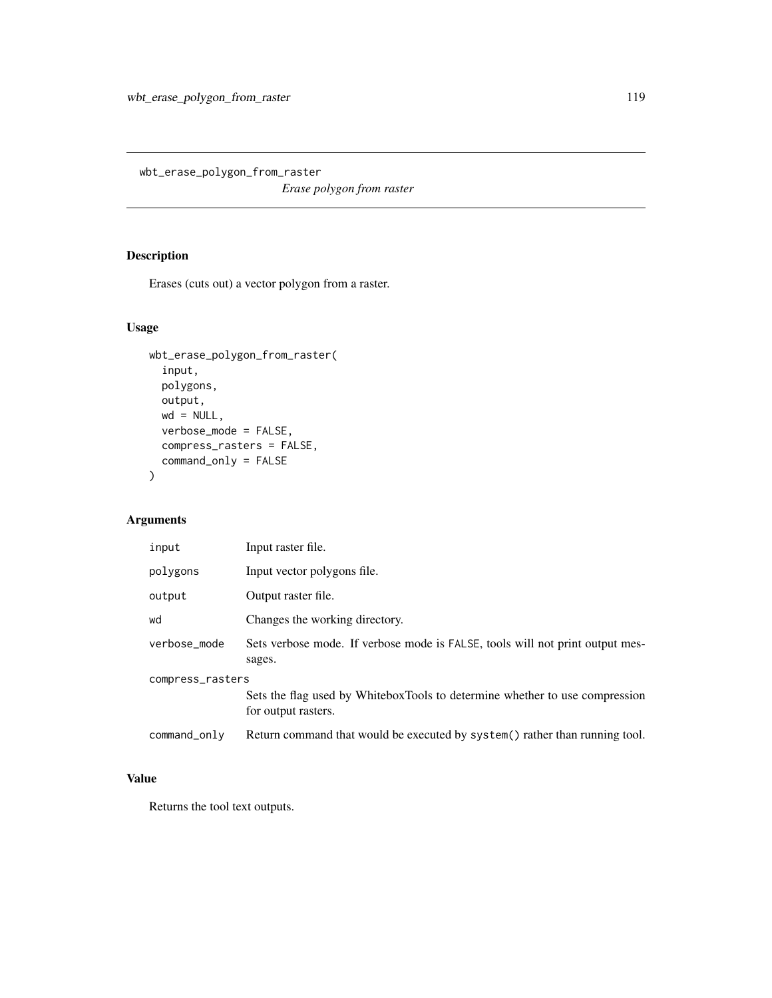wbt\_erase\_polygon\_from\_raster

*Erase polygon from raster*

## Description

Erases (cuts out) a vector polygon from a raster.

## Usage

```
wbt_erase_polygon_from_raster(
  input,
 polygons,
 output,
 wd = NULL,verbose_mode = FALSE,
 compress_rasters = FALSE,
 command_only = FALSE
)
```
# Arguments

| input            | Input raster file.                                                                                 |
|------------------|----------------------------------------------------------------------------------------------------|
| polygons         | Input vector polygons file.                                                                        |
| output           | Output raster file.                                                                                |
| wd               | Changes the working directory.                                                                     |
| verbose_mode     | Sets verbose mode. If verbose mode is FALSE, tools will not print output mes-<br>sages.            |
| compress_rasters | Sets the flag used by WhiteboxTools to determine whether to use compression<br>for output rasters. |
| command_only     | Return command that would be executed by system() rather than running tool.                        |

# Value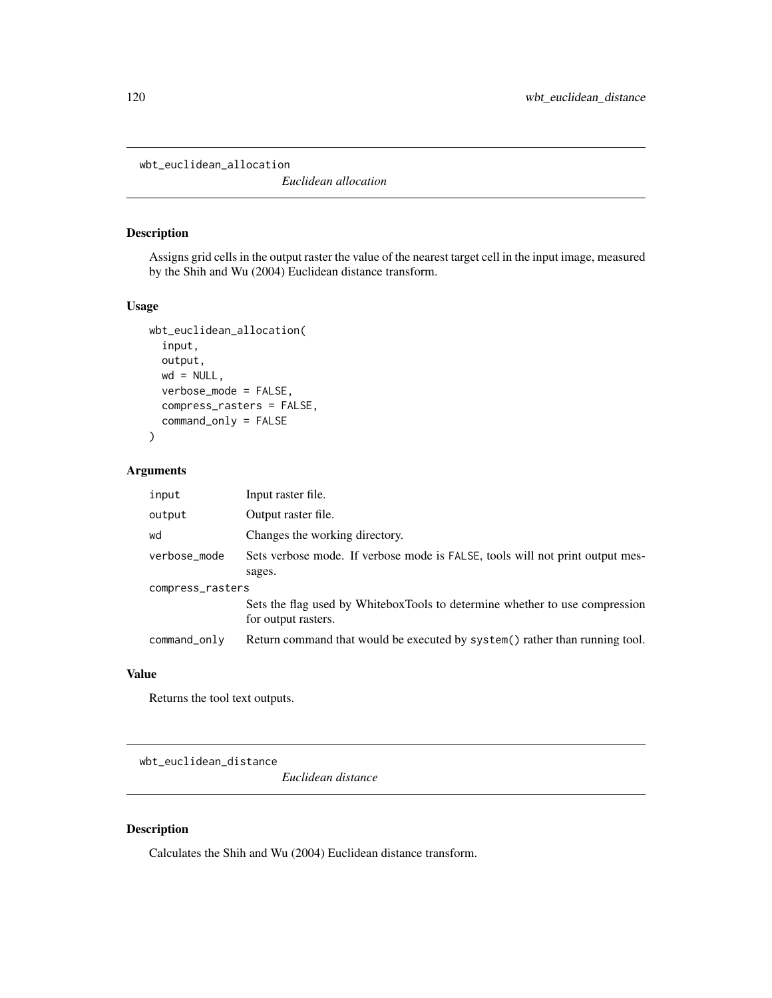wbt\_euclidean\_allocation

*Euclidean allocation*

#### Description

Assigns grid cells in the output raster the value of the nearest target cell in the input image, measured by the Shih and Wu (2004) Euclidean distance transform.

#### Usage

```
wbt_euclidean_allocation(
  input,
  output,
 wd = NULL,verbose_mode = FALSE,
  compress_rasters = FALSE,
  command_only = FALSE
)
```
#### Arguments

| input            | Input raster file.                                                                                 |  |
|------------------|----------------------------------------------------------------------------------------------------|--|
| output           | Output raster file.                                                                                |  |
| wd               | Changes the working directory.                                                                     |  |
| verbose_mode     | Sets verbose mode. If verbose mode is FALSE, tools will not print output mes-<br>sages.            |  |
| compress_rasters |                                                                                                    |  |
|                  | Sets the flag used by WhiteboxTools to determine whether to use compression<br>for output rasters. |  |
| command_only     | Return command that would be executed by system() rather than running tool.                        |  |

## Value

Returns the tool text outputs.

wbt\_euclidean\_distance

*Euclidean distance*

#### Description

Calculates the Shih and Wu (2004) Euclidean distance transform.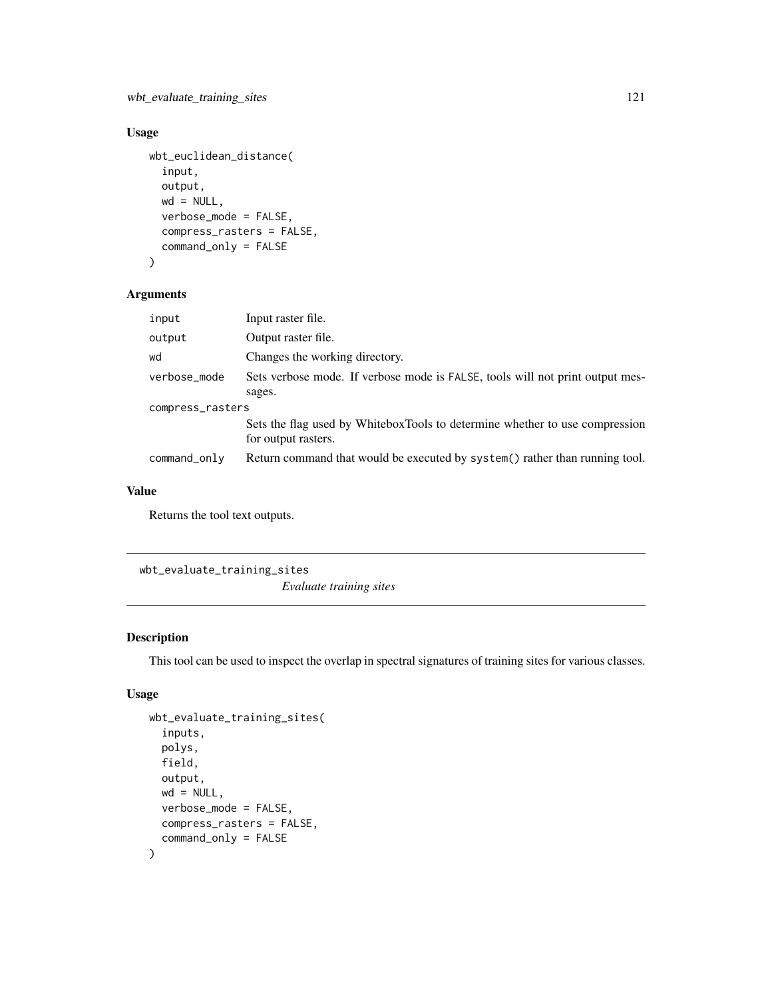### Usage

```
wbt_euclidean_distance(
  input,
 output,
 wd = NULL,verbose_mode = FALSE,
 compress_rasters = FALSE,
 command_only = FALSE
)
```
#### Arguments

| input            | Input raster file.                                                                                 |  |
|------------------|----------------------------------------------------------------------------------------------------|--|
| output           | Output raster file.                                                                                |  |
| wd               | Changes the working directory.                                                                     |  |
| verbose_mode     | Sets verbose mode. If verbose mode is FALSE, tools will not print output mes-                      |  |
|                  | sages.                                                                                             |  |
| compress_rasters |                                                                                                    |  |
|                  | Sets the flag used by WhiteboxTools to determine whether to use compression<br>for output rasters. |  |
| command_only     | Return command that would be executed by system() rather than running tool.                        |  |

#### Value

Returns the tool text outputs.

wbt\_evaluate\_training\_sites

*Evaluate training sites*

### Description

This tool can be used to inspect the overlap in spectral signatures of training sites for various classes.

```
wbt_evaluate_training_sites(
  inputs,
 polys,
 field,
  output,
 wd = NULL,verbose_mode = FALSE,
 compress_rasters = FALSE,
  command_only = FALSE
\mathcal{L}
```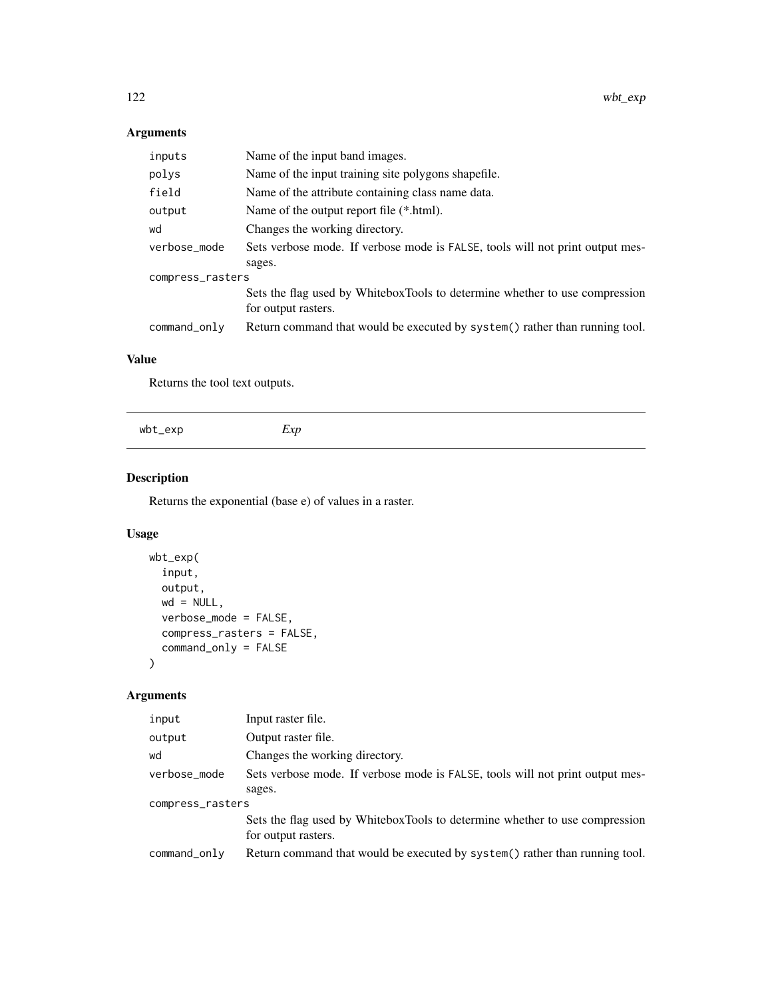| inputs           | Name of the input band images.                                                |  |
|------------------|-------------------------------------------------------------------------------|--|
| polys            | Name of the input training site polygons shapefile.                           |  |
| field            | Name of the attribute containing class name data.                             |  |
| output           | Name of the output report file (*.html).                                      |  |
| wd               | Changes the working directory.                                                |  |
| verbose_mode     | Sets verbose mode. If verbose mode is FALSE, tools will not print output mes- |  |
|                  | sages.                                                                        |  |
| compress_rasters |                                                                               |  |
|                  | Sets the flag used by WhiteboxTools to determine whether to use compression   |  |
|                  | for output rasters.                                                           |  |
| command_only     | Return command that would be executed by system() rather than running tool.   |  |

## Value

Returns the tool text outputs.

| wbt_exp | γn<br>$\lambda$<br>— |
|---------|----------------------|
|         |                      |

## Description

Returns the exponential (base e) of values in a raster.

## Usage

```
wbt_exp(
 input,
 output,
 wd = NULL,verbose_mode = FALSE,
 compress_rasters = FALSE,
 command_only = FALSE
)
```
## Arguments

| input            | Input raster file.                                                                                 |  |
|------------------|----------------------------------------------------------------------------------------------------|--|
| output           | Output raster file.                                                                                |  |
| wd               | Changes the working directory.                                                                     |  |
| verbose_mode     | Sets verbose mode. If verbose mode is FALSE, tools will not print output mes-                      |  |
|                  | sages.                                                                                             |  |
| compress_rasters |                                                                                                    |  |
|                  | Sets the flag used by WhiteboxTools to determine whether to use compression<br>for output rasters. |  |
| command_only     | Return command that would be executed by system() rather than running tool.                        |  |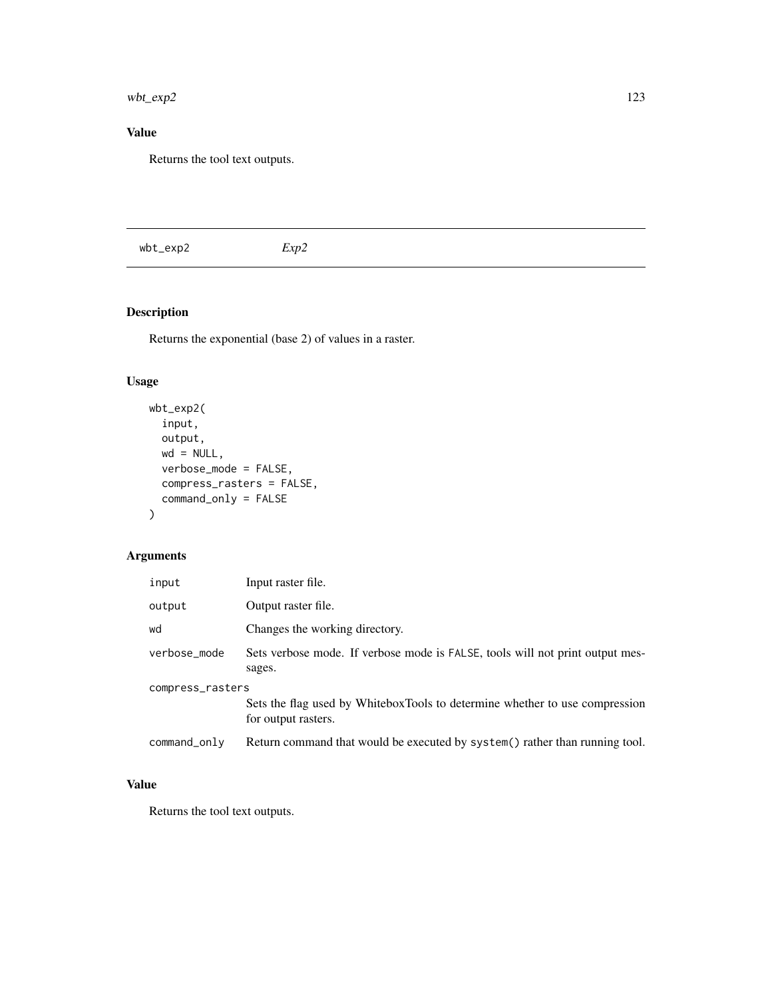wbt\_exp2 123

# Value

Returns the tool text outputs.

# Description

Returns the exponential (base 2) of values in a raster.

# Usage

```
wbt_exp2(
  input,
 output,
 wd = NULL,verbose_mode = FALSE,
 compress_rasters = FALSE,
  command_only = FALSE
)
```
# Arguments

| input            | Input raster file.                                                                                 |  |
|------------------|----------------------------------------------------------------------------------------------------|--|
| output           | Output raster file.                                                                                |  |
| wd               | Changes the working directory.                                                                     |  |
| verbose_mode     | Sets verbose mode. If verbose mode is FALSE, tools will not print output mes-<br>sages.            |  |
| compress_rasters |                                                                                                    |  |
|                  | Sets the flag used by WhiteboxTools to determine whether to use compression<br>for output rasters. |  |
| command_only     | Return command that would be executed by system() rather than running tool.                        |  |

# Value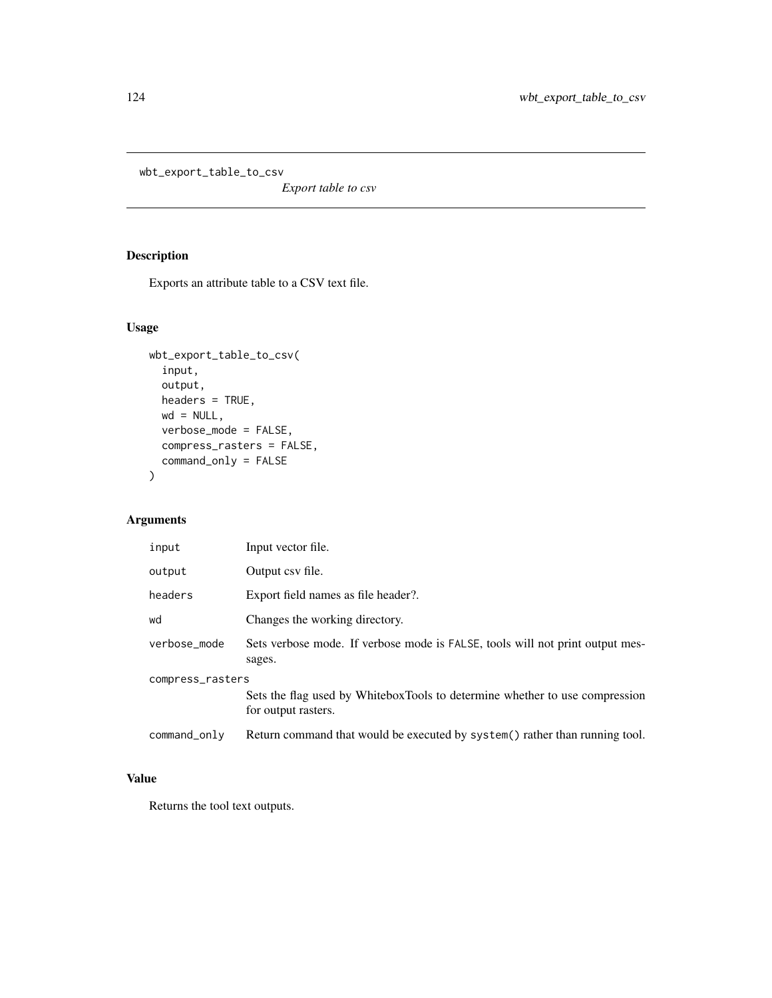wbt\_export\_table\_to\_csv

*Export table to csv*

# Description

Exports an attribute table to a CSV text file.

## Usage

```
wbt_export_table_to_csv(
  input,
  output,
  headers = TRUE,
  wd = NULL,verbose_mode = FALSE,
  compress_rasters = FALSE,
  command_only = FALSE
\mathcal{L}
```
# Arguments

| input            | Input vector file.                                                                                 |
|------------------|----------------------------------------------------------------------------------------------------|
| output           | Output csy file.                                                                                   |
| headers          | Export field names as file header?.                                                                |
| wd               | Changes the working directory.                                                                     |
| verbose_mode     | Sets verbose mode. If verbose mode is FALSE, tools will not print output mes-<br>sages.            |
| compress_rasters | Sets the flag used by WhiteboxTools to determine whether to use compression<br>for output rasters. |
| command_only     | Return command that would be executed by system() rather than running tool.                        |

# Value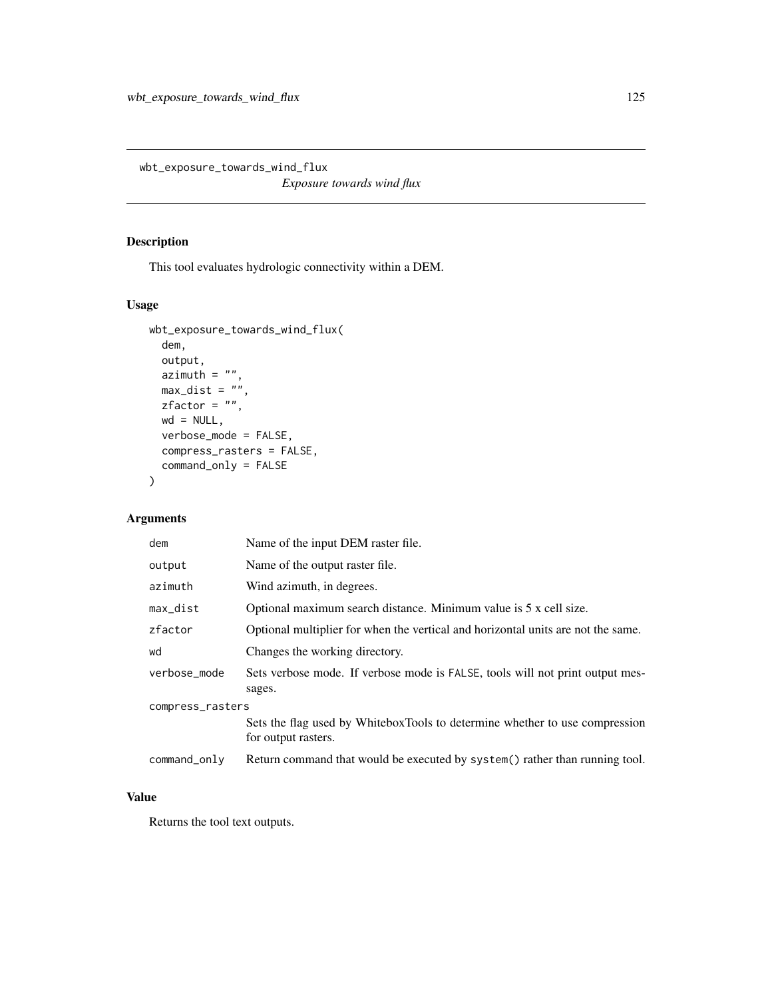wbt\_exposure\_towards\_wind\_flux

*Exposure towards wind flux*

#### Description

This tool evaluates hydrologic connectivity within a DEM.

## Usage

```
wbt_exposure_towards_wind_flux(
  dem,
 output,
 azimuth = "",max\_dist = "",zfactor = "",wd = NULL,verbose_mode = FALSE,
 compress_rasters = FALSE,
  command_only = FALSE
)
```
## Arguments

| dem              | Name of the input DEM raster file.                                                                 |  |
|------------------|----------------------------------------------------------------------------------------------------|--|
| output           | Name of the output raster file.                                                                    |  |
| azimuth          | Wind azimuth, in degrees.                                                                          |  |
| max_dist         | Optional maximum search distance. Minimum value is 5 x cell size.                                  |  |
| zfactor          | Optional multiplier for when the vertical and horizontal units are not the same.                   |  |
| wd               | Changes the working directory.                                                                     |  |
| verbose_mode     | Sets verbose mode. If verbose mode is FALSE, tools will not print output mes-<br>sages.            |  |
| compress_rasters |                                                                                                    |  |
|                  | Sets the flag used by WhiteboxTools to determine whether to use compression<br>for output rasters. |  |
| command_only     | Return command that would be executed by system() rather than running tool.                        |  |

## Value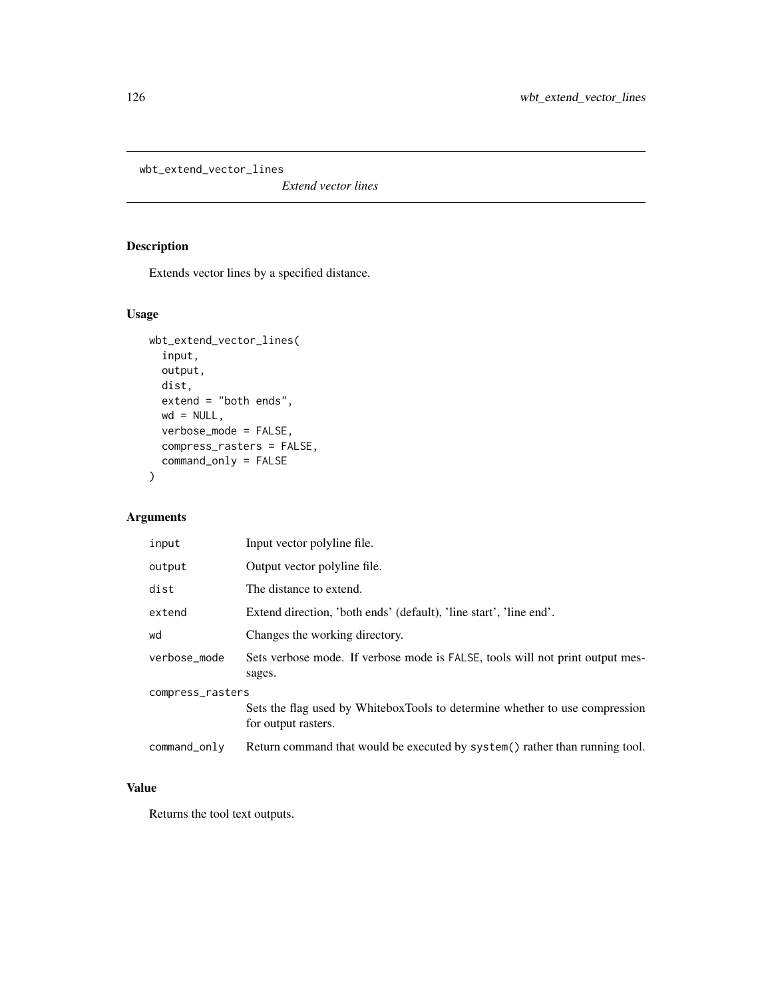wbt\_extend\_vector\_lines

*Extend vector lines*

## Description

Extends vector lines by a specified distance.

## Usage

```
wbt_extend_vector_lines(
  input,
 output,
 dist,
 extend = "both ends",
 wd = NULL,verbose_mode = FALSE,
 compress_rasters = FALSE,
 command_only = FALSE
)
```
## Arguments

| input            | Input vector polyline file.                                                                        |  |
|------------------|----------------------------------------------------------------------------------------------------|--|
| output           | Output vector polyline file.                                                                       |  |
| dist             | The distance to extend.                                                                            |  |
| extend           | Extend direction, 'both ends' (default), 'line start', 'line end'.                                 |  |
| wd               | Changes the working directory.                                                                     |  |
| verbose_mode     | Sets verbose mode. If verbose mode is FALSE, tools will not print output mes-<br>sages.            |  |
| compress_rasters |                                                                                                    |  |
|                  | Sets the flag used by WhiteboxTools to determine whether to use compression<br>for output rasters. |  |
| command_only     | Return command that would be executed by system() rather than running tool.                        |  |

#### Value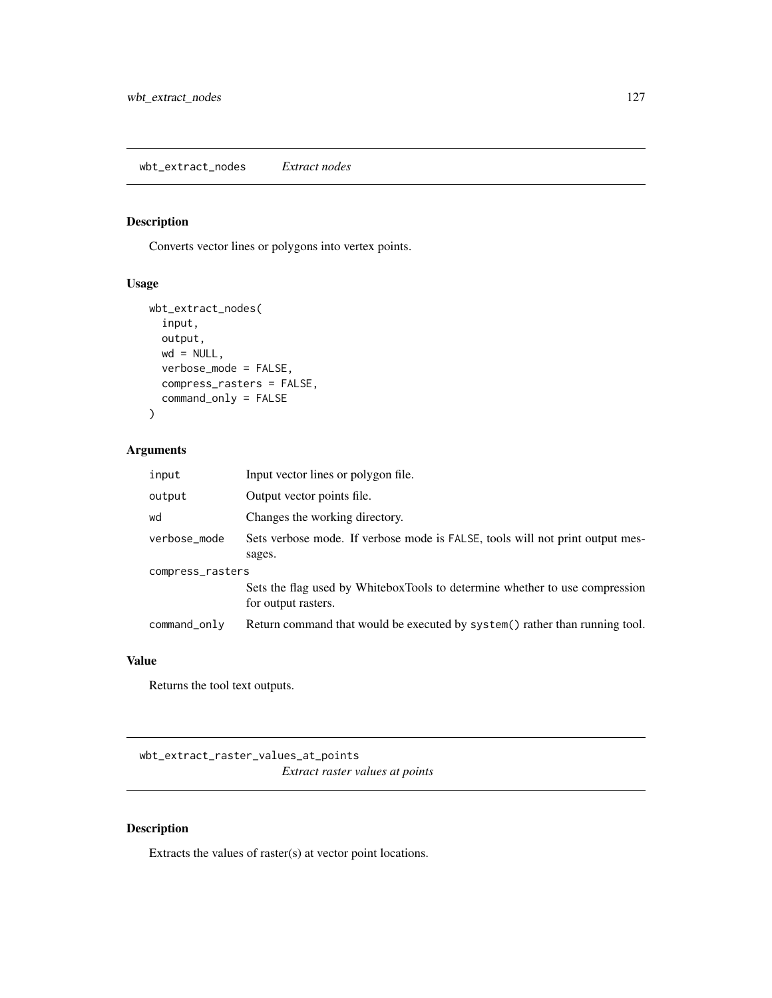## Description

Converts vector lines or polygons into vertex points.

#### Usage

```
wbt_extract_nodes(
 input,
 output,
 wd = NULL,verbose_mode = FALSE,
 compress_rasters = FALSE,
 command_only = FALSE
)
```
#### Arguments

| input            | Input vector lines or polygon file.                                                                |  |
|------------------|----------------------------------------------------------------------------------------------------|--|
| output           | Output vector points file.                                                                         |  |
| wd               | Changes the working directory.                                                                     |  |
| verbose_mode     | Sets verbose mode. If verbose mode is FALSE, tools will not print output mes-<br>sages.            |  |
| compress_rasters |                                                                                                    |  |
|                  | Sets the flag used by WhiteboxTools to determine whether to use compression<br>for output rasters. |  |
| command_only     | Return command that would be executed by system() rather than running tool.                        |  |

## Value

Returns the tool text outputs.

wbt\_extract\_raster\_values\_at\_points *Extract raster values at points*

## Description

Extracts the values of raster(s) at vector point locations.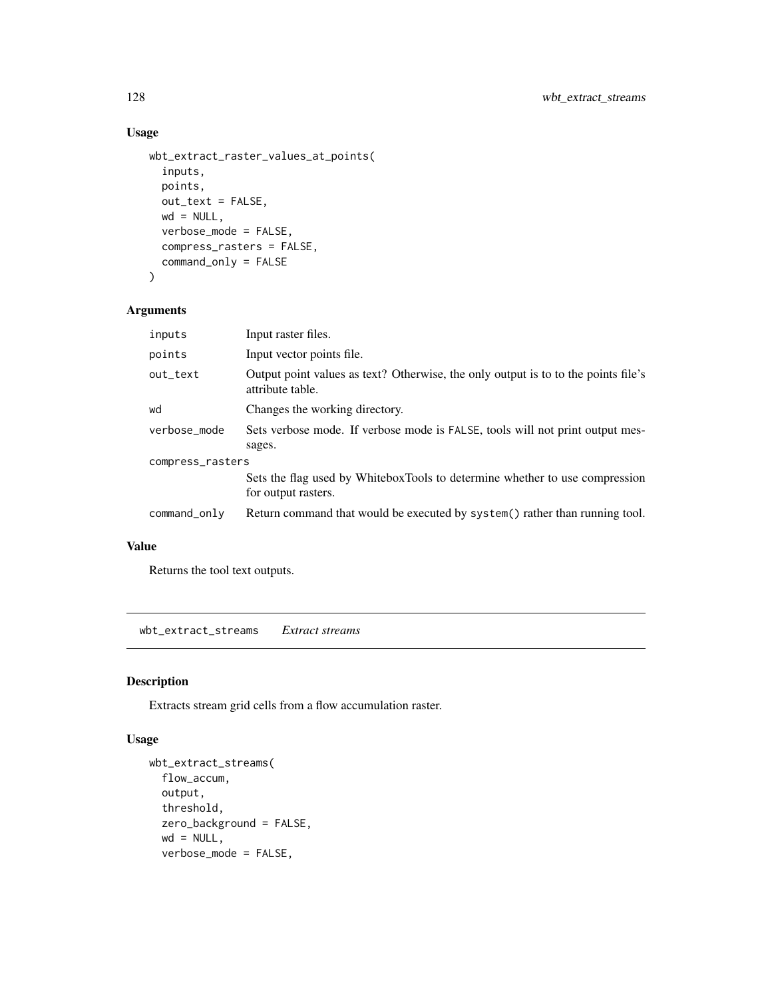## Usage

```
wbt_extract_raster_values_at_points(
  inputs,
 points,
 out_text = FALSE,
 wd = NULL,verbose_mode = FALSE,
  compress_rasters = FALSE,
  command_only = FALSE
\mathcal{L}
```
#### Arguments

| inputs           | Input raster files.                                                                                    |  |
|------------------|--------------------------------------------------------------------------------------------------------|--|
| points           | Input vector points file.                                                                              |  |
| out_text         | Output point values as text? Otherwise, the only output is to to the points file's<br>attribute table. |  |
| wd               | Changes the working directory.                                                                         |  |
| verbose_mode     | Sets verbose mode. If verbose mode is FALSE, tools will not print output mes-                          |  |
|                  | sages.                                                                                                 |  |
| compress_rasters |                                                                                                        |  |
|                  | Sets the flag used by WhiteboxTools to determine whether to use compression<br>for output rasters.     |  |
| command_only     | Return command that would be executed by system() rather than running tool.                            |  |

### Value

Returns the tool text outputs.

wbt\_extract\_streams *Extract streams*

#### Description

Extracts stream grid cells from a flow accumulation raster.

```
wbt_extract_streams(
 flow_accum,
 output,
 threshold,
 zero_background = FALSE,
 wd = NULL,verbose_mode = FALSE,
```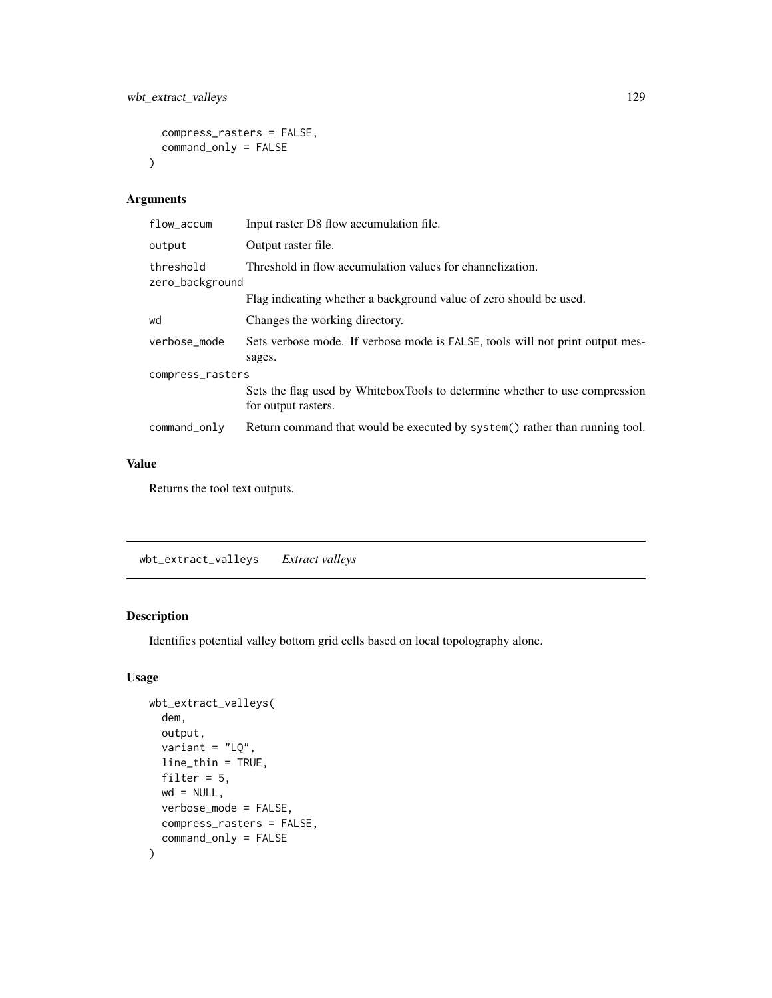```
compress_rasters = FALSE,
  command_only = FALSE
\mathcal{L}
```

| flow_accum                   | Input raster D8 flow accumulation file.                                                            |  |
|------------------------------|----------------------------------------------------------------------------------------------------|--|
| output                       | Output raster file.                                                                                |  |
| threshold<br>zero_background | Threshold in flow accumulation values for channelization.                                          |  |
|                              | Flag indicating whether a background value of zero should be used.                                 |  |
| wd                           | Changes the working directory.                                                                     |  |
| verbose_mode                 | Sets verbose mode. If verbose mode is FALSE, tools will not print output mes-<br>sages.            |  |
| compress_rasters             |                                                                                                    |  |
|                              | Sets the flag used by WhiteboxTools to determine whether to use compression<br>for output rasters. |  |
| command_only                 | Return command that would be executed by system() rather than running tool.                        |  |
|                              |                                                                                                    |  |

#### Value

Returns the tool text outputs.

wbt\_extract\_valleys *Extract valleys*

#### Description

Identifies potential valley bottom grid cells based on local topolography alone.

```
wbt_extract_valleys(
  dem,
 output,
  variant = "LQ",
 line_thin = TRUE,
  filter = 5,
 wd = NULL,verbose_mode = FALSE,
 compress_rasters = FALSE,
  command_only = FALSE
\mathcal{L}
```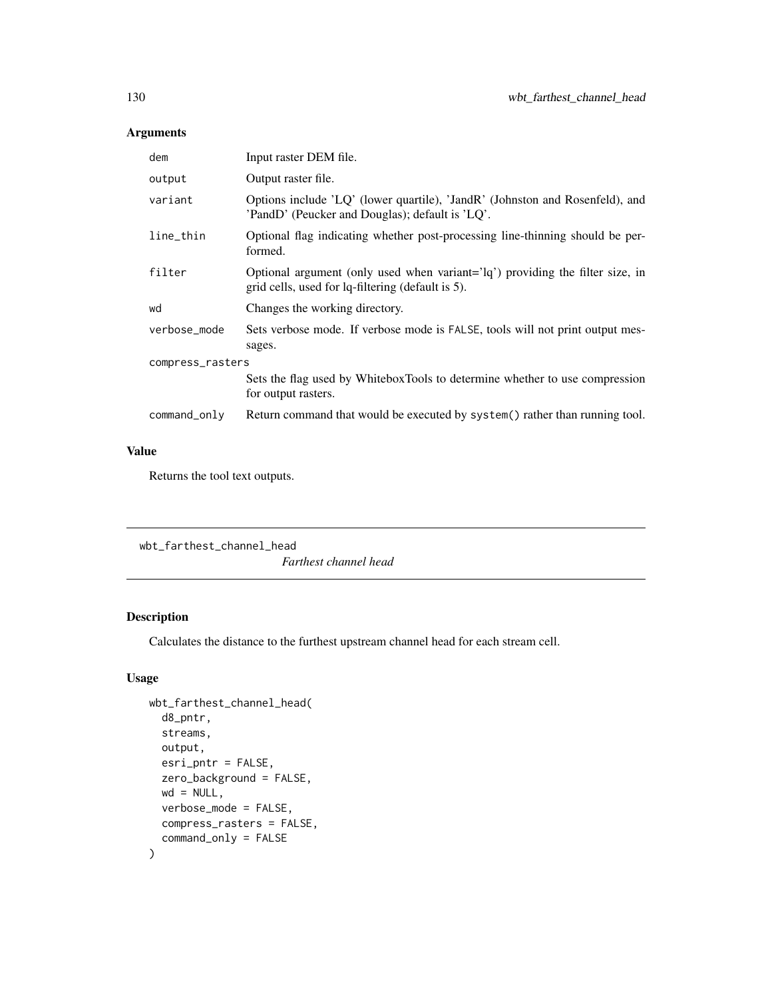| dem              | Input raster DEM file.                                                                                                             |  |
|------------------|------------------------------------------------------------------------------------------------------------------------------------|--|
| output           | Output raster file.                                                                                                                |  |
| variant          | Options include 'LQ' (lower quartile), 'JandR' (Johnston and Rosenfeld), and<br>'PandD' (Peucker and Douglas); default is 'LQ'.    |  |
| line_thin        | Optional flag indicating whether post-processing line-thinning should be per-<br>formed.                                           |  |
| filter           | Optional argument (only used when variant='lq') providing the filter size, in<br>grid cells, used for lq-filtering (default is 5). |  |
| wd               | Changes the working directory.                                                                                                     |  |
| verbose_mode     | Sets verbose mode. If verbose mode is FALSE, tools will not print output mes-<br>sages.                                            |  |
| compress_rasters |                                                                                                                                    |  |
|                  | Sets the flag used by WhiteboxTools to determine whether to use compression<br>for output rasters.                                 |  |
| command_only     | Return command that would be executed by system() rather than running tool.                                                        |  |

## Value

Returns the tool text outputs.

```
wbt_farthest_channel_head
                        Farthest channel head
```
# Description

Calculates the distance to the furthest upstream channel head for each stream cell.

```
wbt_farthest_channel_head(
 d8_pntr,
 streams,
 output,
 esri_pntr = FALSE,
  zero_background = FALSE,
 wd = NULL,verbose_mode = FALSE,
 compress_rasters = FALSE,
  command_only = FALSE
\mathcal{L}
```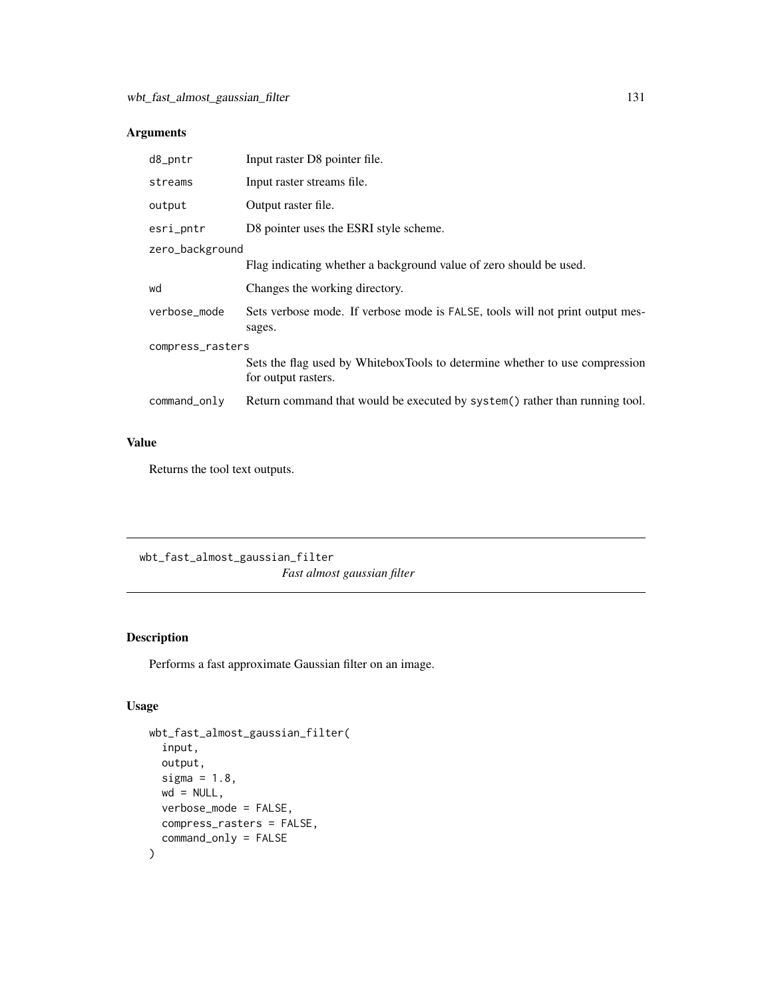| d8_pntr          | Input raster D8 pointer file.                                                                      |  |
|------------------|----------------------------------------------------------------------------------------------------|--|
| streams          | Input raster streams file.                                                                         |  |
| output           | Output raster file.                                                                                |  |
| esri_pntr        | D8 pointer uses the ESRI style scheme.                                                             |  |
| zero_background  |                                                                                                    |  |
|                  | Flag indicating whether a background value of zero should be used.                                 |  |
| wd               | Changes the working directory.                                                                     |  |
| verbose_mode     | Sets verbose mode. If verbose mode is FALSE, tools will not print output mes-<br>sages.            |  |
| compress_rasters |                                                                                                    |  |
|                  | Sets the flag used by WhiteboxTools to determine whether to use compression<br>for output rasters. |  |
| command_only     | Return command that would be executed by system() rather than running tool.                        |  |

#### Value

Returns the tool text outputs.

wbt\_fast\_almost\_gaussian\_filter *Fast almost gaussian filter*

# Description

Performs a fast approximate Gaussian filter on an image.

```
wbt_fast_almost_gaussian_filter(
  input,
 output,
  sigma = 1.8,
 wd = NULL,verbose_mode = FALSE,
 compress_rasters = FALSE,
  command_only = FALSE
\mathcal{L}
```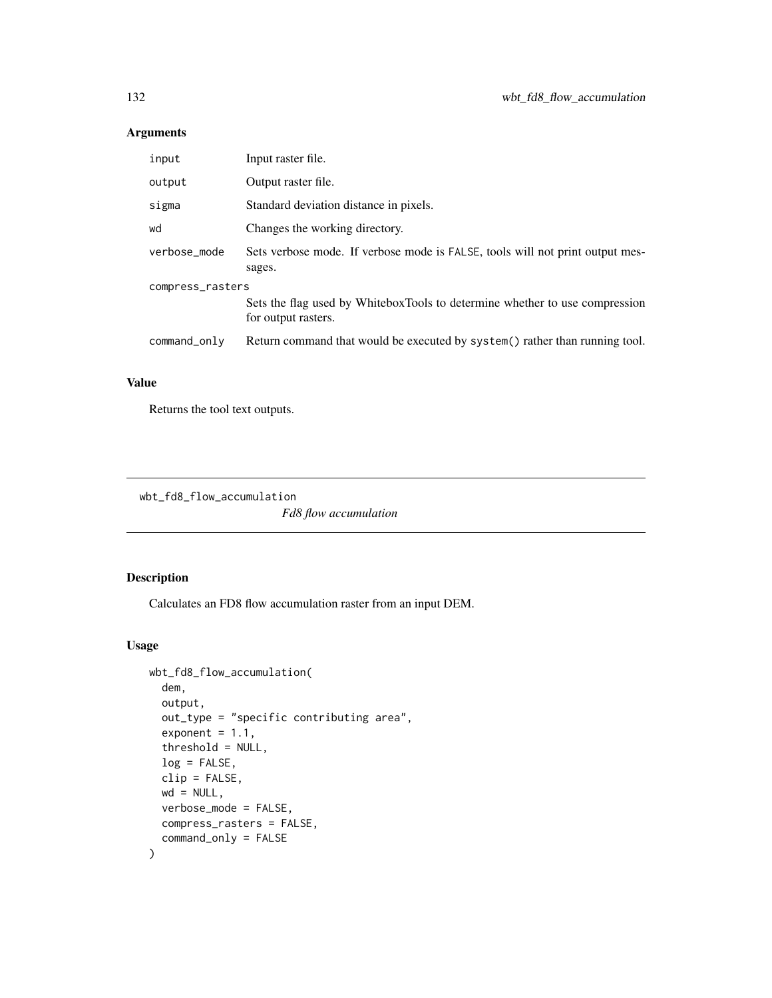| input            | Input raster file.                                                                                 |  |
|------------------|----------------------------------------------------------------------------------------------------|--|
| output           | Output raster file.                                                                                |  |
| sigma            | Standard deviation distance in pixels.                                                             |  |
| wd               | Changes the working directory.                                                                     |  |
| verbose mode     | Sets verbose mode. If verbose mode is FALSE, tools will not print output mes-<br>sages.            |  |
| compress_rasters |                                                                                                    |  |
|                  | Sets the flag used by WhiteboxTools to determine whether to use compression<br>for output rasters. |  |
| command_only     | Return command that would be executed by system() rather than running tool.                        |  |

# Value

Returns the tool text outputs.

wbt\_fd8\_flow\_accumulation

*Fd8 flow accumulation*

## Description

Calculates an FD8 flow accumulation raster from an input DEM.

```
wbt_fd8_flow_accumulation(
  dem,
 output,
 out_type = "specific contributing area",
  exponent = 1.1,
  threshold = NULL,
  log = FALSE,
  clip = FALSE,
 wd = NULL,verbose_mode = FALSE,
  compress_rasters = FALSE,
  command_only = FALSE
\mathcal{L}
```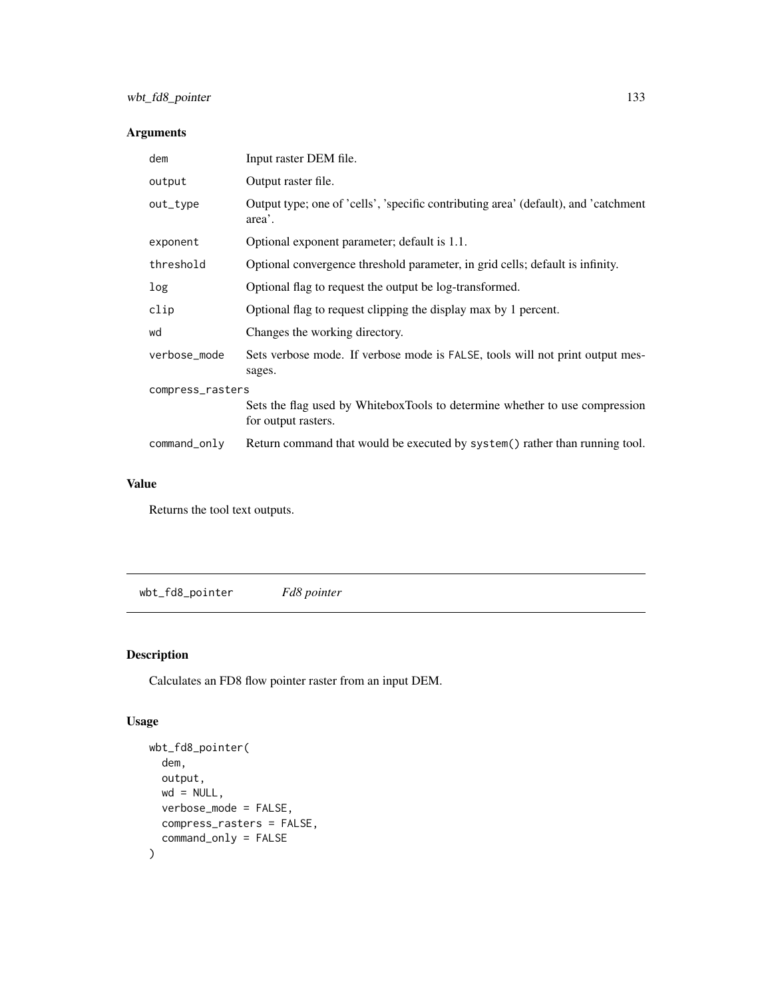| dem              | Input raster DEM file.                                                                             |  |
|------------------|----------------------------------------------------------------------------------------------------|--|
| output           | Output raster file.                                                                                |  |
| out_type         | Output type; one of 'cells', 'specific contributing area' (default), and 'catchment<br>area'.      |  |
| exponent         | Optional exponent parameter; default is 1.1.                                                       |  |
| threshold        | Optional convergence threshold parameter, in grid cells; default is infinity.                      |  |
| log              | Optional flag to request the output be log-transformed.                                            |  |
| clip             | Optional flag to request clipping the display max by 1 percent.                                    |  |
| wd               | Changes the working directory.                                                                     |  |
| verbose_mode     | Sets verbose mode. If verbose mode is FALSE, tools will not print output mes-<br>sages.            |  |
| compress_rasters |                                                                                                    |  |
|                  | Sets the flag used by WhiteboxTools to determine whether to use compression<br>for output rasters. |  |
| command_only     | Return command that would be executed by system() rather than running tool.                        |  |

#### Value

Returns the tool text outputs.

wbt\_fd8\_pointer *Fd8 pointer*

## Description

Calculates an FD8 flow pointer raster from an input DEM.

```
wbt_fd8_pointer(
  dem,
 output,
 wd = NULL,verbose_mode = FALSE,
 compress_rasters = FALSE,
  command_only = FALSE
\mathcal{L}
```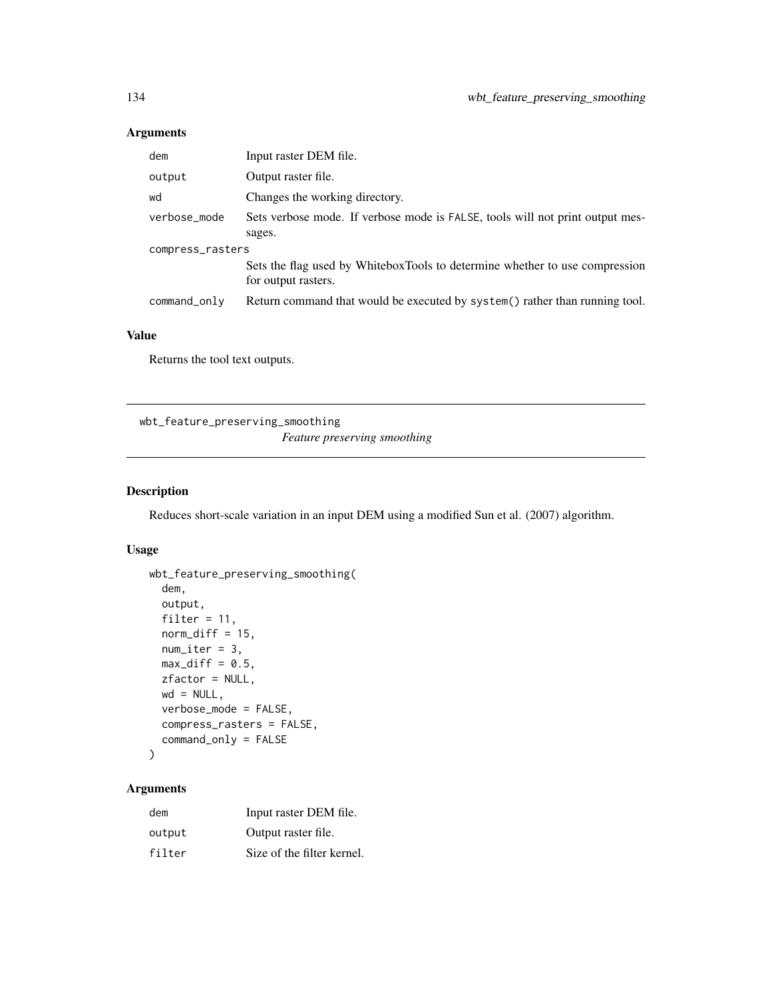| dem              | Input raster DEM file.                                                                             |  |
|------------------|----------------------------------------------------------------------------------------------------|--|
| output           | Output raster file.                                                                                |  |
| wd               | Changes the working directory.                                                                     |  |
| verbose_mode     | Sets verbose mode. If verbose mode is FALSE, tools will not print output mes-                      |  |
|                  | sages.                                                                                             |  |
| compress_rasters |                                                                                                    |  |
|                  | Sets the flag used by WhiteboxTools to determine whether to use compression<br>for output rasters. |  |
| command_only     | Return command that would be executed by system() rather than running tool.                        |  |

#### Value

Returns the tool text outputs.

wbt\_feature\_preserving\_smoothing *Feature preserving smoothing*

#### Description

Reduces short-scale variation in an input DEM using a modified Sun et al. (2007) algorithm.

#### Usage

```
wbt_feature_preserving_smoothing(
  dem,
 output,
  filter = 11,
 norm\_diff = 15,
 num\_iter = 3,
 max\_diff = 0.5,
 zfactor = NULL,
 wd = NULL,verbose_mode = FALSE,
  compress_rasters = FALSE,
  command_only = FALSE
```

```
)
```
#### Arguments

| dem    | Input raster DEM file.     |
|--------|----------------------------|
| output | Output raster file.        |
| filter | Size of the filter kernel. |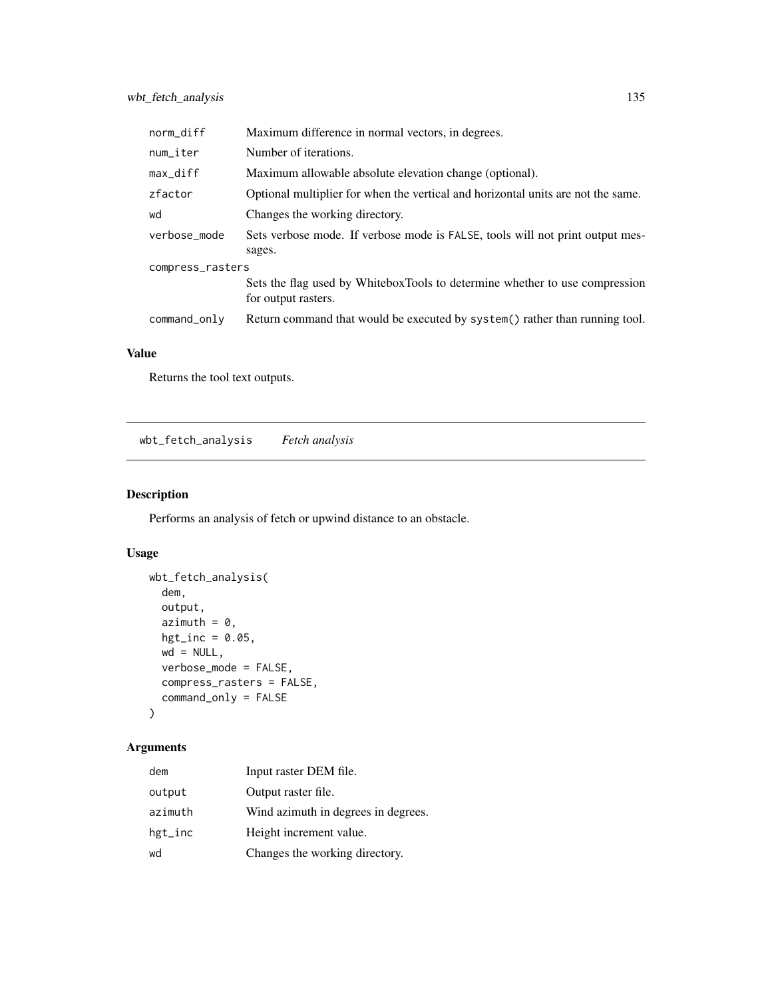| norm_diff        | Maximum difference in normal vectors, in degrees.                                                  |  |
|------------------|----------------------------------------------------------------------------------------------------|--|
| num_iter         | Number of iterations.                                                                              |  |
| $max_d$          | Maximum allowable absolute elevation change (optional).                                            |  |
| zfactor          | Optional multiplier for when the vertical and horizontal units are not the same.                   |  |
| wd               | Changes the working directory.                                                                     |  |
| verbose mode     | Sets verbose mode. If verbose mode is FALSE, tools will not print output mes-                      |  |
|                  | sages.                                                                                             |  |
| compress_rasters |                                                                                                    |  |
|                  | Sets the flag used by WhiteboxTools to determine whether to use compression<br>for output rasters. |  |
| command_only     | Return command that would be executed by system() rather than running tool.                        |  |

## Value

Returns the tool text outputs.

wbt\_fetch\_analysis *Fetch analysis*

## Description

Performs an analysis of fetch or upwind distance to an obstacle.

#### Usage

```
wbt_fetch_analysis(
 dem,
 output,
 azimuth = 0,
 hgt\_inc = 0.05,
 wd = NULL,verbose_mode = FALSE,
 compress_rasters = FALSE,
  command_only = FALSE
)
```
#### Arguments

| dem        | Input raster DEM file.              |
|------------|-------------------------------------|
| output     | Output raster file.                 |
| azimuth    | Wind azimuth in degrees in degrees. |
| $hgt\_inc$ | Height increment value.             |
| wd         | Changes the working directory.      |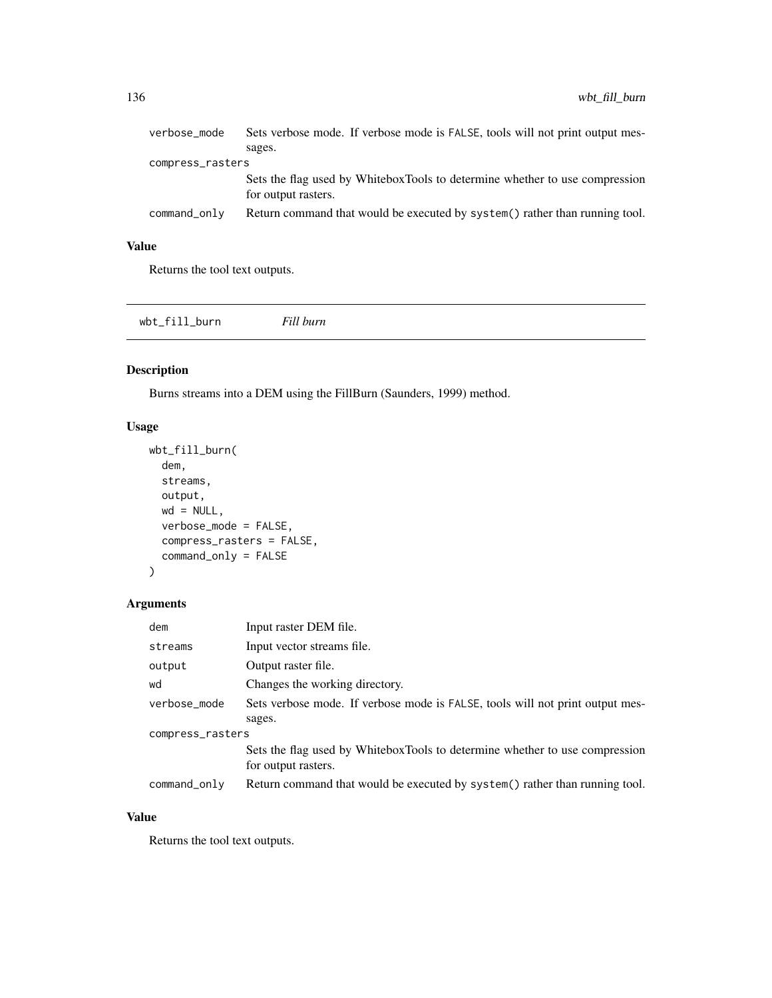| verbose_mode     | Sets verbose mode. If verbose mode is FALSE, tools will not print output mes-                      |
|------------------|----------------------------------------------------------------------------------------------------|
|                  | sages.                                                                                             |
| compress_rasters |                                                                                                    |
|                  | Sets the flag used by WhiteboxTools to determine whether to use compression<br>for output rasters. |
| command_only     | Return command that would be executed by system() rather than running tool.                        |

## Value

Returns the tool text outputs.

wbt\_fill\_burn *Fill burn*

#### Description

Burns streams into a DEM using the FillBurn (Saunders, 1999) method.

#### Usage

```
wbt_fill_burn(
 dem,
 streams,
 output,
 wd = NULL,verbose_mode = FALSE,
 compress_rasters = FALSE,
 command_only = FALSE
)
```
## Arguments

| dem              | Input raster DEM file.                                                        |  |
|------------------|-------------------------------------------------------------------------------|--|
| streams          | Input vector streams file.                                                    |  |
| output           | Output raster file.                                                           |  |
| wd               | Changes the working directory.                                                |  |
| verbose_mode     | Sets verbose mode. If verbose mode is FALSE, tools will not print output mes- |  |
|                  | sages.                                                                        |  |
| compress_rasters |                                                                               |  |
|                  | Sets the flag used by WhiteboxTools to determine whether to use compression   |  |
|                  | for output rasters.                                                           |  |
| command_only     | Return command that would be executed by system () rather than running tool.  |  |

#### Value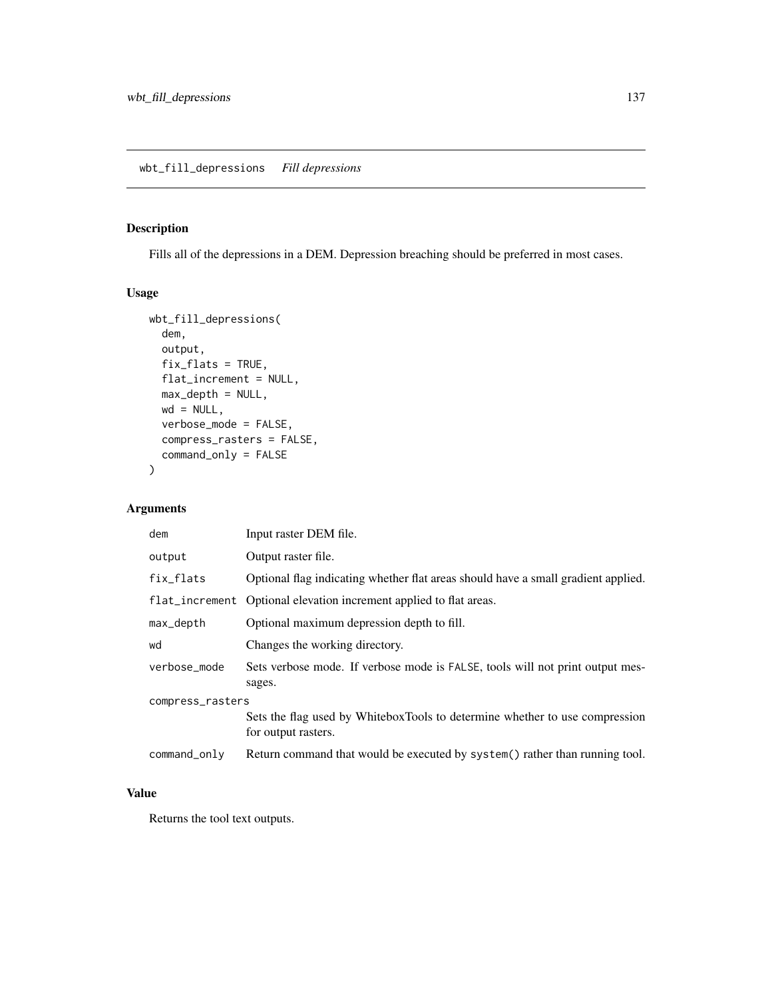## Description

Fills all of the depressions in a DEM. Depression breaching should be preferred in most cases.

#### Usage

```
wbt_fill_depressions(
 dem,
 output,
 fix_flats = TRUE,
 flat_increment = NULL,
 max_depth = NULL,
 wd = NULL,verbose_mode = FALSE,
 compress_rasters = FALSE,
 command_only = FALSE
)
```
#### Arguments

| dem              | Input raster DEM file.                                                                             |  |
|------------------|----------------------------------------------------------------------------------------------------|--|
| output           | Output raster file.                                                                                |  |
| fix_flats        | Optional flag indicating whether flat areas should have a small gradient applied.                  |  |
|                  | flat_increment Optional elevation increment applied to flat areas.                                 |  |
| max_depth        | Optional maximum depression depth to fill.                                                         |  |
| wd               | Changes the working directory.                                                                     |  |
| verbose_mode     | Sets verbose mode. If verbose mode is FALSE, tools will not print output mes-<br>sages.            |  |
| compress_rasters |                                                                                                    |  |
|                  | Sets the flag used by WhiteboxTools to determine whether to use compression<br>for output rasters. |  |
| command_only     | Return command that would be executed by system() rather than running tool.                        |  |

## Value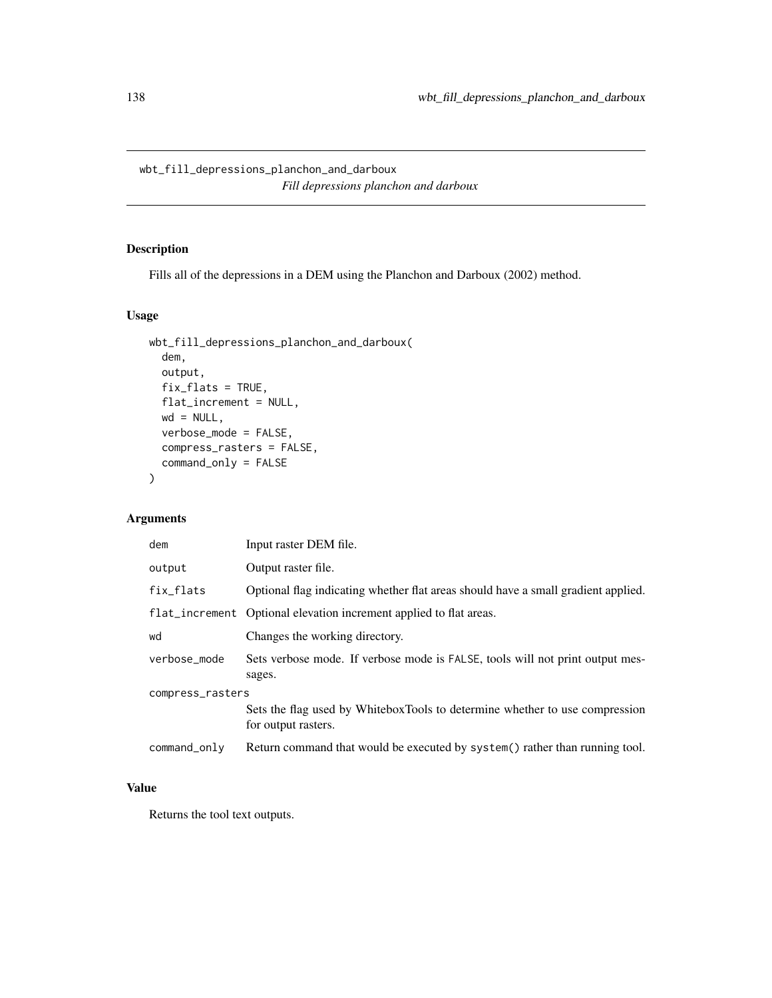wbt\_fill\_depressions\_planchon\_and\_darboux *Fill depressions planchon and darboux*

# Description

Fills all of the depressions in a DEM using the Planchon and Darboux (2002) method.

#### Usage

```
wbt_fill_depressions_planchon_and_darboux(
 dem,
 output,
 fix_flats = TRUE,
 flat_increment = NULL,
 wd = NULL,verbose_mode = FALSE,
 compress_rasters = FALSE,
 command_only = FALSE
)
```
#### Arguments

| dem              | Input raster DEM file.                                                                             |  |
|------------------|----------------------------------------------------------------------------------------------------|--|
| output           | Output raster file.                                                                                |  |
| fix_flats        | Optional flag indicating whether flat areas should have a small gradient applied.                  |  |
|                  | flat_increment Optional elevation increment applied to flat areas.                                 |  |
| wd               | Changes the working directory.                                                                     |  |
| verbose_mode     | Sets verbose mode. If verbose mode is FALSE, tools will not print output mes-<br>sages.            |  |
| compress_rasters |                                                                                                    |  |
|                  | Sets the flag used by WhiteboxTools to determine whether to use compression<br>for output rasters. |  |
| command_only     | Return command that would be executed by system() rather than running tool.                        |  |

#### Value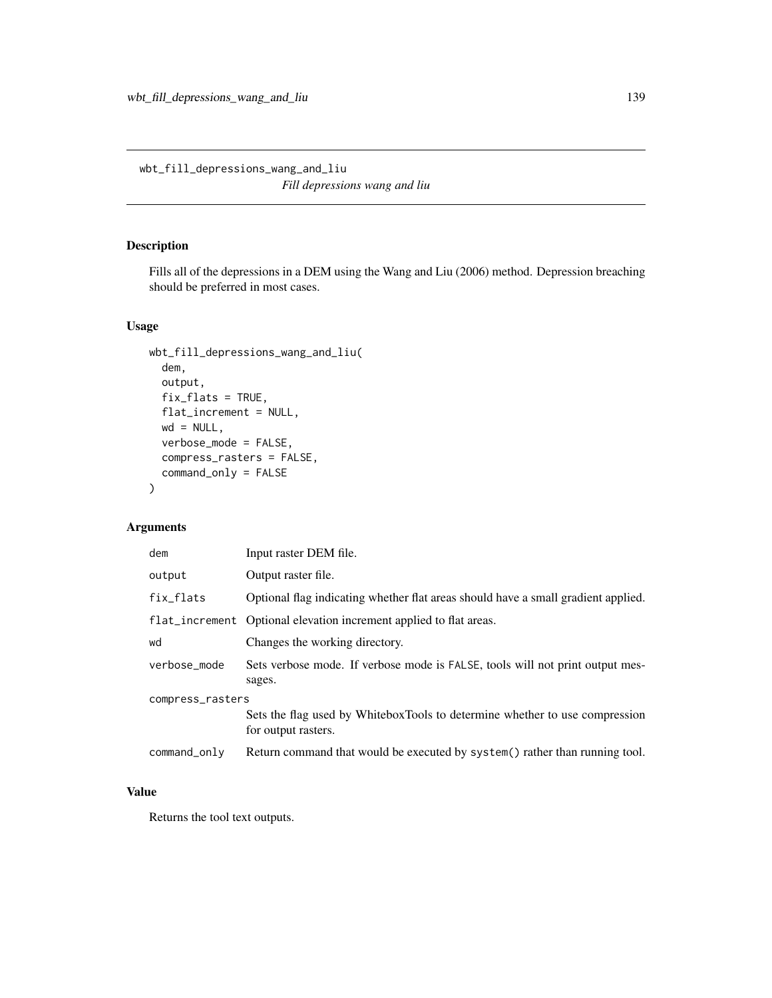wbt\_fill\_depressions\_wang\_and\_liu *Fill depressions wang and liu*

#### Description

Fills all of the depressions in a DEM using the Wang and Liu (2006) method. Depression breaching should be preferred in most cases.

#### Usage

```
wbt_fill_depressions_wang_and_liu(
  dem,
  output,
  fix_flats = TRUE,
  flat_increment = NULL,
 wd = NULL,verbose_mode = FALSE,
  compress_rasters = FALSE,
  command_only = FALSE
)
```
## Arguments

| dem              | Input raster DEM file.                                                                             |  |
|------------------|----------------------------------------------------------------------------------------------------|--|
| output           | Output raster file.                                                                                |  |
| fix_flats        | Optional flag indicating whether flat areas should have a small gradient applied.                  |  |
|                  | flat_increment Optional elevation increment applied to flat areas.                                 |  |
| wd               | Changes the working directory.                                                                     |  |
| verbose_mode     | Sets verbose mode. If verbose mode is FALSE, tools will not print output mes-<br>sages.            |  |
| compress_rasters |                                                                                                    |  |
|                  | Sets the flag used by WhiteboxTools to determine whether to use compression<br>for output rasters. |  |
| $command\_only$  | Return command that would be executed by system() rather than running tool.                        |  |

#### Value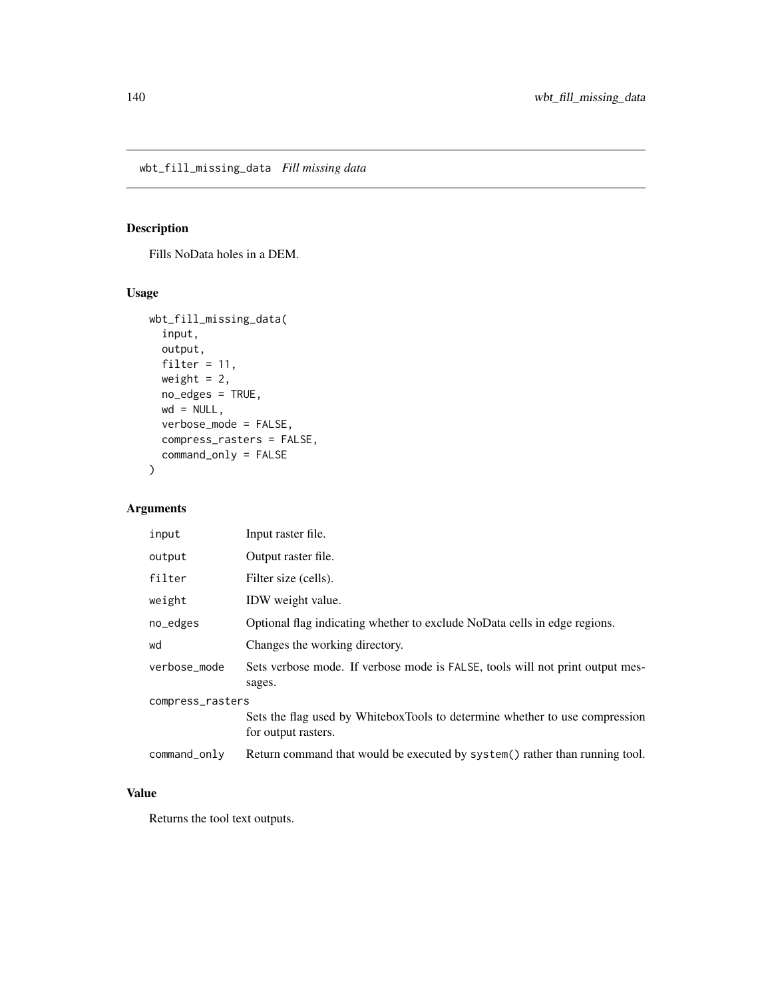## Description

Fills NoData holes in a DEM.

#### Usage

```
wbt_fill_missing_data(
  input,
 output,
 filter = 11,
 weight = 2,
 no_edges = TRUE,
 wd = NULL,verbose_mode = FALSE,
 compress_rasters = FALSE,
 command_only = FALSE
)
```
#### Arguments

| input            | Input raster file.                                                                                 |
|------------------|----------------------------------------------------------------------------------------------------|
| output           | Output raster file.                                                                                |
| filter           | Filter size (cells).                                                                               |
| weight           | IDW weight value.                                                                                  |
| no_edges         | Optional flag indicating whether to exclude NoData cells in edge regions.                          |
| wd               | Changes the working directory.                                                                     |
| verbose mode     | Sets verbose mode. If verbose mode is FALSE, tools will not print output mes-<br>sages.            |
| compress_rasters |                                                                                                    |
|                  | Sets the flag used by WhiteboxTools to determine whether to use compression<br>for output rasters. |
| command_only     | Return command that would be executed by system () rather than running tool.                       |

#### Value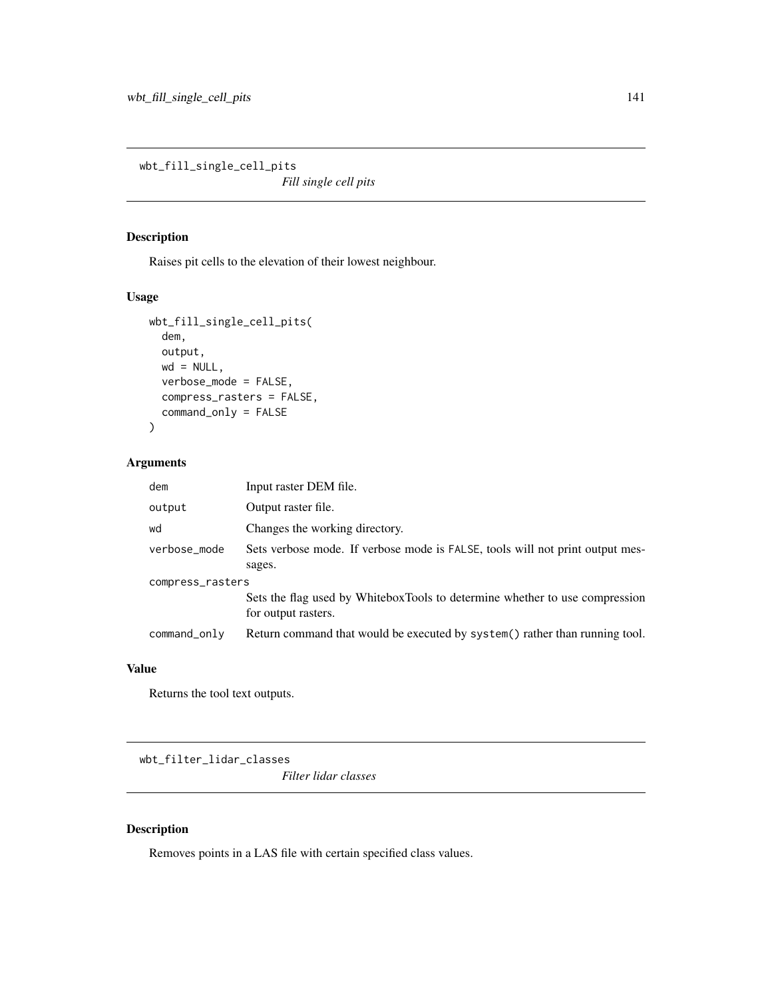wbt\_fill\_single\_cell\_pits

*Fill single cell pits*

#### Description

Raises pit cells to the elevation of their lowest neighbour.

#### Usage

```
wbt_fill_single_cell_pits(
 dem,
 output,
 wd = NULL,verbose_mode = FALSE,
 compress_rasters = FALSE,
 command_only = FALSE
)
```
#### Arguments

| dem              | Input raster DEM file.                                                                             |  |
|------------------|----------------------------------------------------------------------------------------------------|--|
| output           | Output raster file.                                                                                |  |
| wd               | Changes the working directory.                                                                     |  |
| verbose_mode     | Sets verbose mode. If verbose mode is FALSE, tools will not print output mes-                      |  |
|                  | sages.                                                                                             |  |
| compress_rasters |                                                                                                    |  |
|                  | Sets the flag used by WhiteboxTools to determine whether to use compression<br>for output rasters. |  |
| command_only     | Return command that would be executed by system() rather than running tool.                        |  |

#### Value

Returns the tool text outputs.

wbt\_filter\_lidar\_classes

*Filter lidar classes*

#### Description

Removes points in a LAS file with certain specified class values.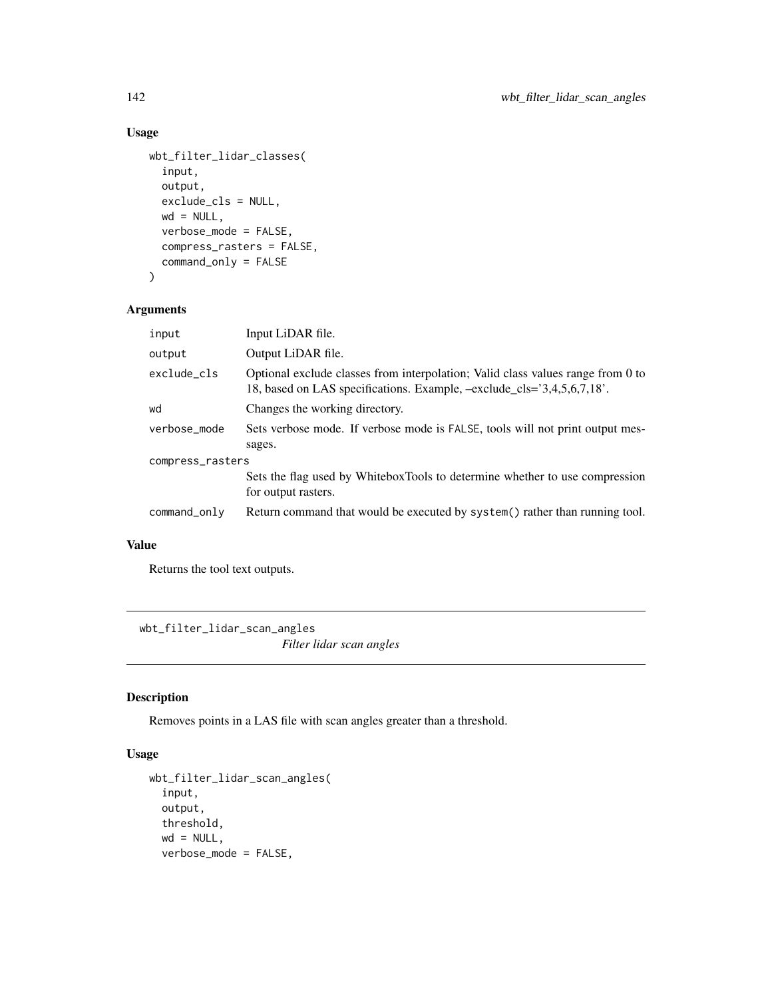## Usage

```
wbt_filter_lidar_classes(
  input,
 output,
 exclude_cls = NULL,
 wd = NULL,verbose_mode = FALSE,
  compress_rasters = FALSE,
  command_only = FALSE
\mathcal{L}
```
### Arguments

| input            | Input LiDAR file.                                                                                                                                            |  |
|------------------|--------------------------------------------------------------------------------------------------------------------------------------------------------------|--|
| output           | Output LiDAR file.                                                                                                                                           |  |
| exclude cls      | Optional exclude classes from interpolation; Valid class values range from 0 to<br>18, based on LAS specifications. Example, $-exclude_cls = 3,4,5,6,7,18$ . |  |
| wd               | Changes the working directory.                                                                                                                               |  |
| verbose_mode     | Sets verbose mode. If verbose mode is FALSE, tools will not print output mes-                                                                                |  |
|                  | sages.                                                                                                                                                       |  |
| compress_rasters |                                                                                                                                                              |  |
|                  | Sets the flag used by WhiteboxTools to determine whether to use compression<br>for output rasters.                                                           |  |
| command_only     | Return command that would be executed by system() rather than running tool.                                                                                  |  |

### Value

Returns the tool text outputs.

wbt\_filter\_lidar\_scan\_angles *Filter lidar scan angles*

# Description

Removes points in a LAS file with scan angles greater than a threshold.

```
wbt_filter_lidar_scan_angles(
  input,
 output,
 threshold,
 wd = NULL,verbose_mode = FALSE,
```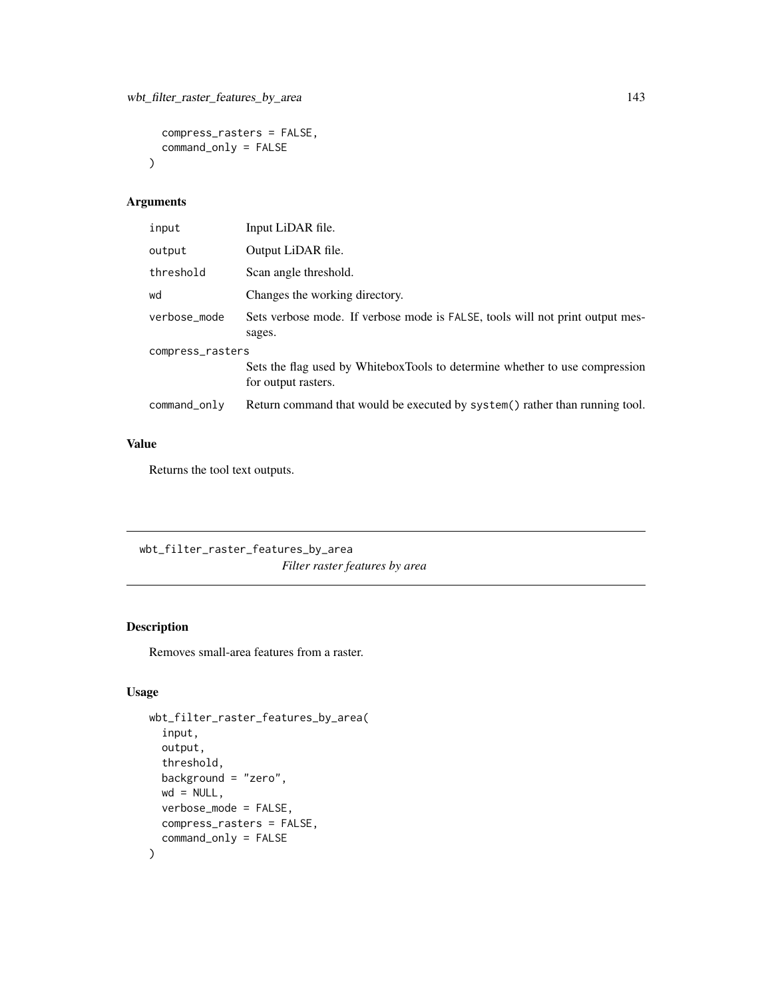```
compress_rasters = FALSE,
  command_only = FALSE
\mathcal{L}
```

| input            | Input LiDAR file.                                                                                  |  |
|------------------|----------------------------------------------------------------------------------------------------|--|
| output           | Output LiDAR file.                                                                                 |  |
| threshold        | Scan angle threshold.                                                                              |  |
| wd               | Changes the working directory.                                                                     |  |
| verbose mode     | Sets verbose mode. If verbose mode is FALSE, tools will not print output mes-<br>sages.            |  |
| compress_rasters |                                                                                                    |  |
|                  | Sets the flag used by WhiteboxTools to determine whether to use compression<br>for output rasters. |  |
| command_only     | Return command that would be executed by system() rather than running tool.                        |  |

## Value

Returns the tool text outputs.

wbt\_filter\_raster\_features\_by\_area *Filter raster features by area*

## Description

Removes small-area features from a raster.

```
wbt_filter_raster_features_by_area(
  input,
  output,
  threshold,
 background = "zero",
 wd = NULL,verbose_mode = FALSE,
 compress_rasters = FALSE,
  command_only = FALSE
\mathcal{L}
```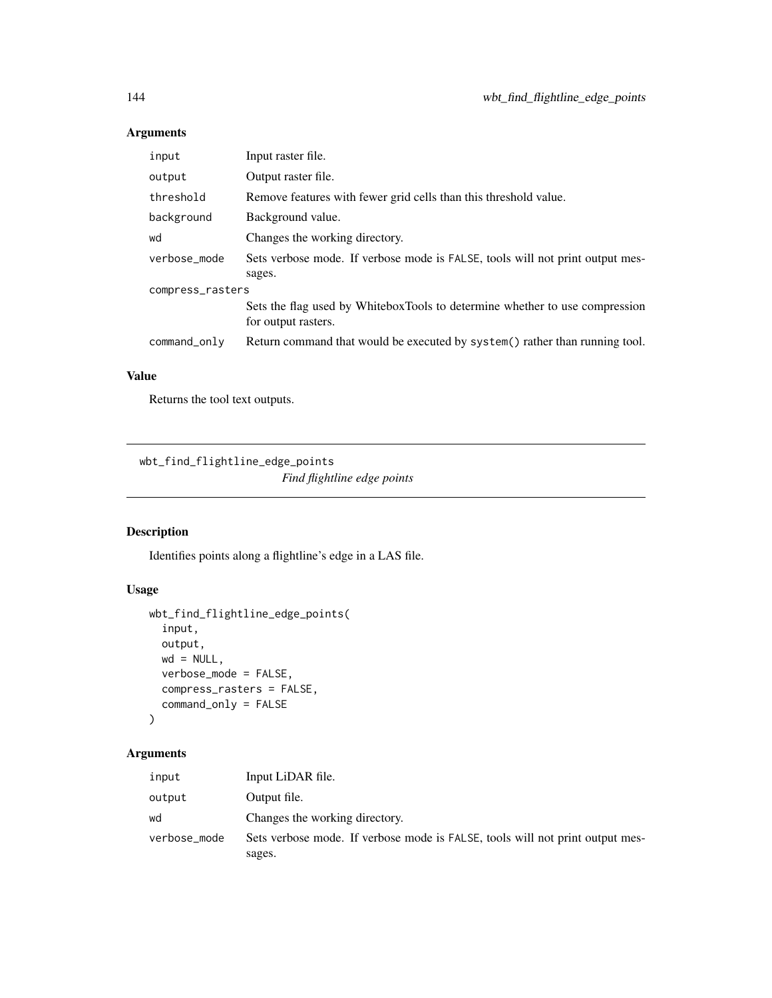| input            | Input raster file.                                                                                 |  |
|------------------|----------------------------------------------------------------------------------------------------|--|
| output           | Output raster file.                                                                                |  |
| threshold        | Remove features with fewer grid cells than this threshold value.                                   |  |
| background       | Background value.                                                                                  |  |
| wd               | Changes the working directory.                                                                     |  |
| verbose mode     | Sets verbose mode. If verbose mode is FALSE, tools will not print output mes-                      |  |
|                  | sages.                                                                                             |  |
| compress_rasters |                                                                                                    |  |
|                  | Sets the flag used by WhiteboxTools to determine whether to use compression<br>for output rasters. |  |
| command_only     | Return command that would be executed by system() rather than running tool.                        |  |

#### Value

Returns the tool text outputs.

wbt\_find\_flightline\_edge\_points

*Find flightline edge points*

#### Description

Identifies points along a flightline's edge in a LAS file.

#### Usage

```
wbt_find_flightline_edge_points(
  input,
 output,
 wd = NULL,verbose_mode = FALSE,
 compress_rasters = FALSE,
  command_only = FALSE
)
```
#### Arguments

| input        | Input LiDAR file.                                                             |
|--------------|-------------------------------------------------------------------------------|
| output       | Output file.                                                                  |
| wd           | Changes the working directory.                                                |
| verbose_mode | Sets verbose mode. If verbose mode is FALSE, tools will not print output mes- |
|              | sages.                                                                        |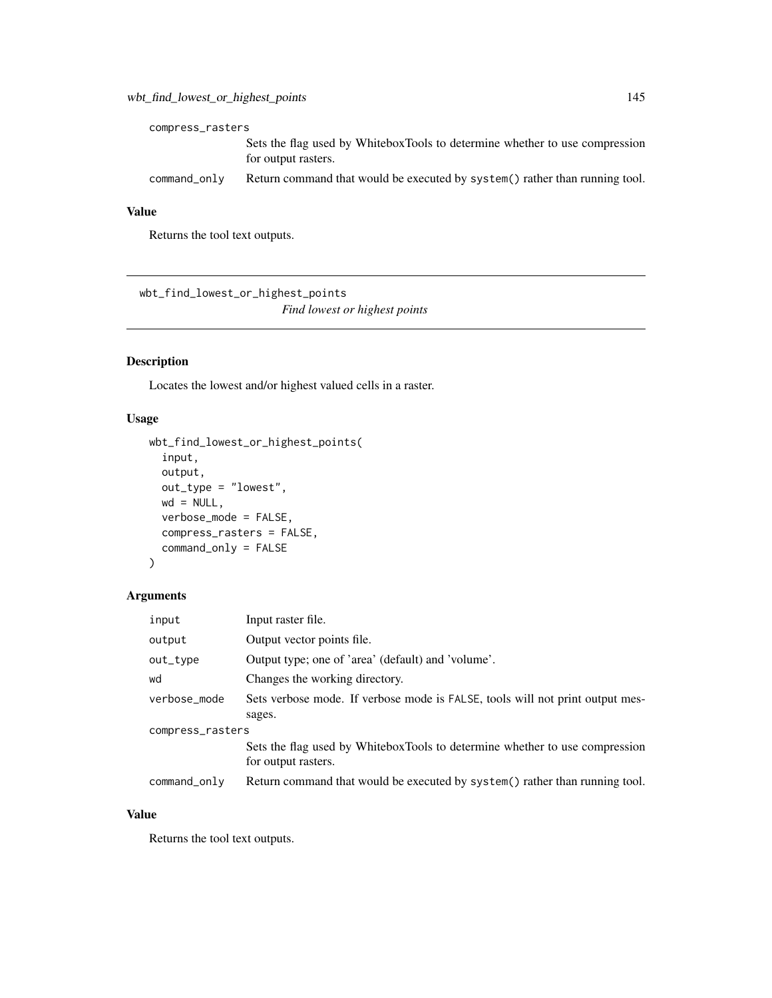| compress_rasters |                                                                                                    |  |
|------------------|----------------------------------------------------------------------------------------------------|--|
|                  | Sets the flag used by WhiteboxTools to determine whether to use compression<br>for output rasters. |  |
| command_only     | Return command that would be executed by system () rather than running tool.                       |  |

#### Value

Returns the tool text outputs.

wbt\_find\_lowest\_or\_highest\_points *Find lowest or highest points*

## Description

Locates the lowest and/or highest valued cells in a raster.

#### Usage

```
wbt_find_lowest_or_highest_points(
  input,
 output,
 out_type = "lowest",
 wd = NULL,verbose_mode = FALSE,
 compress_rasters = FALSE,
 command_only = FALSE
)
```
# Arguments

| input            | Input raster file.                                                                                 |  |
|------------------|----------------------------------------------------------------------------------------------------|--|
| output           | Output vector points file.                                                                         |  |
| out_type         | Output type; one of 'area' (default) and 'volume'.                                                 |  |
| wd               | Changes the working directory.                                                                     |  |
| verbose_mode     | Sets verbose mode. If verbose mode is FALSE, tools will not print output mes-                      |  |
|                  | sages.                                                                                             |  |
| compress_rasters |                                                                                                    |  |
|                  | Sets the flag used by WhiteboxTools to determine whether to use compression<br>for output rasters. |  |
| command_only     | Return command that would be executed by system() rather than running tool.                        |  |

#### Value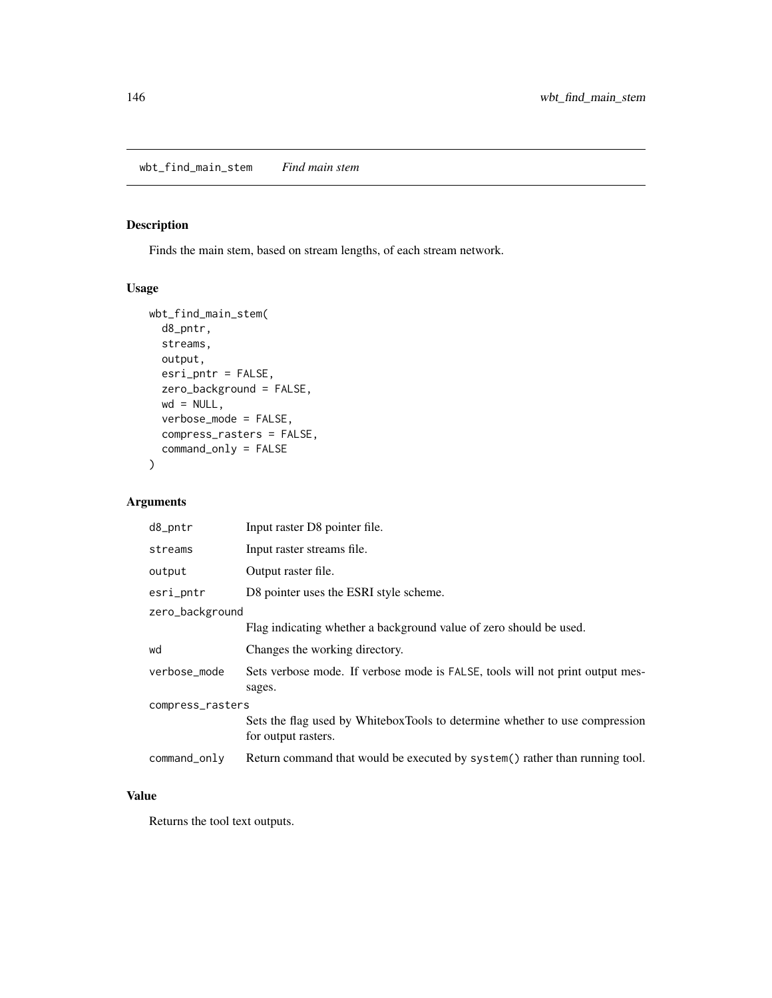# Description

Finds the main stem, based on stream lengths, of each stream network.

## Usage

```
wbt_find_main_stem(
  d8_pntr,
  streams,
 output,
 esri_pntr = FALSE,
 zero_background = FALSE,
 wd = NULL,verbose_mode = FALSE,
  compress_rasters = FALSE,
  command_only = FALSE
)
```
#### Arguments

| d8_pntr          | Input raster D8 pointer file.                                                                      |  |
|------------------|----------------------------------------------------------------------------------------------------|--|
| streams          | Input raster streams file.                                                                         |  |
| output           | Output raster file.                                                                                |  |
| esri_pntr        | D8 pointer uses the ESRI style scheme.                                                             |  |
| zero_background  |                                                                                                    |  |
|                  | Flag indicating whether a background value of zero should be used.                                 |  |
| wd               | Changes the working directory.                                                                     |  |
| verbose_mode     | Sets verbose mode. If verbose mode is FALSE, tools will not print output mes-<br>sages.            |  |
| compress_rasters |                                                                                                    |  |
|                  | Sets the flag used by WhiteboxTools to determine whether to use compression<br>for output rasters. |  |
| command_only     | Return command that would be executed by system() rather than running tool.                        |  |

#### Value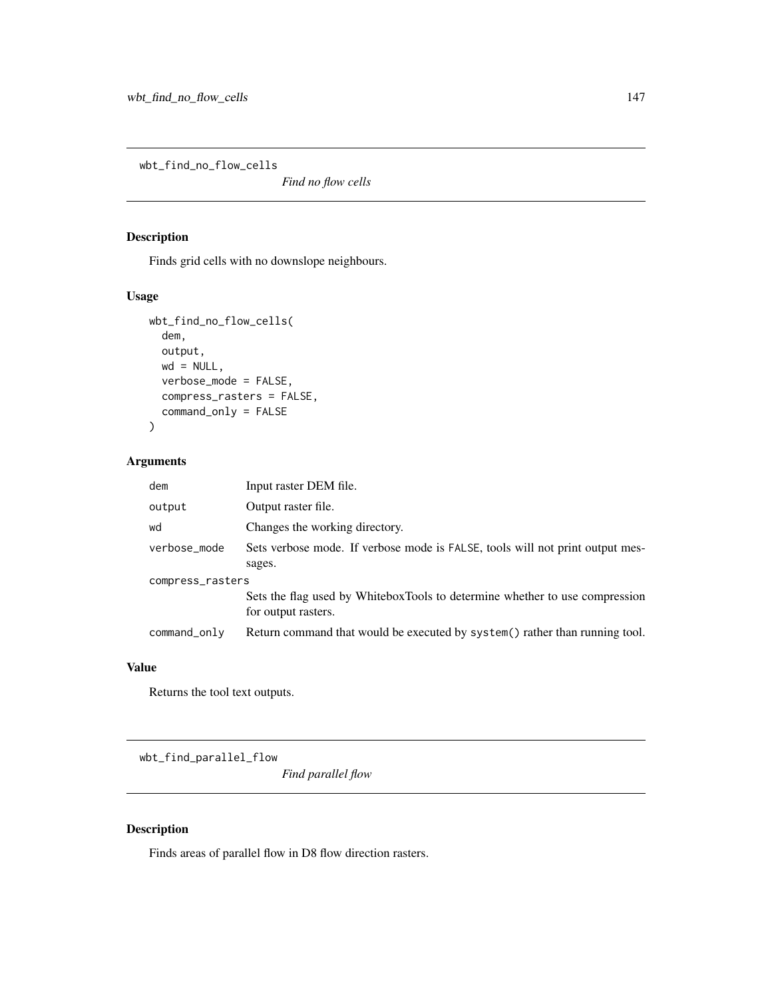wbt\_find\_no\_flow\_cells

*Find no flow cells*

## Description

Finds grid cells with no downslope neighbours.

#### Usage

```
wbt_find_no_flow_cells(
  dem,
 output,
 wd = NULL,verbose_mode = FALSE,
  compress_rasters = FALSE,
  command_only = FALSE
)
```
#### Arguments

| dem              | Input raster DEM file.                                                                             |  |
|------------------|----------------------------------------------------------------------------------------------------|--|
| output           | Output raster file.                                                                                |  |
| wd               | Changes the working directory.                                                                     |  |
| verbose_mode     | Sets verbose mode. If verbose mode is FALSE, tools will not print output mes-                      |  |
|                  | sages.                                                                                             |  |
| compress_rasters |                                                                                                    |  |
|                  | Sets the flag used by WhiteboxTools to determine whether to use compression<br>for output rasters. |  |
| command_only     | Return command that would be executed by system() rather than running tool.                        |  |

#### Value

Returns the tool text outputs.

wbt\_find\_parallel\_flow

*Find parallel flow*

#### Description

Finds areas of parallel flow in D8 flow direction rasters.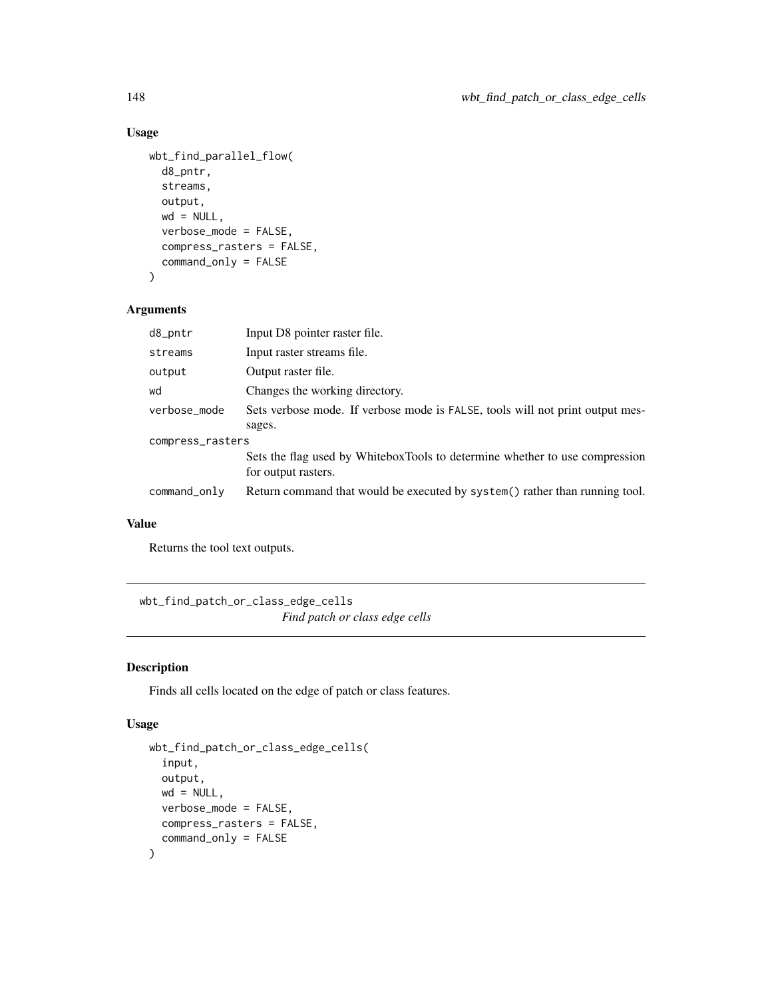## Usage

```
wbt_find_parallel_flow(
  d8_pntr,
  streams,
 output,
 wd = NULL,verbose_mode = FALSE,
  compress_rasters = FALSE,
  command_only = FALSE
\mathcal{L}
```
#### Arguments

| d8_pntr          | Input D8 pointer raster file.                                                                      |  |
|------------------|----------------------------------------------------------------------------------------------------|--|
| streams          | Input raster streams file.                                                                         |  |
| output           | Output raster file.                                                                                |  |
| wd               | Changes the working directory.                                                                     |  |
| verbose_mode     | Sets verbose mode. If verbose mode is FALSE, tools will not print output mes-                      |  |
|                  | sages.                                                                                             |  |
| compress_rasters |                                                                                                    |  |
|                  | Sets the flag used by WhiteboxTools to determine whether to use compression<br>for output rasters. |  |
| command_only     | Return command that would be executed by system() rather than running tool.                        |  |

## Value

Returns the tool text outputs.

wbt\_find\_patch\_or\_class\_edge\_cells *Find patch or class edge cells*

#### Description

Finds all cells located on the edge of patch or class features.

```
wbt_find_patch_or_class_edge_cells(
  input,
 output,
 wd = NULL,verbose_mode = FALSE,
 compress_rasters = FALSE,
  command_only = FALSE
\mathcal{L}
```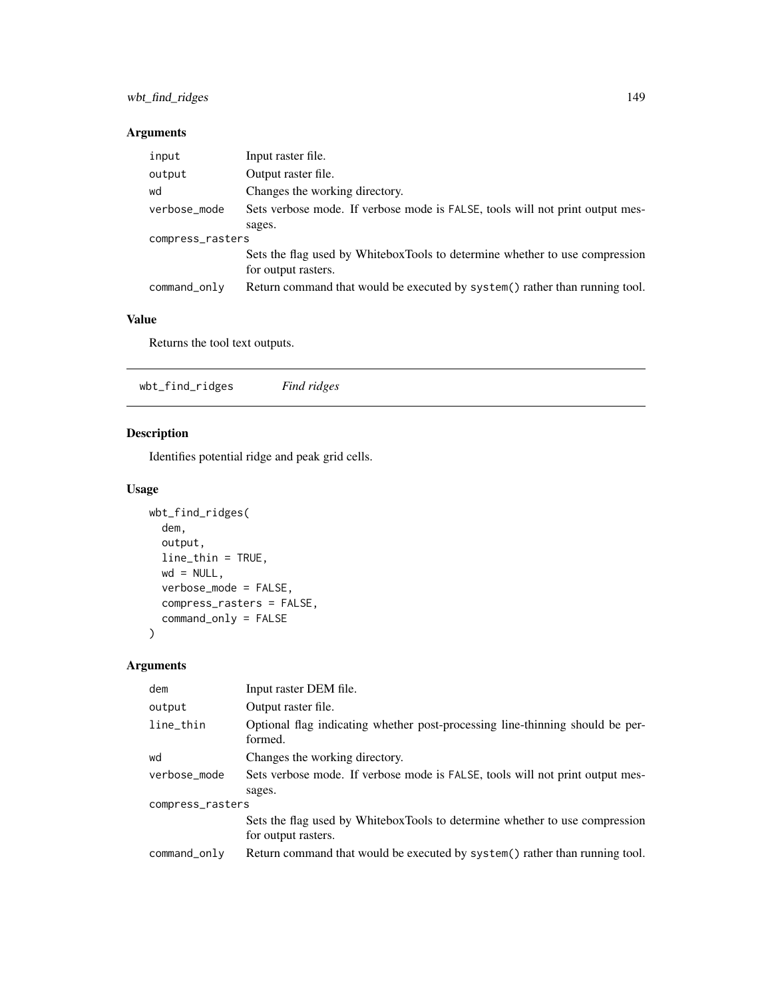| input            | Input raster file.                                                                                 |
|------------------|----------------------------------------------------------------------------------------------------|
| output           | Output raster file.                                                                                |
| wd               | Changes the working directory.                                                                     |
| verbose_mode     | Sets verbose mode. If verbose mode is FALSE, tools will not print output mes-                      |
|                  | sages.                                                                                             |
| compress_rasters |                                                                                                    |
|                  | Sets the flag used by WhiteboxTools to determine whether to use compression<br>for output rasters. |
| command_only     | Return command that would be executed by system() rather than running tool.                        |

## Value

Returns the tool text outputs.

wbt\_find\_ridges *Find ridges*

#### Description

Identifies potential ridge and peak grid cells.

#### Usage

```
wbt_find_ridges(
  dem,
  output,
  line_thin = TRUE,
  wd = NULL,verbose_mode = FALSE,
  compress_rasters = FALSE,
  command_only = FALSE
\mathcal{L}
```
# Arguments

| dem              | Input raster DEM file.                                                                   |  |
|------------------|------------------------------------------------------------------------------------------|--|
| output           | Output raster file.                                                                      |  |
| line_thin        | Optional flag indicating whether post-processing line-thinning should be per-<br>formed. |  |
| wd               | Changes the working directory.                                                           |  |
| verbose_mode     | Sets verbose mode. If verbose mode is FALSE, tools will not print output mes-            |  |
|                  | sages.                                                                                   |  |
| compress_rasters |                                                                                          |  |
|                  | Sets the flag used by WhiteboxTools to determine whether to use compression              |  |
|                  | for output rasters.                                                                      |  |
| command_only     | Return command that would be executed by system() rather than running tool.              |  |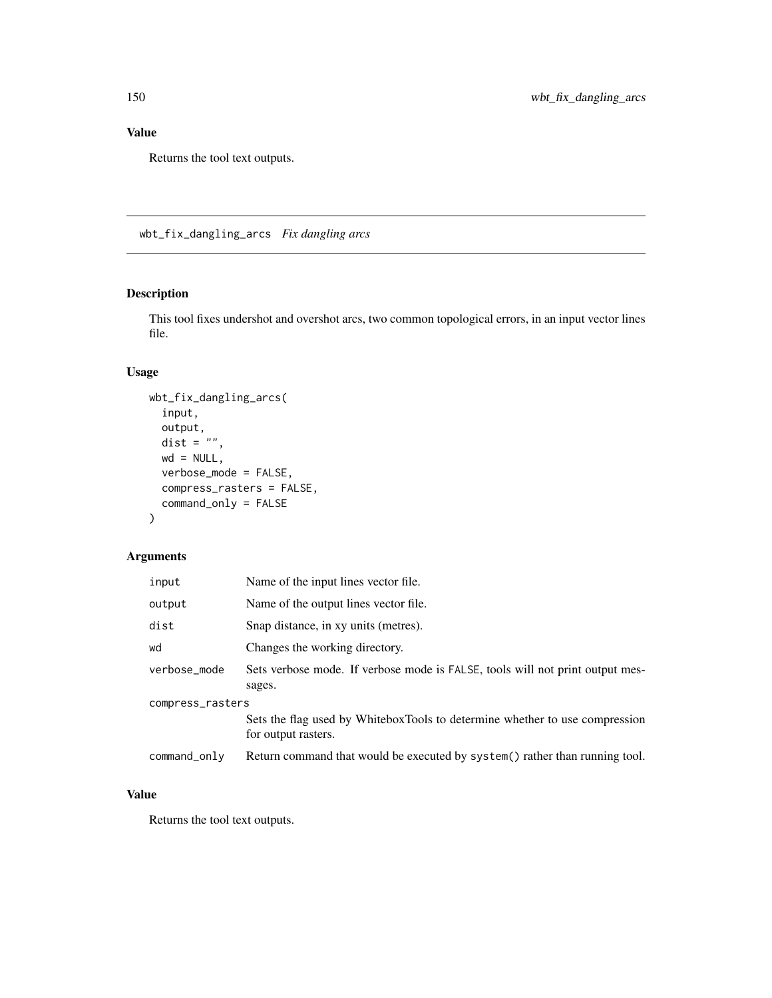## Value

Returns the tool text outputs.

wbt\_fix\_dangling\_arcs *Fix dangling arcs*

#### Description

This tool fixes undershot and overshot arcs, two common topological errors, in an input vector lines file.

#### Usage

```
wbt_fix_dangling_arcs(
  input,
 output,
 dist = ^{\prime}"",
 wd = NULL,verbose_mode = FALSE,
 compress_rasters = FALSE,
  command_only = FALSE
)
```
#### Arguments

| input            | Name of the input lines vector file.                                                               |
|------------------|----------------------------------------------------------------------------------------------------|
| output           | Name of the output lines vector file.                                                              |
| dist             | Snap distance, in xy units (metres).                                                               |
| wd               | Changes the working directory.                                                                     |
| verbose_mode     | Sets verbose mode. If verbose mode is FALSE, tools will not print output mes-<br>sages.            |
| compress_rasters |                                                                                                    |
|                  | Sets the flag used by WhiteboxTools to determine whether to use compression<br>for output rasters. |
| command_only     | Return command that would be executed by system() rather than running tool.                        |

#### Value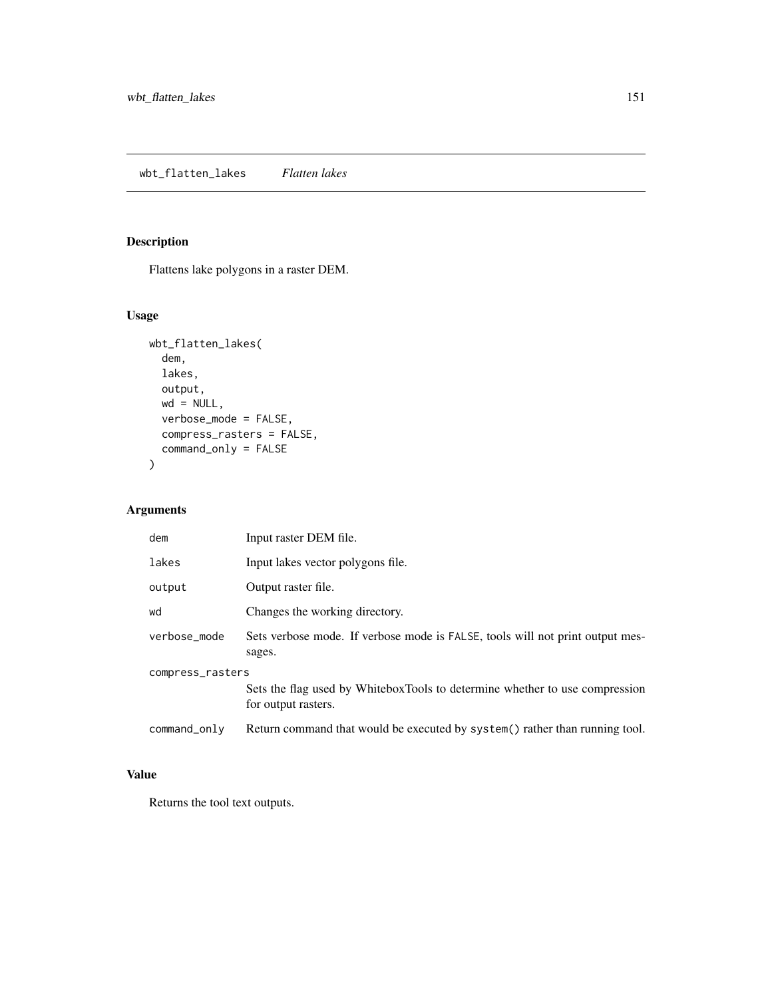# Description

Flattens lake polygons in a raster DEM.

# Usage

```
wbt_flatten_lakes(
  dem,
 lakes,
 output,
 wd = NULL,verbose_mode = FALSE,
 compress_rasters = FALSE,
 command_only = FALSE
)
```
## Arguments

| dem              | Input raster DEM file.                                                                             |  |
|------------------|----------------------------------------------------------------------------------------------------|--|
| lakes            | Input lakes vector polygons file.                                                                  |  |
| output           | Output raster file.                                                                                |  |
| wd               | Changes the working directory.                                                                     |  |
| verbose mode     | Sets verbose mode. If verbose mode is FALSE, tools will not print output mes-<br>sages.            |  |
| compress_rasters |                                                                                                    |  |
|                  | Sets the flag used by WhiteboxTools to determine whether to use compression<br>for output rasters. |  |
| command_only     | Return command that would be executed by system() rather than running tool.                        |  |

## Value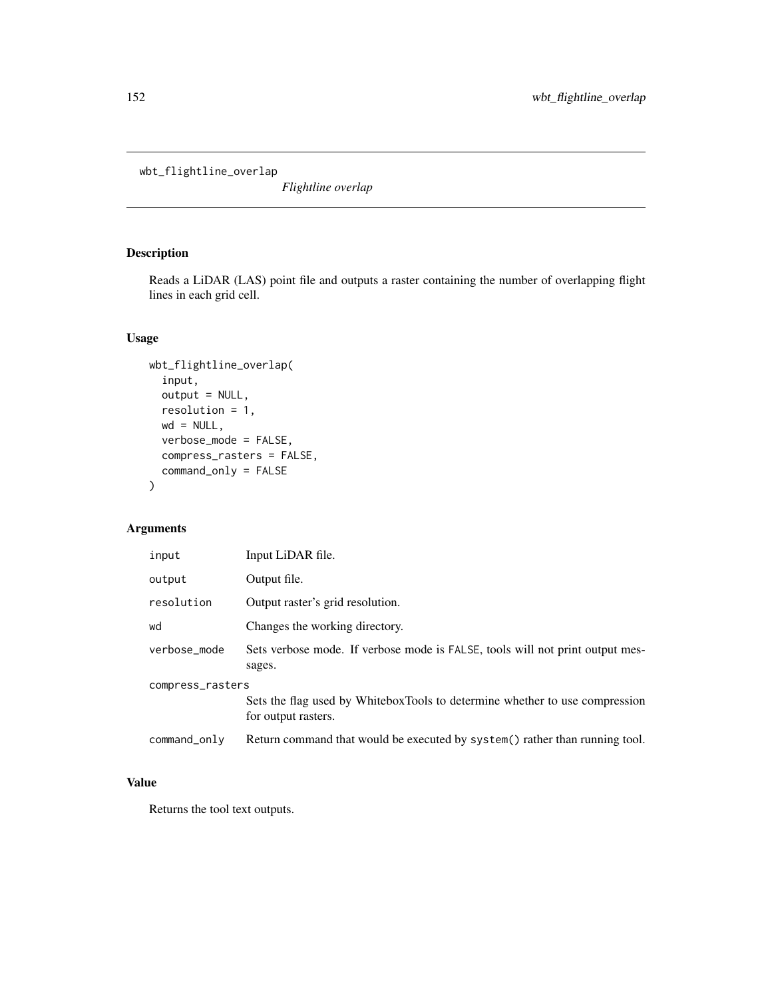wbt\_flightline\_overlap

*Flightline overlap*

# Description

Reads a LiDAR (LAS) point file and outputs a raster containing the number of overlapping flight lines in each grid cell.

## Usage

```
wbt_flightline_overlap(
  input,
 output = NULL,
 resolution = 1,
 wd = NULL,verbose_mode = FALSE,
 compress_rasters = FALSE,
  command_only = FALSE
\mathcal{L}
```
## Arguments

| input            | Input LiDAR file.                                                                                  |  |
|------------------|----------------------------------------------------------------------------------------------------|--|
| output           | Output file.                                                                                       |  |
| resolution       | Output raster's grid resolution.                                                                   |  |
| wd               | Changes the working directory.                                                                     |  |
| verbose_mode     | Sets verbose mode. If verbose mode is FALSE, tools will not print output mes-<br>sages.            |  |
| compress_rasters |                                                                                                    |  |
|                  | Sets the flag used by WhiteboxTools to determine whether to use compression<br>for output rasters. |  |
| command_only     | Return command that would be executed by system() rather than running tool.                        |  |

## Value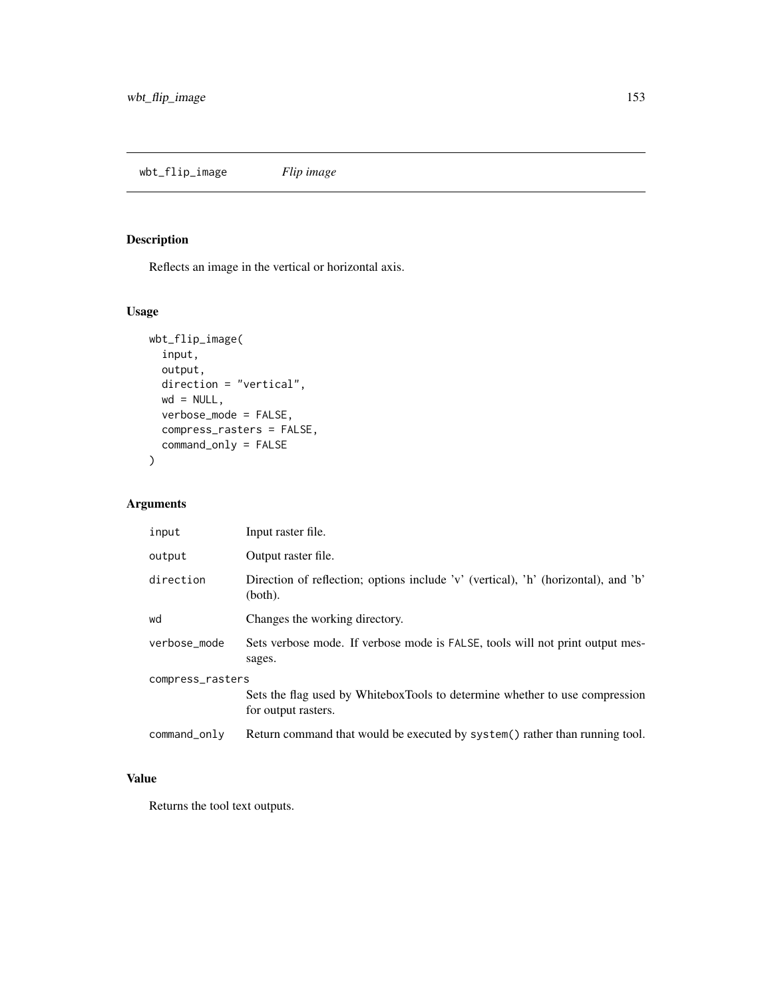# Description

Reflects an image in the vertical or horizontal axis.

# Usage

```
wbt_flip_image(
  input,
 output,
 direction = "vertical",
 wd = NULL,verbose_mode = FALSE,
 compress_rasters = FALSE,
 command_only = FALSE
)
```
#### Arguments

| input            | Input raster file.                                                                                 |  |
|------------------|----------------------------------------------------------------------------------------------------|--|
| output           | Output raster file.                                                                                |  |
| direction        | Direction of reflection; options include 'v' (vertical), 'h' (horizontal), and 'b'<br>(both).      |  |
| wd               | Changes the working directory.                                                                     |  |
| verbose_mode     | Sets verbose mode. If verbose mode is FALSE, tools will not print output mes-<br>sages.            |  |
| compress_rasters |                                                                                                    |  |
|                  | Sets the flag used by WhiteboxTools to determine whether to use compression<br>for output rasters. |  |
| command_only     | Return command that would be executed by system() rather than running tool.                        |  |

## Value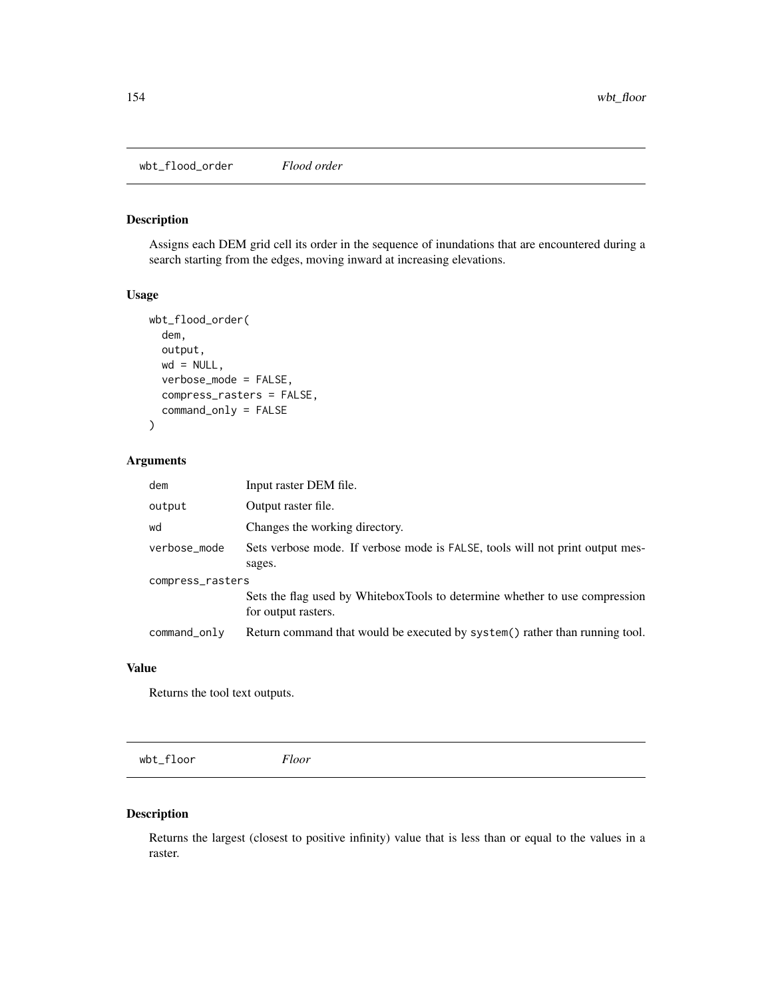wbt\_flood\_order *Flood order*

#### Description

Assigns each DEM grid cell its order in the sequence of inundations that are encountered during a search starting from the edges, moving inward at increasing elevations.

#### Usage

```
wbt_flood_order(
  dem,
  output,
 wd = NULL,verbose_mode = FALSE,
  compress_rasters = FALSE,
  command_only = FALSE
)
```
#### Arguments

| dem              | Input raster DEM file.                                                                             |  |
|------------------|----------------------------------------------------------------------------------------------------|--|
| output           | Output raster file.                                                                                |  |
| wd               | Changes the working directory.                                                                     |  |
| verbose_mode     | Sets verbose mode. If verbose mode is FALSE, tools will not print output mes-<br>sages.            |  |
| compress_rasters |                                                                                                    |  |
|                  | Sets the flag used by WhiteboxTools to determine whether to use compression<br>for output rasters. |  |
| command_only     | Return command that would be executed by system() rather than running tool.                        |  |

#### Value

Returns the tool text outputs.

wbt\_floor *Floor*

#### Description

Returns the largest (closest to positive infinity) value that is less than or equal to the values in a raster.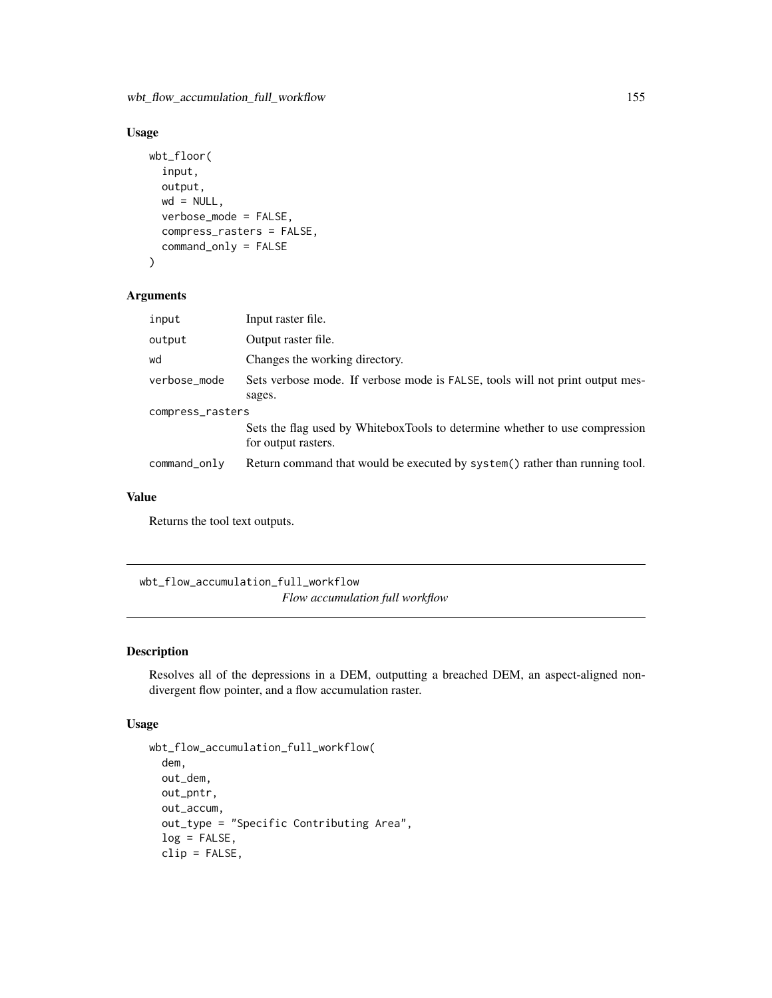wbt\_flow\_accumulation\_full\_workflow 155

## Usage

```
wbt_floor(
  input,
  output,
 wd = NULL,verbose_mode = FALSE,
  compress_rasters = FALSE,
  command_only = FALSE
)
```
#### Arguments

| input            | Input raster file.                                                            |  |
|------------------|-------------------------------------------------------------------------------|--|
| output           | Output raster file.                                                           |  |
| wd               | Changes the working directory.                                                |  |
| verbose_mode     | Sets verbose mode. If verbose mode is FALSE, tools will not print output mes- |  |
|                  | sages.                                                                        |  |
| compress_rasters |                                                                               |  |
|                  | Sets the flag used by WhiteboxTools to determine whether to use compression   |  |
|                  | for output rasters.                                                           |  |
| command_only     | Return command that would be executed by system() rather than running tool.   |  |

#### Value

Returns the tool text outputs.

wbt\_flow\_accumulation\_full\_workflow *Flow accumulation full workflow*

#### Description

Resolves all of the depressions in a DEM, outputting a breached DEM, an aspect-aligned nondivergent flow pointer, and a flow accumulation raster.

```
wbt_flow_accumulation_full_workflow(
  dem,
  out_dem,
  out_pntr,
  out_accum,
  out_type = "Specific Contributing Area",
  log = FALSE,clip = FALSE,
```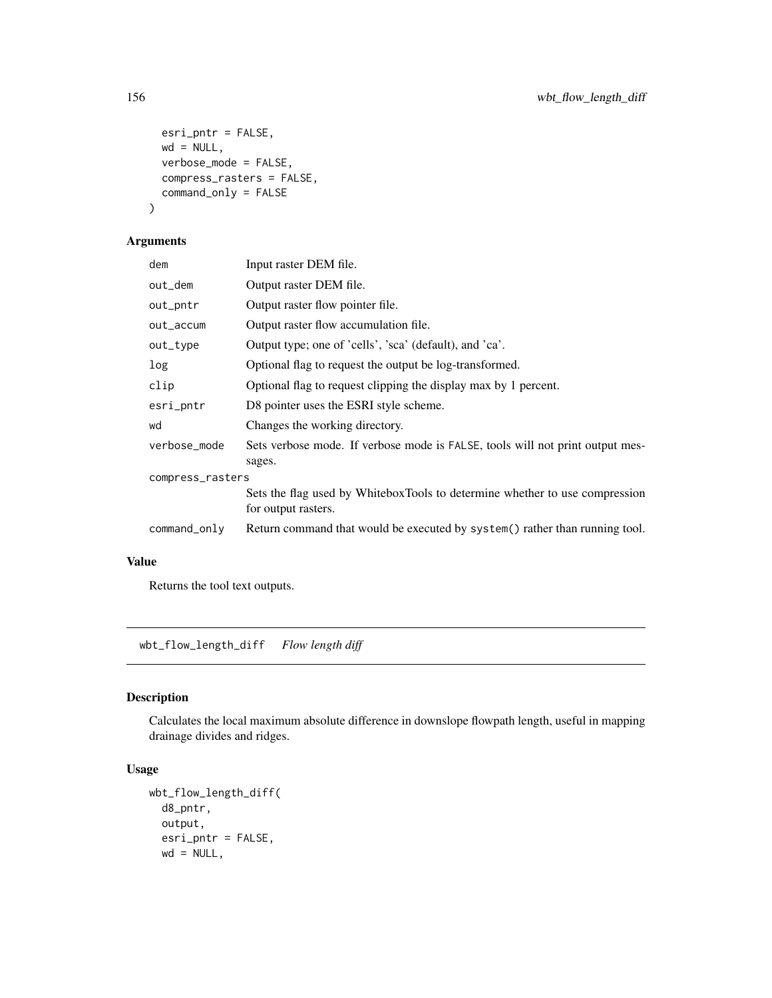```
esri_pntr = FALSE,
 wd = NULL,verbose_mode = FALSE,
 compress_rasters = FALSE,
 command_only = FALSE
)
```

| dem              | Input raster DEM file.                                                                             |  |
|------------------|----------------------------------------------------------------------------------------------------|--|
| out_dem          | Output raster DEM file.                                                                            |  |
| out_pntr         | Output raster flow pointer file.                                                                   |  |
| out_accum        | Output raster flow accumulation file.                                                              |  |
| out_type         | Output type; one of 'cells', 'sca' (default), and 'ca'.                                            |  |
| log              | Optional flag to request the output be log-transformed.                                            |  |
| clip             | Optional flag to request clipping the display max by 1 percent.                                    |  |
| esri_pntr        | D8 pointer uses the ESRI style scheme.                                                             |  |
| wd               | Changes the working directory.                                                                     |  |
| verbose_mode     | Sets verbose mode. If verbose mode is FALSE, tools will not print output mes-<br>sages.            |  |
| compress_rasters |                                                                                                    |  |
|                  | Sets the flag used by WhiteboxTools to determine whether to use compression<br>for output rasters. |  |
| command_only     | Return command that would be executed by system() rather than running tool.                        |  |
|                  |                                                                                                    |  |

#### Value

Returns the tool text outputs.

wbt\_flow\_length\_diff *Flow length diff*

# Description

Calculates the local maximum absolute difference in downslope flowpath length, useful in mapping drainage divides and ridges.

```
wbt_flow_length_diff(
 d8_pntr,
 output,
 esri_pntr = FALSE,
 wd = NULL,
```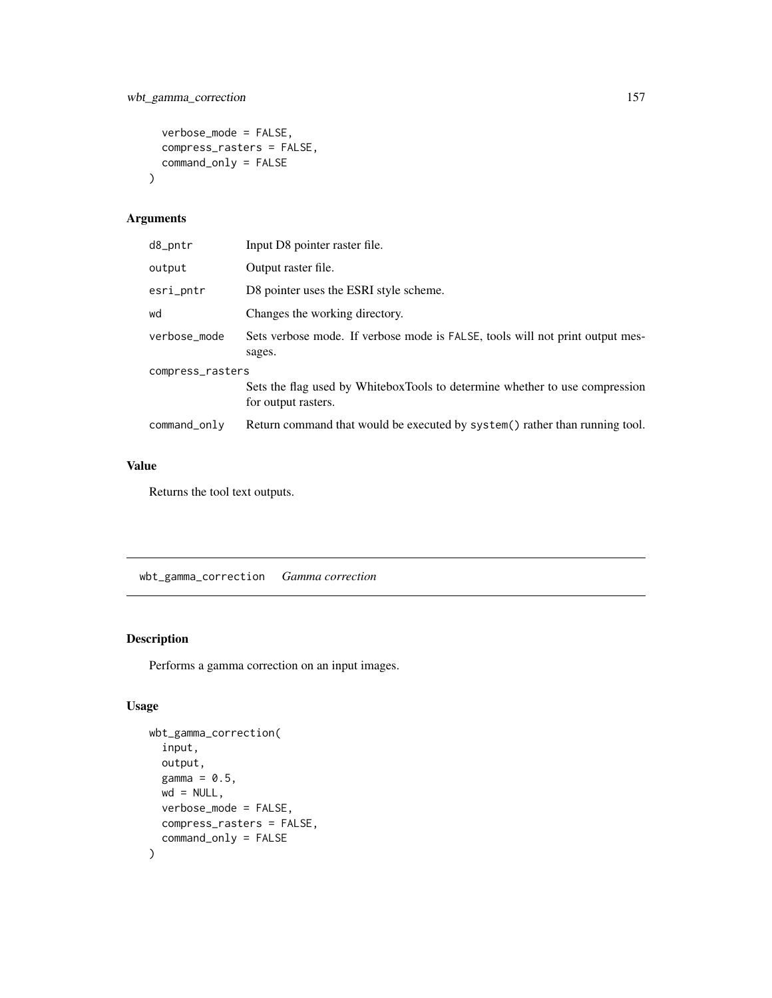```
verbose_mode = FALSE,
  compress_rasters = FALSE,
  command_only = FALSE
\mathcal{L}
```

| d8_pntr          | Input D8 pointer raster file.                                                                      |  |
|------------------|----------------------------------------------------------------------------------------------------|--|
| output           | Output raster file.                                                                                |  |
| esri_pntr        | D8 pointer uses the ESRI style scheme.                                                             |  |
| wd               | Changes the working directory.                                                                     |  |
| verbose_mode     | Sets verbose mode. If verbose mode is FALSE, tools will not print output mes-<br>sages.            |  |
| compress_rasters |                                                                                                    |  |
|                  | Sets the flag used by WhiteboxTools to determine whether to use compression<br>for output rasters. |  |
| command_only     | Return command that would be executed by system() rather than running tool.                        |  |
|                  |                                                                                                    |  |

# Value

Returns the tool text outputs.

wbt\_gamma\_correction *Gamma correction*

# Description

Performs a gamma correction on an input images.

```
wbt_gamma_correction(
  input,
 output,
 gamma = 0.5,
 wd = NULL,verbose_mode = FALSE,
 compress_rasters = FALSE,
  command_only = FALSE
\mathcal{L}
```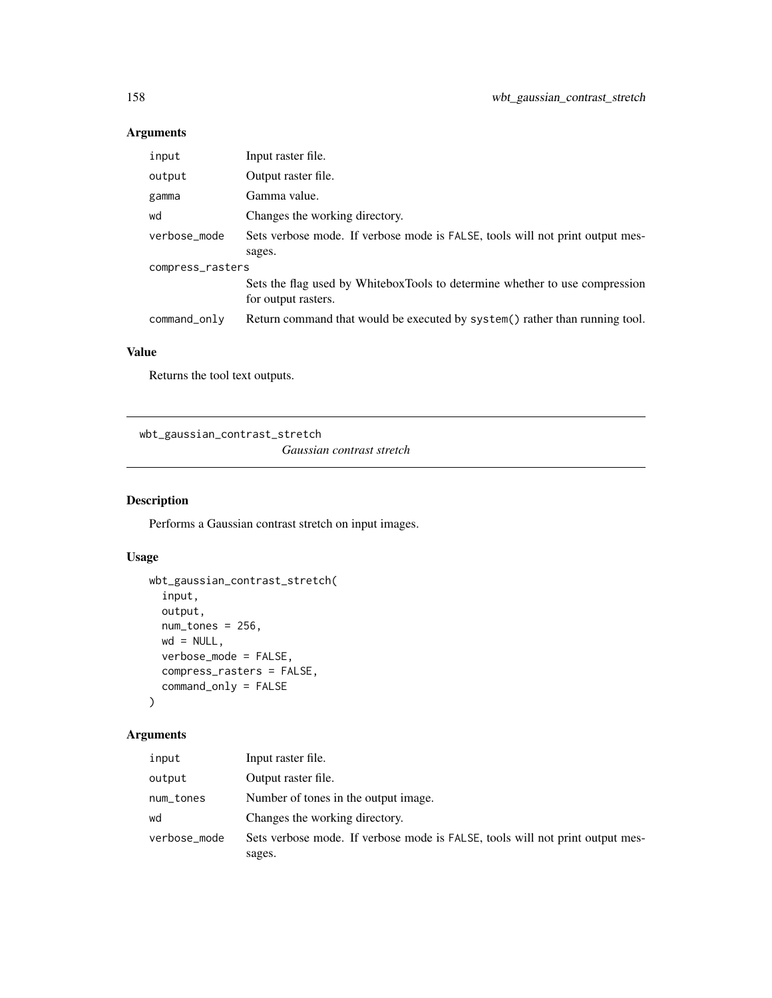| input            | Input raster file.                                                                                 |  |
|------------------|----------------------------------------------------------------------------------------------------|--|
| output           | Output raster file.                                                                                |  |
| gamma            | Gamma value.                                                                                       |  |
| wd               | Changes the working directory.                                                                     |  |
| verbose_mode     | Sets verbose mode. If verbose mode is FALSE, tools will not print output mes-                      |  |
|                  | sages.                                                                                             |  |
| compress_rasters |                                                                                                    |  |
|                  | Sets the flag used by WhiteboxTools to determine whether to use compression<br>for output rasters. |  |
| command_only     | Return command that would be executed by system() rather than running tool.                        |  |

### Value

Returns the tool text outputs.

wbt\_gaussian\_contrast\_stretch

*Gaussian contrast stretch*

## Description

Performs a Gaussian contrast stretch on input images.

# Usage

```
wbt_gaussian_contrast_stretch(
  input,
 output,
 num_tones = 256,
 wd = NULL,verbose_mode = FALSE,
 compress_rasters = FALSE,
 command_only = FALSE
)
```
#### Arguments

| input        | Input raster file.                                                            |
|--------------|-------------------------------------------------------------------------------|
| output       | Output raster file.                                                           |
| num_tones    | Number of tones in the output image.                                          |
| wd           | Changes the working directory.                                                |
| verbose_mode | Sets verbose mode. If verbose mode is FALSE, tools will not print output mes- |
|              | sages.                                                                        |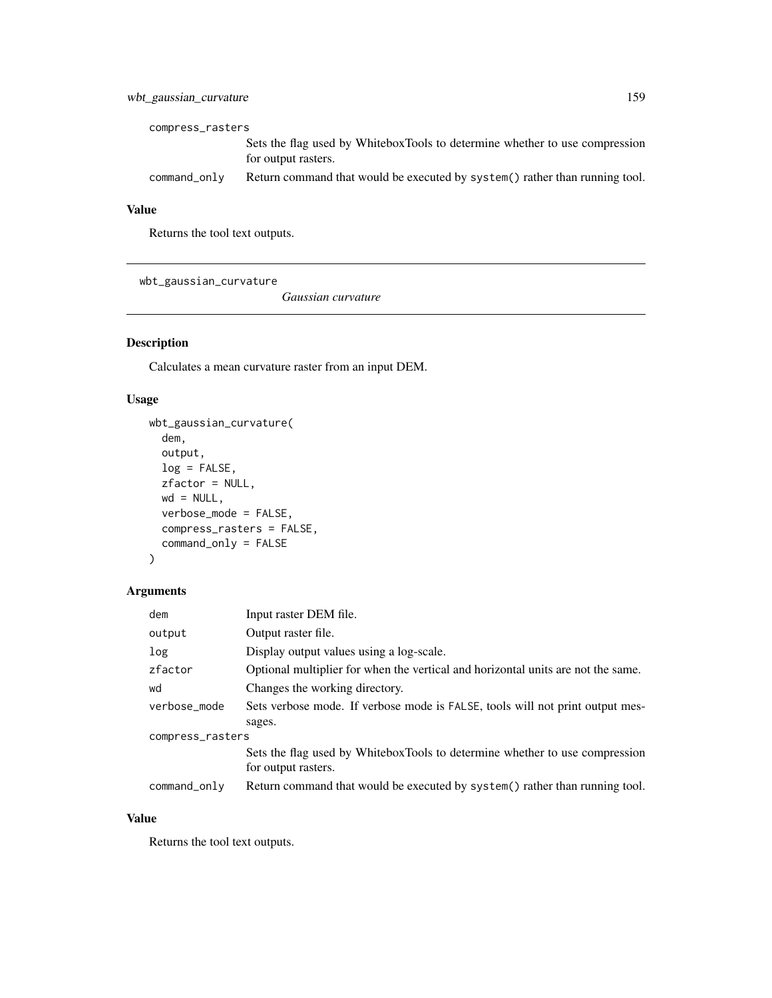# wbt\_gaussian\_curvature 159

| compress_rasters |                                                                                                    |  |
|------------------|----------------------------------------------------------------------------------------------------|--|
|                  | Sets the flag used by WhiteboxTools to determine whether to use compression<br>for output rasters. |  |
| command_only     | Return command that would be executed by system () rather than running tool.                       |  |

## Value

Returns the tool text outputs.

wbt\_gaussian\_curvature

*Gaussian curvature*

## Description

Calculates a mean curvature raster from an input DEM.

#### Usage

```
wbt_gaussian_curvature(
 dem,
 output,
 log = FALSE,
 zfactor = NULL,
 wd = NULL,verbose_mode = FALSE,
 compress_rasters = FALSE,
 command_only = FALSE
)
```
#### Arguments

| dem              | Input raster DEM file.                                                           |  |
|------------------|----------------------------------------------------------------------------------|--|
| output           | Output raster file.                                                              |  |
| log              | Display output values using a log-scale.                                         |  |
| zfactor          | Optional multiplier for when the vertical and horizontal units are not the same. |  |
| wd               | Changes the working directory.                                                   |  |
| verbose_mode     | Sets verbose mode. If verbose mode is FALSE, tools will not print output mes-    |  |
|                  | sages.                                                                           |  |
| compress_rasters |                                                                                  |  |
|                  | Sets the flag used by WhiteboxTools to determine whether to use compression      |  |
|                  | for output rasters.                                                              |  |
| command_only     | Return command that would be executed by system() rather than running tool.      |  |

#### Value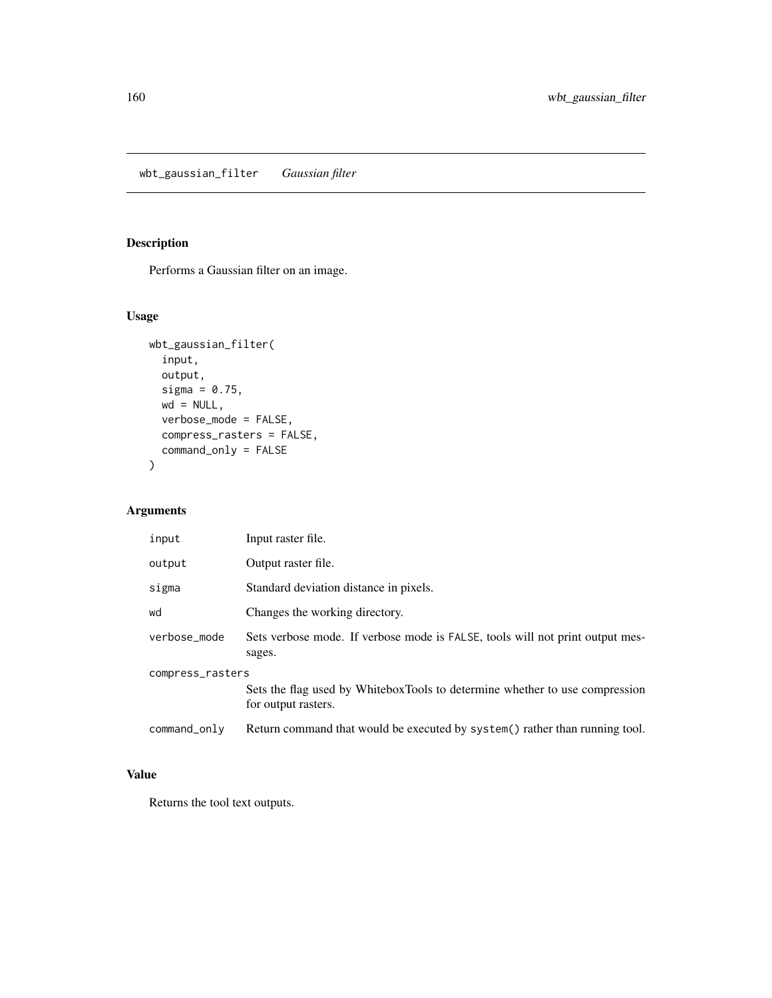wbt\_gaussian\_filter *Gaussian filter*

# Description

Performs a Gaussian filter on an image.

## Usage

```
wbt_gaussian_filter(
  input,
 output,
 sigma = 0.75,
 wd = NULL,verbose_mode = FALSE,
 compress_rasters = FALSE,
  command_only = FALSE
\mathcal{L}
```
## Arguments

| input            | Input raster file.                                                                                 |  |
|------------------|----------------------------------------------------------------------------------------------------|--|
| output           | Output raster file.                                                                                |  |
| sigma            | Standard deviation distance in pixels.                                                             |  |
| wd               | Changes the working directory.                                                                     |  |
| verbose mode     | Sets verbose mode. If verbose mode is FALSE, tools will not print output mes-<br>sages.            |  |
| compress_rasters |                                                                                                    |  |
|                  | Sets the flag used by WhiteboxTools to determine whether to use compression<br>for output rasters. |  |
| command_only     | Return command that would be executed by system() rather than running tool.                        |  |

## Value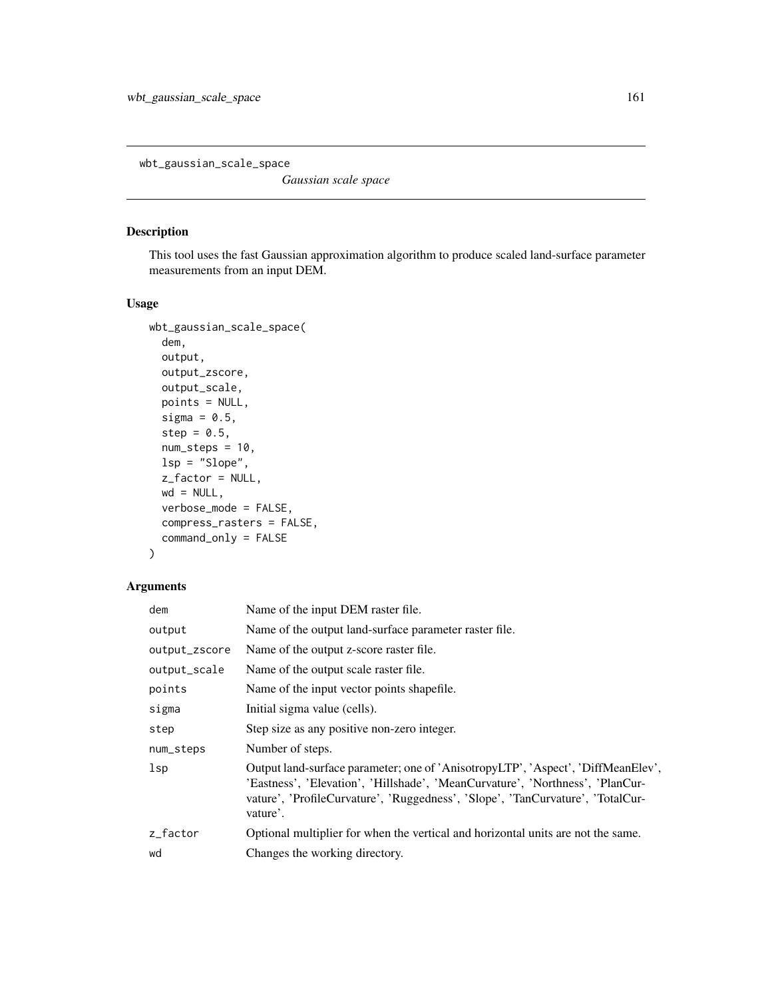wbt\_gaussian\_scale\_space

*Gaussian scale space*

#### Description

This tool uses the fast Gaussian approximation algorithm to produce scaled land-surface parameter measurements from an input DEM.

#### Usage

```
wbt_gaussian_scale_space(
  dem,
 output,
  output_zscore,
 output_scale,
 points = NULL,
  sigma = 0.5,
  step = 0.5,
  num\_steps = 10,
  lsp = "Slope",
  z_factor = NULL,
 wd = NULL,verbose_mode = FALSE,
 compress_rasters = FALSE,
  command_only = FALSE
)
```
### Arguments

| dem           | Name of the input DEM raster file.                                                                                                                                                                                                                              |
|---------------|-----------------------------------------------------------------------------------------------------------------------------------------------------------------------------------------------------------------------------------------------------------------|
| output        | Name of the output land-surface parameter raster file.                                                                                                                                                                                                          |
| output_zscore | Name of the output z-score raster file.                                                                                                                                                                                                                         |
| output_scale  | Name of the output scale raster file.                                                                                                                                                                                                                           |
| points        | Name of the input vector points shapefile.                                                                                                                                                                                                                      |
| sigma         | Initial sigma value (cells).                                                                                                                                                                                                                                    |
| step          | Step size as any positive non-zero integer.                                                                                                                                                                                                                     |
| num_steps     | Number of steps.                                                                                                                                                                                                                                                |
| $_{1sp}$      | Output land-surface parameter; one of 'AnisotropyLTP', 'Aspect', 'DiffMeanElev',<br>'Eastness', 'Elevation', 'Hillshade', 'MeanCurvature', 'Northness', 'PlanCur-<br>vature', 'ProfileCurvature', 'Ruggedness', 'Slope', 'TanCurvature', 'TotalCur-<br>vature'. |
| z_factor      | Optional multiplier for when the vertical and horizontal units are not the same.                                                                                                                                                                                |
| wd            | Changes the working directory.                                                                                                                                                                                                                                  |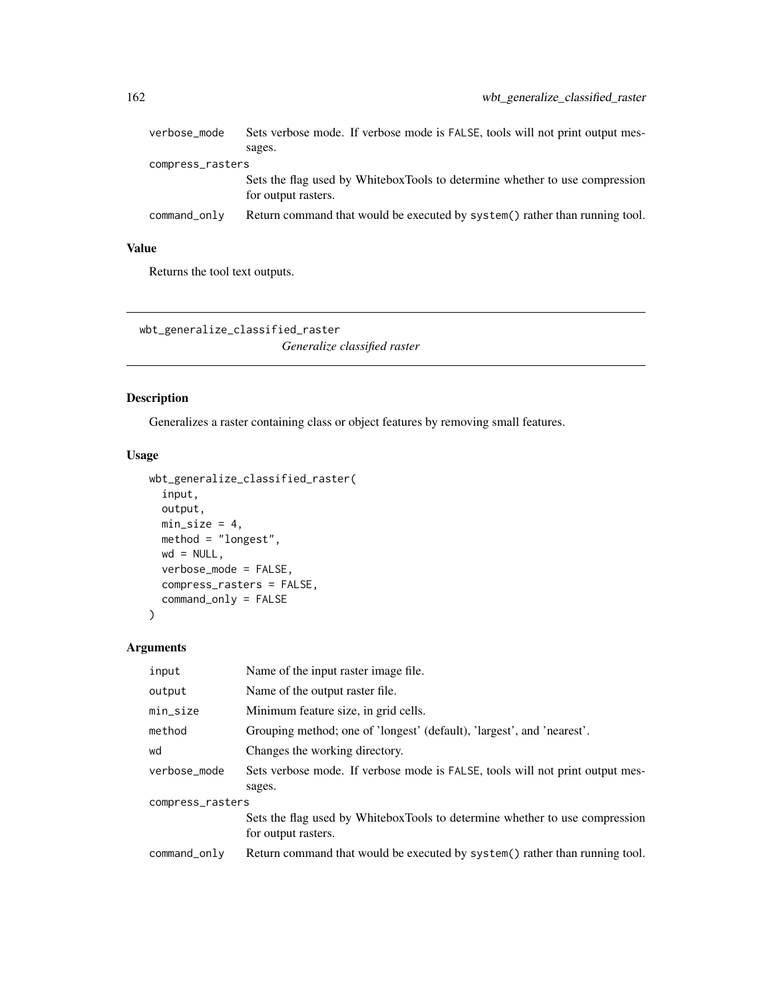| verbose_mode     | Sets verbose mode. If verbose mode is FALSE, tools will not print output mes-<br>sages.            |  |
|------------------|----------------------------------------------------------------------------------------------------|--|
| compress_rasters |                                                                                                    |  |
|                  | Sets the flag used by WhiteboxTools to determine whether to use compression<br>for output rasters. |  |
| command_only     | Return command that would be executed by system() rather than running tool.                        |  |

# Value

Returns the tool text outputs.

wbt\_generalize\_classified\_raster *Generalize classified raster*

#### Description

Generalizes a raster containing class or object features by removing small features.

#### Usage

```
wbt_generalize_classified_raster(
  input,
 output,
 min\_size = 4,
 method = "longest",
 wd = NULL,verbose_mode = FALSE,
 compress_rasters = FALSE,
  command_only = FALSE
\mathcal{L}
```
#### Arguments

| input            | Name of the input raster image file.                                                               |  |
|------------------|----------------------------------------------------------------------------------------------------|--|
| output           | Name of the output raster file.                                                                    |  |
| min_size         | Minimum feature size, in grid cells.                                                               |  |
| method           | Grouping method; one of 'longest' (default), 'largest', and 'nearest'.                             |  |
| wd               | Changes the working directory.                                                                     |  |
| verbose mode     | Sets verbose mode. If verbose mode is FALSE, tools will not print output mes-                      |  |
|                  | sages.                                                                                             |  |
| compress_rasters |                                                                                                    |  |
|                  | Sets the flag used by WhiteboxTools to determine whether to use compression<br>for output rasters. |  |
| command_only     | Return command that would be executed by system() rather than running tool.                        |  |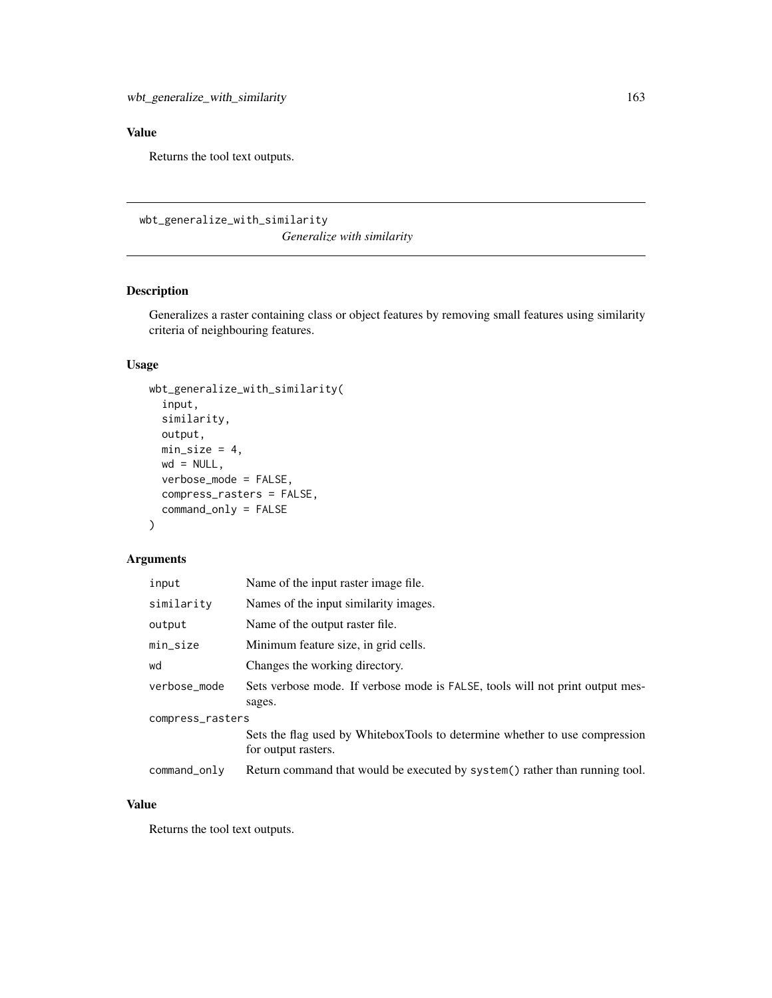# Value

Returns the tool text outputs.

wbt\_generalize\_with\_similarity

*Generalize with similarity*

# Description

Generalizes a raster containing class or object features by removing small features using similarity criteria of neighbouring features.

## Usage

```
wbt_generalize_with_similarity(
  input,
  similarity,
 output,
 min\_size = 4,
 wd = NULL,verbose_mode = FALSE,
  compress_rasters = FALSE,
  command_only = FALSE
)
```
#### Arguments

| input            | Name of the input raster image file.                                                               |  |
|------------------|----------------------------------------------------------------------------------------------------|--|
| similarity       | Names of the input similarity images.                                                              |  |
| output           | Name of the output raster file.                                                                    |  |
| min_size         | Minimum feature size, in grid cells.                                                               |  |
| wd               | Changes the working directory.                                                                     |  |
| verbose mode     | Sets verbose mode. If verbose mode is FALSE, tools will not print output mes-<br>sages.            |  |
| compress_rasters |                                                                                                    |  |
|                  | Sets the flag used by WhiteboxTools to determine whether to use compression<br>for output rasters. |  |
| command_only     | Return command that would be executed by system() rather than running tool.                        |  |

#### Value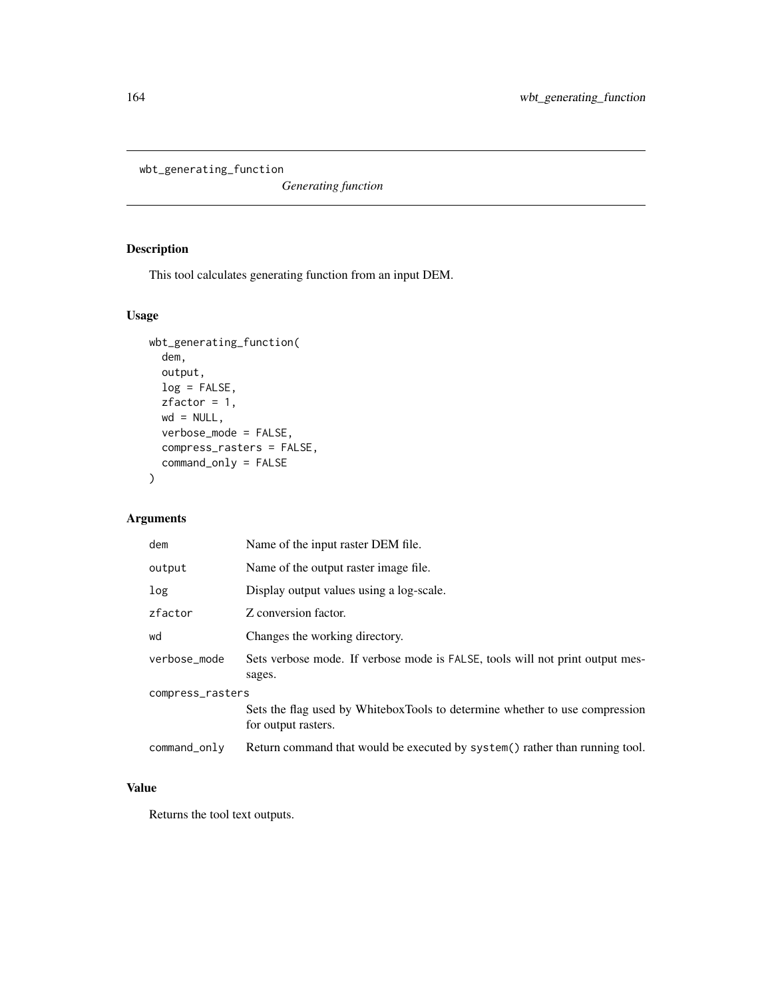wbt\_generating\_function

*Generating function*

# Description

This tool calculates generating function from an input DEM.

#### Usage

```
wbt_generating_function(
 dem,
 output,
 log = FALSE,
 zfactor = 1,
 wd = NULL,verbose_mode = FALSE,
 compress_rasters = FALSE,
 command_only = FALSE
)
```
## Arguments

| dem              | Name of the input raster DEM file.                                                                 |  |
|------------------|----------------------------------------------------------------------------------------------------|--|
| output           | Name of the output raster image file.                                                              |  |
| log              | Display output values using a log-scale.                                                           |  |
| zfactor          | Z conversion factor.                                                                               |  |
| wd               | Changes the working directory.                                                                     |  |
| verbose_mode     | Sets verbose mode. If verbose mode is FALSE, tools will not print output mes-<br>sages.            |  |
| compress_rasters |                                                                                                    |  |
|                  | Sets the flag used by WhiteboxTools to determine whether to use compression<br>for output rasters. |  |
| command_only     | Return command that would be executed by system() rather than running tool.                        |  |

#### Value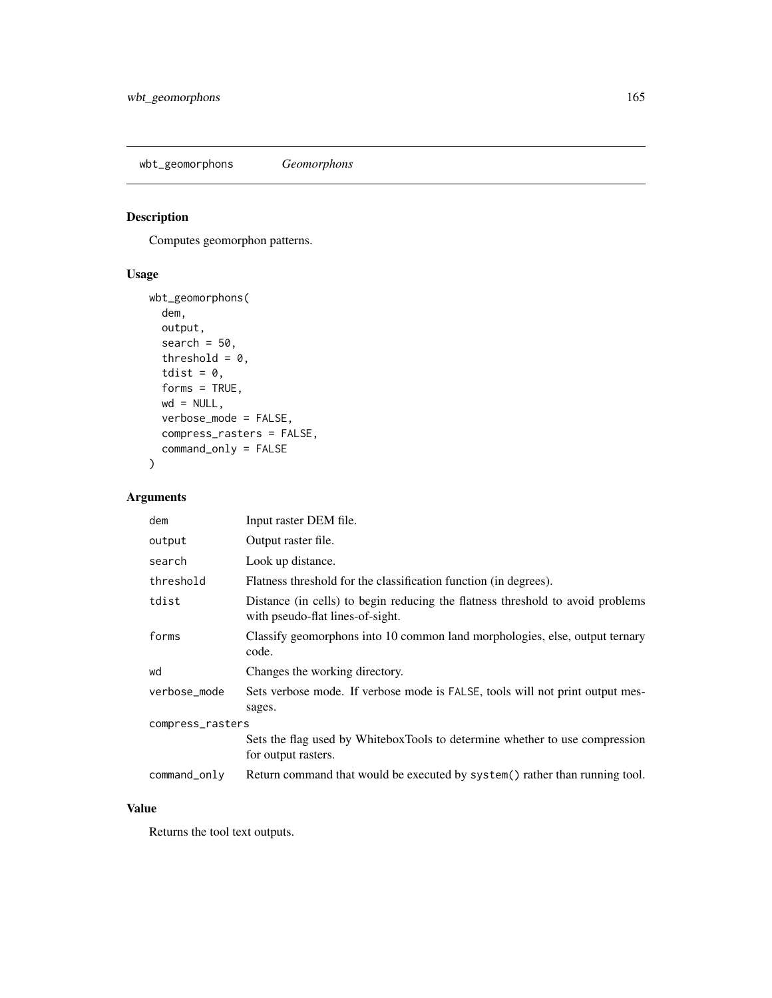wbt\_geomorphons *Geomorphons*

# Description

Computes geomorphon patterns.

#### Usage

```
wbt_geomorphons(
 dem,
 output,
 search = 50,
  threshold = 0,tdist = 0,
 forms = TRUE,
 wd = NULL,verbose_mode = FALSE,
 compress_rasters = FALSE,
 command_only = FALSE
)
```
#### Arguments

| dem              | Input raster DEM file.                                                                                             |  |
|------------------|--------------------------------------------------------------------------------------------------------------------|--|
| output           | Output raster file.                                                                                                |  |
| search           | Look up distance.                                                                                                  |  |
| threshold        | Flatness threshold for the classification function (in degrees).                                                   |  |
| tdist            | Distance (in cells) to begin reducing the flatness threshold to avoid problems<br>with pseudo-flat lines-of-sight. |  |
| forms            | Classify geomorphons into 10 common land morphologies, else, output ternary<br>code.                               |  |
| wd               | Changes the working directory.                                                                                     |  |
| verbose_mode     | Sets verbose mode. If verbose mode is FALSE, tools will not print output mes-<br>sages.                            |  |
| compress_rasters |                                                                                                                    |  |
|                  | Sets the flag used by WhiteboxTools to determine whether to use compression<br>for output rasters.                 |  |
| command_only     | Return command that would be executed by system() rather than running tool.                                        |  |

#### Value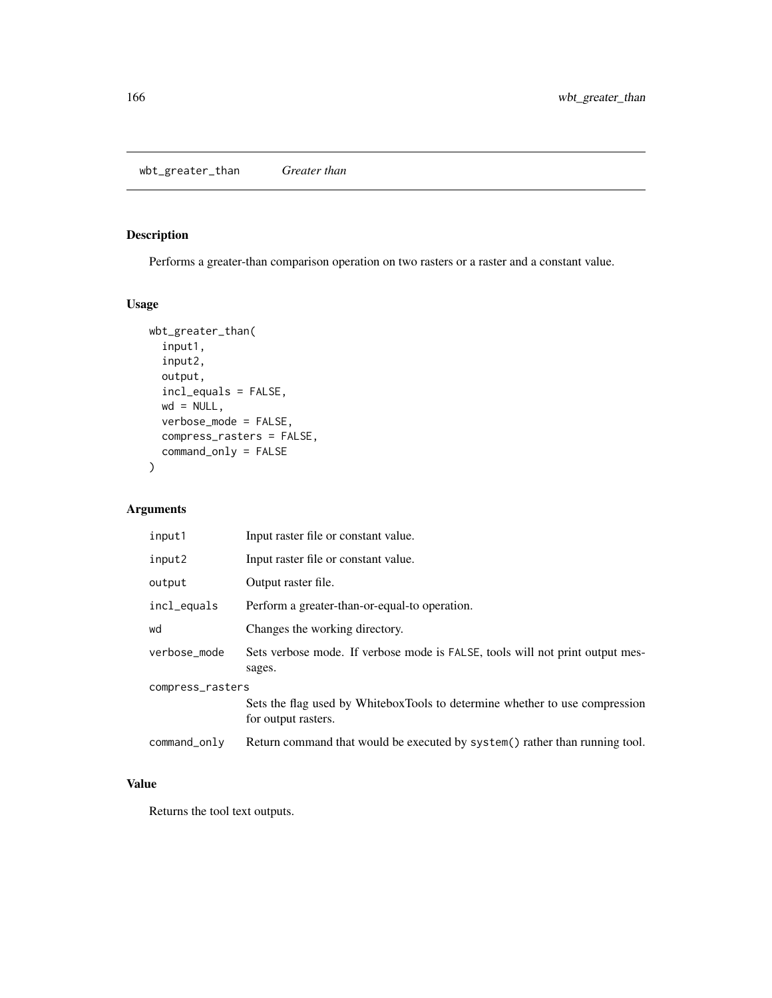wbt\_greater\_than *Greater than*

#### Description

Performs a greater-than comparison operation on two rasters or a raster and a constant value.

#### Usage

```
wbt_greater_than(
  input1,
 input2,
 output,
 incl_equals = FALSE,
 wd = NULL,verbose_mode = FALSE,
 compress_rasters = FALSE,
 command_only = FALSE
)
```
## Arguments

| input1           | Input raster file or constant value.                                                               |  |
|------------------|----------------------------------------------------------------------------------------------------|--|
| input2           | Input raster file or constant value.                                                               |  |
| output           | Output raster file.                                                                                |  |
| incl_equals      | Perform a greater-than-or-equal-to operation.                                                      |  |
| wd               | Changes the working directory.                                                                     |  |
| verbose_mode     | Sets verbose mode. If verbose mode is FALSE, tools will not print output mes-<br>sages.            |  |
| compress_rasters |                                                                                                    |  |
|                  | Sets the flag used by WhiteboxTools to determine whether to use compression<br>for output rasters. |  |
| command_only     | Return command that would be executed by system() rather than running tool.                        |  |

# Value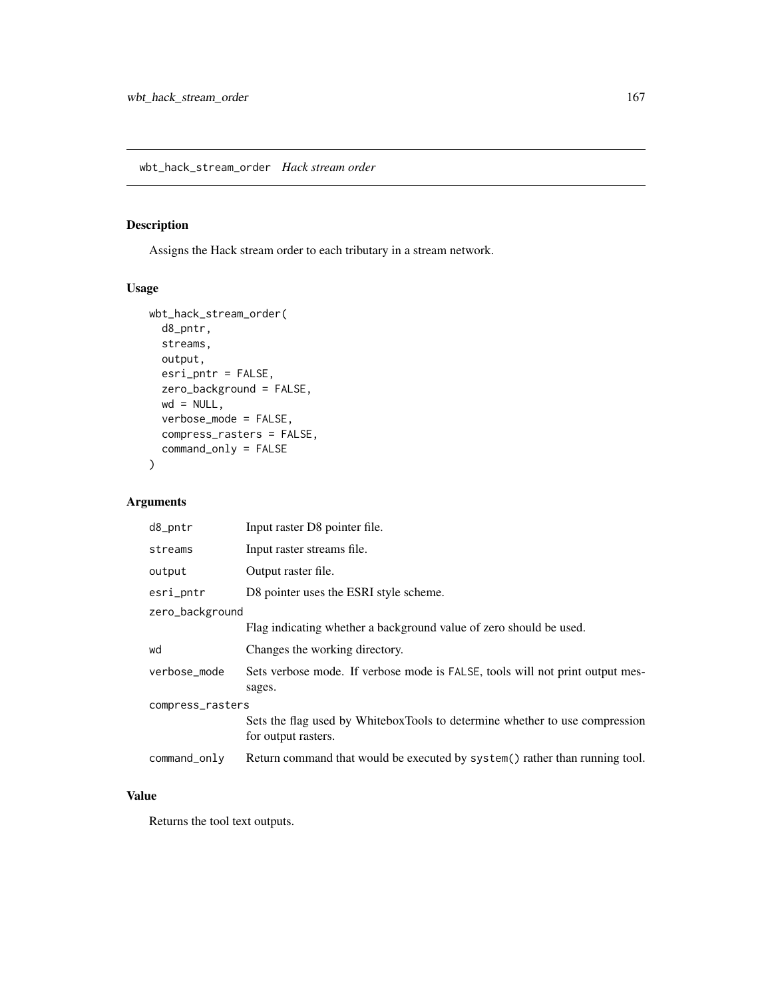# Description

Assigns the Hack stream order to each tributary in a stream network.

## Usage

```
wbt_hack_stream_order(
 d8_pntr,
 streams,
 output,
 esri_pntr = FALSE,
 zero_background = FALSE,
 wd = NULL,verbose_mode = FALSE,
 compress_rasters = FALSE,
 command_only = FALSE
)
```
#### Arguments

| d8_pntr          | Input raster D8 pointer file.                                                                      |  |
|------------------|----------------------------------------------------------------------------------------------------|--|
| streams          | Input raster streams file.                                                                         |  |
| output           | Output raster file.                                                                                |  |
| esri_pntr        | D8 pointer uses the ESRI style scheme.                                                             |  |
| zero_background  |                                                                                                    |  |
|                  | Flag indicating whether a background value of zero should be used.                                 |  |
| wd               | Changes the working directory.                                                                     |  |
| verbose_mode     | Sets verbose mode. If verbose mode is FALSE, tools will not print output mes-<br>sages.            |  |
| compress_rasters |                                                                                                    |  |
|                  | Sets the flag used by WhiteboxTools to determine whether to use compression<br>for output rasters. |  |
| command_only     | Return command that would be executed by system() rather than running tool.                        |  |

#### Value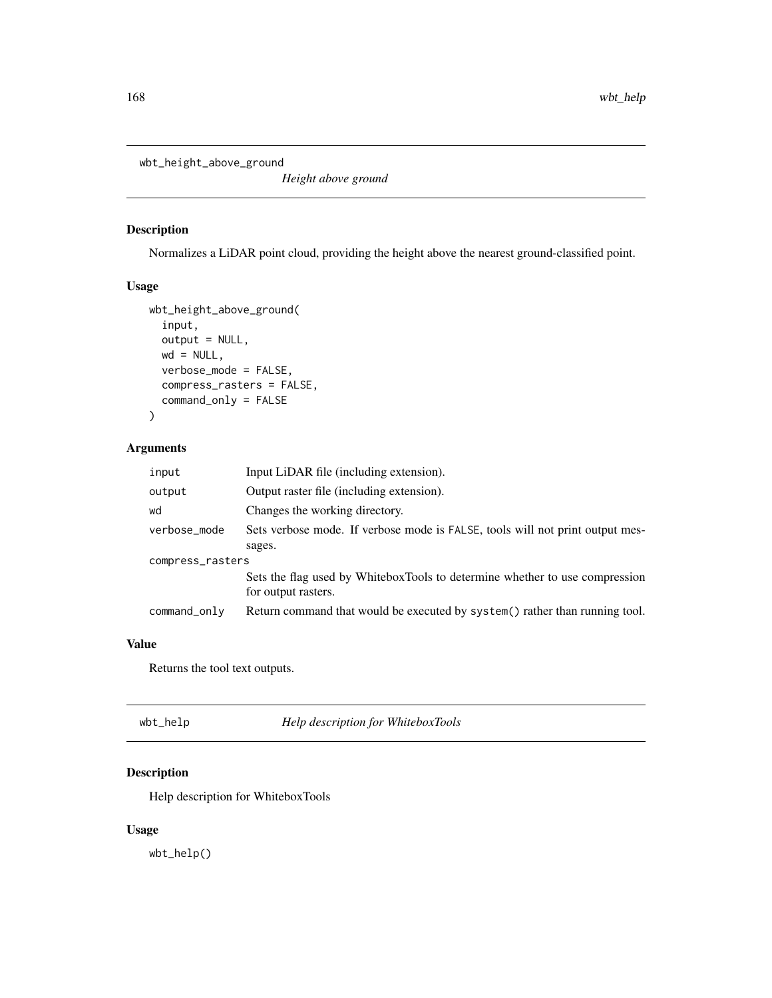wbt\_height\_above\_ground

*Height above ground*

# Description

Normalizes a LiDAR point cloud, providing the height above the nearest ground-classified point.

#### Usage

```
wbt_height_above_ground(
  input,
 output = NULL,
 wd = NULL,verbose_mode = FALSE,
  compress_rasters = FALSE,
  command_only = FALSE
)
```
#### Arguments

| input            | Input LiDAR file (including extension).                                                            |  |
|------------------|----------------------------------------------------------------------------------------------------|--|
| output           | Output raster file (including extension).                                                          |  |
| wd               | Changes the working directory.                                                                     |  |
| verbose_mode     | Sets verbose mode. If verbose mode is FALSE, tools will not print output mes-                      |  |
|                  | sages.                                                                                             |  |
| compress_rasters |                                                                                                    |  |
|                  | Sets the flag used by WhiteboxTools to determine whether to use compression<br>for output rasters. |  |
| command_only     | Return command that would be executed by system() rather than running tool.                        |  |

# Value

Returns the tool text outputs.

| wbt_help | Help description for WhiteboxTools |
|----------|------------------------------------|
|          |                                    |

#### Description

Help description for WhiteboxTools

#### Usage

wbt\_help()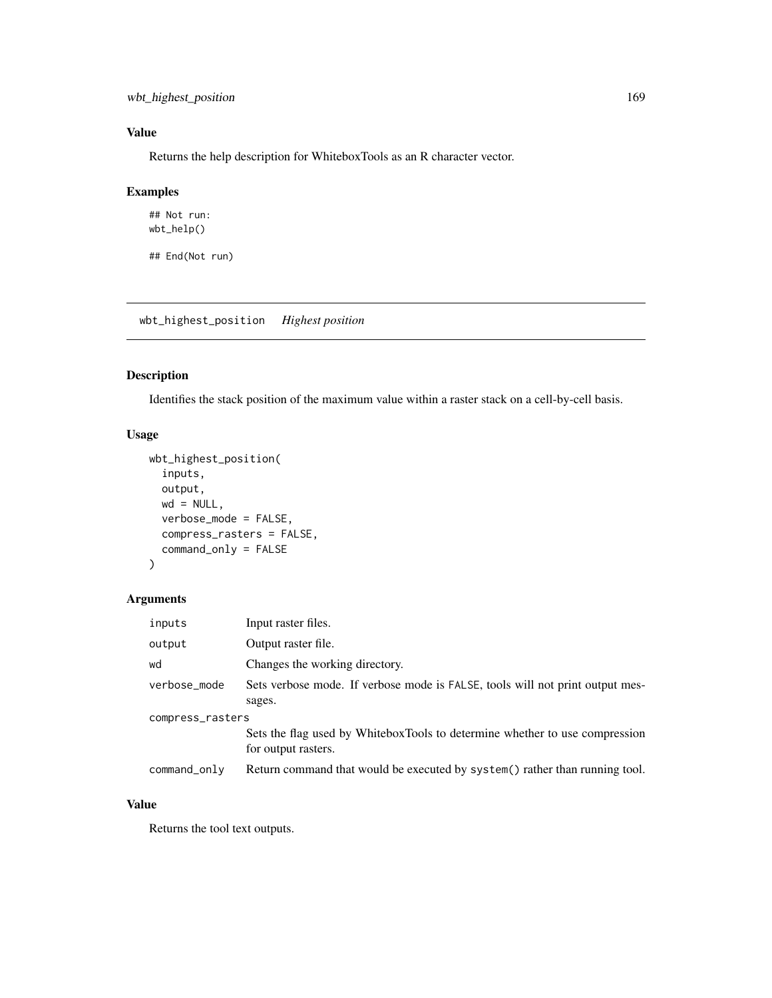# Value

Returns the help description for WhiteboxTools as an R character vector.

#### Examples

```
## Not run:
wbt_help()
```
## End(Not run)

wbt\_highest\_position *Highest position*

# Description

Identifies the stack position of the maximum value within a raster stack on a cell-by-cell basis.

## Usage

```
wbt_highest_position(
  inputs,
 output,
 wd = NULL,verbose_mode = FALSE,
 compress_rasters = FALSE,
  command_only = FALSE
\mathcal{L}
```
#### Arguments

| inputs           | Input raster files.                                                                                |  |
|------------------|----------------------------------------------------------------------------------------------------|--|
| output           | Output raster file.                                                                                |  |
| wd               | Changes the working directory.                                                                     |  |
| verbose_mode     | Sets verbose mode. If verbose mode is FALSE, tools will not print output mes-<br>sages.            |  |
| compress_rasters |                                                                                                    |  |
|                  | Sets the flag used by WhiteboxTools to determine whether to use compression<br>for output rasters. |  |
| command_only     | Return command that would be executed by system() rather than running tool.                        |  |

# Value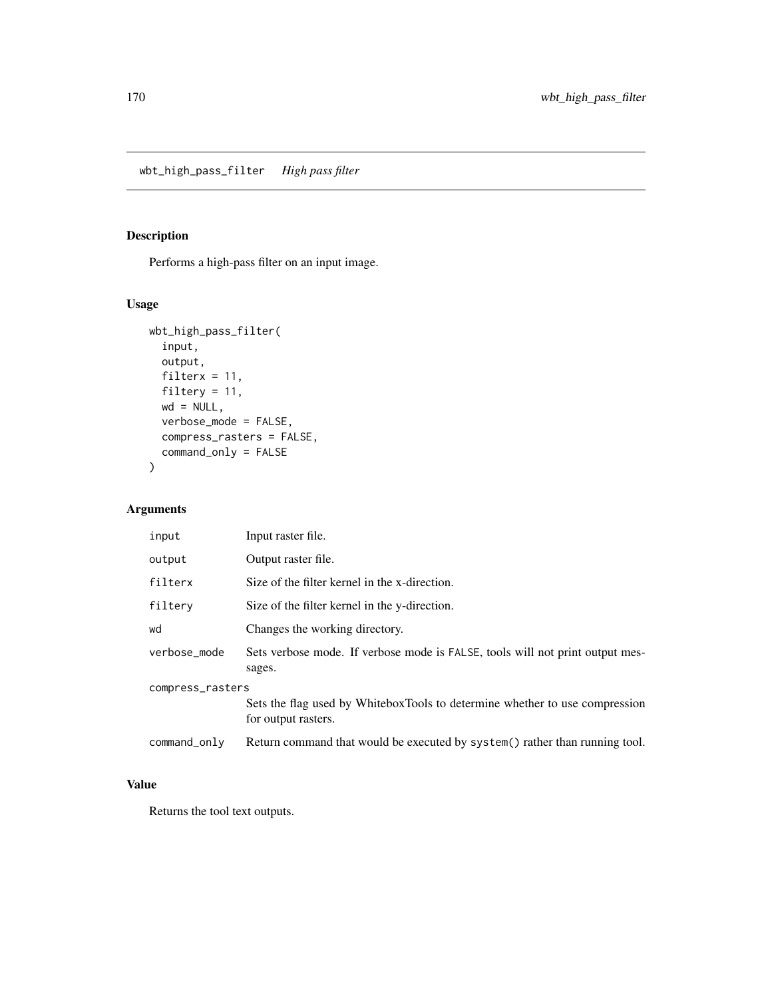# Description

Performs a high-pass filter on an input image.

# Usage

```
wbt_high_pass_filter(
 input,
 output,
 filterx = 11,
 filtery = 11,
 wd = NULL,verbose_mode = FALSE,
 compress_rasters = FALSE,
 command_only = FALSE
)
```
## Arguments

| input            | Input raster file.                                                                                 |  |
|------------------|----------------------------------------------------------------------------------------------------|--|
| output           | Output raster file.                                                                                |  |
| filterx          | Size of the filter kernel in the x-direction.                                                      |  |
| filtery          | Size of the filter kernel in the y-direction.                                                      |  |
| wd               | Changes the working directory.                                                                     |  |
| verbose_mode     | Sets verbose mode. If verbose mode is FALSE, tools will not print output mes-<br>sages.            |  |
| compress_rasters |                                                                                                    |  |
|                  | Sets the flag used by WhiteboxTools to determine whether to use compression<br>for output rasters. |  |
| command_only     | Return command that would be executed by system() rather than running tool.                        |  |

# Value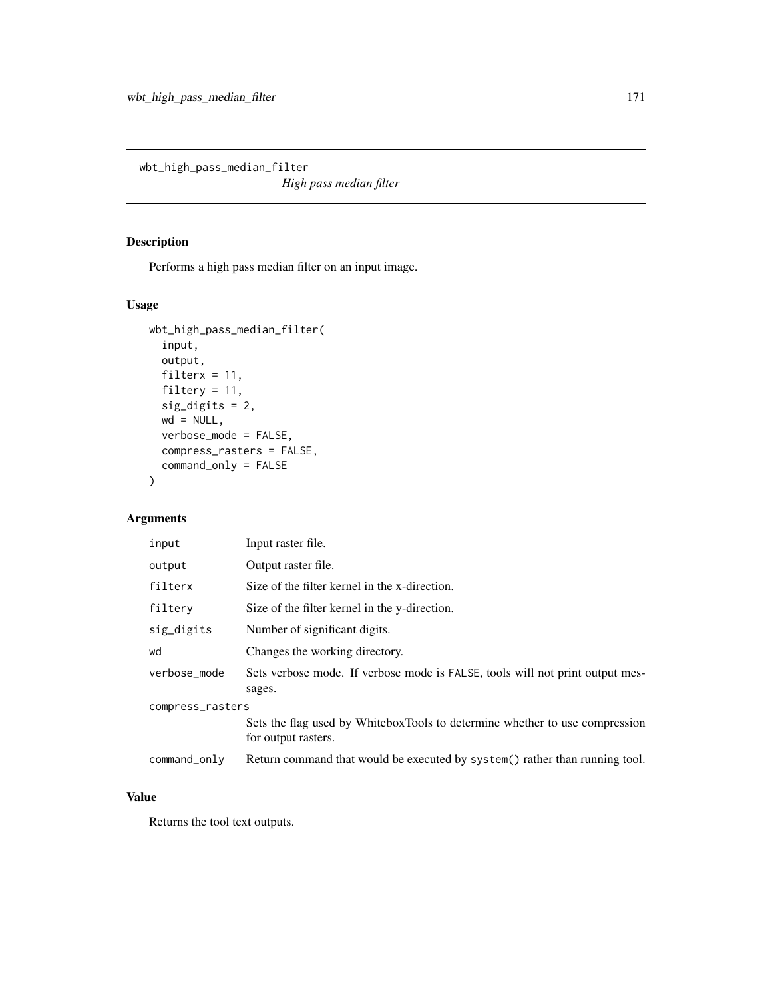wbt\_high\_pass\_median\_filter

*High pass median filter*

#### Description

Performs a high pass median filter on an input image.

# Usage

```
wbt_high_pass_median_filter(
  input,
 output,
  filterx = 11,
 filtery = 11,
  sig_digits = 2,
 wd = NULL,verbose_mode = FALSE,
 compress_rasters = FALSE,
  command_only = FALSE
)
```
## Arguments

| input            | Input raster file.                                                                                 |  |
|------------------|----------------------------------------------------------------------------------------------------|--|
| output           | Output raster file.                                                                                |  |
| filterx          | Size of the filter kernel in the x-direction.                                                      |  |
| filtery          | Size of the filter kernel in the y-direction.                                                      |  |
| sig_digits       | Number of significant digits.                                                                      |  |
| wd               | Changes the working directory.                                                                     |  |
| verbose_mode     | Sets verbose mode. If verbose mode is FALSE, tools will not print output mes-<br>sages.            |  |
| compress_rasters |                                                                                                    |  |
|                  | Sets the flag used by WhiteboxTools to determine whether to use compression<br>for output rasters. |  |
| command_only     | Return command that would be executed by system() rather than running tool.                        |  |

# Value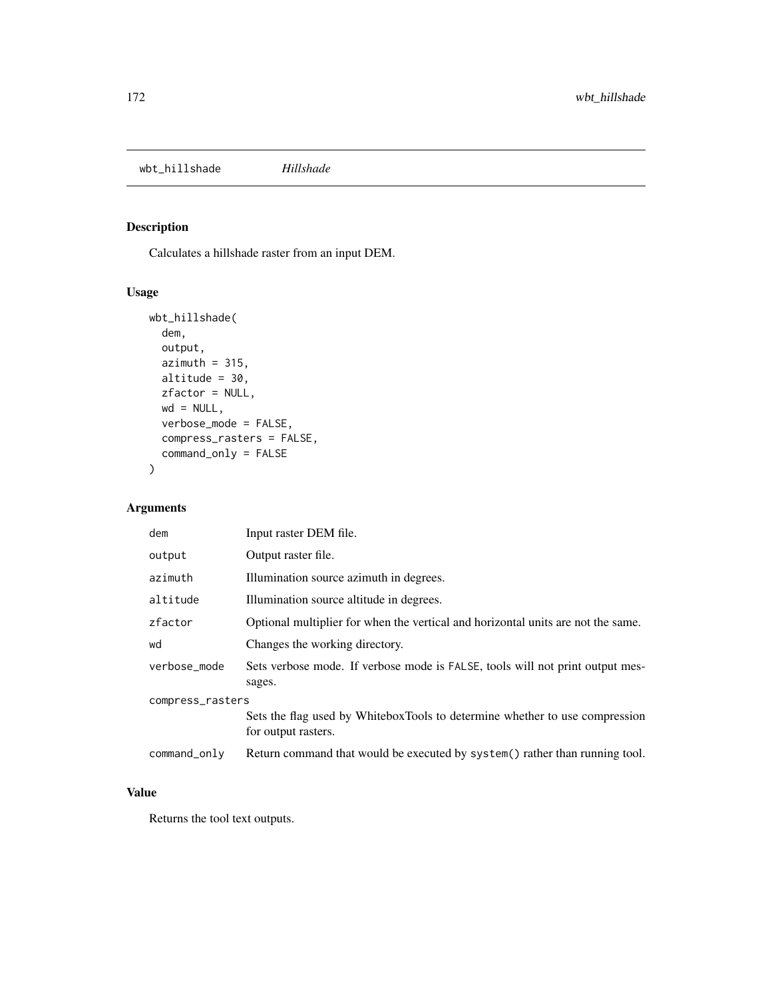wbt\_hillshade *Hillshade*

#### Description

Calculates a hillshade raster from an input DEM.

## Usage

```
wbt_hillshade(
 dem,
 output,
 azimuth = 315,altitude = 30,
 zfactor = NULL,
 wd = NULL,verbose_mode = FALSE,
 compress_rasters = FALSE,
 command_only = FALSE
)
```
# Arguments

| dem              | Input raster DEM file.                                                                             |  |
|------------------|----------------------------------------------------------------------------------------------------|--|
| output           | Output raster file.                                                                                |  |
| azimuth          | Illumination source azimuth in degrees.                                                            |  |
| altitude         | Illumination source altitude in degrees.                                                           |  |
| zfactor          | Optional multiplier for when the vertical and horizontal units are not the same.                   |  |
| wd               | Changes the working directory.                                                                     |  |
| verbose_mode     | Sets verbose mode. If verbose mode is FALSE, tools will not print output mes-<br>sages.            |  |
| compress_rasters |                                                                                                    |  |
|                  | Sets the flag used by WhiteboxTools to determine whether to use compression<br>for output rasters. |  |
| $command\_only$  | Return command that would be executed by system() rather than running tool.                        |  |

## Value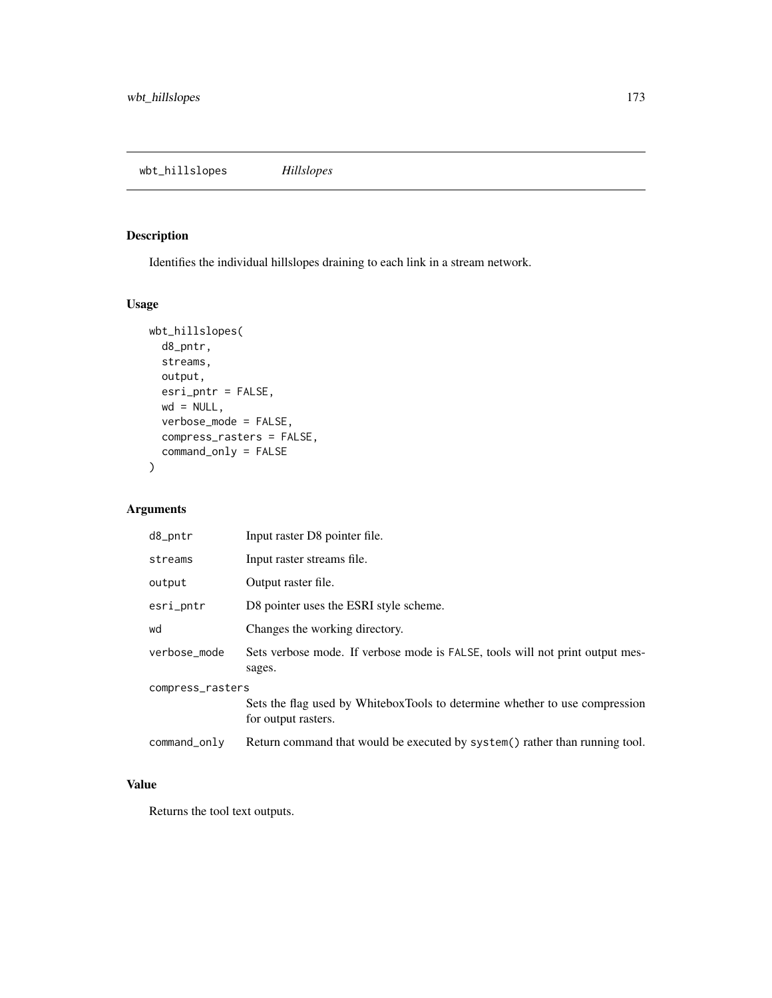# Description

Identifies the individual hillslopes draining to each link in a stream network.

## Usage

```
wbt_hillslopes(
 d8_pntr,
 streams,
 output,
 esri_pntr = FALSE,
 wd = NULL,verbose_mode = FALSE,
 compress_rasters = FALSE,
 command_only = FALSE
)
```
## Arguments

| $d8\_pntr$       | Input raster D8 pointer file.                                                                      |  |
|------------------|----------------------------------------------------------------------------------------------------|--|
| streams          | Input raster streams file.                                                                         |  |
| output           | Output raster file.                                                                                |  |
| esri_pntr        | D8 pointer uses the ESRI style scheme.                                                             |  |
| wd               | Changes the working directory.                                                                     |  |
| verbose_mode     | Sets verbose mode. If verbose mode is FALSE, tools will not print output mes-<br>sages.            |  |
| compress_rasters |                                                                                                    |  |
|                  | Sets the flag used by WhiteboxTools to determine whether to use compression<br>for output rasters. |  |
| command_only     | Return command that would be executed by system() rather than running tool.                        |  |

# Value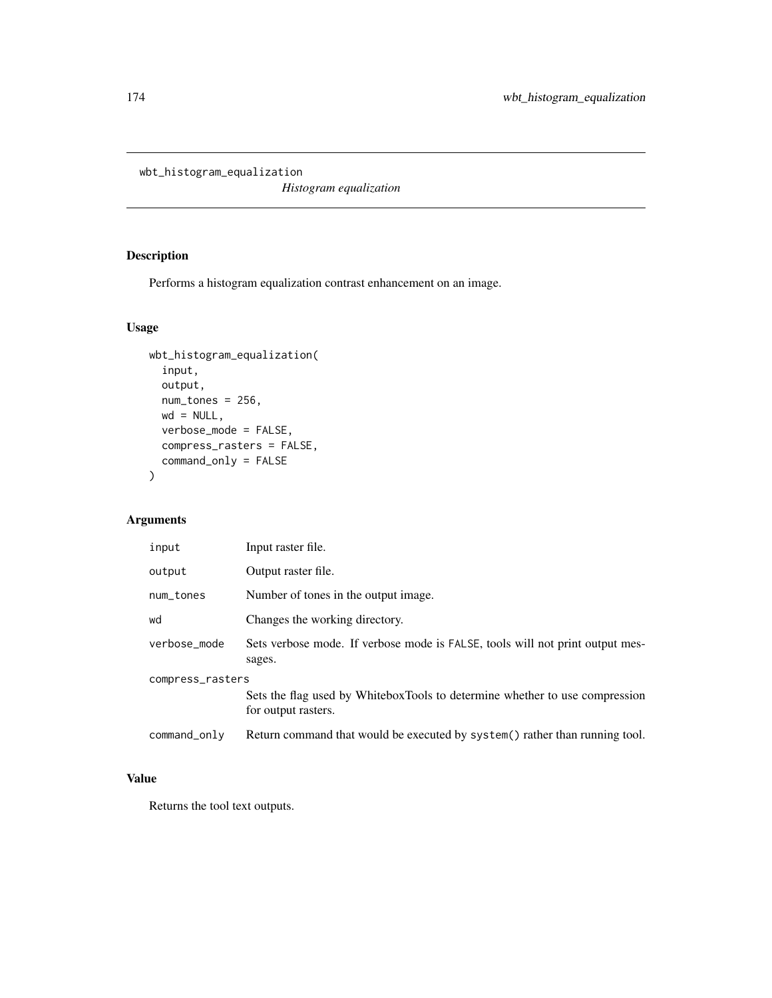wbt\_histogram\_equalization

*Histogram equalization*

# Description

Performs a histogram equalization contrast enhancement on an image.

## Usage

```
wbt_histogram_equalization(
  input,
 output,
 num_tones = 256,
 wd = NULL,verbose_mode = FALSE,
 compress_rasters = FALSE,
 command_only = FALSE
)
```
# Arguments

| input            | Input raster file.                                                                                 |  |
|------------------|----------------------------------------------------------------------------------------------------|--|
| output           | Output raster file.                                                                                |  |
| num_tones        | Number of tones in the output image.                                                               |  |
| wd               | Changes the working directory.                                                                     |  |
| verbose_mode     | Sets verbose mode. If verbose mode is FALSE, tools will not print output mes-<br>sages.            |  |
| compress_rasters |                                                                                                    |  |
|                  | Sets the flag used by WhiteboxTools to determine whether to use compression<br>for output rasters. |  |
| command_only     | Return command that would be executed by system() rather than running tool.                        |  |

# Value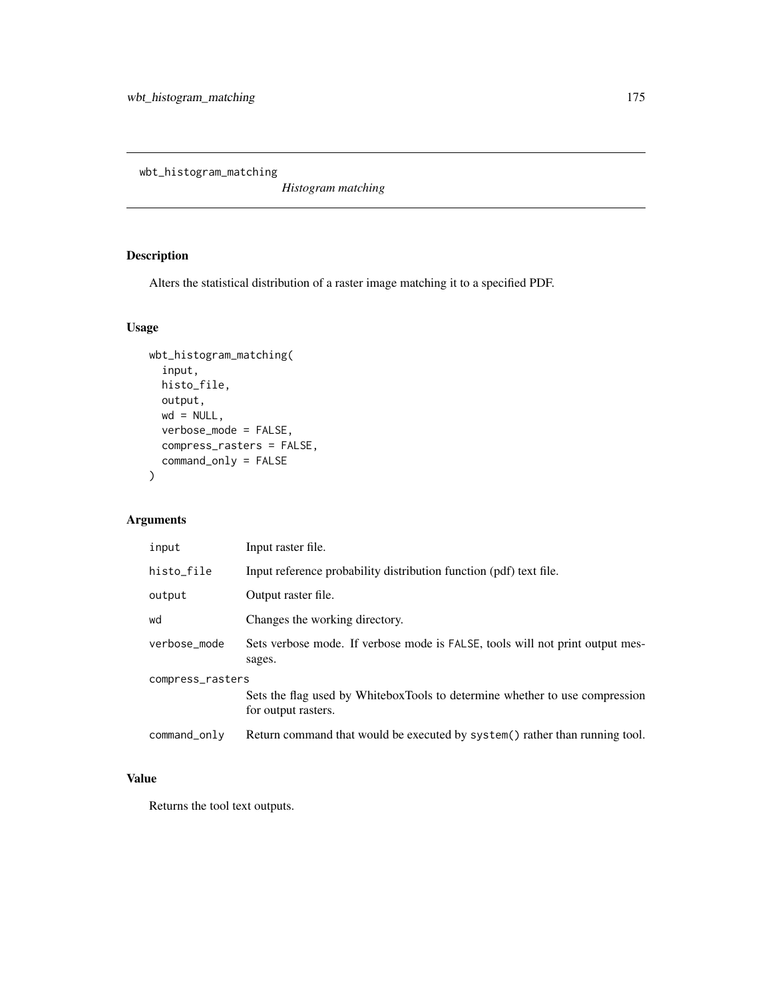wbt\_histogram\_matching

*Histogram matching*

# Description

Alters the statistical distribution of a raster image matching it to a specified PDF.

# Usage

```
wbt_histogram_matching(
  input,
 histo_file,
 output,
 wd = NULL,verbose_mode = FALSE,
 compress_rasters = FALSE,
 command_only = FALSE
)
```
# Arguments

| input            | Input raster file.                                                                                 |  |
|------------------|----------------------------------------------------------------------------------------------------|--|
| histo_file       | Input reference probability distribution function (pdf) text file.                                 |  |
| output           | Output raster file.                                                                                |  |
| wd               | Changes the working directory.                                                                     |  |
| verbose_mode     | Sets verbose mode. If verbose mode is FALSE, tools will not print output mes-<br>sages.            |  |
| compress_rasters |                                                                                                    |  |
|                  | Sets the flag used by WhiteboxTools to determine whether to use compression<br>for output rasters. |  |
| command_only     | Return command that would be executed by system() rather than running tool.                        |  |

# Value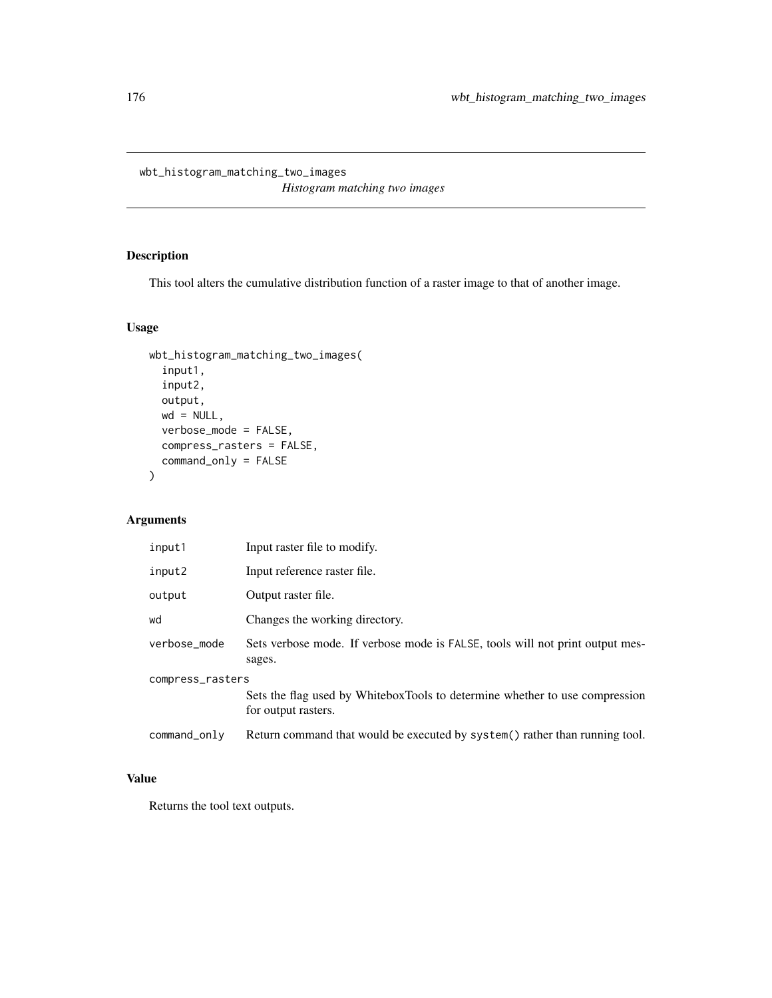wbt\_histogram\_matching\_two\_images *Histogram matching two images*

# Description

This tool alters the cumulative distribution function of a raster image to that of another image.

## Usage

```
wbt_histogram_matching_two_images(
  input1,
 input2,
 output,
 wd = NULL,verbose_mode = FALSE,
 compress_rasters = FALSE,
 command_only = FALSE
)
```
# Arguments

| input1           | Input raster file to modify.                                                                       |  |
|------------------|----------------------------------------------------------------------------------------------------|--|
| input2           | Input reference raster file.                                                                       |  |
| output           | Output raster file.                                                                                |  |
| wd               | Changes the working directory.                                                                     |  |
| verbose mode     | Sets verbose mode. If verbose mode is FALSE, tools will not print output mes-<br>sages.            |  |
| compress_rasters |                                                                                                    |  |
|                  | Sets the flag used by WhiteboxTools to determine whether to use compression<br>for output rasters. |  |
| command_only     | Return command that would be executed by system() rather than running tool.                        |  |

# Value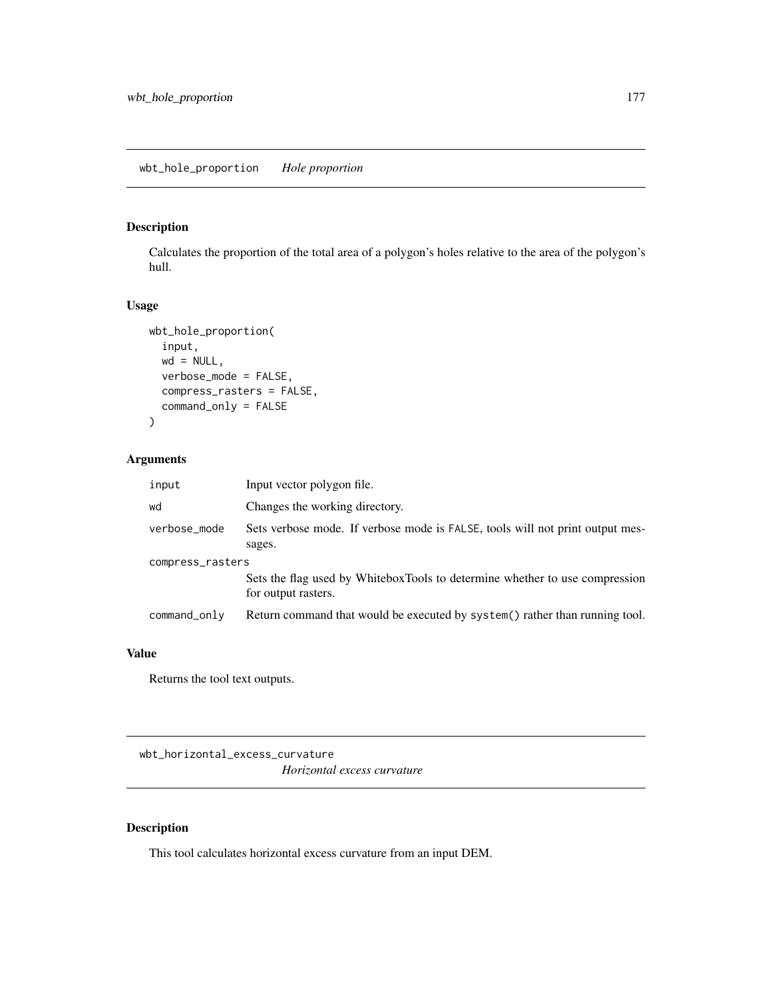## Description

Calculates the proportion of the total area of a polygon's holes relative to the area of the polygon's hull.

## Usage

```
wbt_hole_proportion(
  input,
 wd = NULL,verbose_mode = FALSE,
 compress_rasters = FALSE,
 command_only = FALSE
)
```
#### Arguments

| input            | Input vector polygon file.                                                                         |
|------------------|----------------------------------------------------------------------------------------------------|
| wd               | Changes the working directory.                                                                     |
| verbose_mode     | Sets verbose mode. If verbose mode is FALSE, tools will not print output mes-<br>sages.            |
| compress_rasters | Sets the flag used by WhiteboxTools to determine whether to use compression<br>for output rasters. |
| command_only     | Return command that would be executed by system() rather than running tool.                        |

## Value

Returns the tool text outputs.

wbt\_horizontal\_excess\_curvature *Horizontal excess curvature*

# Description

This tool calculates horizontal excess curvature from an input DEM.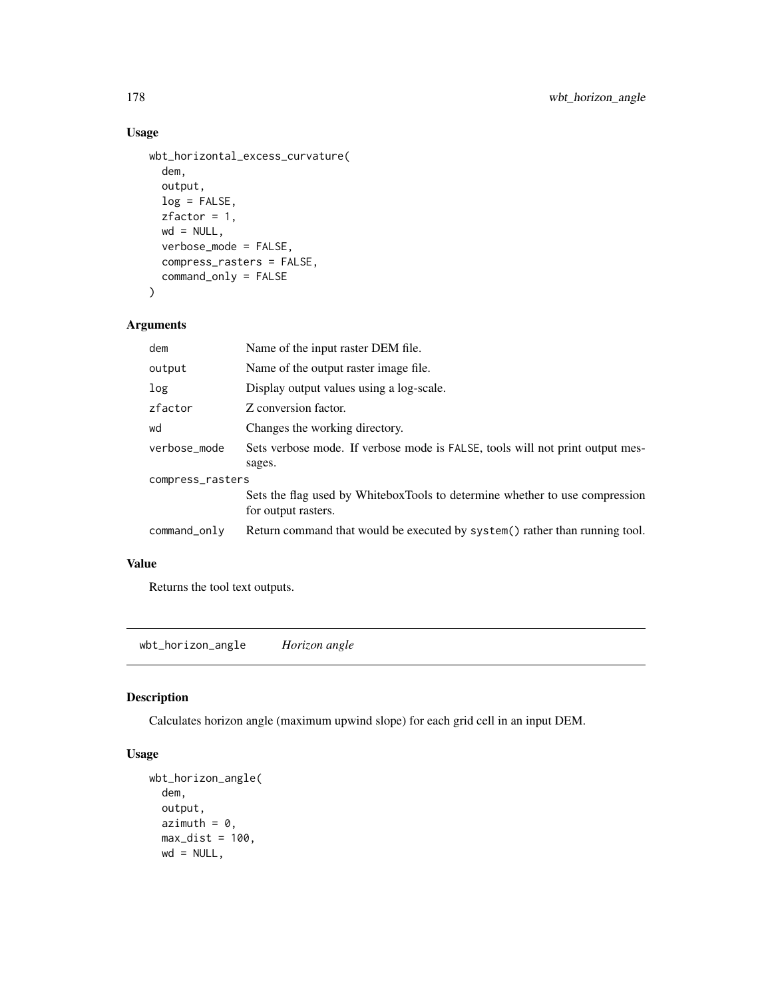#### Usage

```
wbt_horizontal_excess_curvature(
  dem,
  output,
 log = FALSE,
 zfactor = 1,
 wd = NULL,verbose_mode = FALSE,
  compress_rasters = FALSE,
  command_only = FALSE
\mathcal{L}
```
## Arguments

| dem              | Name of the input raster DEM file.                                                                 |  |
|------------------|----------------------------------------------------------------------------------------------------|--|
| output           | Name of the output raster image file.                                                              |  |
| log              | Display output values using a log-scale.                                                           |  |
| zfactor          | Z conversion factor.                                                                               |  |
| wd               | Changes the working directory.                                                                     |  |
| verbose mode     | Sets verbose mode. If verbose mode is FALSE, tools will not print output mes-<br>sages.            |  |
| compress_rasters |                                                                                                    |  |
|                  | Sets the flag used by WhiteboxTools to determine whether to use compression<br>for output rasters. |  |
| command_only     | Return command that would be executed by system() rather than running tool.                        |  |

## Value

Returns the tool text outputs.

wbt\_horizon\_angle *Horizon angle*

## Description

Calculates horizon angle (maximum upwind slope) for each grid cell in an input DEM.

```
wbt_horizon_angle(
  dem,
 output,
 azimuth = 0,
 max\_dist = 100,
 wd = NULL,
```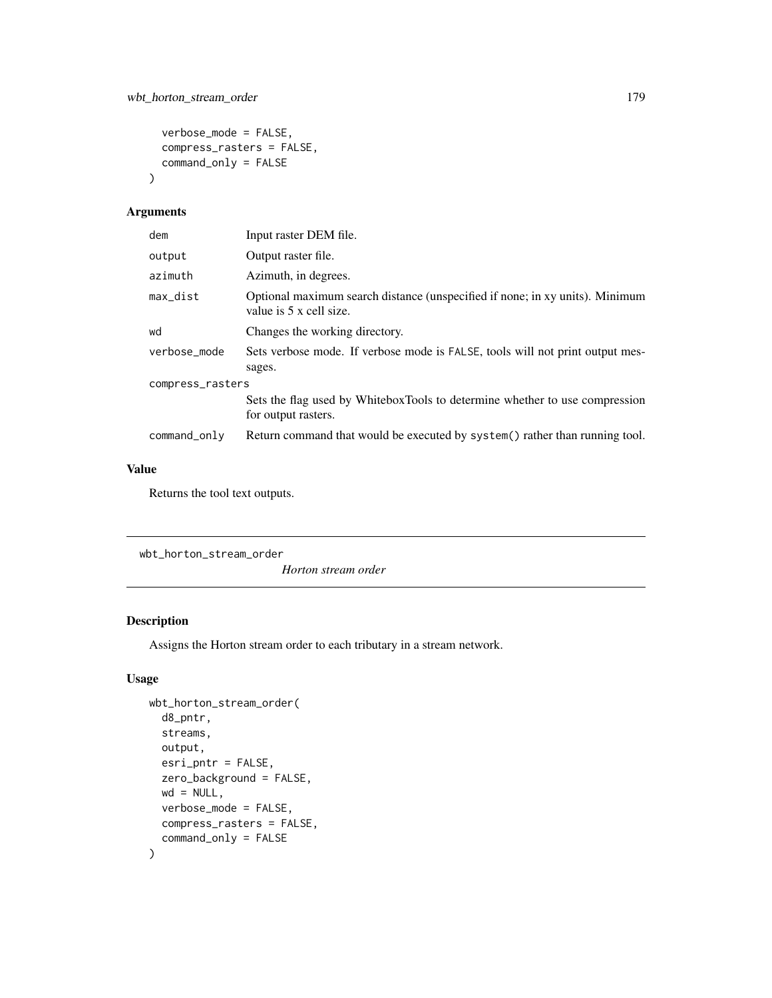```
verbose_mode = FALSE,
 compress_rasters = FALSE,
  command_only = FALSE
\mathcal{L}
```

| dem              | Input raster DEM file.                                                                                  |  |
|------------------|---------------------------------------------------------------------------------------------------------|--|
| output           | Output raster file.                                                                                     |  |
| azimuth          | Azimuth, in degrees.                                                                                    |  |
| max_dist         | Optional maximum search distance (unspecified if none; in xy units). Minimum<br>value is 5 x cell size. |  |
| wd               | Changes the working directory.                                                                          |  |
| verbose_mode     | Sets verbose mode. If verbose mode is FALSE, tools will not print output mes-<br>sages.                 |  |
| compress_rasters |                                                                                                         |  |
|                  | Sets the flag used by WhiteboxTools to determine whether to use compression<br>for output rasters.      |  |
| command_only     | Return command that would be executed by system() rather than running tool.                             |  |

#### Value

Returns the tool text outputs.

wbt\_horton\_stream\_order

*Horton stream order*

## Description

Assigns the Horton stream order to each tributary in a stream network.

```
wbt_horton_stream_order(
 d8_pntr,
  streams,
 output,
 esri_pntr = FALSE,
  zero_background = FALSE,
 wd = NULL,verbose_mode = FALSE,
 compress_rasters = FALSE,
  command_only = FALSE
\mathcal{L}
```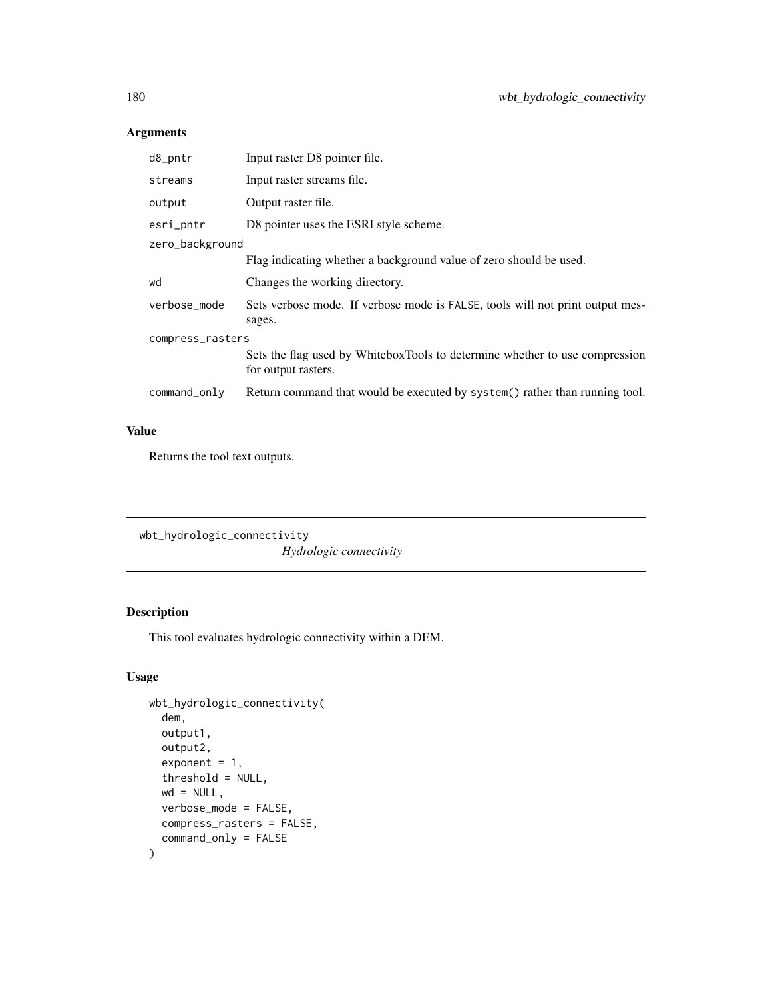| d8_pntr          | Input raster D8 pointer file.                                                                      |  |
|------------------|----------------------------------------------------------------------------------------------------|--|
| streams          | Input raster streams file.                                                                         |  |
| output           | Output raster file.                                                                                |  |
| esri_pntr        | D8 pointer uses the ESRI style scheme.                                                             |  |
| zero_background  |                                                                                                    |  |
|                  | Flag indicating whether a background value of zero should be used.                                 |  |
| wd               | Changes the working directory.                                                                     |  |
| verbose mode     | Sets verbose mode. If verbose mode is FALSE, tools will not print output mes-<br>sages.            |  |
| compress_rasters |                                                                                                    |  |
|                  | Sets the flag used by WhiteboxTools to determine whether to use compression<br>for output rasters. |  |
| command_only     | Return command that would be executed by system() rather than running tool.                        |  |

# Value

Returns the tool text outputs.

```
wbt_hydrologic_connectivity
                        Hydrologic connectivity
```
# Description

This tool evaluates hydrologic connectivity within a DEM.

```
wbt_hydrologic_connectivity(
  dem,
 output1,
 output2,
  exponent = 1,threshold = NULL,
 wd = NULL,verbose_mode = FALSE,
 compress_rasters = FALSE,
  command_only = FALSE
\mathcal{L}
```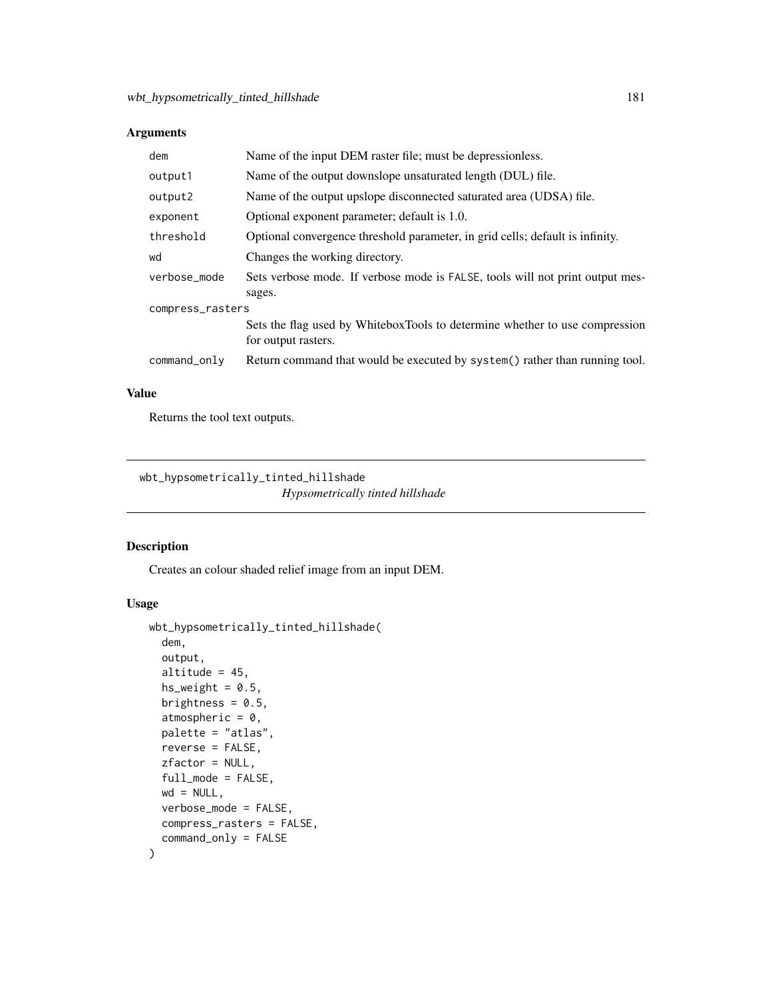| dem              | Name of the input DEM raster file; must be depressionless.                                         |  |
|------------------|----------------------------------------------------------------------------------------------------|--|
| output1          | Name of the output downslope unsaturated length (DUL) file.                                        |  |
| output2          | Name of the output upslope disconnected saturated area (UDSA) file.                                |  |
| exponent         | Optional exponent parameter; default is 1.0.                                                       |  |
| threshold        | Optional convergence threshold parameter, in grid cells; default is infinity.                      |  |
| wd               | Changes the working directory.                                                                     |  |
| verbose_mode     | Sets verbose mode. If verbose mode is FALSE, tools will not print output mes-<br>sages.            |  |
| compress_rasters |                                                                                                    |  |
|                  | Sets the flag used by WhiteboxTools to determine whether to use compression<br>for output rasters. |  |
| command_only     | Return command that would be executed by system () rather than running tool.                       |  |

#### Value

Returns the tool text outputs.

wbt\_hypsometrically\_tinted\_hillshade *Hypsometrically tinted hillshade*

#### Description

Creates an colour shaded relief image from an input DEM.

```
wbt_hypsometrically_tinted_hillshade(
  dem,
  output,
  altitude = 45,
 hs\_weight = 0.5,
 brightness = 0.5,
  atmospheric = 0,
 palette = "atlas",
  reverse = FALSE,
  zfactor = NULL,
  full_mode = FALSE,
 wd = NULL,verbose_mode = FALSE,
  compress_rasters = FALSE,
  command_only = FALSE
\mathcal{L}
```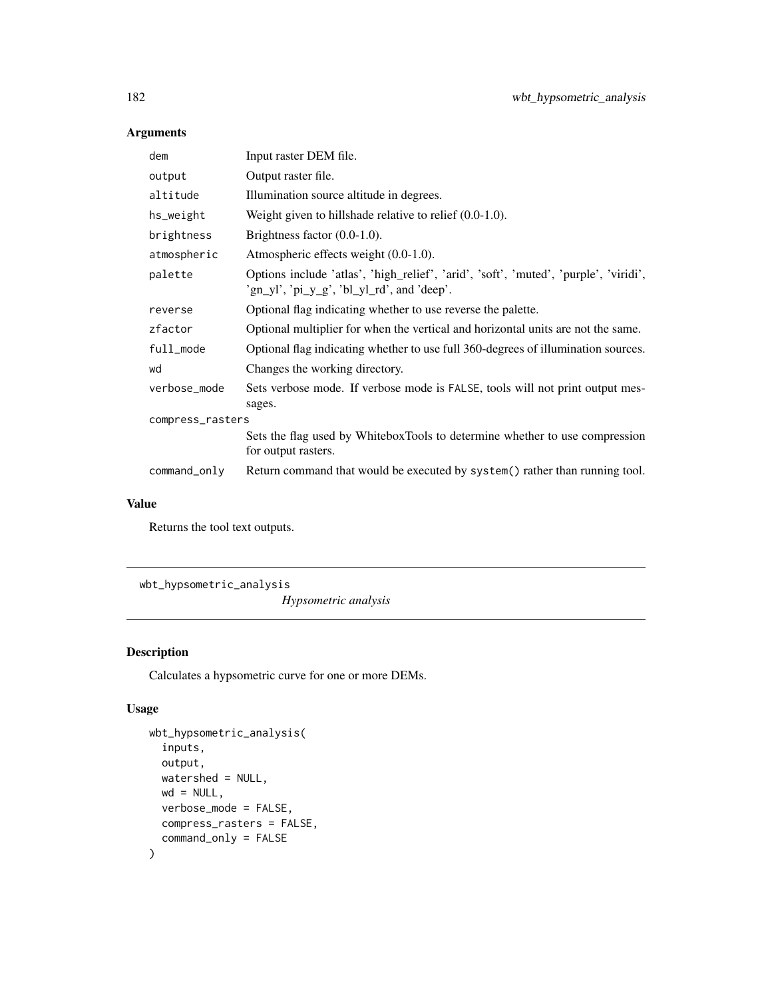| dem              | Input raster DEM file.                                                                                                             |  |
|------------------|------------------------------------------------------------------------------------------------------------------------------------|--|
| output           | Output raster file.                                                                                                                |  |
| altitude         | Illumination source altitude in degrees.                                                                                           |  |
| hs_weight        | Weight given to hillshade relative to relief $(0.0-1.0)$ .                                                                         |  |
| brightness       | Brightness factor $(0.0-1.0)$ .                                                                                                    |  |
| atmospheric      | Atmospheric effects weight $(0.0-1.0)$ .                                                                                           |  |
| palette          | Options include 'atlas', 'high_relief', 'arid', 'soft', 'muted', 'purple', 'viridi',<br>'gn_yl', 'pi_y_g', 'bl_yl_rd', and 'deep'. |  |
| reverse          | Optional flag indicating whether to use reverse the palette.                                                                       |  |
| zfactor          | Optional multiplier for when the vertical and horizontal units are not the same.                                                   |  |
| full_mode        | Optional flag indicating whether to use full 360-degrees of illumination sources.                                                  |  |
| wd               | Changes the working directory.                                                                                                     |  |
| verbose_mode     | Sets verbose mode. If verbose mode is FALSE, tools will not print output mes-<br>sages.                                            |  |
| compress_rasters |                                                                                                                                    |  |
|                  | Sets the flag used by WhiteboxTools to determine whether to use compression<br>for output rasters.                                 |  |
| command_only     | Return command that would be executed by system() rather than running tool.                                                        |  |

#### Value

Returns the tool text outputs.

wbt\_hypsometric\_analysis

*Hypsometric analysis*

# Description

Calculates a hypsometric curve for one or more DEMs.

```
wbt_hypsometric_analysis(
  inputs,
 output,
 watershed = NULL,
 wd = NULL,verbose_mode = FALSE,
 compress_rasters = FALSE,
  command_only = FALSE
\mathcal{L}
```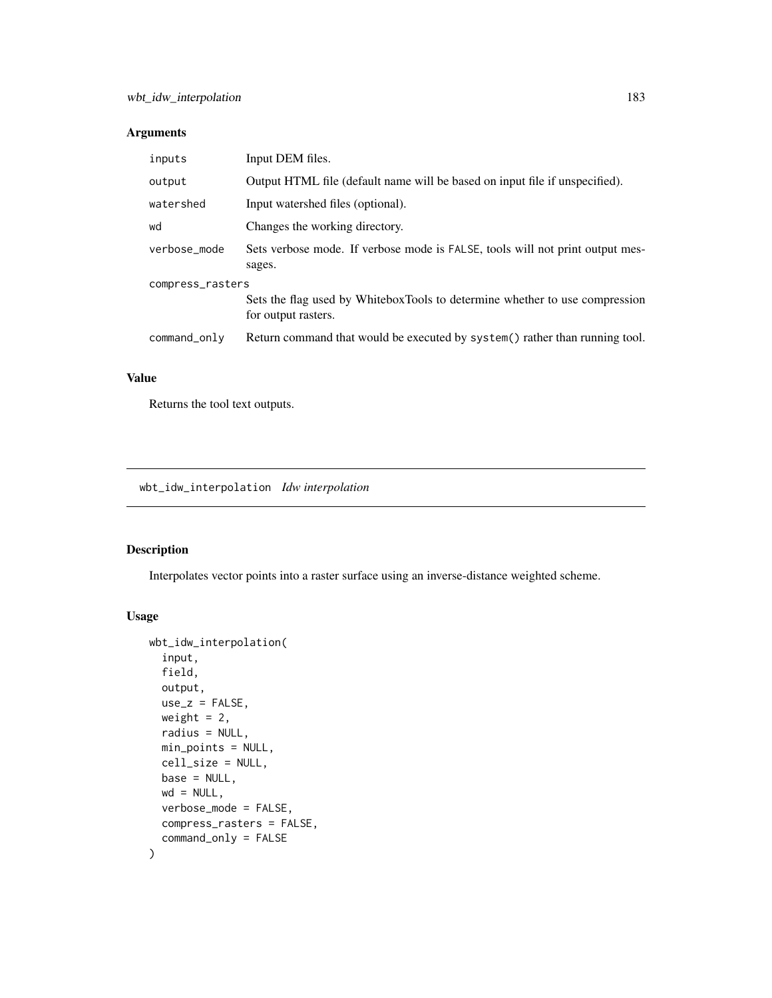| inputs           | Input DEM files.                                                                                   |  |
|------------------|----------------------------------------------------------------------------------------------------|--|
| output           | Output HTML file (default name will be based on input file if unspecified).                        |  |
| watershed        | Input watershed files (optional).                                                                  |  |
| wd               | Changes the working directory.                                                                     |  |
| verbose mode     | Sets verbose mode. If verbose mode is FALSE, tools will not print output mes-<br>sages.            |  |
| compress_rasters |                                                                                                    |  |
|                  | Sets the flag used by WhiteboxTools to determine whether to use compression<br>for output rasters. |  |
| command_only     | Return command that would be executed by system() rather than running tool.                        |  |

#### Value

Returns the tool text outputs.

wbt\_idw\_interpolation *Idw interpolation*

#### Description

Interpolates vector points into a raster surface using an inverse-distance weighted scheme.

```
wbt_idw_interpolation(
  input,
 field,
 output,
 use_z = FALSE,weight = 2,
 radius = NULL,
 min_points = NULL,
 cell_size = NULL,
 base = NULL,
 wd = NULL,verbose_mode = FALSE,
 compress_rasters = FALSE,
  command_only = FALSE
\mathcal{L}
```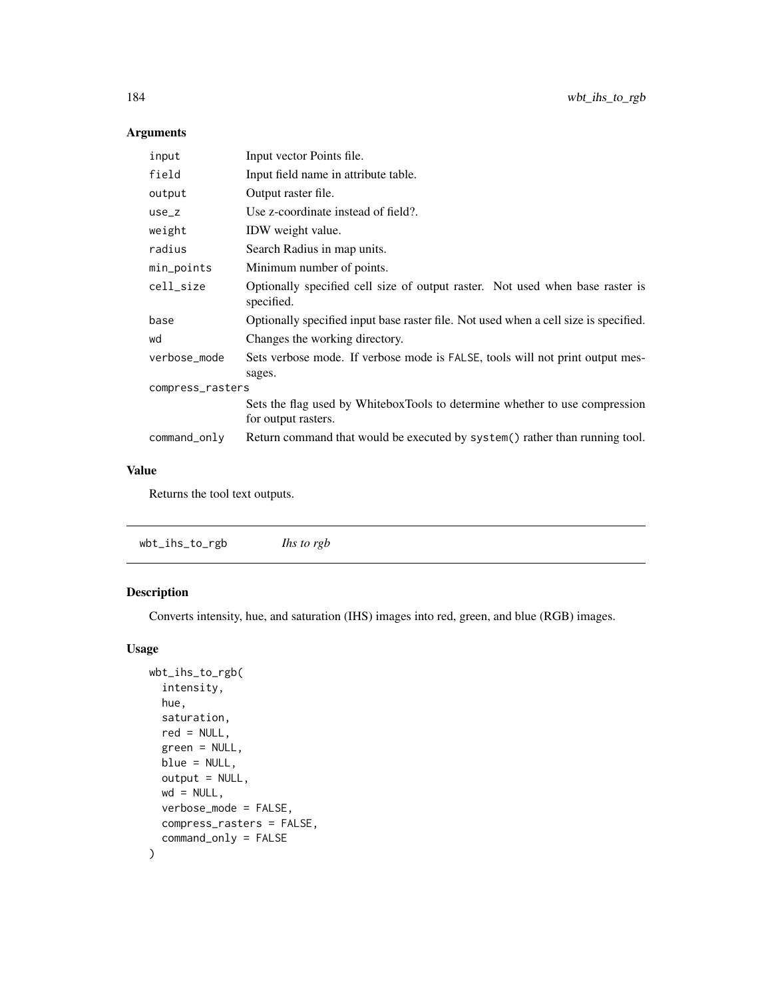| input            | Input vector Points file.                                                                          |  |
|------------------|----------------------------------------------------------------------------------------------------|--|
| field            | Input field name in attribute table.                                                               |  |
| output           | Output raster file.                                                                                |  |
| $use_z$          | Use z-coordinate instead of field?.                                                                |  |
| weight           | IDW weight value.                                                                                  |  |
| radius           | Search Radius in map units.                                                                        |  |
| min_points       | Minimum number of points.                                                                          |  |
| cell_size        | Optionally specified cell size of output raster. Not used when base raster is<br>specified.        |  |
| base             | Optionally specified input base raster file. Not used when a cell size is specified.               |  |
| wd               | Changes the working directory.                                                                     |  |
| verbose_mode     | Sets verbose mode. If verbose mode is FALSE, tools will not print output mes-<br>sages.            |  |
| compress_rasters |                                                                                                    |  |
|                  | Sets the flag used by WhiteboxTools to determine whether to use compression<br>for output rasters. |  |
| command_only     | Return command that would be executed by system() rather than running tool.                        |  |

#### Value

Returns the tool text outputs.

# Description

Converts intensity, hue, and saturation (IHS) images into red, green, and blue (RGB) images.

```
wbt_ihs_to_rgb(
  intensity,
  hue,
  saturation,
  red = NULL,
  green = NULL,
  blue = NULL,
  output = NULL,wd = NULL,verbose_mode = FALSE,
  compress_rasters = FALSE,
  command_only = FALSE
\mathcal{L}
```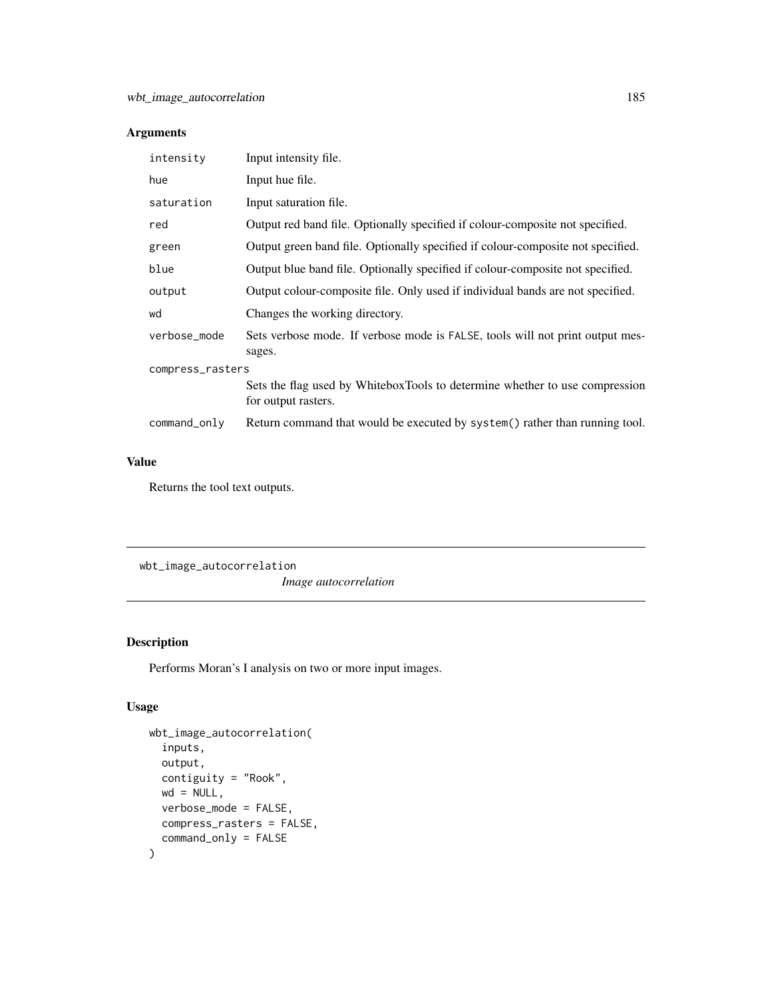| intensity        | Input intensity file.                                                                              |  |
|------------------|----------------------------------------------------------------------------------------------------|--|
| hue              | Input hue file.                                                                                    |  |
| saturation       | Input saturation file.                                                                             |  |
| red              | Output red band file. Optionally specified if colour-composite not specified.                      |  |
| green            | Output green band file. Optionally specified if colour-composite not specified.                    |  |
| blue             | Output blue band file. Optionally specified if colour-composite not specified.                     |  |
| output           | Output colour-composite file. Only used if individual bands are not specified.                     |  |
| wd               | Changes the working directory.                                                                     |  |
| verbose_mode     | Sets verbose mode. If verbose mode is FALSE, tools will not print output mes-<br>sages.            |  |
| compress_rasters |                                                                                                    |  |
|                  | Sets the flag used by WhiteboxTools to determine whether to use compression<br>for output rasters. |  |
| command_only     | Return command that would be executed by system() rather than running tool.                        |  |

#### Value

Returns the tool text outputs.

wbt\_image\_autocorrelation *Image autocorrelation*

#### Description

Performs Moran's I analysis on two or more input images.

```
wbt_image_autocorrelation(
  inputs,
 output,
 contiguity = "Rook",
 wd = NULL,verbose_mode = FALSE,
 compress_rasters = FALSE,
  command_only = FALSE
\mathcal{L}
```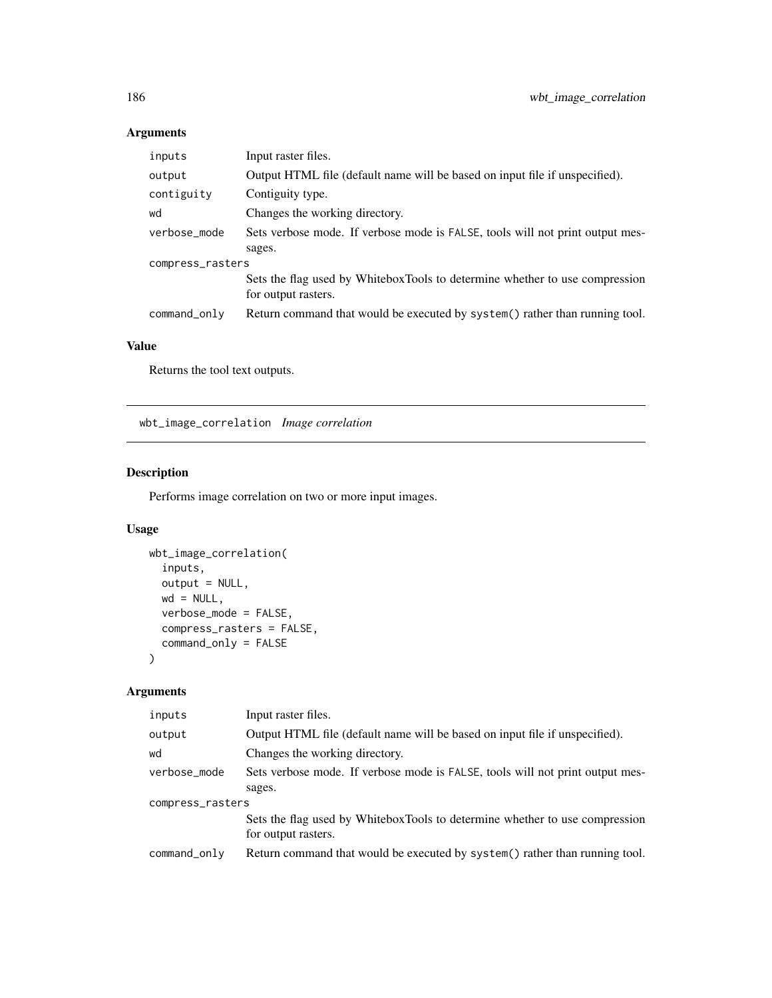| inputs           | Input raster files.                                                                                |  |
|------------------|----------------------------------------------------------------------------------------------------|--|
| output           | Output HTML file (default name will be based on input file if unspecified).                        |  |
| contiguity       | Contiguity type.                                                                                   |  |
| wd               | Changes the working directory.                                                                     |  |
| verbose_mode     | Sets verbose mode. If verbose mode is FALSE, tools will not print output mes-                      |  |
|                  | sages.                                                                                             |  |
| compress_rasters |                                                                                                    |  |
|                  | Sets the flag used by WhiteboxTools to determine whether to use compression<br>for output rasters. |  |
| command_only     | Return command that would be executed by system() rather than running tool.                        |  |

#### Value

Returns the tool text outputs.

wbt\_image\_correlation *Image correlation*

# Description

Performs image correlation on two or more input images.

#### Usage

```
wbt_image_correlation(
  inputs,
 output = NULL,wd = NULL,verbose_mode = FALSE,
 compress_rasters = FALSE,
  command_only = FALSE
)
```
#### Arguments

| inputs           | Input raster files.                                                                                |  |
|------------------|----------------------------------------------------------------------------------------------------|--|
| output           | Output HTML file (default name will be based on input file if unspecified).                        |  |
| wd               | Changes the working directory.                                                                     |  |
| verbose_mode     | Sets verbose mode. If verbose mode is FALSE, tools will not print output mes-                      |  |
|                  | sages.                                                                                             |  |
| compress_rasters |                                                                                                    |  |
|                  | Sets the flag used by WhiteboxTools to determine whether to use compression<br>for output rasters. |  |
| command_only     | Return command that would be executed by system() rather than running tool.                        |  |
|                  |                                                                                                    |  |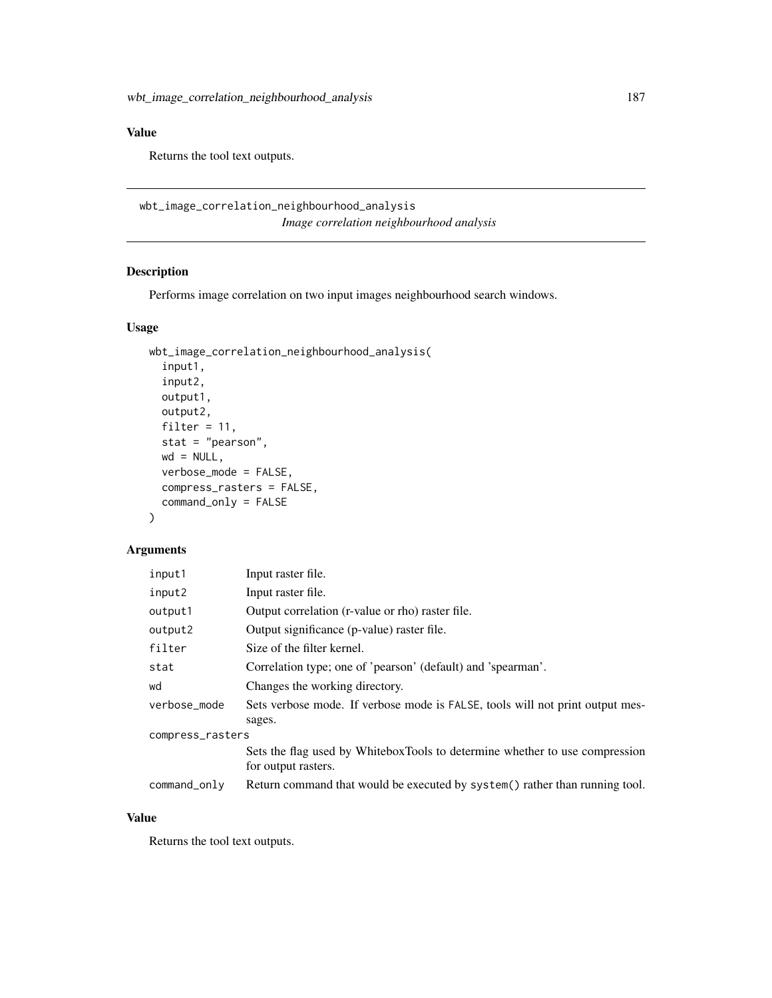#### Value

Returns the tool text outputs.

wbt\_image\_correlation\_neighbourhood\_analysis *Image correlation neighbourhood analysis*

# Description

Performs image correlation on two input images neighbourhood search windows.

#### Usage

```
wbt_image_correlation_neighbourhood_analysis(
  input1,
  input2,
 output1,
  output2,
  filter = 11,
  stat = "pearson",
 wd = NULL,verbose_mode = FALSE,
  compress_rasters = FALSE,
  command_only = FALSE
)
```
#### Arguments

| input1           | Input raster file.                                                                                 |
|------------------|----------------------------------------------------------------------------------------------------|
| input2           | Input raster file.                                                                                 |
| output1          | Output correlation (r-value or rho) raster file.                                                   |
| output2          | Output significance (p-value) raster file.                                                         |
| filter           | Size of the filter kernel.                                                                         |
| stat             | Correlation type; one of 'pearson' (default) and 'spearman'.                                       |
| wd               | Changes the working directory.                                                                     |
| verbose_mode     | Sets verbose mode. If verbose mode is FALSE, tools will not print output mes-                      |
|                  | sages.                                                                                             |
| compress_rasters |                                                                                                    |
|                  | Sets the flag used by WhiteboxTools to determine whether to use compression<br>for output rasters. |
| command_only     | Return command that would be executed by system() rather than running tool.                        |

#### Value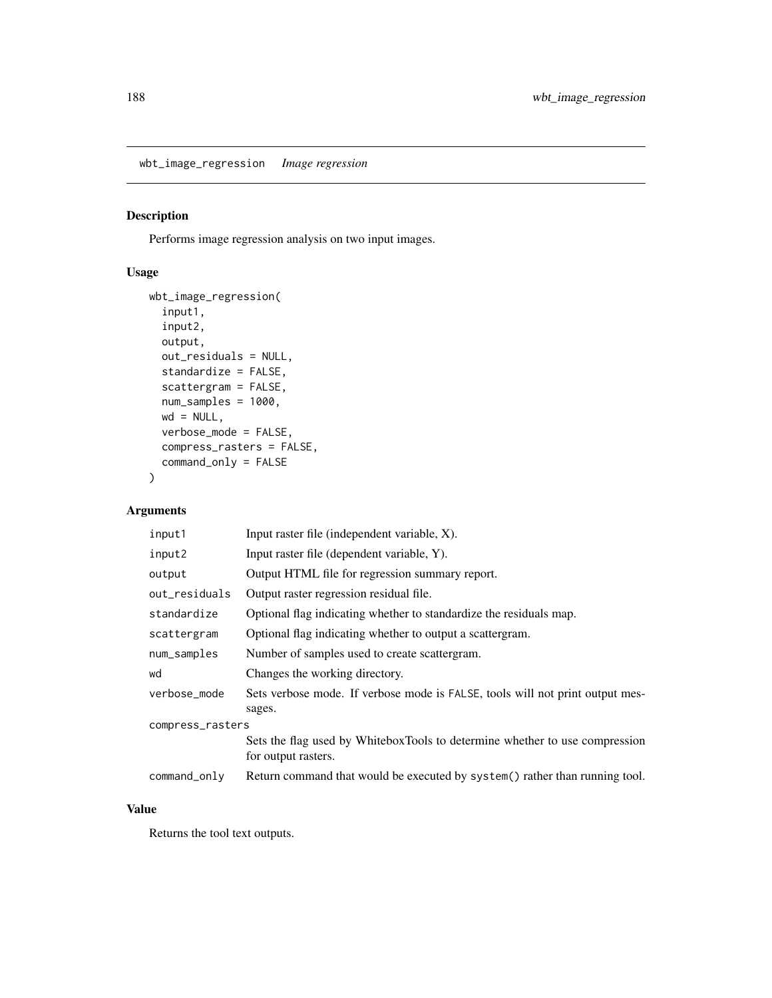wbt\_image\_regression *Image regression*

#### Description

Performs image regression analysis on two input images.

#### Usage

```
wbt_image_regression(
  input1,
 input2,
 output,
 out_residuals = NULL,
 standardize = FALSE,
 scattergram = FALSE,
 num_samples = 1000,
 wd = NULL,verbose_mode = FALSE,
 compress_rasters = FALSE,
 command_only = FALSE
)
```
#### Arguments

| input1           | Input raster file (independent variable, X).                                                       |  |
|------------------|----------------------------------------------------------------------------------------------------|--|
| input2           | Input raster file (dependent variable, Y).                                                         |  |
| output           | Output HTML file for regression summary report.                                                    |  |
| out_residuals    | Output raster regression residual file.                                                            |  |
| standardize      | Optional flag indicating whether to standardize the residuals map.                                 |  |
| scattergram      | Optional flag indicating whether to output a scattergram.                                          |  |
| num_samples      | Number of samples used to create scattergram.                                                      |  |
| wd               | Changes the working directory.                                                                     |  |
| verbose_mode     | Sets verbose mode. If verbose mode is FALSE, tools will not print output mes-                      |  |
|                  | sages.                                                                                             |  |
| compress_rasters |                                                                                                    |  |
|                  | Sets the flag used by WhiteboxTools to determine whether to use compression<br>for output rasters. |  |
| command_only     | Return command that would be executed by system() rather than running tool.                        |  |
|                  |                                                                                                    |  |

#### Value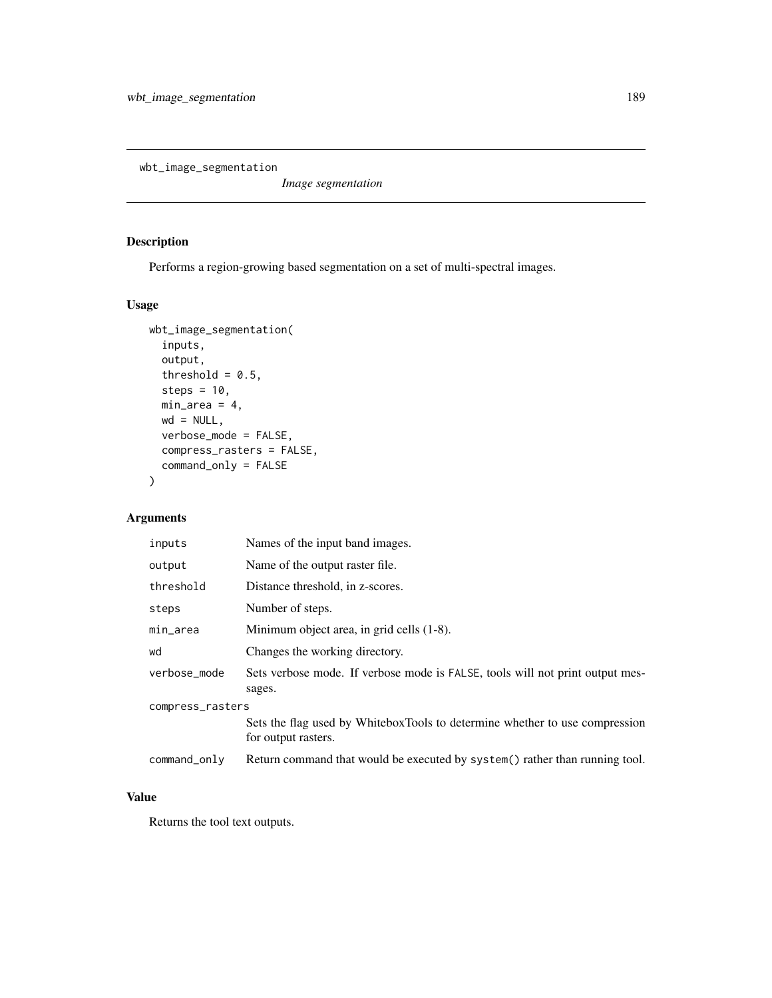wbt\_image\_segmentation

*Image segmentation*

#### Description

Performs a region-growing based segmentation on a set of multi-spectral images.

# Usage

```
wbt_image_segmentation(
  inputs,
  output,
  threshold = 0.5,
  steps = 10,
  min\_area = 4,
  wd = NULL,verbose_mode = FALSE,
  compress_rasters = FALSE,
  command_only = FALSE
)
```
#### Arguments

| inputs           | Names of the input band images.                                                                    |
|------------------|----------------------------------------------------------------------------------------------------|
| output           | Name of the output raster file.                                                                    |
| threshold        | Distance threshold, in z-scores.                                                                   |
| steps            | Number of steps.                                                                                   |
| min_area         | Minimum object area, in grid cells (1-8).                                                          |
| wd               | Changes the working directory.                                                                     |
| verbose_mode     | Sets verbose mode. If verbose mode is FALSE, tools will not print output mes-<br>sages.            |
| compress_rasters |                                                                                                    |
|                  | Sets the flag used by WhiteboxTools to determine whether to use compression<br>for output rasters. |
| command_only     | Return command that would be executed by system() rather than running tool.                        |

#### Value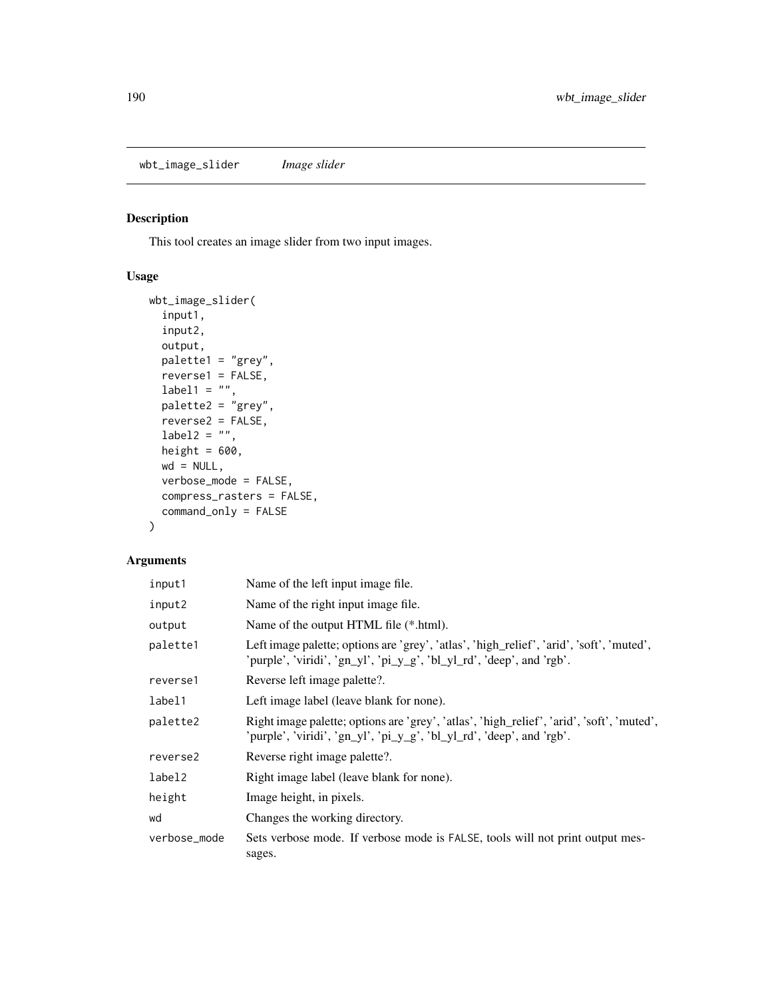wbt\_image\_slider *Image slider*

#### Description

This tool creates an image slider from two input images.

#### Usage

```
wbt_image_slider(
  input1,
  input2,
 output,
 palette1 = "grey",
 reverse1 = FALSE,
 label1 = "",palette2 = "grey",reverse2 = FALSE,
 label2 = ",
 height = 600,
 wd = NULL,verbose_mode = FALSE,
 compress_rasters = FALSE,
  command_only = FALSE
)
```
#### Arguments

| input1       | Name of the left input image file.                                                                                                                                 |
|--------------|--------------------------------------------------------------------------------------------------------------------------------------------------------------------|
| input2       | Name of the right input image file.                                                                                                                                |
| output       | Name of the output HTML file (*.html).                                                                                                                             |
| palette1     | Left image palette; options are 'grey', 'atlas', 'high_relief', 'arid', 'soft', 'muted',<br>'purple', 'viridi', 'gn_yl', 'pi_y_g', 'bl_yl_rd', 'deep', and 'rgb'.  |
| reverse1     | Reverse left image palette?.                                                                                                                                       |
| label1       | Left image label (leave blank for none).                                                                                                                           |
| palette2     | Right image palette; options are 'grey', 'atlas', 'high_relief', 'arid', 'soft', 'muted',<br>'purple', 'viridi', 'gn_yl', 'pi_y_g', 'bl_yl_rd', 'deep', and 'rgb'. |
| reverse2     | Reverse right image palette?.                                                                                                                                      |
| label2       | Right image label (leave blank for none).                                                                                                                          |
| height       | Image height, in pixels.                                                                                                                                           |
| wd           | Changes the working directory.                                                                                                                                     |
| verbose_mode | Sets verbose mode. If verbose mode is FALSE, tools will not print output mes-<br>sages.                                                                            |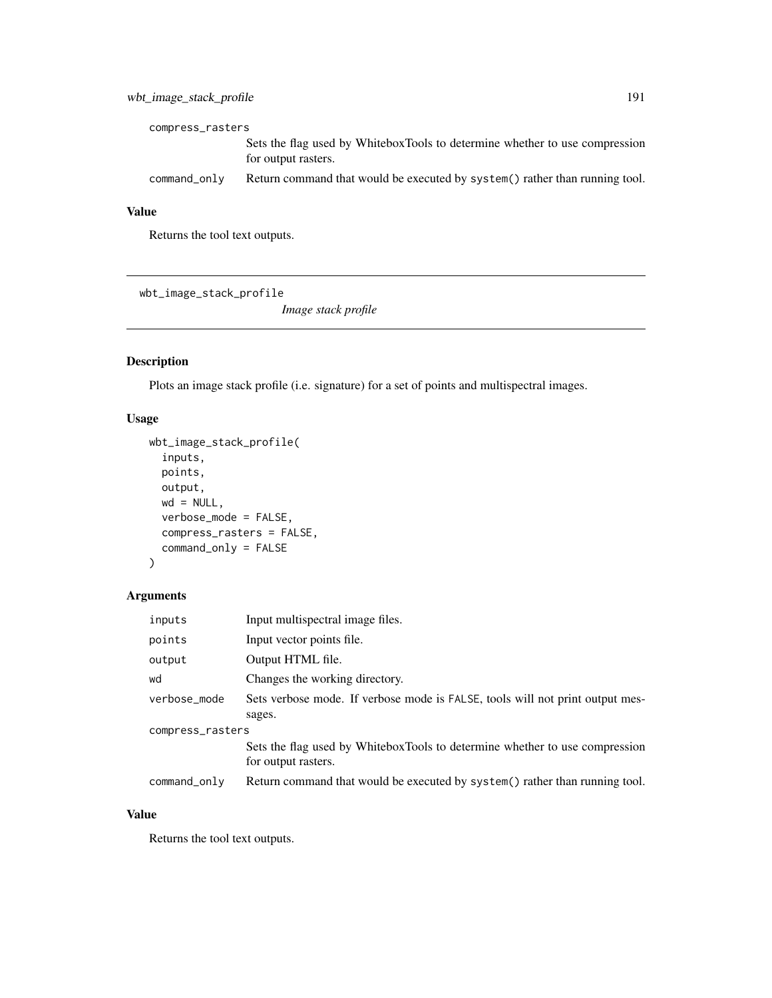# wbt\_image\_stack\_profile 191

| compress_rasters |                                                                                                    |  |
|------------------|----------------------------------------------------------------------------------------------------|--|
|                  | Sets the flag used by WhiteboxTools to determine whether to use compression<br>for output rasters. |  |
| command_only     | Return command that would be executed by system () rather than running tool.                       |  |

#### Value

Returns the tool text outputs.

wbt\_image\_stack\_profile

*Image stack profile*

# Description

Plots an image stack profile (i.e. signature) for a set of points and multispectral images.

#### Usage

```
wbt_image_stack_profile(
  inputs,
 points,
 output,
 wd = NULL,verbose_mode = FALSE,
 compress_rasters = FALSE,
 command_only = FALSE
)
```
# Arguments

| inputs           | Input multispectral image files.                                                                   |
|------------------|----------------------------------------------------------------------------------------------------|
| points           | Input vector points file.                                                                          |
| output           | Output HTML file.                                                                                  |
| wd               | Changes the working directory.                                                                     |
| verbose_mode     | Sets verbose mode. If verbose mode is FALSE, tools will not print output mes-                      |
|                  | sages.                                                                                             |
| compress_rasters |                                                                                                    |
|                  | Sets the flag used by WhiteboxTools to determine whether to use compression<br>for output rasters. |
| command_only     | Return command that would be executed by system() rather than running tool.                        |

#### Value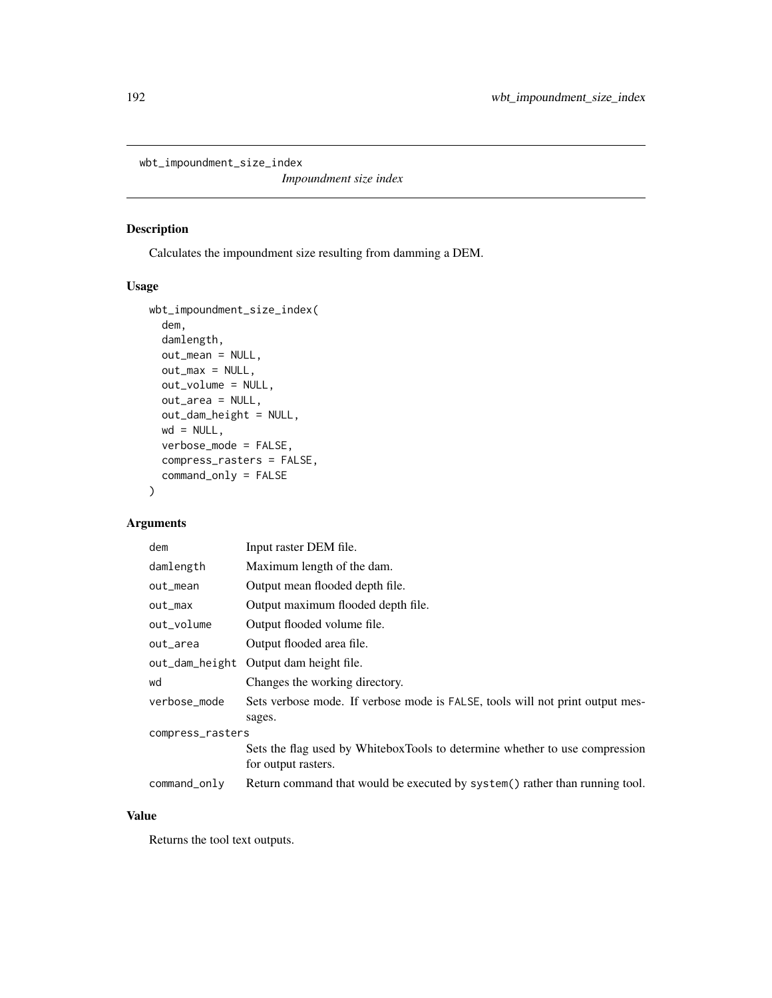wbt\_impoundment\_size\_index

*Impoundment size index*

# Description

Calculates the impoundment size resulting from damming a DEM.

# Usage

```
wbt_impoundment_size_index(
  dem,
  damlength,
 out_mean = NULL,
 out\_max = NULL,out_volume = NULL,
 out_area = NULL,
 out_dam_height = NULL,
 wd = NULL,verbose_mode = FALSE,
  compress_rasters = FALSE,
  command_only = FALSE
)
```
#### Arguments

| dem              | Input raster DEM file.                                                                             |  |
|------------------|----------------------------------------------------------------------------------------------------|--|
| damlength        | Maximum length of the dam.                                                                         |  |
| out_mean         | Output mean flooded depth file.                                                                    |  |
| $out_max$        | Output maximum flooded depth file.                                                                 |  |
| out_volume       | Output flooded volume file.                                                                        |  |
| out_area         | Output flooded area file.                                                                          |  |
| out_dam_height   | Output dam height file.                                                                            |  |
| wd               | Changes the working directory.                                                                     |  |
| verbose mode     | Sets verbose mode. If verbose mode is FALSE, tools will not print output mes-<br>sages.            |  |
| compress_rasters |                                                                                                    |  |
|                  | Sets the flag used by WhiteboxTools to determine whether to use compression<br>for output rasters. |  |
| command_only     | Return command that would be executed by system() rather than running tool.                        |  |

#### Value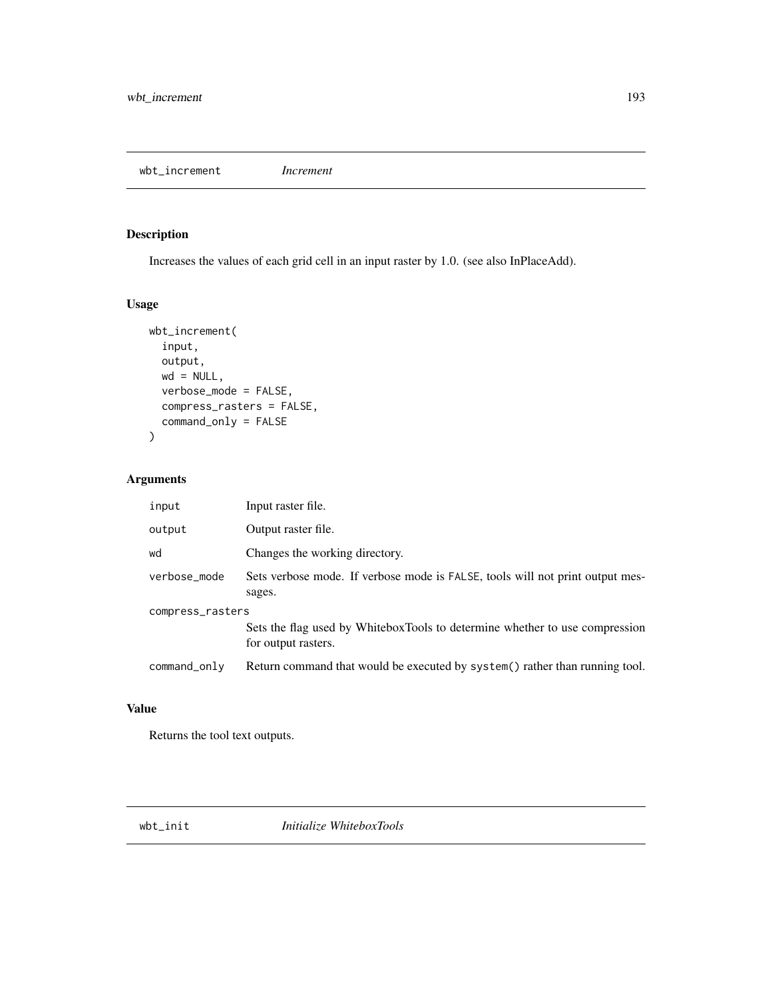wbt\_increment *Increment*

#### Description

Increases the values of each grid cell in an input raster by 1.0. (see also InPlaceAdd).

#### Usage

```
wbt_increment(
  input,
 output,
 wd = NULL,verbose_mode = FALSE,
  compress_rasters = FALSE,
  command_only = FALSE
)
```
# Arguments

| input            | Input raster file.                                                                                 |  |
|------------------|----------------------------------------------------------------------------------------------------|--|
| output           | Output raster file.                                                                                |  |
| wd               | Changes the working directory.                                                                     |  |
| verbose_mode     | Sets verbose mode. If verbose mode is FALSE, tools will not print output mes-<br>sages.            |  |
| compress_rasters |                                                                                                    |  |
|                  | Sets the flag used by WhiteboxTools to determine whether to use compression<br>for output rasters. |  |
| command_only     | Return command that would be executed by system() rather than running tool.                        |  |

#### Value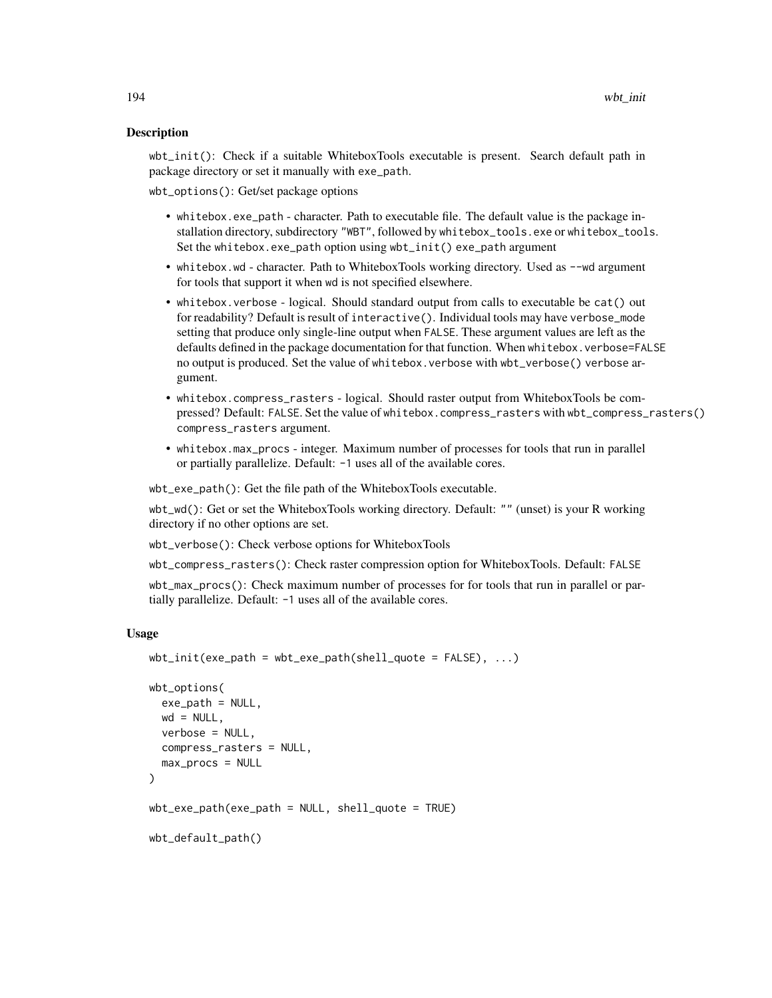#### Description

wbt\_init(): Check if a suitable WhiteboxTools executable is present. Search default path in package directory or set it manually with exe\_path.

wbt\_options(): Get/set package options

- whitebox.exe\_path character. Path to executable file. The default value is the package installation directory, subdirectory "WBT", followed by whitebox\_tools.exe or whitebox\_tools. Set the whitebox.exe\_path option using wbt\_init() exe\_path argument
- whitebox.wd character. Path to WhiteboxTools working directory. Used as --wd argument for tools that support it when wd is not specified elsewhere.
- whitebox.verbose logical. Should standard output from calls to executable be cat() out for readability? Default is result of interactive(). Individual tools may have verbose\_mode setting that produce only single-line output when FALSE. These argument values are left as the defaults defined in the package documentation for that function. When whitebox.verbose=FALSE no output is produced. Set the value of whitebox. verbose with wbt\_verbose() verbose argument.
- whitebox.compress\_rasters logical. Should raster output from WhiteboxTools be compressed? Default: FALSE. Set the value of whitebox.compress\_rasters with wbt\_compress\_rasters() compress\_rasters argument.
- whitebox.max\_procs integer. Maximum number of processes for tools that run in parallel or partially parallelize. Default: -1 uses all of the available cores.

wbt\_exe\_path(): Get the file path of the WhiteboxTools executable.

wbt\_wd(): Get or set the WhiteboxTools working directory. Default: "" (unset) is your R working directory if no other options are set.

wbt\_verbose(): Check verbose options for WhiteboxTools

wbt\_compress\_rasters(): Check raster compression option for WhiteboxTools. Default: FALSE

wbt\_max\_procs(): Check maximum number of processes for for tools that run in parallel or partially parallelize. Default: -1 uses all of the available cores.

```
wbt\_init(exe\_path = wbt\_exe\_path(shell\_quote = FALSE), ...
```

```
wbt_options(
  exe_path = NULL,
 wd = NULL,verbose = NULL,
  compress_rasters = NULL,
 max_procs = NULL
)
wbt\_exe\_path(exe\_path = NULL, shell\_quote = TRUE)wbt_default_path()
```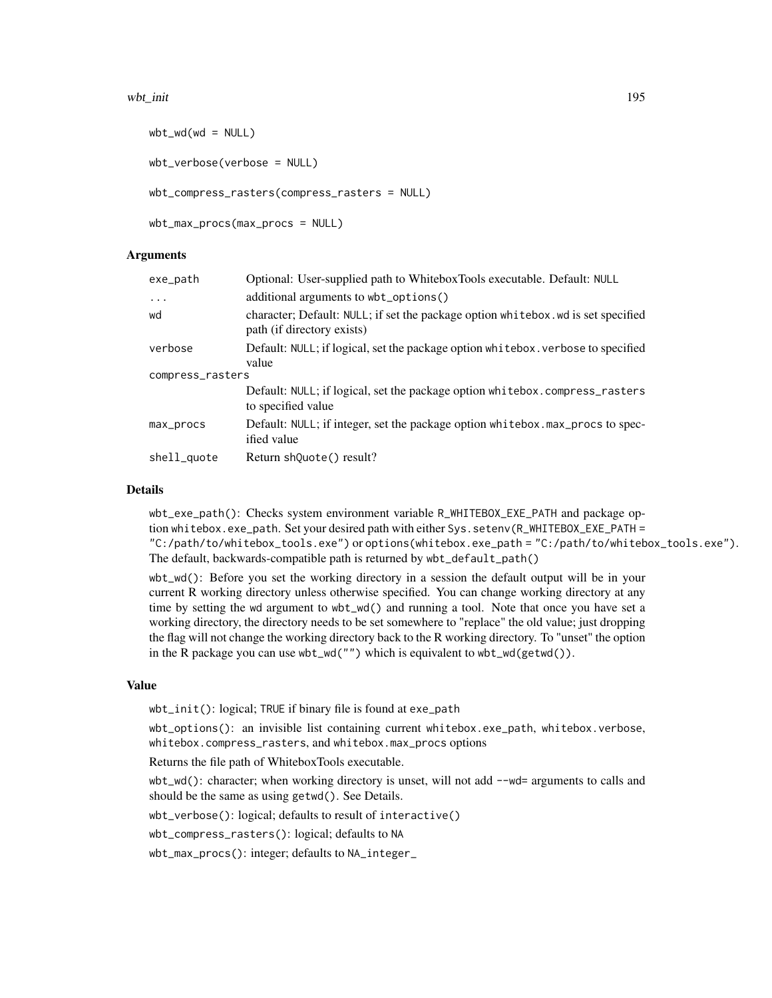#### wbt\_init 195

```
wbt_wdd(wd = NULL)wbt_verbose(verbose = NULL)
wbt_compress_rasters(compress_rasters = NULL)
wbt_max_procs(max_procs = NULL)
```
#### Arguments

| exe_path         | Optional: User-supplied path to WhiteboxTools executable. Default: NULL                                        |  |
|------------------|----------------------------------------------------------------------------------------------------------------|--|
| $\ddots$         | additional arguments to wbt_options()                                                                          |  |
| wd               | character; Default: NULL; if set the package option whitebox.wd is set specified<br>path (if directory exists) |  |
| verbose          | Default: NULL; if logical, set the package option whitebox. verbose to specified                               |  |
|                  | value                                                                                                          |  |
| compress_rasters |                                                                                                                |  |
|                  | Default: NULL; if logical, set the package option whitebox.compress_rasters<br>to specified value              |  |
| max_procs        | Default: NULL; if integer, set the package option whitebox.max_procs to spec-<br>ified value                   |  |
| shell_quote      | Return shouote() result?                                                                                       |  |

#### Details

wbt\_exe\_path(): Checks system environment variable R\_WHITEBOX\_EXE\_PATH and package option whitebox.exe\_path. Set your desired path with either Sys.setenv(R\_WHITEBOX\_EXE\_PATH = "C:/path/to/whitebox\_tools.exe") or options(whitebox.exe\_path = "C:/path/to/whitebox\_tools.exe"). The default, backwards-compatible path is returned by wbt\_default\_path()

wbt\_wd(): Before you set the working directory in a session the default output will be in your current R working directory unless otherwise specified. You can change working directory at any time by setting the wd argument to wbt\_wd() and running a tool. Note that once you have set a working directory, the directory needs to be set somewhere to "replace" the old value; just dropping the flag will not change the working directory back to the R working directory. To "unset" the option in the R package you can use wbt\_wd("") which is equivalent to wbt\_wd(getwd()).

#### Value

wbt\_init(): logical; TRUE if binary file is found at exe\_path

wbt\_options(): an invisible list containing current whitebox.exe\_path, whitebox.verbose, whitebox.compress\_rasters, and whitebox.max\_procs options

Returns the file path of WhiteboxTools executable.

wbt\_wd(): character; when working directory is unset, will not add --wd= arguments to calls and should be the same as using getwd(). See Details.

wbt\_verbose(): logical; defaults to result of interactive()

wbt\_compress\_rasters(): logical; defaults to NA

wbt\_max\_procs(): integer; defaults to NA\_integer\_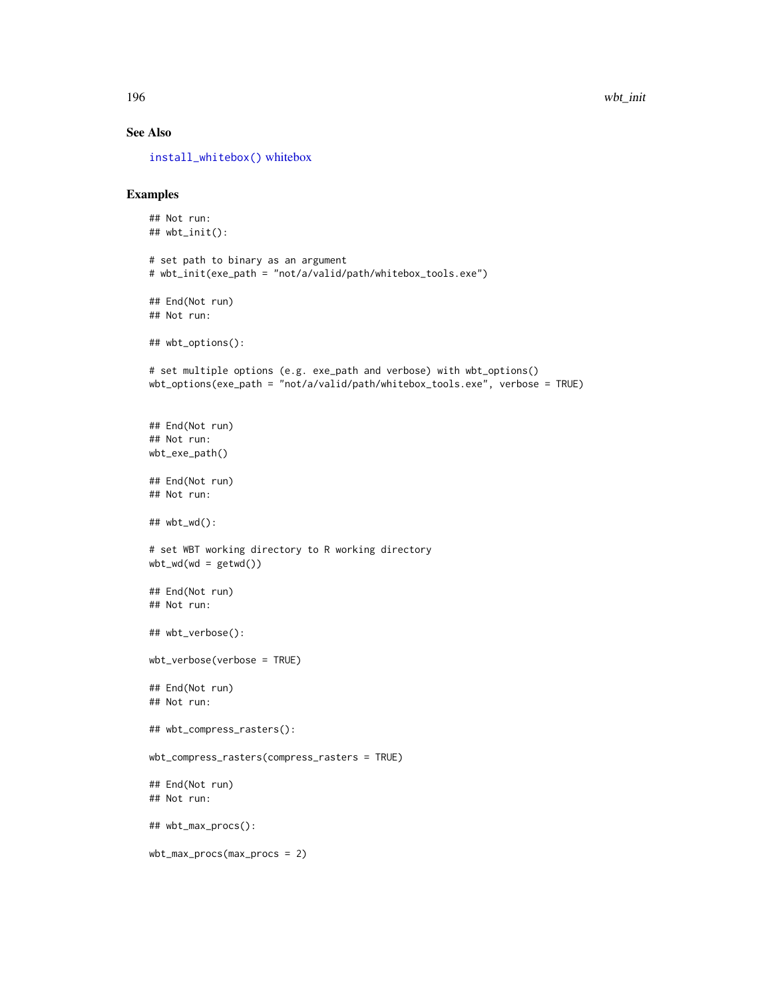#### See Also

[install\\_whitebox\(\)](#page-197-0) [whitebox](#page-0-0)

#### Examples

```
## Not run:
## wbt_init():
# set path to binary as an argument
# wbt_init(exe_path = "not/a/valid/path/whitebox_tools.exe")
## End(Not run)
## Not run:
## wbt_options():
# set multiple options (e.g. exe_path and verbose) with wbt_options()
wbt_options(exe_path = "not/a/valid/path/whitebox_tools.exe", verbose = TRUE)
## End(Not run)
## Not run:
wbt_exe_path()
## End(Not run)
## Not run:
## wbt_wd():
# set WBT working directory to R working directory
wbt_wd(wd = getwd())## End(Not run)
## Not run:
## wbt_verbose():
wbt_verbose(verbose = TRUE)
## End(Not run)
## Not run:
## wbt_compress_rasters():
wbt_compress_rasters(compress_rasters = TRUE)
## End(Not run)
## Not run:
## wbt_max_procs():
wbt_max_procs(max_procs = 2)
```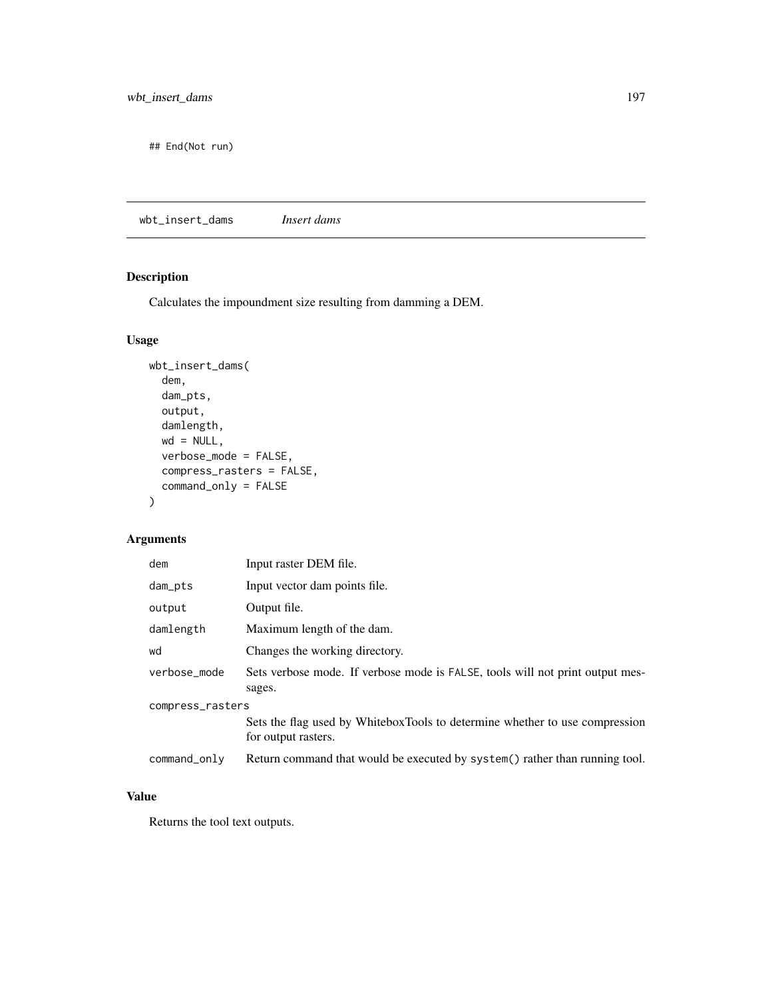## End(Not run)

wbt\_insert\_dams *Insert dams*

#### Description

Calculates the impoundment size resulting from damming a DEM.

#### Usage

```
wbt_insert_dams(
  dem,
  dam_pts,
 output,
 damlength,
 wd = NULL,verbose_mode = FALSE,
  compress_rasters = FALSE,
  command_only = FALSE
)
```
#### Arguments

| dem              | Input raster DEM file.                                                                             |  |
|------------------|----------------------------------------------------------------------------------------------------|--|
| dam_pts          | Input vector dam points file.                                                                      |  |
| output           | Output file.                                                                                       |  |
| damlength        | Maximum length of the dam.                                                                         |  |
| wd               | Changes the working directory.                                                                     |  |
| verbose_mode     | Sets verbose mode. If verbose mode is FALSE, tools will not print output mes-<br>sages.            |  |
| compress_rasters |                                                                                                    |  |
|                  | Sets the flag used by WhiteboxTools to determine whether to use compression<br>for output rasters. |  |
| command_only     | Return command that would be executed by system() rather than running tool.                        |  |

#### Value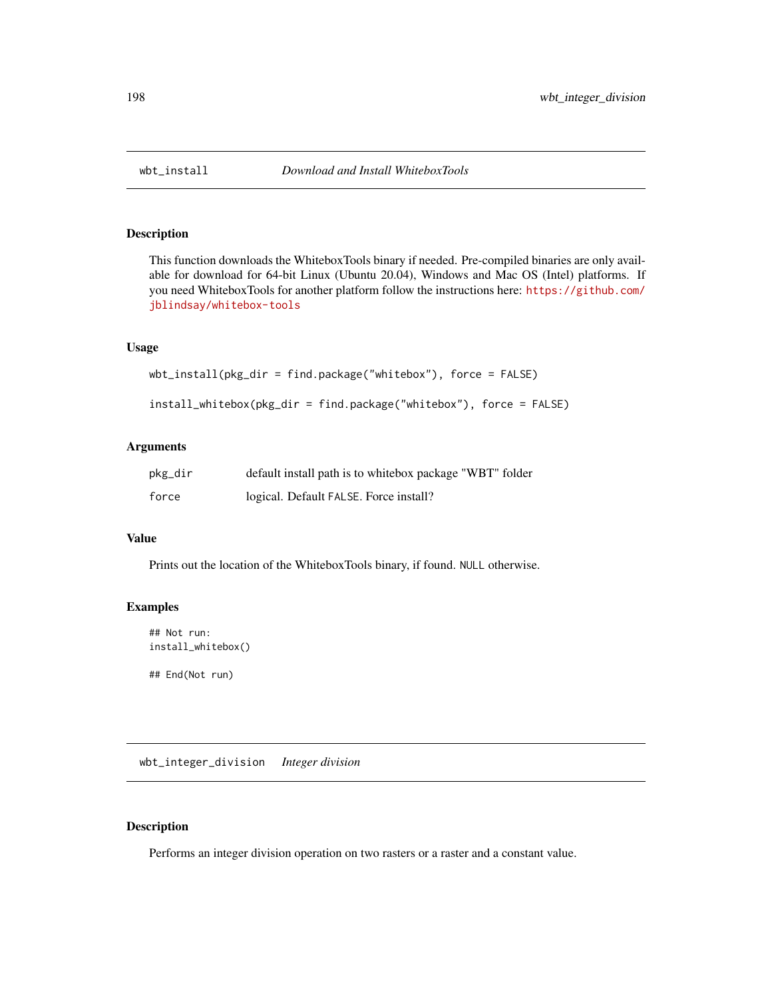#### <span id="page-197-0"></span>Description

This function downloads the WhiteboxTools binary if needed. Pre-compiled binaries are only available for download for 64-bit Linux (Ubuntu 20.04), Windows and Mac OS (Intel) platforms. If you need WhiteboxTools for another platform follow the instructions here: [https://github.com/](https://github.com/jblindsay/whitebox-tools) [jblindsay/whitebox-tools](https://github.com/jblindsay/whitebox-tools)

#### Usage

```
wbt_install(pkg_dir = find.package("whitebox"), force = FALSE)
```

```
install_whitebox(pkg_dir = find.package("whitebox"), force = FALSE)
```
#### Arguments

| pkg_dir | default install path is to whitebox package "WBT" folder |
|---------|----------------------------------------------------------|
| force   | logical. Default FALSE. Force install?                   |

#### Value

Prints out the location of the WhiteboxTools binary, if found. NULL otherwise.

#### Examples

```
## Not run:
install_whitebox()
```
## End(Not run)

wbt\_integer\_division *Integer division*

#### Description

Performs an integer division operation on two rasters or a raster and a constant value.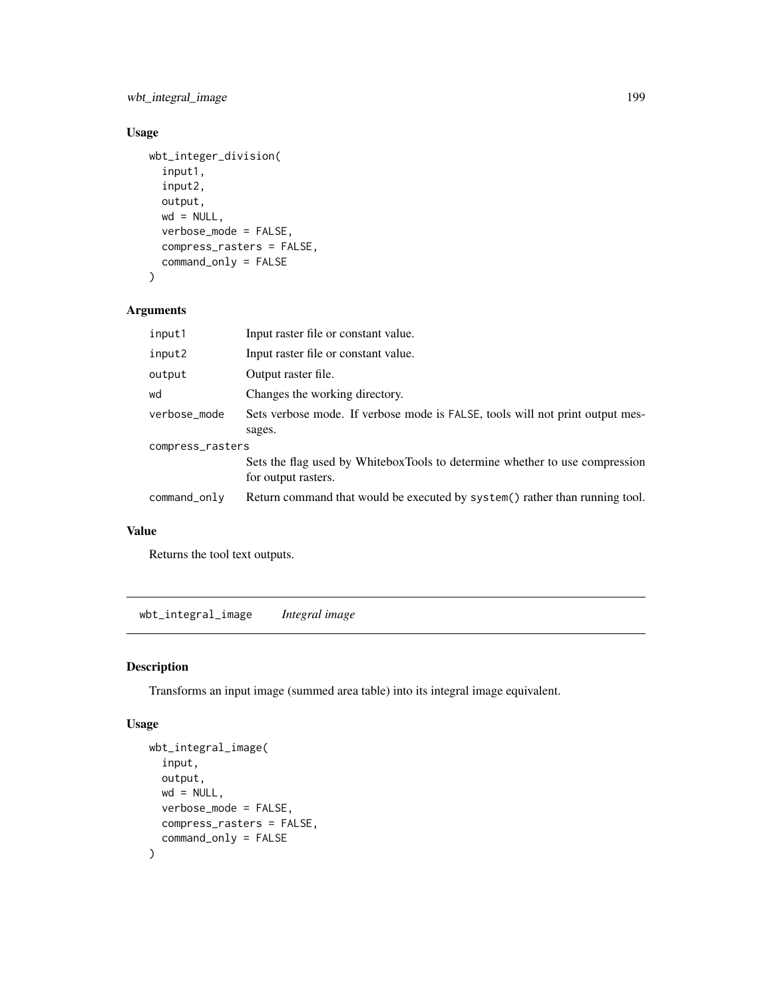wbt\_integral\_image 199

# Usage

```
wbt_integer_division(
  input1,
  input2,
 output,
 wd = NULL,verbose_mode = FALSE,
  compress_rasters = FALSE,
  command_only = FALSE
\mathcal{L}
```
#### Arguments

| input1           | Input raster file or constant value.                                                               |  |
|------------------|----------------------------------------------------------------------------------------------------|--|
| input2           | Input raster file or constant value.                                                               |  |
| output           | Output raster file.                                                                                |  |
| wd               | Changes the working directory.                                                                     |  |
| verbose_mode     | Sets verbose mode. If verbose mode is FALSE, tools will not print output mes-                      |  |
|                  | sages.                                                                                             |  |
| compress_rasters |                                                                                                    |  |
|                  | Sets the flag used by WhiteboxTools to determine whether to use compression<br>for output rasters. |  |
| command_only     | Return command that would be executed by system () rather than running tool.                       |  |

#### Value

Returns the tool text outputs.

wbt\_integral\_image *Integral image*

# Description

Transforms an input image (summed area table) into its integral image equivalent.

```
wbt_integral_image(
  input,
 output,
 wd = NULL,verbose_mode = FALSE,
 compress_rasters = FALSE,
  command_only = FALSE
\mathcal{L}
```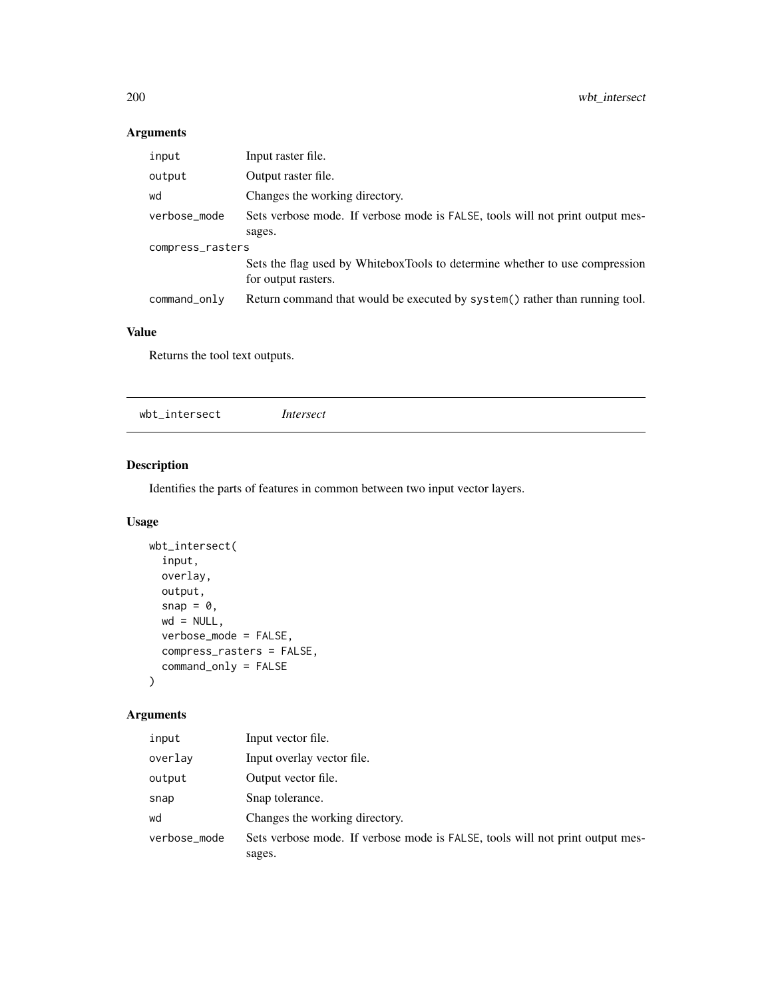| input            | Input raster file.                                                                                 |  |
|------------------|----------------------------------------------------------------------------------------------------|--|
| output           | Output raster file.                                                                                |  |
| wd               | Changes the working directory.                                                                     |  |
| verbose_mode     | Sets verbose mode. If verbose mode is FALSE, tools will not print output mes-                      |  |
|                  | sages.                                                                                             |  |
| compress_rasters |                                                                                                    |  |
|                  | Sets the flag used by WhiteboxTools to determine whether to use compression<br>for output rasters. |  |
| command_only     | Return command that would be executed by system() rather than running tool.                        |  |

# Value

Returns the tool text outputs.

wbt\_intersect *Intersect*

# Description

Identifies the parts of features in common between two input vector layers.

#### Usage

```
wbt_intersect(
  input,
  overlay,
  output,
  snap = \theta,
  wd = NULL,verbose_mode = FALSE,
  compress_rasters = FALSE,
  command_only = FALSE
\mathcal{L}
```
#### Arguments

| input        | Input vector file.                                                            |
|--------------|-------------------------------------------------------------------------------|
| overlay      | Input overlay vector file.                                                    |
| output       | Output vector file.                                                           |
| snap         | Snap tolerance.                                                               |
| wd           | Changes the working directory.                                                |
| verbose_mode | Sets verbose mode. If verbose mode is FALSE, tools will not print output mes- |
|              | sages.                                                                        |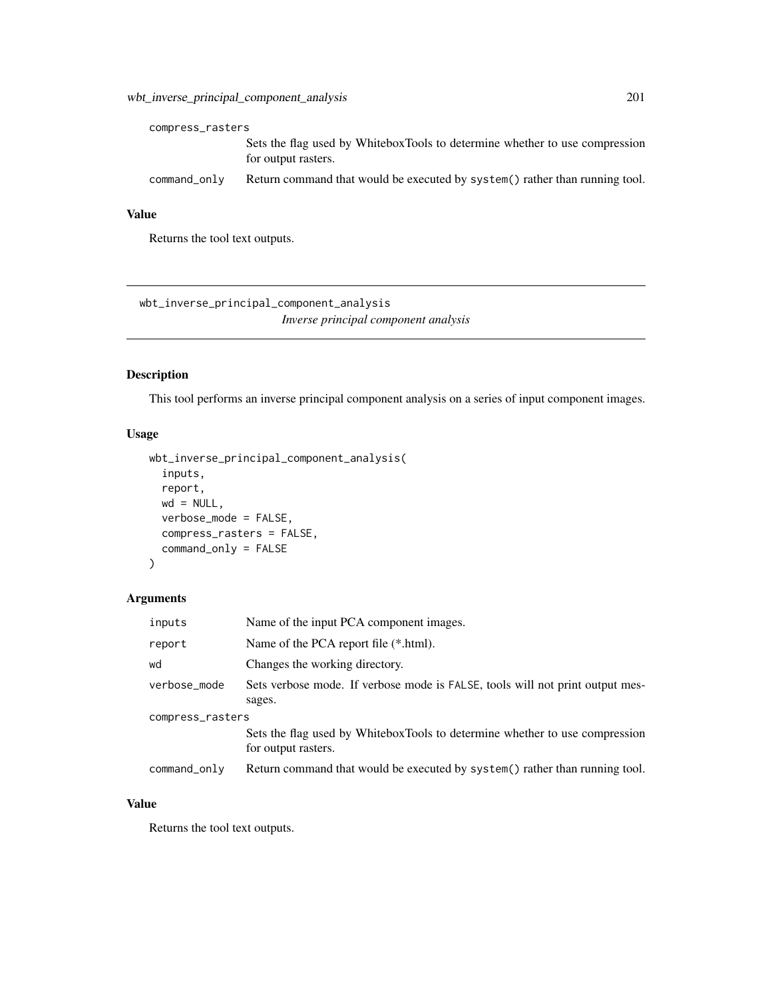| compress_rasters |                                                                                                    |
|------------------|----------------------------------------------------------------------------------------------------|
|                  | Sets the flag used by WhiteboxTools to determine whether to use compression<br>for output rasters. |
| command_only     | Return command that would be executed by system() rather than running tool.                        |

#### Value

Returns the tool text outputs.

wbt\_inverse\_principal\_component\_analysis *Inverse principal component analysis*

# Description

This tool performs an inverse principal component analysis on a series of input component images.

#### Usage

```
wbt_inverse_principal_component_analysis(
  inputs,
  report,
 wd = NULL,verbose_mode = FALSE,
 compress_rasters = FALSE,
  command_only = FALSE
\mathcal{L}
```
#### Arguments

| inputs           | Name of the input PCA component images.                                                            |  |
|------------------|----------------------------------------------------------------------------------------------------|--|
| report           | Name of the PCA report file (*.html).                                                              |  |
| wd               | Changes the working directory.                                                                     |  |
| verbose_mode     | Sets verbose mode. If verbose mode is FALSE, tools will not print output mes-                      |  |
|                  | sages.                                                                                             |  |
| compress_rasters |                                                                                                    |  |
|                  | Sets the flag used by WhiteboxTools to determine whether to use compression<br>for output rasters. |  |
| command_only     | Return command that would be executed by system() rather than running tool.                        |  |

# Value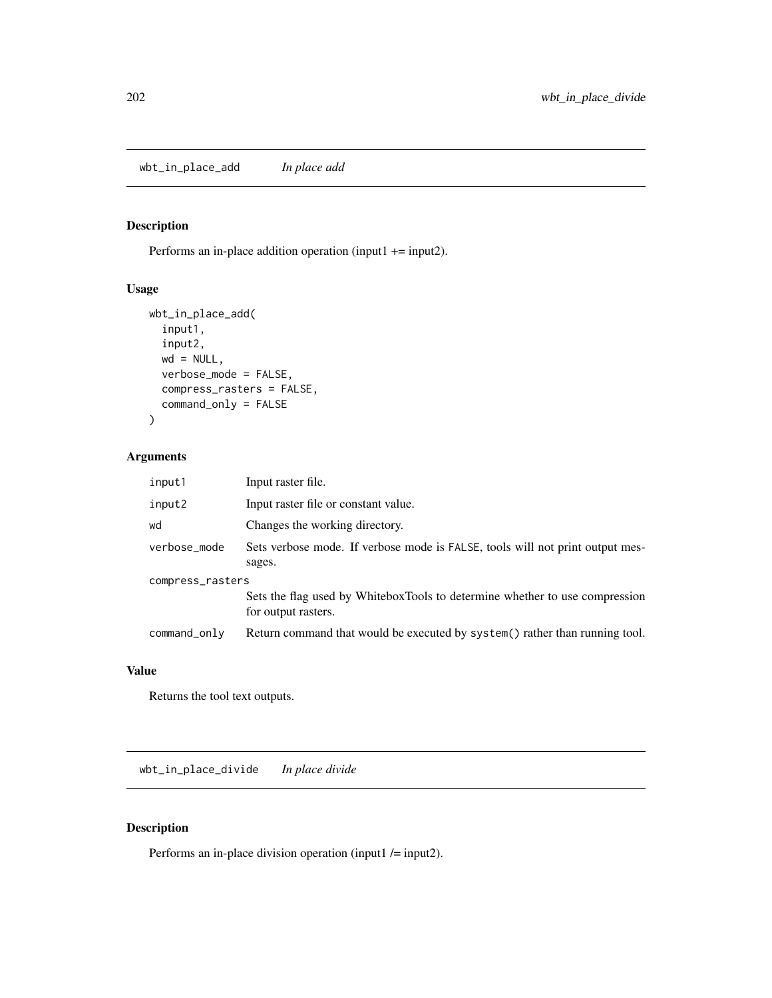wbt\_in\_place\_add *In place add*

#### Description

Performs an in-place addition operation (input1 += input2).

#### Usage

```
wbt_in_place_add(
  input1,
  input2,
 wd = NULL,verbose_mode = FALSE,
  compress_rasters = FALSE,
  command_only = FALSE
)
```
# Arguments

| input1           | Input raster file.                                                                                 |  |
|------------------|----------------------------------------------------------------------------------------------------|--|
| input2           | Input raster file or constant value.                                                               |  |
| wd               | Changes the working directory.                                                                     |  |
| verbose_mode     | Sets verbose mode. If verbose mode is FALSE, tools will not print output mes-<br>sages.            |  |
| compress_rasters |                                                                                                    |  |
|                  | Sets the flag used by WhiteboxTools to determine whether to use compression<br>for output rasters. |  |
| command_only     | Return command that would be executed by system() rather than running tool.                        |  |

#### Value

Returns the tool text outputs.

wbt\_in\_place\_divide *In place divide*

#### Description

Performs an in-place division operation (input1 /= input2).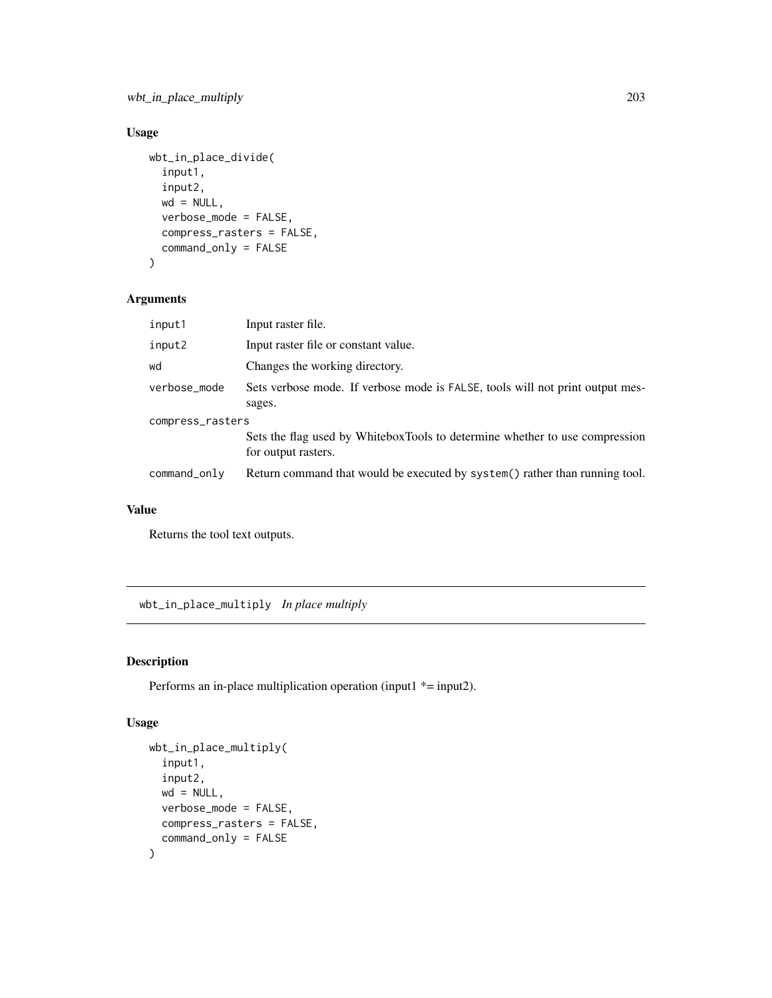#### Usage

```
wbt_in_place_divide(
  input1,
  input2,
 wd = NULL,verbose_mode = FALSE,
  compress_rasters = FALSE,
 command_only = FALSE
\mathcal{L}
```
#### Arguments

| input1           | Input raster file.                                                                                 |  |
|------------------|----------------------------------------------------------------------------------------------------|--|
| input2           | Input raster file or constant value.                                                               |  |
| wd               | Changes the working directory.                                                                     |  |
| verbose_mode     | Sets verbose mode. If verbose mode is FALSE, tools will not print output mes-<br>sages.            |  |
| compress_rasters |                                                                                                    |  |
|                  | Sets the flag used by WhiteboxTools to determine whether to use compression<br>for output rasters. |  |
| command_only     | Return command that would be executed by system() rather than running tool.                        |  |

#### Value

Returns the tool text outputs.

wbt\_in\_place\_multiply *In place multiply*

#### Description

Performs an in-place multiplication operation (input1  $*$  = input2).

```
wbt_in_place_multiply(
  input1,
  input2,
 wd = NULL,verbose_mode = FALSE,
 compress_rasters = FALSE,
  command_only = FALSE
\mathcal{L}
```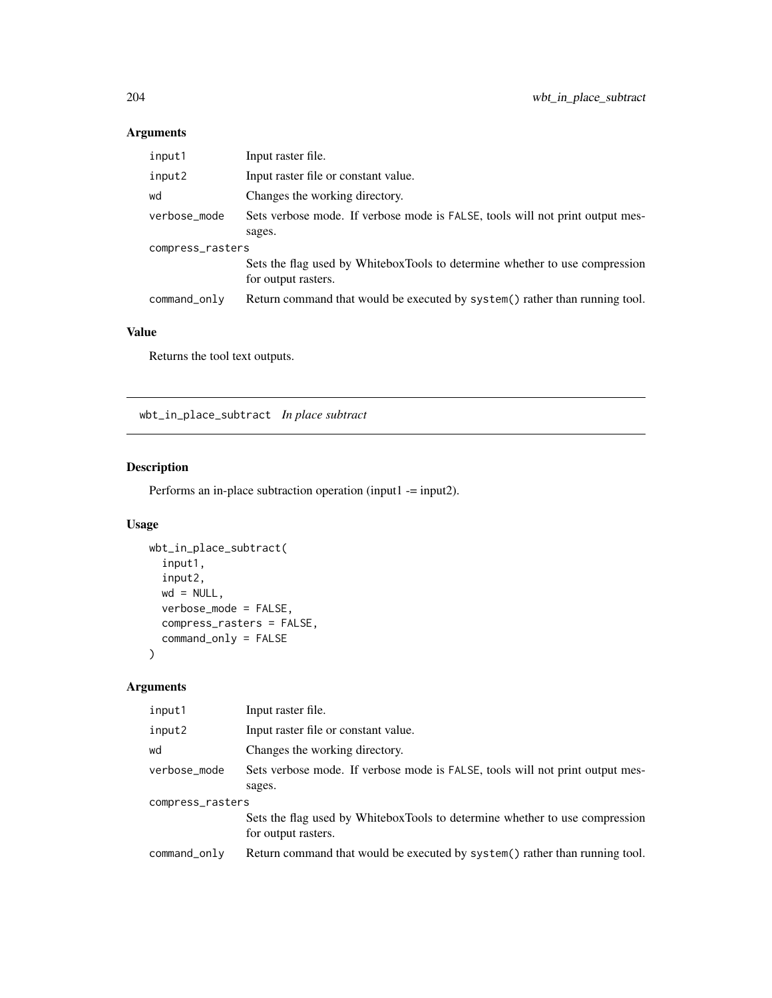| input1           | Input raster file.                                                                                 |  |
|------------------|----------------------------------------------------------------------------------------------------|--|
| input2           | Input raster file or constant value.                                                               |  |
| wd               | Changes the working directory.                                                                     |  |
| verbose_mode     | Sets verbose mode. If verbose mode is FALSE, tools will not print output mes-                      |  |
|                  | sages.                                                                                             |  |
| compress_rasters |                                                                                                    |  |
|                  | Sets the flag used by WhiteboxTools to determine whether to use compression<br>for output rasters. |  |
| command_only     | Return command that would be executed by system() rather than running tool.                        |  |

# Value

Returns the tool text outputs.

wbt\_in\_place\_subtract *In place subtract*

# Description

Performs an in-place subtraction operation (input1 -= input2).

#### Usage

```
wbt_in_place_subtract(
  input1,
  input2,
  wd = NULL,verbose_mode = FALSE,
  compress_rasters = FALSE,
  command_only = FALSE
\mathcal{L}
```
# Arguments

| input1           | Input raster file.                                                                                 |  |
|------------------|----------------------------------------------------------------------------------------------------|--|
| input2           | Input raster file or constant value.                                                               |  |
| wd               | Changes the working directory.                                                                     |  |
| verbose_mode     | Sets verbose mode. If verbose mode is FALSE, tools will not print output mes-<br>sages.            |  |
| compress_rasters |                                                                                                    |  |
|                  | Sets the flag used by WhiteboxTools to determine whether to use compression<br>for output rasters. |  |
| command_only     | Return command that would be executed by system() rather than running tool.                        |  |
|                  |                                                                                                    |  |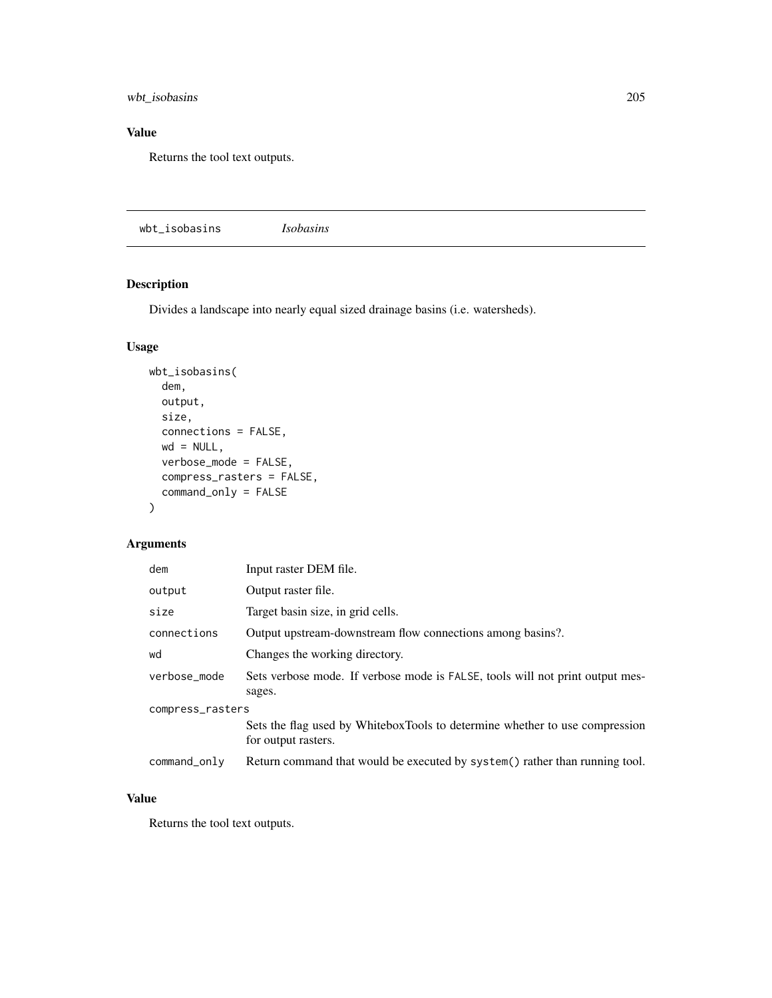wbt\_isobasins 205

#### Value

Returns the tool text outputs.

wbt\_isobasins *Isobasins*

# Description

Divides a landscape into nearly equal sized drainage basins (i.e. watersheds).

#### Usage

```
wbt_isobasins(
 dem,
 output,
 size,
 connections = FALSE,
 wd = NULL,verbose_mode = FALSE,
 compress_rasters = FALSE,
 command_only = FALSE
)
```
#### Arguments

| dem              | Input raster DEM file.                                                                             |  |
|------------------|----------------------------------------------------------------------------------------------------|--|
| output           | Output raster file.                                                                                |  |
| size             | Target basin size, in grid cells.                                                                  |  |
| connections      | Output upstream-downstream flow connections among basins?.                                         |  |
| wd               | Changes the working directory.                                                                     |  |
| verbose_mode     | Sets verbose mode. If verbose mode is FALSE, tools will not print output mes-<br>sages.            |  |
| compress_rasters |                                                                                                    |  |
|                  | Sets the flag used by WhiteboxTools to determine whether to use compression<br>for output rasters. |  |
| $command\_only$  | Return command that would be executed by system() rather than running tool.                        |  |

#### Value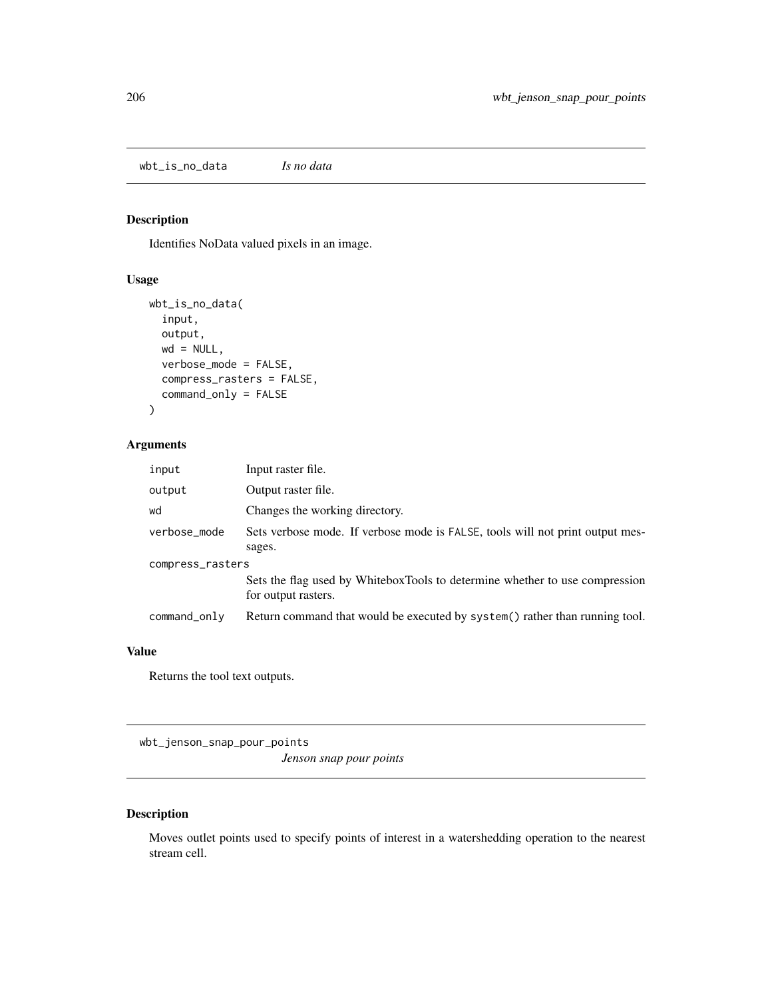wbt\_is\_no\_data *Is no data*

#### Description

Identifies NoData valued pixels in an image.

#### Usage

```
wbt_is_no_data(
  input,
 output,
 wd = NULL,verbose_mode = FALSE,
  compress_rasters = FALSE,
  command_only = FALSE
)
```
#### Arguments

| input            | Input raster file.                                                                                 |  |
|------------------|----------------------------------------------------------------------------------------------------|--|
| output           | Output raster file.                                                                                |  |
| wd               | Changes the working directory.                                                                     |  |
| verbose_mode     | Sets verbose mode. If verbose mode is FALSE, tools will not print output mes-<br>sages.            |  |
| compress_rasters |                                                                                                    |  |
|                  | Sets the flag used by WhiteboxTools to determine whether to use compression<br>for output rasters. |  |
| $command\_only$  | Return command that would be executed by system() rather than running tool.                        |  |

#### Value

Returns the tool text outputs.

wbt\_jenson\_snap\_pour\_points

*Jenson snap pour points*

# Description

Moves outlet points used to specify points of interest in a watershedding operation to the nearest stream cell.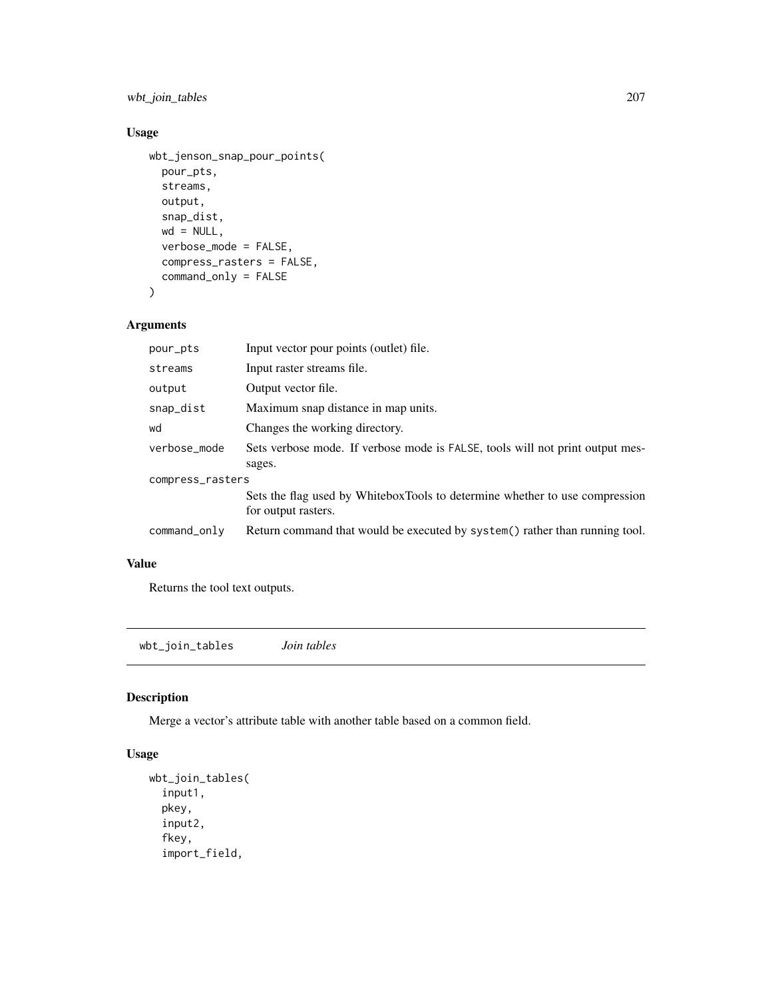wbt\_join\_tables 207

#### Usage

```
wbt_jenson_snap_pour_points(
 pour_pts,
  streams,
 output,
  snap_dist,
 wd = NULL,verbose_mode = FALSE,
  compress_rasters = FALSE,
  command_only = FALSE
\mathcal{L}
```
# Arguments

| pour_pts         | Input vector pour points (outlet) file.                                                            |  |
|------------------|----------------------------------------------------------------------------------------------------|--|
| streams          | Input raster streams file.                                                                         |  |
| output           | Output vector file.                                                                                |  |
| snap_dist        | Maximum snap distance in map units.                                                                |  |
| wd               | Changes the working directory.                                                                     |  |
| verbose_mode     | Sets verbose mode. If verbose mode is FALSE, tools will not print output mes-<br>sages.            |  |
| compress_rasters |                                                                                                    |  |
|                  | Sets the flag used by WhiteboxTools to determine whether to use compression<br>for output rasters. |  |
| command_only     | Return command that would be executed by system() rather than running tool.                        |  |
|                  |                                                                                                    |  |

# Value

Returns the tool text outputs.

wbt\_join\_tables *Join tables*

#### Description

Merge a vector's attribute table with another table based on a common field.

```
wbt_join_tables(
  input1,
 pkey,
  input2,
  fkey,
  import_field,
```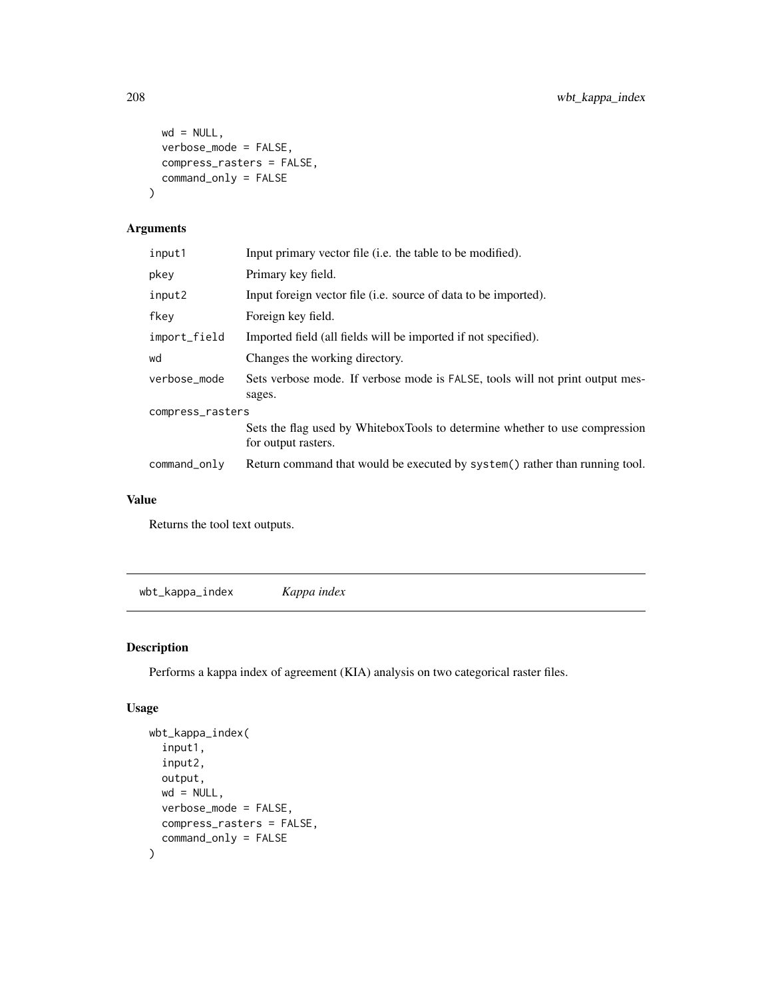```
wd = NULL,verbose_mode = FALSE,
 compress_rasters = FALSE,
 command_only = FALSE
)
```

| input1           | Input primary vector file (i.e. the table to be modified).                                         |  |
|------------------|----------------------------------------------------------------------------------------------------|--|
| pkey             | Primary key field.                                                                                 |  |
| input2           | Input foreign vector file ( <i>i.e.</i> source of data to be imported).                            |  |
| fkey             | Foreign key field.                                                                                 |  |
| import_field     | Imported field (all fields will be imported if not specified).                                     |  |
| wd               | Changes the working directory.                                                                     |  |
| verbose_mode     | Sets verbose mode. If verbose mode is FALSE, tools will not print output mes-<br>sages.            |  |
| compress_rasters |                                                                                                    |  |
|                  | Sets the flag used by WhiteboxTools to determine whether to use compression<br>for output rasters. |  |
| command_only     | Return command that would be executed by system() rather than running tool.                        |  |
|                  |                                                                                                    |  |

#### Value

Returns the tool text outputs.

wbt\_kappa\_index *Kappa index*

# Description

Performs a kappa index of agreement (KIA) analysis on two categorical raster files.

```
wbt_kappa_index(
  input1,
  input2,
 output,
 wd = NULL,verbose_mode = FALSE,
 compress_rasters = FALSE,
  command_only = FALSE
\mathcal{L}
```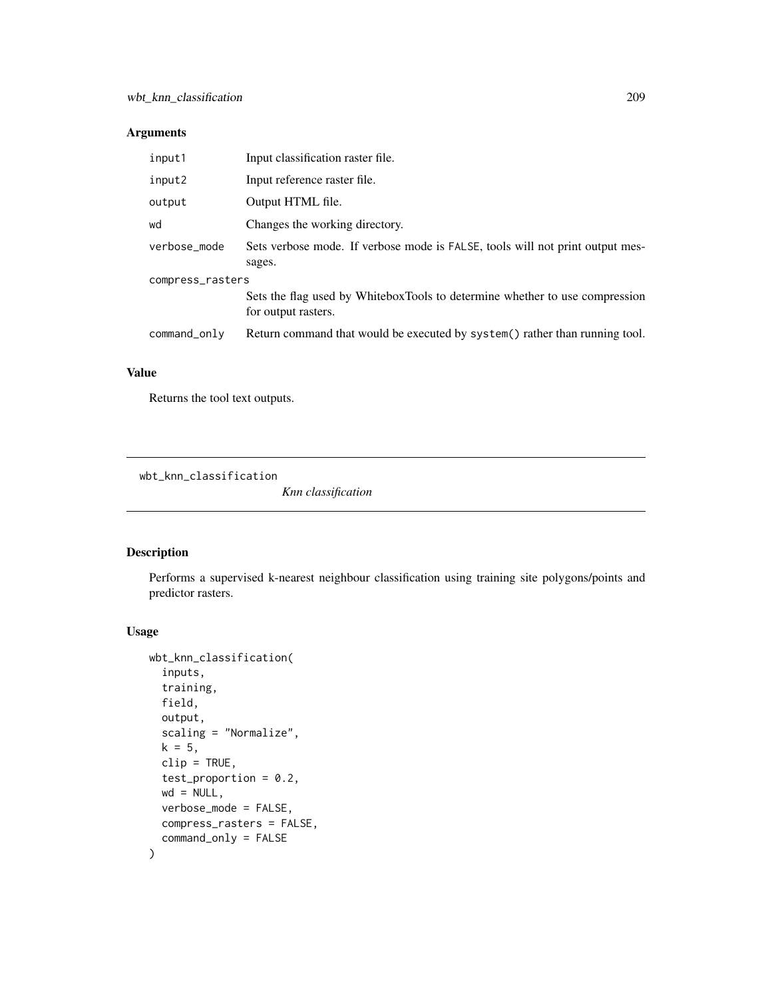| input1           | Input classification raster file.                                                                  |  |
|------------------|----------------------------------------------------------------------------------------------------|--|
| input2           | Input reference raster file.                                                                       |  |
| output           | Output HTML file.                                                                                  |  |
| wd               | Changes the working directory.                                                                     |  |
| verbose_mode     | Sets verbose mode. If verbose mode is FALSE, tools will not print output mes-<br>sages.            |  |
| compress_rasters |                                                                                                    |  |
|                  | Sets the flag used by WhiteboxTools to determine whether to use compression<br>for output rasters. |  |
| $command\_only$  | Return command that would be executed by system() rather than running tool.                        |  |

#### Value

Returns the tool text outputs.

wbt\_knn\_classification

*Knn classification*

#### Description

Performs a supervised k-nearest neighbour classification using training site polygons/points and predictor rasters.

```
wbt_knn_classification(
  inputs,
  training,
  field,
  output,
  scaling = "Normalize",
 k = 5,clip = TRUE,
  test_proportion = 0.2,
 wd = NULL,verbose_mode = FALSE,
 compress_rasters = FALSE,
  command_only = FALSE
\mathcal{L}
```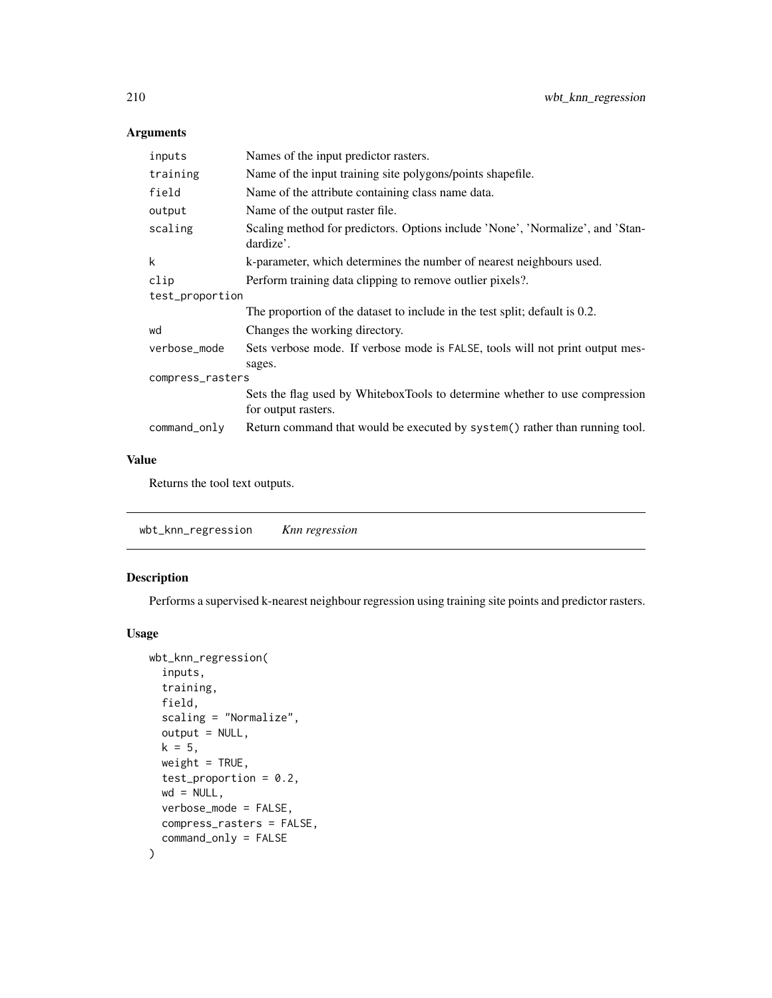| inputs           | Names of the input predictor rasters.                                                              |  |
|------------------|----------------------------------------------------------------------------------------------------|--|
| training         | Name of the input training site polygons/points shapefile.                                         |  |
| field            | Name of the attribute containing class name data.                                                  |  |
| output           | Name of the output raster file.                                                                    |  |
| scaling          | Scaling method for predictors. Options include 'None', 'Normalize', and 'Stan-<br>dardize'.        |  |
| k                | k-parameter, which determines the number of nearest neighbours used.                               |  |
| clip             | Perform training data clipping to remove outlier pixels?.                                          |  |
| test_proportion  |                                                                                                    |  |
|                  | The proportion of the dataset to include in the test split; default is 0.2.                        |  |
| wd               | Changes the working directory.                                                                     |  |
| verbose_mode     | Sets verbose mode. If verbose mode is FALSE, tools will not print output mes-<br>sages.            |  |
| compress_rasters |                                                                                                    |  |
|                  | Sets the flag used by WhiteboxTools to determine whether to use compression<br>for output rasters. |  |
| command_only     | Return command that would be executed by system() rather than running tool.                        |  |

#### Value

Returns the tool text outputs.

wbt\_knn\_regression *Knn regression*

#### Description

Performs a supervised k-nearest neighbour regression using training site points and predictor rasters.

```
wbt_knn_regression(
  inputs,
  training,
 field,
  scaling = "Normalize",
 output = NULL,
 k = 5,
 weight = TRUE,test_proportion = 0.2,
 wd = NULL,verbose_mode = FALSE,
 compress_rasters = FALSE,
  command_only = FALSE
\mathcal{L}
```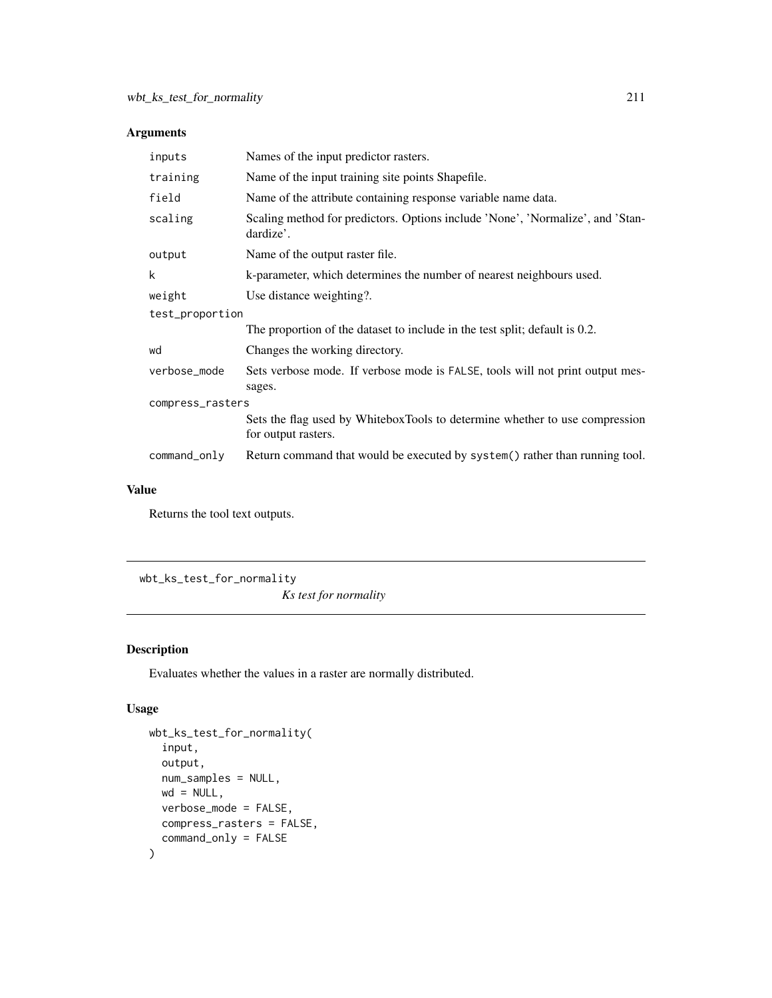| inputs           | Names of the input predictor rasters.                                                              |  |
|------------------|----------------------------------------------------------------------------------------------------|--|
| training         | Name of the input training site points Shapefile.                                                  |  |
| field            | Name of the attribute containing response variable name data.                                      |  |
| scaling          | Scaling method for predictors. Options include 'None', 'Normalize', and 'Stan-<br>dardize'.        |  |
| output           | Name of the output raster file.                                                                    |  |
| k                | k-parameter, which determines the number of nearest neighbours used.                               |  |
| weight           | Use distance weighting?.                                                                           |  |
| test_proportion  |                                                                                                    |  |
|                  | The proportion of the dataset to include in the test split; default is 0.2.                        |  |
| wd               | Changes the working directory.                                                                     |  |
| verbose_mode     | Sets verbose mode. If verbose mode is FALSE, tools will not print output mes-<br>sages.            |  |
| compress_rasters |                                                                                                    |  |
|                  | Sets the flag used by WhiteboxTools to determine whether to use compression<br>for output rasters. |  |
| command_only     | Return command that would be executed by system() rather than running tool.                        |  |

#### Value

Returns the tool text outputs.

wbt\_ks\_test\_for\_normality *Ks test for normality*

# Description

Evaluates whether the values in a raster are normally distributed.

```
wbt_ks_test_for_normality(
  input,
 output,
 num_samples = NULL,
 wd = NULL,verbose_mode = FALSE,
 compress_rasters = FALSE,
  command_only = FALSE
\mathcal{L}
```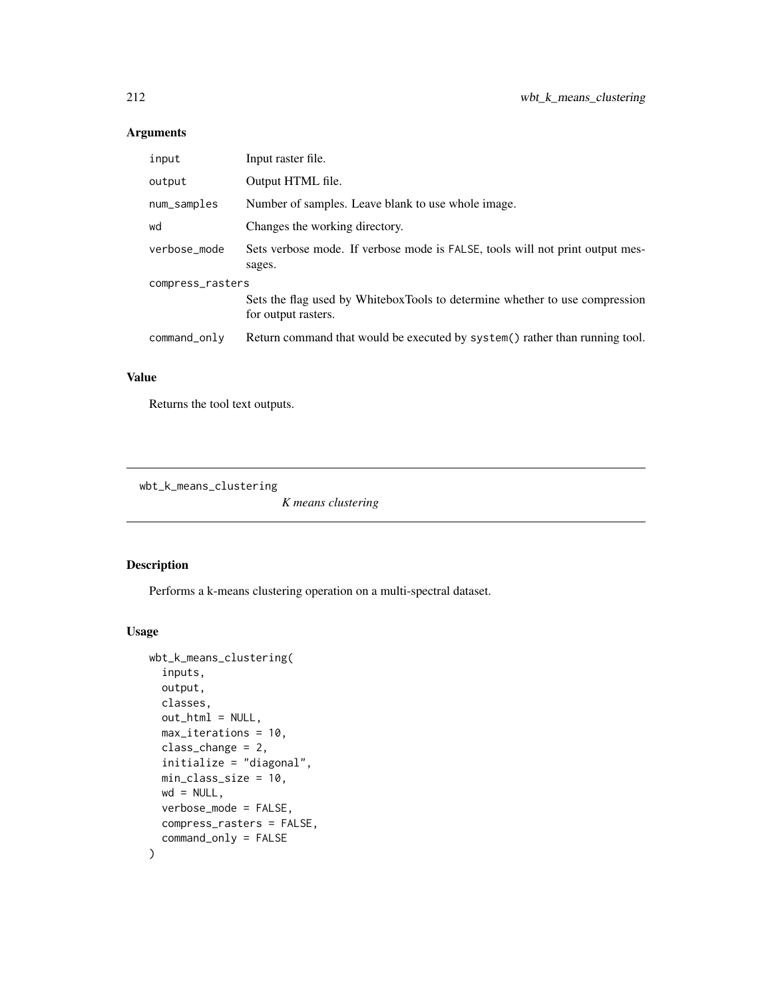| input            | Input raster file.                                                                                 |  |
|------------------|----------------------------------------------------------------------------------------------------|--|
| output           | Output HTML file.                                                                                  |  |
| num_samples      | Number of samples. Leave blank to use whole image.                                                 |  |
| wd               | Changes the working directory.                                                                     |  |
| verbose mode     | Sets verbose mode. If verbose mode is FALSE, tools will not print output mes-<br>sages.            |  |
| compress_rasters |                                                                                                    |  |
|                  | Sets the flag used by WhiteboxTools to determine whether to use compression<br>for output rasters. |  |
| command_only     | Return command that would be executed by system() rather than running tool.                        |  |

#### Value

Returns the tool text outputs.

wbt\_k\_means\_clustering

*K means clustering*

# Description

Performs a k-means clustering operation on a multi-spectral dataset.

```
wbt_k_means_clustering(
  inputs,
 output,
 classes,
  out_html = NULL,
 max_iterations = 10,
 class_change = 2,
  initialize = "diagonal",
 min_class_size = 10,
 wd = NULL,verbose_mode = FALSE,
  compress_rasters = FALSE,
  command_only = FALSE
\mathcal{L}
```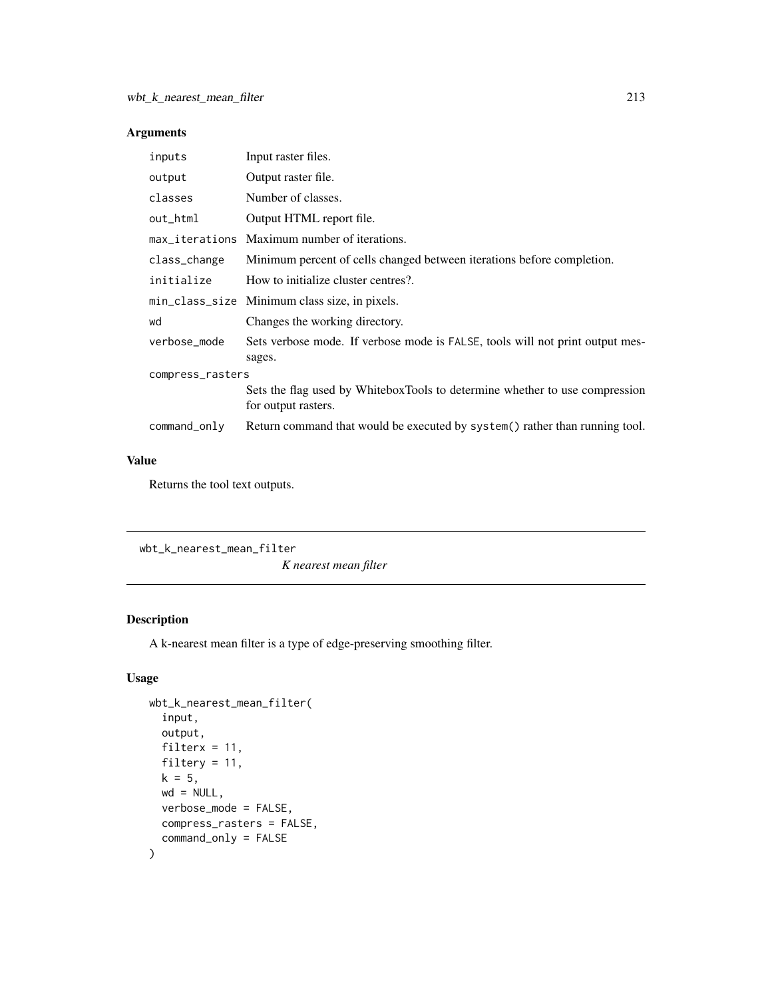| inputs           | Input raster files.                                                                                |
|------------------|----------------------------------------------------------------------------------------------------|
| output           | Output raster file.                                                                                |
| classes          | Number of classes.                                                                                 |
| out_html         | Output HTML report file.                                                                           |
|                  | max_iterations Maximum number of iterations.                                                       |
| class_change     | Minimum percent of cells changed between iterations before completion.                             |
| initialize       | How to initialize cluster centres?.                                                                |
|                  | min_class_size Minimum class size, in pixels.                                                      |
| wd               | Changes the working directory.                                                                     |
| verbose_mode     | Sets verbose mode. If verbose mode is FALSE, tools will not print output mes-<br>sages.            |
| compress_rasters |                                                                                                    |
|                  | Sets the flag used by WhiteboxTools to determine whether to use compression<br>for output rasters. |
| command_only     | Return command that would be executed by system() rather than running tool.                        |

#### Value

Returns the tool text outputs.

```
wbt_k_nearest_mean_filter
```
*K nearest mean filter*

# Description

A k-nearest mean filter is a type of edge-preserving smoothing filter.

```
wbt_k_nearest_mean_filter(
  input,
  output,
  filterx = 11,
  filtery = 11,
  k = 5,
  wd = NULL,verbose_mode = FALSE,
  compress_rasters = FALSE,
  command_only = FALSE
\mathcal{L}
```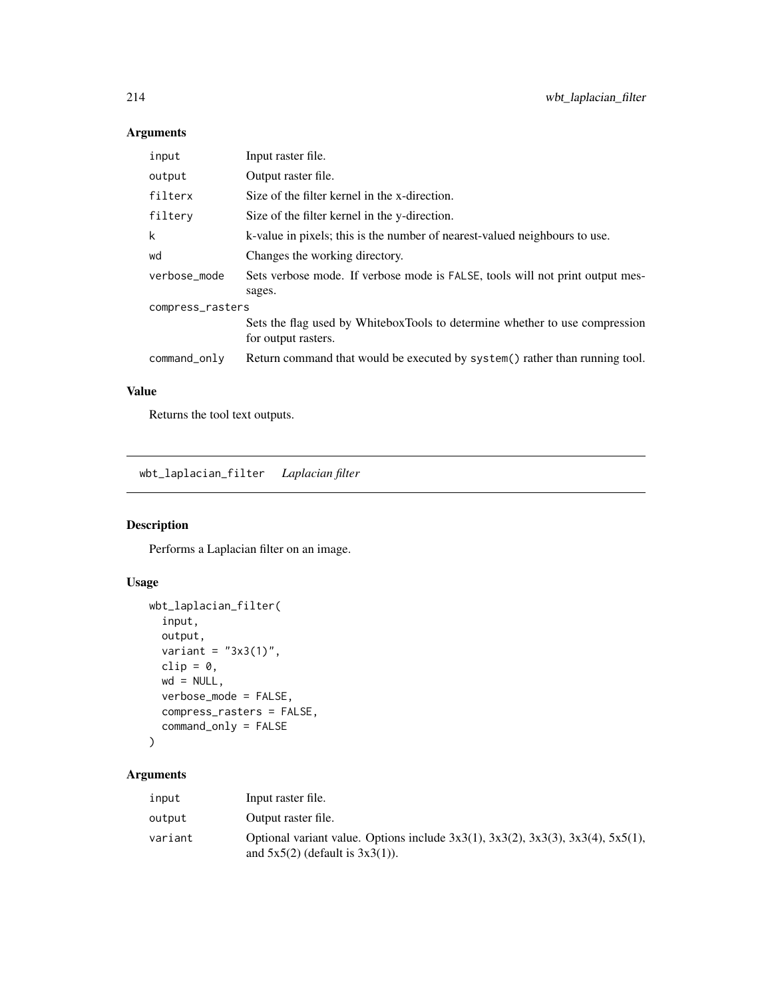| input            | Input raster file.                                                                                 |  |
|------------------|----------------------------------------------------------------------------------------------------|--|
| output           | Output raster file.                                                                                |  |
| filterx          | Size of the filter kernel in the x-direction.                                                      |  |
| filtery          | Size of the filter kernel in the y-direction.                                                      |  |
| k                | k-value in pixels; this is the number of nearest-valued neighbours to use.                         |  |
| wd               | Changes the working directory.                                                                     |  |
| verbose mode     | Sets verbose mode. If verbose mode is FALSE, tools will not print output mes-<br>sages.            |  |
| compress_rasters |                                                                                                    |  |
|                  | Sets the flag used by WhiteboxTools to determine whether to use compression<br>for output rasters. |  |
| command_only     | Return command that would be executed by system() rather than running tool.                        |  |

#### Value

Returns the tool text outputs.

wbt\_laplacian\_filter *Laplacian filter*

#### Description

Performs a Laplacian filter on an image.

#### Usage

```
wbt_laplacian_filter(
  input,
  output,
  variant = "3x3(1)",
  clip = 0,wd = NULL,verbose_mode = FALSE,
  compress_rasters = FALSE,
  command_only = FALSE
\mathcal{L}
```
# Arguments

| input   | Input raster file.                                                                                                                     |
|---------|----------------------------------------------------------------------------------------------------------------------------------------|
| output  | Output raster file.                                                                                                                    |
| variant | Optional variant value. Options include $3x3(1)$ , $3x3(2)$ , $3x3(3)$ , $3x3(4)$ , $5x5(1)$ ,<br>and $5x5(2)$ (default is $3x3(1)$ ). |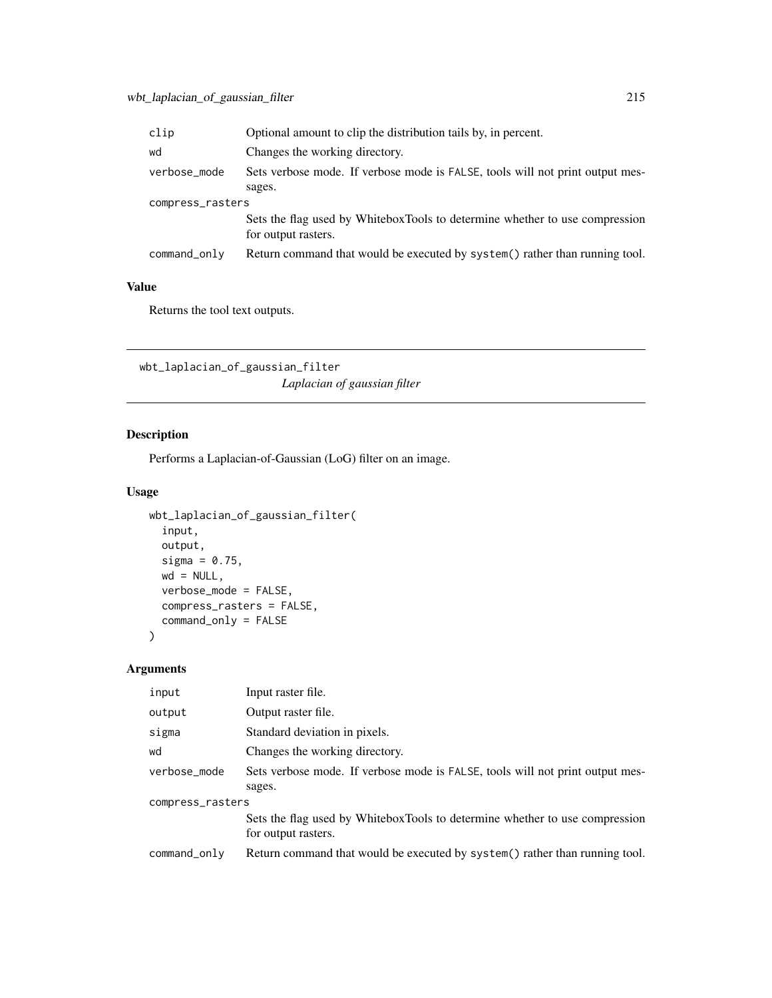| clip             | Optional amount to clip the distribution tails by, in percent.                                     |  |
|------------------|----------------------------------------------------------------------------------------------------|--|
| wd               | Changes the working directory.                                                                     |  |
| verbose_mode     | Sets verbose mode. If verbose mode is FALSE, tools will not print output mes-                      |  |
|                  | sages.                                                                                             |  |
| compress_rasters |                                                                                                    |  |
|                  | Sets the flag used by WhiteboxTools to determine whether to use compression<br>for output rasters. |  |
| command_only     | Return command that would be executed by system() rather than running tool.                        |  |

#### Value

Returns the tool text outputs.

wbt\_laplacian\_of\_gaussian\_filter *Laplacian of gaussian filter*

# Description

Performs a Laplacian-of-Gaussian (LoG) filter on an image.

# Usage

```
wbt_laplacian_of_gaussian_filter(
  input,
 output,
 sigma = 0.75,
 wd = NULL,verbose_mode = FALSE,
 compress_rasters = FALSE,
 command_only = FALSE
)
```
#### Arguments

| input            | Input raster file.                                                                                 |  |
|------------------|----------------------------------------------------------------------------------------------------|--|
| output           | Output raster file.                                                                                |  |
| sigma            | Standard deviation in pixels.                                                                      |  |
| wd               | Changes the working directory.                                                                     |  |
| verbose_mode     | Sets verbose mode. If verbose mode is FALSE, tools will not print output mes-                      |  |
|                  | sages.                                                                                             |  |
| compress_rasters |                                                                                                    |  |
|                  | Sets the flag used by WhiteboxTools to determine whether to use compression<br>for output rasters. |  |
| command_only     | Return command that would be executed by system() rather than running tool.                        |  |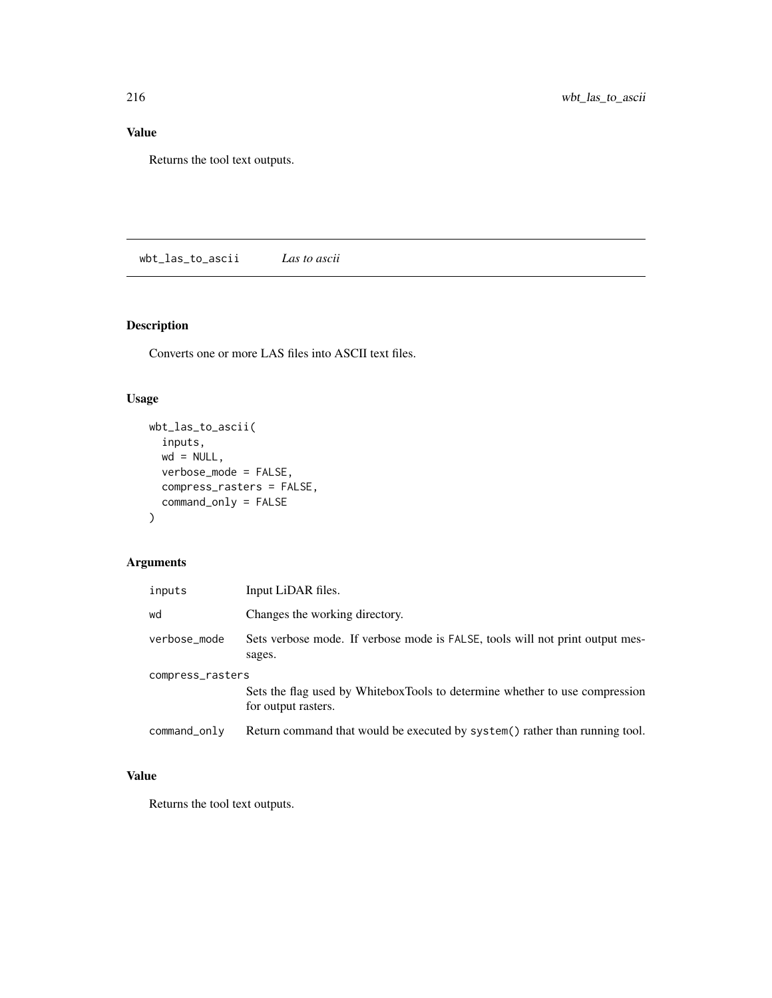#### Value

Returns the tool text outputs.

wbt\_las\_to\_ascii *Las to ascii*

# Description

Converts one or more LAS files into ASCII text files.

#### Usage

```
wbt_las_to_ascii(
  inputs,
 wd = NULL,verbose_mode = FALSE,
 compress_rasters = FALSE,
 command_only = FALSE
)
```
# Arguments

| inputs           | Input LiDAR files.                                                                                 |  |
|------------------|----------------------------------------------------------------------------------------------------|--|
| wd               | Changes the working directory.                                                                     |  |
| verbose_mode     | Sets verbose mode. If verbose mode is FALSE, tools will not print output mes-<br>sages.            |  |
| compress_rasters |                                                                                                    |  |
|                  | Sets the flag used by WhiteboxTools to determine whether to use compression<br>for output rasters. |  |
| command_only     | Return command that would be executed by system() rather than running tool.                        |  |

# Value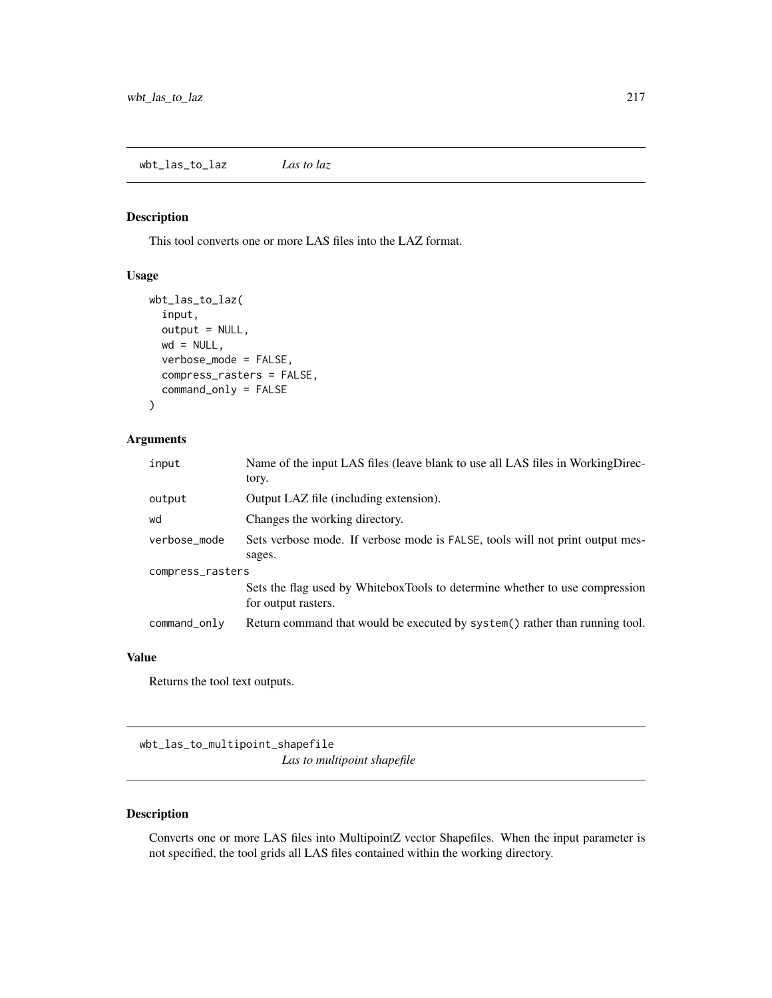## Description

This tool converts one or more LAS files into the LAZ format.

#### Usage

```
wbt_las_to_laz(
  input,
  output = NULL,
 wd = NULL,verbose_mode = FALSE,
  compress_rasters = FALSE,
  command_only = FALSE
)
```
## Arguments

| input            | Name of the input LAS files (leave blank to use all LAS files in WorkingDirec-<br>tory.            |  |
|------------------|----------------------------------------------------------------------------------------------------|--|
| output           | Output LAZ file (including extension).                                                             |  |
| wd               | Changes the working directory.                                                                     |  |
| verbose_mode     | Sets verbose mode. If verbose mode is FALSE, tools will not print output mes-                      |  |
|                  | sages.                                                                                             |  |
| compress_rasters |                                                                                                    |  |
|                  | Sets the flag used by WhiteboxTools to determine whether to use compression<br>for output rasters. |  |
| command_only     | Return command that would be executed by system() rather than running tool.                        |  |

#### Value

Returns the tool text outputs.

wbt\_las\_to\_multipoint\_shapefile

*Las to multipoint shapefile*

## Description

Converts one or more LAS files into MultipointZ vector Shapefiles. When the input parameter is not specified, the tool grids all LAS files contained within the working directory.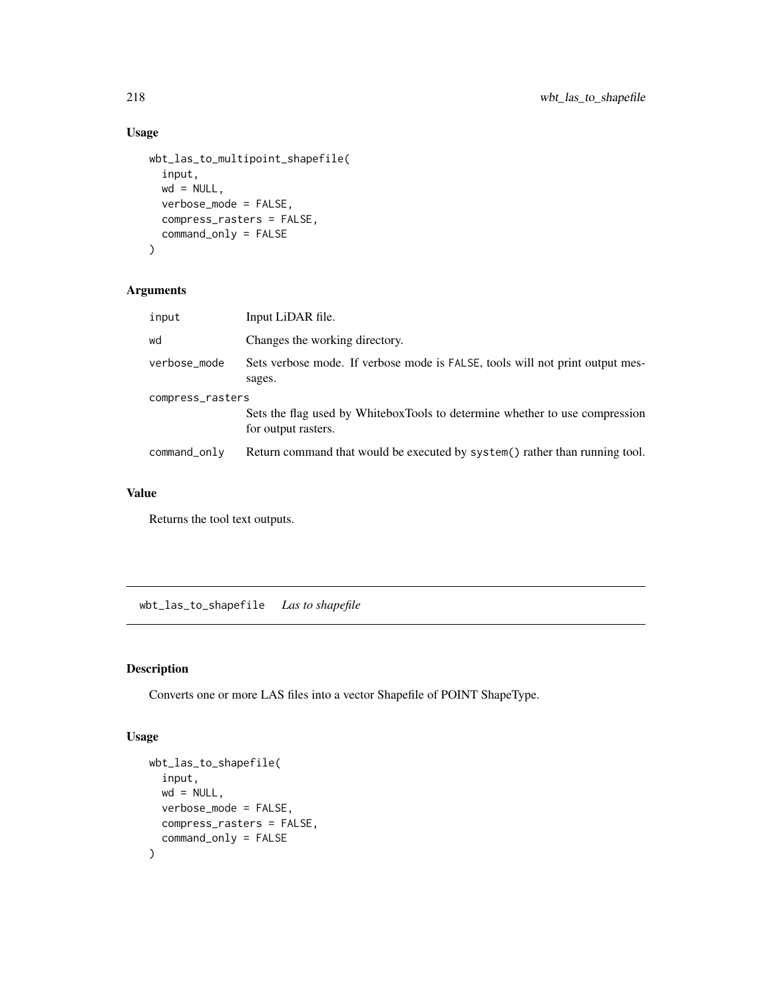## Usage

```
wbt_las_to_multipoint_shapefile(
  input,
 wd = NULL,verbose_mode = FALSE,
 compress_rasters = FALSE,
 command_only = FALSE
)
```
# Arguments

| input            | Input LiDAR file.                                                                                  |  |
|------------------|----------------------------------------------------------------------------------------------------|--|
| wd               | Changes the working directory.                                                                     |  |
| verbose_mode     | Sets verbose mode. If verbose mode is FALSE, tools will not print output mes-<br>sages.            |  |
| compress_rasters |                                                                                                    |  |
|                  | Sets the flag used by WhiteboxTools to determine whether to use compression<br>for output rasters. |  |
| command_only     | Return command that would be executed by system() rather than running tool.                        |  |

## Value

Returns the tool text outputs.

wbt\_las\_to\_shapefile *Las to shapefile*

## Description

Converts one or more LAS files into a vector Shapefile of POINT ShapeType.

#### Usage

```
wbt_las_to_shapefile(
  input,
 wd = NULL,verbose_mode = FALSE,
 compress_rasters = FALSE,
  command_only = FALSE
)
```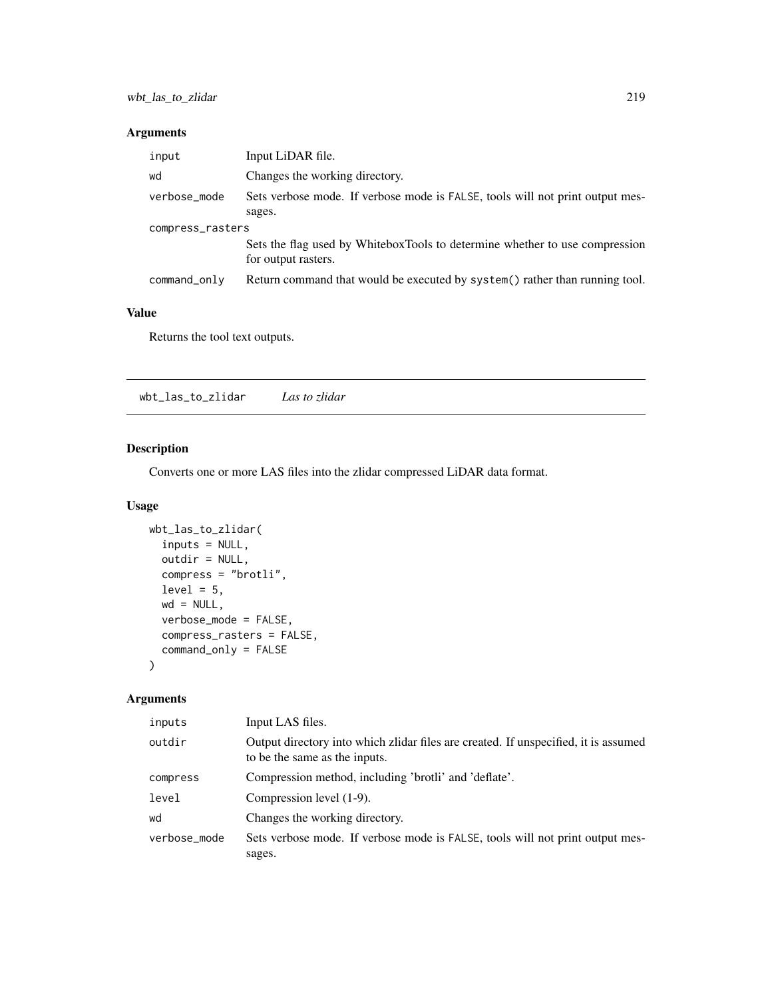## Arguments

| input            | Input LiDAR file.                                                                                  |  |
|------------------|----------------------------------------------------------------------------------------------------|--|
| wd               | Changes the working directory.                                                                     |  |
| verbose_mode     | Sets verbose mode. If verbose mode is FALSE, tools will not print output mes-<br>sages.            |  |
| compress_rasters |                                                                                                    |  |
|                  | Sets the flag used by WhiteboxTools to determine whether to use compression<br>for output rasters. |  |
| command_only     | Return command that would be executed by system() rather than running tool.                        |  |

## Value

Returns the tool text outputs.

wbt\_las\_to\_zlidar *Las to zlidar*

## Description

Converts one or more LAS files into the zlidar compressed LiDAR data format.

## Usage

```
wbt_las_to_zlidar(
  inputs = NULL,
 outdir = NULL,
 compress = "brotli",
  level = 5,
 wd = NULL,verbose_mode = FALSE,
 compress_rasters = FALSE,
  command_only = FALSE
)
```

| inputs       | Input LAS files.                                                                                                     |
|--------------|----------------------------------------------------------------------------------------------------------------------|
| outdir       | Output directory into which zlidar files are created. If unspecified, it is assumed<br>to be the same as the inputs. |
| compress     | Compression method, including 'brotli' and 'deflate'.                                                                |
| level        | Compression level (1-9).                                                                                             |
| wd           | Changes the working directory.                                                                                       |
| verbose_mode | Sets verbose mode. If verbose mode is FALSE, tools will not print output mes-<br>sages.                              |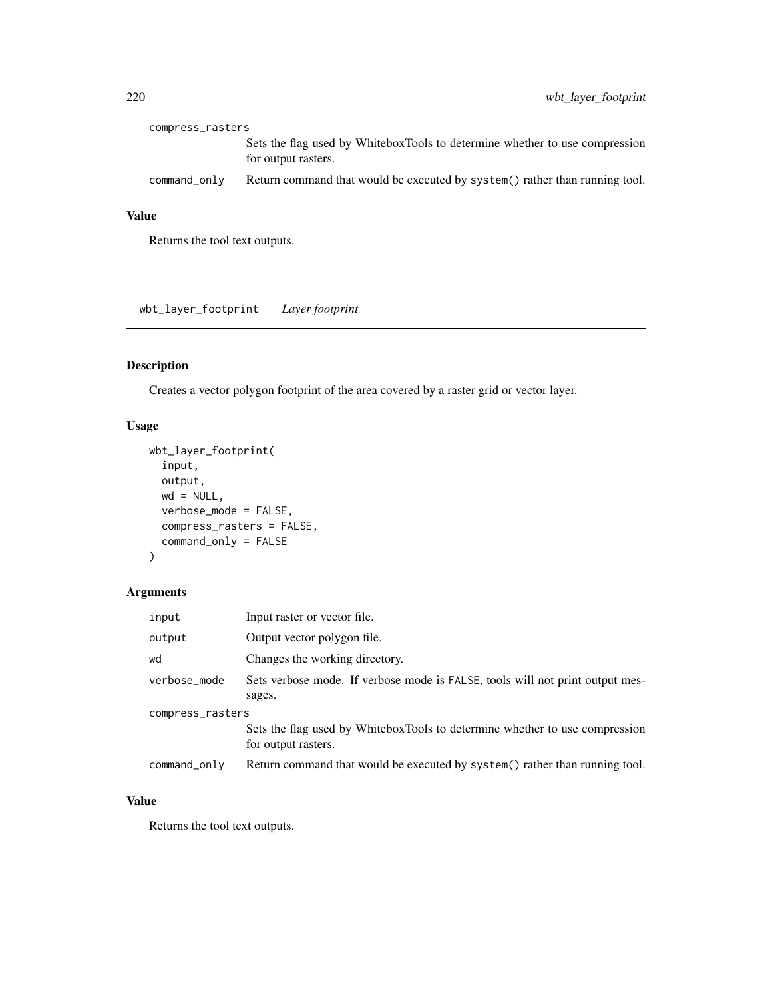| compress_rasters |                                                                                                    |
|------------------|----------------------------------------------------------------------------------------------------|
|                  | Sets the flag used by WhiteboxTools to determine whether to use compression<br>for output rasters. |
| command_only     | Return command that would be executed by system () rather than running tool.                       |

Returns the tool text outputs.

wbt\_layer\_footprint *Layer footprint*

# Description

Creates a vector polygon footprint of the area covered by a raster grid or vector layer.

## Usage

```
wbt_layer_footprint(
  input,
  output,
  wd = NULL,verbose_mode = FALSE,
  compress_rasters = FALSE,
  command_only = FALSE
\mathcal{L}
```
## Arguments

| input            | Input raster or vector file.                                                                       |  |
|------------------|----------------------------------------------------------------------------------------------------|--|
| output           | Output vector polygon file.                                                                        |  |
| wd               | Changes the working directory.                                                                     |  |
| verbose_mode     | Sets verbose mode. If verbose mode is FALSE, tools will not print output mes-<br>sages.            |  |
| compress_rasters |                                                                                                    |  |
|                  | Sets the flag used by WhiteboxTools to determine whether to use compression<br>for output rasters. |  |
| $command\_only$  | Return command that would be executed by system() rather than running tool.                        |  |

## Value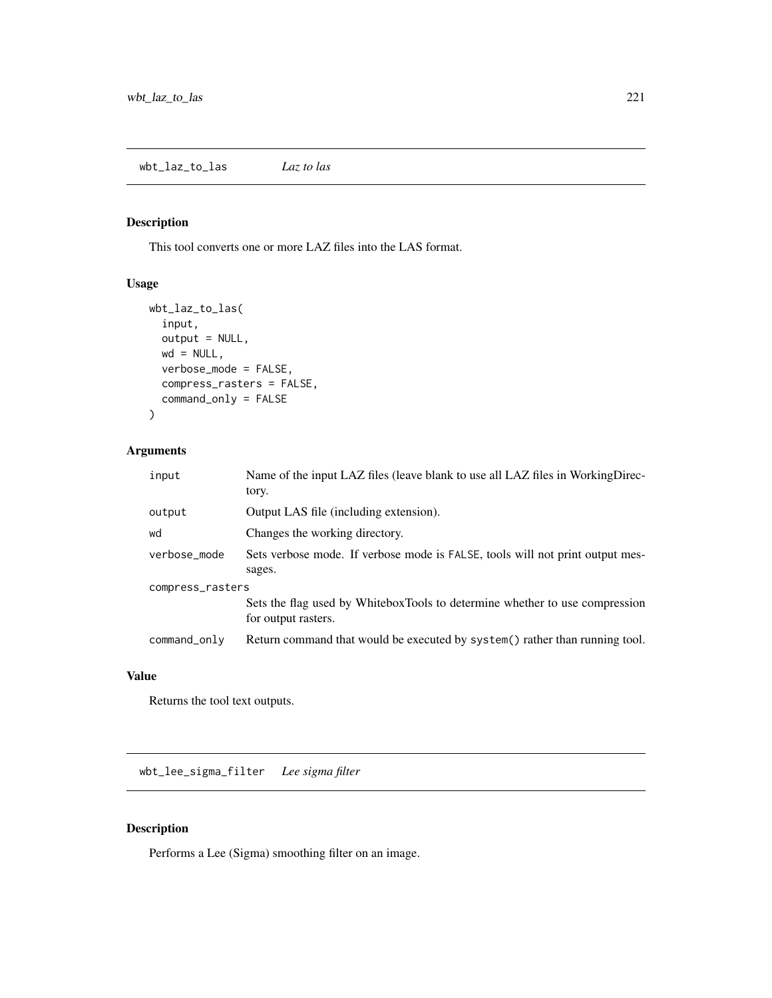# Description

This tool converts one or more LAZ files into the LAS format.

## Usage

```
wbt_laz_to_las(
  input,
 output = NULL,
 wd = NULL,verbose_mode = FALSE,
 compress_rasters = FALSE,
 command_only = FALSE
)
```
# Arguments

| input            | Name of the input LAZ files (leave blank to use all LAZ files in WorkingDirec-<br>tory.            |
|------------------|----------------------------------------------------------------------------------------------------|
| output           | Output LAS file (including extension).                                                             |
| wd               | Changes the working directory.                                                                     |
| verbose_mode     | Sets verbose mode. If verbose mode is FALSE, tools will not print output mes-<br>sages.            |
| compress_rasters | Sets the flag used by WhiteboxTools to determine whether to use compression<br>for output rasters. |
| command_only     | Return command that would be executed by system() rather than running tool.                        |

#### Value

Returns the tool text outputs.

wbt\_lee\_sigma\_filter *Lee sigma filter*

## Description

Performs a Lee (Sigma) smoothing filter on an image.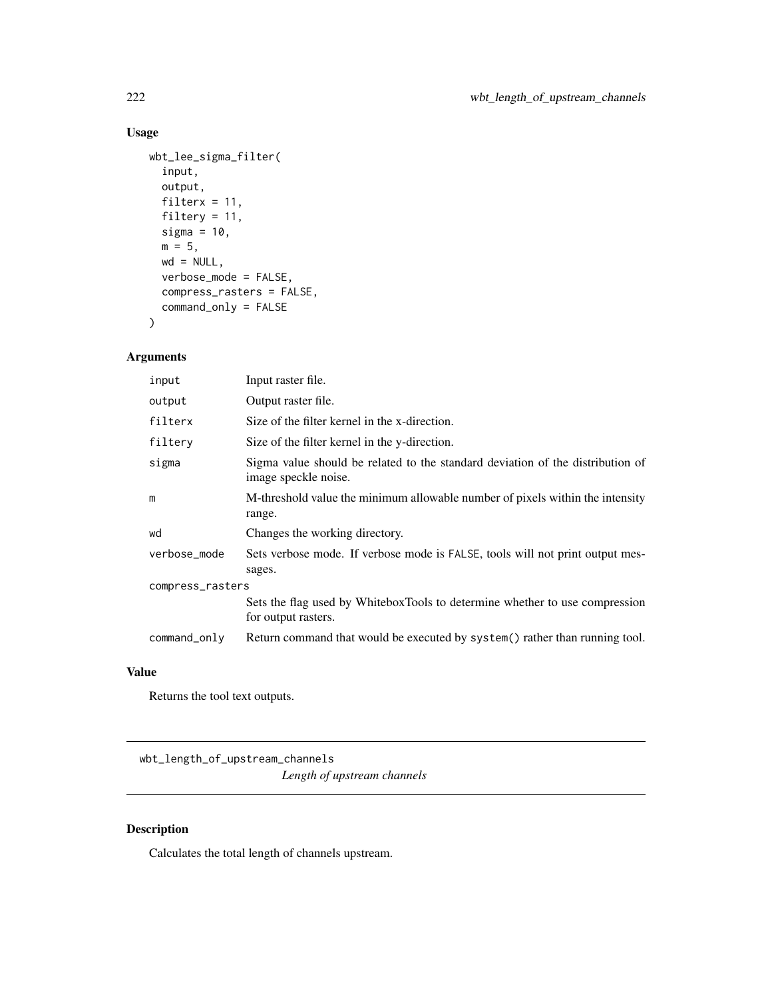# Usage

```
wbt_lee_sigma_filter(
  input,
 output,
 filterx = 11,
 filtery = 11,
 sigma = 10,
 m = 5,
 wd = NULL,verbose_mode = FALSE,
  compress_rasters = FALSE,
 command_only = FALSE
\mathcal{L}
```
## Arguments

| input            | Input raster file.                                                                                     |  |
|------------------|--------------------------------------------------------------------------------------------------------|--|
| output           | Output raster file.                                                                                    |  |
| filterx          | Size of the filter kernel in the x-direction.                                                          |  |
| filtery          | Size of the filter kernel in the y-direction.                                                          |  |
| sigma            | Sigma value should be related to the standard deviation of the distribution of<br>image speckle noise. |  |
| m                | M-threshold value the minimum allowable number of pixels within the intensity<br>range.                |  |
| wd               | Changes the working directory.                                                                         |  |
| verbose_mode     | Sets verbose mode. If verbose mode is FALSE, tools will not print output mes-<br>sages.                |  |
| compress_rasters |                                                                                                        |  |
|                  | Sets the flag used by WhiteboxTools to determine whether to use compression<br>for output rasters.     |  |
| command_only     | Return command that would be executed by system() rather than running tool.                            |  |

## Value

Returns the tool text outputs.

wbt\_length\_of\_upstream\_channels *Length of upstream channels*

# Description

Calculates the total length of channels upstream.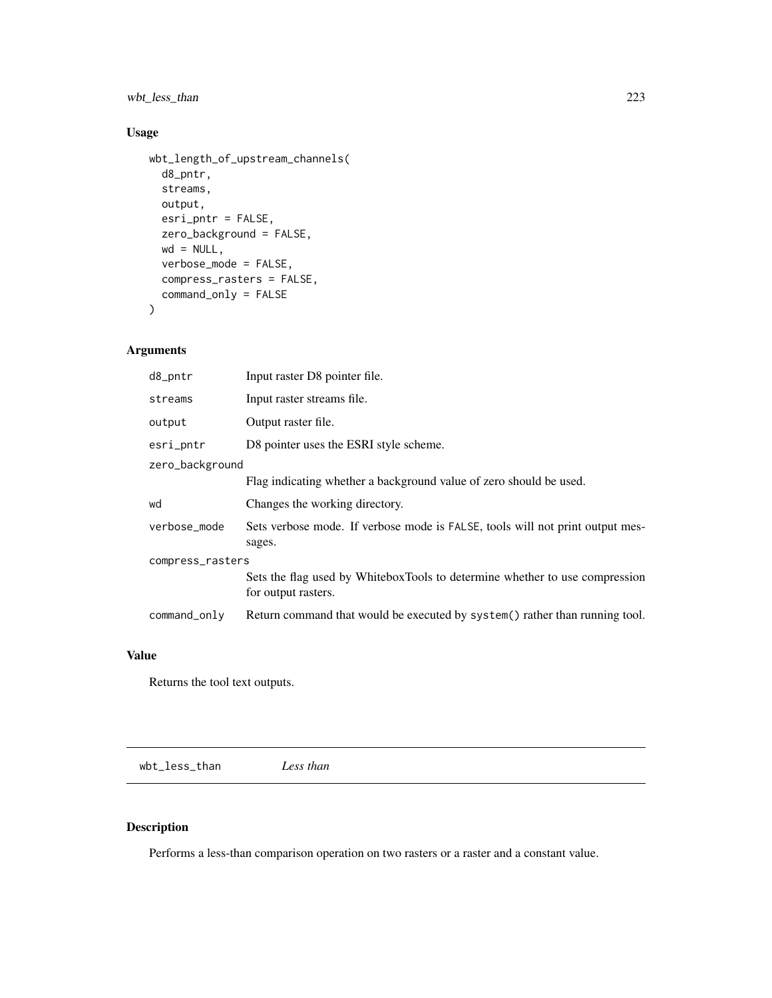wbt\_less\_than 223

# Usage

```
wbt_length_of_upstream_channels(
 d8_pntr,
 streams,
 output,
 esri_pntr = FALSE,
 zero_background = FALSE,
 wd = NULL,verbose_mode = FALSE,
 compress_rasters = FALSE,
 command_only = FALSE
```
 $\mathcal{L}$ 

## Arguments

| d8_pntr          | Input raster D8 pointer file.                                                                      |  |
|------------------|----------------------------------------------------------------------------------------------------|--|
| streams          | Input raster streams file.                                                                         |  |
| output           | Output raster file.                                                                                |  |
| esri_pntr        | D8 pointer uses the ESRI style scheme.                                                             |  |
| zero_background  |                                                                                                    |  |
|                  | Flag indicating whether a background value of zero should be used.                                 |  |
| wd               | Changes the working directory.                                                                     |  |
| verbose_mode     | Sets verbose mode. If verbose mode is FALSE, tools will not print output mes-<br>sages.            |  |
| compress_rasters |                                                                                                    |  |
|                  | Sets the flag used by WhiteboxTools to determine whether to use compression<br>for output rasters. |  |
| command_only     | Return command that would be executed by system() rather than running tool.                        |  |

#### Value

Returns the tool text outputs.

wbt\_less\_than *Less than*

# Description

Performs a less-than comparison operation on two rasters or a raster and a constant value.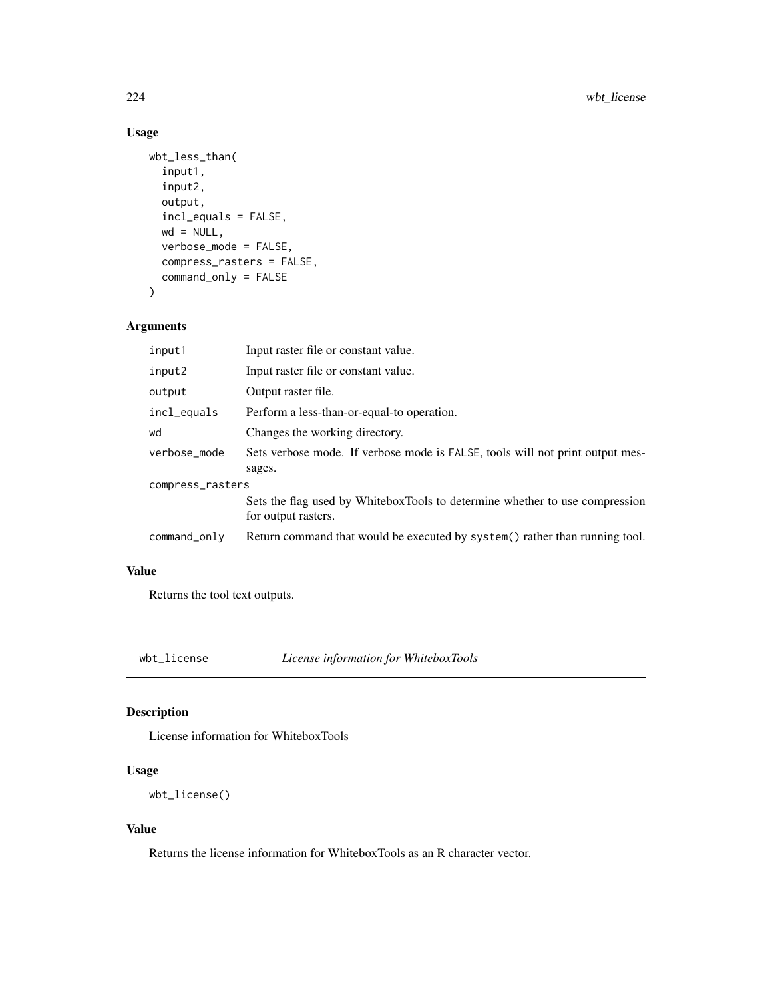# Usage

```
wbt_less_than(
  input1,
  input2,
 output,
  incl_equals = FALSE,
 wd = NULL,verbose_mode = FALSE,
  compress_rasters = FALSE,
  command_only = FALSE
)
```
# Arguments

| input1           | Input raster file or constant value.                                                               |  |
|------------------|----------------------------------------------------------------------------------------------------|--|
| input2           | Input raster file or constant value.                                                               |  |
| output           | Output raster file.                                                                                |  |
| incl_equals      | Perform a less-than-or-equal-to operation.                                                         |  |
| wd               | Changes the working directory.                                                                     |  |
| verbose_mode     | Sets verbose mode. If verbose mode is FALSE, tools will not print output mes-<br>sages.            |  |
| compress_rasters |                                                                                                    |  |
|                  | Sets the flag used by WhiteboxTools to determine whether to use compression<br>for output rasters. |  |
| command_only     | Return command that would be executed by system() rather than running tool.                        |  |

# Value

Returns the tool text outputs.

wbt\_license *License information for WhiteboxTools*

## Description

License information for WhiteboxTools

# Usage

```
wbt_license()
```
#### Value

Returns the license information for WhiteboxTools as an R character vector.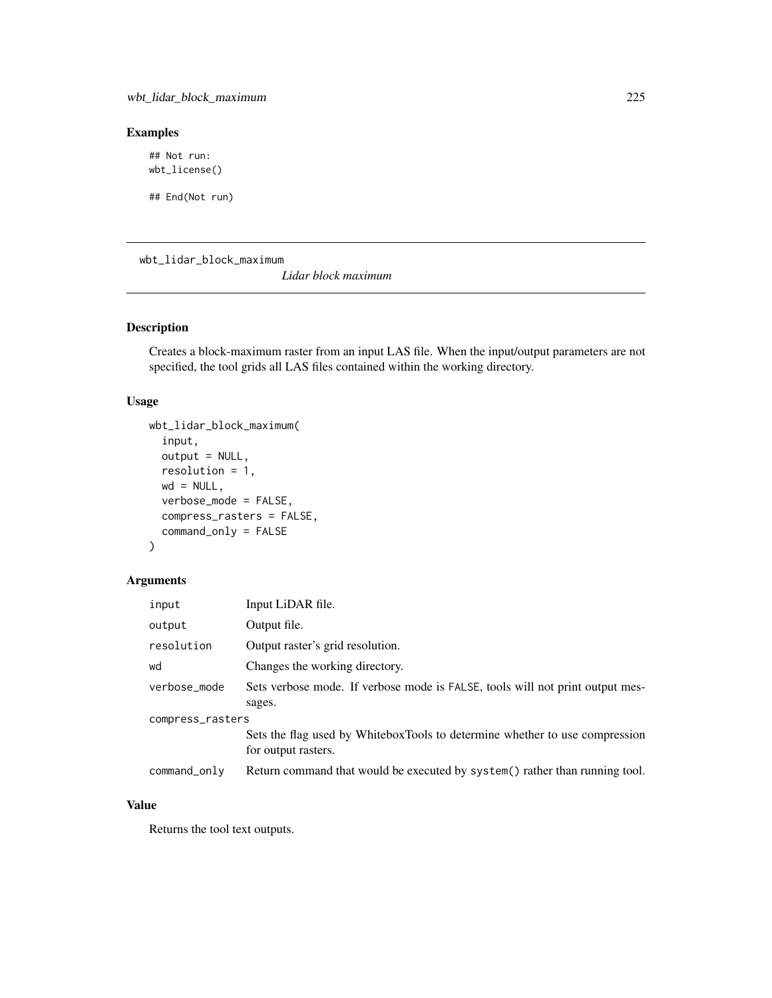#### Examples

## Not run: wbt\_license()

## End(Not run)

wbt\_lidar\_block\_maximum

*Lidar block maximum*

# Description

Creates a block-maximum raster from an input LAS file. When the input/output parameters are not specified, the tool grids all LAS files contained within the working directory.

## Usage

```
wbt_lidar_block_maximum(
  input,
  output = NULL,
  resolution = 1,
 wd = NULL,verbose_mode = FALSE,
  compress_rasters = FALSE,
  command_only = FALSE
)
```
## Arguments

| input            | Input LiDAR file.                                                                                  |  |
|------------------|----------------------------------------------------------------------------------------------------|--|
| output           | Output file.                                                                                       |  |
| resolution       | Output raster's grid resolution.                                                                   |  |
| wd               | Changes the working directory.                                                                     |  |
| verbose_mode     | Sets verbose mode. If verbose mode is FALSE, tools will not print output mes-                      |  |
|                  | sages.                                                                                             |  |
| compress_rasters |                                                                                                    |  |
|                  | Sets the flag used by WhiteboxTools to determine whether to use compression<br>for output rasters. |  |
| command_only     | Return command that would be executed by system() rather than running tool.                        |  |

## Value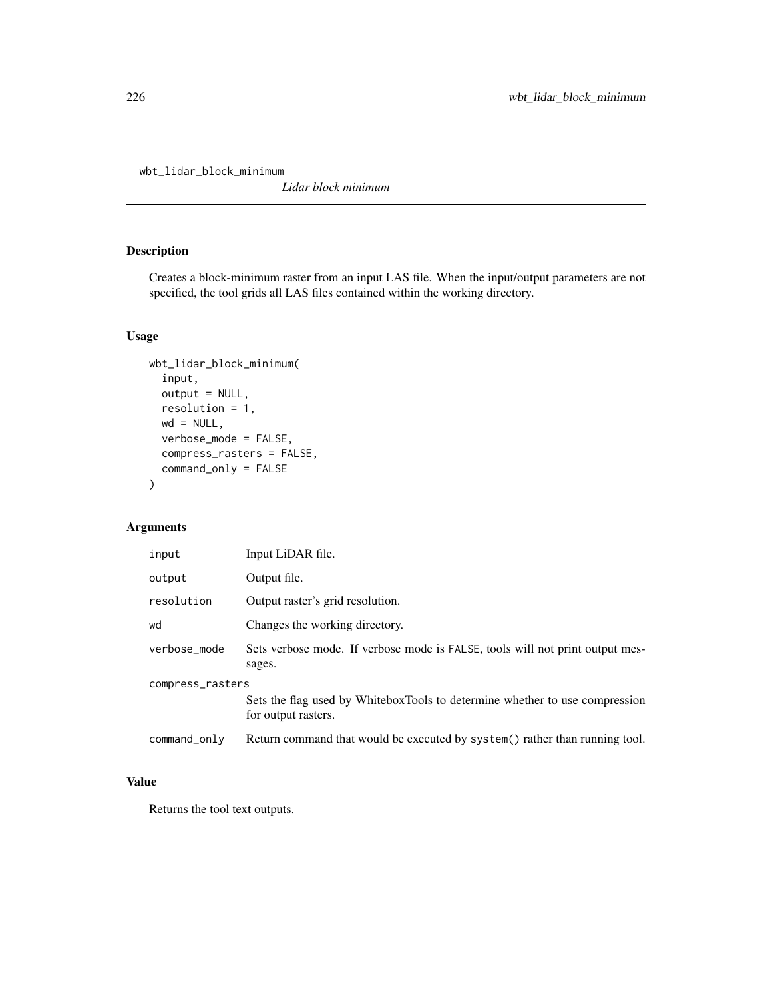```
wbt_lidar_block_minimum
```
*Lidar block minimum*

# Description

Creates a block-minimum raster from an input LAS file. When the input/output parameters are not specified, the tool grids all LAS files contained within the working directory.

## Usage

```
wbt_lidar_block_minimum(
  input,
  output = NULL,
  resolution = 1,
 wd = NULL,verbose_mode = FALSE,
 compress_rasters = FALSE,
  command_only = FALSE
)
```
# Arguments

| input            | Input LiDAR file.                                                                                  |  |
|------------------|----------------------------------------------------------------------------------------------------|--|
| output           | Output file.                                                                                       |  |
| resolution       | Output raster's grid resolution.                                                                   |  |
| wd               | Changes the working directory.                                                                     |  |
| verbose_mode     | Sets verbose mode. If verbose mode is FALSE, tools will not print output mes-<br>sages.            |  |
| compress_rasters |                                                                                                    |  |
|                  | Sets the flag used by WhiteboxTools to determine whether to use compression<br>for output rasters. |  |
| command_only     | Return command that would be executed by system() rather than running tool.                        |  |

#### Value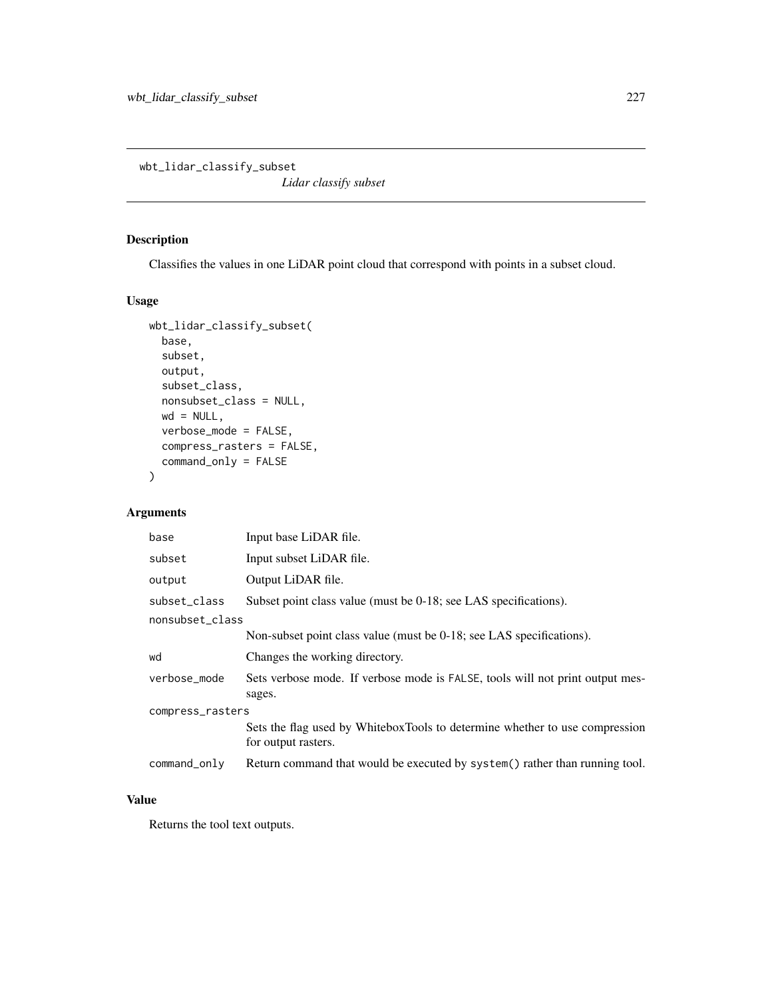wbt\_lidar\_classify\_subset

*Lidar classify subset*

## Description

Classifies the values in one LiDAR point cloud that correspond with points in a subset cloud.

#### Usage

```
wbt_lidar_classify_subset(
 base,
 subset,
 output,
  subset_class,
 nonsubset_class = NULL,
 wd = NULL,verbose_mode = FALSE,
 compress_rasters = FALSE,
 command_only = FALSE
)
```
# Arguments

| base             | Input base LiDAR file.                                                                             |  |
|------------------|----------------------------------------------------------------------------------------------------|--|
| subset           | Input subset LiDAR file.                                                                           |  |
| output           | Output LiDAR file.                                                                                 |  |
| subset class     | Subset point class value (must be 0-18; see LAS specifications).                                   |  |
| nonsubset_class  |                                                                                                    |  |
|                  | Non-subset point class value (must be 0-18; see LAS specifications).                               |  |
| wd               | Changes the working directory.                                                                     |  |
| verbose_mode     | Sets verbose mode. If verbose mode is FALSE, tools will not print output mes-<br>sages.            |  |
| compress_rasters |                                                                                                    |  |
|                  | Sets the flag used by WhiteboxTools to determine whether to use compression<br>for output rasters. |  |
| command_only     | Return command that would be executed by system() rather than running tool.                        |  |

# Value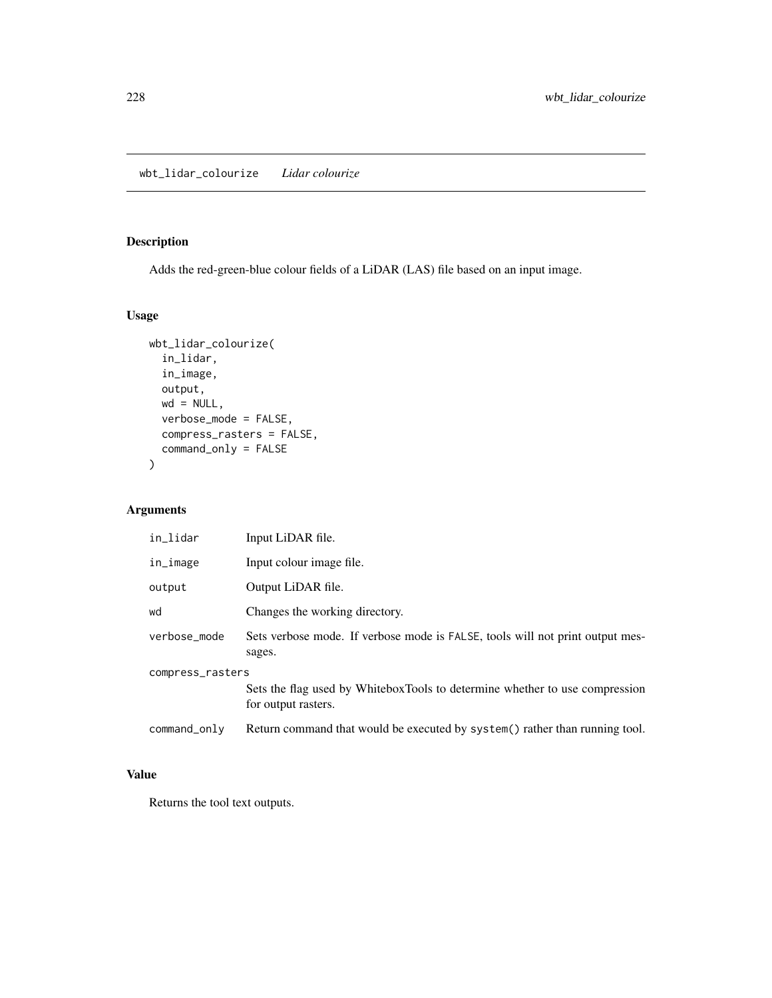## Description

Adds the red-green-blue colour fields of a LiDAR (LAS) file based on an input image.

## Usage

```
wbt_lidar_colourize(
  in_lidar,
 in_image,
 output,
 wd = NULL,verbose_mode = FALSE,
 compress_rasters = FALSE,
 command_only = FALSE
)
```
## Arguments

| in_lidar         | Input LiDAR file.                                                                                  |  |
|------------------|----------------------------------------------------------------------------------------------------|--|
| in_image         | Input colour image file.                                                                           |  |
| output           | Output LiDAR file.                                                                                 |  |
| wd               | Changes the working directory.                                                                     |  |
| verbose_mode     | Sets verbose mode. If verbose mode is FALSE, tools will not print output mes-<br>sages.            |  |
| compress_rasters |                                                                                                    |  |
|                  | Sets the flag used by WhiteboxTools to determine whether to use compression<br>for output rasters. |  |
| command_only     | Return command that would be executed by system() rather than running tool.                        |  |

## Value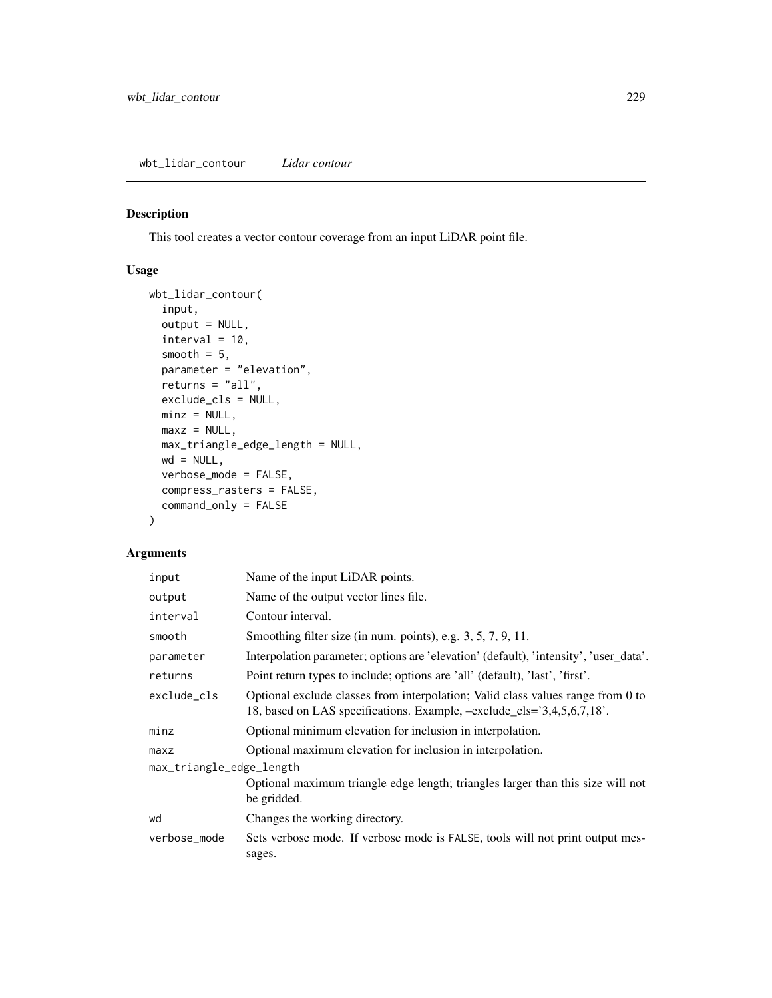## Description

This tool creates a vector contour coverage from an input LiDAR point file.

# Usage

```
wbt_lidar_contour(
  input,
 output = NULL,
 interval = 10,
  smooth = 5,
 parameter = "elevation",
 returns = "all",exclude_cls = NULL,
 minz = NULL,maxz = NULL,max_triangle_edge_length = NULL,
 wd = NULL,verbose_mode = FALSE,
 compress_rasters = FALSE,
  command_only = FALSE
)
```

| input                    | Name of the input LiDAR points.                                                                                                                           |  |
|--------------------------|-----------------------------------------------------------------------------------------------------------------------------------------------------------|--|
| output                   | Name of the output vector lines file.                                                                                                                     |  |
| interval                 | Contour interval.                                                                                                                                         |  |
| smooth                   | Smoothing filter size (in num. points), e.g. $3, 5, 7, 9, 11$ .                                                                                           |  |
| parameter                | Interpolation parameter; options are 'elevation' (default), 'intensity', 'user_data'.                                                                     |  |
| returns                  | Point return types to include; options are 'all' (default), 'last', 'first'.                                                                              |  |
| exclude cls              | Optional exclude classes from interpolation; Valid class values range from 0 to<br>18, based on LAS specifications. Example, -exclude_cls='3,4,5,6,7,18'. |  |
| minz                     | Optional minimum elevation for inclusion in interpolation.                                                                                                |  |
| maxz                     | Optional maximum elevation for inclusion in interpolation.                                                                                                |  |
| max_triangle_edge_length |                                                                                                                                                           |  |
|                          | Optional maximum triangle edge length; triangles larger than this size will not<br>be gridded.                                                            |  |
| wd                       | Changes the working directory.                                                                                                                            |  |
| verbose_mode             | Sets verbose mode. If verbose mode is FALSE, tools will not print output mes-<br>sages.                                                                   |  |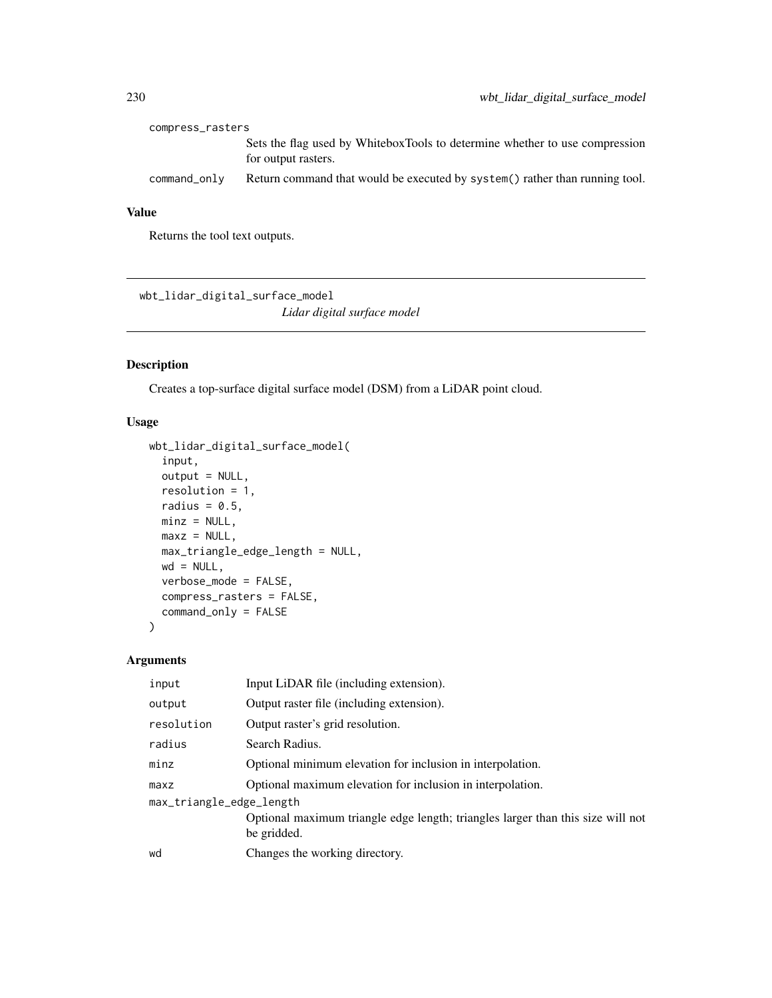| compress_rasters |                                                                                                    |
|------------------|----------------------------------------------------------------------------------------------------|
|                  | Sets the flag used by WhiteboxTools to determine whether to use compression<br>for output rasters. |
| command_only     | Return command that would be executed by system() rather than running tool.                        |

Returns the tool text outputs.

wbt\_lidar\_digital\_surface\_model *Lidar digital surface model*

## Description

Creates a top-surface digital surface model (DSM) from a LiDAR point cloud.

## Usage

```
wbt_lidar_digital_surface_model(
  input,
 output = NULL,resolution = 1,
 radius = 0.5,
 minz = NULL,maxz = NULL,max_triangle_edge_length = NULL,
 wd = NULL,verbose_mode = FALSE,
 compress_rasters = FALSE,
  command_only = FALSE
)
```

| input                    | Input LiDAR file (including extension).                                                        |  |
|--------------------------|------------------------------------------------------------------------------------------------|--|
| output                   | Output raster file (including extension).                                                      |  |
| resolution               | Output raster's grid resolution.                                                               |  |
| radius                   | Search Radius.                                                                                 |  |
| minz                     | Optional minimum elevation for inclusion in interpolation.                                     |  |
| maxz                     | Optional maximum elevation for inclusion in interpolation.                                     |  |
| max_triangle_edge_length |                                                                                                |  |
|                          | Optional maximum triangle edge length; triangles larger than this size will not<br>be gridded. |  |
| wd                       | Changes the working directory.                                                                 |  |
|                          |                                                                                                |  |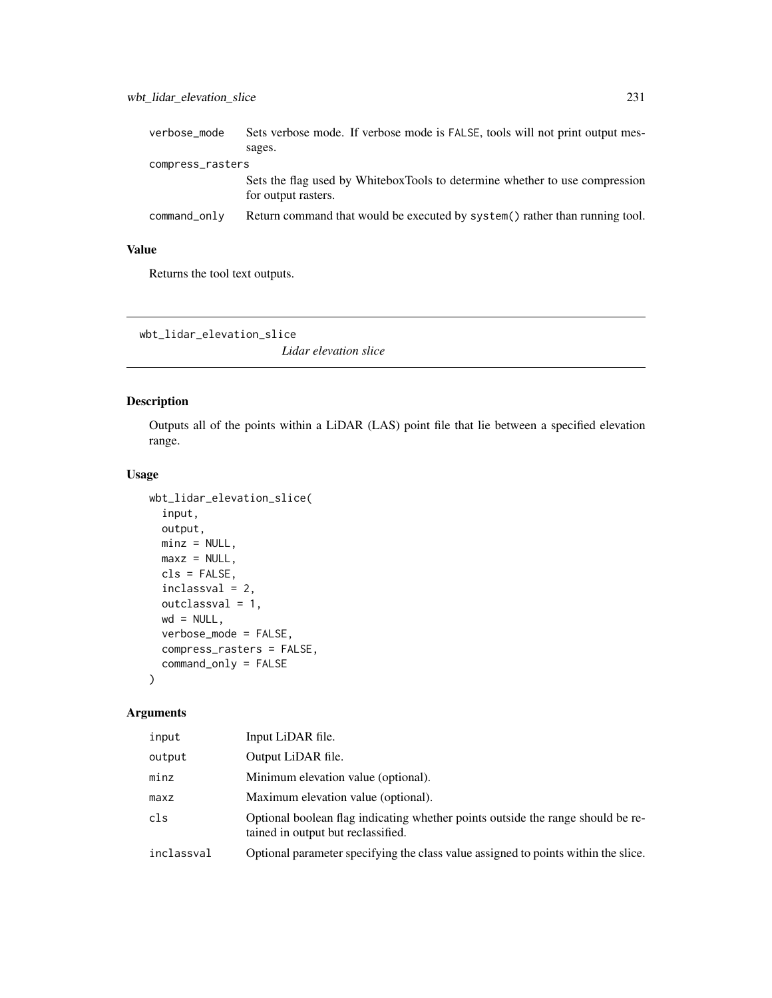| verbose_mode     | Sets verbose mode. If verbose mode is FALSE, tools will not print output mes-                      |
|------------------|----------------------------------------------------------------------------------------------------|
|                  | sages.                                                                                             |
| compress_rasters |                                                                                                    |
|                  | Sets the flag used by WhiteboxTools to determine whether to use compression<br>for output rasters. |
| command_only     | Return command that would be executed by system() rather than running tool.                        |

Returns the tool text outputs.

wbt\_lidar\_elevation\_slice

*Lidar elevation slice*

## Description

Outputs all of the points within a LiDAR (LAS) point file that lie between a specified elevation range.

#### Usage

```
wbt_lidar_elevation_slice(
  input,
 output,
 minz = NULL,maxz = NULL,cls = FALSE,
 inclassval = 2,
 outclassval = 1,
 wd = NULL,verbose_mode = FALSE,
 compress_rasters = FALSE,
  command_only = FALSE
)
```

| input      | Input LiDAR file.                                                                                                     |
|------------|-----------------------------------------------------------------------------------------------------------------------|
| output     | Output LiDAR file.                                                                                                    |
| minz       | Minimum elevation value (optional).                                                                                   |
| maxz       | Maximum elevation value (optional).                                                                                   |
| cls        | Optional boolean flag indicating whether points outside the range should be re-<br>tained in output but reclassified. |
| inclassval | Optional parameter specifying the class value assigned to points within the slice.                                    |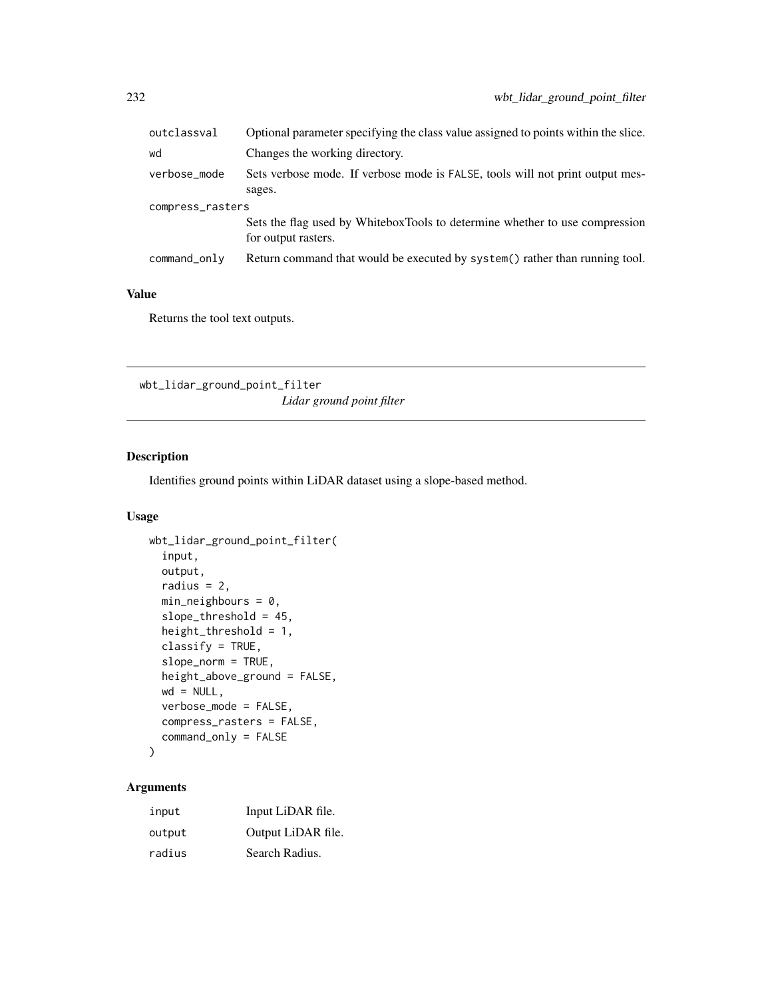| outclassval      | Optional parameter specifying the class value assigned to points within the slice.                 |  |
|------------------|----------------------------------------------------------------------------------------------------|--|
| wd               | Changes the working directory.                                                                     |  |
| verbose_mode     | Sets verbose mode. If verbose mode is FALSE, tools will not print output mes-<br>sages.            |  |
| compress_rasters |                                                                                                    |  |
|                  | Sets the flag used by WhiteboxTools to determine whether to use compression<br>for output rasters. |  |
| command_only     | Return command that would be executed by system() rather than running tool.                        |  |
|                  |                                                                                                    |  |

Returns the tool text outputs.

wbt\_lidar\_ground\_point\_filter *Lidar ground point filter*

## Description

Identifies ground points within LiDAR dataset using a slope-based method.

## Usage

```
wbt_lidar_ground_point_filter(
  input,
 output,
  radius = 2,
 min\_neighhours = 0,slope_threshold = 45,
  height_threshold = 1,
  classify = TRUE,
  slope_norm = TRUE,
  height_above_ground = FALSE,
 wd = NULL,verbose_mode = FALSE,
  compress_rasters = FALSE,
  command_only = FALSE
)
```

| input  | Input LiDAR file.  |
|--------|--------------------|
| output | Output LiDAR file. |
| radius | Search Radius.     |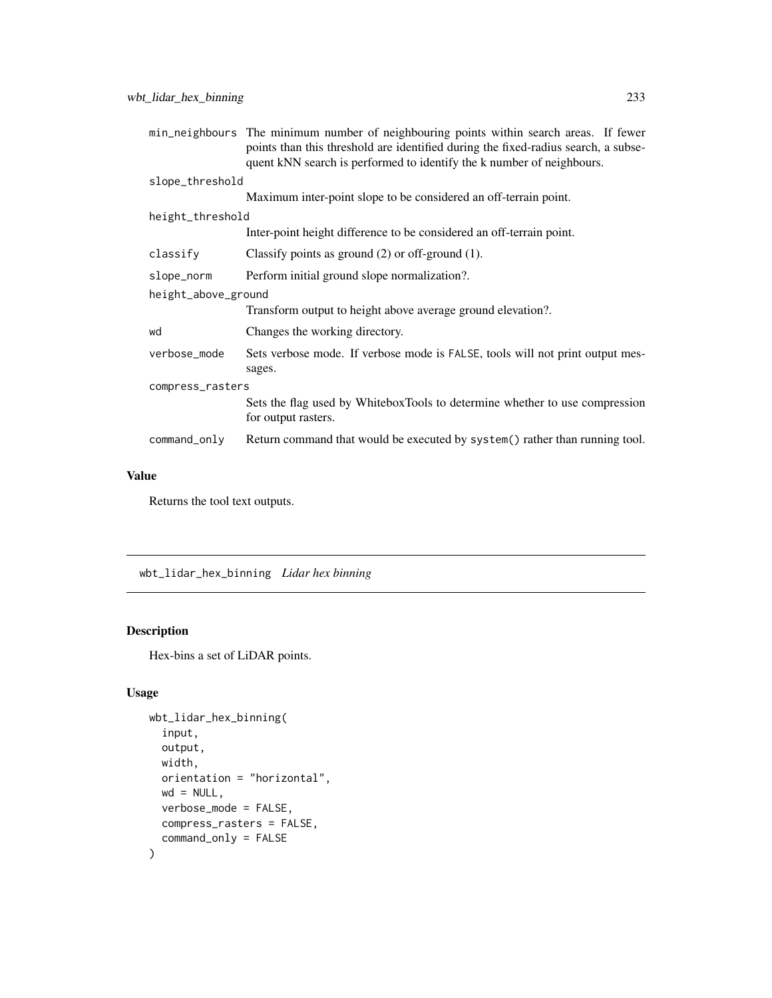|                     | min_neighbours The minimum number of neighbouring points within search areas. If fewer<br>points than this threshold are identified during the fixed-radius search, a subse-<br>quent kNN search is performed to identify the k number of neighbours. |  |
|---------------------|-------------------------------------------------------------------------------------------------------------------------------------------------------------------------------------------------------------------------------------------------------|--|
| slope_threshold     |                                                                                                                                                                                                                                                       |  |
|                     | Maximum inter-point slope to be considered an off-terrain point.                                                                                                                                                                                      |  |
| height_threshold    |                                                                                                                                                                                                                                                       |  |
|                     | Inter-point height difference to be considered an off-terrain point.                                                                                                                                                                                  |  |
| classify            | Classify points as ground $(2)$ or off-ground $(1)$ .                                                                                                                                                                                                 |  |
| slope_norm          | Perform initial ground slope normalization?.                                                                                                                                                                                                          |  |
| height_above_ground |                                                                                                                                                                                                                                                       |  |
|                     | Transform output to height above average ground elevation?.                                                                                                                                                                                           |  |
| wd                  | Changes the working directory.                                                                                                                                                                                                                        |  |
| verbose_mode        | Sets verbose mode. If verbose mode is FALSE, tools will not print output mes-<br>sages.                                                                                                                                                               |  |
| compress_rasters    |                                                                                                                                                                                                                                                       |  |
|                     | Sets the flag used by WhiteboxTools to determine whether to use compression<br>for output rasters.                                                                                                                                                    |  |
| command_only        | Return command that would be executed by system() rather than running tool.                                                                                                                                                                           |  |

Returns the tool text outputs.

wbt\_lidar\_hex\_binning *Lidar hex binning*

# Description

Hex-bins a set of LiDAR points.

## Usage

```
wbt_lidar_hex_binning(
 input,
 output,
 width,
 orientation = "horizontal",
 wd = NULL,verbose_mode = FALSE,
 compress_rasters = FALSE,
 command_only = FALSE
)
```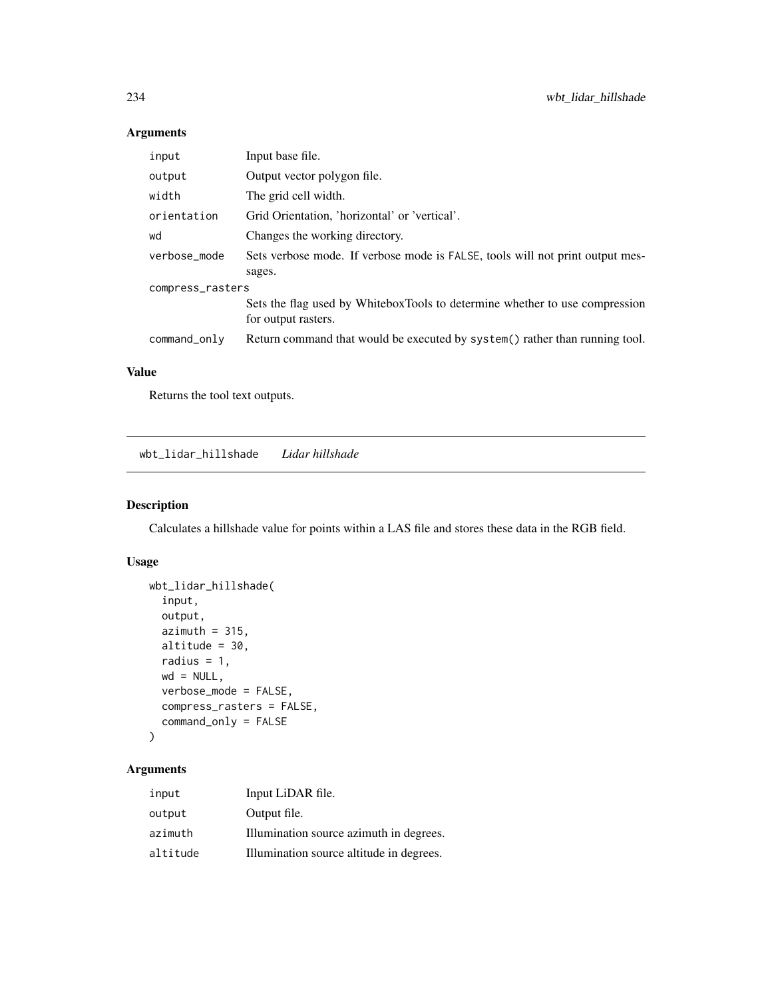# Arguments

| input            | Input base file.                                                              |  |
|------------------|-------------------------------------------------------------------------------|--|
| output           | Output vector polygon file.                                                   |  |
| width            | The grid cell width.                                                          |  |
| orientation      | Grid Orientation, 'horizontal' or 'vertical'.                                 |  |
| wd               | Changes the working directory.                                                |  |
| verbose mode     | Sets verbose mode. If verbose mode is FALSE, tools will not print output mes- |  |
|                  | sages.                                                                        |  |
| compress_rasters |                                                                               |  |
|                  | Sets the flag used by WhiteboxTools to determine whether to use compression   |  |
|                  | for output rasters.                                                           |  |
| command_only     | Return command that would be executed by system() rather than running tool.   |  |

#### Value

Returns the tool text outputs.

wbt\_lidar\_hillshade *Lidar hillshade*

## Description

Calculates a hillshade value for points within a LAS file and stores these data in the RGB field.

## Usage

```
wbt_lidar_hillshade(
  input,
 output,
 azimuth = 315,altitude = 30,
 radius = 1,wd = NULL,verbose_mode = FALSE,
  compress_rasters = FALSE,
  command_only = FALSE
\mathcal{L}
```

| input    | Input LiDAR file.                        |
|----------|------------------------------------------|
| output   | Output file.                             |
| azimuth  | Illumination source azimuth in degrees.  |
| altitude | Illumination source altitude in degrees. |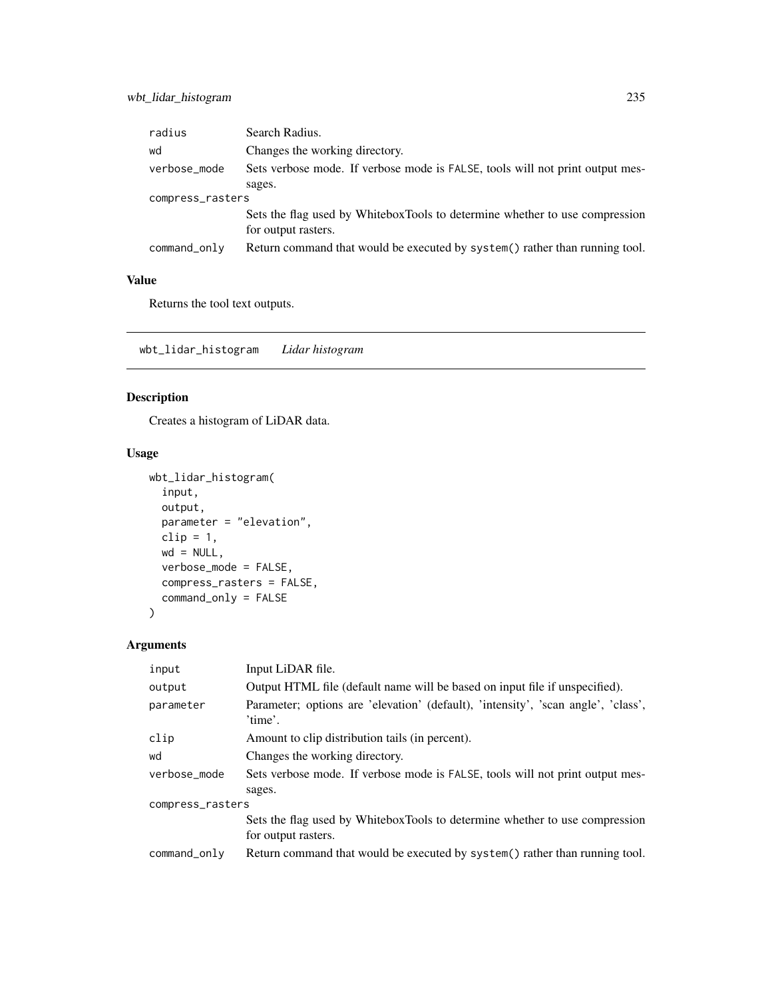| radius           | Search Radius.                                                                |  |
|------------------|-------------------------------------------------------------------------------|--|
| wd               | Changes the working directory.                                                |  |
| verbose_mode     | Sets verbose mode. If verbose mode is FALSE, tools will not print output mes- |  |
|                  | sages.                                                                        |  |
| compress_rasters |                                                                               |  |
|                  | Sets the flag used by WhiteboxTools to determine whether to use compression   |  |
|                  | for output rasters.                                                           |  |
| command_only     | Return command that would be executed by system() rather than running tool.   |  |
|                  |                                                                               |  |

Returns the tool text outputs.

wbt\_lidar\_histogram *Lidar histogram*

# Description

Creates a histogram of LiDAR data.

## Usage

```
wbt_lidar_histogram(
  input,
 output,
 parameter = "elevation",
 clip = 1,wd = NULL,verbose_mode = FALSE,
 compress_rasters = FALSE,
 command_only = FALSE
)
```

| input            | Input LiDAR file.                                                                                  |  |
|------------------|----------------------------------------------------------------------------------------------------|--|
| output           | Output HTML file (default name will be based on input file if unspecified).                        |  |
| parameter        | Parameter; options are 'elevation' (default), 'intensity', 'scan angle', 'class',<br>'time'.       |  |
| clip             | Amount to clip distribution tails (in percent).                                                    |  |
| wd               | Changes the working directory.                                                                     |  |
| verbose_mode     | Sets verbose mode. If verbose mode is FALSE, tools will not print output mes-<br>sages.            |  |
| compress_rasters |                                                                                                    |  |
|                  | Sets the flag used by WhiteboxTools to determine whether to use compression<br>for output rasters. |  |
| command_only     | Return command that would be executed by system() rather than running tool.                        |  |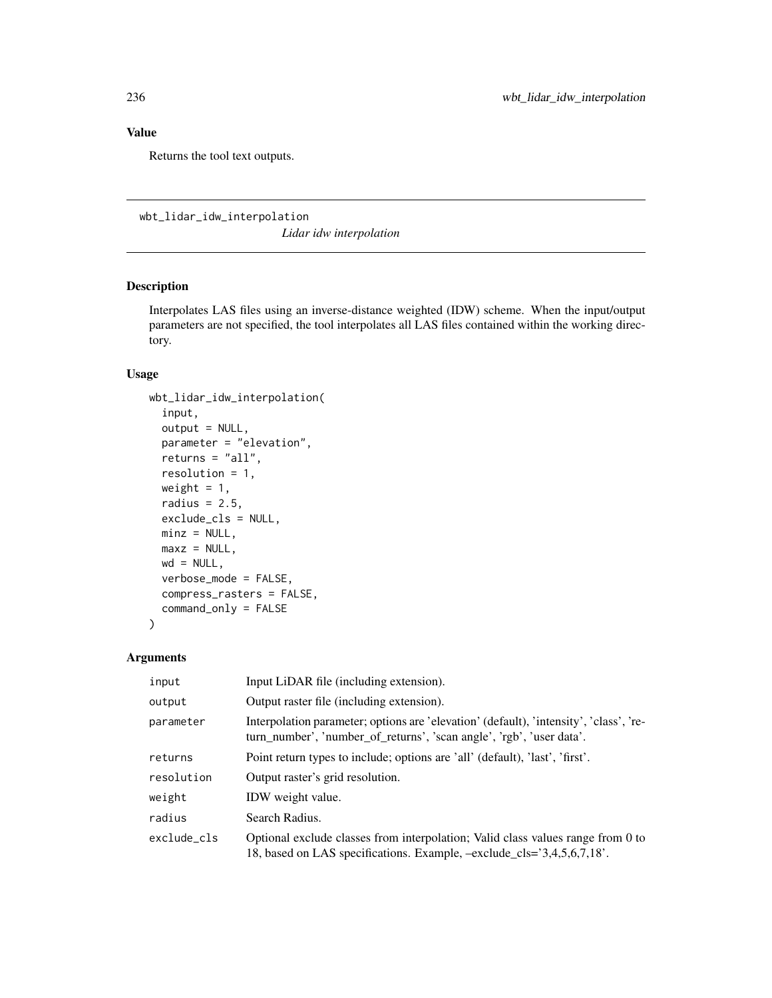Returns the tool text outputs.

wbt\_lidar\_idw\_interpolation

*Lidar idw interpolation*

## Description

Interpolates LAS files using an inverse-distance weighted (IDW) scheme. When the input/output parameters are not specified, the tool interpolates all LAS files contained within the working directory.

## Usage

```
wbt_lidar_idw_interpolation(
  input,
  output = NULL,parameter = "elevation",
 returns = "all",
  resolution = 1,
 weight = 1,
  radius = 2.5,
  exclude_cls = NULL,
 minz = NULL,maxz = NULL,wd = NULL,verbose_mode = FALSE,
  compress_rasters = FALSE,
  command_only = FALSE
\mathcal{E}
```

| input       | Input LiDAR file (including extension).                                                                                                                        |
|-------------|----------------------------------------------------------------------------------------------------------------------------------------------------------------|
| output      | Output raster file (including extension).                                                                                                                      |
| parameter   | Interpolation parameter; options are 'elevation' (default), 'intensity', 'class', 're-<br>turn_number', 'number_of_returns', 'scan angle', 'rgb', 'user data'. |
| returns     | Point return types to include; options are 'all' (default), 'last', 'first'.                                                                                   |
| resolution  | Output raster's grid resolution.                                                                                                                               |
| weight      | IDW weight value.                                                                                                                                              |
| radius      | Search Radius.                                                                                                                                                 |
| exclude cls | Optional exclude classes from interpolation; Valid class values range from 0 to<br>18, based on LAS specifications. Example, $-exclude_cls = 3,4,5,6,7,18$ .   |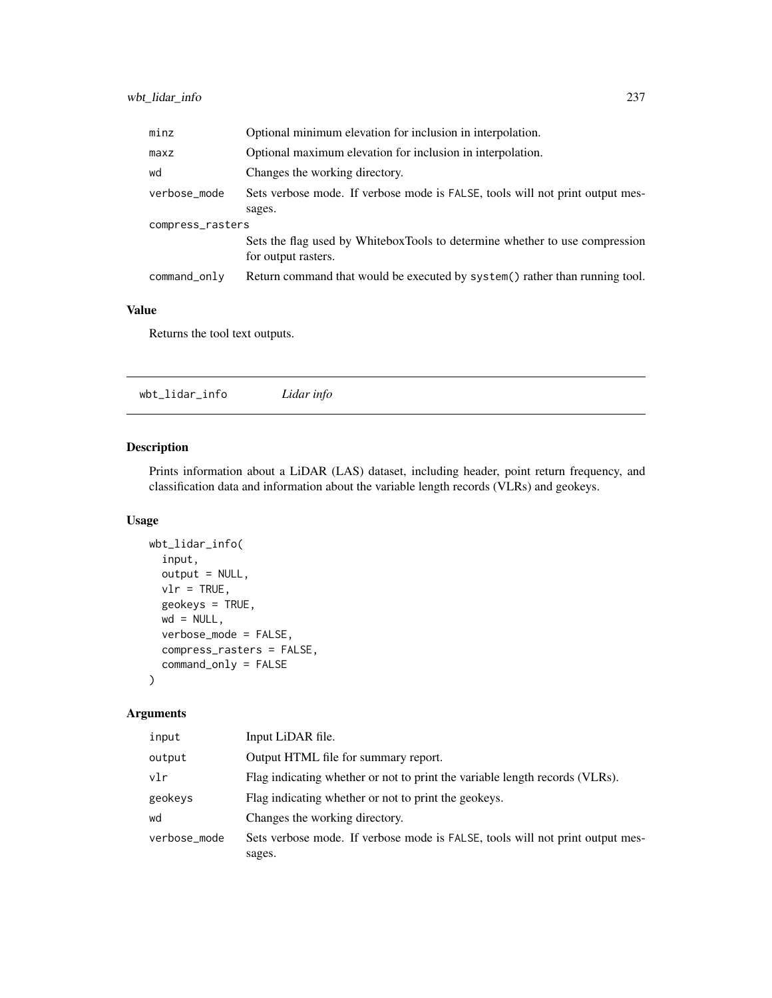| minz             | Optional minimum elevation for inclusion in interpolation.                    |  |
|------------------|-------------------------------------------------------------------------------|--|
| maxz             | Optional maximum elevation for inclusion in interpolation.                    |  |
| wd               | Changes the working directory.                                                |  |
| verbose_mode     | Sets verbose mode. If verbose mode is FALSE, tools will not print output mes- |  |
|                  | sages.                                                                        |  |
| compress_rasters |                                                                               |  |
|                  | Sets the flag used by WhiteboxTools to determine whether to use compression   |  |
|                  | for output rasters.                                                           |  |
| command_only     | Return command that would be executed by system () rather than running tool.  |  |

Returns the tool text outputs.

wbt\_lidar\_info *Lidar info*

# Description

Prints information about a LiDAR (LAS) dataset, including header, point return frequency, and classification data and information about the variable length records (VLRs) and geokeys.

## Usage

```
wbt_lidar_info(
  input,
  output = NULL,
 vlr = TRUE,geokeys = TRUE,
 wd = NULL,verbose_mode = FALSE,
  compress_rasters = FALSE,
  command_only = FALSE
)
```

| input        | Input LiDAR file.                                                                       |
|--------------|-----------------------------------------------------------------------------------------|
| output       | Output HTML file for summary report.                                                    |
| vlr          | Flag indicating whether or not to print the variable length records (VLRs).             |
| geokeys      | Flag indicating whether or not to print the geokeys.                                    |
| wd           | Changes the working directory.                                                          |
| verbose_mode | Sets verbose mode. If verbose mode is FALSE, tools will not print output mes-<br>sages. |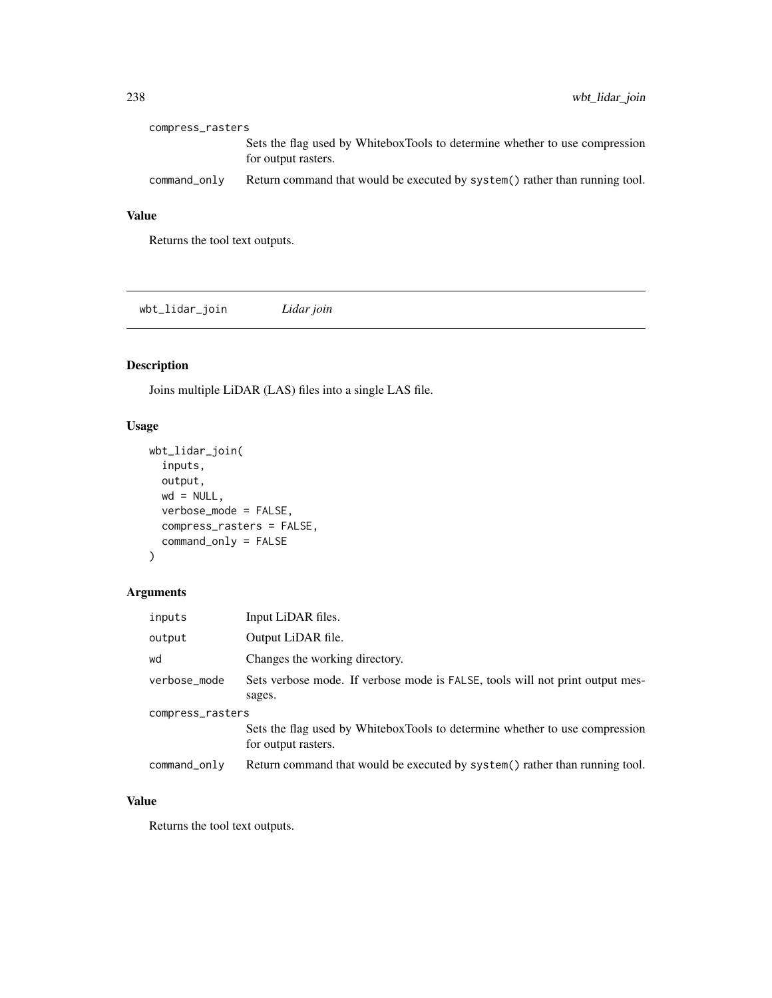| compress_rasters |                                                                                                    |  |
|------------------|----------------------------------------------------------------------------------------------------|--|
|                  | Sets the flag used by WhiteboxTools to determine whether to use compression<br>for output rasters. |  |
| command_only     | Return command that would be executed by system() rather than running tool.                        |  |

Returns the tool text outputs.

wbt\_lidar\_join *Lidar join*

# Description

Joins multiple LiDAR (LAS) files into a single LAS file.

## Usage

```
wbt_lidar_join(
  inputs,
 output,
 wd = NULL,verbose_mode = FALSE,
  compress_rasters = FALSE,
  command_only = FALSE
)
```
## Arguments

| inputs           | Input LiDAR files.                                                                                 |  |
|------------------|----------------------------------------------------------------------------------------------------|--|
| output           | Output LiDAR file.                                                                                 |  |
| wd               | Changes the working directory.                                                                     |  |
| verbose_mode     | Sets verbose mode. If verbose mode is FALSE, tools will not print output mes-<br>sages.            |  |
| compress_rasters |                                                                                                    |  |
|                  | Sets the flag used by WhiteboxTools to determine whether to use compression<br>for output rasters. |  |
| command_only     | Return command that would be executed by system() rather than running tool.                        |  |

## Value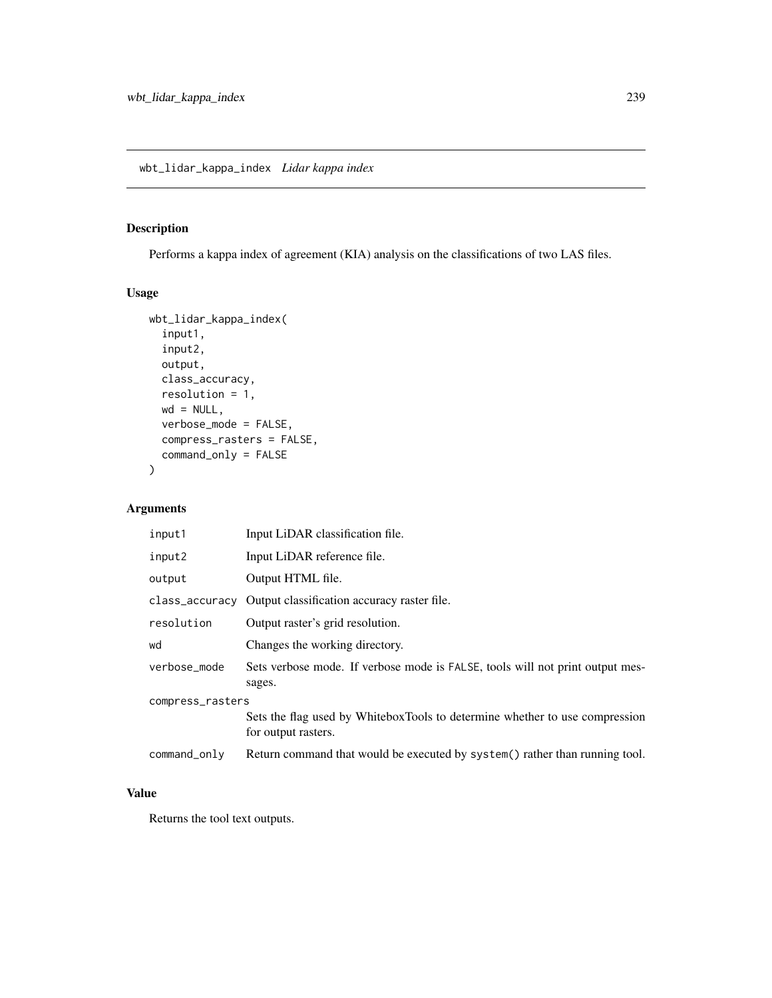# Description

Performs a kappa index of agreement (KIA) analysis on the classifications of two LAS files.

## Usage

```
wbt_lidar_kappa_index(
  input1,
  input2,
 output,
  class_accuracy,
  resolution = 1,
 wd = NULL,verbose_mode = FALSE,
  compress_rasters = FALSE,
  command_only = FALSE
)
```
## Arguments

| input1           | Input LiDAR classification file.                                                                   |  |
|------------------|----------------------------------------------------------------------------------------------------|--|
| input2           | Input LiDAR reference file.                                                                        |  |
| output           | Output HTML file.                                                                                  |  |
|                  | class_accuracy Output classification accuracy raster file.                                         |  |
| resolution       | Output raster's grid resolution.                                                                   |  |
| wd               | Changes the working directory.                                                                     |  |
| verbose_mode     | Sets verbose mode. If verbose mode is FALSE, tools will not print output mes-<br>sages.            |  |
| compress_rasters |                                                                                                    |  |
|                  | Sets the flag used by WhiteboxTools to determine whether to use compression<br>for output rasters. |  |
| command_only     | Return command that would be executed by system() rather than running tool.                        |  |

## Value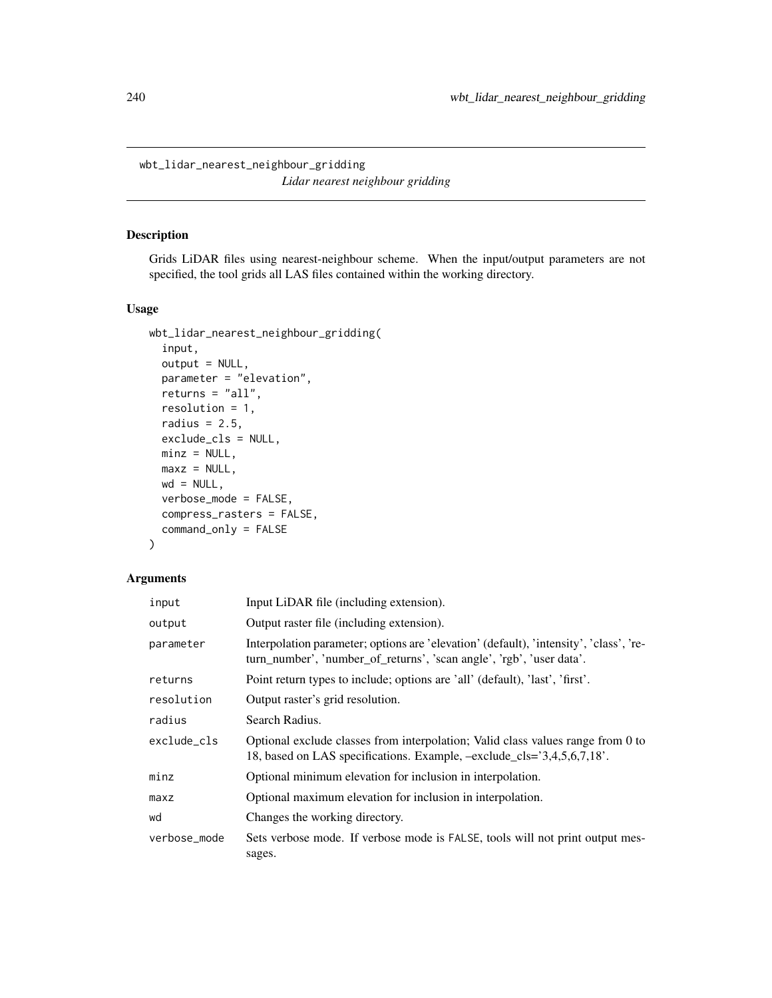wbt\_lidar\_nearest\_neighbour\_gridding *Lidar nearest neighbour gridding*

## Description

Grids LiDAR files using nearest-neighbour scheme. When the input/output parameters are not specified, the tool grids all LAS files contained within the working directory.

#### Usage

```
wbt_lidar_nearest_neighbour_gridding(
  input,
 output = NULL,
 parameter = "elevation",
 returns = "all",resolution = 1,
 radius = 2.5,
 exclude_cls = NULL,
 minz = NULL,maxz = NULL,wd = NULL,verbose_mode = FALSE,
  compress_rasters = FALSE,
  command_only = FALSE
)
```

| input        | Input LiDAR file (including extension).                                                                                                                        |
|--------------|----------------------------------------------------------------------------------------------------------------------------------------------------------------|
| output       | Output raster file (including extension).                                                                                                                      |
| parameter    | Interpolation parameter; options are 'elevation' (default), 'intensity', 'class', 're-<br>turn_number', 'number_of_returns', 'scan angle', 'rgb', 'user data'. |
| returns      | Point return types to include; options are 'all' (default), 'last', 'first'.                                                                                   |
| resolution   | Output raster's grid resolution.                                                                                                                               |
| radius       | Search Radius.                                                                                                                                                 |
| exclude cls  | Optional exclude classes from interpolation; Valid class values range from 0 to<br>18, based on LAS specifications. Example, $-exclude_cls = 3,4,5,6,7,18$ .   |
| minz         | Optional minimum elevation for inclusion in interpolation.                                                                                                     |
| maxz         | Optional maximum elevation for inclusion in interpolation.                                                                                                     |
| wd           | Changes the working directory.                                                                                                                                 |
| verbose_mode | Sets verbose mode. If verbose mode is FALSE, tools will not print output mes-<br>sages.                                                                        |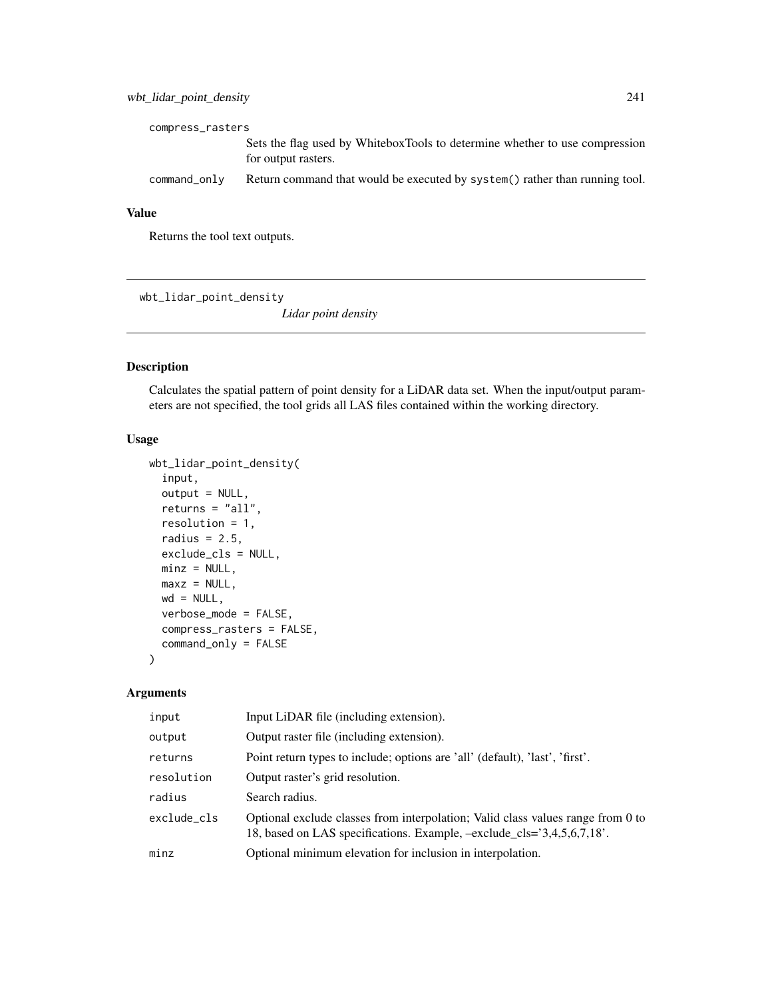## wbt\_lidar\_point\_density 241

| compress_rasters |                                                                                                    |  |
|------------------|----------------------------------------------------------------------------------------------------|--|
|                  | Sets the flag used by WhiteboxTools to determine whether to use compression<br>for output rasters. |  |
| command_only     | Return command that would be executed by system () rather than running tool.                       |  |

#### Value

Returns the tool text outputs.

wbt\_lidar\_point\_density

*Lidar point density*

## Description

Calculates the spatial pattern of point density for a LiDAR data set. When the input/output parameters are not specified, the tool grids all LAS files contained within the working directory.

## Usage

```
wbt_lidar_point_density(
  input,
  output = NULL,
  returns = "all",
  resolution = 1,
  radius = 2.5,
  exclude_cls = NULL,
  minz = NULL,maxz = NULL,wd = NULL,verbose_mode = FALSE,
  compress_rasters = FALSE,
  command_only = FALSE
)
```

| input       | Input LiDAR file (including extension).                                                                                                                      |
|-------------|--------------------------------------------------------------------------------------------------------------------------------------------------------------|
| output      | Output raster file (including extension).                                                                                                                    |
| returns     | Point return types to include; options are 'all' (default), 'last', 'first'.                                                                                 |
| resolution  | Output raster's grid resolution.                                                                                                                             |
| radius      | Search radius.                                                                                                                                               |
| exclude_cls | Optional exclude classes from interpolation; Valid class values range from 0 to<br>18, based on LAS specifications. Example, $-exclude_cls = 3,4,5,6,7,18$ . |
| minz        | Optional minimum elevation for inclusion in interpolation.                                                                                                   |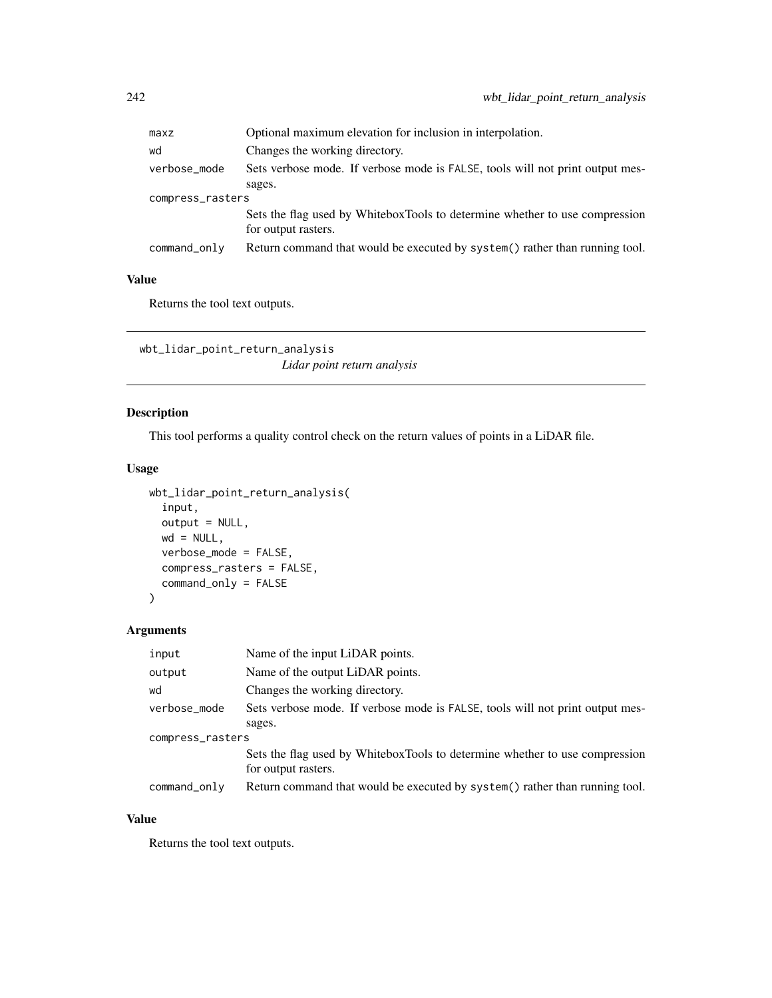| maxz             | Optional maximum elevation for inclusion in interpolation.                    |  |
|------------------|-------------------------------------------------------------------------------|--|
| wd               | Changes the working directory.                                                |  |
| verbose_mode     | Sets verbose mode. If verbose mode is FALSE, tools will not print output mes- |  |
|                  | sages.                                                                        |  |
| compress_rasters |                                                                               |  |
|                  | Sets the flag used by WhiteboxTools to determine whether to use compression   |  |
|                  | for output rasters.                                                           |  |
| command_only     | Return command that would be executed by system() rather than running tool.   |  |
|                  |                                                                               |  |

Returns the tool text outputs.

wbt\_lidar\_point\_return\_analysis *Lidar point return analysis*

## Description

This tool performs a quality control check on the return values of points in a LiDAR file.

#### Usage

```
wbt_lidar_point_return_analysis(
  input,
 output = NULL,wd = NULL,verbose_mode = FALSE,
  compress_rasters = FALSE,
  command_only = FALSE
\lambda
```
# Arguments

| input            | Name of the input LiDAR points.                                                                    |  |
|------------------|----------------------------------------------------------------------------------------------------|--|
| output           | Name of the output LiDAR points.                                                                   |  |
| wd               | Changes the working directory.                                                                     |  |
| verbose_mode     | Sets verbose mode. If verbose mode is FALSE, tools will not print output mes-                      |  |
|                  | sages.                                                                                             |  |
| compress_rasters |                                                                                                    |  |
|                  | Sets the flag used by WhiteboxTools to determine whether to use compression<br>for output rasters. |  |
| command_only     | Return command that would be executed by system() rather than running tool.                        |  |

## Value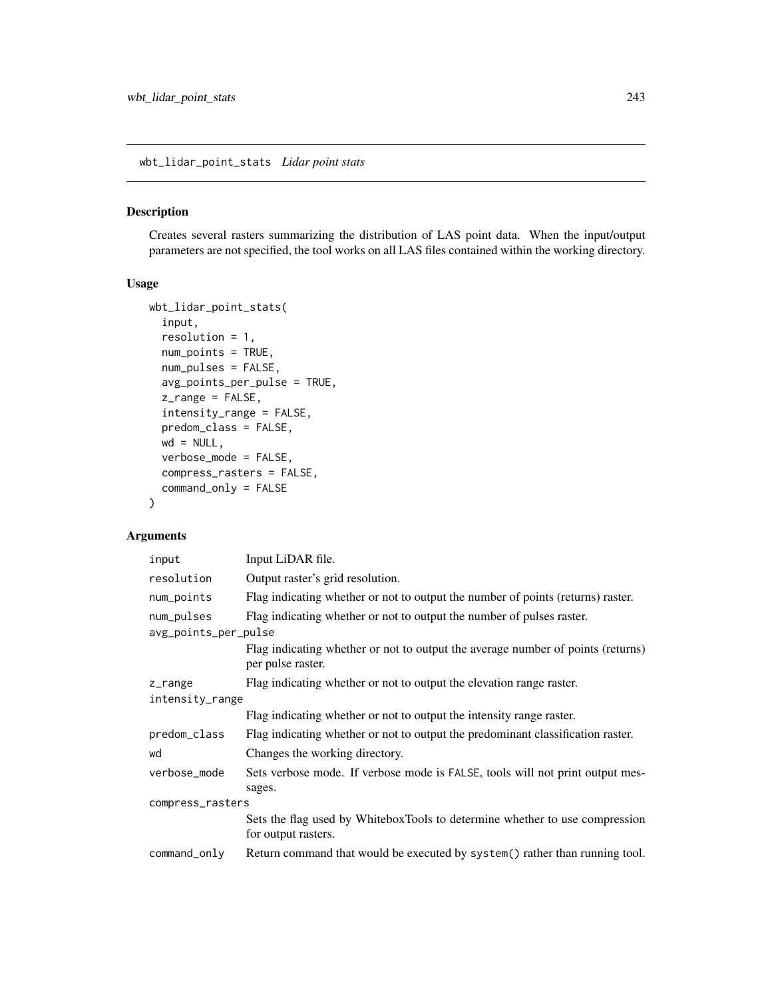wbt\_lidar\_point\_stats *Lidar point stats*

#### Description

Creates several rasters summarizing the distribution of LAS point data. When the input/output parameters are not specified, the tool works on all LAS files contained within the working directory.

## Usage

```
wbt_lidar_point_stats(
  input,
  resolution = 1,
  num_points = TRUE,
  num_pulses = FALSE,
  avg_points_per_pulse = TRUE,
  z_range = FALSE,
  intensity_range = FALSE,
  predom_class = FALSE,
 wd = NULL,verbose_mode = FALSE,
  compress_rasters = FALSE,
  command_only = FALSE
)
```

| input                | Input LiDAR file.                                                                                    |  |
|----------------------|------------------------------------------------------------------------------------------------------|--|
| resolution           | Output raster's grid resolution.                                                                     |  |
| num_points           | Flag indicating whether or not to output the number of points (returns) raster.                      |  |
| num_pulses           | Flag indicating whether or not to output the number of pulses raster.                                |  |
| avg_points_per_pulse |                                                                                                      |  |
|                      | Flag indicating whether or not to output the average number of points (returns)<br>per pulse raster. |  |
|                      |                                                                                                      |  |
| z_range              | Flag indicating whether or not to output the elevation range raster.                                 |  |
| intensity_range      |                                                                                                      |  |
|                      | Flag indicating whether or not to output the intensity range raster.                                 |  |
| predom_class         | Flag indicating whether or not to output the predominant classification raster.                      |  |
| wd                   | Changes the working directory.                                                                       |  |
| verbose_mode         | Sets verbose mode. If verbose mode is FALSE, tools will not print output mes-                        |  |
|                      | sages.                                                                                               |  |
| compress_rasters     |                                                                                                      |  |
|                      | Sets the flag used by WhiteboxTools to determine whether to use compression<br>for output rasters.   |  |
| command_only         | Return command that would be executed by system() rather than running tool.                          |  |
|                      |                                                                                                      |  |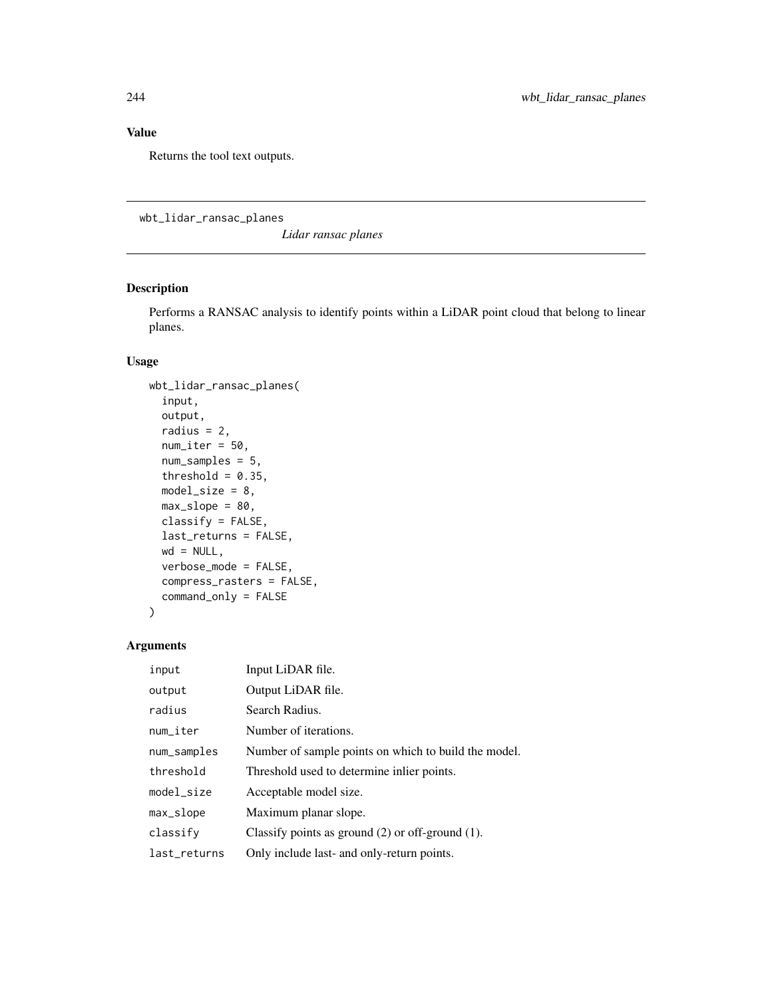Returns the tool text outputs.

wbt\_lidar\_ransac\_planes

*Lidar ransac planes*

## Description

Performs a RANSAC analysis to identify points within a LiDAR point cloud that belong to linear planes.

## Usage

```
wbt_lidar_ransac_planes(
  input,
  output,
  radius = 2,
  num\_iter = 50,
 num_samples = 5,
  threshold = 0.35,
 model\_size = 8,
 max\_slope = 80,
 classify = FALSE,
  last_returns = FALSE,
 wd = NULL,verbose_mode = FALSE,
  compress_rasters = FALSE,
  command_only = FALSE
)
```

| input        | Input LiDAR file.                                     |
|--------------|-------------------------------------------------------|
| output       | Output LiDAR file.                                    |
| radius       | Search Radius.                                        |
| num_iter     | Number of iterations.                                 |
| num_samples  | Number of sample points on which to build the model.  |
| threshold    | Threshold used to determine in lier points.           |
| model_size   | Acceptable model size.                                |
| max_slope    | Maximum planar slope.                                 |
| classify     | Classify points as ground $(2)$ or off-ground $(1)$ . |
| last_returns | Only include last- and only-return points.            |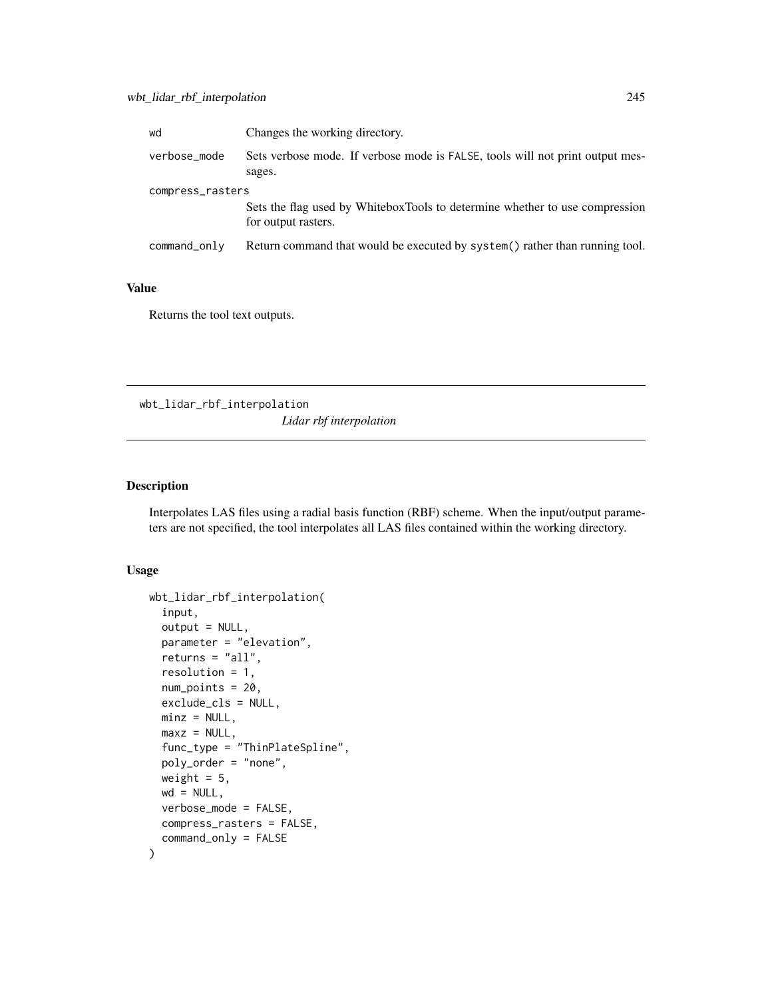| wd               | Changes the working directory.                                                                     |  |
|------------------|----------------------------------------------------------------------------------------------------|--|
| verbose_mode     | Sets verbose mode. If verbose mode is FALSE, tools will not print output mes-<br>sages.            |  |
| compress_rasters |                                                                                                    |  |
|                  | Sets the flag used by WhiteboxTools to determine whether to use compression<br>for output rasters. |  |
| command_only     | Return command that would be executed by system() rather than running tool.                        |  |

Returns the tool text outputs.

wbt\_lidar\_rbf\_interpolation *Lidar rbf interpolation*

#### Description

Interpolates LAS files using a radial basis function (RBF) scheme. When the input/output parameters are not specified, the tool interpolates all LAS files contained within the working directory.

#### Usage

```
wbt_lidar_rbf_interpolation(
  input,
  output = NULL,parameter = "elevation",
 returns = "all",resolution = 1,
 num_points = 20,
 exclude_cls = NULL,
 minz = NULL,maxz = NULL,func_type = "ThinPlateSpline",
 poly_order = "none",
 weight = 5,
 wd = NULL,verbose_mode = FALSE,
  compress_rasters = FALSE,
  command_only = FALSE
)
```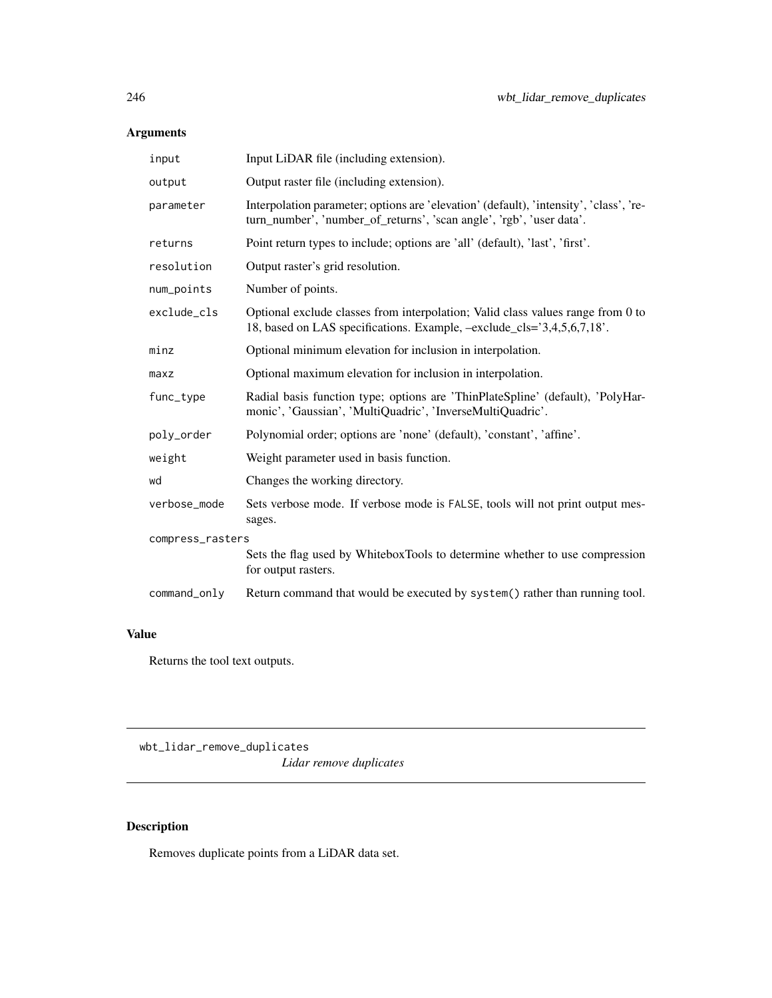## Arguments

| input            | Input LiDAR file (including extension).                                                                                                                        |  |
|------------------|----------------------------------------------------------------------------------------------------------------------------------------------------------------|--|
| output           | Output raster file (including extension).                                                                                                                      |  |
| parameter        | Interpolation parameter; options are 'elevation' (default), 'intensity', 'class', 're-<br>turn_number', 'number_of_returns', 'scan angle', 'rgb', 'user data'. |  |
| returns          | Point return types to include; options are 'all' (default), 'last', 'first'.                                                                                   |  |
| resolution       | Output raster's grid resolution.                                                                                                                               |  |
| num_points       | Number of points.                                                                                                                                              |  |
| exclude_cls      | Optional exclude classes from interpolation; Valid class values range from 0 to<br>18, based on LAS specifications. Example, -exclude_cls='3,4,5,6,7,18'.      |  |
| minz             | Optional minimum elevation for inclusion in interpolation.                                                                                                     |  |
| maxz             | Optional maximum elevation for inclusion in interpolation.                                                                                                     |  |
| func_type        | Radial basis function type; options are 'ThinPlateSpline' (default), 'PolyHar-<br>monic', 'Gaussian', 'MultiQuadric', 'InverseMultiQuadric'.                   |  |
| poly_order       | Polynomial order; options are 'none' (default), 'constant', 'affine'.                                                                                          |  |
| weight           | Weight parameter used in basis function.                                                                                                                       |  |
| wd               | Changes the working directory.                                                                                                                                 |  |
| verbose_mode     | Sets verbose mode. If verbose mode is FALSE, tools will not print output mes-<br>sages.                                                                        |  |
| compress_rasters |                                                                                                                                                                |  |
|                  | Sets the flag used by WhiteboxTools to determine whether to use compression<br>for output rasters.                                                             |  |
| command_only     | Return command that would be executed by system() rather than running tool.                                                                                    |  |

## Value

Returns the tool text outputs.

wbt\_lidar\_remove\_duplicates *Lidar remove duplicates*

# Description

Removes duplicate points from a LiDAR data set.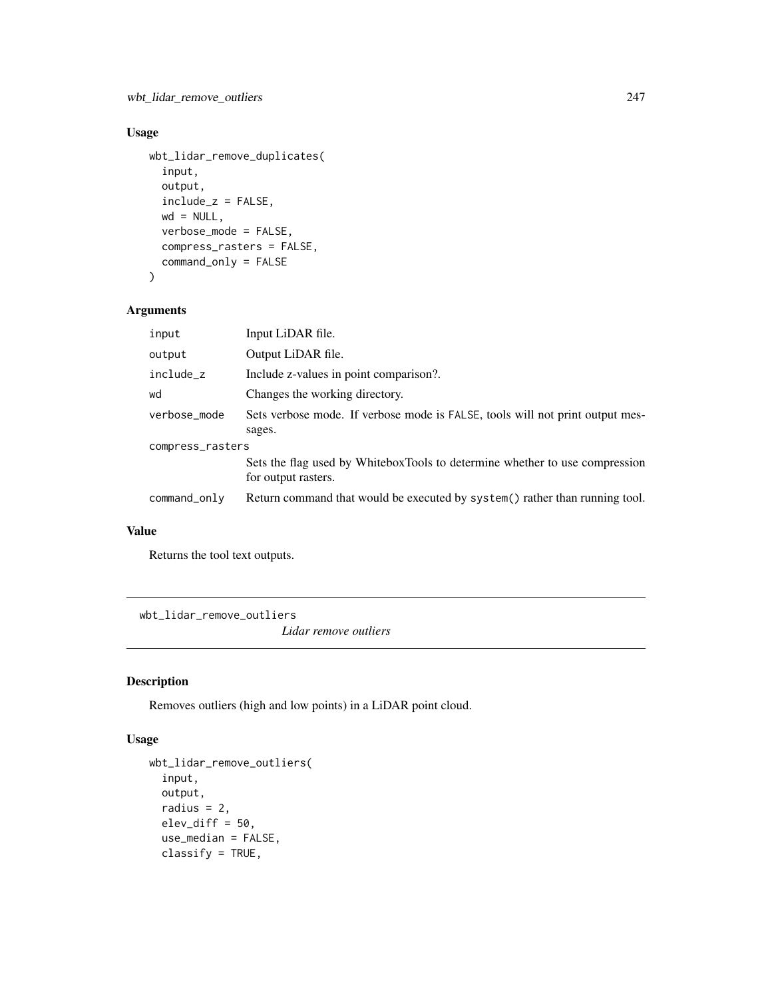## Usage

```
wbt_lidar_remove_duplicates(
  input,
  output,
  include_z = FALSE,
 wd = NULL,verbose_mode = FALSE,
  compress_rasters = FALSE,
  command_only = FALSE
)
```
## Arguments

| input            | Input LiDAR file.                                                                                  |  |
|------------------|----------------------------------------------------------------------------------------------------|--|
| output           | Output LiDAR file.                                                                                 |  |
| include_z        | Include z-values in point comparison?.                                                             |  |
| wd               | Changes the working directory.                                                                     |  |
| verbose_mode     | Sets verbose mode. If verbose mode is FALSE, tools will not print output mes-                      |  |
|                  | sages.                                                                                             |  |
| compress_rasters |                                                                                                    |  |
|                  | Sets the flag used by WhiteboxTools to determine whether to use compression<br>for output rasters. |  |
| command_only     | Return command that would be executed by system() rather than running tool.                        |  |

#### Value

Returns the tool text outputs.

wbt\_lidar\_remove\_outliers

*Lidar remove outliers*

## Description

Removes outliers (high and low points) in a LiDAR point cloud.

#### Usage

```
wbt_lidar_remove_outliers(
  input,
 output,
  radius = 2,
  elev_diff = 50,
  use_median = FALSE,
  classify = TRUE,
```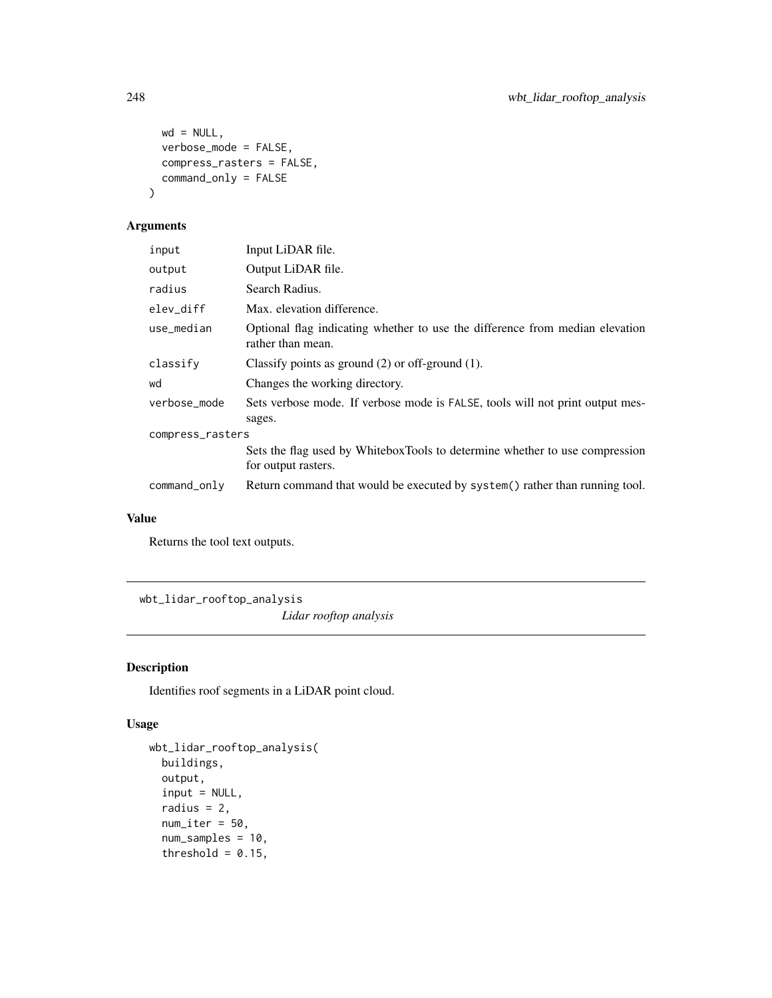```
wd = NULL,verbose_mode = FALSE,
 compress_rasters = FALSE,
 command_only = FALSE
)
```
#### Arguments

| input            | Input LiDAR file.                                                                                  |  |
|------------------|----------------------------------------------------------------------------------------------------|--|
| output           | Output LiDAR file.                                                                                 |  |
| radius           | Search Radius.                                                                                     |  |
| elev_diff        | Max. elevation difference.                                                                         |  |
| use_median       | Optional flag indicating whether to use the difference from median elevation<br>rather than mean.  |  |
| classify         | Classify points as ground $(2)$ or off-ground $(1)$ .                                              |  |
| wd               | Changes the working directory.                                                                     |  |
| verbose_mode     | Sets verbose mode. If verbose mode is FALSE, tools will not print output mes-<br>sages.            |  |
| compress_rasters |                                                                                                    |  |
|                  | Sets the flag used by WhiteboxTools to determine whether to use compression<br>for output rasters. |  |
| command_only     | Return command that would be executed by system() rather than running tool.                        |  |

#### Value

Returns the tool text outputs.

wbt\_lidar\_rooftop\_analysis

*Lidar rooftop analysis*

# Description

Identifies roof segments in a LiDAR point cloud.

# Usage

```
wbt_lidar_rooftop_analysis(
 buildings,
 output,
  input = NULL,
  radius = 2,
  num\_iter = 50,
  num_samples = 10,
  threshold = 0.15,
```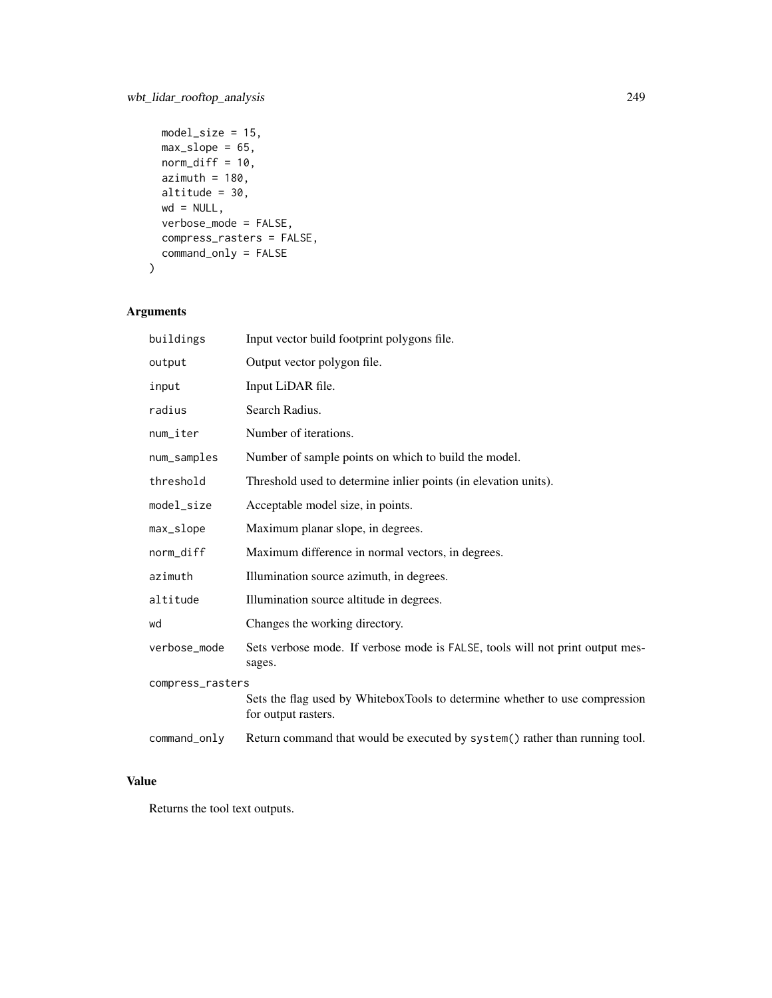```
model_size = 15,
max_slope = 65,
norm\_diff = 10,
azimuth = 180,altitude = 30,
wd = NULL,verbose_mode = FALSE,
compress_rasters = FALSE,
command_only = FALSE
```
# Arguments

 $\mathcal{L}$ 

| buildings        | Input vector build footprint polygons file.                                                        |  |
|------------------|----------------------------------------------------------------------------------------------------|--|
| output           | Output vector polygon file.                                                                        |  |
| input            | Input LiDAR file.                                                                                  |  |
| radius           | Search Radius.                                                                                     |  |
| num_iter         | Number of iterations.                                                                              |  |
| num_samples      | Number of sample points on which to build the model.                                               |  |
| threshold        | Threshold used to determine inlier points (in elevation units).                                    |  |
| model_size       | Acceptable model size, in points.                                                                  |  |
| max_slope        | Maximum planar slope, in degrees.                                                                  |  |
| norm_diff        | Maximum difference in normal vectors, in degrees.                                                  |  |
| azimuth          | Illumination source azimuth, in degrees.                                                           |  |
| altitude         | Illumination source altitude in degrees.                                                           |  |
| wd               | Changes the working directory.                                                                     |  |
| verbose_mode     | Sets verbose mode. If verbose mode is FALSE, tools will not print output mes-<br>sages.            |  |
| compress_rasters |                                                                                                    |  |
|                  | Sets the flag used by WhiteboxTools to determine whether to use compression<br>for output rasters. |  |
| command_only     | Return command that would be executed by system() rather than running tool.                        |  |

# Value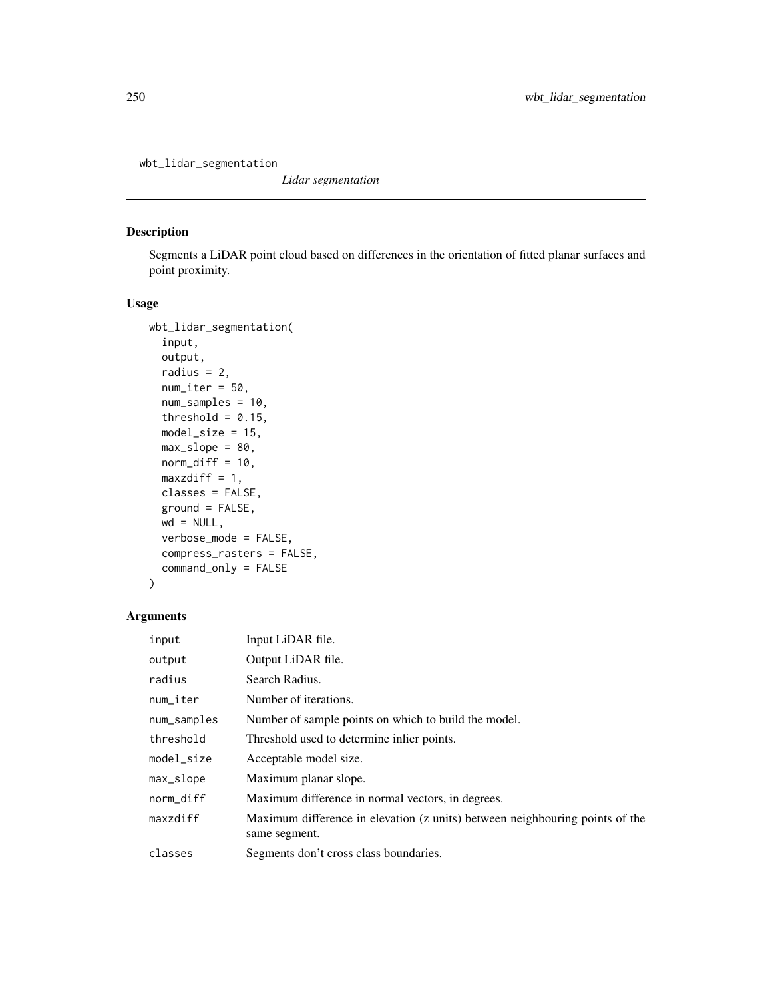wbt\_lidar\_segmentation

*Lidar segmentation*

#### Description

Segments a LiDAR point cloud based on differences in the orientation of fitted planar surfaces and point proximity.

#### Usage

```
wbt_lidar_segmentation(
  input,
 output,
  radius = 2,
  num\_iter = 50,
  num_samples = 10,
  threshold = 0.15,
 model_size = 15,
 max_slope = 80,
 norm\_diff = 10,
 maxzdiff = 1,
 classes = FALSE,
  ground = FALSE,wd = NULL,verbose_mode = FALSE,
  compress_rasters = FALSE,
  command_only = FALSE
\mathcal{L}
```

| input        | Input LiDAR file.                                                                             |
|--------------|-----------------------------------------------------------------------------------------------|
| output       | Output LiDAR file.                                                                            |
| radius       | Search Radius.                                                                                |
| num_iter     | Number of iterations.                                                                         |
| num_samples  | Number of sample points on which to build the model.                                          |
| threshold    | Threshold used to determine inlier points.                                                    |
| model_size   | Acceptable model size.                                                                        |
| $max\_slope$ | Maximum planar slope.                                                                         |
| norm_diff    | Maximum difference in normal vectors, in degrees.                                             |
| maxzdiff     | Maximum difference in elevation (z units) between neighbouring points of the<br>same segment. |
| classes      | Segments don't cross class boundaries.                                                        |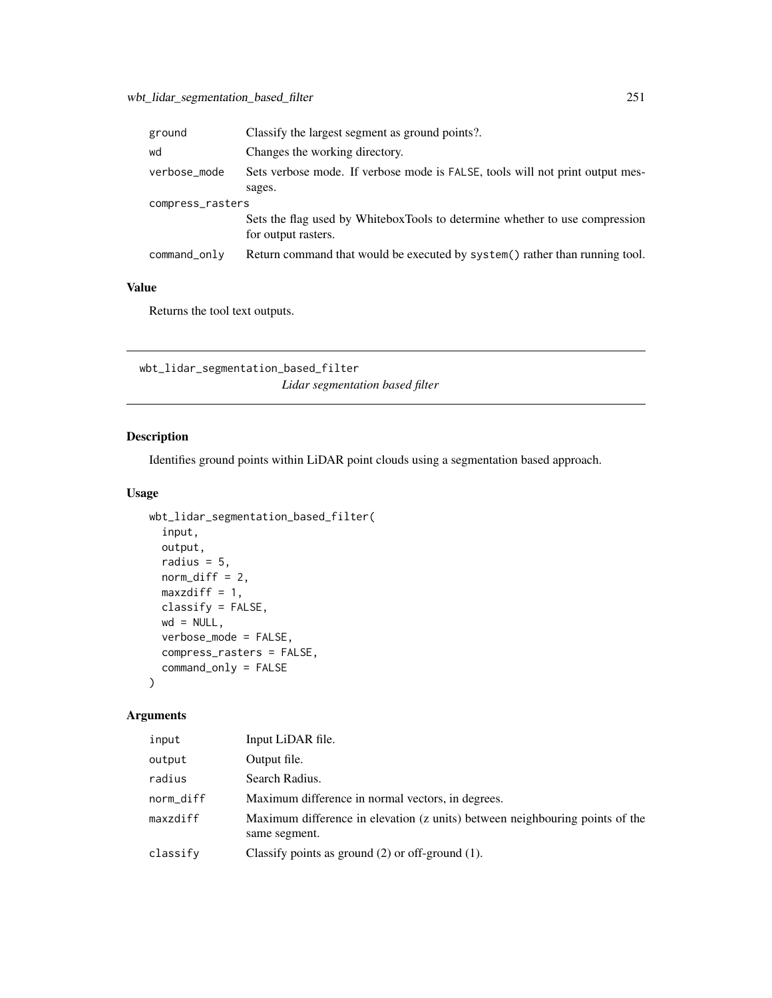| ground           | Classify the largest segment as ground points?.                                                    |  |
|------------------|----------------------------------------------------------------------------------------------------|--|
| wd               | Changes the working directory.                                                                     |  |
| verbose_mode     | Sets verbose mode. If verbose mode is FALSE, tools will not print output mes-<br>sages.            |  |
| compress_rasters |                                                                                                    |  |
|                  | Sets the flag used by WhiteboxTools to determine whether to use compression<br>for output rasters. |  |
| command_only     | Return command that would be executed by system() rather than running tool.                        |  |

Returns the tool text outputs.

wbt\_lidar\_segmentation\_based\_filter *Lidar segmentation based filter*

# Description

Identifies ground points within LiDAR point clouds using a segmentation based approach.

#### Usage

```
wbt_lidar_segmentation_based_filter(
  input,
 output,
 radius = 5,
 norm\_diff = 2,
 maxzdiff = 1,
 classify = FALSE,
 wd = NULL,verbose_mode = FALSE,
  compress_rasters = FALSE,
  command_only = FALSE
\mathcal{L}
```

| input     | Input LiDAR file.                                                                             |
|-----------|-----------------------------------------------------------------------------------------------|
| output    | Output file.                                                                                  |
| radius    | Search Radius.                                                                                |
| norm_diff | Maximum difference in normal vectors, in degrees.                                             |
| maxzdiff  | Maximum difference in elevation (z units) between neighbouring points of the<br>same segment. |
| classify  | Classify points as ground $(2)$ or off-ground $(1)$ .                                         |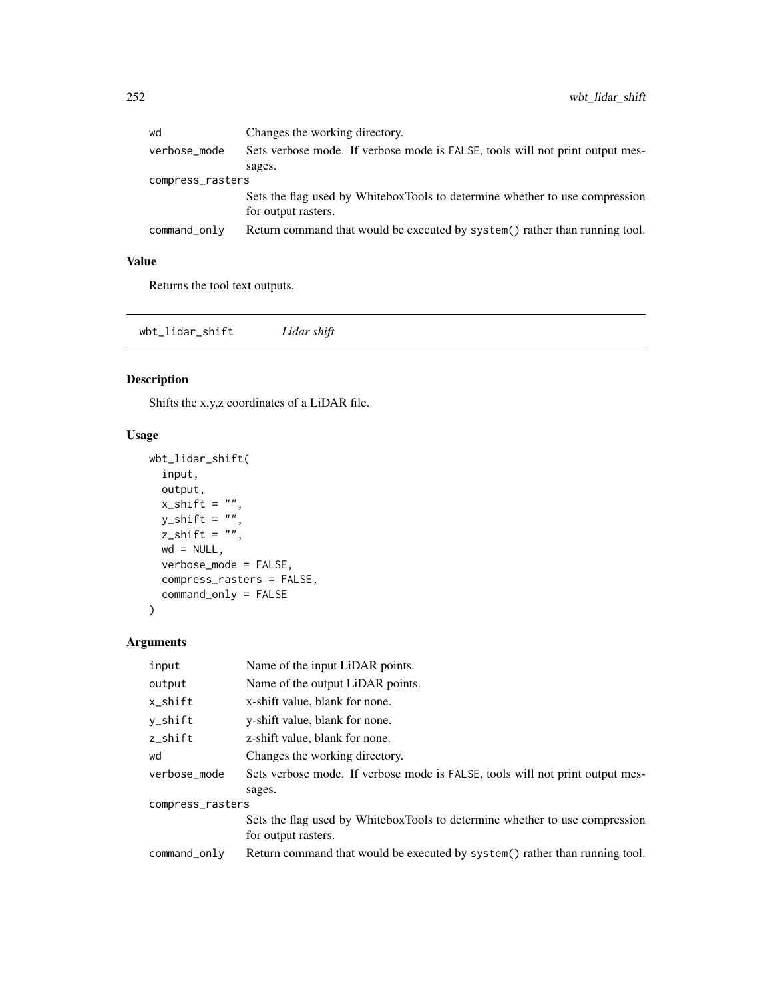| wd               | Changes the working directory.                                                |  |
|------------------|-------------------------------------------------------------------------------|--|
| verbose_mode     | Sets verbose mode. If verbose mode is FALSE, tools will not print output mes- |  |
|                  | sages.                                                                        |  |
| compress_rasters |                                                                               |  |
|                  | Sets the flag used by WhiteboxTools to determine whether to use compression   |  |
|                  | for output rasters.                                                           |  |
| command_only     | Return command that would be executed by system() rather than running tool.   |  |
|                  |                                                                               |  |

Returns the tool text outputs.

wbt\_lidar\_shift *Lidar shift*

## Description

Shifts the x,y,z coordinates of a LiDAR file.

## Usage

```
wbt_lidar_shift(
  input,
  output,
  x\_shift = "",y_shift = "",
  z_shift = ",
  wd = NULL,verbose_mode = FALSE,
  compress_rasters = FALSE,
  command_only = FALSE
\mathcal{L}
```

| input            | Name of the input LiDAR points.                                               |
|------------------|-------------------------------------------------------------------------------|
| output           | Name of the output LiDAR points.                                              |
| x_shift          | x-shift value, blank for none.                                                |
| y_shift          | y-shift value, blank for none.                                                |
| z_shift          | z-shift value, blank for none.                                                |
| wd               | Changes the working directory.                                                |
| verbose_mode     | Sets verbose mode. If verbose mode is FALSE, tools will not print output mes- |
|                  | sages.                                                                        |
| compress_rasters |                                                                               |
|                  | Sets the flag used by WhiteboxTools to determine whether to use compression   |
|                  | for output rasters.                                                           |
| command_only     | Return command that would be executed by system() rather than running tool.   |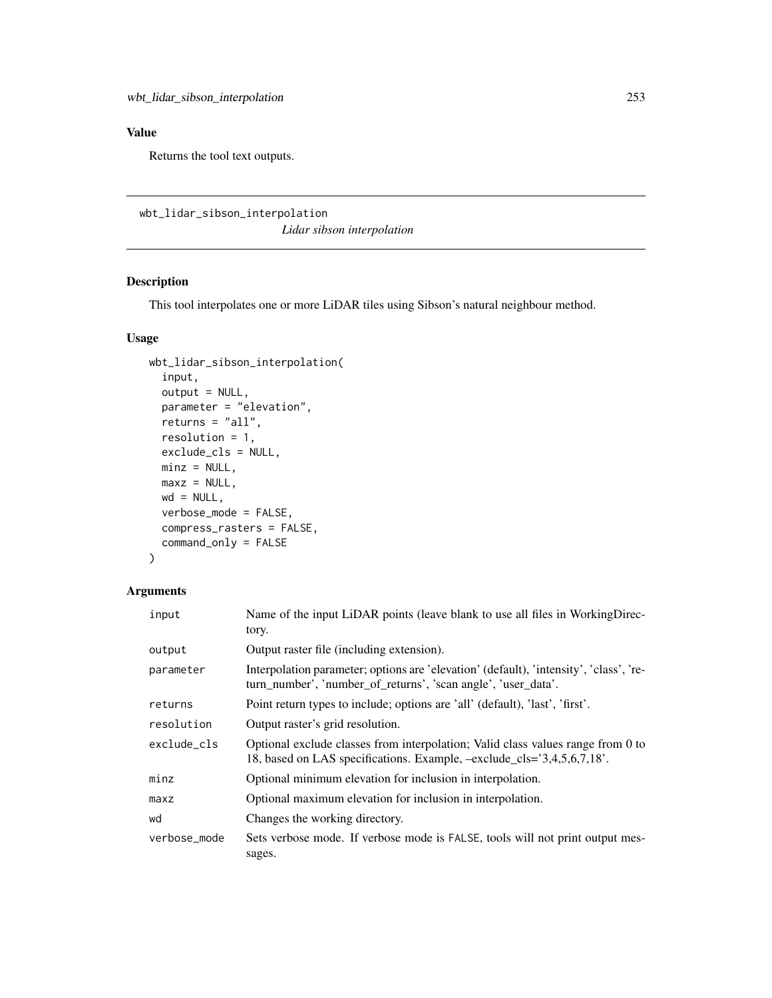Returns the tool text outputs.

wbt\_lidar\_sibson\_interpolation *Lidar sibson interpolation*

## Description

This tool interpolates one or more LiDAR tiles using Sibson's natural neighbour method.

#### Usage

```
wbt_lidar_sibson_interpolation(
  input,
 output = NULL,
 parameter = "elevation",
 returns = "all",resolution = 1,
 exclude_cls = NULL,
 minz = NULL,maxz = NULL,wd = NULL,verbose_mode = FALSE,
 compress_rasters = FALSE,
 command_only = FALSE
)
```

| input        | Name of the input LiDAR points (leave blank to use all files in WorkingDirec-<br>tory.                                                                       |
|--------------|--------------------------------------------------------------------------------------------------------------------------------------------------------------|
| output       | Output raster file (including extension).                                                                                                                    |
| parameter    | Interpolation parameter; options are 'elevation' (default), 'intensity', 'class', 're-<br>turn_number', 'number_of_returns', 'scan angle', 'user_data'.      |
| returns      | Point return types to include; options are 'all' (default), 'last', 'first'.                                                                                 |
| resolution   | Output raster's grid resolution.                                                                                                                             |
| exclude cls  | Optional exclude classes from interpolation; Valid class values range from 0 to<br>18, based on LAS specifications. Example, $-exclude_cls = 3,4,5,6,7,18$ . |
| minz         | Optional minimum elevation for inclusion in interpolation.                                                                                                   |
| maxz         | Optional maximum elevation for inclusion in interpolation.                                                                                                   |
| wd           | Changes the working directory.                                                                                                                               |
| verbose mode | Sets verbose mode. If verbose mode is FALSE, tools will not print output mes-<br>sages.                                                                      |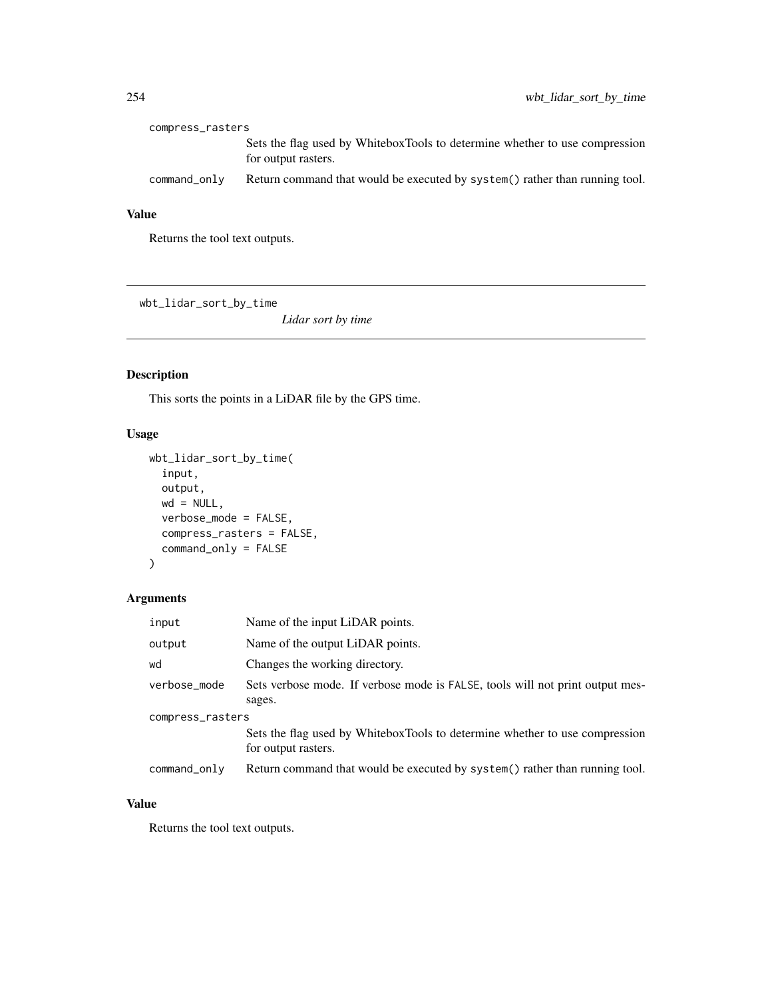| compress_rasters |                                                                                                    |  |
|------------------|----------------------------------------------------------------------------------------------------|--|
|                  | Sets the flag used by WhiteboxTools to determine whether to use compression<br>for output rasters. |  |
| command_only     | Return command that would be executed by system() rather than running tool.                        |  |

Returns the tool text outputs.

wbt\_lidar\_sort\_by\_time

*Lidar sort by time*

## Description

This sorts the points in a LiDAR file by the GPS time.

## Usage

```
wbt_lidar_sort_by_time(
  input,
 output,
 wd = NULL,verbose_mode = FALSE,
 compress_rasters = FALSE,
  command_only = FALSE
)
```
## Arguments

| input            | Name of the input LiDAR points.                                                                    |  |
|------------------|----------------------------------------------------------------------------------------------------|--|
| output           | Name of the output LiDAR points.                                                                   |  |
| wd               | Changes the working directory.                                                                     |  |
| verbose_mode     | Sets verbose mode. If verbose mode is FALSE, tools will not print output mes-<br>sages.            |  |
| compress_rasters |                                                                                                    |  |
|                  | Sets the flag used by WhiteboxTools to determine whether to use compression<br>for output rasters. |  |
| command_only     | Return command that would be executed by system() rather than running tool.                        |  |

## Value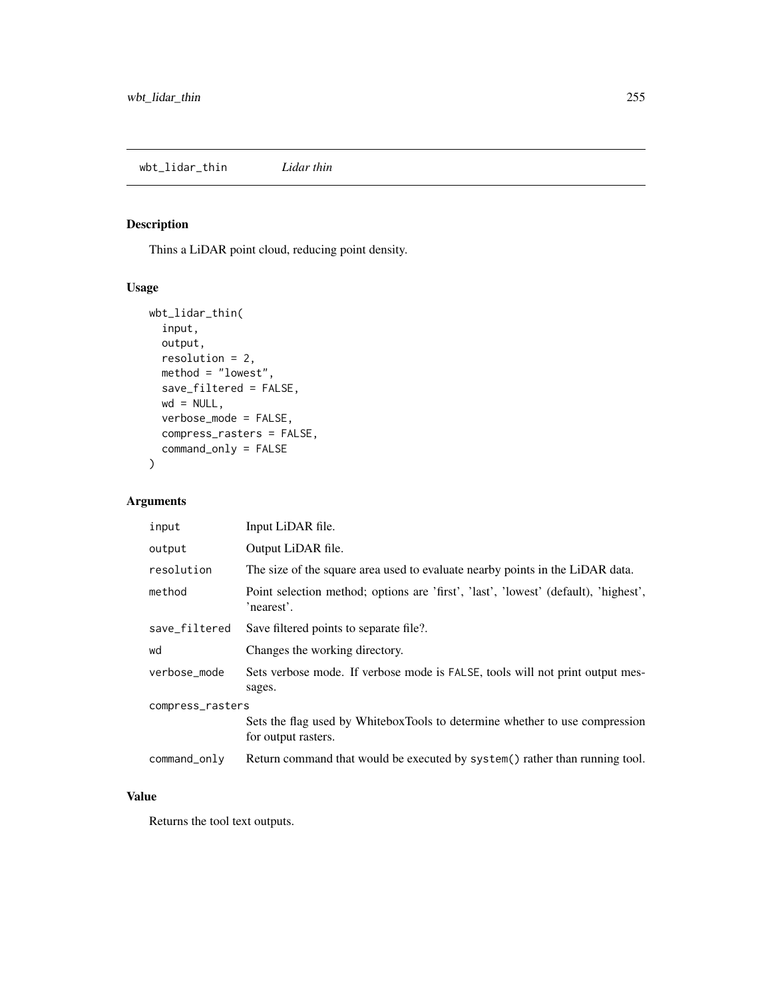## Description

Thins a LiDAR point cloud, reducing point density.

## Usage

```
wbt_lidar_thin(
 input,
 output,
 resolution = 2,
 method = "lowest",
 save_filtered = FALSE,
 wd = NULL,verbose_mode = FALSE,
 compress_rasters = FALSE,
 command_only = FALSE
)
```
## Arguments

| input            | Input LiDAR file.                                                                                  |  |
|------------------|----------------------------------------------------------------------------------------------------|--|
| output           | Output LiDAR file.                                                                                 |  |
| resolution       | The size of the square area used to evaluate nearby points in the LiDAR data.                      |  |
| method           | Point selection method; options are 'first', 'last', 'lowest' (default), 'highest',<br>'nearest'.  |  |
| save_filtered    | Save filtered points to separate file?.                                                            |  |
| wd               | Changes the working directory.                                                                     |  |
| verbose_mode     | Sets verbose mode. If verbose mode is FALSE, tools will not print output mes-<br>sages.            |  |
| compress_rasters |                                                                                                    |  |
|                  | Sets the flag used by WhiteboxTools to determine whether to use compression<br>for output rasters. |  |
| command_only     | Return command that would be executed by system() rather than running tool.                        |  |

#### Value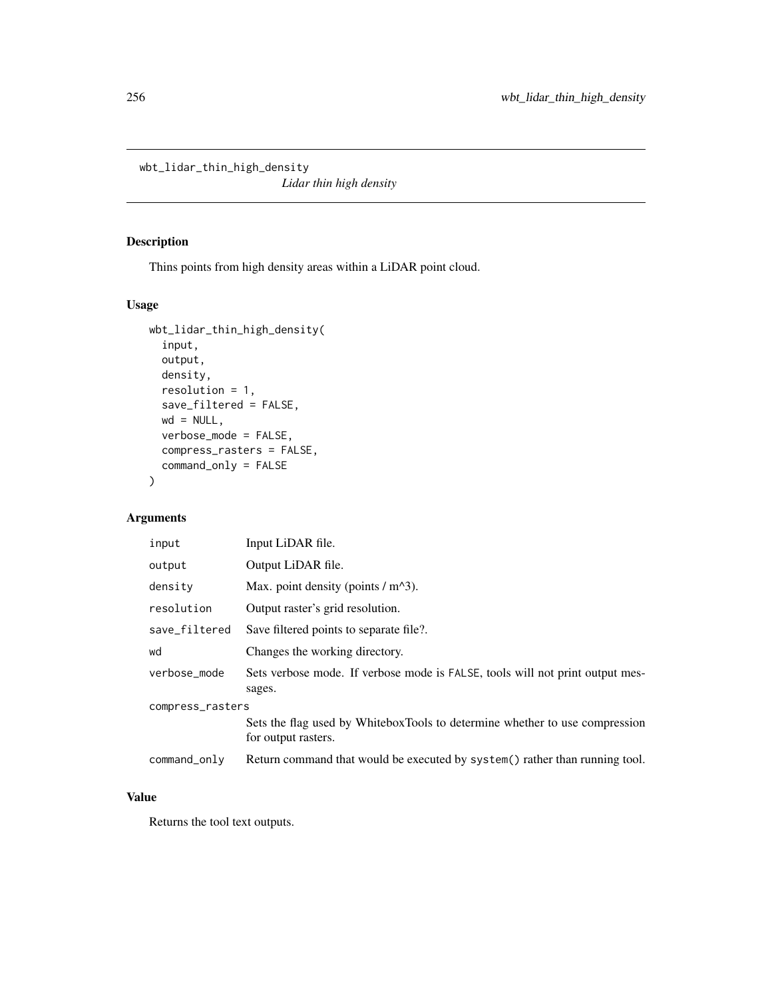wbt\_lidar\_thin\_high\_density

*Lidar thin high density*

## Description

Thins points from high density areas within a LiDAR point cloud.

## Usage

```
wbt_lidar_thin_high_density(
  input,
 output,
 density,
 resolution = 1,
  save_filtered = FALSE,
 wd = NULL,verbose_mode = FALSE,
 compress_rasters = FALSE,
  command_only = FALSE
)
```
## Arguments

| input            | Input LiDAR file.                                                                                  |  |
|------------------|----------------------------------------------------------------------------------------------------|--|
| output           | Output LiDAR file.                                                                                 |  |
| density          | Max. point density (points $/m^{3}$ ).                                                             |  |
| resolution       | Output raster's grid resolution.                                                                   |  |
| save_filtered    | Save filtered points to separate file?.                                                            |  |
| wd               | Changes the working directory.                                                                     |  |
| verbose_mode     | Sets verbose mode. If verbose mode is FALSE, tools will not print output mes-<br>sages.            |  |
| compress_rasters |                                                                                                    |  |
|                  | Sets the flag used by WhiteboxTools to determine whether to use compression<br>for output rasters. |  |
| command_only     | Return command that would be executed by system() rather than running tool.                        |  |

## Value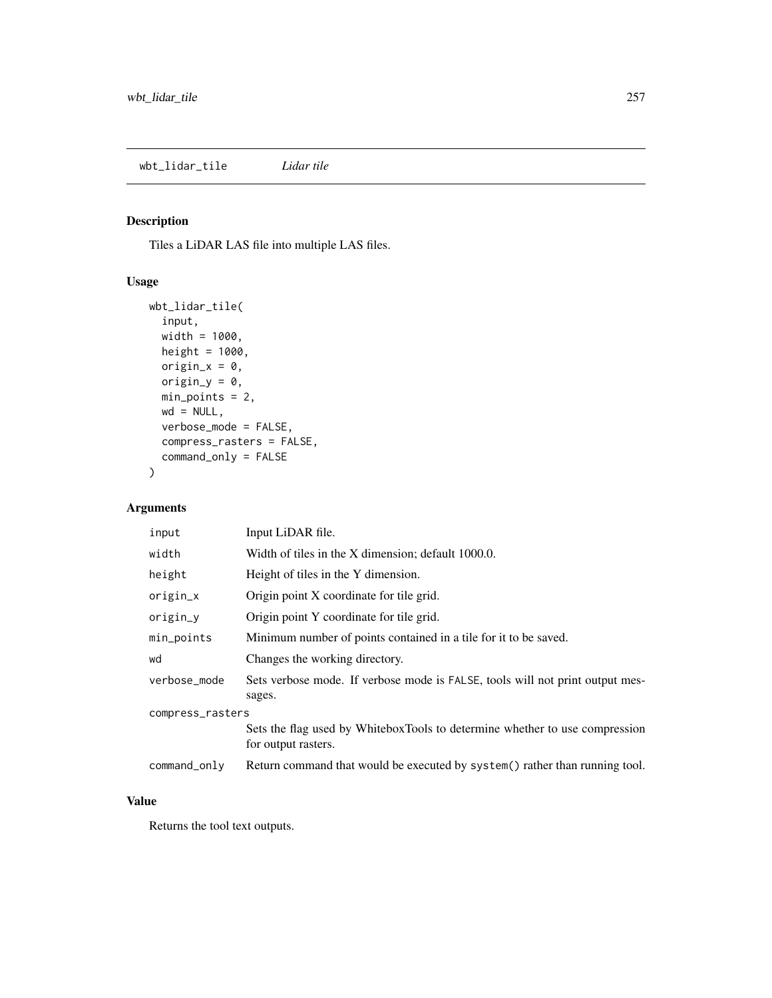## Description

Tiles a LiDAR LAS file into multiple LAS files.

## Usage

```
wbt_lidar_tile(
  input,
 width = 1000,
 height = 1000,
 origin_x = 0,
 origin_y = 0,
 min_points = 2,
 wd = NULL,verbose_mode = FALSE,
 compress_rasters = FALSE,
  command_only = FALSE
)
```
## Arguments

| input            | Input LiDAR file.                                                                                  |  |
|------------------|----------------------------------------------------------------------------------------------------|--|
| width            | Width of tiles in the X dimension; default 1000.0.                                                 |  |
| height           | Height of tiles in the Y dimension.                                                                |  |
| origin_x         | Origin point X coordinate for tile grid.                                                           |  |
| origin_y         | Origin point Y coordinate for tile grid.                                                           |  |
| min_points       | Minimum number of points contained in a tile for it to be saved.                                   |  |
| wd               | Changes the working directory.                                                                     |  |
| verbose_mode     | Sets verbose mode. If verbose mode is FALSE, tools will not print output mes-<br>sages.            |  |
| compress_rasters |                                                                                                    |  |
|                  | Sets the flag used by WhiteboxTools to determine whether to use compression<br>for output rasters. |  |
| command_only     | Return command that would be executed by system() rather than running tool.                        |  |

#### Value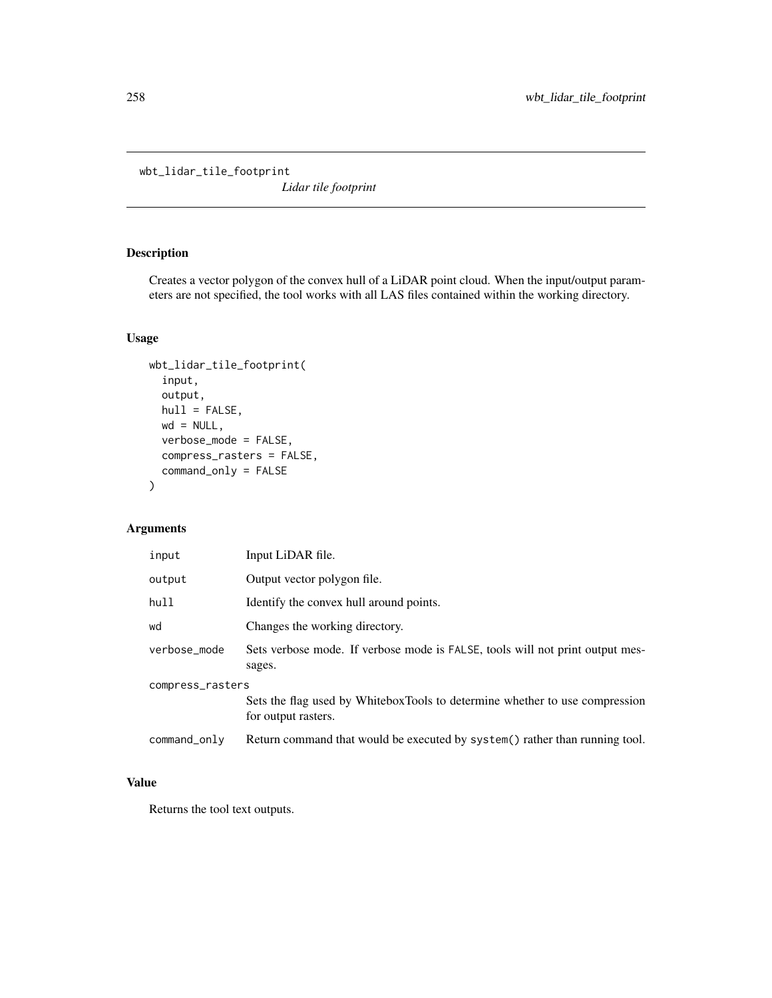wbt\_lidar\_tile\_footprint

*Lidar tile footprint*

## Description

Creates a vector polygon of the convex hull of a LiDAR point cloud. When the input/output parameters are not specified, the tool works with all LAS files contained within the working directory.

## Usage

```
wbt_lidar_tile_footprint(
  input,
 output,
 hull = FALSE,wd = NULL,verbose_mode = FALSE,
 compress_rasters = FALSE,
  command_only = FALSE
\mathcal{E}
```
#### Arguments

| input            | Input LiDAR file.                                                                                  |
|------------------|----------------------------------------------------------------------------------------------------|
| output           | Output vector polygon file.                                                                        |
| hull             | Identify the convex hull around points.                                                            |
| wd               | Changes the working directory.                                                                     |
| verbose_mode     | Sets verbose mode. If verbose mode is FALSE, tools will not print output mes-<br>sages.            |
| compress_rasters | Sets the flag used by WhiteboxTools to determine whether to use compression<br>for output rasters. |
| command_only     | Return command that would be executed by system() rather than running tool.                        |

## Value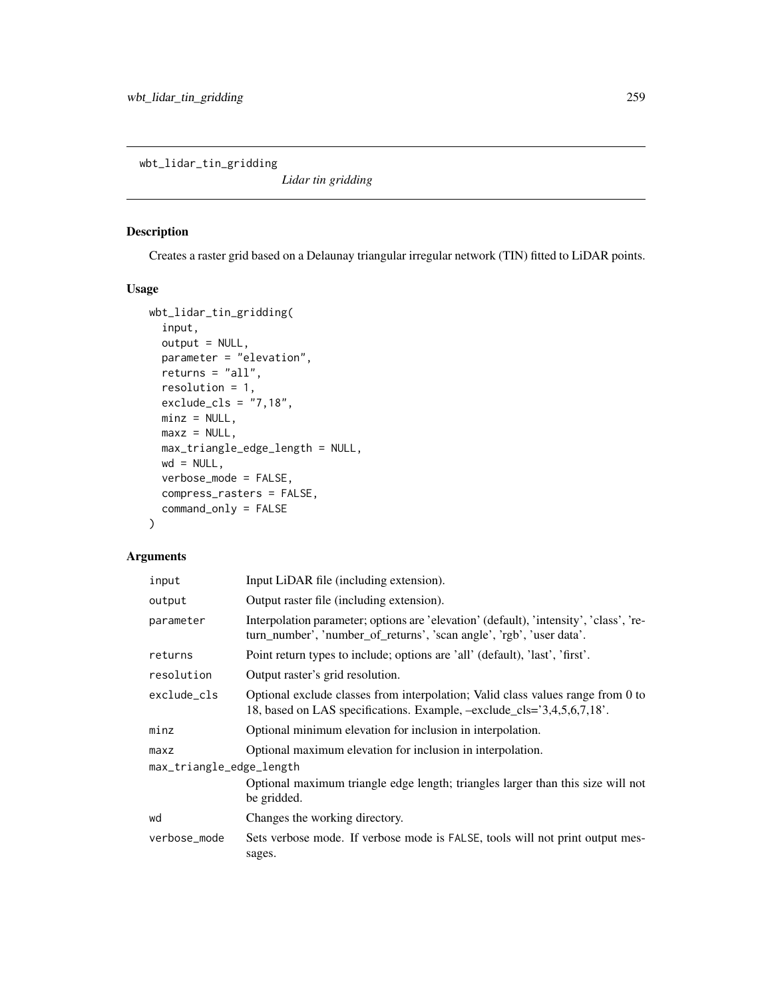wbt\_lidar\_tin\_gridding

*Lidar tin gridding*

## Description

Creates a raster grid based on a Delaunay triangular irregular network (TIN) fitted to LiDAR points.

#### Usage

```
wbt_lidar_tin_gridding(
  input,
  output = NULL,parameter = "elevation",
  returns = "all",
  resolution = 1,
  exclude_cls = "7,18",
 minz = NULL,
 maxz = NULL,max_triangle_edge_length = NULL,
 wd = NULL,verbose_mode = FALSE,
  compress_rasters = FALSE,
  command_only = FALSE
\mathcal{L}
```

| input                    | Input LiDAR file (including extension).                                                                                                                        |  |
|--------------------------|----------------------------------------------------------------------------------------------------------------------------------------------------------------|--|
| output                   | Output raster file (including extension).                                                                                                                      |  |
| parameter                | Interpolation parameter; options are 'elevation' (default), 'intensity', 'class', 're-<br>turn_number', 'number_of_returns', 'scan angle', 'rgb', 'user data'. |  |
| returns                  | Point return types to include; options are 'all' (default), 'last', 'first'.                                                                                   |  |
| resolution               | Output raster's grid resolution.                                                                                                                               |  |
| exclude_cls              | Optional exclude classes from interpolation; Valid class values range from 0 to<br>18, based on LAS specifications. Example, $-exclude_cls = 3,4,5,6,7,18$ .   |  |
| minz                     | Optional minimum elevation for inclusion in interpolation.                                                                                                     |  |
| maxz                     | Optional maximum elevation for inclusion in interpolation.                                                                                                     |  |
| max_triangle_edge_length |                                                                                                                                                                |  |
|                          | Optional maximum triangle edge length; triangles larger than this size will not<br>be gridded.                                                                 |  |
| wd                       | Changes the working directory.                                                                                                                                 |  |
| verbose_mode             | Sets verbose mode. If verbose mode is FALSE, tools will not print output mes-<br>sages.                                                                        |  |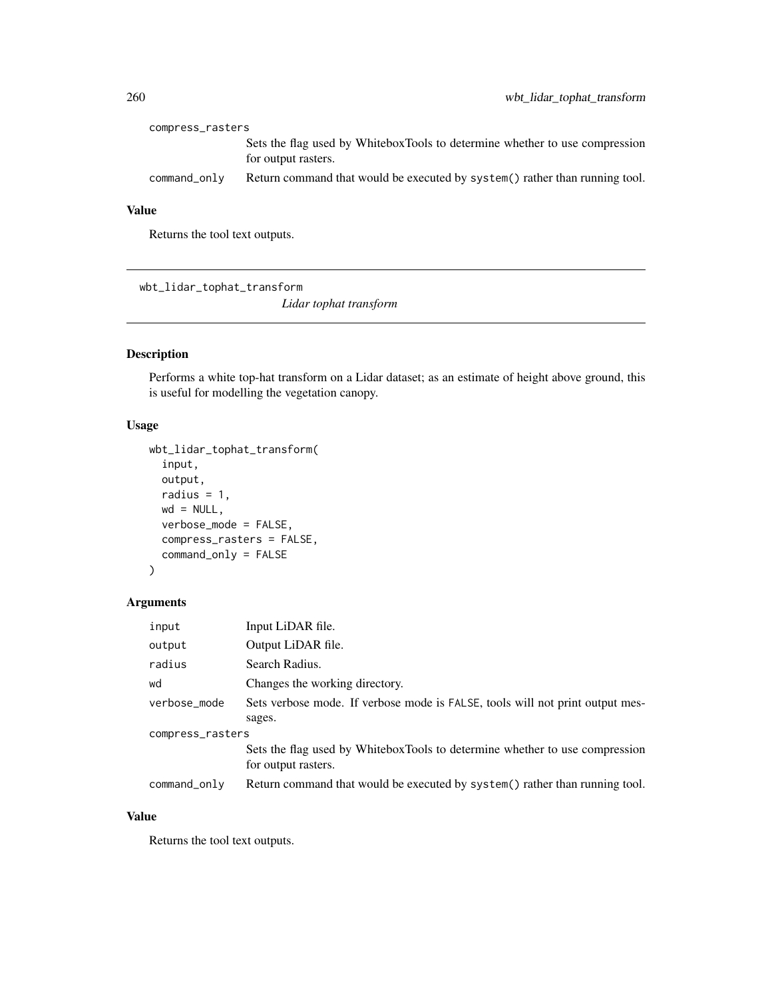| compress_rasters |                                                                                                    |  |
|------------------|----------------------------------------------------------------------------------------------------|--|
|                  | Sets the flag used by WhiteboxTools to determine whether to use compression<br>for output rasters. |  |
| command only     | Return command that would be executed by system() rather than running tool.                        |  |

Returns the tool text outputs.

wbt\_lidar\_tophat\_transform

*Lidar tophat transform*

## Description

Performs a white top-hat transform on a Lidar dataset; as an estimate of height above ground, this is useful for modelling the vegetation canopy.

## Usage

```
wbt_lidar_tophat_transform(
  input,
 output,
 radius = 1,
 wd = NULL,verbose_mode = FALSE,
  compress_rasters = FALSE,
  command_only = FALSE
)
```
## Arguments

| input            | Input LiDAR file.                                                             |  |
|------------------|-------------------------------------------------------------------------------|--|
| output           | Output LiDAR file.                                                            |  |
| radius           | Search Radius.                                                                |  |
| wd               | Changes the working directory.                                                |  |
| verbose_mode     | Sets verbose mode. If verbose mode is FALSE, tools will not print output mes- |  |
|                  | sages.                                                                        |  |
| compress_rasters |                                                                               |  |
|                  | Sets the flag used by WhiteboxTools to determine whether to use compression   |  |
|                  | for output rasters.                                                           |  |
| command_only     | Return command that would be executed by system() rather than running tool.   |  |

## Value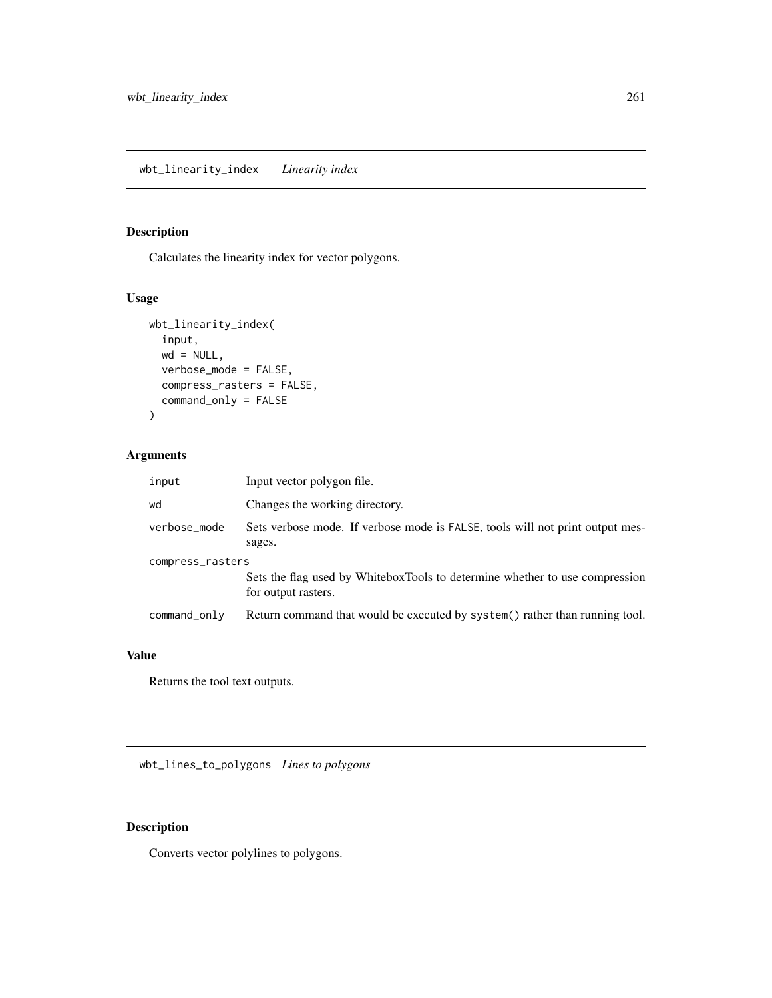## Description

Calculates the linearity index for vector polygons.

## Usage

```
wbt_linearity_index(
  input,
 wd = NULL,verbose_mode = FALSE,
 compress_rasters = FALSE,
  command_only = FALSE
\mathcal{L}
```
## Arguments

| input            | Input vector polygon file.                                                                         |  |
|------------------|----------------------------------------------------------------------------------------------------|--|
| wd               | Changes the working directory.                                                                     |  |
| verbose_mode     | Sets verbose mode. If verbose mode is FALSE, tools will not print output mes-<br>sages.            |  |
| compress_rasters |                                                                                                    |  |
|                  | Sets the flag used by WhiteboxTools to determine whether to use compression<br>for output rasters. |  |
| command_only     | Return command that would be executed by system() rather than running tool.                        |  |

#### Value

Returns the tool text outputs.

wbt\_lines\_to\_polygons *Lines to polygons*

## Description

Converts vector polylines to polygons.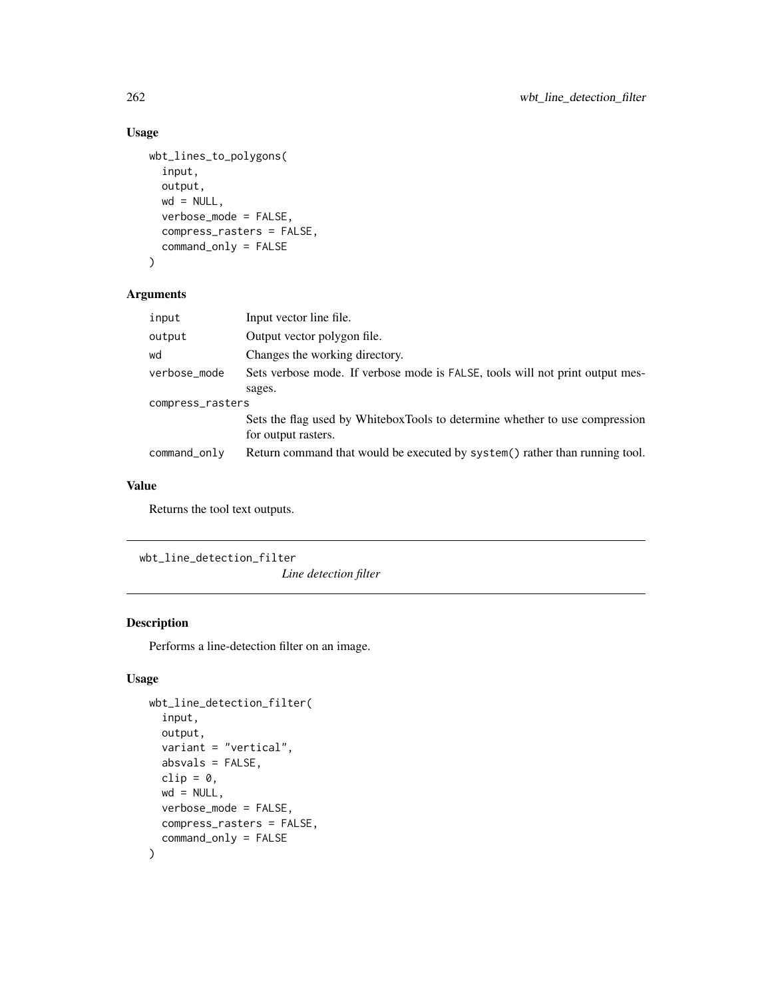```
wbt_lines_to_polygons(
  input,
  output,
 wd = NULL,verbose_mode = FALSE,
  compress_rasters = FALSE,
  command_only = FALSE
)
```
## Arguments

| input            | Input vector line file.                                                                            |  |
|------------------|----------------------------------------------------------------------------------------------------|--|
| output           | Output vector polygon file.                                                                        |  |
| wd               | Changes the working directory.                                                                     |  |
| verbose_mode     | Sets verbose mode. If verbose mode is FALSE, tools will not print output mes-                      |  |
|                  | sages.                                                                                             |  |
| compress_rasters |                                                                                                    |  |
|                  | Sets the flag used by WhiteboxTools to determine whether to use compression<br>for output rasters. |  |
| command_only     | Return command that would be executed by system() rather than running tool.                        |  |
|                  |                                                                                                    |  |

## Value

Returns the tool text outputs.

wbt\_line\_detection\_filter

*Line detection filter*

## Description

Performs a line-detection filter on an image.

## Usage

```
wbt_line_detection_filter(
  input,
 output,
 variant = "vertical",
 absvals = FALSE,
 clip = 0,wd = NULL,verbose_mode = FALSE,
 compress_rasters = FALSE,
  command_only = FALSE
)
```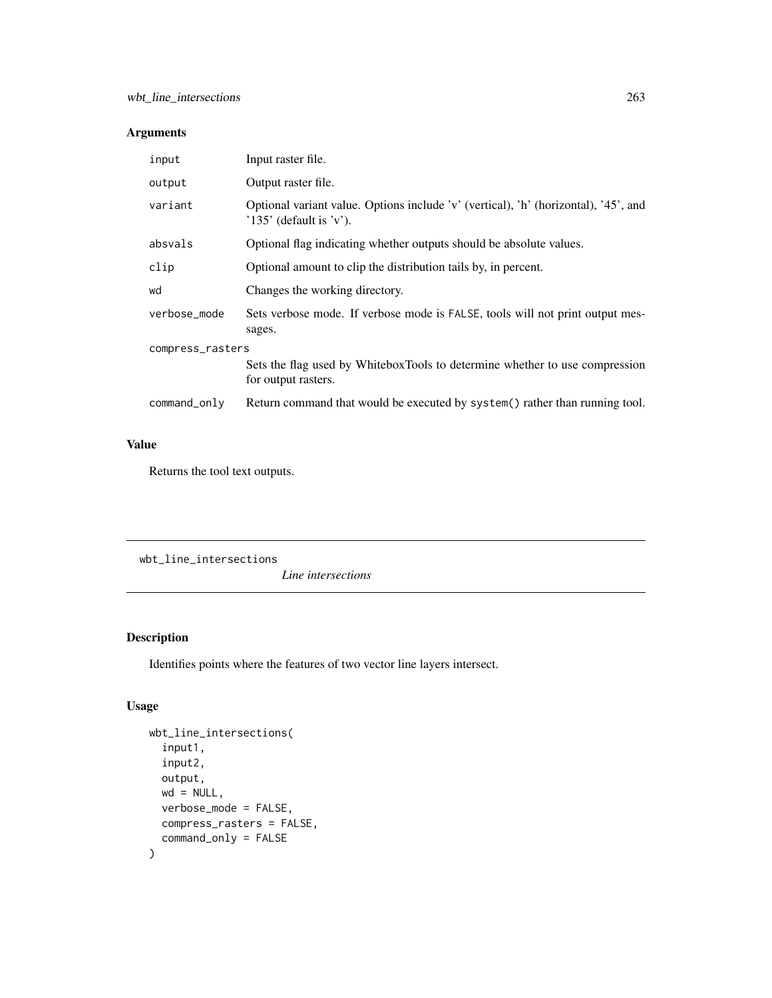## Arguments

| input            | Input raster file.                                                                                               |  |
|------------------|------------------------------------------------------------------------------------------------------------------|--|
| output           | Output raster file.                                                                                              |  |
| variant          | Optional variant value. Options include 'v' (vertical), 'h' (horizontal), '45', and<br>$'135'$ (default is 'v'). |  |
| absvals          | Optional flag indicating whether outputs should be absolute values.                                              |  |
| clip             | Optional amount to clip the distribution tails by, in percent.                                                   |  |
| wd               | Changes the working directory.                                                                                   |  |
| verbose_mode     | Sets verbose mode. If verbose mode is FALSE, tools will not print output mes-<br>sages.                          |  |
| compress_rasters |                                                                                                                  |  |
|                  | Sets the flag used by WhiteboxTools to determine whether to use compression<br>for output rasters.               |  |
| command_only     | Return command that would be executed by system() rather than running tool.                                      |  |

## Value

Returns the tool text outputs.

wbt\_line\_intersections

*Line intersections*

## Description

Identifies points where the features of two vector line layers intersect.

## Usage

```
wbt_line_intersections(
  input1,
 input2,
 output,
 wd = NULL,verbose_mode = FALSE,
 compress_rasters = FALSE,
  command_only = FALSE
)
```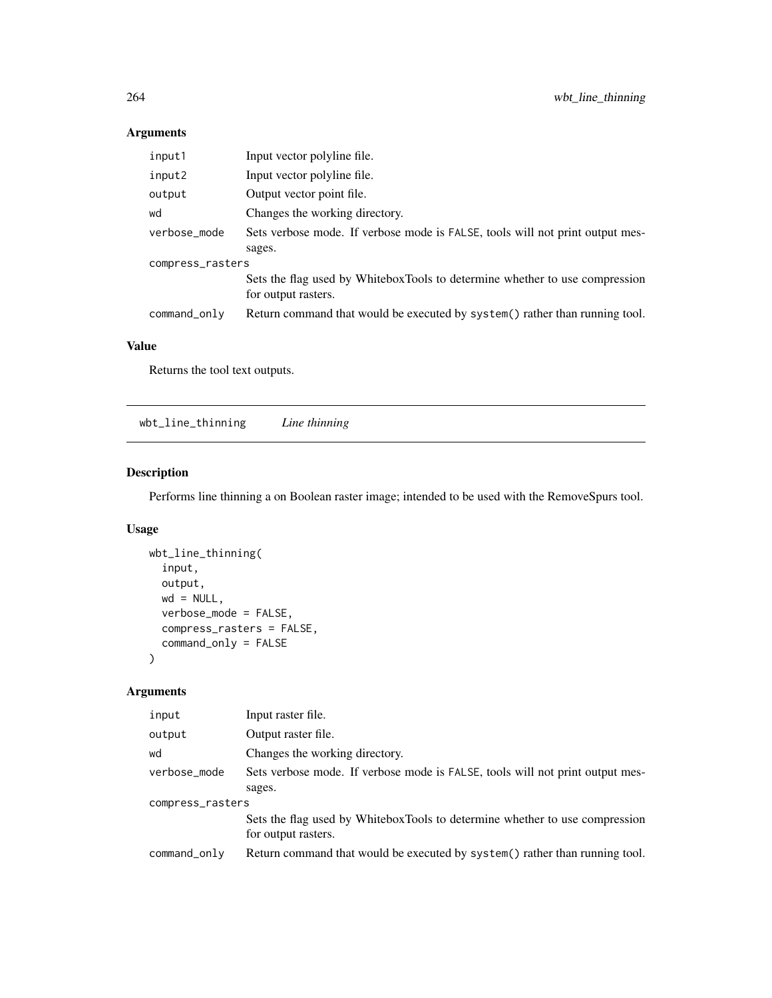## Arguments

| input1           | Input vector polyline file.                                                                        |  |
|------------------|----------------------------------------------------------------------------------------------------|--|
| input2           | Input vector polyline file.                                                                        |  |
| output           | Output vector point file.                                                                          |  |
| wd               | Changes the working directory.                                                                     |  |
| verbose_mode     | Sets verbose mode. If verbose mode is FALSE, tools will not print output mes-                      |  |
|                  | sages.                                                                                             |  |
| compress_rasters |                                                                                                    |  |
|                  | Sets the flag used by WhiteboxTools to determine whether to use compression<br>for output rasters. |  |
| command_only     | Return command that would be executed by system() rather than running tool.                        |  |

## Value

Returns the tool text outputs.

wbt\_line\_thinning *Line thinning*

## Description

Performs line thinning a on Boolean raster image; intended to be used with the RemoveSpurs tool.

## Usage

```
wbt_line_thinning(
  input,
 output,
 wd = NULL,verbose_mode = FALSE,
 compress_rasters = FALSE,
  command_only = FALSE
)
```

| input            | Input raster file.                                                                                 |  |
|------------------|----------------------------------------------------------------------------------------------------|--|
| output           | Output raster file.                                                                                |  |
| wd               | Changes the working directory.                                                                     |  |
| verbose_mode     | Sets verbose mode. If verbose mode is FALSE, tools will not print output mes-<br>sages.            |  |
| compress_rasters |                                                                                                    |  |
|                  | Sets the flag used by WhiteboxTools to determine whether to use compression<br>for output rasters. |  |
| command_only     | Return command that would be executed by system() rather than running tool.                        |  |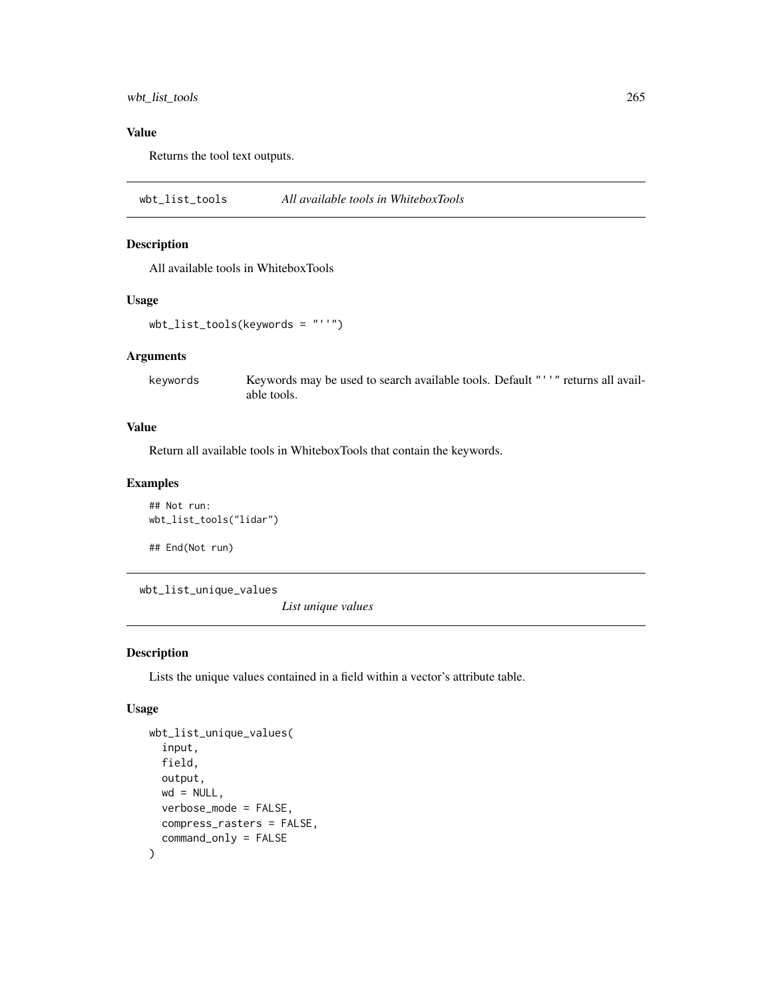wbt\_list\_tools 265

## Value

Returns the tool text outputs.

wbt\_list\_tools *All available tools in WhiteboxTools*

#### Description

All available tools in WhiteboxTools

#### Usage

wbt\_list\_tools(keywords = "''")

#### Arguments

keywords Keywords may be used to search available tools. Default "''" returns all available tools.

#### Value

Return all available tools in WhiteboxTools that contain the keywords.

## Examples

## Not run: wbt\_list\_tools("lidar")

## End(Not run)

wbt\_list\_unique\_values

*List unique values*

#### Description

Lists the unique values contained in a field within a vector's attribute table.

#### Usage

```
wbt_list_unique_values(
  input,
  field,
  output,
 wd = NULL,verbose_mode = FALSE,
  compress_rasters = FALSE,
  command_only = FALSE
)
```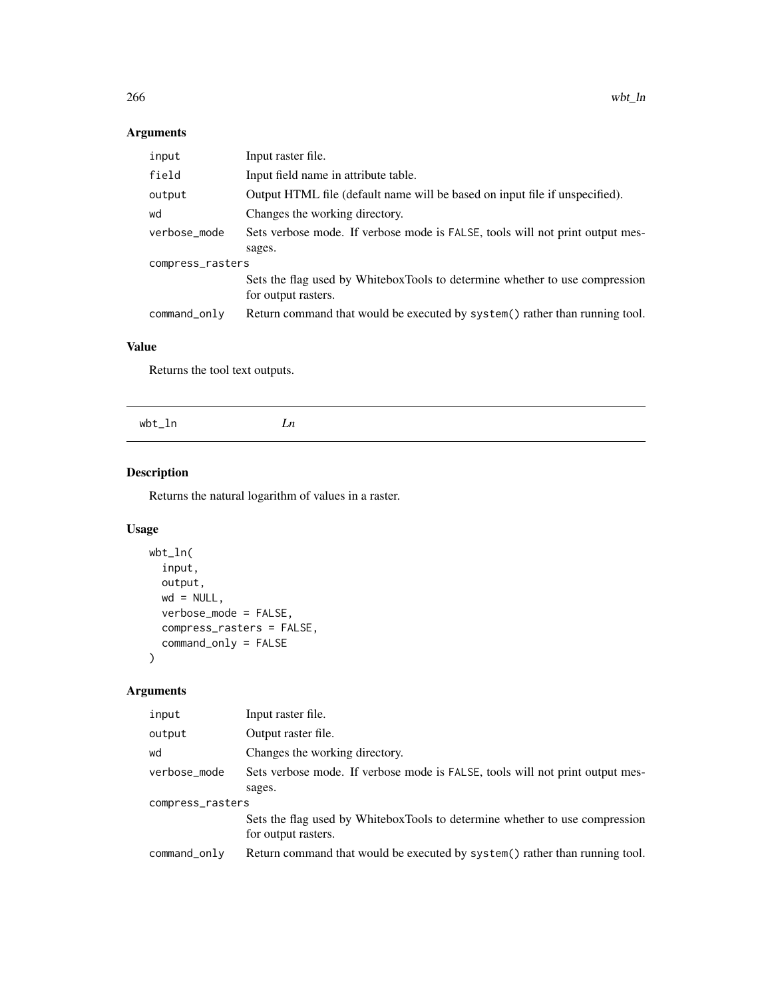## Arguments

| input            | Input raster file.                                                                                 |  |
|------------------|----------------------------------------------------------------------------------------------------|--|
| field            | Input field name in attribute table.                                                               |  |
| output           | Output HTML file (default name will be based on input file if unspecified).                        |  |
| wd               | Changes the working directory.                                                                     |  |
| verbose_mode     | Sets verbose mode. If verbose mode is FALSE, tools will not print output mes-                      |  |
|                  | sages.                                                                                             |  |
| compress_rasters |                                                                                                    |  |
|                  | Sets the flag used by WhiteboxTools to determine whether to use compression<br>for output rasters. |  |
| command_only     | Return command that would be executed by system() rather than running tool.                        |  |

## Value

Returns the tool text outputs.

## Description

Returns the natural logarithm of values in a raster.

## Usage

```
wbt_ln(
 input,
 output,
 wd = NULL,verbose_mode = FALSE,
 compress_rasters = FALSE,
  command_only = FALSE
)
```

| input            | Input raster file.                                                                                 |  |
|------------------|----------------------------------------------------------------------------------------------------|--|
| output           | Output raster file.                                                                                |  |
| wd               | Changes the working directory.                                                                     |  |
| verbose_mode     | Sets verbose mode. If verbose mode is FALSE, tools will not print output mes-                      |  |
|                  | sages.                                                                                             |  |
| compress_rasters |                                                                                                    |  |
|                  | Sets the flag used by WhiteboxTools to determine whether to use compression<br>for output rasters. |  |
| command_only     | Return command that would be executed by system() rather than running tool.                        |  |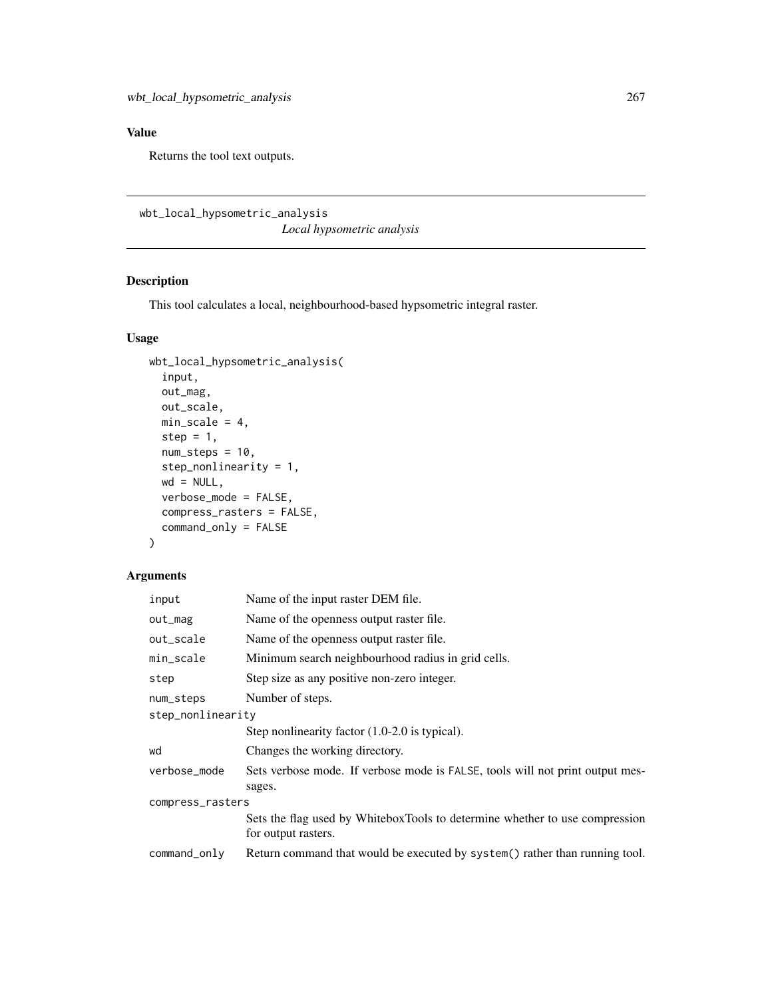Returns the tool text outputs.

```
wbt_local_hypsometric_analysis
                        Local hypsometric analysis
```
## Description

This tool calculates a local, neighbourhood-based hypsometric integral raster.

## Usage

```
wbt_local_hypsometric_analysis(
  input,
 out_mag,
 out_scale,
 min_scale = 4,
  step = 1,
 num\_steps = 10,
 step_nonlinearity = 1,
 wd = NULL,verbose_mode = FALSE,
  compress_rasters = FALSE,
  command_only = FALSE
\lambda
```

| input             | Name of the input raster DEM file.                                                                 |  |
|-------------------|----------------------------------------------------------------------------------------------------|--|
| out_mag           | Name of the openness output raster file.                                                           |  |
| out_scale         | Name of the openness output raster file.                                                           |  |
| min_scale         | Minimum search neighbourhood radius in grid cells.                                                 |  |
| step              | Step size as any positive non-zero integer.                                                        |  |
| num_steps         | Number of steps.                                                                                   |  |
| step_nonlinearity |                                                                                                    |  |
|                   | Step nonlinearity factor $(1.0\n-2.0)$ is typical).                                                |  |
| wd                | Changes the working directory.                                                                     |  |
| verbose_mode      | Sets verbose mode. If verbose mode is FALSE, tools will not print output mes-<br>sages.            |  |
| compress_rasters  |                                                                                                    |  |
|                   | Sets the flag used by WhiteboxTools to determine whether to use compression<br>for output rasters. |  |
| command_only      | Return command that would be executed by system() rather than running tool.                        |  |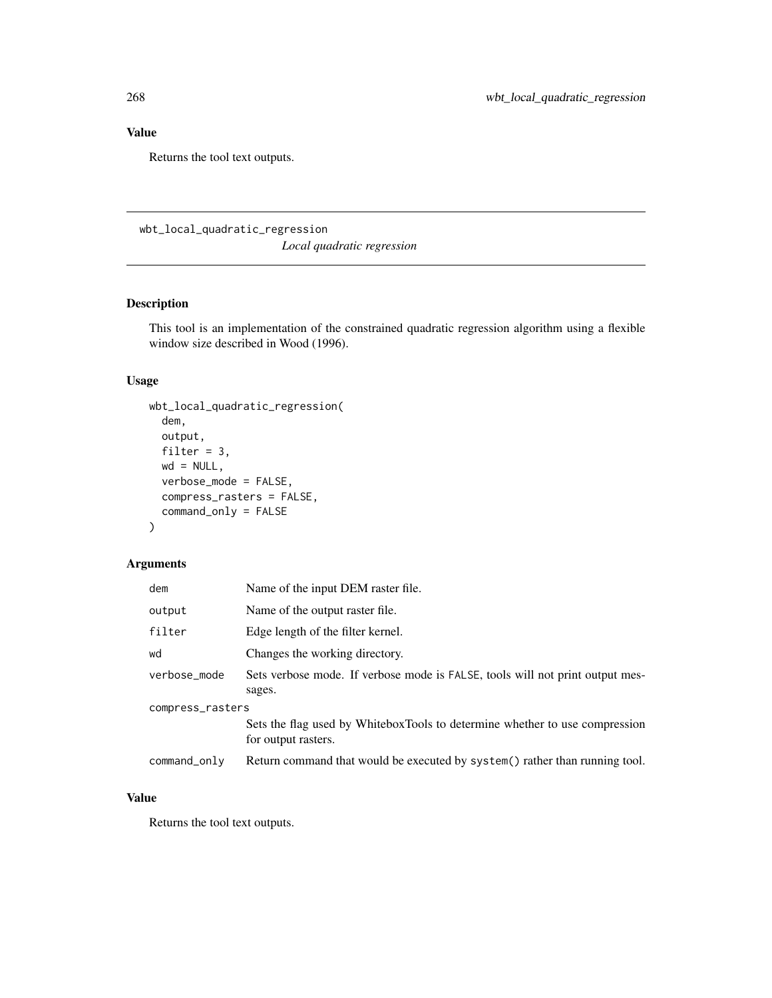Returns the tool text outputs.

wbt\_local\_quadratic\_regression *Local quadratic regression*

## Description

This tool is an implementation of the constrained quadratic regression algorithm using a flexible window size described in Wood (1996).

## Usage

```
wbt_local_quadratic_regression(
  dem,
 output,
 filter = 3,
 wd = NULL,verbose_mode = FALSE,
  compress_rasters = FALSE,
  command_only = FALSE
)
```
#### Arguments

| dem              | Name of the input DEM raster file.                                                                 |  |
|------------------|----------------------------------------------------------------------------------------------------|--|
| output           | Name of the output raster file.                                                                    |  |
| filter           | Edge length of the filter kernel.                                                                  |  |
| wd               | Changes the working directory.                                                                     |  |
| verbose_mode     | Sets verbose mode. If verbose mode is FALSE, tools will not print output mes-<br>sages.            |  |
| compress_rasters |                                                                                                    |  |
|                  | Sets the flag used by WhiteboxTools to determine whether to use compression<br>for output rasters. |  |
| command_only     | Return command that would be executed by system() rather than running tool.                        |  |

#### Value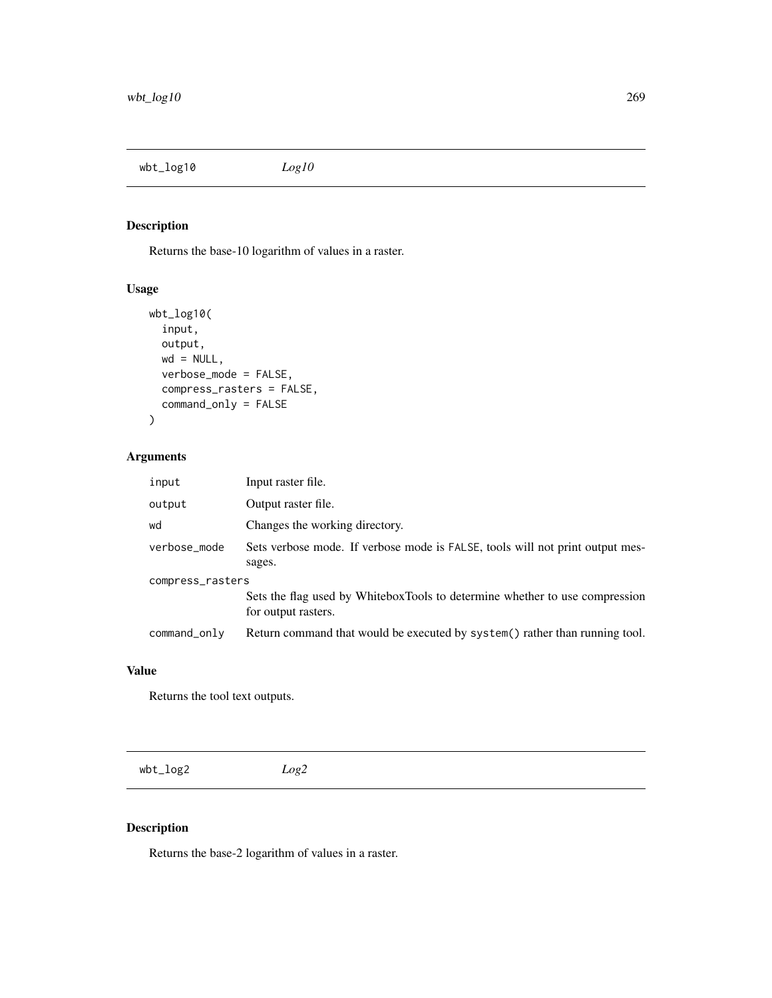wbt\_log10 *Log10*

# Description

Returns the base-10 logarithm of values in a raster.

## Usage

```
wbt_log10(
  input,
 output,
 wd = NULL,verbose_mode = FALSE,
 compress_rasters = FALSE,
  command_only = FALSE
)
```
## Arguments

| input            | Input raster file.                                                                                 |  |
|------------------|----------------------------------------------------------------------------------------------------|--|
| output           | Output raster file.                                                                                |  |
| wd               | Changes the working directory.                                                                     |  |
| verbose_mode     | Sets verbose mode. If verbose mode is FALSE, tools will not print output mes-<br>sages.            |  |
| compress_rasters |                                                                                                    |  |
|                  | Sets the flag used by WhiteboxTools to determine whether to use compression<br>for output rasters. |  |
| command_only     | Return command that would be executed by system() rather than running tool.                        |  |

## Value

Returns the tool text outputs.

wbt\_log2 *Log2*

## Description

Returns the base-2 logarithm of values in a raster.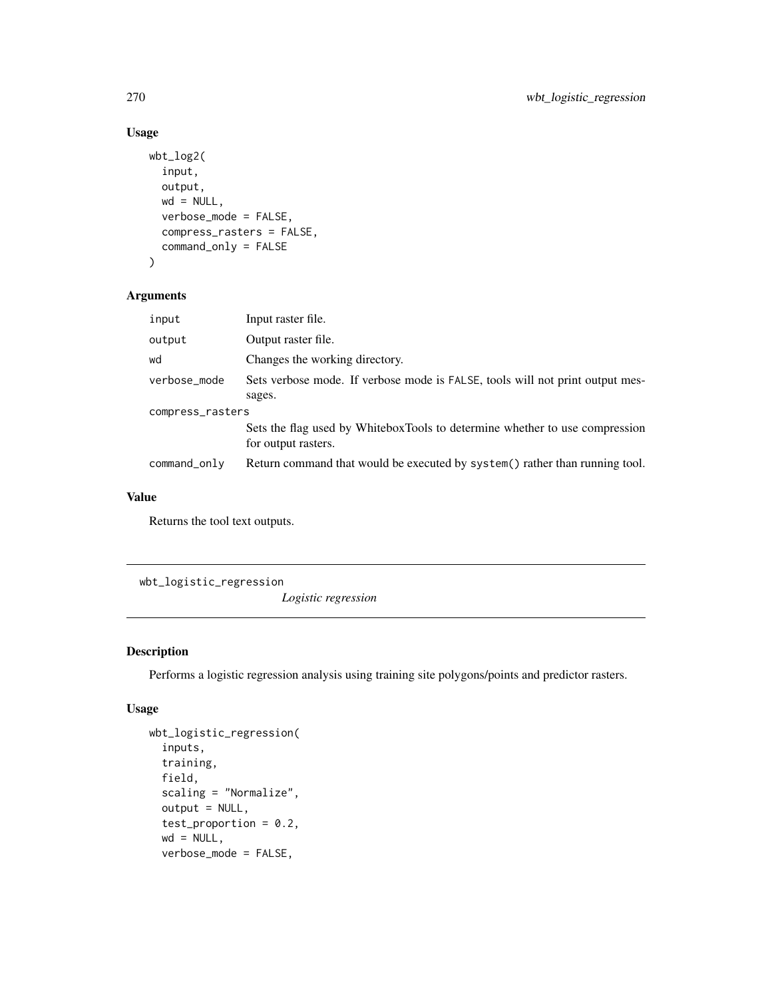```
wbt_log2(
  input,
 output,
 wd = NULL,verbose_mode = FALSE,
 compress_rasters = FALSE,
  command_only = FALSE
)
```
#### Arguments

| input            | Input raster file.                                                                                 |  |
|------------------|----------------------------------------------------------------------------------------------------|--|
| output           | Output raster file.                                                                                |  |
| wd               | Changes the working directory.                                                                     |  |
| verbose_mode     | Sets verbose mode. If verbose mode is FALSE, tools will not print output mes-                      |  |
|                  | sages.                                                                                             |  |
| compress_rasters |                                                                                                    |  |
|                  | Sets the flag used by WhiteboxTools to determine whether to use compression<br>for output rasters. |  |
|                  |                                                                                                    |  |
| command_only     | Return command that would be executed by system() rather than running tool.                        |  |

#### Value

Returns the tool text outputs.

wbt\_logistic\_regression

*Logistic regression*

## Description

Performs a logistic regression analysis using training site polygons/points and predictor rasters.

## Usage

```
wbt_logistic_regression(
  inputs,
  training,
 field,
  scaling = "Normalize",
 output = NULL,test_proportion = 0.2,
 wd = NULL,verbose_mode = FALSE,
```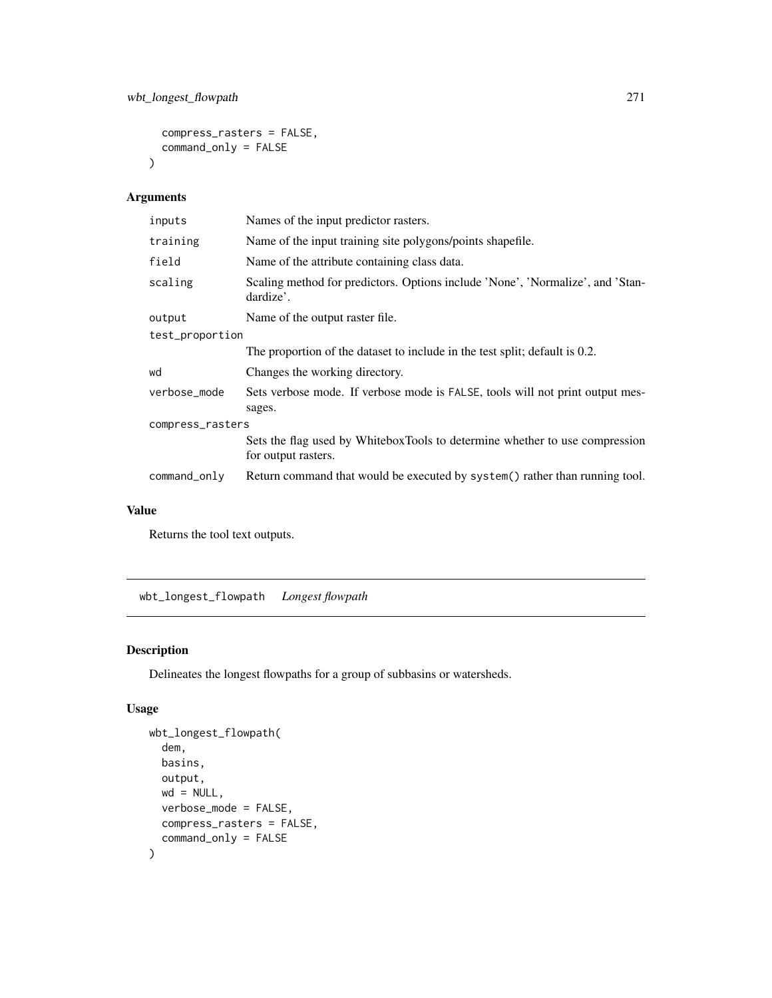```
compress_rasters = FALSE,
  command_only = FALSE
\mathcal{L}
```
## Arguments

| inputs           | Names of the input predictor rasters.                                                              |  |
|------------------|----------------------------------------------------------------------------------------------------|--|
| training         | Name of the input training site polygons/points shapefile.                                         |  |
| field            | Name of the attribute containing class data.                                                       |  |
| scaling          | Scaling method for predictors. Options include 'None', 'Normalize', and 'Stan-<br>dardize'.        |  |
| output           | Name of the output raster file.                                                                    |  |
| test_proportion  |                                                                                                    |  |
|                  | The proportion of the dataset to include in the test split; default is 0.2.                        |  |
| wd               | Changes the working directory.                                                                     |  |
| verbose_mode     | Sets verbose mode. If verbose mode is FALSE, tools will not print output mes-<br>sages.            |  |
| compress_rasters |                                                                                                    |  |
|                  | Sets the flag used by WhiteboxTools to determine whether to use compression<br>for output rasters. |  |
| command_only     | Return command that would be executed by system() rather than running tool.                        |  |

#### Value

Returns the tool text outputs.

wbt\_longest\_flowpath *Longest flowpath*

## Description

Delineates the longest flowpaths for a group of subbasins or watersheds.

## Usage

```
wbt_longest_flowpath(
  dem,
 basins,
 output,
 wd = NULL,verbose_mode = FALSE,
 compress_rasters = FALSE,
  command_only = FALSE
\mathcal{E}
```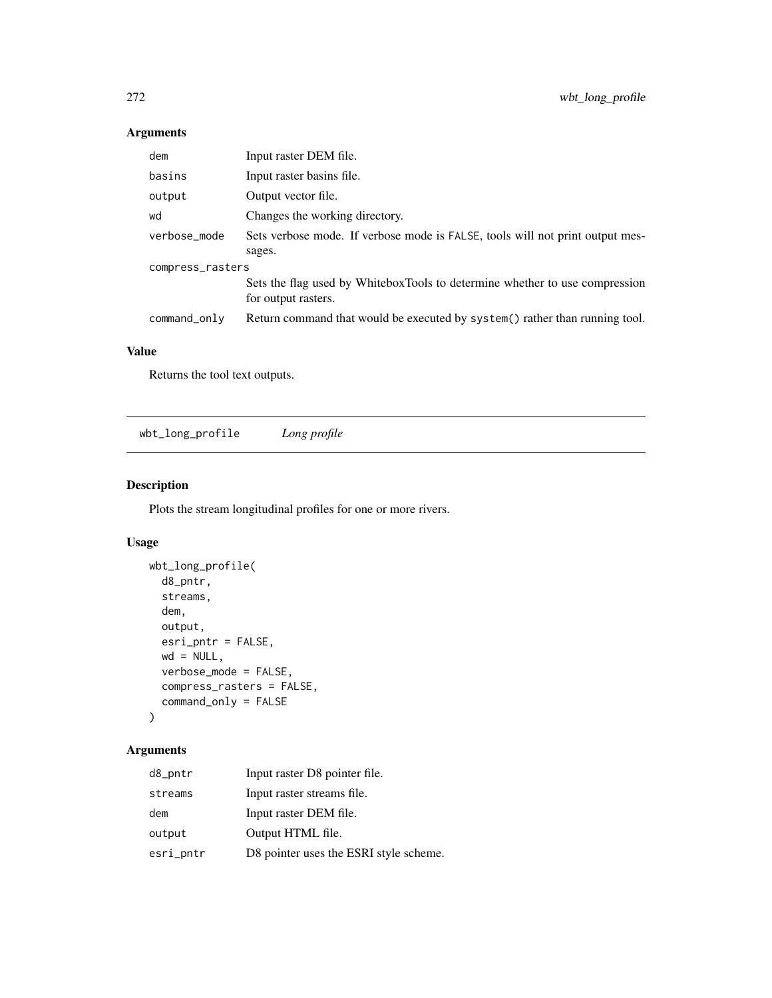## Arguments

| dem              | Input raster DEM file.                                                                             |  |
|------------------|----------------------------------------------------------------------------------------------------|--|
| basins           | Input raster basins file.                                                                          |  |
| output           | Output vector file.                                                                                |  |
| wd               | Changes the working directory.                                                                     |  |
| verbose_mode     | Sets verbose mode. If verbose mode is FALSE, tools will not print output mes-                      |  |
|                  | sages.                                                                                             |  |
| compress_rasters |                                                                                                    |  |
|                  | Sets the flag used by WhiteboxTools to determine whether to use compression<br>for output rasters. |  |
| command_only     | Return command that would be executed by system() rather than running tool.                        |  |

## Value

Returns the tool text outputs.

wbt\_long\_profile *Long profile*

## Description

Plots the stream longitudinal profiles for one or more rivers.

## Usage

```
wbt_long_profile(
 d8_pntr,
 streams,
  dem,
 output,
 esri_pntr = FALSE,
 wd = NULL,verbose_mode = FALSE,
 compress_rasters = FALSE,
  command_only = FALSE
)
```

| d8_pntr   | Input raster D8 pointer file.          |
|-----------|----------------------------------------|
| streams   | Input raster streams file.             |
| dem       | Input raster DEM file.                 |
| output    | Output HTML file.                      |
| esri_pntr | D8 pointer uses the ESRI style scheme. |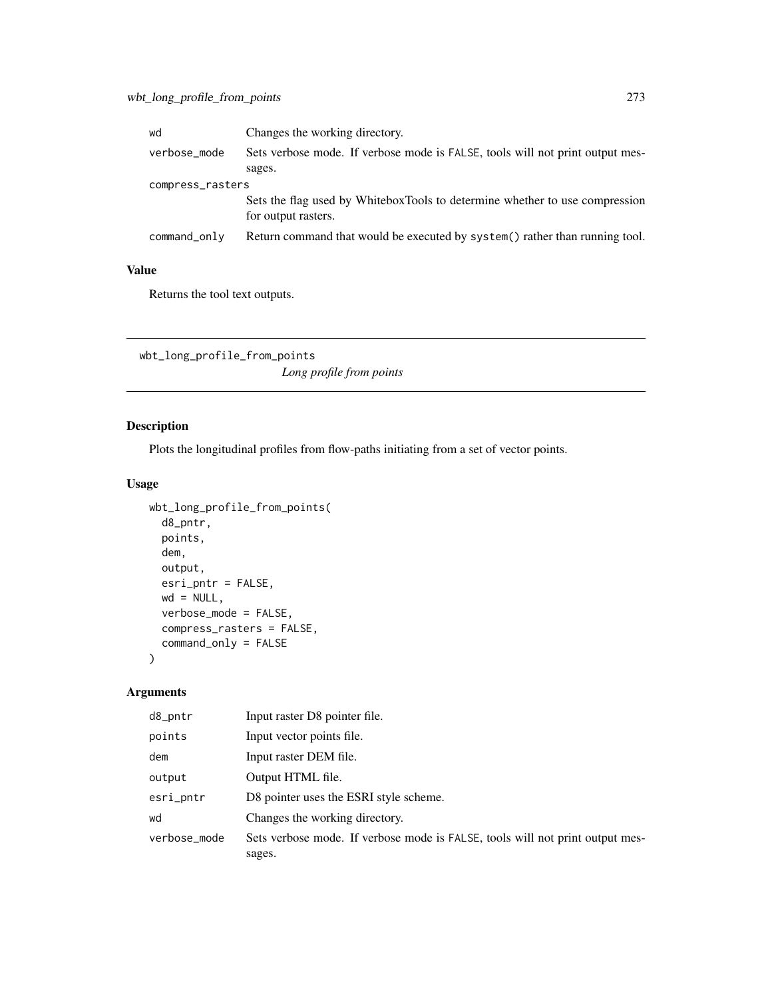| wd               | Changes the working directory.                                                                     |  |
|------------------|----------------------------------------------------------------------------------------------------|--|
| verbose_mode     | Sets verbose mode. If verbose mode is FALSE, tools will not print output mes-                      |  |
|                  | sages.                                                                                             |  |
| compress_rasters |                                                                                                    |  |
|                  | Sets the flag used by WhiteboxTools to determine whether to use compression<br>for output rasters. |  |
| command_only     | Return command that would be executed by system() rather than running tool.                        |  |

Returns the tool text outputs.

wbt\_long\_profile\_from\_points *Long profile from points*

## Description

Plots the longitudinal profiles from flow-paths initiating from a set of vector points.

## Usage

```
wbt_long_profile_from_points(
 d8_pntr,
 points,
 dem,
 output,
 esri_pntr = FALSE,
 wd = NULL,verbose_mode = FALSE,
 compress_rasters = FALSE,
 command_only = FALSE
)
```

| d8_pntr      | Input raster D8 pointer file.                                                 |
|--------------|-------------------------------------------------------------------------------|
| points       | Input vector points file.                                                     |
| dem          | Input raster DEM file.                                                        |
| output       | Output HTML file.                                                             |
| esri_pntr    | D8 pointer uses the ESRI style scheme.                                        |
| wd           | Changes the working directory.                                                |
| verbose_mode | Sets verbose mode. If verbose mode is FALSE, tools will not print output mes- |
|              | sages.                                                                        |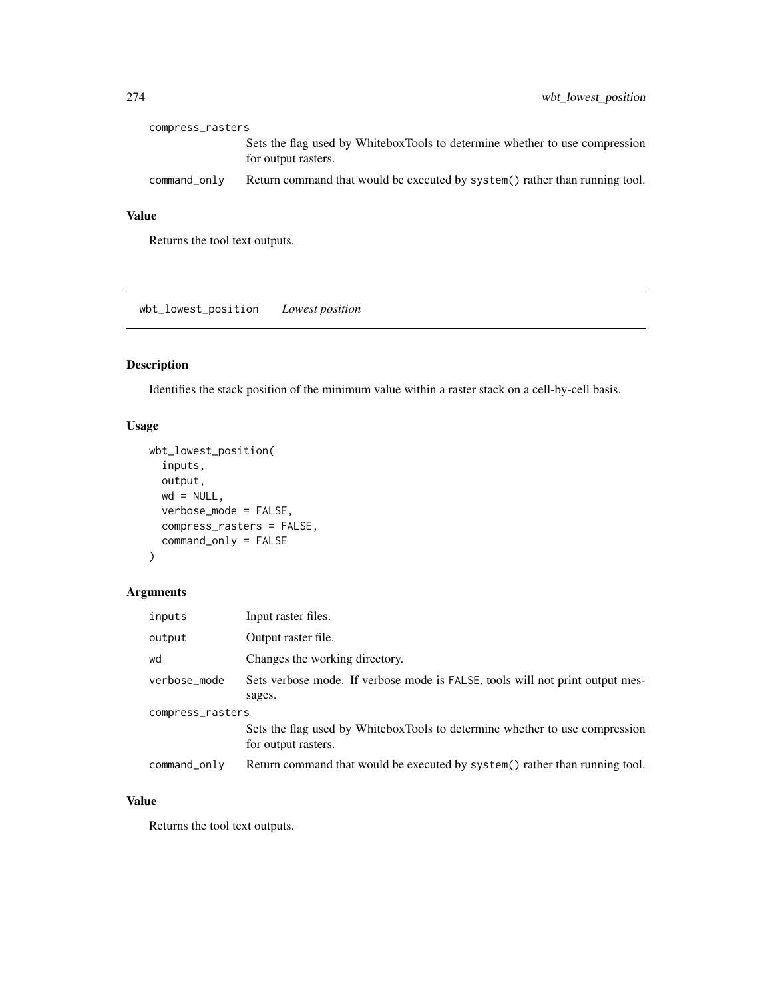| compress_rasters |                                                                                                    |
|------------------|----------------------------------------------------------------------------------------------------|
|                  | Sets the flag used by WhiteboxTools to determine whether to use compression<br>for output rasters. |
| command_only     | Return command that would be executed by system() rather than running tool.                        |

Returns the tool text outputs.

wbt\_lowest\_position *Lowest position*

## Description

Identifies the stack position of the minimum value within a raster stack on a cell-by-cell basis.

## Usage

```
wbt_lowest_position(
 inputs,
 output,
 wd = NULL,verbose_mode = FALSE,
 compress_rasters = FALSE,
 command_only = FALSE
)
```
## Arguments

| inputs           | Input raster files.                                                                                |  |
|------------------|----------------------------------------------------------------------------------------------------|--|
| output           | Output raster file.                                                                                |  |
| wd               | Changes the working directory.                                                                     |  |
| verbose_mode     | Sets verbose mode. If verbose mode is FALSE, tools will not print output mes-<br>sages.            |  |
| compress_rasters |                                                                                                    |  |
|                  | Sets the flag used by WhiteboxTools to determine whether to use compression<br>for output rasters. |  |
| command_only     | Return command that would be executed by system() rather than running tool.                        |  |

#### Value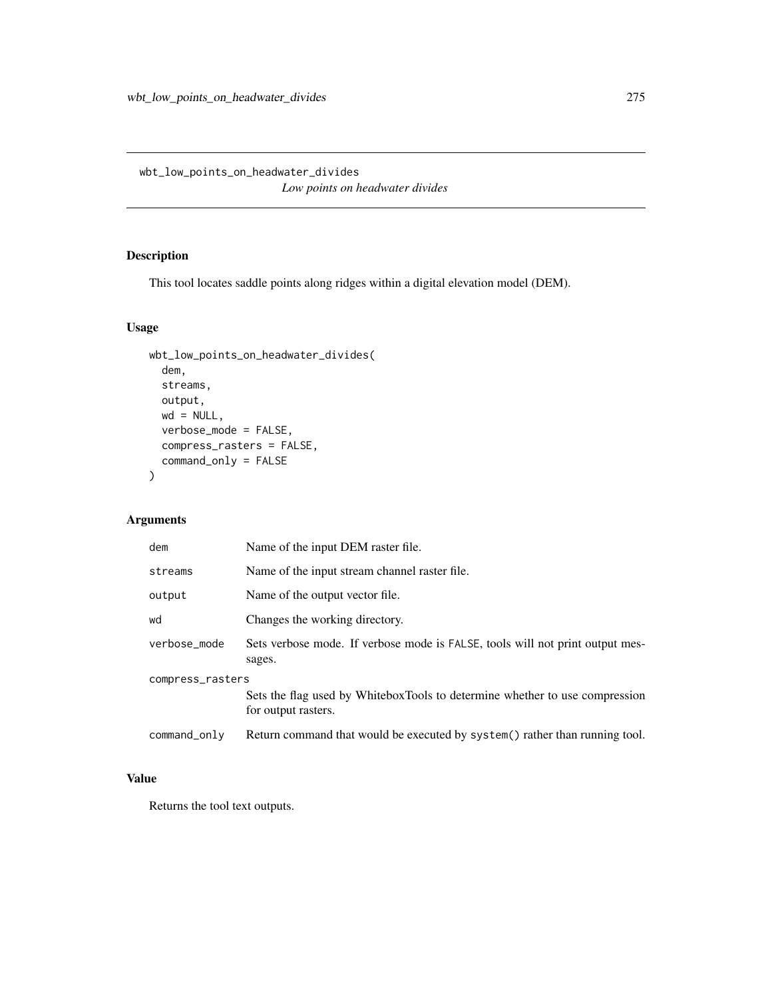wbt\_low\_points\_on\_headwater\_divides *Low points on headwater divides*

## Description

This tool locates saddle points along ridges within a digital elevation model (DEM).

## Usage

```
wbt_low_points_on_headwater_divides(
 dem,
 streams,
 output,
 wd = NULL,verbose_mode = FALSE,
 compress_rasters = FALSE,
 command_only = FALSE
)
```
## Arguments

| dem              | Name of the input DEM raster file.                                                                 |  |
|------------------|----------------------------------------------------------------------------------------------------|--|
| streams          | Name of the input stream channel raster file.                                                      |  |
| output           | Name of the output vector file.                                                                    |  |
| wd               | Changes the working directory.                                                                     |  |
| verbose_mode     | Sets verbose mode. If verbose mode is FALSE, tools will not print output mes-<br>sages.            |  |
| compress_rasters |                                                                                                    |  |
|                  | Sets the flag used by WhiteboxTools to determine whether to use compression<br>for output rasters. |  |
| command_only     | Return command that would be executed by system() rather than running tool.                        |  |

## Value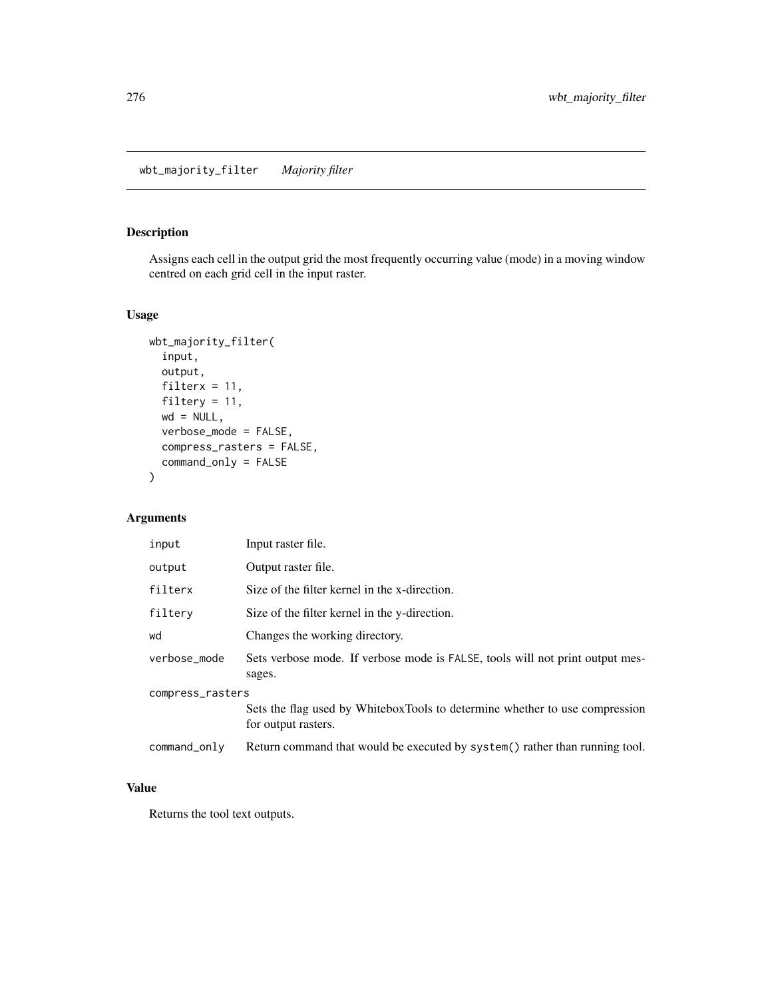## Description

Assigns each cell in the output grid the most frequently occurring value (mode) in a moving window centred on each grid cell in the input raster.

#### Usage

```
wbt_majority_filter(
  input,
 output,
 filterx = 11,
 filtery = 11,
 wd = NULL,verbose_mode = FALSE,
 compress_rasters = FALSE,
 command_only = FALSE
)
```
## Arguments

| input            | Input raster file.                                                                                 |  |
|------------------|----------------------------------------------------------------------------------------------------|--|
| output           | Output raster file.                                                                                |  |
| filterx          | Size of the filter kernel in the x-direction.                                                      |  |
| filtery          | Size of the filter kernel in the y-direction.                                                      |  |
| wd               | Changes the working directory.                                                                     |  |
| verbose_mode     | Sets verbose mode. If verbose mode is FALSE, tools will not print output mes-<br>sages.            |  |
| compress_rasters |                                                                                                    |  |
|                  | Sets the flag used by WhiteboxTools to determine whether to use compression<br>for output rasters. |  |
| command_only     | Return command that would be executed by system() rather than running tool.                        |  |

#### Value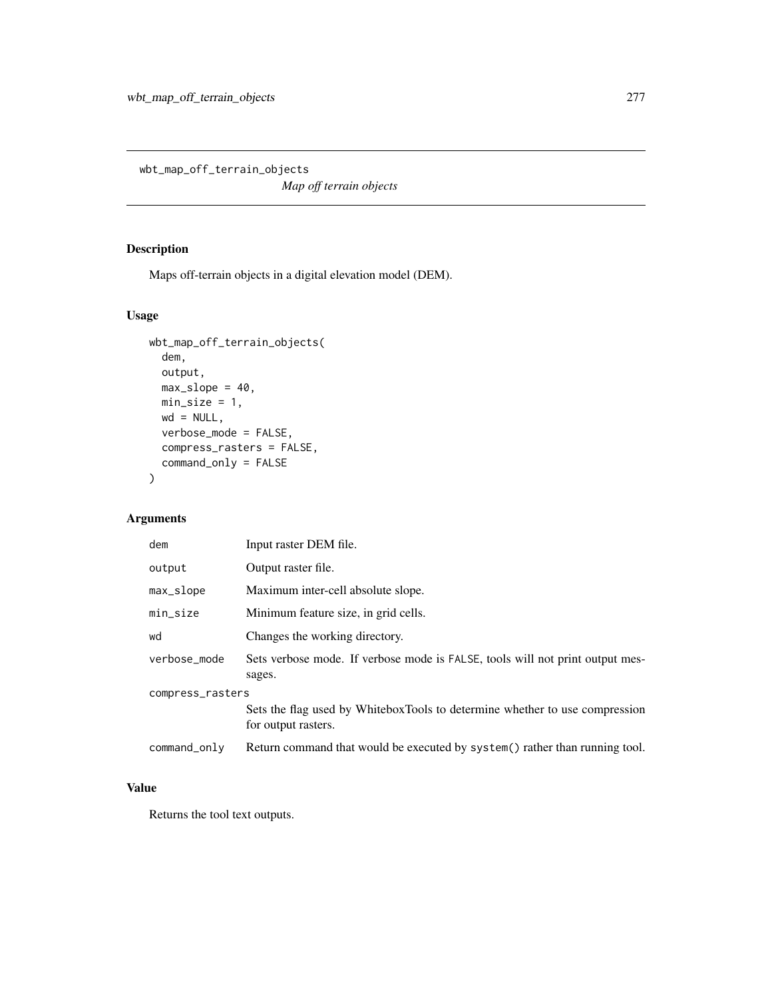wbt\_map\_off\_terrain\_objects

*Map off terrain objects*

## Description

Maps off-terrain objects in a digital elevation model (DEM).

## Usage

```
wbt_map_off_terrain_objects(
 dem,
 output,
 max\_slope = 40,
 min\_size = 1,
 wd = NULL,verbose_mode = FALSE,
 compress_rasters = FALSE,
 command_only = FALSE
)
```
## Arguments

| dem              | Input raster DEM file.                                                                             |  |
|------------------|----------------------------------------------------------------------------------------------------|--|
| output           | Output raster file.                                                                                |  |
| max_slope        | Maximum inter-cell absolute slope.                                                                 |  |
| min_size         | Minimum feature size, in grid cells.                                                               |  |
| wd               | Changes the working directory.                                                                     |  |
| verbose_mode     | Sets verbose mode. If verbose mode is FALSE, tools will not print output mes-<br>sages.            |  |
| compress_rasters |                                                                                                    |  |
|                  | Sets the flag used by WhiteboxTools to determine whether to use compression<br>for output rasters. |  |
| command_only     | Return command that would be executed by system() rather than running tool.                        |  |

#### Value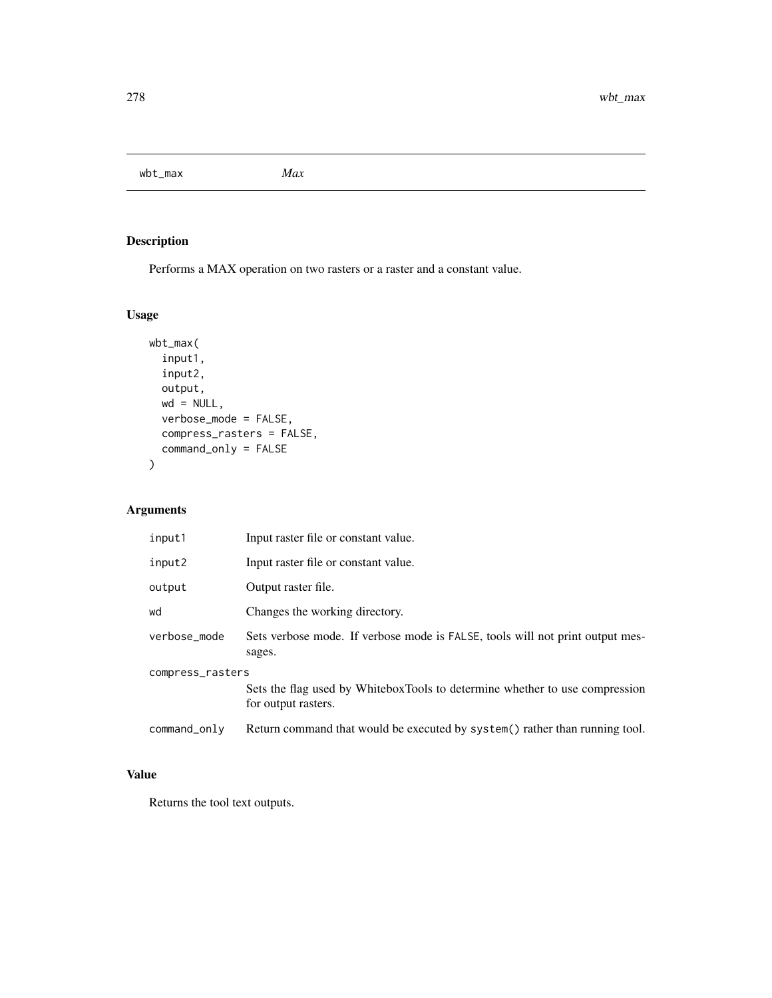wbt\_max *Max*

# Description

Performs a MAX operation on two rasters or a raster and a constant value.

## Usage

```
wbt_max(
  input1,
  input2,
 output,
 wd = NULL,verbose_mode = FALSE,
 compress_rasters = FALSE,
 command_only = FALSE
)
```
## Arguments

| input1                                                                                          | Input raster file or constant value.                                                    |  |
|-------------------------------------------------------------------------------------------------|-----------------------------------------------------------------------------------------|--|
| input2                                                                                          | Input raster file or constant value.                                                    |  |
| output                                                                                          | Output raster file.                                                                     |  |
| wd                                                                                              | Changes the working directory.                                                          |  |
| verbose mode                                                                                    | Sets verbose mode. If verbose mode is FALSE, tools will not print output mes-<br>sages. |  |
| compress_rasters<br>Sets the flag used by WhiteboxTools to determine whether to use compression |                                                                                         |  |
|                                                                                                 | for output rasters.                                                                     |  |
| command_only                                                                                    | Return command that would be executed by system() rather than running tool.             |  |

## Value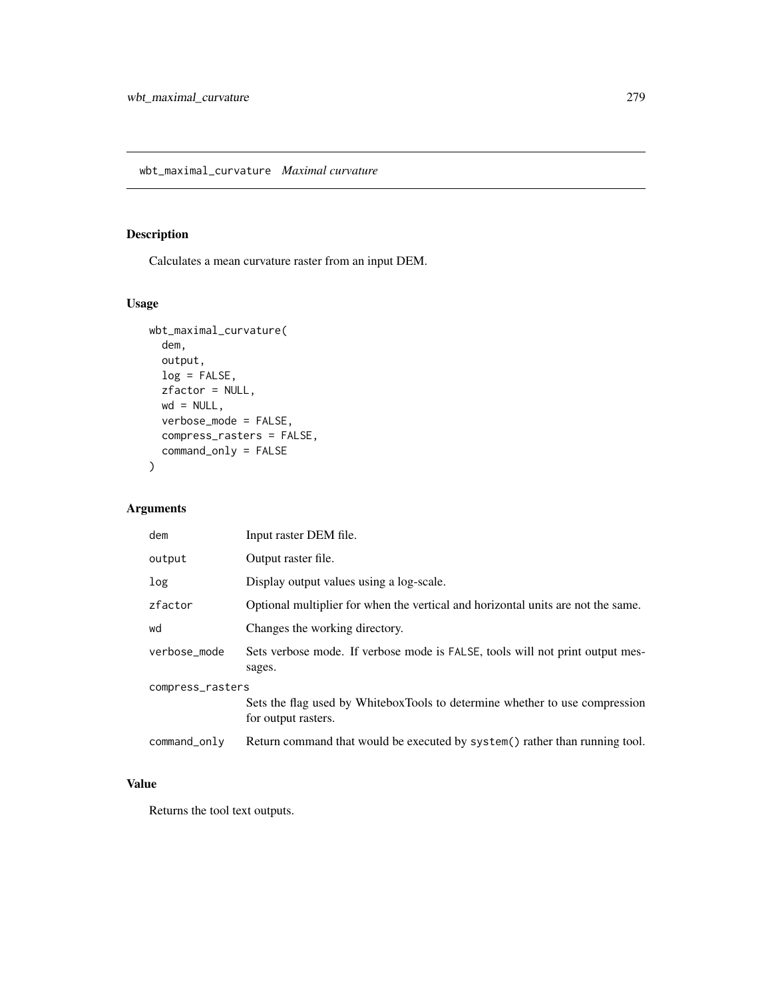## Description

Calculates a mean curvature raster from an input DEM.

## Usage

```
wbt_maximal_curvature(
  dem,
 output,
 log = FALSE,
 zfactor = NULL,
 wd = NULL,verbose_mode = FALSE,
 compress_rasters = FALSE,
  command_only = FALSE
\mathcal{E}
```
## Arguments

| dem              | Input raster DEM file.                                                                             |  |
|------------------|----------------------------------------------------------------------------------------------------|--|
| output           | Output raster file.                                                                                |  |
| log              | Display output values using a log-scale.                                                           |  |
| zfactor          | Optional multiplier for when the vertical and horizontal units are not the same.                   |  |
| wd               | Changes the working directory.                                                                     |  |
| verbose mode     | Sets verbose mode. If verbose mode is FALSE, tools will not print output mes-<br>sages.            |  |
| compress_rasters |                                                                                                    |  |
|                  | Sets the flag used by WhiteboxTools to determine whether to use compression<br>for output rasters. |  |
| command_only     | Return command that would be executed by system() rather than running tool.                        |  |

## Value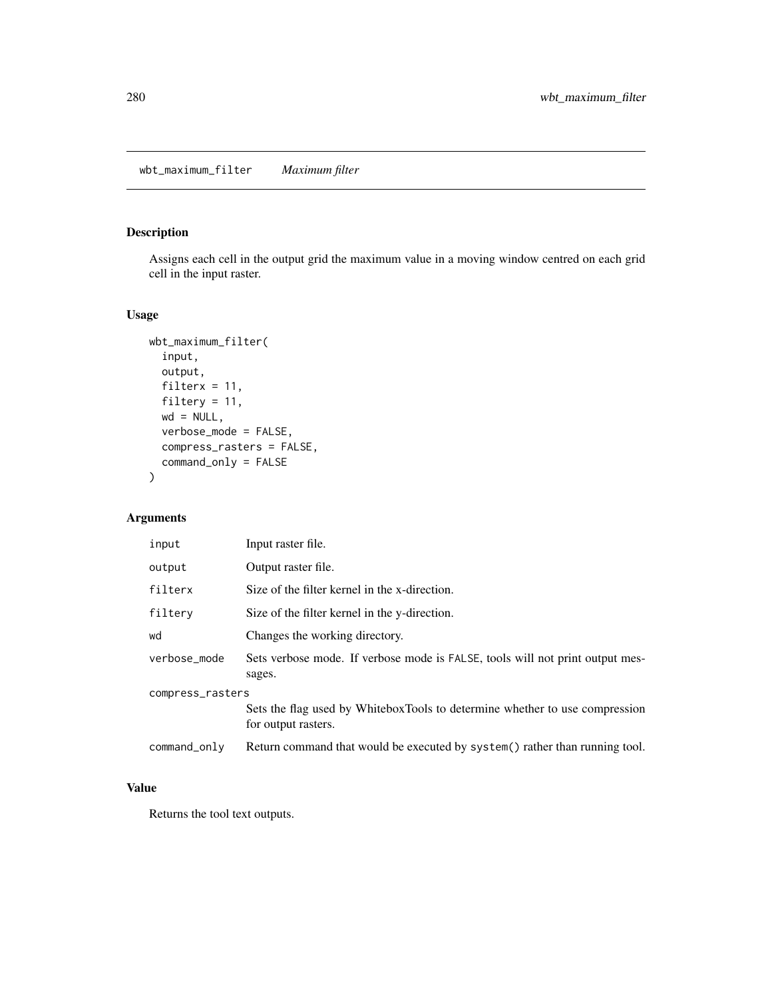## Description

Assigns each cell in the output grid the maximum value in a moving window centred on each grid cell in the input raster.

#### Usage

```
wbt_maximum_filter(
  input,
 output,
 filterx = 11,
 filtery = 11,
 wd = NULL,verbose_mode = FALSE,
 compress_rasters = FALSE,
 command_only = FALSE
)
```
## Arguments

| input            | Input raster file.                                                                                 |  |
|------------------|----------------------------------------------------------------------------------------------------|--|
| output           | Output raster file.                                                                                |  |
| filterx          | Size of the filter kernel in the x-direction.                                                      |  |
| filtery          | Size of the filter kernel in the y-direction.                                                      |  |
| wd               | Changes the working directory.                                                                     |  |
| verbose_mode     | Sets verbose mode. If verbose mode is FALSE, tools will not print output mes-<br>sages.            |  |
| compress_rasters |                                                                                                    |  |
|                  | Sets the flag used by WhiteboxTools to determine whether to use compression<br>for output rasters. |  |
| command_only     | Return command that would be executed by system() rather than running tool.                        |  |

#### Value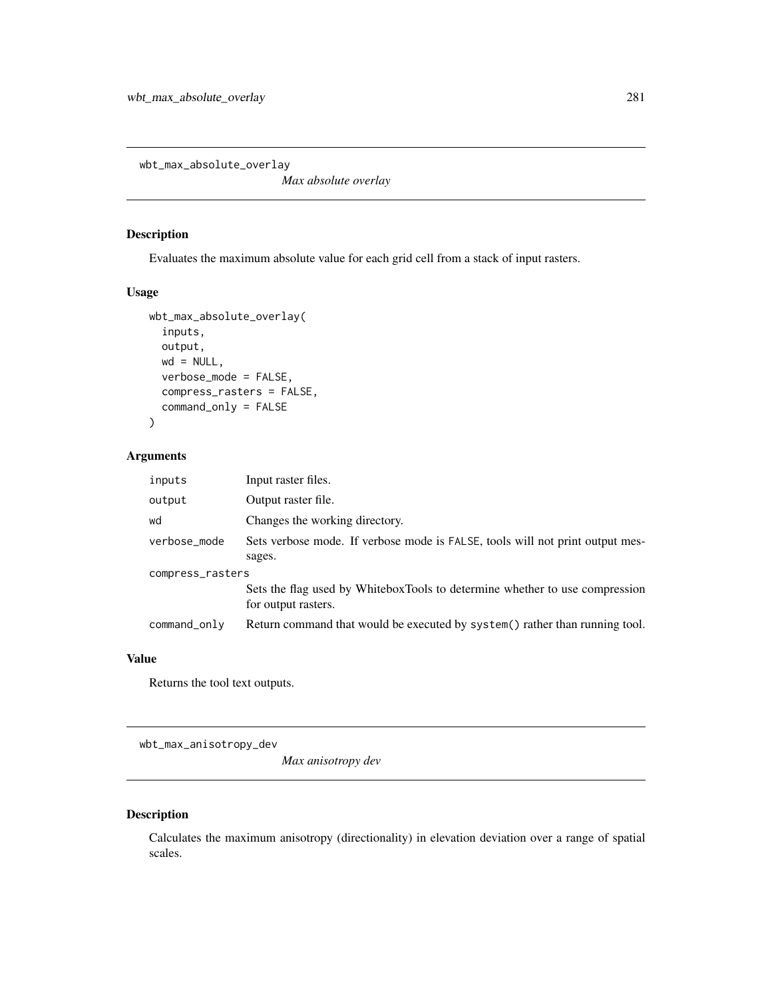wbt\_max\_absolute\_overlay

*Max absolute overlay*

## Description

Evaluates the maximum absolute value for each grid cell from a stack of input rasters.

#### Usage

```
wbt_max_absolute_overlay(
  inputs,
 output,
 wd = NULL,verbose_mode = FALSE,
  compress_rasters = FALSE,
  command_only = FALSE
)
```
## Arguments

| inputs           | Input raster files.                                                                                |  |
|------------------|----------------------------------------------------------------------------------------------------|--|
| output           | Output raster file.                                                                                |  |
| wd               | Changes the working directory.                                                                     |  |
| verbose_mode     | Sets verbose mode. If verbose mode is FALSE, tools will not print output mes-                      |  |
|                  | sages.                                                                                             |  |
| compress_rasters |                                                                                                    |  |
|                  | Sets the flag used by WhiteboxTools to determine whether to use compression<br>for output rasters. |  |
| command_only     | Return command that would be executed by system() rather than running tool.                        |  |

#### Value

Returns the tool text outputs.

wbt\_max\_anisotropy\_dev

*Max anisotropy dev*

## Description

Calculates the maximum anisotropy (directionality) in elevation deviation over a range of spatial scales.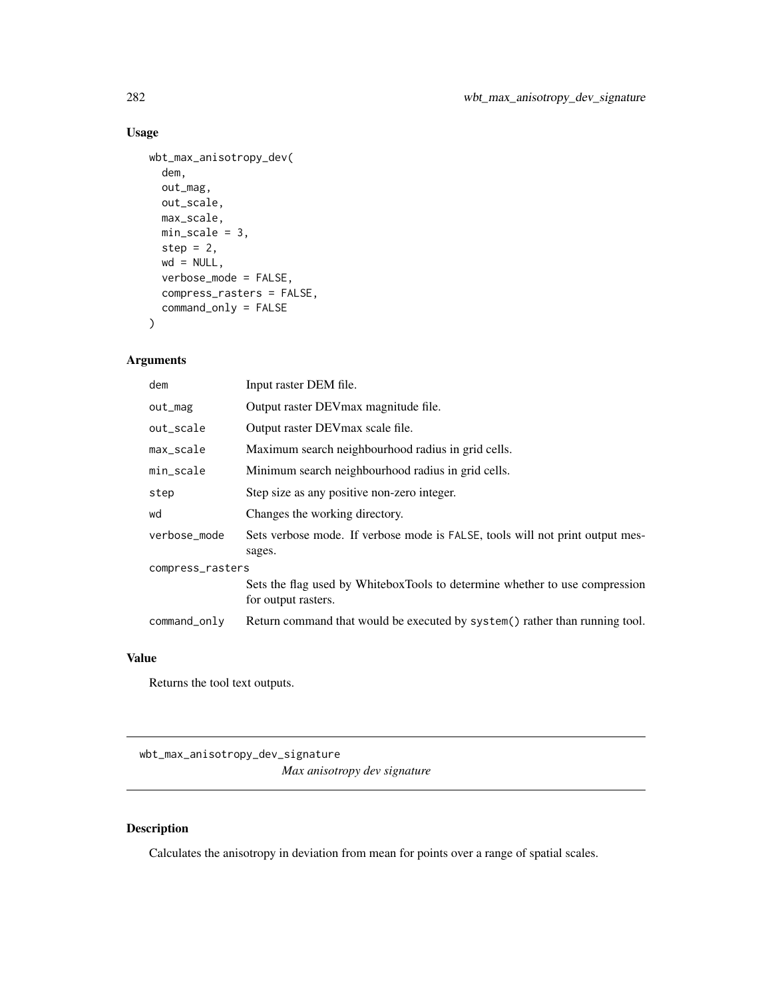```
wbt_max_anisotropy_dev(
  dem,
 out_mag,
 out_scale,
 max_scale,
 min\_scale = 3,
 step = 2,
 wd = NULL,verbose_mode = FALSE,
 compress_rasters = FALSE,
  command_only = FALSE
)
```
## Arguments

| dem              | Input raster DEM file.                                                                             |  |
|------------------|----------------------------------------------------------------------------------------------------|--|
| out_mag          | Output raster DEV max magnitude file.                                                              |  |
| out_scale        | Output raster DEVmax scale file.                                                                   |  |
| max_scale        | Maximum search neighbourhood radius in grid cells.                                                 |  |
| min_scale        | Minimum search neighbourhood radius in grid cells.                                                 |  |
| step             | Step size as any positive non-zero integer.                                                        |  |
| wd               | Changes the working directory.                                                                     |  |
| verbose_mode     | Sets verbose mode. If verbose mode is FALSE, tools will not print output mes-<br>sages.            |  |
| compress_rasters |                                                                                                    |  |
|                  | Sets the flag used by WhiteboxTools to determine whether to use compression<br>for output rasters. |  |
| command_only     | Return command that would be executed by system() rather than running tool.                        |  |

## Value

Returns the tool text outputs.

wbt\_max\_anisotropy\_dev\_signature *Max anisotropy dev signature*

## Description

Calculates the anisotropy in deviation from mean for points over a range of spatial scales.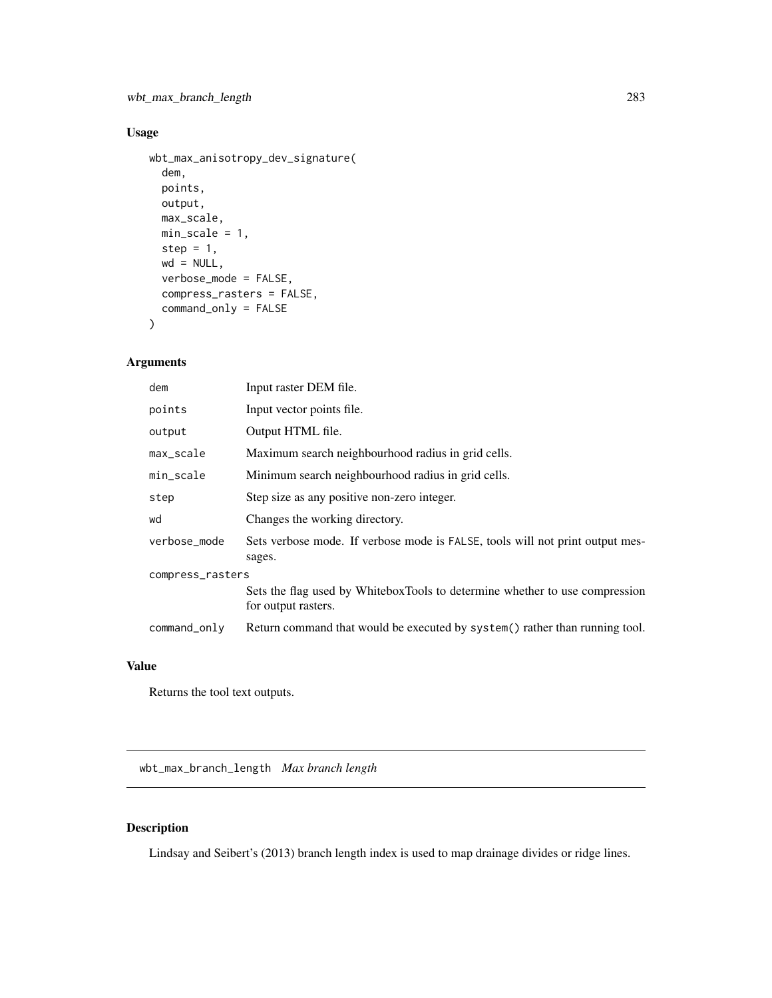```
wbt_max_anisotropy_dev_signature(
  dem,
 points,
 output,
 max_scale,
 min_scale = 1,
 step = 1,
 wd = NULL,verbose_mode = FALSE,
 compress_rasters = FALSE,
 command_only = FALSE
)
```
## Arguments

| dem              | Input raster DEM file.                                                                             |  |
|------------------|----------------------------------------------------------------------------------------------------|--|
| points           | Input vector points file.                                                                          |  |
| output           | Output HTML file.                                                                                  |  |
| max_scale        | Maximum search neighbourhood radius in grid cells.                                                 |  |
| min_scale        | Minimum search neighbourhood radius in grid cells.                                                 |  |
| step             | Step size as any positive non-zero integer.                                                        |  |
| wd               | Changes the working directory.                                                                     |  |
| verbose_mode     | Sets verbose mode. If verbose mode is FALSE, tools will not print output mes-<br>sages.            |  |
| compress_rasters |                                                                                                    |  |
|                  | Sets the flag used by WhiteboxTools to determine whether to use compression<br>for output rasters. |  |
| command_only     | Return command that would be executed by system() rather than running tool.                        |  |

## Value

Returns the tool text outputs.

wbt\_max\_branch\_length *Max branch length*

## Description

Lindsay and Seibert's (2013) branch length index is used to map drainage divides or ridge lines.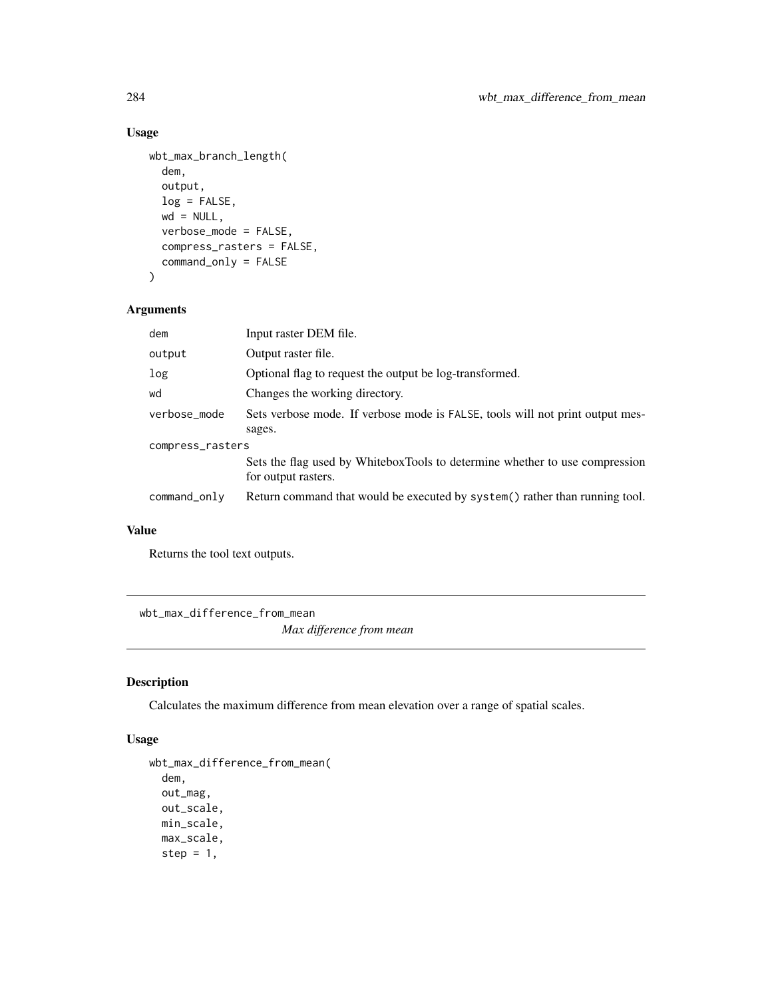```
wbt_max_branch_length(
  dem,
  output,
  log = FALSE,
 wd = NULL,verbose_mode = FALSE,
  compress_rasters = FALSE,
  command_only = FALSE
\mathcal{E}
```
## Arguments

| dem              | Input raster DEM file.                                                                             |  |
|------------------|----------------------------------------------------------------------------------------------------|--|
| output           | Output raster file.                                                                                |  |
| log              | Optional flag to request the output be log-transformed.                                            |  |
| wd               | Changes the working directory.                                                                     |  |
| verbose_mode     | Sets verbose mode. If verbose mode is FALSE, tools will not print output mes-                      |  |
|                  | sages.                                                                                             |  |
| compress_rasters |                                                                                                    |  |
|                  | Sets the flag used by WhiteboxTools to determine whether to use compression<br>for output rasters. |  |
| command_only     | Return command that would be executed by system() rather than running tool.                        |  |

## Value

Returns the tool text outputs.

wbt\_max\_difference\_from\_mean

*Max difference from mean*

## Description

Calculates the maximum difference from mean elevation over a range of spatial scales.

#### Usage

```
wbt_max_difference_from_mean(
  dem,
 out_mag,
 out_scale,
 min_scale,
 max_scale,
  step = 1,
```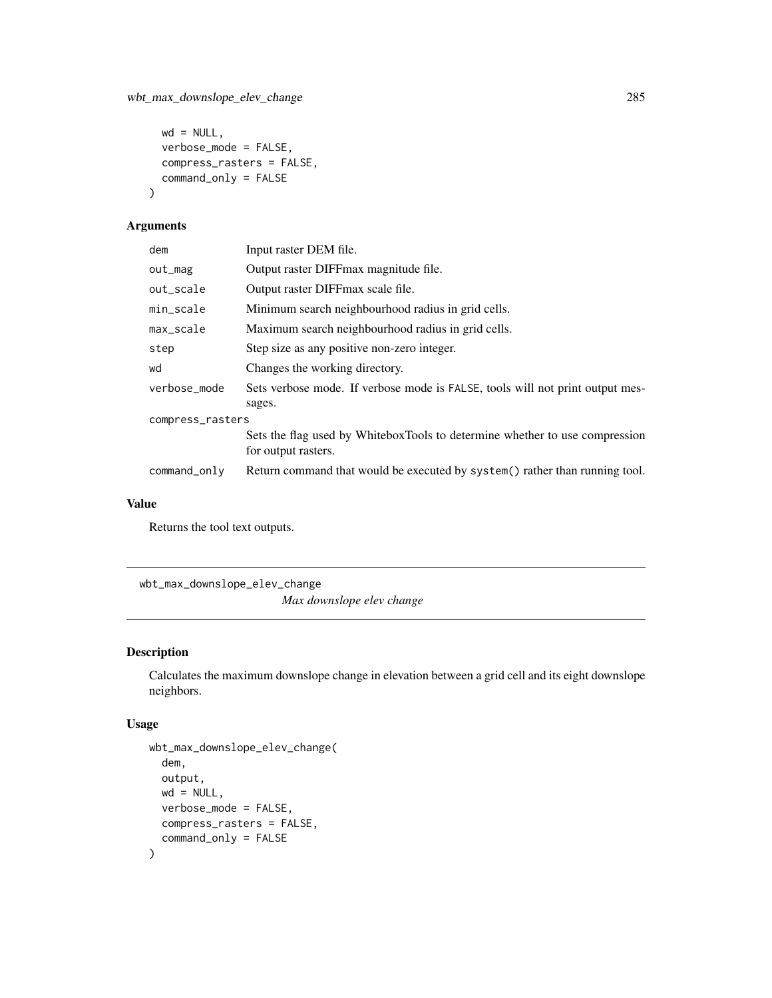```
wd = NULL,verbose_mode = FALSE,
 compress_rasters = FALSE,
 command_only = FALSE
)
```
## Arguments

| dem              | Input raster DEM file.                                                        |
|------------------|-------------------------------------------------------------------------------|
| out_mag          | Output raster DIFFmax magnitude file.                                         |
| out_scale        | Output raster DIFFmax scale file.                                             |
| min_scale        | Minimum search neighbourhood radius in grid cells.                            |
| max_scale        | Maximum search neighbourhood radius in grid cells.                            |
| step             | Step size as any positive non-zero integer.                                   |
| wd               | Changes the working directory.                                                |
| verbose_mode     | Sets verbose mode. If verbose mode is FALSE, tools will not print output mes- |
|                  | sages.                                                                        |
| compress_rasters |                                                                               |
|                  | Sets the flag used by WhiteboxTools to determine whether to use compression   |
|                  | for output rasters.                                                           |
| command_only     | Return command that would be executed by system() rather than running tool.   |

## Value

Returns the tool text outputs.

wbt\_max\_downslope\_elev\_change

*Max downslope elev change*

## Description

Calculates the maximum downslope change in elevation between a grid cell and its eight downslope neighbors.

## Usage

```
wbt_max_downslope_elev_change(
  dem,
  output,
 wd = NULL,verbose_mode = FALSE,
 compress_rasters = FALSE,
  command_only = FALSE
\mathcal{E}
```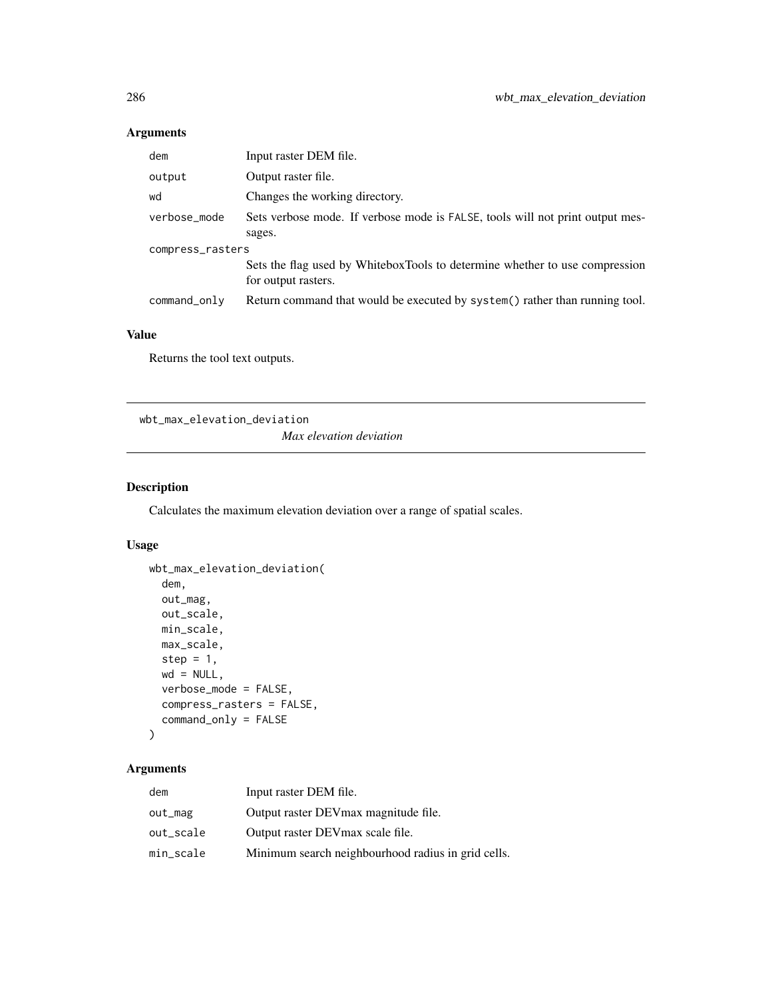## Arguments

| dem              | Input raster DEM file.                                                                             |  |
|------------------|----------------------------------------------------------------------------------------------------|--|
| output           | Output raster file.                                                                                |  |
| wd               | Changes the working directory.                                                                     |  |
| verbose_mode     | Sets verbose mode. If verbose mode is FALSE, tools will not print output mes-                      |  |
|                  | sages.                                                                                             |  |
| compress_rasters |                                                                                                    |  |
|                  | Sets the flag used by WhiteboxTools to determine whether to use compression<br>for output rasters. |  |
| command_only     | Return command that would be executed by system() rather than running tool.                        |  |

## Value

Returns the tool text outputs.

wbt\_max\_elevation\_deviation

*Max elevation deviation*

## Description

Calculates the maximum elevation deviation over a range of spatial scales.

#### Usage

```
wbt_max_elevation_deviation(
 dem,
 out_mag,
 out_scale,
 min_scale,
 max_scale,
 step = 1,
 wd = NULL,verbose_mode = FALSE,
 compress_rasters = FALSE,
  command_only = FALSE
```
## $\mathcal{L}$

| dem       | Input raster DEM file.                             |
|-----------|----------------------------------------------------|
| out_mag   | Output raster DEV max magnitude file.              |
| out_scale | Output raster DEV max scale file.                  |
| min_scale | Minimum search neighbourhood radius in grid cells. |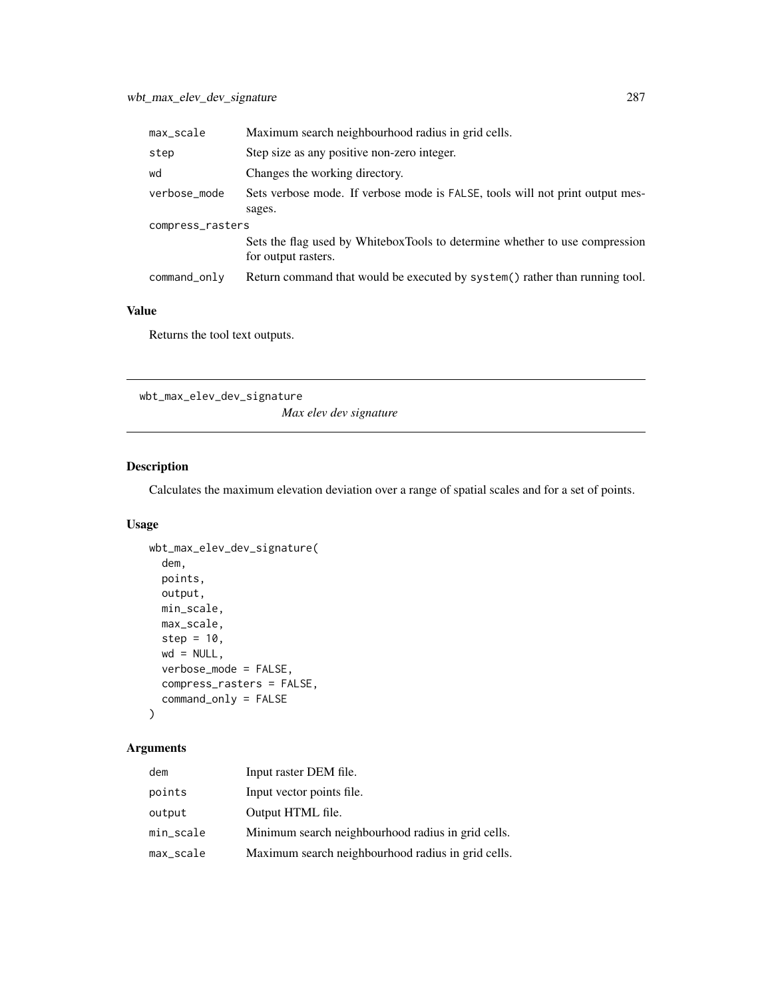| max_scale        | Maximum search neighbourhood radius in grid cells.                                                 |  |
|------------------|----------------------------------------------------------------------------------------------------|--|
| step             | Step size as any positive non-zero integer.                                                        |  |
| wd               | Changes the working directory.                                                                     |  |
| verbose_mode     | Sets verbose mode. If verbose mode is FALSE, tools will not print output mes-                      |  |
|                  | sages.                                                                                             |  |
| compress_rasters |                                                                                                    |  |
|                  | Sets the flag used by WhiteboxTools to determine whether to use compression<br>for output rasters. |  |
| command_only     | Return command that would be executed by system() rather than running tool.                        |  |

Returns the tool text outputs.

wbt\_max\_elev\_dev\_signature

*Max elev dev signature*

## Description

Calculates the maximum elevation deviation over a range of spatial scales and for a set of points.

## Usage

```
wbt_max_elev_dev_signature(
  dem,
 points,
 output,
 min_scale,
 max_scale,
 step = 10,
 wd = NULL,verbose_mode = FALSE,
  compress_rasters = FALSE,
  command_only = FALSE
)
```

| dem       | Input raster DEM file.                             |
|-----------|----------------------------------------------------|
| points    | Input vector points file.                          |
| output    | Output HTML file.                                  |
| min_scale | Minimum search neighbourhood radius in grid cells. |
| max_scale | Maximum search neighbourhood radius in grid cells. |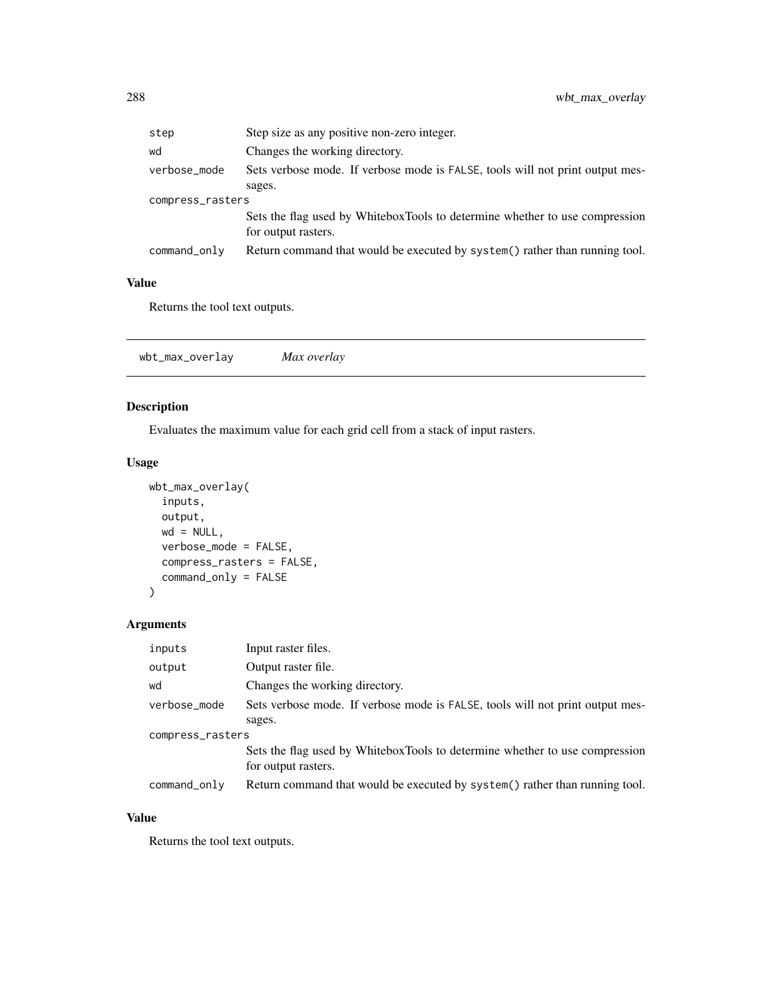| step             | Step size as any positive non-zero integer.                                                        |
|------------------|----------------------------------------------------------------------------------------------------|
| wd               | Changes the working directory.                                                                     |
| verbose_mode     | Sets verbose mode. If verbose mode is FALSE, tools will not print output mes-                      |
|                  | sages.                                                                                             |
| compress_rasters |                                                                                                    |
|                  | Sets the flag used by WhiteboxTools to determine whether to use compression<br>for output rasters. |
| command_only     | Return command that would be executed by system() rather than running tool.                        |

Returns the tool text outputs.

| wbt_max_overlay |
|-----------------|
|-----------------|

## Description

Evaluates the maximum value for each grid cell from a stack of input rasters.

## Usage

```
wbt_max_overlay(
  inputs,
 output,
 wd = NULL,verbose_mode = FALSE,
 compress_rasters = FALSE,
  command_only = FALSE
)
```
## Arguments

| inputs           | Input raster files.                                                                                |  |
|------------------|----------------------------------------------------------------------------------------------------|--|
| output           | Output raster file.                                                                                |  |
| wd               | Changes the working directory.                                                                     |  |
| verbose_mode     | Sets verbose mode. If verbose mode is FALSE, tools will not print output mes-                      |  |
|                  | sages.                                                                                             |  |
| compress_rasters |                                                                                                    |  |
|                  | Sets the flag used by WhiteboxTools to determine whether to use compression<br>for output rasters. |  |
| command_only     | Return command that would be executed by system() rather than running tool.                        |  |

## Value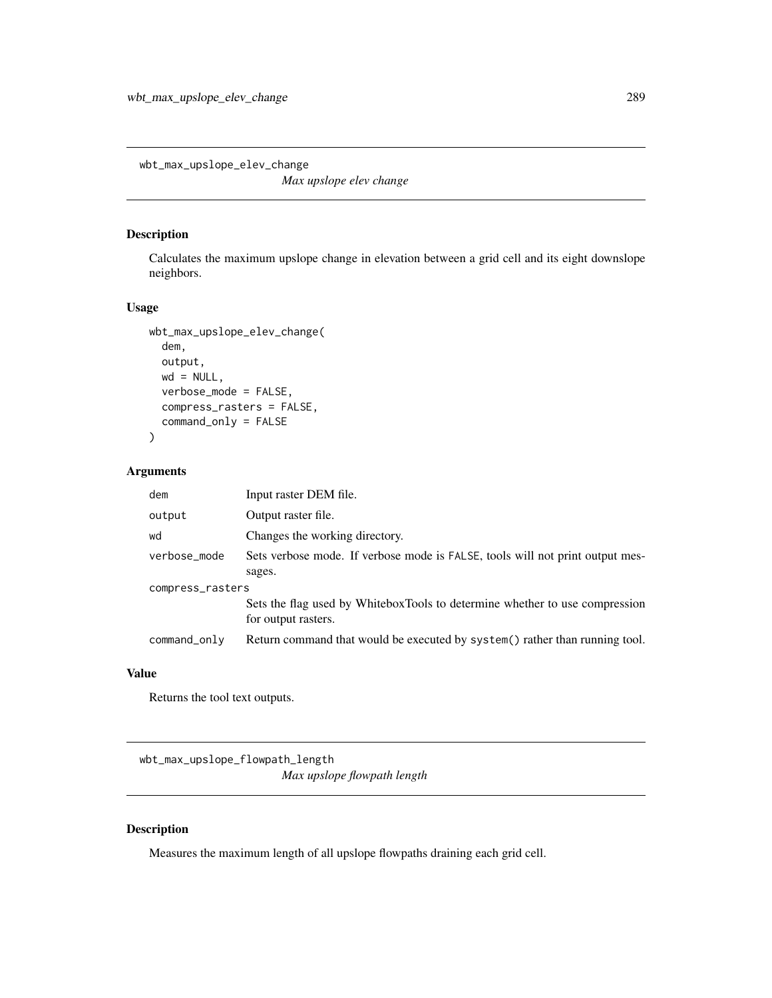wbt\_max\_upslope\_elev\_change

*Max upslope elev change*

## Description

Calculates the maximum upslope change in elevation between a grid cell and its eight downslope neighbors.

#### Usage

```
wbt_max_upslope_elev_change(
  dem,
  output,
 wd = NULL,verbose_mode = FALSE,
  compress_rasters = FALSE,
  command_only = FALSE
\mathcal{L}
```
## Arguments

| dem              | Input raster DEM file.                                                                             |  |
|------------------|----------------------------------------------------------------------------------------------------|--|
| output           | Output raster file.                                                                                |  |
| wd               | Changes the working directory.                                                                     |  |
| verbose_mode     | Sets verbose mode. If verbose mode is FALSE, tools will not print output mes-                      |  |
|                  | sages.                                                                                             |  |
| compress_rasters |                                                                                                    |  |
|                  | Sets the flag used by WhiteboxTools to determine whether to use compression<br>for output rasters. |  |
| command_only     | Return command that would be executed by system() rather than running tool.                        |  |

## Value

Returns the tool text outputs.

wbt\_max\_upslope\_flowpath\_length *Max upslope flowpath length*

## Description

Measures the maximum length of all upslope flowpaths draining each grid cell.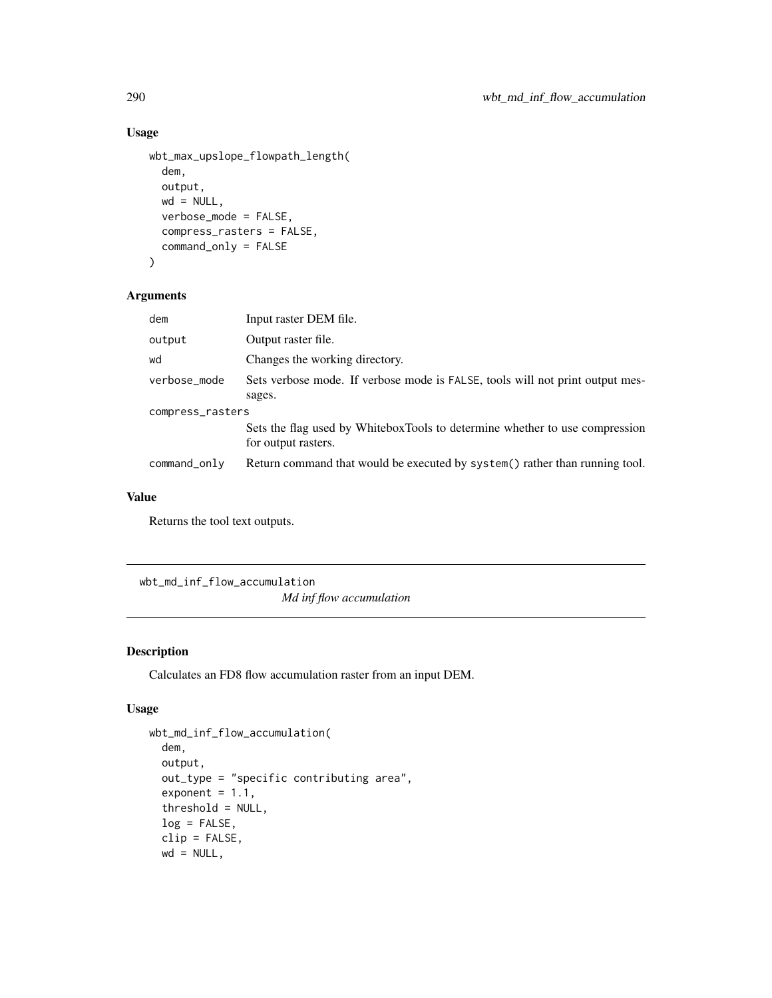## Usage

```
wbt_max_upslope_flowpath_length(
  dem,
  output,
 wd = NULL,verbose_mode = FALSE,
  compress_rasters = FALSE,
  command_only = FALSE
)
```
#### Arguments

| dem              | Input raster DEM file.                                                                             |  |
|------------------|----------------------------------------------------------------------------------------------------|--|
| output           | Output raster file.                                                                                |  |
| wd               | Changes the working directory.                                                                     |  |
| verbose_mode     | Sets verbose mode. If verbose mode is FALSE, tools will not print output mes-                      |  |
|                  | sages.                                                                                             |  |
| compress_rasters |                                                                                                    |  |
|                  | Sets the flag used by WhiteboxTools to determine whether to use compression<br>for output rasters. |  |
|                  |                                                                                                    |  |
| command_only     | Return command that would be executed by system() rather than running tool.                        |  |

#### Value

Returns the tool text outputs.

wbt\_md\_inf\_flow\_accumulation *Md inf flow accumulation*

## Description

Calculates an FD8 flow accumulation raster from an input DEM.

## Usage

```
wbt_md_inf_flow_accumulation(
  dem,
  output,
  out_type = "specific contributing area",
  exponent = 1.1,
  threshold = NULL,
  log = FALSE,
  clip = FALSE,
 wd = NULL,
```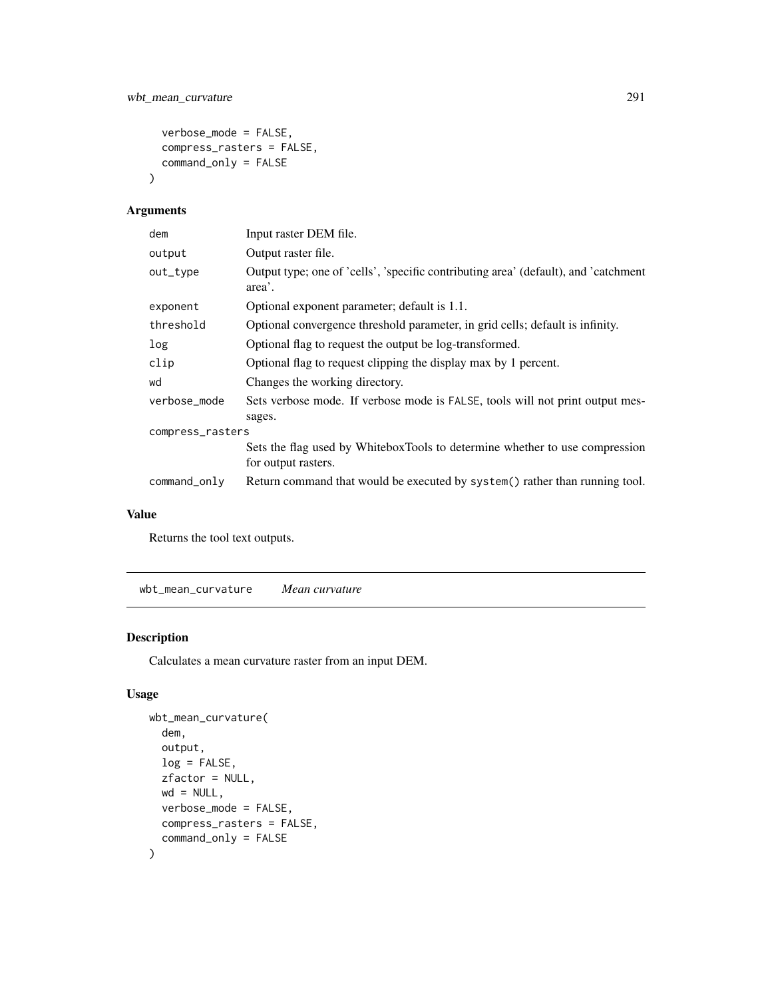```
verbose_mode = FALSE,
  compress_rasters = FALSE,
  command_only = FALSE
\mathcal{L}
```
## Arguments

| dem                        | Input raster DEM file.                                                                             |  |
|----------------------------|----------------------------------------------------------------------------------------------------|--|
| output                     | Output raster file.                                                                                |  |
| out_type                   | Output type; one of 'cells', 'specific contributing area' (default), and 'catchment<br>area'.      |  |
| exponent                   | Optional exponent parameter; default is 1.1.                                                       |  |
| threshold                  | Optional convergence threshold parameter, in grid cells; default is infinity.                      |  |
| log                        | Optional flag to request the output be log-transformed.                                            |  |
| clip                       | Optional flag to request clipping the display max by 1 percent.                                    |  |
| wd                         | Changes the working directory.                                                                     |  |
| verbose_mode               | Sets verbose mode. If verbose mode is FALSE, tools will not print output mes-                      |  |
| sages.<br>compress_rasters |                                                                                                    |  |
|                            | Sets the flag used by WhiteboxTools to determine whether to use compression<br>for output rasters. |  |
| command_only               | Return command that would be executed by system() rather than running tool.                        |  |

## Value

Returns the tool text outputs.

wbt\_mean\_curvature *Mean curvature*

## Description

Calculates a mean curvature raster from an input DEM.

## Usage

```
wbt_mean_curvature(
 dem,
 output,
 log = FALSE,
 zfactor = NULL,
 wd = NULL,verbose_mode = FALSE,
 compress_rasters = FALSE,
  command_only = FALSE
)
```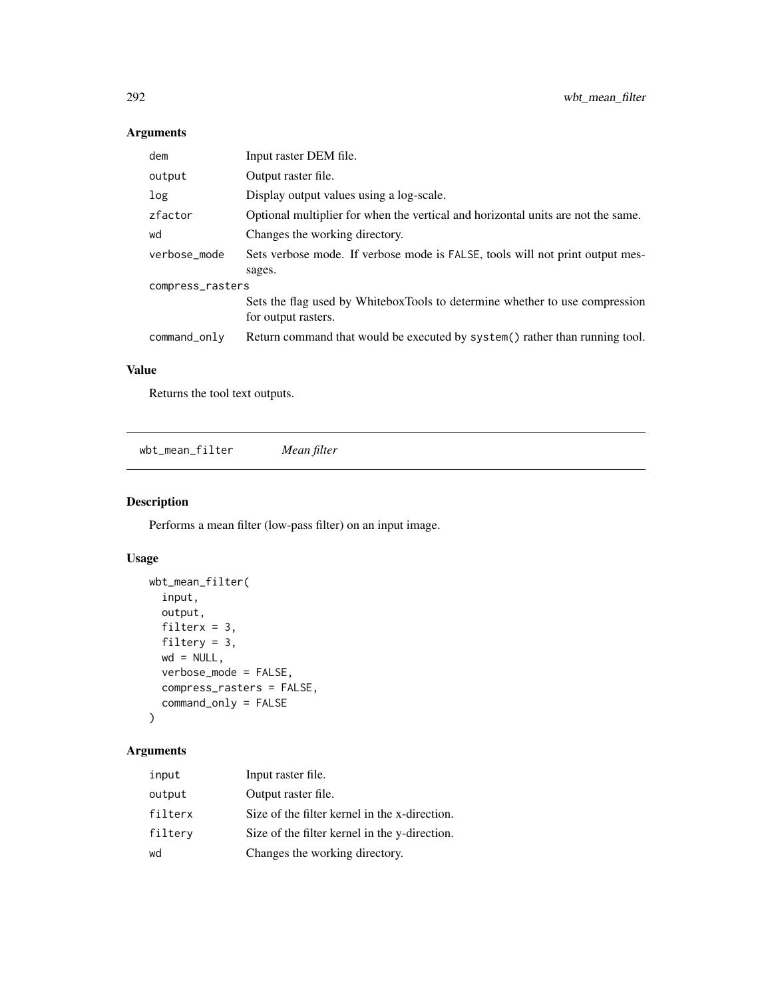## Arguments

| dem              | Input raster DEM file.                                                                             |  |
|------------------|----------------------------------------------------------------------------------------------------|--|
| output           | Output raster file.                                                                                |  |
| log              | Display output values using a log-scale.                                                           |  |
| zfactor          | Optional multiplier for when the vertical and horizontal units are not the same.                   |  |
| wd               | Changes the working directory.                                                                     |  |
| verbose mode     | Sets verbose mode. If verbose mode is FALSE, tools will not print output mes-                      |  |
|                  | sages.                                                                                             |  |
| compress_rasters |                                                                                                    |  |
|                  | Sets the flag used by WhiteboxTools to determine whether to use compression<br>for output rasters. |  |
| $command\_only$  | Return command that would be executed by system() rather than running tool.                        |  |

## Value

Returns the tool text outputs.

wbt\_mean\_filter *Mean filter*

## Description

Performs a mean filter (low-pass filter) on an input image.

## Usage

```
wbt_mean_filter(
  input,
 output,
 filterx = 3,
 filtery = 3,
 wd = NULL,verbose_mode = FALSE,
 compress_rasters = FALSE,
 command_only = FALSE
)
```
## Arguments

| input   | Input raster file.                            |
|---------|-----------------------------------------------|
| output  | Output raster file.                           |
| filterx | Size of the filter kernel in the x-direction. |
| filtery | Size of the filter kernel in the y-direction. |
| wd      | Changes the working directory.                |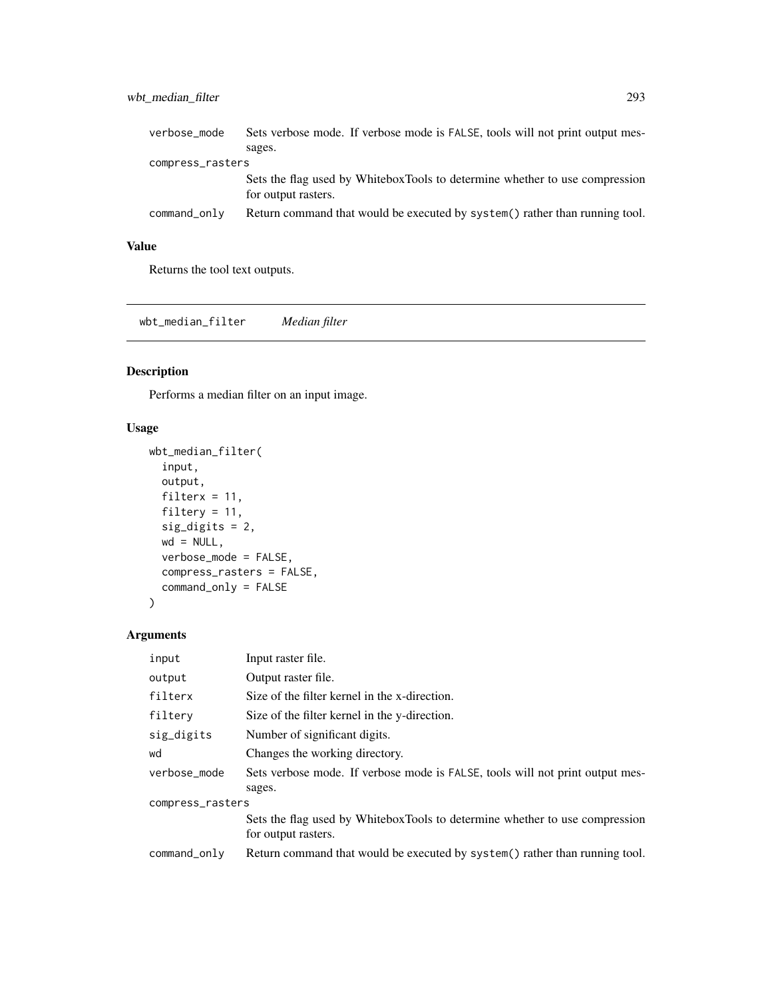## wbt\_median\_filter 293

| verbose_mode     | Sets verbose mode. If verbose mode is FALSE, tools will not print output mes-                      |
|------------------|----------------------------------------------------------------------------------------------------|
|                  | sages.                                                                                             |
| compress_rasters |                                                                                                    |
|                  | Sets the flag used by WhiteboxTools to determine whether to use compression<br>for output rasters. |
| command_only     | Return command that would be executed by system() rather than running tool.                        |

#### Value

Returns the tool text outputs.

wbt\_median\_filter *Median filter*

## Description

Performs a median filter on an input image.

## Usage

```
wbt_median_filter(
  input,
 output,
 filterx = 11,
 filtery = 11,
 sig_digits = 2,
 wd = NULL,verbose_mode = FALSE,
 compress_rasters = FALSE,
 command_only = FALSE
)
```
## Arguments

| input            | Input raster file.                                                                                 |  |
|------------------|----------------------------------------------------------------------------------------------------|--|
| output           | Output raster file.                                                                                |  |
| filterx          | Size of the filter kernel in the x-direction.                                                      |  |
| filtery          | Size of the filter kernel in the y-direction.                                                      |  |
| sig_digits       | Number of significant digits.                                                                      |  |
| wd               | Changes the working directory.                                                                     |  |
| verbose mode     | Sets verbose mode. If verbose mode is FALSE, tools will not print output mes-<br>sages.            |  |
| compress_rasters |                                                                                                    |  |
|                  | Sets the flag used by WhiteboxTools to determine whether to use compression<br>for output rasters. |  |
| command_only     | Return command that would be executed by system() rather than running tool.                        |  |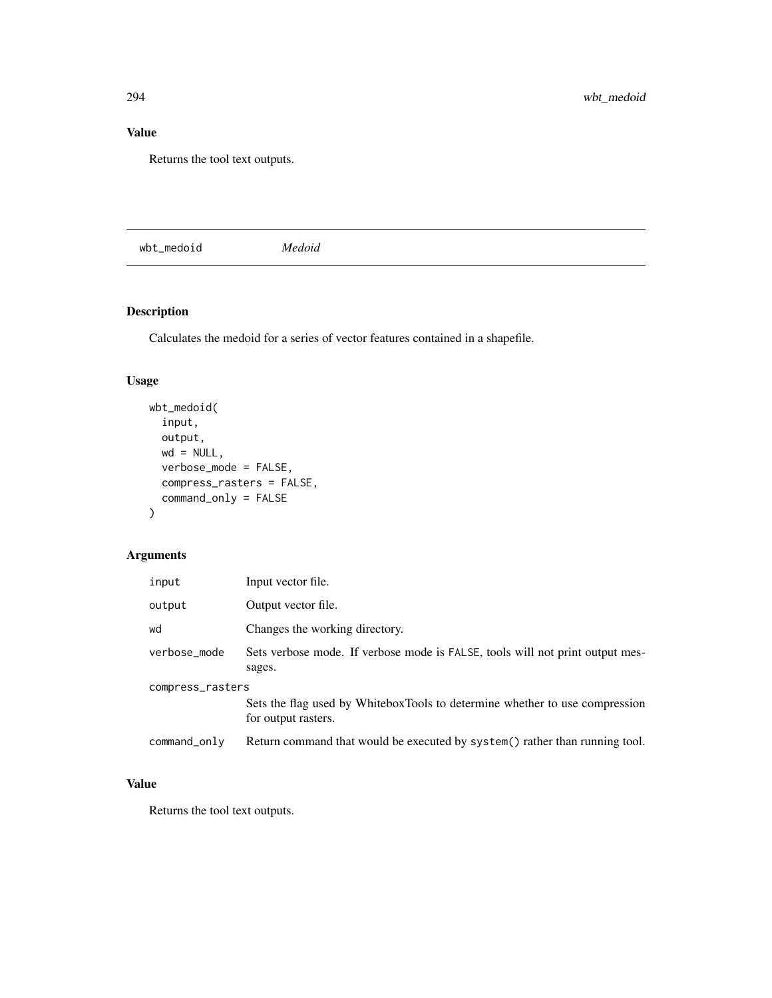## Value

Returns the tool text outputs.

wbt\_medoid *Medoid*

## Description

Calculates the medoid for a series of vector features contained in a shapefile.

## Usage

```
wbt_medoid(
  input,
 output,
 wd = NULL,verbose_mode = FALSE,
 compress_rasters = FALSE,
  command_only = FALSE
)
```
## Arguments

| input            | Input vector file.                                                                                 |  |
|------------------|----------------------------------------------------------------------------------------------------|--|
| output           | Output vector file.                                                                                |  |
| wd               | Changes the working directory.                                                                     |  |
| verbose_mode     | Sets verbose mode. If verbose mode is FALSE, tools will not print output mes-<br>sages.            |  |
| compress_rasters |                                                                                                    |  |
|                  | Sets the flag used by WhiteboxTools to determine whether to use compression<br>for output rasters. |  |
| command_only     | Return command that would be executed by system () rather than running tool.                       |  |

## Value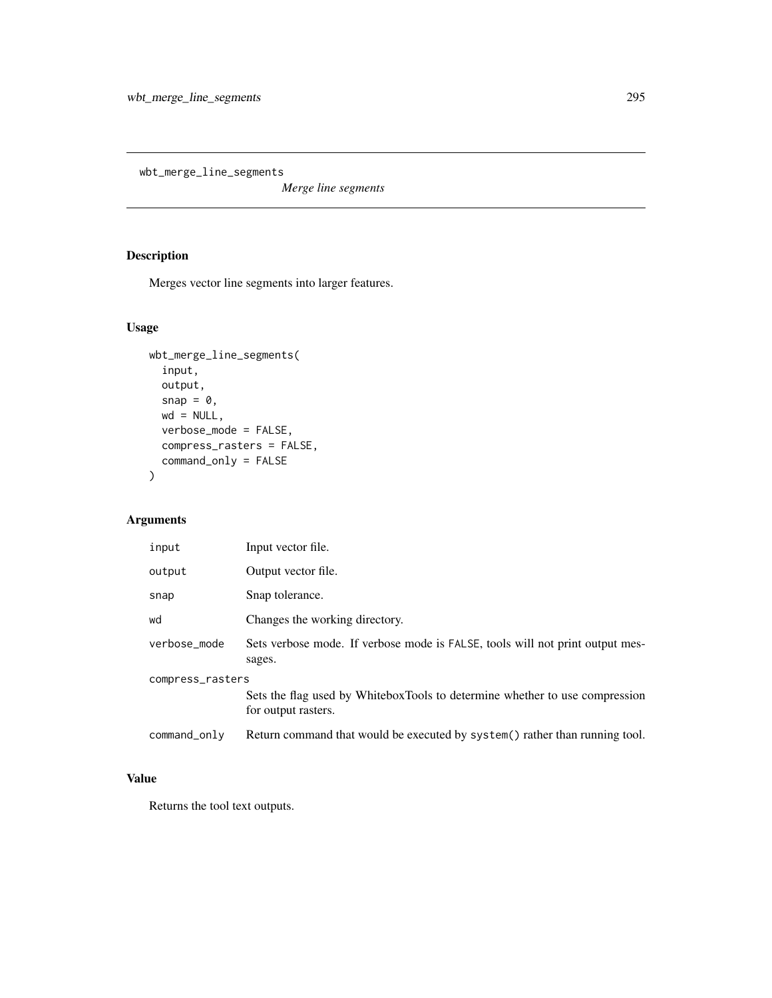wbt\_merge\_line\_segments

*Merge line segments*

## Description

Merges vector line segments into larger features.

## Usage

```
wbt_merge_line_segments(
  input,
  output,
  snap = 0,wd = NULL,verbose_mode = FALSE,
  compress_rasters = FALSE,
  command_only = FALSE
\mathcal{L}
```
## Arguments

| input            | Input vector file.                                                                                 |
|------------------|----------------------------------------------------------------------------------------------------|
| output           | Output vector file.                                                                                |
| snap             | Snap tolerance.                                                                                    |
| wd               | Changes the working directory.                                                                     |
| verbose_mode     | Sets verbose mode. If verbose mode is FALSE, tools will not print output mes-<br>sages.            |
| compress_rasters | Sets the flag used by WhiteboxTools to determine whether to use compression<br>for output rasters. |
| command_only     | Return command that would be executed by system() rather than running tool.                        |

## Value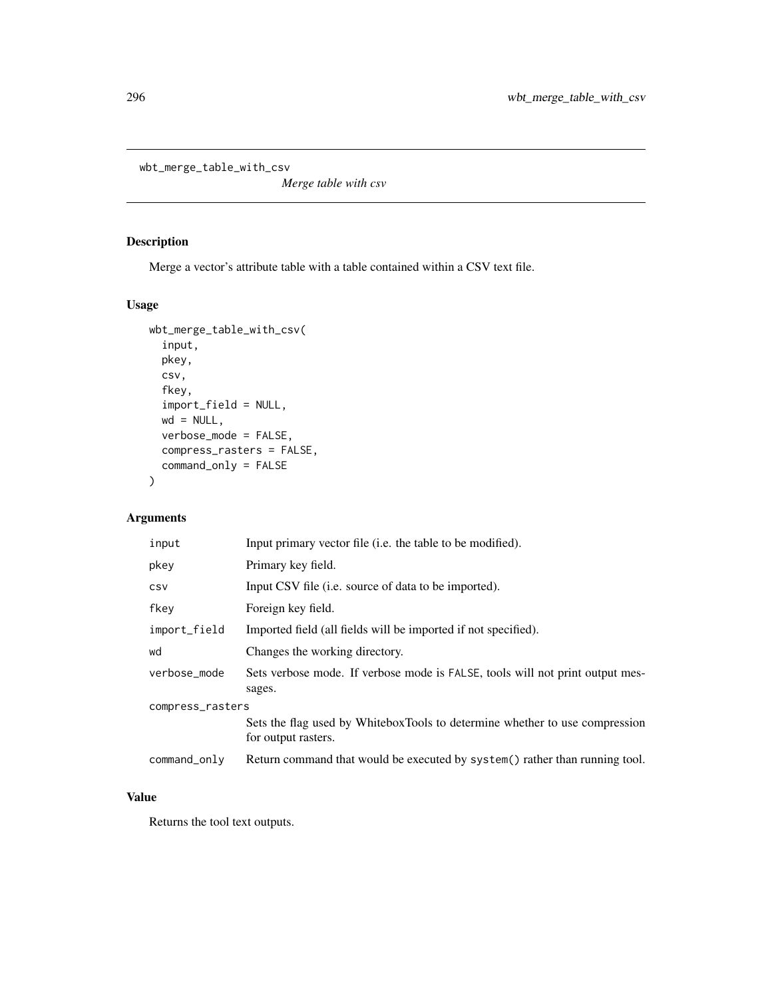```
wbt_merge_table_with_csv
```
*Merge table with csv*

## Description

Merge a vector's attribute table with a table contained within a CSV text file.

## Usage

```
wbt_merge_table_with_csv(
  input,
  pkey,
  csv,
  fkey,
  import_field = NULL,
  wd = NULL,verbose_mode = FALSE,
  compress_rasters = FALSE,
  command_only = FALSE
)
```
## Arguments

| input            | Input primary vector file ( <i>i.e.</i> the table to be modified).                                 |  |
|------------------|----------------------------------------------------------------------------------------------------|--|
| pkey             | Primary key field.                                                                                 |  |
| <b>CSV</b>       | Input CSV file ( <i>i.e.</i> source of data to be imported).                                       |  |
| fkey             | Foreign key field.                                                                                 |  |
| import_field     | Imported field (all fields will be imported if not specified).                                     |  |
| wd               | Changes the working directory.                                                                     |  |
| verbose_mode     | Sets verbose mode. If verbose mode is FALSE, tools will not print output mes-<br>sages.            |  |
| compress_rasters |                                                                                                    |  |
|                  | Sets the flag used by WhiteboxTools to determine whether to use compression<br>for output rasters. |  |
| $command\_only$  | Return command that would be executed by system() rather than running tool.                        |  |

## Value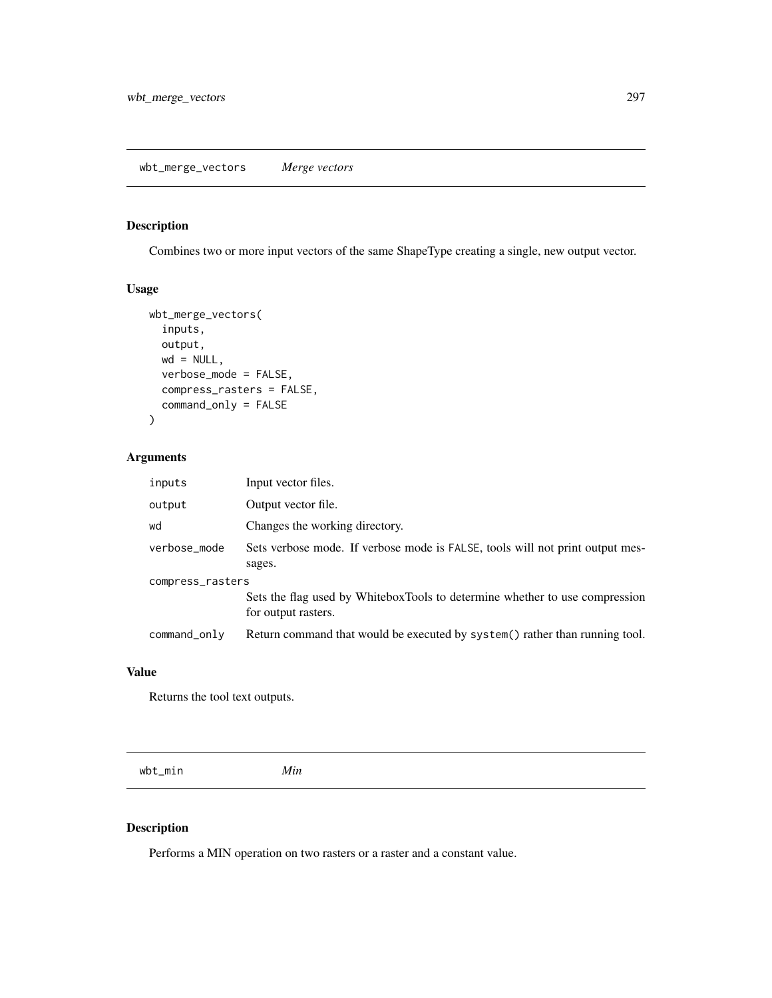## Description

Combines two or more input vectors of the same ShapeType creating a single, new output vector.

## Usage

```
wbt_merge_vectors(
  inputs,
 output,
 wd = NULL,verbose_mode = FALSE,
  compress_rasters = FALSE,
  command_only = FALSE
)
```
## Arguments

| inputs           | Input vector files.                                                                                |  |
|------------------|----------------------------------------------------------------------------------------------------|--|
| output           | Output vector file.                                                                                |  |
| wd               | Changes the working directory.                                                                     |  |
| verbose_mode     | Sets verbose mode. If verbose mode is FALSE, tools will not print output mes-<br>sages.            |  |
| compress_rasters |                                                                                                    |  |
|                  | Sets the flag used by WhiteboxTools to determine whether to use compression<br>for output rasters. |  |
| $command\_only$  | Return command that would be executed by system() rather than running tool.                        |  |

#### Value

Returns the tool text outputs.

wbt\_min *Min*

## Description

Performs a MIN operation on two rasters or a raster and a constant value.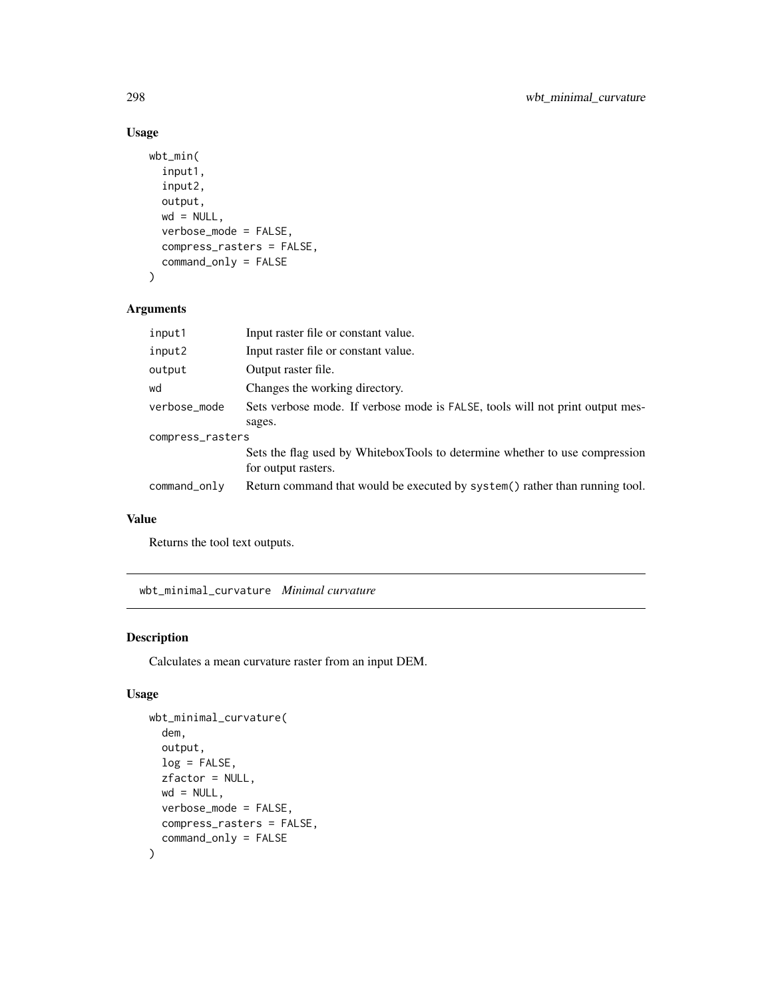## Usage

```
wbt_min(
  input1,
  input2,
  output,
 wd = NULL,verbose_mode = FALSE,
  compress_rasters = FALSE,
  command_only = FALSE
)
```
## Arguments

| input1           | Input raster file or constant value.                                                               |  |
|------------------|----------------------------------------------------------------------------------------------------|--|
| input2           | Input raster file or constant value.                                                               |  |
| output           | Output raster file.                                                                                |  |
| wd               | Changes the working directory.                                                                     |  |
| verbose_mode     | Sets verbose mode. If verbose mode is FALSE, tools will not print output mes-                      |  |
|                  | sages.                                                                                             |  |
| compress_rasters |                                                                                                    |  |
|                  | Sets the flag used by WhiteboxTools to determine whether to use compression<br>for output rasters. |  |
| command_only     | Return command that would be executed by system() rather than running tool.                        |  |

#### Value

Returns the tool text outputs.

wbt\_minimal\_curvature *Minimal curvature*

## Description

Calculates a mean curvature raster from an input DEM.

## Usage

```
wbt_minimal_curvature(
 dem,
 output,
 log = FALSE,
 zfactor = NULL,
 wd = NULL,verbose_mode = FALSE,
 compress_rasters = FALSE,
  command_only = FALSE
)
```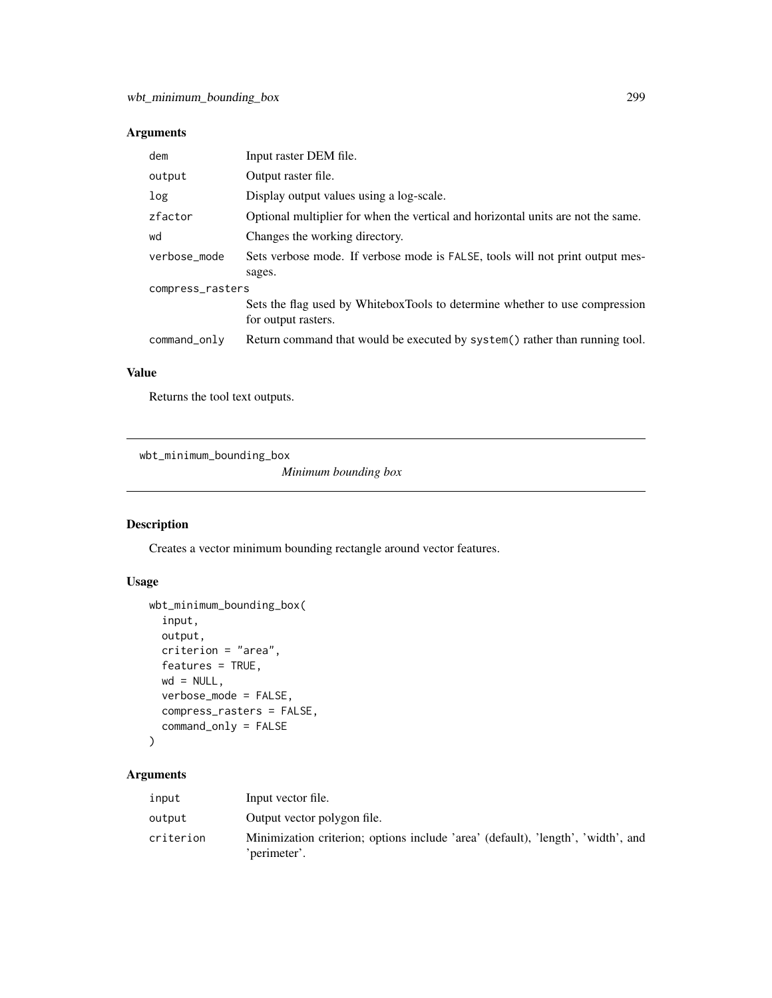## Arguments

| dem              | Input raster DEM file.                                                                             |  |
|------------------|----------------------------------------------------------------------------------------------------|--|
| output           | Output raster file.                                                                                |  |
| log              | Display output values using a log-scale.                                                           |  |
| zfactor          | Optional multiplier for when the vertical and horizontal units are not the same.                   |  |
| wd               | Changes the working directory.                                                                     |  |
| verbose_mode     | Sets verbose mode. If verbose mode is FALSE, tools will not print output mes-<br>sages.            |  |
| compress_rasters |                                                                                                    |  |
|                  | Sets the flag used by WhiteboxTools to determine whether to use compression<br>for output rasters. |  |
| command_only     | Return command that would be executed by system() rather than running tool.                        |  |

#### Value

Returns the tool text outputs.

wbt\_minimum\_bounding\_box

*Minimum bounding box*

## Description

Creates a vector minimum bounding rectangle around vector features.

## Usage

```
wbt_minimum_bounding_box(
  input,
 output,
 criterion = "area",
 features = TRUE,
 wd = NULL,verbose_mode = FALSE,
 compress_rasters = FALSE,
 command_only = FALSE
)
```
## Arguments

| input     | Input vector file.                                                                               |
|-----------|--------------------------------------------------------------------------------------------------|
| output    | Output vector polygon file.                                                                      |
| criterion | Minimization criterion; options include 'area' (default), 'length', 'width', and<br>'perimeter'. |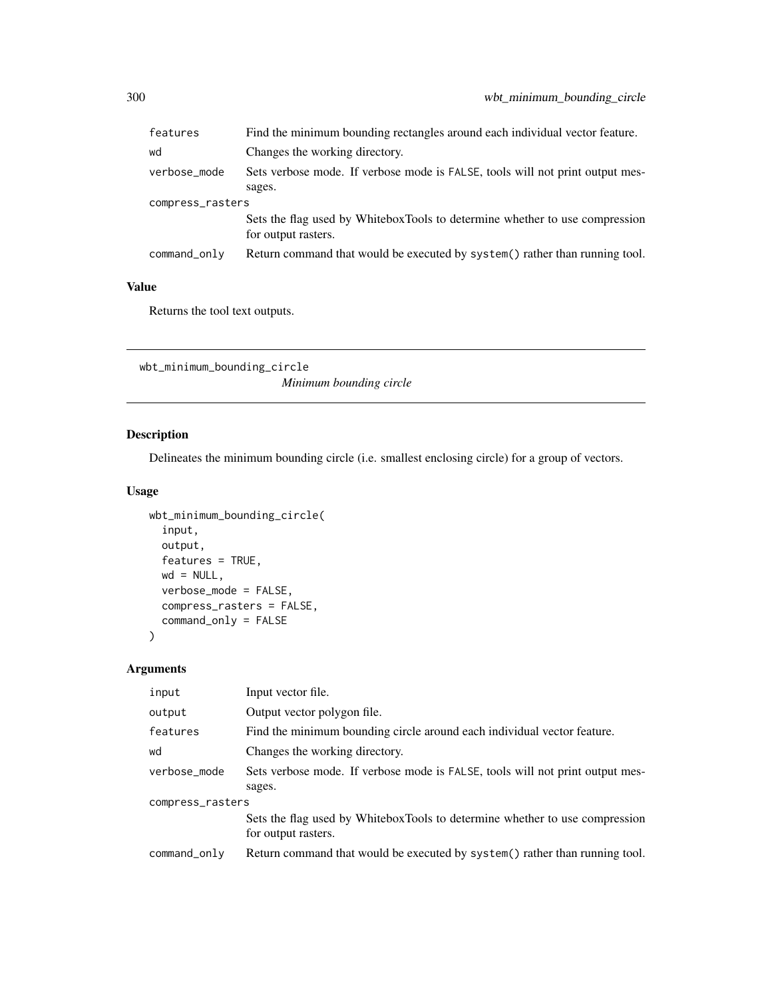| Find the minimum bounding rectangles around each individual vector feature.                        |  |  |
|----------------------------------------------------------------------------------------------------|--|--|
| Changes the working directory.                                                                     |  |  |
| Sets verbose mode. If verbose mode is FALSE, tools will not print output mes-<br>sages.            |  |  |
| compress_rasters                                                                                   |  |  |
| Sets the flag used by WhiteboxTools to determine whether to use compression<br>for output rasters. |  |  |
| Return command that would be executed by system() rather than running tool.                        |  |  |
|                                                                                                    |  |  |

## Value

Returns the tool text outputs.

```
wbt_minimum_bounding_circle
                       Minimum bounding circle
```
## Description

Delineates the minimum bounding circle (i.e. smallest enclosing circle) for a group of vectors.

#### Usage

```
wbt_minimum_bounding_circle(
  input,
 output,
 features = TRUE,
 wd = NULL,verbose_mode = FALSE,
  compress_rasters = FALSE,
  command_only = FALSE
)
```
## Arguments

| input            | Input vector file.                                                                                 |
|------------------|----------------------------------------------------------------------------------------------------|
| output           | Output vector polygon file.                                                                        |
| features         | Find the minimum bounding circle around each individual vector feature.                            |
| wd               | Changes the working directory.                                                                     |
| verbose_mode     | Sets verbose mode. If verbose mode is FALSE, tools will not print output mes-                      |
|                  | sages.                                                                                             |
| compress_rasters |                                                                                                    |
|                  | Sets the flag used by WhiteboxTools to determine whether to use compression<br>for output rasters. |
| command_only     | Return command that would be executed by system() rather than running tool.                        |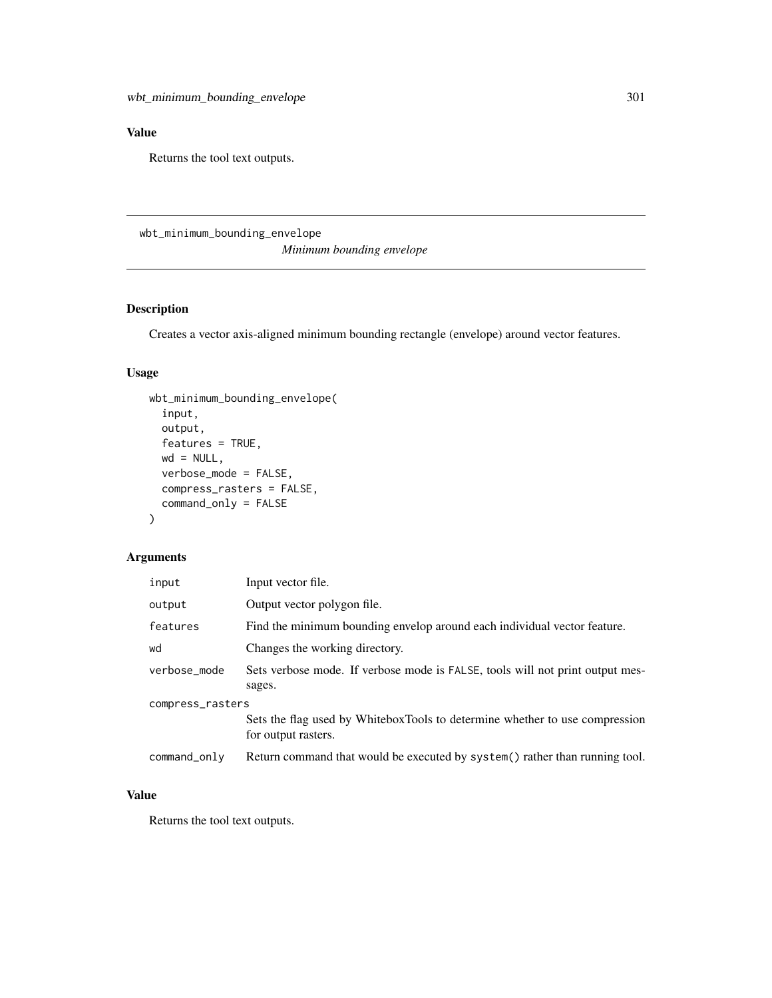## Value

Returns the tool text outputs.

wbt\_minimum\_bounding\_envelope *Minimum bounding envelope*

## Description

Creates a vector axis-aligned minimum bounding rectangle (envelope) around vector features.

## Usage

```
wbt_minimum_bounding_envelope(
  input,
 output,
 features = TRUE,
 wd = NULL,verbose_mode = FALSE,
 compress_rasters = FALSE,
 command_only = FALSE
)
```
#### Arguments

| input            | Input vector file.                                                                                 |  |
|------------------|----------------------------------------------------------------------------------------------------|--|
| output           | Output vector polygon file.                                                                        |  |
| features         | Find the minimum bounding envelop around each individual vector feature.                           |  |
| wd               | Changes the working directory.                                                                     |  |
| verbose_mode     | Sets verbose mode. If verbose mode is FALSE, tools will not print output mes-<br>sages.            |  |
| compress_rasters |                                                                                                    |  |
|                  | Sets the flag used by WhiteboxTools to determine whether to use compression<br>for output rasters. |  |
| command_only     | Return command that would be executed by system () rather than running tool.                       |  |

#### Value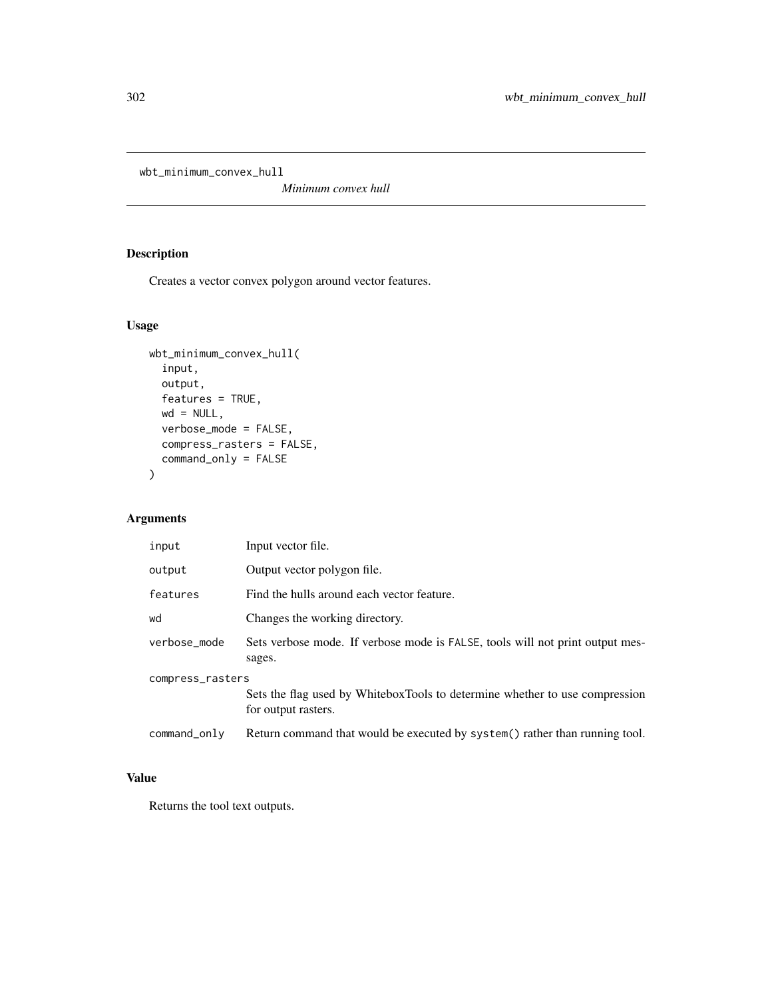wbt\_minimum\_convex\_hull

*Minimum convex hull*

## Description

Creates a vector convex polygon around vector features.

## Usage

```
wbt_minimum_convex_hull(
  input,
 output,
 features = TRUE,
 wd = NULL,verbose_mode = FALSE,
 compress_rasters = FALSE,
 command_only = FALSE
\mathcal{L}
```
## Arguments

| input            | Input vector file.                                                                                 |  |
|------------------|----------------------------------------------------------------------------------------------------|--|
| output           | Output vector polygon file.                                                                        |  |
| features         | Find the hulls around each vector feature.                                                         |  |
| wd               | Changes the working directory.                                                                     |  |
| verbose mode     | Sets verbose mode. If verbose mode is FALSE, tools will not print output mes-<br>sages.            |  |
| compress_rasters |                                                                                                    |  |
|                  | Sets the flag used by WhiteboxTools to determine whether to use compression<br>for output rasters. |  |
| command_only     | Return command that would be executed by system() rather than running tool.                        |  |
|                  |                                                                                                    |  |

## Value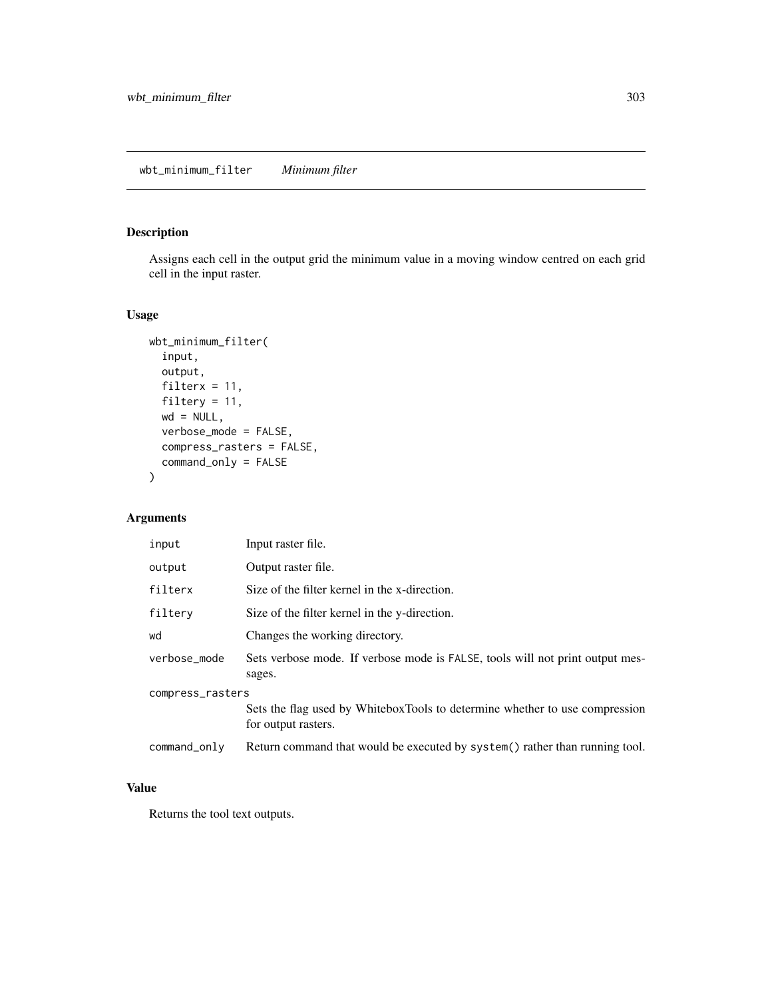## wbt\_minimum\_filter *Minimum filter*

## Description

Assigns each cell in the output grid the minimum value in a moving window centred on each grid cell in the input raster.

#### Usage

```
wbt_minimum_filter(
  input,
  output,
 filterx = 11,
  filtery = 11,
 wd = NULL,verbose_mode = FALSE,
  compress_rasters = FALSE,
  command_only = FALSE
)
```
## Arguments

| input            | Input raster file.                                                                                 |  |
|------------------|----------------------------------------------------------------------------------------------------|--|
| output           | Output raster file.                                                                                |  |
| filterx          | Size of the filter kernel in the x-direction.                                                      |  |
| filtery          | Size of the filter kernel in the y-direction.                                                      |  |
| wd               | Changes the working directory.                                                                     |  |
| verbose_mode     | Sets verbose mode. If verbose mode is FALSE, tools will not print output mes-<br>sages.            |  |
| compress_rasters |                                                                                                    |  |
|                  | Sets the flag used by WhiteboxTools to determine whether to use compression<br>for output rasters. |  |
| command_only     | Return command that would be executed by system() rather than running tool.                        |  |

#### Value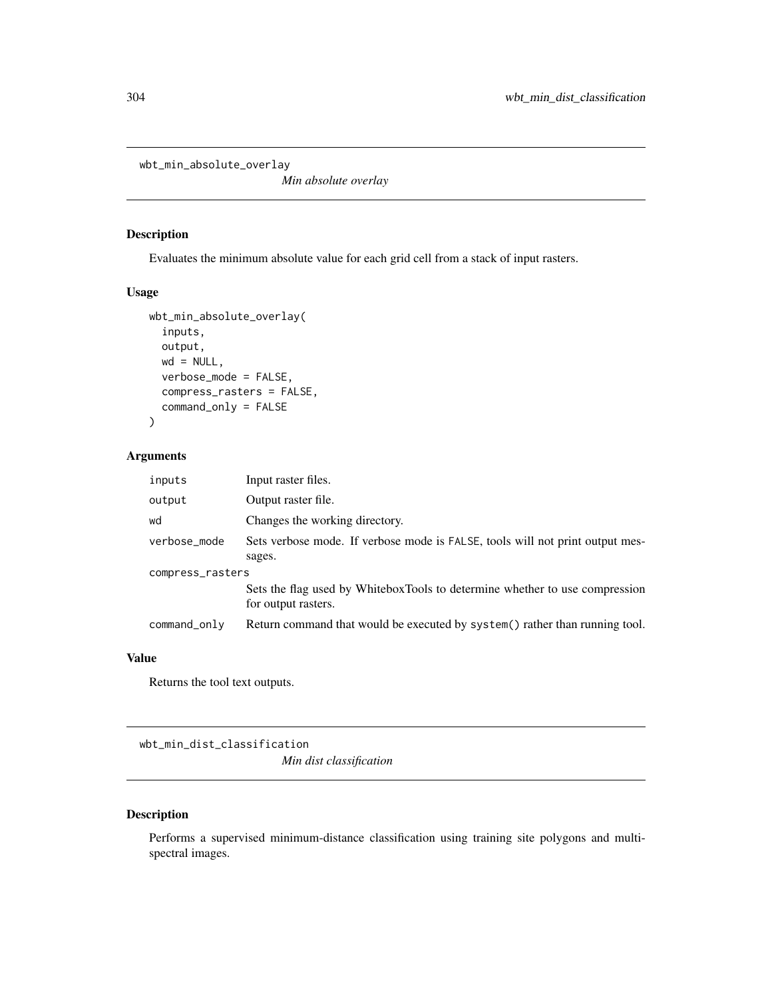wbt\_min\_absolute\_overlay

*Min absolute overlay*

## Description

Evaluates the minimum absolute value for each grid cell from a stack of input rasters.

#### Usage

```
wbt_min_absolute_overlay(
  inputs,
 output,
 wd = NULL,verbose_mode = FALSE,
  compress_rasters = FALSE,
  command_only = FALSE
)
```
## Arguments

| inputs           | Input raster files.                                                                                |  |
|------------------|----------------------------------------------------------------------------------------------------|--|
| output           | Output raster file.                                                                                |  |
| wd               | Changes the working directory.                                                                     |  |
| verbose_mode     | Sets verbose mode. If verbose mode is FALSE, tools will not print output mes-                      |  |
|                  | sages.                                                                                             |  |
| compress_rasters |                                                                                                    |  |
|                  | Sets the flag used by WhiteboxTools to determine whether to use compression<br>for output rasters. |  |
| command_only     | Return command that would be executed by system() rather than running tool.                        |  |

#### Value

Returns the tool text outputs.

wbt\_min\_dist\_classification *Min dist classification*

## Description

Performs a supervised minimum-distance classification using training site polygons and multispectral images.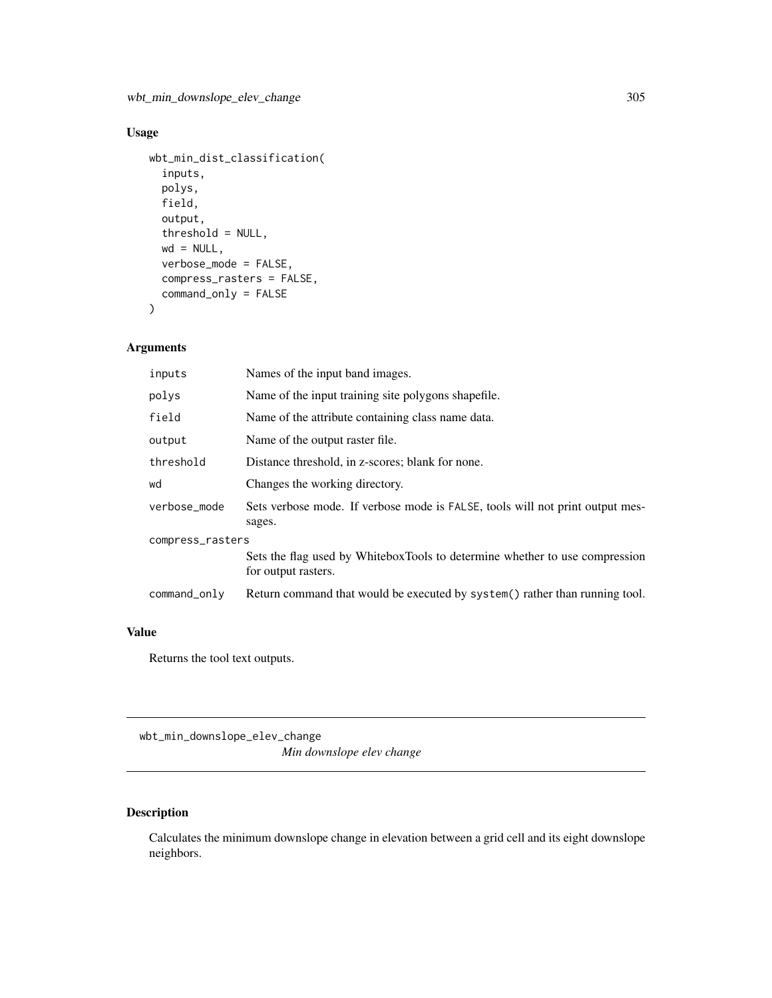## Usage

```
wbt_min_dist_classification(
  inputs,
 polys,
  field,
  output,
  threshold = NULL,
 wd = NULL,verbose_mode = FALSE,
  compress_rasters = FALSE,
  command_only = FALSE
)
```
## Arguments

| inputs           | Names of the input band images.                                                                    |  |
|------------------|----------------------------------------------------------------------------------------------------|--|
| polys            | Name of the input training site polygons shapefile.                                                |  |
| field            | Name of the attribute containing class name data.                                                  |  |
| output           | Name of the output raster file.                                                                    |  |
| threshold        | Distance threshold, in z-scores; blank for none.                                                   |  |
| wd               | Changes the working directory.                                                                     |  |
| verbose_mode     | Sets verbose mode. If verbose mode is FALSE, tools will not print output mes-<br>sages.            |  |
| compress_rasters |                                                                                                    |  |
|                  | Sets the flag used by WhiteboxTools to determine whether to use compression<br>for output rasters. |  |
| command_only     | Return command that would be executed by system() rather than running tool.                        |  |

## Value

Returns the tool text outputs.

wbt\_min\_downslope\_elev\_change *Min downslope elev change*

## Description

Calculates the minimum downslope change in elevation between a grid cell and its eight downslope neighbors.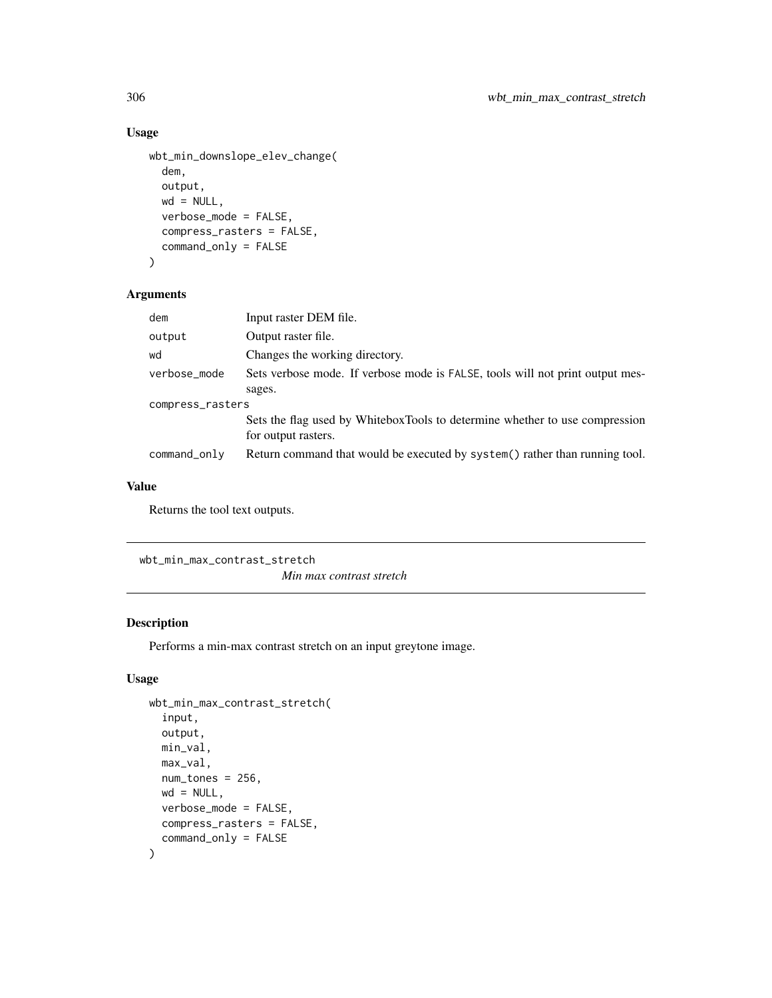#### Usage

```
wbt_min_downslope_elev_change(
  dem,
  output,
 wd = NULL,verbose_mode = FALSE,
  compress_rasters = FALSE,
  command_only = FALSE
)
```
## Arguments

| dem              | Input raster DEM file.                                                                             |  |
|------------------|----------------------------------------------------------------------------------------------------|--|
| output           | Output raster file.                                                                                |  |
| wd               | Changes the working directory.                                                                     |  |
| verbose_mode     | Sets verbose mode. If verbose mode is FALSE, tools will not print output mes-                      |  |
|                  | sages.                                                                                             |  |
| compress_rasters |                                                                                                    |  |
|                  | Sets the flag used by WhiteboxTools to determine whether to use compression<br>for output rasters. |  |
| command_only     | Return command that would be executed by system () rather than running tool.                       |  |

## Value

Returns the tool text outputs.

wbt\_min\_max\_contrast\_stretch

*Min max contrast stretch*

## Description

Performs a min-max contrast stretch on an input greytone image.

## Usage

```
wbt_min_max_contrast_stretch(
  input,
  output,
 min_val,
 max_val,
 num\_tones = 256,
 wd = NULL,verbose_mode = FALSE,
 compress_rasters = FALSE,
  command_only = FALSE
\mathcal{L}
```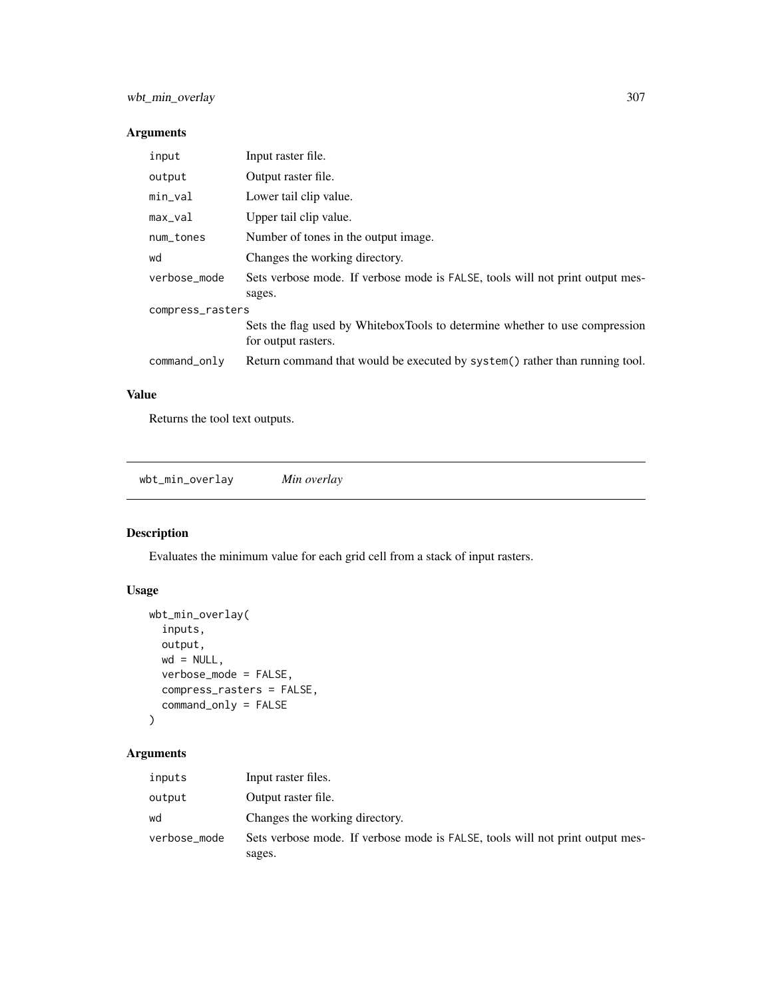## Arguments

| input            | Input raster file.                                                                                 |  |
|------------------|----------------------------------------------------------------------------------------------------|--|
| output           | Output raster file.                                                                                |  |
| $min\_val$       | Lower tail clip value.                                                                             |  |
| $max\_val$       | Upper tail clip value.                                                                             |  |
| num_tones        | Number of tones in the output image.                                                               |  |
| wd               | Changes the working directory.                                                                     |  |
| verbose_mode     | Sets verbose mode. If verbose mode is FALSE, tools will not print output mes-<br>sages.            |  |
| compress_rasters |                                                                                                    |  |
|                  | Sets the flag used by WhiteboxTools to determine whether to use compression<br>for output rasters. |  |
| command_only     | Return command that would be executed by system() rather than running tool.                        |  |

## Value

Returns the tool text outputs.

```
wbt_min_overlay Min overlay
```
## Description

Evaluates the minimum value for each grid cell from a stack of input rasters.

## Usage

```
wbt_min_overlay(
 inputs,
 output,
 wd = NULL,verbose_mode = FALSE,
 compress_rasters = FALSE,
 command_only = FALSE
)
```
## Arguments

| inputs       | Input raster files.                                                                     |
|--------------|-----------------------------------------------------------------------------------------|
| output       | Output raster file.                                                                     |
| wd           | Changes the working directory.                                                          |
| verbose_mode | Sets verbose mode. If verbose mode is FALSE, tools will not print output mes-<br>sages. |
|              |                                                                                         |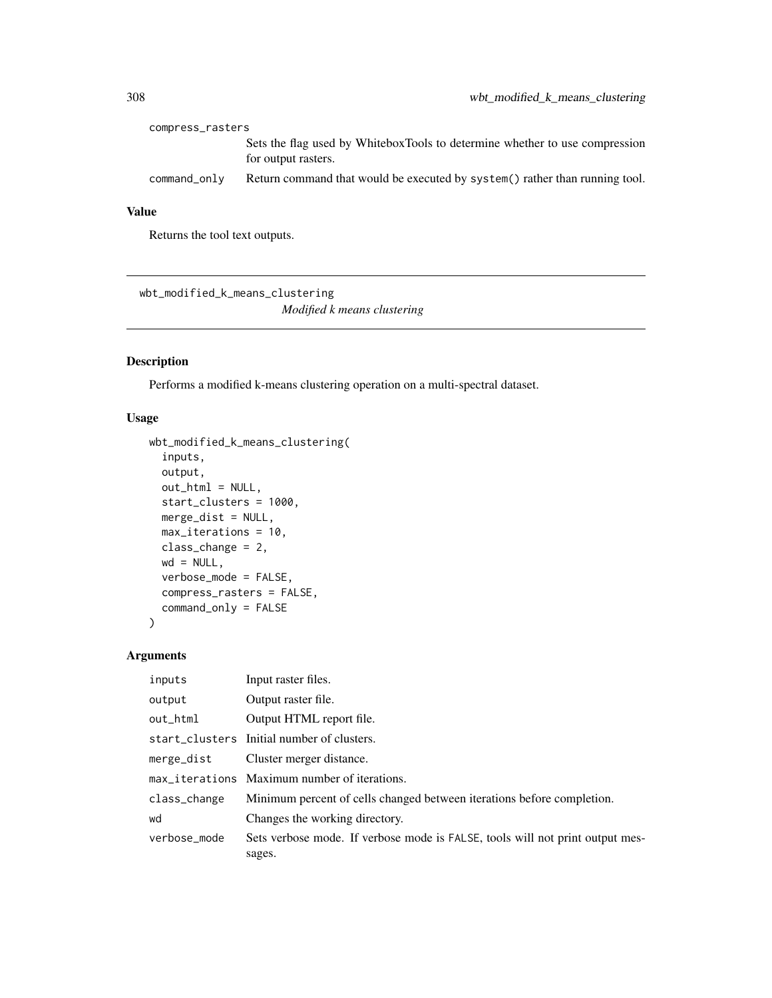| compress_rasters |                                                                                                    |
|------------------|----------------------------------------------------------------------------------------------------|
|                  | Sets the flag used by WhiteboxTools to determine whether to use compression<br>for output rasters. |
| command_only     | Return command that would be executed by system() rather than running tool.                        |

## Value

Returns the tool text outputs.

wbt\_modified\_k\_means\_clustering *Modified k means clustering*

## Description

Performs a modified k-means clustering operation on a multi-spectral dataset.

## Usage

```
wbt_modified_k_means_clustering(
  inputs,
 output,
 out\_html = NULL,
  start_clusters = 1000,
 merge_dist = NULL,
 max_iterations = 10,
 class_change = 2,
 wd = NULL,verbose_mode = FALSE,
  compress_rasters = FALSE,
  command_only = FALSE
\mathcal{L}
```
## Arguments

| inputs       | Input raster files.                                                                     |
|--------------|-----------------------------------------------------------------------------------------|
| output       | Output raster file.                                                                     |
| out_html     | Output HTML report file.                                                                |
|              | start_clusters Initial number of clusters.                                              |
| merge_dist   | Cluster merger distance.                                                                |
|              | max_iterations Maximum number of iterations.                                            |
| class_change | Minimum percent of cells changed between iterations before completion.                  |
| wd           | Changes the working directory.                                                          |
| verbose mode | Sets verbose mode. If verbose mode is FALSE, tools will not print output mes-<br>sages. |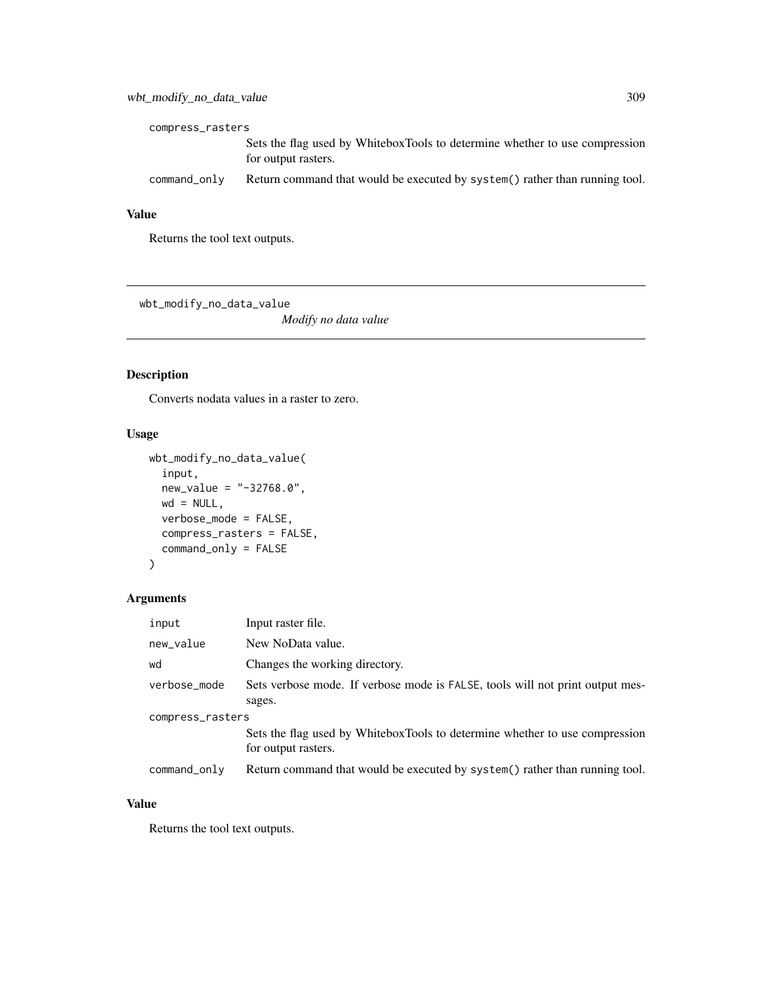| compress_rasters |                                                                                                    |
|------------------|----------------------------------------------------------------------------------------------------|
|                  | Sets the flag used by WhiteboxTools to determine whether to use compression<br>for output rasters. |
| command_only     | Return command that would be executed by system() rather than running tool.                        |

#### Value

Returns the tool text outputs.

wbt\_modify\_no\_data\_value

*Modify no data value*

## Description

Converts nodata values in a raster to zero.

## Usage

```
wbt_modify_no_data_value(
  input,
 new_value = "-32768.0",
 wd = NULL,verbose_mode = FALSE,
 compress_rasters = FALSE,
 command_only = FALSE
)
```
## Arguments

| input            | Input raster file.                                                                                 |  |
|------------------|----------------------------------------------------------------------------------------------------|--|
| new_value        | New NoData value.                                                                                  |  |
| wd               | Changes the working directory.                                                                     |  |
| verbose_mode     | Sets verbose mode. If verbose mode is FALSE, tools will not print output mes-                      |  |
|                  | sages.                                                                                             |  |
| compress_rasters |                                                                                                    |  |
|                  | Sets the flag used by WhiteboxTools to determine whether to use compression<br>for output rasters. |  |
| command_only     | Return command that would be executed by system() rather than running tool.                        |  |

## Value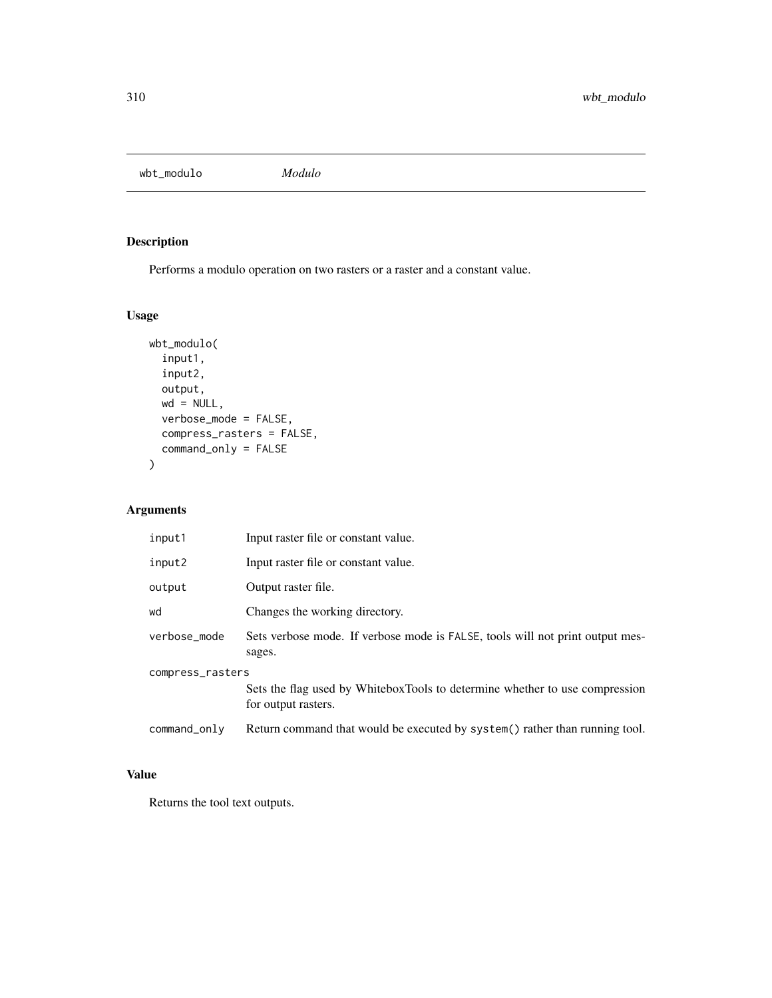wbt\_modulo *Modulo*

## Description

Performs a modulo operation on two rasters or a raster and a constant value.

## Usage

```
wbt_modulo(
  input1,
  input2,
 output,
 wd = NULL,verbose_mode = FALSE,
 compress_rasters = FALSE,
 command_only = FALSE
)
```
## Arguments

| input1           | Input raster file or constant value.                                                               |
|------------------|----------------------------------------------------------------------------------------------------|
| input2           | Input raster file or constant value.                                                               |
| output           | Output raster file.                                                                                |
| wd               | Changes the working directory.                                                                     |
| verbose mode     | Sets verbose mode. If verbose mode is FALSE, tools will not print output mes-<br>sages.            |
| compress_rasters | Sets the flag used by WhiteboxTools to determine whether to use compression<br>for output rasters. |
| command_only     | Return command that would be executed by system() rather than running tool.                        |

## Value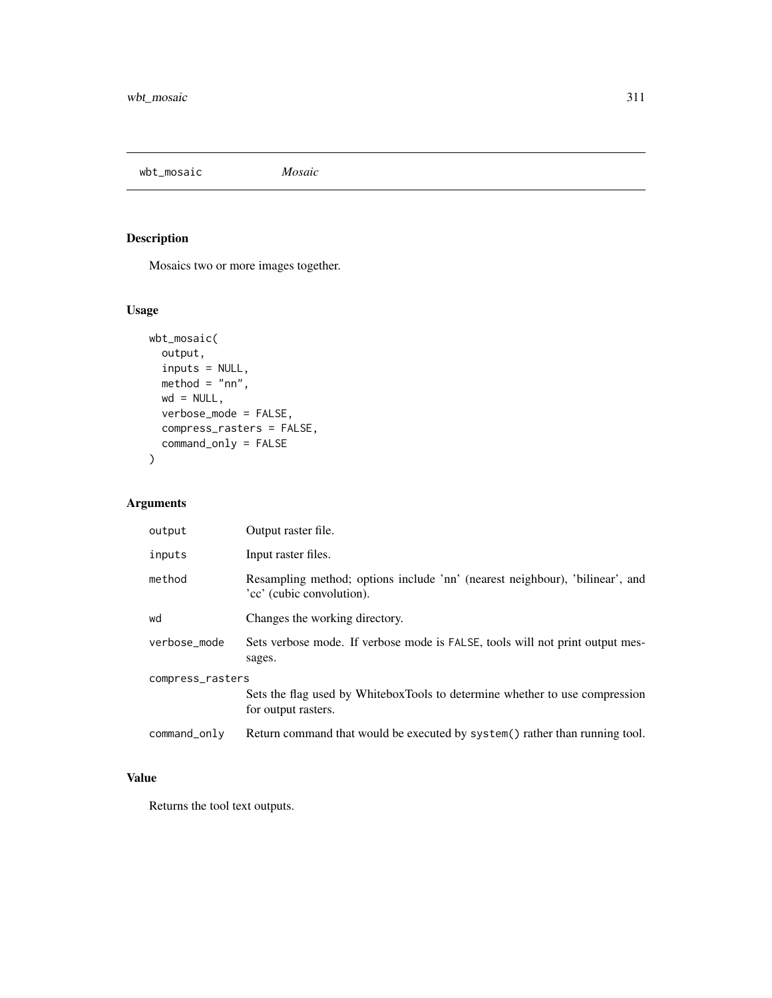wbt\_mosaic *Mosaic*

## Description

Mosaics two or more images together.

## Usage

```
wbt_mosaic(
 output,
 inputs = NULL,
 method = "nn",wd = NULL,verbose_mode = FALSE,
 compress_rasters = FALSE,
  command_only = FALSE
\mathcal{L}
```
## Arguments

| output           | Output raster file.                                                                                       |  |
|------------------|-----------------------------------------------------------------------------------------------------------|--|
| inputs           | Input raster files.                                                                                       |  |
| method           | Resampling method; options include 'nn' (nearest neighbour), 'bilinear', and<br>'cc' (cubic convolution). |  |
| wd               | Changes the working directory.                                                                            |  |
| verbose_mode     | Sets verbose mode. If verbose mode is FALSE, tools will not print output mes-<br>sages.                   |  |
| compress_rasters |                                                                                                           |  |
|                  | Sets the flag used by WhiteboxTools to determine whether to use compression<br>for output rasters.        |  |
| command_only     | Return command that would be executed by system() rather than running tool.                               |  |

## Value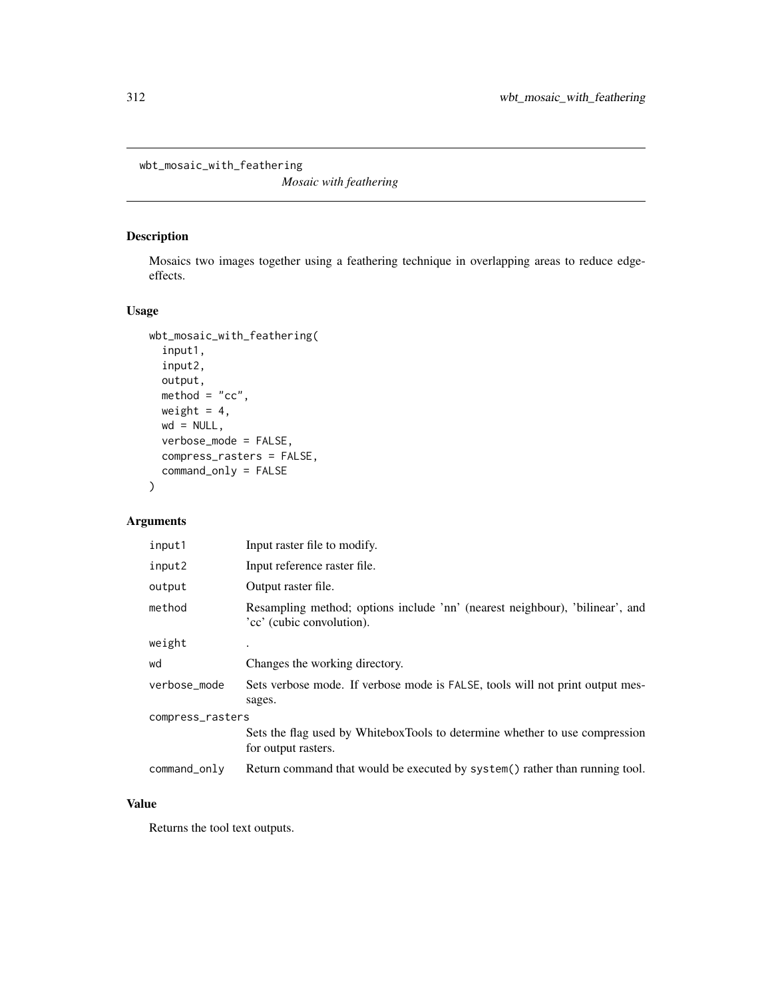wbt\_mosaic\_with\_feathering

*Mosaic with feathering*

#### Description

Mosaics two images together using a feathering technique in overlapping areas to reduce edgeeffects.

## Usage

```
wbt_mosaic_with_feathering(
  input1,
  input2,
 output,
 method = "cc",weight = 4,
 wd = NULL,verbose_mode = FALSE,
 compress_rasters = FALSE,
  command_only = FALSE
\mathcal{L}
```
## Arguments

| input1           | Input raster file to modify.                                                                              |  |
|------------------|-----------------------------------------------------------------------------------------------------------|--|
| input2           | Input reference raster file.                                                                              |  |
| output           | Output raster file.                                                                                       |  |
| method           | Resampling method; options include 'nn' (nearest neighbour), 'bilinear', and<br>'cc' (cubic convolution). |  |
| weight           |                                                                                                           |  |
| wd               | Changes the working directory.                                                                            |  |
| verbose_mode     | Sets verbose mode. If verbose mode is FALSE, tools will not print output mes-<br>sages.                   |  |
| compress_rasters |                                                                                                           |  |
|                  | Sets the flag used by WhiteboxTools to determine whether to use compression<br>for output rasters.        |  |
| command_only     | Return command that would be executed by system() rather than running tool.                               |  |

## Value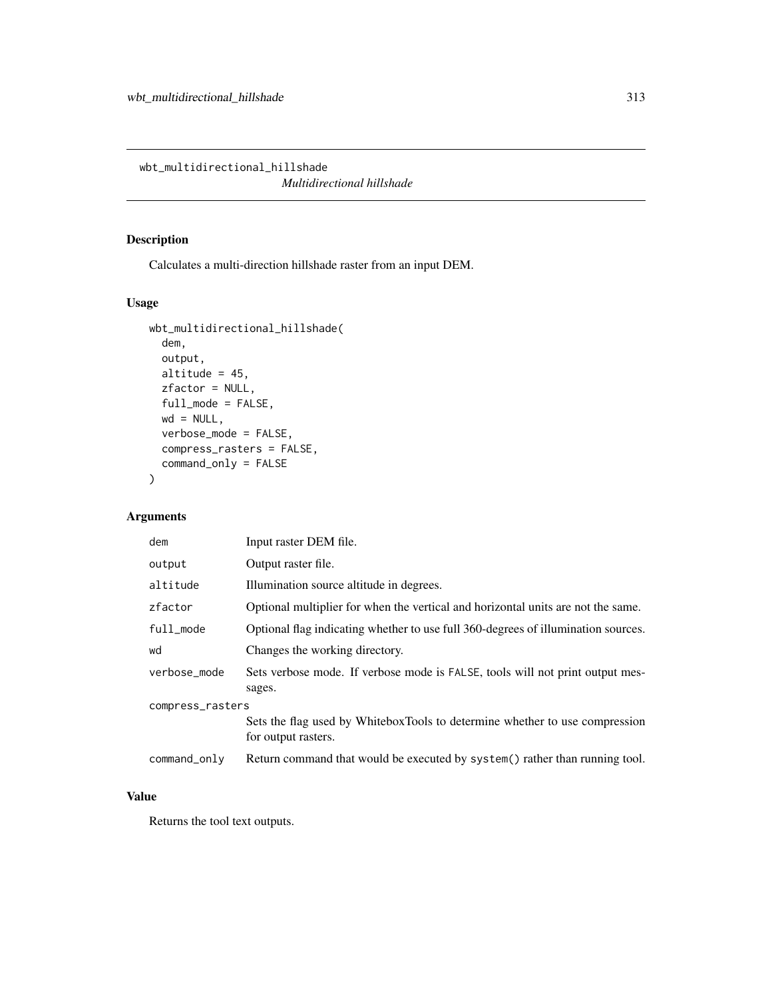wbt\_multidirectional\_hillshade

*Multidirectional hillshade*

## Description

Calculates a multi-direction hillshade raster from an input DEM.

## Usage

```
wbt_multidirectional_hillshade(
  dem,
 output,
  altitude = 45,
 zfactor = NULL,
  full_mode = FALSE,
 wd = NULL,verbose_mode = FALSE,
  compress_rasters = FALSE,
  command_only = FALSE
\mathcal{L}
```
## Arguments

| dem              | Input raster DEM file.                                                                             |  |
|------------------|----------------------------------------------------------------------------------------------------|--|
| output           | Output raster file.                                                                                |  |
| altitude         | Illumination source altitude in degrees.                                                           |  |
| zfactor          | Optional multiplier for when the vertical and horizontal units are not the same.                   |  |
| full_mode        | Optional flag indicating whether to use full 360-degrees of illumination sources.                  |  |
| wd               | Changes the working directory.                                                                     |  |
| verbose_mode     | Sets verbose mode. If verbose mode is FALSE, tools will not print output mes-<br>sages.            |  |
| compress_rasters |                                                                                                    |  |
|                  | Sets the flag used by WhiteboxTools to determine whether to use compression<br>for output rasters. |  |
| command_only     | Return command that would be executed by system() rather than running tool.                        |  |

#### Value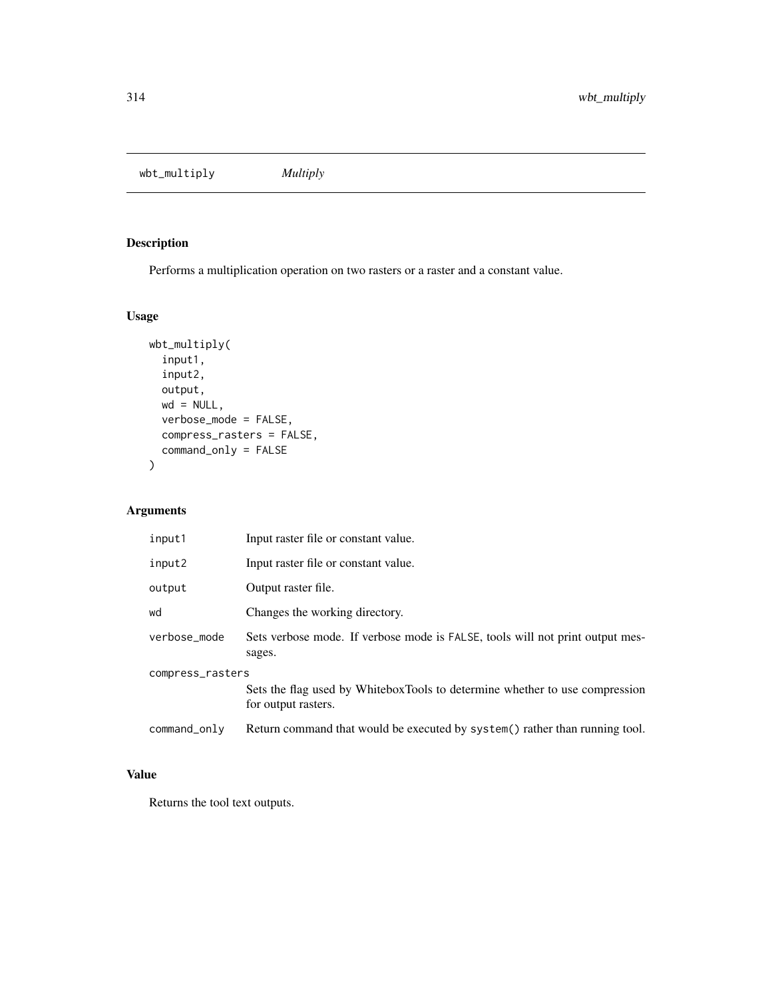wbt\_multiply *Multiply*

## Description

Performs a multiplication operation on two rasters or a raster and a constant value.

## Usage

```
wbt_multiply(
  input1,
  input2,
 output,
 wd = NULL,verbose_mode = FALSE,
 compress_rasters = FALSE,
  command_only = FALSE
\mathcal{L}
```
## Arguments

| input1           | Input raster file or constant value.                                                               |  |
|------------------|----------------------------------------------------------------------------------------------------|--|
| input2           | Input raster file or constant value.                                                               |  |
| output           | Output raster file.                                                                                |  |
| wd               | Changes the working directory.                                                                     |  |
| verbose_mode     | Sets verbose mode. If verbose mode is FALSE, tools will not print output mes-<br>sages.            |  |
| compress_rasters |                                                                                                    |  |
|                  | Sets the flag used by WhiteboxTools to determine whether to use compression<br>for output rasters. |  |
| command_only     | Return command that would be executed by system() rather than running tool.                        |  |

## Value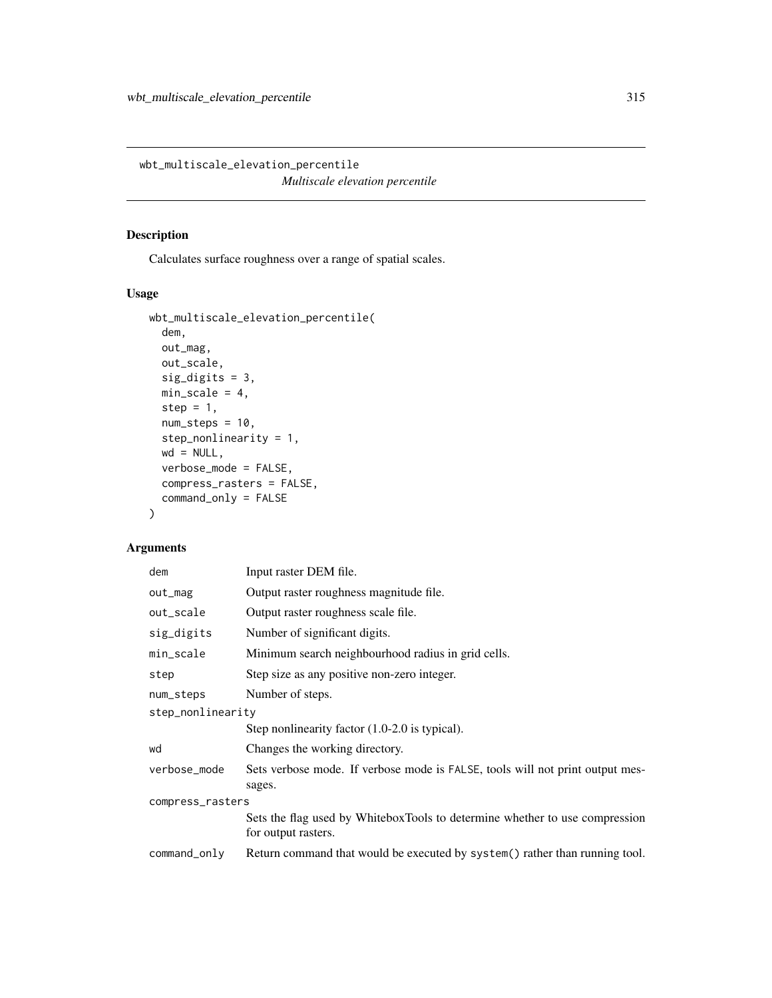wbt\_multiscale\_elevation\_percentile *Multiscale elevation percentile*

## Description

Calculates surface roughness over a range of spatial scales.

## Usage

```
wbt_multiscale_elevation_percentile(
  dem,
 out_mag,
 out_scale,
  sig_digits = 3,
 min\_scale = 4,step = 1,
 num\_steps = 10,
  step_nonlinearity = 1,
 wd = NULL,verbose_mode = FALSE,
  compress_rasters = FALSE,
  command_only = FALSE
)
```
## Arguments

| dem               | Input raster DEM file.                                                                             |  |
|-------------------|----------------------------------------------------------------------------------------------------|--|
| out_mag           | Output raster roughness magnitude file.                                                            |  |
| out_scale         | Output raster roughness scale file.                                                                |  |
| sig_digits        | Number of significant digits.                                                                      |  |
| min_scale         | Minimum search neighbourhood radius in grid cells.                                                 |  |
| step              | Step size as any positive non-zero integer.                                                        |  |
| num_steps         | Number of steps.                                                                                   |  |
| step_nonlinearity |                                                                                                    |  |
|                   | Step nonlinearity factor $(1.0\n-2.0)$ is typical).                                                |  |
| wd                | Changes the working directory.                                                                     |  |
| verbose_mode      | Sets verbose mode. If verbose mode is FALSE, tools will not print output mes-<br>sages.            |  |
| compress_rasters  |                                                                                                    |  |
|                   | Sets the flag used by WhiteboxTools to determine whether to use compression<br>for output rasters. |  |
| command_only      | Return command that would be executed by system() rather than running tool.                        |  |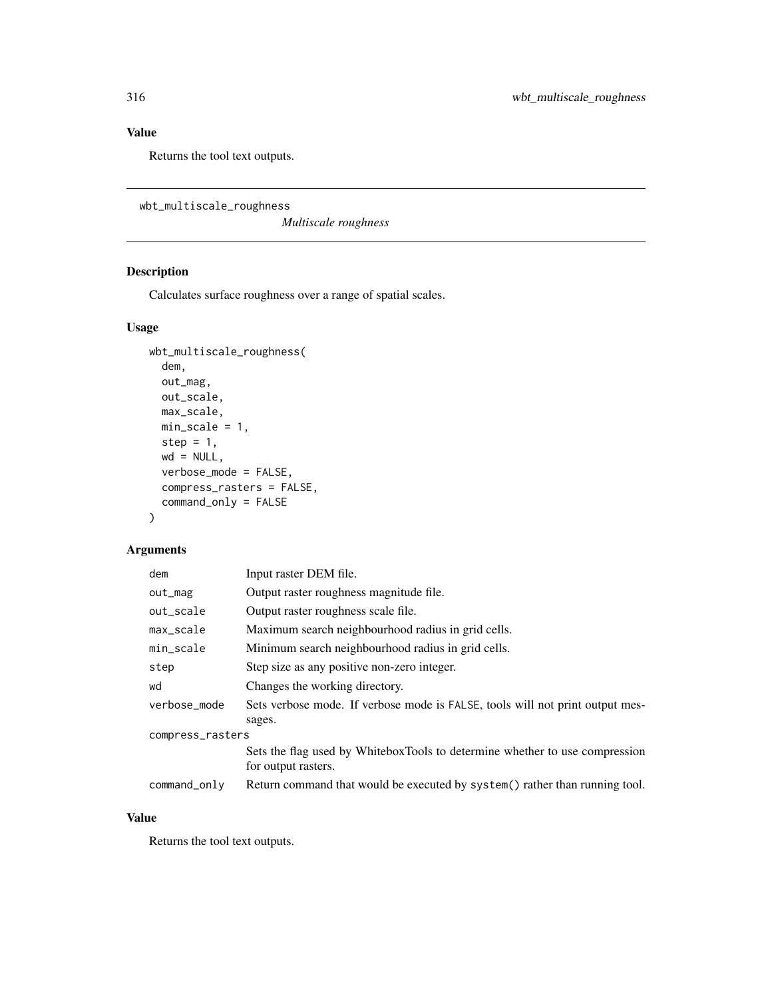## Value

Returns the tool text outputs.

```
wbt_multiscale_roughness
```
*Multiscale roughness*

## Description

Calculates surface roughness over a range of spatial scales.

## Usage

```
wbt_multiscale_roughness(
  dem,
 out_mag,
 out_scale,
 max_scale,
 min_scale = 1,
  step = 1,
 wd = NULL,verbose_mode = FALSE,
  compress_rasters = FALSE,
  command_only = FALSE
)
```
## Arguments

| dem              | Input raster DEM file.                                                                             |  |
|------------------|----------------------------------------------------------------------------------------------------|--|
| out_mag          | Output raster roughness magnitude file.                                                            |  |
| out_scale        | Output raster roughness scale file.                                                                |  |
| max_scale        | Maximum search neighbourhood radius in grid cells.                                                 |  |
| min_scale        | Minimum search neighbourhood radius in grid cells.                                                 |  |
| step             | Step size as any positive non-zero integer.                                                        |  |
| wd               | Changes the working directory.                                                                     |  |
| verbose_mode     | Sets verbose mode. If verbose mode is FALSE, tools will not print output mes-                      |  |
|                  | sages.                                                                                             |  |
| compress_rasters |                                                                                                    |  |
|                  | Sets the flag used by WhiteboxTools to determine whether to use compression<br>for output rasters. |  |
| command_only     | Return command that would be executed by system() rather than running tool.                        |  |

## Value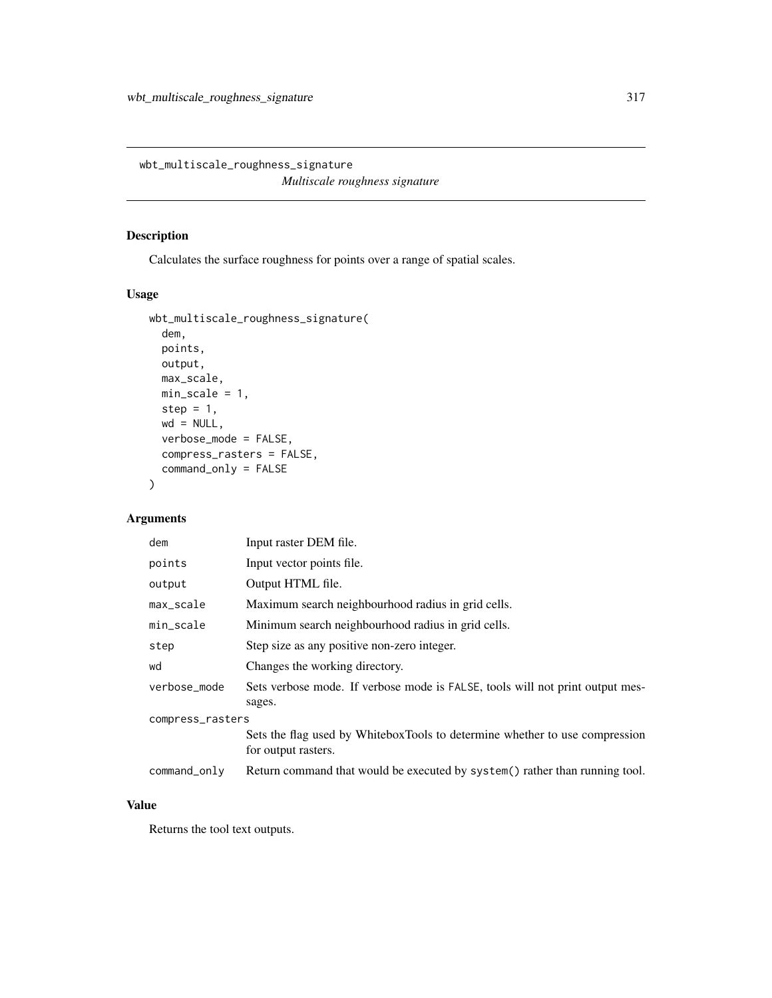wbt\_multiscale\_roughness\_signature *Multiscale roughness signature*

## Description

Calculates the surface roughness for points over a range of spatial scales.

## Usage

```
wbt_multiscale_roughness_signature(
 dem,
 points,
 output,
 max_scale,
 min_scale = 1,
 step = 1,
 wd = NULL,verbose_mode = FALSE,
 compress_rasters = FALSE,
 command_only = FALSE
)
```
## Arguments

| dem              | Input raster DEM file.                                                                             |  |
|------------------|----------------------------------------------------------------------------------------------------|--|
| points           | Input vector points file.                                                                          |  |
| output           | Output HTML file.                                                                                  |  |
| max_scale        | Maximum search neighbourhood radius in grid cells.                                                 |  |
| min_scale        | Minimum search neighbourhood radius in grid cells.                                                 |  |
| step             | Step size as any positive non-zero integer.                                                        |  |
| wd               | Changes the working directory.                                                                     |  |
| verbose_mode     | Sets verbose mode. If verbose mode is FALSE, tools will not print output mes-<br>sages.            |  |
| compress_rasters |                                                                                                    |  |
|                  | Sets the flag used by WhiteboxTools to determine whether to use compression<br>for output rasters. |  |
| command_only     | Return command that would be executed by system() rather than running tool.                        |  |

## Value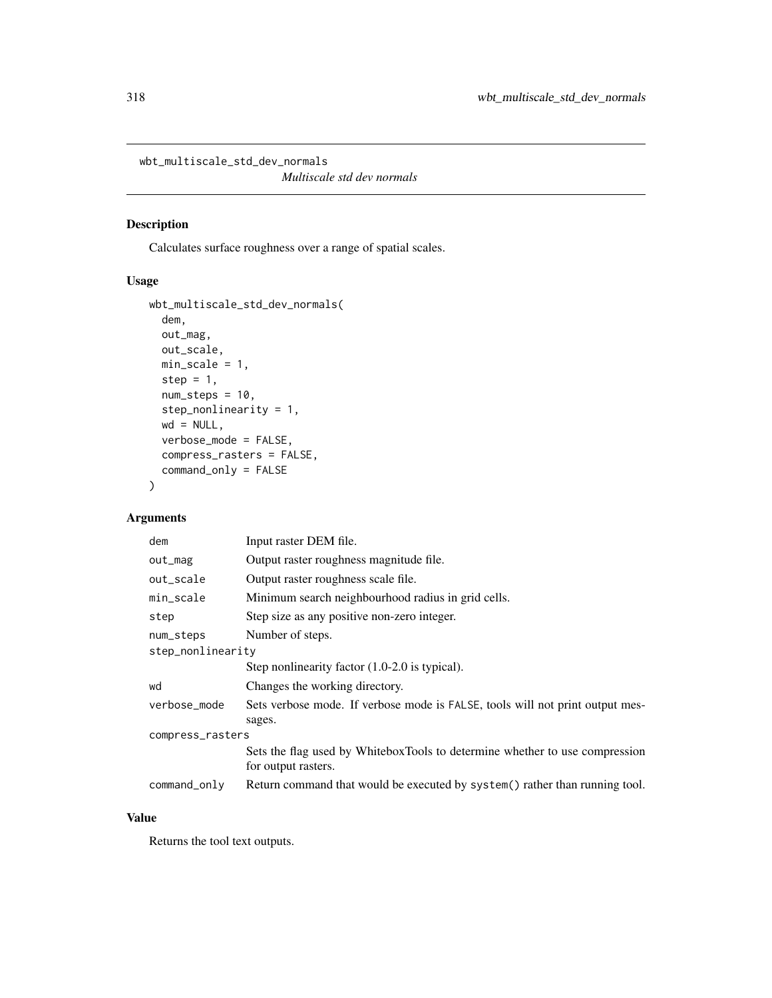wbt\_multiscale\_std\_dev\_normals

*Multiscale std dev normals*

## Description

Calculates surface roughness over a range of spatial scales.

## Usage

```
wbt_multiscale_std_dev_normals(
  dem,
 out_mag,
 out_scale,
 min_scale = 1,
 step = 1,
 num\_steps = 10,
  step_nonlinearity = 1,
 wd = NULL,verbose_mode = FALSE,
 compress_rasters = FALSE,
  command_only = FALSE
)
```
## Arguments

| dem               | Input raster DEM file.                                                                             |
|-------------------|----------------------------------------------------------------------------------------------------|
| out_mag           | Output raster roughness magnitude file.                                                            |
| out_scale         | Output raster roughness scale file.                                                                |
| min_scale         | Minimum search neighbourhood radius in grid cells.                                                 |
| step              | Step size as any positive non-zero integer.                                                        |
| num_steps         | Number of steps.                                                                                   |
| step_nonlinearity |                                                                                                    |
|                   | Step nonlinearity factor $(1.0\n-2.0)$ is typical).                                                |
| wd                | Changes the working directory.                                                                     |
| verbose_mode      | Sets verbose mode. If verbose mode is FALSE, tools will not print output mes-                      |
|                   | sages.                                                                                             |
| compress_rasters  |                                                                                                    |
|                   | Sets the flag used by WhiteboxTools to determine whether to use compression<br>for output rasters. |
| $command\_only$   | Return command that would be executed by system() rather than running tool.                        |

## Value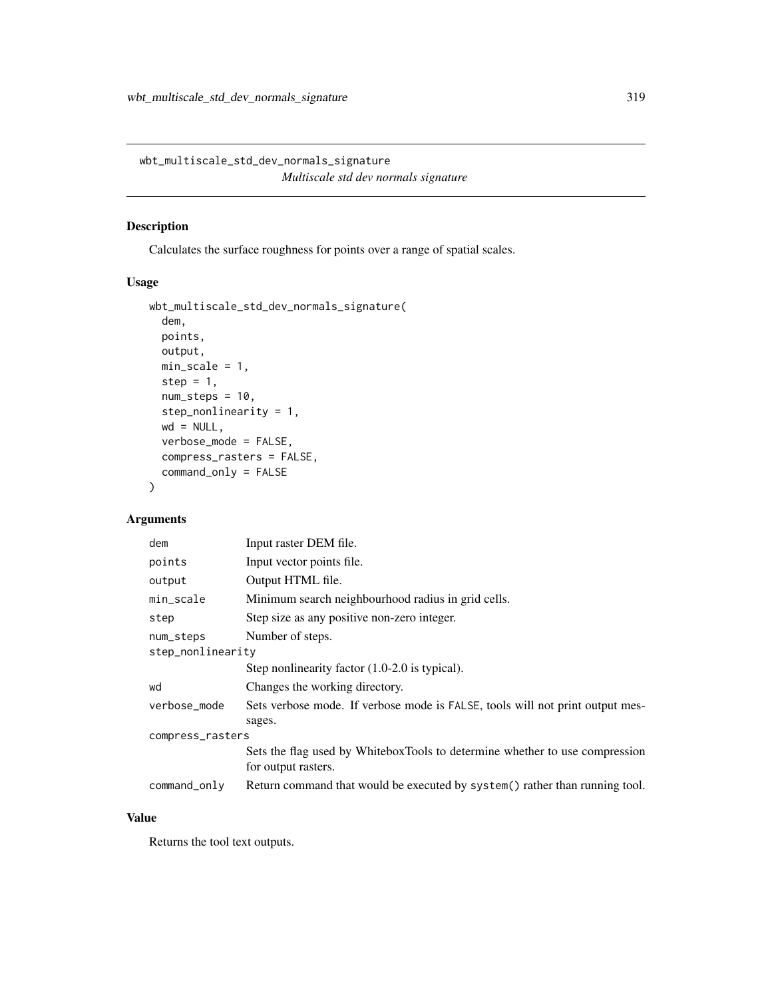wbt\_multiscale\_std\_dev\_normals\_signature *Multiscale std dev normals signature*

## Description

Calculates the surface roughness for points over a range of spatial scales.

#### Usage

```
wbt_multiscale_std_dev_normals_signature(
  dem,
 points,
 output,
 min_scale = 1,
 step = 1,
 num\_steps = 10,
  step_nonlinearity = 1,
 wd = NULL,verbose_mode = FALSE,
  compress_rasters = FALSE,
  command_only = FALSE
\mathcal{L}
```
## Arguments

| dem               | Input raster DEM file.                                                                             |
|-------------------|----------------------------------------------------------------------------------------------------|
| points            | Input vector points file.                                                                          |
| output            | Output HTML file.                                                                                  |
| min_scale         | Minimum search neighbourhood radius in grid cells.                                                 |
| step              | Step size as any positive non-zero integer.                                                        |
| num_steps         | Number of steps.                                                                                   |
| step_nonlinearity |                                                                                                    |
|                   | Step nonlinearity factor $(1.0\n-2.0)$ is typical).                                                |
| wd                | Changes the working directory.                                                                     |
| verbose_mode      | Sets verbose mode. If verbose mode is FALSE, tools will not print output mes-                      |
|                   | sages.                                                                                             |
| compress_rasters  |                                                                                                    |
|                   | Sets the flag used by WhiteboxTools to determine whether to use compression<br>for output rasters. |
| $command\_only$   | Return command that would be executed by system() rather than running tool.                        |

## Value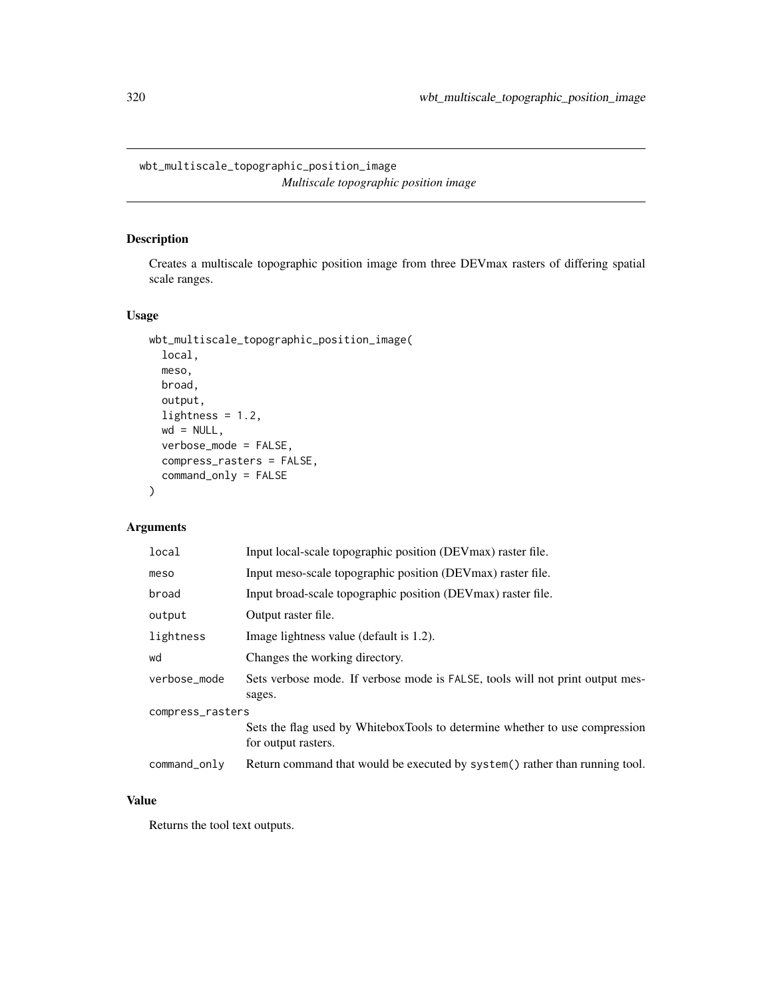wbt\_multiscale\_topographic\_position\_image *Multiscale topographic position image*

#### Description

Creates a multiscale topographic position image from three DEVmax rasters of differing spatial scale ranges.

#### Usage

```
wbt_multiscale_topographic_position_image(
  local,
 meso,
 broad,
 output,
  lightness = 1.2,
 wd = NULL,verbose_mode = FALSE,
  compress_rasters = FALSE,
  command_only = FALSE
)
```
## Arguments

| local            | Input local-scale topographic position (DEV max) raster file.                                      |
|------------------|----------------------------------------------------------------------------------------------------|
| meso             | Input meso-scale topographic position (DEVmax) raster file.                                        |
| broad            | Input broad-scale topographic position (DEV max) raster file.                                      |
| output           | Output raster file.                                                                                |
| lightness        | Image lightness value (default is 1.2).                                                            |
| wd               | Changes the working directory.                                                                     |
| verbose mode     | Sets verbose mode. If verbose mode is FALSE, tools will not print output mes-<br>sages.            |
| compress_rasters |                                                                                                    |
|                  | Sets the flag used by WhiteboxTools to determine whether to use compression<br>for output rasters. |
| command_only     | Return command that would be executed by system() rather than running tool.                        |

## Value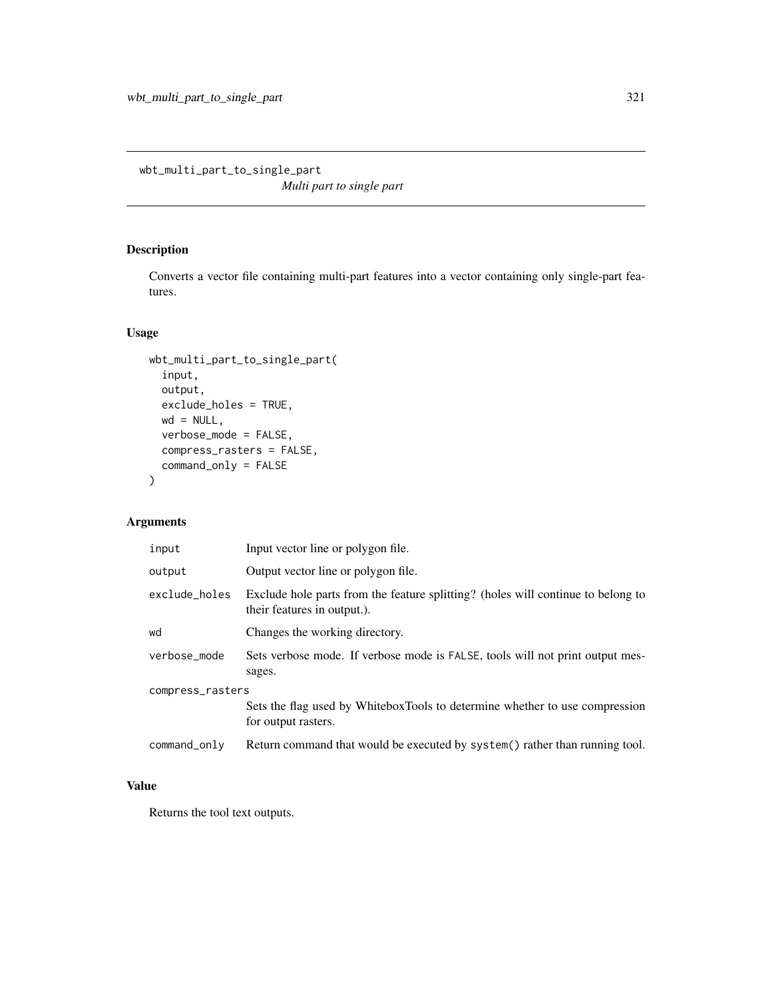wbt\_multi\_part\_to\_single\_part

*Multi part to single part*

## Description

Converts a vector file containing multi-part features into a vector containing only single-part features.

## Usage

```
wbt_multi_part_to_single_part(
  input,
 output,
 exclude_holes = TRUE,
 wd = NULL,verbose_mode = FALSE,
 compress_rasters = FALSE,
 command_only = FALSE
\mathcal{L}
```
## Arguments

| input            | Input vector line or polygon file.                                                                              |
|------------------|-----------------------------------------------------------------------------------------------------------------|
| output           | Output vector line or polygon file.                                                                             |
| exclude_holes    | Exclude hole parts from the feature splitting? (holes will continue to belong to<br>their features in output.). |
| wd               | Changes the working directory.                                                                                  |
| verbose_mode     | Sets verbose mode. If verbose mode is FALSE, tools will not print output mes-<br>sages.                         |
| compress_rasters |                                                                                                                 |
|                  | Sets the flag used by WhiteboxTools to determine whether to use compression<br>for output rasters.              |
| command_only     | Return command that would be executed by system() rather than running tool.                                     |

## Value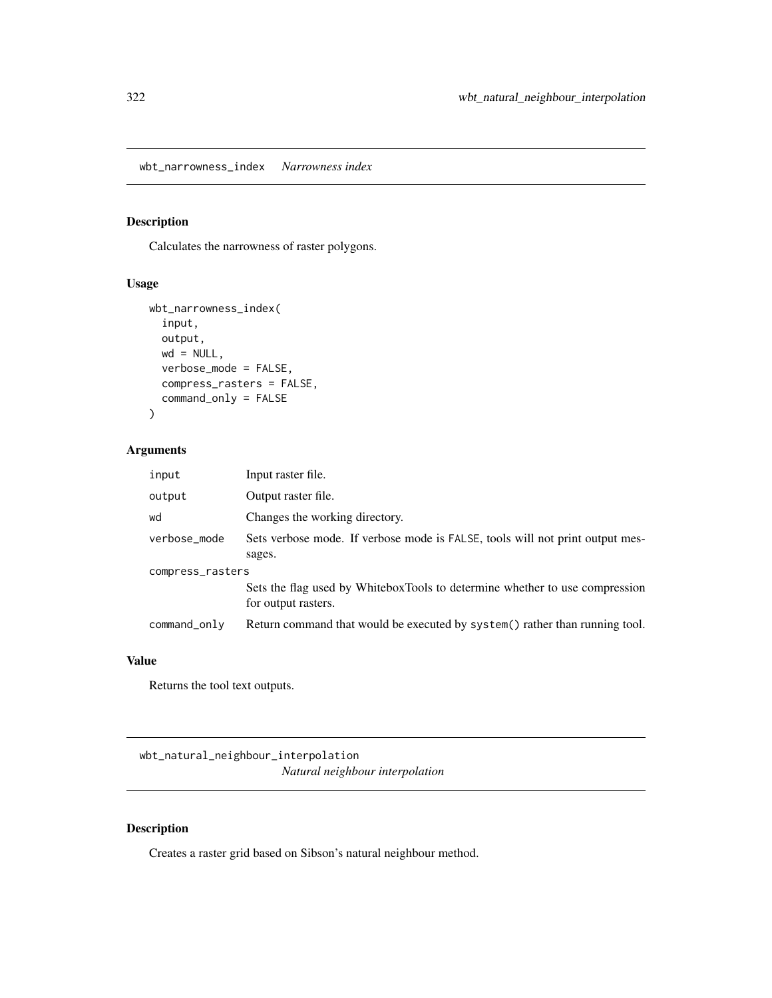wbt\_narrowness\_index *Narrowness index*

## Description

Calculates the narrowness of raster polygons.

## Usage

```
wbt_narrowness_index(
  input,
 output,
 wd = NULL,verbose_mode = FALSE,
 compress_rasters = FALSE,
  command_only = FALSE
)
```
# Arguments

| input            | Input raster file.                                                                                 |
|------------------|----------------------------------------------------------------------------------------------------|
| output           | Output raster file.                                                                                |
| wd               | Changes the working directory.                                                                     |
| verbose_mode     | Sets verbose mode. If verbose mode is FALSE, tools will not print output mes-<br>sages.            |
| compress_rasters |                                                                                                    |
|                  | Sets the flag used by WhiteboxTools to determine whether to use compression<br>for output rasters. |
| command_only     | Return command that would be executed by system() rather than running tool.                        |

#### Value

Returns the tool text outputs.

wbt\_natural\_neighbour\_interpolation *Natural neighbour interpolation*

## Description

Creates a raster grid based on Sibson's natural neighbour method.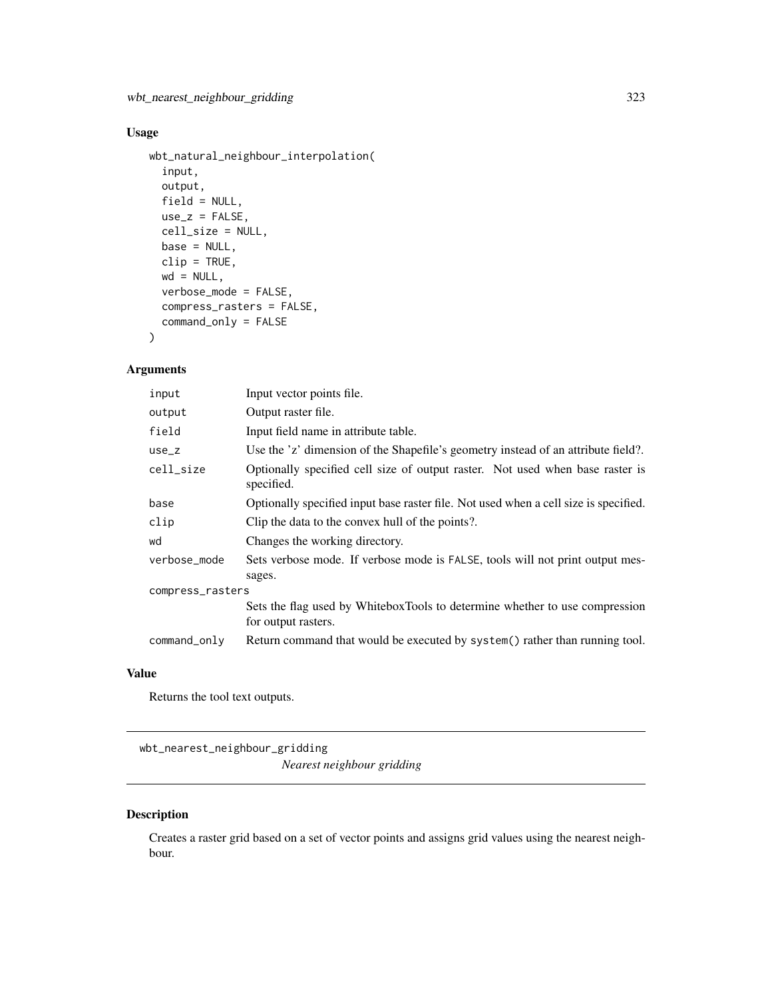## Usage

```
wbt_natural_neighbour_interpolation(
  input,
 output,
 field = NULL,
 use_z = FALSE,cell_size = NULL,
 base = NULL,
 clip = TRUE,
 wd = NULL,verbose_mode = FALSE,
 compress_rasters = FALSE,
 command_only = FALSE
)
```
## Arguments

| input            | Input vector points file.                                                                          |
|------------------|----------------------------------------------------------------------------------------------------|
| output           | Output raster file.                                                                                |
| field            | Input field name in attribute table.                                                               |
| $use_z$          | Use the 'z' dimension of the Shapefile's geometry instead of an attribute field?.                  |
| cell_size        | Optionally specified cell size of output raster. Not used when base raster is<br>specified.        |
| base             | Optionally specified input base raster file. Not used when a cell size is specified.               |
| clip             | Clip the data to the convex hull of the points?.                                                   |
| wd               | Changes the working directory.                                                                     |
| verbose_mode     | Sets verbose mode. If verbose mode is FALSE, tools will not print output mes-                      |
|                  | sages.                                                                                             |
| compress_rasters |                                                                                                    |
|                  | Sets the flag used by WhiteboxTools to determine whether to use compression<br>for output rasters. |
| command_only     | Return command that would be executed by system() rather than running tool.                        |

## Value

Returns the tool text outputs.

wbt\_nearest\_neighbour\_gridding *Nearest neighbour gridding*

## Description

Creates a raster grid based on a set of vector points and assigns grid values using the nearest neighbour.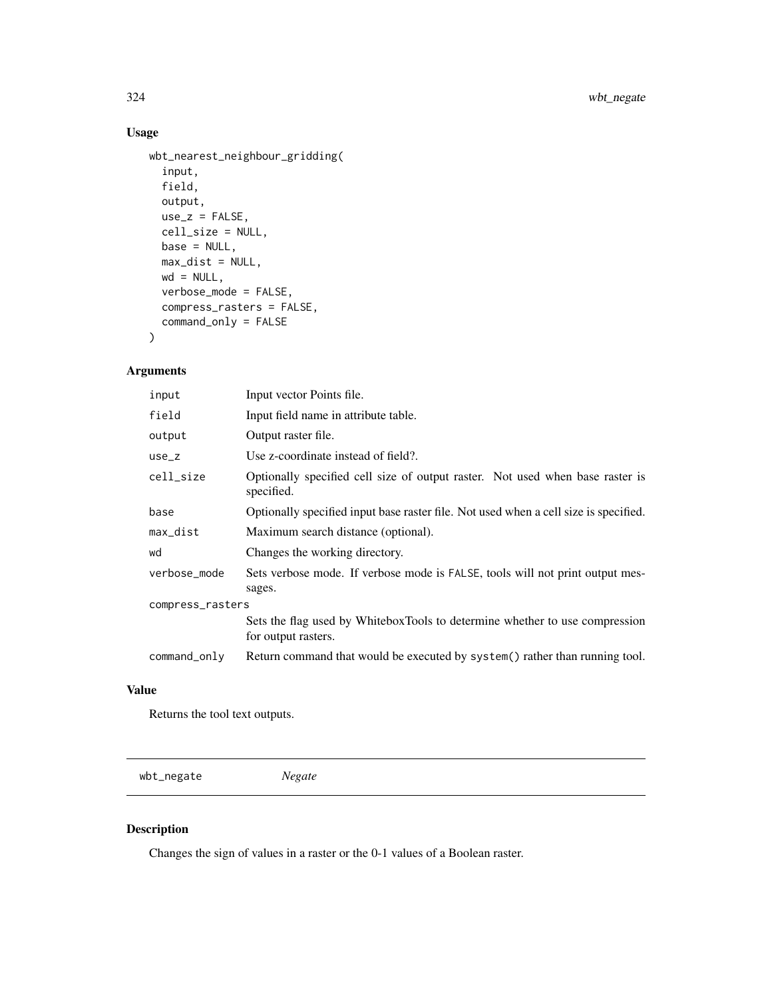## Usage

```
wbt_nearest_neighbour_gridding(
  input,
  field,
 output,
 use_z = FALSE,cell_size = NULL,
 base = NULL,
 max\_dist = NULL,wd = NULL,verbose_mode = FALSE,
 compress_rasters = FALSE,
  command_only = FALSE
\mathcal{L}
```
## Arguments

| input            | Input vector Points file.                                                                          |
|------------------|----------------------------------------------------------------------------------------------------|
| field            | Input field name in attribute table.                                                               |
| output           | Output raster file.                                                                                |
| $use_z$          | Use z-coordinate instead of field?.                                                                |
| cell_size        | Optionally specified cell size of output raster. Not used when base raster is<br>specified.        |
| base             | Optionally specified input base raster file. Not used when a cell size is specified.               |
| max_dist         | Maximum search distance (optional).                                                                |
| wd               | Changes the working directory.                                                                     |
| verbose mode     | Sets verbose mode. If verbose mode is FALSE, tools will not print output mes-<br>sages.            |
| compress_rasters |                                                                                                    |
|                  | Sets the flag used by WhiteboxTools to determine whether to use compression<br>for output rasters. |
| command_only     | Return command that would be executed by system() rather than running tool.                        |

## Value

Returns the tool text outputs.

wbt\_negate *Negate*

## Description

Changes the sign of values in a raster or the 0-1 values of a Boolean raster.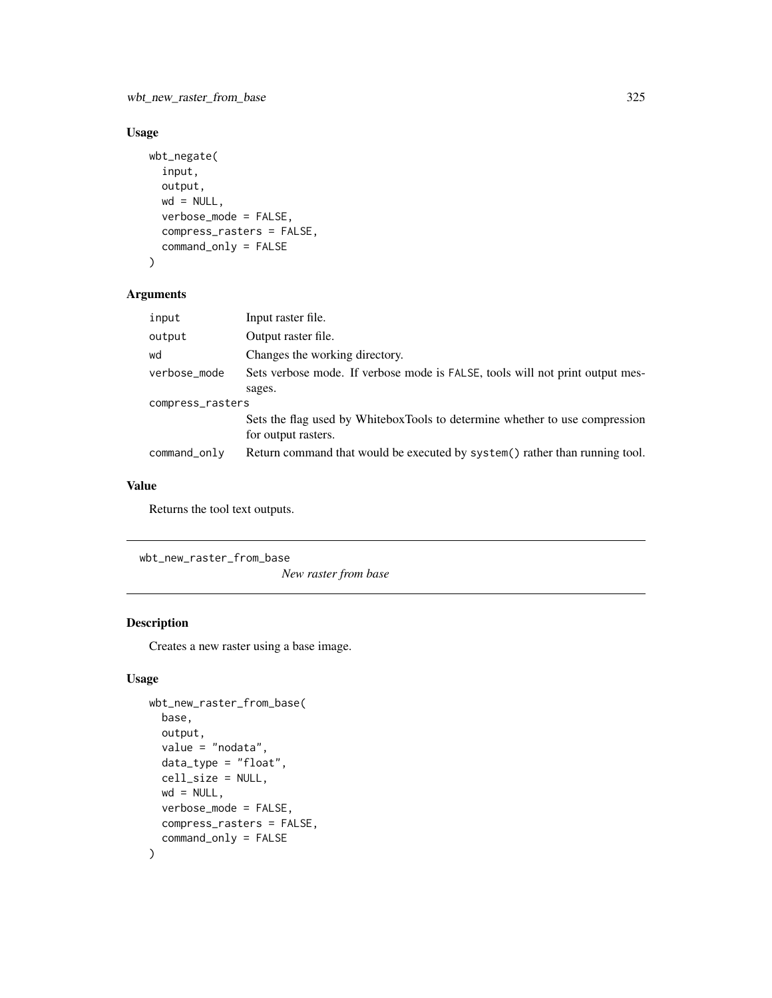wbt\_new\_raster\_from\_base 325

# Usage

```
wbt_negate(
  input,
  output,
 wd = NULL,verbose_mode = FALSE,
  compress_rasters = FALSE,
  command_only = FALSE
)
```
# Arguments

| input            | Input raster file.                                                                                 |  |
|------------------|----------------------------------------------------------------------------------------------------|--|
| output           | Output raster file.                                                                                |  |
| wd               | Changes the working directory.                                                                     |  |
| verbose_mode     | Sets verbose mode. If verbose mode is FALSE, tools will not print output mes-                      |  |
|                  | sages.                                                                                             |  |
| compress_rasters |                                                                                                    |  |
|                  | Sets the flag used by WhiteboxTools to determine whether to use compression<br>for output rasters. |  |
| command_only     | Return command that would be executed by system() rather than running tool.                        |  |

# Value

Returns the tool text outputs.

wbt\_new\_raster\_from\_base

*New raster from base*

### Description

Creates a new raster using a base image.

```
wbt_new_raster_from_base(
 base,
 output,
 value = "nodata",
 data_type = "float",
 cell_size = NULL,
 wd = NULL,verbose_mode = FALSE,
 compress_rasters = FALSE,
  command_only = FALSE
)
```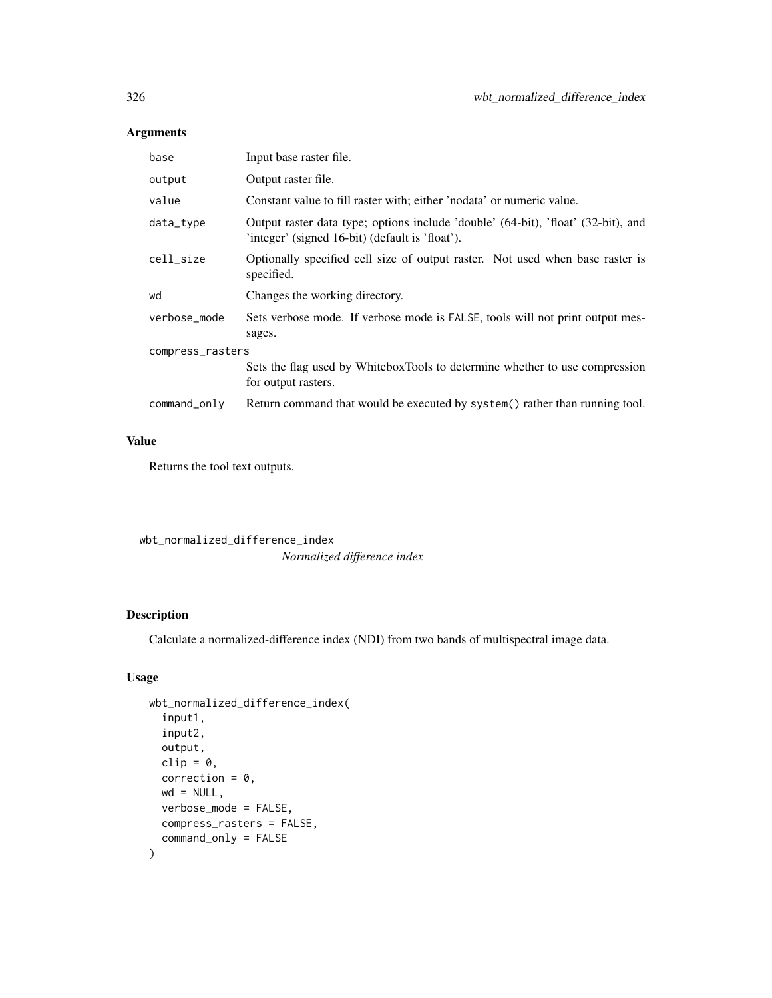| base             | Input base raster file.                                                                                                              |  |
|------------------|--------------------------------------------------------------------------------------------------------------------------------------|--|
| output           | Output raster file.                                                                                                                  |  |
| value            | Constant value to fill raster with; either 'nodata' or numeric value.                                                                |  |
| data_type        | Output raster data type; options include 'double' (64-bit), 'float' (32-bit), and<br>'integer' (signed 16-bit) (default is 'float'). |  |
| cell_size        | Optionally specified cell size of output raster. Not used when base raster is<br>specified.                                          |  |
| wd               | Changes the working directory.                                                                                                       |  |
| verbose_mode     | Sets verbose mode. If verbose mode is FALSE, tools will not print output mes-<br>sages.                                              |  |
| compress_rasters |                                                                                                                                      |  |
|                  | Sets the flag used by WhiteboxTools to determine whether to use compression<br>for output rasters.                                   |  |
| command_only     | Return command that would be executed by system() rather than running tool.                                                          |  |

# Value

Returns the tool text outputs.

wbt\_normalized\_difference\_index *Normalized difference index*

# Description

Calculate a normalized-difference index (NDI) from two bands of multispectral image data.

```
wbt_normalized_difference_index(
  input1,
  input2,
  output,
 clip = \theta,
  correction = 0,
 wd = NULL,verbose_mode = FALSE,
 compress_rasters = FALSE,
  command_only = FALSE
)
```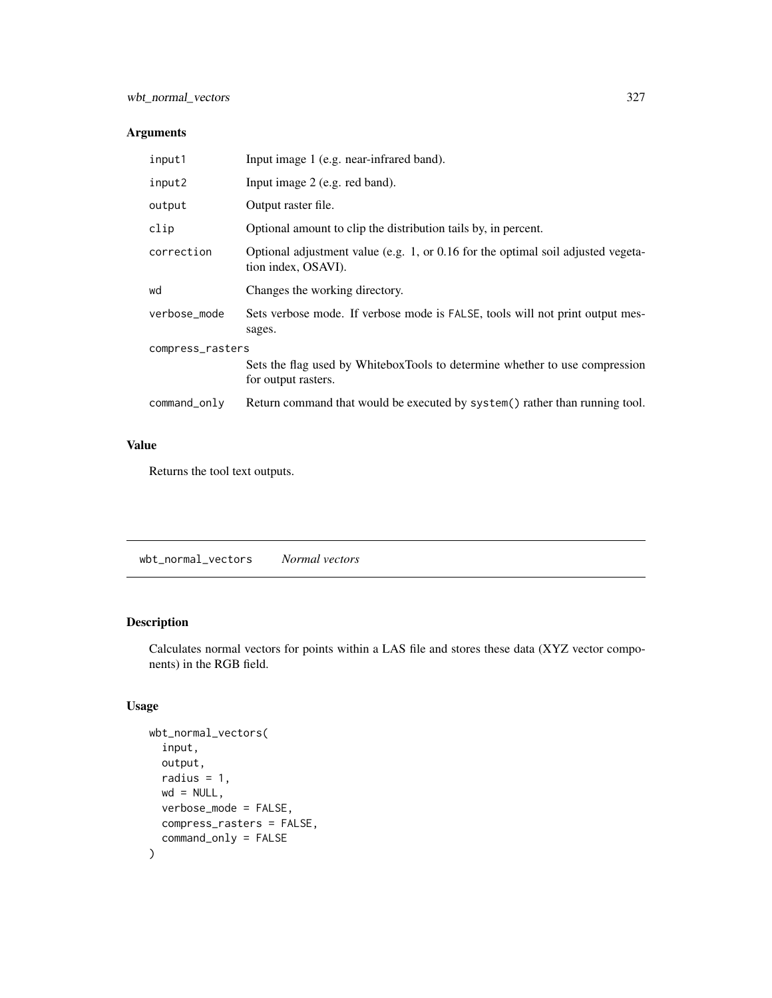| input1           | Input image 1 (e.g. near-infrared band).                                                                |  |
|------------------|---------------------------------------------------------------------------------------------------------|--|
| input2           | Input image 2 (e.g. red band).                                                                          |  |
| output           | Output raster file.                                                                                     |  |
| clip             | Optional amount to clip the distribution tails by, in percent.                                          |  |
| correction       | Optional adjustment value (e.g. 1, or 0.16 for the optimal soil adjusted vegeta-<br>tion index, OSAVI). |  |
| wd               | Changes the working directory.                                                                          |  |
| verbose_mode     | Sets verbose mode. If verbose mode is FALSE, tools will not print output mes-<br>sages.                 |  |
| compress_rasters |                                                                                                         |  |
|                  | Sets the flag used by WhiteboxTools to determine whether to use compression<br>for output rasters.      |  |
| command_only     | Return command that would be executed by system() rather than running tool.                             |  |

# Value

Returns the tool text outputs.

```
wbt_normal_vectors Normal vectors
```
### Description

Calculates normal vectors for points within a LAS file and stores these data (XYZ vector components) in the RGB field.

```
wbt_normal_vectors(
  input,
 output,
 radius = 1,
 wd = NULL,verbose_mode = FALSE,
 compress_rasters = FALSE,
  command_only = FALSE
)
```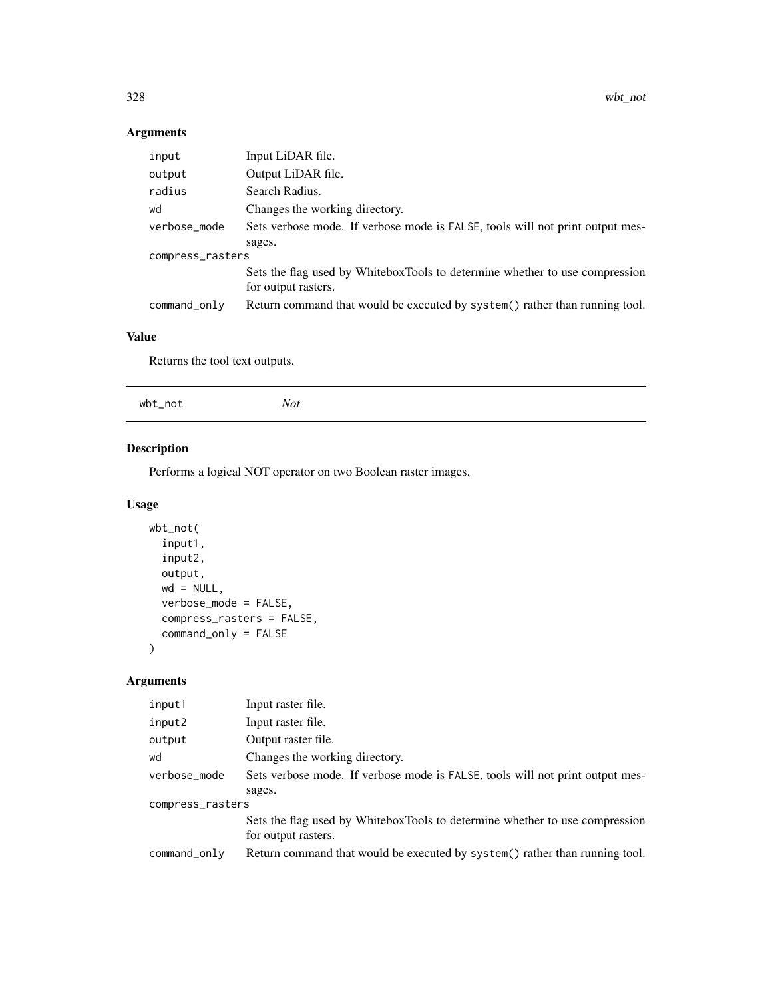| input            | Input LiDAR file.                                                             |  |
|------------------|-------------------------------------------------------------------------------|--|
| output           | Output LiDAR file.                                                            |  |
| radius           | Search Radius.                                                                |  |
| wd               | Changes the working directory.                                                |  |
| verbose_mode     | Sets verbose mode. If verbose mode is FALSE, tools will not print output mes- |  |
|                  | sages.                                                                        |  |
| compress_rasters |                                                                               |  |
|                  | Sets the flag used by WhiteboxTools to determine whether to use compression   |  |
|                  | for output rasters.                                                           |  |
| command_only     | Return command that would be executed by system() rather than running tool.   |  |

# Value

Returns the tool text outputs.

| wbt_not | Not |  |  |
|---------|-----|--|--|
|         |     |  |  |

# Description

Performs a logical NOT operator on two Boolean raster images.

# Usage

```
wbt_not(
  input1,
  input2,
 output,
 wd = NULL,verbose_mode = FALSE,
 compress_rasters = FALSE,
  command_only = FALSE
)
```
# Arguments

| input1           | Input raster file.                                                            |
|------------------|-------------------------------------------------------------------------------|
| input2           | Input raster file.                                                            |
| output           | Output raster file.                                                           |
| wd               | Changes the working directory.                                                |
| verbose_mode     | Sets verbose mode. If verbose mode is FALSE, tools will not print output mes- |
|                  | sages.                                                                        |
| compress_rasters |                                                                               |
|                  | Sets the flag used by WhiteboxTools to determine whether to use compression   |
|                  | for output rasters.                                                           |
| command_only     | Return command that would be executed by system() rather than running tool.   |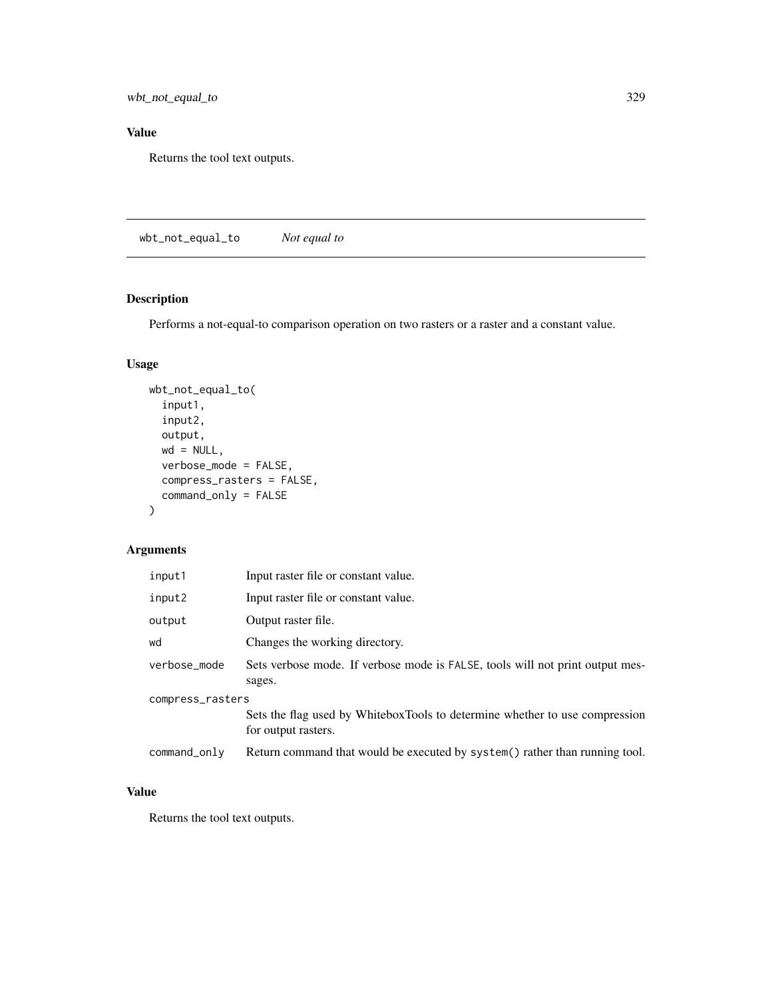wbt\_not\_equal\_to 329

# Value

Returns the tool text outputs.

wbt\_not\_equal\_to *Not equal to*

# Description

Performs a not-equal-to comparison operation on two rasters or a raster and a constant value.

### Usage

```
wbt_not_equal_to(
 input1,
 input2,
 output,
 wd = NULL,verbose_mode = FALSE,
 compress_rasters = FALSE,
 command_only = FALSE
)
```
# Arguments

| input1           | Input raster file or constant value.                                                               |
|------------------|----------------------------------------------------------------------------------------------------|
| input2           | Input raster file or constant value.                                                               |
| output           | Output raster file.                                                                                |
| wd               | Changes the working directory.                                                                     |
| verbose_mode     | Sets verbose mode. If verbose mode is FALSE, tools will not print output mes-<br>sages.            |
| compress_rasters |                                                                                                    |
|                  | Sets the flag used by WhiteboxTools to determine whether to use compression<br>for output rasters. |
| command_only     | Return command that would be executed by system() rather than running tool.                        |

### Value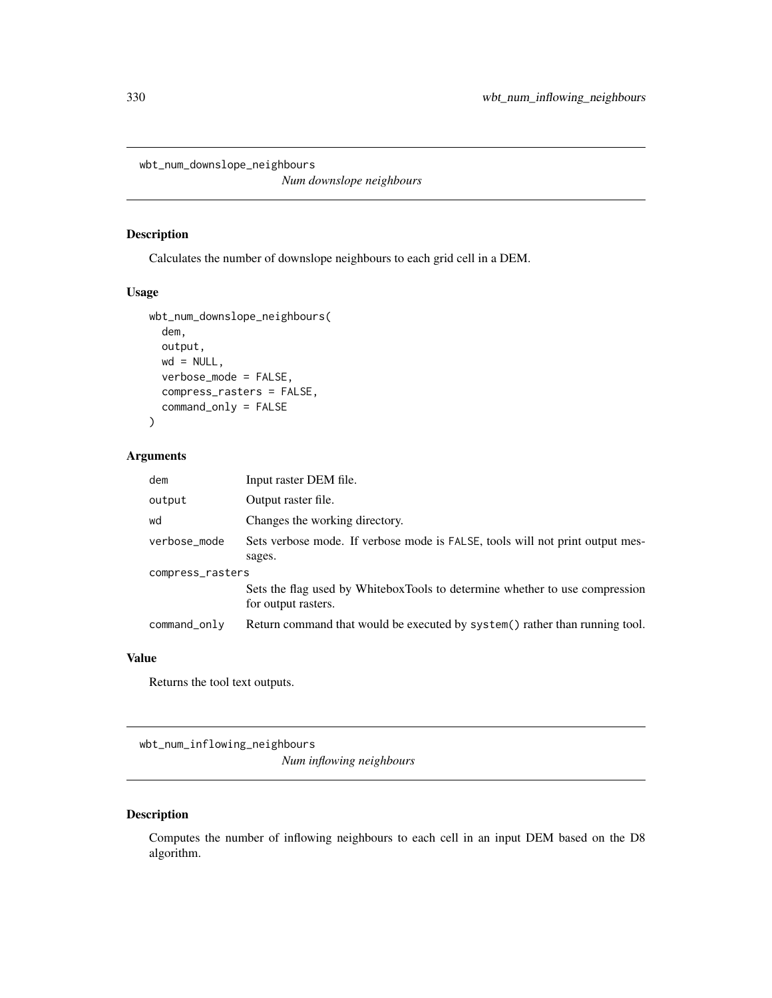wbt\_num\_downslope\_neighbours

*Num downslope neighbours*

### Description

Calculates the number of downslope neighbours to each grid cell in a DEM.

### Usage

```
wbt_num_downslope_neighbours(
  dem,
 output,
 wd = NULL,verbose_mode = FALSE,
  compress_rasters = FALSE,
  command_only = FALSE
)
```
### Arguments

| dem              | Input raster DEM file.                                                                             |  |
|------------------|----------------------------------------------------------------------------------------------------|--|
| output           | Output raster file.                                                                                |  |
| wd               | Changes the working directory.                                                                     |  |
| verbose_mode     | Sets verbose mode. If verbose mode is FALSE, tools will not print output mes-                      |  |
|                  | sages.                                                                                             |  |
| compress_rasters |                                                                                                    |  |
|                  | Sets the flag used by WhiteboxTools to determine whether to use compression<br>for output rasters. |  |
| command_only     | Return command that would be executed by system() rather than running tool.                        |  |

#### Value

Returns the tool text outputs.

wbt\_num\_inflowing\_neighbours *Num inflowing neighbours*

### Description

Computes the number of inflowing neighbours to each cell in an input DEM based on the D8 algorithm.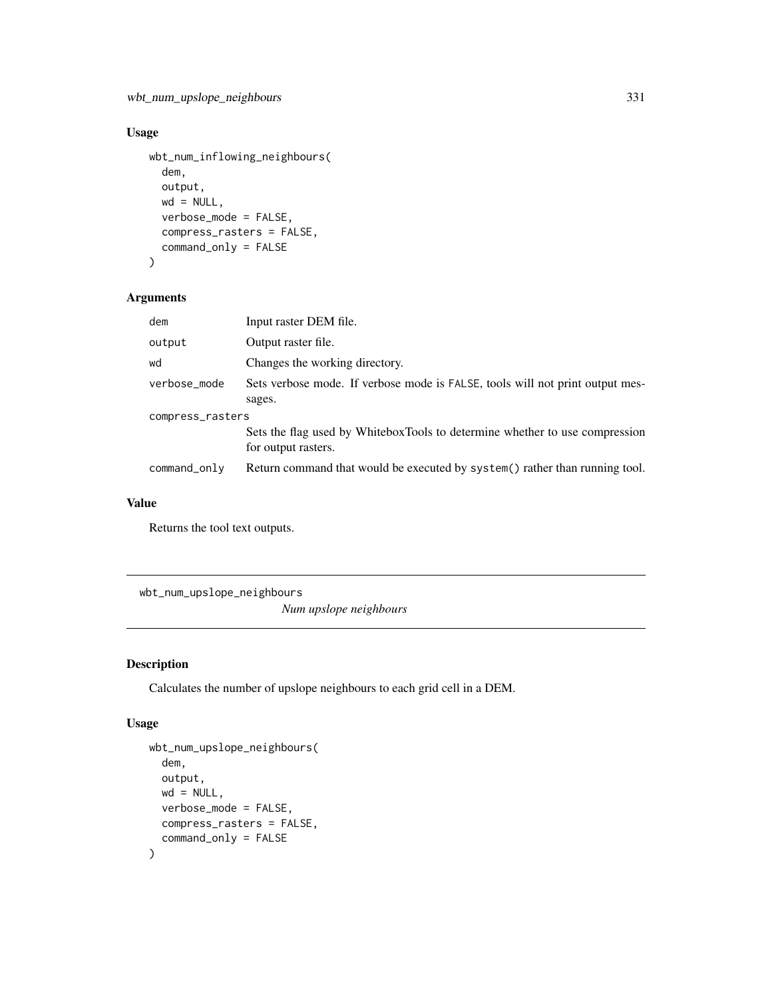### Usage

```
wbt_num_inflowing_neighbours(
  dem,
 output,
 wd = NULL,verbose_mode = FALSE,
  compress_rasters = FALSE,
  command_only = FALSE
)
```
### Arguments

| dem              | Input raster DEM file.                                                                             |  |
|------------------|----------------------------------------------------------------------------------------------------|--|
| output           | Output raster file.                                                                                |  |
| wd               | Changes the working directory.                                                                     |  |
| verbose_mode     | Sets verbose mode. If verbose mode is FALSE, tools will not print output mes-<br>sages.            |  |
| compress_rasters |                                                                                                    |  |
|                  | Sets the flag used by WhiteboxTools to determine whether to use compression<br>for output rasters. |  |
| command_only     | Return command that would be executed by system() rather than running tool.                        |  |

### Value

Returns the tool text outputs.

wbt\_num\_upslope\_neighbours

*Num upslope neighbours*

### Description

Calculates the number of upslope neighbours to each grid cell in a DEM.

```
wbt_num_upslope_neighbours(
 dem,
 output,
 wd = NULL,verbose_mode = FALSE,
 compress_rasters = FALSE,
  command_only = FALSE
)
```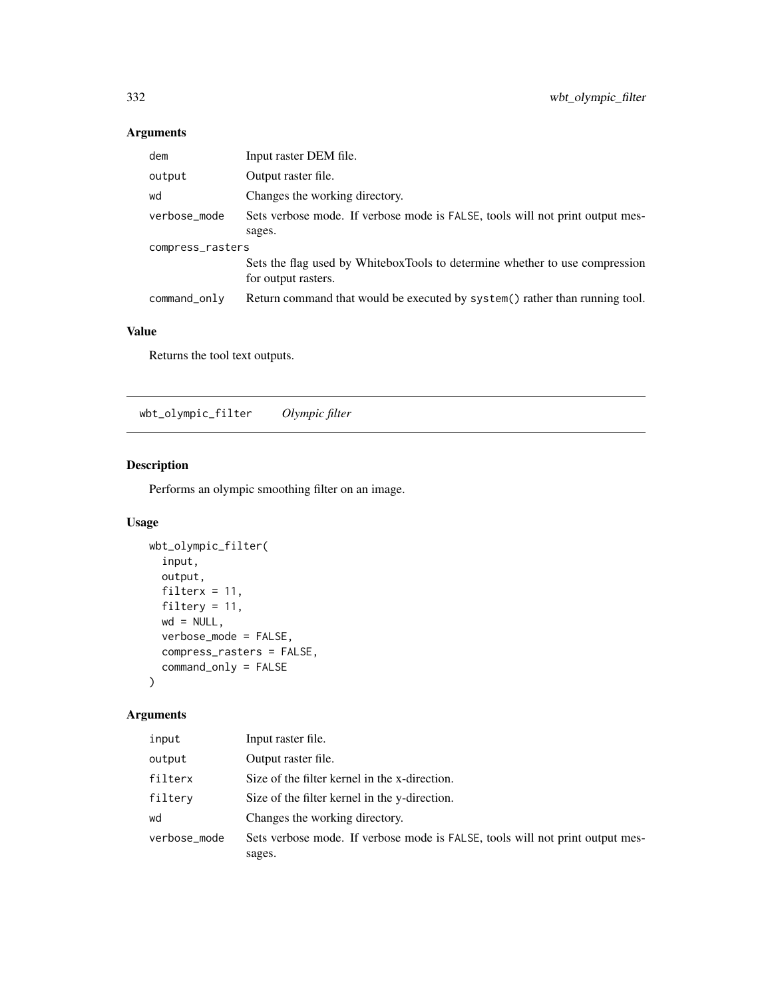| dem              | Input raster DEM file.                                                                             |  |
|------------------|----------------------------------------------------------------------------------------------------|--|
| output           | Output raster file.                                                                                |  |
| wd               | Changes the working directory.                                                                     |  |
| verbose_mode     | Sets verbose mode. If verbose mode is FALSE, tools will not print output mes-                      |  |
|                  | sages.                                                                                             |  |
| compress_rasters |                                                                                                    |  |
|                  | Sets the flag used by WhiteboxTools to determine whether to use compression<br>for output rasters. |  |
| command_only     | Return command that would be executed by system() rather than running tool.                        |  |

# Value

Returns the tool text outputs.

wbt\_olympic\_filter *Olympic filter*

# Description

Performs an olympic smoothing filter on an image.

### Usage

```
wbt_olympic_filter(
 input,
 output,
 filterx = 11,
 filtery = 11,
 wd = NULL,verbose_mode = FALSE,
  compress_rasters = FALSE,
  command_only = FALSE
)
```
# Arguments

| Input raster file.                                                                      |
|-----------------------------------------------------------------------------------------|
| Output raster file.                                                                     |
| Size of the filter kernel in the x-direction.                                           |
| Size of the filter kernel in the y-direction.                                           |
| Changes the working directory.                                                          |
| Sets verbose mode. If verbose mode is FALSE, tools will not print output mes-<br>sages. |
|                                                                                         |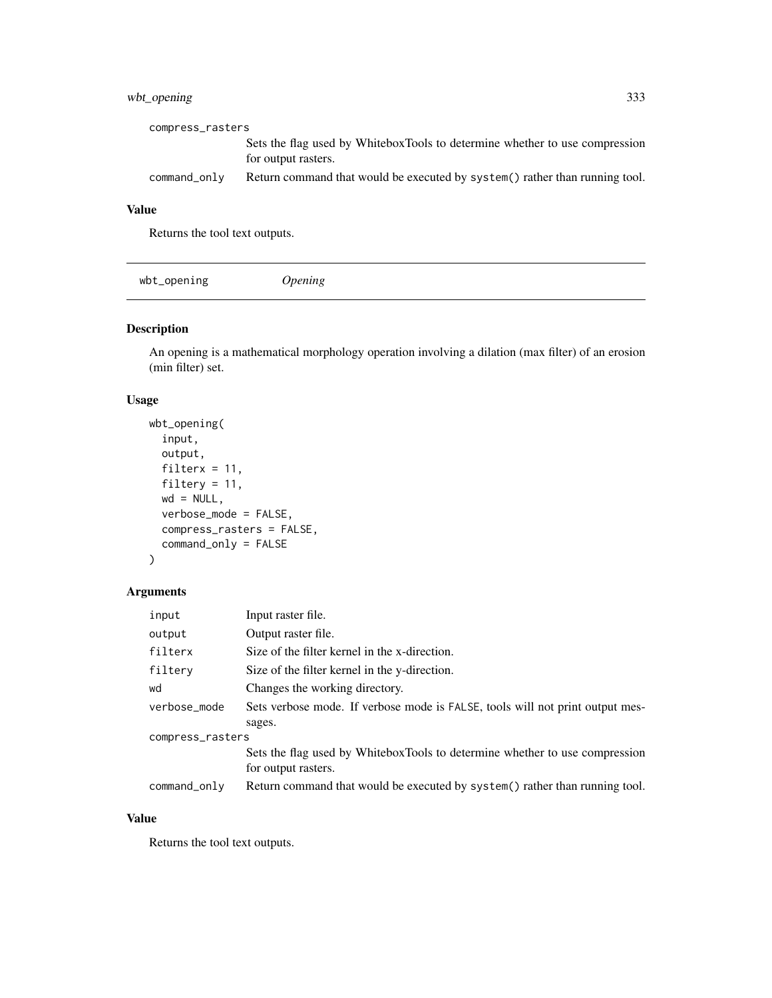### wbt\_opening 333

| compress_rasters |                                                                                                    |
|------------------|----------------------------------------------------------------------------------------------------|
|                  | Sets the flag used by WhiteboxTools to determine whether to use compression<br>for output rasters. |
| $command\_only$  | Return command that would be executed by system () rather than running tool.                       |

# Value

Returns the tool text outputs.

| wbt_opening | <i><b>Jpening</b></i> |  |  |  |
|-------------|-----------------------|--|--|--|
|-------------|-----------------------|--|--|--|

# Description

An opening is a mathematical morphology operation involving a dilation (max filter) of an erosion (min filter) set.

### Usage

```
wbt_opening(
  input,
 output,
 filterx = 11,
 filtery = 11,
 wd = NULL,verbose_mode = FALSE,
 compress_rasters = FALSE,
 command_only = FALSE
)
```
# Arguments

| input            | Input raster file.                                                            |  |
|------------------|-------------------------------------------------------------------------------|--|
| output           | Output raster file.                                                           |  |
| filterx          | Size of the filter kernel in the x-direction.                                 |  |
| filtery          | Size of the filter kernel in the y-direction.                                 |  |
| wd               | Changes the working directory.                                                |  |
| verbose_mode     | Sets verbose mode. If verbose mode is FALSE, tools will not print output mes- |  |
|                  | sages.                                                                        |  |
| compress_rasters |                                                                               |  |
|                  | Sets the flag used by WhiteboxTools to determine whether to use compression   |  |
|                  | for output rasters.                                                           |  |
| command_only     | Return command that would be executed by system() rather than running tool.   |  |

# Value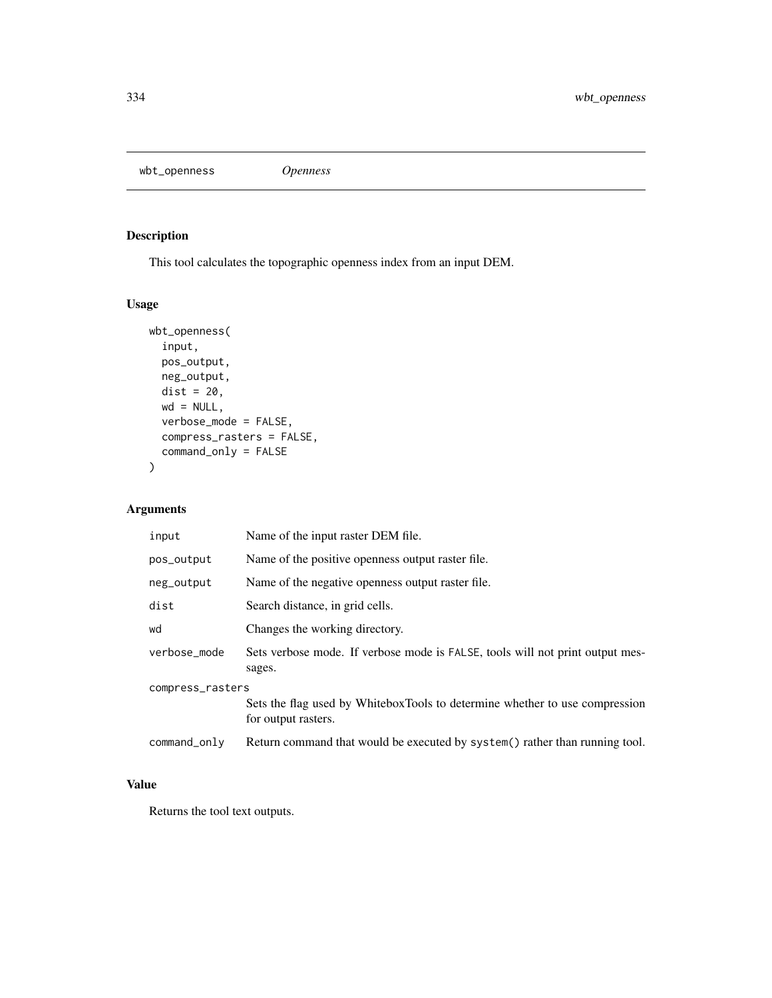wbt\_openness *Openness*

# Description

This tool calculates the topographic openness index from an input DEM.

# Usage

```
wbt_openness(
 input,
 pos_output,
 neg_output,
 dist = 20,
 wd = NULL,verbose_mode = FALSE,
 compress_rasters = FALSE,
 command_only = FALSE
)
```
### Arguments

| input            | Name of the input raster DEM file.                                                                 |  |
|------------------|----------------------------------------------------------------------------------------------------|--|
| pos_output       | Name of the positive openness output raster file.                                                  |  |
| neg_output       | Name of the negative openness output raster file.                                                  |  |
| dist             | Search distance, in grid cells.                                                                    |  |
| wd               | Changes the working directory.                                                                     |  |
| verbose_mode     | Sets verbose mode. If verbose mode is FALSE, tools will not print output mes-<br>sages.            |  |
| compress_rasters |                                                                                                    |  |
|                  | Sets the flag used by WhiteboxTools to determine whether to use compression<br>for output rasters. |  |
| command_only     | Return command that would be executed by system() rather than running tool.                        |  |

# Value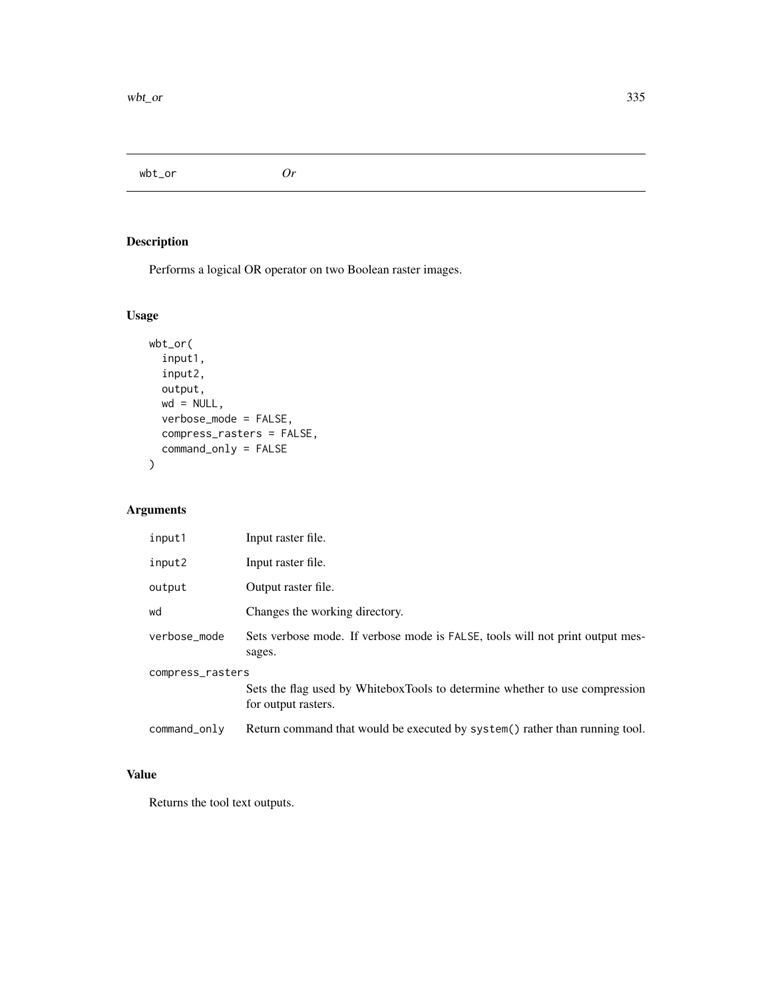wbt\_or *Or*

# Description

Performs a logical OR operator on two Boolean raster images.

# Usage

```
wbt_or(
  input1,
  input2,
 output,
 wd = NULL,verbose_mode = FALSE,
 compress_rasters = FALSE,
 command_only = FALSE
)
```
# Arguments

| input1           | Input raster file.                                                                                 |  |
|------------------|----------------------------------------------------------------------------------------------------|--|
| input2           | Input raster file.                                                                                 |  |
| output           | Output raster file.                                                                                |  |
| wd               | Changes the working directory.                                                                     |  |
| verbose_mode     | Sets verbose mode. If verbose mode is FALSE, tools will not print output mes-<br>sages.            |  |
| compress_rasters |                                                                                                    |  |
|                  | Sets the flag used by WhiteboxTools to determine whether to use compression<br>for output rasters. |  |
| command_only     | Return command that would be executed by system() rather than running tool.                        |  |

# Value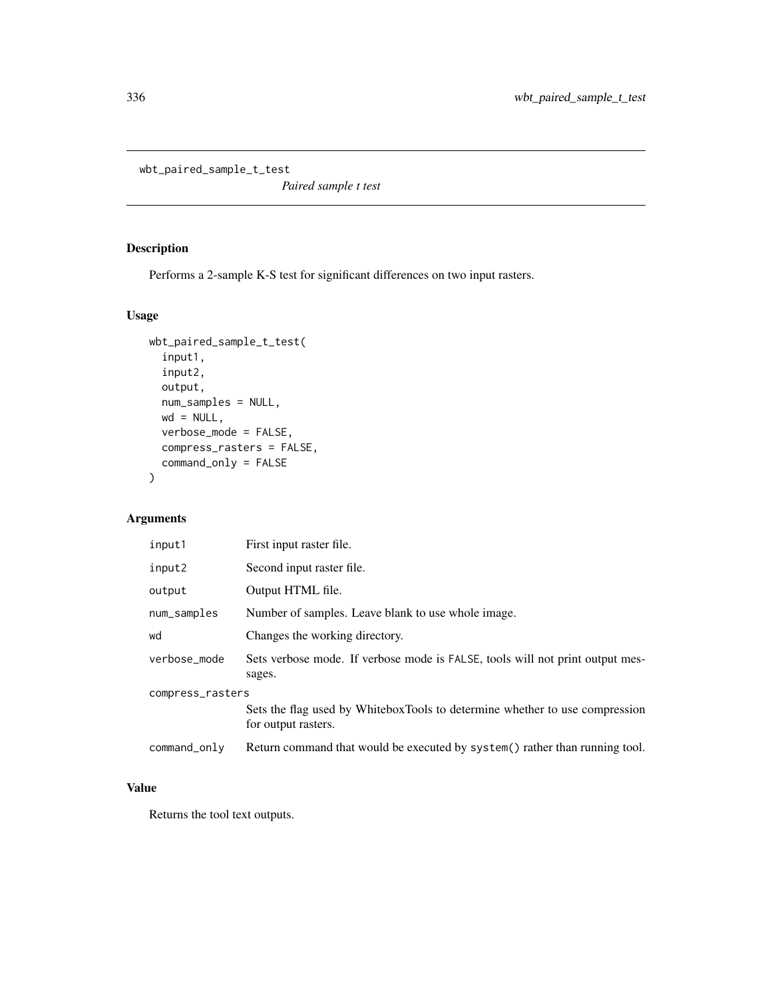wbt\_paired\_sample\_t\_test

*Paired sample t test*

# Description

Performs a 2-sample K-S test for significant differences on two input rasters.

#### Usage

```
wbt_paired_sample_t_test(
  input1,
  input2,
 output,
 num_samples = NULL,
 wd = NULL,verbose_mode = FALSE,
  compress_rasters = FALSE,
 command_only = FALSE
)
```
# Arguments

| input1           | First input raster file.                                                                           |  |
|------------------|----------------------------------------------------------------------------------------------------|--|
| input2           | Second input raster file.                                                                          |  |
| output           | Output HTML file.                                                                                  |  |
| num_samples      | Number of samples. Leave blank to use whole image.                                                 |  |
| wd               | Changes the working directory.                                                                     |  |
| verbose_mode     | Sets verbose mode. If verbose mode is FALSE, tools will not print output mes-<br>sages.            |  |
| compress_rasters |                                                                                                    |  |
|                  | Sets the flag used by WhiteboxTools to determine whether to use compression<br>for output rasters. |  |
| command_only     | Return command that would be executed by system() rather than running tool.                        |  |

#### Value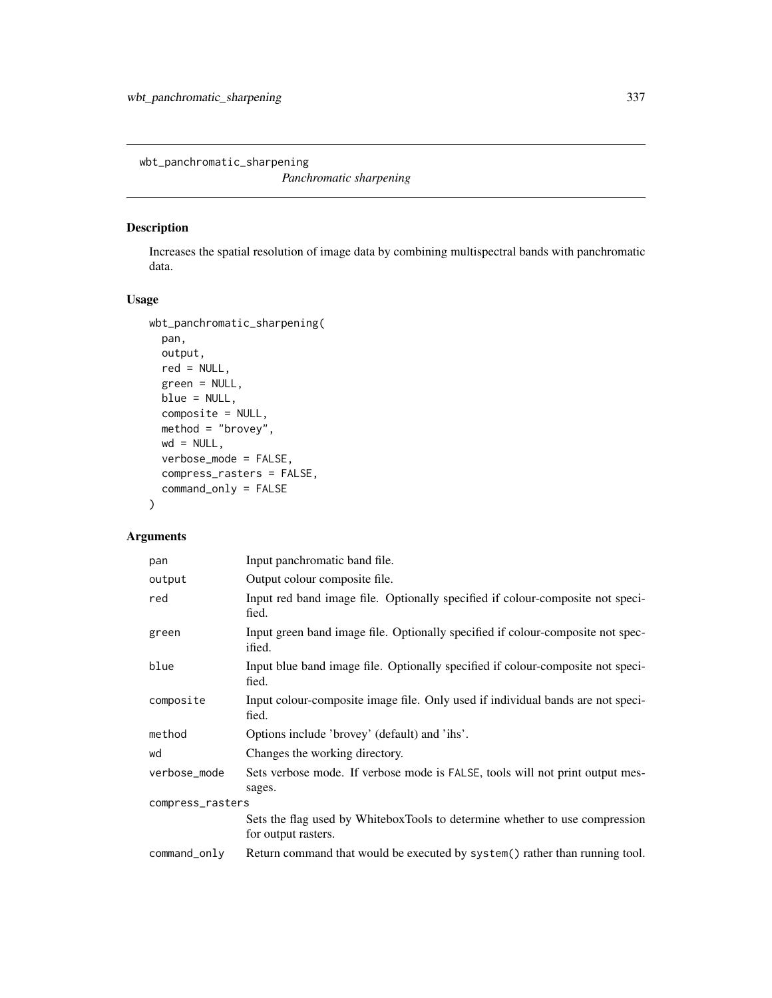wbt\_panchromatic\_sharpening

*Panchromatic sharpening*

### Description

Increases the spatial resolution of image data by combining multispectral bands with panchromatic data.

### Usage

```
wbt_panchromatic_sharpening(
 pan,
 output,
 red = NULL,
 green = NULL,
 blue = NULL,
 composite = NULL,
 method = "brovey",
 wd = NULL,verbose_mode = FALSE,
 compress_rasters = FALSE,
 command_only = FALSE
)
```
### Arguments

| pan              | Input panchromatic band file.                                                                      |  |
|------------------|----------------------------------------------------------------------------------------------------|--|
| output           | Output colour composite file.                                                                      |  |
| red              | Input red band image file. Optionally specified if colour-composite not speci-<br>fied.            |  |
| green            | Input green band image file. Optionally specified if colour-composite not spec-<br>ified.          |  |
| blue             | Input blue band image file. Optionally specified if colour-composite not speci-<br>fied.           |  |
| composite        | Input colour-composite image file. Only used if individual bands are not speci-<br>fied.           |  |
| method           | Options include 'brovey' (default) and 'ihs'.                                                      |  |
| wd               | Changes the working directory.                                                                     |  |
| verbose_mode     | Sets verbose mode. If verbose mode is FALSE, tools will not print output mes-<br>sages.            |  |
| compress_rasters |                                                                                                    |  |
|                  | Sets the flag used by WhiteboxTools to determine whether to use compression<br>for output rasters. |  |
| command_only     | Return command that would be executed by system() rather than running tool.                        |  |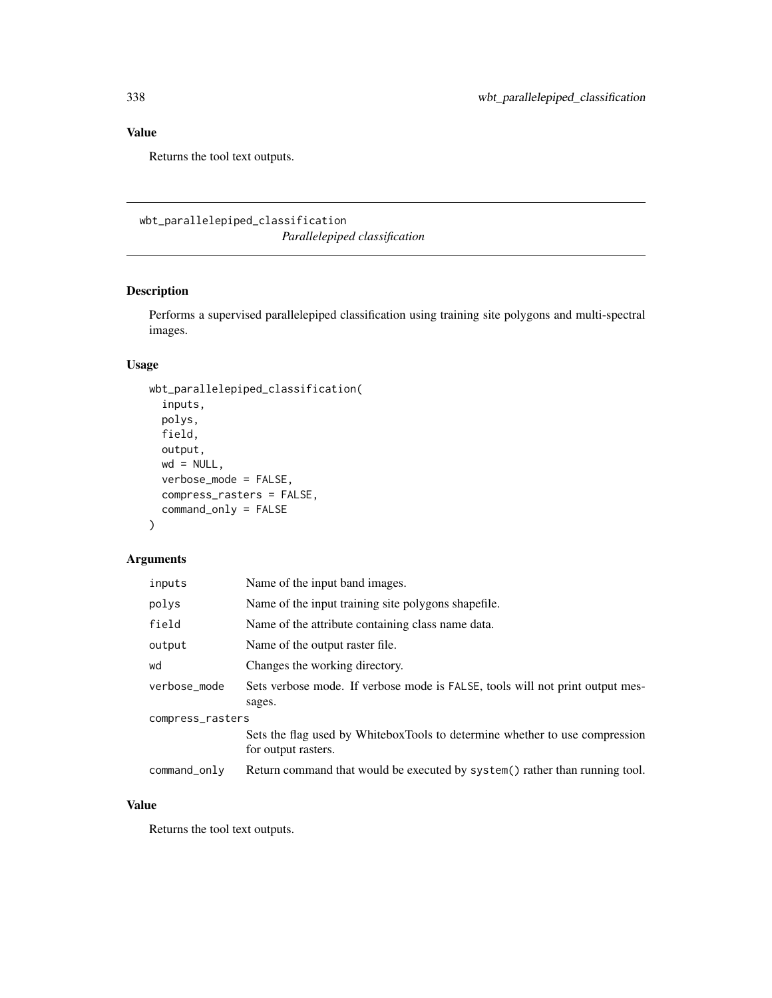# Value

Returns the tool text outputs.

wbt\_parallelepiped\_classification

*Parallelepiped classification*

# Description

Performs a supervised parallelepiped classification using training site polygons and multi-spectral images.

### Usage

```
wbt_parallelepiped_classification(
  inputs,
 polys,
 field,
 output,
 wd = NULL,verbose_mode = FALSE,
 compress_rasters = FALSE,
  command_only = FALSE
\mathcal{L}
```
### Arguments

| inputs           | Name of the input band images.                                                                     |
|------------------|----------------------------------------------------------------------------------------------------|
| polys            | Name of the input training site polygons shapefile.                                                |
| field            | Name of the attribute containing class name data.                                                  |
| output           | Name of the output raster file.                                                                    |
| wd               | Changes the working directory.                                                                     |
| verbose_mode     | Sets verbose mode. If verbose mode is FALSE, tools will not print output mes-<br>sages.            |
| compress_rasters |                                                                                                    |
|                  | Sets the flag used by WhiteboxTools to determine whether to use compression<br>for output rasters. |
| $command\_only$  | Return command that would be executed by system() rather than running tool.                        |

# Value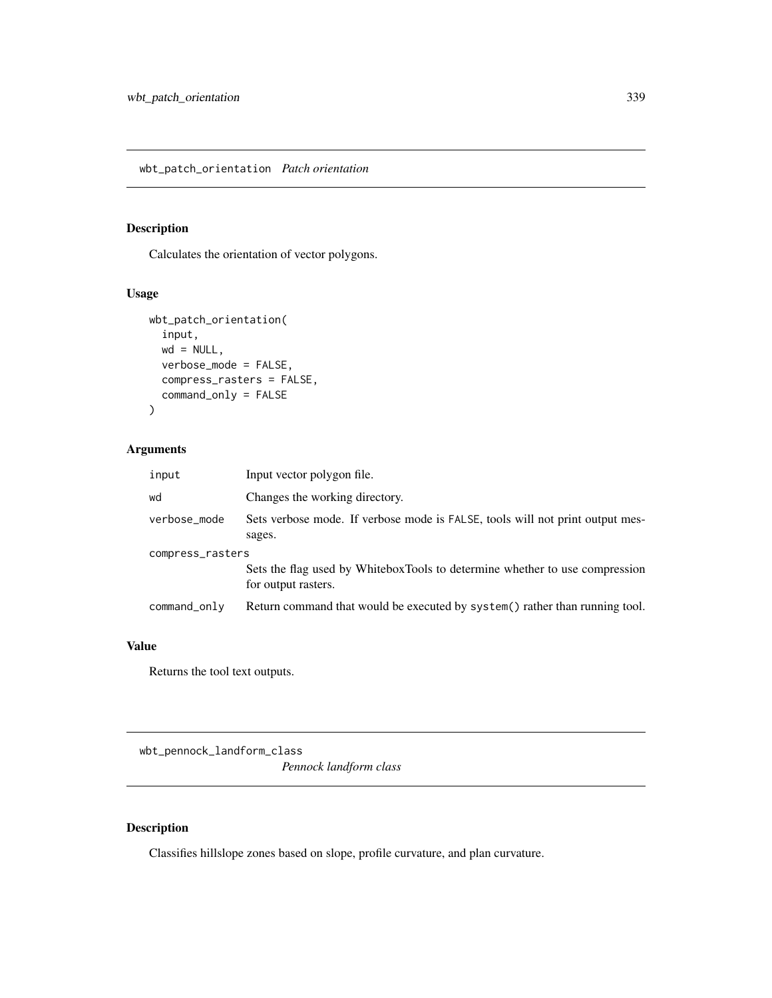wbt\_patch\_orientation *Patch orientation*

# Description

Calculates the orientation of vector polygons.

### Usage

```
wbt_patch_orientation(
  input,
 wd = NULL,verbose_mode = FALSE,
 compress_rasters = FALSE,
  command_only = FALSE
)
```
### Arguments

| input            | Input vector polygon file.                                                                         |  |
|------------------|----------------------------------------------------------------------------------------------------|--|
| wd               | Changes the working directory.                                                                     |  |
| verbose_mode     | Sets verbose mode. If verbose mode is FALSE, tools will not print output mes-<br>sages.            |  |
| compress_rasters |                                                                                                    |  |
|                  | Sets the flag used by WhiteboxTools to determine whether to use compression<br>for output rasters. |  |
| command_only     | Return command that would be executed by system() rather than running tool.                        |  |

### Value

Returns the tool text outputs.

wbt\_pennock\_landform\_class

*Pennock landform class*

# Description

Classifies hillslope zones based on slope, profile curvature, and plan curvature.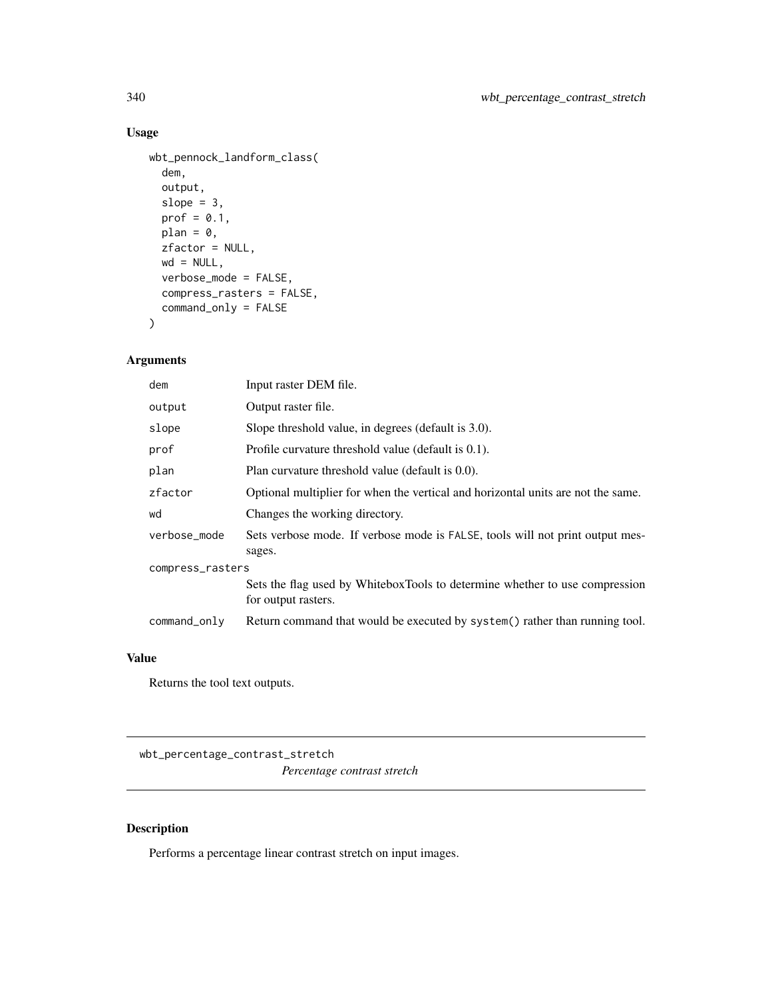# Usage

```
wbt_pennock_landform_class(
  dem,
 output,
 slope = 3,
 prof = 0.1,
 plan = 0,zfactor = NULL,
 wd = NULL,verbose_mode = FALSE,
 compress_rasters = FALSE,
 command_only = FALSE
)
```
### Arguments

| dem              | Input raster DEM file.                                                                             |  |
|------------------|----------------------------------------------------------------------------------------------------|--|
| output           | Output raster file.                                                                                |  |
| slope            | Slope threshold value, in degrees (default is 3.0).                                                |  |
| prof             | Profile curvature threshold value (default is 0.1).                                                |  |
| plan             | Plan curvature threshold value (default is 0.0).                                                   |  |
| zfactor          | Optional multiplier for when the vertical and horizontal units are not the same.                   |  |
| wd               | Changes the working directory.                                                                     |  |
| verbose_mode     | Sets verbose mode. If verbose mode is FALSE, tools will not print output mes-<br>sages.            |  |
| compress_rasters |                                                                                                    |  |
|                  | Sets the flag used by WhiteboxTools to determine whether to use compression<br>for output rasters. |  |
| command_only     | Return command that would be executed by system() rather than running tool.                        |  |

# Value

Returns the tool text outputs.

wbt\_percentage\_contrast\_stretch

*Percentage contrast stretch*

### Description

Performs a percentage linear contrast stretch on input images.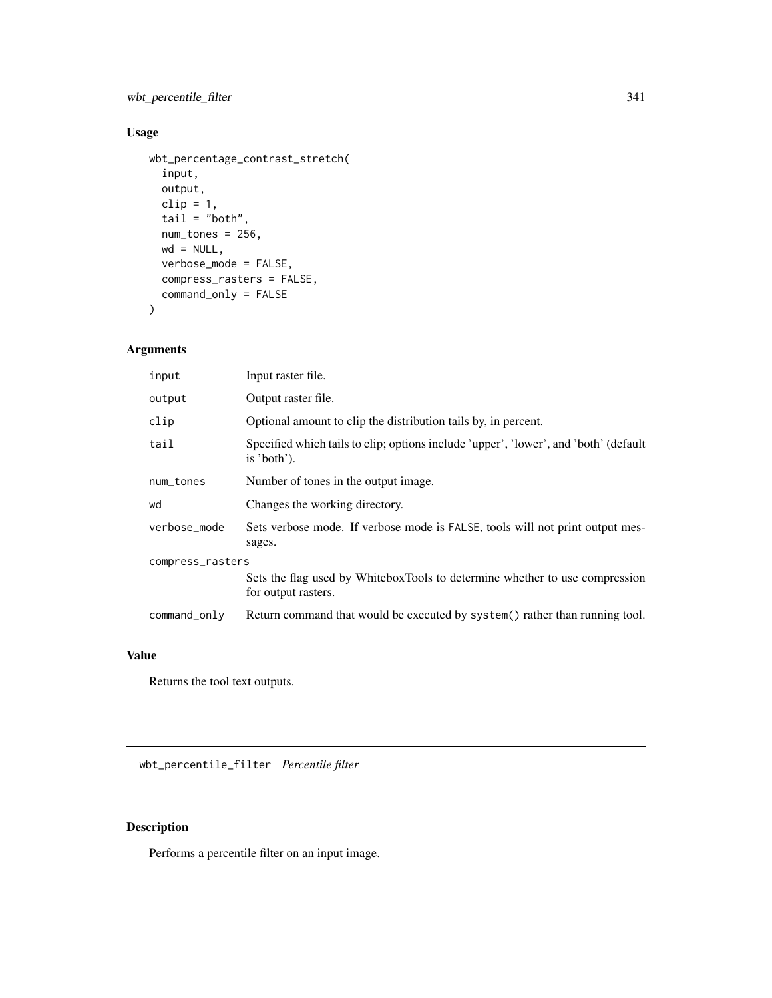wbt\_percentile\_filter 341

# Usage

```
wbt_percentage_contrast_stretch(
  input,
 output,
 clip = 1,tail = "both",num_tones = 256,
 wd = NULL,verbose_mode = FALSE,
 compress_rasters = FALSE,
 command_only = FALSE
\mathcal{L}
```
### Arguments

| input            | Input raster file.                                                                                  |  |
|------------------|-----------------------------------------------------------------------------------------------------|--|
| output           | Output raster file.                                                                                 |  |
| clip             | Optional amount to clip the distribution tails by, in percent.                                      |  |
| tail             | Specified which tails to clip; options include 'upper', 'lower', and 'both' (default<br>is 'both'). |  |
| num_tones        | Number of tones in the output image.                                                                |  |
| wd               | Changes the working directory.                                                                      |  |
| verbose_mode     | Sets verbose mode. If verbose mode is FALSE, tools will not print output mes-<br>sages.             |  |
| compress_rasters |                                                                                                     |  |
|                  | Sets the flag used by WhiteboxTools to determine whether to use compression<br>for output rasters.  |  |
| command_only     | Return command that would be executed by system() rather than running tool.                         |  |

### Value

Returns the tool text outputs.

wbt\_percentile\_filter *Percentile filter*

# Description

Performs a percentile filter on an input image.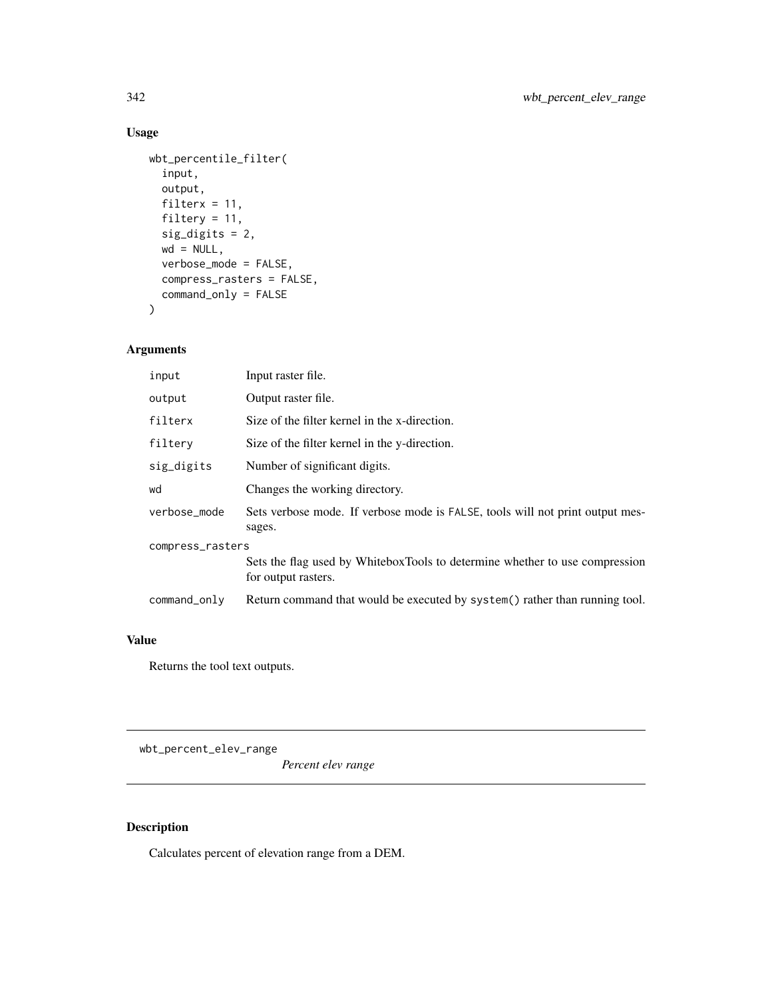# Usage

```
wbt_percentile_filter(
  input,
 output,
 filterx = 11,
 filtery = 11,
  sig_digits = 2,
 wd = NULL,verbose_mode = FALSE,
 compress_rasters = FALSE,
 command_only = FALSE
)
```
### Arguments

| input            | Input raster file.                                                                                 |
|------------------|----------------------------------------------------------------------------------------------------|
| output           | Output raster file.                                                                                |
| filterx          | Size of the filter kernel in the x-direction.                                                      |
| filtery          | Size of the filter kernel in the y-direction.                                                      |
| sig_digits       | Number of significant digits.                                                                      |
| wd               | Changes the working directory.                                                                     |
| verbose mode     | Sets verbose mode. If verbose mode is FALSE, tools will not print output mes-<br>sages.            |
| compress_rasters |                                                                                                    |
|                  | Sets the flag used by WhiteboxTools to determine whether to use compression<br>for output rasters. |
| command_only     | Return command that would be executed by system() rather than running tool.                        |

# Value

Returns the tool text outputs.

wbt\_percent\_elev\_range

*Percent elev range*

# Description

Calculates percent of elevation range from a DEM.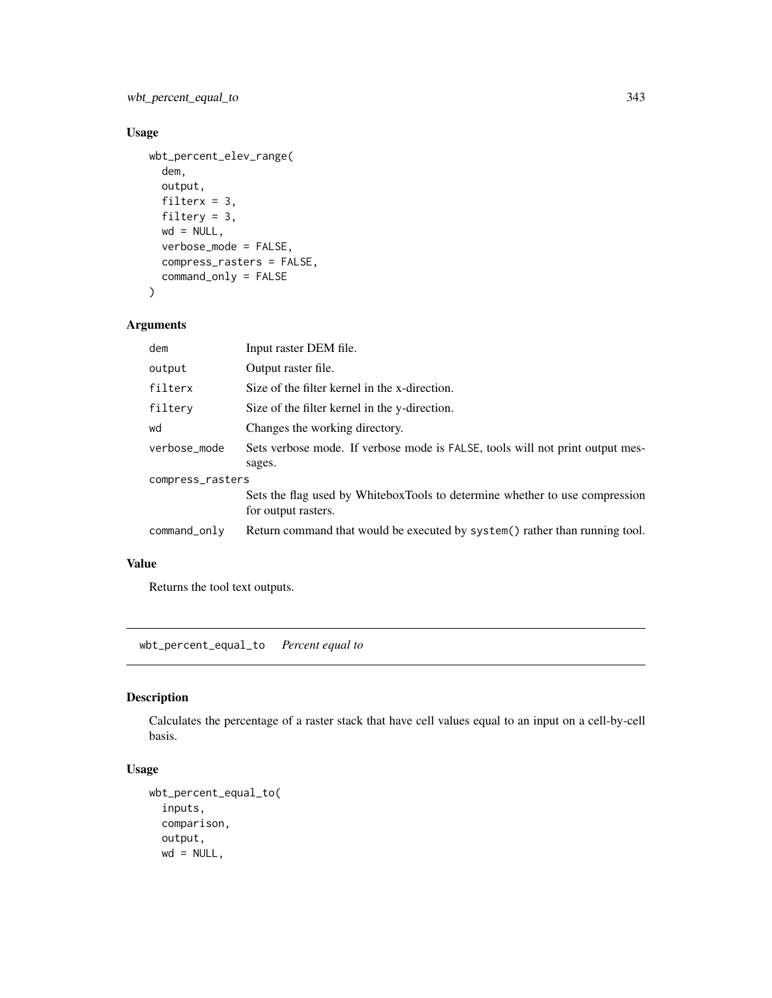wbt\_percent\_equal\_to 343

# Usage

```
wbt_percent_elev_range(
 dem,
 output,
 filterx = 3,
 filtery = 3,
 wd = NULL,verbose_mode = FALSE,
 compress_rasters = FALSE,
 command_only = FALSE
```

```
\mathcal{L}
```
### Arguments

| dem              | Input raster DEM file.                                                                             |
|------------------|----------------------------------------------------------------------------------------------------|
| output           | Output raster file.                                                                                |
| filterx          | Size of the filter kernel in the x-direction.                                                      |
| filtery          | Size of the filter kernel in the y-direction.                                                      |
| wd               | Changes the working directory.                                                                     |
| verbose mode     | Sets verbose mode. If verbose mode is FALSE, tools will not print output mes-<br>sages.            |
| compress_rasters |                                                                                                    |
|                  | Sets the flag used by WhiteboxTools to determine whether to use compression<br>for output rasters. |
| command_only     | Return command that would be executed by system() rather than running tool.                        |

# Value

Returns the tool text outputs.

wbt\_percent\_equal\_to *Percent equal to*

### Description

Calculates the percentage of a raster stack that have cell values equal to an input on a cell-by-cell basis.

```
wbt_percent_equal_to(
  inputs,
 comparison,
 output,
 wd = NULL,
```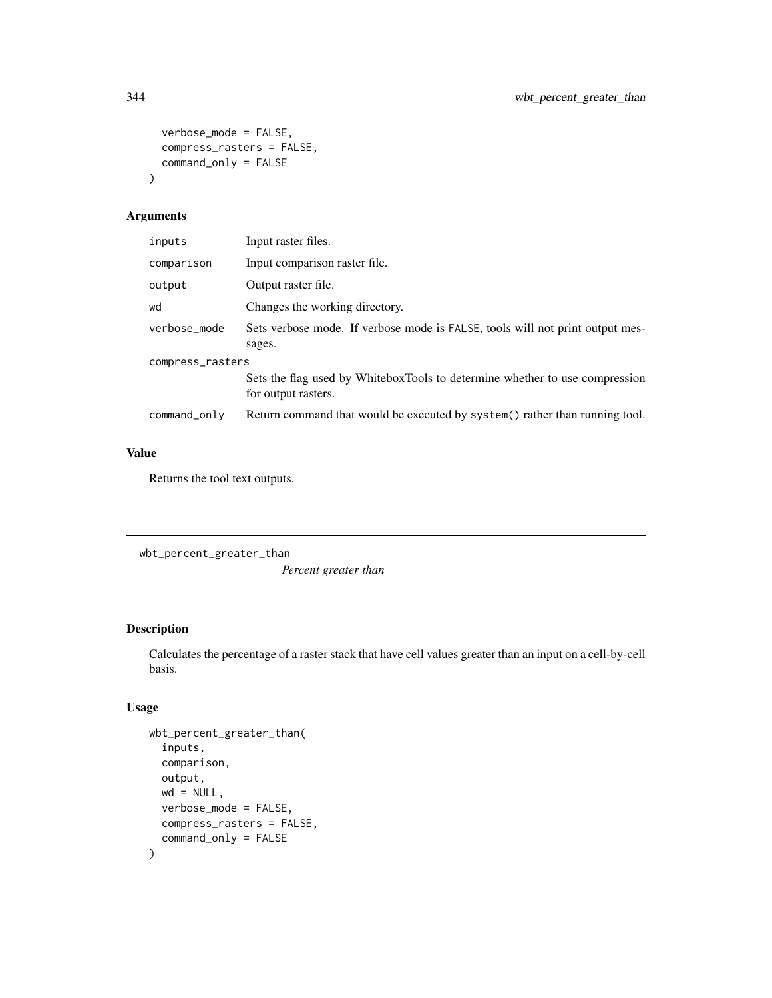```
verbose_mode = FALSE,
  compress_rasters = FALSE,
  command_only = FALSE
\mathcal{L}
```

| inputs           | Input raster files.                                                                                |  |
|------------------|----------------------------------------------------------------------------------------------------|--|
| comparison       | Input comparison raster file.                                                                      |  |
| output           | Output raster file.                                                                                |  |
| wd               | Changes the working directory.                                                                     |  |
| verbose_mode     | Sets verbose mode. If verbose mode is FALSE, tools will not print output mes-<br>sages.            |  |
| compress_rasters |                                                                                                    |  |
|                  | Sets the flag used by WhiteboxTools to determine whether to use compression<br>for output rasters. |  |
| command_only     | Return command that would be executed by system() rather than running tool.                        |  |

#### Value

Returns the tool text outputs.

```
wbt_percent_greater_than
```
*Percent greater than*

### Description

Calculates the percentage of a raster stack that have cell values greater than an input on a cell-by-cell basis.

```
wbt_percent_greater_than(
  inputs,
  comparison,
 output,
 wd = NULL,verbose_mode = FALSE,
 compress_rasters = FALSE,
  command_only = FALSE
\mathcal{L}
```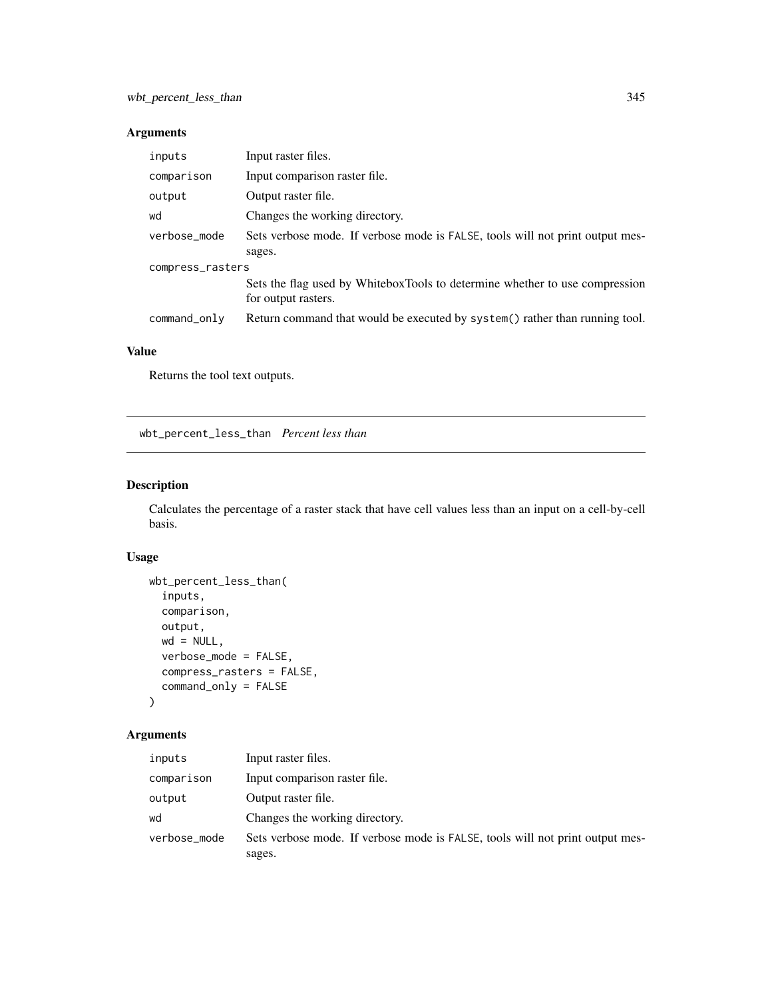| inputs           | Input raster files.                                                                                |  |
|------------------|----------------------------------------------------------------------------------------------------|--|
| comparison       | Input comparison raster file.                                                                      |  |
| output           | Output raster file.                                                                                |  |
| wd               | Changes the working directory.                                                                     |  |
| verbose_mode     | Sets verbose mode. If verbose mode is FALSE, tools will not print output mes-<br>sages.            |  |
| compress_rasters |                                                                                                    |  |
|                  | Sets the flag used by WhiteboxTools to determine whether to use compression<br>for output rasters. |  |
| command_only     | Return command that would be executed by system() rather than running tool.                        |  |

#### Value

Returns the tool text outputs.

wbt\_percent\_less\_than *Percent less than*

# Description

Calculates the percentage of a raster stack that have cell values less than an input on a cell-by-cell basis.

# Usage

```
wbt_percent_less_than(
  inputs,
  comparison,
 output,
 wd = NULL,verbose_mode = FALSE,
  compress_rasters = FALSE,
  command_only = FALSE
)
```
#### Arguments

| inputs       | Input raster files.                                                           |
|--------------|-------------------------------------------------------------------------------|
| comparison   | Input comparison raster file.                                                 |
| output       | Output raster file.                                                           |
| wd           | Changes the working directory.                                                |
| verbose_mode | Sets verbose mode. If verbose mode is FALSE, tools will not print output mes- |
|              | sages.                                                                        |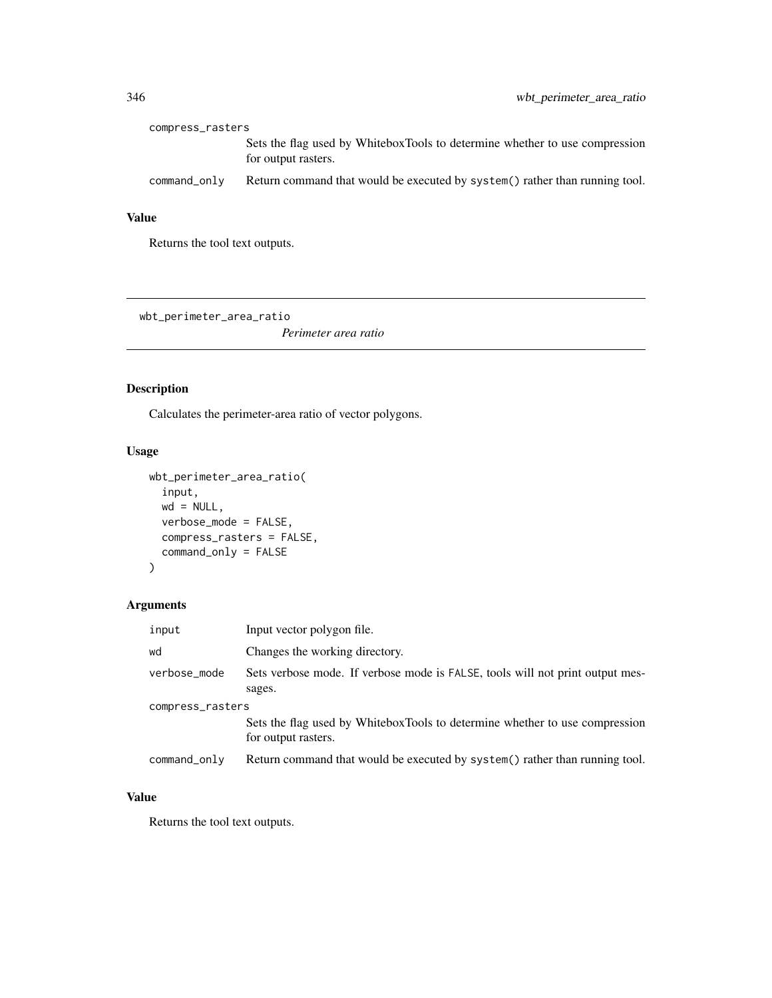| compress_rasters |                                                                                                    |
|------------------|----------------------------------------------------------------------------------------------------|
|                  | Sets the flag used by WhiteboxTools to determine whether to use compression<br>for output rasters. |
| command_only     | Return command that would be executed by system() rather than running tool.                        |

# Value

Returns the tool text outputs.

wbt\_perimeter\_area\_ratio

*Perimeter area ratio*

# Description

Calculates the perimeter-area ratio of vector polygons.

# Usage

```
wbt_perimeter_area_ratio(
  input,
 wd = NULL,verbose_mode = FALSE,
 compress_rasters = FALSE,
  command_only = FALSE
)
```
# Arguments

| input            | Input vector polygon file.                                                                         |  |
|------------------|----------------------------------------------------------------------------------------------------|--|
| wd               | Changes the working directory.                                                                     |  |
| verbose_mode     | Sets verbose mode. If verbose mode is FALSE, tools will not print output mes-<br>sages.            |  |
| compress_rasters |                                                                                                    |  |
|                  | Sets the flag used by WhiteboxTools to determine whether to use compression<br>for output rasters. |  |
| command_only     | Return command that would be executed by system() rather than running tool.                        |  |

# Value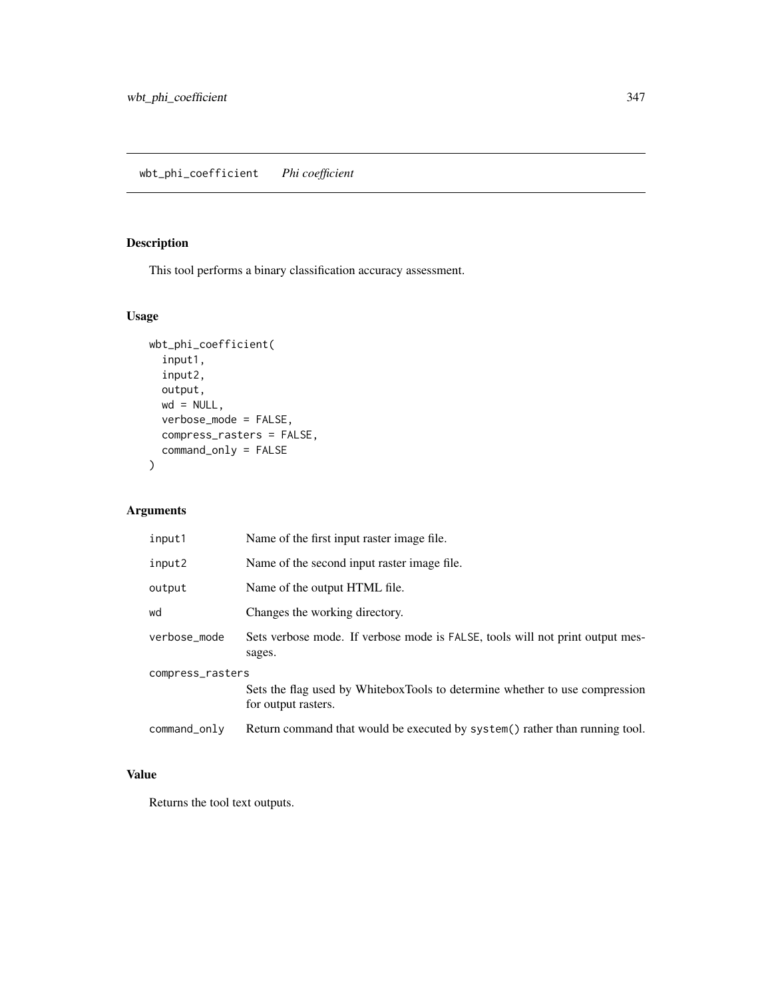# Description

This tool performs a binary classification accuracy assessment.

### Usage

```
wbt_phi_coefficient(
  input1,
  input2,
 output,
 wd = NULL,verbose_mode = FALSE,
 compress_rasters = FALSE,
  command_only = FALSE
\mathcal{L}
```
### Arguments

| input1           | Name of the first input raster image file.                                                         |  |
|------------------|----------------------------------------------------------------------------------------------------|--|
| input2           | Name of the second input raster image file.                                                        |  |
| output           | Name of the output HTML file.                                                                      |  |
| wd               | Changes the working directory.                                                                     |  |
| verbose_mode     | Sets verbose mode. If verbose mode is FALSE, tools will not print output mes-<br>sages.            |  |
| compress_rasters |                                                                                                    |  |
|                  | Sets the flag used by WhiteboxTools to determine whether to use compression<br>for output rasters. |  |
| command_only     | Return command that would be executed by system() rather than running tool.                        |  |

### Value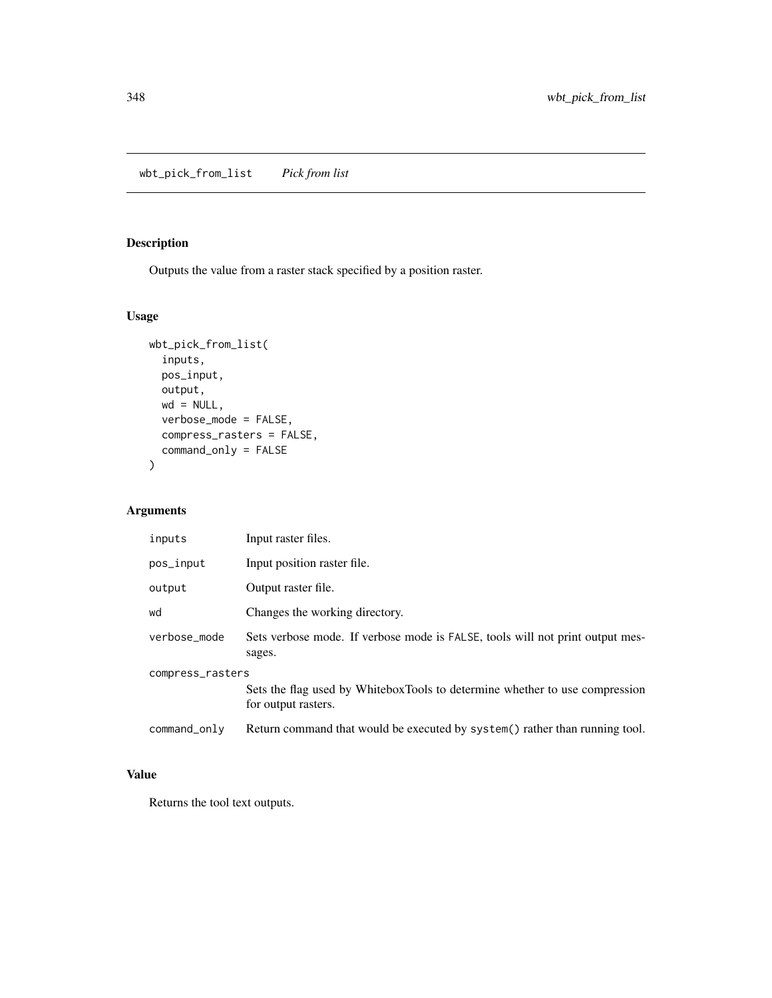wbt\_pick\_from\_list *Pick from list*

# Description

Outputs the value from a raster stack specified by a position raster.

### Usage

```
wbt_pick_from_list(
  inputs,
  pos_input,
  output,
  wd = NULL,verbose_mode = FALSE,
  compress_rasters = FALSE,
  command_only = FALSE
\mathcal{L}
```
### Arguments

| inputs           | Input raster files.                                                                                |  |
|------------------|----------------------------------------------------------------------------------------------------|--|
| pos_input        | Input position raster file.                                                                        |  |
| output           | Output raster file.                                                                                |  |
| wd               | Changes the working directory.                                                                     |  |
| verbose_mode     | Sets verbose mode. If verbose mode is FALSE, tools will not print output mes-<br>sages.            |  |
| compress_rasters |                                                                                                    |  |
|                  | Sets the flag used by WhiteboxTools to determine whether to use compression<br>for output rasters. |  |
| command_only     | Return command that would be executed by system() rather than running tool.                        |  |

### Value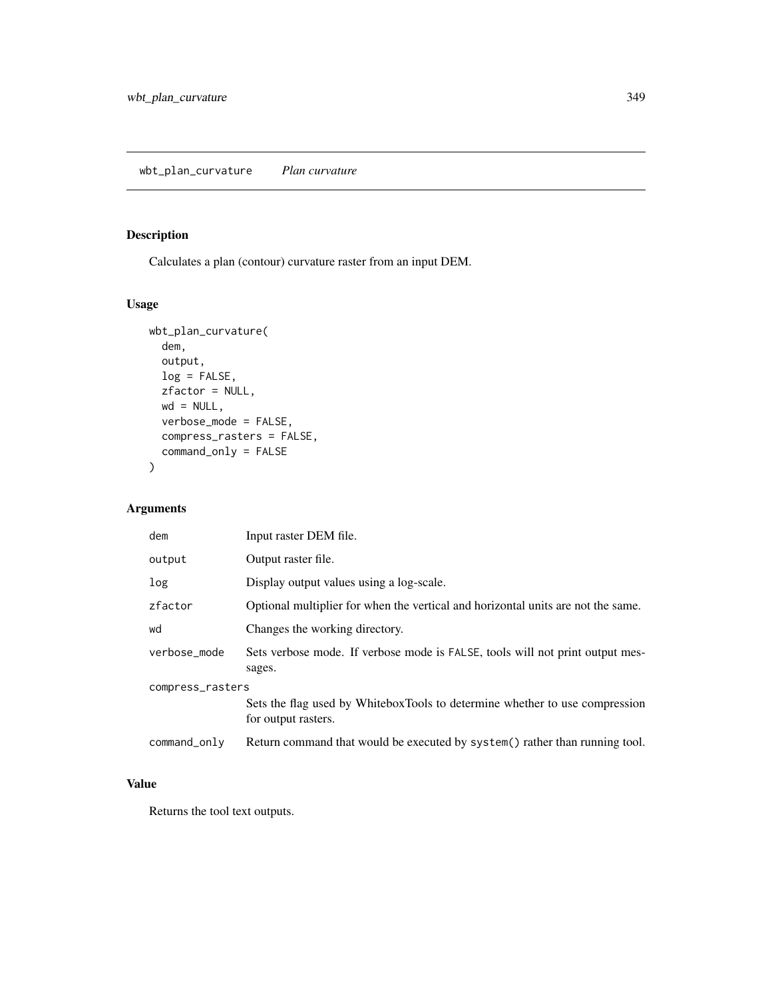# Description

Calculates a plan (contour) curvature raster from an input DEM.

### Usage

```
wbt_plan_curvature(
 dem,
 output,
 log = FALSE,
 zfactor = NULL,
 wd = NULL,verbose_mode = FALSE,
 compress_rasters = FALSE,
 command_only = FALSE
)
```
# Arguments

| dem              | Input raster DEM file.                                                                             |  |
|------------------|----------------------------------------------------------------------------------------------------|--|
| output           | Output raster file.                                                                                |  |
| log              | Display output values using a log-scale.                                                           |  |
| zfactor          | Optional multiplier for when the vertical and horizontal units are not the same.                   |  |
| wd               | Changes the working directory.                                                                     |  |
| verbose_mode     | Sets verbose mode. If verbose mode is FALSE, tools will not print output mes-<br>sages.            |  |
| compress_rasters |                                                                                                    |  |
|                  | Sets the flag used by WhiteboxTools to determine whether to use compression<br>for output rasters. |  |
| command_only     | Return command that would be executed by system() rather than running tool.                        |  |

# Value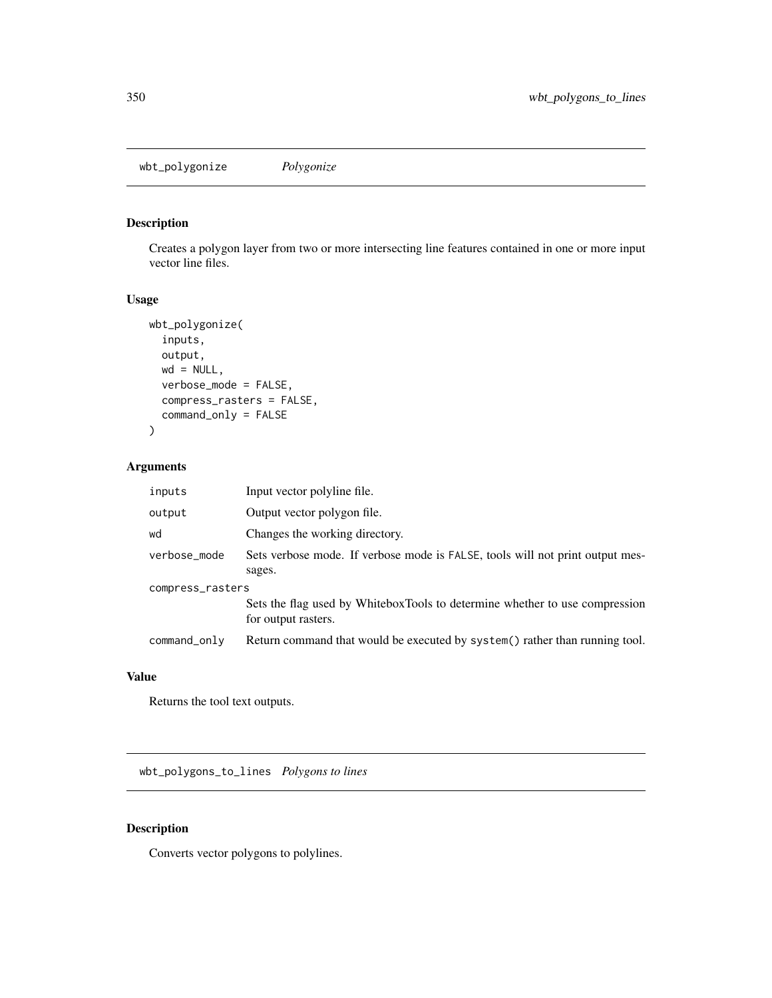wbt\_polygonize *Polygonize*

### Description

Creates a polygon layer from two or more intersecting line features contained in one or more input vector line files.

### Usage

```
wbt_polygonize(
  inputs,
 output,
 wd = NULL,verbose_mode = FALSE,
 compress_rasters = FALSE,
 command_only = FALSE
)
```
### Arguments

| inputs           | Input vector polyline file.                                                                        |  |
|------------------|----------------------------------------------------------------------------------------------------|--|
| output           | Output vector polygon file.                                                                        |  |
| wd               | Changes the working directory.                                                                     |  |
| verbose_mode     | Sets verbose mode. If verbose mode is FALSE, tools will not print output mes-<br>sages.            |  |
| compress_rasters |                                                                                                    |  |
|                  | Sets the flag used by WhiteboxTools to determine whether to use compression<br>for output rasters. |  |
| command_only     | Return command that would be executed by system() rather than running tool.                        |  |

#### Value

Returns the tool text outputs.

wbt\_polygons\_to\_lines *Polygons to lines*

# Description

Converts vector polygons to polylines.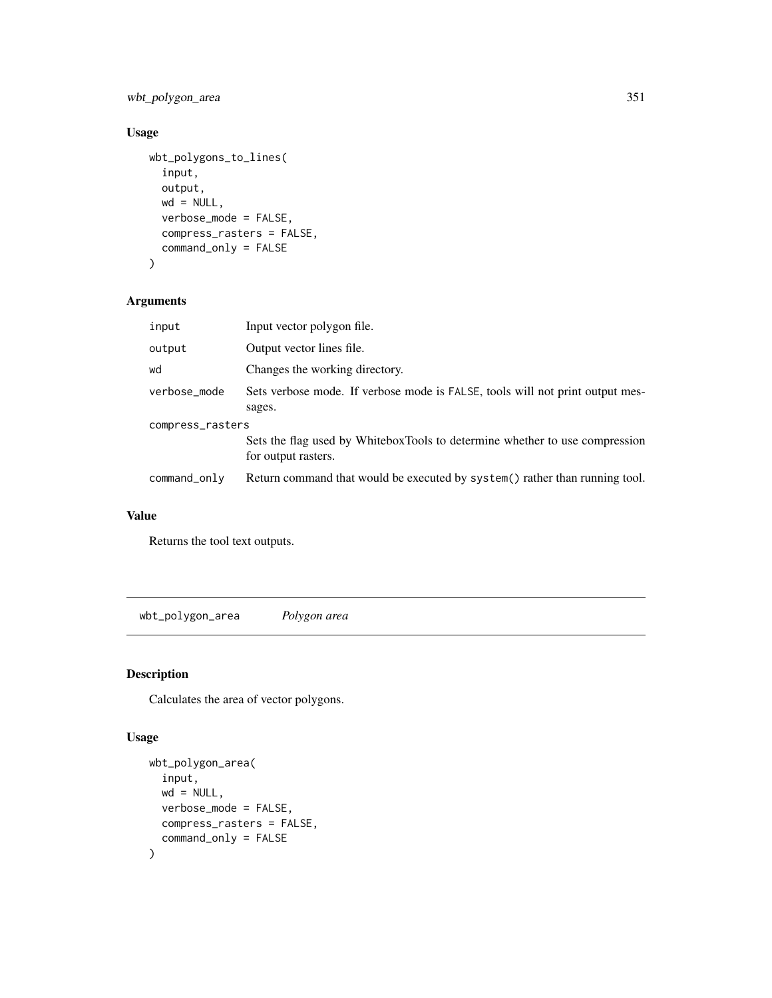wbt\_polygon\_area 351

# Usage

```
wbt_polygons_to_lines(
  input,
 output,
 wd = NULL,verbose_mode = FALSE,
 compress_rasters = FALSE,
 command_only = FALSE
)
```
### Arguments

| input            | Input vector polygon file.                                                                         |  |
|------------------|----------------------------------------------------------------------------------------------------|--|
| output           | Output vector lines file.                                                                          |  |
| wd               | Changes the working directory.                                                                     |  |
| verbose_mode     | Sets verbose mode. If verbose mode is FALSE, tools will not print output mes-<br>sages.            |  |
| compress_rasters |                                                                                                    |  |
|                  | Sets the flag used by WhiteboxTools to determine whether to use compression<br>for output rasters. |  |
| command_only     | Return command that would be executed by system() rather than running tool.                        |  |

### Value

Returns the tool text outputs.

wbt\_polygon\_area *Polygon area*

# Description

Calculates the area of vector polygons.

```
wbt_polygon_area(
  input,
  wd = NULL,verbose_mode = FALSE,
  compress_rasters = FALSE,
  command_only = FALSE
\mathcal{L}
```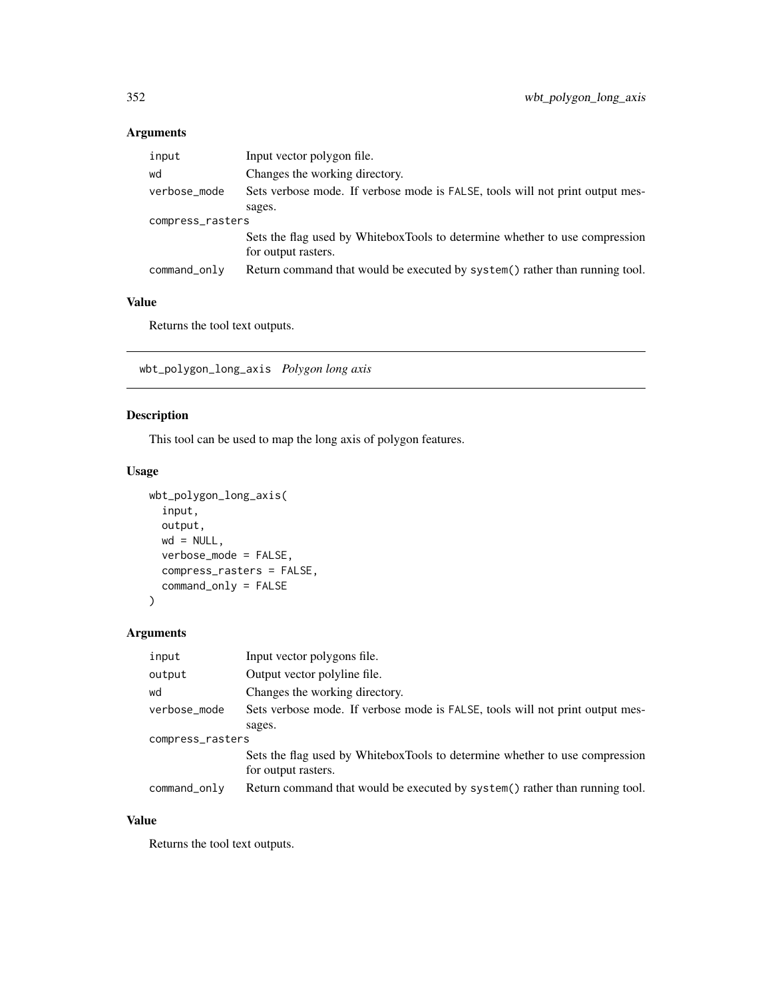| input            | Input vector polygon file.                                                    |  |
|------------------|-------------------------------------------------------------------------------|--|
| wd               | Changes the working directory.                                                |  |
| verbose_mode     | Sets verbose mode. If verbose mode is FALSE, tools will not print output mes- |  |
|                  | sages.                                                                        |  |
| compress_rasters |                                                                               |  |
|                  | Sets the flag used by WhiteboxTools to determine whether to use compression   |  |
|                  | for output rasters.                                                           |  |
| command_only     | Return command that would be executed by system() rather than running tool.   |  |

# Value

Returns the tool text outputs.

wbt\_polygon\_long\_axis *Polygon long axis*

# Description

This tool can be used to map the long axis of polygon features.

# Usage

```
wbt_polygon_long_axis(
  input,
 output,
 wd = NULL,verbose_mode = FALSE,
 compress_rasters = FALSE,
  command_only = FALSE
\mathcal{L}
```
# Arguments

| input            | Input vector polygons file.                                                                        |  |
|------------------|----------------------------------------------------------------------------------------------------|--|
| output           | Output vector polyline file.                                                                       |  |
| wd               | Changes the working directory.                                                                     |  |
| verbose_mode     | Sets verbose mode. If verbose mode is FALSE, tools will not print output mes-                      |  |
|                  | sages.                                                                                             |  |
| compress_rasters |                                                                                                    |  |
|                  | Sets the flag used by WhiteboxTools to determine whether to use compression<br>for output rasters. |  |
| command_only     | Return command that would be executed by system() rather than running tool.                        |  |

# Value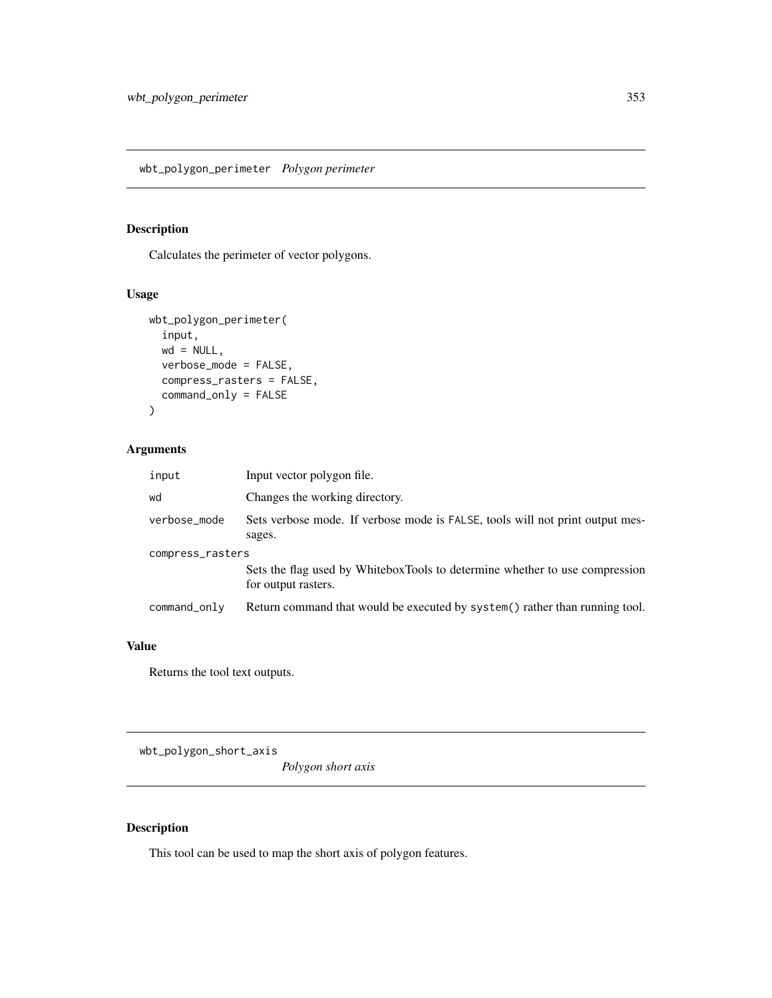# Description

Calculates the perimeter of vector polygons.

### Usage

```
wbt_polygon_perimeter(
  input,
  wd = NULL,verbose_mode = FALSE,
  compress_rasters = FALSE,
  command_only = FALSE
\mathcal{L}
```
### Arguments

| input            | Input vector polygon file.                                                                         |
|------------------|----------------------------------------------------------------------------------------------------|
| wd               | Changes the working directory.                                                                     |
| verbose_mode     | Sets verbose mode. If verbose mode is FALSE, tools will not print output mes-<br>sages.            |
| compress_rasters |                                                                                                    |
|                  | Sets the flag used by WhiteboxTools to determine whether to use compression<br>for output rasters. |
| command_only     | Return command that would be executed by system() rather than running tool.                        |

# Value

Returns the tool text outputs.

wbt\_polygon\_short\_axis

*Polygon short axis*

# Description

This tool can be used to map the short axis of polygon features.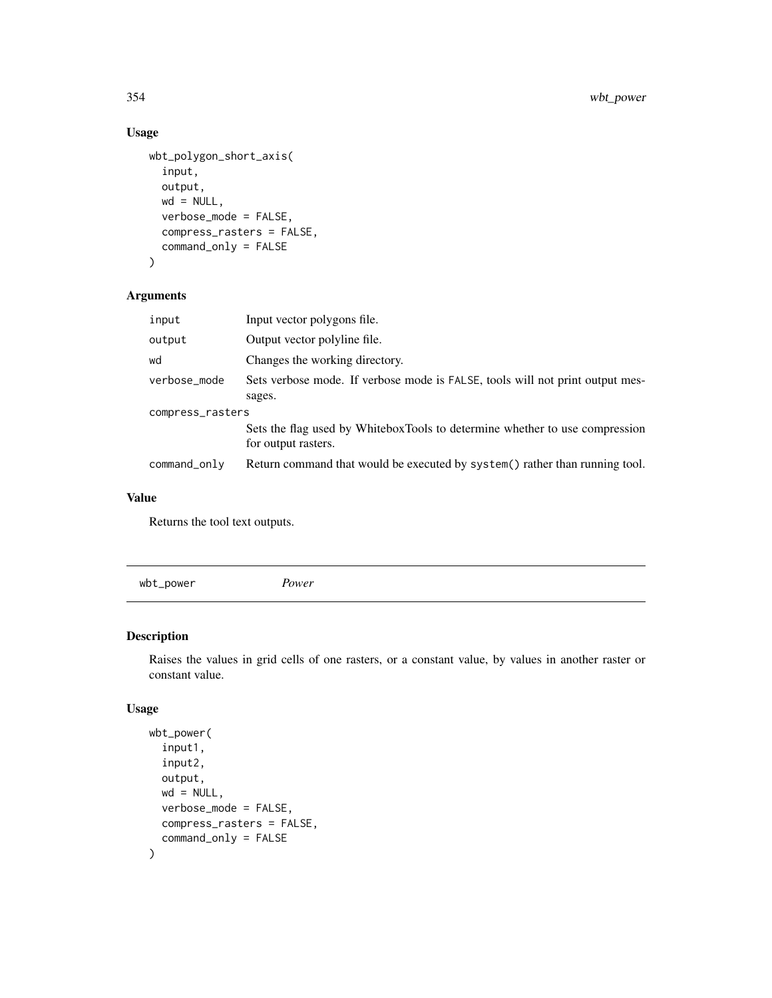### Usage

```
wbt_polygon_short_axis(
  input,
  output,
 wd = NULL,verbose_mode = FALSE,
  compress_rasters = FALSE,
  command_only = FALSE
)
```
### Arguments

| input            | Input vector polygons file.                                                                        |
|------------------|----------------------------------------------------------------------------------------------------|
| output           | Output vector polyline file.                                                                       |
| wd               | Changes the working directory.                                                                     |
| verbose_mode     | Sets verbose mode. If verbose mode is FALSE, tools will not print output mes-                      |
|                  | sages.                                                                                             |
| compress_rasters |                                                                                                    |
|                  | Sets the flag used by WhiteboxTools to determine whether to use compression<br>for output rasters. |
| command_only     | Return command that would be executed by system() rather than running tool.                        |

#### Value

Returns the tool text outputs.

wbt\_power *Power*

### Description

Raises the values in grid cells of one rasters, or a constant value, by values in another raster or constant value.

```
wbt_power(
  input1,
  input2,
  output,
  wd = NULL,verbose_mode = FALSE,
  compress_rasters = FALSE,
  command_only = FALSE
\mathcal{L}
```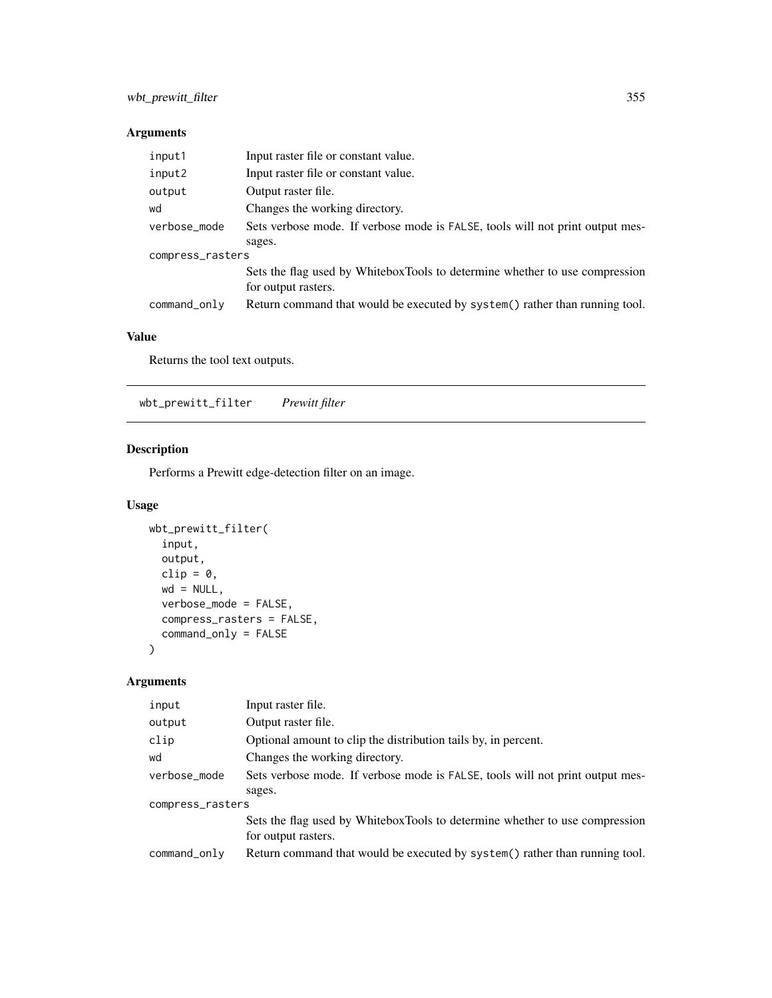| input1           | Input raster file or constant value.                                                               |
|------------------|----------------------------------------------------------------------------------------------------|
| input2           | Input raster file or constant value.                                                               |
| output           | Output raster file.                                                                                |
| wd               | Changes the working directory.                                                                     |
| verbose_mode     | Sets verbose mode. If verbose mode is FALSE, tools will not print output mes-                      |
|                  | sages.                                                                                             |
| compress_rasters |                                                                                                    |
|                  | Sets the flag used by WhiteboxTools to determine whether to use compression<br>for output rasters. |
|                  |                                                                                                    |
| command_only     | Return command that would be executed by system() rather than running tool.                        |

#### Value

Returns the tool text outputs.

wbt\_prewitt\_filter *Prewitt filter*

### Description

Performs a Prewitt edge-detection filter on an image.

### Usage

```
wbt_prewitt_filter(
  input,
  output,
  clip = \theta,
  wd = NULL,verbose_mode = FALSE,
  compress_rasters = FALSE,
  command_only = FALSE
\mathcal{L}
```
# Arguments

| input            | Input raster file.                                                                                 |
|------------------|----------------------------------------------------------------------------------------------------|
| output           | Output raster file.                                                                                |
| clip             | Optional amount to clip the distribution tails by, in percent.                                     |
| wd               | Changes the working directory.                                                                     |
| verbose_mode     | Sets verbose mode. If verbose mode is FALSE, tools will not print output mes-                      |
|                  | sages.                                                                                             |
| compress_rasters |                                                                                                    |
|                  | Sets the flag used by WhiteboxTools to determine whether to use compression<br>for output rasters. |
| command_only     | Return command that would be executed by system() rather than running tool.                        |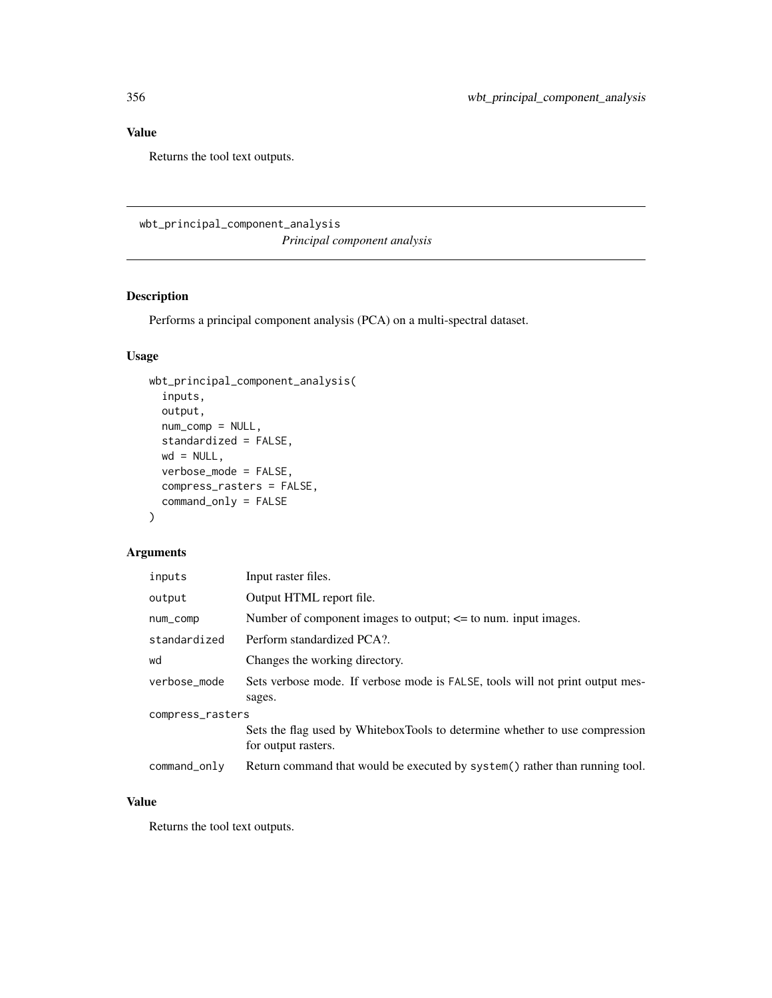# Value

Returns the tool text outputs.

wbt\_principal\_component\_analysis

*Principal component analysis*

## Description

Performs a principal component analysis (PCA) on a multi-spectral dataset.

# Usage

```
wbt_principal_component_analysis(
  inputs,
 output,
 num_comp = NULL,
 standardized = FALSE,
 wd = NULL,verbose_mode = FALSE,
 compress_rasters = FALSE,
 command_only = FALSE
)
```
### Arguments

| inputs           | Input raster files.                                                                                |
|------------------|----------------------------------------------------------------------------------------------------|
| output           | Output HTML report file.                                                                           |
| num_comp         | Number of component images to output; $\leq$ to num. input images.                                 |
| standardized     | Perform standardized PCA?.                                                                         |
| wd               | Changes the working directory.                                                                     |
| verbose mode     | Sets verbose mode. If verbose mode is FALSE, tools will not print output mes-<br>sages.            |
| compress_rasters |                                                                                                    |
|                  | Sets the flag used by WhiteboxTools to determine whether to use compression<br>for output rasters. |
| command_only     | Return command that would be executed by system() rather than running tool.                        |

#### Value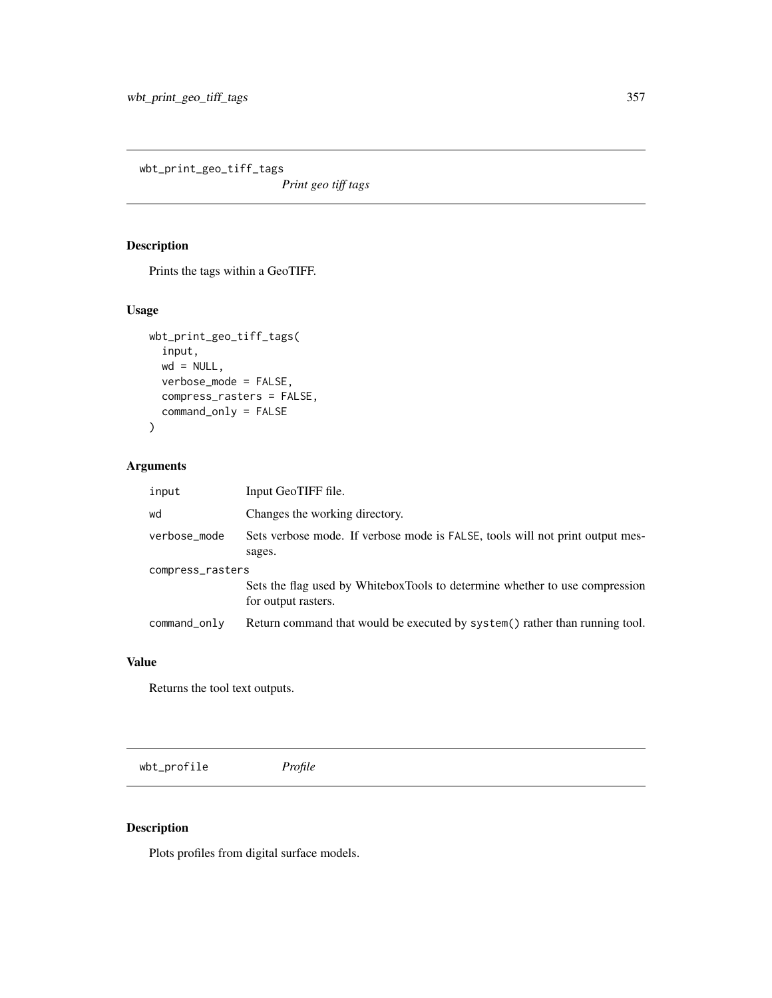wbt\_print\_geo\_tiff\_tags

*Print geo tiff tags*

# Description

Prints the tags within a GeoTIFF.

### Usage

```
wbt_print_geo_tiff_tags(
  input,
 wd = NULL,verbose_mode = FALSE,
 compress_rasters = FALSE,
 command_only = FALSE
)
```
### Arguments

| input            | Input GeoTIFF file.                                                                                |
|------------------|----------------------------------------------------------------------------------------------------|
| wd               | Changes the working directory.                                                                     |
| verbose_mode     | Sets verbose mode. If verbose mode is FALSE, tools will not print output mes-<br>sages.            |
| compress_rasters |                                                                                                    |
|                  | Sets the flag used by WhiteboxTools to determine whether to use compression<br>for output rasters. |
| command_only     | Return command that would be executed by system() rather than running tool.                        |

#### Value

Returns the tool text outputs.

wbt\_profile *Profile*

# Description

Plots profiles from digital surface models.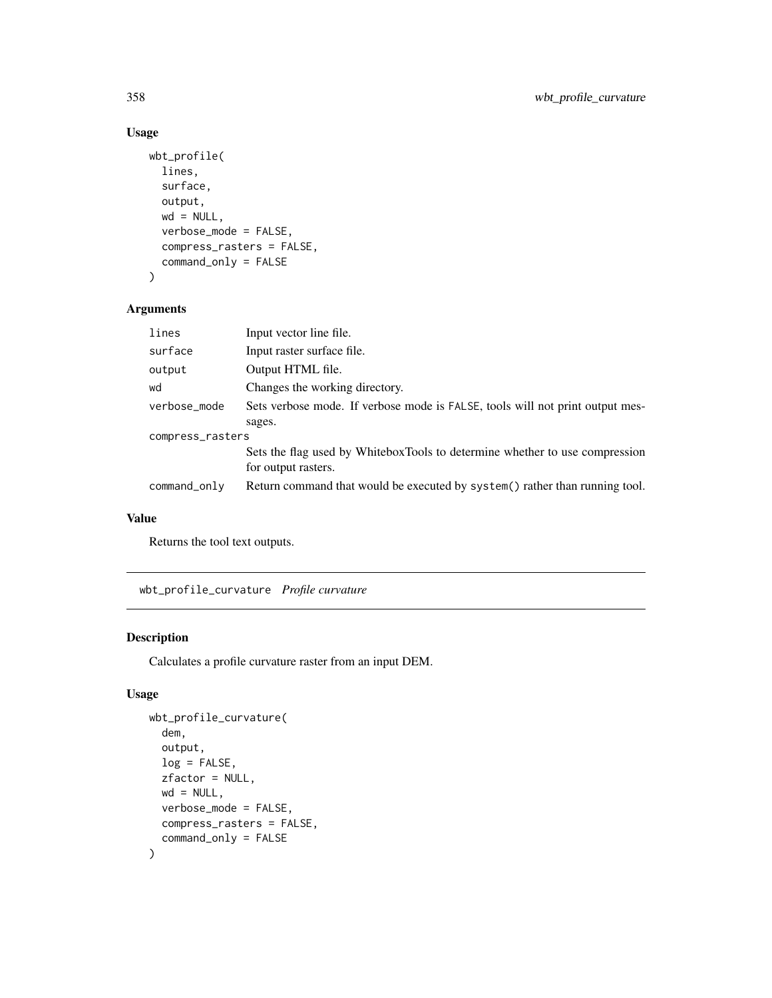# Usage

```
wbt_profile(
  lines,
  surface,
 output,
 wd = NULL,verbose_mode = FALSE,
  compress_rasters = FALSE,
  command_only = FALSE
\mathcal{L}
```
# Arguments

| lines            | Input vector line file.                                                                            |
|------------------|----------------------------------------------------------------------------------------------------|
| surface          | Input raster surface file.                                                                         |
| output           | Output HTML file.                                                                                  |
| wd               | Changes the working directory.                                                                     |
| verbose_mode     | Sets verbose mode. If verbose mode is FALSE, tools will not print output mes-                      |
|                  | sages.                                                                                             |
| compress_rasters |                                                                                                    |
|                  | Sets the flag used by WhiteboxTools to determine whether to use compression<br>for output rasters. |
| command_only     | Return command that would be executed by system() rather than running tool.                        |

### Value

Returns the tool text outputs.

wbt\_profile\_curvature *Profile curvature*

# Description

Calculates a profile curvature raster from an input DEM.

```
wbt_profile_curvature(
  dem,
  output,
 log = FALSE,
 zfactor = NULL,
 wd = NULL,verbose_mode = FALSE,
 compress_rasters = FALSE,
  command_only = FALSE
\mathcal{L}
```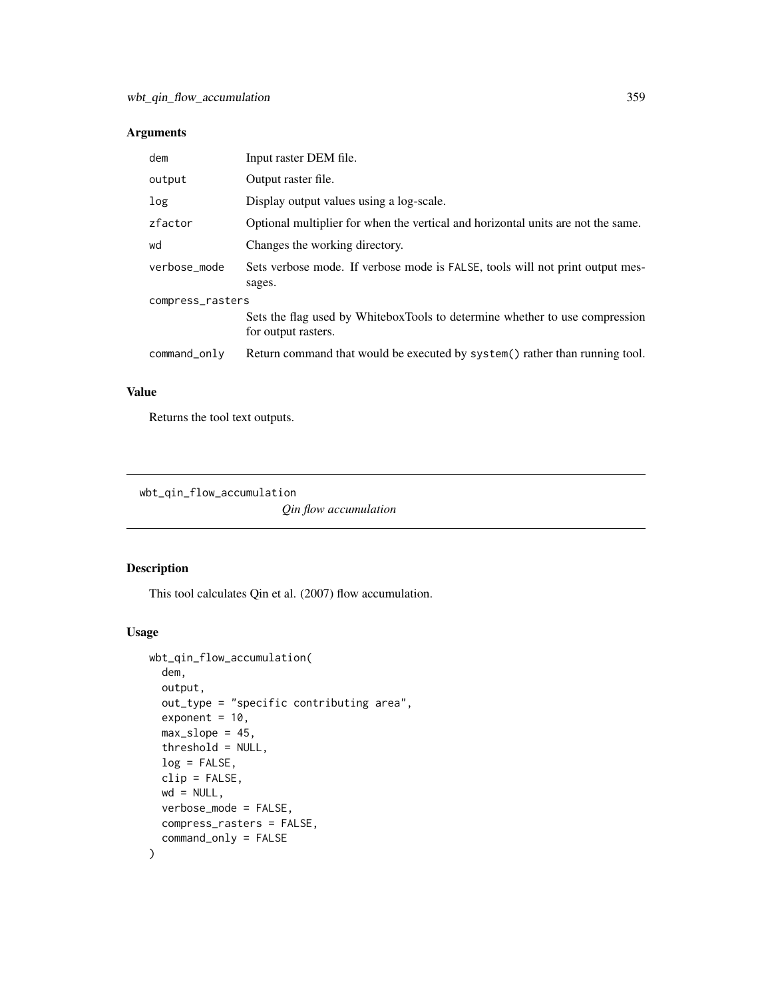| dem              | Input raster DEM file.                                                                             |
|------------------|----------------------------------------------------------------------------------------------------|
| output           | Output raster file.                                                                                |
| log              | Display output values using a log-scale.                                                           |
| zfactor          | Optional multiplier for when the vertical and horizontal units are not the same.                   |
| wd               | Changes the working directory.                                                                     |
| verbose mode     | Sets verbose mode. If verbose mode is FALSE, tools will not print output mes-<br>sages.            |
| compress_rasters |                                                                                                    |
|                  | Sets the flag used by WhiteboxTools to determine whether to use compression<br>for output rasters. |
| command_only     | Return command that would be executed by system() rather than running tool.                        |

#### Value

Returns the tool text outputs.

wbt\_qin\_flow\_accumulation

*Qin flow accumulation*

# Description

This tool calculates Qin et al. (2007) flow accumulation.

```
wbt_qin_flow_accumulation(
 dem,
 output,
 out_type = "specific contributing area",
  exponent = 10,
 max_slope = 45,
 threshold = NULL,
 log = FALSE,
 clip = FALSE,
 wd = NULL,verbose_mode = FALSE,
 compress_rasters = FALSE,
  command_only = FALSE
\mathcal{L}
```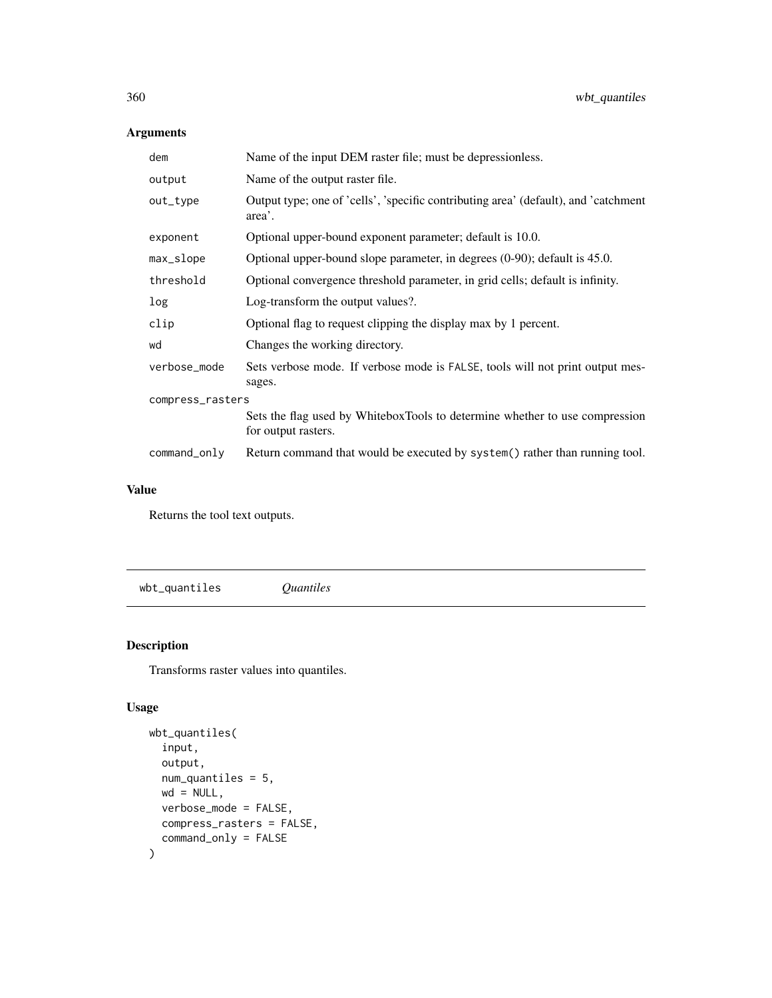| dem              | Name of the input DEM raster file; must be depressionless.                                         |
|------------------|----------------------------------------------------------------------------------------------------|
| output           | Name of the output raster file.                                                                    |
| out_type         | Output type; one of 'cells', 'specific contributing area' (default), and 'catchment<br>area'.      |
| exponent         | Optional upper-bound exponent parameter; default is 10.0.                                          |
| max_slope        | Optional upper-bound slope parameter, in degrees $(0-90)$ ; default is 45.0.                       |
| threshold        | Optional convergence threshold parameter, in grid cells; default is infinity.                      |
| log              | Log-transform the output values?.                                                                  |
| clip             | Optional flag to request clipping the display max by 1 percent.                                    |
| wd               | Changes the working directory.                                                                     |
| verbose_mode     | Sets verbose mode. If verbose mode is FALSE, tools will not print output mes-<br>sages.            |
| compress_rasters |                                                                                                    |
|                  | Sets the flag used by WhiteboxTools to determine whether to use compression<br>for output rasters. |
| command_only     | Return command that would be executed by system() rather than running tool.                        |

### Value

Returns the tool text outputs.

wbt\_quantiles *Quantiles*

# Description

Transforms raster values into quantiles.

```
wbt_quantiles(
  input,
 output,
 num_quantiles = 5,
 wd = NULL,verbose_mode = FALSE,
 compress_rasters = FALSE,
  command_only = FALSE
\mathcal{L}
```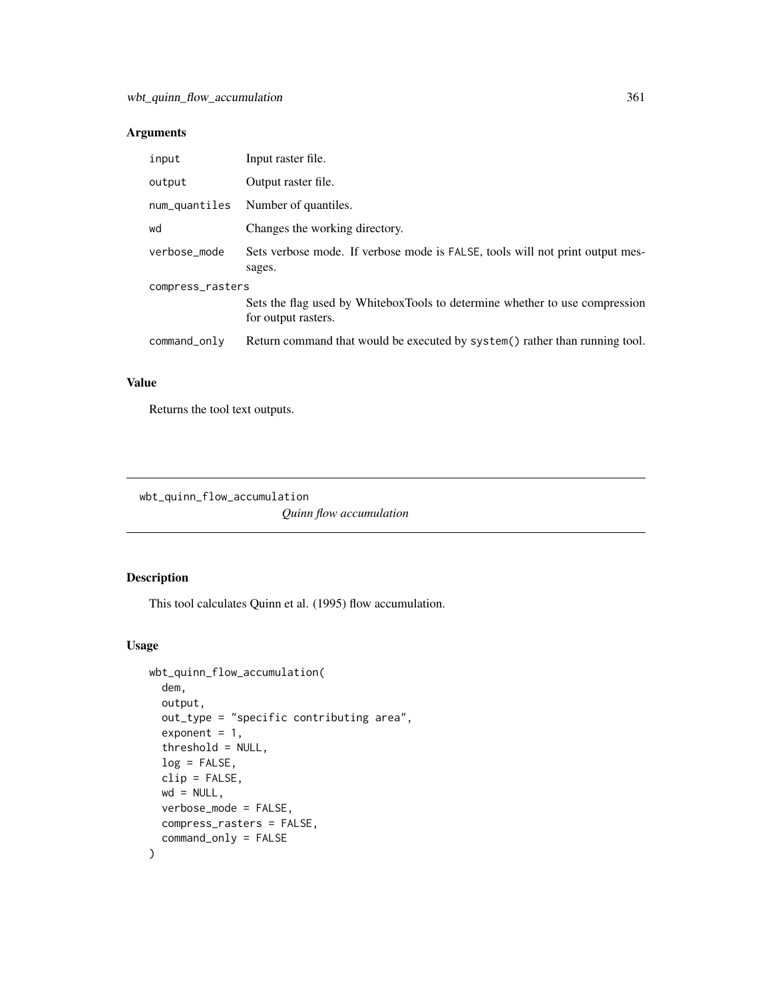| input            | Input raster file.                                                                                 |  |
|------------------|----------------------------------------------------------------------------------------------------|--|
| output           | Output raster file.                                                                                |  |
| num_quantiles    | Number of quantiles.                                                                               |  |
| wd               | Changes the working directory.                                                                     |  |
| verbose_mode     | Sets verbose mode. If verbose mode is FALSE, tools will not print output mes-<br>sages.            |  |
| compress_rasters |                                                                                                    |  |
|                  | Sets the flag used by WhiteboxTools to determine whether to use compression<br>for output rasters. |  |
| command_only     | Return command that would be executed by system() rather than running tool.                        |  |

## Value

Returns the tool text outputs.

wbt\_quinn\_flow\_accumulation

*Quinn flow accumulation*

## Description

This tool calculates Quinn et al. (1995) flow accumulation.

```
wbt_quinn_flow_accumulation(
 dem,
 output,
 out_type = "specific contributing area",
 exponent = 1,
  threshold = NULL,
 log = FALSE,
 clip = FALSE,
 wd = NULL,verbose_mode = FALSE,
 compress_rasters = FALSE,
  command_only = FALSE
)
```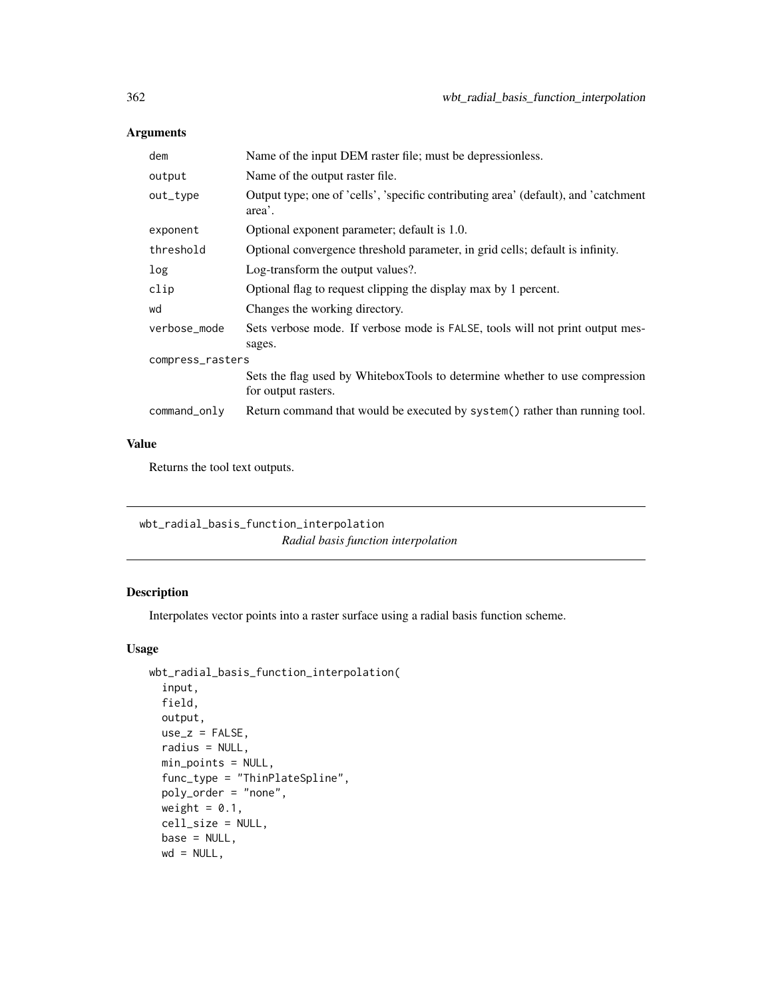| dem              | Name of the input DEM raster file; must be depressionless.                                         |  |
|------------------|----------------------------------------------------------------------------------------------------|--|
| output           | Name of the output raster file.                                                                    |  |
| out_type         | Output type; one of 'cells', 'specific contributing area' (default), and 'catchment<br>area'.      |  |
| exponent         | Optional exponent parameter; default is 1.0.                                                       |  |
| threshold        | Optional convergence threshold parameter, in grid cells; default is infinity.                      |  |
| log              | Log-transform the output values?.                                                                  |  |
| clip             | Optional flag to request clipping the display max by 1 percent.                                    |  |
| wd               | Changes the working directory.                                                                     |  |
| verbose_mode     | Sets verbose mode. If verbose mode is FALSE, tools will not print output mes-<br>sages.            |  |
| compress_rasters |                                                                                                    |  |
|                  | Sets the flag used by WhiteboxTools to determine whether to use compression<br>for output rasters. |  |
| command_only     | Return command that would be executed by system() rather than running tool.                        |  |

## Value

Returns the tool text outputs.

wbt\_radial\_basis\_function\_interpolation *Radial basis function interpolation*

## Description

Interpolates vector points into a raster surface using a radial basis function scheme.

```
wbt_radial_basis_function_interpolation(
  input,
 field,
 output,
 use_z = FALSE,radius = NULL,
 min_points = NULL,
 func_type = "ThinPlateSpline",
 poly_order = "none",
 weight = 0.1,
 cell_size = NULL,
 base = NULL,wd = NULL,
```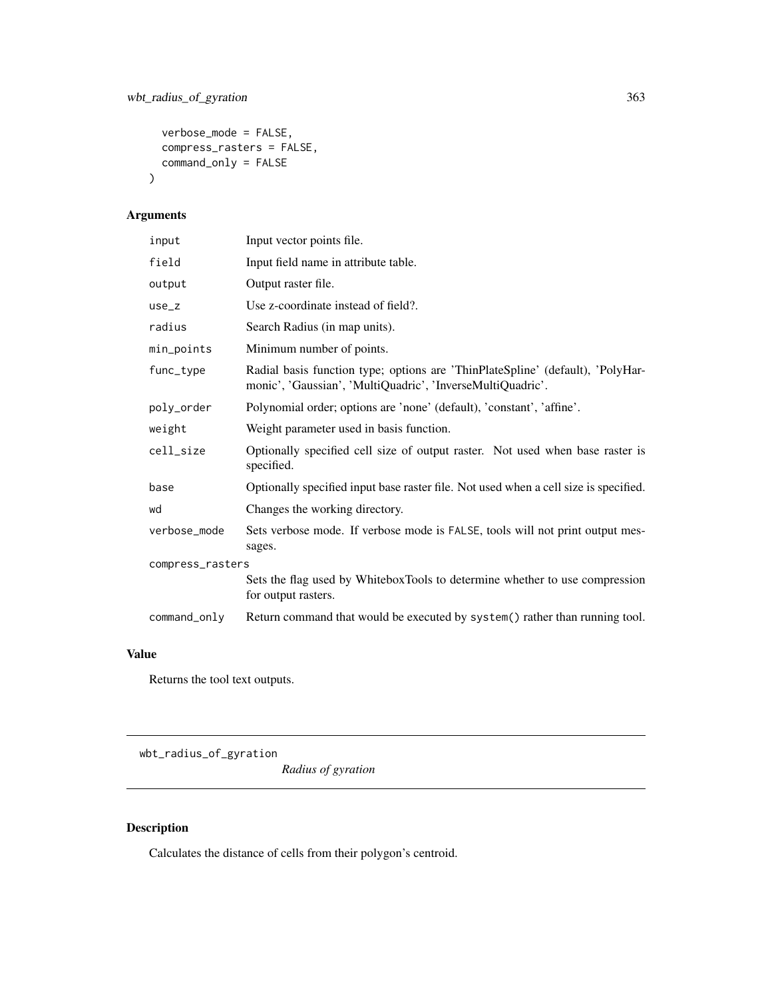```
verbose_mode = FALSE,
  compress_rasters = FALSE,
  command_only = FALSE
\mathcal{L}
```

| input            | Input vector points file.                                                                                                                    |  |
|------------------|----------------------------------------------------------------------------------------------------------------------------------------------|--|
| field            | Input field name in attribute table.                                                                                                         |  |
| output           | Output raster file.                                                                                                                          |  |
| $use_z$          | Use z-coordinate instead of field?.                                                                                                          |  |
| radius           | Search Radius (in map units).                                                                                                                |  |
| min_points       | Minimum number of points.                                                                                                                    |  |
| func_type        | Radial basis function type; options are 'ThinPlateSpline' (default), 'PolyHar-<br>monic', 'Gaussian', 'MultiQuadric', 'InverseMultiQuadric'. |  |
| poly_order       | Polynomial order; options are 'none' (default), 'constant', 'affine'.                                                                        |  |
| weight           | Weight parameter used in basis function.                                                                                                     |  |
| cell_size        | Optionally specified cell size of output raster. Not used when base raster is<br>specified.                                                  |  |
| base             | Optionally specified input base raster file. Not used when a cell size is specified.                                                         |  |
| wd               | Changes the working directory.                                                                                                               |  |
| verbose_mode     | Sets verbose mode. If verbose mode is FALSE, tools will not print output mes-<br>sages.                                                      |  |
| compress_rasters |                                                                                                                                              |  |
|                  | Sets the flag used by WhiteboxTools to determine whether to use compression<br>for output rasters.                                           |  |
| $command\_only$  | Return command that would be executed by system() rather than running tool.                                                                  |  |

## Value

Returns the tool text outputs.

wbt\_radius\_of\_gyration

*Radius of gyration*

# Description

Calculates the distance of cells from their polygon's centroid.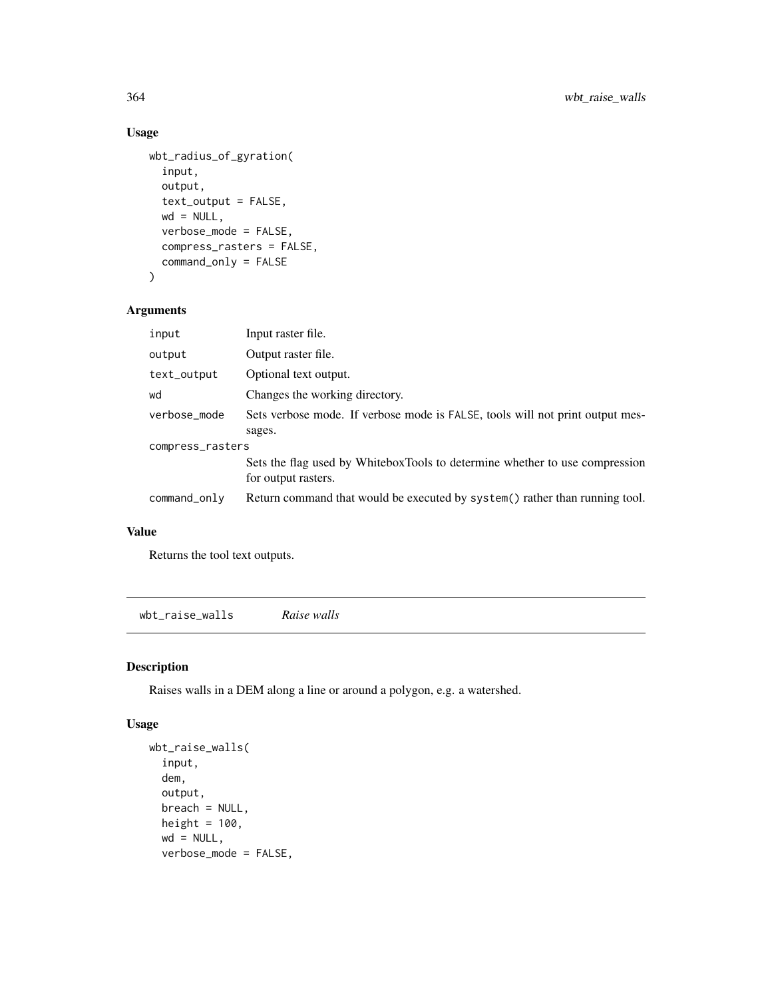#### Usage

```
wbt_radius_of_gyration(
  input,
 output,
  text_output = FALSE,
 wd = NULL,verbose_mode = FALSE,
  compress_rasters = FALSE,
  command_only = FALSE
\mathcal{L}
```
## Arguments

| input            | Input raster file.                                                                                 |  |
|------------------|----------------------------------------------------------------------------------------------------|--|
| output           | Output raster file.                                                                                |  |
| text_output      | Optional text output.                                                                              |  |
| wd               | Changes the working directory.                                                                     |  |
| verbose_mode     | Sets verbose mode. If verbose mode is FALSE, tools will not print output mes-                      |  |
|                  | sages.                                                                                             |  |
| compress_rasters |                                                                                                    |  |
|                  | Sets the flag used by WhiteboxTools to determine whether to use compression<br>for output rasters. |  |
| command_only     | Return command that would be executed by system() rather than running tool.                        |  |

#### Value

Returns the tool text outputs.

wbt\_raise\_walls *Raise walls*

## Description

Raises walls in a DEM along a line or around a polygon, e.g. a watershed.

```
wbt_raise_walls(
  input,
 dem,
 output,
 breach = NULL,
 height = 100,
 wd = NULL,verbose_mode = FALSE,
```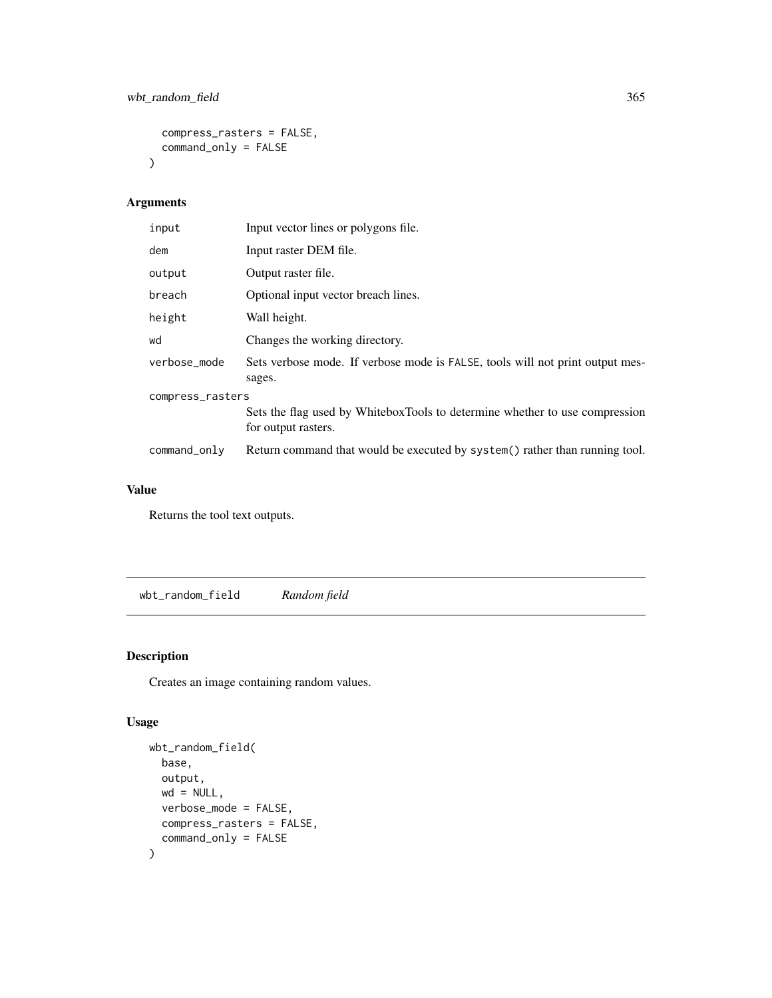```
compress_rasters = FALSE,
  command_only = FALSE
\mathcal{L}
```

| input            | Input vector lines or polygons file.                                                               |  |
|------------------|----------------------------------------------------------------------------------------------------|--|
| dem              | Input raster DEM file.                                                                             |  |
| output           | Output raster file.                                                                                |  |
| breach           | Optional input vector breach lines.                                                                |  |
| height           | Wall height.                                                                                       |  |
| wd               | Changes the working directory.                                                                     |  |
| verbose_mode     | Sets verbose mode. If verbose mode is FALSE, tools will not print output mes-<br>sages.            |  |
| compress_rasters |                                                                                                    |  |
|                  | Sets the flag used by WhiteboxTools to determine whether to use compression<br>for output rasters. |  |
| command_only     | Return command that would be executed by system() rather than running tool.                        |  |

#### Value

Returns the tool text outputs.

wbt\_random\_field *Random field*

## Description

Creates an image containing random values.

```
wbt_random_field(
 base,
 output,
 wd = NULL,verbose_mode = FALSE,
 compress_rasters = FALSE,
  command_only = FALSE
\mathcal{L}
```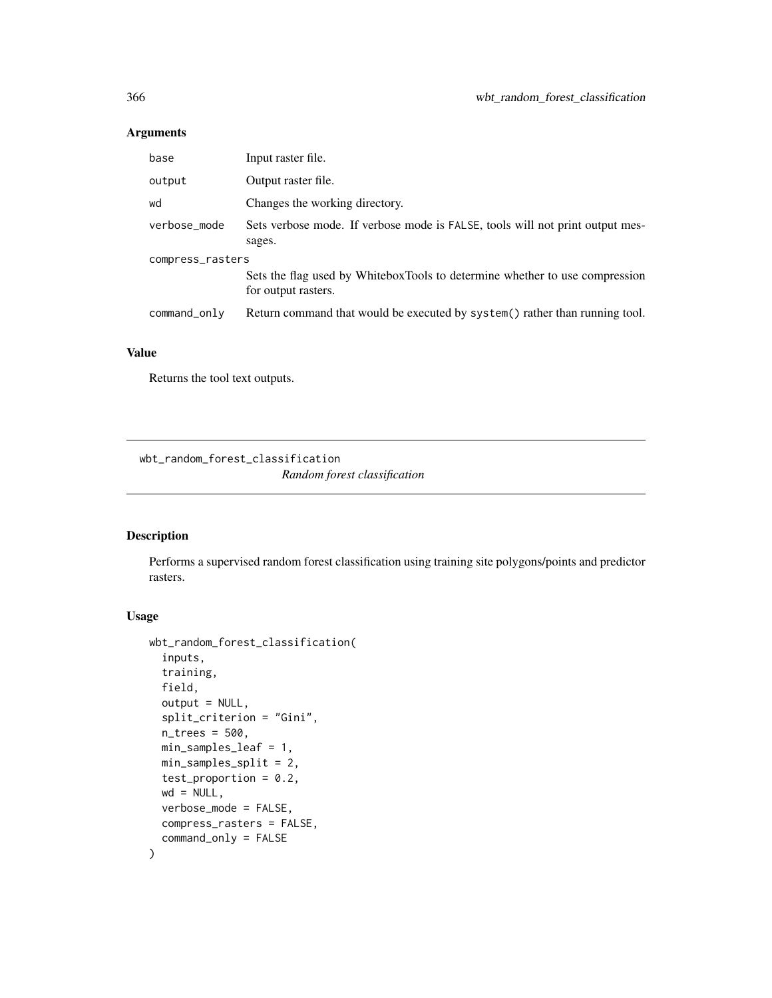| base             | Input raster file.                                                                                 |  |
|------------------|----------------------------------------------------------------------------------------------------|--|
| output           | Output raster file.                                                                                |  |
| wd               | Changes the working directory.                                                                     |  |
| verbose_mode     | Sets verbose mode. If verbose mode is FALSE, tools will not print output mes-<br>sages.            |  |
| compress_rasters |                                                                                                    |  |
|                  | Sets the flag used by WhiteboxTools to determine whether to use compression<br>for output rasters. |  |
| command_only     | Return command that would be executed by system() rather than running tool.                        |  |
|                  |                                                                                                    |  |

#### Value

Returns the tool text outputs.

wbt\_random\_forest\_classification *Random forest classification*

#### Description

Performs a supervised random forest classification using training site polygons/points and predictor rasters.

```
wbt_random_forest_classification(
  inputs,
  training,
  field,
  output = NULL,
  split_criterion = "Gini",
  n_trees = 500,
 min_samples_leaf = 1,
 min_samples_split = 2,
  test_proportion = 0.2,
 wd = NULL,verbose_mode = FALSE,
  compress_rasters = FALSE,
  command_only = FALSE
\mathcal{E}
```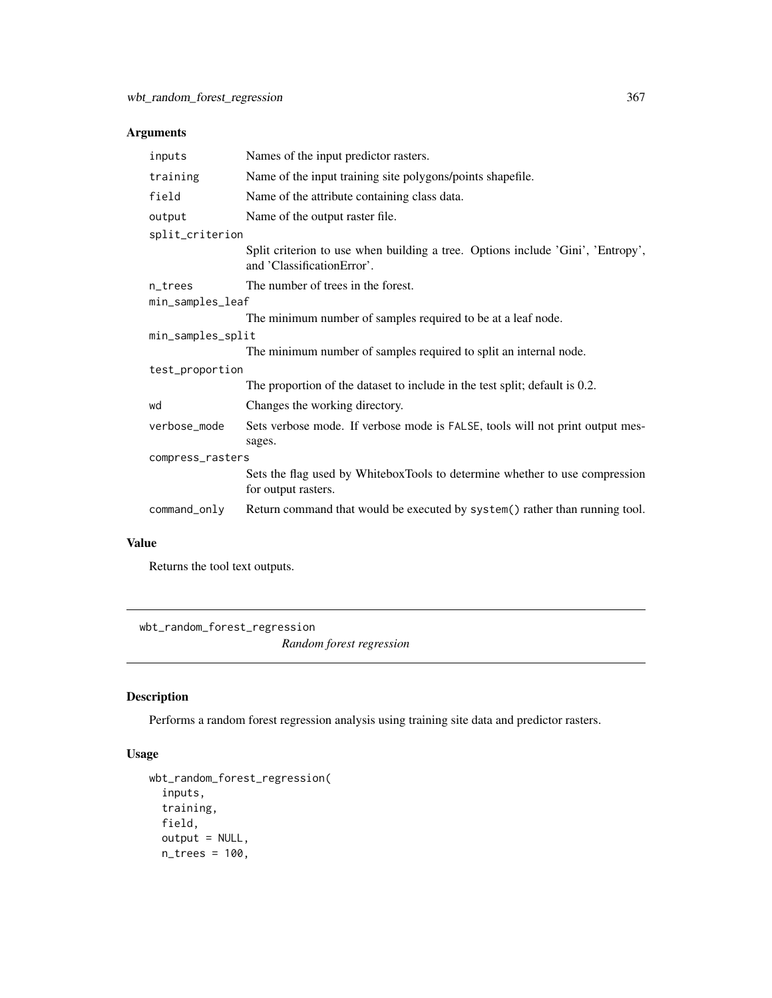| inputs            | Names of the input predictor rasters.                                                                         |  |
|-------------------|---------------------------------------------------------------------------------------------------------------|--|
| training          | Name of the input training site polygons/points shapefile.                                                    |  |
| field             | Name of the attribute containing class data.                                                                  |  |
| output            | Name of the output raster file.                                                                               |  |
| split_criterion   |                                                                                                               |  |
|                   | Split criterion to use when building a tree. Options include 'Gini', 'Entropy',<br>and 'ClassificationError'. |  |
| n_trees           | The number of trees in the forest.                                                                            |  |
| min_samples_leaf  |                                                                                                               |  |
|                   | The minimum number of samples required to be at a leaf node.                                                  |  |
| min_samples_split |                                                                                                               |  |
|                   | The minimum number of samples required to split an internal node.                                             |  |
| test_proportion   |                                                                                                               |  |
|                   | The proportion of the dataset to include in the test split; default is 0.2.                                   |  |
| wd                | Changes the working directory.                                                                                |  |
| verbose_mode      | Sets verbose mode. If verbose mode is FALSE, tools will not print output mes-<br>sages.                       |  |
| compress_rasters  |                                                                                                               |  |
|                   | Sets the flag used by WhiteboxTools to determine whether to use compression<br>for output rasters.            |  |
| command_only      | Return command that would be executed by system() rather than running tool.                                   |  |

## Value

Returns the tool text outputs.

wbt\_random\_forest\_regression *Random forest regression*

# Description

Performs a random forest regression analysis using training site data and predictor rasters.

```
wbt_random_forest_regression(
 inputs,
 training,
 field,
 output = NULL,n_trees = 100,
```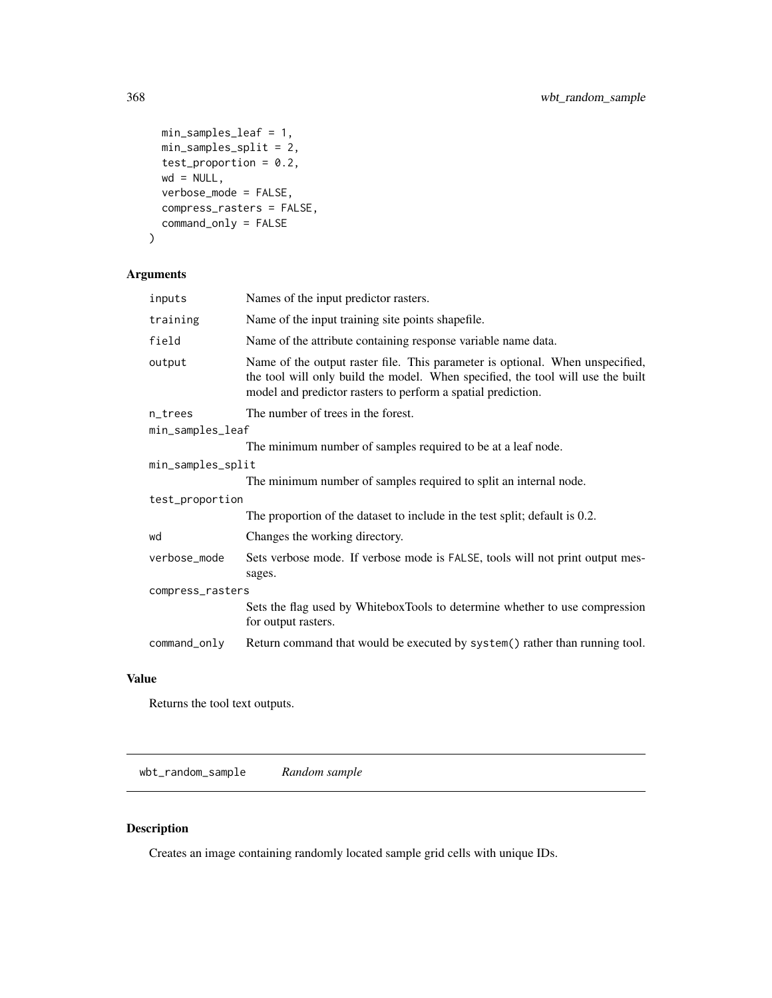```
min_samples_leaf = 1,
 min_samples_split = 2,
 test_proportion = 0.2,
 wd = NULL,verbose_mode = FALSE,
 compress_rasters = FALSE,
 command_only = FALSE
)
```

| inputs            | Names of the input predictor rasters.                                                                                                                                                                                            |  |
|-------------------|----------------------------------------------------------------------------------------------------------------------------------------------------------------------------------------------------------------------------------|--|
| training          | Name of the input training site points shapefile.                                                                                                                                                                                |  |
| field             | Name of the attribute containing response variable name data.                                                                                                                                                                    |  |
| output            | Name of the output raster file. This parameter is optional. When unspecified,<br>the tool will only build the model. When specified, the tool will use the built<br>model and predictor rasters to perform a spatial prediction. |  |
| n_trees           | The number of trees in the forest.                                                                                                                                                                                               |  |
| min_samples_leaf  |                                                                                                                                                                                                                                  |  |
|                   | The minimum number of samples required to be at a leaf node.                                                                                                                                                                     |  |
| min_samples_split |                                                                                                                                                                                                                                  |  |
|                   | The minimum number of samples required to split an internal node.                                                                                                                                                                |  |
| test_proportion   |                                                                                                                                                                                                                                  |  |
|                   | The proportion of the dataset to include in the test split; default is 0.2.                                                                                                                                                      |  |
| wd                | Changes the working directory.                                                                                                                                                                                                   |  |
| verbose_mode      | Sets verbose mode. If verbose mode is FALSE, tools will not print output mes-<br>sages.                                                                                                                                          |  |
| compress_rasters  |                                                                                                                                                                                                                                  |  |
|                   | Sets the flag used by WhiteboxTools to determine whether to use compression<br>for output rasters.                                                                                                                               |  |
| command_only      | Return command that would be executed by system() rather than running tool.                                                                                                                                                      |  |

## Value

Returns the tool text outputs.

wbt\_random\_sample *Random sample*

## Description

Creates an image containing randomly located sample grid cells with unique IDs.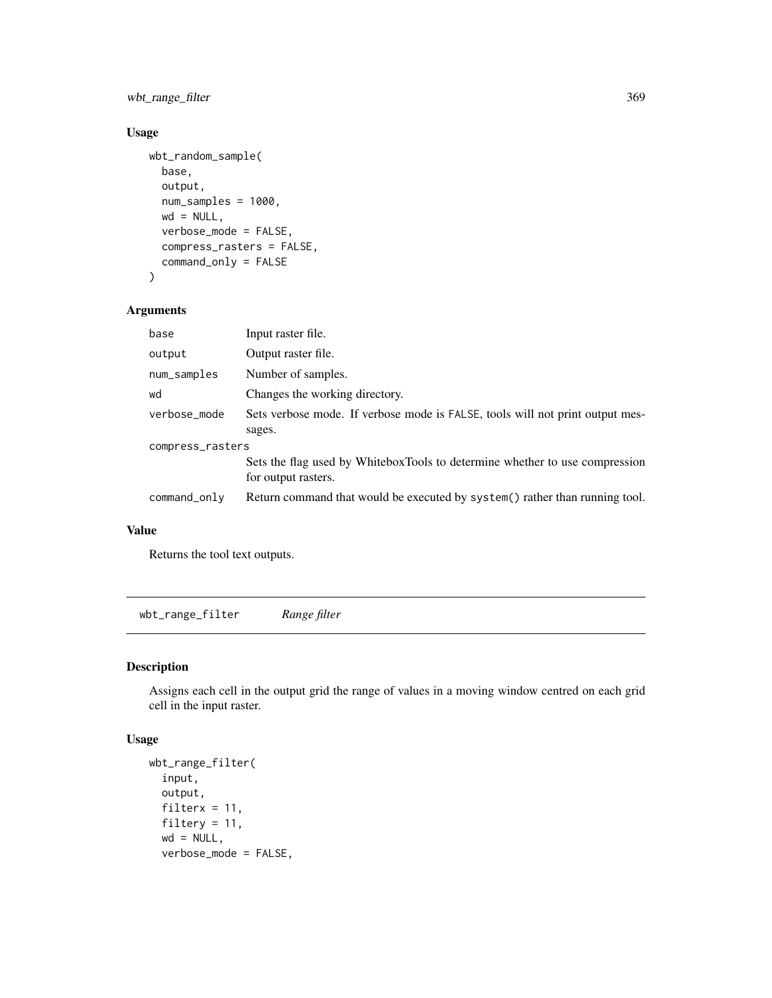wbt\_range\_filter 369

#### Usage

```
wbt_random_sample(
 base,
 output,
 num_samples = 1000,
 wd = NULL,verbose_mode = FALSE,
  compress_rasters = FALSE,
  command_only = FALSE
\mathcal{L}
```
## Arguments

| base             | Input raster file.                                                                                 |  |
|------------------|----------------------------------------------------------------------------------------------------|--|
| output           | Output raster file.                                                                                |  |
| num_samples      | Number of samples.                                                                                 |  |
| wd               | Changes the working directory.                                                                     |  |
| verbose_mode     | Sets verbose mode. If verbose mode is FALSE, tools will not print output mes-                      |  |
|                  | sages.                                                                                             |  |
| compress_rasters |                                                                                                    |  |
|                  | Sets the flag used by WhiteboxTools to determine whether to use compression<br>for output rasters. |  |
| command_only     | Return command that would be executed by system() rather than running tool.                        |  |

#### Value

Returns the tool text outputs.

wbt\_range\_filter *Range filter*

## Description

Assigns each cell in the output grid the range of values in a moving window centred on each grid cell in the input raster.

```
wbt_range_filter(
  input,
 output,
 filterx = 11,
 filtery = 11,
 wd = NULL,verbose_mode = FALSE,
```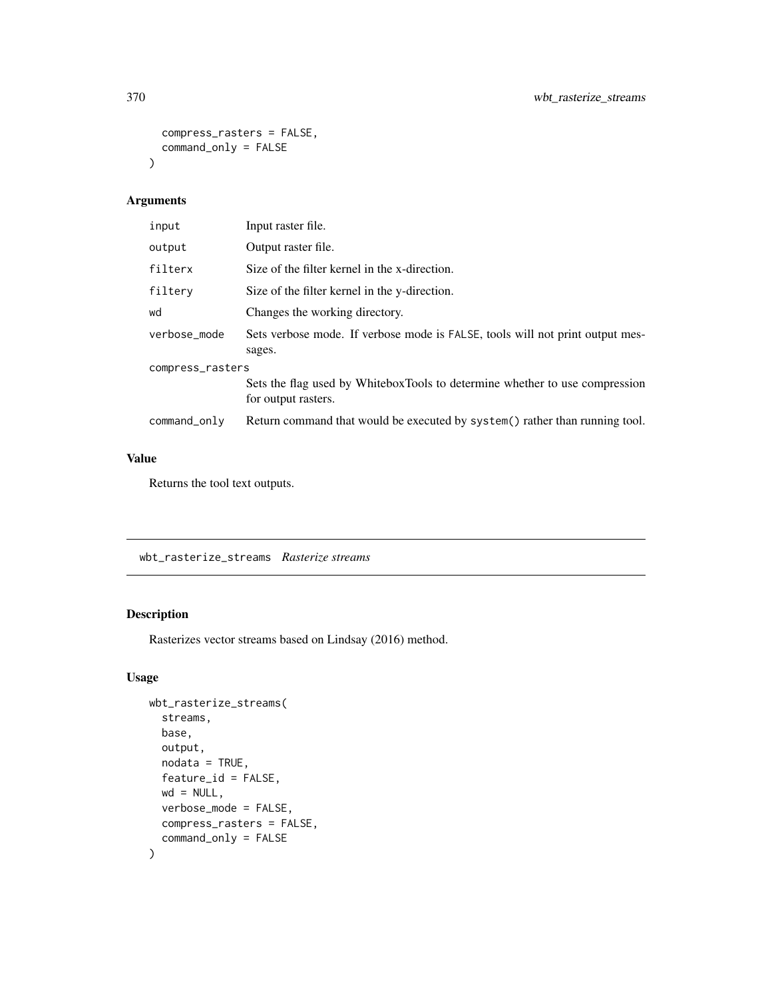```
compress_rasters = FALSE,
  command_only = FALSE
\mathcal{L}
```

| input            | Input raster file.                                                                                 |  |
|------------------|----------------------------------------------------------------------------------------------------|--|
| output           | Output raster file.                                                                                |  |
| filterx          | Size of the filter kernel in the x-direction.                                                      |  |
| filtery          | Size of the filter kernel in the y-direction.                                                      |  |
| wd               | Changes the working directory.                                                                     |  |
| verbose mode     | Sets verbose mode. If verbose mode is FALSE, tools will not print output mes-<br>sages.            |  |
| compress_rasters |                                                                                                    |  |
|                  | Sets the flag used by WhiteboxTools to determine whether to use compression<br>for output rasters. |  |
| command_only     | Return command that would be executed by system() rather than running tool.                        |  |

## Value

Returns the tool text outputs.

wbt\_rasterize\_streams *Rasterize streams*

## Description

Rasterizes vector streams based on Lindsay (2016) method.

```
wbt_rasterize_streams(
  streams,
  base,
  output,
  nodata = TRUE,
  feature_id = FALSE,
  wd = NULL,verbose_mode = FALSE,
  compress_rasters = FALSE,
  command_only = FALSE
\mathcal{L}
```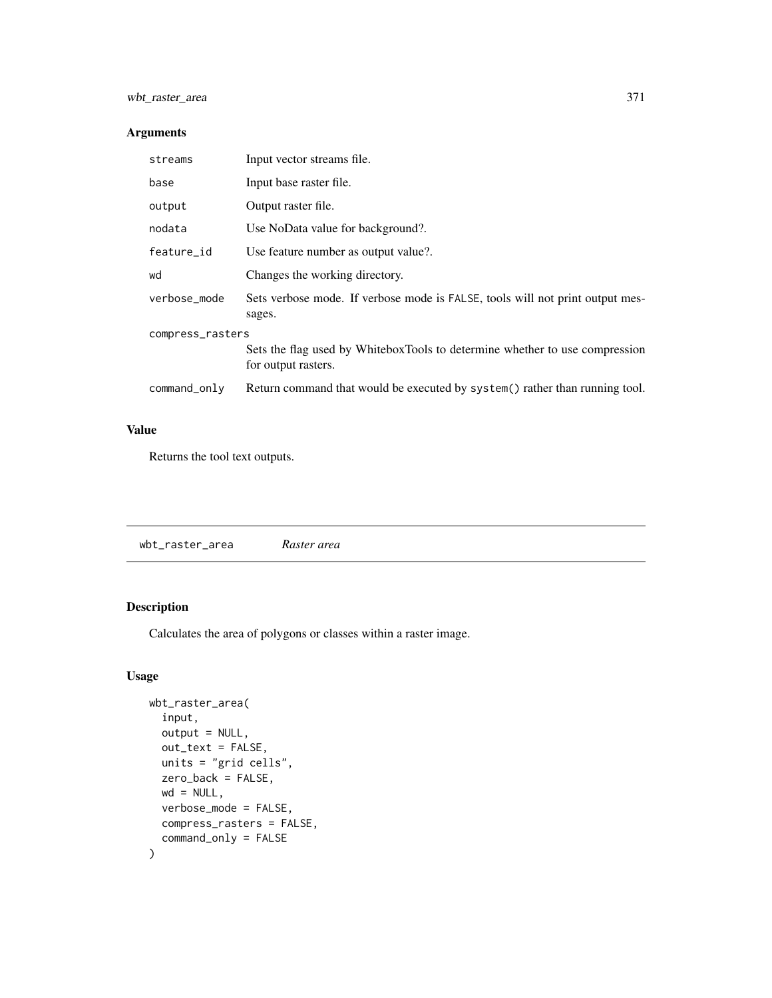| streams          | Input vector streams file.                                                                         |  |
|------------------|----------------------------------------------------------------------------------------------------|--|
| base             | Input base raster file.                                                                            |  |
| output           | Output raster file.                                                                                |  |
| nodata           | Use NoData value for background?.                                                                  |  |
| feature_id       | Use feature number as output value?.                                                               |  |
| wd               | Changes the working directory.                                                                     |  |
| verbose mode     | Sets verbose mode. If verbose mode is FALSE, tools will not print output mes-<br>sages.            |  |
| compress_rasters |                                                                                                    |  |
|                  | Sets the flag used by WhiteboxTools to determine whether to use compression<br>for output rasters. |  |
| command_only     | Return command that would be executed by system() rather than running tool.                        |  |

## Value

Returns the tool text outputs.

| wbt_raster_area | Raster area |
|-----------------|-------------|
|                 |             |

## Description

Calculates the area of polygons or classes within a raster image.

```
wbt_raster_area(
  input,
  output = NULL,
  out_text = FALSE,
  units = "grid cells",
  zero_back = FALSE,
  wd = NULL,verbose_mode = FALSE,
  compress_rasters = FALSE,
  command_only = FALSE
\mathcal{L}
```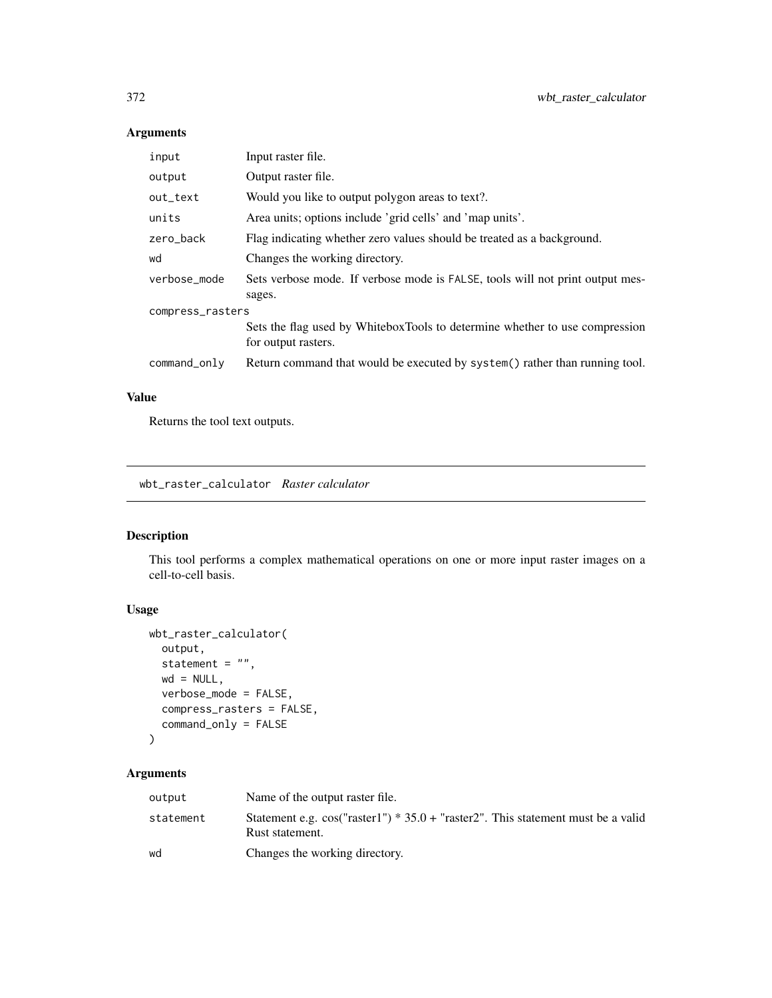| input            | Input raster file.                                                                                 |  |
|------------------|----------------------------------------------------------------------------------------------------|--|
| output           | Output raster file.                                                                                |  |
| out_text         | Would you like to output polygon areas to text?.                                                   |  |
| units            | Area units; options include 'grid cells' and 'map units'.                                          |  |
| zero_back        | Flag indicating whether zero values should be treated as a background.                             |  |
| wd               | Changes the working directory.                                                                     |  |
| verbose_mode     | Sets verbose mode. If verbose mode is FALSE, tools will not print output mes-<br>sages.            |  |
| compress_rasters |                                                                                                    |  |
|                  | Sets the flag used by WhiteboxTools to determine whether to use compression<br>for output rasters. |  |
| command_only     | Return command that would be executed by system() rather than running tool.                        |  |

## Value

Returns the tool text outputs.

wbt\_raster\_calculator *Raster calculator*

## Description

This tool performs a complex mathematical operations on one or more input raster images on a cell-to-cell basis.

## Usage

```
wbt_raster_calculator(
 output,
 statement = ",
 wd = NULL,verbose_mode = FALSE,
 compress_rasters = FALSE,
  command_only = FALSE
)
```
## Arguments

| output    | Name of the output raster file.                                                                       |
|-----------|-------------------------------------------------------------------------------------------------------|
| statement | Statement e.g. $cos("raster1") * 35.0 + "raster2".$ This statement must be a valid<br>Rust statement. |
| wd        | Changes the working directory.                                                                        |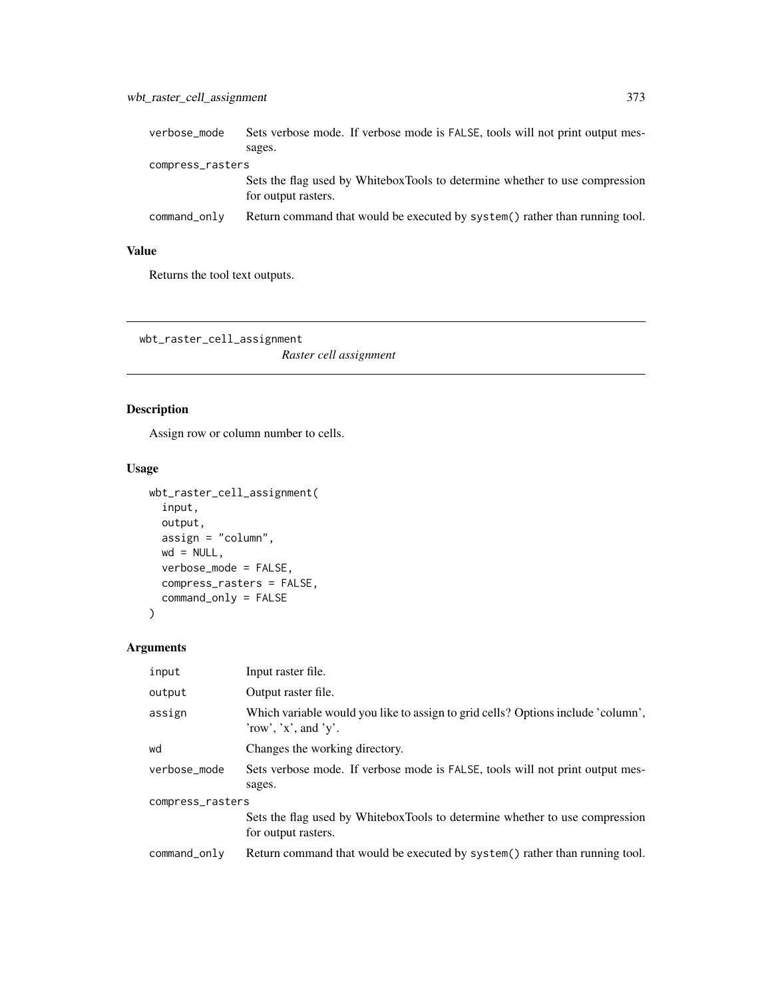| verbose_mode     | Sets verbose mode. If verbose mode is FALSE, tools will not print output mes-                      |  |
|------------------|----------------------------------------------------------------------------------------------------|--|
|                  | sages.                                                                                             |  |
| compress_rasters |                                                                                                    |  |
|                  | Sets the flag used by WhiteboxTools to determine whether to use compression<br>for output rasters. |  |
| command_only     | Return command that would be executed by system() rather than running tool.                        |  |

## Value

Returns the tool text outputs.

wbt\_raster\_cell\_assignment

*Raster cell assignment*

## Description

Assign row or column number to cells.

#### Usage

```
wbt_raster_cell_assignment(
 input,
 output,
 assign = "column",
 wd = NULL,verbose_mode = FALSE,
 compress_rasters = FALSE,
 command_only = FALSE
)
```
## Arguments

| input            | Input raster file.                                                                                       |  |
|------------------|----------------------------------------------------------------------------------------------------------|--|
| output           | Output raster file.                                                                                      |  |
| assign           | Which variable would you like to assign to grid cells? Options include 'column',<br>'row', 'x', and 'y'. |  |
| wd               | Changes the working directory.                                                                           |  |
| verbose_mode     | Sets verbose mode. If verbose mode is FALSE, tools will not print output mes-                            |  |
|                  | sages.                                                                                                   |  |
| compress_rasters |                                                                                                          |  |
|                  | Sets the flag used by WhiteboxTools to determine whether to use compression<br>for output rasters.       |  |
| command_only     | Return command that would be executed by system() rather than running tool.                              |  |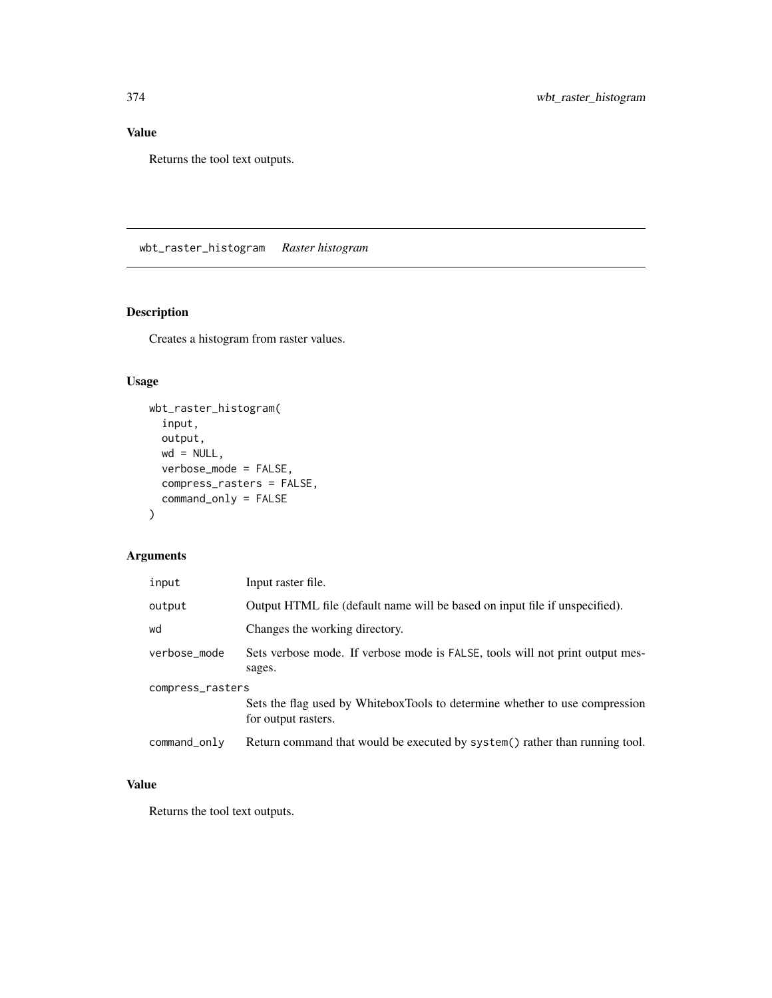## Value

Returns the tool text outputs.

wbt\_raster\_histogram *Raster histogram*

# Description

Creates a histogram from raster values.

# Usage

```
wbt_raster_histogram(
  input,
 output,
 wd = NULL,verbose_mode = FALSE,
 compress_rasters = FALSE,
 command_only = FALSE
)
```
## Arguments

| input            | Input raster file.                                                                                 |  |
|------------------|----------------------------------------------------------------------------------------------------|--|
| output           | Output HTML file (default name will be based on input file if unspecified).                        |  |
| wd               | Changes the working directory.                                                                     |  |
| verbose_mode     | Sets verbose mode. If verbose mode is FALSE, tools will not print output mes-<br>sages.            |  |
| compress_rasters |                                                                                                    |  |
|                  | Sets the flag used by WhiteboxTools to determine whether to use compression<br>for output rasters. |  |
| command_only     | Return command that would be executed by system() rather than running tool.                        |  |

## Value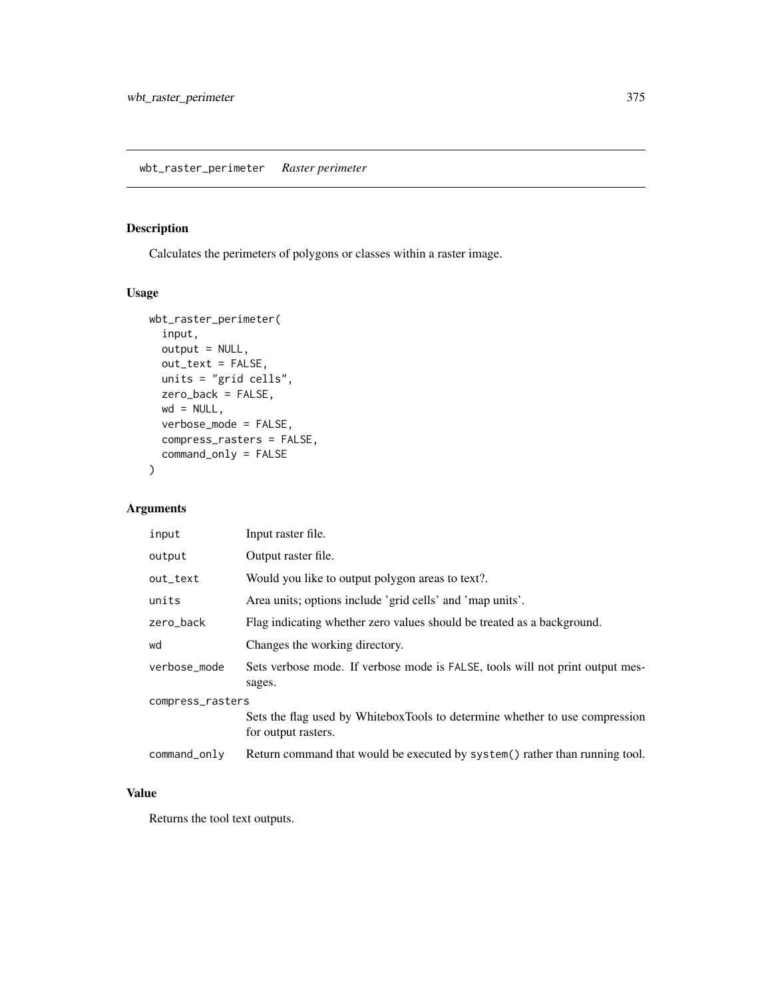## Description

Calculates the perimeters of polygons or classes within a raster image.

## Usage

```
wbt_raster_perimeter(
 input,
 output = NULL,out_text = FALSE,
 units = "grid cells",
 zero_back = FALSE,
 wd = NULL,verbose_mode = FALSE,
 compress_rasters = FALSE,
 command_only = FALSE
)
```
## Arguments

| input            | Input raster file.                                                                                 |  |
|------------------|----------------------------------------------------------------------------------------------------|--|
| output           | Output raster file.                                                                                |  |
| out_text         | Would you like to output polygon areas to text?.                                                   |  |
| units            | Area units; options include 'grid cells' and 'map units'.                                          |  |
| zero_back        | Flag indicating whether zero values should be treated as a background.                             |  |
| wd               | Changes the working directory.                                                                     |  |
| verbose_mode     | Sets verbose mode. If verbose mode is FALSE, tools will not print output mes-<br>sages.            |  |
| compress_rasters |                                                                                                    |  |
|                  | Sets the flag used by WhiteboxTools to determine whether to use compression<br>for output rasters. |  |
| command_only     | Return command that would be executed by system() rather than running tool.                        |  |

## Value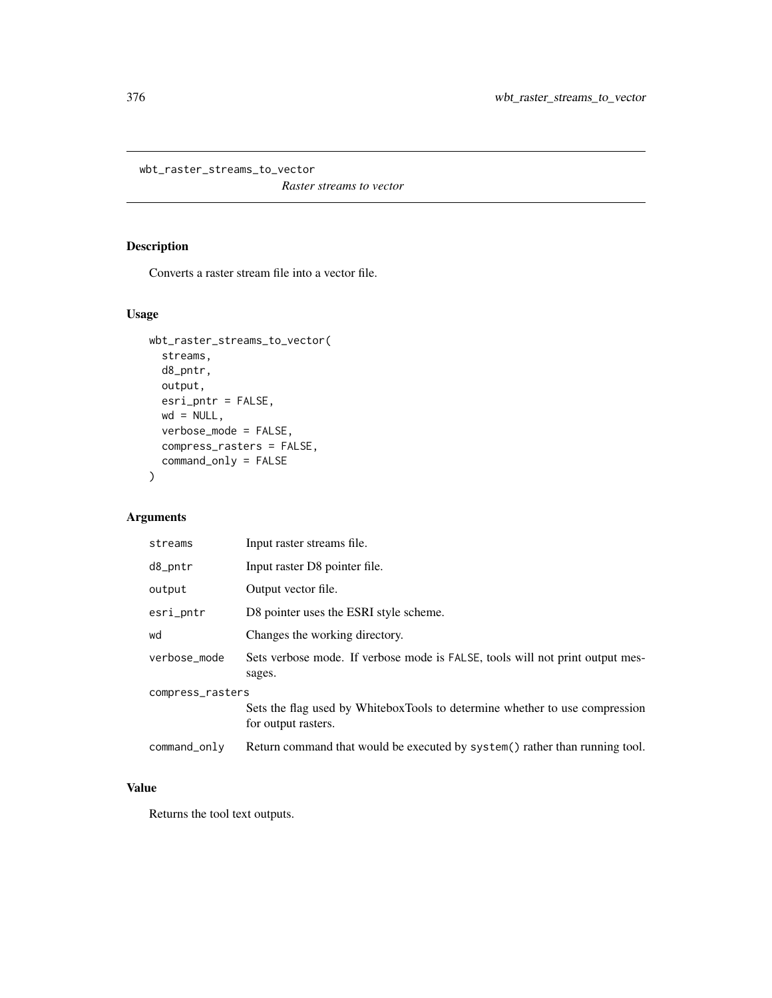wbt\_raster\_streams\_to\_vector

*Raster streams to vector*

## Description

Converts a raster stream file into a vector file.

## Usage

```
wbt_raster_streams_to_vector(
  streams,
  d8_pntr,
  output,
  esri_pntr = FALSE,
  wd = NULL,verbose_mode = FALSE,
  compress_rasters = FALSE,
  command_only = FALSE
\mathcal{L}
```
## Arguments

| streams          | Input raster streams file.                                                                         |  |
|------------------|----------------------------------------------------------------------------------------------------|--|
| d8_pntr          | Input raster D8 pointer file.                                                                      |  |
| output           | Output vector file.                                                                                |  |
| esri_pntr        | D8 pointer uses the ESRI style scheme.                                                             |  |
| wd               | Changes the working directory.                                                                     |  |
| verbose_mode     | Sets verbose mode. If verbose mode is FALSE, tools will not print output mes-<br>sages.            |  |
| compress_rasters |                                                                                                    |  |
|                  | Sets the flag used by WhiteboxTools to determine whether to use compression<br>for output rasters. |  |
| command_only     | Return command that would be executed by system() rather than running tool.                        |  |

#### Value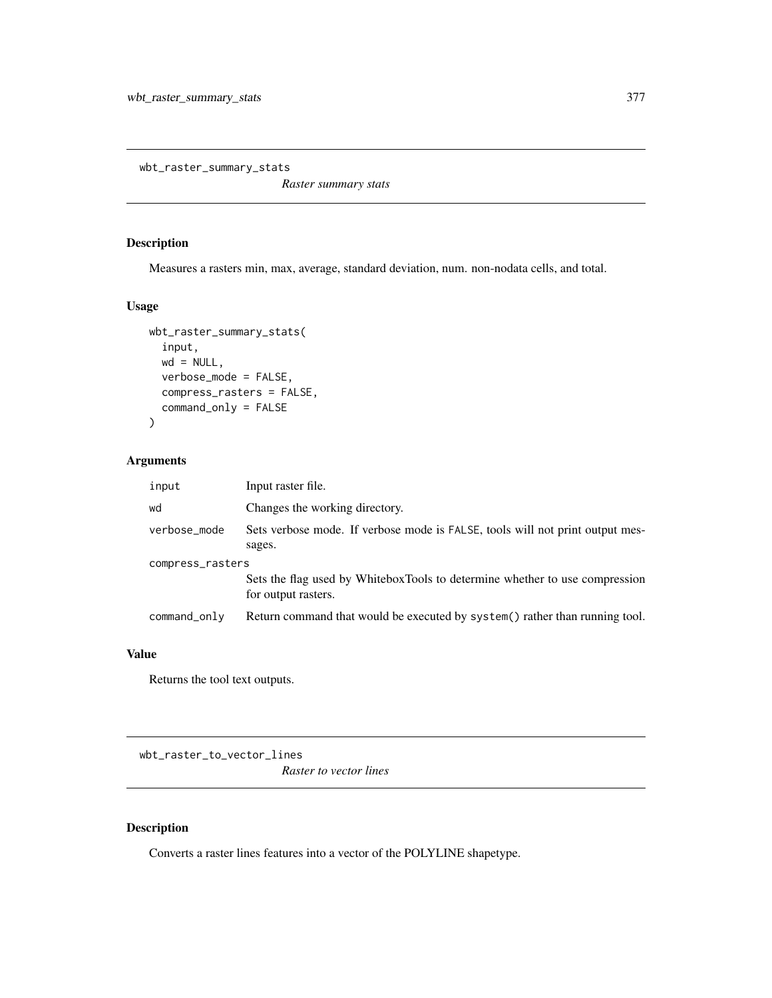wbt\_raster\_summary\_stats

*Raster summary stats*

## Description

Measures a rasters min, max, average, standard deviation, num. non-nodata cells, and total.

#### Usage

```
wbt_raster_summary_stats(
  input,
 wd = NULL,verbose_mode = FALSE,
  compress_rasters = FALSE,
 command_only = FALSE
\mathcal{L}
```
## Arguments

| input            | Input raster file.                                                                                 |
|------------------|----------------------------------------------------------------------------------------------------|
| wd               | Changes the working directory.                                                                     |
| verbose_mode     | Sets verbose mode. If verbose mode is FALSE, tools will not print output mes-<br>sages.            |
| compress_rasters | Sets the flag used by WhiteboxTools to determine whether to use compression<br>for output rasters. |
| command_only     | Return command that would be executed by system() rather than running tool.                        |

#### Value

Returns the tool text outputs.

wbt\_raster\_to\_vector\_lines *Raster to vector lines*

## Description

Converts a raster lines features into a vector of the POLYLINE shapetype.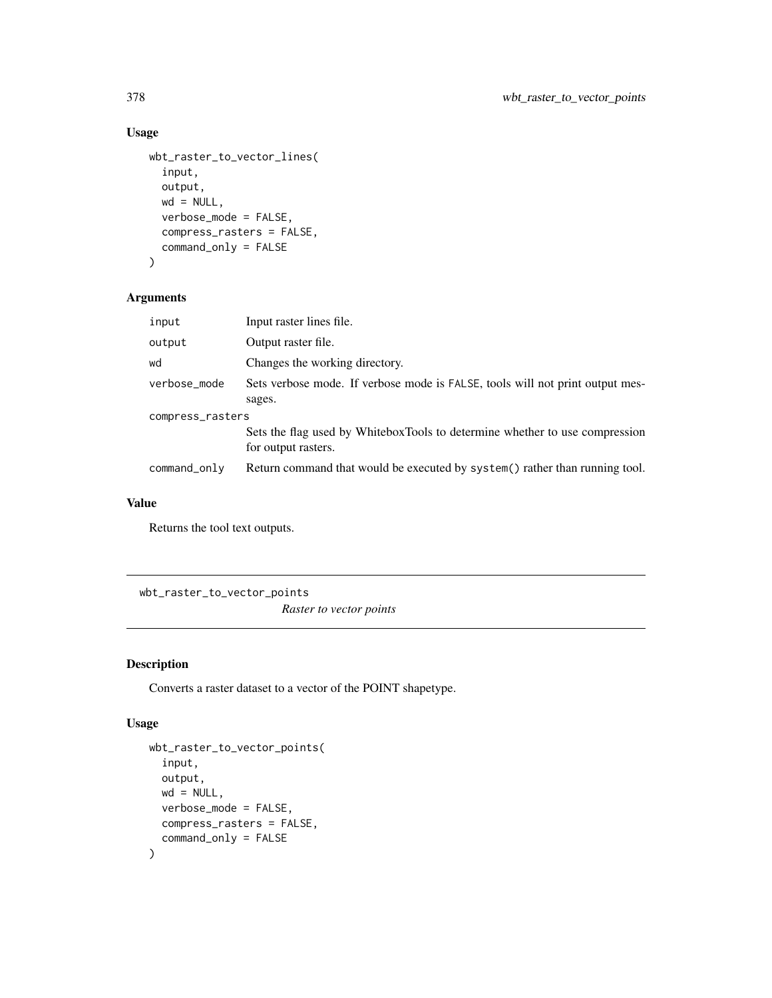#### Usage

```
wbt_raster_to_vector_lines(
  input,
 output,
 wd = NULL,verbose_mode = FALSE,
 compress_rasters = FALSE,
 command_only = FALSE
)
```
## Arguments

| input            | Input raster lines file.                                                                           |  |
|------------------|----------------------------------------------------------------------------------------------------|--|
| output           | Output raster file.                                                                                |  |
| wd               | Changes the working directory.                                                                     |  |
| verbose_mode     | Sets verbose mode. If verbose mode is FALSE, tools will not print output mes-<br>sages.            |  |
| compress_rasters |                                                                                                    |  |
|                  | Sets the flag used by WhiteboxTools to determine whether to use compression<br>for output rasters. |  |
| command_only     | Return command that would be executed by system() rather than running tool.                        |  |

#### Value

Returns the tool text outputs.

wbt\_raster\_to\_vector\_points

*Raster to vector points*

## Description

Converts a raster dataset to a vector of the POINT shapetype.

```
wbt_raster_to_vector_points(
  input,
 output,
 wd = NULL,verbose_mode = FALSE,
 compress_rasters = FALSE,
  command_only = FALSE
\mathcal{L}
```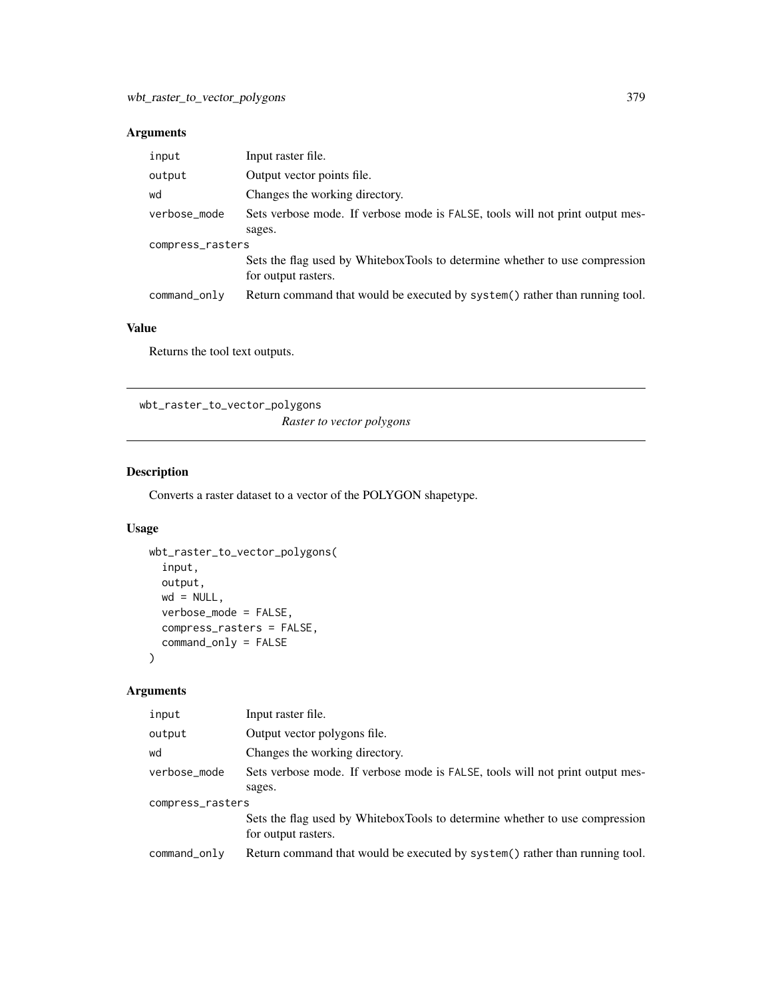| input            | Input raster file.                                                                                 |  |
|------------------|----------------------------------------------------------------------------------------------------|--|
| output           | Output vector points file.                                                                         |  |
| wd               | Changes the working directory.                                                                     |  |
| verbose_mode     | Sets verbose mode. If verbose mode is FALSE, tools will not print output mes-                      |  |
|                  | sages.                                                                                             |  |
| compress_rasters |                                                                                                    |  |
|                  | Sets the flag used by WhiteboxTools to determine whether to use compression<br>for output rasters. |  |
| command_only     | Return command that would be executed by system() rather than running tool.                        |  |

## Value

Returns the tool text outputs.

wbt\_raster\_to\_vector\_polygons *Raster to vector polygons*

## Description

Converts a raster dataset to a vector of the POLYGON shapetype.

## Usage

```
wbt_raster_to_vector_polygons(
  input,
 output,
 wd = NULL,verbose_mode = FALSE,
 compress_rasters = FALSE,
 command_only = FALSE
\mathcal{L}
```
## Arguments

| input            | Input raster file.                                                                                 |  |
|------------------|----------------------------------------------------------------------------------------------------|--|
| output           | Output vector polygons file.                                                                       |  |
| wd               | Changes the working directory.                                                                     |  |
| verbose_mode     | Sets verbose mode. If verbose mode is FALSE, tools will not print output mes-                      |  |
|                  | sages.                                                                                             |  |
| compress_rasters |                                                                                                    |  |
|                  | Sets the flag used by WhiteboxTools to determine whether to use compression<br>for output rasters. |  |
| command_only     | Return command that would be executed by system() rather than running tool.                        |  |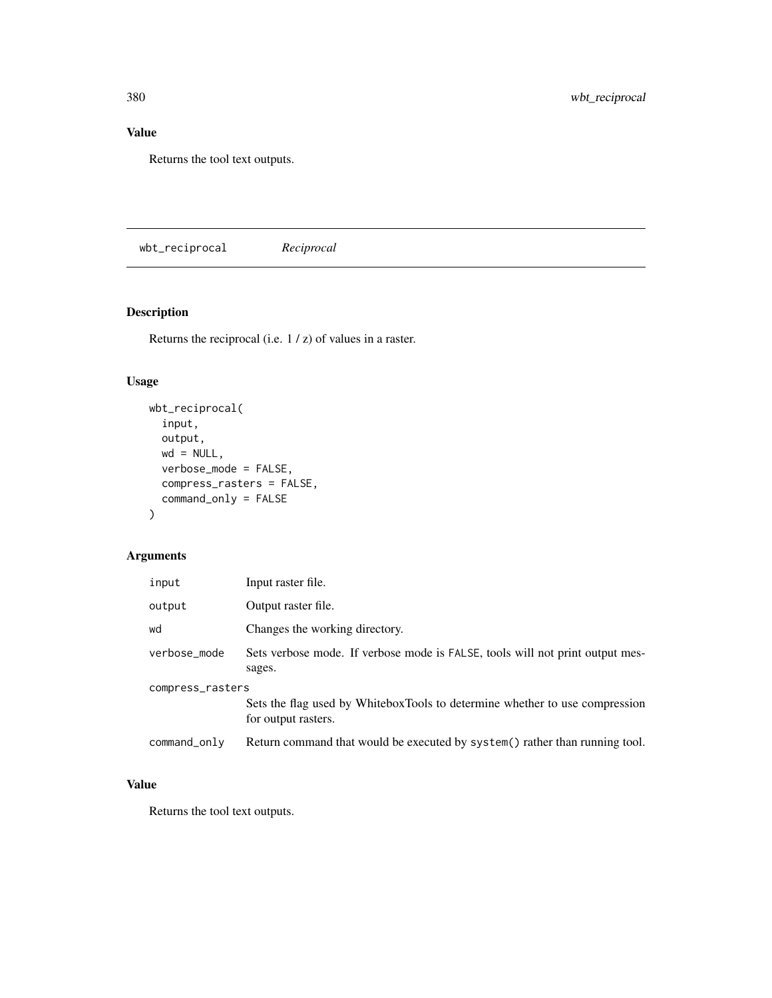## Value

Returns the tool text outputs.

wbt\_reciprocal *Reciprocal*

# Description

Returns the reciprocal (i.e. 1 / z) of values in a raster.

## Usage

```
wbt_reciprocal(
  input,
 output,
 wd = NULL,verbose_mode = FALSE,
 compress_rasters = FALSE,
 command_only = FALSE
)
```
## Arguments

| input            | Input raster file.                                                                                 |  |
|------------------|----------------------------------------------------------------------------------------------------|--|
| output           | Output raster file.                                                                                |  |
| wd               | Changes the working directory.                                                                     |  |
| verbose_mode     | Sets verbose mode. If verbose mode is FALSE, tools will not print output mes-<br>sages.            |  |
| compress_rasters |                                                                                                    |  |
|                  | Sets the flag used by WhiteboxTools to determine whether to use compression<br>for output rasters. |  |
| command_only     | Return command that would be executed by system() rather than running tool.                        |  |

## Value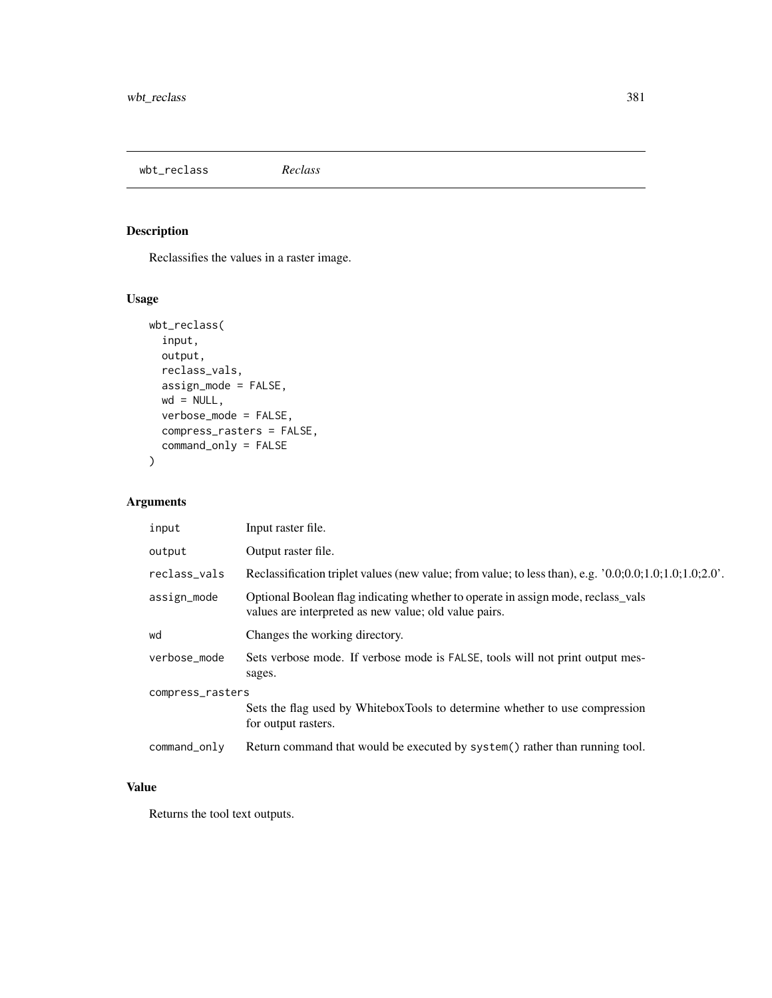wbt\_reclass *Reclass*

## Description

Reclassifies the values in a raster image.

## Usage

```
wbt_reclass(
  input,
 output,
 reclass_vals,
 assign_mode = FALSE,
 wd = NULL,verbose_mode = FALSE,
 compress_rasters = FALSE,
 command_only = FALSE
)
```
## Arguments

| input            | Input raster file.                                                                                                                        |  |
|------------------|-------------------------------------------------------------------------------------------------------------------------------------------|--|
| output           | Output raster file.                                                                                                                       |  |
| reclass_vals     | Reclassification triplet values (new value; from value; to less than), e.g. $'0.0;0.0;1.0;1.0;1.0;2.0'$ .                                 |  |
| assign_mode      | Optional Boolean flag indicating whether to operate in assign mode, reclass_vals<br>values are interpreted as new value; old value pairs. |  |
| wd               | Changes the working directory.                                                                                                            |  |
| verbose_mode     | Sets verbose mode. If verbose mode is FALSE, tools will not print output mes-<br>sages.                                                   |  |
| compress_rasters |                                                                                                                                           |  |
|                  | Sets the flag used by WhiteboxTools to determine whether to use compression<br>for output rasters.                                        |  |
| command_only     | Return command that would be executed by system() rather than running tool.                                                               |  |

#### Value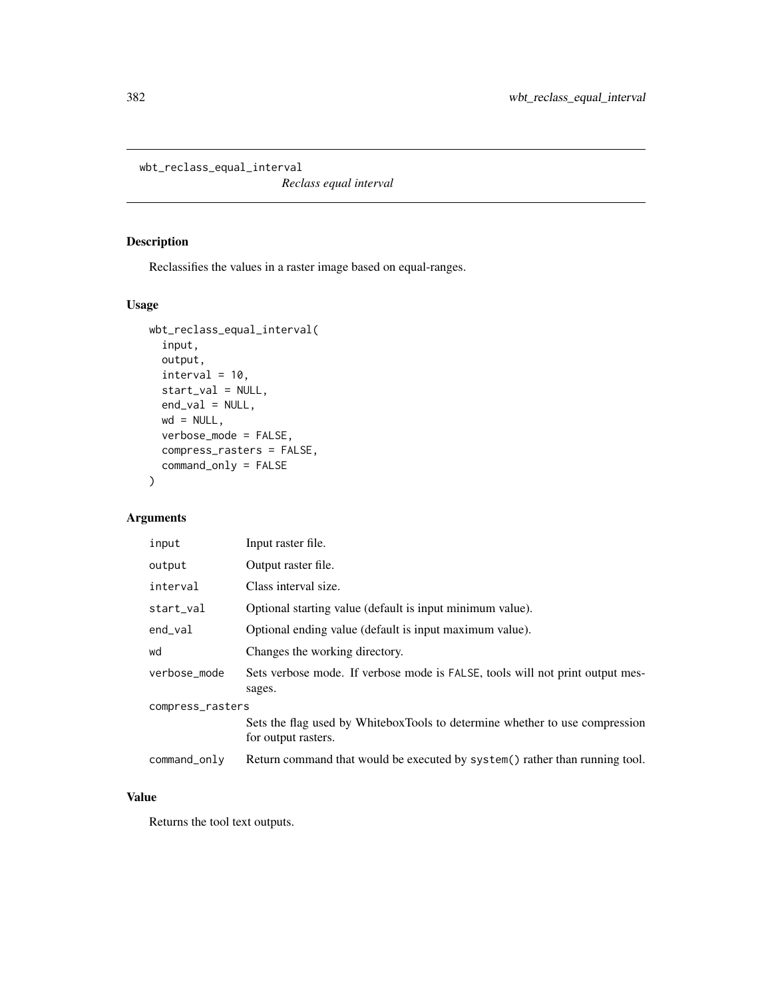wbt\_reclass\_equal\_interval

*Reclass equal interval*

## Description

Reclassifies the values in a raster image based on equal-ranges.

## Usage

```
wbt_reclass_equal_interval(
  input,
  output,
  interval = 10,start_val = NULL,
  end_val = NULL,wd = NULL,verbose_mode = FALSE,
  compress_rasters = FALSE,
  command_only = FALSE
\mathcal{L}
```
## Arguments

| input            | Input raster file.                                                                                 |  |
|------------------|----------------------------------------------------------------------------------------------------|--|
| output           | Output raster file.                                                                                |  |
| interval         | Class interval size.                                                                               |  |
| start_val        | Optional starting value (default is input minimum value).                                          |  |
| end_val          | Optional ending value (default is input maximum value).                                            |  |
| wd               | Changes the working directory.                                                                     |  |
| verbose_mode     | Sets verbose mode. If verbose mode is FALSE, tools will not print output mes-<br>sages.            |  |
| compress_rasters |                                                                                                    |  |
|                  | Sets the flag used by WhiteboxTools to determine whether to use compression<br>for output rasters. |  |
| command_only     | Return command that would be executed by system() rather than running tool.                        |  |

# Value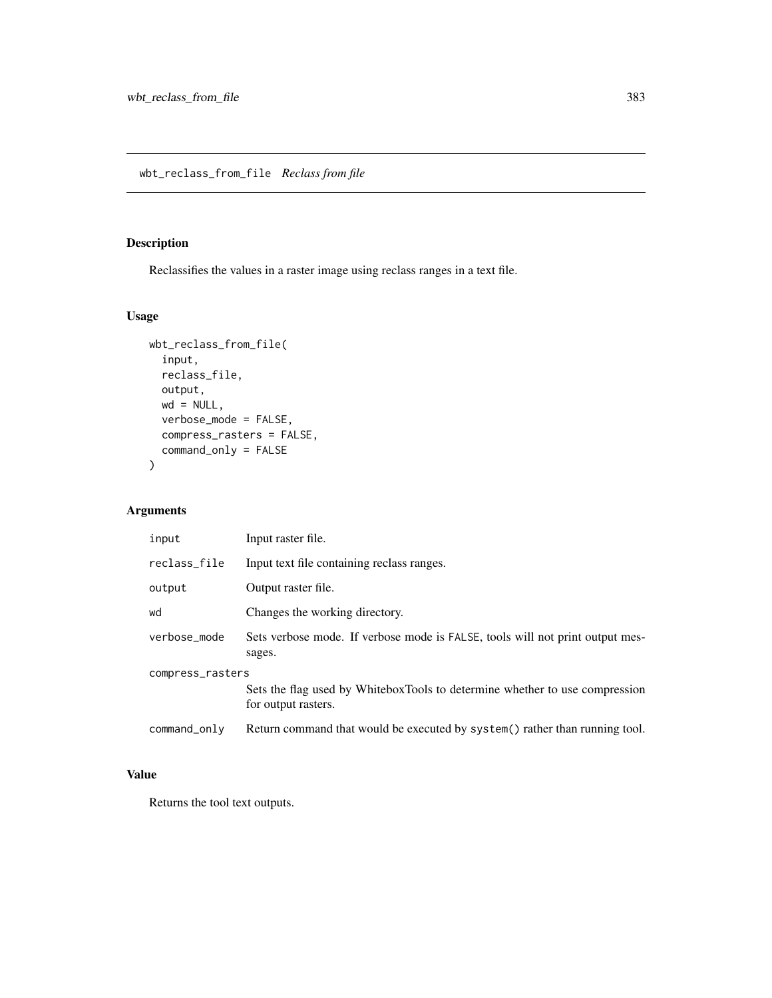wbt\_reclass\_from\_file *Reclass from file*

## Description

Reclassifies the values in a raster image using reclass ranges in a text file.

## Usage

```
wbt_reclass_from_file(
  input,
 reclass_file,
 output,
 wd = NULL,verbose_mode = FALSE,
 compress_rasters = FALSE,
  command_only = FALSE
\mathcal{L}
```
## Arguments

| input            | Input raster file.                                                                                 |  |
|------------------|----------------------------------------------------------------------------------------------------|--|
| reclass_file     | Input text file containing reclass ranges.                                                         |  |
| output           | Output raster file.                                                                                |  |
| wd               | Changes the working directory.                                                                     |  |
| verbose_mode     | Sets verbose mode. If verbose mode is FALSE, tools will not print output mes-<br>sages.            |  |
| compress_rasters |                                                                                                    |  |
|                  | Sets the flag used by WhiteboxTools to determine whether to use compression<br>for output rasters. |  |
| command_only     | Return command that would be executed by system() rather than running tool.                        |  |

## Value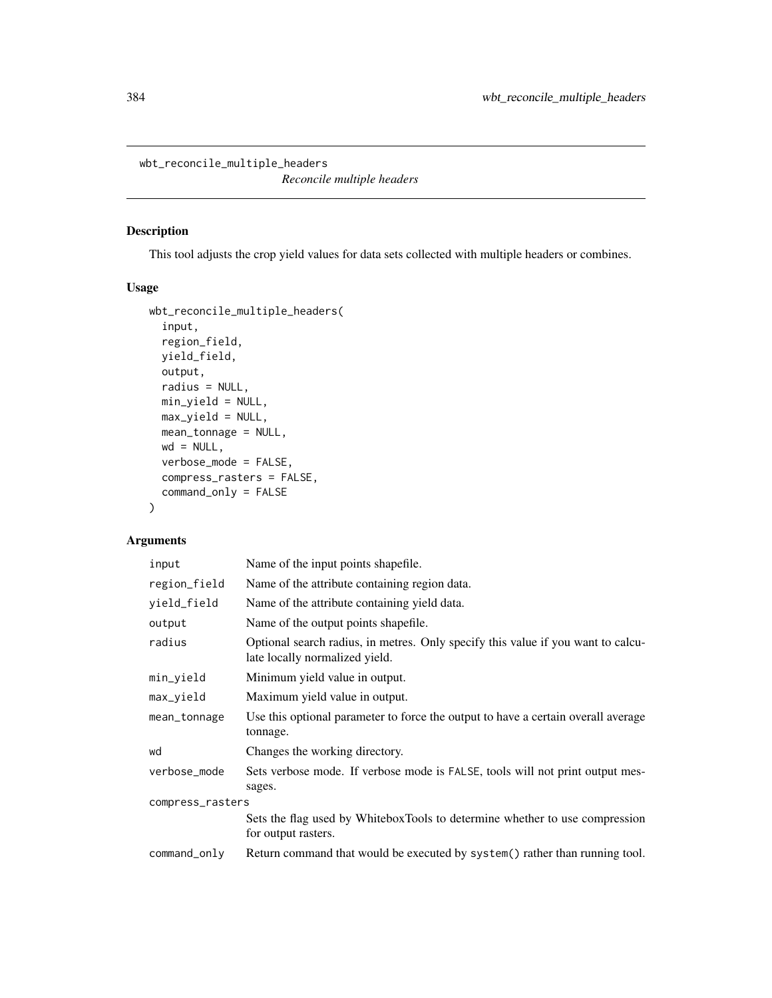wbt\_reconcile\_multiple\_headers

*Reconcile multiple headers*

#### Description

This tool adjusts the crop yield values for data sets collected with multiple headers or combines.

## Usage

```
wbt_reconcile_multiple_headers(
  input,
  region_field,
 yield_field,
 output,
  radius = NULL,
 min_yield = NULL,
 max_yield = NULL,
 mean_tonnage = NULL,
 wd = NULL,verbose_mode = FALSE,
  compress_rasters = FALSE,
  command_only = FALSE
\mathcal{L}
```
# Arguments

| input            | Name of the input points shapefile.                                                                                |  |
|------------------|--------------------------------------------------------------------------------------------------------------------|--|
| region_field     | Name of the attribute containing region data.                                                                      |  |
| yield_field      | Name of the attribute containing yield data.                                                                       |  |
| output           | Name of the output points shapefile.                                                                               |  |
| radius           | Optional search radius, in metres. Only specify this value if you want to calcu-<br>late locally normalized yield. |  |
| min_yield        | Minimum yield value in output.                                                                                     |  |
| max_yield        | Maximum yield value in output.                                                                                     |  |
| mean_tonnage     | Use this optional parameter to force the output to have a certain overall average<br>tonnage.                      |  |
| wd               | Changes the working directory.                                                                                     |  |
| verbose_mode     | Sets verbose mode. If verbose mode is FALSE, tools will not print output mes-<br>sages.                            |  |
| compress_rasters |                                                                                                                    |  |
|                  | Sets the flag used by WhiteboxTools to determine whether to use compression<br>for output rasters.                 |  |
| command_only     | Return command that would be executed by system() rather than running tool.                                        |  |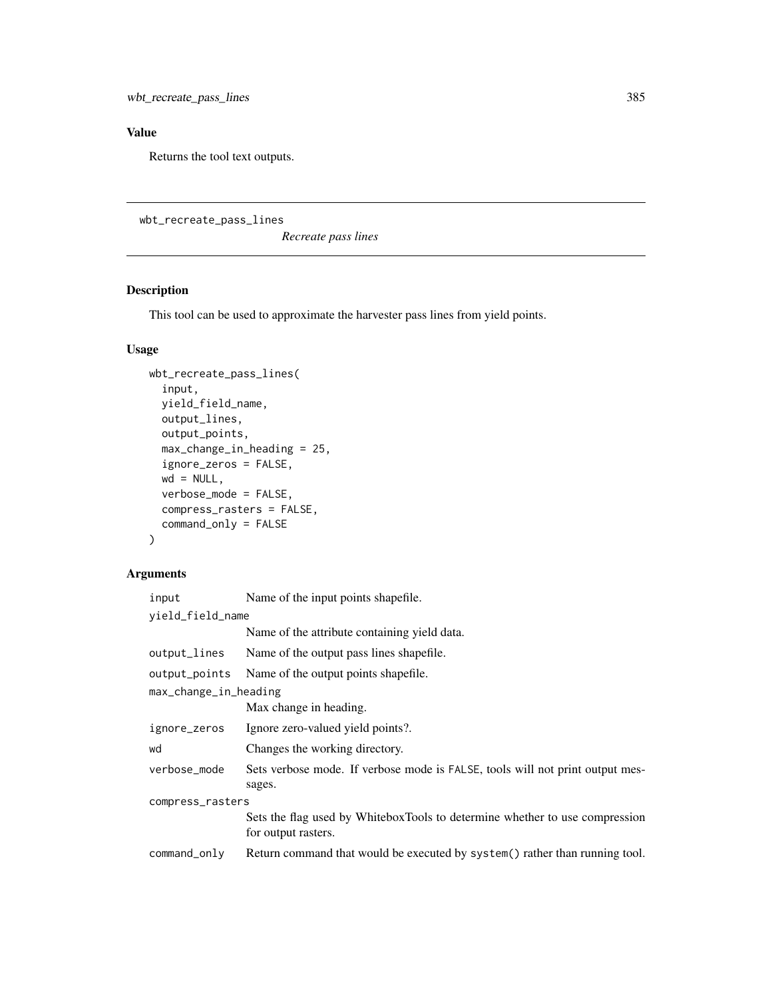## Value

Returns the tool text outputs.

wbt\_recreate\_pass\_lines

*Recreate pass lines*

# Description

This tool can be used to approximate the harvester pass lines from yield points.

## Usage

```
wbt_recreate_pass_lines(
  input,
 yield_field_name,
 output_lines,
 output_points,
 max_change_in_heading = 25,
  ignore_zeros = FALSE,
 wd = NULL,verbose_mode = FALSE,
  compress_rasters = FALSE,
  command_only = FALSE
)
```
## Arguments

| input                 | Name of the input points shapefile.                                                                |  |
|-----------------------|----------------------------------------------------------------------------------------------------|--|
| yield_field_name      |                                                                                                    |  |
|                       | Name of the attribute containing yield data.                                                       |  |
| output_lines          | Name of the output pass lines shapefile.                                                           |  |
| output_points         | Name of the output points shapefile.                                                               |  |
| max_change_in_heading |                                                                                                    |  |
|                       | Max change in heading.                                                                             |  |
| ignore_zeros          | Ignore zero-valued yield points?.                                                                  |  |
| wd                    | Changes the working directory.                                                                     |  |
| verbose mode          | Sets verbose mode. If verbose mode is FALSE, tools will not print output mes-<br>sages.            |  |
| compress_rasters      |                                                                                                    |  |
|                       | Sets the flag used by WhiteboxTools to determine whether to use compression<br>for output rasters. |  |
| command_only          | Return command that would be executed by system() rather than running tool.                        |  |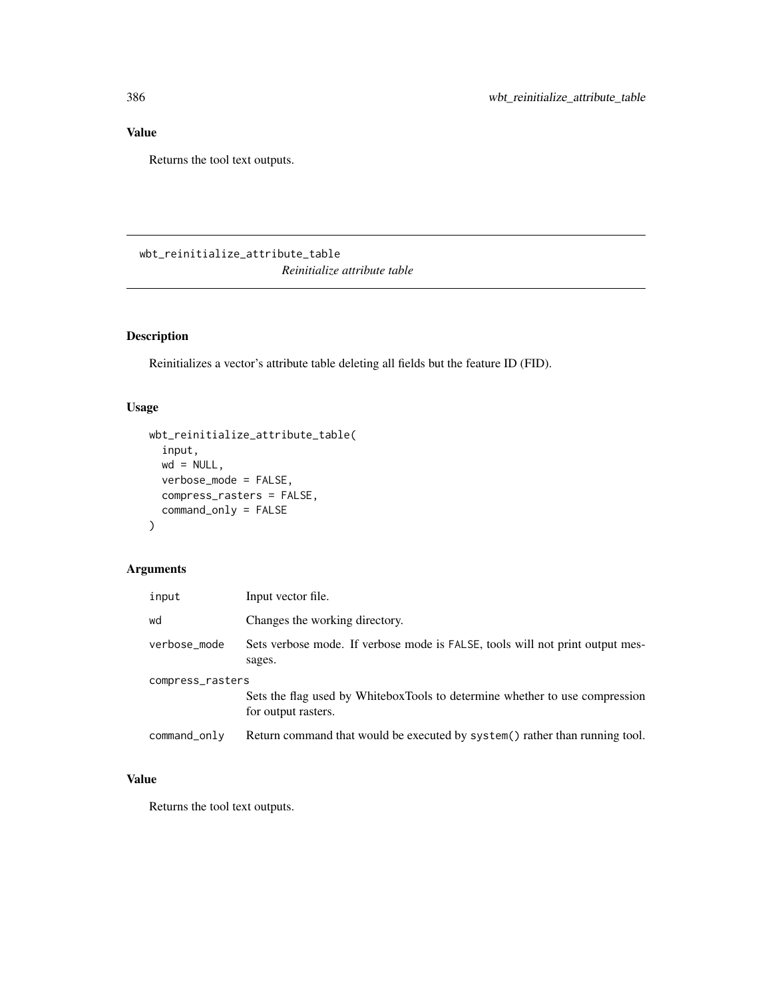## Value

Returns the tool text outputs.

# wbt\_reinitialize\_attribute\_table *Reinitialize attribute table*

## Description

Reinitializes a vector's attribute table deleting all fields but the feature ID (FID).

## Usage

```
wbt_reinitialize_attribute_table(
  input,
 wd = NULL,verbose_mode = FALSE,
 compress_rasters = FALSE,
  command_only = FALSE
\mathcal{L}
```
# Arguments

| input            | Input vector file.                                                                                 |
|------------------|----------------------------------------------------------------------------------------------------|
| wd               | Changes the working directory.                                                                     |
| verbose_mode     | Sets verbose mode. If verbose mode is FALSE, tools will not print output mes-<br>sages.            |
| compress_rasters | Sets the flag used by WhiteboxTools to determine whether to use compression<br>for output rasters. |
| command_only     | Return command that would be executed by system() rather than running tool.                        |

## Value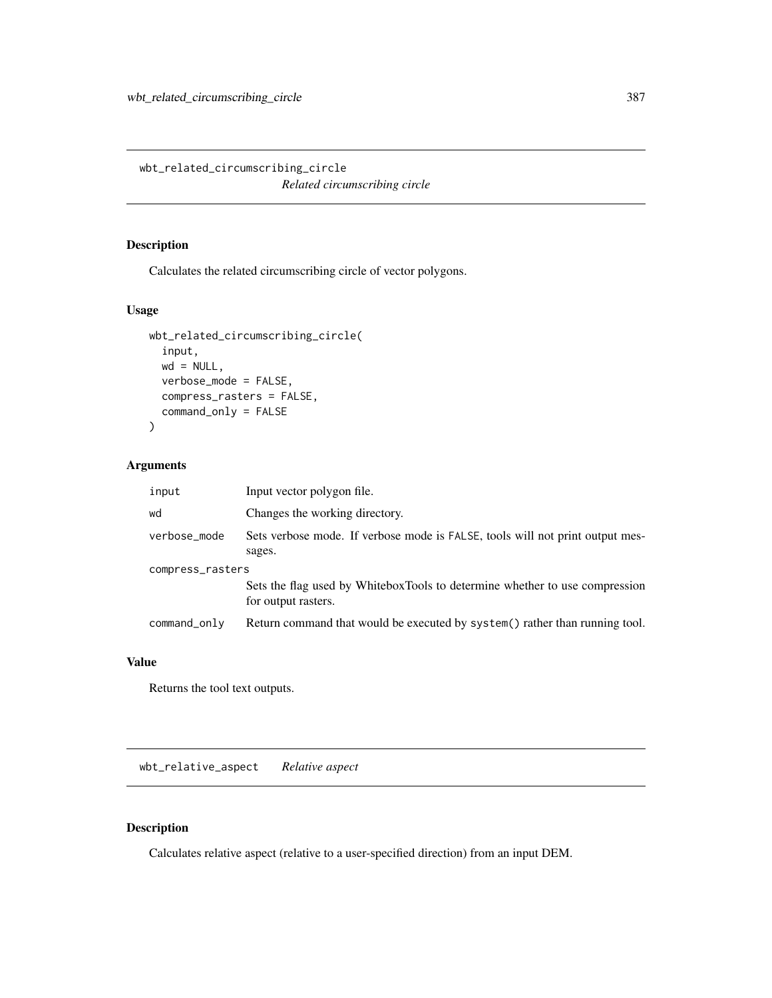wbt\_related\_circumscribing\_circle *Related circumscribing circle*

## Description

Calculates the related circumscribing circle of vector polygons.

## Usage

```
wbt_related_circumscribing_circle(
  input,
 wd = NULL,verbose_mode = FALSE,
 compress_rasters = FALSE,
 command_only = FALSE
)
```
#### Arguments

| input            | Input vector polygon file.                                                                         |  |
|------------------|----------------------------------------------------------------------------------------------------|--|
| wd               | Changes the working directory.                                                                     |  |
| verbose_mode     | Sets verbose mode. If verbose mode is FALSE, tools will not print output mes-<br>sages.            |  |
| compress_rasters |                                                                                                    |  |
|                  | Sets the flag used by WhiteboxTools to determine whether to use compression<br>for output rasters. |  |
| command_only     | Return command that would be executed by system() rather than running tool.                        |  |

#### Value

Returns the tool text outputs.

wbt\_relative\_aspect *Relative aspect*

## Description

Calculates relative aspect (relative to a user-specified direction) from an input DEM.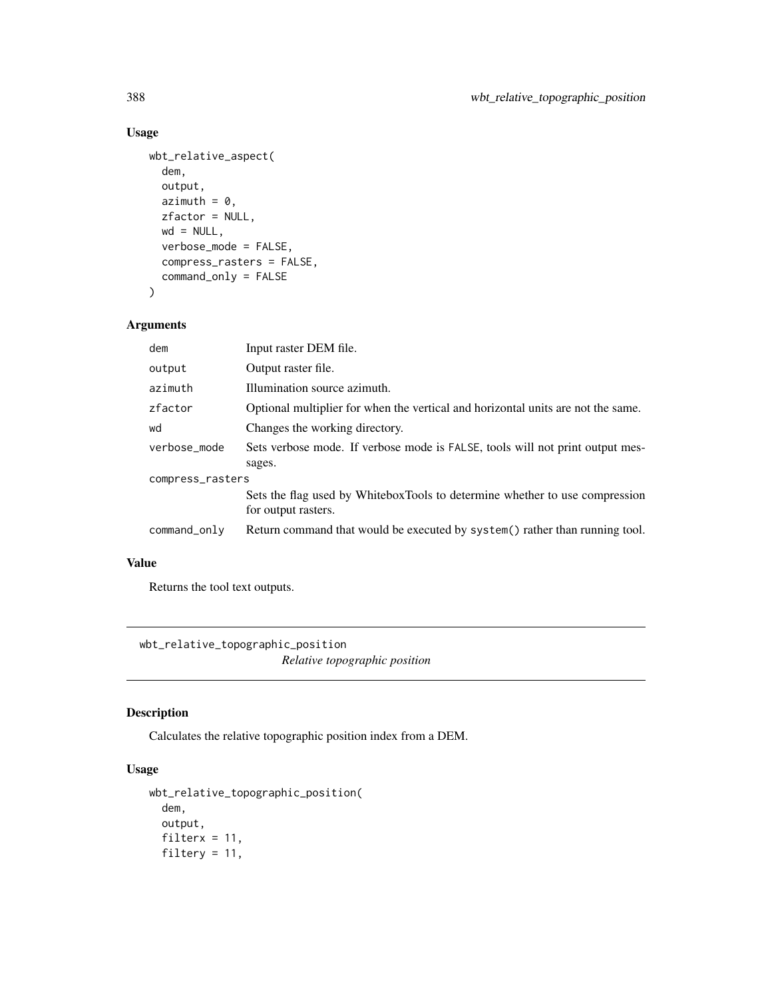## Usage

```
wbt_relative_aspect(
 dem,
 output,
 azimuth = 0,
 zfactor = NULL,
 wd = NULL,verbose_mode = FALSE,
  compress_rasters = FALSE,
  command_only = FALSE
\mathcal{L}
```
## Arguments

| dem              | Input raster DEM file.                                                           |  |
|------------------|----------------------------------------------------------------------------------|--|
| output           | Output raster file.                                                              |  |
| azimuth          | Illumination source azimuth.                                                     |  |
| zfactor          | Optional multiplier for when the vertical and horizontal units are not the same. |  |
| wd               | Changes the working directory.                                                   |  |
| verbose_mode     | Sets verbose mode. If verbose mode is FALSE, tools will not print output mes-    |  |
|                  | sages.                                                                           |  |
| compress_rasters |                                                                                  |  |
|                  | Sets the flag used by WhiteboxTools to determine whether to use compression      |  |
|                  | for output rasters.                                                              |  |
| command_only     | Return command that would be executed by system() rather than running tool.      |  |
|                  |                                                                                  |  |

#### Value

Returns the tool text outputs.

wbt\_relative\_topographic\_position *Relative topographic position*

## Description

Calculates the relative topographic position index from a DEM.

```
wbt_relative_topographic_position(
 dem,
 output,
 filterx = 11,
 filtery = 11,
```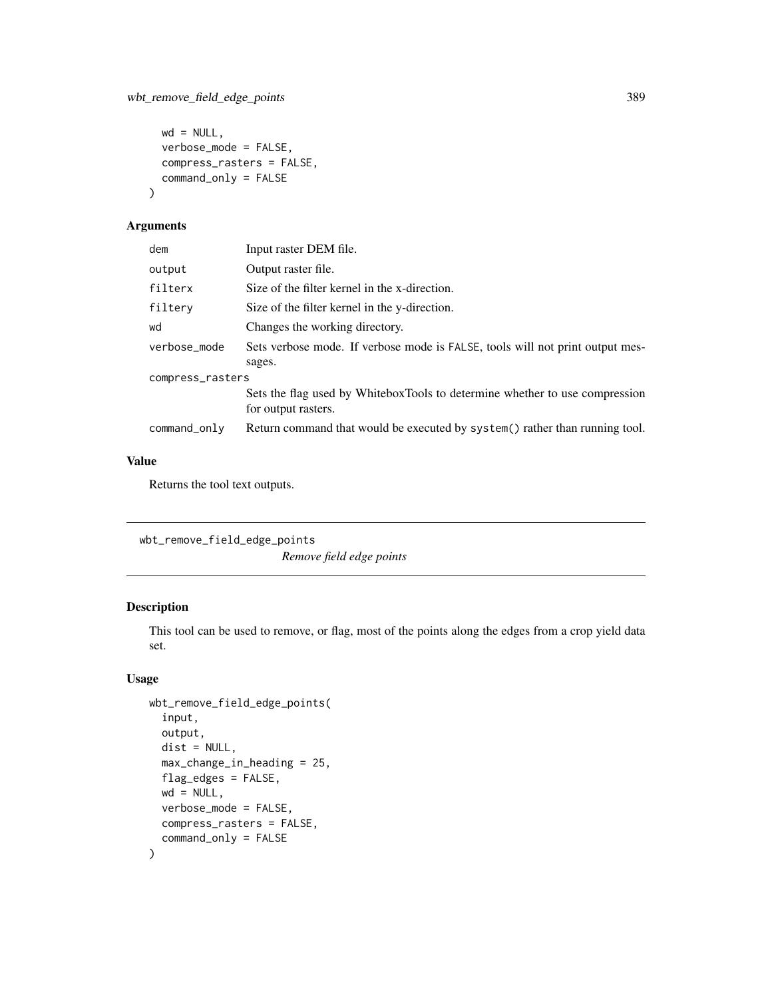```
wd = NULL,verbose_mode = FALSE,
 compress_rasters = FALSE,
 command_only = FALSE
)
```

| dem              | Input raster DEM file.                                                        |  |
|------------------|-------------------------------------------------------------------------------|--|
| output           | Output raster file.                                                           |  |
| filterx          | Size of the filter kernel in the x-direction.                                 |  |
| filtery          | Size of the filter kernel in the y-direction.                                 |  |
| wd               | Changes the working directory.                                                |  |
| verbose_mode     | Sets verbose mode. If verbose mode is FALSE, tools will not print output mes- |  |
|                  | sages.                                                                        |  |
| compress_rasters |                                                                               |  |
|                  | Sets the flag used by WhiteboxTools to determine whether to use compression   |  |
|                  | for output rasters.                                                           |  |
| command_only     | Return command that would be executed by system() rather than running tool.   |  |

#### Value

Returns the tool text outputs.

wbt\_remove\_field\_edge\_points

*Remove field edge points*

## Description

This tool can be used to remove, or flag, most of the points along the edges from a crop yield data set.

```
wbt_remove_field_edge_points(
  input,
 output,
  dist = NULL,max_change_in_heading = 25,
  flag_edges = FALSE,
 wd = NULL,verbose_mode = FALSE,
 compress_rasters = FALSE,
  command_only = FALSE
\mathcal{L}
```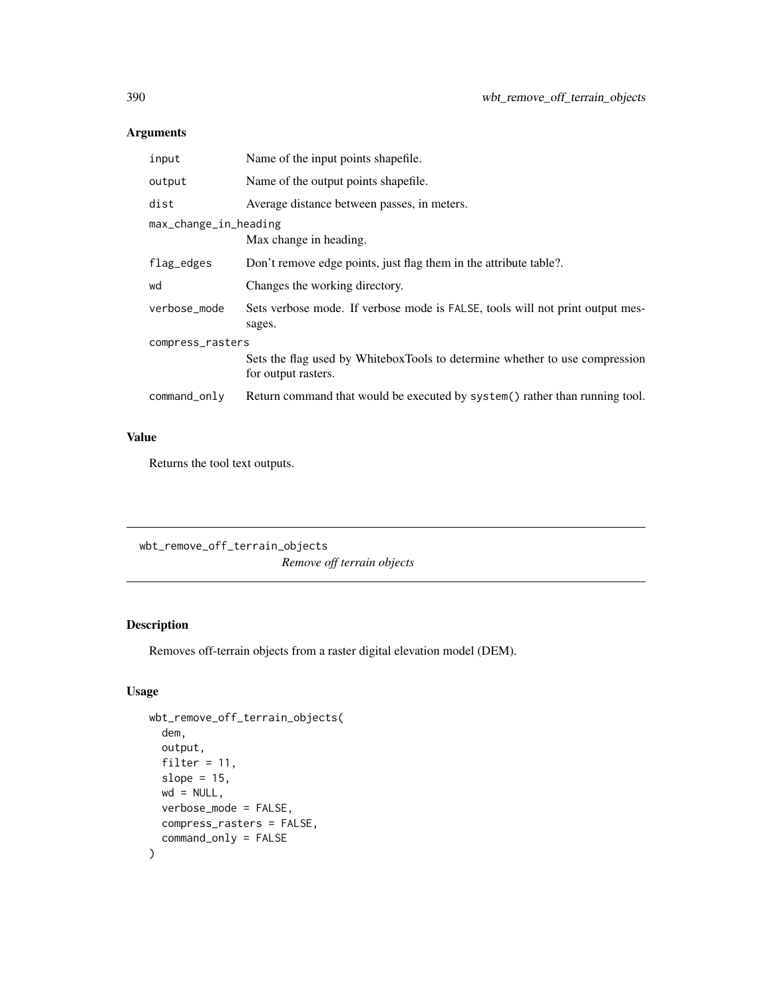| input                 | Name of the input points shapefile.                                                                |  |
|-----------------------|----------------------------------------------------------------------------------------------------|--|
| output                | Name of the output points shapefile.                                                               |  |
| dist                  | Average distance between passes, in meters.                                                        |  |
| max_change_in_heading |                                                                                                    |  |
|                       | Max change in heading.                                                                             |  |
| flag_edges            | Don't remove edge points, just flag them in the attribute table?.                                  |  |
| wd                    | Changes the working directory.                                                                     |  |
| verbose_mode          | Sets verbose mode. If verbose mode is FALSE, tools will not print output mes-<br>sages.            |  |
| compress_rasters      |                                                                                                    |  |
|                       | Sets the flag used by WhiteboxTools to determine whether to use compression<br>for output rasters. |  |
| command_only          | Return command that would be executed by system() rather than running tool.                        |  |
|                       |                                                                                                    |  |

## Value

Returns the tool text outputs.

wbt\_remove\_off\_terrain\_objects *Remove off terrain objects*

## Description

Removes off-terrain objects from a raster digital elevation model (DEM).

```
wbt_remove_off_terrain_objects(
  dem,
 output,
 filter = 11,
 slope = 15,
 wd = NULL,verbose_mode = FALSE,
 compress_rasters = FALSE,
  command_only = FALSE
\mathcal{L}
```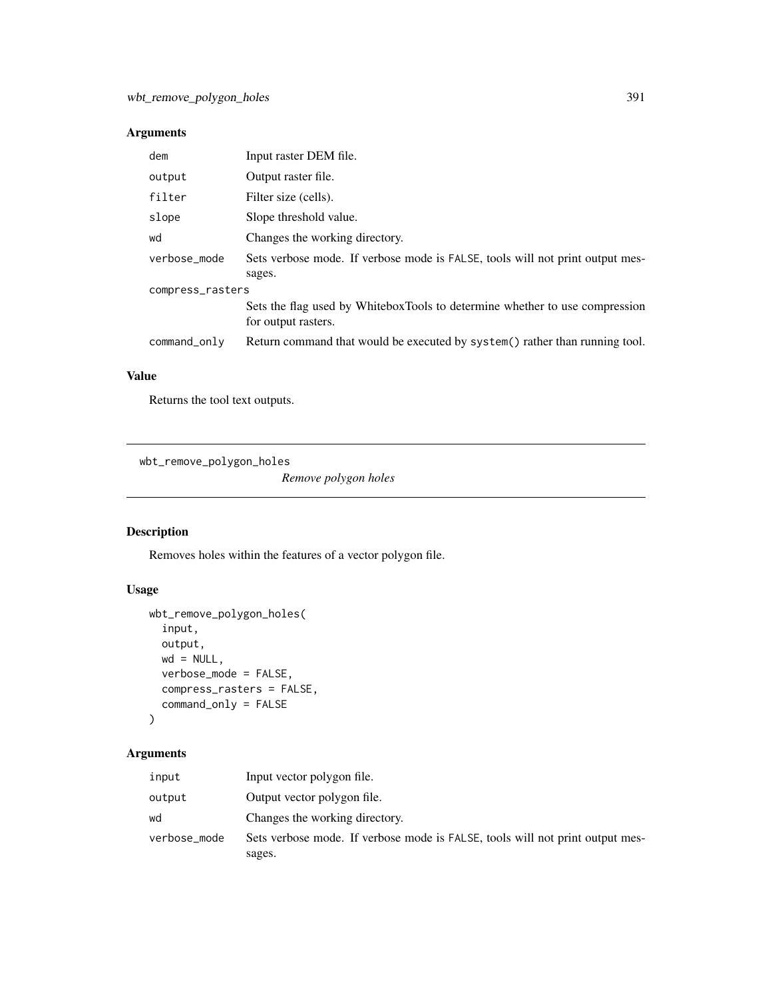| dem              | Input raster DEM file.                                                                             |  |
|------------------|----------------------------------------------------------------------------------------------------|--|
| output           | Output raster file.                                                                                |  |
| filter           | Filter size (cells).                                                                               |  |
| slope            | Slope threshold value.                                                                             |  |
| wd               | Changes the working directory.                                                                     |  |
| verbose mode     | Sets verbose mode. If verbose mode is FALSE, tools will not print output mes-<br>sages.            |  |
| compress_rasters |                                                                                                    |  |
|                  | Sets the flag used by WhiteboxTools to determine whether to use compression<br>for output rasters. |  |
| $command\_only$  | Return command that would be executed by system() rather than running tool.                        |  |
|                  |                                                                                                    |  |

#### Value

Returns the tool text outputs.

wbt\_remove\_polygon\_holes

*Remove polygon holes*

## Description

Removes holes within the features of a vector polygon file.

## Usage

```
wbt_remove_polygon_holes(
  input,
 output,
 wd = NULL,verbose_mode = FALSE,
 compress_rasters = FALSE,
  command_only = FALSE
)
```
## Arguments

| input        | Input vector polygon file.                                                    |
|--------------|-------------------------------------------------------------------------------|
| output       | Output vector polygon file.                                                   |
| wd           | Changes the working directory.                                                |
| verbose_mode | Sets verbose mode. If verbose mode is FALSE, tools will not print output mes- |
|              | sages.                                                                        |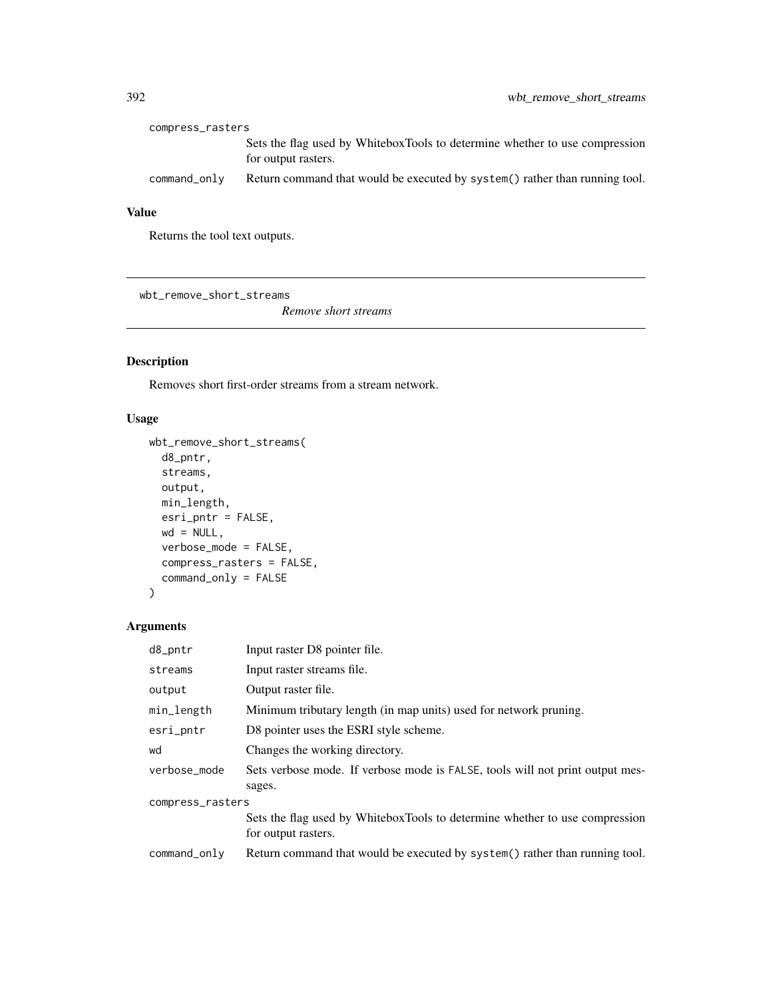| compress_rasters |                                                                                                    |  |
|------------------|----------------------------------------------------------------------------------------------------|--|
|                  | Sets the flag used by WhiteboxTools to determine whether to use compression<br>for output rasters. |  |
| command_only     | Return command that would be executed by system() rather than running tool.                        |  |

## Value

Returns the tool text outputs.

wbt\_remove\_short\_streams

*Remove short streams*

## Description

Removes short first-order streams from a stream network.

#### Usage

```
wbt_remove_short_streams(
 d8_pntr,
 streams,
 output,
 min_length,
 esri_pntr = FALSE,
 wd = NULL,verbose_mode = FALSE,
 compress_rasters = FALSE,
 command_only = FALSE
)
```
## Arguments

| d8_pntr          | Input raster D8 pointer file.                                                                      |  |
|------------------|----------------------------------------------------------------------------------------------------|--|
| streams          | Input raster streams file.                                                                         |  |
| output           | Output raster file.                                                                                |  |
| min_length       | Minimum tributary length (in map units) used for network pruning.                                  |  |
| esri_pntr        | D8 pointer uses the ESRI style scheme.                                                             |  |
| wd               | Changes the working directory.                                                                     |  |
| verbose_mode     | Sets verbose mode. If verbose mode is FALSE, tools will not print output mes-<br>sages.            |  |
| compress_rasters |                                                                                                    |  |
|                  | Sets the flag used by WhiteboxTools to determine whether to use compression<br>for output rasters. |  |
| command_only     | Return command that would be executed by system() rather than running tool.                        |  |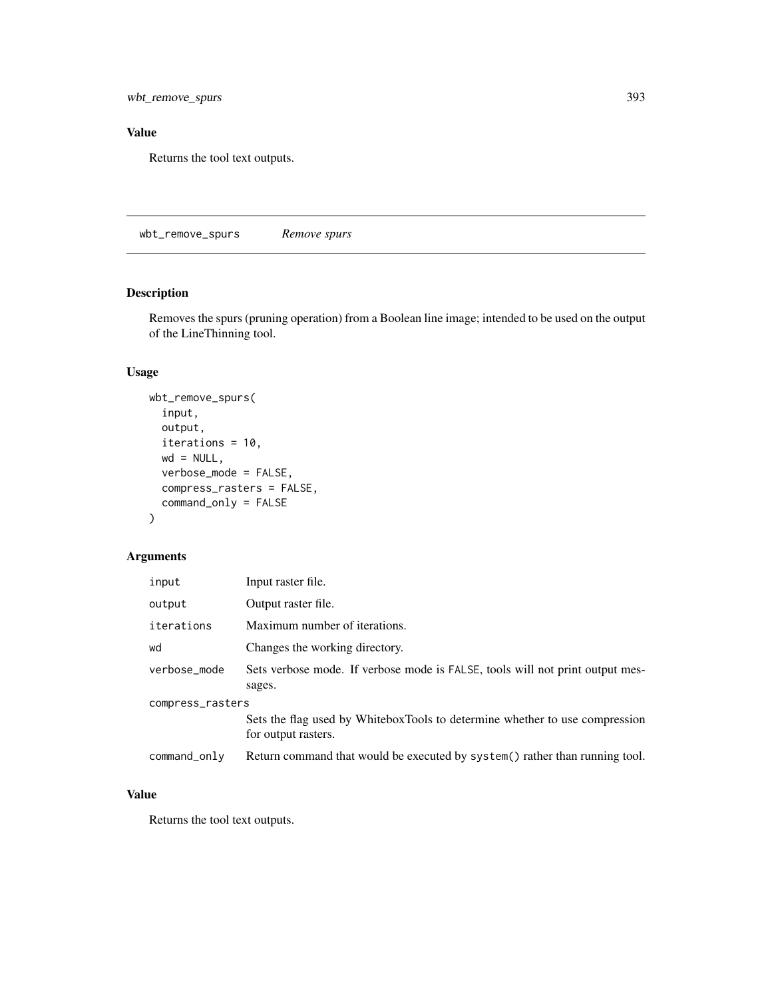wbt\_remove\_spurs 393

## Value

Returns the tool text outputs.

wbt\_remove\_spurs *Remove spurs*

## Description

Removes the spurs (pruning operation) from a Boolean line image; intended to be used on the output of the LineThinning tool.

#### Usage

```
wbt_remove_spurs(
  input,
 output,
 iterations = 10,
 wd = NULL,verbose_mode = FALSE,
 compress_rasters = FALSE,
  command_only = FALSE
)
```
#### Arguments

| input            | Input raster file.                                                                                 |  |
|------------------|----------------------------------------------------------------------------------------------------|--|
| output           | Output raster file.                                                                                |  |
| iterations       | Maximum number of iterations.                                                                      |  |
| wd               | Changes the working directory.                                                                     |  |
| verbose mode     | Sets verbose mode. If verbose mode is FALSE, tools will not print output mes-<br>sages.            |  |
| compress_rasters |                                                                                                    |  |
|                  | Sets the flag used by WhiteboxTools to determine whether to use compression<br>for output rasters. |  |
| command_only     | Return command that would be executed by system() rather than running tool.                        |  |

#### Value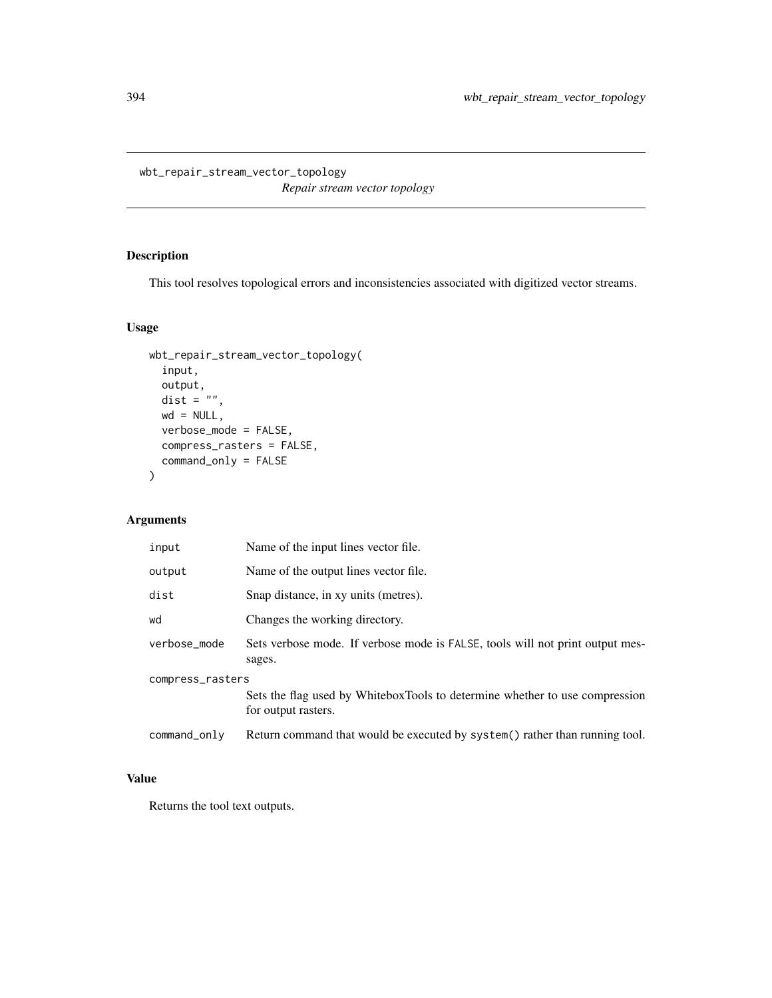wbt\_repair\_stream\_vector\_topology *Repair stream vector topology*

## Description

This tool resolves topological errors and inconsistencies associated with digitized vector streams.

## Usage

```
wbt_repair_stream_vector_topology(
  input,
 output,
 dist = "",wd = NULL,verbose_mode = FALSE,
 compress_rasters = FALSE,
 command_only = FALSE
)
```
# Arguments

| input            | Name of the input lines vector file.                                                               |  |
|------------------|----------------------------------------------------------------------------------------------------|--|
| output           | Name of the output lines vector file.                                                              |  |
| dist             | Snap distance, in xy units (metres).                                                               |  |
| wd               | Changes the working directory.                                                                     |  |
| verbose_mode     | Sets verbose mode. If verbose mode is FALSE, tools will not print output mes-<br>sages.            |  |
| compress_rasters |                                                                                                    |  |
|                  | Sets the flag used by WhiteboxTools to determine whether to use compression<br>for output rasters. |  |
| command_only     | Return command that would be executed by system() rather than running tool.                        |  |

## Value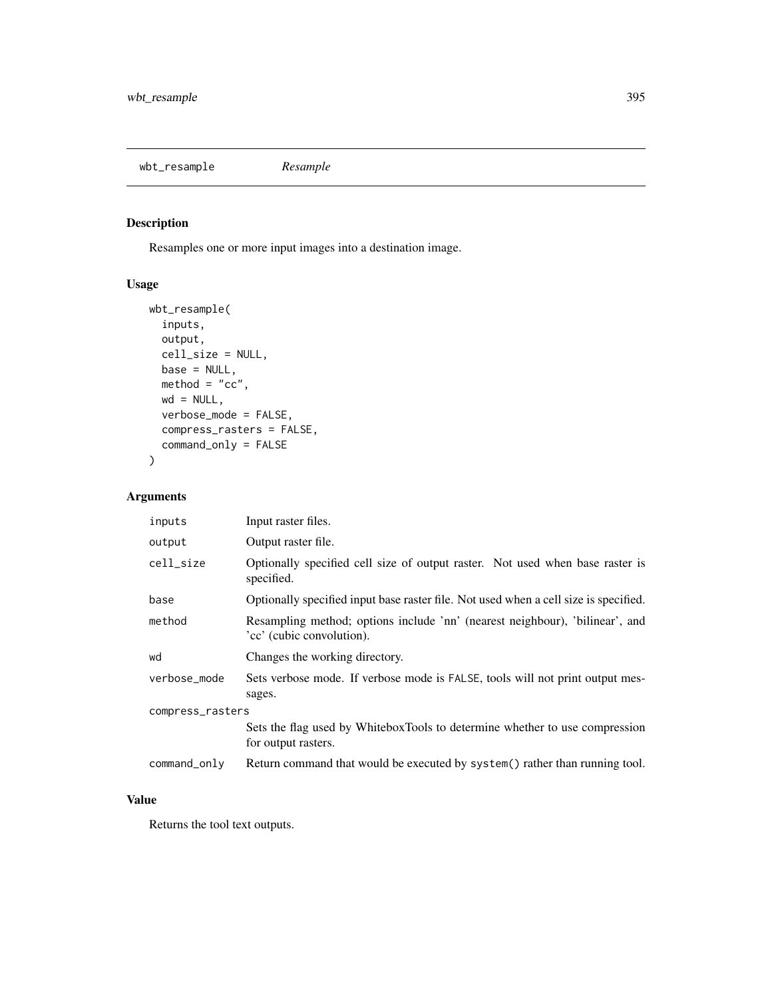wbt\_resample *Resample*

## Description

Resamples one or more input images into a destination image.

## Usage

```
wbt_resample(
  inputs,
 output,
 cell_size = NULL,
 base = NULL,\text{method} = "cc",wd = NULL,verbose_mode = FALSE,
 compress_rasters = FALSE,
  command_only = FALSE
)
```
## Arguments

| inputs           | Input raster files.                                                                                       |  |
|------------------|-----------------------------------------------------------------------------------------------------------|--|
| output           | Output raster file.                                                                                       |  |
| cell_size        | Optionally specified cell size of output raster. Not used when base raster is<br>specified.               |  |
| base             | Optionally specified input base raster file. Not used when a cell size is specified.                      |  |
| method           | Resampling method; options include 'nn' (nearest neighbour), 'bilinear', and<br>'cc' (cubic convolution). |  |
| wd               | Changes the working directory.                                                                            |  |
| verbose_mode     | Sets verbose mode. If verbose mode is FALSE, tools will not print output mes-<br>sages.                   |  |
| compress_rasters |                                                                                                           |  |
|                  | Sets the flag used by WhiteboxTools to determine whether to use compression<br>for output rasters.        |  |
| command_only     | Return command that would be executed by system() rather than running tool.                               |  |

## Value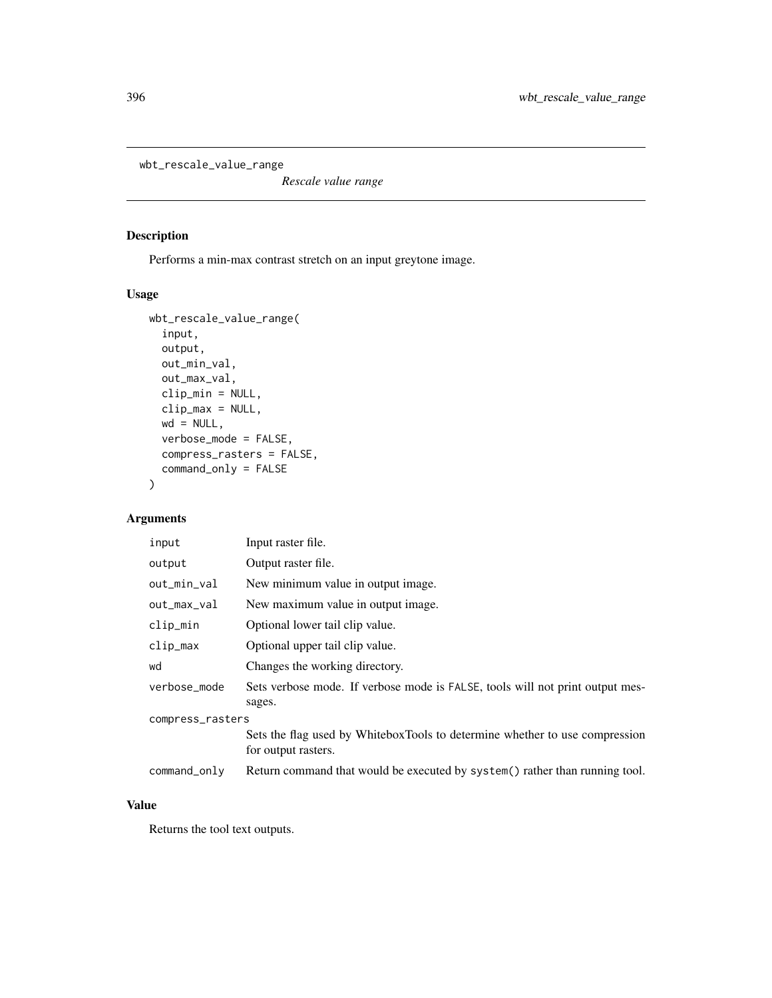wbt\_rescale\_value\_range

*Rescale value range*

#### Description

Performs a min-max contrast stretch on an input greytone image.

#### Usage

```
wbt_rescale_value_range(
  input,
 output,
 out_min_val,
  out_max_val,
 clip_min = NULL,
  clip_max = NULL,
 wd = NULL,verbose_mode = FALSE,
 compress_rasters = FALSE,
  command_only = FALSE
\mathcal{L}
```
## Arguments

| input            | Input raster file.                                                                                 |
|------------------|----------------------------------------------------------------------------------------------------|
| output           | Output raster file.                                                                                |
| out_min_val      | New minimum value in output image.                                                                 |
| out_max_val      | New maximum value in output image.                                                                 |
| clip_min         | Optional lower tail clip value.                                                                    |
| clip_max         | Optional upper tail clip value.                                                                    |
| wd               | Changes the working directory.                                                                     |
| verbose_mode     | Sets verbose mode. If verbose mode is FALSE, tools will not print output mes-<br>sages.            |
| compress_rasters |                                                                                                    |
|                  | Sets the flag used by WhiteboxTools to determine whether to use compression<br>for output rasters. |
| command_only     | Return command that would be executed by system() rather than running tool.                        |

## Value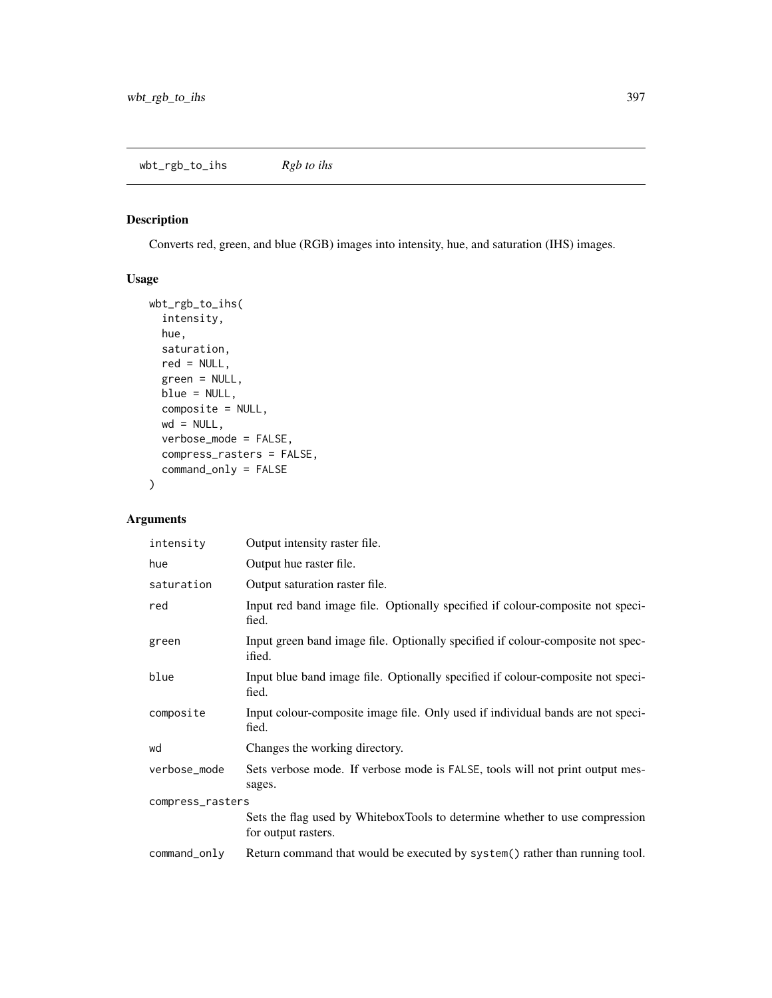## Description

Converts red, green, and blue (RGB) images into intensity, hue, and saturation (IHS) images.

# Usage

```
wbt_rgb_to_ihs(
  intensity,
 hue,
 saturation,
 red = NULL,green = NULL,
 blue = NULL,
 composite = NULL,
 wd = NULL,verbose_mode = FALSE,
 compress_rasters = FALSE,
  command_only = FALSE
)
```
# Arguments

| intensity        | Output intensity raster file.                                                                      |  |
|------------------|----------------------------------------------------------------------------------------------------|--|
| hue              | Output hue raster file.                                                                            |  |
| saturation       | Output saturation raster file.                                                                     |  |
| red              | Input red band image file. Optionally specified if colour-composite not speci-<br>fied.            |  |
| green            | Input green band image file. Optionally specified if colour-composite not spec-<br>ified.          |  |
| blue             | Input blue band image file. Optionally specified if colour-composite not speci-<br>fied.           |  |
| composite        | Input colour-composite image file. Only used if individual bands are not speci-<br>fied.           |  |
| wd               | Changes the working directory.                                                                     |  |
| verbose_mode     | Sets verbose mode. If verbose mode is FALSE, tools will not print output mes-<br>sages.            |  |
| compress_rasters |                                                                                                    |  |
|                  | Sets the flag used by WhiteboxTools to determine whether to use compression<br>for output rasters. |  |
| command_only     | Return command that would be executed by system() rather than running tool.                        |  |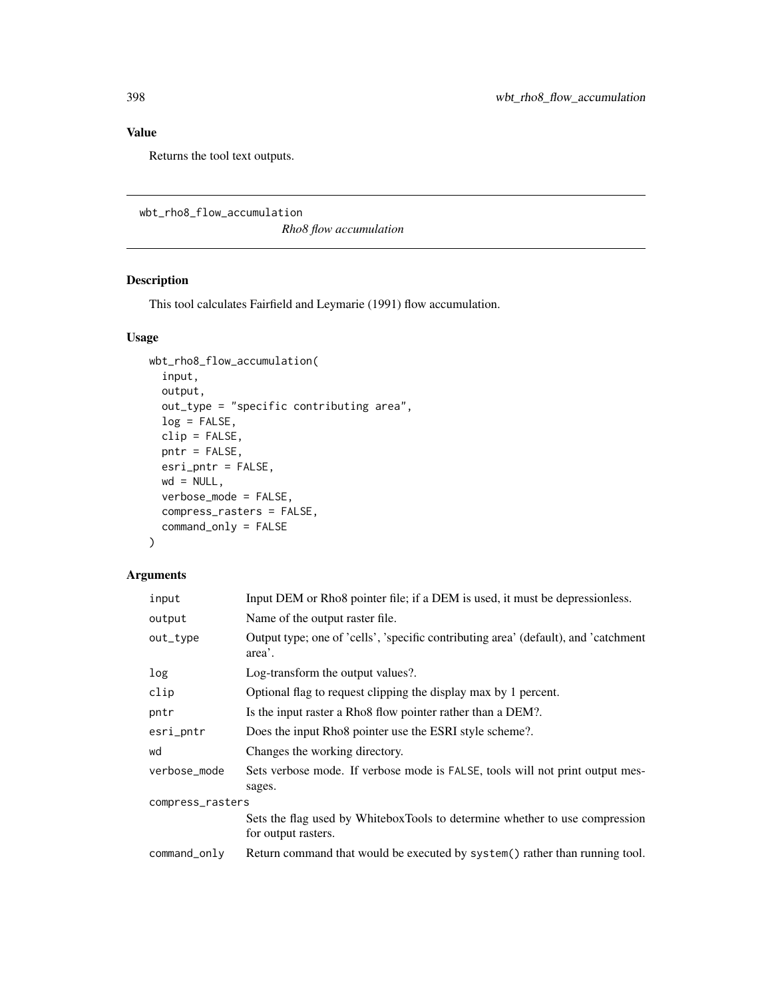## Value

Returns the tool text outputs.

```
wbt_rho8_flow_accumulation
```
*Rho8 flow accumulation*

## Description

This tool calculates Fairfield and Leymarie (1991) flow accumulation.

## Usage

```
wbt_rho8_flow_accumulation(
  input,
 output,
 out_type = "specific contributing area",
 log = FALSE,
 clip = FALSE,
 pntr = FALSE,
 esri_pntr = FALSE,
 wd = NULL,verbose_mode = FALSE,
 compress_rasters = FALSE,
  command_only = FALSE
)
```
## Arguments

| input            | Input DEM or Rho8 pointer file; if a DEM is used, it must be depressionless.                       |  |
|------------------|----------------------------------------------------------------------------------------------------|--|
| output           | Name of the output raster file.                                                                    |  |
| out_type         | Output type; one of 'cells', 'specific contributing area' (default), and 'catchment<br>area'.      |  |
| log              | Log-transform the output values?.                                                                  |  |
| clip             | Optional flag to request clipping the display max by 1 percent.                                    |  |
| pntr             | Is the input raster a Rho8 flow pointer rather than a DEM?.                                        |  |
| esri_pntr        | Does the input Rho8 pointer use the ESRI style scheme?.                                            |  |
| wd               | Changes the working directory.                                                                     |  |
| verbose_mode     | Sets verbose mode. If verbose mode is FALSE, tools will not print output mes-<br>sages.            |  |
| compress_rasters |                                                                                                    |  |
|                  | Sets the flag used by WhiteboxTools to determine whether to use compression<br>for output rasters. |  |
| command_only     | Return command that would be executed by system() rather than running tool.                        |  |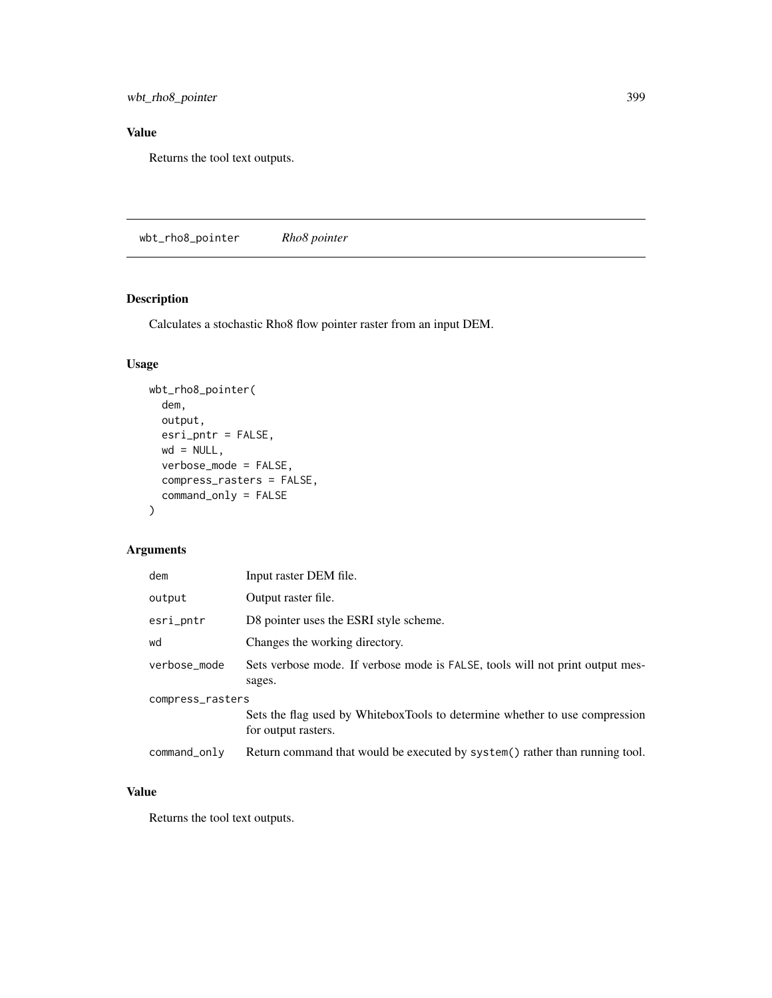wbt\_rho8\_pointer 399

## Value

Returns the tool text outputs.

wbt\_rho8\_pointer *Rho8 pointer*

# Description

Calculates a stochastic Rho8 flow pointer raster from an input DEM.

## Usage

```
wbt_rho8_pointer(
 dem,
 output,
 esri_pntr = FALSE,
 wd = NULL,verbose_mode = FALSE,
 compress_rasters = FALSE,
 command_only = FALSE
)
```
## Arguments

| dem              | Input raster DEM file.                                                                             |  |
|------------------|----------------------------------------------------------------------------------------------------|--|
| output           | Output raster file.                                                                                |  |
| esri_pntr        | D8 pointer uses the ESRI style scheme.                                                             |  |
| wd               | Changes the working directory.                                                                     |  |
| verbose_mode     | Sets verbose mode. If verbose mode is FALSE, tools will not print output mes-<br>sages.            |  |
| compress_rasters |                                                                                                    |  |
|                  | Sets the flag used by WhiteboxTools to determine whether to use compression<br>for output rasters. |  |
| command_only     | Return command that would be executed by system() rather than running tool.                        |  |

#### Value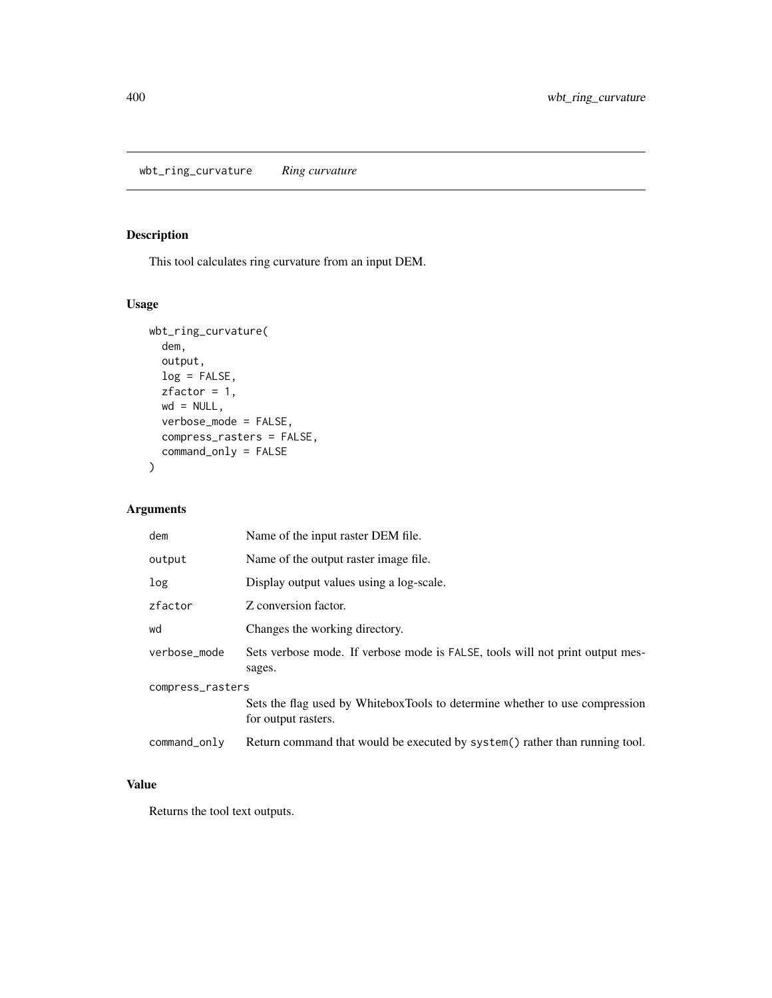wbt\_ring\_curvature *Ring curvature*

## Description

This tool calculates ring curvature from an input DEM.

## Usage

```
wbt_ring_curvature(
 dem,
 output,
 log = FALSE,
 zfactor = 1,
 wd = NULL,verbose_mode = FALSE,
 compress_rasters = FALSE,
 command_only = FALSE
)
```
## Arguments

| dem              | Name of the input raster DEM file.                                                                 |  |
|------------------|----------------------------------------------------------------------------------------------------|--|
| output           | Name of the output raster image file.                                                              |  |
| log              | Display output values using a log-scale.                                                           |  |
| zfactor          | Z conversion factor.                                                                               |  |
| wd               | Changes the working directory.                                                                     |  |
| verbose_mode     | Sets verbose mode. If verbose mode is FALSE, tools will not print output mes-<br>sages.            |  |
| compress_rasters |                                                                                                    |  |
|                  | Sets the flag used by WhiteboxTools to determine whether to use compression<br>for output rasters. |  |
| command_only     | Return command that would be executed by system() rather than running tool.                        |  |

## Value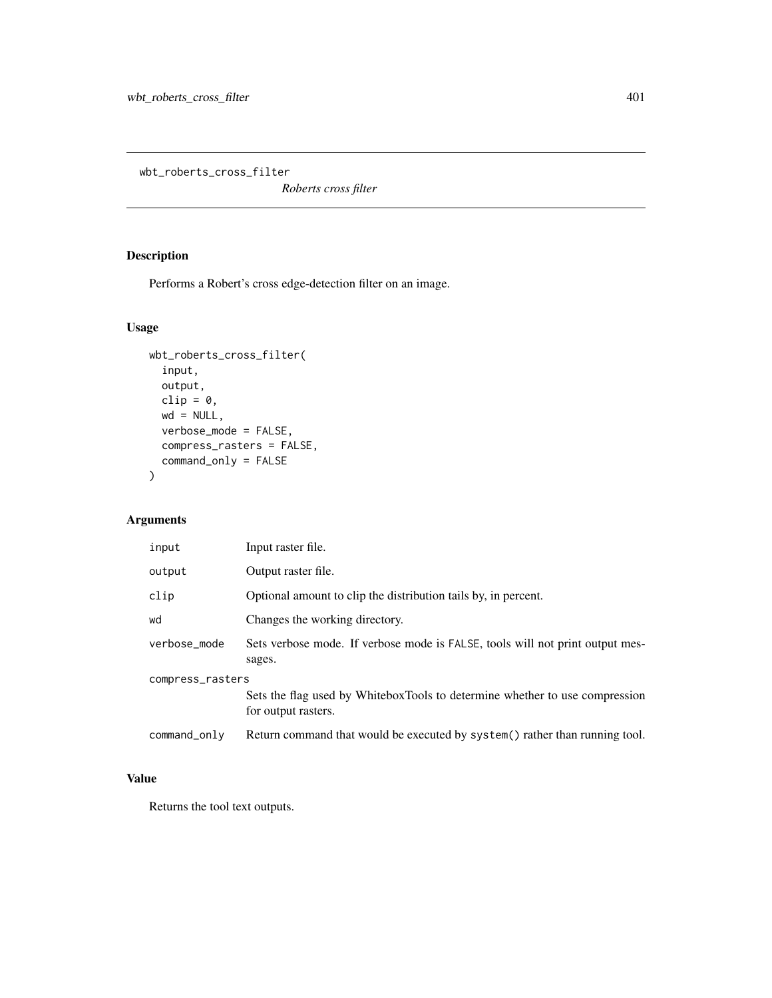wbt\_roberts\_cross\_filter

*Roberts cross filter*

# Description

Performs a Robert's cross edge-detection filter on an image.

## Usage

```
wbt_roberts_cross_filter(
  input,
 output,
 clip = 0,
 wd = NULL,verbose_mode = FALSE,
 compress_rasters = FALSE,
 command_only = FALSE
)
```
# Arguments

| input            | Input raster file.                                                                                 |  |
|------------------|----------------------------------------------------------------------------------------------------|--|
| output           | Output raster file.                                                                                |  |
| clip             | Optional amount to clip the distribution tails by, in percent.                                     |  |
| wd               | Changes the working directory.                                                                     |  |
| verbose_mode     | Sets verbose mode. If verbose mode is FALSE, tools will not print output mes-<br>sages.            |  |
| compress_rasters |                                                                                                    |  |
|                  | Sets the flag used by WhiteboxTools to determine whether to use compression<br>for output rasters. |  |
| command_only     | Return command that would be executed by system() rather than running tool.                        |  |

# Value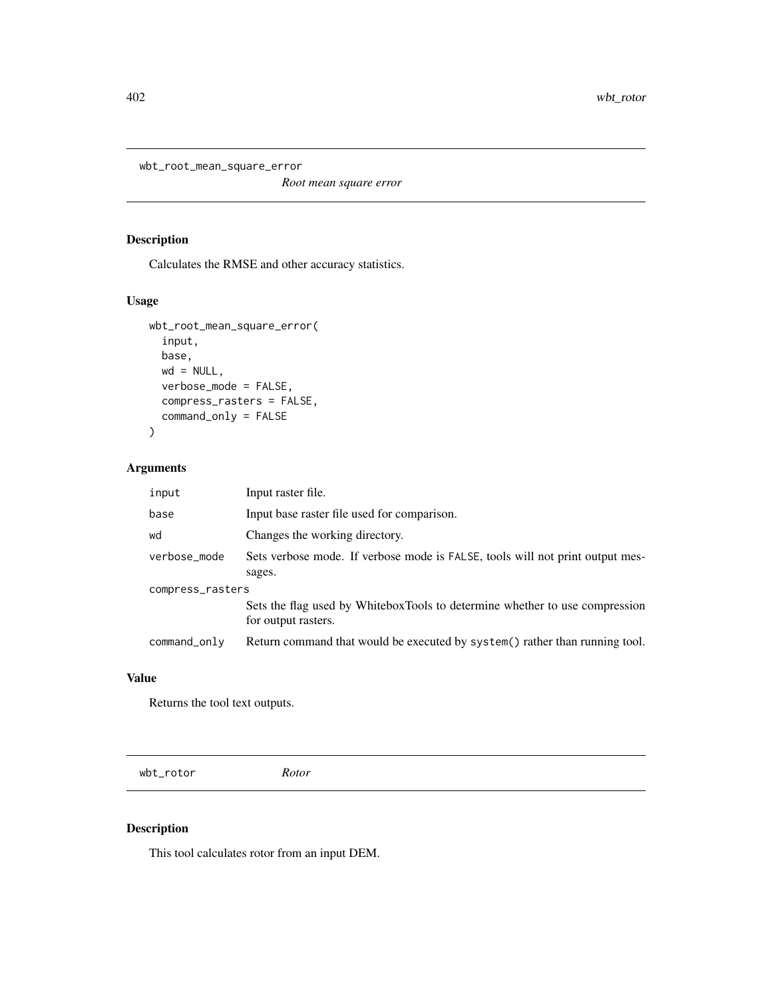wbt\_root\_mean\_square\_error

*Root mean square error*

## Description

Calculates the RMSE and other accuracy statistics.

## Usage

```
wbt_root_mean_square_error(
  input,
 base,
 wd = NULL,verbose_mode = FALSE,
 compress_rasters = FALSE,
  command_only = FALSE
)
```
# Arguments

| input            | Input raster file.                                                                                 |  |
|------------------|----------------------------------------------------------------------------------------------------|--|
| base             | Input base raster file used for comparison.                                                        |  |
| wd               | Changes the working directory.                                                                     |  |
| verbose_mode     | Sets verbose mode. If verbose mode is FALSE, tools will not print output mes-<br>sages.            |  |
| compress_rasters |                                                                                                    |  |
|                  | Sets the flag used by WhiteboxTools to determine whether to use compression<br>for output rasters. |  |
| command_only     | Return command that would be executed by system() rather than running tool.                        |  |

#### Value

Returns the tool text outputs.

wbt\_rotor *Rotor*

## Description

This tool calculates rotor from an input DEM.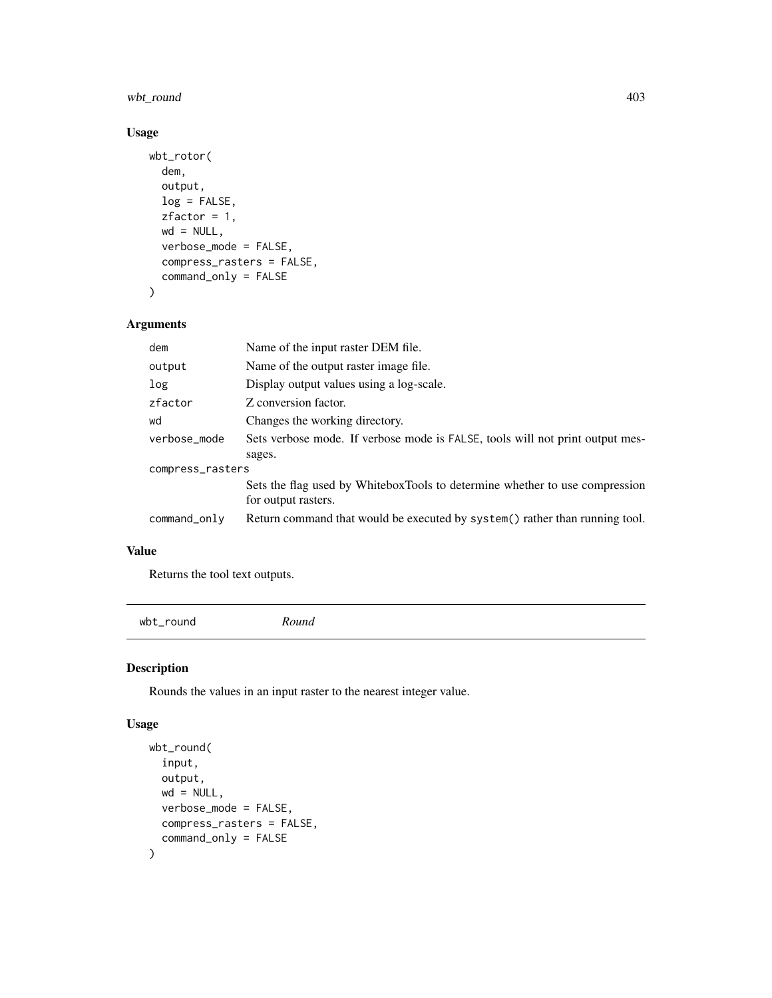# wbt\_round 403

## Usage

```
wbt_rotor(
  dem,
  output,
 log = FALSE,
 zfactor = 1,wd = NULL,verbose_mode = FALSE,
  compress_rasters = FALSE,
  command_only = FALSE
\mathcal{L}
```
## Arguments

| dem              | Name of the input raster DEM file.                                                                 |  |
|------------------|----------------------------------------------------------------------------------------------------|--|
| output           | Name of the output raster image file.                                                              |  |
| log              | Display output values using a log-scale.                                                           |  |
| zfactor          | Z conversion factor.                                                                               |  |
| wd               | Changes the working directory.                                                                     |  |
| verbose_mode     | Sets verbose mode. If verbose mode is FALSE, tools will not print output mes-                      |  |
|                  | sages.                                                                                             |  |
| compress_rasters |                                                                                                    |  |
|                  | Sets the flag used by WhiteboxTools to determine whether to use compression<br>for output rasters. |  |
| command_only     | Return command that would be executed by system() rather than running tool.                        |  |

## Value

Returns the tool text outputs.

wbt\_round *Round*

## Description

Rounds the values in an input raster to the nearest integer value.

## Usage

```
wbt_round(
  input,
  output,
  wd = NULL,verbose_mode = FALSE,
  compress_rasters = FALSE,
  command_only = FALSE
\mathcal{L}
```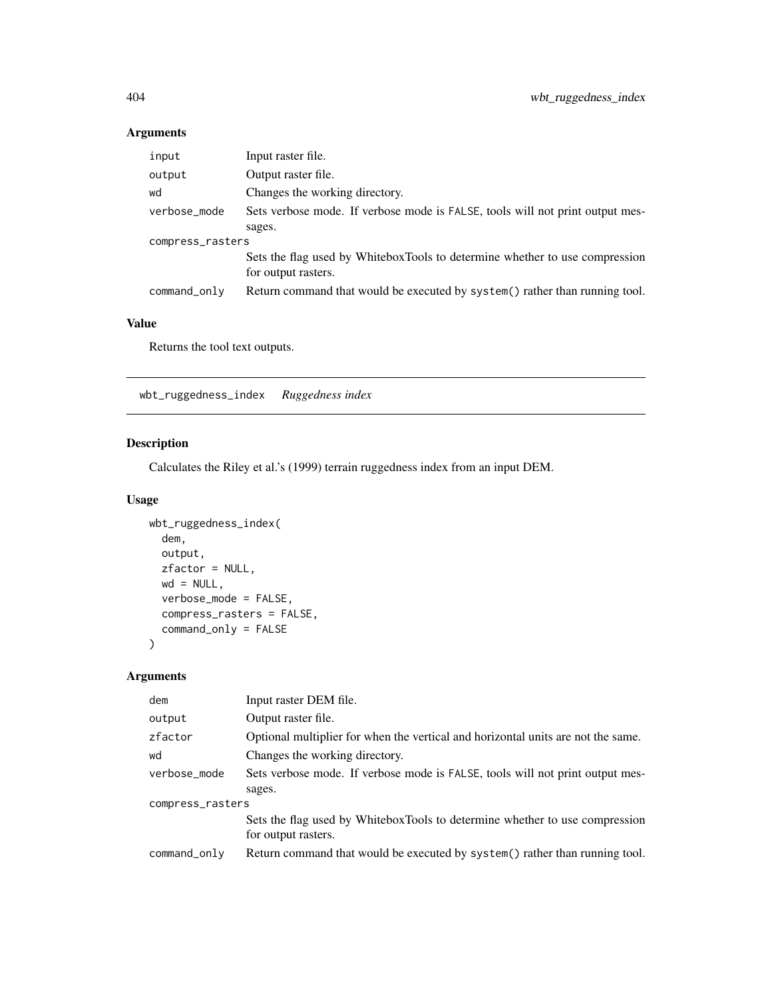## Arguments

| input            | Input raster file.                                                                                 |  |
|------------------|----------------------------------------------------------------------------------------------------|--|
| output           | Output raster file.                                                                                |  |
| wd               | Changes the working directory.                                                                     |  |
| verbose_mode     | Sets verbose mode. If verbose mode is FALSE, tools will not print output mes-                      |  |
|                  | sages.                                                                                             |  |
| compress_rasters |                                                                                                    |  |
|                  | Sets the flag used by WhiteboxTools to determine whether to use compression<br>for output rasters. |  |
| command_only     | Return command that would be executed by system() rather than running tool.                        |  |

#### Value

Returns the tool text outputs.

wbt\_ruggedness\_index *Ruggedness index*

# Description

Calculates the Riley et al.'s (1999) terrain ruggedness index from an input DEM.

## Usage

```
wbt_ruggedness_index(
 dem,
 output,
 zfactor = NULL,
 wd = NULL,verbose_mode = FALSE,
 compress_rasters = FALSE,
 command_only = FALSE
)
```
## Arguments

| dem              | Input raster DEM file.                                                                             |  |
|------------------|----------------------------------------------------------------------------------------------------|--|
| output           | Output raster file.                                                                                |  |
| zfactor          | Optional multiplier for when the vertical and horizontal units are not the same.                   |  |
| wd               | Changes the working directory.                                                                     |  |
| verbose_mode     | Sets verbose mode. If verbose mode is FALSE, tools will not print output mes-                      |  |
|                  | sages.                                                                                             |  |
| compress_rasters |                                                                                                    |  |
|                  | Sets the flag used by WhiteboxTools to determine whether to use compression<br>for output rasters. |  |
| command_only     | Return command that would be executed by system() rather than running tool.                        |  |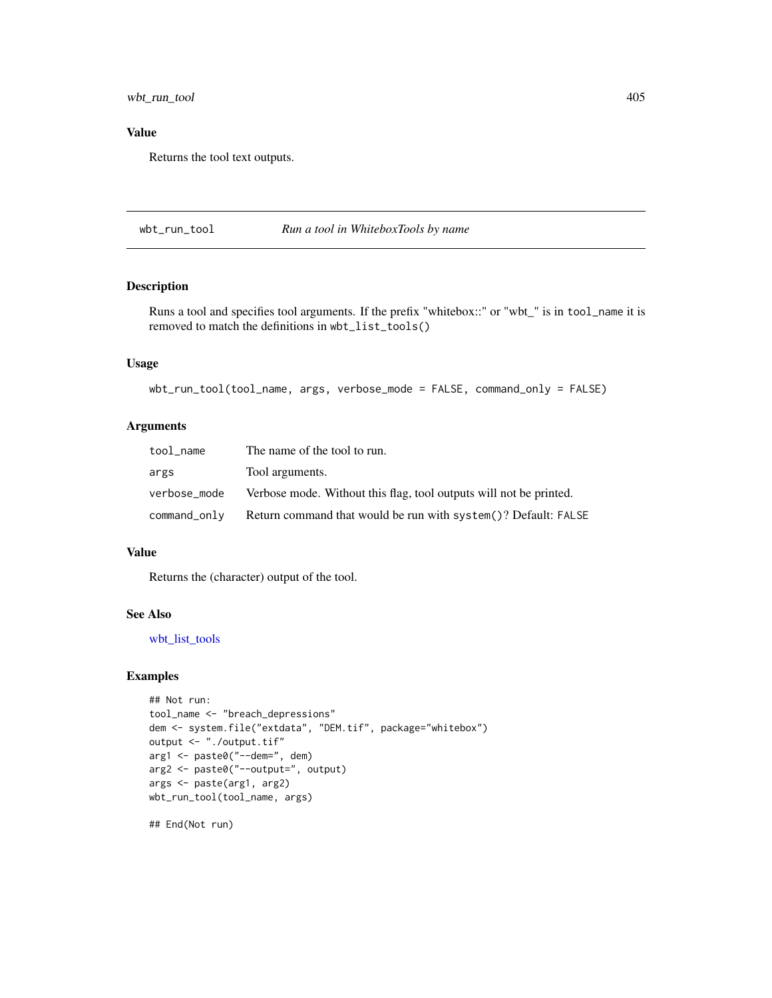wbt\_run\_tool 405

## Value

Returns the tool text outputs.

wbt\_run\_tool *Run a tool in WhiteboxTools by name*

## Description

Runs a tool and specifies tool arguments. If the prefix "whitebox::" or "wbt\_" is in tool\_name it is removed to match the definitions in wbt\_list\_tools()

## Usage

```
wbt_run_tool(tool_name, args, verbose_mode = FALSE, command_only = FALSE)
```
#### Arguments

| tool name       | The name of the tool to run.                                       |
|-----------------|--------------------------------------------------------------------|
| args            | Tool arguments.                                                    |
| verbose_mode    | Verbose mode. Without this flag, tool outputs will not be printed. |
| $command\_only$ | Return command that would be run with system()? Default: FALSE     |

#### Value

Returns the (character) output of the tool.

#### See Also

[wbt\\_list\\_tools](#page-264-0)

## Examples

```
## Not run:
tool_name <- "breach_depressions"
dem <- system.file("extdata", "DEM.tif", package="whitebox")
output <- "./output.tif"
arg1 <- paste0("--dem=", dem)
arg2 <- paste0("--output=", output)
args <- paste(arg1, arg2)
wbt_run_tool(tool_name, args)
```
## End(Not run)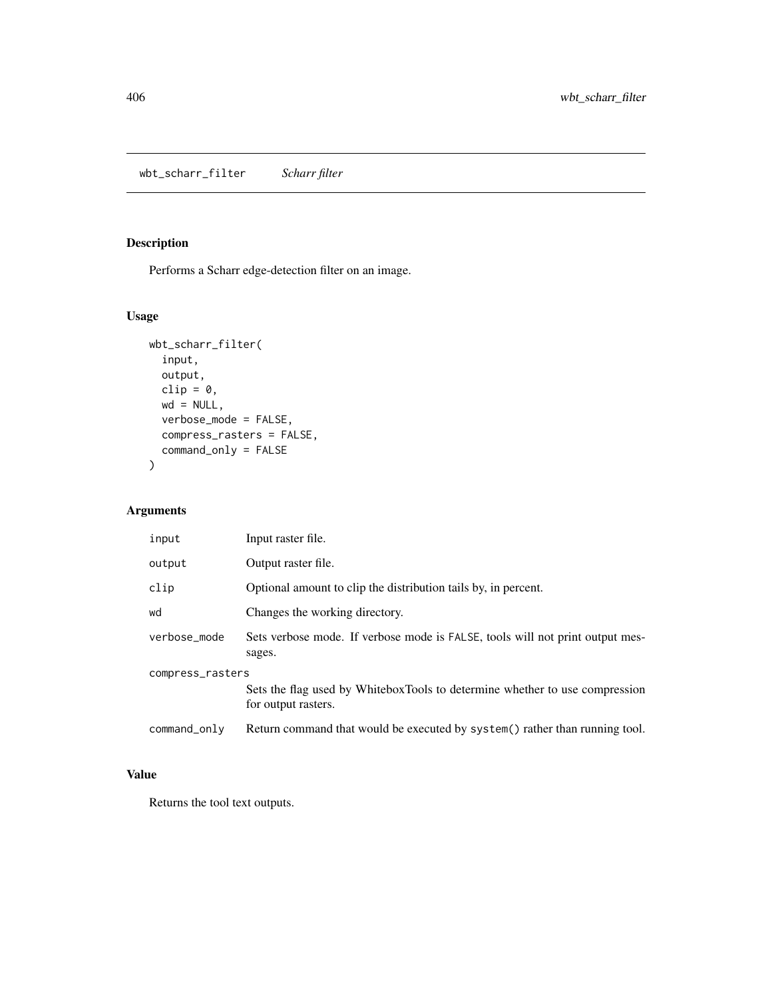wbt\_scharr\_filter *Scharr filter*

# Description

Performs a Scharr edge-detection filter on an image.

## Usage

```
wbt_scharr_filter(
  input,
  output,
  clip = \theta,
  wd = NULL,verbose_mode = FALSE,
  compress_rasters = FALSE,
  command_only = FALSE
\mathcal{L}
```
## Arguments

| input            | Input raster file.                                                                                 |  |
|------------------|----------------------------------------------------------------------------------------------------|--|
| output           | Output raster file.                                                                                |  |
| clip             | Optional amount to clip the distribution tails by, in percent.                                     |  |
| wd               | Changes the working directory.                                                                     |  |
| verbose_mode     | Sets verbose mode. If verbose mode is FALSE, tools will not print output mes-<br>sages.            |  |
| compress_rasters |                                                                                                    |  |
|                  | Sets the flag used by WhiteboxTools to determine whether to use compression<br>for output rasters. |  |
| command_only     | Return command that would be executed by system() rather than running tool.                        |  |

## Value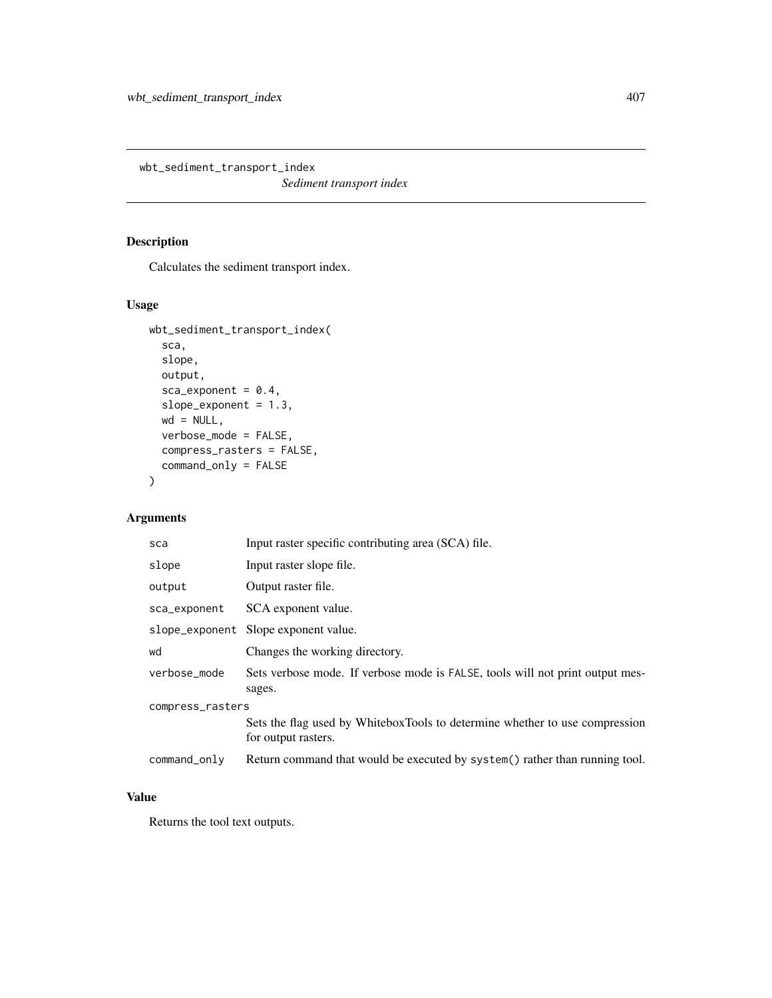wbt\_sediment\_transport\_index

*Sediment transport index*

## Description

Calculates the sediment transport index.

## Usage

```
wbt_sediment_transport_index(
  sca,
 slope,
 output,
  sca_exponent = 0.4,
  slope_exponent = 1.3,
 wd = NULL,verbose_mode = FALSE,
 compress_rasters = FALSE,
  command_only = FALSE
)
```
## Arguments

| sca              | Input raster specific contributing area (SCA) file.                                                |  |
|------------------|----------------------------------------------------------------------------------------------------|--|
| slope            | Input raster slope file.                                                                           |  |
| output           | Output raster file.                                                                                |  |
| sca_exponent     | SCA exponent value.                                                                                |  |
|                  | slope_exponent Slope exponent value.                                                               |  |
| wd               | Changes the working directory.                                                                     |  |
| verbose_mode     | Sets verbose mode. If verbose mode is FALSE, tools will not print output mes-<br>sages.            |  |
| compress_rasters |                                                                                                    |  |
|                  | Sets the flag used by WhiteboxTools to determine whether to use compression<br>for output rasters. |  |
| command_only     | Return command that would be executed by system() rather than running tool.                        |  |

## Value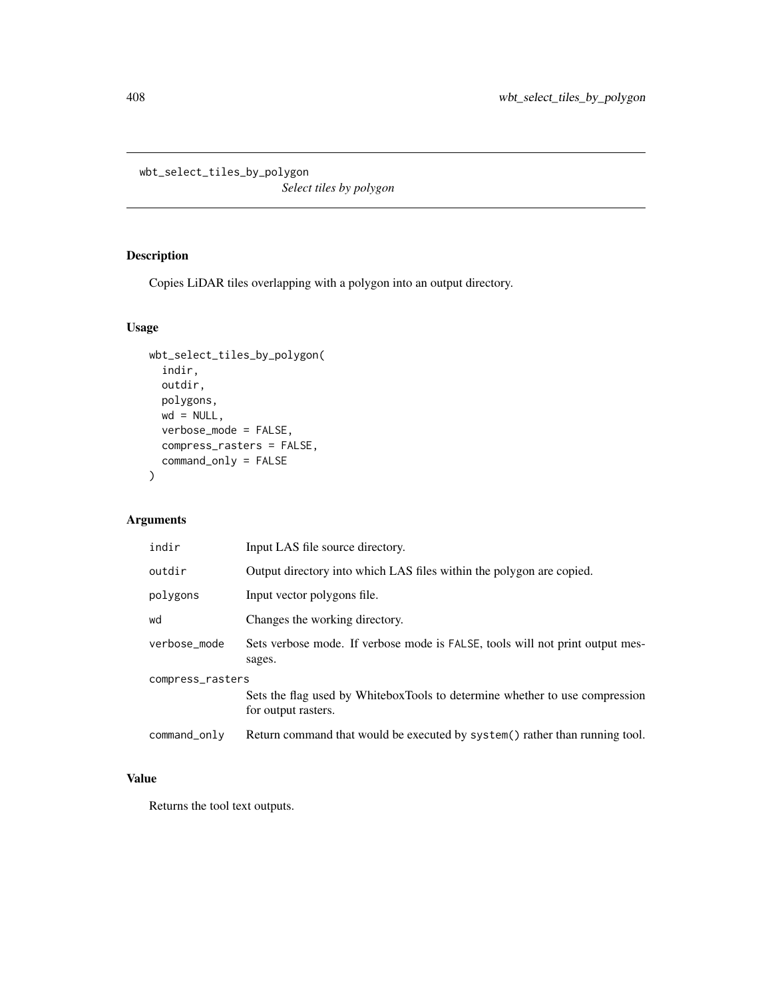```
wbt_select_tiles_by_polygon
```
*Select tiles by polygon*

## Description

Copies LiDAR tiles overlapping with a polygon into an output directory.

## Usage

```
wbt_select_tiles_by_polygon(
 indir,
 outdir,
 polygons,
 wd = NULL,verbose_mode = FALSE,
 compress_rasters = FALSE,
 command_only = FALSE
)
```
# Arguments

| indir            | Input LAS file source directory.                                                                   |  |
|------------------|----------------------------------------------------------------------------------------------------|--|
| outdir           | Output directory into which LAS files within the polygon are copied.                               |  |
| polygons         | Input vector polygons file.                                                                        |  |
| wd               | Changes the working directory.                                                                     |  |
| verbose_mode     | Sets verbose mode. If verbose mode is FALSE, tools will not print output mes-<br>sages.            |  |
| compress_rasters |                                                                                                    |  |
|                  | Sets the flag used by WhiteboxTools to determine whether to use compression<br>for output rasters. |  |
| command_only     | Return command that would be executed by system() rather than running tool.                        |  |

# Value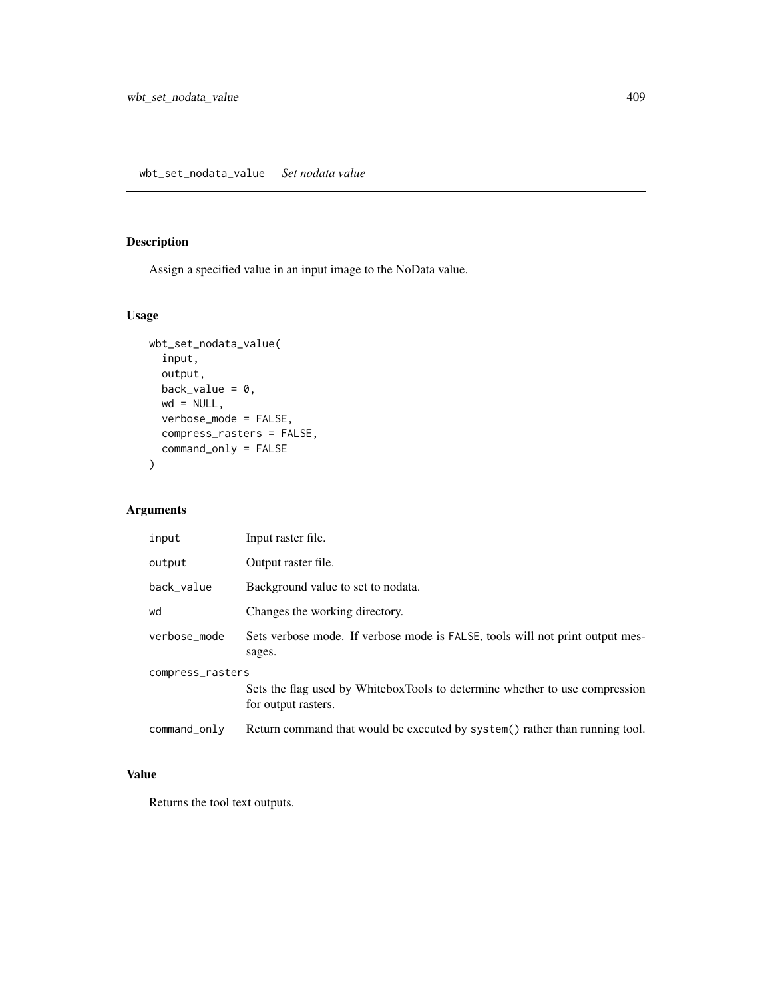## Description

Assign a specified value in an input image to the NoData value.

## Usage

```
wbt_set_nodata_value(
  input,
 output,
 back_value = 0,
 wd = NULL,verbose_mode = FALSE,
 compress_rasters = FALSE,
  command_only = FALSE
)
```
## Arguments

| input            | Input raster file.                                                                                 |
|------------------|----------------------------------------------------------------------------------------------------|
| output           | Output raster file.                                                                                |
| back_value       | Background value to set to nodata.                                                                 |
| wd               | Changes the working directory.                                                                     |
| verbose_mode     | Sets verbose mode. If verbose mode is FALSE, tools will not print output mes-<br>sages.            |
| compress_rasters | Sets the flag used by WhiteboxTools to determine whether to use compression<br>for output rasters. |
| command_only     | Return command that would be executed by system() rather than running tool.                        |

## Value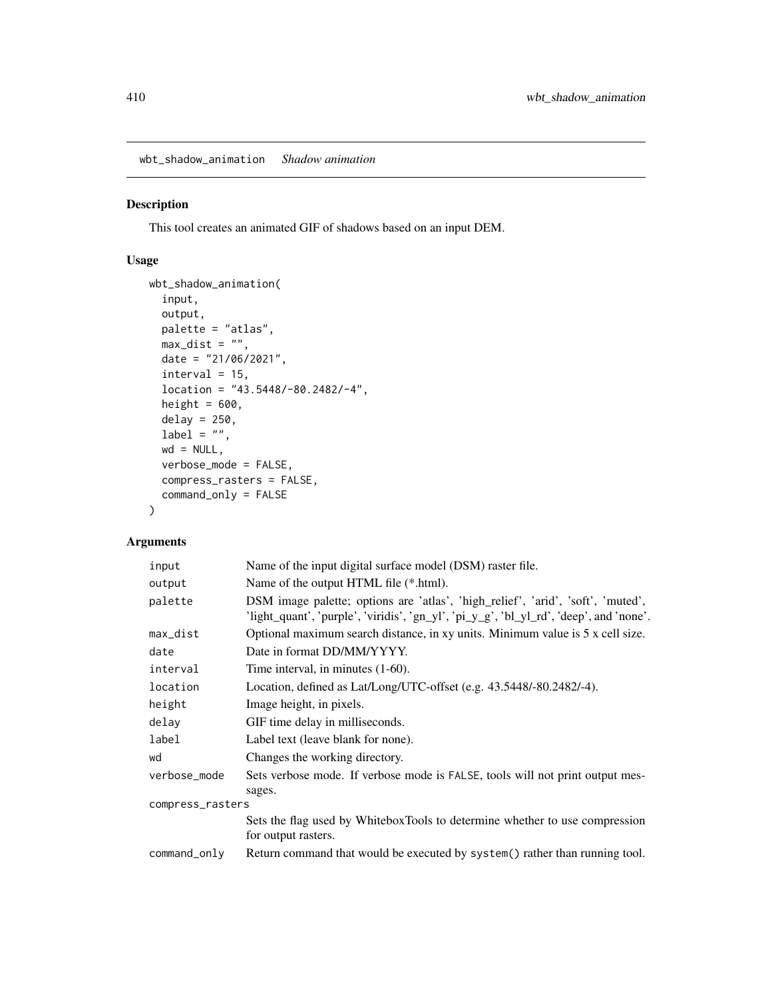wbt\_shadow\_animation *Shadow animation*

#### Description

This tool creates an animated GIF of shadows based on an input DEM.

#### Usage

```
wbt_shadow_animation(
  input,
 output,
 palette = "atlas",
 max\_dist = "",date = "21/06/2021",
 interval = 15,
 location = "43.5448/-80.2482/-4",
 height = 600,
 delay = 250,
 label = "",wd = NULL,verbose_mode = FALSE,
 compress_rasters = FALSE,
 command_only = FALSE
)
```
## Arguments

| input            | Name of the input digital surface model (DSM) raster file.                                                                                                                |  |
|------------------|---------------------------------------------------------------------------------------------------------------------------------------------------------------------------|--|
| output           | Name of the output HTML file (*.html).                                                                                                                                    |  |
| palette          | DSM image palette; options are 'atlas', 'high_relief', 'arid', 'soft', 'muted',<br>'light_quant', 'purple', 'viridis', 'gn_yl', 'pi_y_g', 'bl_yl_rd', 'deep', and 'none'. |  |
| max_dist         | Optional maximum search distance, in xy units. Minimum value is 5 x cell size.                                                                                            |  |
| date             | Date in format DD/MM/YYYY.                                                                                                                                                |  |
| interval         | Time interval, in minutes $(1-60)$ .                                                                                                                                      |  |
| location         | Location, defined as Lat/Long/UTC-offset (e.g. 43.5448/-80.2482/-4).                                                                                                      |  |
| height           | Image height, in pixels.                                                                                                                                                  |  |
| delay            | GIF time delay in milliseconds.                                                                                                                                           |  |
| label            | Label text (leave blank for none).                                                                                                                                        |  |
| wd               | Changes the working directory.                                                                                                                                            |  |
| verbose_mode     | Sets verbose mode. If verbose mode is FALSE, tools will not print output mes-<br>sages.                                                                                   |  |
| compress_rasters |                                                                                                                                                                           |  |
|                  | Sets the flag used by WhiteboxTools to determine whether to use compression<br>for output rasters.                                                                        |  |
| command_only     | Return command that would be executed by system() rather than running tool.                                                                                               |  |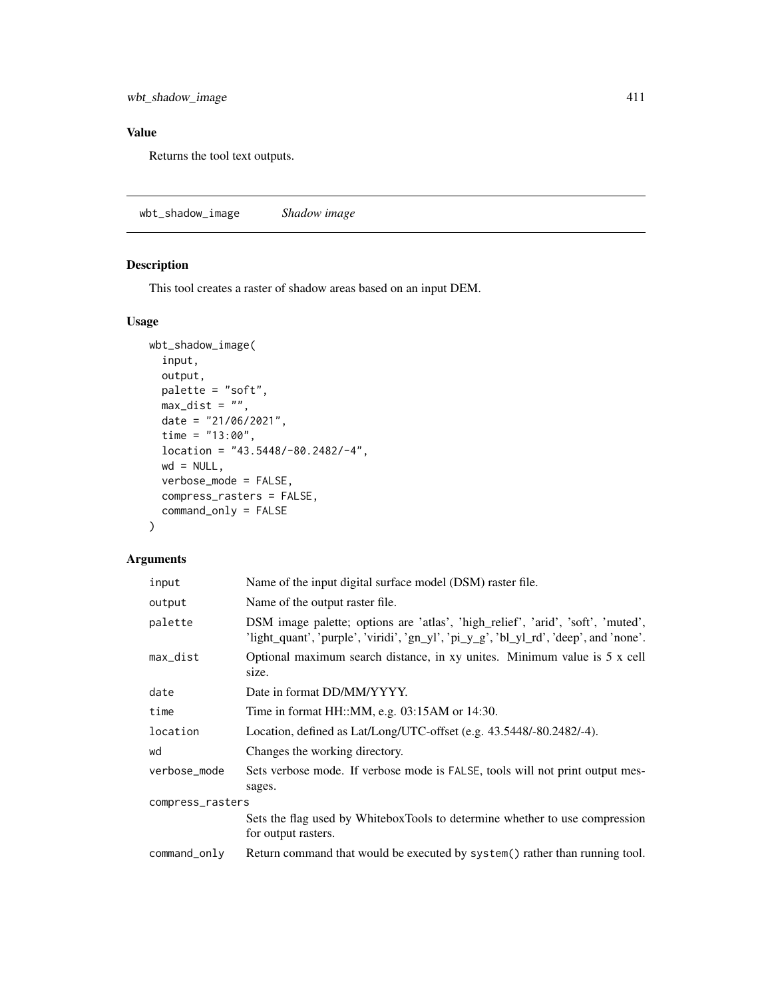wbt\_shadow\_image 411

## Value

Returns the tool text outputs.

wbt\_shadow\_image *Shadow image*

## Description

This tool creates a raster of shadow areas based on an input DEM.

## Usage

```
wbt_shadow_image(
 input,
 output,
 palette = "soft",
 max\_dist = "",date = "21/06/2021",
 time = "13:00",
 location = "43.5448/-80.2482/-4",
 wd = NULL,verbose_mode = FALSE,
 compress_rasters = FALSE,
  command_only = FALSE
)
```
## Arguments

| input            | Name of the input digital surface model (DSM) raster file.                                                                                                               |  |
|------------------|--------------------------------------------------------------------------------------------------------------------------------------------------------------------------|--|
| output           | Name of the output raster file.                                                                                                                                          |  |
| palette          | DSM image palette; options are 'atlas', 'high_relief', 'arid', 'soft', 'muted',<br>'light_quant', 'purple', 'viridi', 'gn_yl', 'pi_y_g', 'bl_yl_rd', 'deep', and 'none'. |  |
| max_dist         | Optional maximum search distance, in xy unites. Minimum value is 5 x cell<br>size.                                                                                       |  |
| date             | Date in format DD/MM/YYYY.                                                                                                                                               |  |
| time             | Time in format $HH::MM$ , e.g. 03:15AM or 14:30.                                                                                                                         |  |
| location         | Location, defined as Lat/Long/UTC-offset (e.g. 43.5448/-80.2482/-4).                                                                                                     |  |
| wd               | Changes the working directory.                                                                                                                                           |  |
| verbose_mode     | Sets verbose mode. If verbose mode is FALSE, tools will not print output mes-<br>sages.                                                                                  |  |
| compress_rasters |                                                                                                                                                                          |  |
|                  | Sets the flag used by WhiteboxTools to determine whether to use compression<br>for output rasters.                                                                       |  |
| command_only     | Return command that would be executed by system() rather than running tool.                                                                                              |  |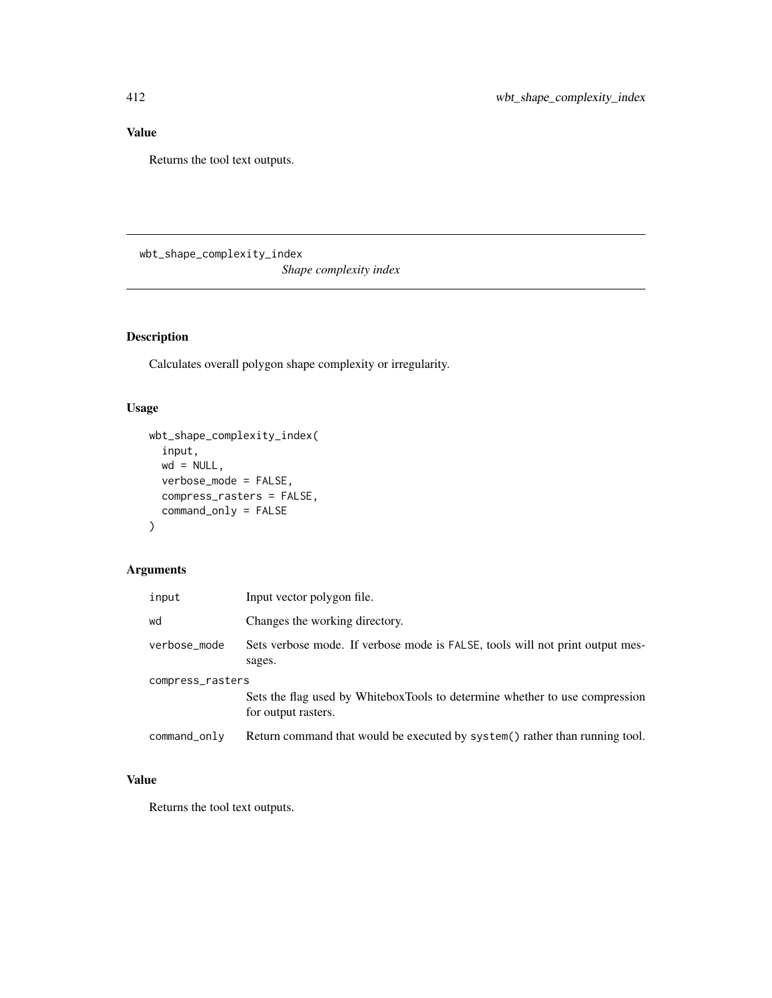## Value

Returns the tool text outputs.

wbt\_shape\_complexity\_index

*Shape complexity index*

# Description

Calculates overall polygon shape complexity or irregularity.

## Usage

```
wbt_shape_complexity_index(
  input,
 wd = NULL,verbose_mode = FALSE,
 compress_rasters = FALSE,
  command_only = FALSE
)
```
# Arguments

| input            | Input vector polygon file.                                                                         |  |
|------------------|----------------------------------------------------------------------------------------------------|--|
| wd               | Changes the working directory.                                                                     |  |
| verbose_mode     | Sets verbose mode. If verbose mode is FALSE, tools will not print output mes-<br>sages.            |  |
| compress_rasters |                                                                                                    |  |
|                  | Sets the flag used by WhiteboxTools to determine whether to use compression<br>for output rasters. |  |
| command_only     | Return command that would be executed by system() rather than running tool.                        |  |

# Value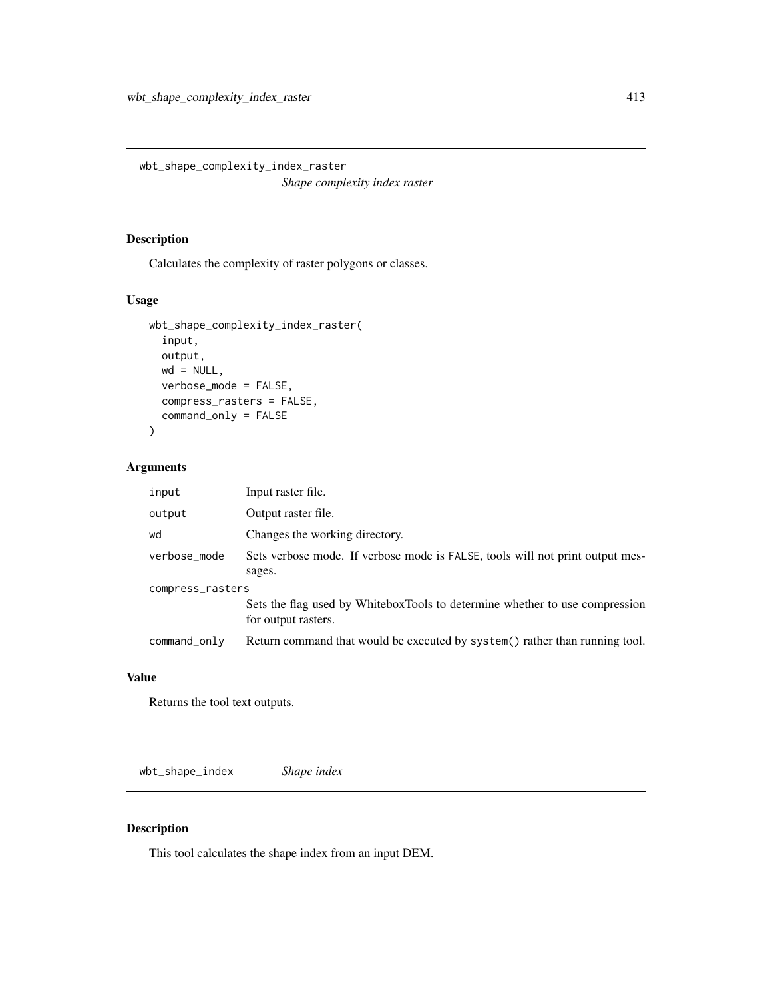wbt\_shape\_complexity\_index\_raster

*Shape complexity index raster*

## Description

Calculates the complexity of raster polygons or classes.

## Usage

```
wbt_shape_complexity_index_raster(
  input,
 output,
 wd = NULL,verbose_mode = FALSE,
 compress_rasters = FALSE,
  command_only = FALSE
\mathcal{L}
```
## Arguments

| input            | Input raster file.                                                                                 |  |
|------------------|----------------------------------------------------------------------------------------------------|--|
| output           | Output raster file.                                                                                |  |
| wd               | Changes the working directory.                                                                     |  |
| verbose_mode     | Sets verbose mode. If verbose mode is FALSE, tools will not print output mes-                      |  |
|                  | sages.                                                                                             |  |
| compress_rasters |                                                                                                    |  |
|                  | Sets the flag used by WhiteboxTools to determine whether to use compression<br>for output rasters. |  |
| command_only     | Return command that would be executed by system() rather than running tool.                        |  |

#### Value

Returns the tool text outputs.

wbt\_shape\_index *Shape index*

## Description

This tool calculates the shape index from an input DEM.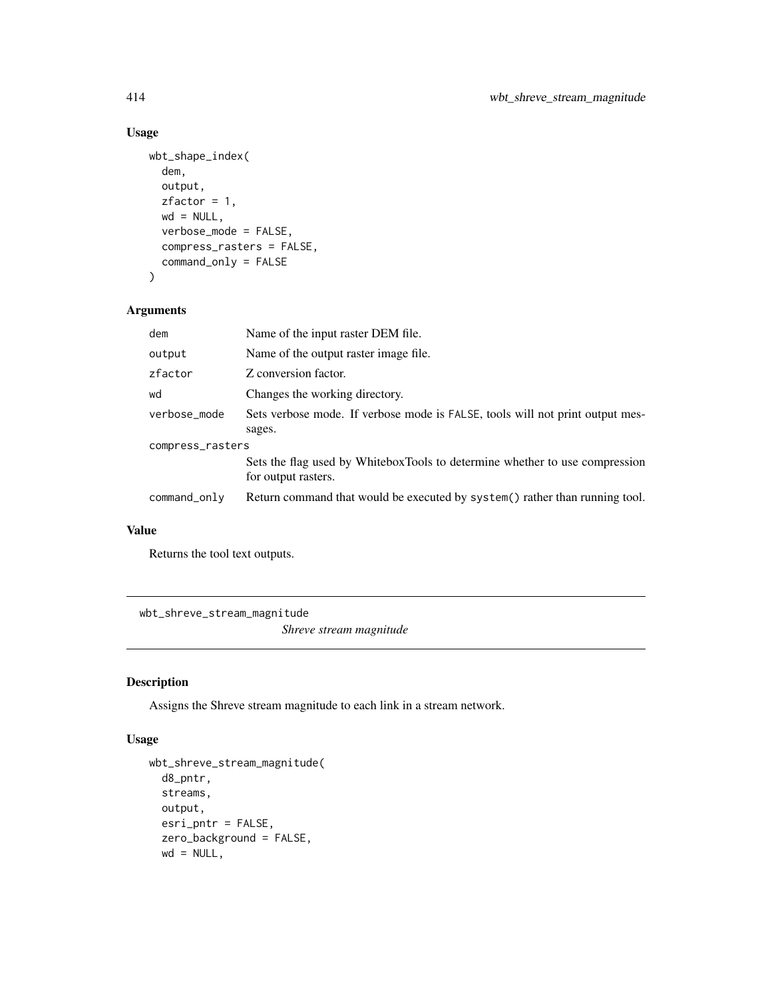## Usage

```
wbt_shape_index(
  dem,
  output,
 zfactor = 1,wd = NULL,verbose_mode = FALSE,
  compress_rasters = FALSE,
  command_only = FALSE
\mathcal{L}
```
## Arguments

| dem              | Name of the input raster DEM file.                                                                 |  |
|------------------|----------------------------------------------------------------------------------------------------|--|
| output           | Name of the output raster image file.                                                              |  |
| zfactor          | Z conversion factor.                                                                               |  |
| wd               | Changes the working directory.                                                                     |  |
| verbose_mode     | Sets verbose mode. If verbose mode is FALSE, tools will not print output mes-                      |  |
|                  | sages.                                                                                             |  |
| compress_rasters |                                                                                                    |  |
|                  | Sets the flag used by WhiteboxTools to determine whether to use compression<br>for output rasters. |  |
| command_only     | Return command that would be executed by system() rather than running tool.                        |  |

## Value

Returns the tool text outputs.

wbt\_shreve\_stream\_magnitude

*Shreve stream magnitude*

## Description

Assigns the Shreve stream magnitude to each link in a stream network.

#### Usage

```
wbt_shreve_stream_magnitude(
  d8_pntr,
 streams,
 output,
 esri_pntr = FALSE,
  zero_background = FALSE,
 wd = NULL,
```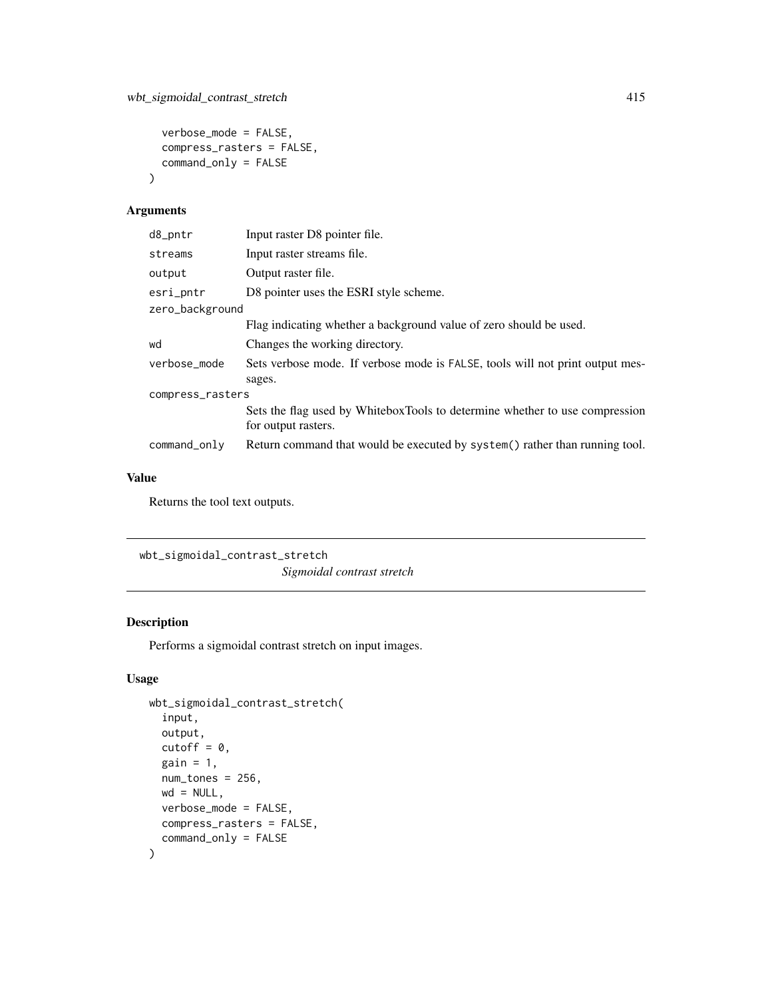```
verbose_mode = FALSE,
  compress_rasters = FALSE,
  command_only = FALSE
\mathcal{L}
```
## Arguments

| d8_pntr          | Input raster D8 pointer file.                                                                      |  |
|------------------|----------------------------------------------------------------------------------------------------|--|
| streams          | Input raster streams file.                                                                         |  |
| output           | Output raster file.                                                                                |  |
| esri_pntr        | D8 pointer uses the ESRI style scheme.                                                             |  |
| zero_background  |                                                                                                    |  |
|                  | Flag indicating whether a background value of zero should be used.                                 |  |
| wd               | Changes the working directory.                                                                     |  |
| verbose_mode     | Sets verbose mode. If verbose mode is FALSE, tools will not print output mes-                      |  |
|                  | sages.                                                                                             |  |
| compress_rasters |                                                                                                    |  |
|                  | Sets the flag used by WhiteboxTools to determine whether to use compression<br>for output rasters. |  |
| command_only     | Return command that would be executed by system() rather than running tool.                        |  |
|                  |                                                                                                    |  |

# Value

Returns the tool text outputs.

```
wbt_sigmoidal_contrast_stretch
```
*Sigmoidal contrast stretch*

## Description

Performs a sigmoidal contrast stretch on input images.

## Usage

```
wbt_sigmoidal_contrast_stretch(
  input,
 output,
  cutoff = 0,
 gain = 1,num\_tones = 256,
 wd = NULL,verbose_mode = FALSE,
 compress_rasters = FALSE,
  command_only = FALSE
\mathcal{L}
```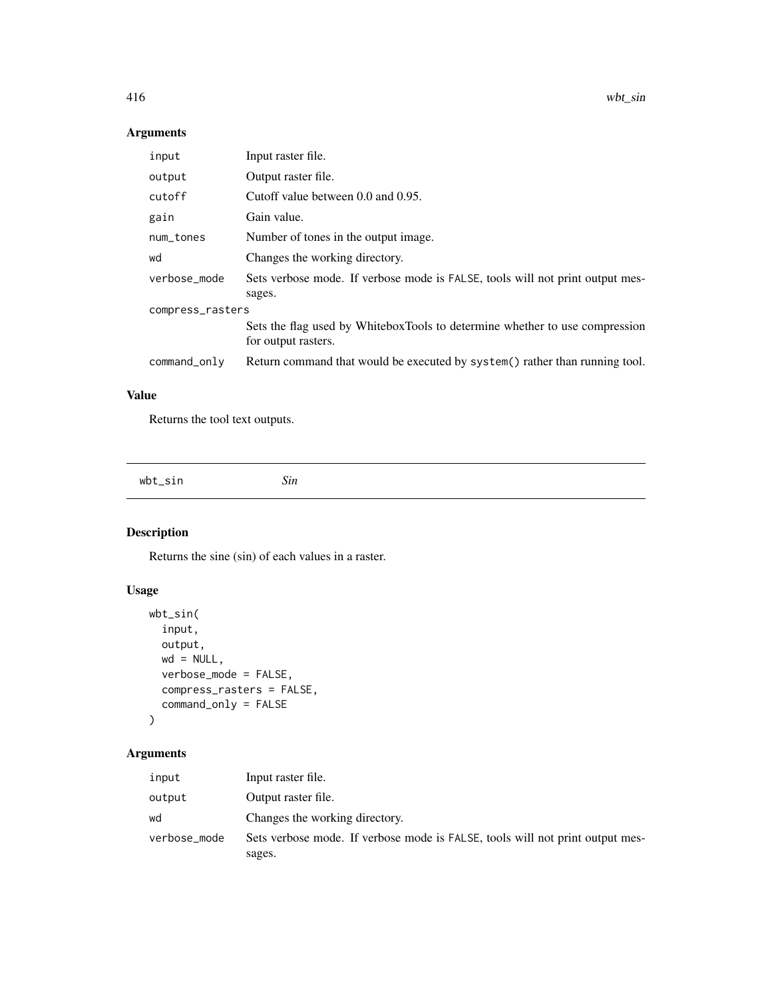416 wbt\_sin

## Arguments

| input            | Input raster file.                                                                                 |  |
|------------------|----------------------------------------------------------------------------------------------------|--|
| output           | Output raster file.                                                                                |  |
| cutoff           | Cutoff value between 0.0 and 0.95.                                                                 |  |
| gain             | Gain value.                                                                                        |  |
| num_tones        | Number of tones in the output image.                                                               |  |
| wd               | Changes the working directory.                                                                     |  |
| verbose_mode     | Sets verbose mode. If verbose mode is FALSE, tools will not print output mes-<br>sages.            |  |
| compress_rasters |                                                                                                    |  |
|                  | Sets the flag used by WhiteboxTools to determine whether to use compression<br>for output rasters. |  |
| command_only     | Return command that would be executed by system() rather than running tool.                        |  |

# Value

Returns the tool text outputs.

wbt\_sin *Sin*

# Description

Returns the sine (sin) of each values in a raster.

# Usage

```
wbt_sin(
  input,
 output,
 wd = NULL,verbose_mode = FALSE,
 compress_rasters = FALSE,
  command_only = FALSE
)
```
# Arguments

| input        | Input raster file.                                                            |
|--------------|-------------------------------------------------------------------------------|
| output       | Output raster file.                                                           |
| wd           | Changes the working directory.                                                |
| verbose_mode | Sets verbose mode. If verbose mode is FALSE, tools will not print output mes- |
|              | sages.                                                                        |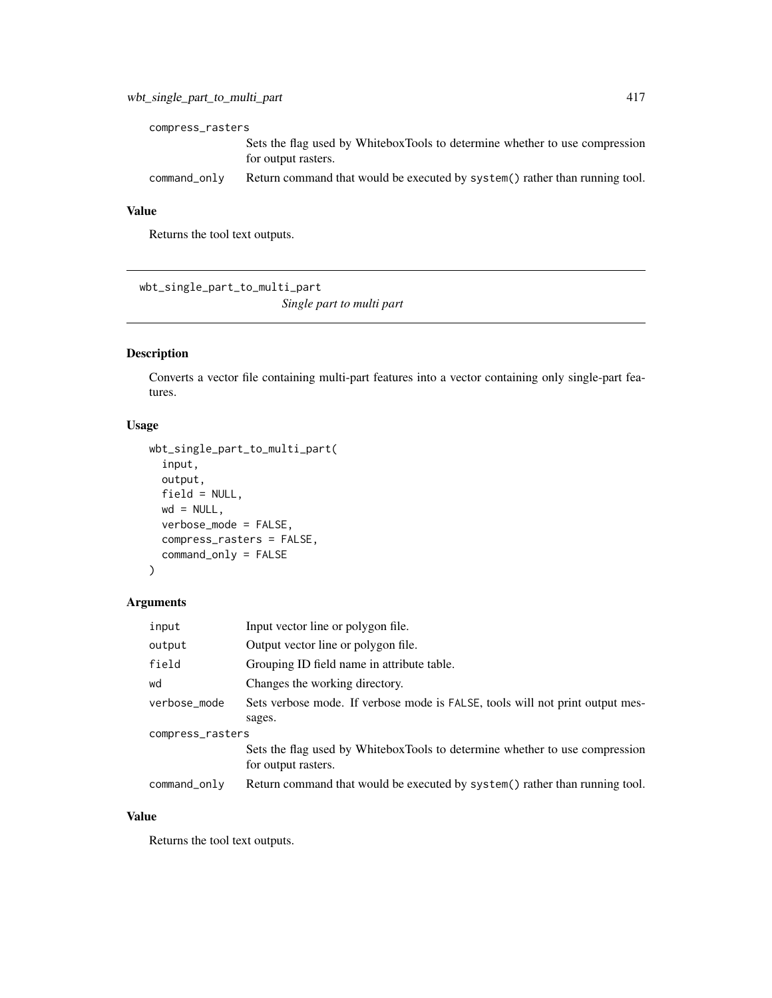| compress_rasters |                                                                                                    |  |
|------------------|----------------------------------------------------------------------------------------------------|--|
|                  | Sets the flag used by WhiteboxTools to determine whether to use compression<br>for output rasters. |  |
| command_only     | Return command that would be executed by system() rather than running tool.                        |  |

## Value

Returns the tool text outputs.

wbt\_single\_part\_to\_multi\_part *Single part to multi part*

## Description

Converts a vector file containing multi-part features into a vector containing only single-part features.

#### Usage

```
wbt_single_part_to_multi_part(
  input,
 output,
 field = NULL,
 wd = NULL,verbose_mode = FALSE,
  compress_rasters = FALSE,
  command_only = FALSE
\mathcal{E}
```
## Arguments

| input            | Input vector line or polygon file.                                            |  |
|------------------|-------------------------------------------------------------------------------|--|
| output           | Output vector line or polygon file.                                           |  |
| field            | Grouping ID field name in attribute table.                                    |  |
| wd               | Changes the working directory.                                                |  |
| verbose_mode     | Sets verbose mode. If verbose mode is FALSE, tools will not print output mes- |  |
|                  | sages.                                                                        |  |
| compress_rasters |                                                                               |  |
|                  | Sets the flag used by WhiteboxTools to determine whether to use compression   |  |
|                  | for output rasters.                                                           |  |
| command_only     | Return command that would be executed by system() rather than running tool.   |  |

#### Value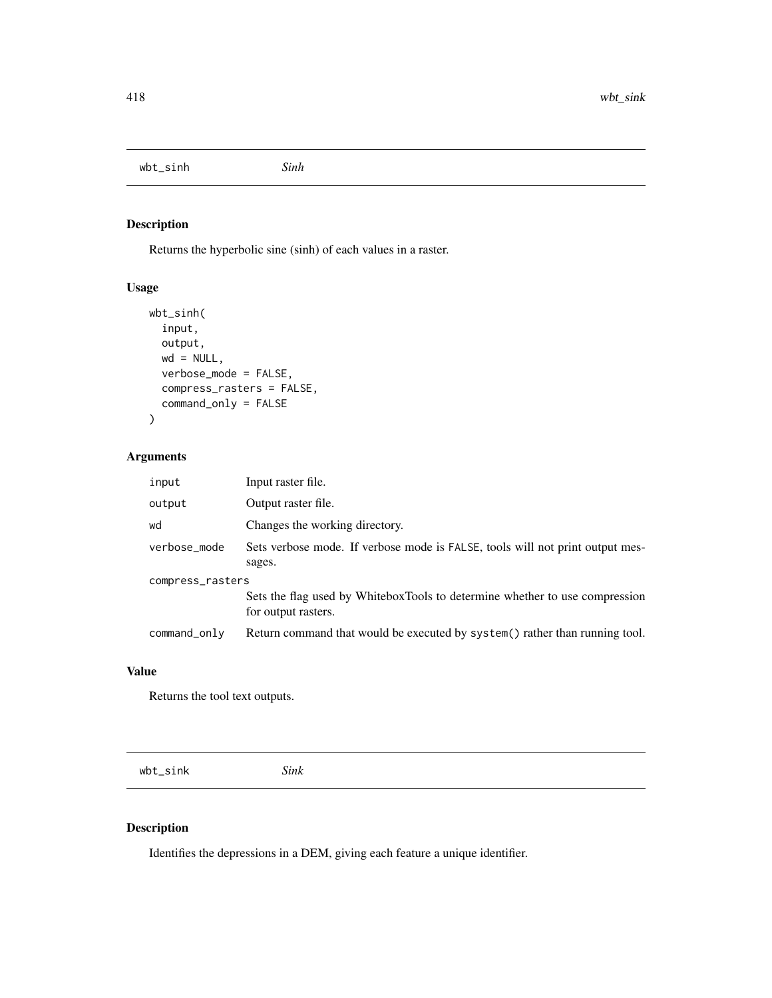wbt\_sinh *Sinh*

# Description

Returns the hyperbolic sine (sinh) of each values in a raster.

## Usage

```
wbt_sinh(
  input,
  output,
  wd = NULL,verbose_mode = FALSE,
  compress_rasters = FALSE,
  command_only = FALSE
)
```
## Arguments

| input            | Input raster file.                                                                                 |  |
|------------------|----------------------------------------------------------------------------------------------------|--|
| output           | Output raster file.                                                                                |  |
| wd               | Changes the working directory.                                                                     |  |
| verbose_mode     | Sets verbose mode. If verbose mode is FALSE, tools will not print output mes-<br>sages.            |  |
| compress_rasters |                                                                                                    |  |
|                  | Sets the flag used by WhiteboxTools to determine whether to use compression<br>for output rasters. |  |
| command_only     | Return command that would be executed by system() rather than running tool.                        |  |

#### Value

Returns the tool text outputs.

wbt\_sink *Sink*

## Description

Identifies the depressions in a DEM, giving each feature a unique identifier.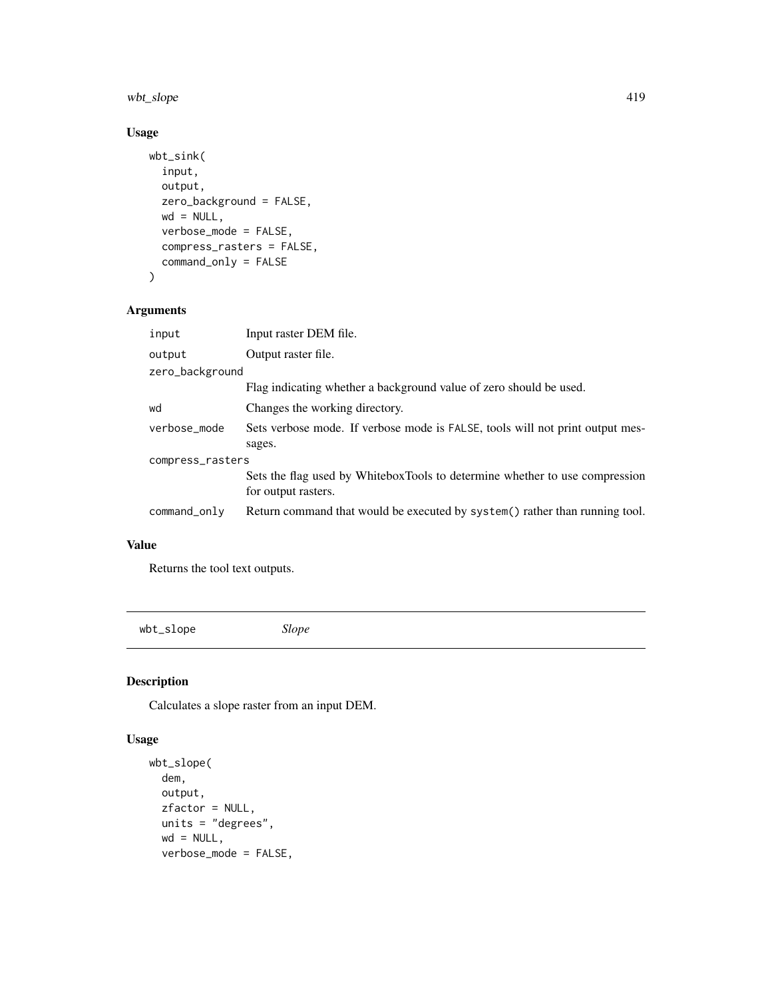# wbt\_slope 419

## Usage

```
wbt_sink(
  input,
  output,
  zero_background = FALSE,
  wd = NULL,verbose_mode = FALSE,
  compress_rasters = FALSE,
  command_only = FALSE
)
```
## Arguments

| input            | Input raster DEM file.                                                                             |  |
|------------------|----------------------------------------------------------------------------------------------------|--|
| output           | Output raster file.                                                                                |  |
| zero_background  |                                                                                                    |  |
|                  | Flag indicating whether a background value of zero should be used.                                 |  |
| wd               | Changes the working directory.                                                                     |  |
| verbose_mode     | Sets verbose mode. If verbose mode is FALSE, tools will not print output mes-                      |  |
|                  | sages.                                                                                             |  |
| compress_rasters |                                                                                                    |  |
|                  | Sets the flag used by WhiteboxTools to determine whether to use compression<br>for output rasters. |  |
| command_only     | Return command that would be executed by system() rather than running tool.                        |  |

## Value

Returns the tool text outputs.

wbt\_slope *Slope*

## Description

Calculates a slope raster from an input DEM.

#### Usage

```
wbt_slope(
 dem,
 output,
 zfactor = NULL,
 units = "degrees",
 wd = NULL,verbose_mode = FALSE,
```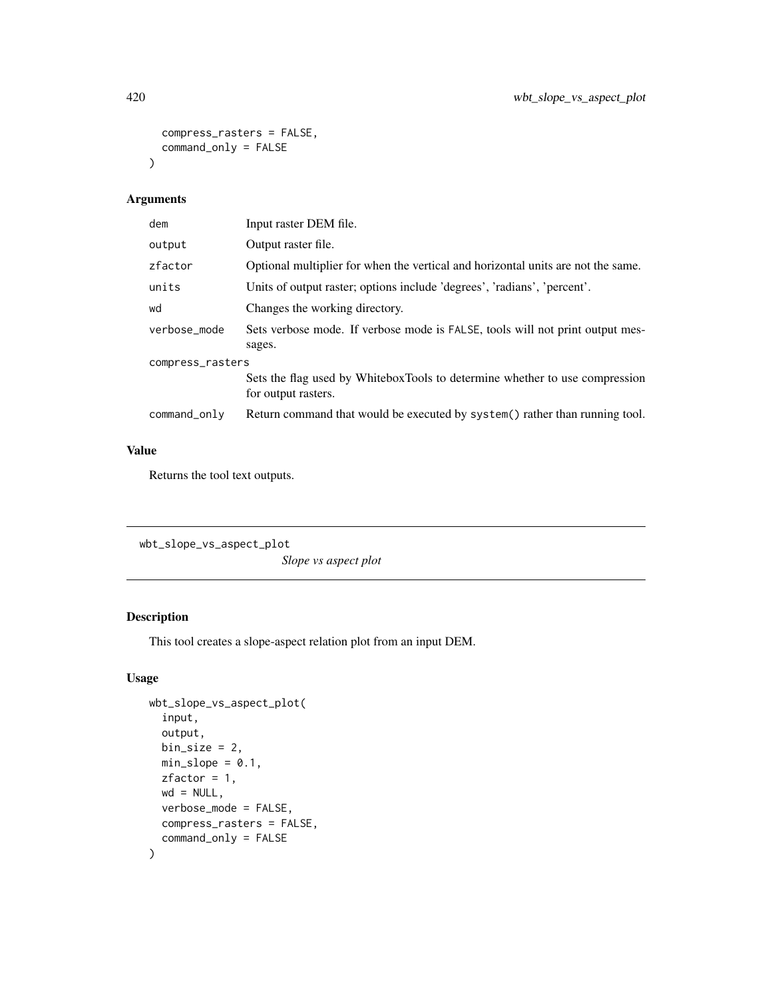```
compress_rasters = FALSE,
  command_only = FALSE
\mathcal{L}
```
# Arguments

| dem              | Input raster DEM file.                                                                             |  |
|------------------|----------------------------------------------------------------------------------------------------|--|
| output           | Output raster file.                                                                                |  |
| zfactor          | Optional multiplier for when the vertical and horizontal units are not the same.                   |  |
| units            | Units of output raster; options include 'degrees', 'radians', 'percent'.                           |  |
| wd               | Changes the working directory.                                                                     |  |
| verbose_mode     | Sets verbose mode. If verbose mode is FALSE, tools will not print output mes-<br>sages.            |  |
| compress_rasters |                                                                                                    |  |
|                  | Sets the flag used by WhiteboxTools to determine whether to use compression<br>for output rasters. |  |
| command_only     | Return command that would be executed by system() rather than running tool.                        |  |

# Value

Returns the tool text outputs.

```
wbt_slope_vs_aspect_plot
```
*Slope vs aspect plot*

# Description

This tool creates a slope-aspect relation plot from an input DEM.

#### Usage

```
wbt_slope_vs_aspect_plot(
  input,
 output,
 bin\_size = 2,
 min\_slope = 0.1,
 zfactor = 1,
 wd = NULL,verbose_mode = FALSE,
 compress_rasters = FALSE,
  command_only = FALSE
\mathcal{E}
```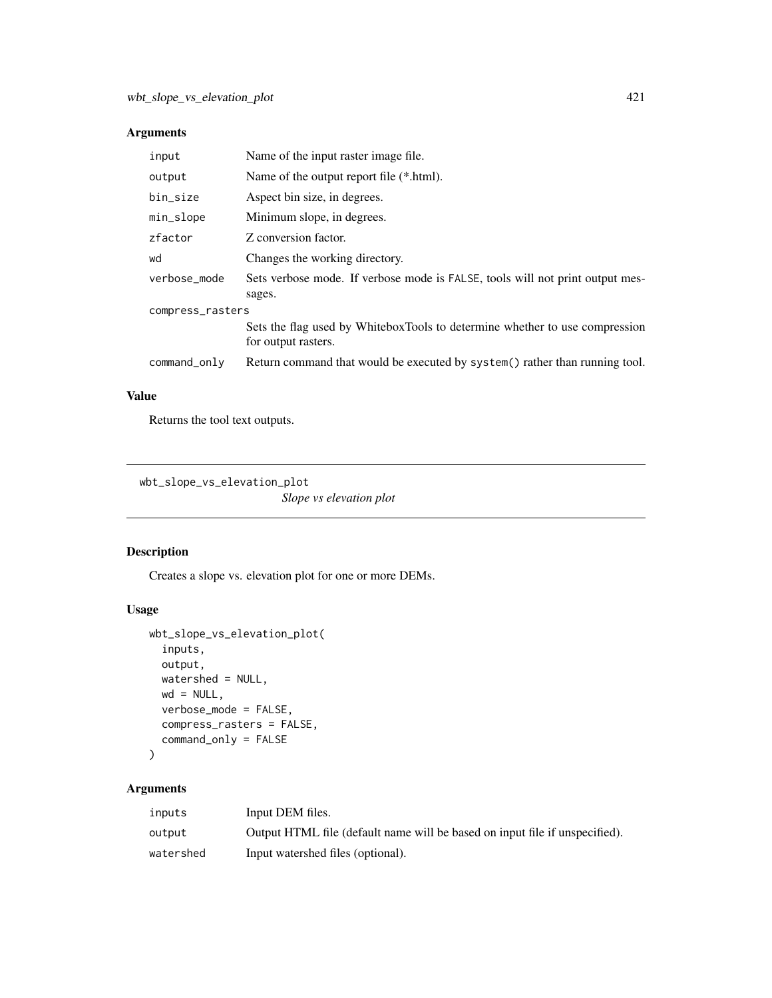## Arguments

| Name of the output report file (*.html).<br>output<br>bin_size<br>Aspect bin size, in degrees.<br>Minimum slope, in degrees.<br>min_slope<br>zfactor<br>Z conversion factor.<br>Changes the working directory.<br>wd<br>verbose_mode<br>sages.<br>compress_rasters<br>for output rasters.<br>command_only | input | Name of the input raster image file.                                          |  |
|-----------------------------------------------------------------------------------------------------------------------------------------------------------------------------------------------------------------------------------------------------------------------------------------------------------|-------|-------------------------------------------------------------------------------|--|
|                                                                                                                                                                                                                                                                                                           |       |                                                                               |  |
|                                                                                                                                                                                                                                                                                                           |       |                                                                               |  |
|                                                                                                                                                                                                                                                                                                           |       |                                                                               |  |
|                                                                                                                                                                                                                                                                                                           |       |                                                                               |  |
|                                                                                                                                                                                                                                                                                                           |       |                                                                               |  |
|                                                                                                                                                                                                                                                                                                           |       | Sets verbose mode. If verbose mode is FALSE, tools will not print output mes- |  |
|                                                                                                                                                                                                                                                                                                           |       |                                                                               |  |
|                                                                                                                                                                                                                                                                                                           |       | Sets the flag used by WhiteboxTools to determine whether to use compression   |  |
|                                                                                                                                                                                                                                                                                                           |       | Return command that would be executed by system() rather than running tool.   |  |

## Value

Returns the tool text outputs.

```
wbt_slope_vs_elevation_plot
```
*Slope vs elevation plot*

# Description

Creates a slope vs. elevation plot for one or more DEMs.

# Usage

```
wbt_slope_vs_elevation_plot(
  inputs,
 output,
 watershed = NULL,
 wd = NULL,verbose_mode = FALSE,
 compress_rasters = FALSE,
 command_only = FALSE
)
```
## Arguments

| inputs    | Input DEM files.                                                            |
|-----------|-----------------------------------------------------------------------------|
| output    | Output HTML file (default name will be based on input file if unspecified). |
| watershed | Input watershed files (optional).                                           |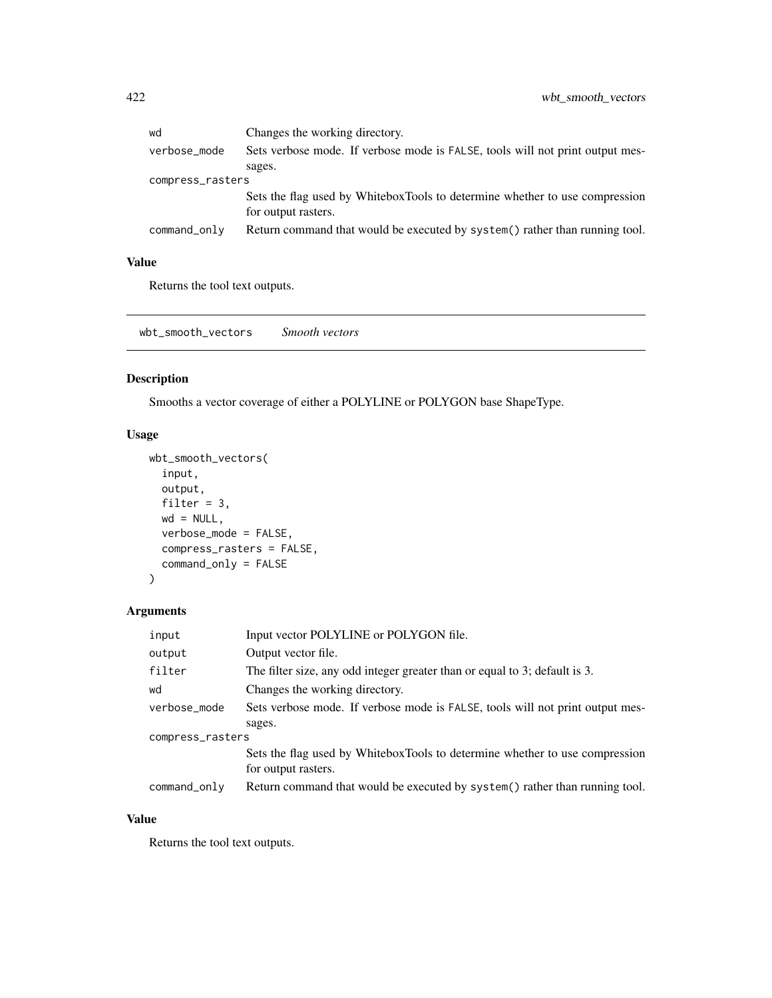| wd               | Changes the working directory.                                                |  |
|------------------|-------------------------------------------------------------------------------|--|
| verbose_mode     | Sets verbose mode. If verbose mode is FALSE, tools will not print output mes- |  |
|                  | sages.                                                                        |  |
| compress_rasters |                                                                               |  |
|                  | Sets the flag used by WhiteboxTools to determine whether to use compression   |  |
|                  | for output rasters.                                                           |  |
| command_only     | Return command that would be executed by system() rather than running tool.   |  |
|                  |                                                                               |  |

## Value

Returns the tool text outputs.

wbt\_smooth\_vectors *Smooth vectors*

# Description

Smooths a vector coverage of either a POLYLINE or POLYGON base ShapeType.

## Usage

```
wbt_smooth_vectors(
 input,
 output,
 filter = 3,
 wd = NULL,verbose_mode = FALSE,
 compress_rasters = FALSE,
 command_only = FALSE
)
```
## Arguments

| input            | Input vector POLYLINE or POLYGON file.                                        |  |
|------------------|-------------------------------------------------------------------------------|--|
| output           | Output vector file.                                                           |  |
| filter           | The filter size, any odd integer greater than or equal to 3; default is 3.    |  |
| wd               | Changes the working directory.                                                |  |
| verbose_mode     | Sets verbose mode. If verbose mode is FALSE, tools will not print output mes- |  |
|                  | sages.                                                                        |  |
| compress_rasters |                                                                               |  |
|                  | Sets the flag used by WhiteboxTools to determine whether to use compression   |  |
|                  | for output rasters.                                                           |  |
| command_only     | Return command that would be executed by system() rather than running tool.   |  |

# Value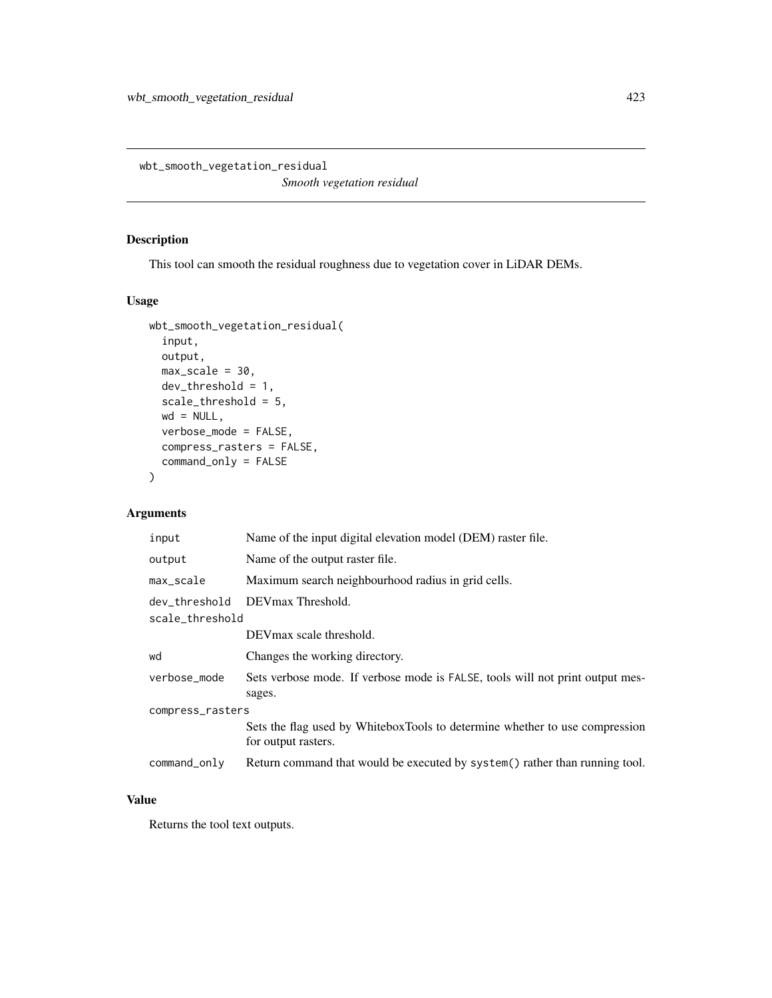wbt\_smooth\_vegetation\_residual

*Smooth vegetation residual*

## Description

This tool can smooth the residual roughness due to vegetation cover in LiDAR DEMs.

#### Usage

```
wbt_smooth_vegetation_residual(
  input,
 output,
 max\_scale = 30,dev_{threshold} = 1,
  scale_threshold = 5,
 wd = NULL,verbose_mode = FALSE,
  compress_rasters = FALSE,
  command_only = FALSE
)
```
## Arguments

| input            | Name of the input digital elevation model (DEM) raster file.                                       |  |
|------------------|----------------------------------------------------------------------------------------------------|--|
| output           | Name of the output raster file.                                                                    |  |
| max_scale        | Maximum search neighbourhood radius in grid cells.                                                 |  |
|                  | dev threshold DEVmax Threshold.                                                                    |  |
| scale_threshold  |                                                                                                    |  |
|                  | DEV max scale threshold.                                                                           |  |
| wd               | Changes the working directory.                                                                     |  |
| verbose_mode     | Sets verbose mode. If verbose mode is FALSE, tools will not print output mes-<br>sages.            |  |
| compress_rasters |                                                                                                    |  |
|                  | Sets the flag used by WhiteboxTools to determine whether to use compression<br>for output rasters. |  |
| $command\_only$  | Return command that would be executed by system() rather than running tool.                        |  |

#### Value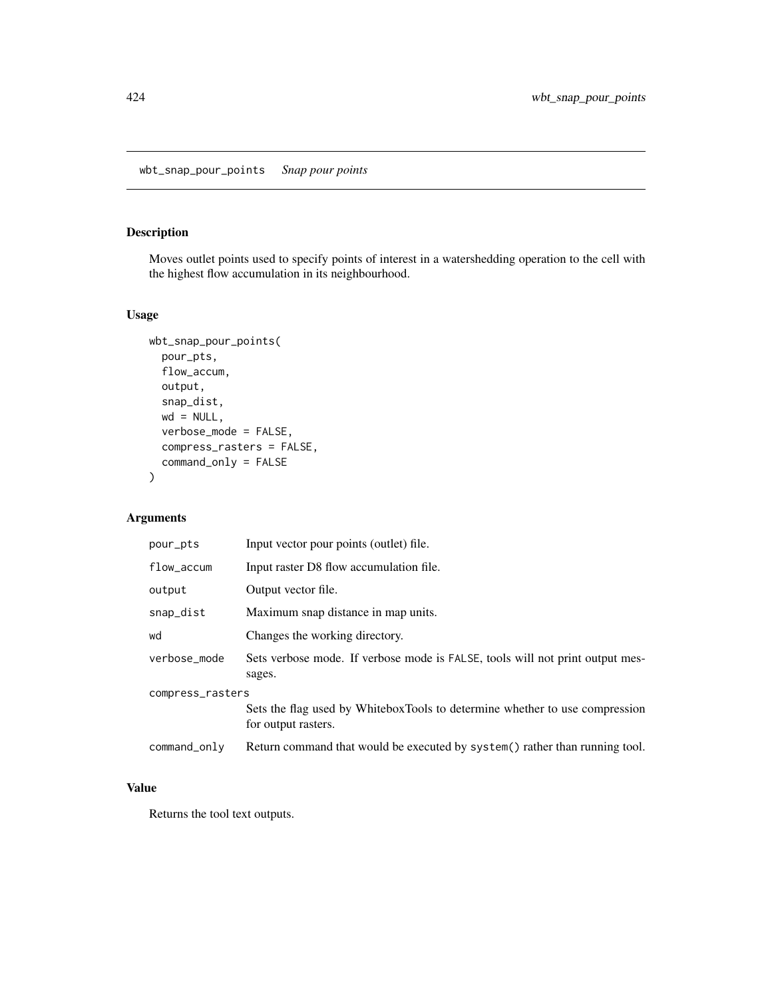## Description

Moves outlet points used to specify points of interest in a watershedding operation to the cell with the highest flow accumulation in its neighbourhood.

#### Usage

```
wbt_snap_pour_points(
 pour_pts,
 flow_accum,
 output,
 snap_dist,
 wd = NULL,verbose_mode = FALSE,
 compress_rasters = FALSE,
 command_only = FALSE
)
```
## Arguments

| pour_pts         | Input vector pour points (outlet) file.                                                            |  |
|------------------|----------------------------------------------------------------------------------------------------|--|
| $flow_$          | Input raster D8 flow accumulation file.                                                            |  |
| output           | Output vector file.                                                                                |  |
| snap_dist        | Maximum snap distance in map units.                                                                |  |
| wd               | Changes the working directory.                                                                     |  |
| verbose_mode     | Sets verbose mode. If verbose mode is FALSE, tools will not print output mes-<br>sages.            |  |
| compress_rasters |                                                                                                    |  |
|                  | Sets the flag used by WhiteboxTools to determine whether to use compression<br>for output rasters. |  |
| command_only     | Return command that would be executed by system() rather than running tool.                        |  |

#### Value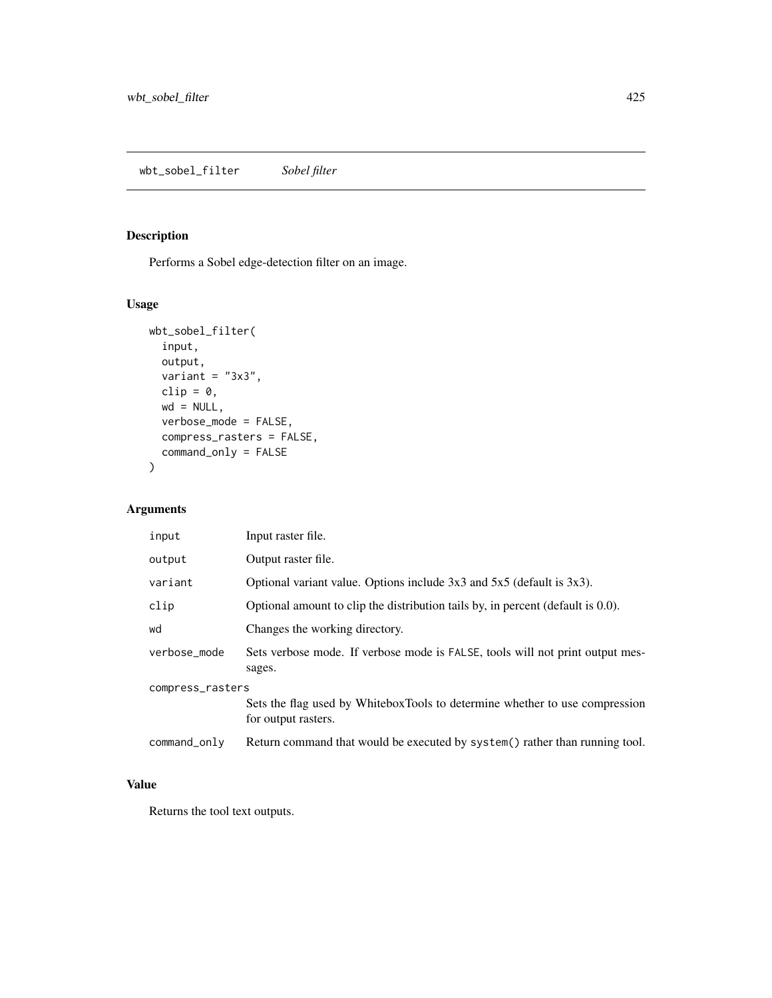# Description

Performs a Sobel edge-detection filter on an image.

## Usage

```
wbt_sobel_filter(
  input,
 output,
 variant = "3x3",clip = \theta,
 wd = NULL,verbose_mode = FALSE,
 compress_rasters = FALSE,
  command_only = FALSE
)
```
## Arguments

| input            | Input raster file.                                                                                 |  |
|------------------|----------------------------------------------------------------------------------------------------|--|
| output           | Output raster file.                                                                                |  |
| variant          | Optional variant value. Options include $3x3$ and $5x5$ (default is $3x3$ ).                       |  |
| clip             | Optional amount to clip the distribution tails by, in percent (default is 0.0).                    |  |
| wd               | Changes the working directory.                                                                     |  |
| verbose mode     | Sets verbose mode. If verbose mode is FALSE, tools will not print output mes-<br>sages.            |  |
| compress_rasters |                                                                                                    |  |
|                  | Sets the flag used by WhiteboxTools to determine whether to use compression<br>for output rasters. |  |
| command_only     | Return command that would be executed by system() rather than running tool.                        |  |

## Value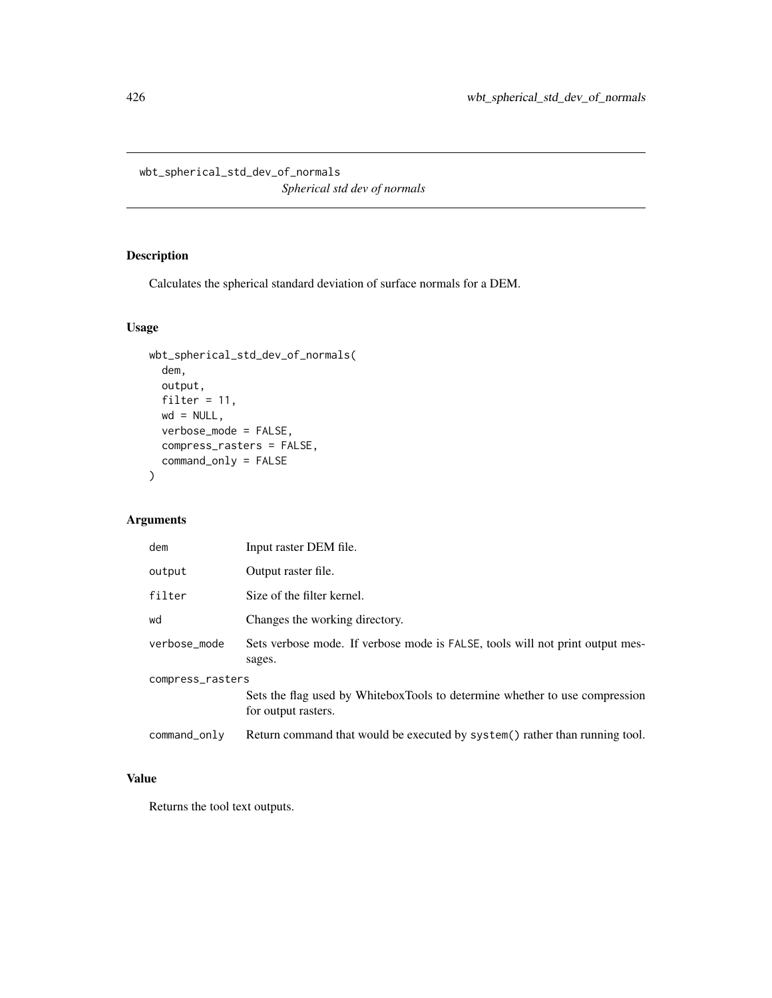wbt\_spherical\_std\_dev\_of\_normals

*Spherical std dev of normals*

## Description

Calculates the spherical standard deviation of surface normals for a DEM.

# Usage

```
wbt_spherical_std_dev_of_normals(
 dem,
 output,
 filter = 11,
 wd = NULL,verbose_mode = FALSE,
 compress_rasters = FALSE,
 command_only = FALSE
)
```
# Arguments

| dem              | Input raster DEM file.                                                                             |  |
|------------------|----------------------------------------------------------------------------------------------------|--|
| output           | Output raster file.                                                                                |  |
| filter           | Size of the filter kernel.                                                                         |  |
| wd               | Changes the working directory.                                                                     |  |
| verbose_mode     | Sets verbose mode. If verbose mode is FALSE, tools will not print output mes-<br>sages.            |  |
| compress_rasters |                                                                                                    |  |
|                  | Sets the flag used by WhiteboxTools to determine whether to use compression<br>for output rasters. |  |
| command_only     | Return command that would be executed by system() rather than running tool.                        |  |

# Value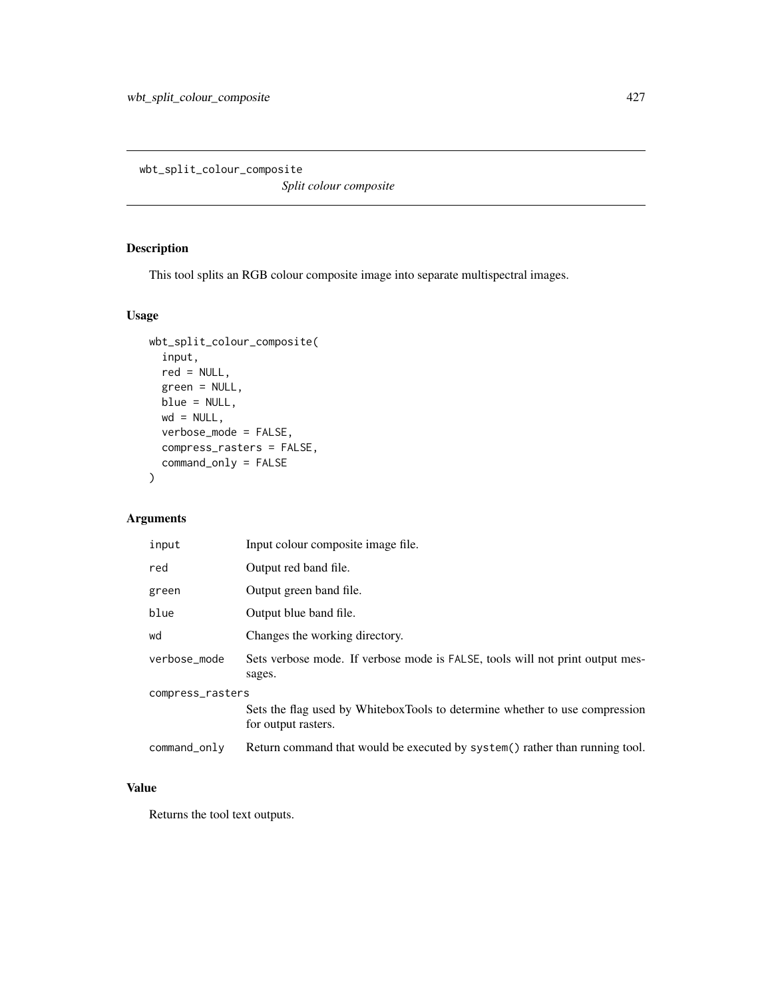wbt\_split\_colour\_composite

*Split colour composite*

# Description

This tool splits an RGB colour composite image into separate multispectral images.

#### Usage

```
wbt_split_colour_composite(
  input,
 red = NULL,
 green = NULL,
 blue = NULL,
 wd = NULL,verbose_mode = FALSE,
 compress_rasters = FALSE,
 command_only = FALSE
)
```
## Arguments

| input            | Input colour composite image file.                                                                 |  |
|------------------|----------------------------------------------------------------------------------------------------|--|
| red              | Output red band file.                                                                              |  |
| green            | Output green band file.                                                                            |  |
| blue             | Output blue band file.                                                                             |  |
| wd               | Changes the working directory.                                                                     |  |
| verbose_mode     | Sets verbose mode. If verbose mode is FALSE, tools will not print output mes-<br>sages.            |  |
| compress_rasters |                                                                                                    |  |
|                  | Sets the flag used by WhiteboxTools to determine whether to use compression<br>for output rasters. |  |
| command_only     | Return command that would be executed by system() rather than running tool.                        |  |

#### Value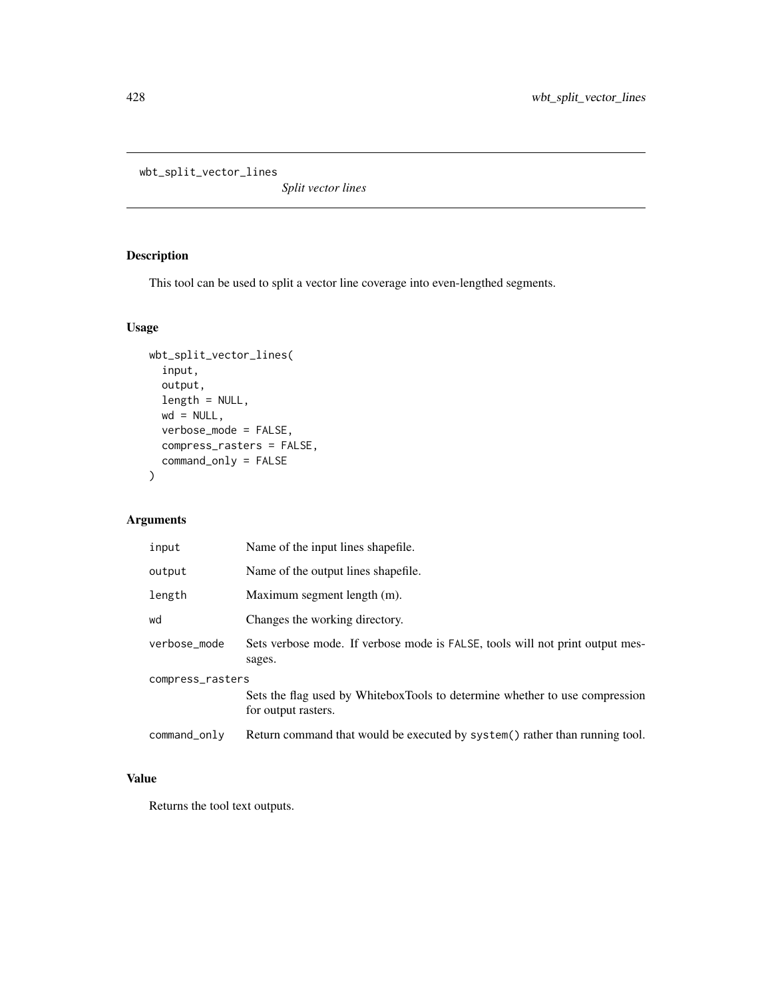```
wbt_split_vector_lines
```
*Split vector lines*

# Description

This tool can be used to split a vector line coverage into even-lengthed segments.

## Usage

```
wbt_split_vector_lines(
 input,
 output,
 length = NULL,
 wd = NULL,verbose_mode = FALSE,
 compress_rasters = FALSE,
 command_only = FALSE
)
```
# Arguments

| input            | Name of the input lines shapefile.                                                                 |  |
|------------------|----------------------------------------------------------------------------------------------------|--|
| output           | Name of the output lines shapefile.                                                                |  |
| length           | Maximum segment length (m).                                                                        |  |
| wd               | Changes the working directory.                                                                     |  |
| verbose_mode     | Sets verbose mode. If verbose mode is FALSE, tools will not print output mes-<br>sages.            |  |
| compress_rasters |                                                                                                    |  |
|                  | Sets the flag used by WhiteboxTools to determine whether to use compression<br>for output rasters. |  |
| command_only     | Return command that would be executed by system() rather than running tool.                        |  |
|                  |                                                                                                    |  |

# Value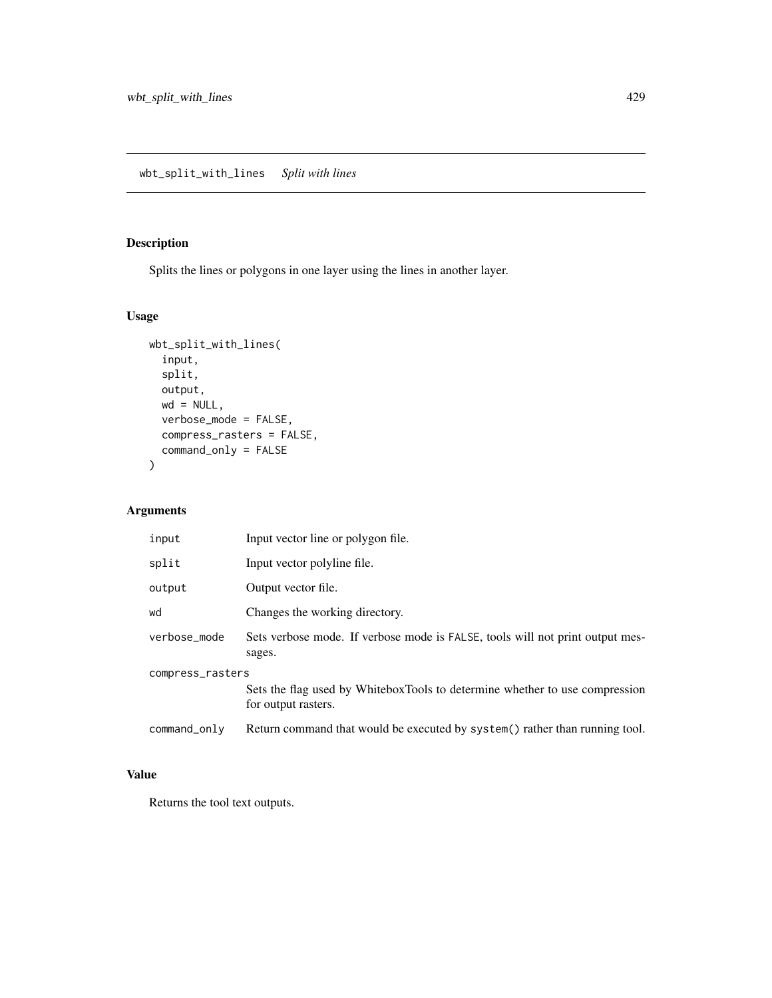# Description

Splits the lines or polygons in one layer using the lines in another layer.

## Usage

```
wbt_split_with_lines(
  input,
  split,
  output,
  wd = NULL,verbose_mode = FALSE,
  compress_rasters = FALSE,
  command_only = FALSE
\mathcal{E}
```
## Arguments

| input            | Input vector line or polygon file.                                                                 |  |
|------------------|----------------------------------------------------------------------------------------------------|--|
| split            | Input vector polyline file.                                                                        |  |
| output           | Output vector file.                                                                                |  |
| wd               | Changes the working directory.                                                                     |  |
| verbose_mode     | Sets verbose mode. If verbose mode is FALSE, tools will not print output mes-<br>sages.            |  |
| compress_rasters |                                                                                                    |  |
|                  | Sets the flag used by WhiteboxTools to determine whether to use compression<br>for output rasters. |  |
| command_only     | Return command that would be executed by system() rather than running tool.                        |  |

## Value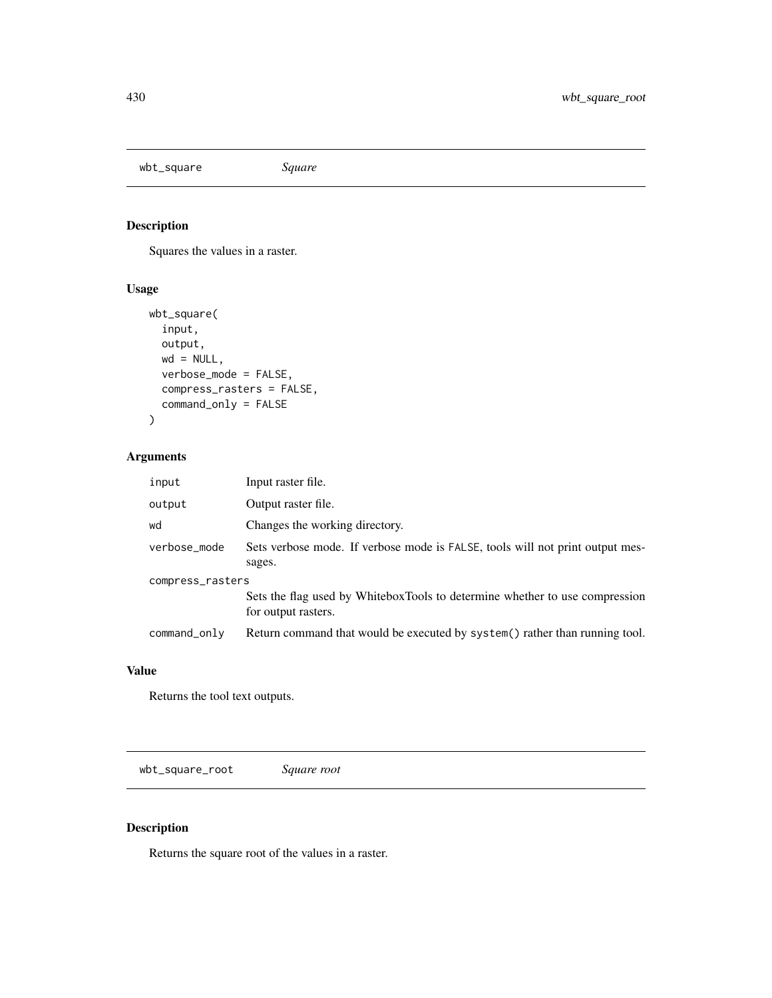wbt\_square *Square*

# Description

Squares the values in a raster.

## Usage

```
wbt_square(
  input,
 output,
 wd = NULL,verbose_mode = FALSE,
 compress_rasters = FALSE,
  command_only = FALSE
)
```
# Arguments

| input            | Input raster file.                                                                                 |  |
|------------------|----------------------------------------------------------------------------------------------------|--|
| output           | Output raster file.                                                                                |  |
| wd               | Changes the working directory.                                                                     |  |
| verbose_mode     | Sets verbose mode. If verbose mode is FALSE, tools will not print output mes-<br>sages.            |  |
| compress_rasters |                                                                                                    |  |
|                  | Sets the flag used by WhiteboxTools to determine whether to use compression<br>for output rasters. |  |
| command_only     | Return command that would be executed by system() rather than running tool.                        |  |

## Value

Returns the tool text outputs.

wbt\_square\_root *Square root*

## Description

Returns the square root of the values in a raster.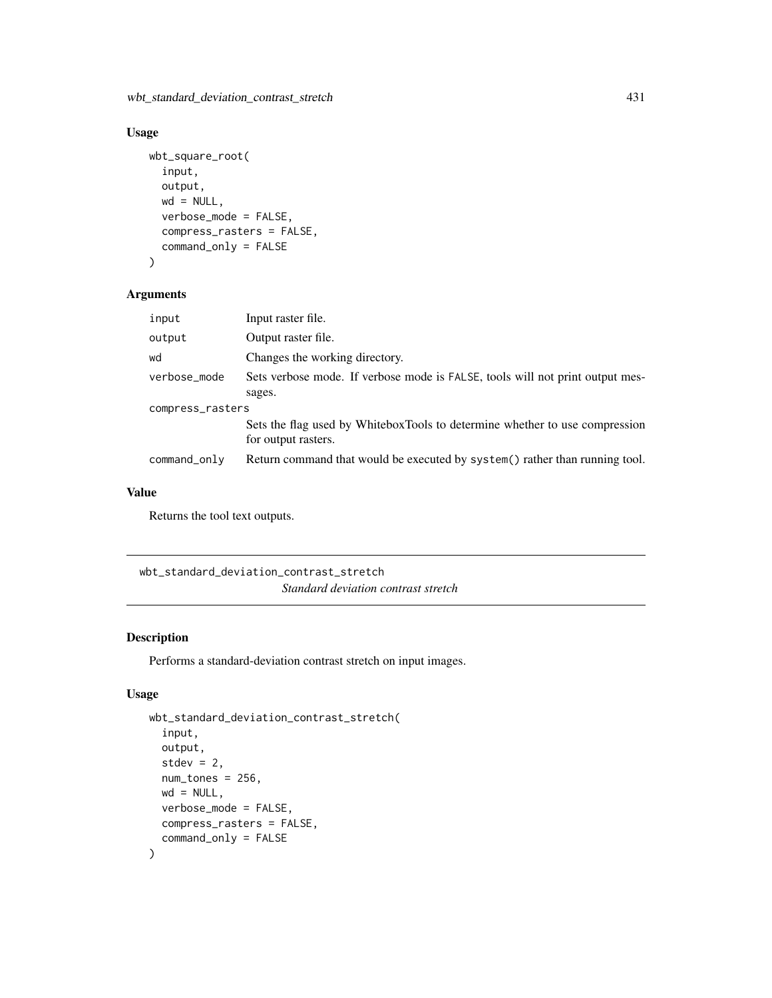wbt\_standard\_deviation\_contrast\_stretch 431

# Usage

```
wbt_square_root(
  input,
  output,
 wd = NULL,verbose_mode = FALSE,
  compress_rasters = FALSE,
  command_only = FALSE
)
```
## Arguments

| input            | Input raster file.                                                                                 |  |
|------------------|----------------------------------------------------------------------------------------------------|--|
| output           | Output raster file.                                                                                |  |
| wd               | Changes the working directory.                                                                     |  |
| verbose_mode     | Sets verbose mode. If verbose mode is FALSE, tools will not print output mes-                      |  |
|                  | sages.                                                                                             |  |
| compress_rasters |                                                                                                    |  |
|                  | Sets the flag used by WhiteboxTools to determine whether to use compression<br>for output rasters. |  |
| command_only     | Return command that would be executed by system() rather than running tool.                        |  |

## Value

Returns the tool text outputs.

wbt\_standard\_deviation\_contrast\_stretch *Standard deviation contrast stretch*

## Description

Performs a standard-deviation contrast stretch on input images.

## Usage

```
wbt_standard_deviation_contrast_stretch(
  input,
 output,
  stdev = 2,
  num_tones = 256,
 wd = NULL,verbose_mode = FALSE,
 compress_rasters = FALSE,
  command_only = FALSE
\mathcal{E}
```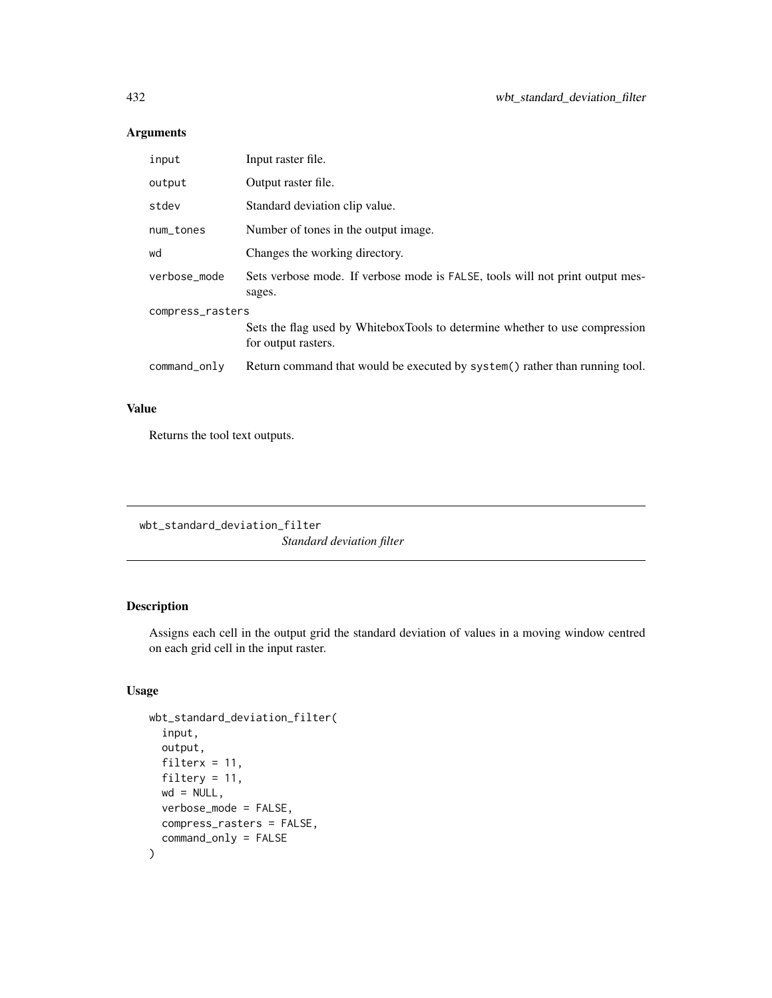## Arguments

| Input raster file.                                                                                 |  |  |
|----------------------------------------------------------------------------------------------------|--|--|
| Output raster file.                                                                                |  |  |
| Standard deviation clip value.                                                                     |  |  |
| Number of tones in the output image.                                                               |  |  |
| Changes the working directory.                                                                     |  |  |
| Sets verbose mode. If verbose mode is FALSE, tools will not print output mes-<br>sages.            |  |  |
| compress_rasters                                                                                   |  |  |
| Sets the flag used by WhiteboxTools to determine whether to use compression<br>for output rasters. |  |  |
| Return command that would be executed by system () rather than running tool.                       |  |  |
|                                                                                                    |  |  |

# Value

Returns the tool text outputs.

wbt\_standard\_deviation\_filter *Standard deviation filter*

## Description

Assigns each cell in the output grid the standard deviation of values in a moving window centred on each grid cell in the input raster.

### Usage

```
wbt_standard_deviation_filter(
  input,
  output,
  filterx = 11,
  filtery = 11,
 wd = NULL,verbose_mode = FALSE,
  compress_rasters = FALSE,
  command_only = FALSE
\mathcal{E}
```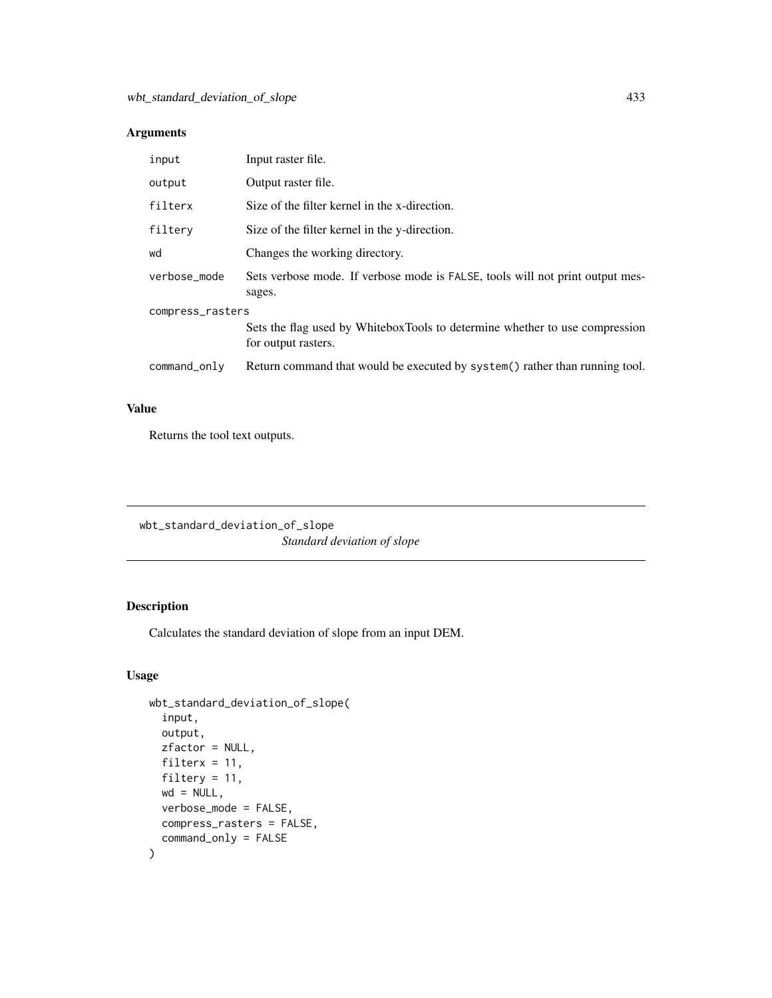| input            | Input raster file.                                                                                 |  |
|------------------|----------------------------------------------------------------------------------------------------|--|
| output           | Output raster file.                                                                                |  |
| filterx          | Size of the filter kernel in the x-direction.                                                      |  |
| filtery          | Size of the filter kernel in the y-direction.                                                      |  |
| wd               | Changes the working directory.                                                                     |  |
| verbose_mode     | Sets verbose mode. If verbose mode is FALSE, tools will not print output mes-<br>sages.            |  |
| compress_rasters |                                                                                                    |  |
|                  | Sets the flag used by WhiteboxTools to determine whether to use compression<br>for output rasters. |  |
| command_only     | Return command that would be executed by system() rather than running tool.                        |  |

## Value

Returns the tool text outputs.

wbt\_standard\_deviation\_of\_slope *Standard deviation of slope*

## Description

Calculates the standard deviation of slope from an input DEM.

```
wbt_standard_deviation_of_slope(
  input,
 output,
  zfactor = NULL,
  filterx = 11,
  filtery = 11,
 wd = NULL,verbose_mode = FALSE,
 compress_rasters = FALSE,
  command_only = FALSE
\mathcal{L}
```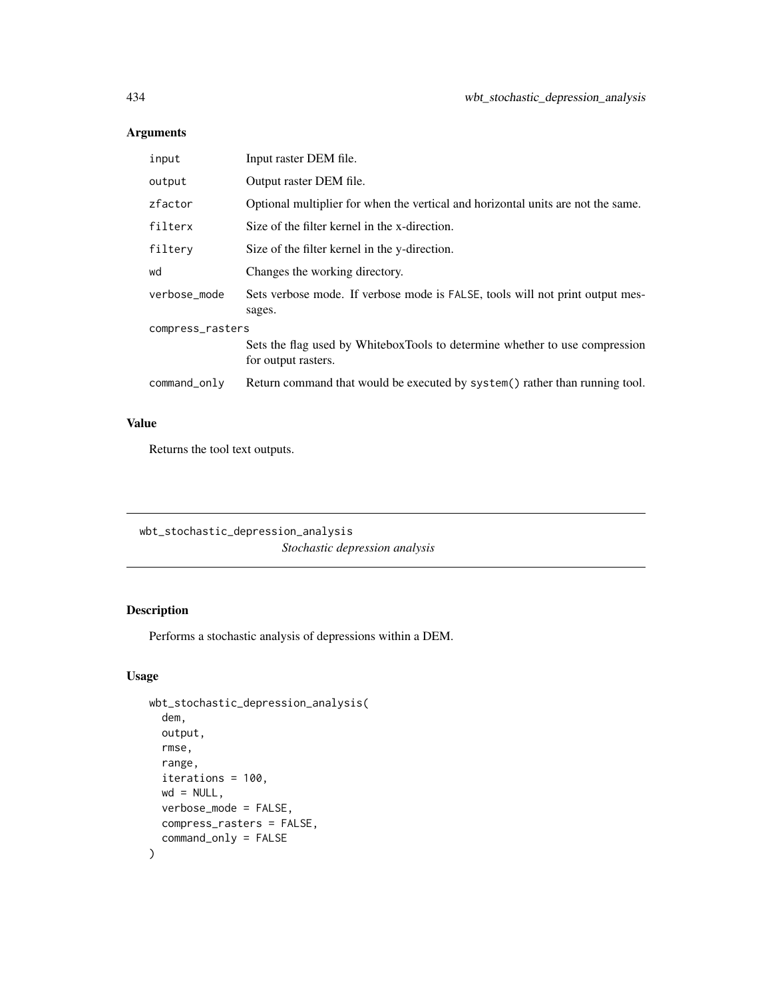| input            | Input raster DEM file.                                                                             |  |
|------------------|----------------------------------------------------------------------------------------------------|--|
| output           | Output raster DEM file.                                                                            |  |
| zfactor          | Optional multiplier for when the vertical and horizontal units are not the same.                   |  |
| filterx          | Size of the filter kernel in the x-direction.                                                      |  |
| filtery          | Size of the filter kernel in the y-direction.                                                      |  |
| wd               | Changes the working directory.                                                                     |  |
| verbose_mode     | Sets verbose mode. If verbose mode is FALSE, tools will not print output mes-<br>sages.            |  |
| compress_rasters |                                                                                                    |  |
|                  | Sets the flag used by WhiteboxTools to determine whether to use compression<br>for output rasters. |  |
| command_only     | Return command that would be executed by system() rather than running tool.                        |  |
|                  |                                                                                                    |  |

## Value

Returns the tool text outputs.

wbt\_stochastic\_depression\_analysis *Stochastic depression analysis*

# Description

Performs a stochastic analysis of depressions within a DEM.

```
wbt_stochastic_depression_analysis(
  dem,
 output,
  rmse,
 range,
  iterations = 100,
 wd = NULL,verbose_mode = FALSE,
 compress_rasters = FALSE,
  command_only = FALSE
\mathcal{L}
```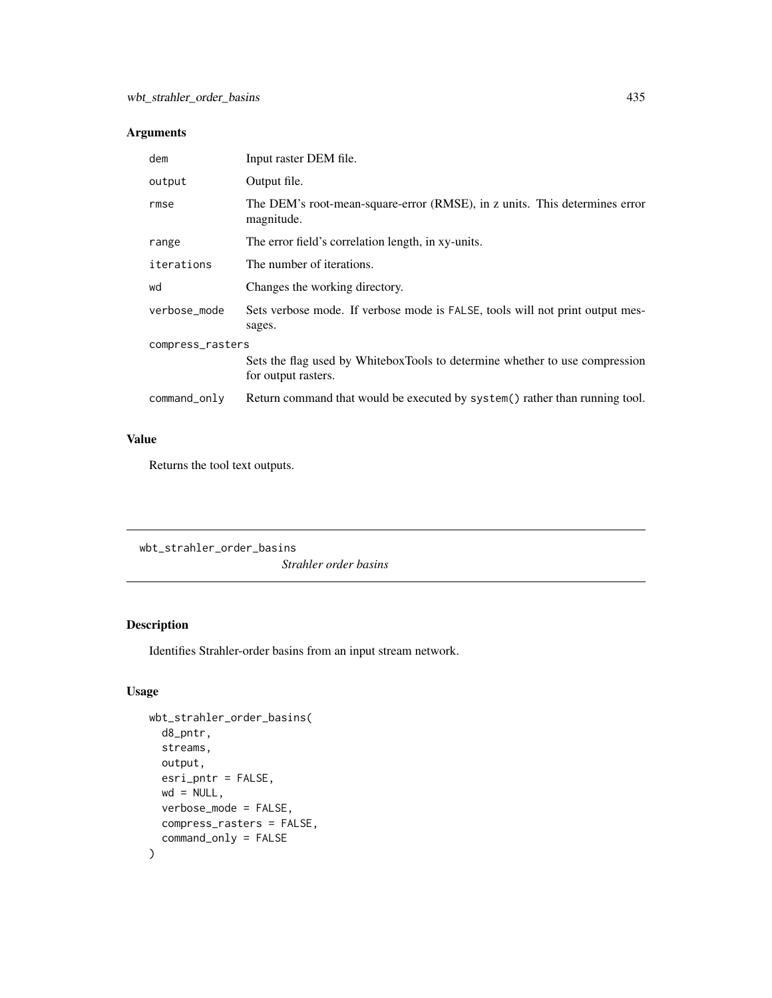| dem              | Input raster DEM file.                                                                             |  |
|------------------|----------------------------------------------------------------------------------------------------|--|
| output           | Output file.                                                                                       |  |
| rmse             | The DEM's root-mean-square-error (RMSE), in z units. This determines error<br>magnitude.           |  |
| range            | The error field's correlation length, in xy-units.                                                 |  |
| iterations       | The number of iterations.                                                                          |  |
| wd               | Changes the working directory.                                                                     |  |
| verbose_mode     | Sets verbose mode. If verbose mode is FALSE, tools will not print output mes-<br>sages.            |  |
| compress_rasters |                                                                                                    |  |
|                  | Sets the flag used by WhiteboxTools to determine whether to use compression<br>for output rasters. |  |
| command_only     | Return command that would be executed by system() rather than running tool.                        |  |

#### Value

Returns the tool text outputs.

wbt\_strahler\_order\_basins *Strahler order basins*

## Description

Identifies Strahler-order basins from an input stream network.

```
wbt_strahler_order_basins(
 d8_pntr,
 streams,
 output,
 esri_pntr = FALSE,
 wd = NULL,verbose_mode = FALSE,
 compress_rasters = FALSE,
  command_only = FALSE
\mathcal{L}
```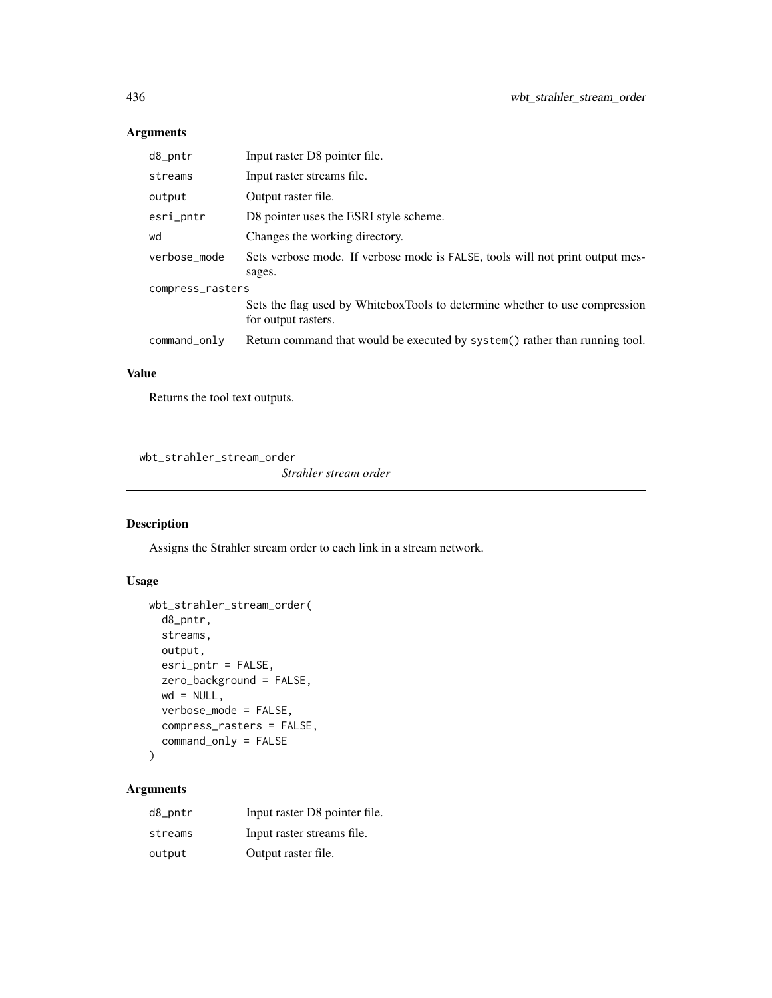| d8_pntr          | Input raster D8 pointer file.                                                                      |  |
|------------------|----------------------------------------------------------------------------------------------------|--|
| streams          | Input raster streams file.                                                                         |  |
| output           | Output raster file.                                                                                |  |
| esri_pntr        | D8 pointer uses the ESRI style scheme.                                                             |  |
| wd               | Changes the working directory.                                                                     |  |
| verbose_mode     | Sets verbose mode. If verbose mode is FALSE, tools will not print output mes-                      |  |
|                  | sages.                                                                                             |  |
| compress_rasters |                                                                                                    |  |
|                  | Sets the flag used by WhiteboxTools to determine whether to use compression<br>for output rasters. |  |
| command_only     | Return command that would be executed by system() rather than running tool.                        |  |

## Value

Returns the tool text outputs.

wbt\_strahler\_stream\_order

*Strahler stream order*

## Description

Assigns the Strahler stream order to each link in a stream network.

#### Usage

```
wbt_strahler_stream_order(
 d8_pntr,
 streams,
 output,
  esri_pntr = FALSE,
  zero_background = FALSE,
 wd = NULL,verbose_mode = FALSE,
  compress_rasters = FALSE,
  command_only = FALSE
\mathcal{L}
```

| d8_pntr | Input raster D8 pointer file. |
|---------|-------------------------------|
| streams | Input raster streams file.    |
| output  | Output raster file.           |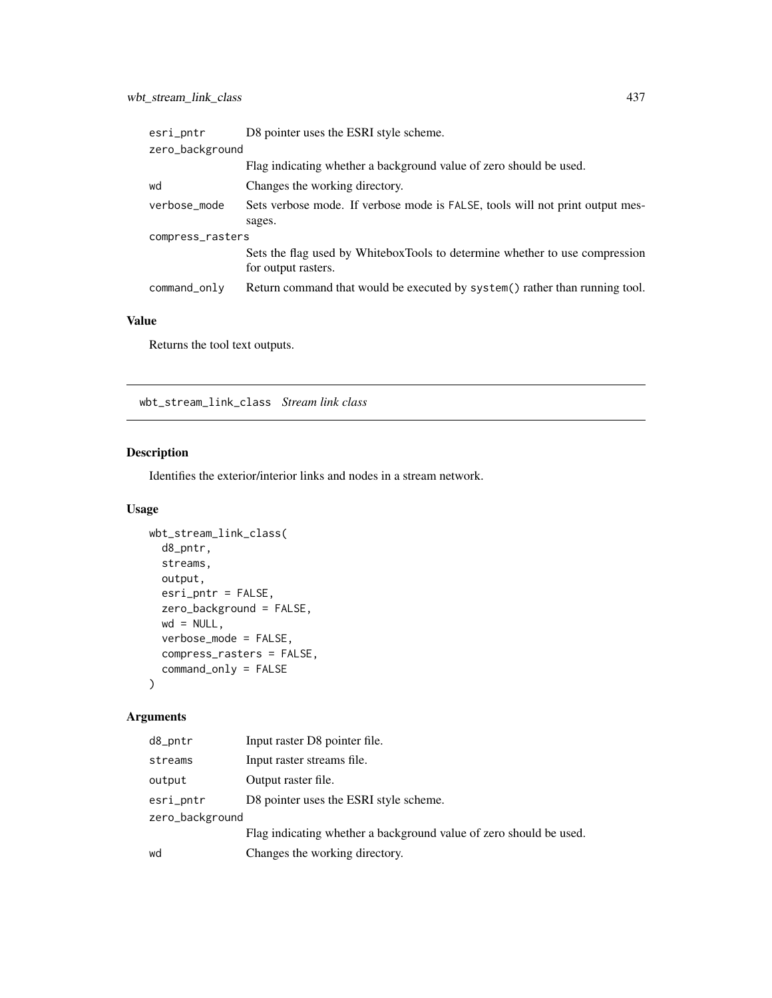| esri_pntr        | D8 pointer uses the ESRI style scheme.                                                             |  |
|------------------|----------------------------------------------------------------------------------------------------|--|
| zero_background  |                                                                                                    |  |
|                  | Flag indicating whether a background value of zero should be used.                                 |  |
| wd               | Changes the working directory.                                                                     |  |
| verbose_mode     | Sets verbose mode. If verbose mode is FALSE, tools will not print output mes-                      |  |
|                  | sages.                                                                                             |  |
| compress_rasters |                                                                                                    |  |
|                  | Sets the flag used by WhiteboxTools to determine whether to use compression<br>for output rasters. |  |
| command_only     | Return command that would be executed by system() rather than running tool.                        |  |

Returns the tool text outputs.

wbt\_stream\_link\_class *Stream link class*

## Description

Identifies the exterior/interior links and nodes in a stream network.

## Usage

```
wbt_stream_link_class(
  d8_pntr,
  streams,
  output,
  esri_pntr = FALSE,
  zero_background = FALSE,
  wd = NULL,verbose_mode = FALSE,
  compress_rasters = FALSE,
  command_only = FALSE
\mathcal{L}
```

| d8_pntr         | Input raster D8 pointer file.                                      |
|-----------------|--------------------------------------------------------------------|
| streams         | Input raster streams file.                                         |
| output          | Output raster file.                                                |
| esri_pntr       | D8 pointer uses the ESRI style scheme.                             |
| zero_background |                                                                    |
|                 | Flag indicating whether a background value of zero should be used. |
| wd              | Changes the working directory.                                     |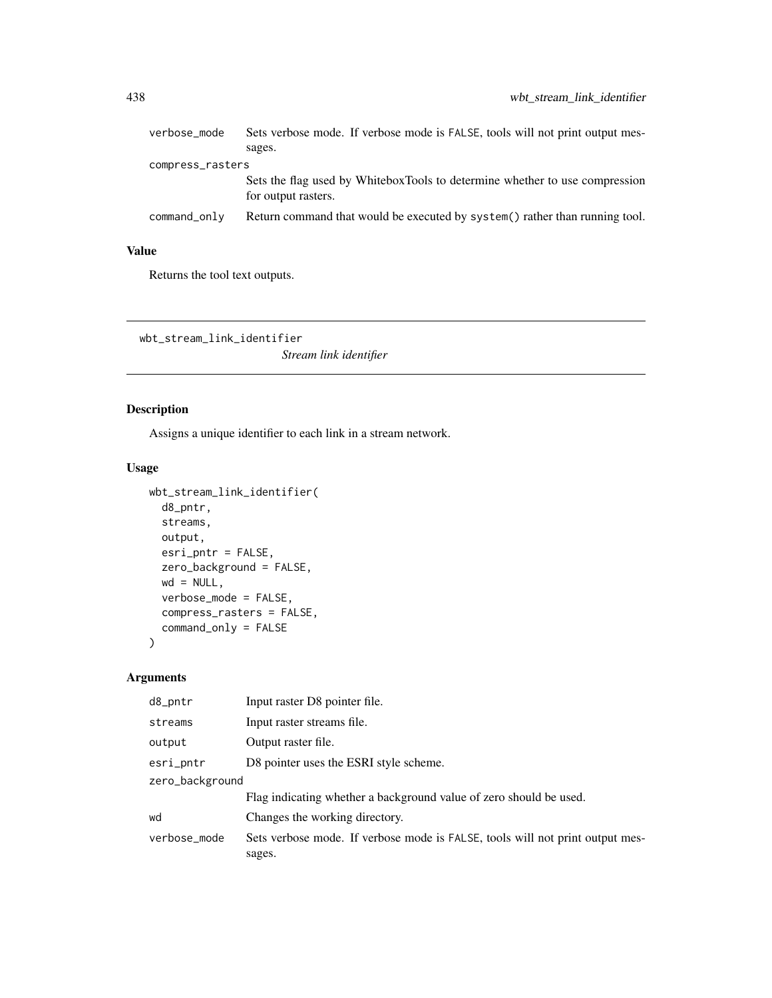| verbose_mode     | Sets verbose mode. If verbose mode is FALSE, tools will not print output mes-<br>sages.            |  |
|------------------|----------------------------------------------------------------------------------------------------|--|
| compress_rasters |                                                                                                    |  |
|                  | Sets the flag used by WhiteboxTools to determine whether to use compression<br>for output rasters. |  |
| command_only     | Return command that would be executed by system() rather than running tool.                        |  |

Returns the tool text outputs.

wbt\_stream\_link\_identifier

*Stream link identifier*

# Description

Assigns a unique identifier to each link in a stream network.

#### Usage

```
wbt_stream_link_identifier(
 d8_pntr,
 streams,
 output,
 esri_pntr = FALSE,
 zero_background = FALSE,
 wd = NULL,verbose_mode = FALSE,
 compress_rasters = FALSE,
 command_only = FALSE
)
```

| d8_pntr         | Input raster D8 pointer file.                                                           |  |
|-----------------|-----------------------------------------------------------------------------------------|--|
| streams         | Input raster streams file.                                                              |  |
| output          | Output raster file.                                                                     |  |
| esri_pntr       | D8 pointer uses the ESRI style scheme.                                                  |  |
| zero_background |                                                                                         |  |
|                 | Flag indicating whether a background value of zero should be used.                      |  |
| wd              | Changes the working directory.                                                          |  |
| verbose_mode    | Sets verbose mode. If verbose mode is FALSE, tools will not print output mes-<br>sages. |  |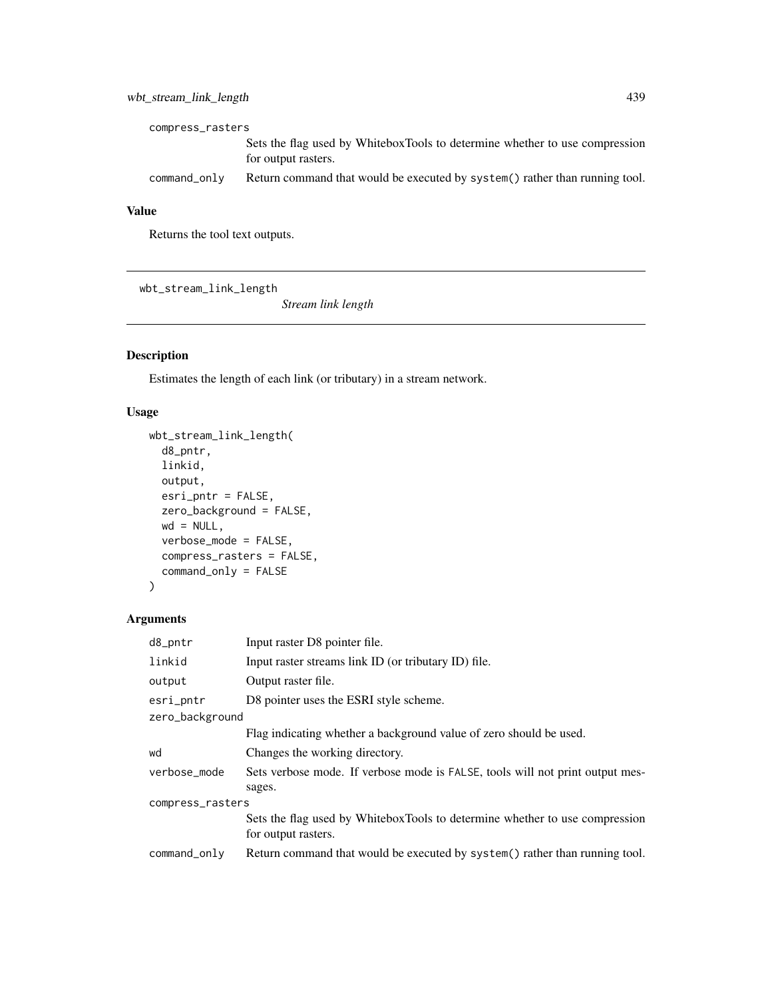## wbt\_stream\_link\_length 439

| compress_rasters |                                                                                                    |  |
|------------------|----------------------------------------------------------------------------------------------------|--|
|                  | Sets the flag used by WhiteboxTools to determine whether to use compression<br>for output rasters. |  |
| command only     | Return command that would be executed by system() rather than running tool.                        |  |

# Value

Returns the tool text outputs.

wbt\_stream\_link\_length

*Stream link length*

# Description

Estimates the length of each link (or tributary) in a stream network.

# Usage

```
wbt_stream_link_length(
 d8_pntr,
 linkid,
 output,
 esri_pntr = FALSE,
 zero_background = FALSE,
 wd = NULL,verbose_mode = FALSE,
 compress_rasters = FALSE,
 command_only = FALSE
)
```

| d8_pntr          | Input raster D8 pointer file.                                                                      |  |
|------------------|----------------------------------------------------------------------------------------------------|--|
| linkid           | Input raster streams link ID (or tributary ID) file.                                               |  |
| output           | Output raster file.                                                                                |  |
| esri_pntr        | D8 pointer uses the ESRI style scheme.                                                             |  |
| zero_background  |                                                                                                    |  |
|                  | Flag indicating whether a background value of zero should be used.                                 |  |
| wd               | Changes the working directory.                                                                     |  |
| verbose_mode     | Sets verbose mode. If verbose mode is FALSE, tools will not print output mes-<br>sages.            |  |
| compress_rasters |                                                                                                    |  |
|                  | Sets the flag used by WhiteboxTools to determine whether to use compression<br>for output rasters. |  |
| command_only     | Return command that would be executed by system() rather than running tool.                        |  |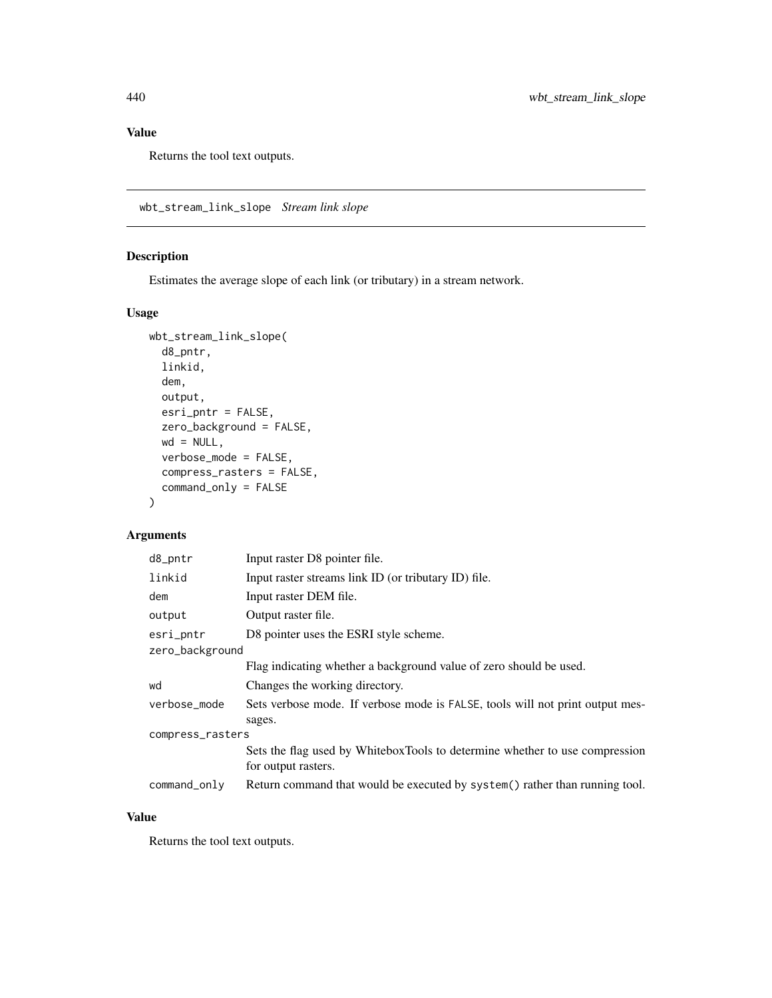Returns the tool text outputs.

wbt\_stream\_link\_slope *Stream link slope*

## Description

Estimates the average slope of each link (or tributary) in a stream network.

## Usage

```
wbt_stream_link_slope(
 d8_pntr,
 linkid,
 dem,
 output,
 esri_pntr = FALSE,
 zero_background = FALSE,
 wd = NULL,verbose_mode = FALSE,
 compress_rasters = FALSE,
 command_only = FALSE
)
```
## Arguments

| d8_pntr          | Input raster D8 pointer file.                                                                      |  |
|------------------|----------------------------------------------------------------------------------------------------|--|
| linkid           | Input raster streams link ID (or tributary ID) file.                                               |  |
| dem              | Input raster DEM file.                                                                             |  |
| output           | Output raster file.                                                                                |  |
| esri_pntr        | D8 pointer uses the ESRI style scheme.                                                             |  |
| zero_background  |                                                                                                    |  |
|                  | Flag indicating whether a background value of zero should be used.                                 |  |
| wd               | Changes the working directory.                                                                     |  |
| verbose_mode     | Sets verbose mode. If verbose mode is FALSE, tools will not print output mes-                      |  |
|                  | sages.                                                                                             |  |
| compress_rasters |                                                                                                    |  |
|                  | Sets the flag used by WhiteboxTools to determine whether to use compression<br>for output rasters. |  |
| command_only     | Return command that would be executed by system() rather than running tool.                        |  |

## Value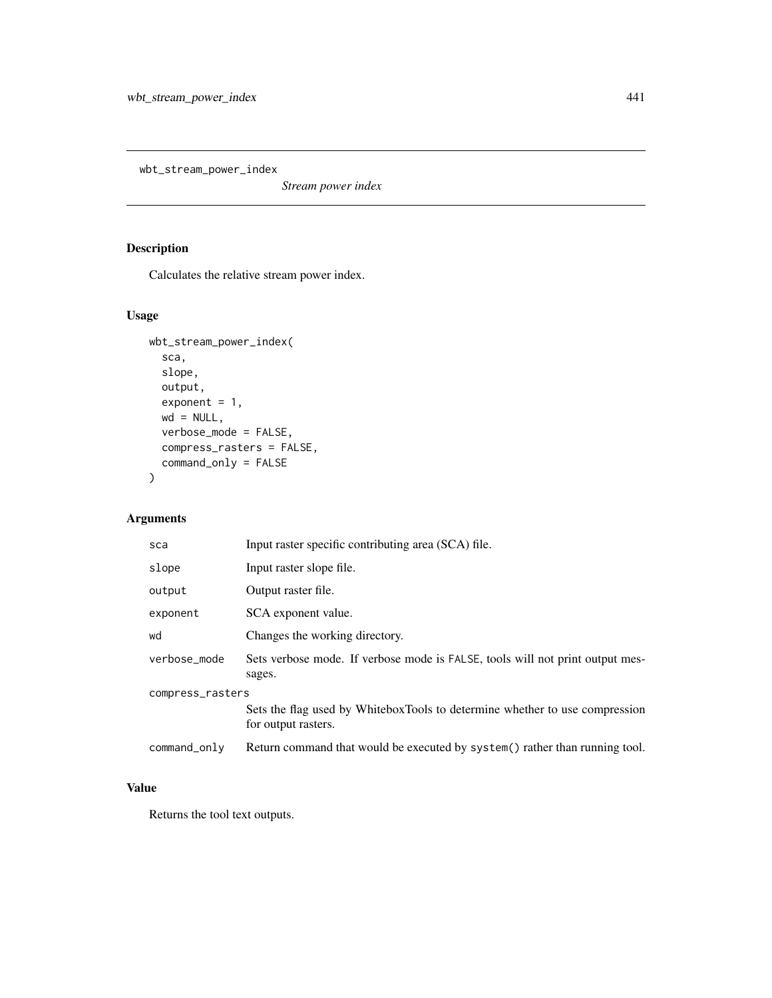wbt\_stream\_power\_index

*Stream power index*

# Description

Calculates the relative stream power index.

#### Usage

```
wbt_stream_power_index(
  sca,
 slope,
 output,
 exponent = 1,wd = NULL,verbose_mode = FALSE,
 compress_rasters = FALSE,
 command_only = FALSE
)
```
## Arguments

| sca              | Input raster specific contributing area (SCA) file.                                                |  |
|------------------|----------------------------------------------------------------------------------------------------|--|
| slope            | Input raster slope file.                                                                           |  |
| output           | Output raster file.                                                                                |  |
| exponent         | SCA exponent value.                                                                                |  |
| wd               | Changes the working directory.                                                                     |  |
| verbose_mode     | Sets verbose mode. If verbose mode is FALSE, tools will not print output mes-<br>sages.            |  |
| compress_rasters |                                                                                                    |  |
|                  | Sets the flag used by WhiteboxTools to determine whether to use compression<br>for output rasters. |  |
| command_only     | Return command that would be executed by system() rather than running tool.                        |  |

#### Value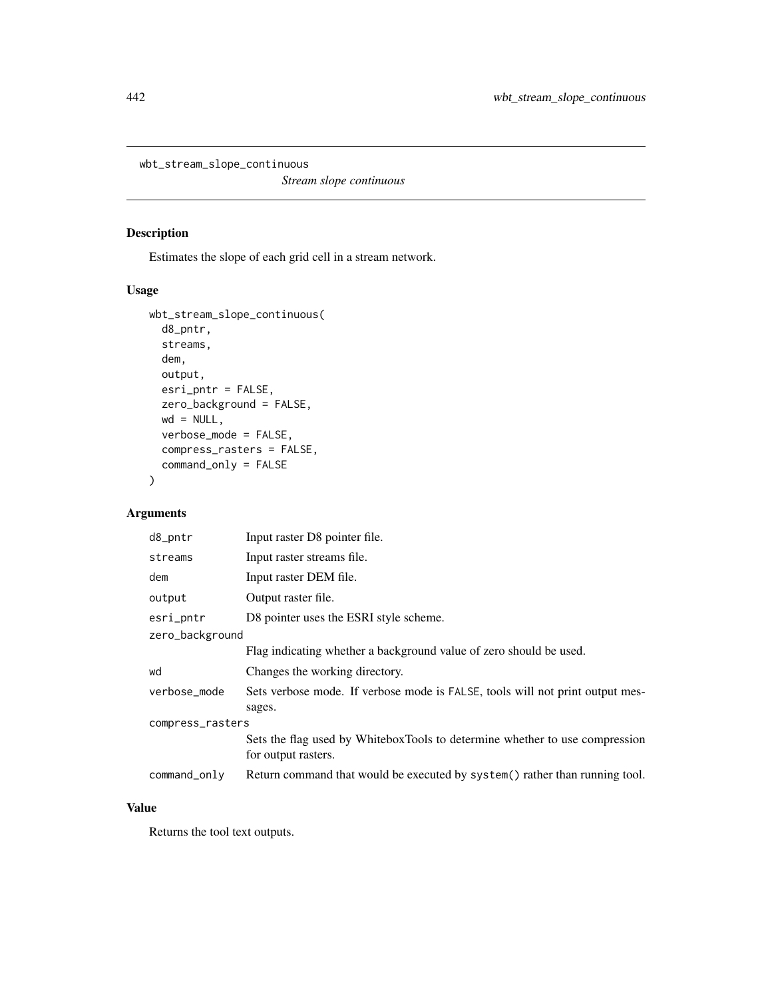wbt\_stream\_slope\_continuous

*Stream slope continuous*

## Description

Estimates the slope of each grid cell in a stream network.

# Usage

```
wbt_stream_slope_continuous(
  d8_pntr,
  streams,
  dem,
 output,
 esri_pntr = FALSE,
 zero_background = FALSE,
 wd = NULL,verbose_mode = FALSE,
  compress_rasters = FALSE,
  command_only = FALSE
\mathcal{L}
```
# Arguments

| d8_pntr          | Input raster D8 pointer file.                                                                      |  |  |
|------------------|----------------------------------------------------------------------------------------------------|--|--|
| streams          | Input raster streams file.                                                                         |  |  |
| dem              | Input raster DEM file.                                                                             |  |  |
| output           | Output raster file.                                                                                |  |  |
| esri_pntr        | D8 pointer uses the ESRI style scheme.                                                             |  |  |
|                  | zero_background                                                                                    |  |  |
|                  | Flag indicating whether a background value of zero should be used.                                 |  |  |
| wd               | Changes the working directory.                                                                     |  |  |
| verbose_mode     | Sets verbose mode. If verbose mode is FALSE, tools will not print output mes-<br>sages.            |  |  |
| compress_rasters |                                                                                                    |  |  |
|                  | Sets the flag used by WhiteboxTools to determine whether to use compression<br>for output rasters. |  |  |
| command_only     | Return command that would be executed by system() rather than running tool.                        |  |  |

#### Value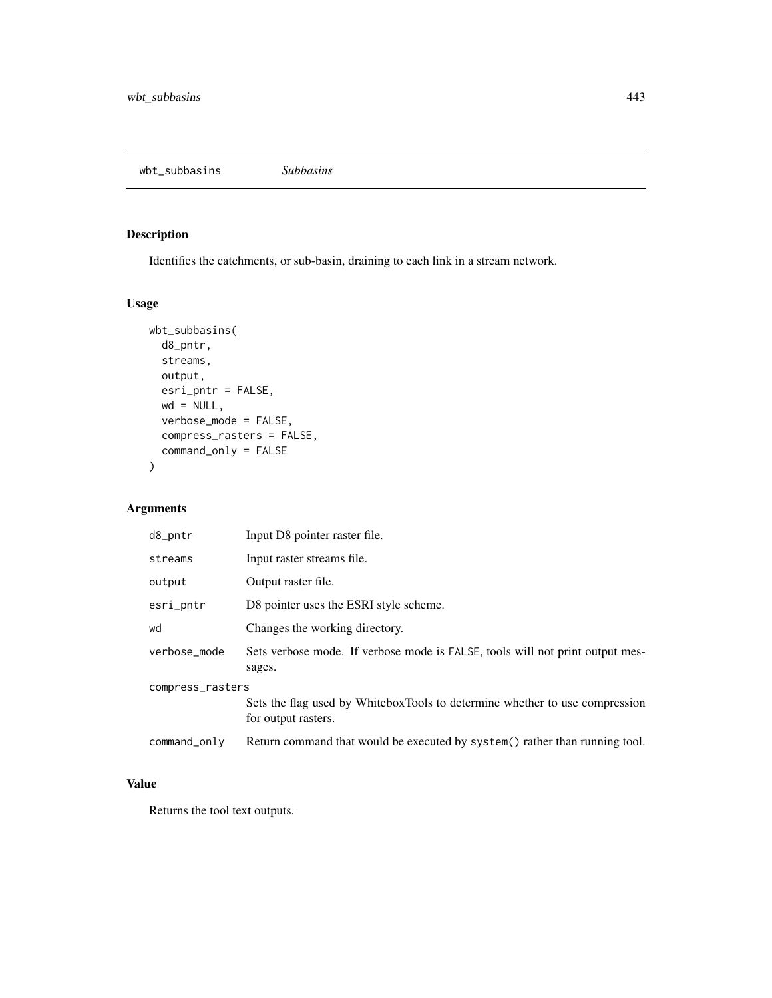wbt\_subbasins *Subbasins*

## Description

Identifies the catchments, or sub-basin, draining to each link in a stream network.

## Usage

```
wbt_subbasins(
 d8_pntr,
 streams,
 output,
 esri_pntr = FALSE,
 wd = NULL,verbose_mode = FALSE,
 compress_rasters = FALSE,
 command_only = FALSE
)
```
# Arguments

| d8_pntr          | Input D8 pointer raster file.                                                                      |  |
|------------------|----------------------------------------------------------------------------------------------------|--|
| streams          | Input raster streams file.                                                                         |  |
| output           | Output raster file.                                                                                |  |
| esri_pntr        | D8 pointer uses the ESRI style scheme.                                                             |  |
| wd               | Changes the working directory.                                                                     |  |
| verbose_mode     | Sets verbose mode. If verbose mode is FALSE, tools will not print output mes-<br>sages.            |  |
| compress_rasters |                                                                                                    |  |
|                  | Sets the flag used by WhiteboxTools to determine whether to use compression<br>for output rasters. |  |
| command_only     | Return command that would be executed by system() rather than running tool.                        |  |

# Value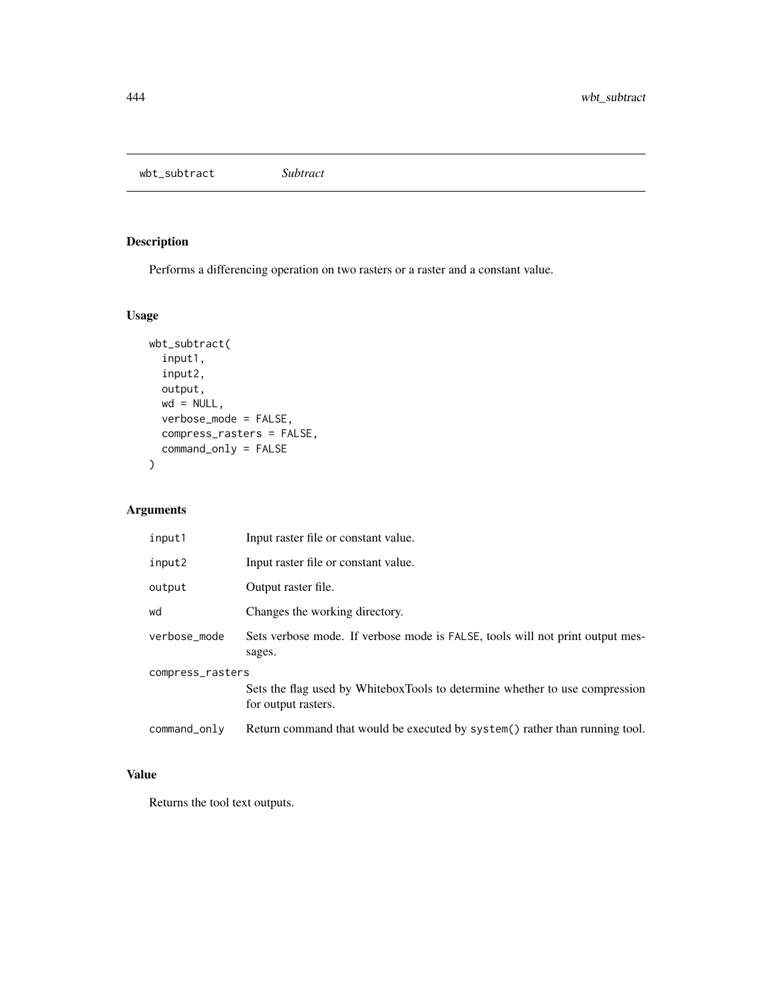wbt\_subtract *Subtract*

# Description

Performs a differencing operation on two rasters or a raster and a constant value.

# Usage

```
wbt_subtract(
  input1,
  input2,
 output,
 wd = NULL,verbose_mode = FALSE,
 compress_rasters = FALSE,
 command_only = FALSE
)
```
## Arguments

| input1           | Input raster file or constant value.                                                               |  |
|------------------|----------------------------------------------------------------------------------------------------|--|
| input2           | Input raster file or constant value.                                                               |  |
| output           | Output raster file.                                                                                |  |
| wd               | Changes the working directory.                                                                     |  |
| verbose_mode     | Sets verbose mode. If verbose mode is FALSE, tools will not print output mes-<br>sages.            |  |
| compress_rasters |                                                                                                    |  |
|                  | Sets the flag used by WhiteboxTools to determine whether to use compression<br>for output rasters. |  |
| command_only     | Return command that would be executed by system() rather than running tool.                        |  |

## Value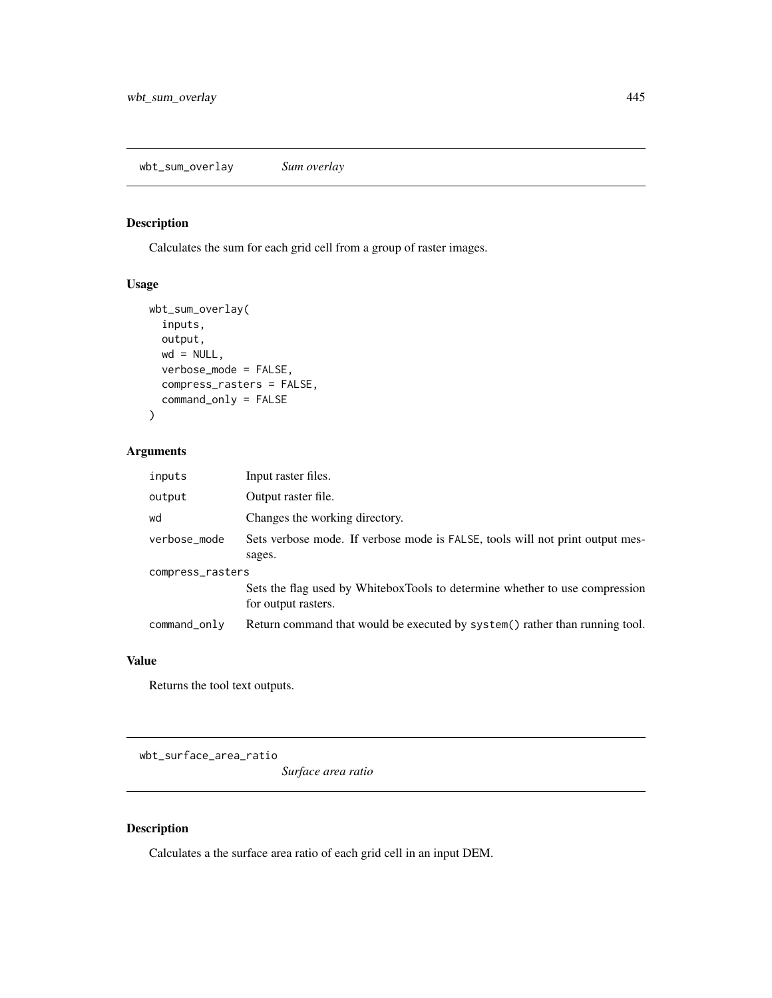## Description

Calculates the sum for each grid cell from a group of raster images.

# Usage

```
wbt_sum_overlay(
  inputs,
 output,
 wd = NULL,verbose_mode = FALSE,
  compress_rasters = FALSE,
  command_only = FALSE
\mathcal{L}
```
#### Arguments

| inputs           | Input raster files.                                                                                |  |
|------------------|----------------------------------------------------------------------------------------------------|--|
| output           | Output raster file.                                                                                |  |
| wd               | Changes the working directory.                                                                     |  |
| verbose_mode     | Sets verbose mode. If verbose mode is FALSE, tools will not print output mes-                      |  |
|                  | sages.                                                                                             |  |
| compress_rasters |                                                                                                    |  |
|                  | Sets the flag used by WhiteboxTools to determine whether to use compression<br>for output rasters. |  |
| command_only     | Return command that would be executed by system() rather than running tool.                        |  |

## Value

Returns the tool text outputs.

wbt\_surface\_area\_ratio

*Surface area ratio*

## Description

Calculates a the surface area ratio of each grid cell in an input DEM.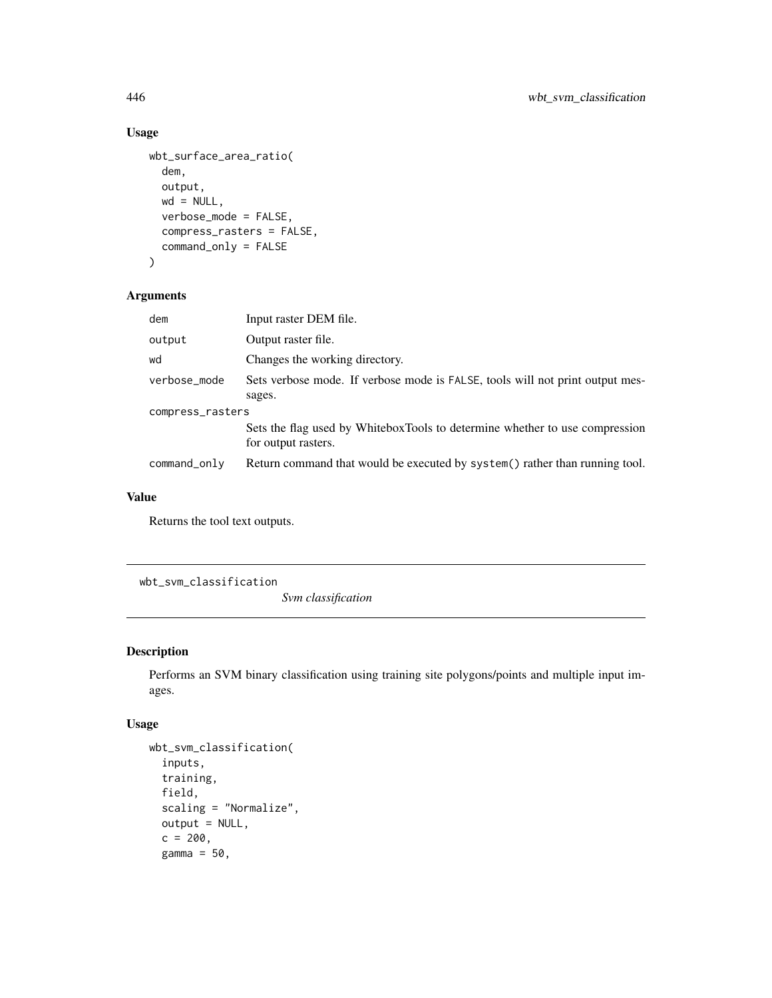# Usage

```
wbt_surface_area_ratio(
 dem,
 output,
 wd = NULL,verbose_mode = FALSE,
 compress_rasters = FALSE,
 command_only = FALSE
)
```
#### Arguments

| dem              | Input raster DEM file.                                                                             |  |
|------------------|----------------------------------------------------------------------------------------------------|--|
| output           | Output raster file.                                                                                |  |
| wd               | Changes the working directory.                                                                     |  |
| verbose_mode     | Sets verbose mode. If verbose mode is FALSE, tools will not print output mes-                      |  |
|                  | sages.                                                                                             |  |
| compress_rasters |                                                                                                    |  |
|                  | Sets the flag used by WhiteboxTools to determine whether to use compression<br>for output rasters. |  |
| command_only     | Return command that would be executed by system() rather than running tool.                        |  |

#### Value

Returns the tool text outputs.

wbt\_svm\_classification

*Svm classification*

# Description

Performs an SVM binary classification using training site polygons/points and multiple input images.

```
wbt_svm_classification(
  inputs,
  training,
  field,
  scaling = "Normalize",
  output = NULL,
  c = 200,gamma = 50,
```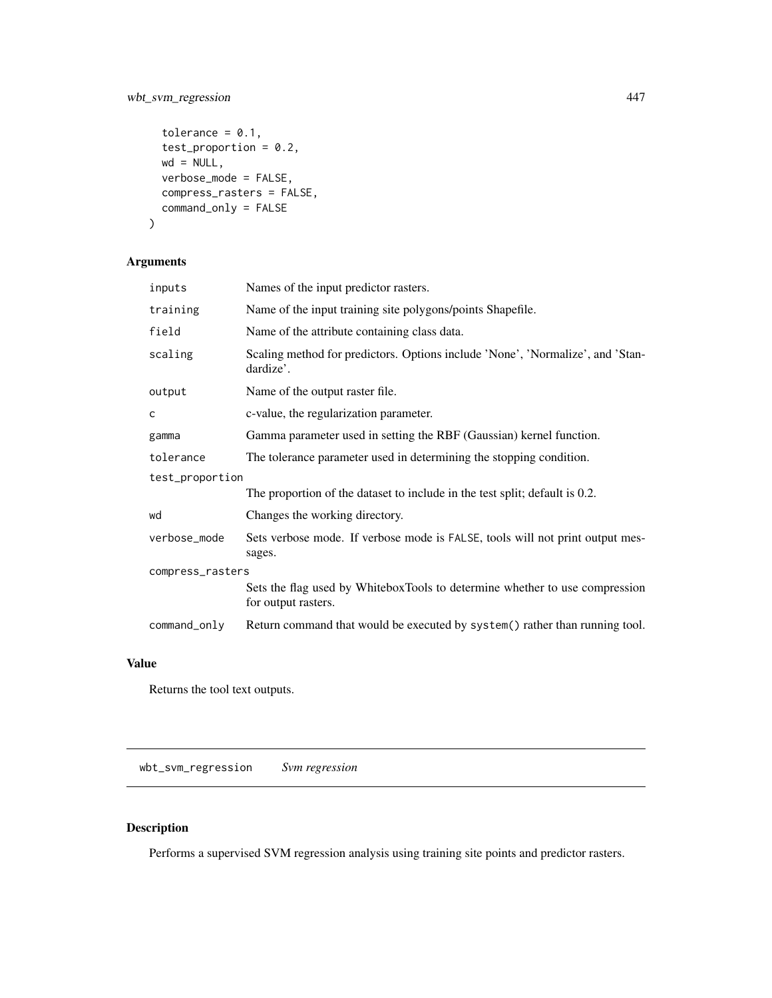# wbt\_svm\_regression 447

```
tolerance = 0.1,
test_proportion = 0.2,
wd = NULL,verbose_mode = FALSE,
compress_rasters = FALSE,
command_only = FALSE
```
## Arguments

 $\mathcal{L}$ 

| inputs           | Names of the input predictor rasters.                                                              |  |
|------------------|----------------------------------------------------------------------------------------------------|--|
| training         | Name of the input training site polygons/points Shapefile.                                         |  |
| field            | Name of the attribute containing class data.                                                       |  |
| scaling          | Scaling method for predictors. Options include 'None', 'Normalize', and 'Stan-<br>dardize'.        |  |
| output           | Name of the output raster file.                                                                    |  |
| C                | c-value, the regularization parameter.                                                             |  |
| gamma            | Gamma parameter used in setting the RBF (Gaussian) kernel function.                                |  |
| tolerance        | The tolerance parameter used in determining the stopping condition.                                |  |
| test_proportion  |                                                                                                    |  |
|                  | The proportion of the dataset to include in the test split; default is 0.2.                        |  |
| wd               | Changes the working directory.                                                                     |  |
| verbose_mode     | Sets verbose mode. If verbose mode is FALSE, tools will not print output mes-<br>sages.            |  |
| compress_rasters |                                                                                                    |  |
|                  | Sets the flag used by WhiteboxTools to determine whether to use compression<br>for output rasters. |  |
| command_only     | Return command that would be executed by system() rather than running tool.                        |  |

# Value

Returns the tool text outputs.

wbt\_svm\_regression *Svm regression*

# Description

Performs a supervised SVM regression analysis using training site points and predictor rasters.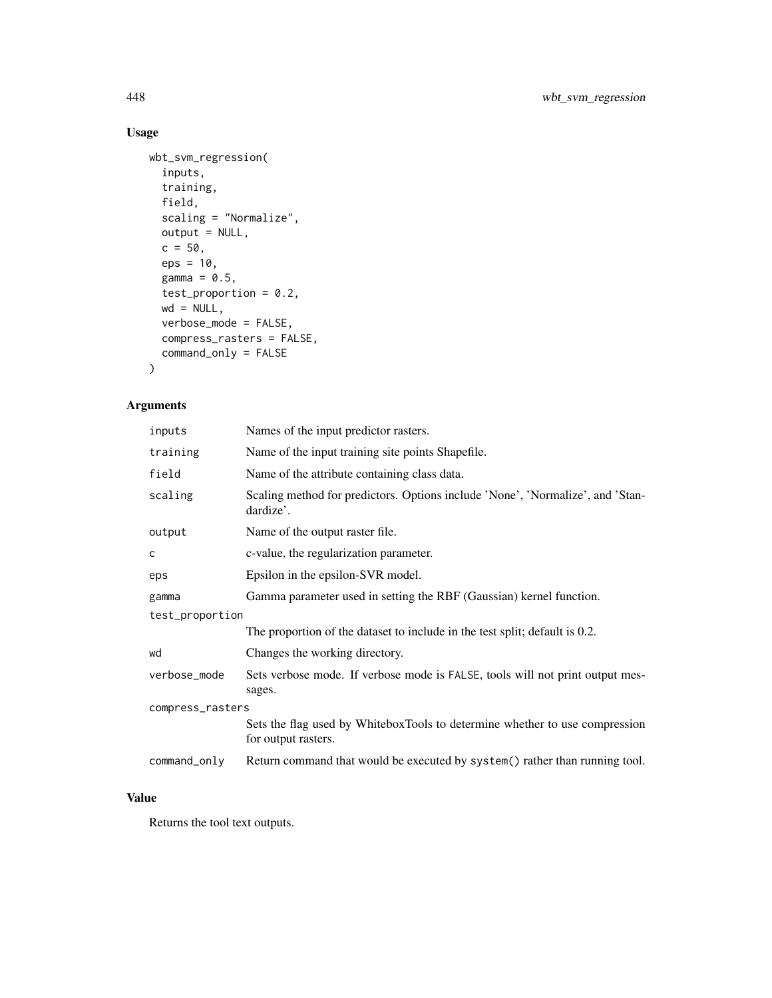# Usage

```
wbt_svm_regression(
  inputs,
  training,
  field,
  scaling = "Normalize",
  output = NULL,
  c = 50,
  eps = 10,gamma = 0.5,
  test_proportion = 0.2,
  wd = NULL,verbose_mode = FALSE,
  compress_rasters = FALSE,
  command_only = FALSE
\mathcal{L}
```
## Arguments

| inputs           | Names of the input predictor rasters.                                                              |  |
|------------------|----------------------------------------------------------------------------------------------------|--|
| training         | Name of the input training site points Shapefile.                                                  |  |
| field            | Name of the attribute containing class data.                                                       |  |
| scaling          | Scaling method for predictors. Options include 'None', 'Normalize', and 'Stan-<br>dardize'.        |  |
| output           | Name of the output raster file.                                                                    |  |
| c                | c-value, the regularization parameter.                                                             |  |
| eps              | Epsilon in the epsilon-SVR model.                                                                  |  |
| gamma            | Gamma parameter used in setting the RBF (Gaussian) kernel function.                                |  |
| test_proportion  |                                                                                                    |  |
|                  | The proportion of the dataset to include in the test split; default is 0.2.                        |  |
| wd               | Changes the working directory.                                                                     |  |
| verbose_mode     | Sets verbose mode. If verbose mode is FALSE, tools will not print output mes-<br>sages.            |  |
| compress_rasters |                                                                                                    |  |
|                  | Sets the flag used by WhiteboxTools to determine whether to use compression<br>for output rasters. |  |
| command_only     | Return command that would be executed by system() rather than running tool.                        |  |

## Value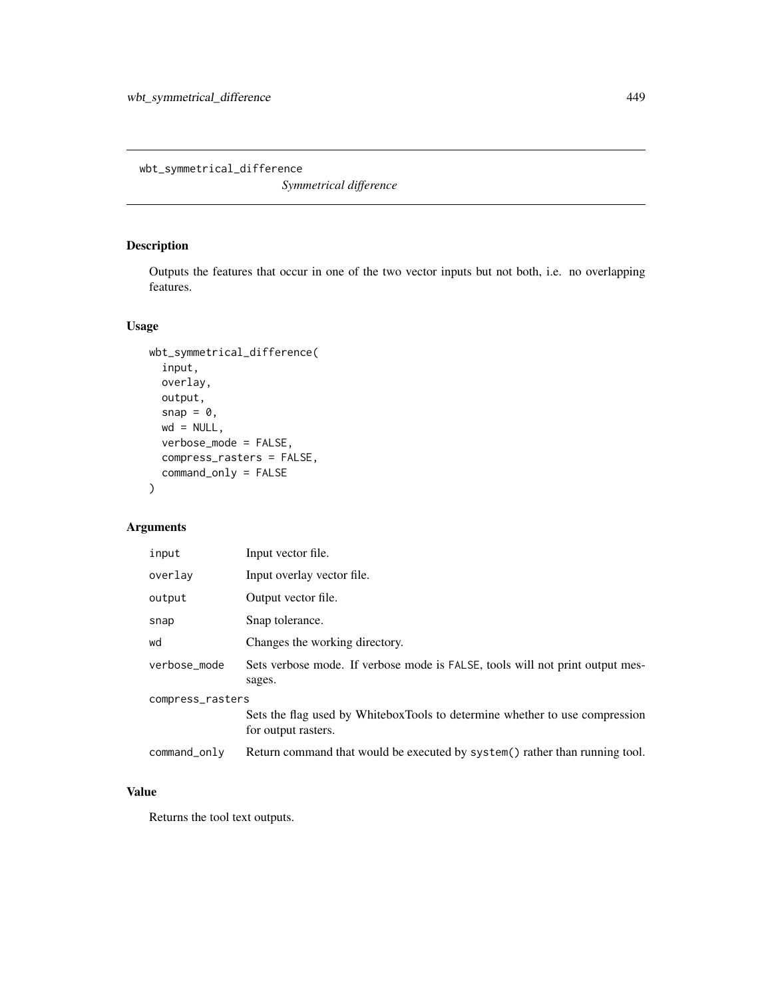wbt\_symmetrical\_difference

*Symmetrical difference*

## Description

Outputs the features that occur in one of the two vector inputs but not both, i.e. no overlapping features.

## Usage

```
wbt_symmetrical_difference(
  input,
 overlay,
 output,
  snap = \theta,
 wd = NULL,verbose_mode = FALSE,
  compress_rasters = FALSE,
  command_only = FALSE
)
```
## Arguments

| input            | Input vector file.                                                                                 |  |
|------------------|----------------------------------------------------------------------------------------------------|--|
| overlay          | Input overlay vector file.                                                                         |  |
| output           | Output vector file.                                                                                |  |
| snap             | Snap tolerance.                                                                                    |  |
| wd               | Changes the working directory.                                                                     |  |
| verbose_mode     | Sets verbose mode. If verbose mode is FALSE, tools will not print output mes-<br>sages.            |  |
| compress_rasters |                                                                                                    |  |
|                  | Sets the flag used by WhiteboxTools to determine whether to use compression<br>for output rasters. |  |
| $command\_only$  | Return command that would be executed by system() rather than running tool.                        |  |

#### Value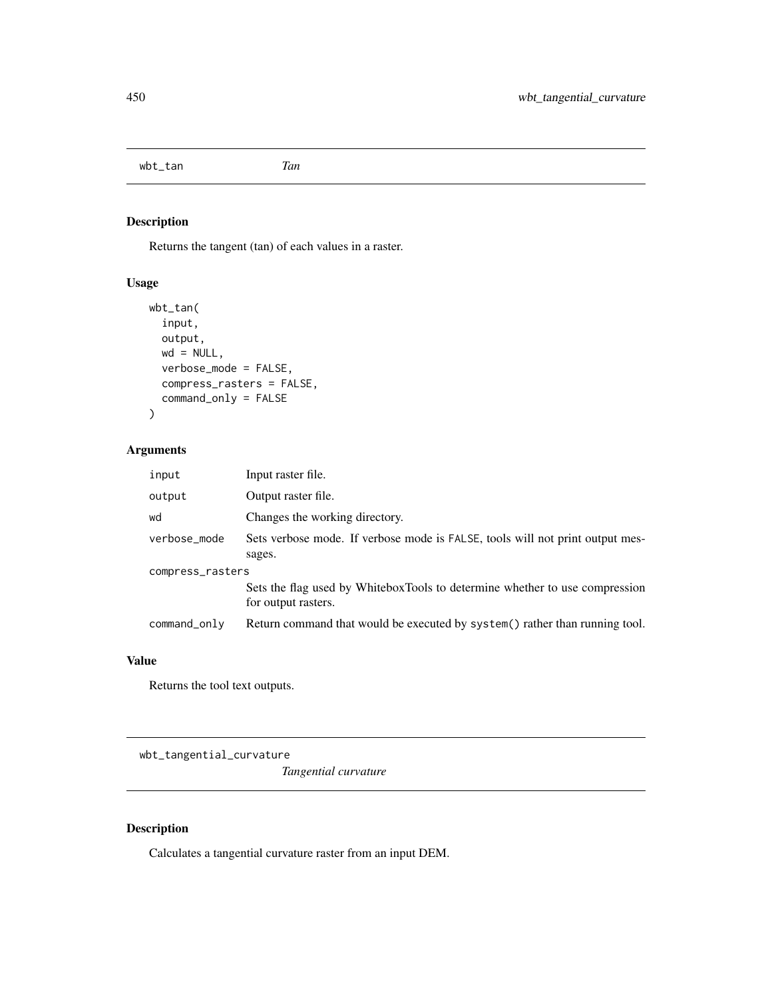wbt\_tan *Tan*

# Description

Returns the tangent (tan) of each values in a raster.

## Usage

```
wbt_tan(
  input,
 output,
 wd = NULL,verbose_mode = FALSE,
 compress_rasters = FALSE,
  command_only = FALSE
)
```
## Arguments

| input            | Input raster file.                                                                                 |  |
|------------------|----------------------------------------------------------------------------------------------------|--|
| output           | Output raster file.                                                                                |  |
| wd               | Changes the working directory.                                                                     |  |
| verbose_mode     | Sets verbose mode. If verbose mode is FALSE, tools will not print output mes-<br>sages.            |  |
| compress_rasters |                                                                                                    |  |
|                  | Sets the flag used by WhiteboxTools to determine whether to use compression<br>for output rasters. |  |
| command_only     | Return command that would be executed by system() rather than running tool.                        |  |

## Value

Returns the tool text outputs.

wbt\_tangential\_curvature

*Tangential curvature*

## Description

Calculates a tangential curvature raster from an input DEM.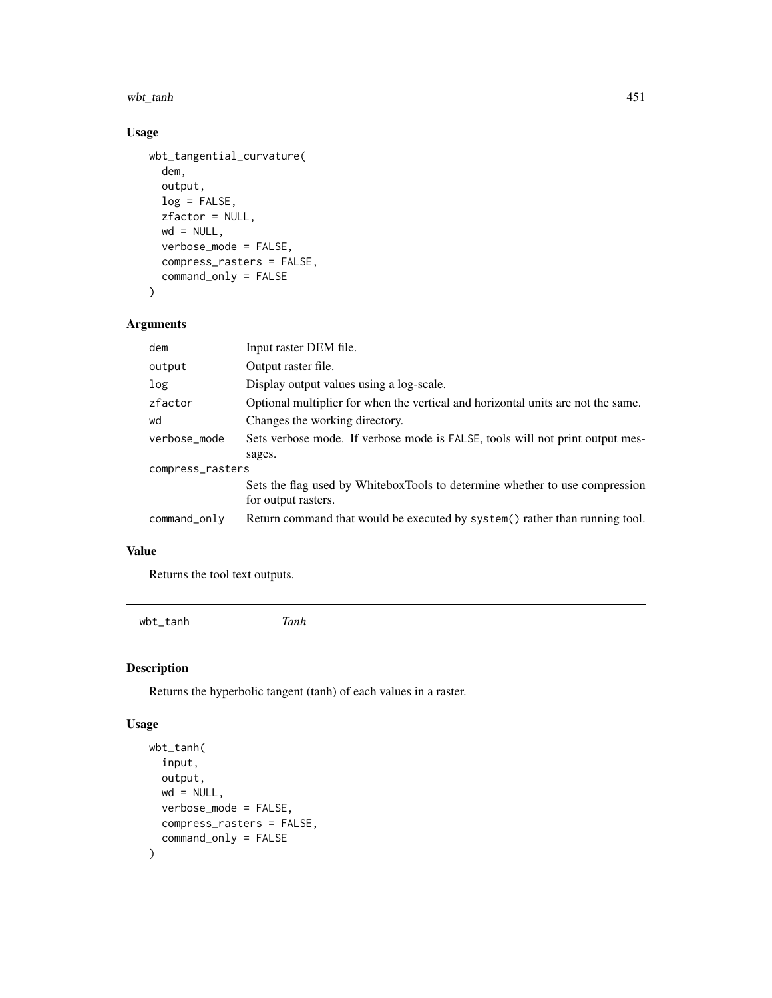wbt\_tanh 451

## Usage

```
wbt_tangential_curvature(
 dem,
 output,
 log = FALSE,
 zfactor = NULL,
 wd = NULL,verbose_mode = FALSE,
 compress_rasters = FALSE,
 command_only = FALSE
```

```
)
```
## Arguments

| dem              | Input raster DEM file.                                                           |  |
|------------------|----------------------------------------------------------------------------------|--|
| output           | Output raster file.                                                              |  |
| log              | Display output values using a log-scale.                                         |  |
| zfactor          | Optional multiplier for when the vertical and horizontal units are not the same. |  |
| wd               | Changes the working directory.                                                   |  |
| verbose mode     | Sets verbose mode. If verbose mode is FALSE, tools will not print output mes-    |  |
|                  | sages.                                                                           |  |
| compress_rasters |                                                                                  |  |
|                  | Sets the flag used by WhiteboxTools to determine whether to use compression      |  |
|                  | for output rasters.                                                              |  |
| command_only     | Return command that would be executed by system() rather than running tool.      |  |
|                  |                                                                                  |  |

## Value

Returns the tool text outputs.

wbt\_tanh *Tanh*

## Description

Returns the hyperbolic tangent (tanh) of each values in a raster.

```
wbt_tanh(
  input,
 output,
 wd = NULL,verbose_mode = FALSE,
 compress_rasters = FALSE,
  command_only = FALSE
)
```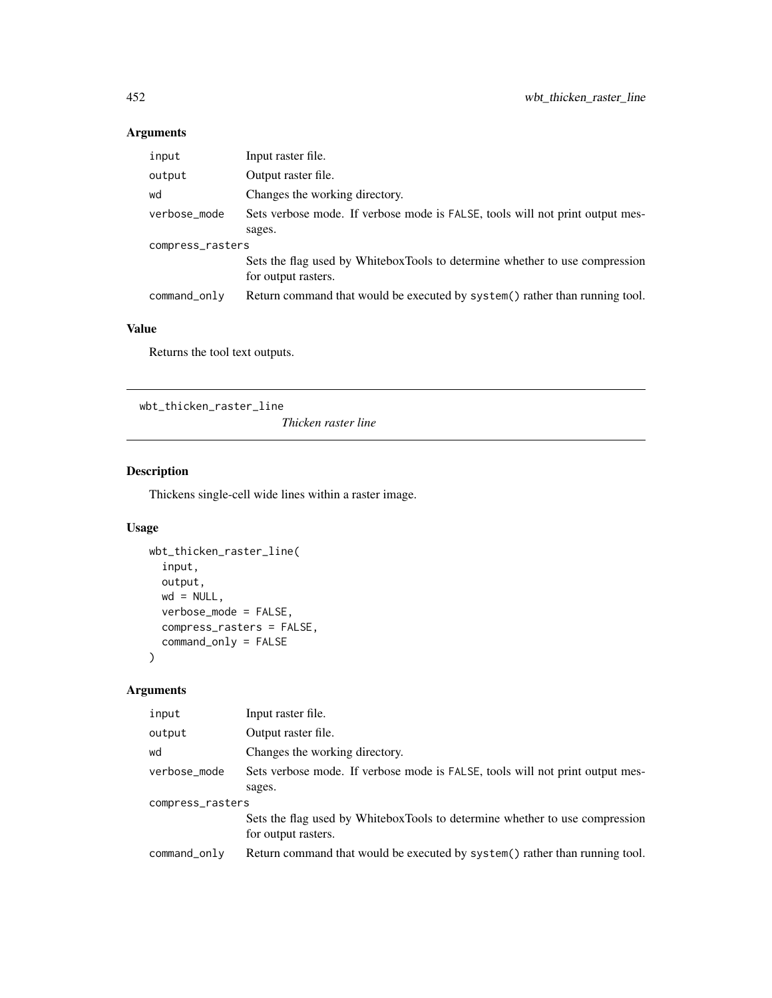| input            | Input raster file.                                                                                 |  |
|------------------|----------------------------------------------------------------------------------------------------|--|
| output           | Output raster file.                                                                                |  |
| wd               | Changes the working directory.                                                                     |  |
| verbose_mode     | Sets verbose mode. If verbose mode is FALSE, tools will not print output mes-                      |  |
|                  | sages.                                                                                             |  |
| compress_rasters |                                                                                                    |  |
|                  | Sets the flag used by WhiteboxTools to determine whether to use compression<br>for output rasters. |  |
| command_only     | Return command that would be executed by system() rather than running tool.                        |  |

## Value

Returns the tool text outputs.

wbt\_thicken\_raster\_line

*Thicken raster line*

## Description

Thickens single-cell wide lines within a raster image.

# Usage

```
wbt_thicken_raster_line(
  input,
 output,
 wd = NULL,verbose_mode = FALSE,
 compress_rasters = FALSE,
 command_only = FALSE
\mathcal{L}
```

| input            | Input raster file.                                                                                 |  |
|------------------|----------------------------------------------------------------------------------------------------|--|
| output           | Output raster file.                                                                                |  |
| wd               | Changes the working directory.                                                                     |  |
| verbose_mode     | Sets verbose mode. If verbose mode is FALSE, tools will not print output mes-                      |  |
|                  | sages.                                                                                             |  |
| compress_rasters |                                                                                                    |  |
|                  | Sets the flag used by WhiteboxTools to determine whether to use compression<br>for output rasters. |  |
| command_only     | Return command that would be executed by system() rather than running tool.                        |  |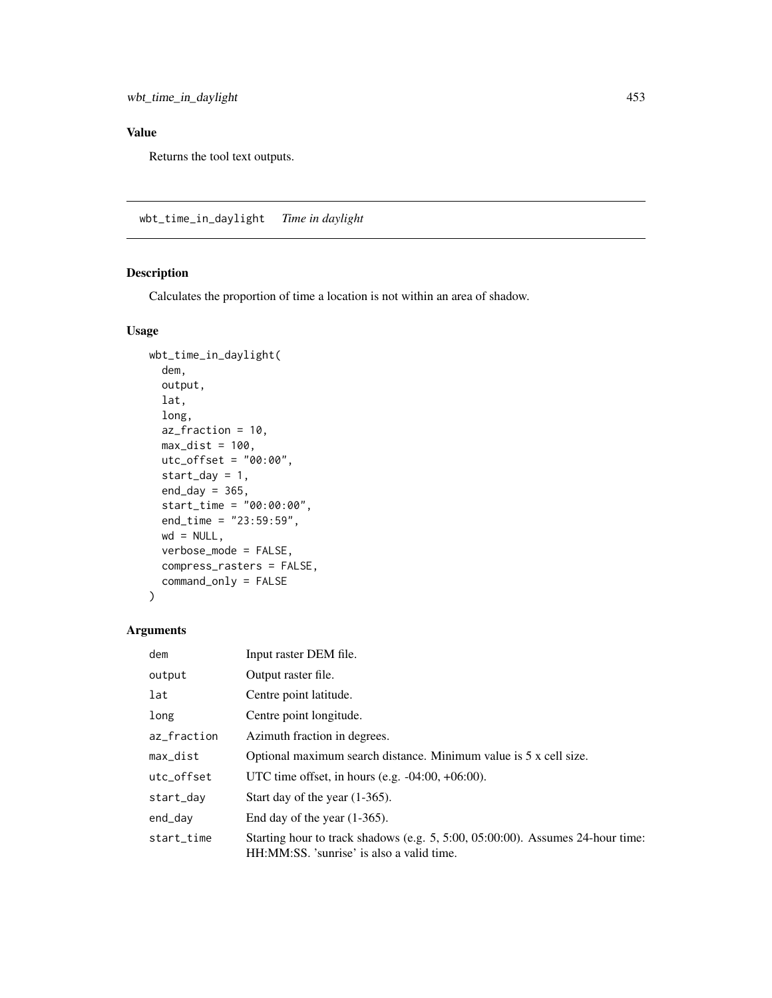Returns the tool text outputs.

wbt\_time\_in\_daylight *Time in daylight*

## Description

Calculates the proportion of time a location is not within an area of shadow.

## Usage

```
wbt_time_in_daylight(
  dem,
  output,
  lat,
  long,
 az_fraction = 10,
 max\_dist = 100,
 utc_offset = "00:00",
  start_day = 1,
  end_day = 365,
  start_time = "00:00:00",
  end_time = "23:59:59",
 wd = NULL,verbose_mode = FALSE,
  compress_rasters = FALSE,
  command_only = FALSE
)
```

| dem         | Input raster DEM file.                                                                                                      |  |
|-------------|-----------------------------------------------------------------------------------------------------------------------------|--|
| output      | Output raster file.                                                                                                         |  |
| lat         | Centre point latitude.                                                                                                      |  |
| long        | Centre point longitude.                                                                                                     |  |
| az_fraction | Azimuth fraction in degrees.                                                                                                |  |
| max_dist    | Optional maximum search distance. Minimum value is 5 x cell size.                                                           |  |
| utc offset  | UTC time offset, in hours (e.g. $-04:00, +06:00$ ).                                                                         |  |
| start_day   | Start day of the year $(1-365)$ .                                                                                           |  |
| end_day     | End day of the year $(1-365)$ .                                                                                             |  |
| start_time  | Starting hour to track shadows (e.g. 5, 5:00, 05:00:00). Assumes 24-hour time:<br>HH:MM:SS. 'sunrise' is also a valid time. |  |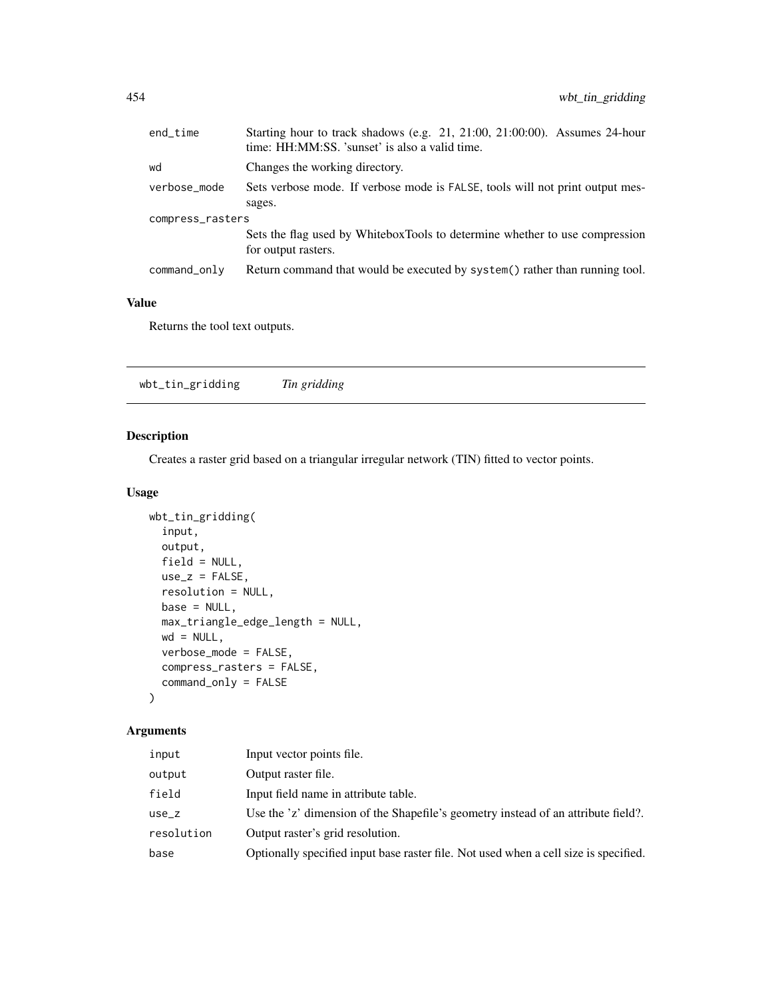| end_time         | Starting hour to track shadows (e.g. 21, 21:00, 21:00:00). Assumes 24-hour<br>time: HH:MM:SS. 'sunset' is also a valid time. |  |
|------------------|------------------------------------------------------------------------------------------------------------------------------|--|
| wd               | Changes the working directory.                                                                                               |  |
| verbose_mode     | Sets verbose mode. If verbose mode is FALSE, tools will not print output mes-<br>sages.                                      |  |
| compress_rasters |                                                                                                                              |  |
|                  | Sets the flag used by WhiteboxTools to determine whether to use compression<br>for output rasters.                           |  |
| command_only     | Return command that would be executed by system() rather than running tool.                                                  |  |

Returns the tool text outputs.

wbt\_tin\_gridding *Tin gridding*

# Description

Creates a raster grid based on a triangular irregular network (TIN) fitted to vector points.

#### Usage

```
wbt_tin_gridding(
 input,
 output,
 field = NULL,
 use_z = FALSE,resolution = NULL,
 base = NULL,
 max_triangle_edge_length = NULL,
 wd = NULL,verbose_mode = FALSE,
 compress_rasters = FALSE,
 command_only = FALSE
)
```

| input      | Input vector points file.                                                            |
|------------|--------------------------------------------------------------------------------------|
| output     | Output raster file.                                                                  |
| field      | Input field name in attribute table.                                                 |
| use_z      | Use the 'z' dimension of the Shapefile's geometry instead of an attribute field?.    |
| resolution | Output raster's grid resolution.                                                     |
| base       | Optionally specified input base raster file. Not used when a cell size is specified. |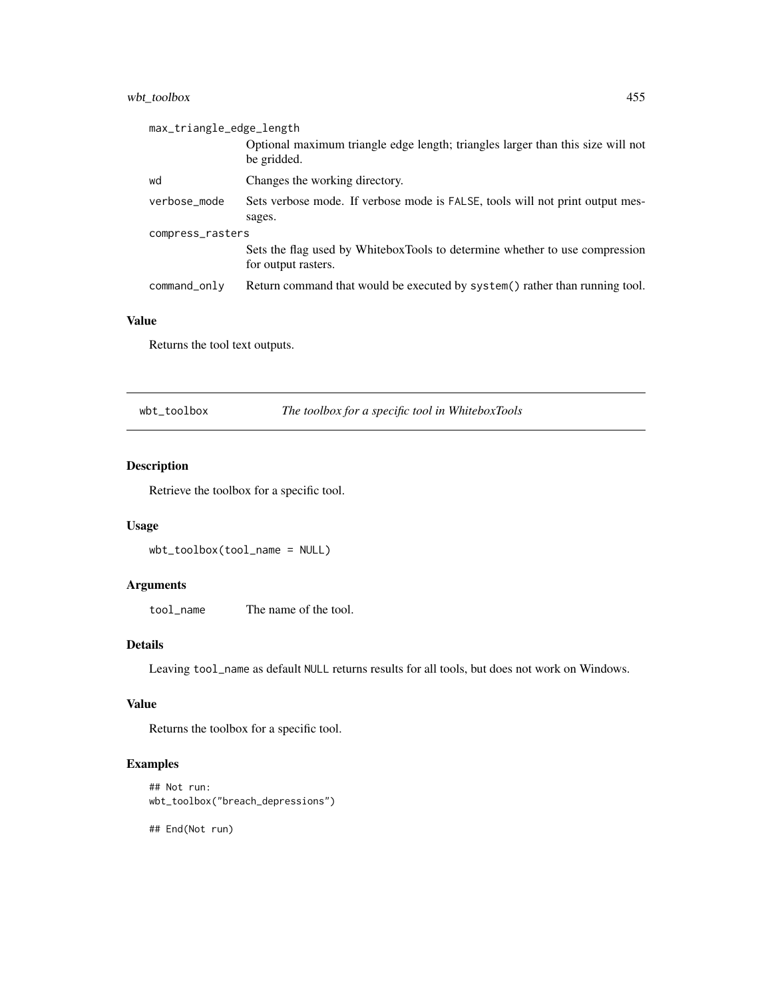## wbt\_toolbox 455

| max_triangle_edge_length |                                                                                                    |  |
|--------------------------|----------------------------------------------------------------------------------------------------|--|
|                          | Optional maximum triangle edge length; triangles larger than this size will not<br>be gridded.     |  |
| wd                       | Changes the working directory.                                                                     |  |
| verbose_mode             | Sets verbose mode. If verbose mode is FALSE, tools will not print output mes-                      |  |
|                          | sages.                                                                                             |  |
| compress_rasters         |                                                                                                    |  |
|                          | Sets the flag used by WhiteboxTools to determine whether to use compression<br>for output rasters. |  |
| command_only             | Return command that would be executed by system() rather than running tool.                        |  |

#### Value

Returns the tool text outputs.

wbt\_toolbox *The toolbox for a specific tool in WhiteboxTools*

# Description

Retrieve the toolbox for a specific tool.

## Usage

wbt\_toolbox(tool\_name = NULL)

## Arguments

tool\_name The name of the tool.

# Details

Leaving tool\_name as default NULL returns results for all tools, but does not work on Windows.

#### Value

Returns the toolbox for a specific tool.

## Examples

```
## Not run:
wbt_toolbox("breach_depressions")
```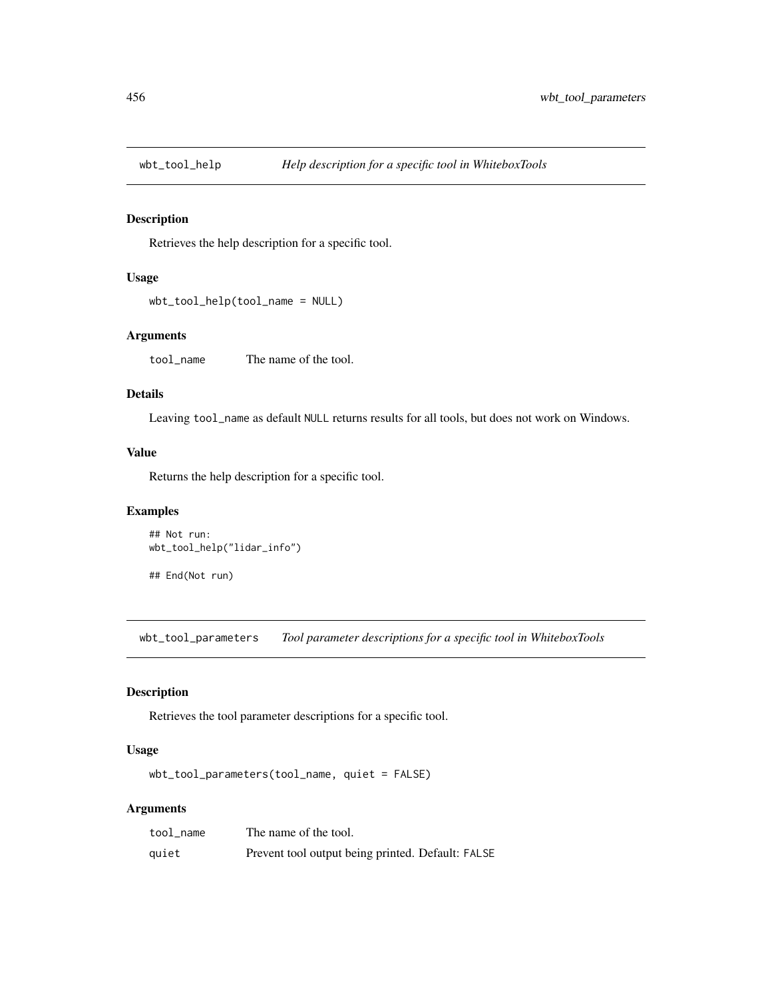#### Description

Retrieves the help description for a specific tool.

## Usage

```
wbt_tool_help(tool_name = NULL)
```
#### Arguments

tool\_name The name of the tool.

#### Details

Leaving tool\_name as default NULL returns results for all tools, but does not work on Windows.

#### Value

Returns the help description for a specific tool.

#### Examples

```
## Not run:
wbt_tool_help("lidar_info")
```
## End(Not run)

wbt\_tool\_parameters *Tool parameter descriptions for a specific tool in WhiteboxTools*

## Description

Retrieves the tool parameter descriptions for a specific tool.

#### Usage

wbt\_tool\_parameters(tool\_name, quiet = FALSE)

| tool name | The name of the tool.                             |
|-----------|---------------------------------------------------|
| quiet     | Prevent tool output being printed. Default: FALSE |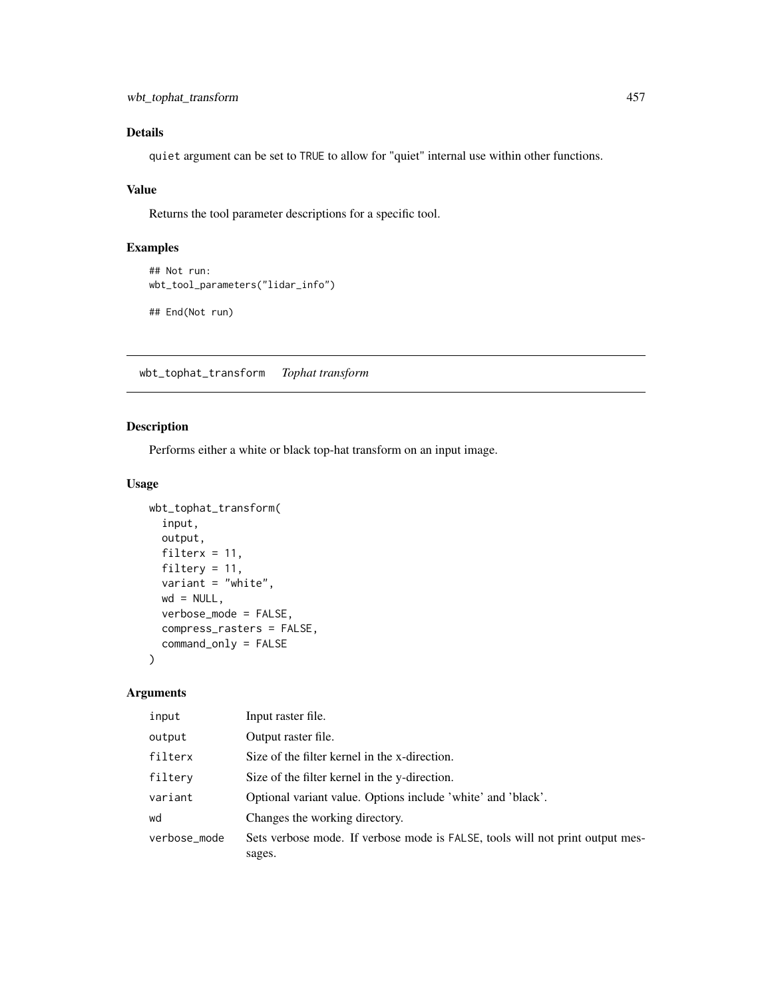# Details

quiet argument can be set to TRUE to allow for "quiet" internal use within other functions.

## Value

Returns the tool parameter descriptions for a specific tool.

## Examples

```
## Not run:
wbt_tool_parameters("lidar_info")
```
## End(Not run)

wbt\_tophat\_transform *Tophat transform*

## Description

Performs either a white or black top-hat transform on an input image.

## Usage

```
wbt_tophat_transform(
  input,
 output,
 filterx = 11,
  filtery = 11,
  variant = "white",
 wd = NULL,verbose_mode = FALSE,
  compress_rasters = FALSE,
  command_only = FALSE
)
```

| input        | Input raster file.                                                            |
|--------------|-------------------------------------------------------------------------------|
| output       | Output raster file.                                                           |
| filterx      | Size of the filter kernel in the x-direction.                                 |
| filtery      | Size of the filter kernel in the y-direction.                                 |
| variant      | Optional variant value. Options include 'white' and 'black'.                  |
| wd           | Changes the working directory.                                                |
| verbose_mode | Sets verbose mode. If verbose mode is FALSE, tools will not print output mes- |
|              | sages.                                                                        |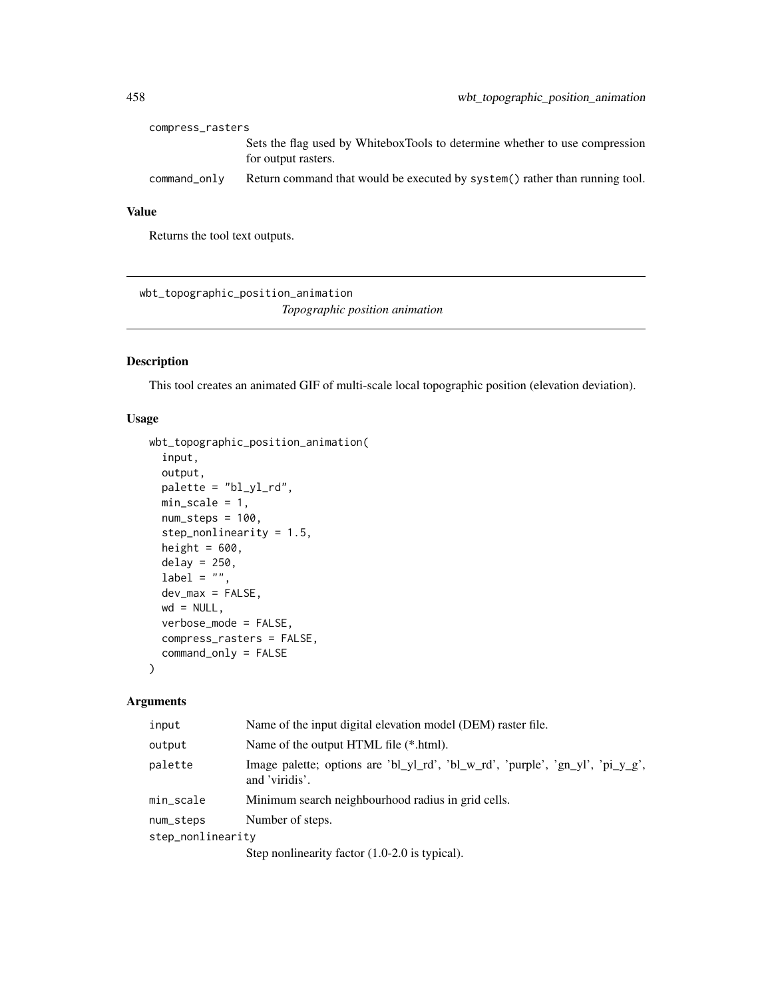| compress_rasters |                                                                                                    |
|------------------|----------------------------------------------------------------------------------------------------|
|                  | Sets the flag used by WhiteboxTools to determine whether to use compression<br>for output rasters. |
| command_only     | Return command that would be executed by system() rather than running tool.                        |

Returns the tool text outputs.

wbt\_topographic\_position\_animation *Topographic position animation*

# Description

This tool creates an animated GIF of multi-scale local topographic position (elevation deviation).

#### Usage

```
wbt_topographic_position_animation(
  input,
  output,
 palette = "bl_yl_rd",
 min\_scale = 1,
 num\_steps = 100,step_nonlinearity = 1.5,
 height = 600,
  delay = 250,
  label = "",dev_max = FALSE,
 wd = NULL,verbose_mode = FALSE,
  compress_rasters = FALSE,
  command_only = FALSE
\lambda
```

| input             | Name of the input digital elevation model (DEM) raster file.                                     |  |
|-------------------|--------------------------------------------------------------------------------------------------|--|
| output            | Name of the output HTML file (*.html).                                                           |  |
| palette           | Image palette; options are 'bl_yl_rd', 'bl_w_rd', 'purple', 'gn_yl', 'pi_y_g',<br>and 'viridis'. |  |
| min_scale         | Minimum search neighbourhood radius in grid cells.                                               |  |
| num_steps         | Number of steps.                                                                                 |  |
| step_nonlinearity |                                                                                                  |  |
|                   | Step nonlinearity factor $(1.0-2.0)$ is typical).                                                |  |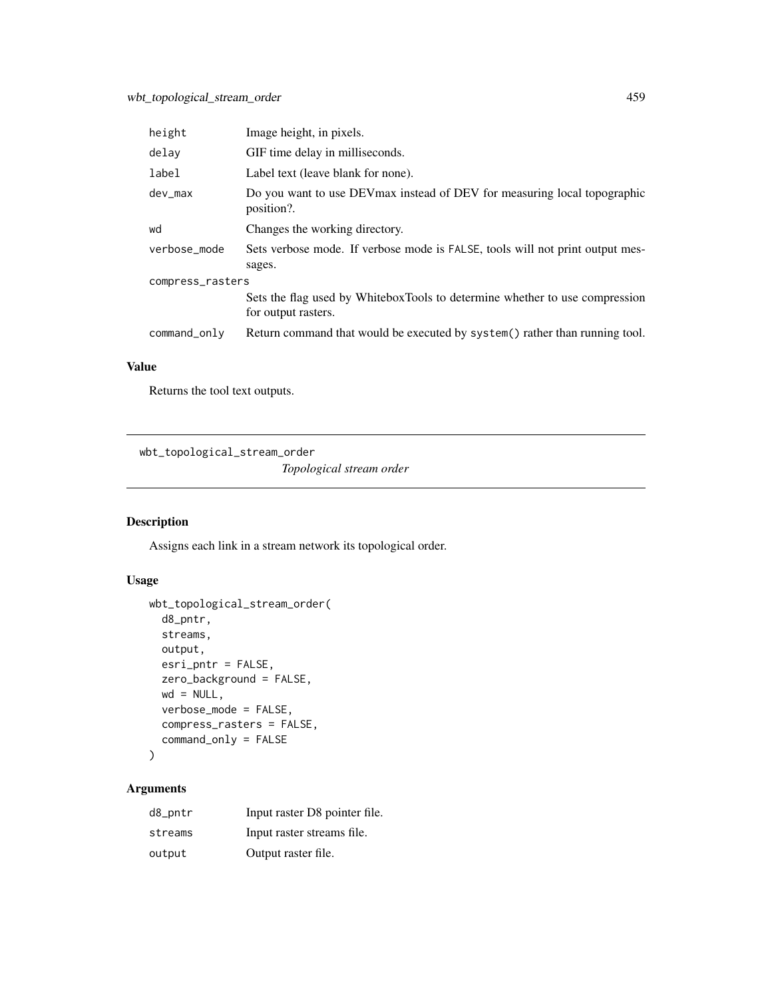| height           | Image height, in pixels.                                                                           |  |
|------------------|----------------------------------------------------------------------------------------------------|--|
| delay            | GIF time delay in milliseconds.                                                                    |  |
| label            | Label text (leave blank for none).                                                                 |  |
| dev max          | Do you want to use DEV max instead of DEV for measuring local topographic<br>position?.            |  |
| wd               | Changes the working directory.                                                                     |  |
| verbose mode     | Sets verbose mode. If verbose mode is FALSE, tools will not print output mes-<br>sages.            |  |
| compress_rasters |                                                                                                    |  |
|                  | Sets the flag used by WhiteboxTools to determine whether to use compression<br>for output rasters. |  |
| command_only     | Return command that would be executed by system() rather than running tool.                        |  |

Returns the tool text outputs.

wbt\_topological\_stream\_order

*Topological stream order*

## Description

Assigns each link in a stream network its topological order.

## Usage

```
wbt_topological_stream_order(
 d8_pntr,
 streams,
 output,
 esri_pntr = FALSE,
 zero_background = FALSE,
 wd = NULL,verbose_mode = FALSE,
 compress_rasters = FALSE,
 command_only = FALSE
)
```

| d8_pntr | Input raster D8 pointer file. |
|---------|-------------------------------|
| streams | Input raster streams file.    |
| output  | Output raster file.           |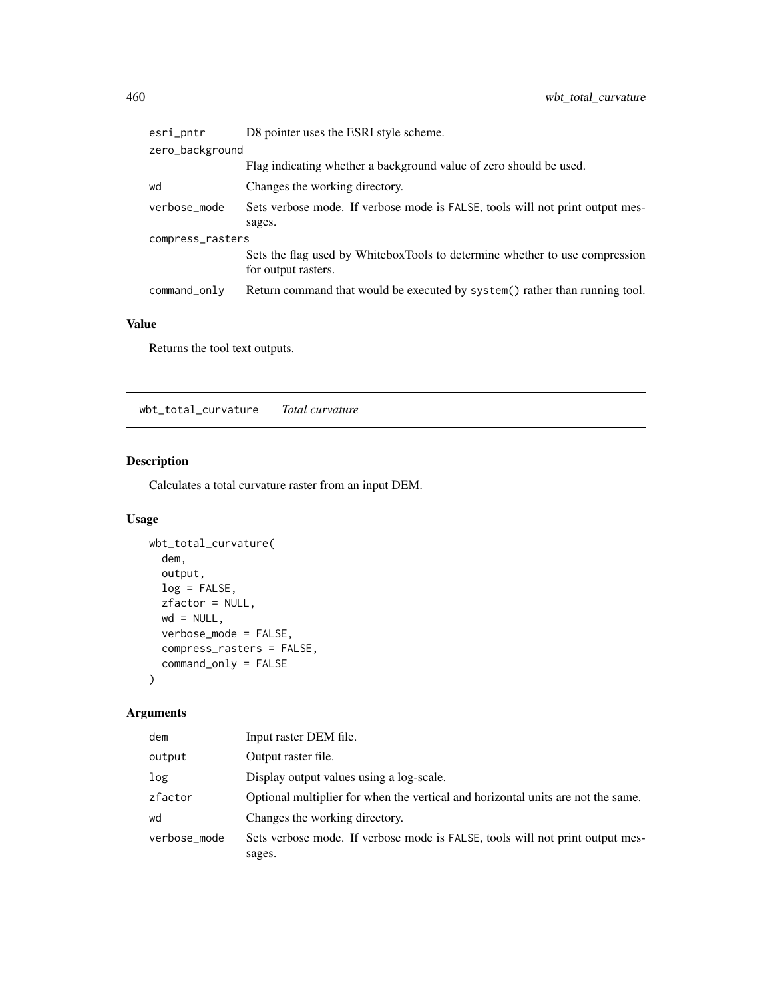| esri_pntr        | D8 pointer uses the ESRI style scheme.                                                             |  |
|------------------|----------------------------------------------------------------------------------------------------|--|
| zero_background  |                                                                                                    |  |
|                  | Flag indicating whether a background value of zero should be used.                                 |  |
| wd               | Changes the working directory.                                                                     |  |
| verbose_mode     | Sets verbose mode. If verbose mode is FALSE, tools will not print output mes-                      |  |
|                  | sages.                                                                                             |  |
| compress_rasters |                                                                                                    |  |
|                  | Sets the flag used by WhiteboxTools to determine whether to use compression<br>for output rasters. |  |
| command_only     | Return command that would be executed by system() rather than running tool.                        |  |

Returns the tool text outputs.

wbt\_total\_curvature *Total curvature*

# Description

Calculates a total curvature raster from an input DEM.

# Usage

```
wbt_total_curvature(
  dem,
  output,
  log = FALSE,
  zfactor = NULL,
  wd = NULL,verbose_mode = FALSE,
  compress_rasters = FALSE,
  command_only = FALSE
\mathcal{L}
```

| dem          | Input raster DEM file.                                                           |
|--------------|----------------------------------------------------------------------------------|
| output       | Output raster file.                                                              |
| log          | Display output values using a log-scale.                                         |
| zfactor      | Optional multiplier for when the vertical and horizontal units are not the same. |
| wd           | Changes the working directory.                                                   |
| verbose_mode | Sets verbose mode. If verbose mode is FALSE, tools will not print output mes-    |
|              | sages.                                                                           |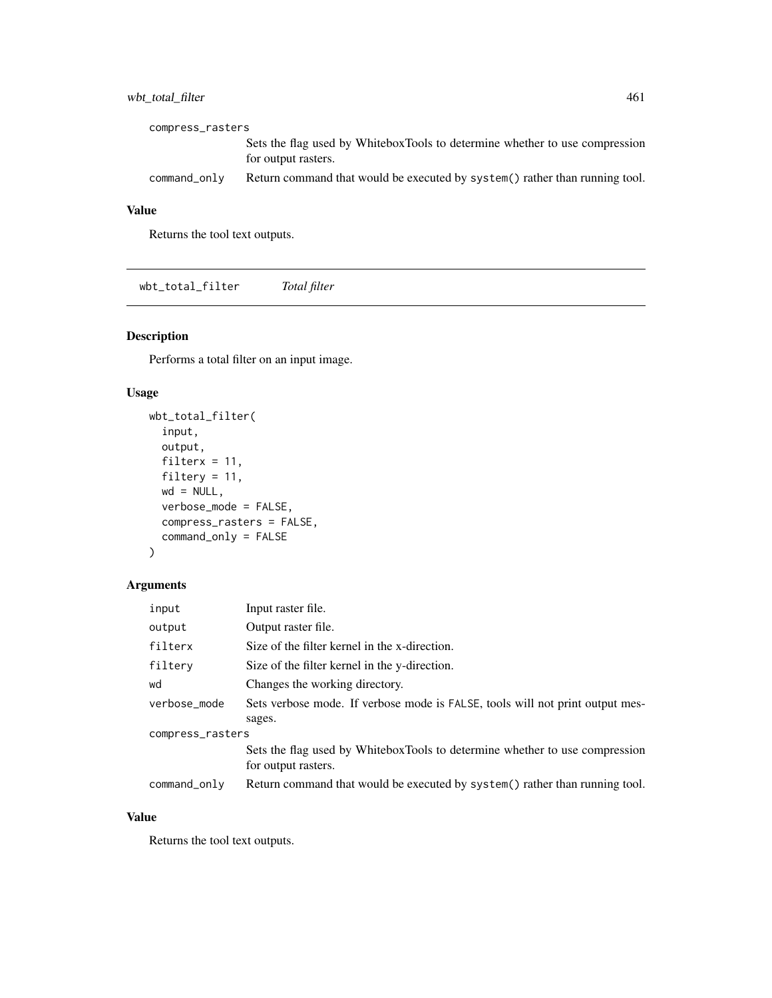# wbt\_total\_filter 461

| compress_rasters |                                                                                                    |  |
|------------------|----------------------------------------------------------------------------------------------------|--|
|                  | Sets the flag used by WhiteboxTools to determine whether to use compression<br>for output rasters. |  |
| command_only     | Return command that would be executed by system () rather than running tool.                       |  |

## Value

Returns the tool text outputs.

wbt\_total\_filter *Total filter*

## Description

Performs a total filter on an input image.

#### Usage

```
wbt_total_filter(
  input,
 output,
 filterx = 11,
 filtery = 11,
 wd = NULL,verbose_mode = FALSE,
 compress_rasters = FALSE,
  command_only = FALSE
)
```
## Arguments

| input            | Input raster file.                                                                      |  |
|------------------|-----------------------------------------------------------------------------------------|--|
| output           | Output raster file.                                                                     |  |
| filterx          | Size of the filter kernel in the x-direction.                                           |  |
| filtery          | Size of the filter kernel in the y-direction.                                           |  |
| wd               | Changes the working directory.                                                          |  |
| verbose_mode     | Sets verbose mode. If verbose mode is FALSE, tools will not print output mes-<br>sages. |  |
| compress_rasters |                                                                                         |  |
|                  | Sets the flag used by WhiteboxTools to determine whether to use compression             |  |
|                  | for output rasters.                                                                     |  |
| command_only     | Return command that would be executed by system() rather than running tool.             |  |

#### Value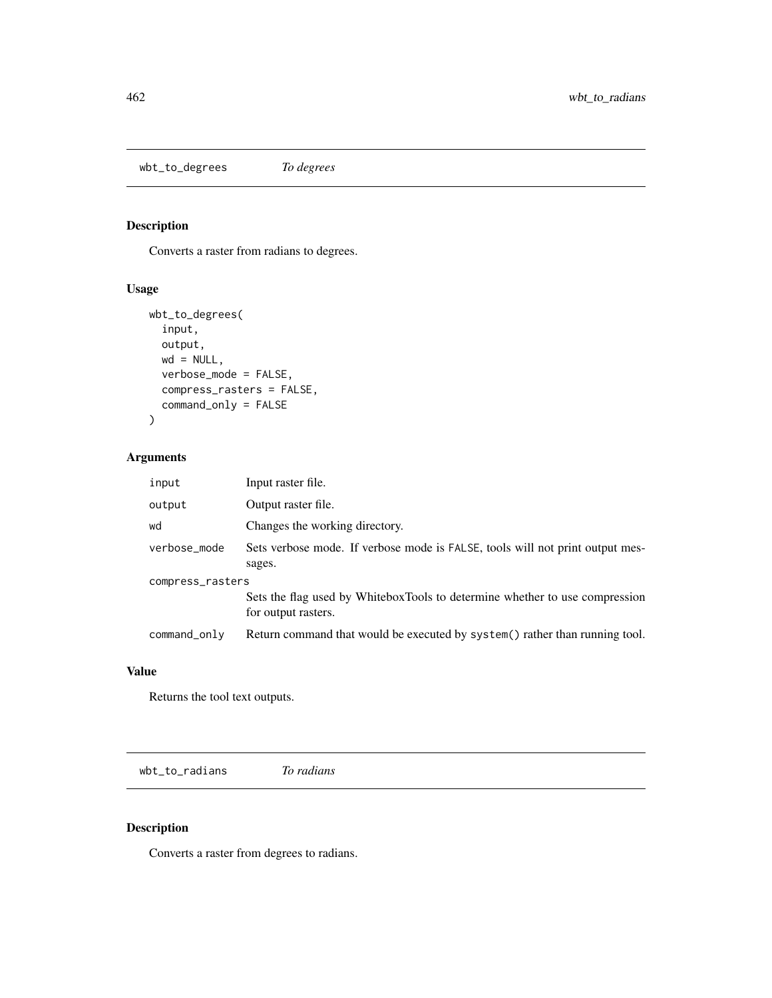wbt\_to\_degrees *To degrees*

## Description

Converts a raster from radians to degrees.

## Usage

```
wbt_to_degrees(
  input,
 output,
 wd = NULL,verbose_mode = FALSE,
 compress_rasters = FALSE,
 command_only = FALSE
)
```
# Arguments

| input            | Input raster file.                                                                                 |  |
|------------------|----------------------------------------------------------------------------------------------------|--|
| output           | Output raster file.                                                                                |  |
| wd               | Changes the working directory.                                                                     |  |
| verbose_mode     | Sets verbose mode. If verbose mode is FALSE, tools will not print output mes-<br>sages.            |  |
| compress_rasters |                                                                                                    |  |
|                  | Sets the flag used by WhiteboxTools to determine whether to use compression<br>for output rasters. |  |
| command_only     | Return command that would be executed by system() rather than running tool.                        |  |

## Value

Returns the tool text outputs.

wbt\_to\_radians *To radians*

## Description

Converts a raster from degrees to radians.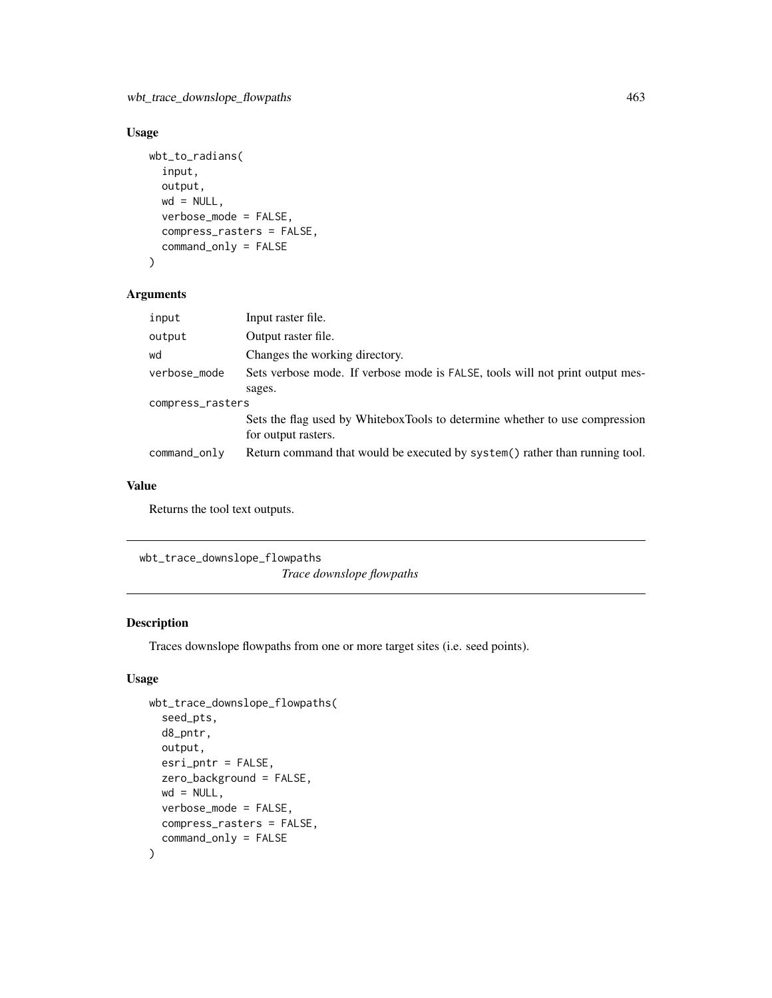## Usage

```
wbt_to_radians(
  input,
 output,
 wd = NULL,verbose_mode = FALSE,
  compress_rasters = FALSE,
  command_only = FALSE
)
```
## Arguments

| input            | Input raster file.                                                                                 |  |
|------------------|----------------------------------------------------------------------------------------------------|--|
| output           | Output raster file.                                                                                |  |
| wd               | Changes the working directory.                                                                     |  |
| verbose_mode     | Sets verbose mode. If verbose mode is FALSE, tools will not print output mes-                      |  |
|                  | sages.                                                                                             |  |
| compress_rasters |                                                                                                    |  |
|                  | Sets the flag used by WhiteboxTools to determine whether to use compression<br>for output rasters. |  |
| command_only     | Return command that would be executed by system() rather than running tool.                        |  |
|                  |                                                                                                    |  |

#### Value

Returns the tool text outputs.

wbt\_trace\_downslope\_flowpaths

*Trace downslope flowpaths*

## Description

Traces downslope flowpaths from one or more target sites (i.e. seed points).

```
wbt_trace_downslope_flowpaths(
  seed_pts,
 d8_pntr,
 output,
 esri_pntr = FALSE,
 zero_background = FALSE,
 wd = NULL,verbose_mode = FALSE,
 compress_rasters = FALSE,
  command_only = FALSE
)
```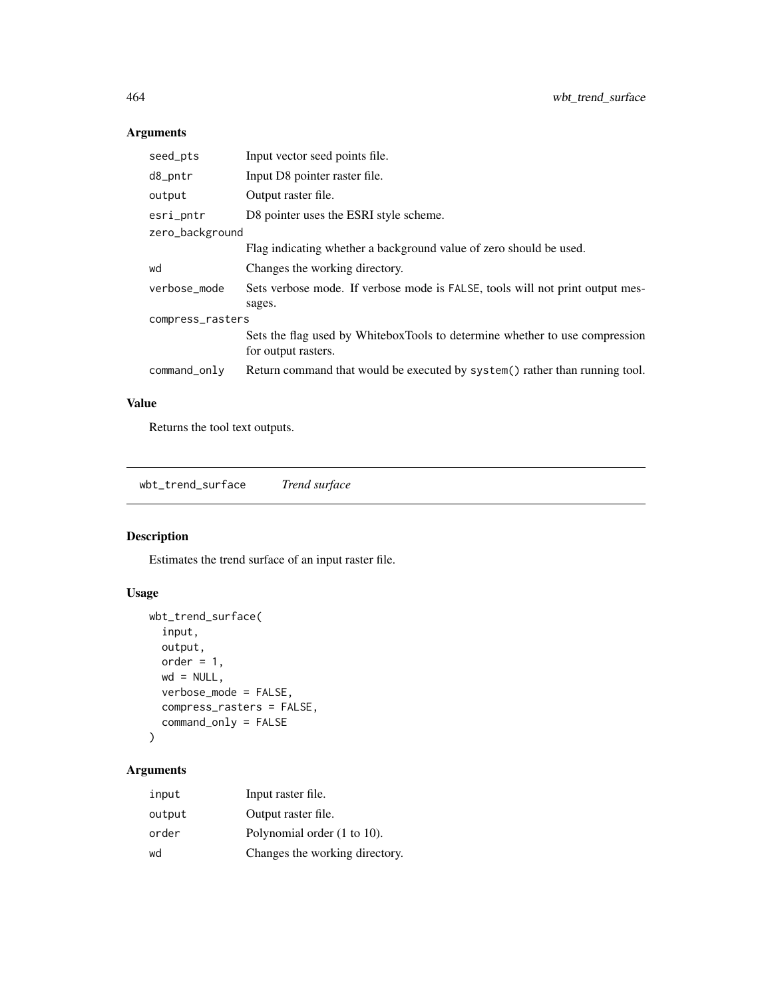| seed_pts         | Input vector seed points file.                                                                     |  |
|------------------|----------------------------------------------------------------------------------------------------|--|
| d8_pntr          | Input D8 pointer raster file.                                                                      |  |
| output           | Output raster file.                                                                                |  |
| esri_pntr        | D8 pointer uses the ESRI style scheme.                                                             |  |
| zero_background  |                                                                                                    |  |
|                  | Flag indicating whether a background value of zero should be used.                                 |  |
| wd               | Changes the working directory.                                                                     |  |
| verbose_mode     | Sets verbose mode. If verbose mode is FALSE, tools will not print output mes-<br>sages.            |  |
| compress_rasters |                                                                                                    |  |
|                  | Sets the flag used by WhiteboxTools to determine whether to use compression<br>for output rasters. |  |
| command_only     | Return command that would be executed by system() rather than running tool.                        |  |

# Value

Returns the tool text outputs.

wbt\_trend\_surface *Trend surface*

## Description

Estimates the trend surface of an input raster file.

## Usage

```
wbt_trend_surface(
  input,
 output,
 order = 1,
 wd = NULL,verbose_mode = FALSE,
 compress_rasters = FALSE,
  command_only = FALSE
\mathcal{L}
```

| input  | Input raster file.             |
|--------|--------------------------------|
| output | Output raster file.            |
| order  | Polynomial order (1 to 10).    |
| wd     | Changes the working directory. |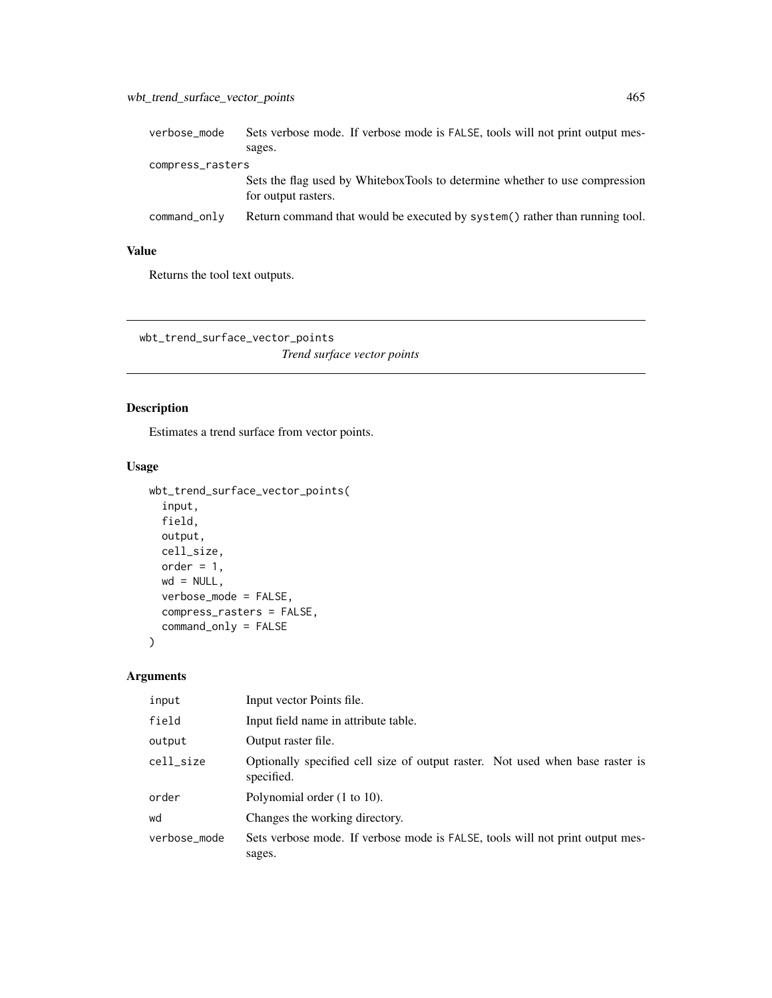| verbose_mode     | Sets verbose mode. If verbose mode is FALSE, tools will not print output mes-                      |
|------------------|----------------------------------------------------------------------------------------------------|
|                  | sages.                                                                                             |
| compress_rasters |                                                                                                    |
|                  | Sets the flag used by WhiteboxTools to determine whether to use compression<br>for output rasters. |
| command_only     | Return command that would be executed by system() rather than running tool.                        |

Returns the tool text outputs.

wbt\_trend\_surface\_vector\_points *Trend surface vector points*

# Description

Estimates a trend surface from vector points.

#### Usage

```
wbt_trend_surface_vector_points(
  input,
 field,
 output,
 cell_size,
 order = 1,
 wd = NULL,verbose_mode = FALSE,
 compress_rasters = FALSE,
 command_only = FALSE
\mathcal{L}
```

| input        | Input vector Points file.                                                                   |
|--------------|---------------------------------------------------------------------------------------------|
| field        | Input field name in attribute table.                                                        |
| output       | Output raster file.                                                                         |
| cell_size    | Optionally specified cell size of output raster. Not used when base raster is<br>specified. |
| order        | Polynomial order (1 to 10).                                                                 |
| wd           | Changes the working directory.                                                              |
| verbose_mode | Sets verbose mode. If verbose mode is FALSE, tools will not print output mes-<br>sages.     |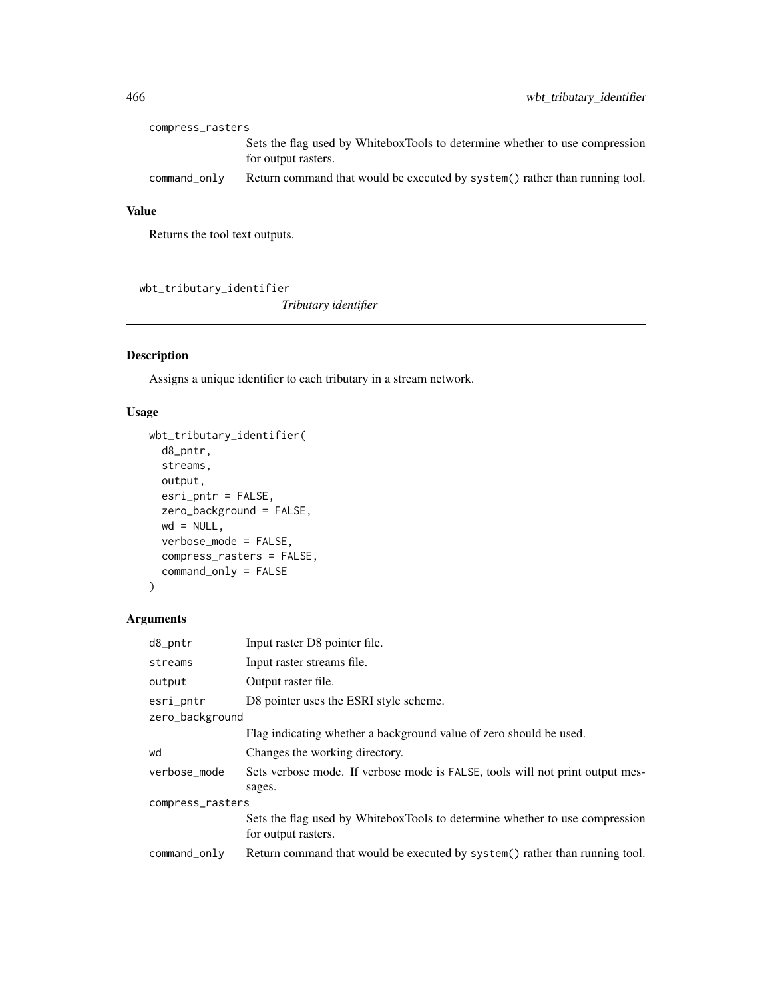| compress_rasters |                                                                                                    |  |
|------------------|----------------------------------------------------------------------------------------------------|--|
|                  | Sets the flag used by WhiteboxTools to determine whether to use compression<br>for output rasters. |  |
| command_only     | Return command that would be executed by system() rather than running tool.                        |  |

Returns the tool text outputs.

wbt\_tributary\_identifier

*Tributary identifier*

# Description

Assigns a unique identifier to each tributary in a stream network.

# Usage

```
wbt_tributary_identifier(
 d8_pntr,
 streams,
 output,
 esri_pntr = FALSE,
 zero_background = FALSE,
 wd = NULL,verbose_mode = FALSE,
 compress_rasters = FALSE,
 command_only = FALSE
)
```

| d8_pntr          | Input raster D8 pointer file.                                                                      |  |
|------------------|----------------------------------------------------------------------------------------------------|--|
| streams          | Input raster streams file.                                                                         |  |
| output           | Output raster file.                                                                                |  |
| esri_pntr        | D8 pointer uses the ESRI style scheme.                                                             |  |
| zero_background  |                                                                                                    |  |
|                  | Flag indicating whether a background value of zero should be used.                                 |  |
| wd               | Changes the working directory.                                                                     |  |
| verbose mode     | Sets verbose mode. If verbose mode is FALSE, tools will not print output mes-<br>sages.            |  |
| compress_rasters |                                                                                                    |  |
|                  | Sets the flag used by WhiteboxTools to determine whether to use compression<br>for output rasters. |  |
| command_only     | Return command that would be executed by system() rather than running tool.                        |  |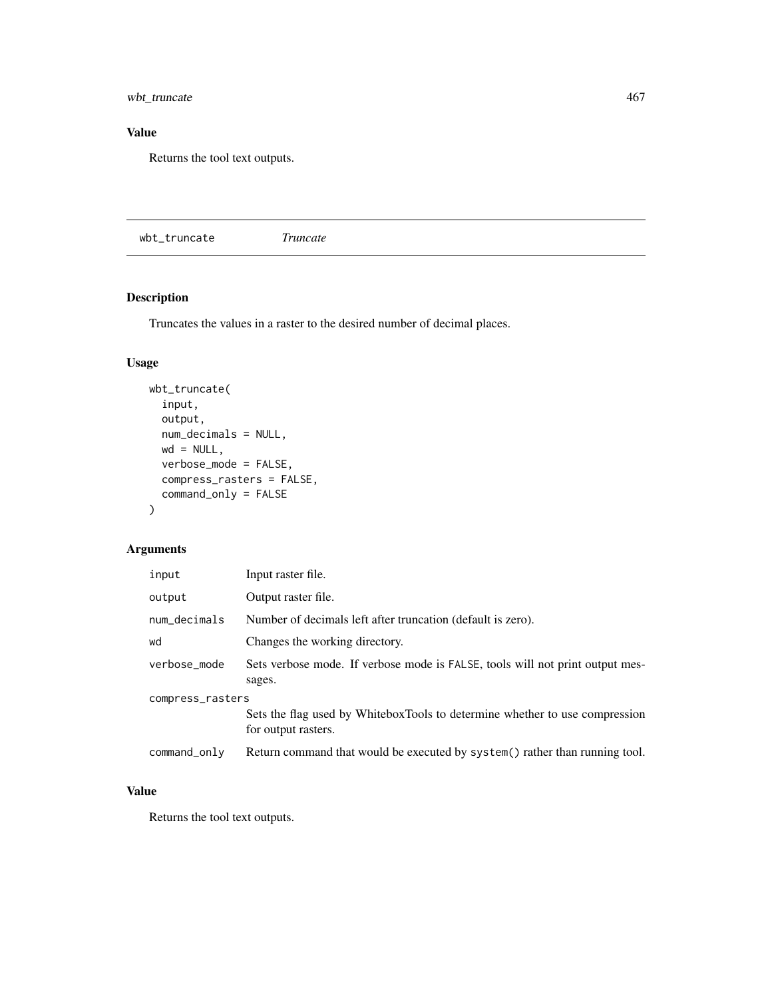wbt\_truncate 467

## Value

Returns the tool text outputs.

wbt\_truncate *Truncate*

# Description

Truncates the values in a raster to the desired number of decimal places.

## Usage

```
wbt_truncate(
  input,
 output,
 num_decimals = NULL,
 wd = NULL,verbose_mode = FALSE,
 compress_rasters = FALSE,
 command_only = FALSE
)
```
# Arguments

| input            | Input raster file.                                                                                 |
|------------------|----------------------------------------------------------------------------------------------------|
| output           | Output raster file.                                                                                |
| num_decimals     | Number of decimals left after truncation (default is zero).                                        |
| wd               | Changes the working directory.                                                                     |
| verbose_mode     | Sets verbose mode. If verbose mode is FALSE, tools will not print output mes-<br>sages.            |
| compress_rasters | Sets the flag used by WhiteboxTools to determine whether to use compression<br>for output rasters. |
| command_only     | Return command that would be executed by system() rather than running tool.                        |

## Value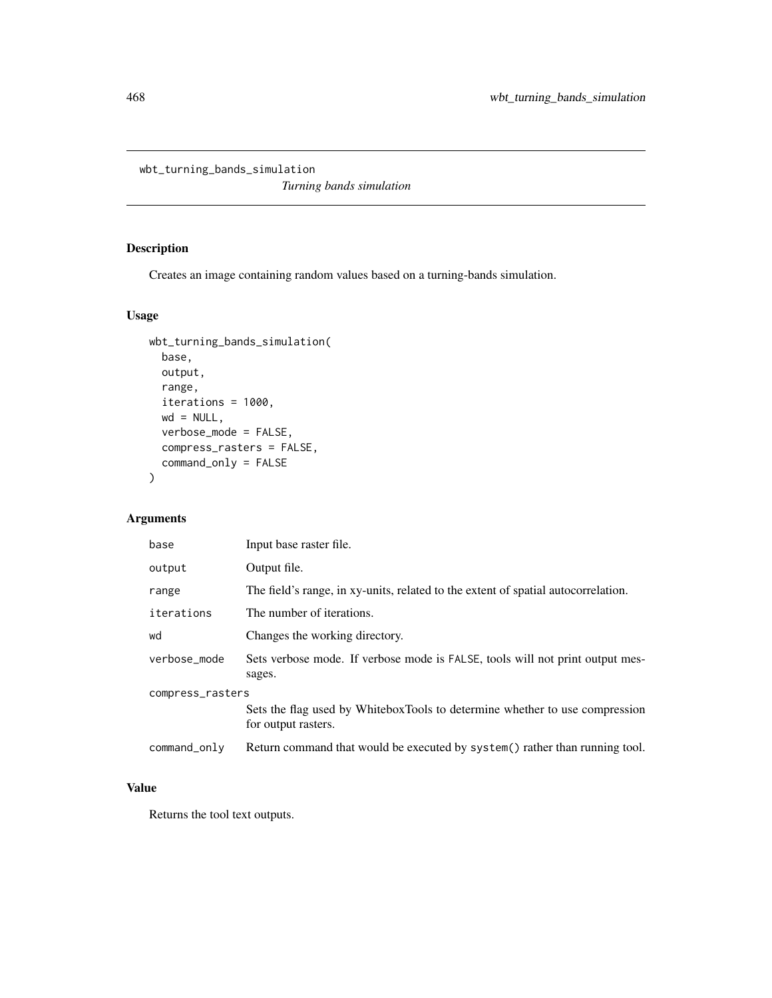wbt\_turning\_bands\_simulation

*Turning bands simulation*

# Description

Creates an image containing random values based on a turning-bands simulation.

#### Usage

```
wbt_turning_bands_simulation(
 base,
 output,
 range,
  iterations = 1000,
 wd = NULL,verbose_mode = FALSE,
 compress_rasters = FALSE,
  command_only = FALSE
)
```
## Arguments

| base             | Input base raster file.                                                                            |
|------------------|----------------------------------------------------------------------------------------------------|
| output           | Output file.                                                                                       |
| range            | The field's range, in xy-units, related to the extent of spatial autocorrelation.                  |
| iterations       | The number of iterations.                                                                          |
| wd               | Changes the working directory.                                                                     |
| verbose_mode     | Sets verbose mode. If verbose mode is FALSE, tools will not print output mes-<br>sages.            |
| compress_rasters |                                                                                                    |
|                  | Sets the flag used by WhiteboxTools to determine whether to use compression<br>for output rasters. |
| command_only     | Return command that would be executed by system() rather than running tool.                        |

#### Value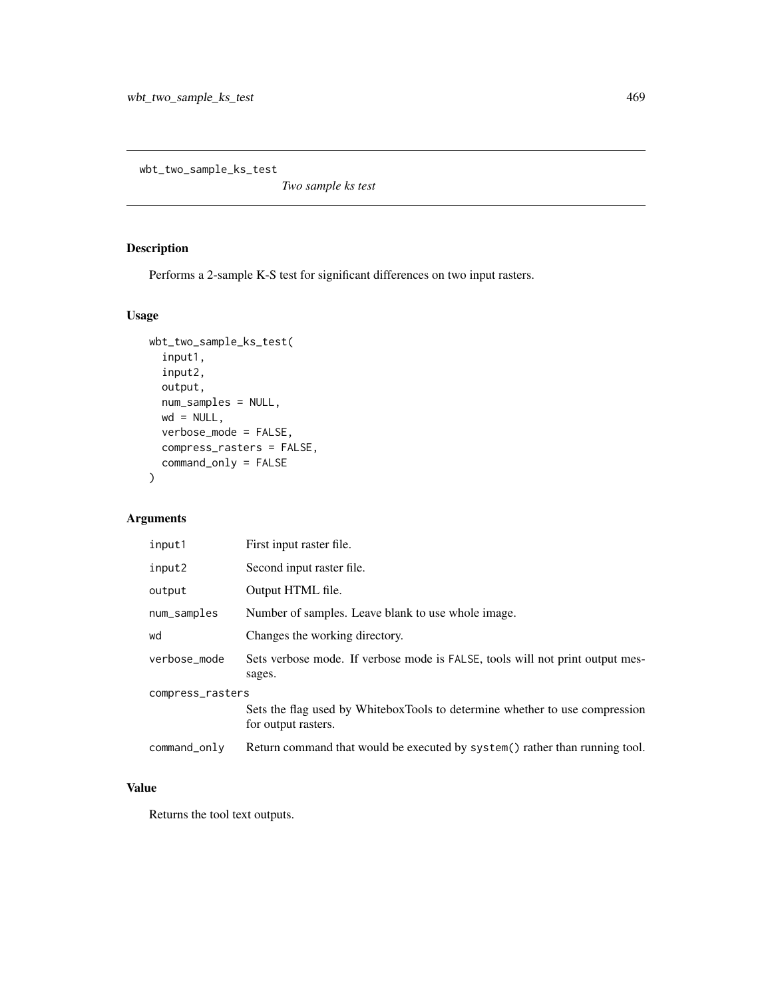<span id="page-468-0"></span>wbt\_two\_sample\_ks\_test

*Two sample ks test*

# Description

Performs a 2-sample K-S test for significant differences on two input rasters.

#### Usage

```
wbt_two_sample_ks_test(
  input1,
  input2,
 output,
 num_samples = NULL,
 wd = NULL,verbose_mode = FALSE,
  compress_rasters = FALSE,
 command_only = FALSE
)
```
# Arguments

| input1           | First input raster file.                                                                           |  |
|------------------|----------------------------------------------------------------------------------------------------|--|
| input2           | Second input raster file.                                                                          |  |
| output           | Output HTML file.                                                                                  |  |
| num_samples      | Number of samples. Leave blank to use whole image.                                                 |  |
| wd               | Changes the working directory.                                                                     |  |
| verbose_mode     | Sets verbose mode. If verbose mode is FALSE, tools will not print output mes-<br>sages.            |  |
| compress_rasters |                                                                                                    |  |
|                  | Sets the flag used by WhiteboxTools to determine whether to use compression<br>for output rasters. |  |
| command_only     | Return command that would be executed by system() rather than running tool.                        |  |

#### Value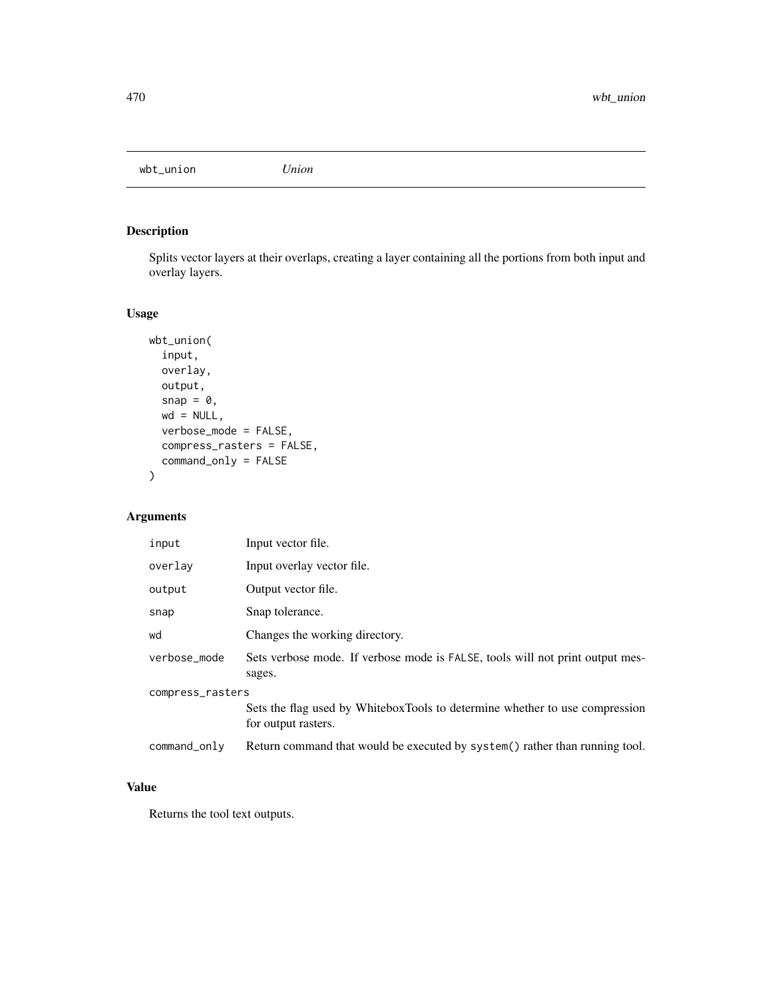<span id="page-469-0"></span>wbt\_union *Union*

# Description

Splits vector layers at their overlaps, creating a layer containing all the portions from both input and overlay layers.

# Usage

```
wbt_union(
  input,
 overlay,
 output,
  snap = \theta,
 wd = NULL,verbose_mode = FALSE,
  compress_rasters = FALSE,
  command_only = FALSE
)
```
# Arguments

| input            | Input vector file.                                                                                 |  |
|------------------|----------------------------------------------------------------------------------------------------|--|
| overlay          | Input overlay vector file.                                                                         |  |
| output           | Output vector file.                                                                                |  |
| snap             | Snap tolerance.                                                                                    |  |
| wd               | Changes the working directory.                                                                     |  |
| verbose_mode     | Sets verbose mode. If verbose mode is FALSE, tools will not print output mes-<br>sages.            |  |
| compress_rasters |                                                                                                    |  |
|                  | Sets the flag used by WhiteboxTools to determine whether to use compression<br>for output rasters. |  |
| command_only     | Return command that would be executed by system () rather than running tool.                       |  |

#### Value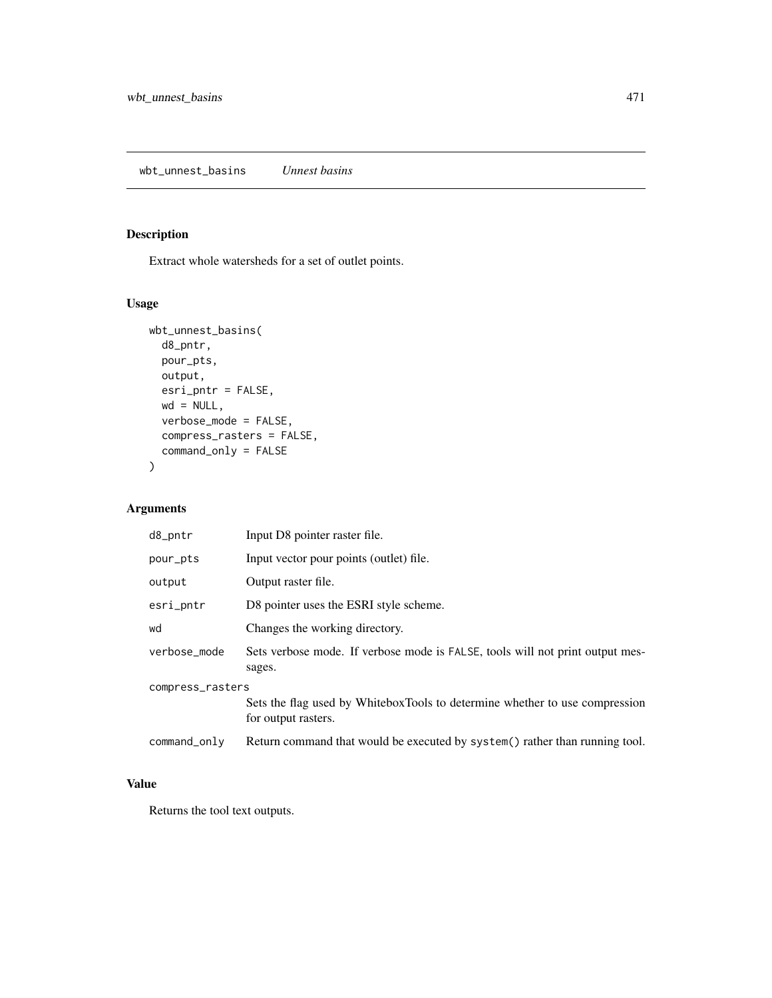<span id="page-470-0"></span>Extract whole watersheds for a set of outlet points.

# Usage

```
wbt_unnest_basins(
 d8_pntr,
 pour_pts,
 output,
 esri_pntr = FALSE,
 wd = NULL,verbose_mode = FALSE,
 compress_rasters = FALSE,
  command_only = FALSE
)
```
# Arguments

| d8_pntr          | Input D8 pointer raster file.                                                                      |  |
|------------------|----------------------------------------------------------------------------------------------------|--|
| pour_pts         | Input vector pour points (outlet) file.                                                            |  |
| output           | Output raster file.                                                                                |  |
| esri_pntr        | D8 pointer uses the ESRI style scheme.                                                             |  |
| wd               | Changes the working directory.                                                                     |  |
| verbose_mode     | Sets verbose mode. If verbose mode is FALSE, tools will not print output mes-<br>sages.            |  |
| compress_rasters |                                                                                                    |  |
|                  | Sets the flag used by WhiteboxTools to determine whether to use compression<br>for output rasters. |  |
| command_only     | Return command that would be executed by system() rather than running tool.                        |  |

# Value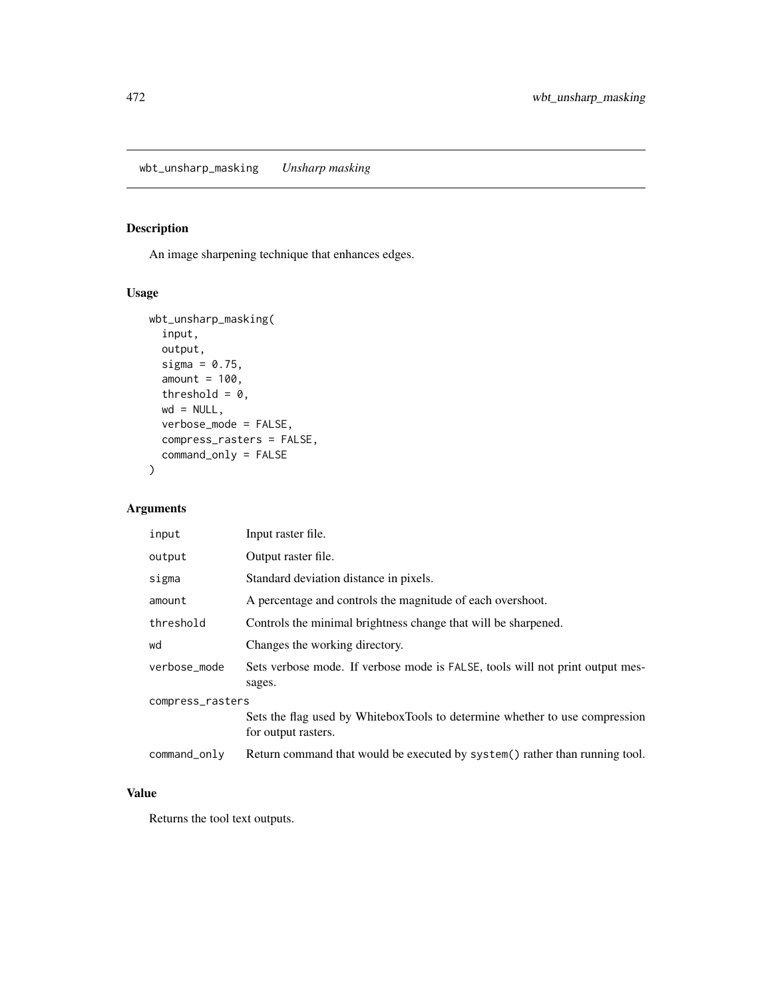<span id="page-471-0"></span>An image sharpening technique that enhances edges.

# Usage

```
wbt_unsharp_masking(
  input,
  output,
  sigma = 0.75,
  amount = 100,threshold = 0,wd = NULL,verbose_mode = FALSE,
  compress_rasters = FALSE,
  command_only = FALSE
\mathcal{L}
```
# Arguments

| input            | Input raster file.                                                                                 |  |
|------------------|----------------------------------------------------------------------------------------------------|--|
| output           | Output raster file.                                                                                |  |
| sigma            | Standard deviation distance in pixels.                                                             |  |
| amount           | A percentage and controls the magnitude of each overshoot.                                         |  |
| threshold        | Controls the minimal brightness change that will be sharpened.                                     |  |
| wd               | Changes the working directory.                                                                     |  |
| verbose_mode     | Sets verbose mode. If verbose mode is FALSE, tools will not print output mes-<br>sages.            |  |
| compress_rasters |                                                                                                    |  |
|                  | Sets the flag used by WhiteboxTools to determine whether to use compression<br>for output rasters. |  |
| command_only     | Return command that would be executed by system() rather than running tool.                        |  |

# Value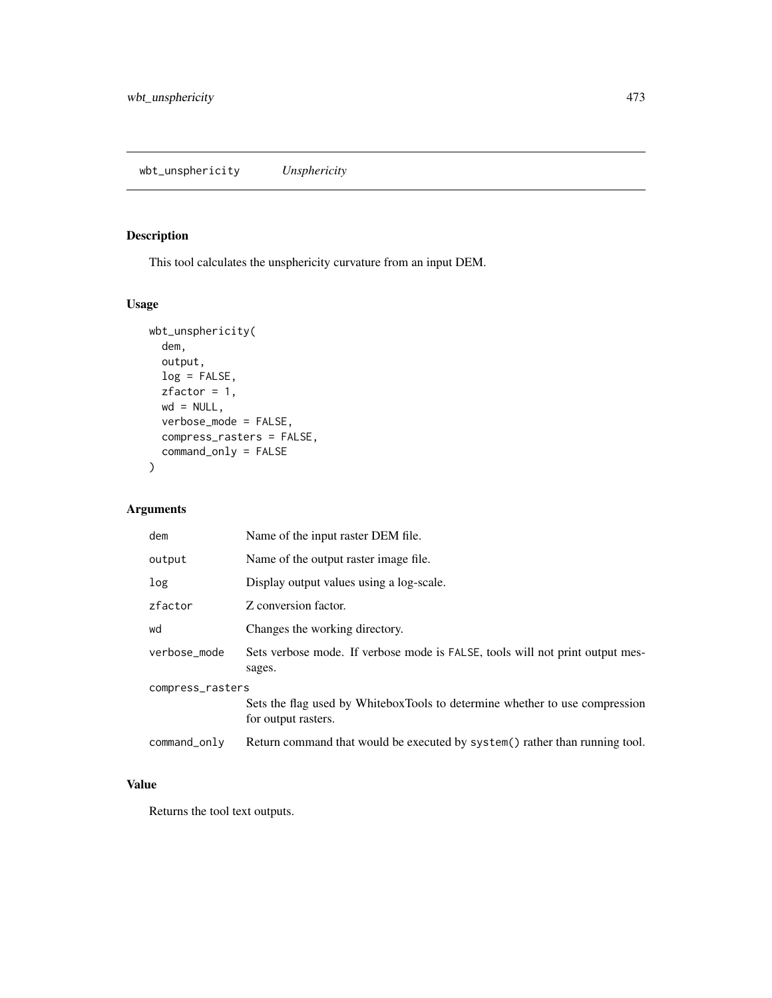<span id="page-472-0"></span>This tool calculates the unsphericity curvature from an input DEM.

# Usage

```
wbt_unsphericity(
 dem,
 output,
 log = FALSE,
 zfactor = 1,
 wd = NULL,verbose_mode = FALSE,
 compress_rasters = FALSE,
 command_only = FALSE
)
```
# Arguments

| dem              | Name of the input raster DEM file.                                                                 |  |
|------------------|----------------------------------------------------------------------------------------------------|--|
| output           | Name of the output raster image file.                                                              |  |
| log              | Display output values using a log-scale.                                                           |  |
| zfactor          | Z conversion factor.                                                                               |  |
| wd               | Changes the working directory.                                                                     |  |
| verbose_mode     | Sets verbose mode. If verbose mode is FALSE, tools will not print output mes-<br>sages.            |  |
| compress_rasters |                                                                                                    |  |
|                  | Sets the flag used by WhiteboxTools to determine whether to use compression<br>for output rasters. |  |
| command_only     | Return command that would be executed by system() rather than running tool.                        |  |

# Value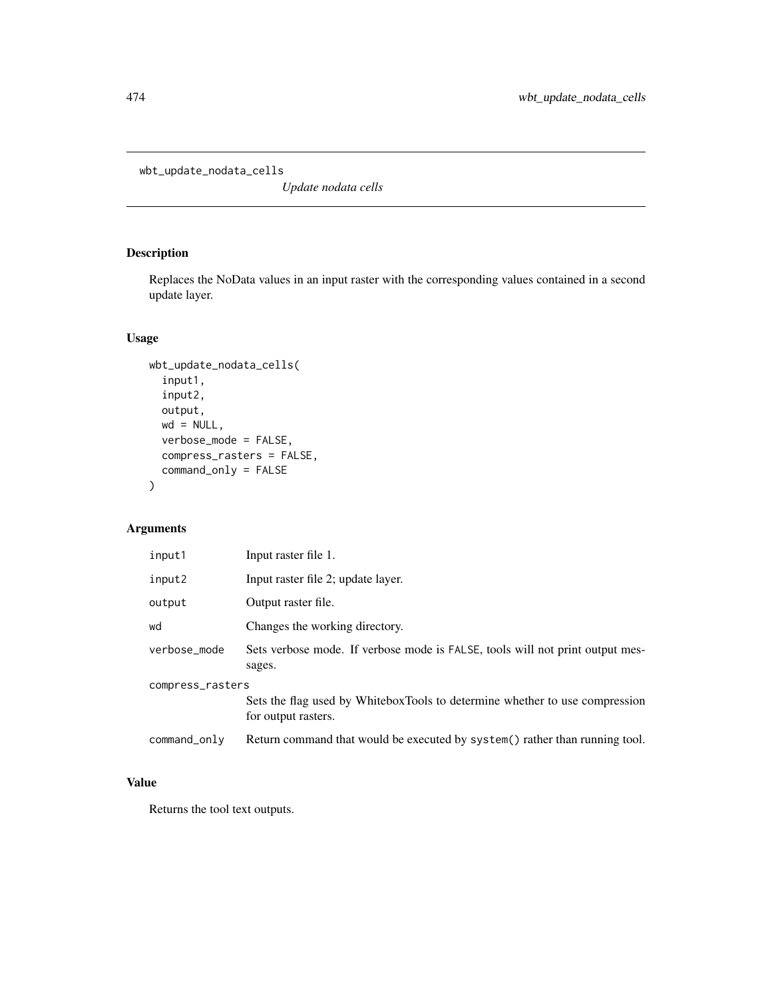<span id="page-473-0"></span>wbt\_update\_nodata\_cells

*Update nodata cells*

# Description

Replaces the NoData values in an input raster with the corresponding values contained in a second update layer.

# Usage

```
wbt_update_nodata_cells(
  input1,
  input2,
 output,
 wd = NULL,verbose_mode = FALSE,
 compress_rasters = FALSE,
  command_only = FALSE
\mathcal{E}
```
# Arguments

| input1           | Input raster file 1.                                                                               |  |
|------------------|----------------------------------------------------------------------------------------------------|--|
| input2           | Input raster file 2; update layer.                                                                 |  |
| output           | Output raster file.                                                                                |  |
| wd               | Changes the working directory.                                                                     |  |
| verbose_mode     | Sets verbose mode. If verbose mode is FALSE, tools will not print output mes-<br>sages.            |  |
| compress_rasters |                                                                                                    |  |
|                  | Sets the flag used by WhiteboxTools to determine whether to use compression<br>for output rasters. |  |
| command_only     | Return command that would be executed by system() rather than running tool.                        |  |

#### Value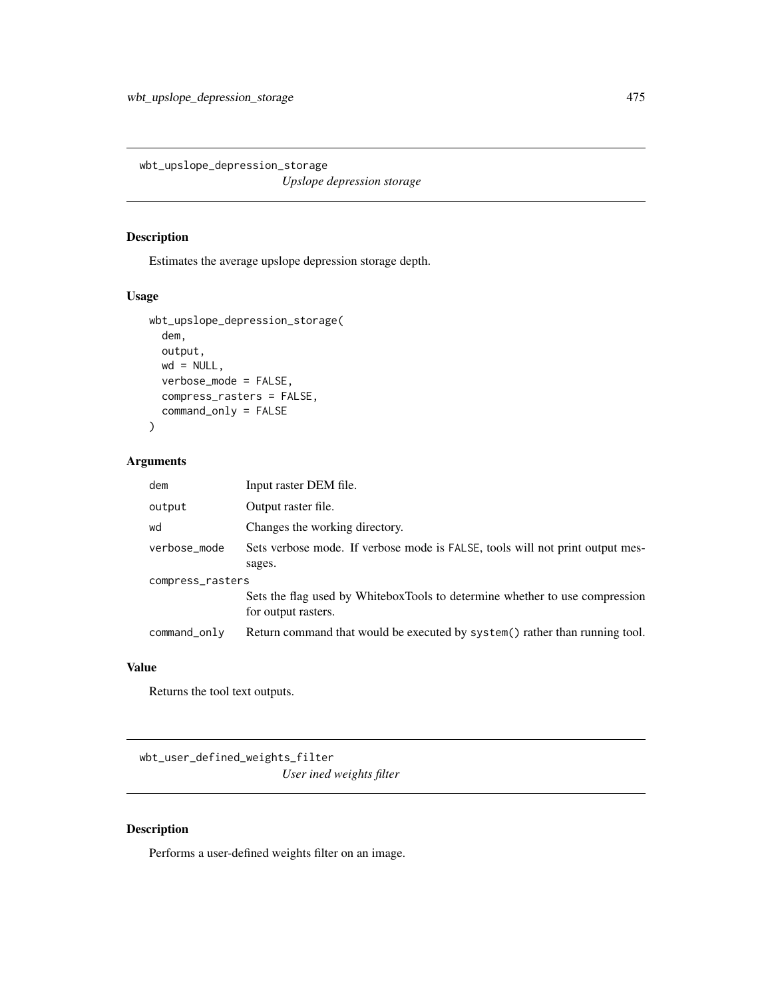<span id="page-474-0"></span>wbt\_upslope\_depression\_storage *Upslope depression storage*

#### Description

Estimates the average upslope depression storage depth.

#### Usage

```
wbt_upslope_depression_storage(
 dem,
 output,
 wd = NULL,verbose_mode = FALSE,
 compress_rasters = FALSE,
  command_only = FALSE
)
```
# Arguments

| dem              | Input raster DEM file.                                                                             |  |
|------------------|----------------------------------------------------------------------------------------------------|--|
| output           | Output raster file.                                                                                |  |
| wd               | Changes the working directory.                                                                     |  |
| verbose_mode     | Sets verbose mode. If verbose mode is FALSE, tools will not print output mes-                      |  |
|                  | sages.                                                                                             |  |
| compress_rasters |                                                                                                    |  |
|                  | Sets the flag used by WhiteboxTools to determine whether to use compression<br>for output rasters. |  |
| command_only     | Return command that would be executed by system() rather than running tool.                        |  |

#### Value

Returns the tool text outputs.

wbt\_user\_defined\_weights\_filter *User ined weights filter*

# Description

Performs a user-defined weights filter on an image.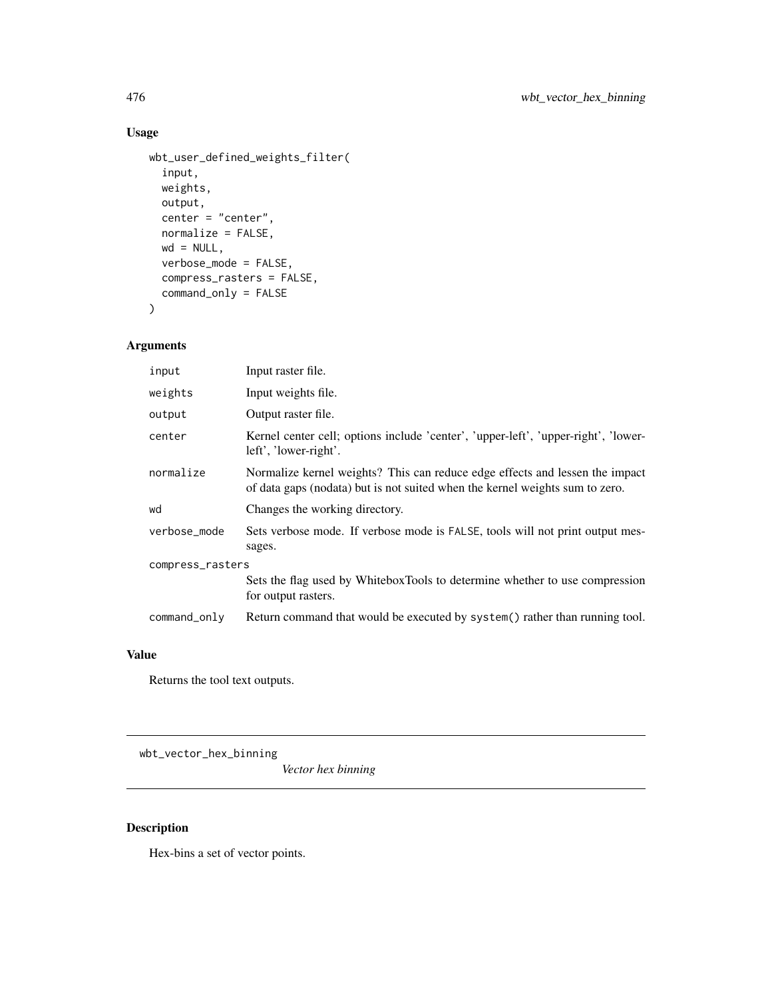# <span id="page-475-0"></span>Usage

```
wbt_user_defined_weights_filter(
  input,
 weights,
 output,
 center = "center",
 normalize = FALSE,
 wd = NULL,verbose_mode = FALSE,
 compress_rasters = FALSE,
  command_only = FALSE
\mathcal{L}
```
# Arguments

| input            | Input raster file.                                                                                                                                           |  |
|------------------|--------------------------------------------------------------------------------------------------------------------------------------------------------------|--|
| weights          | Input weights file.                                                                                                                                          |  |
| output           | Output raster file.                                                                                                                                          |  |
| center           | Kernel center cell; options include 'center', 'upper-left', 'upper-right', 'lower-<br>left', 'lower-right'.                                                  |  |
| normalize        | Normalize kernel weights? This can reduce edge effects and lessen the impact<br>of data gaps (nodata) but is not suited when the kernel weights sum to zero. |  |
| wd               | Changes the working directory.                                                                                                                               |  |
| verbose_mode     | Sets verbose mode. If verbose mode is FALSE, tools will not print output mes-<br>sages.                                                                      |  |
| compress_rasters |                                                                                                                                                              |  |
|                  | Sets the flag used by WhiteboxTools to determine whether to use compression<br>for output rasters.                                                           |  |
| command_only     | Return command that would be executed by system() rather than running tool.                                                                                  |  |

#### Value

Returns the tool text outputs.

wbt\_vector\_hex\_binning

*Vector hex binning*

# Description

Hex-bins a set of vector points.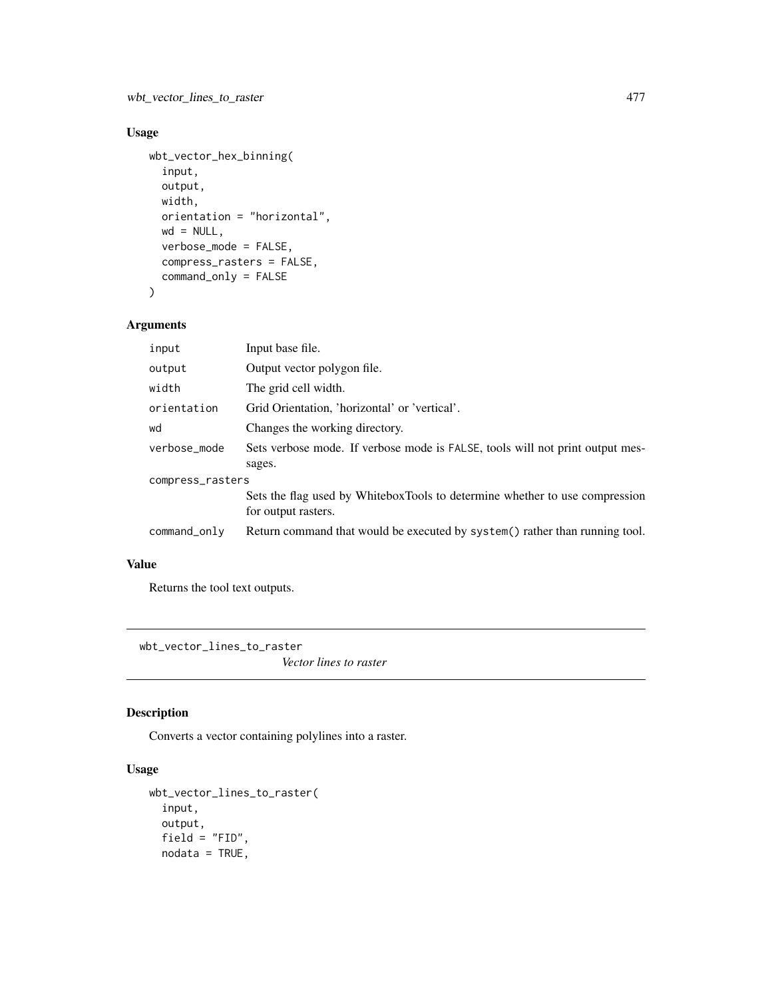# <span id="page-476-0"></span>Usage

```
wbt_vector_hex_binning(
  input,
 output,
 width,
 orientation = "horizontal",
 wd = NULL,verbose_mode = FALSE,
 compress_rasters = FALSE,
 command_only = FALSE
)
```
# Arguments

| input            | Input base file.                                                                                   |  |
|------------------|----------------------------------------------------------------------------------------------------|--|
| output           | Output vector polygon file.                                                                        |  |
| width            | The grid cell width.                                                                               |  |
| orientation      | Grid Orientation, 'horizontal' or 'vertical'.                                                      |  |
| wd               | Changes the working directory.                                                                     |  |
| verbose_mode     | Sets verbose mode. If verbose mode is FALSE, tools will not print output mes-<br>sages.            |  |
| compress_rasters |                                                                                                    |  |
|                  | Sets the flag used by WhiteboxTools to determine whether to use compression<br>for output rasters. |  |
| command_only     | Return command that would be executed by system() rather than running tool.                        |  |
|                  |                                                                                                    |  |

# Value

Returns the tool text outputs.

wbt\_vector\_lines\_to\_raster

*Vector lines to raster*

# Description

Converts a vector containing polylines into a raster.

# Usage

```
wbt_vector_lines_to_raster(
  input,
 output,
 field = "FID",
 nodata = TRUE,
```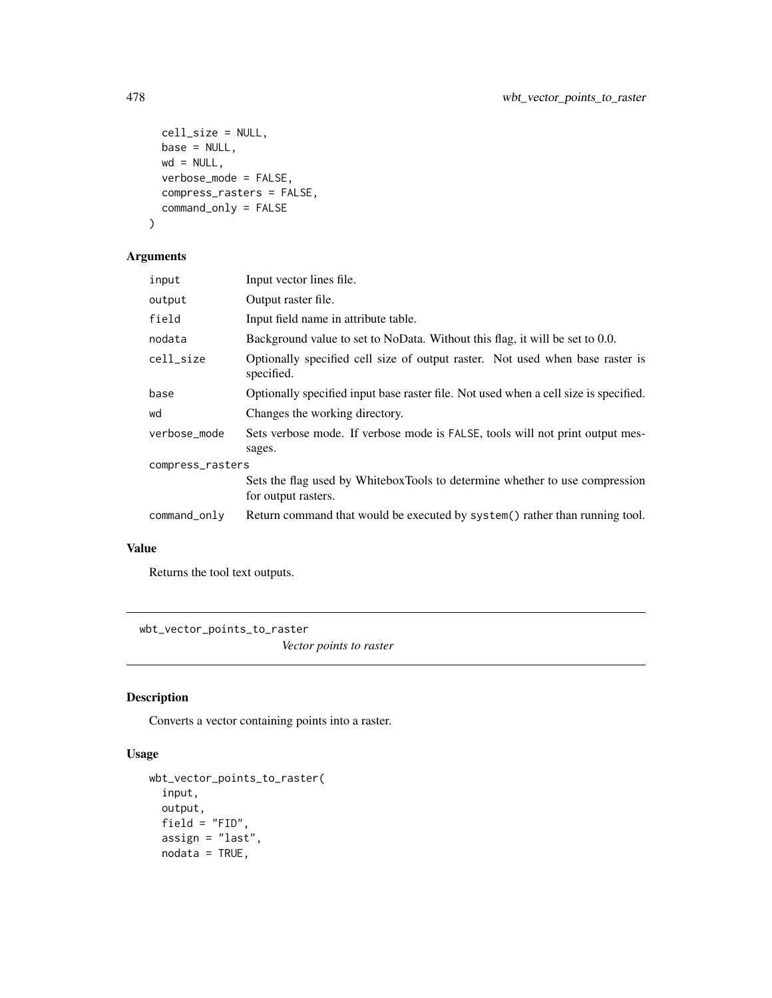```
cell_size = NULL,
 base = NULL,
 wd = NULL,verbose_mode = FALSE,
 compress_rasters = FALSE,
 command_only = FALSE
)
```

```
Arguments
```

| input            | Input vector lines file.                                                                           |  |
|------------------|----------------------------------------------------------------------------------------------------|--|
| output           | Output raster file.                                                                                |  |
| field            | Input field name in attribute table.                                                               |  |
| nodata           | Background value to set to NoData. Without this flag, it will be set to 0.0.                       |  |
| cell_size        | Optionally specified cell size of output raster. Not used when base raster is<br>specified.        |  |
| base             | Optionally specified input base raster file. Not used when a cell size is specified.               |  |
| wd               | Changes the working directory.                                                                     |  |
| verbose mode     | Sets verbose mode. If verbose mode is FALSE, tools will not print output mes-<br>sages.            |  |
| compress_rasters |                                                                                                    |  |
|                  | Sets the flag used by WhiteboxTools to determine whether to use compression<br>for output rasters. |  |
| command_only     | Return command that would be executed by system() rather than running tool.                        |  |

# Value

Returns the tool text outputs.

wbt\_vector\_points\_to\_raster

*Vector points to raster*

# Description

Converts a vector containing points into a raster.

# Usage

```
wbt_vector_points_to_raster(
 input,
 output,
 field = "FID",assign = "last",
 nodata = TRUE,
```
<span id="page-477-0"></span>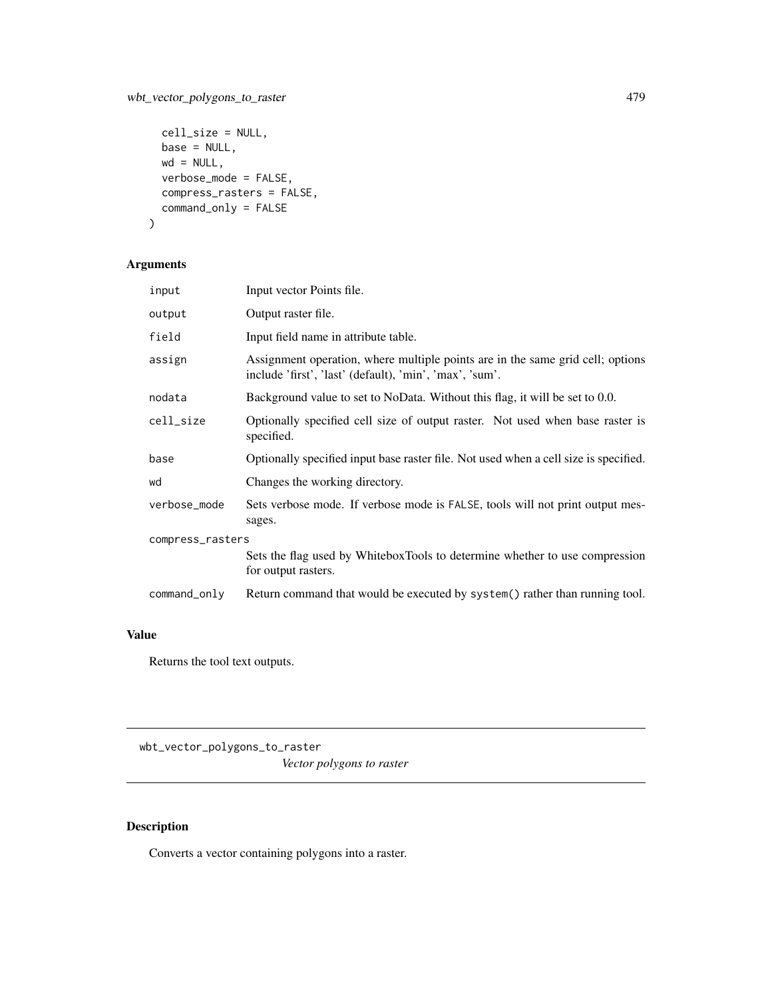# <span id="page-478-0"></span>wbt\_vector\_polygons\_to\_raster 479

```
cell_size = NULL,
base = NULL,
wd = NULL,verbose_mode = FALSE,
compress_rasters = FALSE,
command_only = FALSE
```

```
\mathcal{L}
```
# Arguments

| input            | Input vector Points file.                                                                                                                 |  |
|------------------|-------------------------------------------------------------------------------------------------------------------------------------------|--|
| output           | Output raster file.                                                                                                                       |  |
| field            | Input field name in attribute table.                                                                                                      |  |
| assign           | Assignment operation, where multiple points are in the same grid cell; options<br>include 'first', 'last' (default), 'min', 'max', 'sum'. |  |
| nodata           | Background value to set to NoData. Without this flag, it will be set to 0.0.                                                              |  |
| cell_size        | Optionally specified cell size of output raster. Not used when base raster is<br>specified.                                               |  |
| base             | Optionally specified input base raster file. Not used when a cell size is specified.                                                      |  |
| wd               | Changes the working directory.                                                                                                            |  |
| verbose_mode     | Sets verbose mode. If verbose mode is FALSE, tools will not print output mes-<br>sages.                                                   |  |
| compress_rasters |                                                                                                                                           |  |
|                  | Sets the flag used by WhiteboxTools to determine whether to use compression<br>for output rasters.                                        |  |
| command_only     | Return command that would be executed by system() rather than running tool.                                                               |  |

# Value

Returns the tool text outputs.

wbt\_vector\_polygons\_to\_raster *Vector polygons to raster*

# Description

Converts a vector containing polygons into a raster.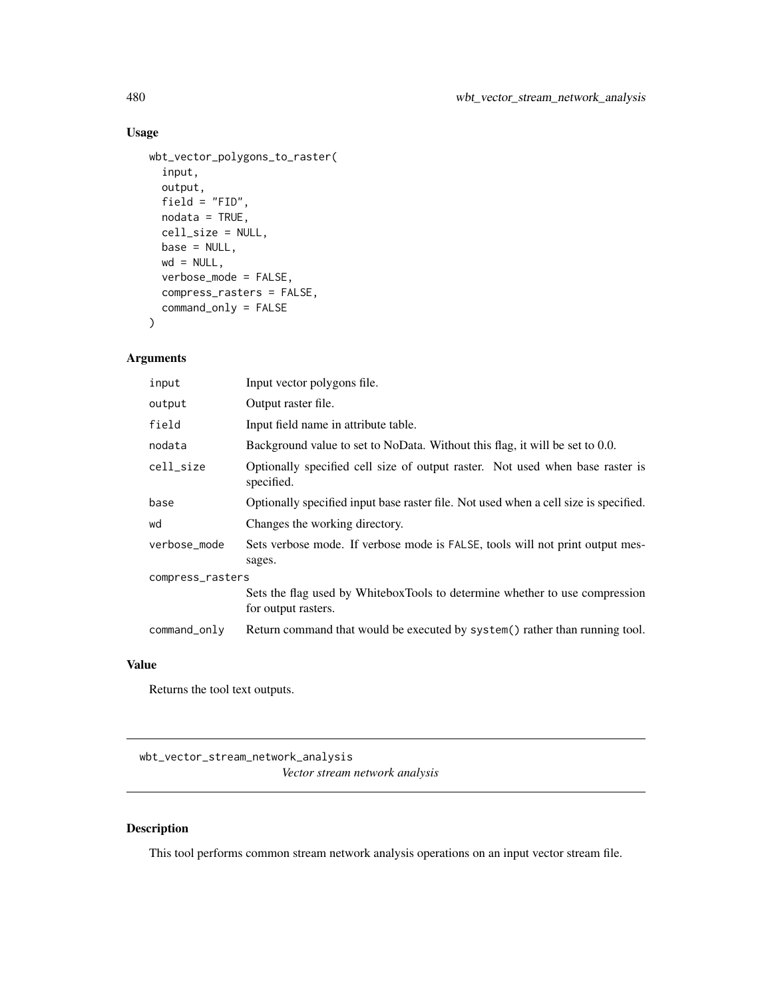# Usage

```
wbt_vector_polygons_to_raster(
  input,
 output,
 field = "FID",
 nodata = TRUE,cell_size = NULL,
 base = NULL,wd = NULL,verbose_mode = FALSE,
 compress_rasters = FALSE,
 command_only = FALSE
)
```
# Arguments

| input            | Input vector polygons file.                                                                        |  |
|------------------|----------------------------------------------------------------------------------------------------|--|
| output           | Output raster file.                                                                                |  |
| field            | Input field name in attribute table.                                                               |  |
| nodata           | Background value to set to NoData. Without this flag, it will be set to 0.0.                       |  |
| cell_size        | Optionally specified cell size of output raster. Not used when base raster is<br>specified.        |  |
| base             | Optionally specified input base raster file. Not used when a cell size is specified.               |  |
| wd               | Changes the working directory.                                                                     |  |
| verbose_mode     | Sets verbose mode. If verbose mode is FALSE, tools will not print output mes-<br>sages.            |  |
| compress_rasters |                                                                                                    |  |
|                  | Sets the flag used by WhiteboxTools to determine whether to use compression<br>for output rasters. |  |
| command_only     | Return command that would be executed by system() rather than running tool.                        |  |

# Value

Returns the tool text outputs.

wbt\_vector\_stream\_network\_analysis *Vector stream network analysis*

# Description

This tool performs common stream network analysis operations on an input vector stream file.

<span id="page-479-0"></span>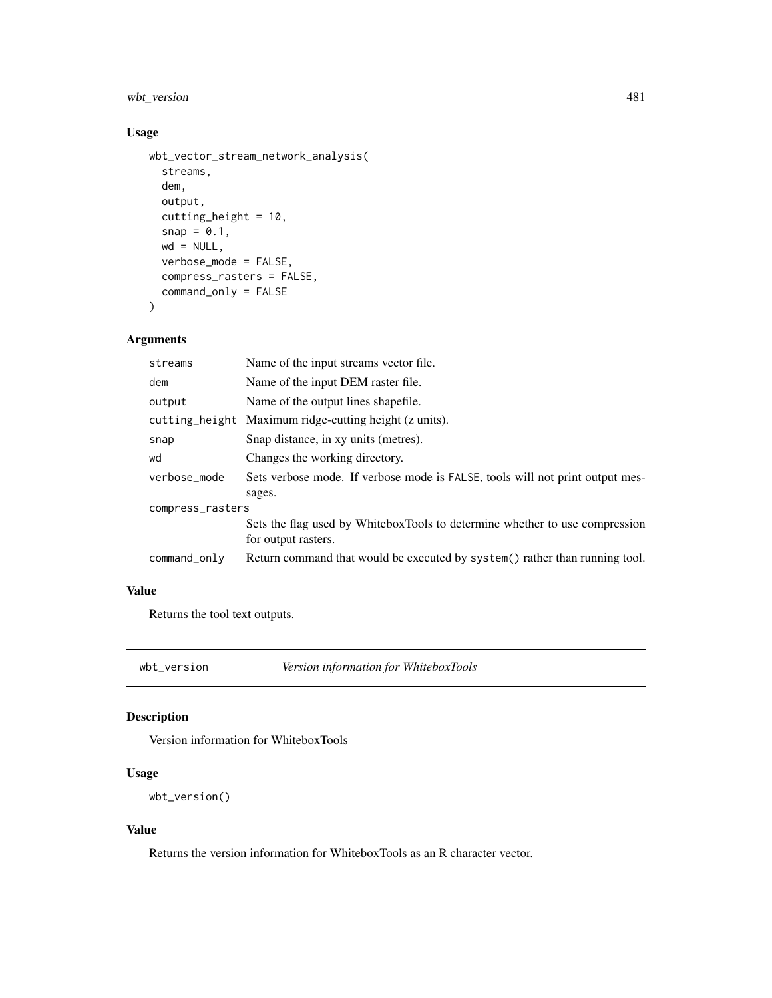# <span id="page-480-0"></span>wbt\_version 481

# Usage

```
wbt_vector_stream_network_analysis(
  streams,
  dem,
 output,
  cutting_height = 10,
  snap = 0.1,wd = NULL,verbose_mode = FALSE,
  compress_rasters = FALSE,
  command_only = FALSE
)
```
#### Arguments

| streams          | Name of the input streams vector file.                                                             |  |
|------------------|----------------------------------------------------------------------------------------------------|--|
| dem              | Name of the input DEM raster file.                                                                 |  |
| output           | Name of the output lines shapefile.                                                                |  |
| cutting_height   | Maximum ridge-cutting height (z units).                                                            |  |
| snap             | Snap distance, in xy units (metres).                                                               |  |
| wd               | Changes the working directory.                                                                     |  |
| verbose_mode     | Sets verbose mode. If verbose mode is FALSE, tools will not print output mes-<br>sages.            |  |
| compress_rasters |                                                                                                    |  |
|                  | Sets the flag used by WhiteboxTools to determine whether to use compression<br>for output rasters. |  |
| command_only     | Return command that would be executed by system() rather than running tool.                        |  |

# Value

Returns the tool text outputs.

wbt\_version *Version information for WhiteboxTools*

# Description

Version information for WhiteboxTools

# Usage

```
wbt_version()
```
#### Value

Returns the version information for WhiteboxTools as an R character vector.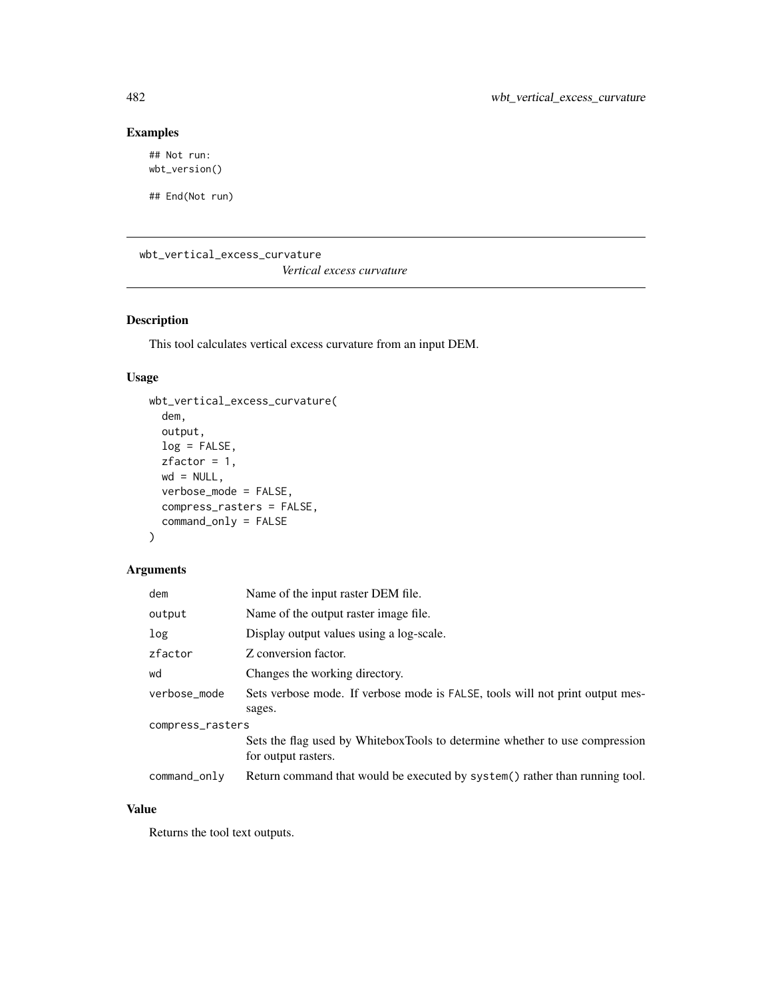# Examples

## Not run: wbt\_version()

## End(Not run)

wbt\_vertical\_excess\_curvature

*Vertical excess curvature*

# Description

This tool calculates vertical excess curvature from an input DEM.

# Usage

```
wbt_vertical_excess_curvature(
  dem,
 output,
 log = FALSE,
 zfactor = 1,
 wd = NULL,verbose_mode = FALSE,
 compress_rasters = FALSE,
  command_only = FALSE
\mathcal{L}
```
# Arguments

| dem              | Name of the input raster DEM file.                                                                 |  |
|------------------|----------------------------------------------------------------------------------------------------|--|
| output           | Name of the output raster image file.                                                              |  |
| log              | Display output values using a log-scale.                                                           |  |
| zfactor          | Z conversion factor.                                                                               |  |
| wd               | Changes the working directory.                                                                     |  |
| verbose_mode     | Sets verbose mode. If verbose mode is FALSE, tools will not print output mes-<br>sages.            |  |
| compress_rasters |                                                                                                    |  |
|                  | Sets the flag used by WhiteboxTools to determine whether to use compression<br>for output rasters. |  |
| command_only     | Return command that would be executed by system() rather than running tool.                        |  |

# Value

<span id="page-481-0"></span>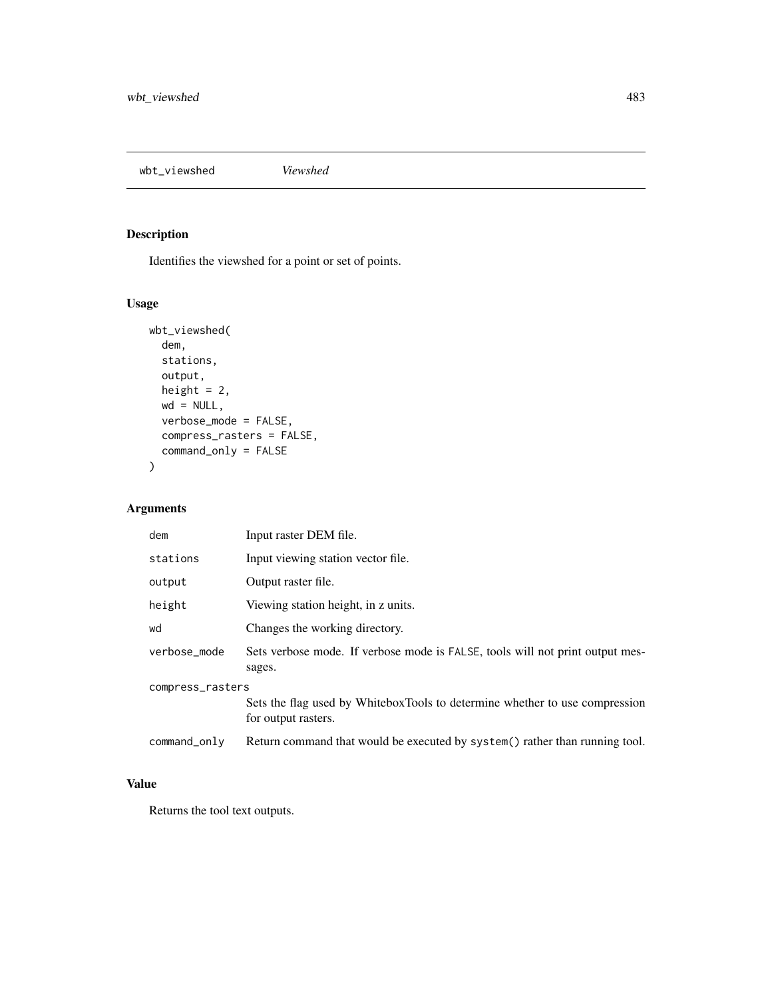wbt\_viewshed *Viewshed*

# Description

Identifies the viewshed for a point or set of points.

# Usage

```
wbt_viewshed(
  dem,
 stations,
 output,
 height = 2,
 wd = NULL,verbose_mode = FALSE,
  compress_rasters = FALSE,
  command_only = FALSE
)
```
# Arguments

| dem              | Input raster DEM file.                                                                             |  |
|------------------|----------------------------------------------------------------------------------------------------|--|
| stations         | Input viewing station vector file.                                                                 |  |
| output           | Output raster file.                                                                                |  |
| height           | Viewing station height, in z units.                                                                |  |
| wd               | Changes the working directory.                                                                     |  |
| verbose_mode     | Sets verbose mode. If verbose mode is FALSE, tools will not print output mes-<br>sages.            |  |
| compress_rasters |                                                                                                    |  |
|                  | Sets the flag used by WhiteboxTools to determine whether to use compression<br>for output rasters. |  |
| command_only     | Return command that would be executed by system() rather than running tool.                        |  |

# Value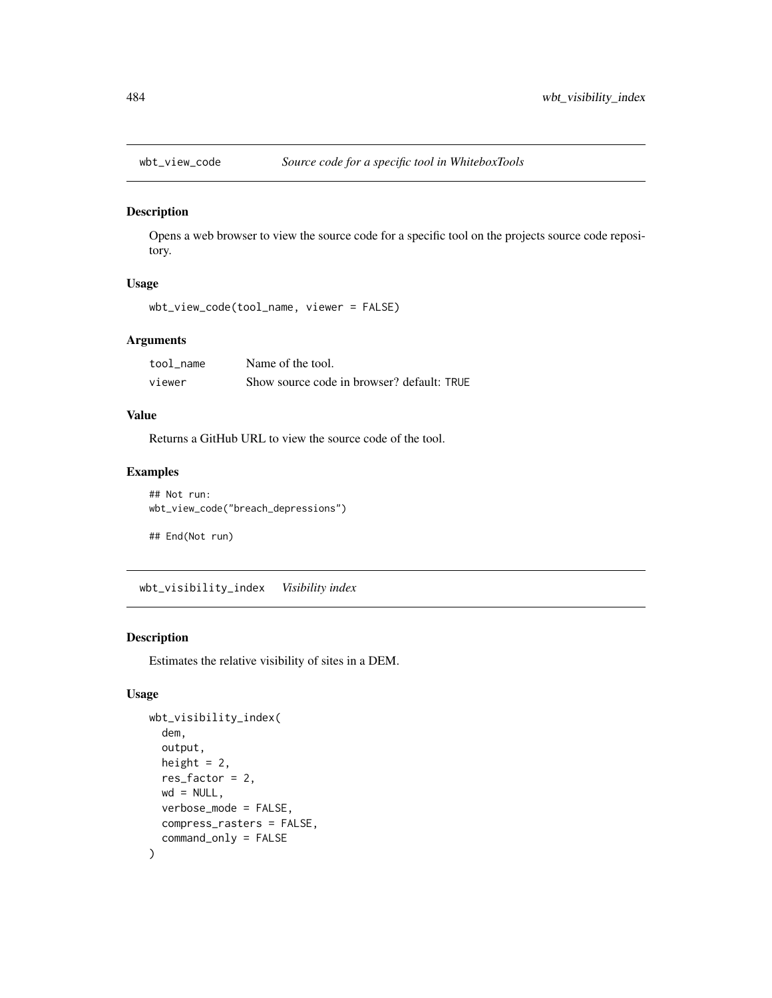<span id="page-483-0"></span>

Opens a web browser to view the source code for a specific tool on the projects source code repository.

# Usage

```
wbt_view_code(tool_name, viewer = FALSE)
```
### Arguments

| tool name | Name of the tool.                          |
|-----------|--------------------------------------------|
| viewer    | Show source code in browser? default: TRUE |

#### Value

Returns a GitHub URL to view the source code of the tool.

### Examples

```
## Not run:
wbt_view_code("breach_depressions")
```
## End(Not run)

wbt\_visibility\_index *Visibility index*

# Description

Estimates the relative visibility of sites in a DEM.

# Usage

```
wbt_visibility_index(
  dem,
  output,
 height = 2,
  res_factor = 2,
 wd = NULL,verbose_mode = FALSE,
  compress_rasters = FALSE,
  command_only = FALSE
)
```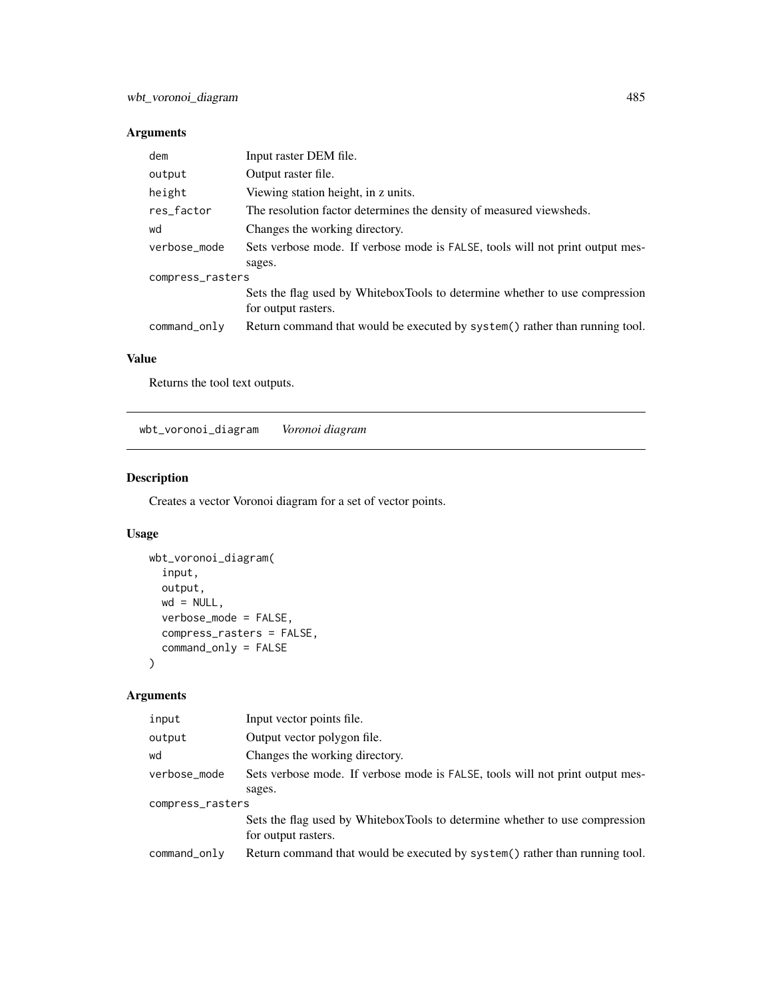# Arguments

| dem              | Input raster DEM file.                                                        |  |
|------------------|-------------------------------------------------------------------------------|--|
| output           | Output raster file.                                                           |  |
| height           | Viewing station height, in z units.                                           |  |
| res_factor       | The resolution factor determines the density of measured viewsheds.           |  |
| wd               | Changes the working directory.                                                |  |
| verbose_mode     | Sets verbose mode. If verbose mode is FALSE, tools will not print output mes- |  |
|                  | sages.                                                                        |  |
| compress_rasters |                                                                               |  |
|                  | Sets the flag used by WhiteboxTools to determine whether to use compression   |  |
|                  | for output rasters.                                                           |  |
| command_only     | Return command that would be executed by system() rather than running tool.   |  |

# Value

Returns the tool text outputs.

wbt\_voronoi\_diagram *Voronoi diagram*

# Description

Creates a vector Voronoi diagram for a set of vector points.

# Usage

```
wbt_voronoi_diagram(
 input,
 output,
 wd = NULL,verbose_mode = FALSE,
 compress_rasters = FALSE,
 command_only = FALSE
)
```
# Arguments

| input            | Input vector points file.                                                                          |  |
|------------------|----------------------------------------------------------------------------------------------------|--|
| output           | Output vector polygon file.                                                                        |  |
| wd               | Changes the working directory.                                                                     |  |
| verbose_mode     | Sets verbose mode. If verbose mode is FALSE, tools will not print output mes-                      |  |
|                  | sages.                                                                                             |  |
| compress_rasters |                                                                                                    |  |
|                  | Sets the flag used by WhiteboxTools to determine whether to use compression<br>for output rasters. |  |
| command_only     | Return command that would be executed by system() rather than running tool.                        |  |
|                  |                                                                                                    |  |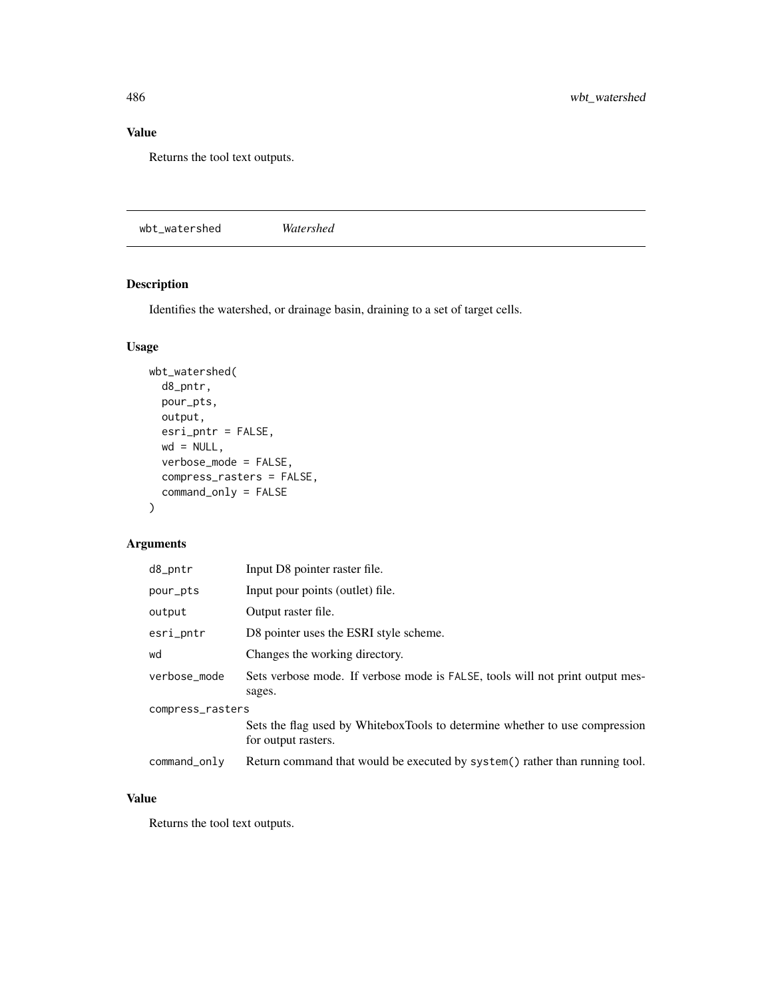# Value

Returns the tool text outputs.

wbt\_watershed *Watershed*

# Description

Identifies the watershed, or drainage basin, draining to a set of target cells.

# Usage

```
wbt_watershed(
 d8_pntr,
 pour_pts,
 output,
 esri_pntr = FALSE,
 wd = NULL,verbose_mode = FALSE,
 compress_rasters = FALSE,
 command_only = FALSE
)
```
# Arguments

| d8_pntr          | Input D8 pointer raster file.                                                                      |  |
|------------------|----------------------------------------------------------------------------------------------------|--|
| pour_pts         | Input pour points (outlet) file.                                                                   |  |
| output           | Output raster file.                                                                                |  |
| esri_pntr        | D8 pointer uses the ESRI style scheme.                                                             |  |
| wd               | Changes the working directory.                                                                     |  |
| verbose_mode     | Sets verbose mode. If verbose mode is FALSE, tools will not print output mes-<br>sages.            |  |
| compress_rasters |                                                                                                    |  |
|                  | Sets the flag used by WhiteboxTools to determine whether to use compression<br>for output rasters. |  |
| command_only     | Return command that would be executed by system() rather than running tool.                        |  |

#### Value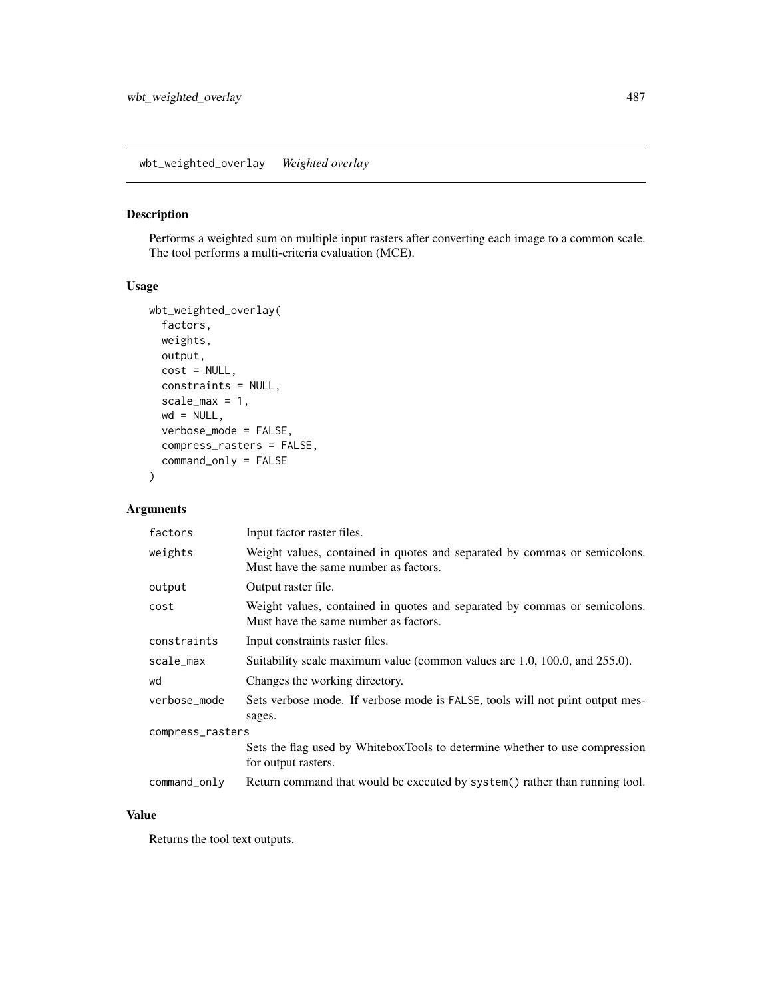wbt\_weighted\_overlay *Weighted overlay*

# Description

Performs a weighted sum on multiple input rasters after converting each image to a common scale. The tool performs a multi-criteria evaluation (MCE).

# Usage

```
wbt_weighted_overlay(
  factors,
 weights,
 output,
 cost = NULL,constraints = NULL,
 scale_max = 1,
 wd = NULL,verbose_mode = FALSE,
 compress_rasters = FALSE,
 command_only = FALSE
)
```
# Arguments

| factors          | Input factor raster files.                                                                                         |  |
|------------------|--------------------------------------------------------------------------------------------------------------------|--|
| weights          | Weight values, contained in quotes and separated by commas or semicolons.<br>Must have the same number as factors. |  |
| output           | Output raster file.                                                                                                |  |
| cost             | Weight values, contained in quotes and separated by commas or semicolons.<br>Must have the same number as factors. |  |
| constraints      | Input constraints raster files.                                                                                    |  |
| scale_max        | Suitability scale maximum value (common values are 1.0, 100.0, and 255.0).                                         |  |
| wd               | Changes the working directory.                                                                                     |  |
| verbose_mode     | Sets verbose mode. If verbose mode is FALSE, tools will not print output mes-<br>sages.                            |  |
| compress_rasters |                                                                                                                    |  |
|                  | Sets the flag used by WhiteboxTools to determine whether to use compression<br>for output rasters.                 |  |
| command_only     | Return command that would be executed by system() rather than running tool.                                        |  |

#### Value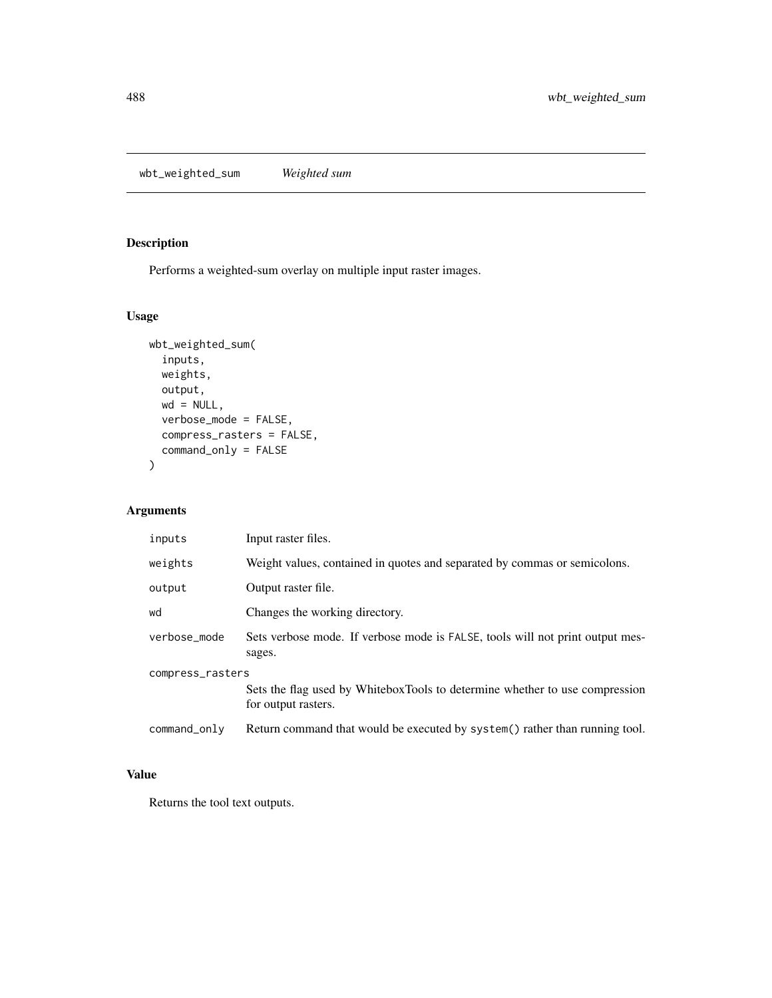wbt\_weighted\_sum *Weighted sum*

# Description

Performs a weighted-sum overlay on multiple input raster images.

# Usage

```
wbt_weighted_sum(
  inputs,
 weights,
 output,
 wd = NULL,verbose_mode = FALSE,
 compress_rasters = FALSE,
  command_only = FALSE
\mathcal{L}
```
# Arguments

| inputs           | Input raster files.                                                                                |  |
|------------------|----------------------------------------------------------------------------------------------------|--|
| weights          | Weight values, contained in quotes and separated by commas or semicolons.                          |  |
| output           | Output raster file.                                                                                |  |
| wd               | Changes the working directory.                                                                     |  |
| verbose_mode     | Sets verbose mode. If verbose mode is FALSE, tools will not print output mes-<br>sages.            |  |
| compress_rasters |                                                                                                    |  |
|                  | Sets the flag used by WhiteboxTools to determine whether to use compression<br>for output rasters. |  |
| command_only     | Return command that would be executed by system() rather than running tool.                        |  |

# Value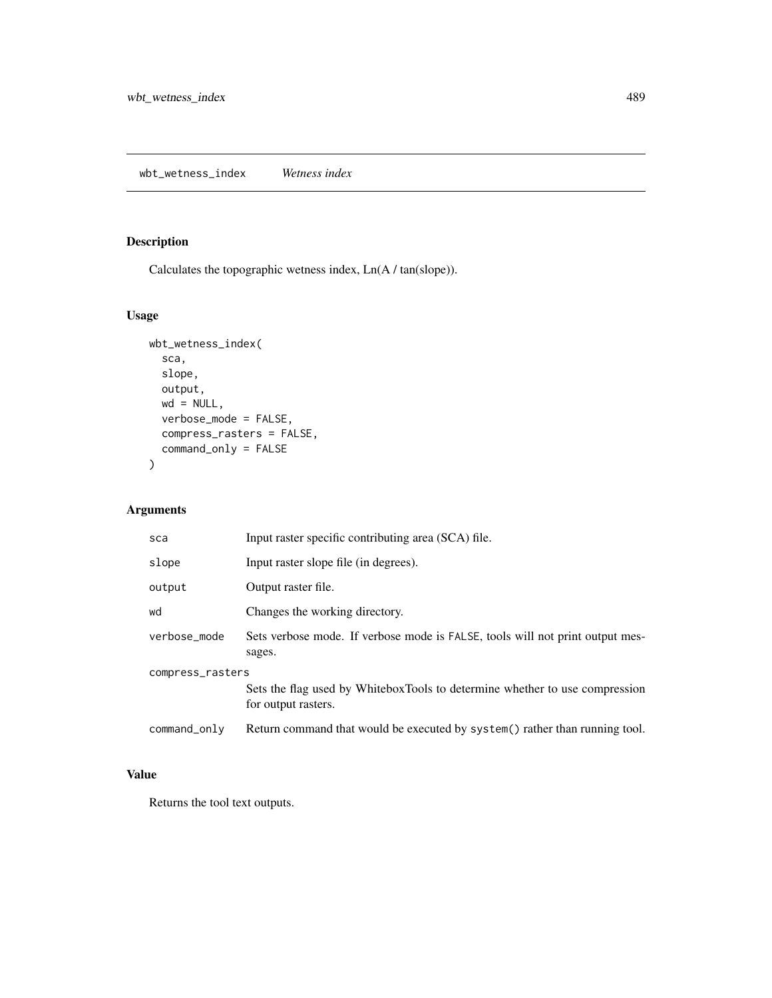Calculates the topographic wetness index, Ln(A / tan(slope)).

# Usage

```
wbt_wetness_index(
  sca,
 slope,
 output,
 wd = NULL,verbose_mode = FALSE,
 compress_rasters = FALSE,
 command_only = FALSE
)
```
# Arguments

| sca              | Input raster specific contributing area (SCA) file.                                                |
|------------------|----------------------------------------------------------------------------------------------------|
| slope            | Input raster slope file (in degrees).                                                              |
| output           | Output raster file.                                                                                |
| wd               | Changes the working directory.                                                                     |
| verbose mode     | Sets verbose mode. If verbose mode is FALSE, tools will not print output mes-<br>sages.            |
| compress_rasters | Sets the flag used by WhiteboxTools to determine whether to use compression<br>for output rasters. |
| command_only     | Return command that would be executed by system() rather than running tool.                        |

# Value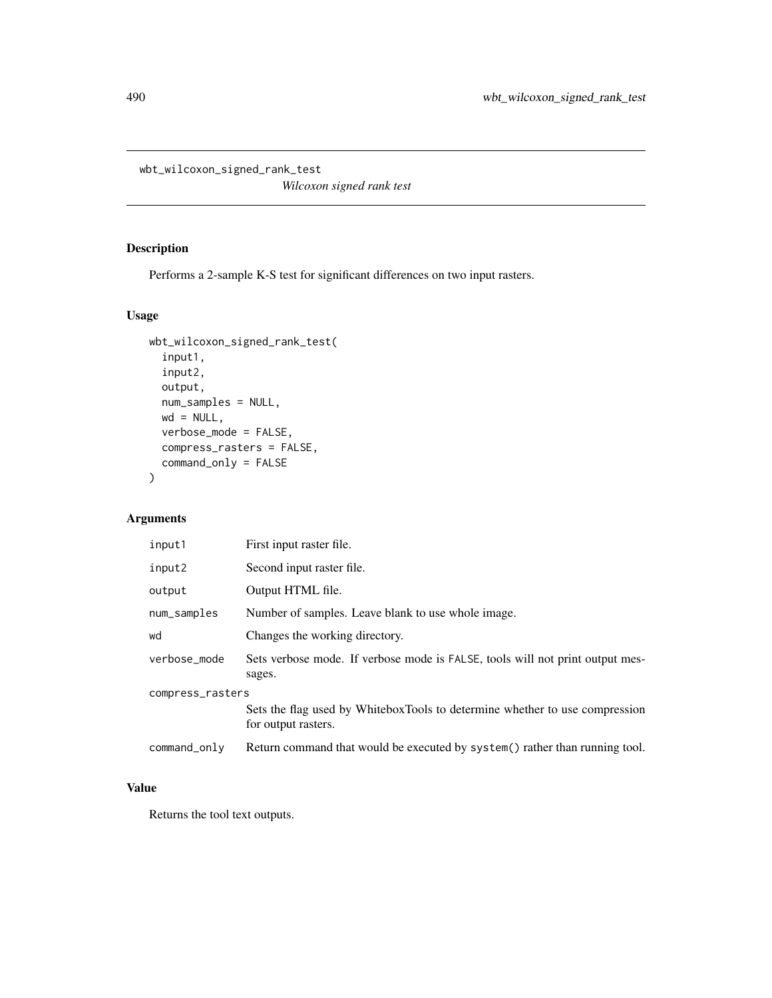wbt\_wilcoxon\_signed\_rank\_test

*Wilcoxon signed rank test*

# Description

Performs a 2-sample K-S test for significant differences on two input rasters.

#### Usage

```
wbt_wilcoxon_signed_rank_test(
  input1,
 input2,
 output,
 num_samples = NULL,
 wd = NULL,verbose_mode = FALSE,
 compress_rasters = FALSE,
 command_only = FALSE
)
```
# Arguments

| input1           | First input raster file.                                                                           |  |
|------------------|----------------------------------------------------------------------------------------------------|--|
| input2           | Second input raster file.                                                                          |  |
| output           | Output HTML file.                                                                                  |  |
| num_samples      | Number of samples. Leave blank to use whole image.                                                 |  |
| wd               | Changes the working directory.                                                                     |  |
| verbose_mode     | Sets verbose mode. If verbose mode is FALSE, tools will not print output mes-<br>sages.            |  |
| compress_rasters |                                                                                                    |  |
|                  | Sets the flag used by WhiteboxTools to determine whether to use compression<br>for output rasters. |  |
| command_only     | Return command that would be executed by system() rather than running tool.                        |  |

#### Value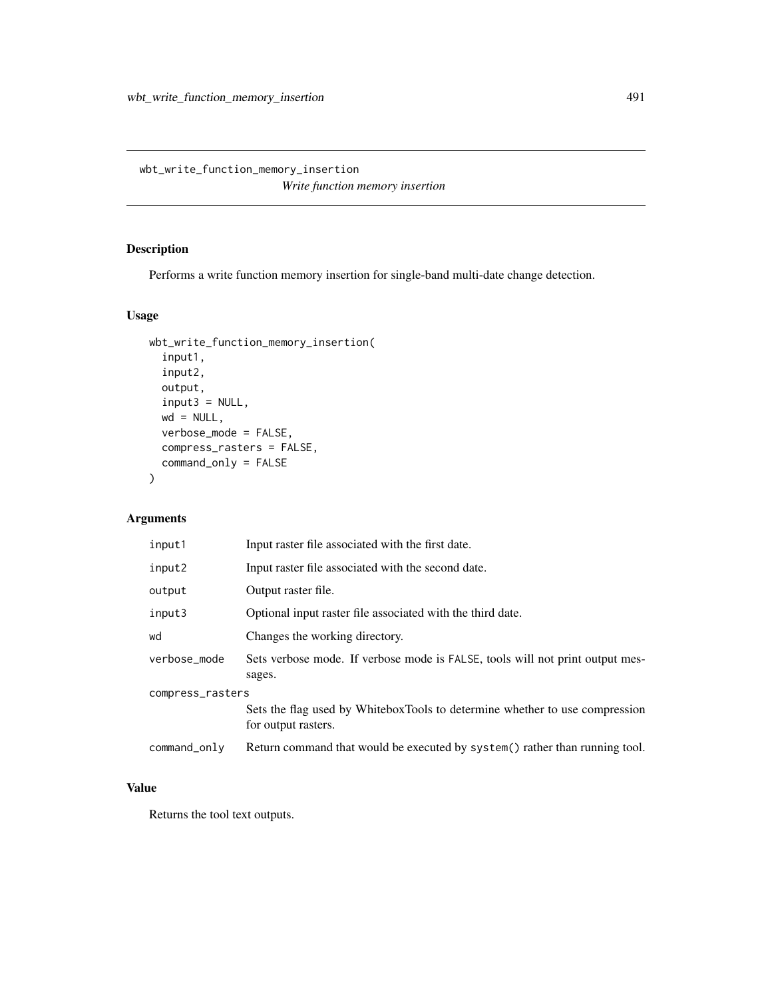wbt\_write\_function\_memory\_insertion *Write function memory insertion*

# Description

Performs a write function memory insertion for single-band multi-date change detection.

# Usage

```
wbt_write_function_memory_insertion(
  input1,
  input2,
 output,
  input3 = NULL,wd = NULL,verbose_mode = FALSE,
 compress_rasters = FALSE,
 command_only = FALSE
)
```
# Arguments

| input1           | Input raster file associated with the first date.                                                  |  |
|------------------|----------------------------------------------------------------------------------------------------|--|
| input2           | Input raster file associated with the second date.                                                 |  |
| output           | Output raster file.                                                                                |  |
| input3           | Optional input raster file associated with the third date.                                         |  |
| wd               | Changes the working directory.                                                                     |  |
| verbose_mode     | Sets verbose mode. If verbose mode is FALSE, tools will not print output mes-<br>sages.            |  |
| compress_rasters |                                                                                                    |  |
|                  | Sets the flag used by WhiteboxTools to determine whether to use compression<br>for output rasters. |  |
| command_only     | Return command that would be executed by system() rather than running tool.                        |  |

#### Value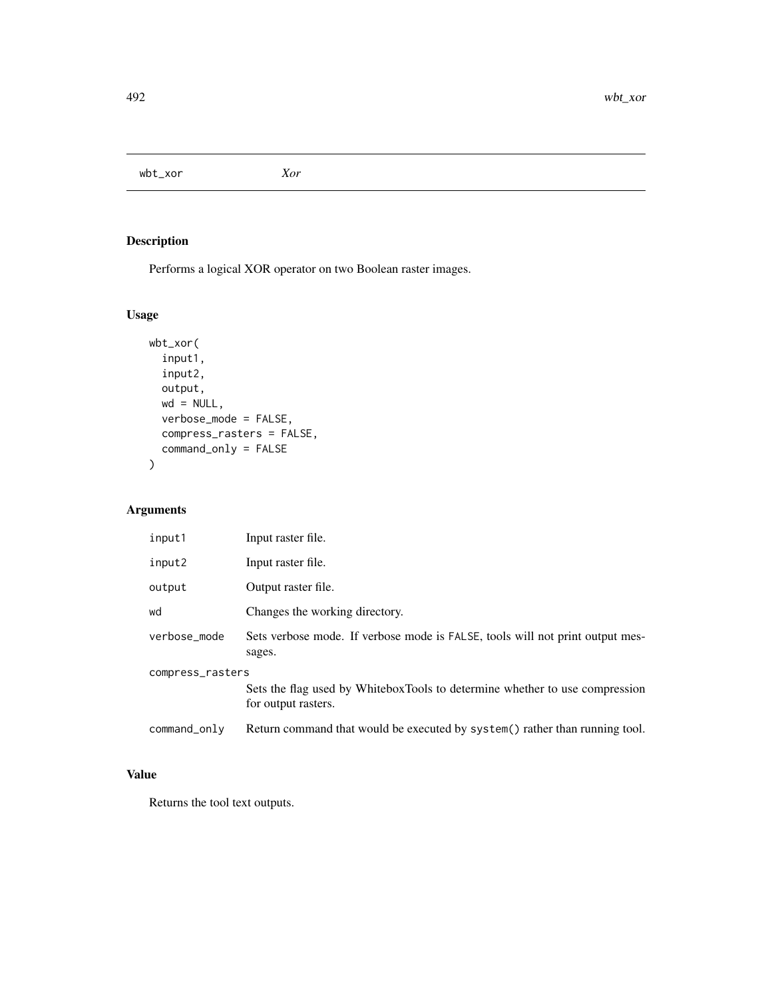wbt\_xor *Xor*

# Description

Performs a logical XOR operator on two Boolean raster images.

# Usage

```
wbt_xor(
  input1,
 input2,
 output,
 wd = NULL,verbose_mode = FALSE,
 compress_rasters = FALSE,
 command_only = FALSE
)
```
# Arguments

| input1           | Input raster file.                                                                                 |
|------------------|----------------------------------------------------------------------------------------------------|
| input2           | Input raster file.                                                                                 |
| output           | Output raster file.                                                                                |
| wd               | Changes the working directory.                                                                     |
| verbose mode     | Sets verbose mode. If verbose mode is FALSE, tools will not print output mes-<br>sages.            |
| compress_rasters |                                                                                                    |
|                  | Sets the flag used by WhiteboxTools to determine whether to use compression<br>for output rasters. |
| command_only     | Return command that would be executed by system() rather than running tool.                        |

# Value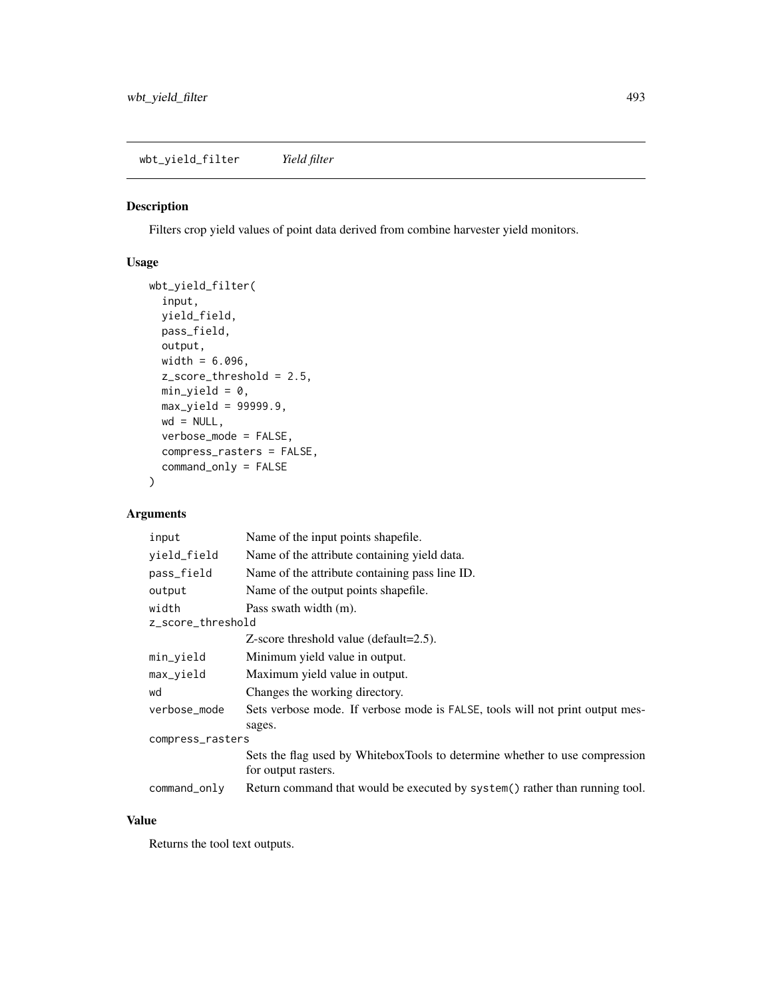wbt\_yield\_filter *Yield filter*

#### Description

Filters crop yield values of point data derived from combine harvester yield monitors.

# Usage

```
wbt_yield_filter(
  input,
 yield_field,
 pass_field,
 output,
 width = 6.096,z_score_threshold = 2.5,
 min\_yield = 0,max_yield = 99999.9,
 wd = NULL,verbose_mode = FALSE,
  compress_rasters = FALSE,
 command_only = FALSE
\mathcal{L}
```
# Arguments

| input             | Name of the input points shapefile.                                           |
|-------------------|-------------------------------------------------------------------------------|
| yield_field       | Name of the attribute containing yield data.                                  |
| pass_field        | Name of the attribute containing pass line ID.                                |
| output            | Name of the output points shapefile.                                          |
| width             | Pass swath width (m).                                                         |
| z_score_threshold |                                                                               |
|                   | $Z$ -score threshold value (default=2.5).                                     |
| min_yield         | Minimum yield value in output.                                                |
| max_yield         | Maximum yield value in output.                                                |
| wd                | Changes the working directory.                                                |
| verbose_mode      | Sets verbose mode. If verbose mode is FALSE, tools will not print output mes- |
|                   | sages.                                                                        |
| compress_rasters  |                                                                               |
|                   | Sets the flag used by WhiteboxTools to determine whether to use compression   |
|                   | for output rasters.                                                           |
| command_only      | Return command that would be executed by system() rather than running tool.   |

# Value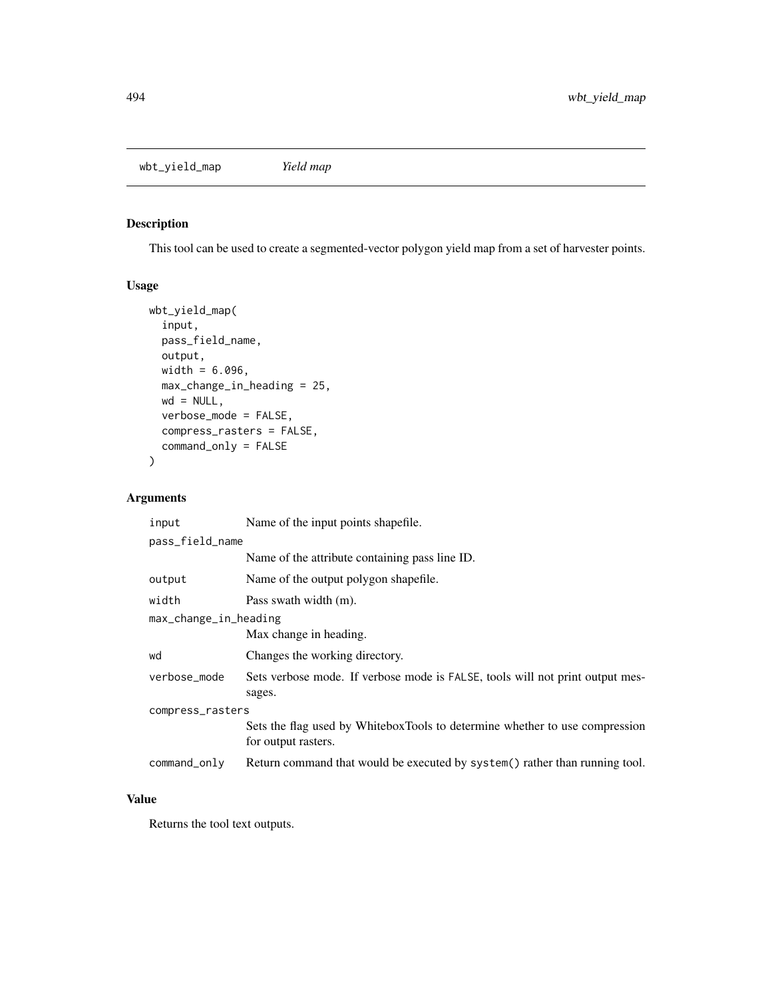wbt\_yield\_map *Yield map*

# Description

This tool can be used to create a segmented-vector polygon yield map from a set of harvester points.

# Usage

```
wbt_yield_map(
  input,
 pass_field_name,
 output,
 width = 6.096,
 max_change_in_heading = 25,
 wd = NULL,verbose_mode = FALSE,
 compress_rasters = FALSE,
  command_only = FALSE
)
```
# Arguments

| input                 | Name of the input points shapefile.                                                                |  |
|-----------------------|----------------------------------------------------------------------------------------------------|--|
| pass_field_name       |                                                                                                    |  |
|                       | Name of the attribute containing pass line ID.                                                     |  |
| output                | Name of the output polygon shapefile.                                                              |  |
| width                 | Pass swath width (m).                                                                              |  |
| max_change_in_heading |                                                                                                    |  |
|                       | Max change in heading.                                                                             |  |
| wd                    | Changes the working directory.                                                                     |  |
| verbose_mode          | Sets verbose mode. If verbose mode is FALSE, tools will not print output mes-<br>sages.            |  |
| compress_rasters      |                                                                                                    |  |
|                       | Sets the flag used by WhiteboxTools to determine whether to use compression<br>for output rasters. |  |
| command_only          | Return command that would be executed by system() rather than running tool.                        |  |

#### Value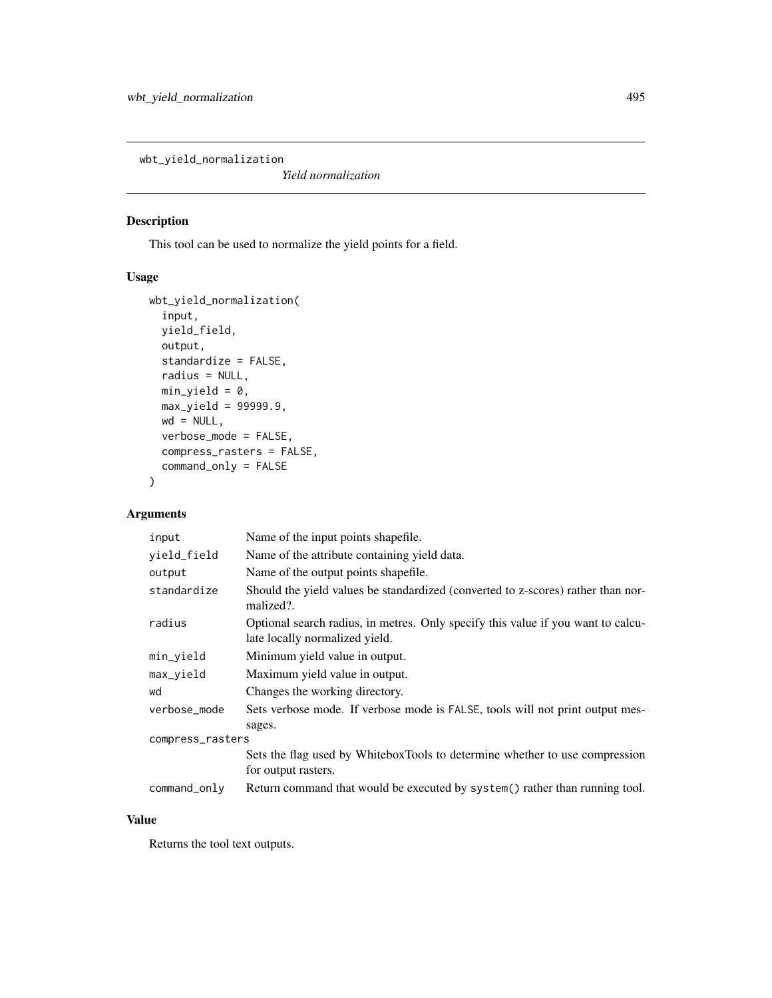wbt\_yield\_normalization

*Yield normalization*

# Description

This tool can be used to normalize the yield points for a field.

# Usage

```
wbt_yield_normalization(
  input,
 yield_field,
 output,
 standardize = FALSE,
 radius = NULL,
 min\_yield = 0,max_yield = 99999.9,
 wd = NULL,verbose_mode = FALSE,
 compress_rasters = FALSE,
 command_only = FALSE
)
```
# Arguments

| input            | Name of the input points shapefile.                                                                                |
|------------------|--------------------------------------------------------------------------------------------------------------------|
| yield_field      | Name of the attribute containing yield data.                                                                       |
| output           | Name of the output points shapefile.                                                                               |
| standardize      | Should the yield values be standardized (converted to z-scores) rather than nor-<br>malized?.                      |
| radius           | Optional search radius, in metres. Only specify this value if you want to calcu-<br>late locally normalized yield. |
| min_yield        | Minimum yield value in output.                                                                                     |
| max_yield        | Maximum yield value in output.                                                                                     |
| wd               | Changes the working directory.                                                                                     |
| verbose_mode     | Sets verbose mode. If verbose mode is FALSE, tools will not print output mes-                                      |
|                  | sages.                                                                                                             |
| compress_rasters |                                                                                                                    |
|                  | Sets the flag used by WhiteboxTools to determine whether to use compression                                        |
|                  | for output rasters.                                                                                                |
| command_only     | Return command that would be executed by system() rather than running tool.                                        |

# Value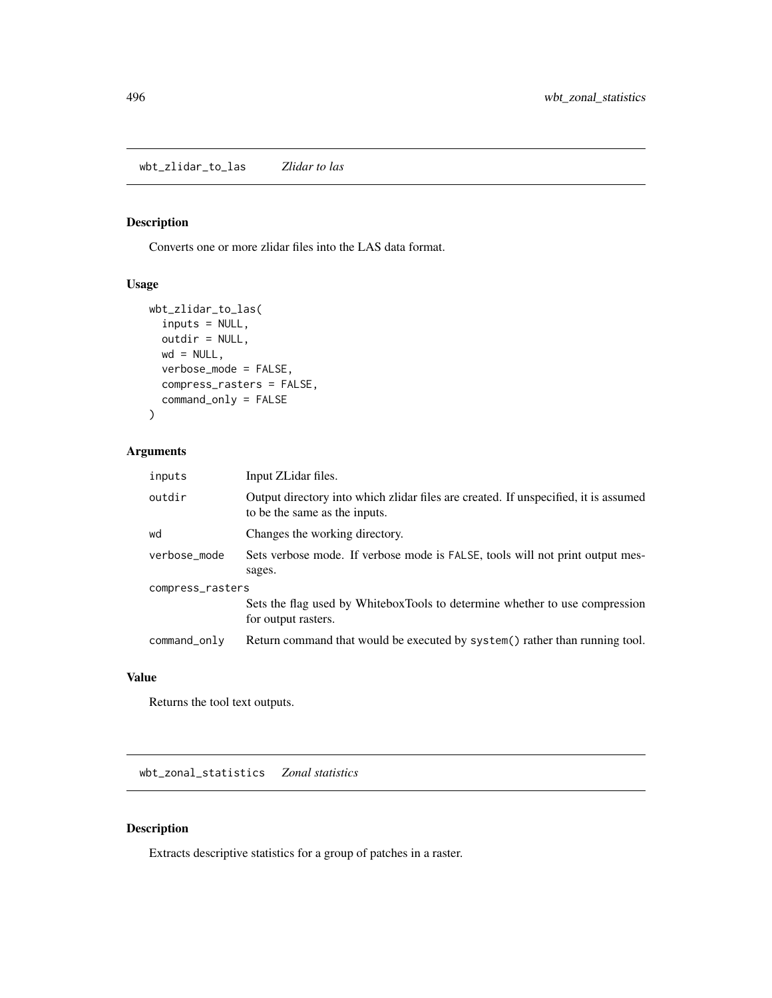wbt\_zlidar\_to\_las *Zlidar to las*

#### Description

Converts one or more zlidar files into the LAS data format.

# Usage

```
wbt_zlidar_to_las(
  inputs = NULL,
 outdir = NULL,
 wd = NULL,verbose_mode = FALSE,
 compress_rasters = FALSE,
  command_only = FALSE
)
```
#### Arguments

| inputs           | Input ZLidar files.                                                                                                  |
|------------------|----------------------------------------------------------------------------------------------------------------------|
| outdir           | Output directory into which zlidar files are created. If unspecified, it is assumed<br>to be the same as the inputs. |
| wd               | Changes the working directory.                                                                                       |
| verbose_mode     | Sets verbose mode. If verbose mode is FALSE, tools will not print output mes-                                        |
|                  | sages.                                                                                                               |
| compress_rasters |                                                                                                                      |
|                  | Sets the flag used by WhiteboxTools to determine whether to use compression<br>for output rasters.                   |
| command_only     | Return command that would be executed by system() rather than running tool.                                          |

#### Value

Returns the tool text outputs.

wbt\_zonal\_statistics *Zonal statistics*

# Description

Extracts descriptive statistics for a group of patches in a raster.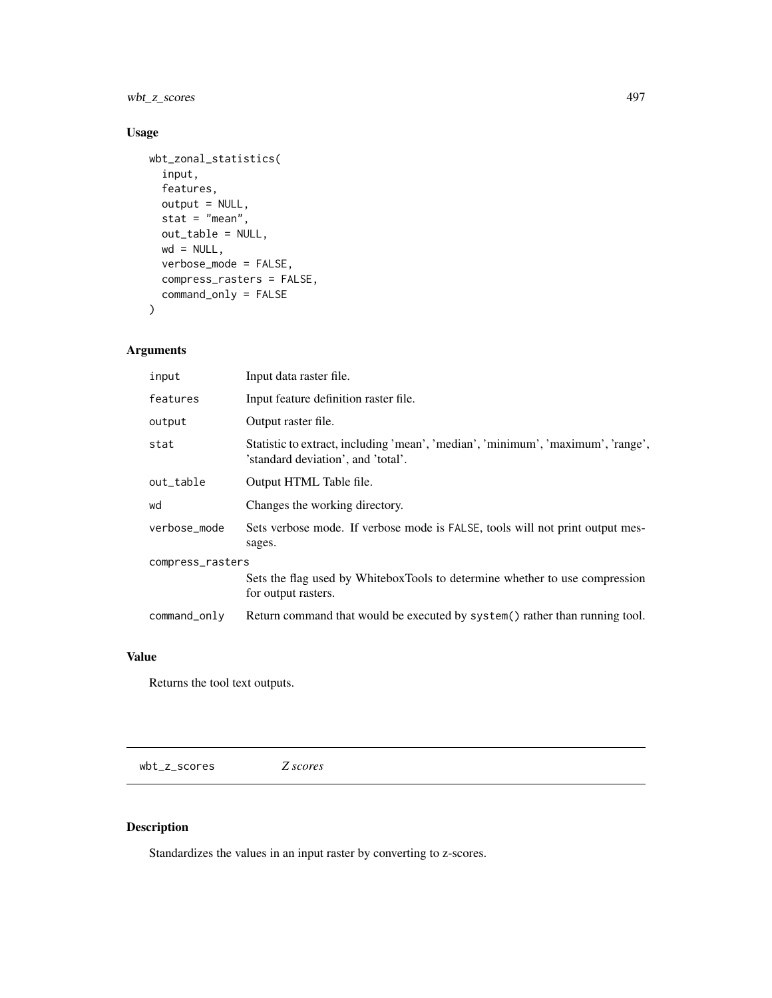wbt\_z\_scores 497

# Usage

```
wbt_zonal_statistics(
  input,
  features,
 output = NULL,stat = "mean",out_table = NULL,
 wd = NULL,verbose_mode = FALSE,
 compress_rasters = FALSE,
 command_only = FALSE
\mathcal{L}
```
# Arguments

| input            | Input data raster file.                                                                                                |
|------------------|------------------------------------------------------------------------------------------------------------------------|
| features         | Input feature definition raster file.                                                                                  |
| output           | Output raster file.                                                                                                    |
| stat             | Statistic to extract, including 'mean', 'median', 'minimum', 'maximum', 'range',<br>'standard deviation', and 'total'. |
| out_table        | Output HTML Table file.                                                                                                |
| wd               | Changes the working directory.                                                                                         |
| verbose_mode     | Sets verbose mode. If verbose mode is FALSE, tools will not print output mes-<br>sages.                                |
| compress_rasters |                                                                                                                        |
|                  | Sets the flag used by WhiteboxTools to determine whether to use compression<br>for output rasters.                     |
| command_only     | Return command that would be executed by system() rather than running tool.                                            |

#### Value

Returns the tool text outputs.

wbt\_z\_scores *Z scores*

# Description

Standardizes the values in an input raster by converting to z-scores.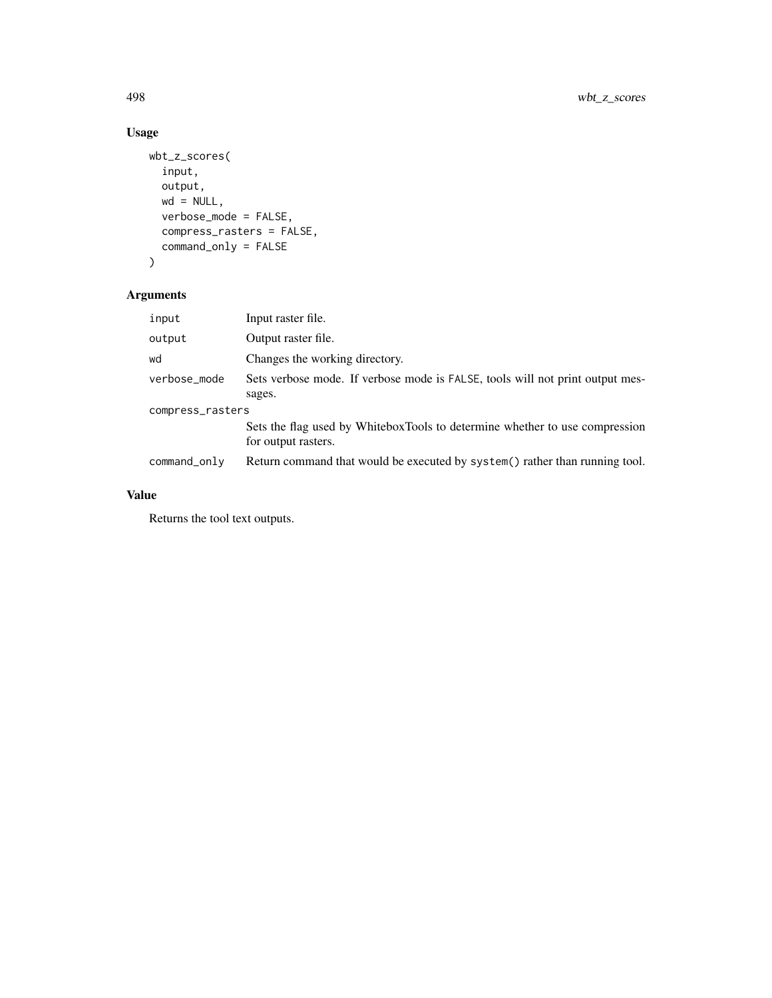# Usage

```
wbt_z_scores(
  input,
  output,
  wd = NULL,verbose_mode = FALSE,
  compress_rasters = FALSE,
  command_only = FALSE
\mathcal{L}
```
# Arguments

| input            | Input raster file.                                                                                 |  |
|------------------|----------------------------------------------------------------------------------------------------|--|
| output           | Output raster file.                                                                                |  |
| wd               | Changes the working directory.                                                                     |  |
| verbose_mode     | Sets verbose mode. If verbose mode is FALSE, tools will not print output mes-                      |  |
|                  | sages.                                                                                             |  |
| compress_rasters |                                                                                                    |  |
|                  | Sets the flag used by WhiteboxTools to determine whether to use compression<br>for output rasters. |  |
| command_only     | Return command that would be executed by system() rather than running tool.                        |  |

# Value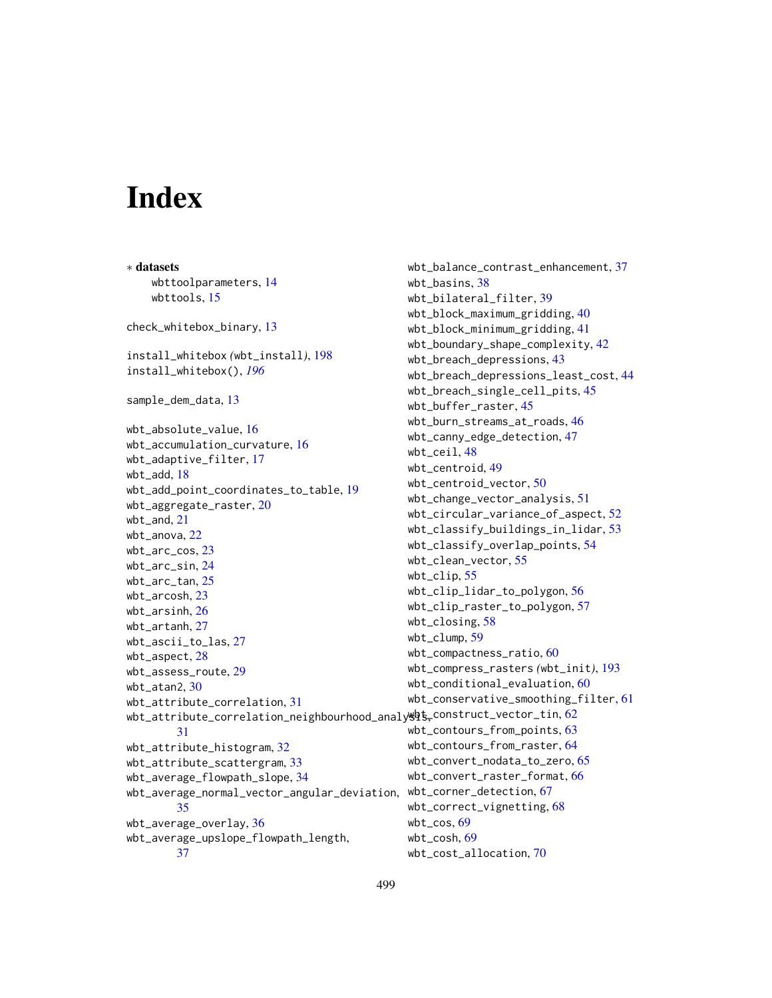# **Index**

∗ datasets wbttoolparameters, [14](#page-13-0) wbttools, [15](#page-14-0) check\_whitebox\_binary, [13](#page-12-0) install\_whitebox *(*wbt\_install*)*, [198](#page-197-0) install\_whitebox(), *[196](#page-195-0)* sample\_dem\_data, [13](#page-12-0) wbt\_absolute\_value, [16](#page-15-0) wbt\_accumulation\_curvature, [16](#page-15-0) wbt\_adaptive\_filter, [17](#page-16-0) wbt\_add, [18](#page-17-0) wbt\_add\_point\_coordinates\_to\_table, [19](#page-18-0) wbt\_aggregate\_raster, [20](#page-19-0) wbt\_and, [21](#page-20-0) wbt\_anova, [22](#page-21-0) wbt\_arc\_cos, [23](#page-22-0) wbt\_arc\_sin, [24](#page-23-0) wbt\_arc\_tan, [25](#page-24-0) wbt\_arcosh, [23](#page-22-0) wbt\_arsinh, [26](#page-25-0) wbt\_artanh, [27](#page-26-0) wbt\_ascii\_to\_las, [27](#page-26-0) wbt\_aspect, [28](#page-27-0) wbt\_assess\_route, [29](#page-28-0) wbt\_atan2, [30](#page-29-0) wbt\_attribute\_correlation, [31](#page-30-0) wbt\_attribute\_correlation\_neighbourhood\_analy $\stackrel{\text{def}}{S}_{\tau}$ construct\_vector\_tin, $62$ [31](#page-30-0) wbt\_attribute\_histogram, [32](#page-31-0) wbt\_attribute\_scattergram, [33](#page-32-0) wbt\_average\_flowpath\_slope, [34](#page-33-0) wbt\_average\_normal\_vector\_angular\_deviation, wbt\_corner\_detection, [67](#page-66-0) [35](#page-34-0) wbt\_average\_overlay, [36](#page-35-0) wbt\_average\_upslope\_flowpath\_length, [37](#page-36-0) wbt\_balance\_contrast\_enhancement, [37](#page-36-0) wbt\_basins, [38](#page-37-0) wbt\_bilateral\_filter, [39](#page-38-0) wbt\_block\_maximum\_gridding, [40](#page-39-0) wbt\_block\_minimum\_gridding, [41](#page-40-0) wbt\_boundary\_shape\_complexity, [42](#page-41-0) wbt\_breach\_depressions, [43](#page-42-0) wbt\_breach\_depressions\_least\_cost, [44](#page-43-0) wbt\_breach\_single\_cell\_pits, [45](#page-44-0) wbt\_buffer\_raster, [45](#page-44-0) wbt\_burn\_streams\_at\_roads, [46](#page-45-0) wbt\_canny\_edge\_detection, [47](#page-46-0) wbt\_ceil, [48](#page-47-0) wbt\_centroid, [49](#page-48-0) wbt\_centroid\_vector, [50](#page-49-0) wbt\_change\_vector\_analysis, [51](#page-50-0) wbt\_circular\_variance\_of\_aspect, [52](#page-51-0) wbt\_classify\_buildings\_in\_lidar, [53](#page-52-0) wbt\_classify\_overlap\_points, [54](#page-53-0) wbt\_clean\_vector, [55](#page-54-0) wbt\_clip, [55](#page-54-0) wbt\_clip\_lidar\_to\_polygon, [56](#page-55-0) wbt\_clip\_raster\_to\_polygon, [57](#page-56-0) wbt\_closing, [58](#page-57-0) wbt\_clump, [59](#page-58-0) wbt\_compactness\_ratio, [60](#page-59-0) wbt\_compress\_rasters *(*wbt\_init*)*, [193](#page-192-0) wbt\_conditional\_evaluation, [60](#page-59-0) wbt\_conservative\_smoothing\_filter, [61](#page-60-0) wbt\_contours\_from\_points, [63](#page-62-0) wbt\_contours\_from\_raster, [64](#page-63-0) wbt\_convert\_nodata\_to\_zero, [65](#page-64-0) wbt\_convert\_raster\_format, [66](#page-65-0) wbt\_correct\_vignetting, [68](#page-67-0) wbt\_cos,  $69$ wbt\_cosh, [69](#page-68-0) wbt\_cost\_allocation, [70](#page-69-0)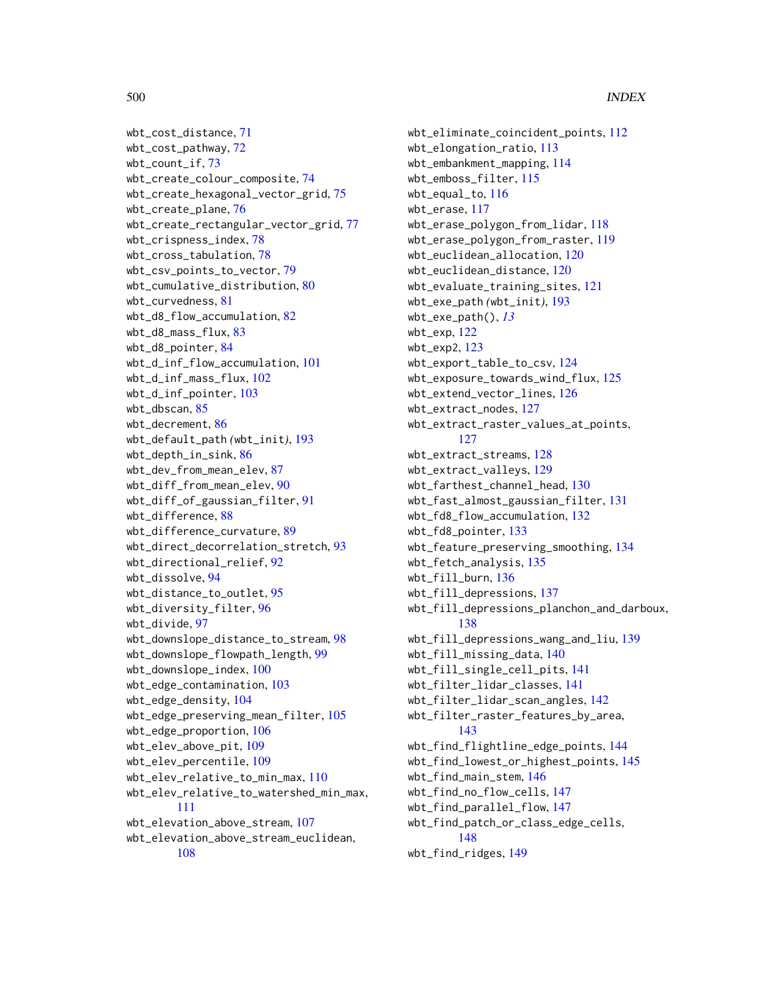```
wbt_cost_distance, 71
wbt_cost_pathway, 72
wbt_count_if, 73
wbt_create_colour_composite, 74
wbt_create_hexagonal_vector_grid, 75
wbt_create_plane, 76
wbt_create_rectangular_vector_grid, 77
wbt_crispness_index, 78
wbt_cross_tabulation, 78
wbt_csv_points_to_vector, 79
wbt_cumulative_distribution, 80
wbt_curvedness, 81
wbt_d8_flow_accumulation, 82
wbt_d8_mass_flux, 83
wbt_d8_pointer, 84
wbt_d_inf_flow_accumulation, 101
wbt_d_inf_mass_flux, 102
wbt_d_inf_pointer, 103
wbt_dbscan, 85
wbt_decrement, 86
wbt_default_path (wbt_init), 193
wbt_depth_in_sink, 86
wbt_dev_from_mean_elev, 87
wbt_diff_from_mean_elev, 90
wbt_diff_of_gaussian_filter, 91
wbt_difference, 88
wbt_difference_curvature, 89
wbt_direct_decorrelation_stretch, 93
wbt_directional_relief, 92
wbt_dissolve, 94
wbt_distance_to_outlet, 95
wbt_diversity_filter, 96
wbt_divide, 97
wbt_downslope_distance_to_stream, 98
wbt_downslope_flowpath_length, 99
wbt_downslope_index, 100
wbt_edge_contamination, 103
wbt_edge_density, 104
wbt_edge_preserving_mean_filter, 105
wbt_edge_proportion, 106
wbt_elev_above_pit, 109
wbt_elev_percentile, 109
wbt_elev_relative_to_min_max, 110
wbt_elev_relative_to_watershed_min_max,
        111
wbt_elevation_above_stream, 107
wbt_elevation_above_stream_euclidean,
        108
```
wbt\_eliminate\_coincident\_points, [112](#page-111-0) wbt\_elongation\_ratio, [113](#page-112-0) wbt\_embankment\_mapping, [114](#page-113-0) wbt\_emboss\_filter, [115](#page-114-0) wbt\_equal\_to, [116](#page-115-0) wbt\_erase, [117](#page-116-0) wbt\_erase\_polygon\_from\_lidar, [118](#page-117-0) wbt\_erase\_polygon\_from\_raster, [119](#page-118-0) wbt\_euclidean\_allocation, [120](#page-119-0) wbt\_euclidean\_distance, [120](#page-119-0) wbt\_evaluate\_training\_sites, [121](#page-120-0) wbt\_exe\_path *(*wbt\_init*)*, [193](#page-192-0) wbt\_exe\_path(), *[13](#page-12-0)* wbt\_exp, [122](#page-121-0) wbt\_exp2, [123](#page-122-0) wbt\_export\_table\_to\_csv, [124](#page-123-0) wbt\_exposure\_towards\_wind\_flux, [125](#page-124-0) wbt\_extend\_vector\_lines, [126](#page-125-0) wbt\_extract\_nodes, [127](#page-126-0) wbt\_extract\_raster\_values\_at\_points, [127](#page-126-0) wbt\_extract\_streams, [128](#page-127-0) wbt\_extract\_valleys, [129](#page-128-0) wbt\_farthest\_channel\_head, [130](#page-129-0) wbt\_fast\_almost\_gaussian\_filter, [131](#page-130-0) wbt\_fd8\_flow\_accumulation, [132](#page-131-0) wbt\_fd8\_pointer, [133](#page-132-0) wbt\_feature\_preserving\_smoothing, [134](#page-133-0) wbt\_fetch\_analysis, [135](#page-134-0) wbt\_fill\_burn, [136](#page-135-0) wbt\_fill\_depressions, [137](#page-136-0) wbt\_fill\_depressions\_planchon\_and\_darboux, [138](#page-137-0) wbt\_fill\_depressions\_wang\_and\_liu, [139](#page-138-0) wbt\_fill\_missing\_data, [140](#page-139-0) wbt\_fill\_single\_cell\_pits, [141](#page-140-0) wbt\_filter\_lidar\_classes, [141](#page-140-0) wbt\_filter\_lidar\_scan\_angles, [142](#page-141-0) wbt\_filter\_raster\_features\_by\_area, [143](#page-142-0) wbt\_find\_flightline\_edge\_points, [144](#page-143-0) wbt\_find\_lowest\_or\_highest\_points, [145](#page-144-0) wbt\_find\_main\_stem, [146](#page-145-0) wbt\_find\_no\_flow\_cells, [147](#page-146-0) wbt\_find\_parallel\_flow, [147](#page-146-0) wbt\_find\_patch\_or\_class\_edge\_cells, [148](#page-147-0) wbt\_find\_ridges, [149](#page-148-0)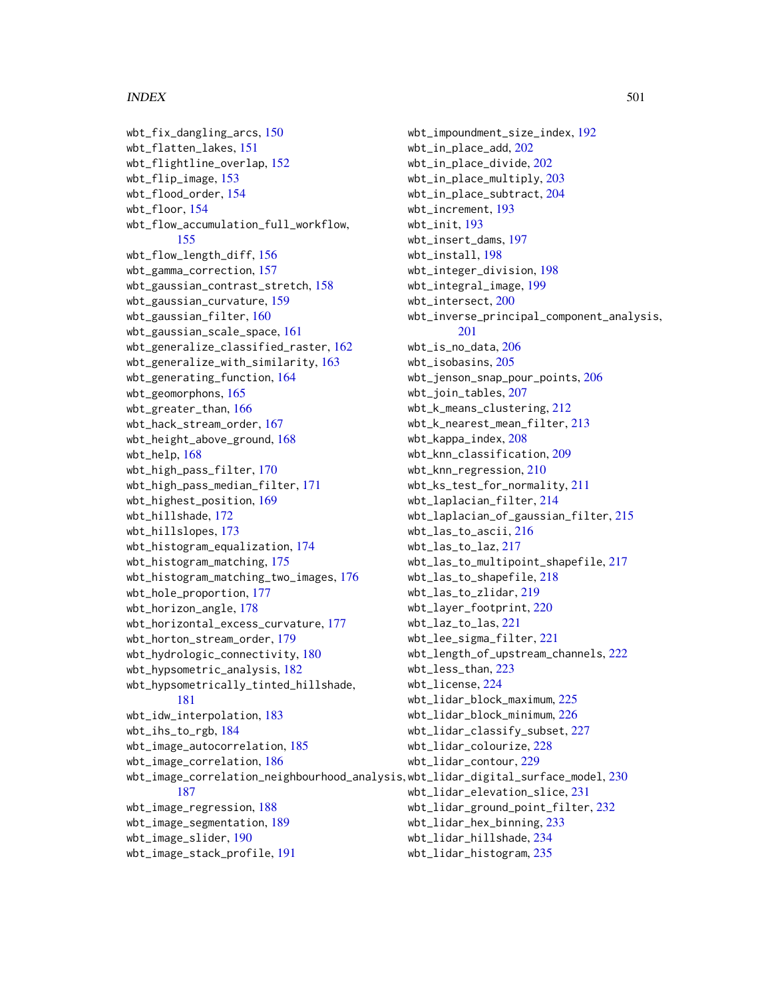#### INDEX 501

wbt\_fix\_dangling\_arcs, [150](#page-149-0) wbt\_flatten\_lakes, [151](#page-150-0) wbt\_flightline\_overlap, [152](#page-151-0) wbt\_flip\_image, [153](#page-152-0) wbt\_flood\_order, [154](#page-153-0) wbt\_floor, [154](#page-153-0) wbt\_flow\_accumulation\_full\_workflow, [155](#page-154-0) wbt\_flow\_length\_diff, [156](#page-155-0) wbt\_gamma\_correction, [157](#page-156-0) wbt\_gaussian\_contrast\_stretch, [158](#page-157-0) wbt\_gaussian\_curvature, [159](#page-158-0) wbt\_gaussian\_filter, [160](#page-159-0) wbt\_gaussian\_scale\_space, [161](#page-160-0) wbt\_generalize\_classified\_raster, [162](#page-161-0) wbt\_generalize\_with\_similarity, [163](#page-162-0) wbt\_generating\_function, [164](#page-163-0) wbt\_geomorphons, [165](#page-164-0) wbt\_greater\_than, [166](#page-165-0) wbt\_hack\_stream\_order, [167](#page-166-0) wbt\_height\_above\_ground, [168](#page-167-0) wbt\_help, [168](#page-167-0) wbt\_high\_pass\_filter, [170](#page-169-0) wbt\_high\_pass\_median\_filter, [171](#page-170-0) wbt\_highest\_position, [169](#page-168-0) wbt\_hillshade, [172](#page-171-0) wbt\_hillslopes, [173](#page-172-0) wbt\_histogram\_equalization, [174](#page-173-0) wbt\_histogram\_matching, [175](#page-174-0) wbt\_histogram\_matching\_two\_images, [176](#page-175-0) wbt\_hole\_proportion, [177](#page-176-0) wbt\_horizon\_angle, [178](#page-177-0) wbt\_horizontal\_excess\_curvature, [177](#page-176-0) wbt\_horton\_stream\_order, [179](#page-178-0) wbt\_hydrologic\_connectivity, [180](#page-179-0) wbt\_hypsometric\_analysis, [182](#page-181-0) wbt\_hypsometrically\_tinted\_hillshade, [181](#page-180-0) wbt\_idw\_interpolation, [183](#page-182-0) wbt\_ihs\_to\_rgb, [184](#page-183-0) wbt\_image\_autocorrelation, [185](#page-184-0) wbt\_image\_correlation, [186](#page-185-0) wbt\_image\_correlation\_neighbourhood\_analysis, wbt\_lidar\_digital\_surface\_model, [230](#page-229-0) [187](#page-186-0) wbt\_image\_regression, [188](#page-187-0) wbt\_image\_segmentation, [189](#page-188-0) wbt\_image\_slider, [190](#page-189-0) wbt\_image\_stack\_profile, [191](#page-190-0)

wbt\_impoundment\_size\_index, [192](#page-191-0) wbt\_in\_place\_add, [202](#page-201-0) wbt\_in\_place\_divide, [202](#page-201-0) wbt\_in\_place\_multiply, [203](#page-202-0) wbt\_in\_place\_subtract, [204](#page-203-0) wbt\_increment, [193](#page-192-0) wbt\_init, [193](#page-192-0) wbt\_insert\_dams, [197](#page-196-0) wbt\_install, [198](#page-197-0) wbt\_integer\_division, [198](#page-197-0) wbt\_integral\_image, [199](#page-198-0) wbt\_intersect, [200](#page-199-0) wbt\_inverse\_principal\_component\_analysis, [201](#page-200-0) wbt\_is\_no\_data, [206](#page-205-0) wbt\_isobasins, [205](#page-204-0) wbt\_jenson\_snap\_pour\_points, [206](#page-205-0) wbt\_join\_tables, [207](#page-206-0) wbt\_k\_means\_clustering, [212](#page-211-0) wbt\_k\_nearest\_mean\_filter, [213](#page-212-0) wbt\_kappa\_index, [208](#page-207-0) wbt\_knn\_classification, [209](#page-208-0) wbt\_knn\_regression, [210](#page-209-0) wbt\_ks\_test\_for\_normality, [211](#page-210-0) wbt\_laplacian\_filter, [214](#page-213-0) wbt\_laplacian\_of\_gaussian\_filter, [215](#page-214-0) wbt\_las\_to\_ascii, [216](#page-215-0) wbt\_las\_to\_laz, [217](#page-216-0) wbt\_las\_to\_multipoint\_shapefile, [217](#page-216-0) wbt\_las\_to\_shapefile, [218](#page-217-0) wbt\_las\_to\_zlidar, [219](#page-218-0) wbt\_layer\_footprint, [220](#page-219-0) wbt\_laz\_to\_las, [221](#page-220-0) wbt\_lee\_sigma\_filter, [221](#page-220-0) wbt\_length\_of\_upstream\_channels, [222](#page-221-0) wbt\_less\_than, [223](#page-222-0) wbt\_license, [224](#page-223-0) wbt\_lidar\_block\_maximum, [225](#page-224-0) wbt\_lidar\_block\_minimum, [226](#page-225-0) wbt\_lidar\_classify\_subset, [227](#page-226-0) wbt\_lidar\_colourize, [228](#page-227-0) wbt\_lidar\_contour, [229](#page-228-0) wbt\_lidar\_elevation\_slice, [231](#page-230-0) wbt\_lidar\_ground\_point\_filter, [232](#page-231-0) wbt\_lidar\_hex\_binning, [233](#page-232-0) wbt\_lidar\_hillshade, [234](#page-233-0) wbt\_lidar\_histogram, [235](#page-234-0)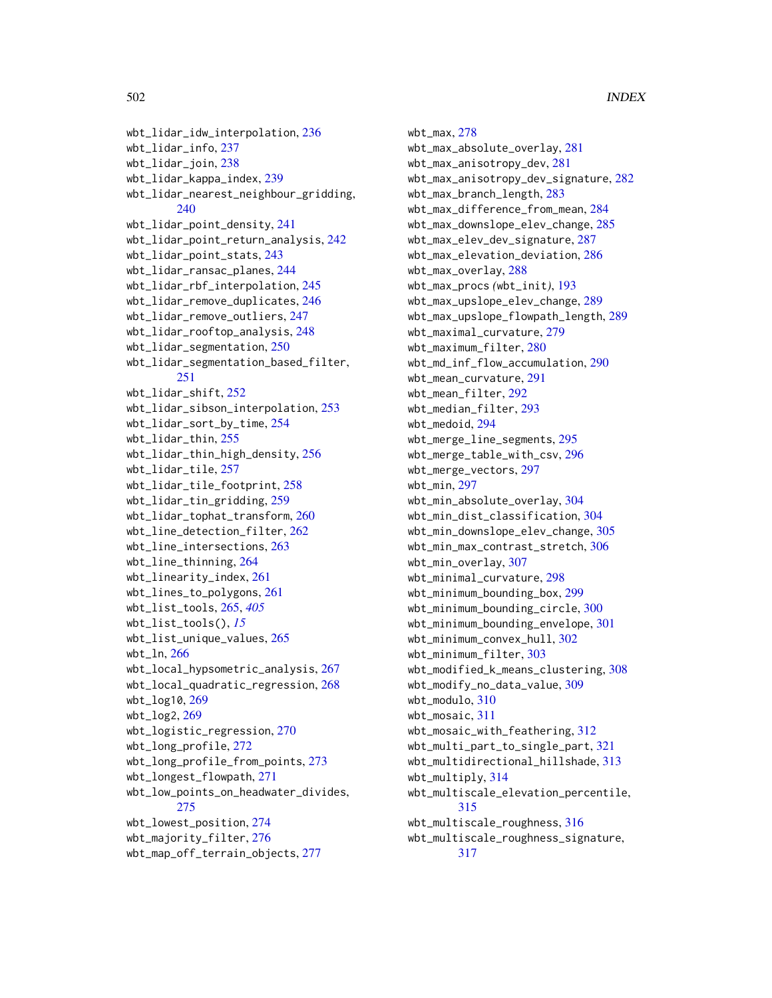```
wbt_lidar_idw_interpolation, 236
wbt_lidar_info, 237
wbt_lidar_join, 238
wbt_lidar_kappa_index, 239
wbt_lidar_nearest_neighbour_gridding,
        240
wbt_lidar_point_density, 241
wbt_lidar_point_return_analysis, 242
wbt_lidar_point_stats, 243
wbt_lidar_ransac_planes, 244
wbt_lidar_rbf_interpolation, 245
wbt_lidar_remove_duplicates, 246
wbt_lidar_remove_outliers, 247
wbt_lidar_rooftop_analysis, 248
wbt_lidar_segmentation, 250
wbt_lidar_segmentation_based_filter,
        251
wbt_lidar_shift, 252
wbt_lidar_sibson_interpolation, 253
wbt_lidar_sort_by_time, 254
wbt_lidar_thin, 255
wbt_lidar_thin_high_density, 256
wbt_lidar_tile, 257
wbt_lidar_tile_footprint, 258
wbt_lidar_tin_gridding, 259
wbt_lidar_tophat_transform, 260
wbt_line_detection_filter, 262
wbt_line_intersections, 263
wbt_line_thinning, 264
wbt_linearity_index, 261
wbt_lines_to_polygons, 261
wbt_list_tools, 265, 405
wbt_list_tools(), 15
wbt_list_unique_values, 265
wbt_ln, 266
wbt_local_hypsometric_analysis, 267
wbt_local_quadratic_regression, 268
wbt_log10, 269
wbt_log2, 269
wbt_logistic_regression, 270
wbt_long_profile, 272
wbt_long_profile_from_points, 273
wbt_longest_flowpath, 271
wbt_low_points_on_headwater_divides,
        275
wbt_lowest_position, 274
wbt_majority_filter, 276
wbt_map_off_terrain_objects, 277
```
wbt\_max, [278](#page-277-0) wbt\_max\_absolute\_overlay, [281](#page-280-0) wbt\_max\_anisotropy\_dev, [281](#page-280-0) wbt\_max\_anisotropy\_dev\_signature, [282](#page-281-0) wbt\_max\_branch\_length, [283](#page-282-0) wbt\_max\_difference\_from\_mean, [284](#page-283-0) wbt\_max\_downslope\_elev\_change, [285](#page-284-0) wbt\_max\_elev\_dev\_signature, [287](#page-286-0) wbt\_max\_elevation\_deviation, [286](#page-285-0) wbt\_max\_overlay, [288](#page-287-0) wbt\_max\_procs *(*wbt\_init*)*, [193](#page-192-0) wbt\_max\_upslope\_elev\_change, [289](#page-288-0) wbt\_max\_upslope\_flowpath\_length, [289](#page-288-0) wbt\_maximal\_curvature, [279](#page-278-0) wbt\_maximum\_filter, [280](#page-279-0) wbt\_md\_inf\_flow\_accumulation, [290](#page-289-0) wbt\_mean\_curvature, [291](#page-290-0) wbt\_mean\_filter, [292](#page-291-0) wbt\_median\_filter, [293](#page-292-0) wbt\_medoid, [294](#page-293-0) wbt\_merge\_line\_segments, [295](#page-294-0) wbt\_merge\_table\_with\_csv, [296](#page-295-0) wbt\_merge\_vectors, [297](#page-296-0) wbt\_min, [297](#page-296-0) wbt\_min\_absolute\_overlay, [304](#page-303-0) wbt\_min\_dist\_classification, [304](#page-303-0) wbt\_min\_downslope\_elev\_change, [305](#page-304-0) wbt\_min\_max\_contrast\_stretch, [306](#page-305-0) wbt\_min\_overlay, [307](#page-306-0) wbt\_minimal\_curvature, [298](#page-297-0) wbt\_minimum\_bounding\_box, [299](#page-298-0) wbt\_minimum\_bounding\_circle, [300](#page-299-0) wbt\_minimum\_bounding\_envelope, [301](#page-300-0) wbt\_minimum\_convex\_hull, [302](#page-301-0) wbt\_minimum\_filter, [303](#page-302-0) wbt\_modified\_k\_means\_clustering, [308](#page-307-0) wbt\_modify\_no\_data\_value, [309](#page-308-0) wbt\_modulo, [310](#page-309-0) wbt\_mosaic, [311](#page-310-0) wbt\_mosaic\_with\_feathering, [312](#page-311-0) wbt\_multi\_part\_to\_single\_part, [321](#page-320-0) wbt\_multidirectional\_hillshade, [313](#page-312-0) wbt\_multiply, [314](#page-313-0) wbt\_multiscale\_elevation\_percentile, [315](#page-314-0) wbt\_multiscale\_roughness, [316](#page-315-0) wbt\_multiscale\_roughness\_signature, [317](#page-316-0)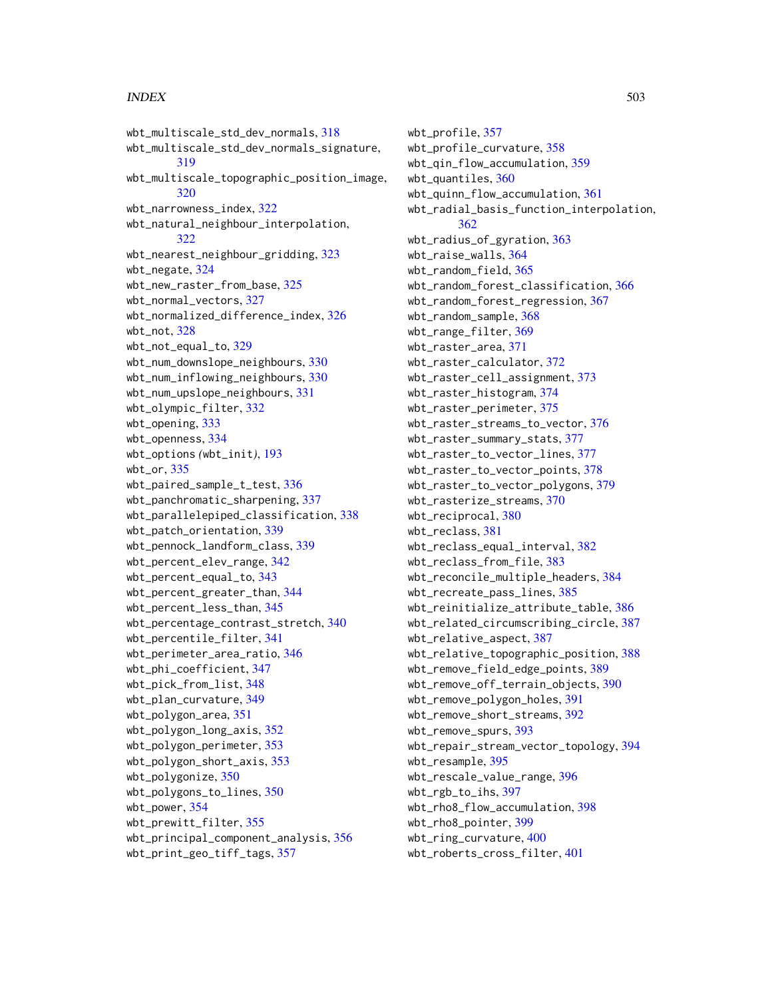#### INDEX 503

wbt\_multiscale\_std\_dev\_normals, [318](#page-317-0) wbt\_multiscale\_std\_dev\_normals\_signature, [319](#page-318-0) wbt\_multiscale\_topographic\_position\_image, [320](#page-319-0) wbt\_narrowness\_index, [322](#page-321-0) wbt\_natural\_neighbour\_interpolation, [322](#page-321-0) wbt\_nearest\_neighbour\_gridding, [323](#page-322-0) wbt\_negate, [324](#page-323-0) wbt\_new\_raster\_from\_base, [325](#page-324-0) wbt\_normal\_vectors, [327](#page-326-0) wbt\_normalized\_difference\_index, [326](#page-325-0) wbt\_not, [328](#page-327-0) wbt\_not\_equal\_to, [329](#page-328-0) wbt\_num\_downslope\_neighbours, [330](#page-329-0) wbt\_num\_inflowing\_neighbours, [330](#page-329-0) wbt\_num\_upslope\_neighbours, [331](#page-330-0) wbt\_olympic\_filter, [332](#page-331-0) wbt\_opening, [333](#page-332-0) wbt\_openness, [334](#page-333-0) wbt\_options *(*wbt\_init*)*, [193](#page-192-0) wbt\_or, [335](#page-334-0) wbt\_paired\_sample\_t\_test, [336](#page-335-0) wbt\_panchromatic\_sharpening, [337](#page-336-0) wbt\_parallelepiped\_classification, [338](#page-337-0) wbt\_patch\_orientation, [339](#page-338-0) wbt\_pennock\_landform\_class, [339](#page-338-0) wbt\_percent\_elev\_range, [342](#page-341-0) wbt\_percent\_equal\_to, [343](#page-342-0) wbt\_percent\_greater\_than, [344](#page-343-0) wbt\_percent\_less\_than, [345](#page-344-0) wbt\_percentage\_contrast\_stretch, [340](#page-339-0) wbt\_percentile\_filter, [341](#page-340-0) wbt\_perimeter\_area\_ratio, [346](#page-345-0) wbt\_phi\_coefficient, [347](#page-346-0) wbt\_pick\_from\_list, [348](#page-347-0) wbt\_plan\_curvature, [349](#page-348-0) wbt\_polygon\_area, [351](#page-350-0) wbt\_polygon\_long\_axis, [352](#page-351-0) wbt\_polygon\_perimeter, [353](#page-352-0) wbt\_polygon\_short\_axis, [353](#page-352-0) wbt\_polygonize, [350](#page-349-0) wbt\_polygons\_to\_lines, [350](#page-349-0) wbt\_power, [354](#page-353-0) wbt\_prewitt\_filter, [355](#page-354-0) wbt\_principal\_component\_analysis, [356](#page-355-0) wbt\_print\_geo\_tiff\_tags, [357](#page-356-0)

wbt\_profile, [357](#page-356-0) wbt\_profile\_curvature, [358](#page-357-0) wbt\_qin\_flow\_accumulation, [359](#page-358-0) wbt\_quantiles, [360](#page-359-0) wbt\_quinn\_flow\_accumulation, [361](#page-360-0) wbt\_radial\_basis\_function\_interpolation, [362](#page-361-0) wbt\_radius\_of\_gyration, [363](#page-362-0) wbt\_raise\_walls, [364](#page-363-0) wbt\_random\_field, [365](#page-364-0) wbt\_random\_forest\_classification, [366](#page-365-0) wbt\_random\_forest\_regression, [367](#page-366-0) wbt\_random\_sample, [368](#page-367-0) wbt\_range\_filter, [369](#page-368-0) wbt\_raster\_area, [371](#page-370-0) wbt\_raster\_calculator, [372](#page-371-0) wbt\_raster\_cell\_assignment, [373](#page-372-0) wbt\_raster\_histogram, [374](#page-373-0) wbt\_raster\_perimeter, [375](#page-374-0) wbt\_raster\_streams\_to\_vector, [376](#page-375-0) wbt\_raster\_summary\_stats, [377](#page-376-0) wbt\_raster\_to\_vector\_lines, [377](#page-376-0) wbt\_raster\_to\_vector\_points, [378](#page-377-0) wbt\_raster\_to\_vector\_polygons, [379](#page-378-0) wbt\_rasterize\_streams, [370](#page-369-0) wbt\_reciprocal, [380](#page-379-0) wbt\_reclass, [381](#page-380-0) wbt\_reclass\_equal\_interval, [382](#page-381-0) wbt\_reclass\_from\_file, [383](#page-382-0) wbt\_reconcile\_multiple\_headers, [384](#page-383-0) wbt\_recreate\_pass\_lines, [385](#page-384-0) wbt\_reinitialize\_attribute\_table, [386](#page-385-0) wbt\_related\_circumscribing\_circle, [387](#page-386-0) wbt\_relative\_aspect, [387](#page-386-0) wbt\_relative\_topographic\_position, [388](#page-387-0) wbt\_remove\_field\_edge\_points, [389](#page-388-0) wbt\_remove\_off\_terrain\_objects, [390](#page-389-0) wbt\_remove\_polygon\_holes, [391](#page-390-0) wbt\_remove\_short\_streams, [392](#page-391-0) wbt\_remove\_spurs, [393](#page-392-0) wbt\_repair\_stream\_vector\_topology, [394](#page-393-0) wbt\_resample, [395](#page-394-0) wbt\_rescale\_value\_range, [396](#page-395-0) wbt\_rgb\_to\_ihs, [397](#page-396-0) wbt\_rho8\_flow\_accumulation, [398](#page-397-0) wbt\_rho8\_pointer, [399](#page-398-0) wbt\_ring\_curvature, [400](#page-399-0) wbt\_roberts\_cross\_filter, [401](#page-400-0)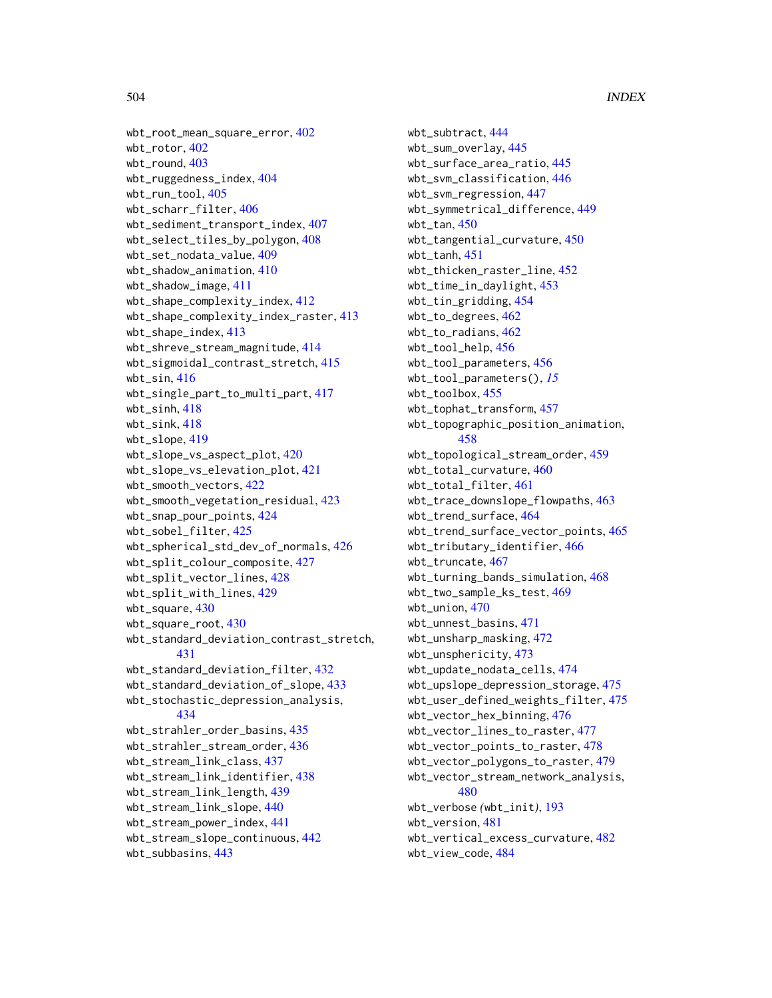```
wbt_root_mean_square_error, 402
wbt_rotor, 402
wbt 403wbt_ruggedness_index, 404
wbt_run_tool, 405
wbt_scharr_filter, 406
wbt_sediment_transport_index, 407
wbt_select_tiles_by_polygon, 408
wbt_set_nodata_value, 409
wbt_shadow_animation, 410
wbt_shadow_image, 411
wbt_shape_complexity_index, 412
wbt_shape_complexity_index_raster, 413
wbt_shape_index, 413
wbt_shreve_stream_magnitude, 414
wbt_sigmoidal_contrast_stretch, 415
wbt_sin, 416wbt_single_part_to_multi_part, 417
wbt_sinh, 418
wbt_sink, 418
419
wbt_slope_vs_aspect_plot, 420
wbt_slope_vs_elevation_plot, 421
wbt_smooth_vectors, 422
wbt_smooth_vegetation_residual, 423
wbt_snap_pour_points, 424
wbt_sobel_filter, 425
wbt_spherical_std_dev_of_normals, 426
wbt_split_colour_composite, 427
wbt_split_vector_lines, 428
wbt_split_with_lines, 429
wbt_square, 430
wbt_square_root, 430
wbt_standard_deviation_contrast_stretch,
        431
wbt_standard_deviation_filter, 432
wbt_standard_deviation_of_slope, 433
wbt_stochastic_depression_analysis,
        434
wbt_strahler_order_basins, 435
wbt_strahler_stream_order, 436
wbt_stream_link_class, 437
wbt_stream_link_identifier, 438
wbt_stream_link_length, 439
wbt_stream_link_slope, 440
wbt_stream_power_index, 441
wbt_stream_slope_continuous, 442
wbt_subbasins, 443
```

```
wbt_subtract, 444
wbt_sum_overlay, 445
wbt_surface_area_ratio, 445
wbt_svm_classification, 446
wbt_svm_regression, 447
wbt_symmetrical_difference, 449
wbt_tan, 450
wbt_tangential_curvature, 450
wbt_tanh, 451
wbt_thicken_raster_line, 452
wbt_time_in_daylight, 453
wbt_tin_gridding, 454
wbt_to_degrees, 462
wbt_to_radians, 462
wbt_tool_help, 456
wbt_tool_parameters, 456
wbt_tool_parameters(), 15
wbt_toolbox, 455
wbt_tophat_transform, 457
wbt_topographic_position_animation,
        458
wbt_topological_stream_order, 459
wbt_total_curvature, 460
wbt_total_filter, 461
wbt_trace_downslope_flowpaths, 463
wbt_trend_surface, 464
wbt_trend_surface_vector_points, 465
wbt_tributary_identifier, 466
wbt_truncate, 467
wbt_turning_bands_simulation, 468
wbt_two_sample_ks_test, 469
wbt_union, 470
wbt_unnest_basins, 471
wbt_unsharp_masking, 472
wbt_unsphericity, 473
wbt_update_nodata_cells, 474
wbt_upslope_depression_storage, 475
wbt_user_defined_weights_filter, 475
wbt_vector_hex_binning, 476
wbt_vector_lines_to_raster, 477
wbt_vector_points_to_raster, 478
wbt_vector_polygons_to_raster, 479
wbt_vector_stream_network_analysis,
        480
wbt_verbose (wbt_init), 193
wbt_version, 481
wbt_vertical_excess_curvature, 482
wbt_view_code, 484
```